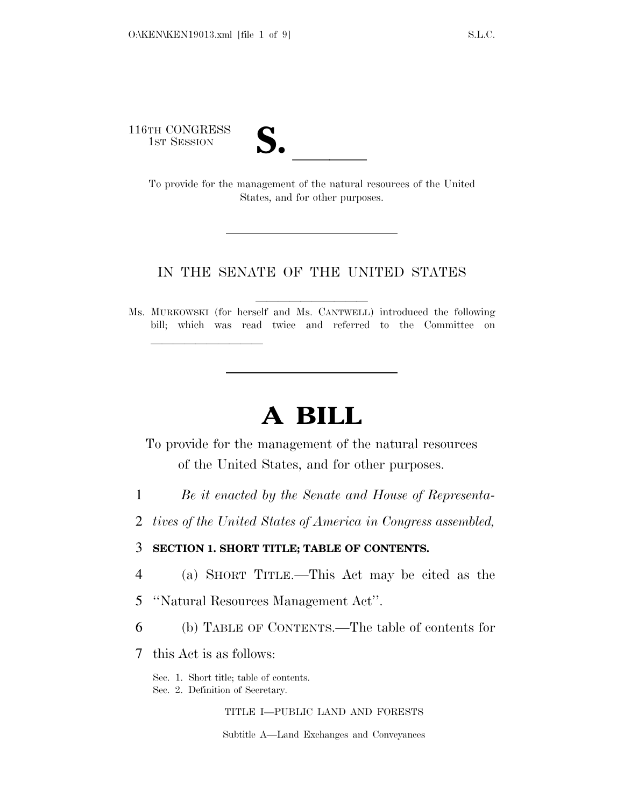116TH CONGRESS



TH CONGRESS<br>
1st Session<br>
To provide for the management of the natural resources of the United States, and for other purposes.

# IN THE SENATE OF THE UNITED STATES

Ms. MURKOWSKI (for herself and Ms. CANTWELL) introduced the following bill; which was read twice and referred to the Committee on

# **A BILL**

To provide for the management of the natural resources of the United States, and for other purposes.

1 *Be it enacted by the Senate and House of Representa-*

2 *tives of the United States of America in Congress assembled,* 

3 **SECTION 1. SHORT TITLE; TABLE OF CONTENTS.** 

4 (a) SHORT TITLE.—This Act may be cited as the

5 ''Natural Resources Management Act''.

6 (b) TABLE OF CONTENTS.—The table of contents for

7 this Act is as follows:

lla se al constituir a la constituir a la constituir a la constituir a la constituir a la constituir a la cons<br>La constituir a la constituir a la constituir a la constituir a la constituir a la constituir a la constituir

Sec. 1. Short title; table of contents.

Sec. 2. Definition of Secretary.

TITLE I—PUBLIC LAND AND FORESTS

Subtitle A—Land Exchanges and Conveyances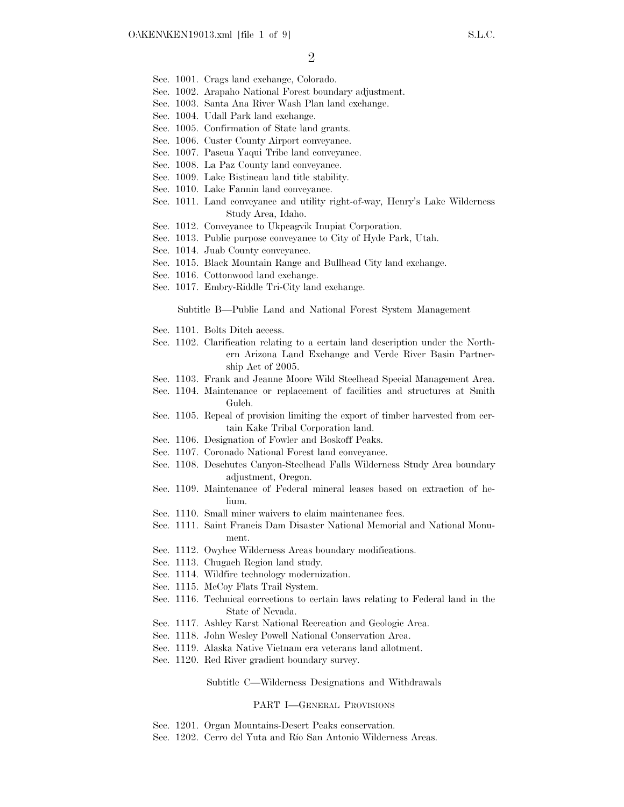- Sec. 1001. Crags land exchange, Colorado.
- Sec. 1002. Arapaho National Forest boundary adjustment.
- Sec. 1003. Santa Ana River Wash Plan land exchange.
- Sec. 1004. Udall Park land exchange.
- Sec. 1005. Confirmation of State land grants.
- Sec. 1006. Custer County Airport conveyance.
- Sec. 1007. Pascua Yaqui Tribe land conveyance.
- Sec. 1008. La Paz County land conveyance.
- Sec. 1009. Lake Bistineau land title stability.
- Sec. 1010. Lake Fannin land conveyance.
- Sec. 1011. Land conveyance and utility right-of-way, Henry's Lake Wilderness Study Area, Idaho.
- Sec. 1012. Conveyance to Ukpeagvik Inupiat Corporation.
- Sec. 1013. Public purpose conveyance to City of Hyde Park, Utah.
- Sec. 1014. Juab County conveyance.
- Sec. 1015. Black Mountain Range and Bullhead City land exchange.
- Sec. 1016. Cottonwood land exchange.
- Sec. 1017. Embry-Riddle Tri-City land exchange.

Subtitle B—Public Land and National Forest System Management

- Sec. 1101. Bolts Ditch access.
- Sec. 1102. Clarification relating to a certain land description under the Northern Arizona Land Exchange and Verde River Basin Partnership Act of 2005.
- Sec. 1103. Frank and Jeanne Moore Wild Steelhead Special Management Area.
- Sec. 1104. Maintenance or replacement of facilities and structures at Smith Gulch.
- Sec. 1105. Repeal of provision limiting the export of timber harvested from certain Kake Tribal Corporation land.
- Sec. 1106. Designation of Fowler and Boskoff Peaks.
- Sec. 1107. Coronado National Forest land conveyance.
- Sec. 1108. Deschutes Canyon-Steelhead Falls Wilderness Study Area boundary adjustment, Oregon.
- Sec. 1109. Maintenance of Federal mineral leases based on extraction of helium.
- Sec. 1110. Small miner waivers to claim maintenance fees.
- Sec. 1111. Saint Francis Dam Disaster National Memorial and National Monument.
- Sec. 1112. Owyhee Wilderness Areas boundary modifications.
- Sec. 1113. Chugach Region land study.
- Sec. 1114. Wildfire technology modernization.
- Sec. 1115. McCoy Flats Trail System.
- Sec. 1116. Technical corrections to certain laws relating to Federal land in the State of Nevada.
- Sec. 1117. Ashley Karst National Recreation and Geologic Area.
- Sec. 1118. John Wesley Powell National Conservation Area.
- Sec. 1119. Alaska Native Vietnam era veterans land allotment.
- Sec. 1120. Red River gradient boundary survey.

Subtitle C—Wilderness Designations and Withdrawals

#### PART I—GENERAL PROVISIONS

- Sec. 1201. Organ Mountains-Desert Peaks conservation.
- Sec. 1202. Cerro del Yuta and Río San Antonio Wilderness Areas.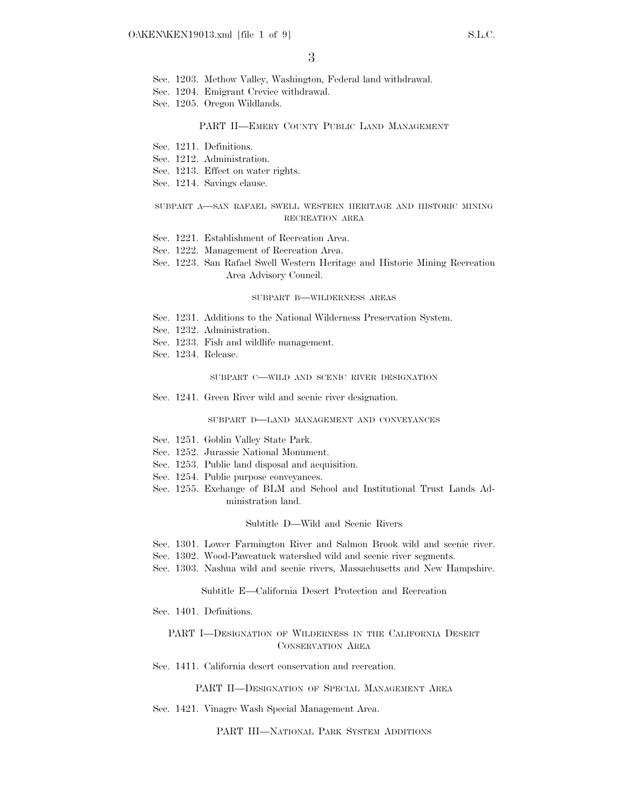- Sec. 1203. Methow Valley, Washington, Federal land withdrawal.
- Sec. 1204. Emigrant Crevice withdrawal.
- Sec. 1205. Oregon Wildlands.

#### PART II—EMERY COUNTY PUBLIC LAND MANAGEMENT

- Sec. 1211. Definitions.
- Sec. 1212. Administration.
- Sec. 1213. Effect on water rights.
- Sec. 1214. Savings clause.

## SUBPART A—SAN RAFAEL SWELL WESTERN HERITAGE AND HISTORIC MINING RECREATION AREA

- Sec. 1221. Establishment of Recreation Area.
- Sec. 1222. Management of Recreation Area.
- Sec. 1223. San Rafael Swell Western Heritage and Historic Mining Recreation Area Advisory Council.

#### SUBPART B—WILDERNESS AREAS

- Sec. 1231. Additions to the National Wilderness Preservation System.
- Sec. 1232. Administration.
- Sec. 1233. Fish and wildlife management.
- Sec. 1234. Release.

#### SUBPART C—WILD AND SCENIC RIVER DESIGNATION

Sec. 1241. Green River wild and scenic river designation.

#### SUBPART D—LAND MANAGEMENT AND CONVEYANCES

- Sec. 1251. Goblin Valley State Park.
- Sec. 1252. Jurassic National Monument.
- Sec. 1253. Public land disposal and acquisition.
- Sec. 1254. Public purpose conveyances.
- Sec. 1255. Exchange of BLM and School and Institutional Trust Lands Administration land.

### Subtitle D—Wild and Scenic Rivers

- Sec. 1301. Lower Farmington River and Salmon Brook wild and scenic river.
- Sec. 1302. Wood-Pawcatuck watershed wild and scenic river segments.
- Sec. 1303. Nashua wild and scenic rivers, Massachusetts and New Hampshire.

#### Subtitle E—California Desert Protection and Recreation

Sec. 1401. Definitions.

# PART I—DESIGNATION OF WILDERNESS IN THE CALIFORNIA DESERT CONSERVATION AREA

Sec. 1411. California desert conservation and recreation.

PART II—DESIGNATION OF SPECIAL MANAGEMENT AREA

Sec. 1421. Vinagre Wash Special Management Area.

PART III—NATIONAL PARK SYSTEM ADDITIONS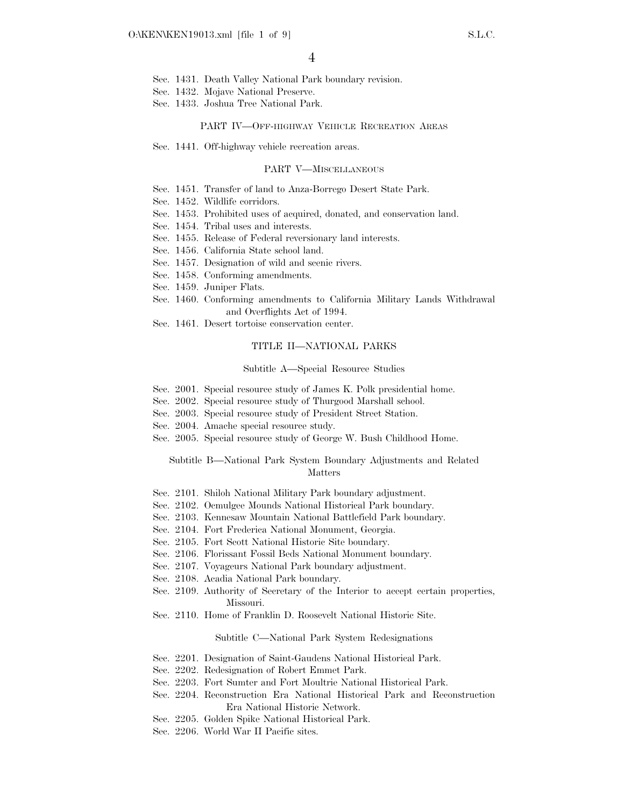- Sec. 1431. Death Valley National Park boundary revision.
- Sec. 1432. Mojave National Preserve.
- Sec. 1433. Joshua Tree National Park.

#### PART IV—OFF-HIGHWAY VEHICLE RECREATION AREAS

Sec. 1441. Off-highway vehicle recreation areas.

#### PART V—MISCELLANEOUS

- Sec. 1451. Transfer of land to Anza-Borrego Desert State Park.
- Sec. 1452. Wildlife corridors.
- Sec. 1453. Prohibited uses of acquired, donated, and conservation land.
- Sec. 1454. Tribal uses and interests.
- Sec. 1455. Release of Federal reversionary land interests.
- Sec. 1456. California State school land.
- Sec. 1457. Designation of wild and scenic rivers.
- Sec. 1458. Conforming amendments.
- Sec. 1459. Juniper Flats.
- Sec. 1460. Conforming amendments to California Military Lands Withdrawal and Overflights Act of 1994.
- Sec. 1461. Desert tortoise conservation center.

## TITLE II—NATIONAL PARKS

#### Subtitle A—Special Resource Studies

- Sec. 2001. Special resource study of James K. Polk presidential home.
- Sec. 2002. Special resource study of Thurgood Marshall school.
- Sec. 2003. Special resource study of President Street Station.
- Sec. 2004. Amache special resource study.
- Sec. 2005. Special resource study of George W. Bush Childhood Home.

## Subtitle B—National Park System Boundary Adjustments and Related Matters

- Sec. 2101. Shiloh National Military Park boundary adjustment.
- Sec. 2102. Ocmulgee Mounds National Historical Park boundary.
- Sec. 2103. Kennesaw Mountain National Battlefield Park boundary.
- Sec. 2104. Fort Frederica National Monument, Georgia.
- Sec. 2105. Fort Scott National Historic Site boundary.
- Sec. 2106. Florissant Fossil Beds National Monument boundary.
- Sec. 2107. Voyageurs National Park boundary adjustment.
- Sec. 2108. Acadia National Park boundary.
- Sec. 2109. Authority of Secretary of the Interior to accept certain properties, Missouri.
- Sec. 2110. Home of Franklin D. Roosevelt National Historic Site.

#### Subtitle C—National Park System Redesignations

- Sec. 2201. Designation of Saint-Gaudens National Historical Park.
- Sec. 2202. Redesignation of Robert Emmet Park.
- Sec. 2203. Fort Sumter and Fort Moultrie National Historical Park.
- Sec. 2204. Reconstruction Era National Historical Park and Reconstruction Era National Historic Network.
- Sec. 2205. Golden Spike National Historical Park.
- Sec. 2206. World War II Pacific sites.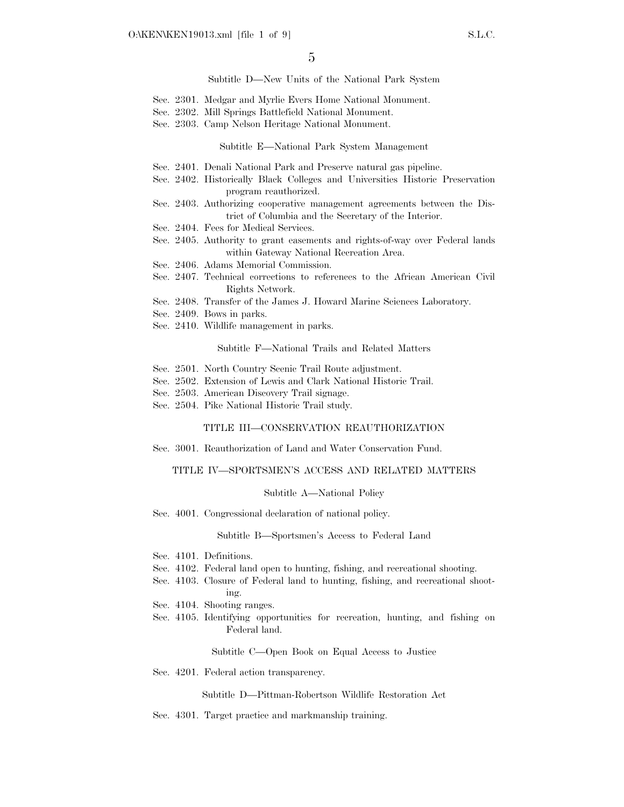Subtitle D—New Units of the National Park System

- Sec. 2301. Medgar and Myrlie Evers Home National Monument.
- Sec. 2302. Mill Springs Battlefield National Monument.
- Sec. 2303. Camp Nelson Heritage National Monument.

#### Subtitle E—National Park System Management

- Sec. 2401. Denali National Park and Preserve natural gas pipeline.
- Sec. 2402. Historically Black Colleges and Universities Historic Preservation program reauthorized.
- Sec. 2403. Authorizing cooperative management agreements between the District of Columbia and the Secretary of the Interior.
- Sec. 2404. Fees for Medical Services.
- Sec. 2405. Authority to grant easements and rights-of-way over Federal lands within Gateway National Recreation Area.
- Sec. 2406. Adams Memorial Commission.
- Sec. 2407. Technical corrections to references to the African American Civil Rights Network.
- Sec. 2408. Transfer of the James J. Howard Marine Sciences Laboratory.
- Sec. 2409. Bows in parks.
- Sec. 2410. Wildlife management in parks.

#### Subtitle F—National Trails and Related Matters

- Sec. 2501. North Country Scenic Trail Route adjustment.
- Sec. 2502. Extension of Lewis and Clark National Historic Trail.
- Sec. 2503. American Discovery Trail signage.
- Sec. 2504. Pike National Historic Trail study.

#### TITLE III—CONSERVATION REAUTHORIZATION

Sec. 3001. Reauthorization of Land and Water Conservation Fund.

#### TITLE IV—SPORTSMEN'S ACCESS AND RELATED MATTERS

#### Subtitle A—National Policy

Sec. 4001. Congressional declaration of national policy.

Subtitle B—Sportsmen's Access to Federal Land

- Sec. 4101. Definitions.
- Sec. 4102. Federal land open to hunting, fishing, and recreational shooting.
- Sec. 4103. Closure of Federal land to hunting, fishing, and recreational shooting.
- Sec. 4104. Shooting ranges.
- Sec. 4105. Identifying opportunities for recreation, hunting, and fishing on Federal land.

#### Subtitle C—Open Book on Equal Access to Justice

Sec. 4201. Federal action transparency.

Subtitle D—Pittman-Robertson Wildlife Restoration Act

Sec. 4301. Target practice and markmanship training.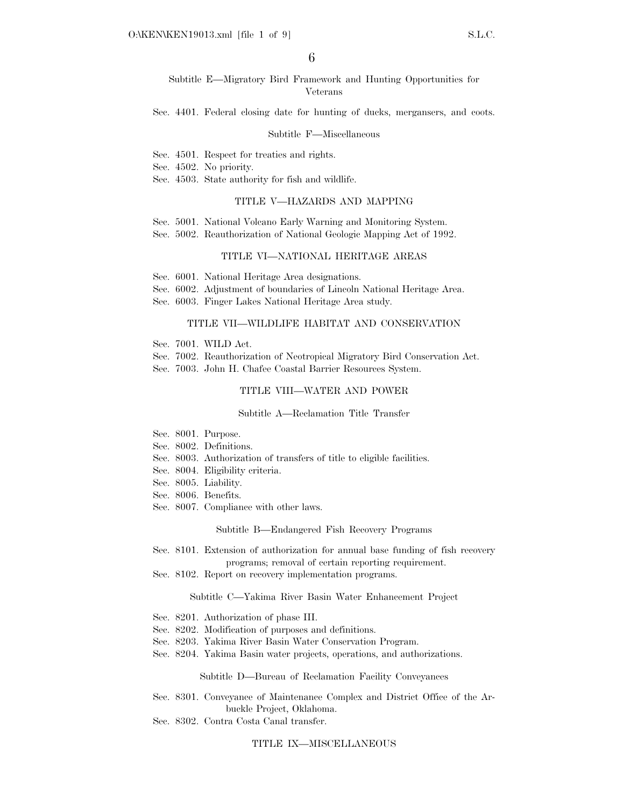Subtitle E—Migratory Bird Framework and Hunting Opportunities for Veterans

Sec. 4401. Federal closing date for hunting of ducks, mergansers, and coots.

#### Subtitle F—Miscellaneous

Sec. 4501. Respect for treaties and rights.

Sec. 4502. No priority.

Sec. 4503. State authority for fish and wildlife.

#### TITLE V—HAZARDS AND MAPPING

Sec. 5001. National Volcano Early Warning and Monitoring System.

Sec. 5002. Reauthorization of National Geologic Mapping Act of 1992.

## TITLE VI—NATIONAL HERITAGE AREAS

- Sec. 6001. National Heritage Area designations.
- Sec. 6002. Adjustment of boundaries of Lincoln National Heritage Area.
- Sec. 6003. Finger Lakes National Heritage Area study.

#### TITLE VII—WILDLIFE HABITAT AND CONSERVATION

- Sec. 7001. WILD Act.
- Sec. 7002. Reauthorization of Neotropical Migratory Bird Conservation Act.
- Sec. 7003. John H. Chafee Coastal Barrier Resources System.

# TITLE VIII—WATER AND POWER

#### Subtitle A—Reclamation Title Transfer

- Sec. 8001. Purpose.
- Sec. 8002. Definitions.
- Sec. 8003. Authorization of transfers of title to eligible facilities.
- Sec. 8004. Eligibility criteria.
- Sec. 8005. Liability.
- Sec. 8006. Benefits.
- Sec. 8007. Compliance with other laws.

#### Subtitle B—Endangered Fish Recovery Programs

- Sec. 8101. Extension of authorization for annual base funding of fish recovery programs; removal of certain reporting requirement.
- Sec. 8102. Report on recovery implementation programs.

#### Subtitle C—Yakima River Basin Water Enhancement Project

- Sec. 8201. Authorization of phase III.
- Sec. 8202. Modification of purposes and definitions.
- Sec. 8203. Yakima River Basin Water Conservation Program.
- Sec. 8204. Yakima Basin water projects, operations, and authorizations.

#### Subtitle D—Bureau of Reclamation Facility Conveyances

Sec. 8301. Conveyance of Maintenance Complex and District Office of the Arbuckle Project, Oklahoma.

Sec. 8302. Contra Costa Canal transfer.

#### TITLE IX—MISCELLANEOUS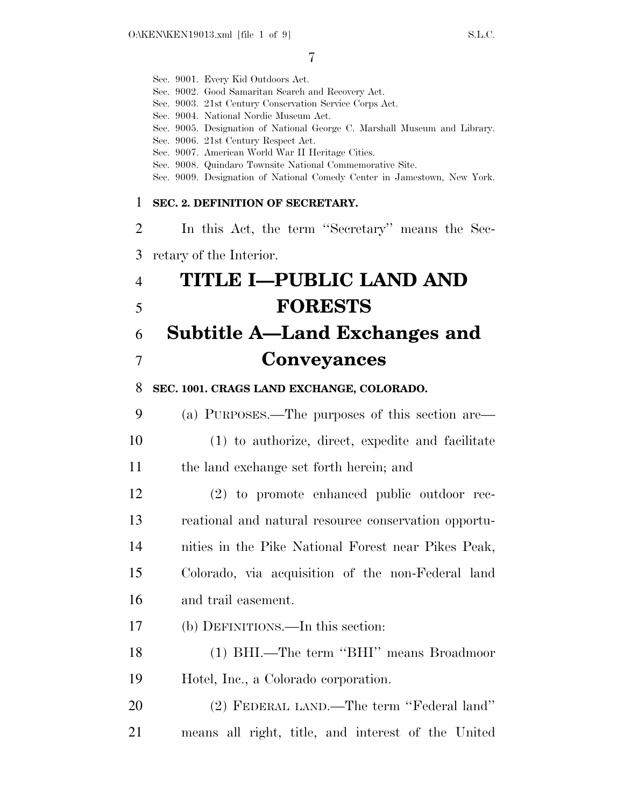|                | Sec. 9001. Every Kid Outdoors Act.<br>Sec. 9002. Good Samaritan Search and Recovery Act.<br>Sec. 9003. 21st Century Conservation Service Corps Act.<br>Sec. 9004. National Nordic Museum Act.<br>Sec. 9005. Designation of National George C. Marshall Museum and Library.<br>Sec. 9006. 21st Century Respect Act.<br>Sec. 9007. American World War II Heritage Cities.<br>Sec. 9008. Quindaro Townsite National Commemorative Site.<br>Sec. 9009. Designation of National Comedy Center in Jamestown, New York. |
|----------------|------------------------------------------------------------------------------------------------------------------------------------------------------------------------------------------------------------------------------------------------------------------------------------------------------------------------------------------------------------------------------------------------------------------------------------------------------------------------------------------------------------------|
| 1              | SEC. 2. DEFINITION OF SECRETARY.                                                                                                                                                                                                                                                                                                                                                                                                                                                                                 |
| 2              | In this Act, the term "Secretary" means the Sec-                                                                                                                                                                                                                                                                                                                                                                                                                                                                 |
| 3              | retary of the Interior.                                                                                                                                                                                                                                                                                                                                                                                                                                                                                          |
| $\overline{4}$ | TITLE I-PUBLIC LAND AND                                                                                                                                                                                                                                                                                                                                                                                                                                                                                          |
| 5              | <b>FORESTS</b>                                                                                                                                                                                                                                                                                                                                                                                                                                                                                                   |
| 6              | Subtitle A—Land Exchanges and                                                                                                                                                                                                                                                                                                                                                                                                                                                                                    |
| 7              | <b>Conveyances</b>                                                                                                                                                                                                                                                                                                                                                                                                                                                                                               |
| 8              | SEC. 1001. CRAGS LAND EXCHANGE, COLORADO.                                                                                                                                                                                                                                                                                                                                                                                                                                                                        |
| 9              | (a) PURPOSES.—The purposes of this section are—                                                                                                                                                                                                                                                                                                                                                                                                                                                                  |
| 10             | (1) to authorize, direct, expedite and facilitate                                                                                                                                                                                                                                                                                                                                                                                                                                                                |
| 11             | the land exchange set forth herein; and                                                                                                                                                                                                                                                                                                                                                                                                                                                                          |
| 12             | (2) to promote enhanced public outdoor rec-                                                                                                                                                                                                                                                                                                                                                                                                                                                                      |
| 13             | reational and natural resource conservation opportu-                                                                                                                                                                                                                                                                                                                                                                                                                                                             |
| 14             | nities in the Pike National Forest near Pikes Peak,                                                                                                                                                                                                                                                                                                                                                                                                                                                              |
| 15             | Colorado, via acquisition of the non-Federal land                                                                                                                                                                                                                                                                                                                                                                                                                                                                |
| 16             | and trail easement.                                                                                                                                                                                                                                                                                                                                                                                                                                                                                              |
| 17             | (b) DEFINITIONS.—In this section:                                                                                                                                                                                                                                                                                                                                                                                                                                                                                |
| 18             | (1) BHI.—The term "BHI" means Broadmoor                                                                                                                                                                                                                                                                                                                                                                                                                                                                          |
| 19             | Hotel, Inc., a Colorado corporation.                                                                                                                                                                                                                                                                                                                                                                                                                                                                             |
| 20             | (2) FEDERAL LAND.—The term "Federal land"                                                                                                                                                                                                                                                                                                                                                                                                                                                                        |
| 21             | means all right, title, and interest of the United                                                                                                                                                                                                                                                                                                                                                                                                                                                               |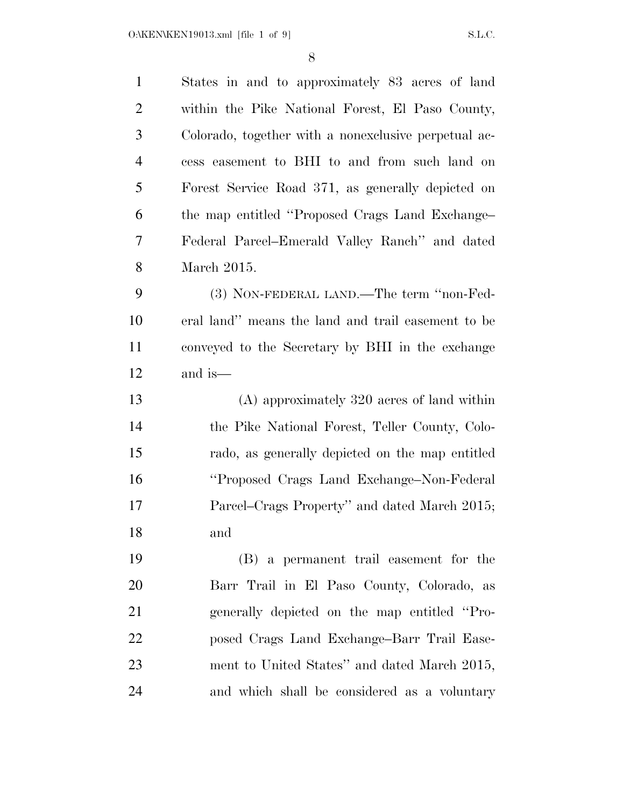| $\mathbf{1}$   | States in and to approximately 83 acres of land      |
|----------------|------------------------------------------------------|
| $\overline{2}$ | within the Pike National Forest, El Paso County,     |
| 3              | Colorado, together with a nonexclusive perpetual ac- |
| $\overline{4}$ | cess easement to BHI to and from such land on        |
| 5              | Forest Service Road 371, as generally depicted on    |
| 6              | the map entitled "Proposed Crags Land Exchange-      |
| $\overline{7}$ | Federal Parcel–Emerald Valley Ranch" and dated       |
| 8              | March 2015.                                          |
| 9              | (3) NON-FEDERAL LAND.—The term "non-Fed-             |
| 10             | eral land" means the land and trail easement to be   |
| 11             | conveyed to the Secretary by BHI in the exchange     |
| 12             | and is—                                              |
| 13             | $(A)$ approximately 320 acres of land within         |
| 14             | the Pike National Forest, Teller County, Colo-       |
|                |                                                      |
| 15             | rado, as generally depicted on the map entitled      |
| 16             | "Proposed Crags Land Exchange-Non-Federal            |
| 17             | Parcel–Crags Property" and dated March 2015;         |
| 18             | and                                                  |
| 19             | (B) a permanent trail easement for the               |
| 20             | Barr Trail in El Paso County, Colorado, as           |
| 21             | generally depicted on the map entitled "Pro-         |
| 22             | posed Crags Land Exchange-Barr Trail Ease-           |
| 23             | ment to United States" and dated March 2015,         |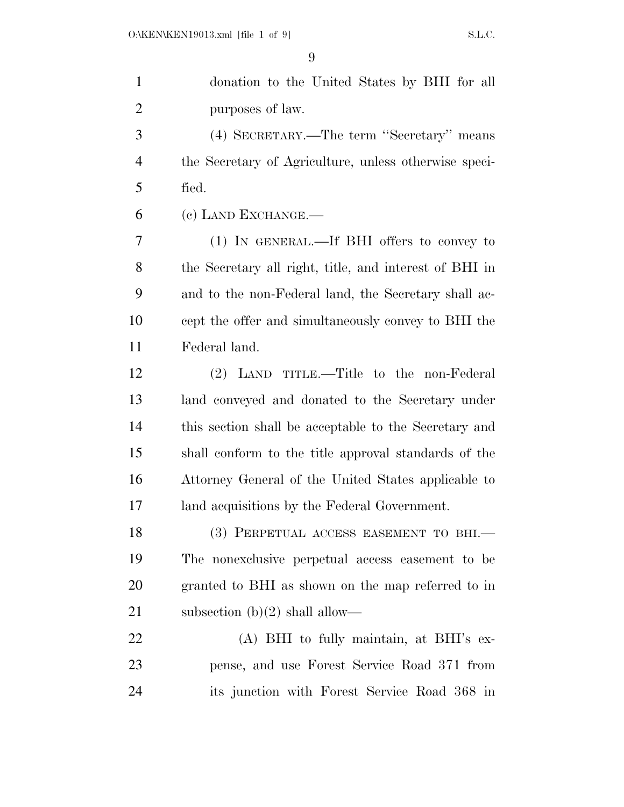| $\mathbf{1}$   | donation to the United States by BHI for all           |
|----------------|--------------------------------------------------------|
| $\overline{2}$ | purposes of law.                                       |
| 3              | (4) SECRETARY.—The term "Secretary" means              |
| $\overline{4}$ | the Secretary of Agriculture, unless otherwise speci-  |
| 5              | fied.                                                  |
| 6              | (c) LAND EXCHANGE.—                                    |
| 7              | (1) IN GENERAL.—If BHI offers to convey to             |
| 8              | the Secretary all right, title, and interest of BHI in |
| 9              | and to the non-Federal land, the Secretary shall ac-   |
| 10             | cept the offer and simultaneously convey to BHI the    |
| 11             | Federal land.                                          |
| 12             | (2) LAND TITLE.—Title to the non-Federal               |
| 13             | land conveyed and donated to the Secretary under       |
| 14             | this section shall be acceptable to the Secretary and  |
| 15             | shall conform to the title approval standards of the   |
| 16             | Attorney General of the United States applicable to    |
| 17             | land acquisitions by the Federal Government.           |
| 18             | (3) PERPETUAL ACCESS EASEMENT TO BHI.-                 |
| 19             | The nonexclusive perpetual access easement to be       |
| 20             | granted to BHI as shown on the map referred to in      |
| 21             | subsection $(b)(2)$ shall allow—                       |
| 22             | (A) BHI to fully maintain, at BHI's ex-                |
| 23             | pense, and use Forest Service Road 371 from            |
| 24             | its junction with Forest Service Road 368 in           |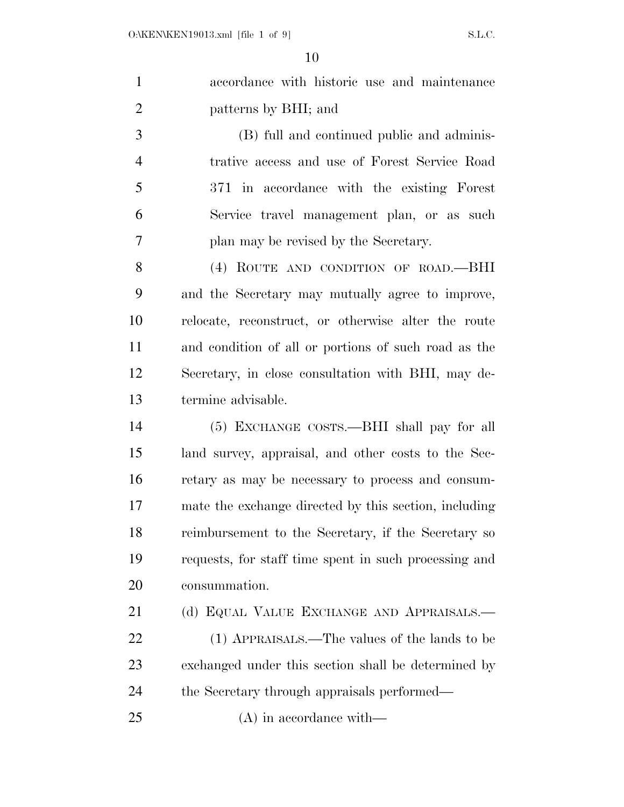| $\mathbf{1}$   | accordance with historic use and maintenance          |
|----------------|-------------------------------------------------------|
| $\overline{2}$ | patterns by BHI; and                                  |
| 3              | (B) full and continued public and adminis-            |
| $\overline{4}$ | trative access and use of Forest Service Road         |
| 5              | 371 in accordance with the existing Forest            |
| 6              | Service travel management plan, or as such            |
| 7              | plan may be revised by the Secretary.                 |
| 8              | (4) ROUTE AND CONDITION OF ROAD.—BHI                  |
| 9              | and the Secretary may mutually agree to improve,      |
| 10             | relocate, reconstruct, or otherwise alter the route   |
| 11             | and condition of all or portions of such road as the  |
| 12             | Secretary, in close consultation with BHI, may de-    |
| 13             | termine advisable.                                    |
| 14             | (5) EXCHANGE COSTS.—BHI shall pay for all             |
| 15             | land survey, appraisal, and other costs to the Sec-   |
| 16             | retary as may be necessary to process and consum-     |
| 17             | mate the exchange directed by this section, including |
| 18             | reimbursement to the Secretary, if the Secretary so   |
| 19             | requests, for staff time spent in such processing and |
| 20             | consummation.                                         |
| 21             | (d) EQUAL VALUE EXCHANGE AND APPRAISALS.-             |
| 22             | (1) APPRAISALS.—The values of the lands to be         |
| 23             | exchanged under this section shall be determined by   |
| 24             | the Secretary through appraisals performed—           |
| 25             | $(A)$ in accordance with—                             |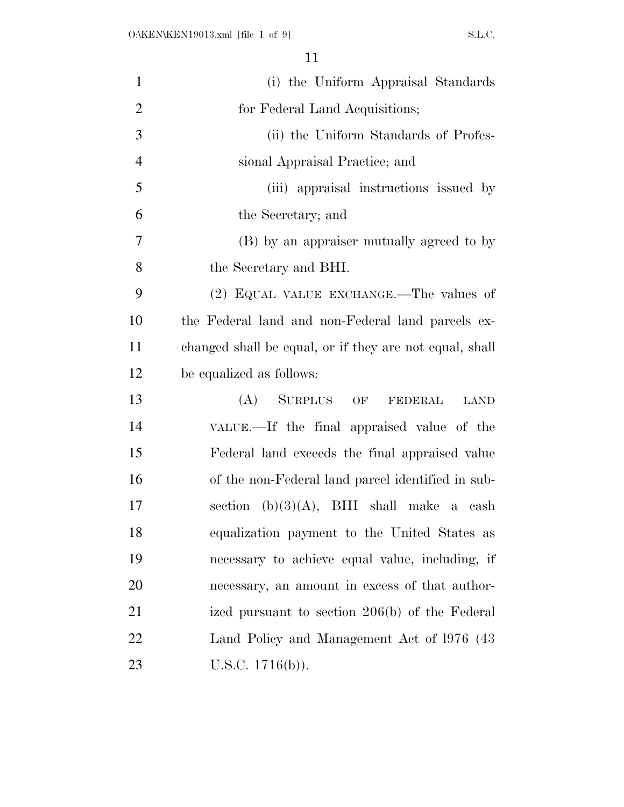| $\mathbf{1}$   | (i) the Uniform Appraisal Standards                     |
|----------------|---------------------------------------------------------|
| $\overline{2}$ | for Federal Land Acquisitions;                          |
| 3              | (ii) the Uniform Standards of Profes-                   |
| $\overline{4}$ | sional Appraisal Practice; and                          |
| 5              | (iii) appraisal instructions issued by                  |
| 6              | the Secretary; and                                      |
| 7              | (B) by an appraiser mutually agreed to by               |
| 8              | the Secretary and BHI.                                  |
| 9              | (2) EQUAL VALUE EXCHANGE.—The values of                 |
| 10             | the Federal land and non-Federal land parcels ex-       |
| 11             | changed shall be equal, or if they are not equal, shall |
| 12             | be equalized as follows:                                |
| 13             | (A)<br>SURPLUS OF<br><b>LAND</b><br>FEDERAL             |
| 14             | VALUE.—If the final appraised value of the              |
| 15             | Federal land exceeds the final appraised value          |
| 16             | of the non-Federal land parcel identified in sub-       |
| 17             | section $(b)(3)(A)$ , BHI shall make a cash             |
| 18             | equalization payment to the United States as            |
| 19             | necessary to achieve equal value, including, if         |
| 20             | necessary, an amount in excess of that author-          |
| 21             | ized pursuant to section 206(b) of the Federal          |
| 22             | Land Policy and Management Act of 1976 (43)             |
| 23             | U.S.C. $1716(b)$ ).                                     |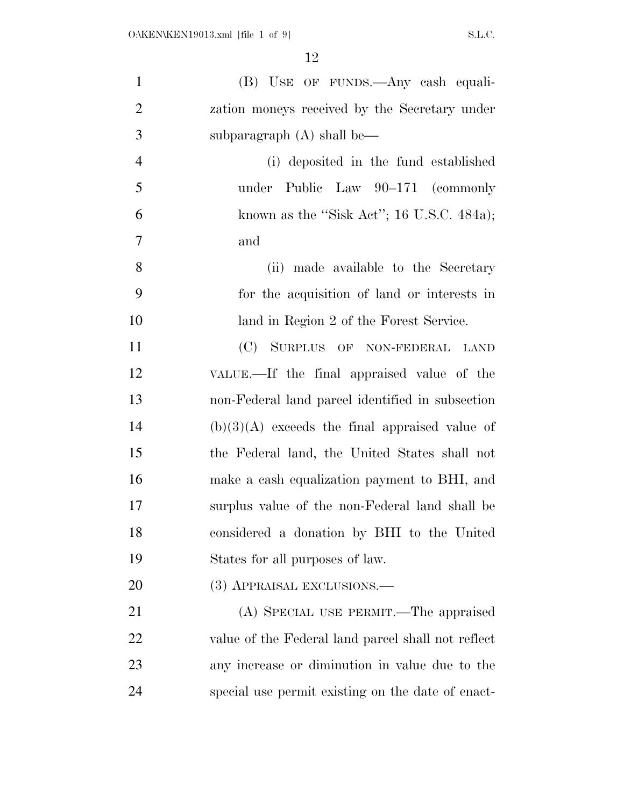| $\mathbf{1}$   | (B) USE OF FUNDS.—Any eash equali-                 |
|----------------|----------------------------------------------------|
| $\overline{2}$ | zation moneys received by the Secretary under      |
| 3              | subparagraph $(A)$ shall be—                       |
| $\overline{4}$ | (i) deposited in the fund established              |
| 5              | under Public Law 90–171 (commonly                  |
| 6              | known as the "Sisk Act"; 16 U.S.C. 484a);          |
| 7              | and                                                |
| 8              | (ii) made available to the Secretary               |
| 9              | for the acquisition of land or interests in        |
| 10             | land in Region 2 of the Forest Service.            |
| 11             | (C) SURPLUS OF NON-FEDERAL LAND                    |
| 12             | VALUE.—If the final appraised value of the         |
| 13             | non-Federal land parcel identified in subsection   |
| 14             | $(b)(3)(A)$ exceeds the final appraised value of   |
| 15             | the Federal land, the United States shall not      |
| 16             | make a cash equalization payment to BHI, and       |
| 17             | surplus value of the non-Federal land shall be     |
| 18             | considered a donation by BHI to the United         |
| 19             | States for all purposes of law.                    |
| 20             | (3) APPRAISAL EXCLUSIONS.—                         |
| 21             | (A) SPECIAL USE PERMIT.—The appraised              |
| 22             | value of the Federal land parcel shall not reflect |
| 23             | any increase or diminution in value due to the     |
| 24             | special use permit existing on the date of enact-  |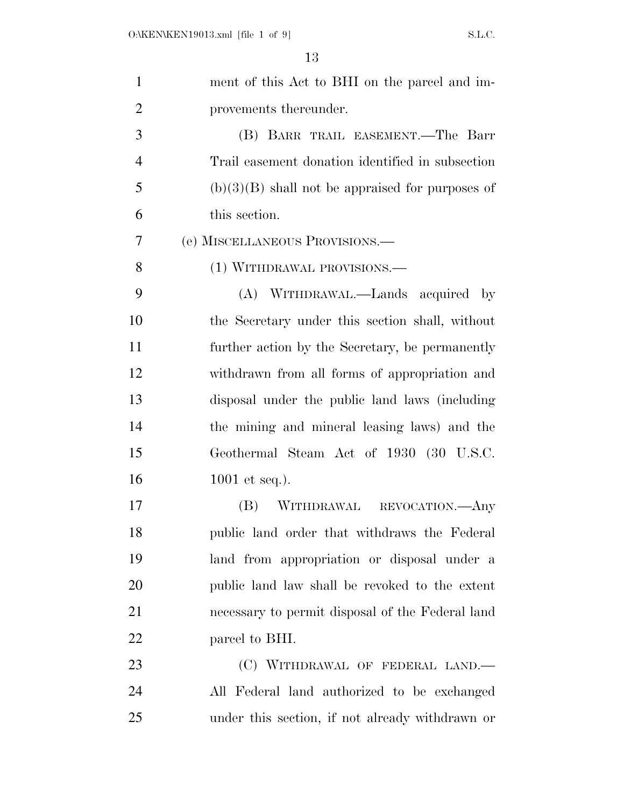| $\mathbf{1}$   | ment of this Act to BHI on the parcel and im-      |
|----------------|----------------------------------------------------|
| $\overline{2}$ | provements thereunder.                             |
| 3              | (B) BARR TRAIL EASEMENT.—The Barr                  |
| $\overline{4}$ | Trail easement donation identified in subsection   |
| 5              | $(b)(3)(B)$ shall not be appraised for purposes of |
| 6              | this section.                                      |
| 7              | (e) MISCELLANEOUS PROVISIONS.—                     |
| 8              | (1) WITHDRAWAL PROVISIONS.—                        |
| 9              | (A) WITHDRAWAL.—Lands acquired by                  |
| 10             | the Secretary under this section shall, without    |
| 11             | further action by the Secretary, be permanently    |
| 12             | withdrawn from all forms of appropriation and      |
| 13             | disposal under the public land laws (including     |
| 14             | the mining and mineral leasing laws) and the       |
| 15             | Geothermal Steam Act of 1930 (30 U.S.C.            |
| 16             | 1001 et seq.).                                     |
| 17             | WITHDRAWAL REVOCATION.—Any<br>(B)                  |
| 18             | public land order that withdraws the Federal       |
| 19             | land from appropriation or disposal under a        |
| 20             | public land law shall be revoked to the extent     |
| 21             | necessary to permit disposal of the Federal land   |
| 22             | parcel to BHI.                                     |
| 23             | (C) WITHDRAWAL OF FEDERAL LAND.—                   |
| 24             | All Federal land authorized to be exchanged        |
| 25             | under this section, if not already withdrawn or    |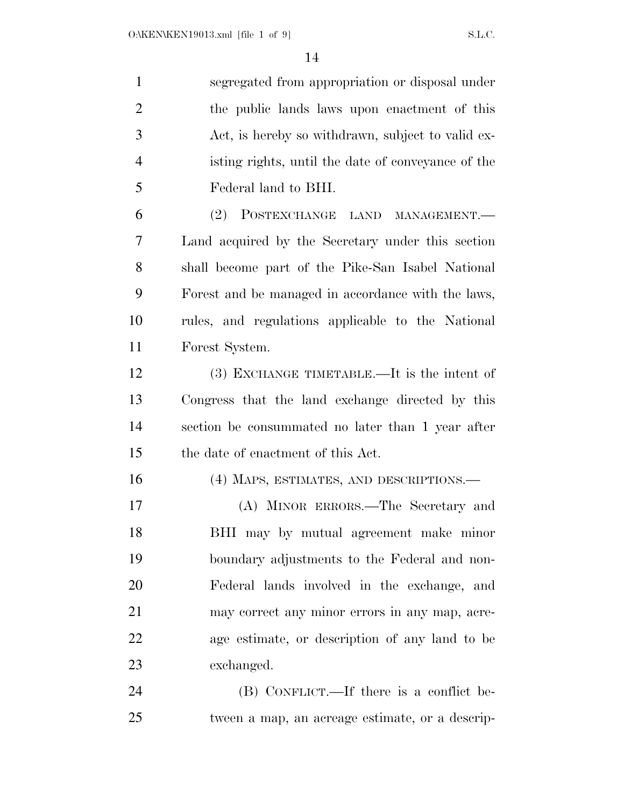| $\mathbf{1}$   | segregated from appropriation or disposal under    |
|----------------|----------------------------------------------------|
| $\overline{2}$ | the public lands laws upon enactment of this       |
| 3              | Act, is hereby so withdrawn, subject to valid ex-  |
| $\overline{4}$ | isting rights, until the date of conveyance of the |
| 5              | Federal land to BHI.                               |
| 6              | (2) POSTEXCHANGE LAND MANAGEMENT.                  |
| 7              | Land acquired by the Secretary under this section  |
| 8              | shall become part of the Pike-San Isabel National  |
| 9              | Forest and be managed in accordance with the laws, |
| 10             | rules, and regulations applicable to the National  |
| 11             | Forest System.                                     |
| 12             | (3) EXCHANGE TIMETABLE.—It is the intent of        |
| 13             | Congress that the land exchange directed by this   |
| 14             | section be consummated no later than 1 year after  |
| 15             | the date of enactment of this Act.                 |
| 16             | (4) MAPS, ESTIMATES, AND DESCRIPTIONS.—            |
| 17             | (A) MINOR ERRORS.—The Secretary and                |
| 18             | BHI may by mutual agreement make minor             |
| 19             | boundary adjustments to the Federal and non-       |
| 20             | Federal lands involved in the exchange, and        |
| 21             | may correct any minor errors in any map, acre-     |
| 22             | age estimate, or description of any land to be     |
| 23             | exchanged.                                         |
| 24             | (B) CONFLICT.—If there is a conflict be-           |
| 25             | tween a map, an acreage estimate, or a descrip-    |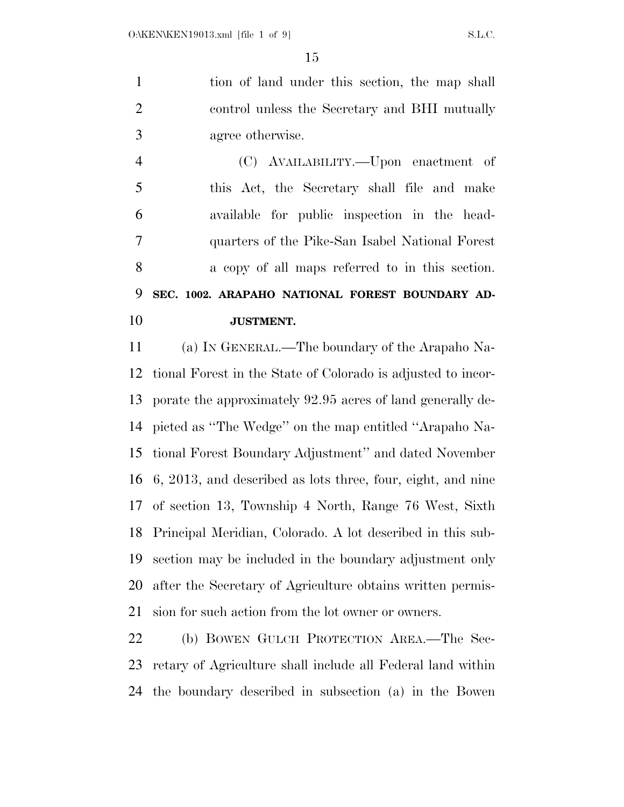tion of land under this section, the map shall control unless the Secretary and BHI mutually agree otherwise.

 (C) AVAILABILITY.—Upon enactment of this Act, the Secretary shall file and make available for public inspection in the head- quarters of the Pike-San Isabel National Forest a copy of all maps referred to in this section. **SEC. 1002. ARAPAHO NATIONAL FOREST BOUNDARY AD-JUSTMENT.** 

 (a) IN GENERAL.—The boundary of the Arapaho Na- tional Forest in the State of Colorado is adjusted to incor- porate the approximately 92.95 acres of land generally de- picted as ''The Wedge'' on the map entitled ''Arapaho Na- tional Forest Boundary Adjustment'' and dated November 6, 2013, and described as lots three, four, eight, and nine of section 13, Township 4 North, Range 76 West, Sixth Principal Meridian, Colorado. A lot described in this sub- section may be included in the boundary adjustment only after the Secretary of Agriculture obtains written permis-sion for such action from the lot owner or owners.

 (b) BOWEN GULCH PROTECTION AREA.—The Sec- retary of Agriculture shall include all Federal land within the boundary described in subsection (a) in the Bowen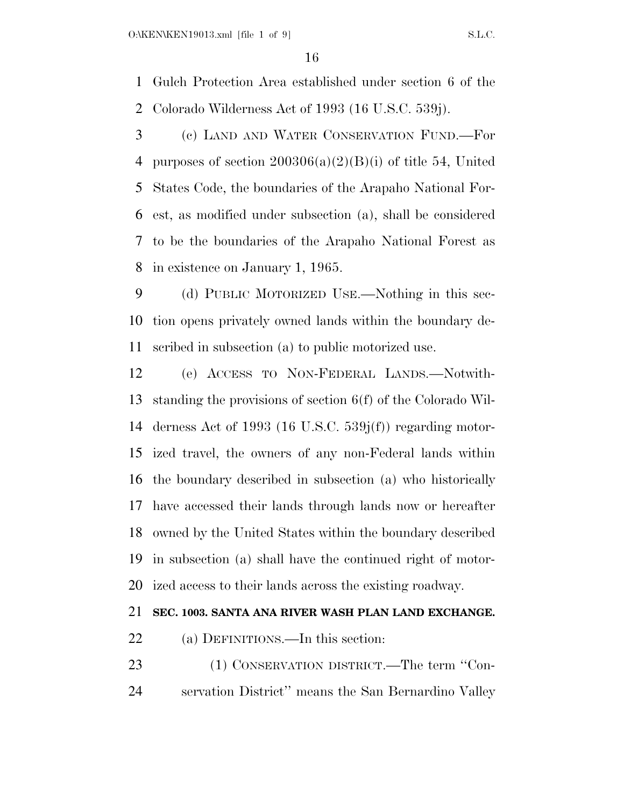Gulch Protection Area established under section 6 of the Colorado Wilderness Act of 1993 (16 U.S.C. 539j).

 (c) LAND AND WATER CONSERVATION FUND.—For 4 purposes of section  $200306(a)(2)(B)(i)$  of title 54, United States Code, the boundaries of the Arapaho National For- est, as modified under subsection (a), shall be considered to be the boundaries of the Arapaho National Forest as in existence on January 1, 1965.

 (d) PUBLIC MOTORIZED USE.—Nothing in this sec- tion opens privately owned lands within the boundary de-scribed in subsection (a) to public motorized use.

 (e) ACCESS TO NON-FEDERAL LANDS.—Notwith- standing the provisions of section 6(f) of the Colorado Wil- derness Act of 1993 (16 U.S.C. 539j(f)) regarding motor- ized travel, the owners of any non-Federal lands within the boundary described in subsection (a) who historically have accessed their lands through lands now or hereafter owned by the United States within the boundary described in subsection (a) shall have the continued right of motor-ized access to their lands across the existing roadway.

# **SEC. 1003. SANTA ANA RIVER WASH PLAN LAND EXCHANGE.**

22 (a) DEFINITIONS.—In this section:

23 (1) CONSERVATION DISTRICT.—The term "Con-servation District'' means the San Bernardino Valley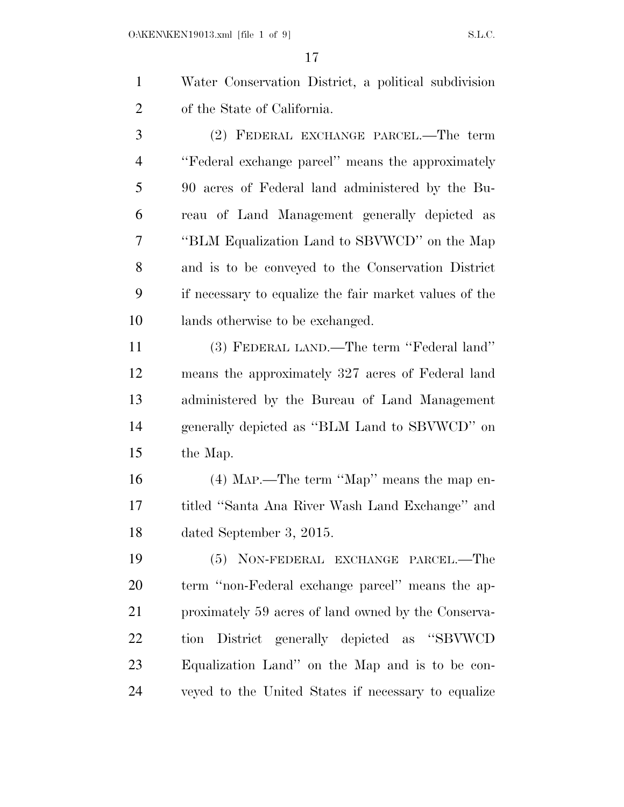Water Conservation District, a political subdivision of the State of California.

 (2) FEDERAL EXCHANGE PARCEL.—The term ''Federal exchange parcel'' means the approximately 90 acres of Federal land administered by the Bu- reau of Land Management generally depicted as ''BLM Equalization Land to SBVWCD'' on the Map and is to be conveyed to the Conservation District if necessary to equalize the fair market values of the lands otherwise to be exchanged.

 (3) FEDERAL LAND.—The term ''Federal land'' means the approximately 327 acres of Federal land administered by the Bureau of Land Management generally depicted as ''BLM Land to SBVWCD'' on the Map.

 (4) MAP.—The term ''Map'' means the map en- titled ''Santa Ana River Wash Land Exchange'' and dated September 3, 2015.

 (5) NON-FEDERAL EXCHANGE PARCEL.—The term ''non-Federal exchange parcel'' means the ap- proximately 59 acres of land owned by the Conserva- tion District generally depicted as ''SBVWCD Equalization Land'' on the Map and is to be con-veyed to the United States if necessary to equalize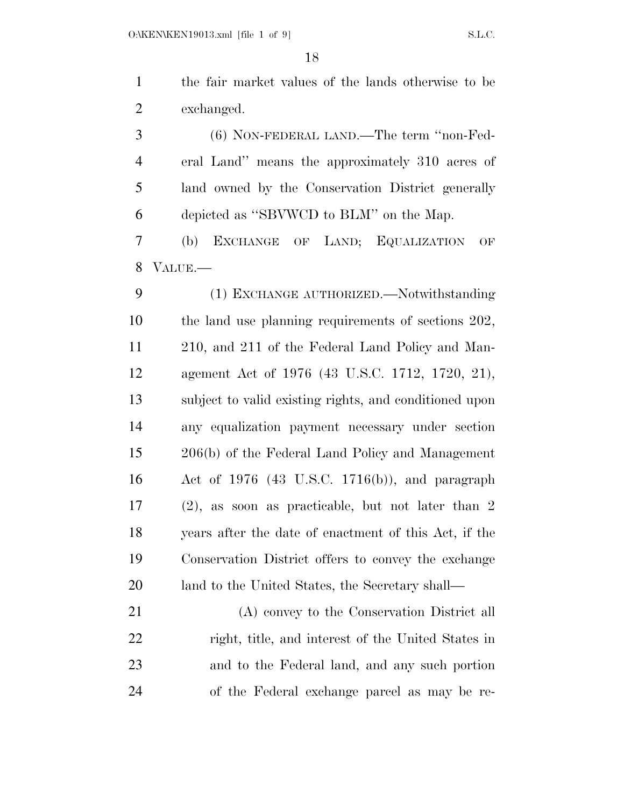the fair market values of the lands otherwise to be exchanged.

 (6) NON-FEDERAL LAND.—The term ''non-Fed- eral Land'' means the approximately 310 acres of land owned by the Conservation District generally depicted as ''SBVWCD to BLM'' on the Map.

 (b) EXCHANGE OF LAND; EQUALIZATION OF VALUE.—

 (1) EXCHANGE AUTHORIZED.—Notwithstanding the land use planning requirements of sections 202, 210, and 211 of the Federal Land Policy and Man- agement Act of 1976 (43 U.S.C. 1712, 1720, 21), subject to valid existing rights, and conditioned upon any equalization payment necessary under section 206(b) of the Federal Land Policy and Management Act of 1976 (43 U.S.C. 1716(b)), and paragraph (2), as soon as practicable, but not later than 2 years after the date of enactment of this Act, if the Conservation District offers to convey the exchange land to the United States, the Secretary shall—

 (A) convey to the Conservation District all right, title, and interest of the United States in and to the Federal land, and any such portion of the Federal exchange parcel as may be re-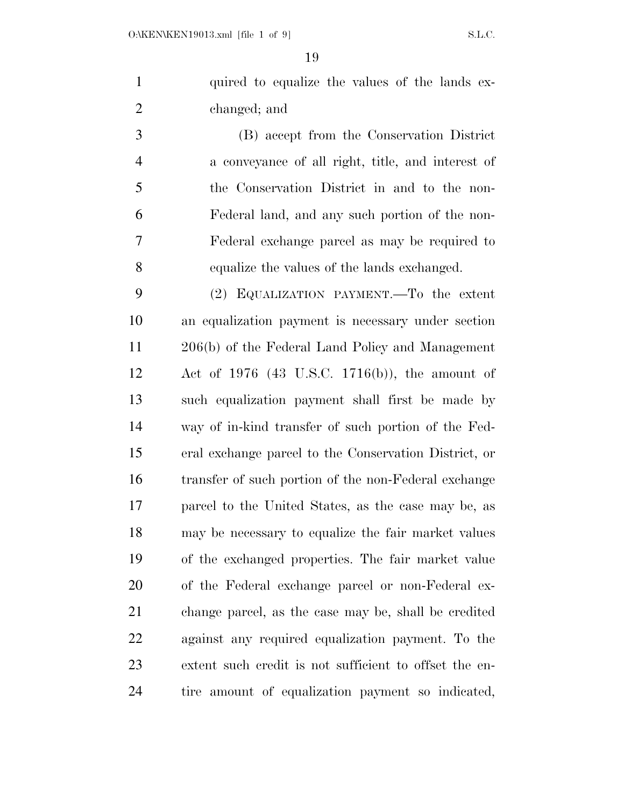1 quired to equalize the values of the lands ex-changed; and

 (B) accept from the Conservation District a conveyance of all right, title, and interest of the Conservation District in and to the non- Federal land, and any such portion of the non- Federal exchange parcel as may be required to equalize the values of the lands exchanged.

 (2) EQUALIZATION PAYMENT.—To the extent an equalization payment is necessary under section 206(b) of the Federal Land Policy and Management Act of 1976 (43 U.S.C. 1716(b)), the amount of such equalization payment shall first be made by way of in-kind transfer of such portion of the Fed- eral exchange parcel to the Conservation District, or transfer of such portion of the non-Federal exchange parcel to the United States, as the case may be, as may be necessary to equalize the fair market values of the exchanged properties. The fair market value of the Federal exchange parcel or non-Federal ex- change parcel, as the case may be, shall be credited against any required equalization payment. To the extent such credit is not sufficient to offset the en-tire amount of equalization payment so indicated,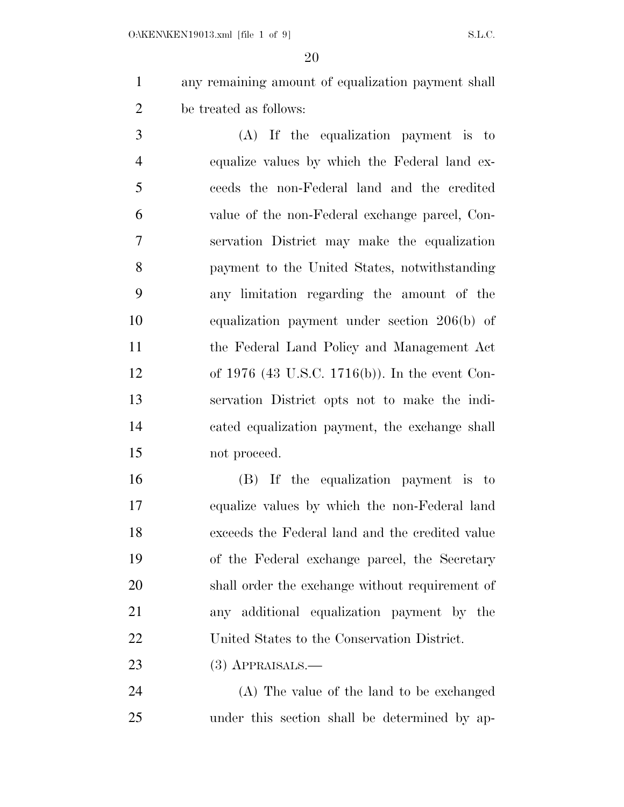any remaining amount of equalization payment shall be treated as follows:

 (A) If the equalization payment is to equalize values by which the Federal land ex- ceeds the non-Federal land and the credited value of the non-Federal exchange parcel, Con- servation District may make the equalization payment to the United States, notwithstanding any limitation regarding the amount of the equalization payment under section 206(b) of the Federal Land Policy and Management Act of 1976 (43 U.S.C. 1716(b)). In the event Con- servation District opts not to make the indi- cated equalization payment, the exchange shall not proceed.

 (B) If the equalization payment is to equalize values by which the non-Federal land exceeds the Federal land and the credited value of the Federal exchange parcel, the Secretary shall order the exchange without requirement of any additional equalization payment by the United States to the Conservation District.

(3) APPRAISALS.—

 (A) The value of the land to be exchanged under this section shall be determined by ap-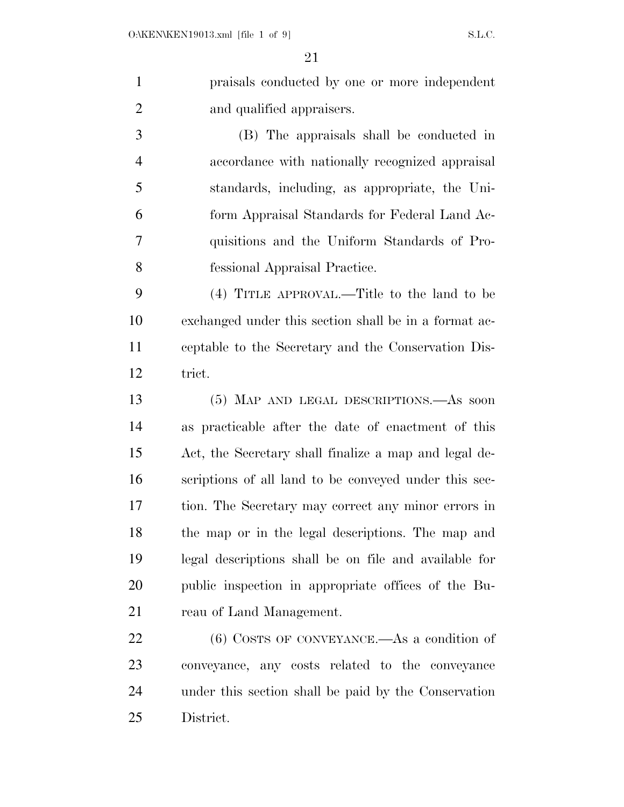praisals conducted by one or more independent and qualified appraisers.

 (B) The appraisals shall be conducted in accordance with nationally recognized appraisal standards, including, as appropriate, the Uni- form Appraisal Standards for Federal Land Ac- quisitions and the Uniform Standards of Pro-fessional Appraisal Practice.

 (4) TITLE APPROVAL.—Title to the land to be exchanged under this section shall be in a format ac- ceptable to the Secretary and the Conservation Dis-trict.

 (5) MAP AND LEGAL DESCRIPTIONS.—As soon as practicable after the date of enactment of this Act, the Secretary shall finalize a map and legal de- scriptions of all land to be conveyed under this sec- tion. The Secretary may correct any minor errors in the map or in the legal descriptions. The map and legal descriptions shall be on file and available for public inspection in appropriate offices of the Bu-21 reau of Land Management.

 (6) COSTS OF CONVEYANCE.—As a condition of conveyance, any costs related to the conveyance under this section shall be paid by the Conservation District.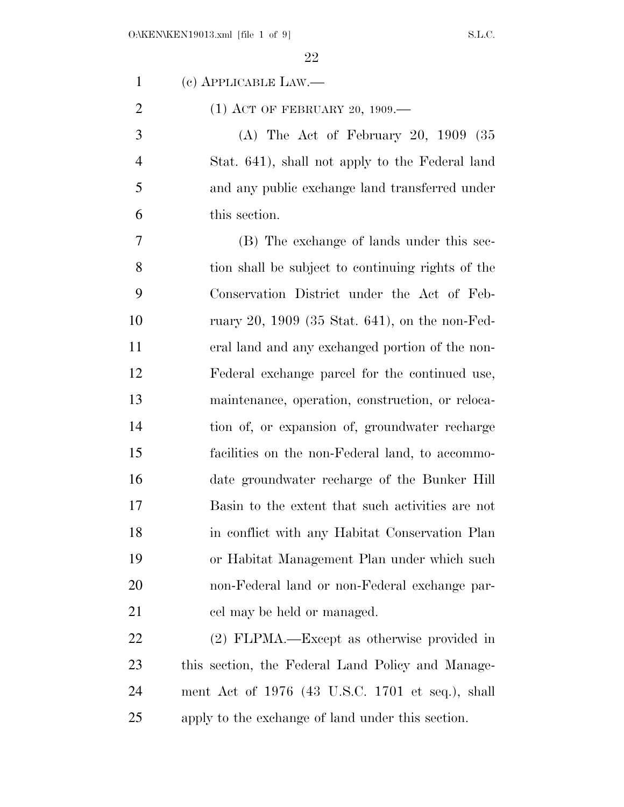(c) APPLICABLE LAW.—

2 (1) ACT OF FEBRUARY 20, 1909.—

 (A) The Act of February 20, 1909 (35 Stat. 641), shall not apply to the Federal land and any public exchange land transferred under this section.

 (B) The exchange of lands under this sec- tion shall be subject to continuing rights of the Conservation District under the Act of Feb- ruary 20, 1909 (35 Stat. 641), on the non-Fed- eral land and any exchanged portion of the non- Federal exchange parcel for the continued use, maintenance, operation, construction, or reloca- tion of, or expansion of, groundwater recharge facilities on the non-Federal land, to accommo- date groundwater recharge of the Bunker Hill Basin to the extent that such activities are not in conflict with any Habitat Conservation Plan or Habitat Management Plan under which such non-Federal land or non-Federal exchange par-21 cel may be held or managed.

 (2) FLPMA.—Except as otherwise provided in this section, the Federal Land Policy and Manage- ment Act of 1976 (43 U.S.C. 1701 et seq.), shall apply to the exchange of land under this section.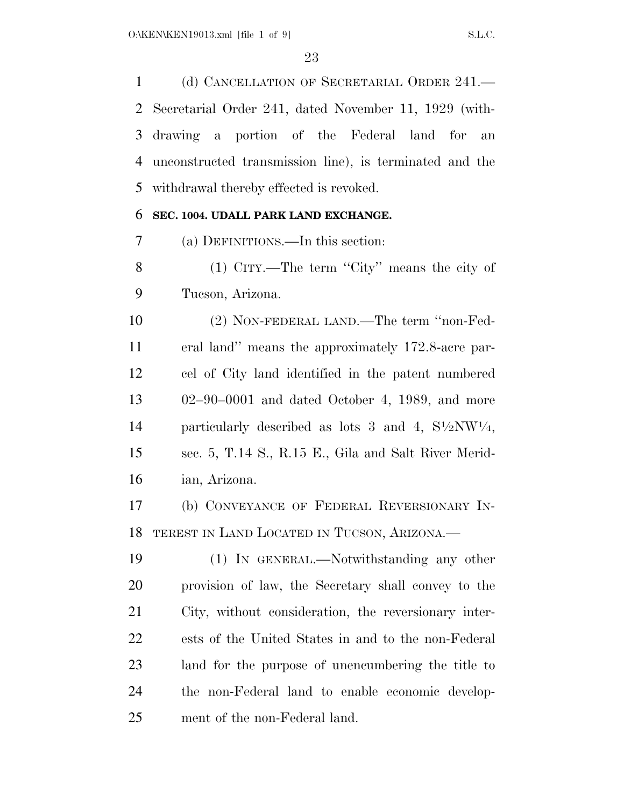(d) CANCELLATION OF SECRETARIAL ORDER 241.— Secretarial Order 241, dated November 11, 1929 (with- drawing a portion of the Federal land for an unconstructed transmission line), is terminated and the withdrawal thereby effected is revoked.

# **SEC. 1004. UDALL PARK LAND EXCHANGE.**

(a) DEFINITIONS.—In this section:

8 (1) CITY.—The term "City" means the city of Tucson, Arizona.

 (2) NON-FEDERAL LAND.—The term ''non-Fed- eral land'' means the approximately 172.8-acre par- cel of City land identified in the patent numbered 02–90–0001 and dated October 4, 1989, and more 14 particularly described as lots 3 and 4,  $S1/2NW1/4$ , sec. 5, T.14 S., R.15 E., Gila and Salt River Merid-ian, Arizona.

 (b) CONVEYANCE OF FEDERAL REVERSIONARY IN-TEREST IN LAND LOCATED IN TUCSON, ARIZONA.—

 (1) IN GENERAL.—Notwithstanding any other provision of law, the Secretary shall convey to the City, without consideration, the reversionary inter- ests of the United States in and to the non-Federal land for the purpose of unencumbering the title to the non-Federal land to enable economic develop-ment of the non-Federal land.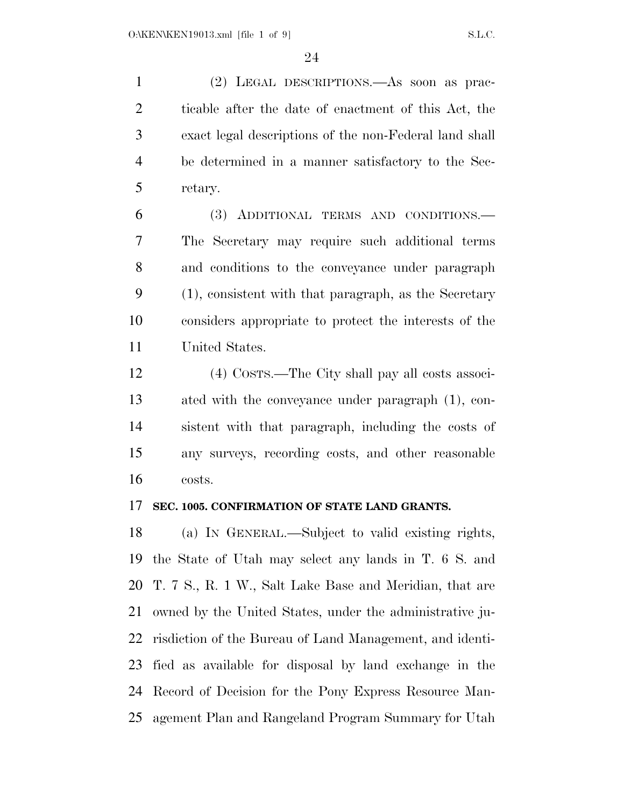(2) LEGAL DESCRIPTIONS.—As soon as prac- ticable after the date of enactment of this Act, the exact legal descriptions of the non-Federal land shall be determined in a manner satisfactory to the Sec-retary.

 (3) ADDITIONAL TERMS AND CONDITIONS.— The Secretary may require such additional terms and conditions to the conveyance under paragraph (1), consistent with that paragraph, as the Secretary considers appropriate to protect the interests of the United States.

 (4) COSTS.—The City shall pay all costs associ- ated with the conveyance under paragraph (1), con- sistent with that paragraph, including the costs of any surveys, recording costs, and other reasonable costs.

# **SEC. 1005. CONFIRMATION OF STATE LAND GRANTS.**

 (a) IN GENERAL.—Subject to valid existing rights, the State of Utah may select any lands in T. 6 S. and T. 7 S., R. 1 W., Salt Lake Base and Meridian, that are owned by the United States, under the administrative ju- risdiction of the Bureau of Land Management, and identi- fied as available for disposal by land exchange in the Record of Decision for the Pony Express Resource Man-agement Plan and Rangeland Program Summary for Utah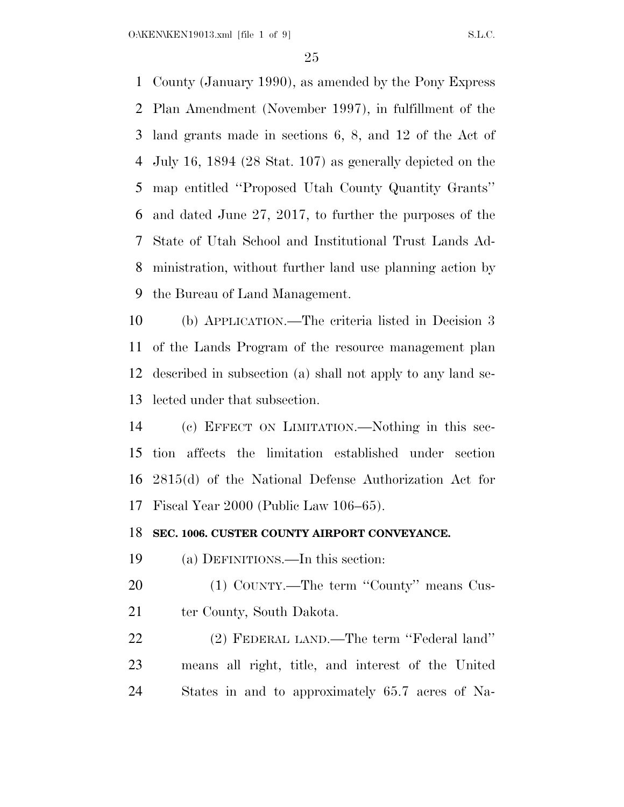O:\KEN\KEN19013.xml [file 1 of 9] S.L.C.

 County (January 1990), as amended by the Pony Express Plan Amendment (November 1997), in fulfillment of the land grants made in sections 6, 8, and 12 of the Act of July 16, 1894 (28 Stat. 107) as generally depicted on the map entitled ''Proposed Utah County Quantity Grants'' and dated June 27, 2017, to further the purposes of the State of Utah School and Institutional Trust Lands Ad- ministration, without further land use planning action by the Bureau of Land Management.

 (b) APPLICATION.—The criteria listed in Decision 3 of the Lands Program of the resource management plan described in subsection (a) shall not apply to any land se-lected under that subsection.

 (c) EFFECT ON LIMITATION.—Nothing in this sec- tion affects the limitation established under section 2815(d) of the National Defense Authorization Act for Fiscal Year 2000 (Public Law 106–65).

# **SEC. 1006. CUSTER COUNTY AIRPORT CONVEYANCE.**

(a) DEFINITIONS.—In this section:

20 (1) COUNTY.—The term "County" means Cus-21 ter County, South Dakota.

 (2) FEDERAL LAND.—The term ''Federal land'' means all right, title, and interest of the United States in and to approximately 65.7 acres of Na-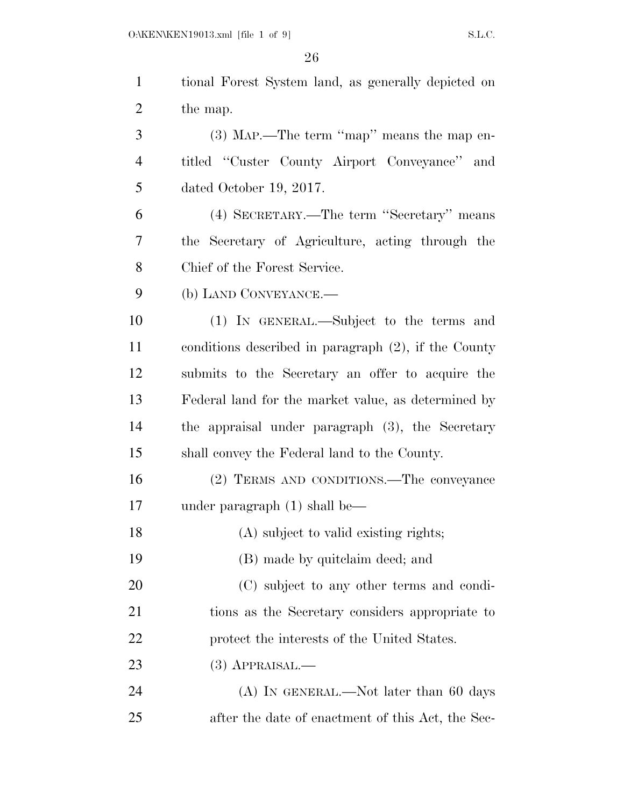| $\mathbf{1}$   | tional Forest System land, as generally depicted on     |
|----------------|---------------------------------------------------------|
| $\overline{2}$ | the map.                                                |
| 3              | $(3)$ MAP.—The term "map" means the map en-             |
| $\overline{4}$ | titled "Custer County Airport Conveyance" and           |
| 5              | dated October 19, 2017.                                 |
| 6              | (4) SECRETARY.—The term "Secretary" means               |
| 7              | the Secretary of Agriculture, acting through the        |
| 8              | Chief of the Forest Service.                            |
| 9              | (b) LAND CONVEYANCE.—                                   |
| 10             | (1) IN GENERAL.—Subject to the terms and                |
| 11             | conditions described in paragraph $(2)$ , if the County |
| 12             | submits to the Secretary an offer to acquire the        |
| 13             | Federal land for the market value, as determined by     |
| 14             | the appraisal under paragraph (3), the Secretary        |
| 15             | shall convey the Federal land to the County.            |
| 16             | (2) TERMS AND CONDITIONS.—The conveyance                |
| 17             | under paragraph $(1)$ shall be—                         |
| 18             | (A) subject to valid existing rights;                   |
| 19             | (B) made by quite laim deed; and                        |
| 20             | (C) subject to any other terms and condi-               |
| 21             | tions as the Secretary considers appropriate to         |
| 22             | protect the interests of the United States.             |
| 23             | $(3)$ APPRAISAL.—                                       |
| 24             | $(A)$ In GENERAL.—Not later than 60 days                |
| 25             | after the date of enactment of this Act, the Sec-       |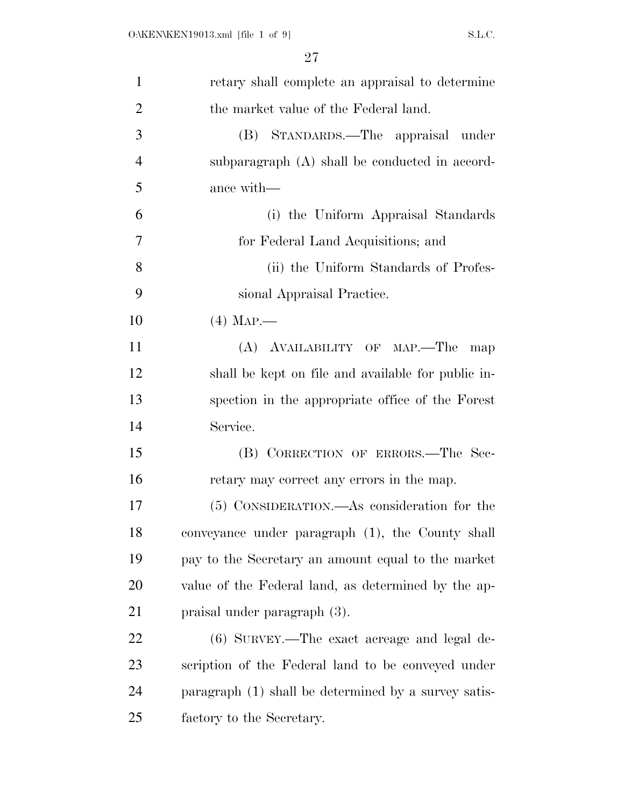| $\mathbf{1}$   | retary shall complete an appraisal to determine      |
|----------------|------------------------------------------------------|
| $\overline{2}$ | the market value of the Federal land.                |
| 3              | (B) STANDARDS.—The appraisal under                   |
| $\overline{4}$ | subparagraph (A) shall be conducted in accord-       |
| 5              | ance with—                                           |
| 6              | (i) the Uniform Appraisal Standards                  |
| 7              | for Federal Land Acquisitions; and                   |
| 8              | (ii) the Uniform Standards of Profes-                |
| 9              | sional Appraisal Practice.                           |
| 10             | $(4)$ Map.—                                          |
| 11             | (A) AVAILABILITY OF MAP.—The<br>map                  |
| 12             | shall be kept on file and available for public in-   |
| 13             | spection in the appropriate office of the Forest     |
| 14             | Service.                                             |
| 15             | (B) CORRECTION OF ERRORS.—The Sec-                   |
| 16             | retary may correct any errors in the map.            |
| 17             | (5) CONSIDERATION.—As consideration for the          |
| 18             | conveyance under paragraph (1), the County shall     |
| 19             | pay to the Secretary an amount equal to the market   |
| 20             | value of the Federal land, as determined by the ap-  |
| 21             | praisal under paragraph (3).                         |
| 22             | $(6)$ SURVEY.—The exact acreage and legal de-        |
| 23             | scription of the Federal land to be conveyed under   |
| 24             | paragraph (1) shall be determined by a survey satis- |
| 25             | factory to the Secretary.                            |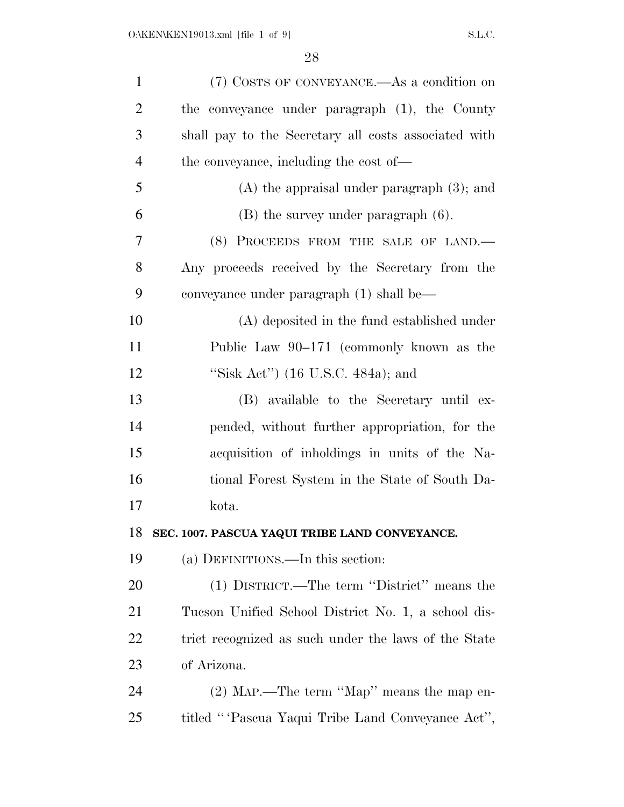| $\mathbf{1}$   | (7) COSTS OF CONVEYANCE.—As a condition on           |
|----------------|------------------------------------------------------|
| $\overline{2}$ | the conveyance under paragraph (1), the County       |
| 3              | shall pay to the Secretary all costs associated with |
| $\overline{4}$ | the conveyance, including the cost of—               |
| 5              | $(A)$ the appraisal under paragraph $(3)$ ; and      |
| 6              | $(B)$ the survey under paragraph $(6)$ .             |
| 7              | (8) PROCEEDS FROM THE SALE OF LAND.                  |
| 8              | Any proceeds received by the Secretary from the      |
| 9              | conveyance under paragraph (1) shall be—             |
| 10             | (A) deposited in the fund established under          |
| 11             | Public Law 90–171 (commonly known as the             |
| 12             | "Sisk Act") $(16 \text{ U.S.C. } 484a)$ ; and        |
| 13             | (B) available to the Secretary until ex-             |
| 14             | pended, without further appropriation, for the       |
| 15             | acquisition of inholdings in units of the Na-        |
| 16             | tional Forest System in the State of South Da-       |
| 17             | kota.                                                |
| 18             | SEC. 1007. PASCUA YAQUI TRIBE LAND CONVEYANCE.       |
| 19             | (a) DEFINITIONS.—In this section:                    |
| 20             | (1) DISTRICT.—The term "District" means the          |
| 21             | Tueson Unified School District No. 1, a school dis-  |
| <u>22</u>      | trict recognized as such under the laws of the State |
| 23             | of Arizona.                                          |
| 24             | (2) MAP.—The term "Map" means the map en-            |
| 25             | titled "Pascua Yaqui Tribe Land Conveyance Act",     |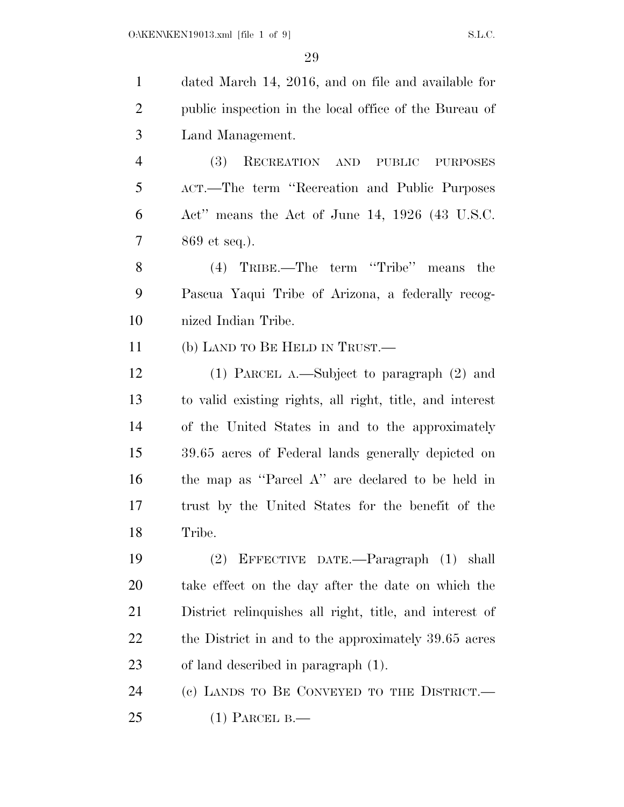| $\mathbf{1}$   | dated March 14, 2016, and on file and available for      |
|----------------|----------------------------------------------------------|
| $\overline{2}$ | public inspection in the local office of the Bureau of   |
| 3              | Land Management.                                         |
| $\overline{4}$ | <b>(3)</b><br>RECREATION AND PUBLIC<br><b>PURPOSES</b>   |
| 5              | ACT.—The term "Recreation and Public Purposes"           |
| 6              | Act" means the Act of June 14, $1926$ (43 U.S.C.         |
| 7              | $869$ et seq.).                                          |
| 8              | term "Tribe" means the<br>TRIBE.—The<br>(4)              |
| 9              | Pascua Yaqui Tribe of Arizona, a federally recog-        |
| 10             | nized Indian Tribe.                                      |
| 11             | (b) LAND TO BE HELD IN TRUST.—                           |
| 12             | (1) PARCEL A.—Subject to paragraph $(2)$ and             |
| 13             | to valid existing rights, all right, title, and interest |
| 14             | of the United States in and to the approximately         |
| 15             | 39.65 acres of Federal lands generally depicted on       |
| 16             | the map as "Parcel A" are declared to be held in         |
| 17             | trust by the United States for the benefit of the        |
| 18             | Tribe.                                                   |
| 19             | EFFECTIVE DATE.—Paragraph (1) shall<br>(2)               |
| 20             | take effect on the day after the date on which the       |
| 21             | District relinquishes all right, title, and interest of  |
| 22             | the District in and to the approximately 39.65 acres     |
| 23             | of land described in paragraph (1).                      |
| 24             | (c) LANDS TO BE CONVEYED TO THE DISTRICT.                |
| 25             | $(1)$ PARCEL B.—                                         |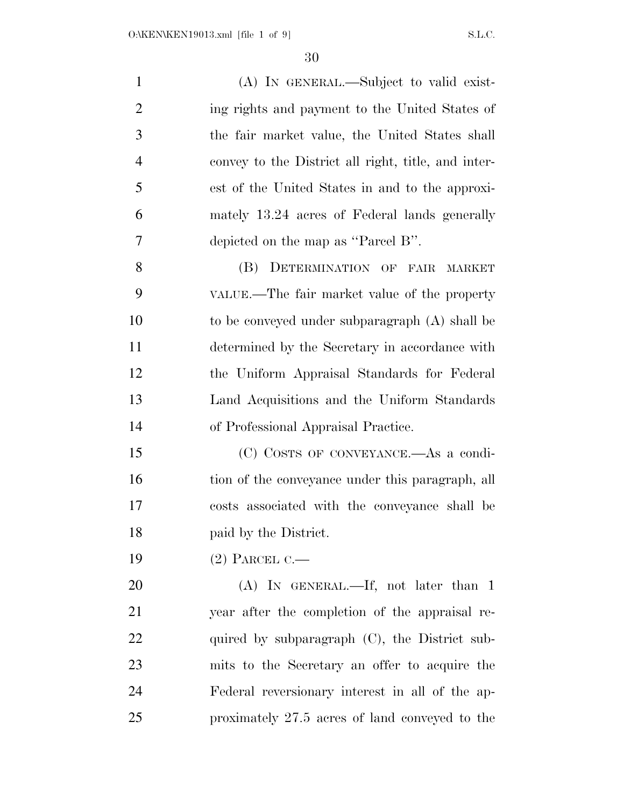| $\mathbf{1}$   | (A) IN GENERAL.—Subject to valid exist-             |
|----------------|-----------------------------------------------------|
| $\overline{2}$ | ing rights and payment to the United States of      |
| $\mathfrak{Z}$ | the fair market value, the United States shall      |
| $\overline{4}$ | convey to the District all right, title, and inter- |
| 5              | est of the United States in and to the approxi-     |
| 6              | mately 13.24 acres of Federal lands generally       |
| 7              | depicted on the map as "Parcel B".                  |
| 8              | (B)<br>DETERMINATION OF FAIR MARKET                 |
| 9              | VALUE.—The fair market value of the property        |
| 10             | to be conveyed under subparagraph (A) shall be      |
| 11             | determined by the Secretary in accordance with      |
| 12             | the Uniform Appraisal Standards for Federal         |
| 13             | Land Acquisitions and the Uniform Standards         |
| 14             | of Professional Appraisal Practice.                 |
| 15             | (C) COSTS OF CONVEYANCE.-As a condi-                |
| 16             | tion of the conveyance under this paragraph, all    |
| 17             | costs associated with the conveyance shall be       |
| 18             | paid by the District.                               |
| 19             | $(2)$ PARCEL C.—                                    |
| 20             | $(A)$ IN GENERAL.—If, not later than 1              |
| 21             | year after the completion of the appraisal re-      |
| <u>22</u>      | quired by subparagraph $(C)$ , the District sub-    |
| 23             | mits to the Secretary an offer to acquire the       |
| 24             | Federal reversionary interest in all of the ap-     |
| 25             | proximately 27.5 acres of land conveyed to the      |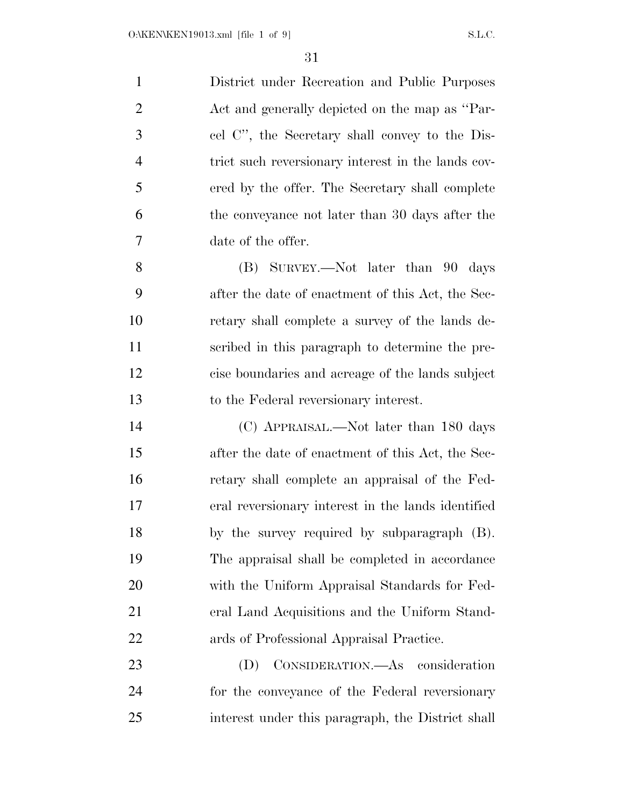| $\mathbf{1}$   | District under Recreation and Public Purposes      |
|----------------|----------------------------------------------------|
| $\overline{2}$ | Act and generally depicted on the map as "Par-     |
| 3              | cel C", the Secretary shall convey to the Dis-     |
| $\overline{4}$ | trict such reversionary interest in the lands cov- |
| 5              | ered by the offer. The Secretary shall complete    |
| 6              | the conveyance not later than 30 days after the    |
| 7              | date of the offer.                                 |
| 8              | (B) SURVEY.—Not later than 90<br>days              |
| 9              | after the date of enactment of this Act, the Sec-  |
| 10             | retary shall complete a survey of the lands de-    |
| 11             | scribed in this paragraph to determine the pre-    |
| 12             | cise boundaries and acreage of the lands subject   |
| 13             | to the Federal reversionary interest.              |
| 14             | (C) APPRAISAL.—Not later than 180 days             |
| 15             | after the date of enactment of this Act, the Sec-  |
| 16             | retary shall complete an appraisal of the Fed-     |
| 17             | eral reversionary interest in the lands identified |
| 18             | by the survey required by subparagraph (B).        |
| 19             | The appraisal shall be completed in accordance     |
| 20             | with the Uniform Appraisal Standards for Fed-      |
| 21             | eral Land Acquisitions and the Uniform Stand-      |
| 22             | ards of Professional Appraisal Practice.           |
| 23             | CONSIDERATION.—As consideration<br>(D)             |
|                |                                                    |

 for the conveyance of the Federal reversionary interest under this paragraph, the District shall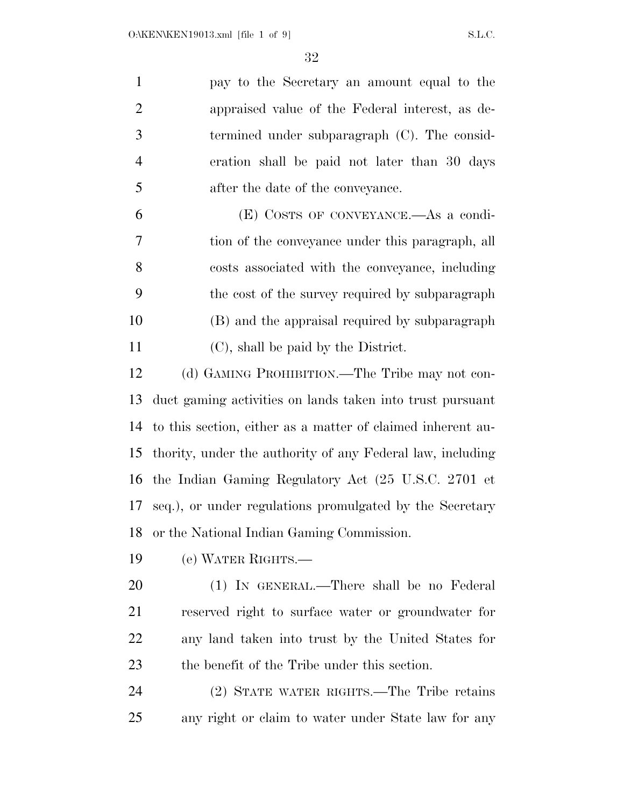| $\mathbf{1}$   | pay to the Secretary an amount equal to the                 |
|----------------|-------------------------------------------------------------|
| $\overline{2}$ | appraised value of the Federal interest, as de-             |
| 3              | termined under subparagraph $(C)$ . The consid-             |
| $\overline{4}$ | eration shall be paid not later than 30 days                |
| 5              | after the date of the conveyance.                           |
| 6              | (E) COSTS OF CONVEYANCE.—As a condi-                        |
| 7              | tion of the conveyance under this paragraph, all            |
| 8              | costs associated with the conveyance, including             |
| 9              | the cost of the survey required by subparagraph             |
| 10             | (B) and the appraisal required by subparagraph              |
| 11             | (C), shall be paid by the District.                         |
| 12             | (d) GAMING PROHIBITION.—The Tribe may not con-              |
| 13             | duct gaming activities on lands taken into trust pursuant   |
| 14             | to this section, either as a matter of claimed inherent au- |
| 15             | thority, under the authority of any Federal law, including  |
| 16             | the Indian Gaming Regulatory Act (25 U.S.C. 2701 et         |
| 17             | seq.), or under regulations promulgated by the Secretary    |
| 18             | or the National Indian Gaming Commission.                   |
| 19             | (e) WATER RIGHTS.—                                          |
| 20             | (1) IN GENERAL.—There shall be no Federal                   |
| 21             | reserved right to surface water or groundwater for          |
| 22             | any land taken into trust by the United States for          |
| 23             | the benefit of the Tribe under this section.                |
| 24             | (2) STATE WATER RIGHTS.—The Tribe retains                   |
| 25             | any right or claim to water under State law for any         |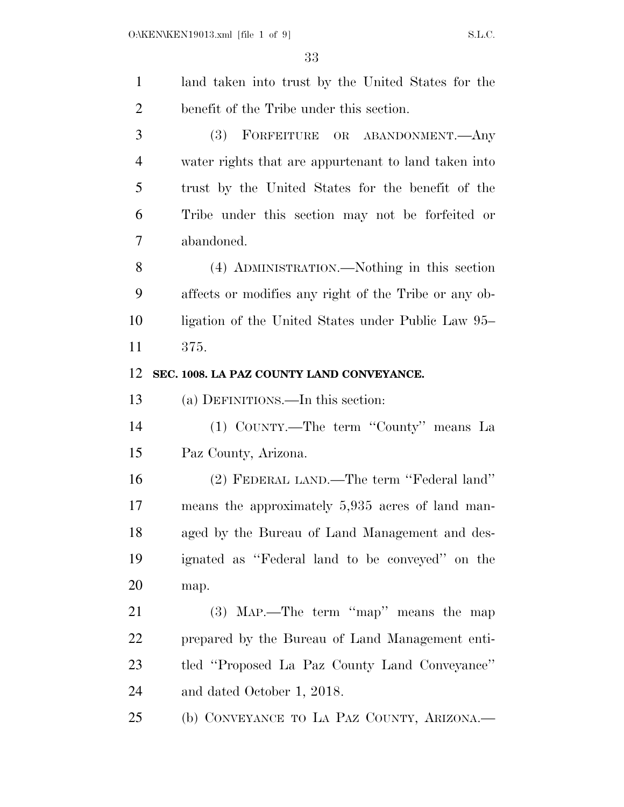| $\mathbf{1}$   | land taken into trust by the United States for the    |
|----------------|-------------------------------------------------------|
| $\overline{2}$ | benefit of the Tribe under this section.              |
| 3              | <b>(3)</b><br>FORFEITURE OR ABANDONMENT.—Any          |
| $\overline{4}$ | water rights that are appurtenant to land taken into  |
| 5              | trust by the United States for the benefit of the     |
| 6              | Tribe under this section may not be forfeited or      |
| 7              | abandoned.                                            |
| 8              | (4) ADMINISTRATION.—Nothing in this section           |
| 9              | affects or modifies any right of the Tribe or any ob- |
| 10             | ligation of the United States under Public Law 95–    |
| 11             | 375.                                                  |
| 12             | SEC. 1008. LA PAZ COUNTY LAND CONVEYANCE.             |
| 13             | (a) DEFINITIONS.—In this section:                     |
| 14             | (1) COUNTY.—The term "County" means La                |
| 15             | Paz County, Arizona.                                  |
| 16             | (2) FEDERAL LAND.—The term "Federal land"             |
| 17             | means the approximately 5,935 acres of land man-      |
| 18             | aged by the Bureau of Land Management and des-        |
| 19             | ignated as "Federal land to be conveyed" on the       |
| 20             | map.                                                  |
| 21             | $(3)$ MAP.—The term "map" means the map               |
| 22             | prepared by the Bureau of Land Management enti-       |
| 23             | tled "Proposed La Paz County Land Conveyance"         |
| 24             | and dated October 1, 2018.                            |
| 25             | (b) CONVEYANCE TO LA PAZ COUNTY, ARIZONA.—            |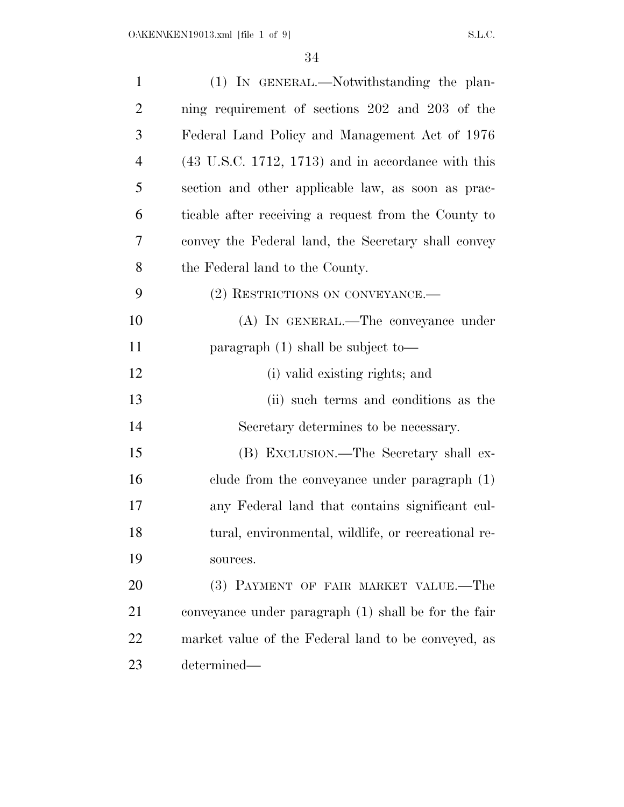| $\mathbf{1}$   | (1) IN GENERAL.—Notwithstanding the plan-                     |
|----------------|---------------------------------------------------------------|
| $\overline{2}$ | ning requirement of sections 202 and 203 of the               |
| 3              | Federal Land Policy and Management Act of 1976                |
| $\overline{4}$ | $(43 \text{ U.S.C. } 1712, 1713)$ and in accordance with this |
| 5              | section and other applicable law, as soon as prac-            |
| 6              | ticable after receiving a request from the County to          |
| 7              | convey the Federal land, the Secretary shall convey           |
| 8              | the Federal land to the County.                               |
| 9              | (2) RESTRICTIONS ON CONVEYANCE.                               |
| 10             | (A) IN GENERAL.—The conveyance under                          |
| 11             | paragraph $(1)$ shall be subject to-                          |
| 12             | (i) valid existing rights; and                                |
| 13             | (ii) such terms and conditions as the                         |
| 14             | Secretary determines to be necessary.                         |
| 15             | (B) EXCLUSION.—The Secretary shall ex-                        |
| 16             | clude from the conveyance under paragraph $(1)$               |
| 17             | any Federal land that contains significant cul-               |
| 18             | tural, environmental, wildlife, or recreational re-           |
| 19             | sources.                                                      |
| 20             | (3) PAYMENT OF FAIR MARKET VALUE.—The                         |
| 21             | conveyance under paragraph (1) shall be for the fair          |
| 22             | market value of the Federal land to be conveyed, as           |
| 23             | determined—                                                   |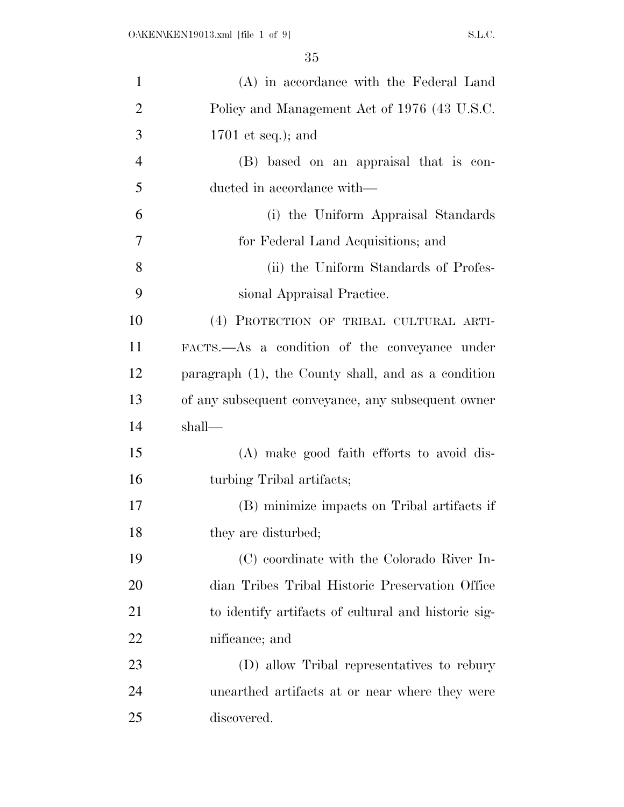| $\mathbf{1}$   | (A) in accordance with the Federal Land                |
|----------------|--------------------------------------------------------|
| $\overline{2}$ | Policy and Management Act of 1976 (43 U.S.C.           |
| 3              | $1701$ et seq.); and                                   |
| $\overline{4}$ | (B) based on an appraisal that is con-                 |
| 5              | ducted in accordance with—                             |
| 6              | (i) the Uniform Appraisal Standards                    |
| 7              | for Federal Land Acquisitions; and                     |
| 8              | (ii) the Uniform Standards of Profes-                  |
| 9              | sional Appraisal Practice.                             |
| 10             | (4) PROTECTION OF TRIBAL CULTURAL ARTI-                |
| 11             | FACTS.—As a condition of the conveyance under          |
| 12             | paragraph $(1)$ , the County shall, and as a condition |
| 13             | of any subsequent conveyance, any subsequent owner     |
| 14             | shall—                                                 |
| 15             | (A) make good faith efforts to avoid dis-              |
| 16             | turbing Tribal artifacts;                              |
| 17             | (B) minimize impacts on Tribal artifacts if            |
| 18             | they are disturbed;                                    |
| 19             | (C) coordinate with the Colorado River In-             |
| 20             | dian Tribes Tribal Historic Preservation Office        |
| 21             | to identify artifacts of cultural and historic sig-    |
| 22             | nificance; and                                         |
| 23             | (D) allow Tribal representatives to rebury             |
| 24             | unearthed artifacts at or near where they were         |
| 25             | discovered.                                            |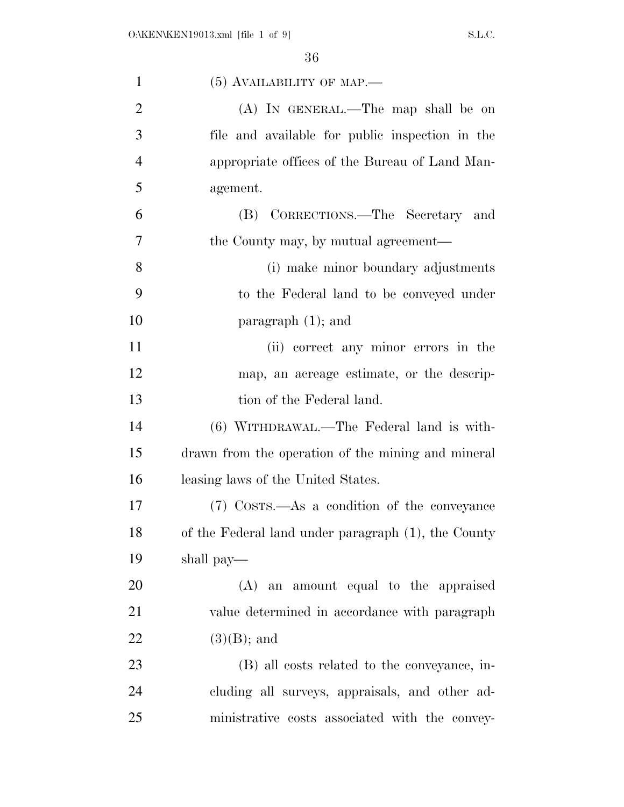| $\mathbf{1}$   | $(5)$ AVAILABILITY OF MAP.—                         |
|----------------|-----------------------------------------------------|
| $\overline{2}$ | $(A)$ In GENERAL.—The map shall be on               |
| 3              | file and available for public inspection in the     |
| $\overline{4}$ | appropriate offices of the Bureau of Land Man-      |
| 5              | agement.                                            |
| 6              | (B) CORRECTIONS.—The Secretary and                  |
| 7              | the County may, by mutual agreement—                |
| 8              | (i) make minor boundary adjustments                 |
| 9              | to the Federal land to be conveyed under            |
| 10             | paragraph $(1)$ ; and                               |
| 11             | (ii) correct any minor errors in the                |
| 12             | map, an acreage estimate, or the descrip-           |
| 13             | tion of the Federal land.                           |
| 14             | (6) WITHDRAWAL.—The Federal land is with-           |
| 15             | drawn from the operation of the mining and mineral  |
| 16             | leasing laws of the United States.                  |
| 17             | (7) Costs.—As a condition of the conveyance         |
| 18             | of the Federal land under paragraph (1), the County |
| 19             | shall pay—                                          |
| 20             | (A) an amount equal to the appraised                |
| 21             | value determined in accordance with paragraph       |
| 22             | $(3)(B)$ ; and                                      |
| 23             | (B) all costs related to the conveyance, in-        |
| 24             | cluding all surveys, appraisals, and other ad-      |
| 25             | ministrative costs associated with the convey-      |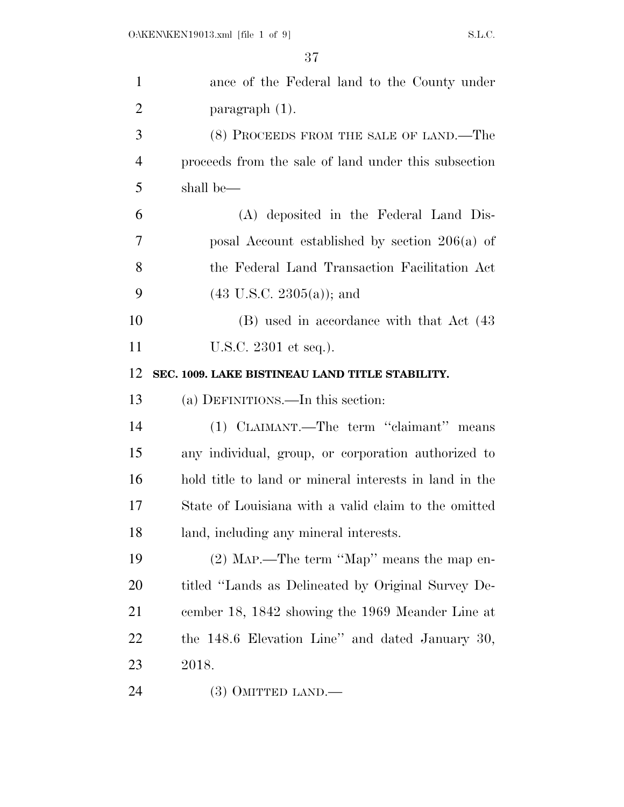| $\mathbf{1}$   | ance of the Federal land to the County under           |
|----------------|--------------------------------------------------------|
| $\overline{2}$ | paragraph (1).                                         |
| 3              | (8) PROCEEDS FROM THE SALE OF LAND.—The                |
| $\overline{4}$ | proceeds from the sale of land under this subsection   |
| 5              | shall be—                                              |
| 6              | (A) deposited in the Federal Land Dis-                 |
| 7              | posal Account established by section $206(a)$ of       |
| 8              | the Federal Land Transaction Facilitation Act          |
| 9              | $(43 \text{ U.S.C. } 2305(a))$ ; and                   |
| 10             | (B) used in accordance with that Act (43)              |
| 11             | U.S.C. 2301 et seq.).                                  |
| 12             | SEC. 1009. LAKE BISTINEAU LAND TITLE STABILITY.        |
|                |                                                        |
| 13             | (a) DEFINITIONS.—In this section:                      |
| 14             | (1) CLAIMANT.—The term "claimant" means                |
| 15             | any individual, group, or corporation authorized to    |
| 16             | hold title to land or mineral interests in land in the |
| 17             | State of Louisiana with a valid claim to the omitted   |
| 18             | land, including any mineral interests.                 |
| 19             | (2) MAP.—The term "Map" means the map en-              |
| 20             | titled "Lands as Delineated by Original Survey De-     |
| 21             | cember 18, 1842 showing the 1969 Meander Line at       |
| 22             | the 148.6 Elevation Line" and dated January 30,        |
| 23             | 2018.                                                  |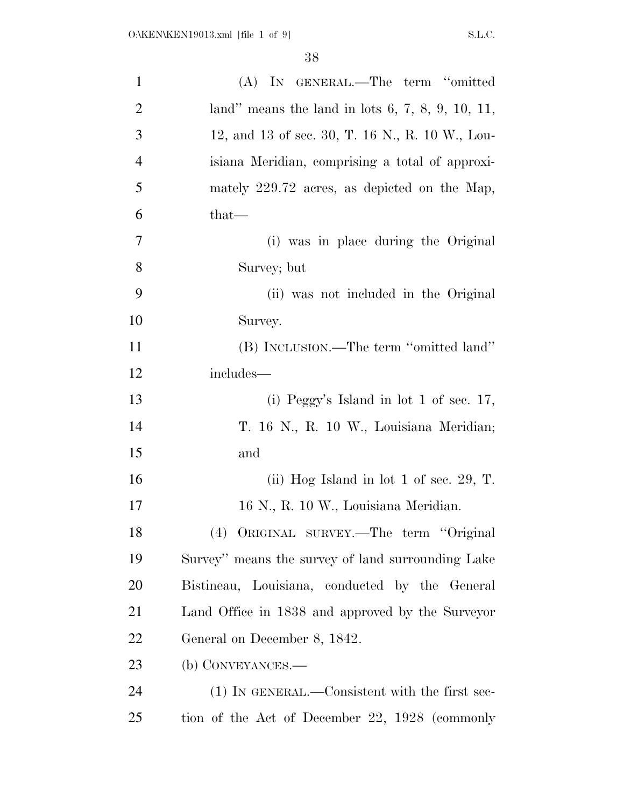| $\mathbf{1}$   | (A) IN GENERAL.—The term "omitted                  |
|----------------|----------------------------------------------------|
| $\overline{2}$ | land" means the land in lots $6, 7, 8, 9, 10, 11,$ |
| 3              | 12, and 13 of sec. 30, T. 16 N., R. 10 W., Lou-    |
| $\overline{4}$ | isiana Meridian, comprising a total of approxi-    |
| 5              | mately 229.72 acres, as depicted on the Map,       |
| 6              | that—                                              |
| 7              | (i) was in place during the Original               |
| 8              | Survey; but                                        |
| 9              | (ii) was not included in the Original              |
| 10             | Survey.                                            |
| 11             | (B) INCLUSION.—The term "omitted land"             |
| 12             | includes—                                          |
| 13             | (i) Peggy's Island in lot 1 of sec. $17$ ,         |
| 14             | T. 16 N., R. 10 W., Louisiana Meridian;            |
| 15             | and                                                |
| 16             | (ii) Hog Island in lot 1 of sec. 29, T.            |
| 17             | 16 N., R. 10 W., Louisiana Meridian.               |
| 18             | (4) ORIGINAL SURVEY.—The term "Original            |
| 19             | Survey" means the survey of land surrounding Lake  |
| 20             | Bistineau, Louisiana, conducted by the General     |
| 21             | Land Office in 1838 and approved by the Surveyor   |
| 22             | General on December 8, 1842.                       |
| 23             | (b) CONVEYANCES.—                                  |
| 24             | (1) IN GENERAL.—Consistent with the first sec-     |
| 25             | tion of the Act of December 22, 1928 (commonly     |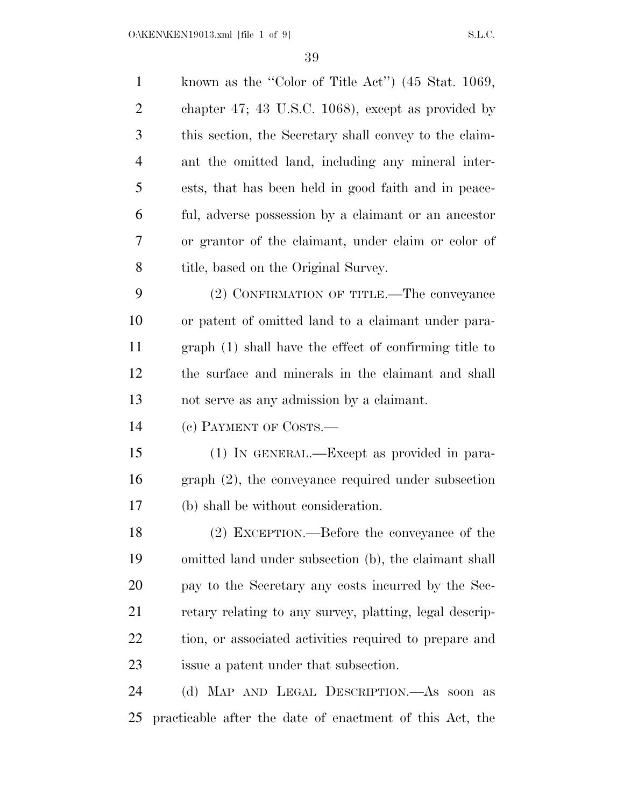$O:\kappa$ EN\KEN19013.xml [file 1 of 9] S.L.C.

| $\mathbf{1}$   | known as the "Color of Title Act" (45 Stat. 1069,        |
|----------------|----------------------------------------------------------|
| $\overline{2}$ | chapter 47; 43 U.S.C. 1068), except as provided by       |
| 3              | this section, the Secretary shall convey to the claim-   |
| $\overline{4}$ | ant the omitted land, including any mineral inter-       |
| 5              | ests, that has been held in good faith and in peace-     |
| 6              | ful, adverse possession by a claimant or an ancestor     |
| 7              | or grantor of the claimant, under claim or color of      |
| 8              | title, based on the Original Survey.                     |
| 9              | (2) CONFIRMATION OF TITLE.—The conveyance                |
| 10             | or patent of omitted land to a claimant under para-      |
| 11             | graph (1) shall have the effect of confirming title to   |
| 12             | the surface and minerals in the claimant and shall       |
| 13             | not serve as any admission by a claimant.                |
| 14             | (c) PAYMENT OF COSTS.—                                   |
| 15             | (1) IN GENERAL.—Except as provided in para-              |
| 16             | $graph (2)$ , the conveyance required under subsection   |
| 17             | (b) shall be without consideration.                      |
| 18             | (2) EXCEPTION.—Before the conveyance of the              |
| 19             | omitted land under subsection (b), the claimant shall    |
| 20             | pay to the Secretary any costs incurred by the Sec-      |
| 21             | retary relating to any survey, platting, legal descrip-  |
| 22             | tion, or associated activities required to prepare and   |
| 23             | is subsection.                                           |
| 24             | (d) MAP AND LEGAL DESCRIPTION.—As soon as                |
| 25             | practicable after the date of enactment of this Act, the |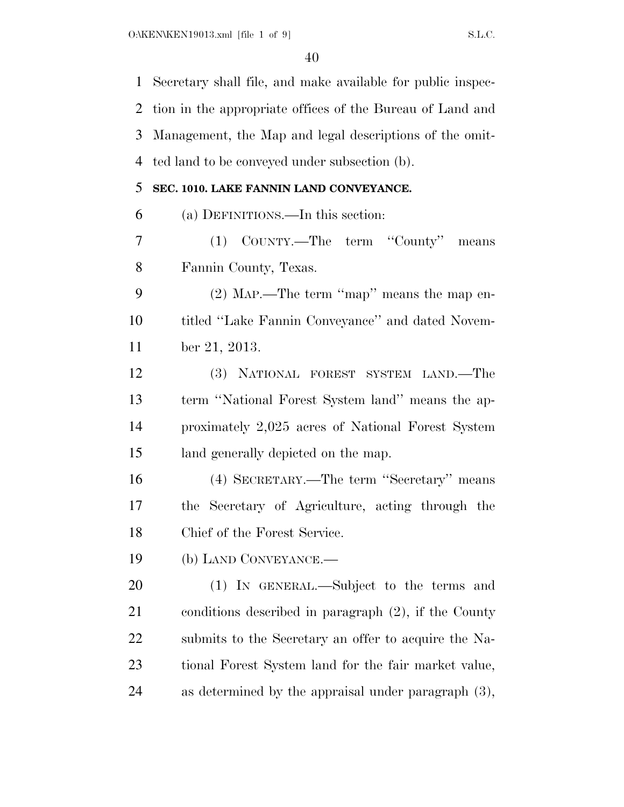Secretary shall file, and make available for public inspec- tion in the appropriate offices of the Bureau of Land and Management, the Map and legal descriptions of the omit- ted land to be conveyed under subsection (b). **SEC. 1010. LAKE FANNIN LAND CONVEYANCE.**  (a) DEFINITIONS.—In this section: (1) COUNTY.—The term ''County'' means Fannin County, Texas. (2) MAP.—The term ''map'' means the map en- titled ''Lake Fannin Conveyance'' and dated Novem- ber 21, 2013. (3) NATIONAL FOREST SYSTEM LAND.—The term ''National Forest System land'' means the ap- proximately 2,025 acres of National Forest System land generally depicted on the map. (4) SECRETARY.—The term ''Secretary'' means the Secretary of Agriculture, acting through the Chief of the Forest Service. (b) LAND CONVEYANCE.— (1) IN GENERAL.—Subject to the terms and conditions described in paragraph (2), if the County submits to the Secretary an offer to acquire the Na- tional Forest System land for the fair market value, as determined by the appraisal under paragraph (3),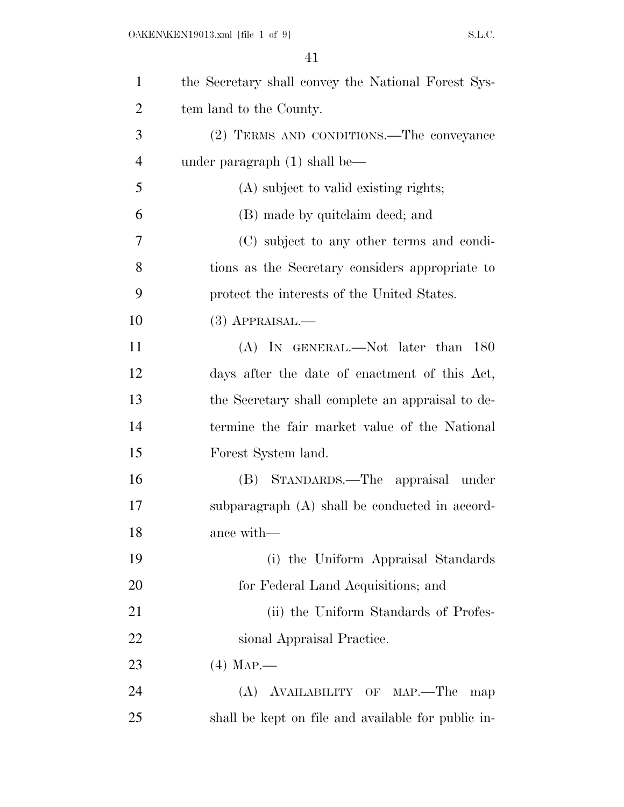| $\mathbf{1}$   | the Secretary shall convey the National Forest Sys- |
|----------------|-----------------------------------------------------|
| $\overline{2}$ | tem land to the County.                             |
| 3              | (2) TERMS AND CONDITIONS.—The conveyance            |
| $\overline{4}$ | under paragraph $(1)$ shall be—                     |
| 5              | (A) subject to valid existing rights;               |
| 6              | (B) made by quitclaim deed; and                     |
| 7              | (C) subject to any other terms and condi-           |
| 8              | tions as the Secretary considers appropriate to     |
| 9              | protect the interests of the United States.         |
| 10             | $(3)$ APPRAISAL.—                                   |
| 11             | (A) IN GENERAL.—Not later than 180                  |
| 12             | days after the date of enactment of this Act,       |
| 13             | the Secretary shall complete an appraisal to de-    |
| 14             | termine the fair market value of the National       |
| 15             | Forest System land.                                 |
| 16             | (B) STANDARDS.—The appraisal under                  |
| 17             | subparagraph (A) shall be conducted in accord-      |
| 18             | ance with-                                          |
| 19             | (i) the Uniform Appraisal Standards                 |
| 20             | for Federal Land Acquisitions; and                  |
| 21             | (ii) the Uniform Standards of Profes-               |
| 22             | sional Appraisal Practice.                          |
| 23             | $(4)$ Map.                                          |
| 24             | (A) AVAILABILITY OF MAP.—The<br>map                 |
| 25             | shall be kept on file and available for public in-  |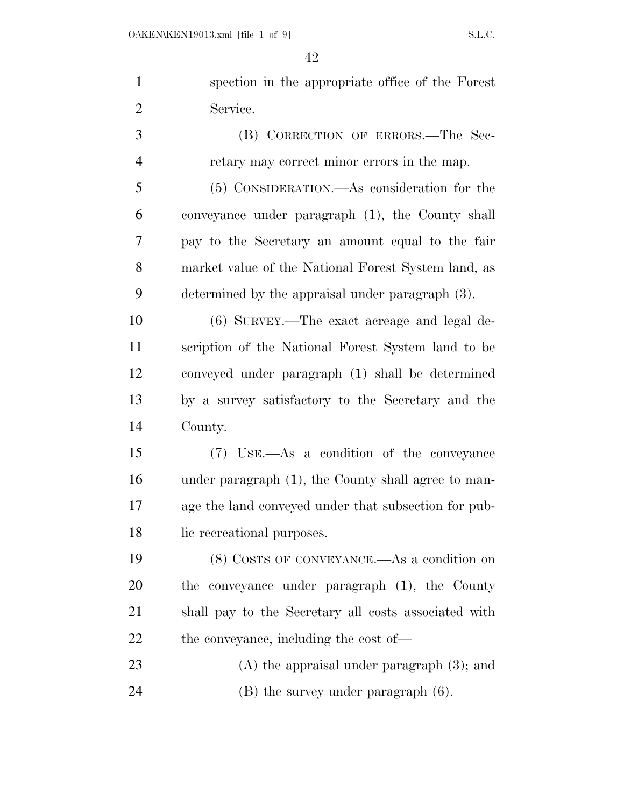| $\mathbf{1}$   | spection in the appropriate office of the Forest     |
|----------------|------------------------------------------------------|
| $\overline{2}$ | Service.                                             |
| 3              | (B) CORRECTION OF ERRORS.—The Sec-                   |
| $\overline{4}$ | retary may correct minor errors in the map.          |
| 5              | (5) CONSIDERATION.—As consideration for the          |
| 6              | conveyance under paragraph (1), the County shall     |
| 7              | pay to the Secretary an amount equal to the fair     |
| 8              | market value of the National Forest System land, as  |
| 9              | determined by the appraisal under paragraph (3).     |
| 10             | (6) SURVEY.—The exact acreage and legal de-          |
| 11             | scription of the National Forest System land to be   |
| 12             | conveyed under paragraph (1) shall be determined     |
| 13             | by a survey satisfactory to the Secretary and the    |
| 14             | County.                                              |
| 15             | (7) USE.—As a condition of the conveyance            |
| 16             | under paragraph (1), the County shall agree to man-  |
| 17             | age the land conveyed under that subsection for pub- |
| 18             | lic recreational purposes.                           |
| 19             | (8) COSTS OF CONVEYANCE.—As a condition on           |
| 20             | the conveyance under paragraph (1), the County       |
| 21             | shall pay to the Secretary all costs associated with |
| 22             | the conveyance, including the cost of—               |
| 23             | $(A)$ the appraisal under paragraph $(3)$ ; and      |
| 24             | $(B)$ the survey under paragraph $(6)$ .             |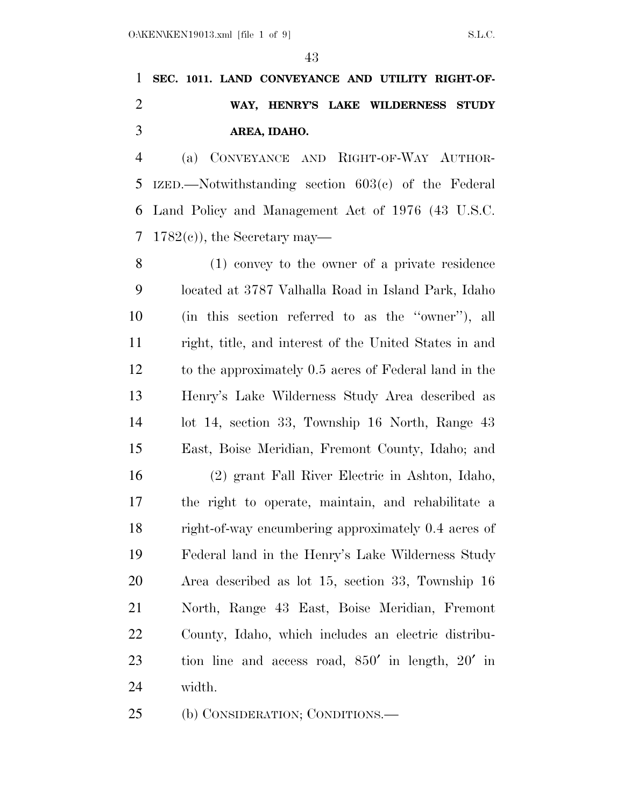## **SEC. 1011. LAND CONVEYANCE AND UTILITY RIGHT-OF- WAY, HENRY'S LAKE WILDERNESS STUDY AREA, IDAHO.**

 (a) CONVEYANCE AND RIGHT-OF-WAY AUTHOR- IZED.—Notwithstanding section 603(c) of the Federal Land Policy and Management Act of 1976 (43 U.S.C. 7 1782 $(e)$ , the Secretary may—

 (1) convey to the owner of a private residence located at 3787 Valhalla Road in Island Park, Idaho (in this section referred to as the ''owner''), all right, title, and interest of the United States in and to the approximately 0.5 acres of Federal land in the Henry's Lake Wilderness Study Area described as lot 14, section 33, Township 16 North, Range 43 East, Boise Meridian, Fremont County, Idaho; and

 (2) grant Fall River Electric in Ashton, Idaho, the right to operate, maintain, and rehabilitate a right-of-way encumbering approximately 0.4 acres of Federal land in the Henry's Lake Wilderness Study Area described as lot 15, section 33, Township 16 North, Range 43 East, Boise Meridian, Fremont County, Idaho, which includes an electric distribu- tion line and access road, 850′ in length, 20′ in width.

(b) CONSIDERATION; CONDITIONS.—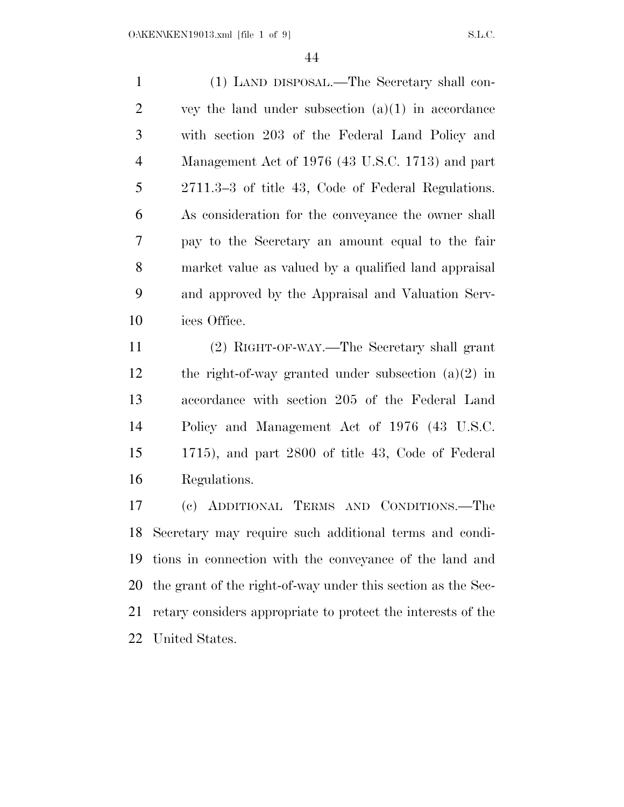(1) LAND DISPOSAL.—The Secretary shall con- $2 \qquad \text{vey the land under subsection (a)(1) in accordance}$  with section 203 of the Federal Land Policy and Management Act of 1976 (43 U.S.C. 1713) and part 2711.3–3 of title 43, Code of Federal Regulations. As consideration for the conveyance the owner shall pay to the Secretary an amount equal to the fair market value as valued by a qualified land appraisal and approved by the Appraisal and Valuation Serv-ices Office.

 (2) RIGHT-OF-WAY.—The Secretary shall grant the right-of-way granted under subsection (a)(2) in accordance with section 205 of the Federal Land Policy and Management Act of 1976 (43 U.S.C. 1715), and part 2800 of title 43, Code of Federal Regulations.

 (c) ADDITIONAL TERMS AND CONDITIONS.—The Secretary may require such additional terms and condi- tions in connection with the conveyance of the land and the grant of the right-of-way under this section as the Sec- retary considers appropriate to protect the interests of the United States.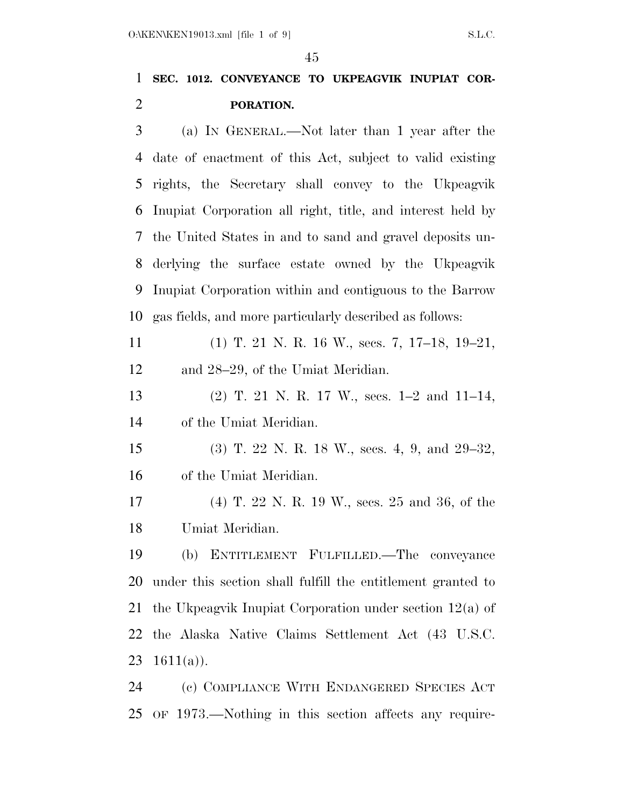### **SEC. 1012. CONVEYANCE TO UKPEAGVIK INUPIAT COR-PORATION.**

 (a) IN GENERAL.—Not later than 1 year after the date of enactment of this Act, subject to valid existing rights, the Secretary shall convey to the Ukpeagvik Inupiat Corporation all right, title, and interest held by the United States in and to sand and gravel deposits un- derlying the surface estate owned by the Ukpeagvik Inupiat Corporation within and contiguous to the Barrow gas fields, and more particularly described as follows:

 (1) T. 21 N. R. 16 W., secs. 7, 17–18, 19–21, and 28–29, of the Umiat Meridian.

 (2) T. 21 N. R. 17 W., secs. 1–2 and 11–14, of the Umiat Meridian.

 (3) T. 22 N. R. 18 W., secs. 4, 9, and 29–32, of the Umiat Meridian.

 (4) T. 22 N. R. 19 W., secs. 25 and 36, of the Umiat Meridian.

 (b) ENTITLEMENT FULFILLED.—The conveyance under this section shall fulfill the entitlement granted to the Ukpeagvik Inupiat Corporation under section 12(a) of the Alaska Native Claims Settlement Act (43 U.S.C.  $1611(a)$ ).

 (c) COMPLIANCE WITH ENDANGERED SPECIES ACT OF 1973.—Nothing in this section affects any require-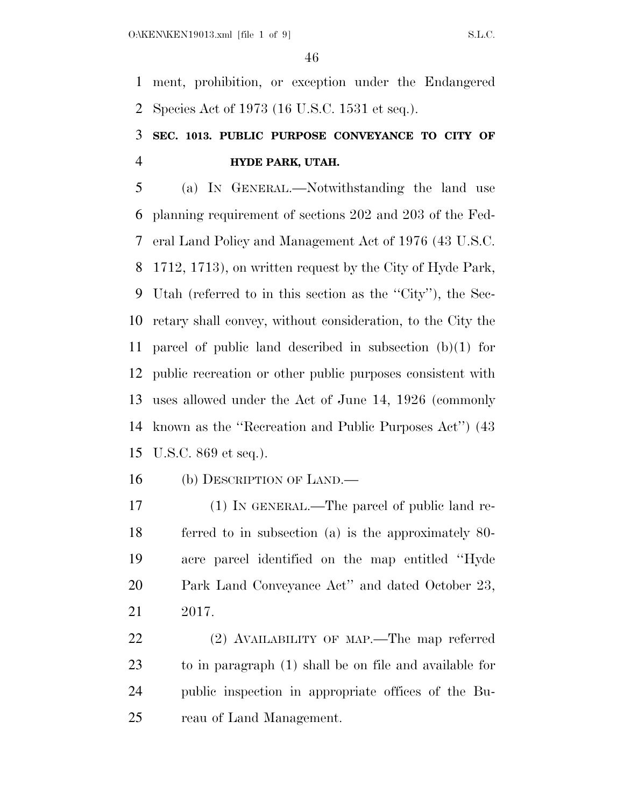ment, prohibition, or exception under the Endangered Species Act of 1973 (16 U.S.C. 1531 et seq.).

## **SEC. 1013. PUBLIC PURPOSE CONVEYANCE TO CITY OF HYDE PARK, UTAH.**

 (a) IN GENERAL.—Notwithstanding the land use planning requirement of sections 202 and 203 of the Fed- eral Land Policy and Management Act of 1976 (43 U.S.C. 1712, 1713), on written request by the City of Hyde Park, Utah (referred to in this section as the ''City''), the Sec- retary shall convey, without consideration, to the City the parcel of public land described in subsection (b)(1) for public recreation or other public purposes consistent with uses allowed under the Act of June 14, 1926 (commonly known as the ''Recreation and Public Purposes Act'') (43 U.S.C. 869 et seq.).

(b) DESCRIPTION OF LAND.—

 (1) IN GENERAL.—The parcel of public land re- ferred to in subsection (a) is the approximately 80- acre parcel identified on the map entitled ''Hyde Park Land Conveyance Act'' and dated October 23, 2017.

 (2) AVAILABILITY OF MAP.—The map referred to in paragraph (1) shall be on file and available for public inspection in appropriate offices of the Bu-reau of Land Management.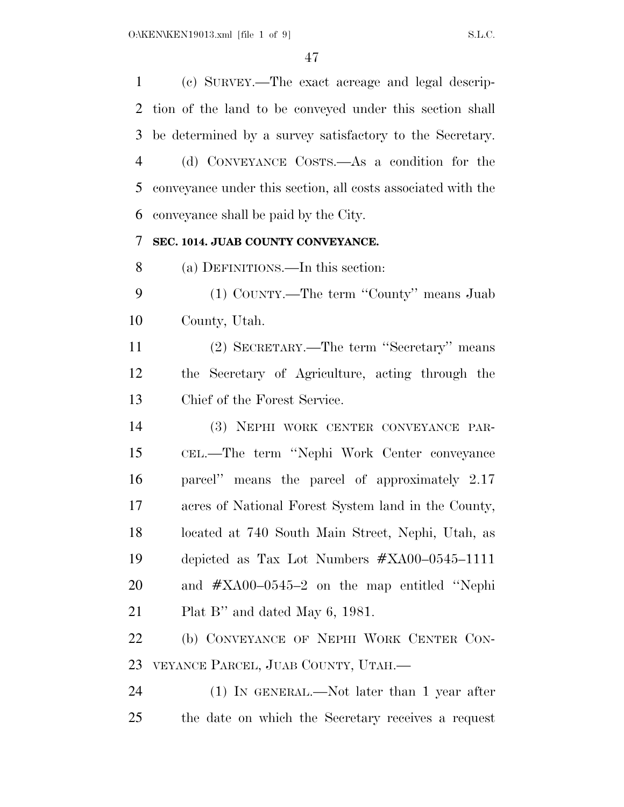(c) SURVEY.—The exact acreage and legal descrip- tion of the land to be conveyed under this section shall be determined by a survey satisfactory to the Secretary. (d) CONVEYANCE COSTS.—As a condition for the conveyance under this section, all costs associated with the conveyance shall be paid by the City. **SEC. 1014. JUAB COUNTY CONVEYANCE.**  (a) DEFINITIONS.—In this section: (1) COUNTY.—The term ''County'' means Juab County, Utah. (2) SECRETARY.—The term ''Secretary'' means the Secretary of Agriculture, acting through the Chief of the Forest Service. (3) NEPHI WORK CENTER CONVEYANCE PAR- CEL.—The term ''Nephi Work Center conveyance parcel'' means the parcel of approximately 2.17 acres of National Forest System land in the County, located at 740 South Main Street, Nephi, Utah, as depicted as Tax Lot Numbers #XA00–0545–1111 and #XA00–0545–2 on the map entitled ''Nephi Plat B'' and dated May 6, 1981. (b) CONVEYANCE OF NEPHI WORK CENTER CON- VEYANCE PARCEL, JUAB COUNTY, UTAH.— (1) IN GENERAL.—Not later than 1 year after the date on which the Secretary receives a request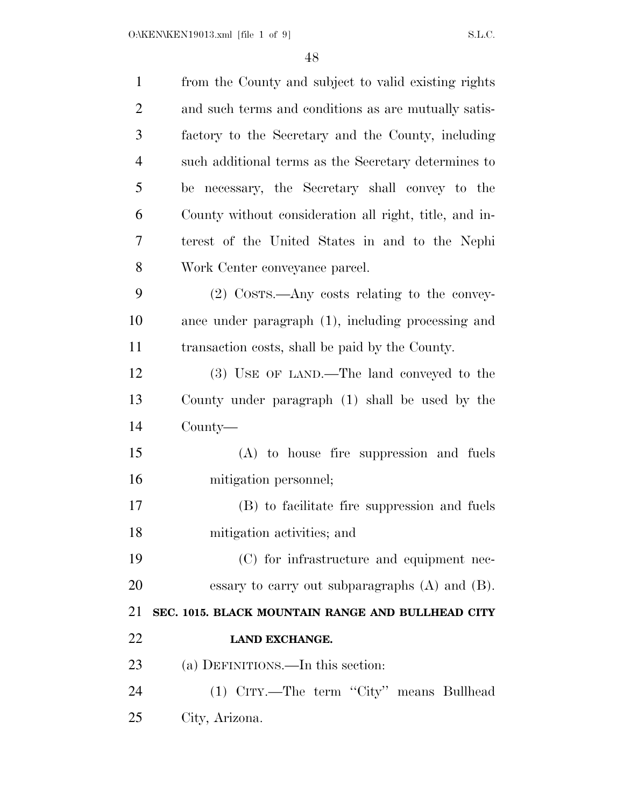| $\mathbf{1}$   | from the County and subject to valid existing rights   |
|----------------|--------------------------------------------------------|
| $\overline{2}$ | and such terms and conditions as are mutually satis-   |
| 3              | factory to the Secretary and the County, including     |
| $\overline{4}$ | such additional terms as the Secretary determines to   |
| 5              | be necessary, the Secretary shall convey to the        |
| 6              | County without consideration all right, title, and in- |
| 7              | terest of the United States in and to the Nephi        |
| 8              | Work Center conveyance parcel.                         |
| 9              | (2) COSTS.—Any costs relating to the convey-           |
| 10             | ance under paragraph (1), including processing and     |
| 11             | transaction costs, shall be paid by the County.        |
| 12             | (3) USE OF LAND.—The land conveyed to the              |
| 13             | County under paragraph (1) shall be used by the        |
| 14             | $County$ —                                             |
| 15             | (A) to house fire suppression and fuels                |
| 16             | mitigation personnel;                                  |
| 17             | (B) to facilitate fire suppression and fuels           |
| 18             | mitigation activities; and                             |
| 19             | (C) for infrastructure and equipment nec-              |
| 20             | essary to carry out subparagraphs $(A)$ and $(B)$ .    |
| 21             | SEC. 1015. BLACK MOUNTAIN RANGE AND BULLHEAD CITY      |
| 22             | LAND EXCHANGE.                                         |
| 23             | (a) DEFINITIONS.—In this section:                      |
| 24             | (1) CITY.—The term "City" means Bullhead               |
| 25             | City, Arizona.                                         |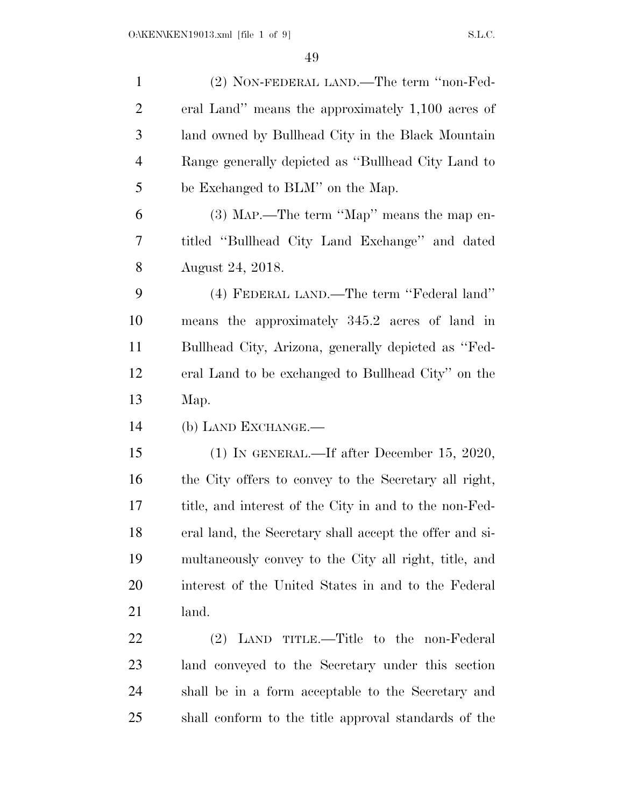| $\mathbf{1}$   | (2) NON-FEDERAL LAND.—The term "non-Fed-                |
|----------------|---------------------------------------------------------|
| $\overline{2}$ | eral Land" means the approximately 1,100 acres of       |
| 3              | land owned by Bullhead City in the Black Mountain       |
| $\overline{4}$ | Range generally depicted as "Bullhead City Land to      |
| 5              | be Exchanged to BLM" on the Map.                        |
| 6              | (3) MAP.—The term "Map" means the map en-               |
| 7              | titled "Bullhead City Land Exchange" and dated          |
| 8              | August 24, 2018.                                        |
| 9              | (4) FEDERAL LAND.—The term "Federal land"               |
| 10             | means the approximately 345.2 acres of land in          |
| 11             | Bullhead City, Arizona, generally depicted as "Fed-     |
| 12             | eral Land to be exchanged to Bullhead City" on the      |
| 13             | Map.                                                    |
| 14             | (b) LAND EXCHANGE.—                                     |
| 15             | $(1)$ IN GENERAL.—If after December 15, 2020,           |
| 16             | the City offers to convey to the Secretary all right,   |
| 17             | title, and interest of the City in and to the non-Fed-  |
| 18             | eral land, the Secretary shall accept the offer and si- |
| 19             | multaneously convey to the City all right, title, and   |
| 20             | interest of the United States in and to the Federal     |
| 21             | land.                                                   |
| 22             | (2) LAND TITLE.—Title to the non-Federal                |
| 23             | land conveyed to the Secretary under this section       |
|                |                                                         |
| 24             | shall be in a form acceptable to the Secretary and      |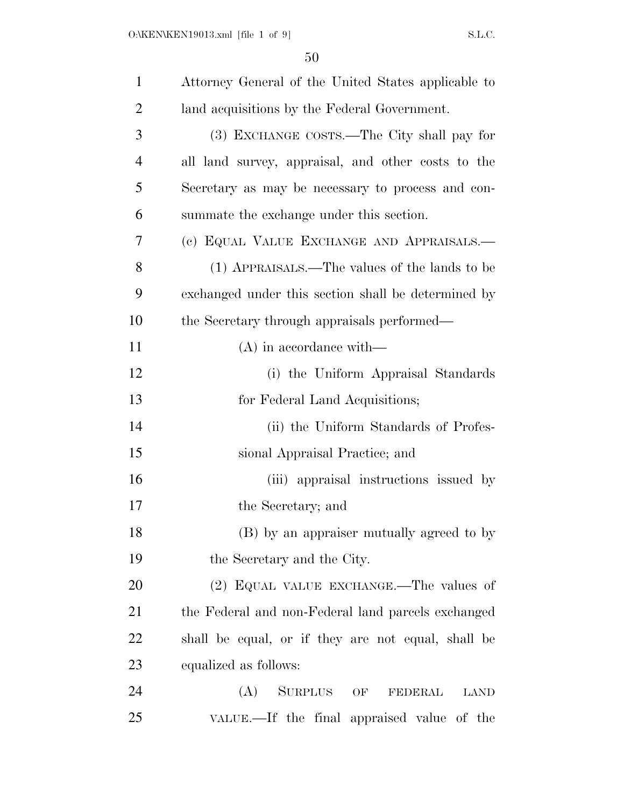| $\mathbf{1}$   | Attorney General of the United States applicable to   |
|----------------|-------------------------------------------------------|
| $\overline{2}$ | land acquisitions by the Federal Government.          |
| 3              | (3) EXCHANGE COSTS.—The City shall pay for            |
| 4              | all land survey, appraisal, and other costs to the    |
| 5              | Secretary as may be necessary to process and con-     |
| 6              | summate the exchange under this section.              |
| 7              | (c) EQUAL VALUE EXCHANGE AND APPRAISALS.—             |
| 8              | (1) APPRAISALS.—The values of the lands to be         |
| 9              | exchanged under this section shall be determined by   |
| 10             | the Secretary through appraisals performed—           |
| 11             | $(A)$ in accordance with—                             |
| 12             | (i) the Uniform Appraisal Standards                   |
| 13             | for Federal Land Acquisitions;                        |
| 14             | (ii) the Uniform Standards of Profes-                 |
| 15             | sional Appraisal Practice; and                        |
| 16             | (iii) appraisal instructions issued by                |
| 17             | the Secretary; and                                    |
| 18             | (B) by an appraiser mutually agreed to by             |
| 19             | the Secretary and the City.                           |
| 20             | (2) EQUAL VALUE EXCHANGE.—The values of               |
| 21             | the Federal and non-Federal land parcels exchanged    |
| 22             | shall be equal, or if they are not equal, shall be    |
| 23             | equalized as follows:                                 |
| 24             | (A)<br><b>SURPLUS</b><br>OF<br>FEDERAL<br><b>LAND</b> |
| 25             | VALUE.—If the final appraised value of the            |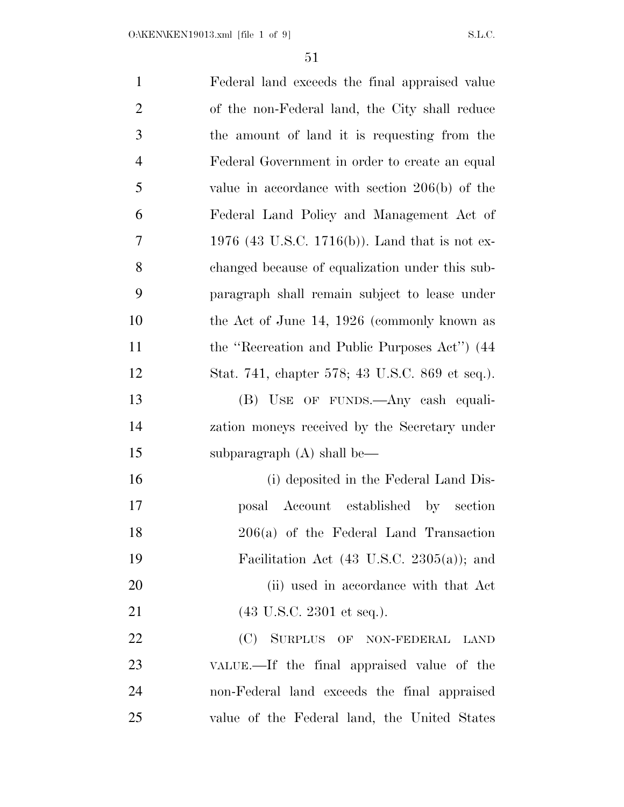| $\mathbf{1}$   | Federal land exceeds the final appraised value        |
|----------------|-------------------------------------------------------|
| $\overline{2}$ | of the non-Federal land, the City shall reduce        |
| 3              | the amount of land it is requesting from the          |
| $\overline{4}$ | Federal Government in order to create an equal        |
| 5              | value in accordance with section $206(b)$ of the      |
| 6              | Federal Land Policy and Management Act of             |
| $\overline{7}$ | 1976 (43 U.S.C. 1716(b)). Land that is not ex-        |
| 8              | changed because of equalization under this sub-       |
| 9              | paragraph shall remain subject to lease under         |
| 10             | the Act of June 14, 1926 (commonly known as           |
| 11             | the "Recreation and Public Purposes Act") (44         |
| 12             | Stat. 741, chapter 578; 43 U.S.C. 869 et seq.).       |
| 13             | (B) USE OF FUNDS.—Any cash equali-                    |
| 14             | zation moneys received by the Secretary under         |
| 15             | subparagraph $(A)$ shall be—                          |
| 16             | (i) deposited in the Federal Land Dis-                |
| 17             | posal Account established by<br>section               |
| 18             | 206(a) of the Federal Land Transaction                |
| 19             | Facilitation Act $(43 \text{ U.S.C. } 2305(a))$ ; and |
| 20             | (ii) used in accordance with that Act                 |
| 21             | $(43 \text{ U.S.C. } 2301 \text{ et seq.}).$          |
| 22             | (C) SURPLUS OF NON-FEDERAL<br><b>LAND</b>             |
| 23             | VALUE.—If the final appraised value of the            |
| 24             | non-Federal land exceeds the final appraised          |
| 25             | value of the Federal land, the United States          |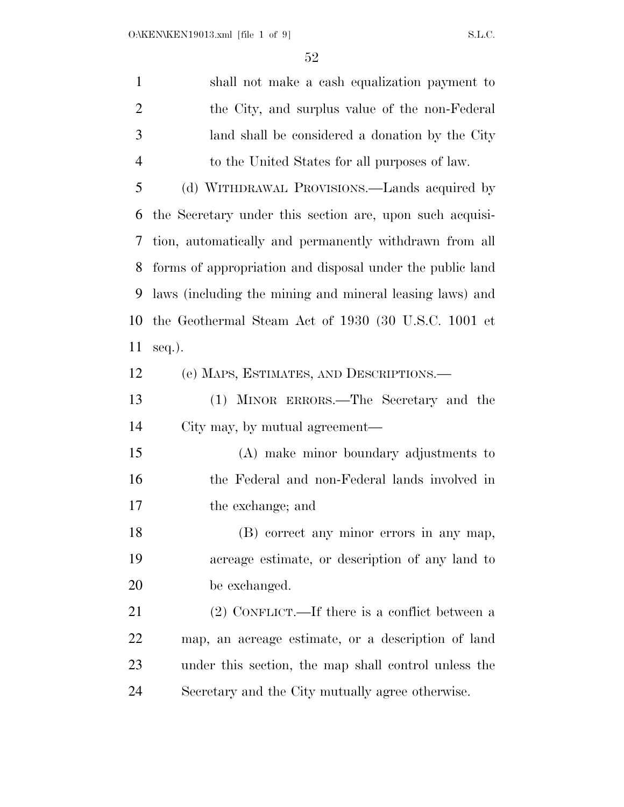shall not make a cash equalization payment to the City, and surplus value of the non-Federal land shall be considered a donation by the City to the United States for all purposes of law. (d) WITHDRAWAL PROVISIONS.—Lands acquired by the Secretary under this section are, upon such acquisi- tion, automatically and permanently withdrawn from all forms of appropriation and disposal under the public land laws (including the mining and mineral leasing laws) and the Geothermal Steam Act of 1930 (30 U.S.C. 1001 et seq.). (e) MAPS, ESTIMATES, AND DESCRIPTIONS.— (1) MINOR ERRORS.—The Secretary and the City may, by mutual agreement— (A) make minor boundary adjustments to the Federal and non-Federal lands involved in the exchange; and (B) correct any minor errors in any map, acreage estimate, or description of any land to be exchanged. (2) CONFLICT.—If there is a conflict between a map, an acreage estimate, or a description of land under this section, the map shall control unless the Secretary and the City mutually agree otherwise.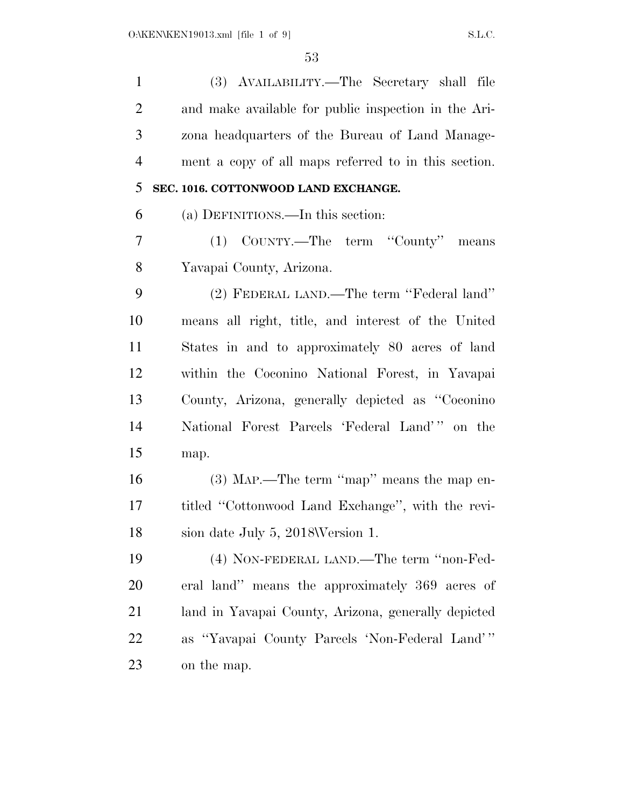| $\mathbf{1}$   | (3) AVAILABILITY.—The Secretary shall file           |
|----------------|------------------------------------------------------|
| $\overline{2}$ | and make available for public inspection in the Ari- |
| 3              | zona headquarters of the Bureau of Land Manage-      |
| $\overline{4}$ | ment a copy of all maps referred to in this section. |
| 5              | SEC. 1016. COTTONWOOD LAND EXCHANGE.                 |
| 6              | (a) DEFINITIONS.—In this section:                    |
| 7              | (1) COUNTY.—The term "County"<br>means               |
| 8              | Yavapai County, Arizona.                             |
| 9              | (2) FEDERAL LAND.—The term "Federal land"            |
| 10             | means all right, title, and interest of the United   |
| 11             | States in and to approximately 80 acres of land      |
| 12             | within the Coconino National Forest, in Yavapai      |
| 13             | County, Arizona, generally depicted as "Coconino"    |
| 14             | National Forest Parcels 'Federal Land'" on the       |
| 15             | map.                                                 |
| 16             | (3) MAP.—The term "map" means the map en-            |
| 17             | titled "Cottonwood Land Exchange", with the revi-    |
| 18             | sion date July 5, 2018\Version 1.                    |
| 19             | (4) NON-FEDERAL LAND.—The term "non-Fed-             |
| 20             | eral land" means the approximately 369 acres of      |
| 21             | land in Yavapai County, Arizona, generally depicted  |
| 22             | as "Yavapai County Parcels 'Non-Federal Land'"       |
| 23             | on the map.                                          |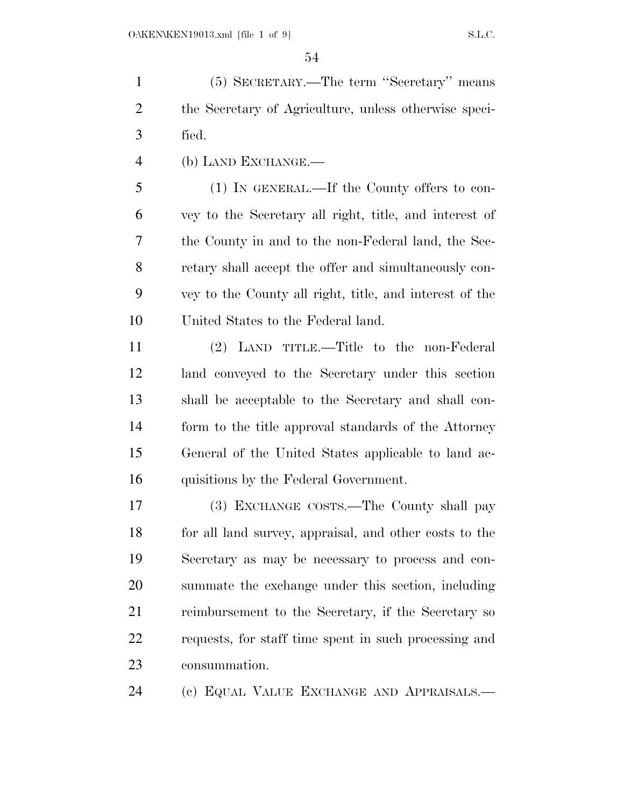(5) SECRETARY.—The term ''Secretary'' means the Secretary of Agriculture, unless otherwise speci-fied.

(b) LAND EXCHANGE.—

 (1) IN GENERAL.—If the County offers to con- vey to the Secretary all right, title, and interest of the County in and to the non-Federal land, the Sec- retary shall accept the offer and simultaneously con- vey to the County all right, title, and interest of the United States to the Federal land.

 (2) LAND TITLE.—Title to the non-Federal land conveyed to the Secretary under this section shall be acceptable to the Secretary and shall con- form to the title approval standards of the Attorney General of the United States applicable to land ac-quisitions by the Federal Government.

 (3) EXCHANGE COSTS.—The County shall pay for all land survey, appraisal, and other costs to the Secretary as may be necessary to process and con- summate the exchange under this section, including reimbursement to the Secretary, if the Secretary so requests, for staff time spent in such processing and consummation.

(c) EQUAL VALUE EXCHANGE AND APPRAISALS.—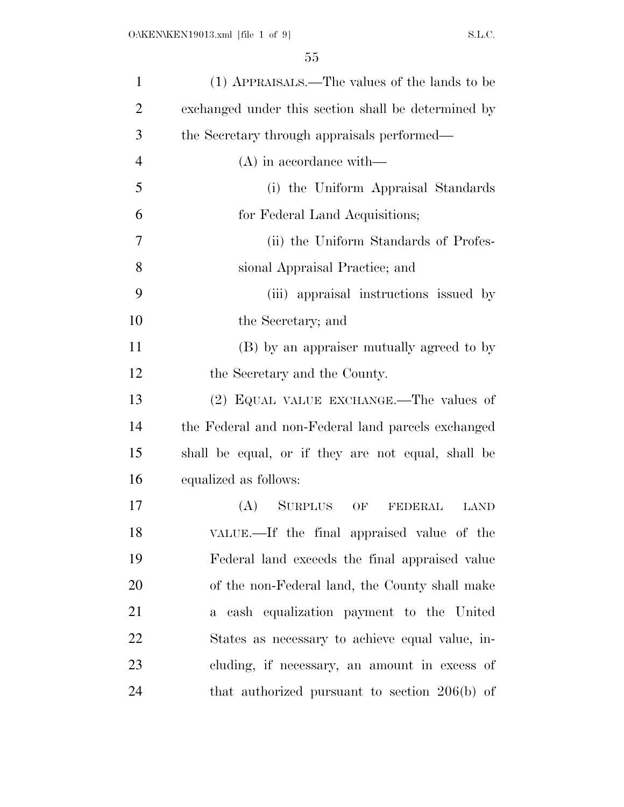| $\mathbf{1}$   | (1) APPRAISALS.—The values of the lands to be         |
|----------------|-------------------------------------------------------|
| $\overline{2}$ | exchanged under this section shall be determined by   |
| 3              | the Secretary through appraisals performed—           |
| $\overline{4}$ | $(A)$ in accordance with—                             |
| 5              | (i) the Uniform Appraisal Standards                   |
| 6              | for Federal Land Acquisitions;                        |
| 7              | (ii) the Uniform Standards of Profes-                 |
| 8              | sional Appraisal Practice; and                        |
| 9              | (iii) appraisal instructions issued by                |
| 10             | the Secretary; and                                    |
| 11             | (B) by an appraiser mutually agreed to by             |
| 12             | the Secretary and the County.                         |
| 13             | (2) EQUAL VALUE EXCHANGE.—The values of               |
| 14             | the Federal and non-Federal land parcels exchanged    |
| 15             | shall be equal, or if they are not equal, shall be    |
| 16             | equalized as follows:                                 |
| 17             | (A)<br><b>SURPLUS</b><br>OF<br>FEDERAL<br><b>LAND</b> |
| 18             | VALUE.—If the final appraised value of the            |
| 19             | Federal land exceeds the final appraised value        |
| 20             | of the non-Federal land, the County shall make        |
| 21             | a cash equalization payment to the United             |
| 22             | States as necessary to achieve equal value, in-       |
| 23             | cluding, if necessary, an amount in excess of         |
| 24             | that authorized pursuant to section $206(b)$ of       |
|                |                                                       |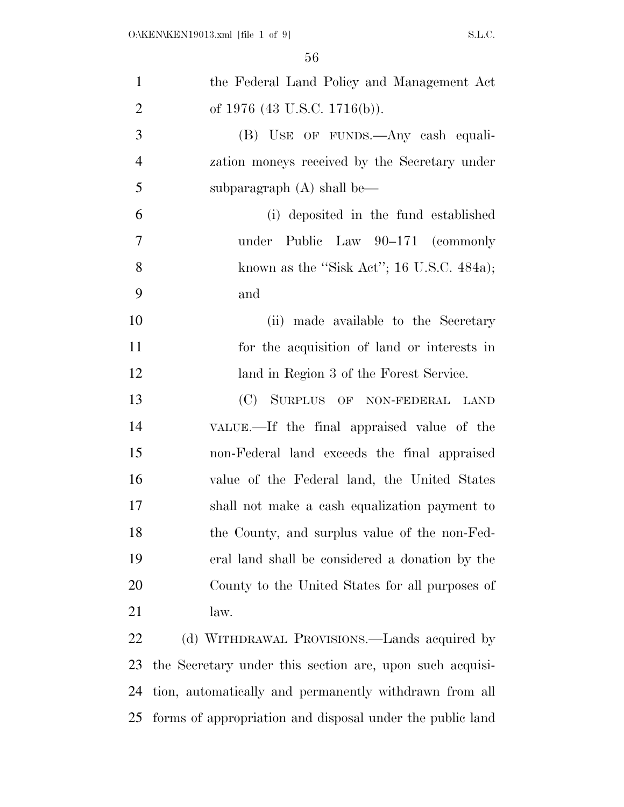| $\mathbf{1}$   | the Federal Land Policy and Management Act               |
|----------------|----------------------------------------------------------|
| $\overline{2}$ | of $1976$ (43 U.S.C. 1716(b)).                           |
| 3              | (B) USE OF FUNDS.—Any eash equali-                       |
| $\overline{4}$ | zation moneys received by the Secretary under            |
| 5              | subparagraph $(A)$ shall be—                             |
| 6              | (i) deposited in the fund established                    |
| 7              | under Public Law 90-171 (commonly                        |
| 8              | known as the "Sisk Act"; 16 U.S.C. 484a);                |
| 9              | and                                                      |
| 10             | (ii) made available to the Secretary                     |
| 11             | for the acquisition of land or interests in              |
| 12             | land in Region 3 of the Forest Service.                  |
| 13             | (C) SURPLUS OF NON-FEDERAL LAND                          |
| 14             | VALUE.—If the final appraised value of the               |
| 15             | non-Federal land exceeds the final appraised             |
| 16             | value of the Federal land, the United States             |
| 17             | shall not make a cash equalization payment to            |
| 18             | the County, and surplus value of the non-Fed-            |
| 19             | eral land shall be considered a donation by the          |
| 20             | County to the United States for all purposes of          |
| 21             | law.                                                     |
| 22             | (d) WITHDRAWAL PROVISIONS.—Lands acquired by             |
| 23             | the Secretary under this section are, upon such acquisi- |
| 24             | tion, automatically and permanently withdrawn from all   |

forms of appropriation and disposal under the public land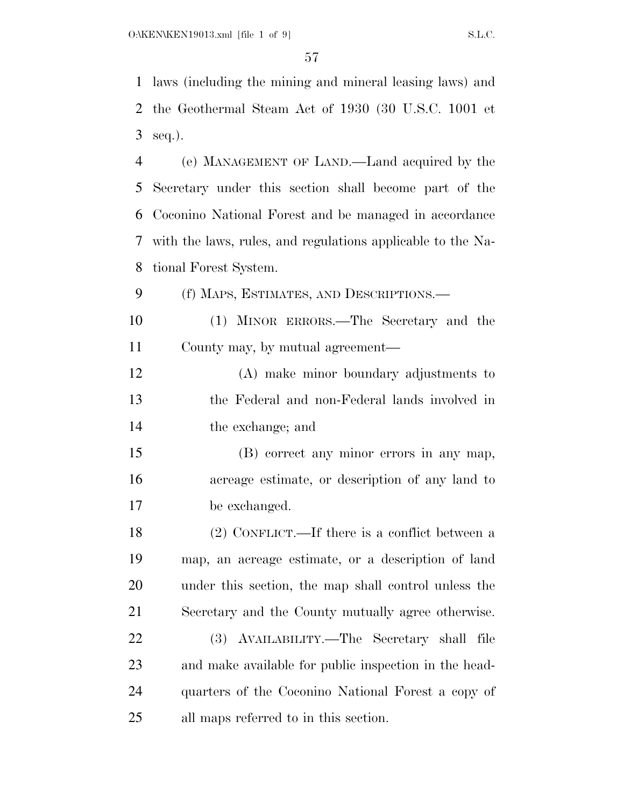laws (including the mining and mineral leasing laws) and the Geothermal Steam Act of 1930 (30 U.S.C. 1001 et seq.).

 (e) MANAGEMENT OF LAND.—Land acquired by the Secretary under this section shall become part of the Coconino National Forest and be managed in accordance with the laws, rules, and regulations applicable to the Na-tional Forest System.

(f) MAPS, ESTIMATES, AND DESCRIPTIONS.—

 (1) MINOR ERRORS.—The Secretary and the County may, by mutual agreement—

 (A) make minor boundary adjustments to the Federal and non-Federal lands involved in the exchange; and

 (B) correct any minor errors in any map, acreage estimate, or description of any land to be exchanged.

 (2) CONFLICT.—If there is a conflict between a map, an acreage estimate, or a description of land under this section, the map shall control unless the Secretary and the County mutually agree otherwise.

 (3) AVAILABILITY.—The Secretary shall file and make available for public inspection in the head- quarters of the Coconino National Forest a copy of all maps referred to in this section.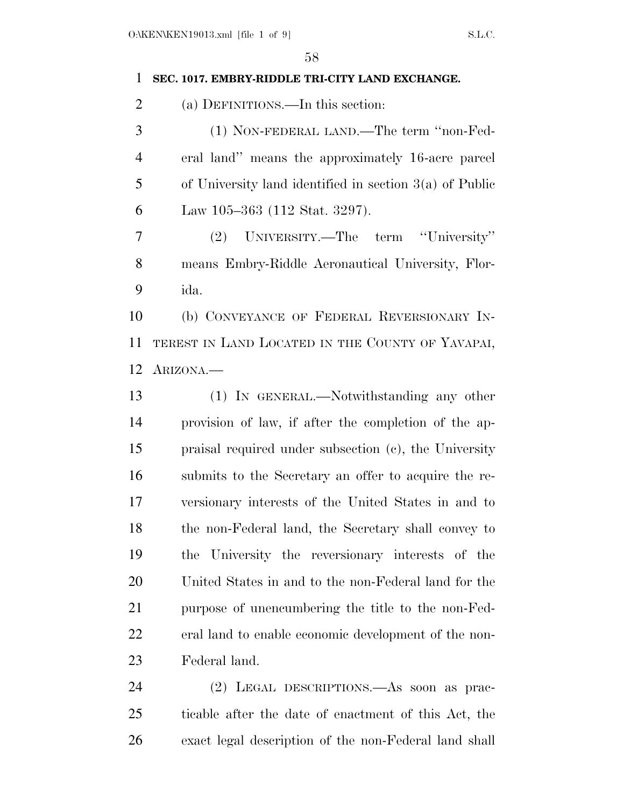#### **SEC. 1017. EMBRY-RIDDLE TRI-CITY LAND EXCHANGE.**

(a) DEFINITIONS.—In this section:

 (1) NON-FEDERAL LAND.—The term ''non-Fed- eral land'' means the approximately 16-acre parcel of University land identified in section 3(a) of Public Law 105–363 (112 Stat. 3297).

 (2) UNIVERSITY.—The term ''University'' means Embry-Riddle Aeronautical University, Flor-ida.

 (b) CONVEYANCE OF FEDERAL REVERSIONARY IN- TEREST IN LAND LOCATED IN THE COUNTY OF YAVAPAI, ARIZONA.—

 (1) IN GENERAL.—Notwithstanding any other provision of law, if after the completion of the ap- praisal required under subsection (c), the University submits to the Secretary an offer to acquire the re- versionary interests of the United States in and to the non-Federal land, the Secretary shall convey to the University the reversionary interests of the United States in and to the non-Federal land for the purpose of unencumbering the title to the non-Fed- eral land to enable economic development of the non-Federal land.

 (2) LEGAL DESCRIPTIONS.—As soon as prac- ticable after the date of enactment of this Act, the exact legal description of the non-Federal land shall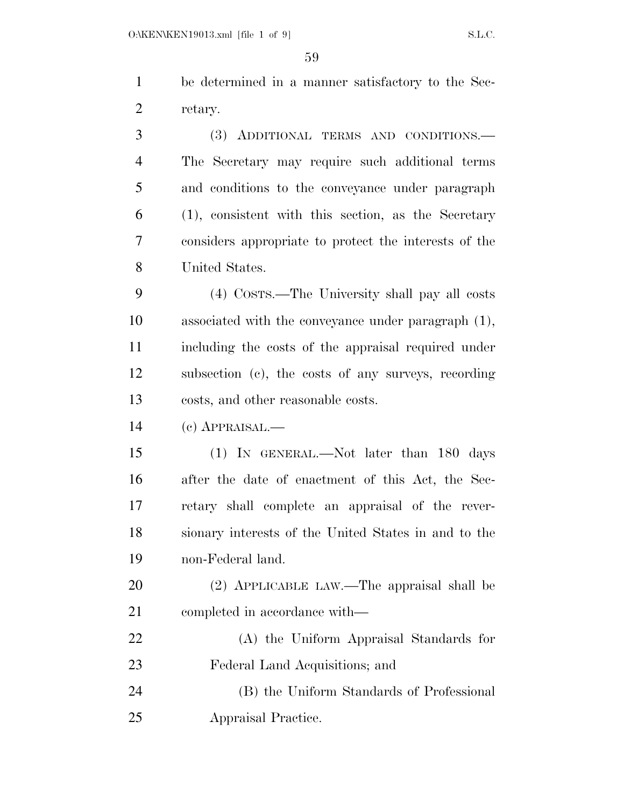be determined in a manner satisfactory to the Sec-retary.

 (3) ADDITIONAL TERMS AND CONDITIONS.— The Secretary may require such additional terms and conditions to the conveyance under paragraph (1), consistent with this section, as the Secretary considers appropriate to protect the interests of the United States.

 (4) COSTS.—The University shall pay all costs associated with the conveyance under paragraph (1), including the costs of the appraisal required under subsection (c), the costs of any surveys, recording costs, and other reasonable costs.

(c) APPRAISAL.—

 (1) IN GENERAL.—Not later than 180 days after the date of enactment of this Act, the Sec- retary shall complete an appraisal of the rever- sionary interests of the United States in and to the non-Federal land.

 (2) APPLICABLE LAW.—The appraisal shall be completed in accordance with—

 (A) the Uniform Appraisal Standards for Federal Land Acquisitions; and

 (B) the Uniform Standards of Professional Appraisal Practice.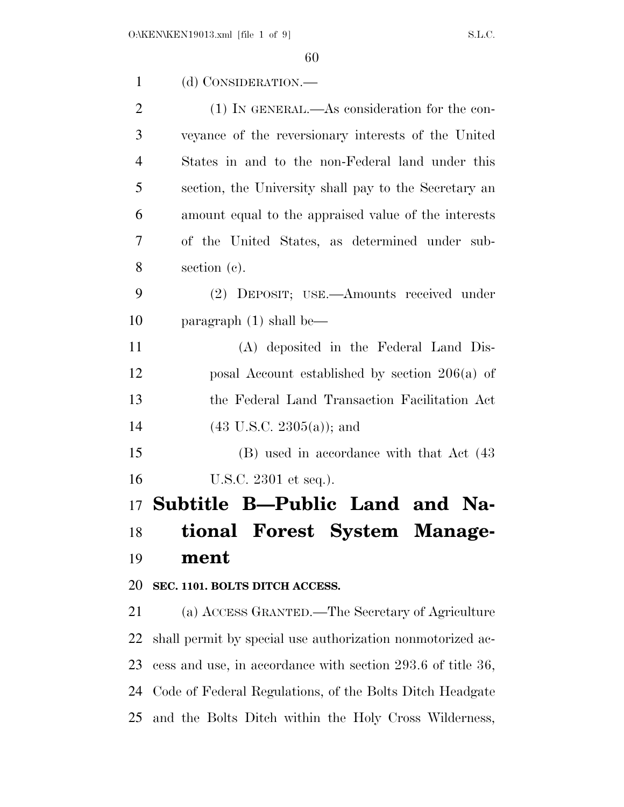| $\mathbf{1}$   | (d) CONSIDERATION.—                                         |
|----------------|-------------------------------------------------------------|
| $\overline{2}$ | $(1)$ IN GENERAL.—As consideration for the con-             |
| 3              | veyance of the reversionary interests of the United         |
| $\overline{4}$ | States in and to the non-Federal land under this            |
| 5              | section, the University shall pay to the Secretary an       |
| 6              | amount equal to the appraised value of the interests        |
| 7              | of the United States, as determined under sub-              |
| 8              | section (c).                                                |
| 9              | (2) DEPOSIT; USE.—Amounts received under                    |
| 10             | paragraph $(1)$ shall be—                                   |
| 11             | (A) deposited in the Federal Land Dis-                      |
| 12             | posal Account established by section $206(a)$ of            |
| 13             | the Federal Land Transaction Facilitation Act               |
| 14             | $(43 \text{ U.S.C. } 2305(a))$ ; and                        |
| 15             | (B) used in accordance with that Act (43)                   |
| 16             | U.S.C. 2301 et seq.).                                       |
|                | 17 Subtitle B—Public Land and Na-                           |
| 18             | tional Forest System Manage-                                |
| 19             | ment                                                        |
| 20             | SEC. 1101. BOLTS DITCH ACCESS.                              |
| 21             | (a) ACCESS GRANTED.—The Secretary of Agriculture            |
| 22             | shall permit by special use authorization nonmotorized ac-  |
| 23             | cess and use, in accordance with section 293.6 of title 36, |
| 24             | Code of Federal Regulations, of the Bolts Ditch Headgate    |

and the Bolts Ditch within the Holy Cross Wilderness,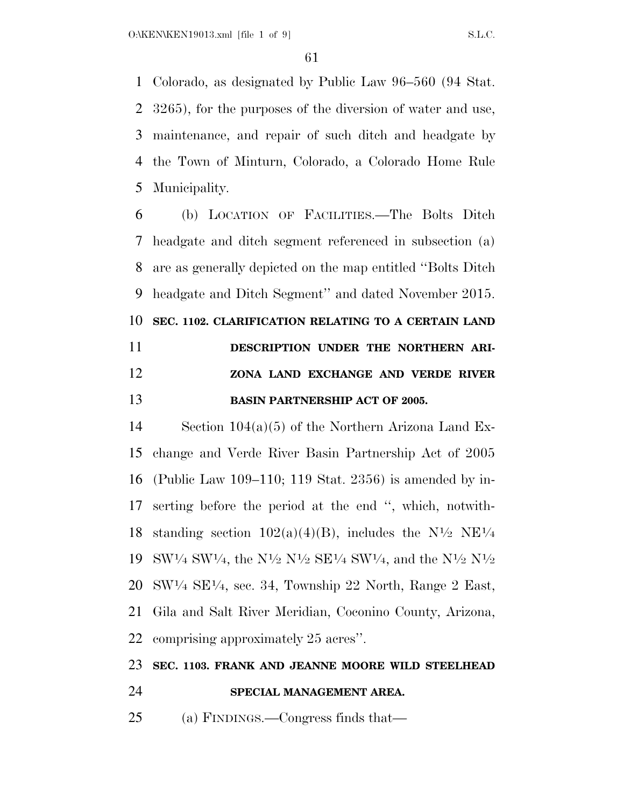Colorado, as designated by Public Law 96–560 (94 Stat. 3265), for the purposes of the diversion of water and use, maintenance, and repair of such ditch and headgate by the Town of Minturn, Colorado, a Colorado Home Rule Municipality.

 (b) LOCATION OF FACILITIES.—The Bolts Ditch headgate and ditch segment referenced in subsection (a) are as generally depicted on the map entitled ''Bolts Ditch headgate and Ditch Segment'' and dated November 2015. **SEC. 1102. CLARIFICATION RELATING TO A CERTAIN LAND DESCRIPTION UNDER THE NORTHERN ARI-**

# **ZONA LAND EXCHANGE AND VERDE RIVER BASIN PARTNERSHIP ACT OF 2005.**

 Section 104(a)(5) of the Northern Arizona Land Ex- change and Verde River Basin Partnership Act of 2005 (Public Law 109–110; 119 Stat. 2356) is amended by in- serting before the period at the end '', which, notwith-18 standing section  $102(a)(4)(B)$ , includes the N<sup>1</sup>/2 NE<sup>1</sup>/4 19 SW<sup>1</sup>/4 SW<sup>1</sup>/4, the N<sup>1</sup>/2 N<sup>1</sup>/2 SE<sup>1</sup>/4 SW<sup>1</sup>/4, and the N<sup>1</sup>/2 N<sup>1</sup>/2  $20 \text{ SW} \frac{1}{4} \text{ SE} \frac{1}{4}$ , sec. 34, Township 22 North, Range 2 East, Gila and Salt River Meridian, Coconino County, Arizona, comprising approximately 25 acres''.

#### **SEC. 1103. FRANK AND JEANNE MOORE WILD STEELHEAD**

- **SPECIAL MANAGEMENT AREA.**
- (a) FINDINGS.—Congress finds that—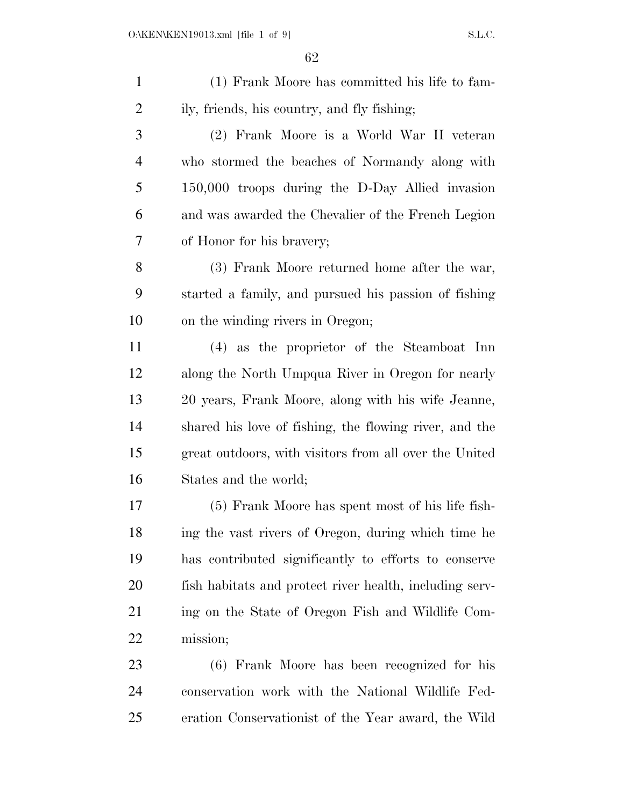(1) Frank Moore has committed his life to fam- ily, friends, his country, and fly fishing; (2) Frank Moore is a World War II veteran who stormed the beaches of Normandy along with 150,000 troops during the D-Day Allied invasion and was awarded the Chevalier of the French Legion of Honor for his bravery; (3) Frank Moore returned home after the war, started a family, and pursued his passion of fishing on the winding rivers in Oregon; (4) as the proprietor of the Steamboat Inn along the North Umpqua River in Oregon for nearly 20 years, Frank Moore, along with his wife Jeanne, shared his love of fishing, the flowing river, and the great outdoors, with visitors from all over the United States and the world; (5) Frank Moore has spent most of his life fish- ing the vast rivers of Oregon, during which time he has contributed significantly to efforts to conserve fish habitats and protect river health, including serv- ing on the State of Oregon Fish and Wildlife Com- mission; (6) Frank Moore has been recognized for his conservation work with the National Wildlife Fed-eration Conservationist of the Year award, the Wild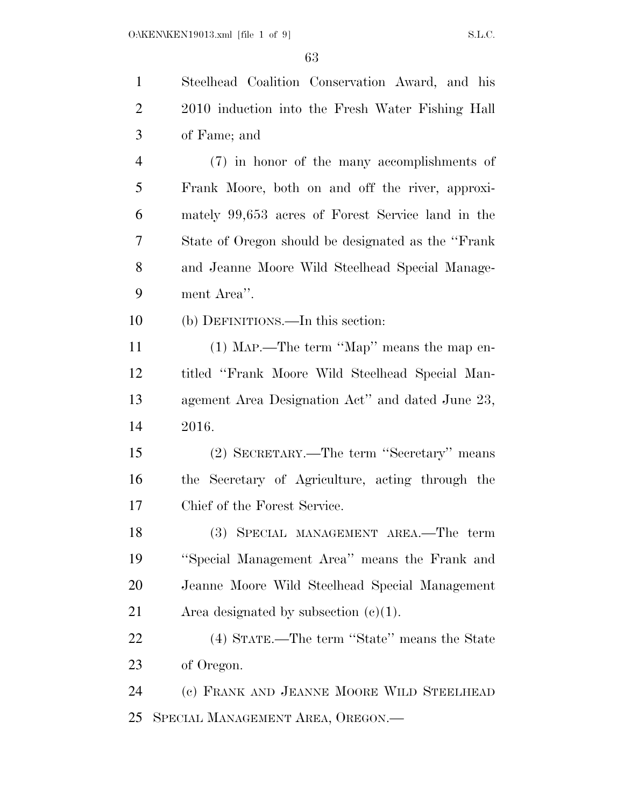Steelhead Coalition Conservation Award, and his

 2010 induction into the Fresh Water Fishing Hall of Fame; and (7) in honor of the many accomplishments of Frank Moore, both on and off the river, approxi- mately 99,653 acres of Forest Service land in the State of Oregon should be designated as the ''Frank and Jeanne Moore Wild Steelhead Special Manage- ment Area''. (b) DEFINITIONS.—In this section: (1) MAP.—The term ''Map'' means the map en- titled ''Frank Moore Wild Steelhead Special Man- agement Area Designation Act'' and dated June 23, 2016. (2) SECRETARY.—The term ''Secretary'' means the Secretary of Agriculture, acting through the Chief of the Forest Service. (3) SPECIAL MANAGEMENT AREA.—The term ''Special Management Area'' means the Frank and Jeanne Moore Wild Steelhead Special Management 21 Area designated by subsection  $(c)(1)$ . (4) STATE.—The term ''State'' means the State of Oregon. (c) FRANK AND JEANNE MOORE WILD STEELHEAD SPECIAL MANAGEMENT AREA, OREGON.—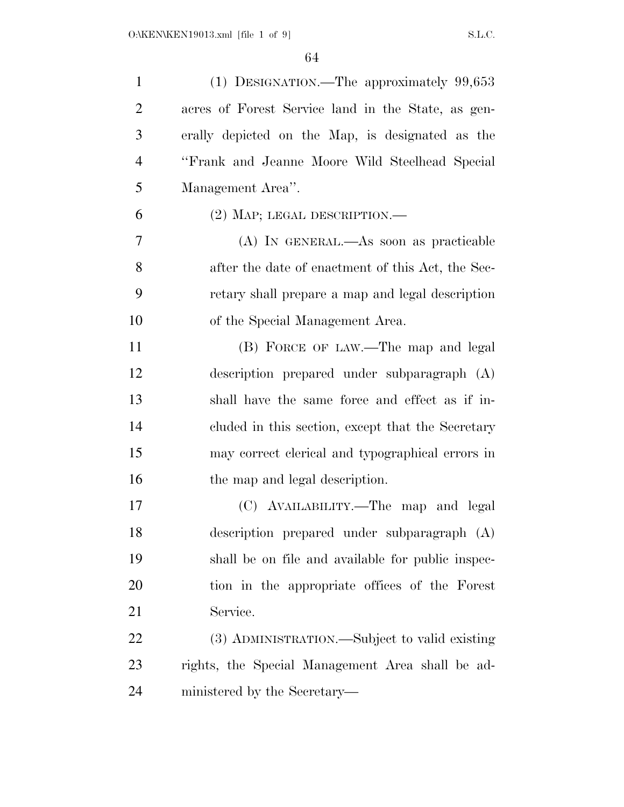| $\mathbf{1}$   | (1) DESIGNATION.—The approximately 99,653          |
|----------------|----------------------------------------------------|
| $\overline{2}$ | acres of Forest Service land in the State, as gen- |
| 3              | erally depicted on the Map, is designated as the   |
| $\overline{4}$ | "Frank and Jeanne Moore Wild Steelhead Special     |
| 5              | Management Area".                                  |
| 6              | $(2)$ MAP; LEGAL DESCRIPTION.—                     |
| $\overline{7}$ | (A) IN GENERAL.—As soon as practicable             |
| 8              | after the date of enactment of this Act, the Sec-  |
| 9              | retary shall prepare a map and legal description   |
| 10             | of the Special Management Area.                    |
| 11             | (B) FORCE OF LAW.—The map and legal                |
| 12             | description prepared under subparagraph (A)        |
| 13             | shall have the same force and effect as if in-     |
| 14             | cluded in this section, except that the Secretary  |
| 15             | may correct clerical and typographical errors in   |
| 16             | the map and legal description.                     |
| 17             | (C) AVAILABILITY.—The map and legal                |
| 18             | description prepared under subparagraph (A)        |
| 19             | shall be on file and available for public inspec-  |
| <b>20</b>      | tion in the appropriate offices of the Forest      |
| 21             | Service.                                           |
| 22             | (3) ADMINISTRATION.—Subject to valid existing      |
| 23             | rights, the Special Management Area shall be ad-   |
| 24             | ministered by the Secretary—                       |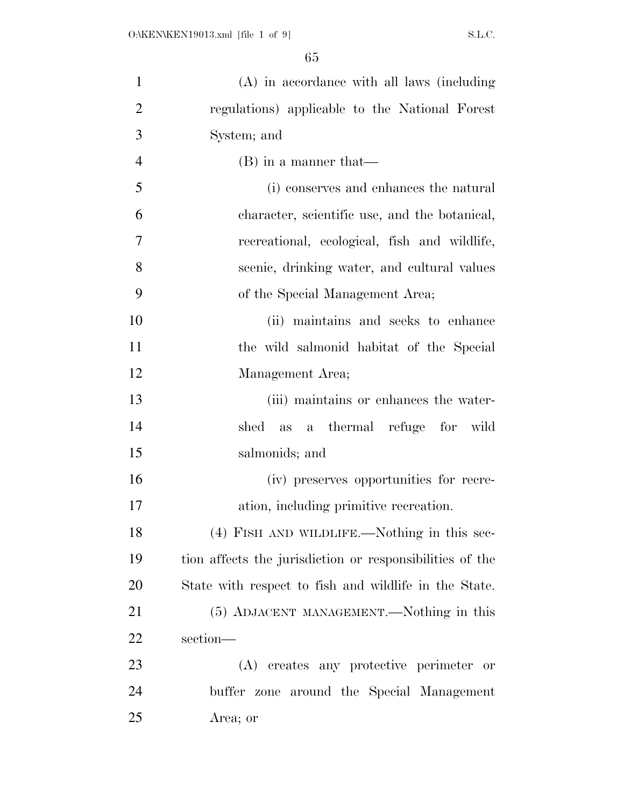| $\mathbf{1}$   | (A) in accordance with all laws (including               |
|----------------|----------------------------------------------------------|
| $\overline{2}$ | regulations) applicable to the National Forest           |
| 3              | System; and                                              |
| $\overline{4}$ | $(B)$ in a manner that—                                  |
| 5              | (i) conserves and enhances the natural                   |
| 6              | character, scientific use, and the botanical,            |
| $\overline{7}$ | recreational, ecological, fish and wildlife,             |
| 8              | scenic, drinking water, and cultural values              |
| 9              | of the Special Management Area;                          |
| 10             | (ii) maintains and seeks to enhance                      |
| 11             | the wild salmonid habitat of the Special                 |
| 12             | Management Area;                                         |
| 13             | (iii) maintains or enhances the water-                   |
| 14             | as a thermal refuge for wild<br>shed                     |
| 15             | salmonids; and                                           |
| 16             | (iv) preserves opportunities for recre-                  |
| 17             | ation, including primitive recreation.                   |
| 18             | (4) FISH AND WILDLIFE.—Nothing in this sec-              |
| 19             | tion affects the jurisdiction or responsibilities of the |
| 20             | State with respect to fish and wildlife in the State.    |
| 21             | (5) ADJACENT MANAGEMENT.—Nothing in this                 |
| 22             | section-                                                 |
| 23             | (A) creates any protective perimeter or                  |
| 24             | buffer zone around the Special Management                |
| 25             | Area; or                                                 |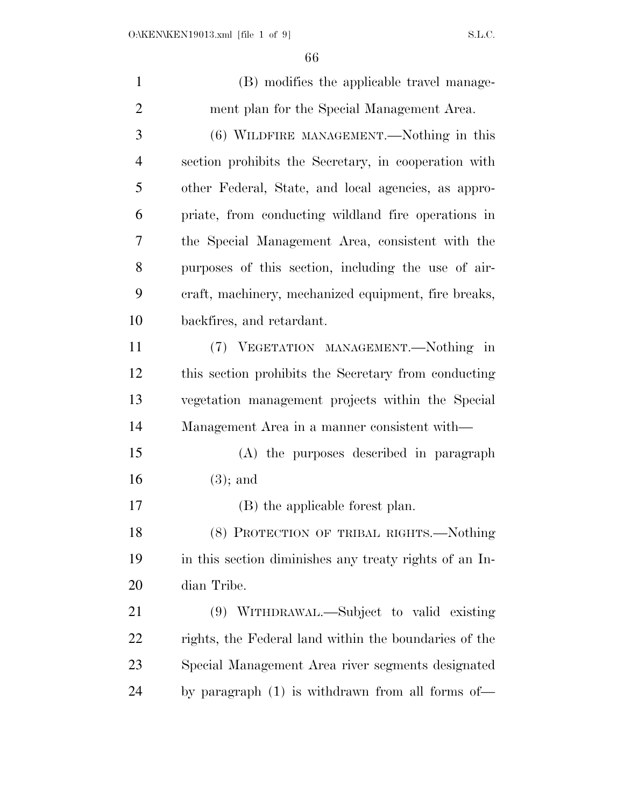| $\mathbf{1}$   | (B) modifies the applicable travel manage-             |
|----------------|--------------------------------------------------------|
| $\overline{2}$ | ment plan for the Special Management Area.             |
| 3              | (6) WILDFIRE MANAGEMENT.—Nothing in this               |
| $\overline{4}$ | section prohibits the Secretary, in cooperation with   |
| 5              | other Federal, State, and local agencies, as appro-    |
| 6              | priate, from conducting wildland fire operations in    |
| $\overline{7}$ | the Special Management Area, consistent with the       |
| 8              | purposes of this section, including the use of air-    |
| 9              | eraft, machinery, mechanized equipment, fire breaks,   |
| 10             | backfires, and retardant.                              |
| 11             | (7) VEGETATION MANAGEMENT.—Nothing in                  |
| 12             | this section prohibits the Secretary from conducting   |
| 13             | vegetation management projects within the Special      |
| 14             | Management Area in a manner consistent with—           |
| 15             | (A) the purposes described in paragraph                |
| 16             | $(3)$ ; and                                            |
| 17             | (B) the applicable forest plan.                        |
| 18             | (8) PROTECTION OF TRIBAL RIGHTS.-Nothing               |
| 19             | in this section diminishes any treaty rights of an In- |
| 20             | dian Tribe.                                            |
| 21             | (9) WITHDRAWAL.—Subject to valid existing              |
| 22             | rights, the Federal land within the boundaries of the  |
| 23             | Special Management Area river segments designated      |
| 24             | by paragraph $(1)$ is withdrawn from all forms of—     |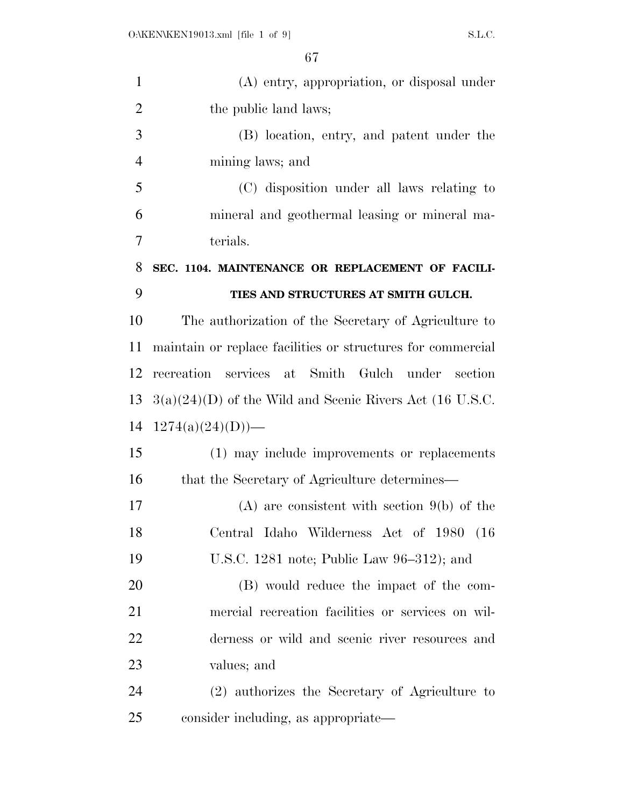| $\mathbf{1}$   | (A) entry, appropriation, or disposal under                 |
|----------------|-------------------------------------------------------------|
| $\overline{2}$ | the public land laws;                                       |
| 3              | (B) location, entry, and patent under the                   |
| $\overline{4}$ | mining laws; and                                            |
| 5              | (C) disposition under all laws relating to                  |
| 6              | mineral and geothermal leasing or mineral ma-               |
| 7              | terials.                                                    |
| 8              | SEC. 1104. MAINTENANCE OR REPLACEMENT OF FACILI-            |
| 9              | TIES AND STRUCTURES AT SMITH GULCH.                         |
| 10             | The authorization of the Secretary of Agriculture to        |
| 11             | maintain or replace facilities or structures for commercial |
| 12             | recreation services at Smith Gulch under section            |
| 13             | $3(a)(24)(D)$ of the Wild and Scenic Rivers Act (16 U.S.C.  |
| 14             | $1274(a)(24)(D)$ —                                          |
| 15             | (1) may include improvements or replacements                |
| 16             | that the Secretary of Agriculture determines—               |
| 17             | $(A)$ are consistent with section $9(b)$ of the             |
| 18             | Central Idaho Wilderness Act of 1980 (16                    |
| 19             | U.S.C. 1281 note; Public Law 96–312); and                   |
| 20             | (B) would reduce the impact of the com-                     |
| 21             | mercial recreation facilities or services on wil-           |
| 22             | derness or wild and scenic river resources and              |
| 23             | values; and                                                 |
| 24             | (2) authorizes the Secretary of Agriculture to              |
| 25             | consider including, as appropriate—                         |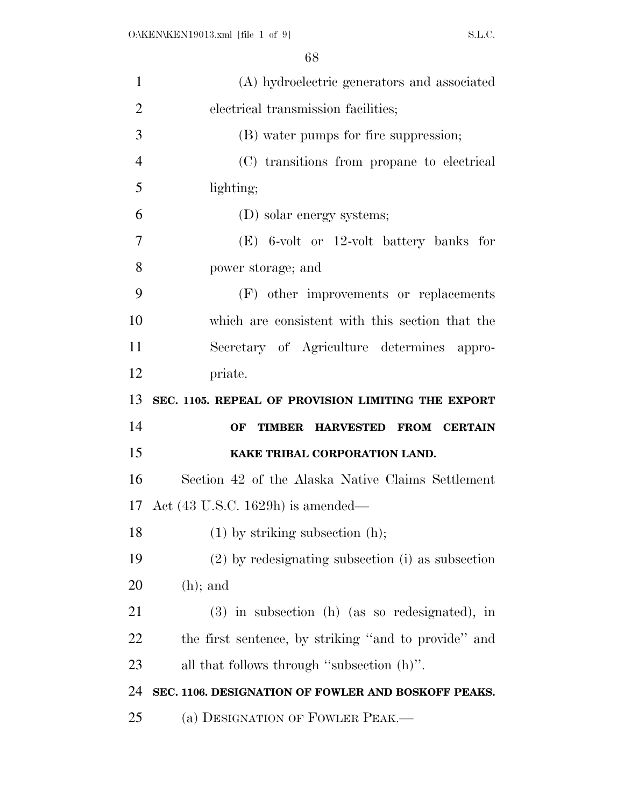| 1              | (A) hydroelectric generators and associated             |
|----------------|---------------------------------------------------------|
| $\overline{2}$ | electrical transmission facilities;                     |
| 3              | (B) water pumps for fire suppression;                   |
| $\overline{4}$ | (C) transitions from propane to electrical              |
| 5              | lighting;                                               |
| 6              | (D) solar energy systems;                               |
| 7              | $(E)$ 6-volt or 12-volt battery banks for               |
| 8              | power storage; and                                      |
| 9              | (F) other improvements or replacements                  |
| 10             | which are consistent with this section that the         |
| 11             | Secretary of Agriculture determines appro-              |
| 12             | priate.                                                 |
|                |                                                         |
| 13             | SEC. 1105. REPEAL OF PROVISION LIMITING THE EXPORT      |
| 14             | <b>TIMBER HARVESTED</b><br><b>FROM CERTAIN</b><br>OF    |
| 15             | KAKE TRIBAL CORPORATION LAND.                           |
| 16             | Section 42 of the Alaska Native Claims Settlement       |
|                | 17 Act $(43 \text{ U.S.C. } 1629 \text{h})$ is amended— |
| 18             | $(1)$ by striking subsection $(h)$ ;                    |
| 19             | $(2)$ by redesignating subsection (i) as subsection     |
| 20             | $(h)$ ; and                                             |
| 21             | $(3)$ in subsection (h) (as so redesignated), in        |
| 22             | the first sentence, by striking "and to provide" and    |
| 23             | all that follows through "subsection $(h)$ ".           |
| 24             | SEC. 1106. DESIGNATION OF FOWLER AND BOSKOFF PEAKS.     |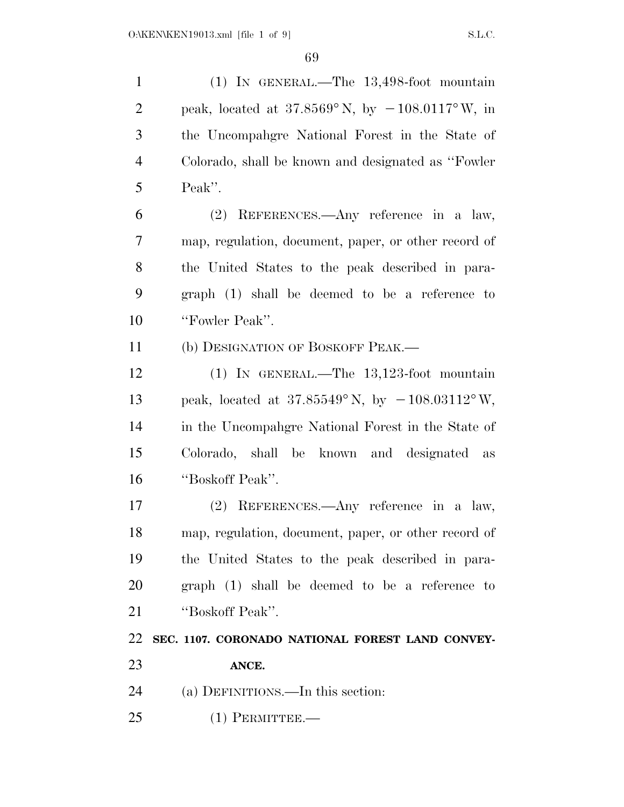(1) IN GENERAL.—The 13,498-foot mountain 2 peak, located at  $37.8569^{\circ}$  N, by  $-108.0117^{\circ}$  W, in the Uncompahgre National Forest in the State of Colorado, shall be known and designated as ''Fowler Peak''. (2) REFERENCES.—Any reference in a law,

 map, regulation, document, paper, or other record of the United States to the peak described in para- graph (1) shall be deemed to be a reference to ''Fowler Peak''.

(b) DESIGNATION OF BOSKOFF PEAK.—

 (1) IN GENERAL.—The 13,123-foot mountain 13 peak, located at  $37.85549^{\circ}$  N, by  $-108.03112^{\circ}$  W, in the Uncompahgre National Forest in the State of Colorado, shall be known and designated as ''Boskoff Peak''.

 (2) REFERENCES.—Any reference in a law, map, regulation, document, paper, or other record of the United States to the peak described in para- graph (1) shall be deemed to be a reference to ''Boskoff Peak''.

## **SEC. 1107. CORONADO NATIONAL FOREST LAND CONVEY-ANCE.**

- 
- (a) DEFINITIONS.—In this section:
- (1) PERMITTEE.—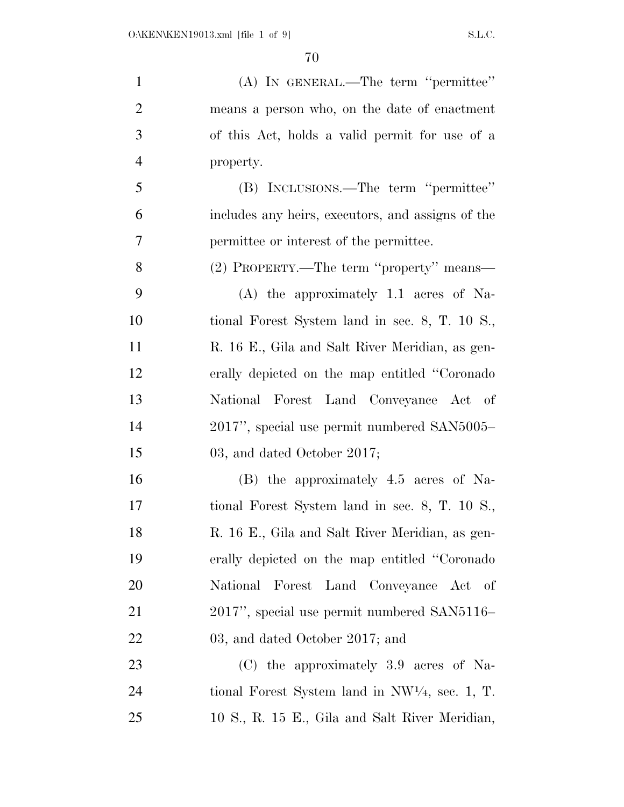| $\mathbf{1}$   | (A) IN GENERAL.—The term "permittee"                      |
|----------------|-----------------------------------------------------------|
| $\overline{2}$ | means a person who, on the date of enactment              |
| 3              | of this Act, holds a valid permit for use of a            |
| $\overline{4}$ | property.                                                 |
| 5              | (B) INCLUSIONS.—The term "permittee"                      |
| 6              | includes any heirs, executors, and assigns of the         |
| 7              | permittee or interest of the permittee.                   |
| 8              | (2) PROPERTY.—The term "property" means—                  |
| 9              | $(A)$ the approximately 1.1 acres of Na-                  |
| 10             | tional Forest System land in sec. 8, T. 10 S.,            |
| 11             | R. 16 E., Gila and Salt River Meridian, as gen-           |
| 12             | erally depicted on the map entitled "Coronado"            |
| 13             | National Forest Land Conveyance Act of                    |
| 14             | 2017", special use permit numbered SAN5005-               |
| 15             | 03, and dated October 2017;                               |
| 16             | (B) the approximately 4.5 acres of Na-                    |
| 17             | tional Forest System land in sec. 8, T. 10 S.,            |
| 18             | R. 16 E., Gila and Salt River Meridian, as gen-           |
| 19             | erally depicted on the map entitled "Coronado"            |
| 20             | National Forest Land Conveyance Act of                    |
| 21             | 2017", special use permit numbered SAN5116-               |
| 22             | 03, and dated October 2017; and                           |
| 23             | (C) the approximately 3.9 acres of Na-                    |
| 24             | tional Forest System land in $NW\frac{1}{4}$ , sec. 1, T. |
| 25             | 10 S., R. 15 E., Gila and Salt River Meridian,            |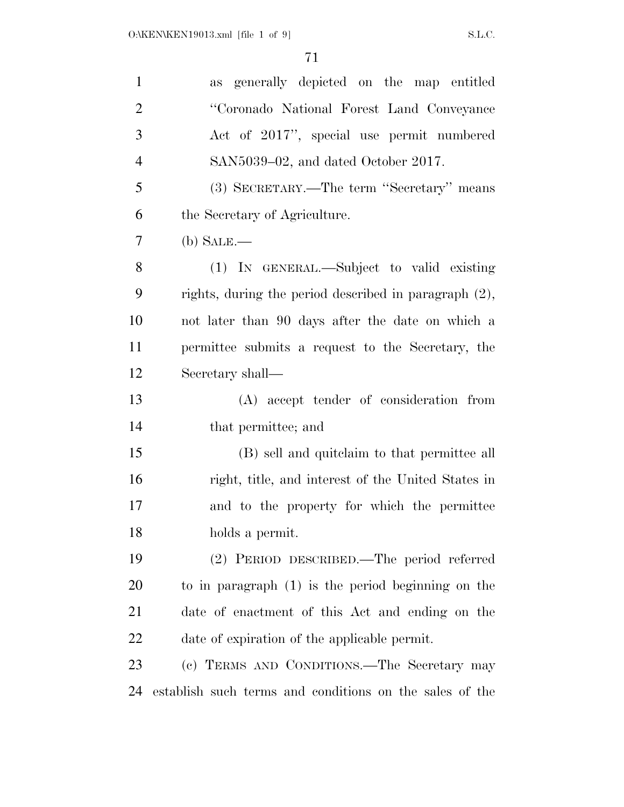| $\mathbf{1}$   | as generally depicted on the map entitled               |
|----------------|---------------------------------------------------------|
| $\overline{2}$ | "Coronado National Forest Land Conveyance               |
| 3              | Act of 2017", special use permit numbered               |
| $\overline{4}$ | SAN5039–02, and dated October 2017.                     |
| 5              | (3) SECRETARY.—The term "Secretary" means               |
| 6              | the Secretary of Agriculture.                           |
| 7              | $(b)$ SALE.—                                            |
| 8              | (1) IN GENERAL.—Subject to valid existing               |
| 9              | rights, during the period described in paragraph (2),   |
| 10             | not later than 90 days after the date on which a        |
| 11             | permittee submits a request to the Secretary, the       |
| 12             | Secretary shall—                                        |
| 13             | (A) accept tender of consideration from                 |
| 14             | that permittee; and                                     |
| 15             | (B) sell and quite laim to that permittee all           |
| 16             | right, title, and interest of the United States in      |
| 17             | and to the property for which the permittee             |
| 18             | holds a permit.                                         |
| 19             | (2) PERIOD DESCRIBED.—The period referred               |
| 20             | to in paragraph $(1)$ is the period beginning on the    |
| 21             | date of enactment of this Act and ending on the         |
| 22             | date of expiration of the applicable permit.            |
| 23             | (c) TERMS AND CONDITIONS.—The Secretary may             |
| 24             | establish such terms and conditions on the sales of the |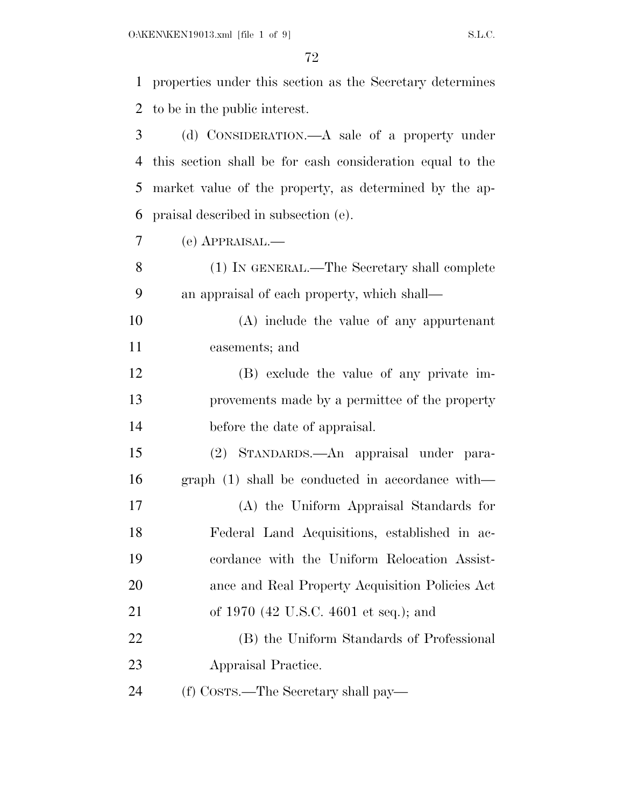| $\mathbf{1}$ | properties under this section as the Secretary determines |
|--------------|-----------------------------------------------------------|
|              |                                                           |
| 2            | to be in the public interest.                             |
| 3            | (d) CONSIDERATION.—A sale of a property under             |
| 4            | this section shall be for cash consideration equal to the |
| 5            | market value of the property, as determined by the ap-    |
| 6            | praisal described in subsection (e).                      |
| 7            | $(e)$ APPRAISAL.—                                         |
| 8            | (1) IN GENERAL.—The Secretary shall complete              |
| 9            | an appraisal of each property, which shall—               |
| 10           | $(A)$ include the value of any appurtenant                |
| 11           | easements; and                                            |
| 12           | (B) exclude the value of any private im-                  |
| 13           | provements made by a permittee of the property            |
| 14           | before the date of appraisal.                             |
| 15           | (2) STANDARDS.—An appraisal under para-                   |
| 16           | $graph (1) shall be conducted in accordance with—$        |
| 17           | (A) the Uniform Appraisal Standards for                   |
| 18           | Federal Land Acquisitions, established in ac-             |
| 19           | cordance with the Uniform Relocation Assist-              |
| 20           | ance and Real Property Acquisition Policies Act           |
| 21           | of 1970 (42 U.S.C. 4601 et seq.); and                     |
| 22           | (B) the Uniform Standards of Professional                 |
| 23           | Appraisal Practice.                                       |
| 24           | (f) COSTS.—The Secretary shall pay—                       |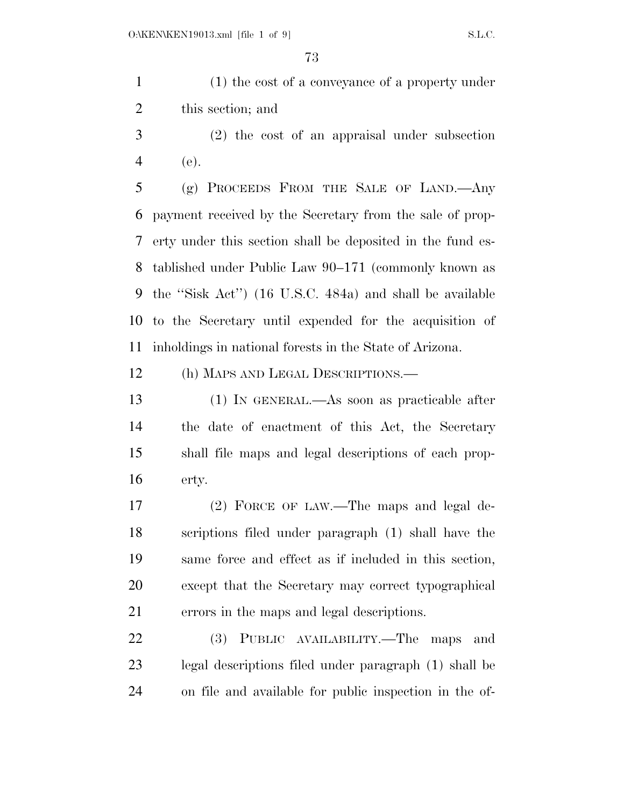(1) the cost of a conveyance of a property under this section; and

 (2) the cost of an appraisal under subsection (e).

 (g) PROCEEDS FROM THE SALE OF LAND.—Any payment received by the Secretary from the sale of prop- erty under this section shall be deposited in the fund es- tablished under Public Law 90–171 (commonly known as the ''Sisk Act'') (16 U.S.C. 484a) and shall be available to the Secretary until expended for the acquisition of inholdings in national forests in the State of Arizona.

(h) MAPS AND LEGAL DESCRIPTIONS.—

 (1) IN GENERAL.—As soon as practicable after the date of enactment of this Act, the Secretary shall file maps and legal descriptions of each prop-erty.

 (2) FORCE OF LAW.—The maps and legal de- scriptions filed under paragraph (1) shall have the same force and effect as if included in this section, except that the Secretary may correct typographical errors in the maps and legal descriptions.

 (3) PUBLIC AVAILABILITY.—The maps and legal descriptions filed under paragraph (1) shall be on file and available for public inspection in the of-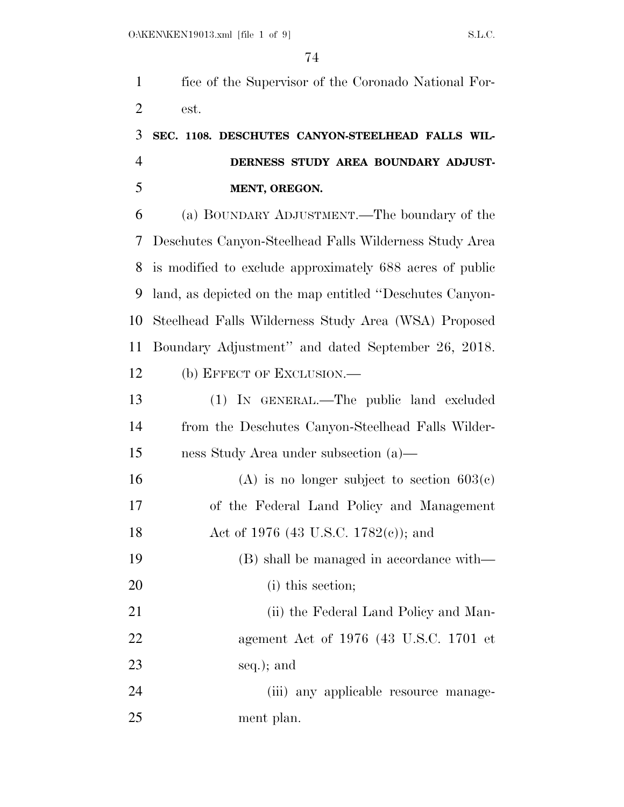fice of the Supervisor of the Coronado National For-est.

## **SEC. 1108. DESCHUTES CANYON-STEELHEAD FALLS WIL- DERNESS STUDY AREA BOUNDARY ADJUST-MENT, OREGON.**

 (a) BOUNDARY ADJUSTMENT.—The boundary of the Deschutes Canyon-Steelhead Falls Wilderness Study Area is modified to exclude approximately 688 acres of public land, as depicted on the map entitled ''Deschutes Canyon- Steelhead Falls Wilderness Study Area (WSA) Proposed Boundary Adjustment'' and dated September 26, 2018. (b) EFFECT OF EXCLUSION.—

 (1) IN GENERAL.—The public land excluded from the Deschutes Canyon-Steelhead Falls Wilder-ness Study Area under subsection (a)—

16 (A) is no longer subject to section  $603(c)$  of the Federal Land Policy and Management 18 Act of 1976 (43 U.S.C. 1782(c)); and (B) shall be managed in accordance with— (i) this section;

21 (ii) the Federal Land Policy and Man- agement Act of 1976 (43 U.S.C. 1701 et seq.); and

 (iii) any applicable resource manage-ment plan.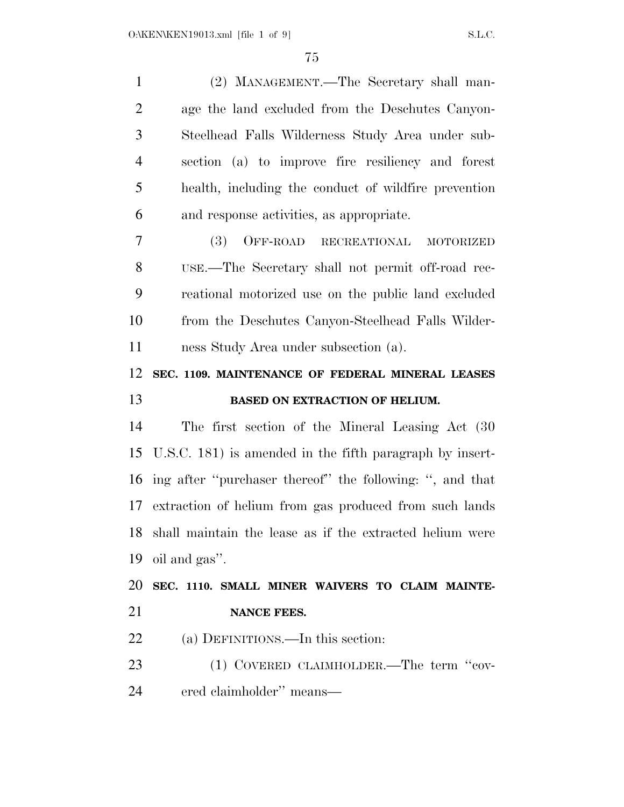| $\mathbf{1}$   | (2) MANAGEMENT.—The Secretary shall man-                    |
|----------------|-------------------------------------------------------------|
| $\overline{2}$ | age the land excluded from the Deschutes Canyon-            |
| 3              | Steelhead Falls Wilderness Study Area under sub-            |
| $\overline{4}$ | section (a) to improve fire resiliency and forest           |
| 5              | health, including the conduct of wildfire prevention        |
| 6              | and response activities, as appropriate.                    |
| 7              | <b>(3)</b><br>OFF-ROAD RECREATIONAL MOTORIZED               |
| 8              | USE.—The Secretary shall not permit off-road rec-           |
| 9              | reational motorized use on the public land excluded         |
| 10             | from the Deschutes Canyon-Steelhead Falls Wilder-           |
| 11             | ness Study Area under subsection (a).                       |
| 12             | SEC. 1109. MAINTENANCE OF FEDERAL MINERAL LEASES            |
|                | BASED ON EXTRACTION OF HELIUM.                              |
|                |                                                             |
| 13<br>14       | The first section of the Mineral Leasing Act (30)           |
| 15             | U.S.C. 181) is amended in the fifth paragraph by insert-    |
| 16             | ing after "purchaser thereof" the following: ", and that    |
| 17             | extraction of helium from gas produced from such lands      |
|                | 18 shall maintain the lease as if the extracted helium were |
| 19             | oil and gas".                                               |
| 20             | SEC. 1110. SMALL MINER WAIVERS TO CLAIM MAINTE-             |
|                | <b>NANCE FEES.</b>                                          |
| 21<br>22       | (a) DEFINITIONS.—In this section:                           |
| 23             | (1) COVERED CLAIMHOLDER.—The term "cov-                     |
| 24             | ered claimholder" means—                                    |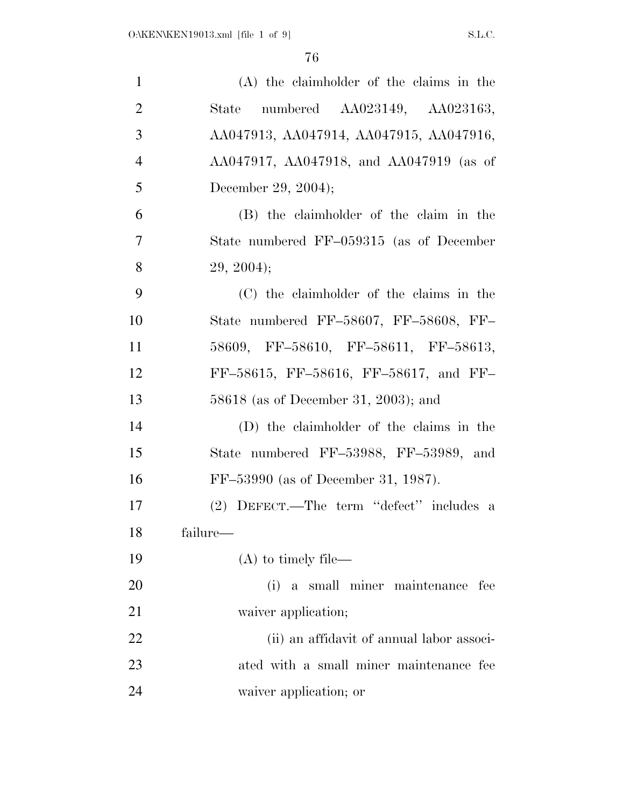| $\mathbf{1}$   | (A) the claimholder of the claims in the  |
|----------------|-------------------------------------------|
| $\overline{2}$ | numbered AA023149, AA023163,<br>State     |
| 3              | AA047913, AA047914, AA047915, AA047916,   |
| $\overline{4}$ | AA047917, AA047918, and AA047919 (as of   |
| 5              | December 29, 2004);                       |
| 6              | (B) the claimholder of the claim in the   |
| $\overline{7}$ | State numbered FF-059315 (as of December  |
| 8              | 29, 2004);                                |
| 9              | (C) the claimholder of the claims in the  |
| 10             | State numbered FF-58607, FF-58608, FF-    |
| 11             | 58609, FF-58610, FF-58611, FF-58613,      |
| 12             | FF-58615, FF-58616, FF-58617, and FF-     |
| 13             | 58618 (as of December 31, 2003); and      |
| 14             | (D) the claimholder of the claims in the  |
| 15             | State numbered FF-53988, FF-53989, and    |
| 16             | FF-53990 (as of December 31, 1987).       |
| 17             | (2) DEFECT.—The term "defect" includes a  |
| 18             | failure—                                  |
| 19             | $(A)$ to timely file—                     |
| 20             | (i) a small miner maintenance fee         |
| 21             | waiver application;                       |
| 22             | (ii) an affidavit of annual labor associ- |
| 23             | ated with a small miner maintenance fee   |
| 24             | waiver application; or                    |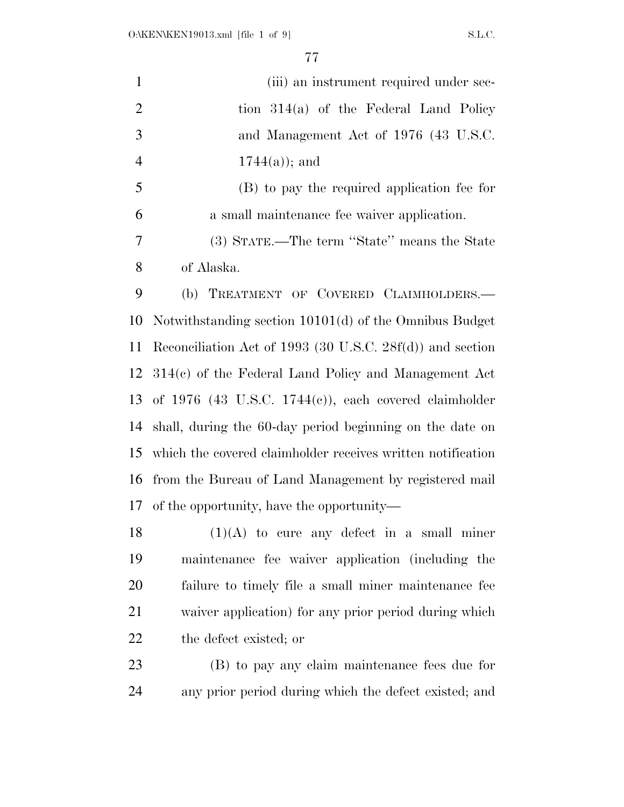| 1              | (iii) an instrument required under sec-                   |
|----------------|-----------------------------------------------------------|
| 2              | tion $314(a)$ of the Federal Land Policy                  |
| 3              | and Management Act of 1976 (43 U.S.C.                     |
| $\overline{4}$ | $1744(a)$ ; and                                           |
| 5              | (B) to pay the required application fee for               |
| 6              | a small maintenance fee waiver application.               |
| 7              | (3) STATE.—The term "State" means the State               |
| 8              | of Alaska.                                                |
| 9              | (b) TREATMENT OF COVERED CLAIMHOLDERS.-                   |
|                | 10 Notwithstanding section 10101(d) of the Omnibus Budget |
|                |                                                           |

 Reconciliation Act of 1993 (30 U.S.C. 28f(d)) and section 314(c) of the Federal Land Policy and Management Act of 1976 (43 U.S.C. 1744(c)), each covered claimholder shall, during the 60-day period beginning on the date on which the covered claimholder receives written notification from the Bureau of Land Management by registered mail of the opportunity, have the opportunity—

 $(1)(A)$  to cure any defect in a small miner maintenance fee waiver application (including the failure to timely file a small miner maintenance fee waiver application) for any prior period during which the defect existed; or

 (B) to pay any claim maintenance fees due for any prior period during which the defect existed; and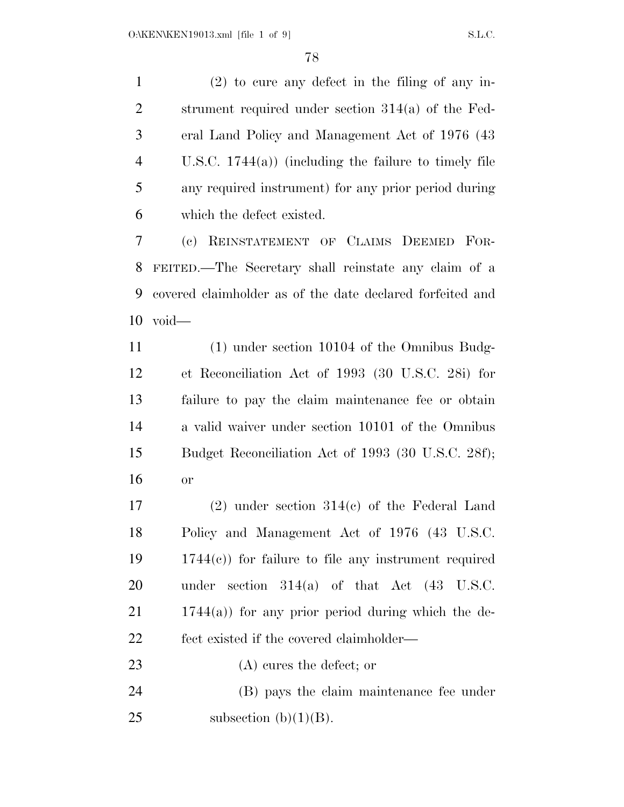(2) to cure any defect in the filing of any in- strument required under section 314(a) of the Fed- eral Land Policy and Management Act of 1976 (43 U.S.C. 1744(a)) (including the failure to timely file any required instrument) for any prior period during which the defect existed. (c) REINSTATEMENT OF CLAIMS DEEMED FOR-

 FEITED.—The Secretary shall reinstate any claim of a covered claimholder as of the date declared forfeited and void—

 (1) under section 10104 of the Omnibus Budg- et Reconciliation Act of 1993 (30 U.S.C. 28i) for failure to pay the claim maintenance fee or obtain a valid waiver under section 10101 of the Omnibus Budget Reconciliation Act of 1993 (30 U.S.C. 28f); or

 (2) under section 314(c) of the Federal Land Policy and Management Act of 1976 (43 U.S.C. 1744(c)) for failure to file any instrument required under section 314(a) of that Act (43 U.S.C. 1744(a)) for any prior period during which the de-fect existed if the covered claimholder—

(A) cures the defect; or

 (B) pays the claim maintenance fee under 25 subsection  $(b)(1)(B)$ .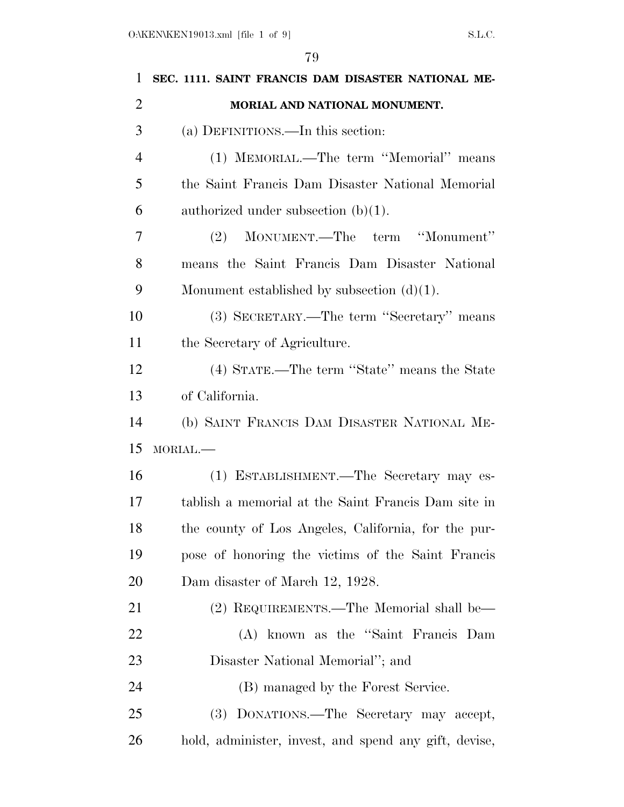| $\mathbf{1}$   | SEC. 1111. SAINT FRANCIS DAM DISASTER NATIONAL ME-    |
|----------------|-------------------------------------------------------|
| $\overline{2}$ | MORIAL AND NATIONAL MONUMENT.                         |
| 3              | (a) DEFINITIONS.—In this section:                     |
| $\overline{4}$ | (1) MEMORIAL.—The term "Memorial" means               |
| 5              | the Saint Francis Dam Disaster National Memorial      |
| 6              | authorized under subsection $(b)(1)$ .                |
| 7              | MONUMENT.—The term "Monument"<br>(2)                  |
| 8              | means the Saint Francis Dam Disaster National         |
| 9              | Monument established by subsection $(d)(1)$ .         |
| 10             | (3) SECRETARY.—The term "Secretary" means             |
| 11             | the Secretary of Agriculture.                         |
| 12             | (4) STATE.—The term "State" means the State           |
| 13             | of California.                                        |
| 14             | (b) SAINT FRANCIS DAM DISASTER NATIONAL ME-           |
| 15             | MORIAL.-                                              |
| 16             | (1) ESTABLISHMENT.—The Secretary may es-              |
| 17             | tablish a memorial at the Saint Francis Dam site in   |
| 18             | the county of Los Angeles, California, for the pur-   |
| 19             | pose of honoring the victims of the Saint Francis     |
| <b>20</b>      | Dam disaster of March 12, 1928.                       |
| 21             | (2) REQUIREMENTS.—The Memorial shall be—              |
| 22             | (A) known as the "Saint Francis Dam                   |
| 23             | Disaster National Memorial"; and                      |
| 24             | (B) managed by the Forest Service.                    |
| 25             | (3) DONATIONS.—The Secretary may accept,              |
| 26             | hold, administer, invest, and spend any gift, devise, |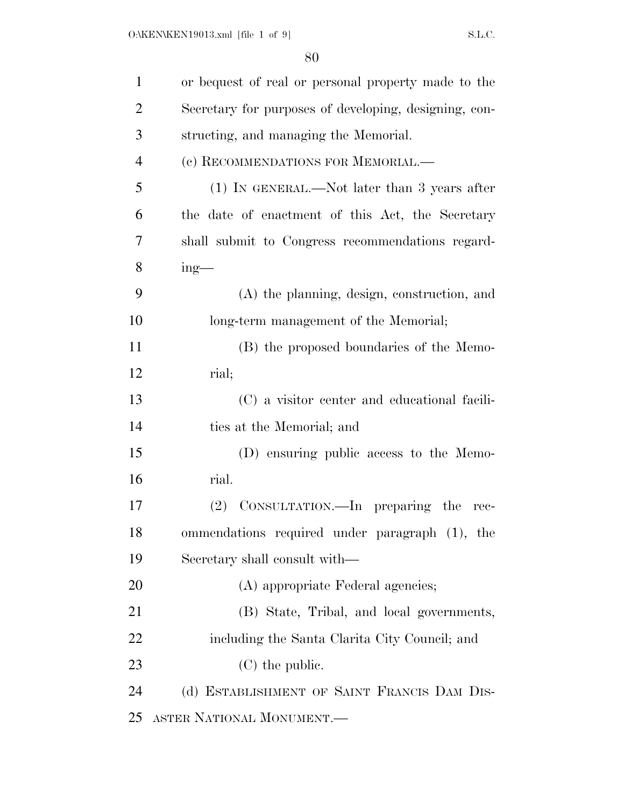| $\mathbf{1}$   | or bequest of real or personal property made to the   |
|----------------|-------------------------------------------------------|
| $\overline{2}$ | Secretary for purposes of developing, designing, con- |
| 3              | structing, and managing the Memorial.                 |
| $\overline{4}$ | (c) RECOMMENDATIONS FOR MEMORIAL.—                    |
| 5              | $(1)$ In GENERAL.—Not later than 3 years after        |
| 6              | the date of enactment of this Act, the Secretary      |
| 7              | shall submit to Congress recommendations regard-      |
| 8              | $ing$ —                                               |
| 9              | (A) the planning, design, construction, and           |
| 10             | long-term management of the Memorial;                 |
| 11             | (B) the proposed boundaries of the Memo-              |
| 12             | rial;                                                 |
| 13             | (C) a visitor center and educational facili-          |
| 14             | ties at the Memorial; and                             |
| 15             | (D) ensuring public access to the Memo-               |
| 16             | rial.                                                 |
| 17             | (2) CONSULTATION.—In preparing the<br>rec-            |
| 18             | ommendations required under paragraph (1), the        |
| 19             | Secretary shall consult with—                         |
| 20             | (A) appropriate Federal agencies;                     |
| 21             | (B) State, Tribal, and local governments,             |
| 22             | including the Santa Clarita City Council; and         |
| 23             | $(C)$ the public.                                     |
| 24             | (d) ESTABLISHMENT OF SAINT FRANCIS DAM DIS-           |
| 25             | ASTER NATIONAL MONUMENT.—                             |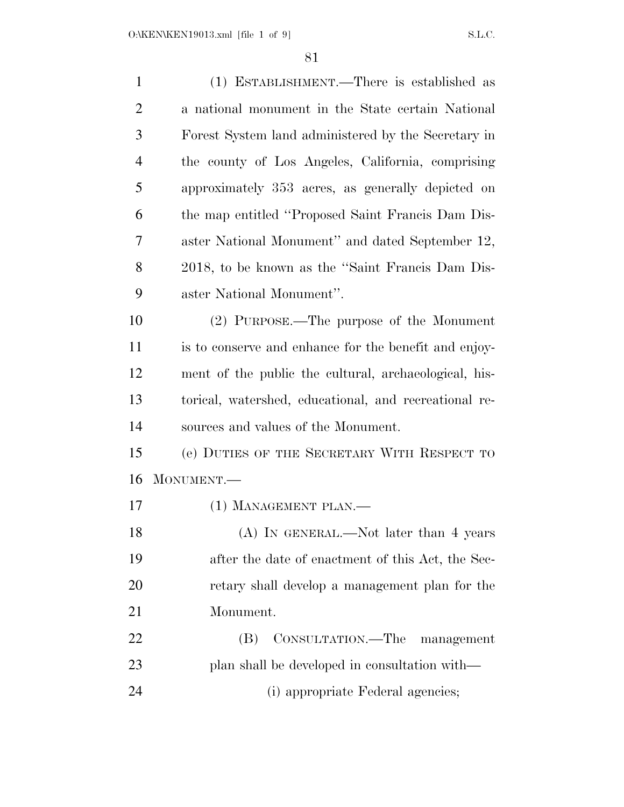| $\mathbf{1}$   | (1) ESTABLISHMENT.—There is established as            |
|----------------|-------------------------------------------------------|
| $\overline{2}$ | a national monument in the State certain National     |
| 3              | Forest System land administered by the Secretary in   |
| $\overline{4}$ | the county of Los Angeles, California, comprising     |
| 5              | approximately 353 acres, as generally depicted on     |
| 6              | the map entitled "Proposed Saint Francis Dam Dis-     |
| 7              | aster National Monument" and dated September 12,      |
| 8              | 2018, to be known as the "Saint Francis Dam Dis-      |
| 9              | aster National Monument".                             |
| 10             | (2) PURPOSE.—The purpose of the Monument              |
| 11             | is to conserve and enhance for the benefit and enjoy- |
| 12             | ment of the public the cultural, archaeological, his- |
| 13             | torical, watershed, educational, and recreational re- |
| 14             | sources and values of the Monument.                   |
| 15             | (e) DUTIES OF THE SECRETARY WITH RESPECT TO           |
| 16             | MONUMENT.-                                            |
| 17             | (1) MANAGEMENT PLAN.—                                 |
| 18             | (A) IN GENERAL.—Not later than 4 years                |
| 19             | after the date of enactment of this Act, the Sec-     |
| 20             | retary shall develop a management plan for the        |
| 21             | Monument.                                             |
| 22             | CONSULTATION.—The<br>(B)<br>management                |
| 23             | plan shall be developed in consultation with—         |
| 24             | (i) appropriate Federal agencies;                     |
|                |                                                       |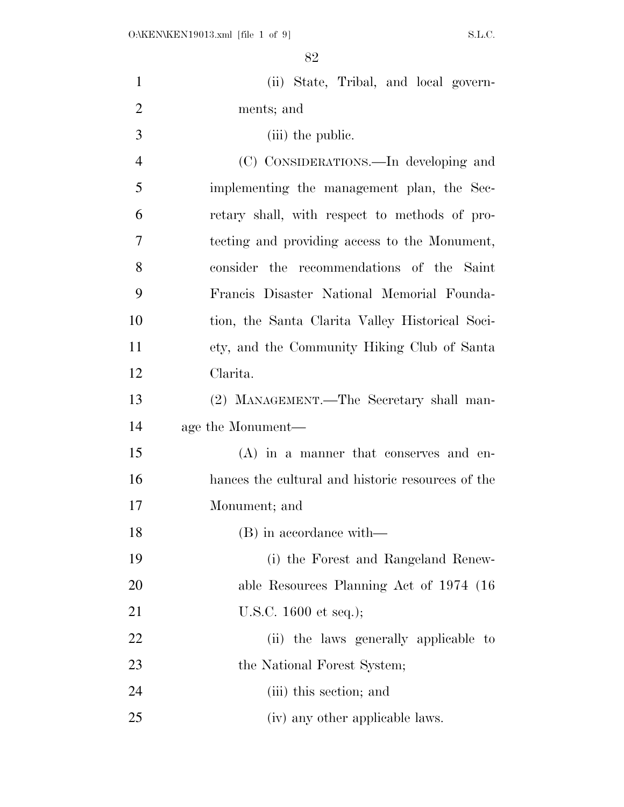| $\mathbf{1}$   | (ii) State, Tribal, and local govern-             |
|----------------|---------------------------------------------------|
| $\overline{2}$ | ments; and                                        |
| 3              | (iii) the public.                                 |
| 4              | (C) CONSIDERATIONS.—In developing and             |
| 5              | implementing the management plan, the Sec-        |
| 6              | retary shall, with respect to methods of pro-     |
| 7              | tecting and providing access to the Monument,     |
| 8              | consider the recommendations of the Saint         |
| 9              | Francis Disaster National Memorial Founda-        |
| 10             | tion, the Santa Clarita Valley Historical Soci-   |
| 11             | ety, and the Community Hiking Club of Santa       |
| 12             | Clarita.                                          |
| 13             | (2) MANAGEMENT.—The Secretary shall man-          |
| 14             | age the Monument—                                 |
| 15             | $(A)$ in a manner that conserves and en-          |
| 16             | hances the cultural and historic resources of the |
| 17             | Monument; and                                     |
| 18             | (B) in accordance with—                           |
| 19             | (i) the Forest and Rangeland Renew-               |
| 20             | able Resources Planning Act of 1974 (16)          |
| 21             | U.S.C. $1600$ et seq.);                           |
| 22             | (ii) the laws generally applicable to             |
| 23             | the National Forest System;                       |
| 24             | (iii) this section; and                           |
| 25             | (iv) any other applicable laws.                   |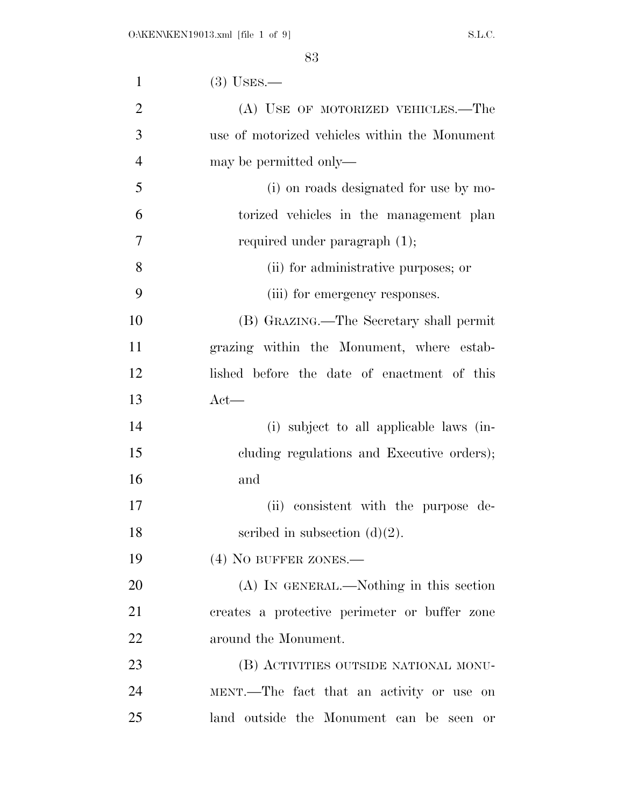| $\mathbf{1}$   | $(3)$ USES.—                                  |
|----------------|-----------------------------------------------|
| $\overline{2}$ | (A) USE OF MOTORIZED VEHICLES.—The            |
| 3              | use of motorized vehicles within the Monument |
| $\overline{4}$ | may be permitted only—                        |
| 5              | (i) on roads designated for use by mo-        |
| 6              | torized vehicles in the management plan       |
| 7              | required under paragraph $(1)$ ;              |
| 8              | (ii) for administrative purposes; or          |
| 9              | (iii) for emergency responses.                |
| 10             | (B) GRAZING.—The Secretary shall permit       |
| 11             | grazing within the Monument, where estab-     |
| 12             | lished before the date of enactment of this   |
| 13             | $Act$ —                                       |
| 14             | (i) subject to all applicable laws (in-       |
| 15             | cluding regulations and Executive orders);    |
| 16             | and                                           |
| 17             | (ii) consistent with the purpose de-          |
| 18             | scribed in subsection $(d)(2)$ .              |
| 19             | $(4)$ NO BUFFER ZONES.—                       |
| 20             | (A) IN GENERAL.—Nothing in this section       |
| 21             | creates a protective perimeter or buffer zone |
| 22             | around the Monument.                          |
| 23             | (B) ACTIVITIES OUTSIDE NATIONAL MONU-         |
| 24             | MENT.—The fact that an activity or use on     |
| 25             | land outside the Monument can be seen<br>or   |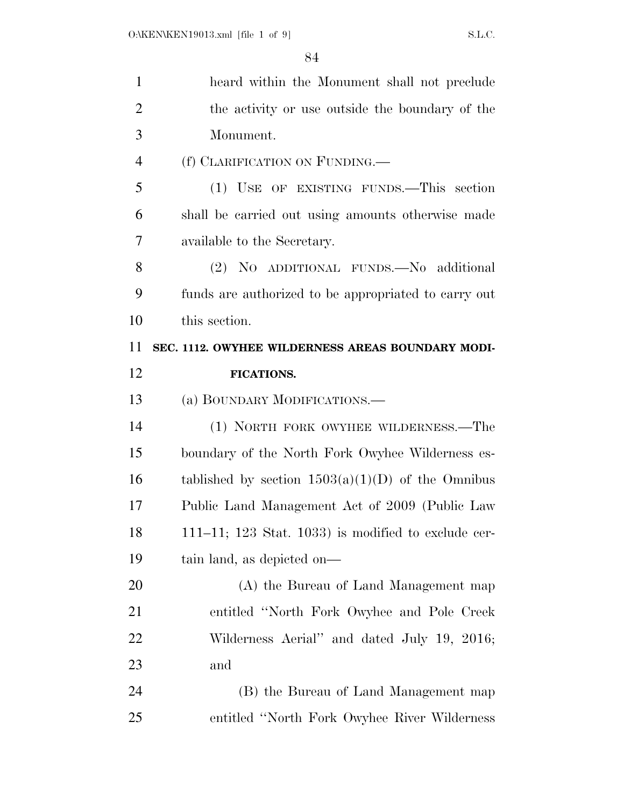| $\mathbf{1}$   | heard within the Monument shall not preclude                |
|----------------|-------------------------------------------------------------|
| $\overline{2}$ | the activity or use outside the boundary of the             |
| 3              | Monument.                                                   |
| $\overline{4}$ | (f) CLARIFICATION ON FUNDING.                               |
| 5              | (1) USE OF EXISTING FUNDS.—This section                     |
| 6              | shall be carried out using amounts otherwise made           |
| 7              | available to the Secretary.                                 |
| 8              | (2) NO ADDITIONAL FUNDS. No additional                      |
| 9              | funds are authorized to be appropriated to carry out        |
| 10             | this section.                                               |
| 11             | SEC. 1112. OWYHEE WILDERNESS AREAS BOUNDARY MODI-           |
| 12             | <b>FICATIONS.</b>                                           |
| 13             | (a) BOUNDARY MODIFICATIONS.—                                |
| 14             | (1) NORTH FORK OWYHEE WILDERNESS.—The                       |
| 15             | boundary of the North Fork Owyhee Wilderness es-            |
| 16             | tablished by section $1503(a)(1)(D)$ of the Omnibus         |
| 17             | Public Land Management Act of 2009 (Public Law              |
| 18             | $111-11$ ; $123$ Stat. $1033$ ) is modified to exclude cer- |
| 19             | tain land, as depicted on—                                  |
| 20             | (A) the Bureau of Land Management map                       |
| 21             | entitled "North Fork Owyhee and Pole Creek                  |
| 22             | Wilderness Aerial" and dated July 19, 2016;                 |
| 23             | and                                                         |
| 24             | (B) the Bureau of Land Management map                       |
| 25             | entitled "North Fork Owyhee River Wilderness"               |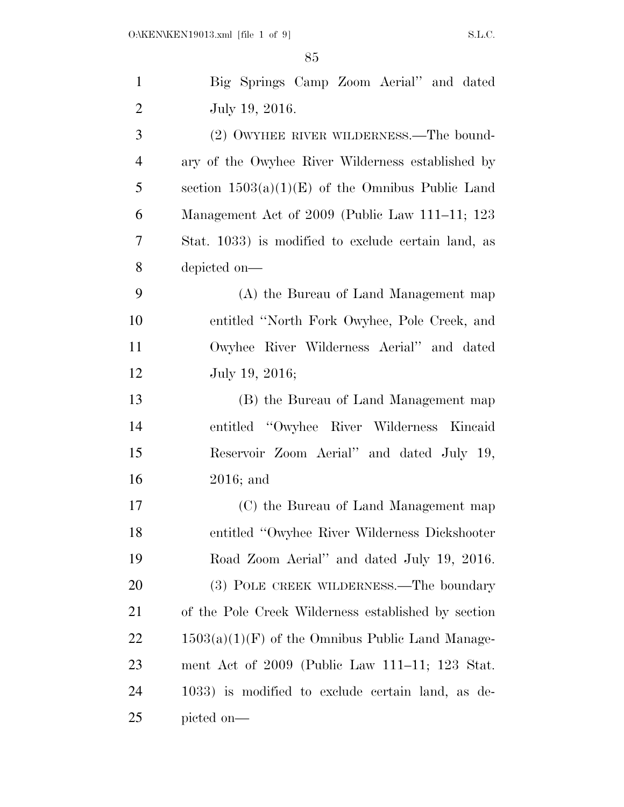| $\mathbf{1}$   | Big Springs Camp Zoom Aerial" and dated             |
|----------------|-----------------------------------------------------|
| $\overline{2}$ | July 19, 2016.                                      |
| 3              | (2) OWYHEE RIVER WILDERNESS.—The bound-             |
| $\overline{4}$ | ary of the Owyhee River Wilderness established by   |
| 5              | section $1503(a)(1)(E)$ of the Omnibus Public Land  |
| 6              | Management Act of 2009 (Public Law 111–11; 123      |
| 7              | Stat. 1033) is modified to exclude certain land, as |
| 8              | depicted on-                                        |
| 9              | (A) the Bureau of Land Management map               |
| 10             | entitled "North Fork Owyhee, Pole Creek, and        |
| 11             | Owyhee River Wilderness Aerial" and dated           |
| 12             | July 19, 2016;                                      |
| 13             | (B) the Bureau of Land Management map               |
| 14             | entitled "Owyhee River Wilderness Kincaid"          |
| 15             | Reservoir Zoom Aerial" and dated July 19,           |
| 16             | $2016$ ; and                                        |
| 17             | (C) the Bureau of Land Management map               |
| 18             | entitled "Owyhee River Wilderness Dickshooter       |
| 19             | Road Zoom Aerial" and dated July 19, 2016.          |
| 20             | (3) POLE CREEK WILDERNESS.—The boundary             |
| 21             | of the Pole Creek Wilderness established by section |
| 22             | $1503(a)(1)(F)$ of the Omnibus Public Land Manage-  |
| 23             | ment Act of 2009 (Public Law 111–11; 123 Stat.      |
| 24             | 1033) is modified to exclude certain land, as de-   |
| 25             | picted on—                                          |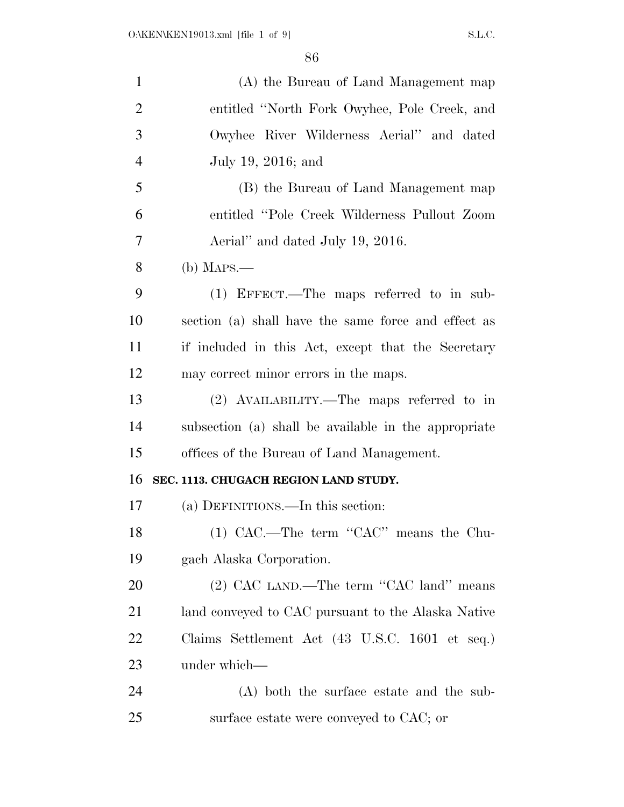| $\mathbf{1}$   | (A) the Bureau of Land Management map                |
|----------------|------------------------------------------------------|
| $\overline{2}$ | entitled "North Fork Owyhee, Pole Creek, and         |
| 3              | Owyhee River Wilderness Aerial" and dated            |
| $\overline{4}$ | July 19, 2016; and                                   |
| 5              | (B) the Bureau of Land Management map                |
| 6              | entitled "Pole Creek Wilderness Pullout Zoom         |
| 7              | Aerial" and dated July 19, 2016.                     |
| 8              | $(b)$ Maps.—                                         |
| 9              | (1) EFFECT.—The maps referred to in sub-             |
| 10             | section (a) shall have the same force and effect as  |
| 11             | if included in this Act, except that the Secretary   |
| 12             | may correct minor errors in the maps.                |
| 13             | (2) AVAILABILITY.—The maps referred to in            |
| 14             | subsection (a) shall be available in the appropriate |
| 15             | offices of the Bureau of Land Management.            |
| 16             | SEC. 1113. CHUGACH REGION LAND STUDY.                |
| 17             | (a) DEFINITIONS.—In this section:                    |
| 18             | $(1)$ CAC.—The term "CAC" means the Chu-             |
| 19             | gach Alaska Corporation.                             |
| 20             | (2) CAC LAND.—The term "CAC land" means              |
| 21             | land conveyed to CAC pursuant to the Alaska Native   |
| 22             | Claims Settlement Act (43 U.S.C. 1601 et seq.)       |
| 23             | under which—                                         |
| 24             | (A) both the surface estate and the sub-             |
| 25             | surface estate were conveyed to CAC; or              |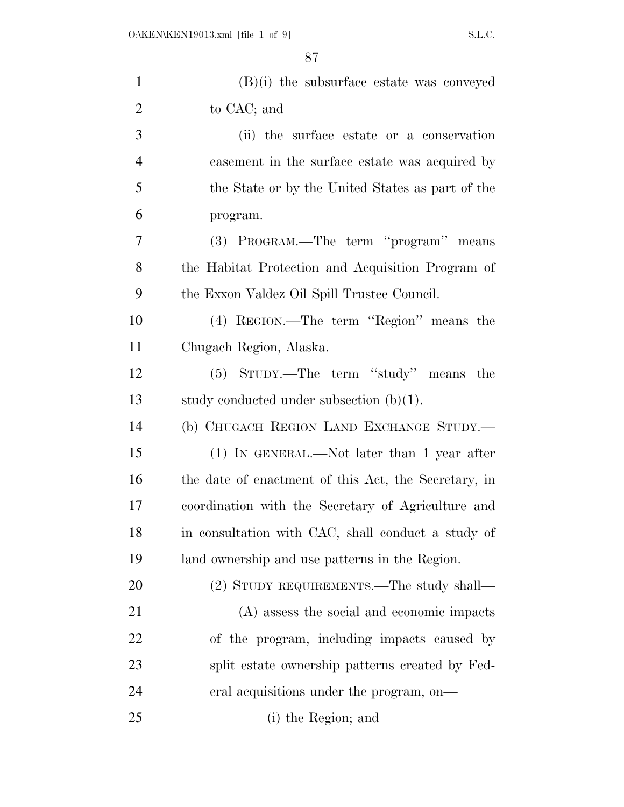| $\mathbf{1}$   | $(B)(i)$ the subsurface estate was conveyed          |
|----------------|------------------------------------------------------|
| $\overline{2}$ | to CAC; and                                          |
| 3              | (ii) the surface estate or a conservation            |
| $\overline{4}$ | easement in the surface estate was acquired by       |
| 5              | the State or by the United States as part of the     |
| 6              | program.                                             |
| 7              | (3) PROGRAM.—The term "program" means                |
| 8              | the Habitat Protection and Acquisition Program of    |
| 9              | the Exxon Valdez Oil Spill Trustee Council.          |
| 10             | (4) REGION.—The term "Region" means the              |
| 11             | Chugach Region, Alaska.                              |
| 12             | (5) STUDY.—The term "study" means the                |
| 13             | study conducted under subsection $(b)(1)$ .          |
| 14             | (b) CHUGACH REGION LAND EXCHANGE STUDY.—             |
| 15             | $(1)$ In GENERAL.—Not later than 1 year after        |
| 16             | the date of enactment of this Act, the Secretary, in |
| 17             | coordination with the Secretary of Agriculture and   |
| 18             | in consultation with CAC, shall conduct a study of   |
| 19             | land ownership and use patterns in the Region.       |
| 20             | (2) STUDY REQUIREMENTS.—The study shall—             |
| 21             | (A) assess the social and economic impacts           |
| 22             | of the program, including impacts caused by          |
| 23             | split estate ownership patterns created by Fed-      |
| 24             | eral acquisitions under the program, on—             |
| 25             | (i) the Region; and                                  |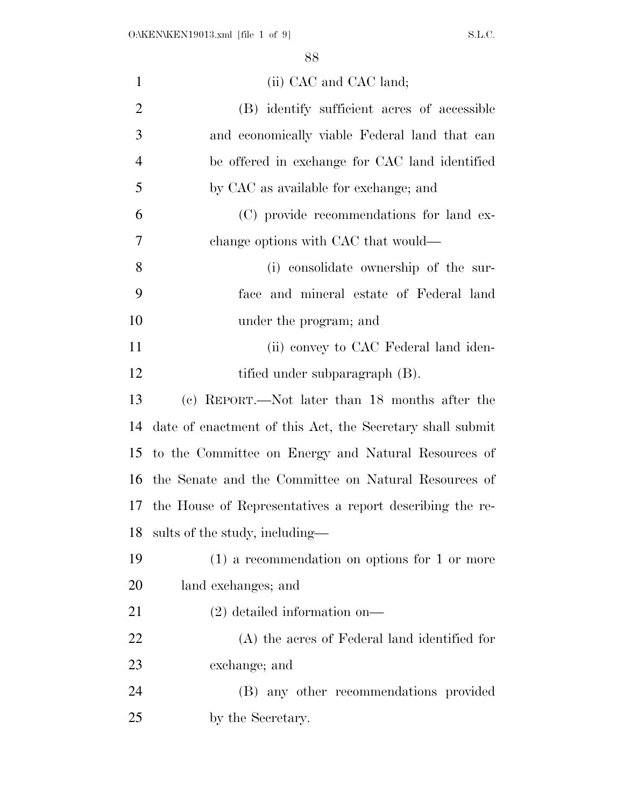| $\mathbf{1}$   | (ii) CAC and CAC land;                                    |
|----------------|-----------------------------------------------------------|
| $\overline{2}$ | (B) identify sufficient acres of accessible               |
| 3              | and economically viable Federal land that can             |
| $\overline{4}$ | be offered in exchange for CAC land identified            |
| 5              | by CAC as available for exchange; and                     |
| 6              | (C) provide recommendations for land ex-                  |
| 7              | change options with CAC that would—                       |
| 8              | (i) consolidate ownership of the sur-                     |
| 9              | face and mineral estate of Federal land                   |
| 10             | under the program; and                                    |
| 11             | (ii) convey to CAC Federal land iden-                     |
| 12             | tified under subparagraph (B).                            |
| 13             | (c) REPORT.—Not later than 18 months after the            |
| 14             | date of enactment of this Act, the Secretary shall submit |
| 15             | to the Committee on Energy and Natural Resources of       |
| 16             | the Senate and the Committee on Natural Resources of      |
| 17             | the House of Representatives a report describing the re-  |
| 18             | sults of the study, including—                            |
| 19             | $(1)$ a recommendation on options for 1 or more           |
| 20             | land exchanges; and                                       |
| 21             | $(2)$ detailed information on—                            |
| 22             | (A) the acres of Federal land identified for              |
| 23             | exchange; and                                             |
| 24             | (B) any other recommendations provided                    |
| 25             | by the Secretary.                                         |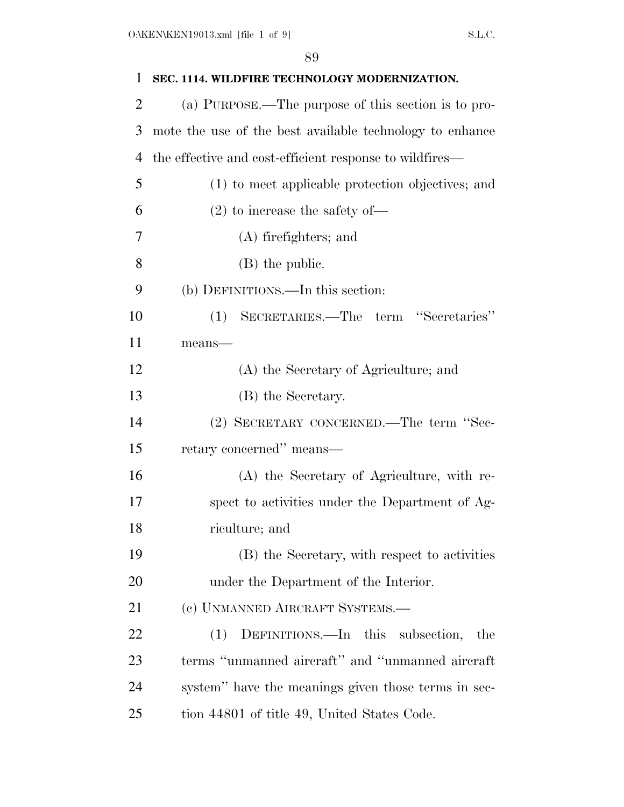| 1              | SEC. 1114. WILDFIRE TECHNOLOGY MODERNIZATION.            |
|----------------|----------------------------------------------------------|
| $\overline{2}$ | (a) PURPOSE.—The purpose of this section is to pro-      |
| 3              | mote the use of the best available technology to enhance |
| 4              | the effective and cost-efficient response to wildfires—  |
| 5              | (1) to meet applicable protection objectives; and        |
| 6              | $(2)$ to increase the safety of-                         |
| 7              | (A) firefighters; and                                    |
| 8              | (B) the public.                                          |
| 9              | (b) DEFINITIONS.—In this section:                        |
| 10             | SECRETARIES.—The term "Secretaries"<br>(1)               |
| 11             | $means$ —                                                |
| 12             | (A) the Secretary of Agriculture; and                    |
| 13             | (B) the Secretary.                                       |
| 14             | (2) SECRETARY CONCERNED.—The term "Sec-                  |
| 15             | retary concerned" means—                                 |
| 16             | (A) the Secretary of Agriculture, with re-               |
| 17             | spect to activities under the Department of Ag-          |
| 18             | riculture; and                                           |
| 19             | (B) the Secretary, with respect to activities            |
| 20             | under the Department of the Interior.                    |
| 21             | (c) UNMANNED AIRCRAFT SYSTEMS.—                          |
| 22             | DEFINITIONS.—In this subsection,<br>(1)<br>the           |
| 23             | terms "unmanned aircraft" and "unmanned aircraft         |
| 24             | system" have the meanings given those terms in sec-      |
| 25             | tion 44801 of title 49, United States Code.              |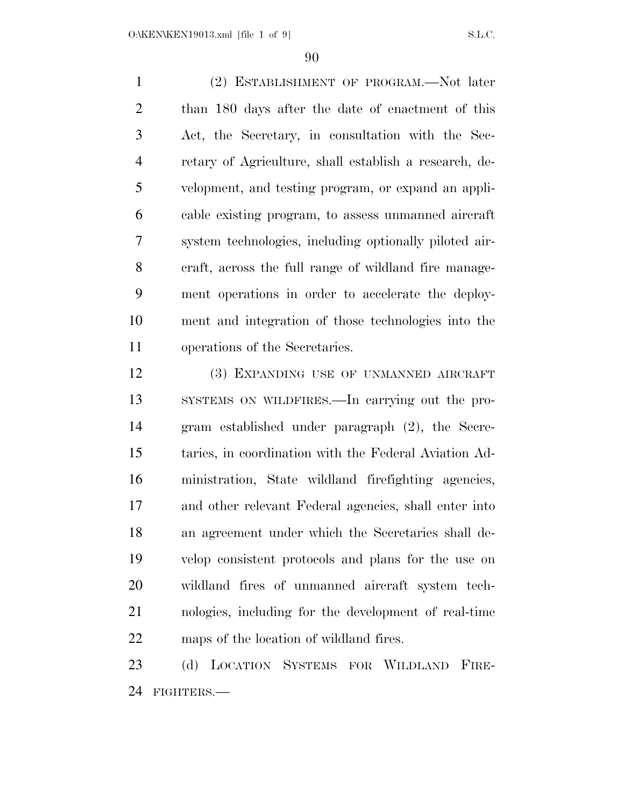(2) ESTABLISHMENT OF PROGRAM.—Not later than 180 days after the date of enactment of this Act, the Secretary, in consultation with the Sec- retary of Agriculture, shall establish a research, de- velopment, and testing program, or expand an appli- cable existing program, to assess unmanned aircraft system technologies, including optionally piloted air- craft, across the full range of wildland fire manage- ment operations in order to accelerate the deploy- ment and integration of those technologies into the operations of the Secretaries.

 (3) EXPANDING USE OF UNMANNED AIRCRAFT SYSTEMS ON WILDFIRES.—In carrying out the pro- gram established under paragraph (2), the Secre- taries, in coordination with the Federal Aviation Ad- ministration, State wildland firefighting agencies, and other relevant Federal agencies, shall enter into an agreement under which the Secretaries shall de- velop consistent protocols and plans for the use on wildland fires of unmanned aircraft system tech- nologies, including for the development of real-time maps of the location of wildland fires.

 (d) LOCATION SYSTEMS FOR WILDLAND FIRE-FIGHTERS.—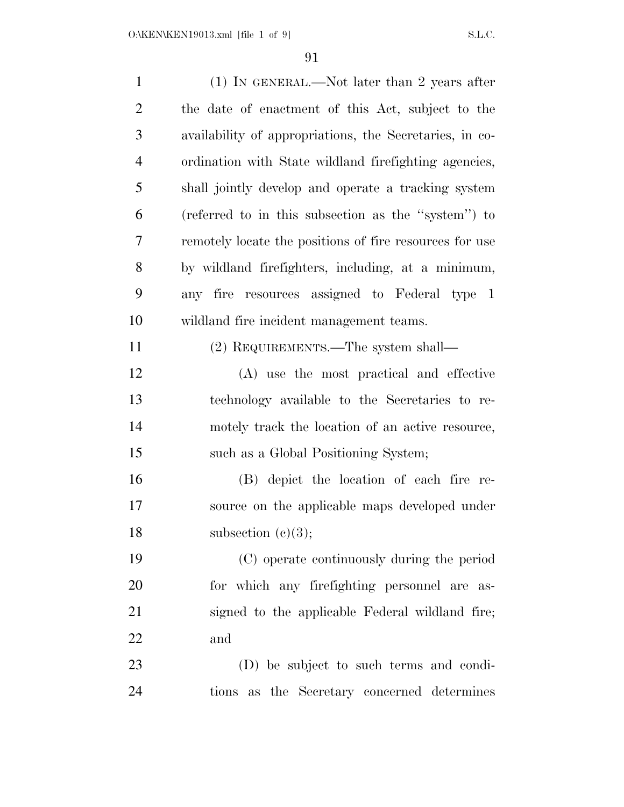| $\mathbf{1}$   | $(1)$ IN GENERAL.—Not later than 2 years after          |
|----------------|---------------------------------------------------------|
| $\overline{2}$ | the date of enactment of this Act, subject to the       |
| 3              | availability of appropriations, the Secretaries, in co- |
| $\overline{4}$ | ordination with State wildland firefighting agencies,   |
| 5              | shall jointly develop and operate a tracking system     |
| 6              | (referred to in this subsection as the "system") to     |
| 7              | remotely locate the positions of fire resources for use |
| 8              | by wildland firefighters, including, at a minimum,      |
| 9              | any fire resources assigned to Federal type 1           |
| 10             | wildland fire incident management teams.                |
| 11             | (2) REQUIREMENTS.—The system shall—                     |
| 12             | (A) use the most practical and effective                |
| 13             | technology available to the Secretaries to re-          |
| 14             | motely track the location of an active resource,        |
| 15             | such as a Global Positioning System;                    |
| 16             | (B) depict the location of each fire re-                |
| 17             | source on the applicable maps developed under           |
| 18             | subsection $(c)(3);$                                    |
| 19             | (C) operate continuously during the period              |
| 20             | for which any firefighting personnel are as-            |
| 21             | signed to the applicable Federal wildland fire;         |
| 22             | and                                                     |
| 23             | (D) be subject to such terms and condi-                 |
| 24             | the Secretary concerned determines<br>tions as          |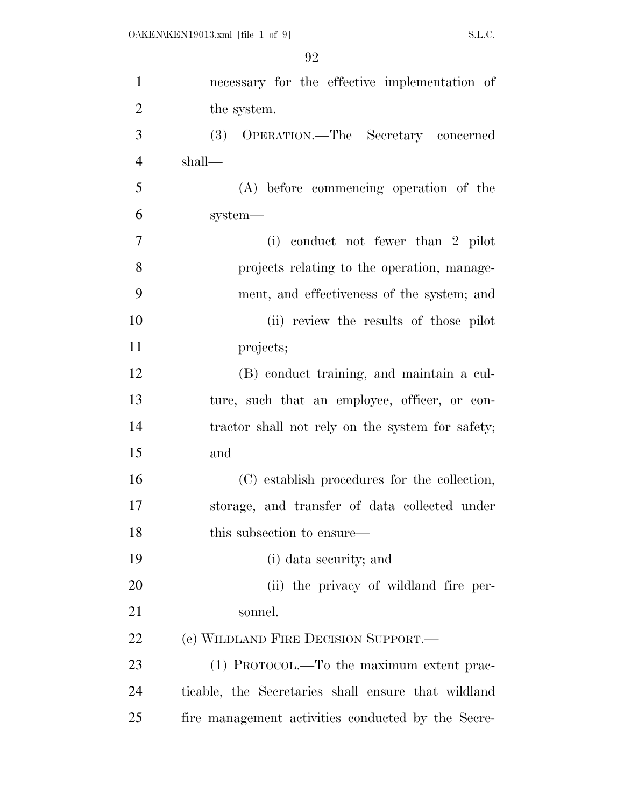| $\mathbf{1}$   | necessary for the effective implementation of       |
|----------------|-----------------------------------------------------|
| $\overline{2}$ | the system.                                         |
| 3              | OPERATION.—The Secretary concerned<br>(3)           |
| $\overline{4}$ | shall—                                              |
| 5              | (A) before commencing operation of the              |
| 6              | system-                                             |
| 7              | (i) conduct not fewer than 2 pilot                  |
| 8              | projects relating to the operation, manage-         |
| 9              | ment, and effectiveness of the system; and          |
| 10             | (ii) review the results of those pilot              |
| 11             | projects;                                           |
| 12             | (B) conduct training, and maintain a cul-           |
| 13             | ture, such that an employee, officer, or con-       |
| 14             | tractor shall not rely on the system for safety;    |
| 15             | and                                                 |
| 16             | (C) establish procedures for the collection,        |
| 17             | storage, and transfer of data collected under       |
| 18             | this subsection to ensure—                          |
| 19             | (i) data security; and                              |
| 20             | (ii) the privacy of wildland fire per-              |
| 21             | sonnel.                                             |
| 22             | (e) WILDLAND FIRE DECISION SUPPORT.                 |
| 23             | (1) PROTOCOL.—To the maximum extent prac-           |
| 24             | ticable, the Secretaries shall ensure that wildland |
| 25             | fire management activities conducted by the Secre-  |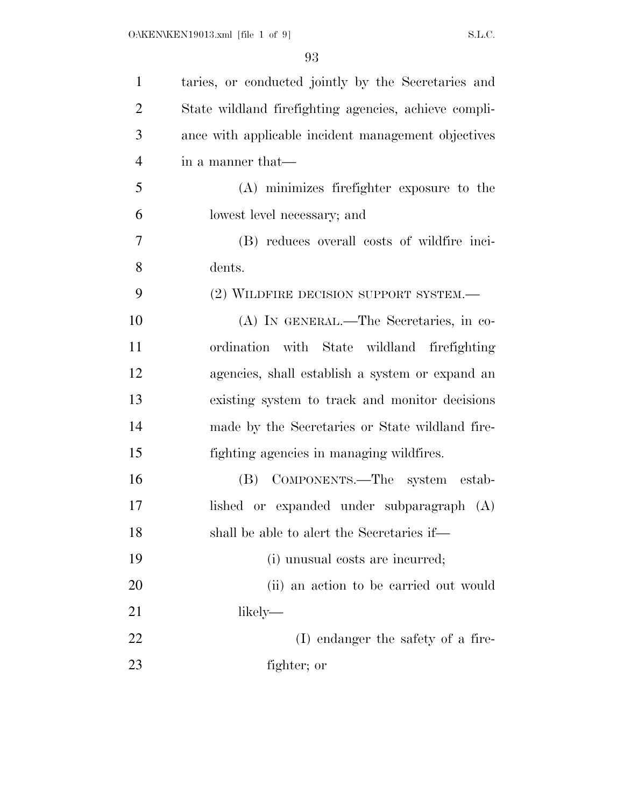| $\mathbf{1}$   | taries, or conducted jointly by the Secretaries and   |
|----------------|-------------------------------------------------------|
| $\overline{2}$ | State wildland firefighting agencies, achieve compli- |
| 3              | ance with applicable incident management objectives   |
| $\overline{4}$ | in a manner that—                                     |
| 5              | (A) minimizes firefighter exposure to the             |
| 6              | lowest level necessary; and                           |
| $\tau$         | (B) reduces overall costs of wildfire inci-           |
| 8              | dents.                                                |
| 9              | (2) WILDFIRE DECISION SUPPORT SYSTEM.—                |
| 10             | (A) IN GENERAL.—The Secretaries, in co-               |
| 11             | with State wildland firefighting<br>ordination        |
| 12             | agencies, shall establish a system or expand an       |
| 13             | existing system to track and monitor decisions        |
| 14             | made by the Secretaries or State wildland fire-       |
| 15             | fighting agencies in managing wildfires.              |
| 16             | (B) COMPONENTS.—The system estab-                     |
| 17             | lished or expanded under subparagraph (A)             |
| 18             | shall be able to alert the Secretaries if-            |
| 19             | (i) unusual costs are incurred;                       |
| 20             | (ii) an action to be carried out would                |
| 21             | likely—                                               |
| 22             | (I) endanger the safety of a fire-                    |
| 23             | fighter; or                                           |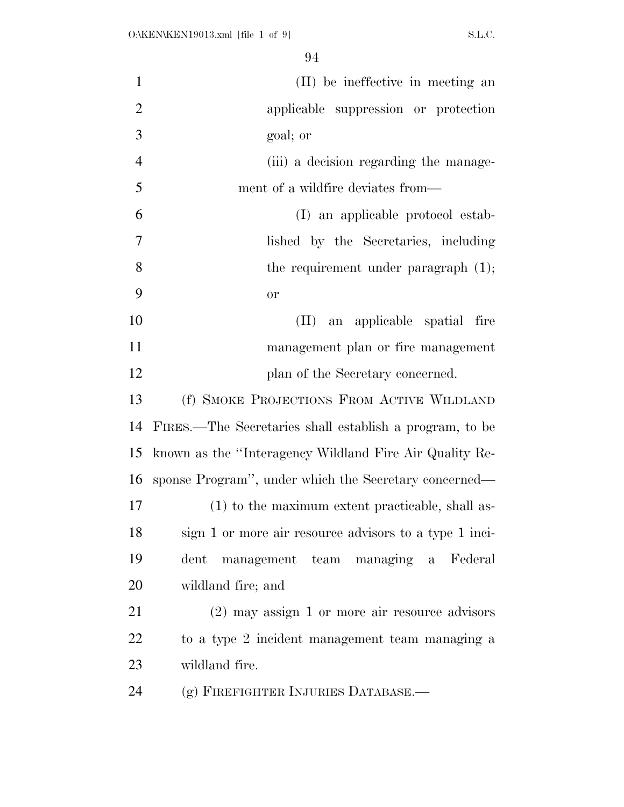| $\mathbf{1}$   | (II) be ineffective in meeting an                       |
|----------------|---------------------------------------------------------|
| $\overline{2}$ | applicable suppression or protection                    |
| 3              | goal; or                                                |
| $\overline{4}$ | (iii) a decision regarding the manage-                  |
| 5              | ment of a wildfire deviates from—                       |
| 6              | (I) an applicable protocol estab-                       |
| $\overline{7}$ | lished by the Secretaries, including                    |
| 8              | the requirement under paragraph $(1)$ ;                 |
| 9              | <b>or</b>                                               |
| 10             | an applicable spatial fire<br>$(\Pi)$                   |
| 11             | management plan or fire management                      |
| 12             | plan of the Secretary concerned.                        |
| 13             | (f) SMOKE PROJECTIONS FROM ACTIVE WILDLAND              |
| 14             | FIRES.—The Secretaries shall establish a program, to be |
| 15             | known as the "Interagency Wildland Fire Air Quality Re- |
| 16             | sponse Program", under which the Secretary concerned—   |
| 17             | (1) to the maximum extent practicable, shall as-        |
| 18             | sign 1 or more air resource advisors to a type 1 inci-  |
| 19             | management team managing a Federal<br>$_{\rm{dent}}$    |
| 20             | wildland fire; and                                      |
| 21             | $(2)$ may assign 1 or more air resource advisors        |
| 22             | to a type 2 incident management team managing a         |
| 23             | wildland fire.                                          |
| 24             | (g) FIREFIGHTER INJURIES DATABASE.-                     |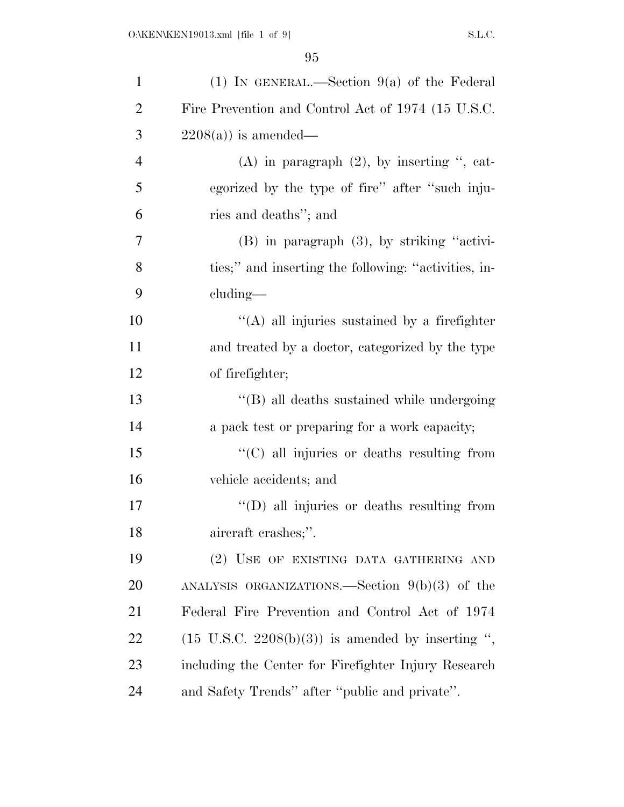| $\mathbf{1}$   | (1) IN GENERAL.—Section $9(a)$ of the Federal                |
|----------------|--------------------------------------------------------------|
| $\overline{2}$ | Fire Prevention and Control Act of 1974 (15 U.S.C.           |
| 3              | $2208(a)$ is amended—                                        |
| $\overline{4}$ | $(A)$ in paragraph $(2)$ , by inserting ", cat-              |
| 5              | egorized by the type of fire" after "such inju-              |
| 6              | ries and deaths"; and                                        |
| 7              | $(B)$ in paragraph $(3)$ , by striking "activi-              |
| 8              | ties;" and inserting the following: "activities, in-         |
| 9              | $cluding$ —                                                  |
| 10             | "(A) all injuries sustained by a firefighter                 |
| 11             | and treated by a doctor, categorized by the type             |
| 12             | of firefighter;                                              |
| 13             | "(B) all deaths sustained while undergoing                   |
| 14             | a pack test or preparing for a work capacity;                |
| 15             | "(C) all injuries or deaths resulting from                   |
| 16             | vehicle accidents; and                                       |
| 17             | $\lq\lq$ (D) all injuries or deaths resulting from           |
| 18             | aircraft crashes;".                                          |
| 19             | (2) USE OF EXISTING DATA GATHERING AND                       |
| 20             | ANALYSIS ORGANIZATIONS.—Section $9(b)(3)$ of the             |
| 21             | Federal Fire Prevention and Control Act of 1974              |
| 22             | $(15 \text{ U.S.C. } 2208(b)(3))$ is amended by inserting ", |
| 23             | including the Center for Firefighter Injury Research         |
| 24             | and Safety Trends" after "public and private".               |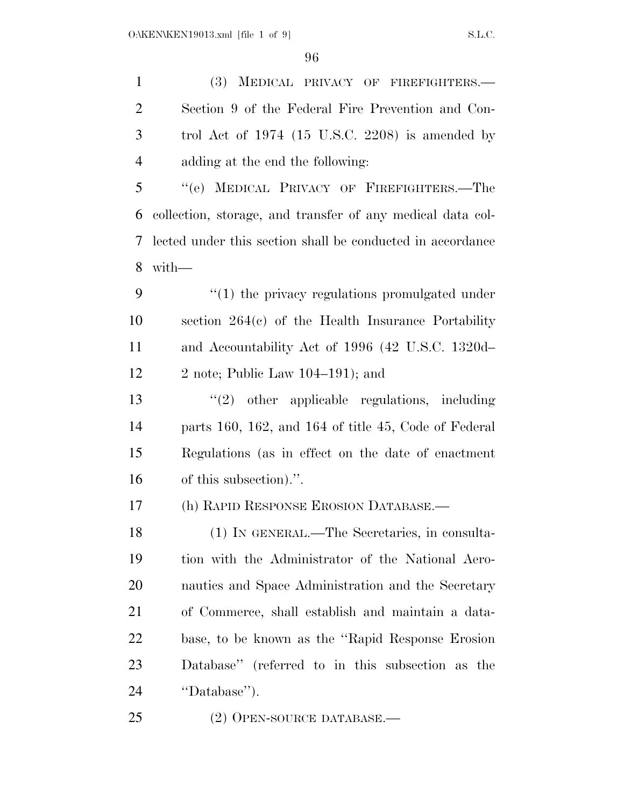(3) MEDICAL PRIVACY OF FIREFIGHTERS.— Section 9 of the Federal Fire Prevention and Con- trol Act of 1974 (15 U.S.C. 2208) is amended by adding at the end the following: ''(e) MEDICAL PRIVACY OF FIREFIGHTERS.—The collection, storage, and transfer of any medical data col- lected under this section shall be conducted in accordance with—  $\frac{4}{1}$  the privacy regulations promulgated under section 264(c) of the Health Insurance Portability and Accountability Act of 1996 (42 U.S.C. 1320d– 12 2 note; Public Law  $104-191$ ; and ''(2) other applicable regulations, including parts 160, 162, and 164 of title 45, Code of Federal Regulations (as in effect on the date of enactment of this subsection).''. (h) RAPID RESPONSE EROSION DATABASE.— (1) IN GENERAL.—The Secretaries, in consulta- tion with the Administrator of the National Aero- nautics and Space Administration and the Secretary of Commerce, shall establish and maintain a data- base, to be known as the ''Rapid Response Erosion Database'' (referred to in this subsection as the ''Database''). (2) OPEN-SOURCE DATABASE.—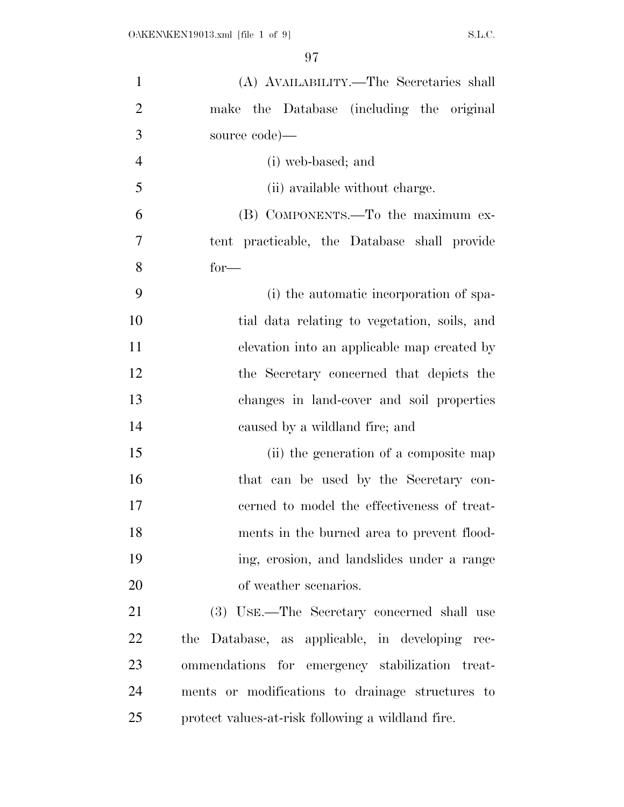| $\mathbf{1}$   | (A) AVAILABILITY.—The Secretaries shall           |
|----------------|---------------------------------------------------|
| $\overline{2}$ | make the Database (including the original         |
| 3              | source code)—                                     |
| $\overline{4}$ | (i) web-based; and                                |
| 5              | (ii) available without charge.                    |
| 6              | (B) COMPONENTS.—To the maximum ex-                |
| 7              | tent practicable, the Database shall provide      |
| 8              | $for-$                                            |
| 9              | (i) the automatic incorporation of spa-           |
| 10             | tial data relating to vegetation, soils, and      |
| 11             | elevation into an applicable map created by       |
| 12             | the Secretary concerned that depicts the          |
| 13             | changes in land-cover and soil properties         |
| 14             | caused by a wildland fire; and                    |
| 15             | (ii) the generation of a composite map            |
| 16             | that can be used by the Secretary con-            |
| 17             | cerned to model the effectiveness of treat-       |
| 18             | ments in the burned area to prevent flood-        |
| 19             | ing, erosion, and landslides under a range        |
| 20             | of weather scenarios.                             |
| 21             | (3) USE.—The Secretary concerned shall use        |
| 22             | the Database, as applicable, in developing rec-   |
| 23             | ommendations for emergency stabilization treat-   |
| 24             | ments or modifications to drainage structures to  |
| 25             | protect values-at-risk following a wildland fire. |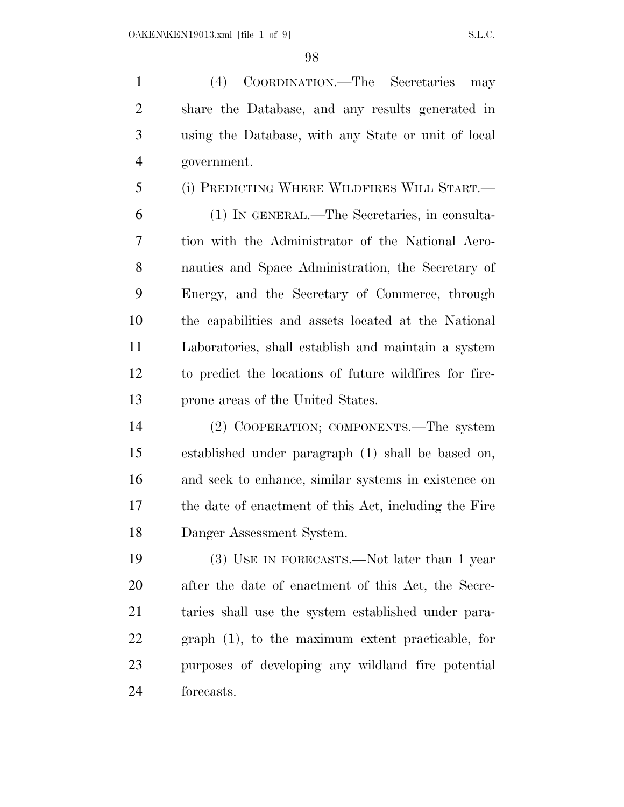(4) COORDINATION.—The Secretaries may share the Database, and any results generated in using the Database, with any State or unit of local government.

(i) PREDICTING WHERE WILDFIRES WILL START.—

 (1) IN GENERAL.—The Secretaries, in consulta- tion with the Administrator of the National Aero- nautics and Space Administration, the Secretary of Energy, and the Secretary of Commerce, through the capabilities and assets located at the National Laboratories, shall establish and maintain a system to predict the locations of future wildfires for fire-prone areas of the United States.

 (2) COOPERATION; COMPONENTS.—The system established under paragraph (1) shall be based on, and seek to enhance, similar systems in existence on the date of enactment of this Act, including the Fire Danger Assessment System.

 (3) USE IN FORECASTS.—Not later than 1 year after the date of enactment of this Act, the Secre- taries shall use the system established under para- graph (1), to the maximum extent practicable, for purposes of developing any wildland fire potential forecasts.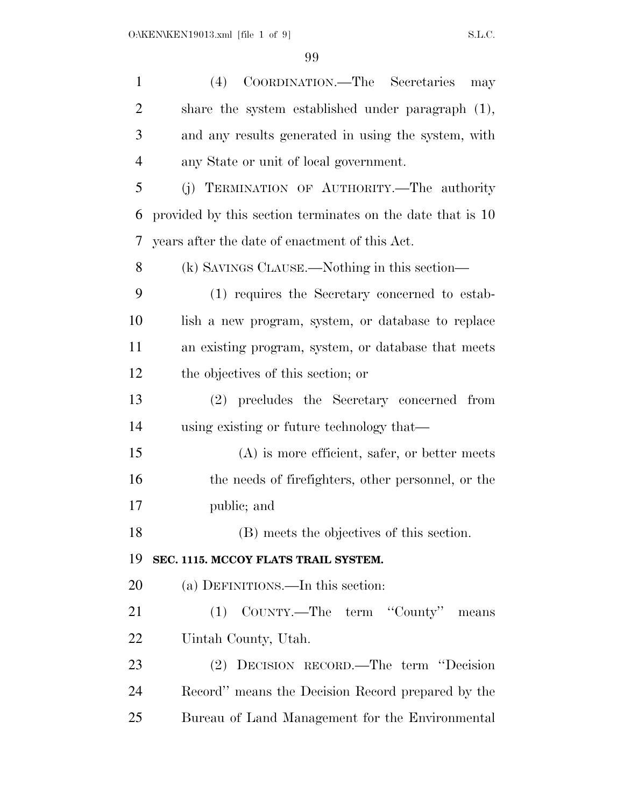| $\mathbf{1}$   | (4) COORDINATION.—The Secretaries<br>may                   |
|----------------|------------------------------------------------------------|
| $\overline{2}$ | share the system established under paragraph (1),          |
| 3              | and any results generated in using the system, with        |
| $\overline{4}$ | any State or unit of local government.                     |
| 5              | (j) TERMINATION OF AUTHORITY.—The authority                |
| 6              | provided by this section terminates on the date that is 10 |
| 7              | years after the date of enactment of this Act.             |
| 8              | (k) SAVINGS CLAUSE.—Nothing in this section—               |
| 9              | (1) requires the Secretary concerned to estab-             |
| 10             | lish a new program, system, or database to replace         |
| 11             | an existing program, system, or database that meets        |
| 12             | the objectives of this section; or                         |
| 13             | (2) precludes the Secretary concerned from                 |
| 14             | using existing or future technology that—                  |
| 15             | $(A)$ is more efficient, safer, or better meets            |
| 16             | the needs of firefighters, other personnel, or the         |
| 17             | public; and                                                |
| 18             | (B) meets the objectives of this section.                  |
| 19             | SEC. 1115. MCCOY FLATS TRAIL SYSTEM.                       |
| 20             | (a) DEFINITIONS.—In this section:                          |
| 21             | (1) COUNTY.—The term "County" means                        |
| 22             | Uintah County, Utah.                                       |
| 23             | (2) DECISION RECORD.—The term "Decision                    |
| 24             | Record" means the Decision Record prepared by the          |
| 25             | Bureau of Land Management for the Environmental            |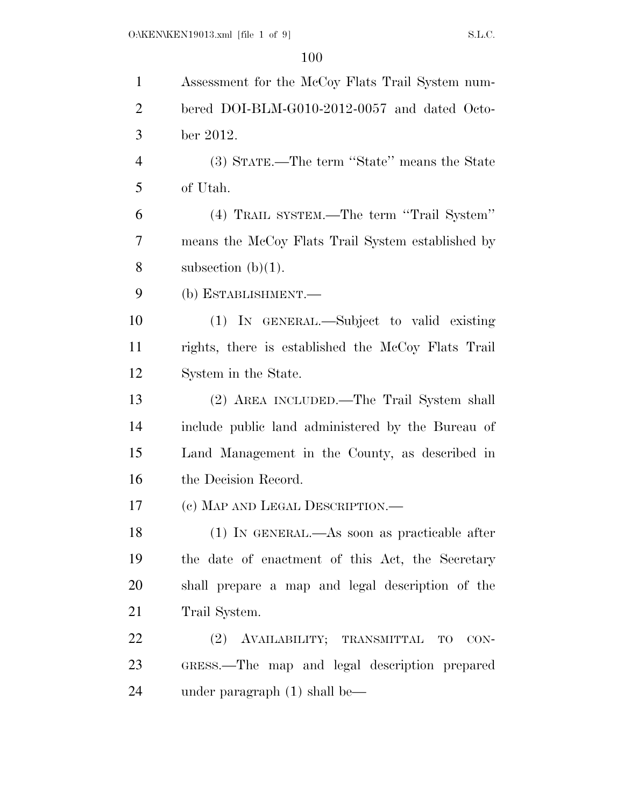| $\mathbf{1}$   | Assessment for the McCoy Flats Trail System num-   |
|----------------|----------------------------------------------------|
| $\overline{2}$ | bered DOI-BLM-G010-2012-0057 and dated Octo-       |
| 3              | ber 2012.                                          |
| $\overline{4}$ | (3) STATE.—The term "State" means the State        |
| 5              | of Utah.                                           |
| 6              | (4) TRAIL SYSTEM.—The term "Trail System"          |
| 7              | means the McCoy Flats Trail System established by  |
| 8              | subsection $(b)(1)$ .                              |
| 9              | (b) ESTABLISHMENT.—                                |
| 10             | (1) IN GENERAL.—Subject to valid existing          |
| 11             | rights, there is established the McCoy Flats Trail |
| 12             | System in the State.                               |
| 13             | (2) AREA INCLUDED.—The Trail System shall          |
| 14             | include public land administered by the Bureau of  |
| 15             | Land Management in the County, as described in     |
| 16             | the Decision Record.                               |
| 17             | (c) MAP AND LEGAL DESCRIPTION.—                    |
| 18             | $(1)$ In GENERAL.—As soon as practicable after     |
| 19             | the date of enactment of this Act, the Secretary   |
| 20             | shall prepare a map and legal description of the   |
| 21             | Trail System.                                      |
| 22             | (2) AVAILABILITY; TRANSMITTAL TO<br>CON-           |
| 23             | GRESS.—The map and legal description prepared      |
| 24             | under paragraph $(1)$ shall be—                    |
|                |                                                    |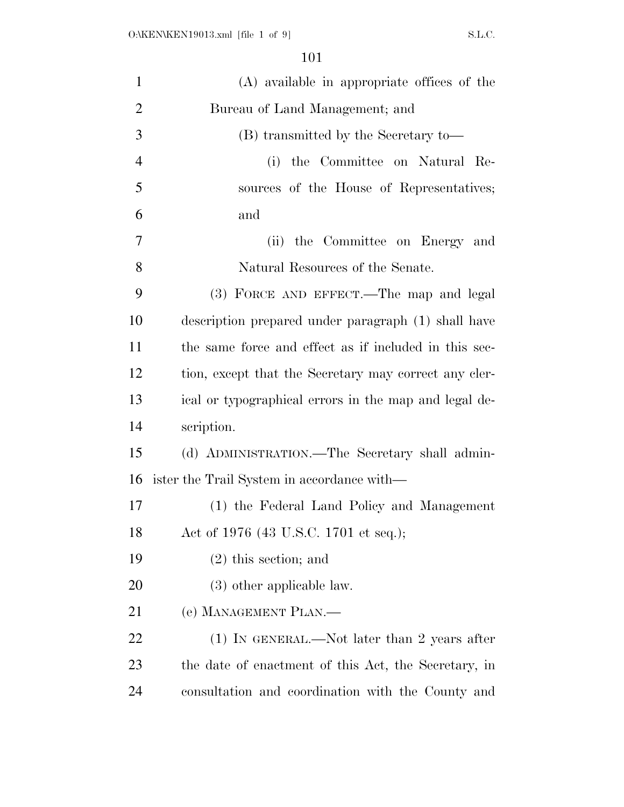| $\mathbf{1}$   | (A) available in appropriate offices of the           |
|----------------|-------------------------------------------------------|
| $\overline{2}$ | Bureau of Land Management; and                        |
| 3              | (B) transmitted by the Secretary to-                  |
| $\overline{4}$ | the Committee on Natural Re-<br>(i)                   |
| 5              | sources of the House of Representatives;              |
| 6              | and                                                   |
| 7              | the Committee on Energy and<br>(ii)                   |
| 8              | Natural Resources of the Senate.                      |
| 9              | (3) FORCE AND EFFECT.—The map and legal               |
| 10             | description prepared under paragraph (1) shall have   |
| 11             | the same force and effect as if included in this sec- |
| 12             | tion, except that the Secretary may correct any cler- |
| 13             | ical or typographical errors in the map and legal de- |
| 14             | scription.                                            |
| 15             | (d) ADMINISTRATION.—The Secretary shall admin-        |
| 16             | ister the Trail System in accordance with—            |
| 17             | (1) the Federal Land Policy and Management            |
| 18             | Act of 1976 (43 U.S.C. 1701 et seq.);                 |
| 19             | $(2)$ this section; and                               |
| <b>20</b>      | $(3)$ other applicable law.                           |
| 21             | (e) MANAGEMENT PLAN.—                                 |
| 22             | $(1)$ In GENERAL.—Not later than 2 years after        |
| 23             | the date of enactment of this Act, the Secretary, in  |
| 24             | consultation and coordination with the County and     |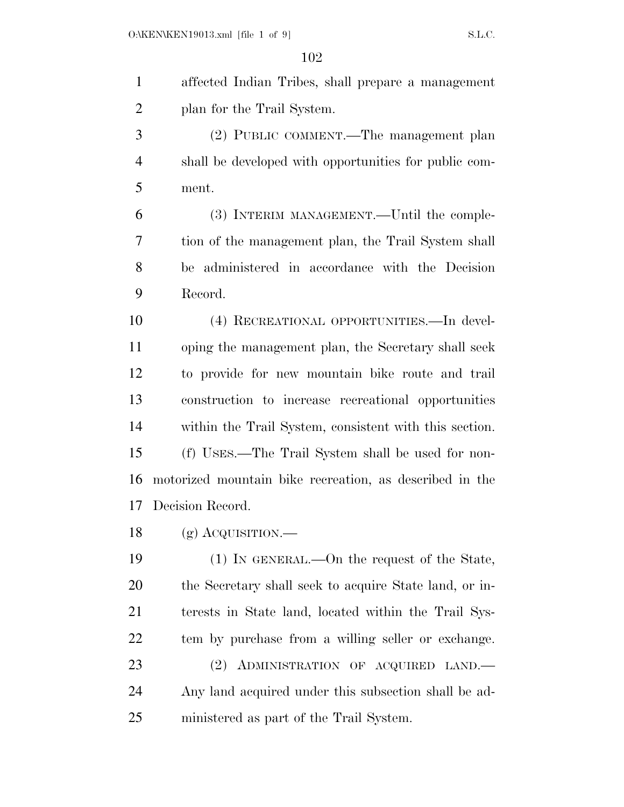affected Indian Tribes, shall prepare a management plan for the Trail System. (2) PUBLIC COMMENT.—The management plan shall be developed with opportunities for public com- ment. (3) INTERIM MANAGEMENT.—Until the comple- tion of the management plan, the Trail System shall be administered in accordance with the Decision Record. (4) RECREATIONAL OPPORTUNITIES.—In devel- oping the management plan, the Secretary shall seek to provide for new mountain bike route and trail construction to increase recreational opportunities within the Trail System, consistent with this section. (f) USES.—The Trail System shall be used for non- motorized mountain bike recreation, as described in the Decision Record. (g) ACQUISITION.— (1) IN GENERAL.—On the request of the State, the Secretary shall seek to acquire State land, or in- terests in State land, located within the Trail Sys- tem by purchase from a willing seller or exchange. (2) ADMINISTRATION OF ACQUIRED LAND.— Any land acquired under this subsection shall be ad-ministered as part of the Trail System.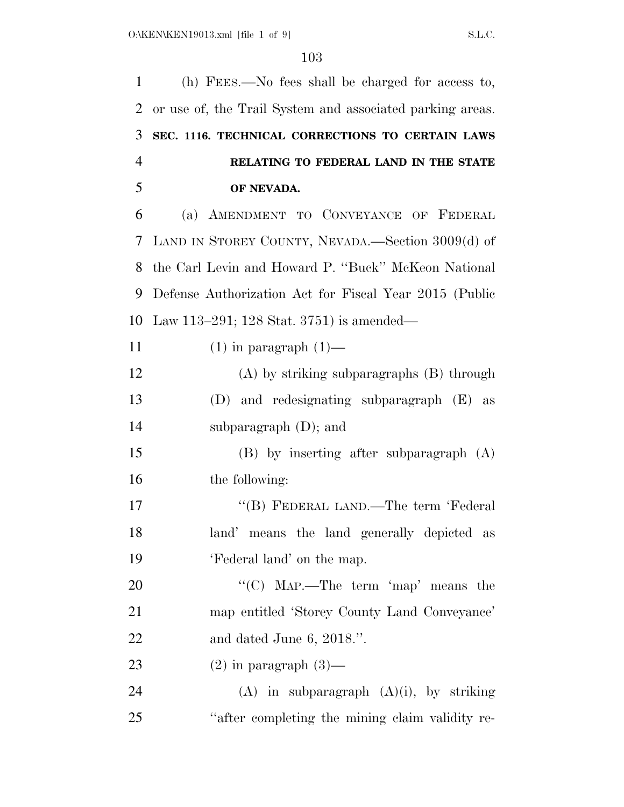| 1              | (h) FEES.—No fees shall be charged for access to,         |
|----------------|-----------------------------------------------------------|
| $\overline{2}$ | or use of, the Trail System and associated parking areas. |
| 3              | SEC. 1116. TECHNICAL CORRECTIONS TO CERTAIN LAWS          |
| $\overline{4}$ | RELATING TO FEDERAL LAND IN THE STATE                     |
| 5              | OF NEVADA.                                                |
| 6              | (a) AMENDMENT TO CONVEYANCE OF FEDERAL                    |
| 7              | LAND IN STOREY COUNTY, NEVADA.—Section 3009(d) of         |
| 8              | the Carl Levin and Howard P. "Buck" McKeon National       |
| 9              | Defense Authorization Act for Fiscal Year 2015 (Public    |
| 10             | Law 113–291; 128 Stat. 3751) is amended—                  |
| 11             | $(1)$ in paragraph $(1)$ —                                |
| 12             | $(A)$ by striking subparagraphs $(B)$ through             |
| 13             | (D) and redesignating subparagraph (E) as                 |
| 14             | subparagraph $(D)$ ; and                                  |
| 15             | $(B)$ by inserting after subparagraph $(A)$               |
| 16             | the following:                                            |
| 17             | "(B) FEDERAL LAND.—The term 'Federal                      |
| 18             | land' means the land generally depicted as                |
| 19             | 'Federal land' on the map.                                |
| 20             | "(C) MAP.—The term 'map' means the                        |
| 21             | map entitled 'Storey County Land Conveyance'              |
| 22             | and dated June 6, $2018$ .".                              |
| 23             | $(2)$ in paragraph $(3)$ —                                |
| 24             | $(A)$ in subparagraph $(A)(i)$ , by striking              |
| 25             | "after completing the mining claim validity re-           |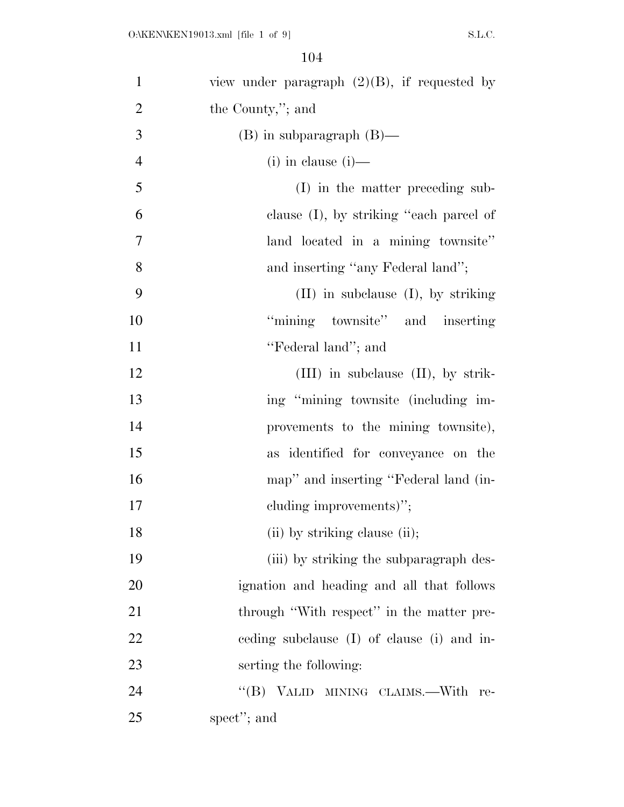| $\mathbf{1}$   | view under paragraph $(2)(B)$ , if requested by |
|----------------|-------------------------------------------------|
| $\overline{2}$ | the County,"; and                               |
| 3              | $(B)$ in subparagraph $(B)$ —                   |
| $\overline{4}$ | $(i)$ in clause $(i)$ —                         |
| 5              | (I) in the matter preceding sub-                |
| 6              | clause $(I)$ , by striking "each parcel of      |
| $\tau$         | land located in a mining townsite"              |
| 8              | and inserting "any Federal land";               |
| 9              | $(II)$ in subclause $(I)$ , by striking         |
| 10             | "mining townsite" and inserting                 |
| 11             | "Federal land"; and                             |
| 12             | $(III)$ in subclause $(II)$ , by strik-         |
| 13             | ing "mining townsite (including im-             |
| 14             | provements to the mining townsite),             |
| 15             | as identified for conveyance on the             |
| 16             | map" and inserting "Federal land (in-           |
| 17             | cluding improvements)";                         |
| 18             | (ii) by striking clause (ii);                   |
| 19             | (iii) by striking the subparagraph des-         |
| 20             | ignation and heading and all that follows       |
| 21             | through "With respect" in the matter pre-       |
| 22             | eeding subclause (I) of clause (i) and in-      |
| 23             | serting the following:                          |
| 24             | $\lq\lq (B)$<br>VALID MINING CLAIMS.—With re-   |
| 25             | spect"; and                                     |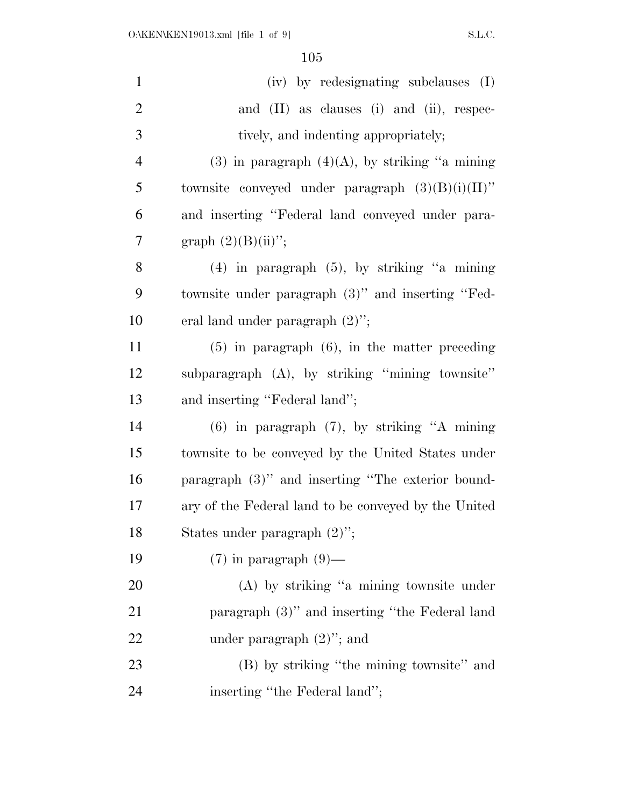| $\mathbf{1}$   | (iv) by redesignating subclauses (I)                 |
|----------------|------------------------------------------------------|
| $\overline{2}$ | and $(II)$ as clauses $(i)$ and $(ii)$ , respec-     |
| 3              | tively, and indenting appropriately;                 |
| $\overline{4}$ | $(3)$ in paragraph $(4)(A)$ , by striking "a mining" |
| 5              | townsite conveyed under paragraph $(3)(B)(i)(II)$ "  |
| 6              | and inserting "Federal land conveyed under para-     |
| $\overline{7}$ | graph $(2)(B)(ii)$ ";                                |
| 8              | $(4)$ in paragraph $(5)$ , by striking "a mining"    |
| 9              | townsite under paragraph (3)" and inserting "Fed-    |
| 10             | eral land under paragraph $(2)$ ";                   |
| 11             | $(5)$ in paragraph $(6)$ , in the matter preceding   |
| 12             | subparagraph (A), by striking "mining townsite"      |
| 13             | and inserting "Federal land";                        |
| 14             | $(6)$ in paragraph $(7)$ , by striking "A mining     |
| 15             | townsite to be conveyed by the United States under   |
| 16             | paragraph $(3)$ " and inserting "The exterior bound- |
| 17             | ary of the Federal land to be conveyed by the United |
| 18             | States under paragraph $(2)$ ";                      |
| 19             | $(7)$ in paragraph $(9)$ —                           |
| 20             | $(A)$ by striking "a mining townsite under           |
| 21             | paragraph (3)" and inserting "the Federal land       |
| <u>22</u>      | under paragraph $(2)$ "; and                         |
| 23             | (B) by striking "the mining townsite" and            |
| 24             | inserting "the Federal land";                        |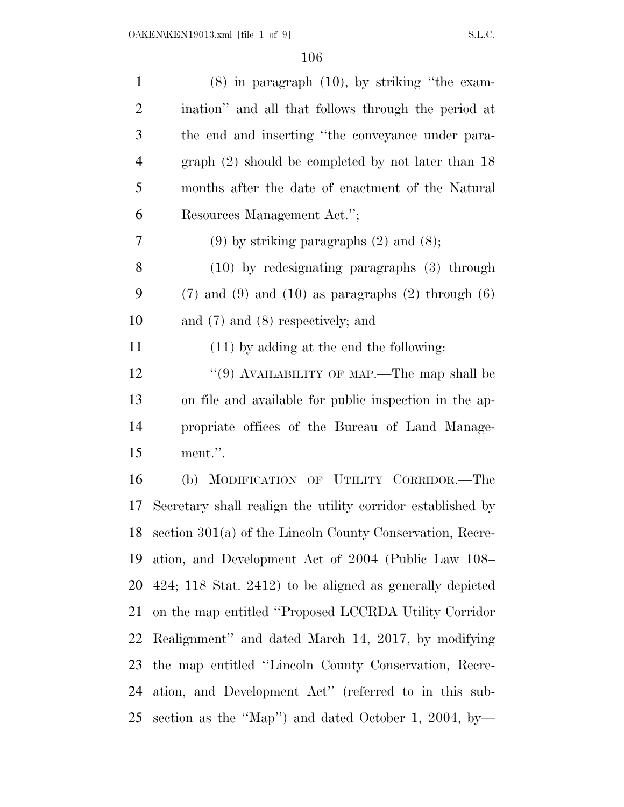| $\mathbf{1}$   | $(8)$ in paragraph $(10)$ , by striking "the exam-           |
|----------------|--------------------------------------------------------------|
| $\overline{2}$ | ination" and all that follows through the period at          |
| 3              | the end and inserting "the conveyance under para-            |
| $\overline{4}$ | graph $(2)$ should be completed by not later than 18         |
| 5              | months after the date of enactment of the Natural            |
| 6              | Resources Management Act.";                                  |
| 7              | $(9)$ by striking paragraphs $(2)$ and $(8)$ ;               |
| 8              | $(10)$ by redesignating paragraphs $(3)$ through             |
| 9              | $(7)$ and $(9)$ and $(10)$ as paragraphs $(2)$ through $(6)$ |
| 10             | and $(7)$ and $(8)$ respectively; and                        |
| 11             | $(11)$ by adding at the end the following:                   |
| 12             | "(9) AVAILABILITY OF MAP.—The map shall be                   |
| 13             | on file and available for public inspection in the ap-       |
| 14             | propriate offices of the Bureau of Land Manage-              |
| 15             | ment.".                                                      |
| 16             | (b) MODIFICATION OF UTILITY CORRIDOR.-The                    |
| 17             | Secretary shall realign the utility corridor established by  |
| 18             | section 301(a) of the Lincoln County Conservation, Recre-    |
| 19             | ation, and Development Act of 2004 (Public Law 108–          |
| 20             | $424$ ; 118 Stat. 2412) to be aligned as generally depicted  |
| 21             | on the map entitled "Proposed LCCRDA Utility Corridor"       |
| 22             | Realignment" and dated March 14, 2017, by modifying          |
| 23             | the map entitled "Lincoln County Conservation, Recre-        |
| 24             | ation, and Development Act" (referred to in this sub-        |
| 25             | section as the "Map") and dated October 1, 2004, by-         |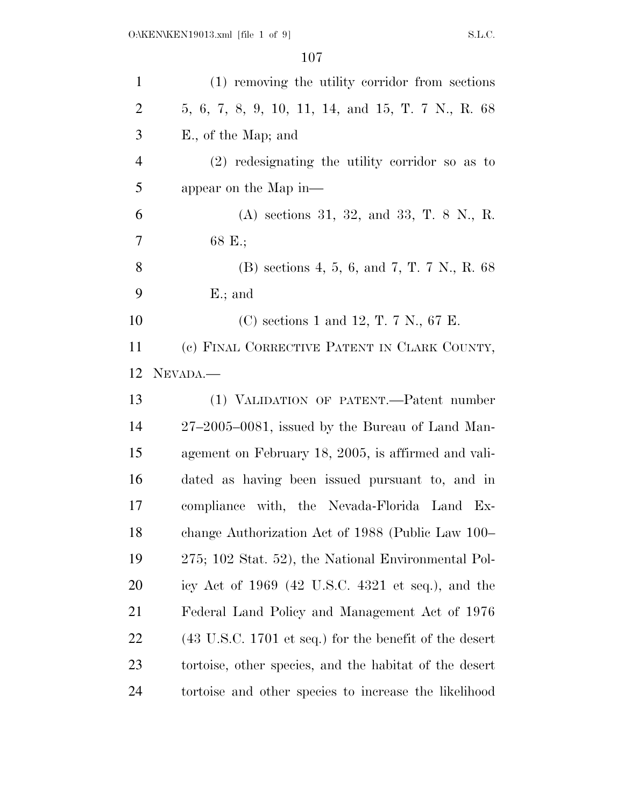| $\mathbf{1}$   | (1) removing the utility corridor from sections                           |
|----------------|---------------------------------------------------------------------------|
| $\overline{2}$ | 5, 6, 7, 8, 9, 10, 11, 14, and 15, T. 7 N., R. 68                         |
| 3              | E., of the Map; and                                                       |
| $\overline{4}$ | $(2)$ redesignating the utility corridor so as to                         |
| 5              | appear on the Map in—                                                     |
| 6              | (A) sections 31, 32, and 33, T. 8 N., R.                                  |
| 7              | 68 E.;                                                                    |
| 8              | (B) sections 4, 5, 6, and 7, T. 7 N., R. $68$                             |
| 9              | $E$ .; and                                                                |
| 10             | (C) sections 1 and 12, T. 7 N., 67 E.                                     |
| 11             | (c) FINAL CORRECTIVE PATENT IN CLARK COUNTY,                              |
| 12             | NEVADA.                                                                   |
|                |                                                                           |
| 13             | (1) VALIDATION OF PATENT.—Patent number                                   |
| 14             | $27-2005-0081$ , issued by the Bureau of Land Man-                        |
| 15             | agement on February 18, 2005, is affirmed and vali-                       |
| 16             | dated as having been issued pursuant to, and in                           |
| 17             | compliance with, the Nevada-Florida Land Ex-                              |
| 18             | change Authorization Act of 1988 (Public Law 100–                         |
| 19             | 275; 102 Stat. 52), the National Environmental Pol-                       |
| 20             | icy Act of $1969$ (42 U.S.C. 4321 et seq.), and the                       |
| 21             | Federal Land Policy and Management Act of 1976                            |
| 22             | $(43 \text{ U.S.C. } 1701 \text{ et seq.})$ for the benefit of the desert |
| 23             | tortoise, other species, and the habitat of the desert                    |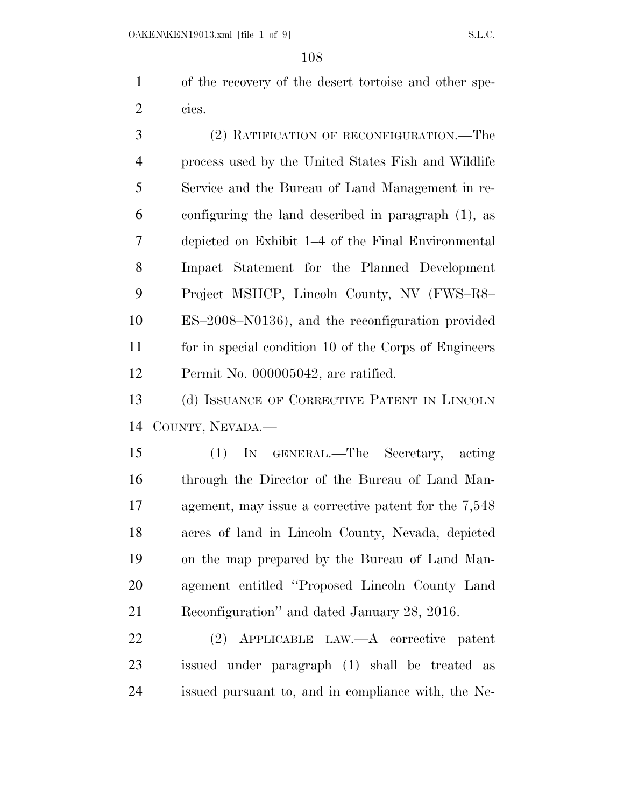of the recovery of the desert tortoise and other spe-cies.

 (2) RATIFICATION OF RECONFIGURATION.—The process used by the United States Fish and Wildlife Service and the Bureau of Land Management in re- configuring the land described in paragraph (1), as depicted on Exhibit 1–4 of the Final Environmental Impact Statement for the Planned Development Project MSHCP, Lincoln County, NV (FWS–R8– ES–2008–N0136), and the reconfiguration provided for in special condition 10 of the Corps of Engineers Permit No. 000005042, are ratified.

 (d) ISSUANCE OF CORRECTIVE PATENT IN LINCOLN COUNTY, NEVADA.—

 (1) IN GENERAL.—The Secretary, acting through the Director of the Bureau of Land Man- agement, may issue a corrective patent for the 7,548 acres of land in Lincoln County, Nevada, depicted on the map prepared by the Bureau of Land Man- agement entitled ''Proposed Lincoln County Land Reconfiguration'' and dated January 28, 2016.

 (2) APPLICABLE LAW.—A corrective patent issued under paragraph (1) shall be treated as issued pursuant to, and in compliance with, the Ne-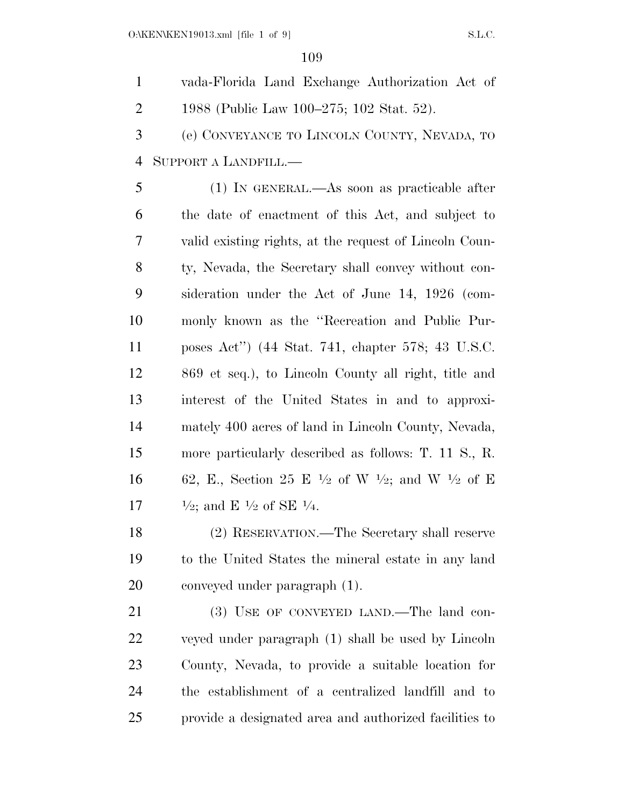vada-Florida Land Exchange Authorization Act of 1988 (Public Law 100–275; 102 Stat. 52).

 (e) CONVEYANCE TO LINCOLN COUNTY, NEVADA, TO SUPPORT A LANDFILL.—

 (1) IN GENERAL.—As soon as practicable after the date of enactment of this Act, and subject to valid existing rights, at the request of Lincoln Coun- ty, Nevada, the Secretary shall convey without con- sideration under the Act of June 14, 1926 (com- monly known as the ''Recreation and Public Pur- poses Act'') (44 Stat. 741, chapter 578; 43 U.S.C. 869 et seq.), to Lincoln County all right, title and interest of the United States in and to approxi- mately 400 acres of land in Lincoln County, Nevada, more particularly described as follows: T. 11 S., R. 16 62, E., Section 25 E  $\frac{1}{2}$  of W  $\frac{1}{2}$ ; and W  $\frac{1}{2}$  of E  $\frac{1}{2}$ ; and E  $\frac{1}{2}$  of SE  $\frac{1}{4}$ .

 (2) RESERVATION.—The Secretary shall reserve to the United States the mineral estate in any land conveyed under paragraph (1).

21 (3) USE OF CONVEYED LAND.—The land con- veyed under paragraph (1) shall be used by Lincoln County, Nevada, to provide a suitable location for the establishment of a centralized landfill and to provide a designated area and authorized facilities to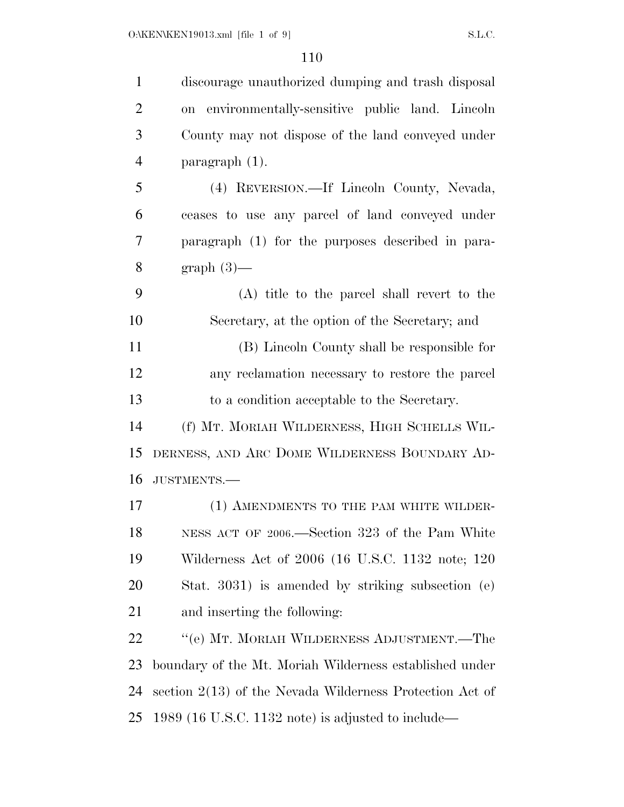| $\mathbf{1}$   | discourage unauthorized dumping and trash disposal       |
|----------------|----------------------------------------------------------|
| $\overline{2}$ | on environmentally-sensitive public land. Lincoln        |
| 3              | County may not dispose of the land conveyed under        |
| $\overline{4}$ | paragraph (1).                                           |
| 5              | (4) REVERSION.—If Lincoln County, Nevada,                |
| 6              | ceases to use any parcel of land conveyed under          |
| 7              | paragraph (1) for the purposes described in para-        |
| 8              | $graph(3)$ —                                             |
| 9              | (A) title to the parcel shall revert to the              |
| 10             | Secretary, at the option of the Secretary; and           |
| 11             | (B) Lincoln County shall be responsible for              |
| 12             | any reclamation necessary to restore the parcel          |
| 13             | to a condition acceptable to the Secretary.              |
| 14             | (f) MT. MORIAH WILDERNESS, HIGH SCHELLS WIL-             |
| 15             | DERNESS, AND ARC DOME WILDERNESS BOUNDARY AD-            |
| 16             | JUSTMENTS.-                                              |
| 17             | (1) AMENDMENTS TO THE PAM WHITE WILDER-                  |
| 18             | NESS ACT OF 2006.—Section 323 of the Pam White           |
| 19             | Wilderness Act of 2006 (16 U.S.C. 1132 note; 120         |
| 20             | Stat. 3031) is amended by striking subsection (e)        |
| 21             | and inserting the following:                             |
| 22             | "(e) MT. MORIAH WILDERNESS ADJUSTMENT.—The               |
| 23             | boundary of the Mt. Moriah Wilderness established under  |
| 24             | section 2(13) of the Nevada Wilderness Protection Act of |
| 25             | 1989 (16 U.S.C. 1132 note) is adjusted to include—       |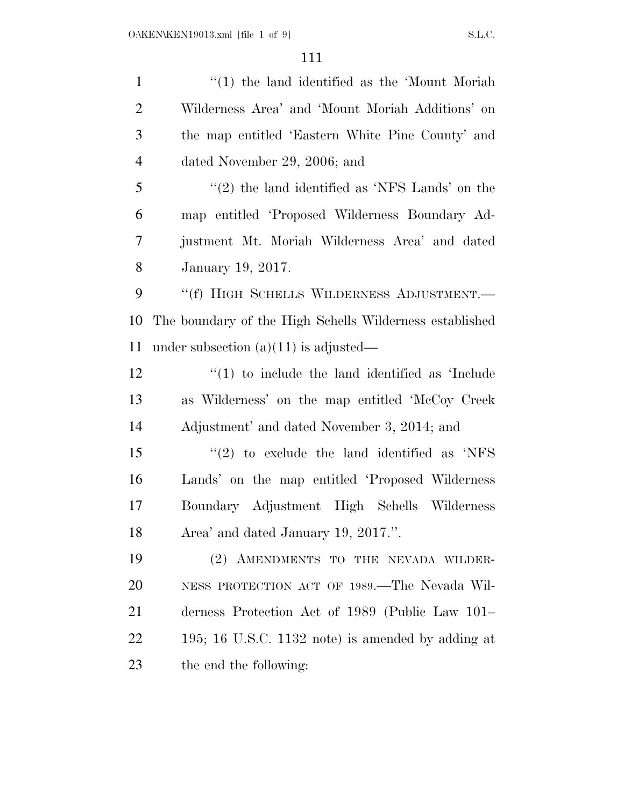1 ''(1) the land identified as the 'Mount Moriah Wilderness Area' and 'Mount Moriah Additions' on the map entitled 'Eastern White Pine County' and dated November 29, 2006; and ''(2) the land identified as 'NFS Lands' on the map entitled 'Proposed Wilderness Boundary Ad- justment Mt. Moriah Wilderness Area' and dated January 19, 2017. 9 "(f) HIGH SCHELLS WILDERNESS ADJUSTMENT.— The boundary of the High Schells Wilderness established under subsection (a)(11) is adjusted— 12 ''(1) to include the land identified as 'Include as Wilderness' on the map entitled 'McCoy Creek Adjustment' and dated November 3, 2014; and ''(2) to exclude the land identified as 'NFS Lands' on the map entitled 'Proposed Wilderness Boundary Adjustment High Schells Wilderness Area' and dated January 19, 2017.''. (2) AMENDMENTS TO THE NEVADA WILDER- NESS PROTECTION ACT OF 1989.—The Nevada Wil- derness Protection Act of 1989 (Public Law 101– 195; 16 U.S.C. 1132 note) is amended by adding at the end the following: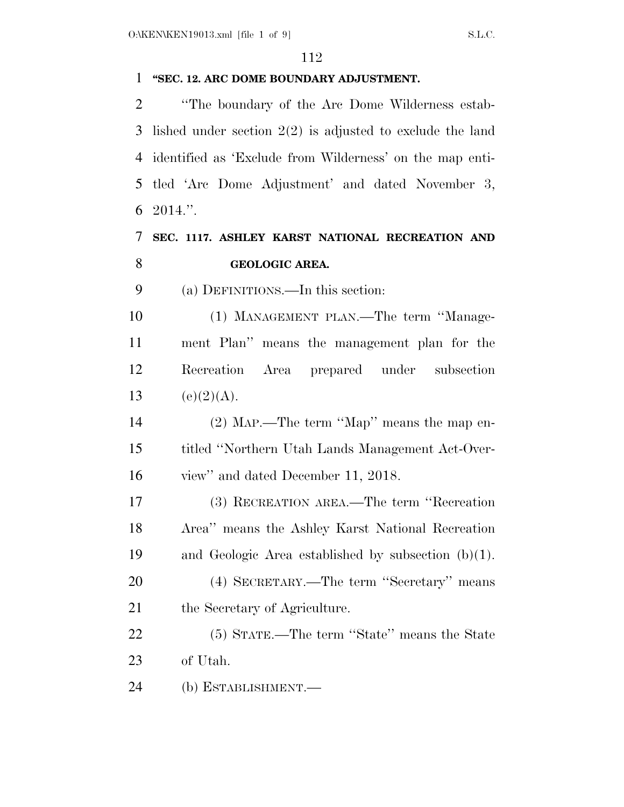### **''SEC. 12. ARC DOME BOUNDARY ADJUSTMENT.**

 ''The boundary of the Arc Dome Wilderness estab- lished under section 2(2) is adjusted to exclude the land identified as 'Exclude from Wilderness' on the map enti- tled 'Arc Dome Adjustment' and dated November 3, 2014.''.

## **SEC. 1117. ASHLEY KARST NATIONAL RECREATION AND GEOLOGIC AREA.**

(a) DEFINITIONS.—In this section:

 (1) MANAGEMENT PLAN.—The term ''Manage- ment Plan'' means the management plan for the Recreation Area prepared under subsection 13 (e)(2)(A).

 (2) MAP.—The term ''Map'' means the map en- titled ''Northern Utah Lands Management Act-Over-view'' and dated December 11, 2018.

 (3) RECREATION AREA.—The term ''Recreation Area'' means the Ashley Karst National Recreation and Geologic Area established by subsection (b)(1). (4) SECRETARY.—The term ''Secretary'' means

the Secretary of Agriculture.

 (5) STATE.—The term ''State'' means the State of Utah.

(b) ESTABLISHMENT.—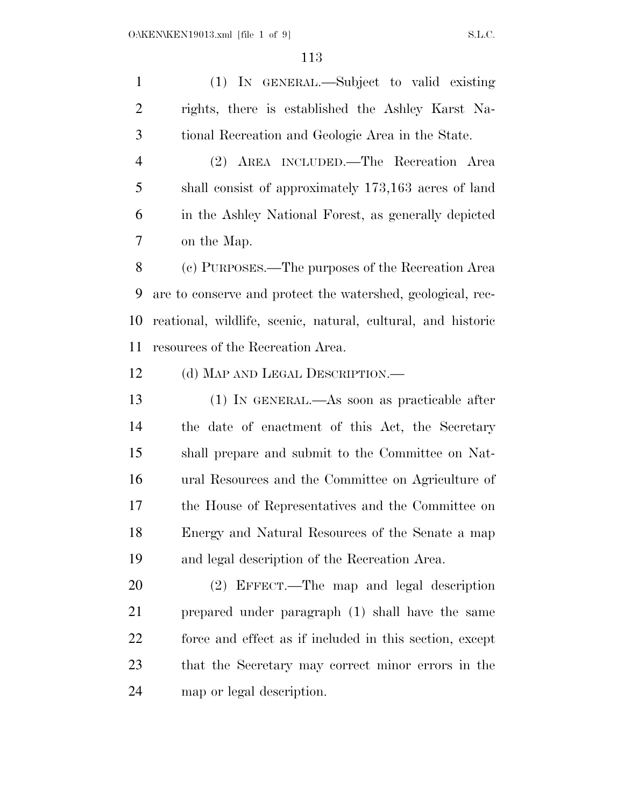(1) IN GENERAL.—Subject to valid existing rights, there is established the Ashley Karst Na-tional Recreation and Geologic Area in the State.

 (2) AREA INCLUDED.—The Recreation Area shall consist of approximately 173,163 acres of land in the Ashley National Forest, as generally depicted on the Map.

 (c) PURPOSES.—The purposes of the Recreation Area are to conserve and protect the watershed, geological, rec- reational, wildlife, scenic, natural, cultural, and historic resources of the Recreation Area.

12 (d) MAP AND LEGAL DESCRIPTION.—

 (1) IN GENERAL.—As soon as practicable after the date of enactment of this Act, the Secretary shall prepare and submit to the Committee on Nat- ural Resources and the Committee on Agriculture of the House of Representatives and the Committee on Energy and Natural Resources of the Senate a map and legal description of the Recreation Area.

 (2) EFFECT.—The map and legal description prepared under paragraph (1) shall have the same force and effect as if included in this section, except that the Secretary may correct minor errors in the map or legal description.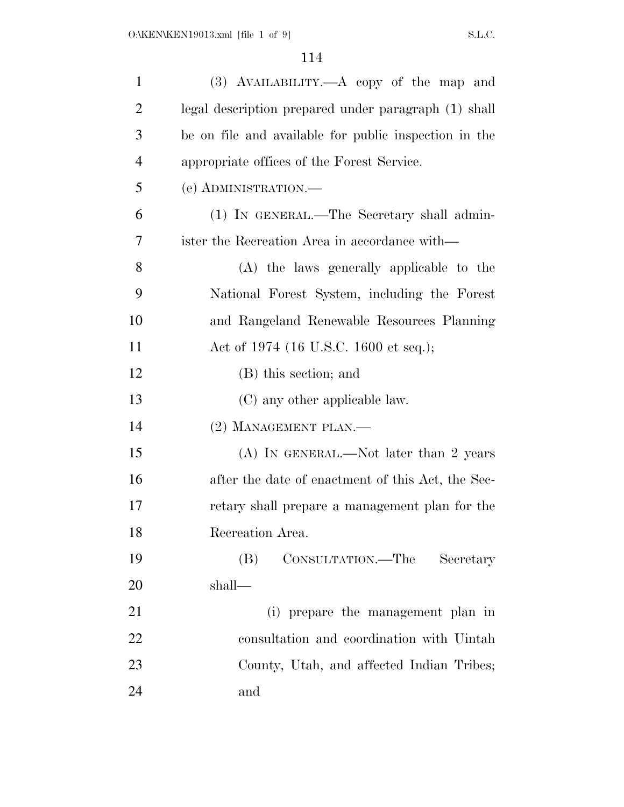| $\mathbf{1}$   | $(3)$ AVAILABILITY.—A copy of the map and             |
|----------------|-------------------------------------------------------|
| $\overline{2}$ | legal description prepared under paragraph (1) shall  |
| 3              | be on file and available for public inspection in the |
| $\overline{4}$ | appropriate offices of the Forest Service.            |
| 5              | (e) ADMINISTRATION.—                                  |
| 6              | (1) IN GENERAL.—The Secretary shall admin-            |
| 7              | ister the Recreation Area in accordance with—         |
| 8              | (A) the laws generally applicable to the              |
| 9              | National Forest System, including the Forest          |
| 10             | and Rangeland Renewable Resources Planning            |
| 11             | Act of 1974 (16 U.S.C. 1600 et seq.);                 |
| 12             | (B) this section; and                                 |
| 13             | (C) any other applicable law.                         |
| 14             | $(2)$ MANAGEMENT PLAN.—                               |
| 15             | (A) IN GENERAL.—Not later than 2 years                |
| 16             | after the date of enactment of this Act, the Sec-     |
| 17             | retary shall prepare a management plan for the        |
| 18             | Recreation Area.                                      |
| 19             | CONSULTATION.—The<br>(B)<br>Secretary                 |
| 20             | shall—                                                |
| 21             | (i) prepare the management plan in                    |
| 22             | consultation and coordination with Uintah             |
| 23             | County, Utah, and affected Indian Tribes;             |
| 24             | and                                                   |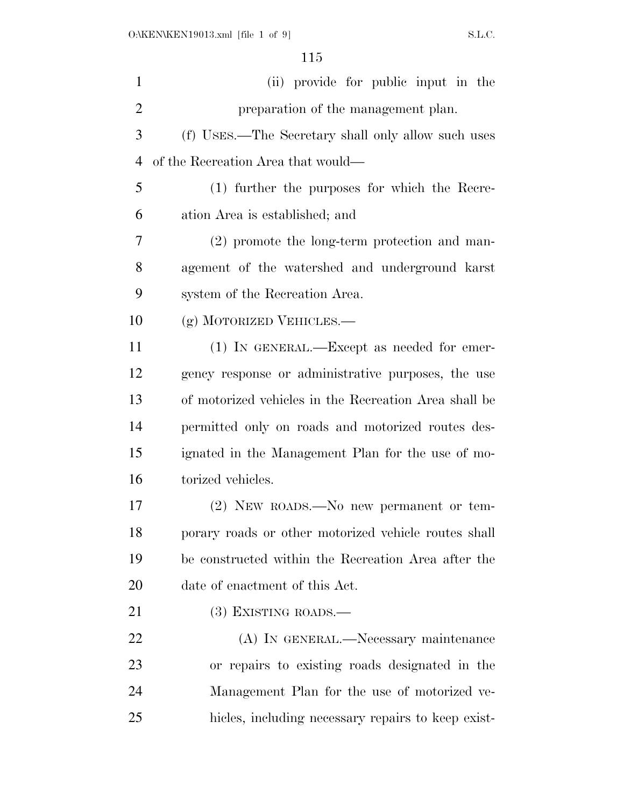| $\mathbf{1}$   | (ii) provide for public input in the                  |
|----------------|-------------------------------------------------------|
| $\overline{2}$ | preparation of the management plan.                   |
| 3              | (f) USES.—The Secretary shall only allow such uses    |
| $\overline{4}$ | of the Recreation Area that would—                    |
| 5              | (1) further the purposes for which the Recre-         |
| 6              | ation Area is established; and                        |
| 7              | (2) promote the long-term protection and man-         |
| 8              | agement of the watershed and underground karst        |
| 9              | system of the Recreation Area.                        |
| 10             | (g) MOTORIZED VEHICLES.—                              |
| 11             | $(1)$ In GENERAL.—Except as needed for emer-          |
| 12             | gency response or administrative purposes, the use    |
| 13             | of motorized vehicles in the Recreation Area shall be |
| 14             | permitted only on roads and motorized routes des-     |
| 15             | ignated in the Management Plan for the use of mo-     |
| 16             | torized vehicles.                                     |
| 17             | $(2)$ NEW ROADS.—No new permanent or tem-             |
| 18             | porary roads or other motorized vehicle routes shall  |
| 19             | be constructed within the Recreation Area after the   |
| 20             | date of enactment of this Act.                        |
| 21             | $(3)$ EXISTING ROADS.—                                |
| 22             | (A) IN GENERAL.—Necessary maintenance                 |
| 23             | or repairs to existing roads designated in the        |
| 24             | Management Plan for the use of motorized ve-          |
| 25             | hicles, including necessary repairs to keep exist-    |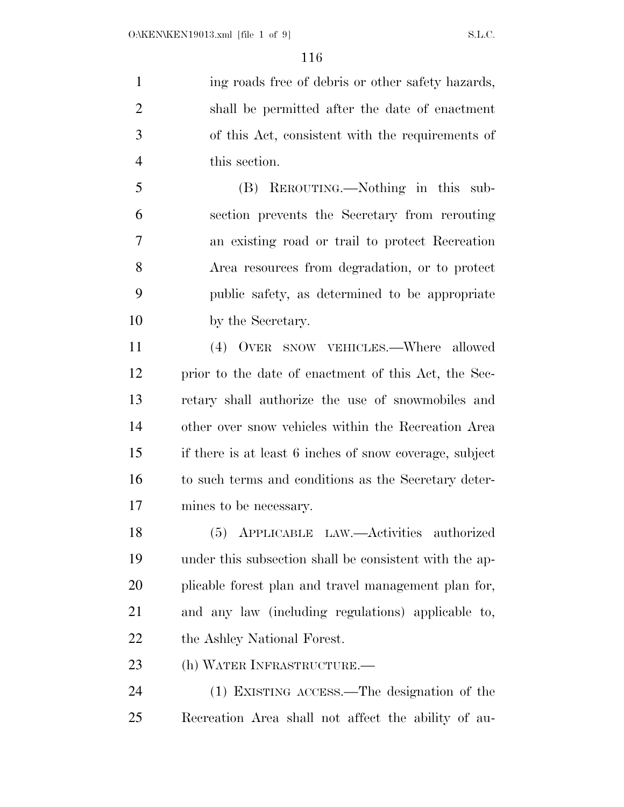1 ing roads free of debris or other safety hazards, shall be permitted after the date of enactment of this Act, consistent with the requirements of this section.

 (B) REROUTING.—Nothing in this sub- section prevents the Secretary from rerouting an existing road or trail to protect Recreation Area resources from degradation, or to protect public safety, as determined to be appropriate by the Secretary.

 (4) OVER SNOW VEHICLES.—Where allowed prior to the date of enactment of this Act, the Sec- retary shall authorize the use of snowmobiles and other over snow vehicles within the Recreation Area if there is at least 6 inches of snow coverage, subject to such terms and conditions as the Secretary deter-mines to be necessary.

 (5) APPLICABLE LAW.—Activities authorized under this subsection shall be consistent with the ap- plicable forest plan and travel management plan for, and any law (including regulations) applicable to, 22 the Ashley National Forest.

(h) WATER INFRASTRUCTURE.—

 (1) EXISTING ACCESS.—The designation of the Recreation Area shall not affect the ability of au-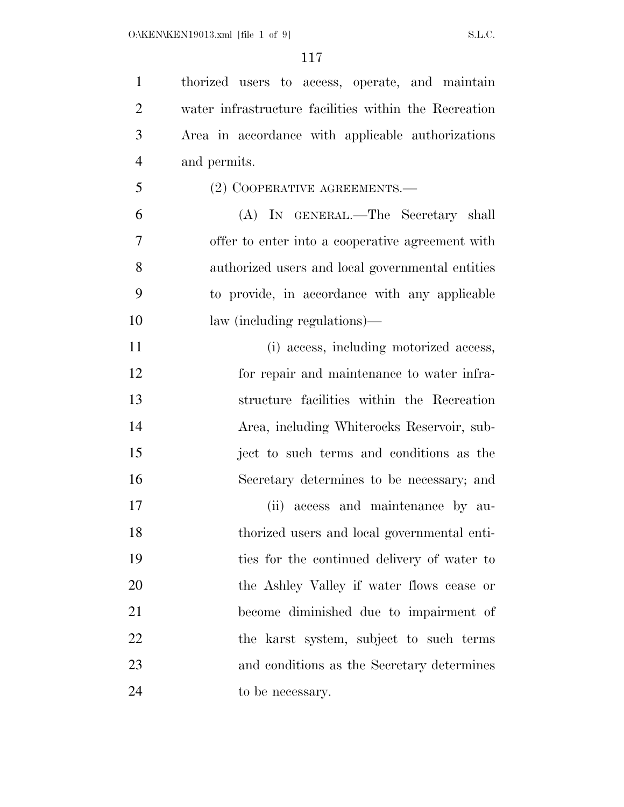thorized users to access, operate, and maintain water infrastructure facilities within the Recreation Area in accordance with applicable authorizations and permits. (2) COOPERATIVE AGREEMENTS.— (A) IN GENERAL.—The Secretary shall offer to enter into a cooperative agreement with authorized users and local governmental entities to provide, in accordance with any applicable law (including regulations)— 11 (i) access, including motorized access, for repair and maintenance to water infra- structure facilities within the Recreation Area, including Whiterocks Reservoir, sub- ject to such terms and conditions as the Secretary determines to be necessary; and (ii) access and maintenance by au- thorized users and local governmental enti- ties for the continued delivery of water to the Ashley Valley if water flows cease or become diminished due to impairment of the karst system, subject to such terms and conditions as the Secretary determines to be necessary.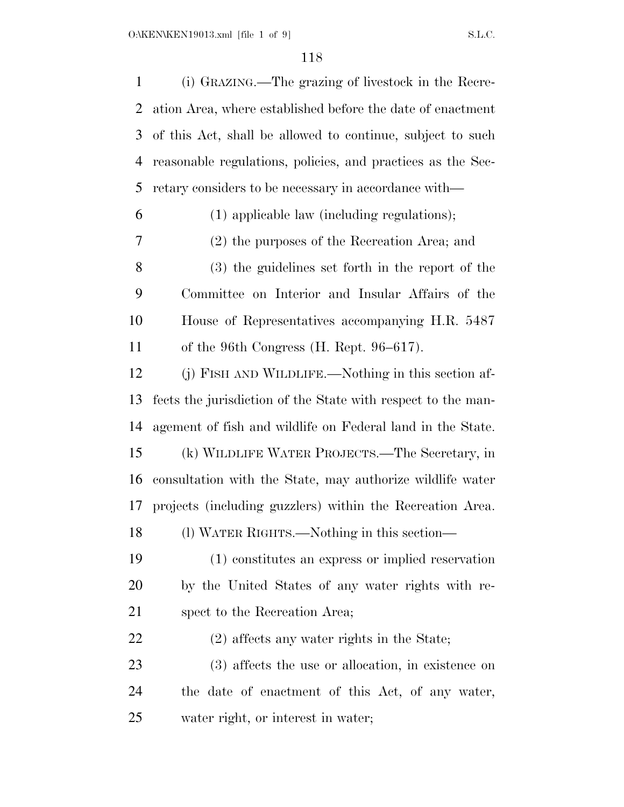| $\mathbf{1}$   | (i) GRAZING.—The grazing of livestock in the Recre-          |
|----------------|--------------------------------------------------------------|
| 2              | ation Area, where established before the date of enactment   |
| 3              | of this Act, shall be allowed to continue, subject to such   |
| $\overline{4}$ | reasonable regulations, policies, and practices as the Sec-  |
| 5              | retary considers to be necessary in accordance with—         |
| 6              | (1) applicable law (including regulations);                  |
| 7              | (2) the purposes of the Recreation Area; and                 |
| 8              | (3) the guidelines set forth in the report of the            |
| 9              | Committee on Interior and Insular Affairs of the             |
| 10             | House of Representatives accompanying H.R. 5487              |
| 11             | of the 96th Congress (H. Rept. 96–617).                      |
| 12             | (j) FISH AND WILDLIFE.—Nothing in this section af-           |
| 13             | fects the jurisdiction of the State with respect to the man- |
| 14             | agement of fish and wildlife on Federal land in the State.   |
| 15             | (k) WILDLIFE WATER PROJECTS.—The Secretary, in               |
| 16             | consultation with the State, may authorize wildlife water    |
| 17             | projects (including guzzlers) within the Recreation Area.    |
| 18             | (1) WATER RIGHTS.—Nothing in this section—                   |
| 19             | (1) constitutes an express or implied reservation            |
| 20             | by the United States of any water rights with re-            |
| 21             | spect to the Recreation Area;                                |
| 22             | $(2)$ affects any water rights in the State;                 |
| 23             | (3) affects the use or allocation, in existence on           |
| 24             | the date of enactment of this Act, of any water,             |
| 25             | water right, or interest in water;                           |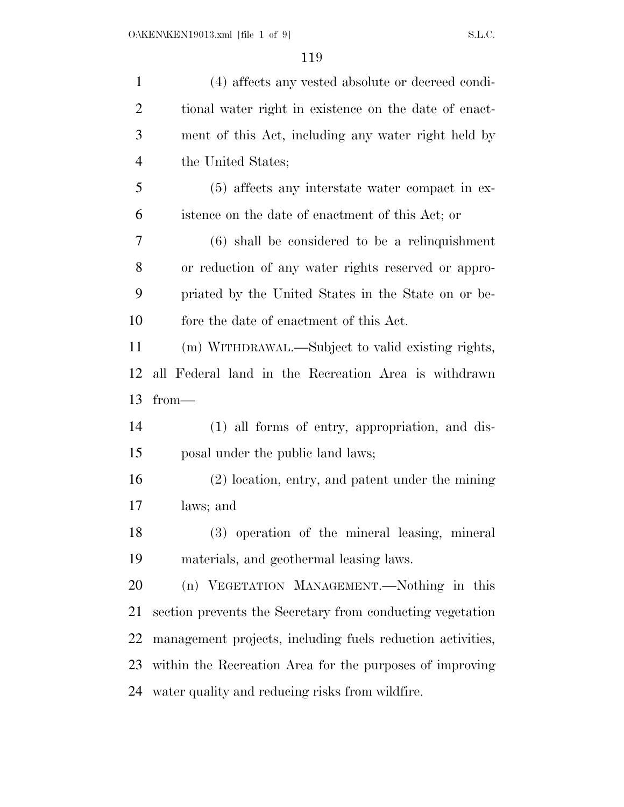| $\mathbf{1}$   | (4) affects any vested absolute or decreed condi-          |
|----------------|------------------------------------------------------------|
| $\overline{2}$ | tional water right in existence on the date of enact-      |
| 3              | ment of this Act, including any water right held by        |
| $\overline{4}$ | the United States;                                         |
| 5              | $(5)$ affects any interstate water compact in ex-          |
| 6              | istence on the date of enactment of this Act; or           |
| 7              | $(6)$ shall be considered to be a relinquishment           |
| 8              | or reduction of any water rights reserved or appro-        |
| 9              | priated by the United States in the State on or be-        |
| 10             | fore the date of enactment of this Act.                    |
| 11             | (m) WITHDRAWAL.—Subject to valid existing rights,          |
| 12             | all Federal land in the Recreation Area is withdrawn       |
|                |                                                            |
| 13             | $from-$                                                    |
| 14             | (1) all forms of entry, appropriation, and dis-            |
|                | posal under the public land laws;                          |
|                | $(2)$ location, entry, and patent under the mining         |
| 15<br>16<br>17 | laws; and                                                  |
| 18             | (3) operation of the mineral leasing, mineral              |
| 19             | materials, and geothermal leasing laws.                    |
| 20             | (n) VEGETATION MANAGEMENT.—Nothing in this                 |
| 21             | section prevents the Secretary from conducting vegetation  |
| 22             | management projects, including fuels reduction activities, |
| 23             | within the Recreation Area for the purposes of improving   |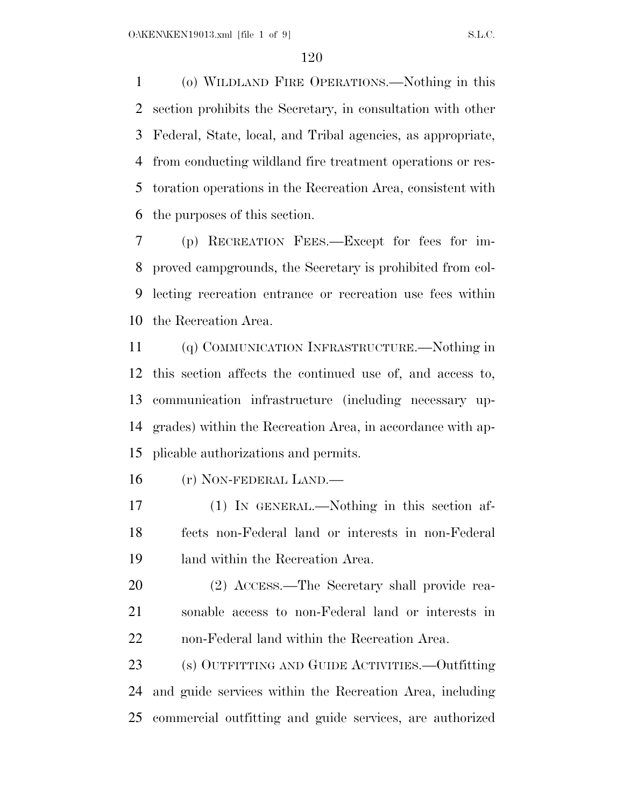(o) WILDLAND FIRE OPERATIONS.—Nothing in this section prohibits the Secretary, in consultation with other Federal, State, local, and Tribal agencies, as appropriate, from conducting wildland fire treatment operations or res- toration operations in the Recreation Area, consistent with the purposes of this section.

 (p) RECREATION FEES.—Except for fees for im- proved campgrounds, the Secretary is prohibited from col- lecting recreation entrance or recreation use fees within the Recreation Area.

 (q) COMMUNICATION INFRASTRUCTURE.—Nothing in this section affects the continued use of, and access to, communication infrastructure (including necessary up- grades) within the Recreation Area, in accordance with ap-plicable authorizations and permits.

(r) NON-FEDERAL LAND.—

 (1) IN GENERAL.—Nothing in this section af- fects non-Federal land or interests in non-Federal land within the Recreation Area.

 (2) ACCESS.—The Secretary shall provide rea- sonable access to non-Federal land or interests in non-Federal land within the Recreation Area.

 (s) OUTFITTING AND GUIDE ACTIVITIES.—Outfitting and guide services within the Recreation Area, including commercial outfitting and guide services, are authorized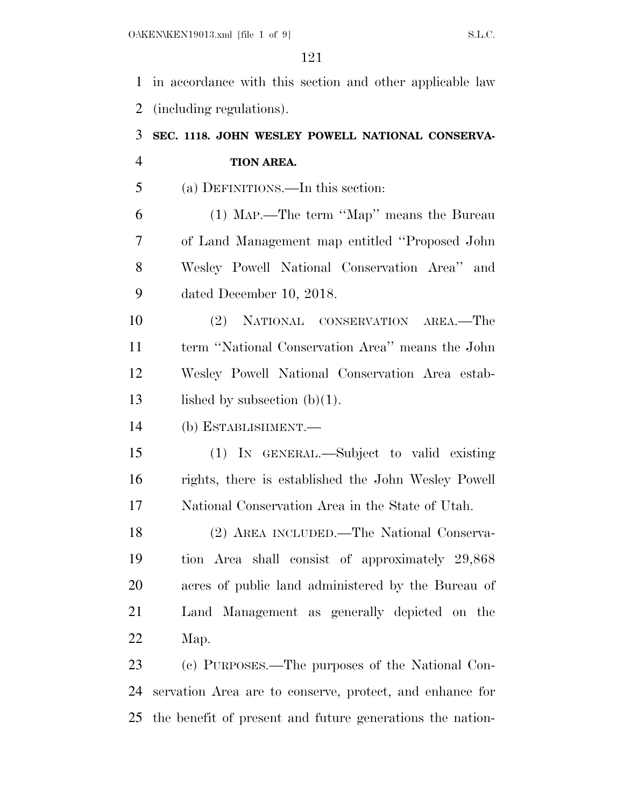in accordance with this section and other applicable law (including regulations).

# **SEC. 1118. JOHN WESLEY POWELL NATIONAL CONSERVA-TION AREA.**

(a) DEFINITIONS.—In this section:

 (1) MAP.—The term ''Map'' means the Bureau of Land Management map entitled ''Proposed John Wesley Powell National Conservation Area'' and dated December 10, 2018.

 (2) NATIONAL CONSERVATION AREA.—The term ''National Conservation Area'' means the John Wesley Powell National Conservation Area estab-13 lished by subsection  $(b)(1)$ .

(b) ESTABLISHMENT.—

 (1) IN GENERAL.—Subject to valid existing rights, there is established the John Wesley Powell National Conservation Area in the State of Utah.

 (2) AREA INCLUDED.—The National Conserva- tion Area shall consist of approximately 29,868 acres of public land administered by the Bureau of Land Management as generally depicted on the Map.

 (c) PURPOSES.—The purposes of the National Con- servation Area are to conserve, protect, and enhance for the benefit of present and future generations the nation-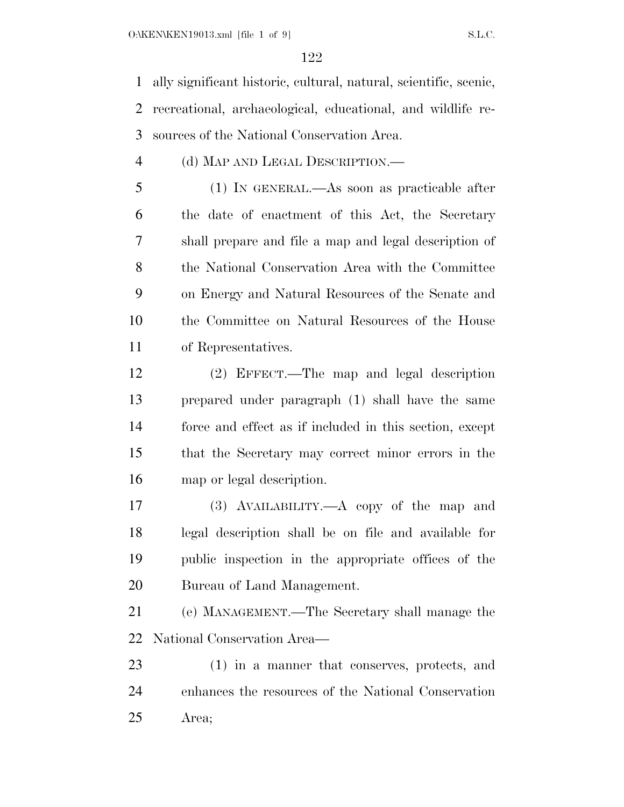ally significant historic, cultural, natural, scientific, scenic, recreational, archaeological, educational, and wildlife re-sources of the National Conservation Area.

### (d) MAP AND LEGAL DESCRIPTION.—

 (1) IN GENERAL.—As soon as practicable after the date of enactment of this Act, the Secretary shall prepare and file a map and legal description of the National Conservation Area with the Committee on Energy and Natural Resources of the Senate and the Committee on Natural Resources of the House of Representatives.

 (2) EFFECT.—The map and legal description prepared under paragraph (1) shall have the same force and effect as if included in this section, except that the Secretary may correct minor errors in the map or legal description.

 (3) AVAILABILITY.—A copy of the map and legal description shall be on file and available for public inspection in the appropriate offices of the Bureau of Land Management.

 (e) MANAGEMENT.—The Secretary shall manage the National Conservation Area—

 (1) in a manner that conserves, protects, and enhances the resources of the National Conservation Area;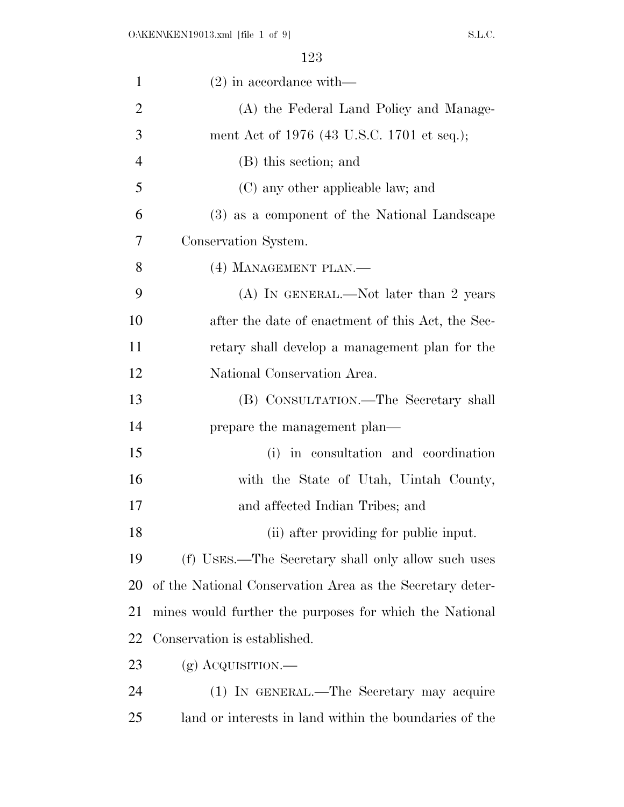| $\mathbf{1}$   | $(2)$ in accordance with —                                |
|----------------|-----------------------------------------------------------|
| $\overline{2}$ | (A) the Federal Land Policy and Manage-                   |
| 3              | ment Act of 1976 (43 U.S.C. 1701 et seq.);                |
| $\overline{4}$ | (B) this section; and                                     |
| 5              | (C) any other applicable law; and                         |
| 6              | (3) as a component of the National Landscape              |
| 7              | Conservation System.                                      |
| 8              | (4) MANAGEMENT PLAN.—                                     |
| 9              | (A) IN GENERAL.—Not later than 2 years                    |
| 10             | after the date of enactment of this Act, the Sec-         |
| 11             | retary shall develop a management plan for the            |
| 12             | National Conservation Area.                               |
| 13             | (B) CONSULTATION.—The Secretary shall                     |
| 14             | prepare the management plan—                              |
| 15             | (i) in consultation and coordination                      |
| 16             | with the State of Utah, Uintah County,                    |
| 17             | and affected Indian Tribes; and                           |
| 18             | (ii) after providing for public input.                    |
| 19             | (f) USES.—The Secretary shall only allow such uses        |
| 20             | of the National Conservation Area as the Secretary deter- |
| 21             | mines would further the purposes for which the National   |
| 22             | Conservation is established.                              |
| 23             | $(g)$ Acquisition.—                                       |
| 24             | (1) IN GENERAL.—The Secretary may acquire                 |
| 25             | land or interests in land within the boundaries of the    |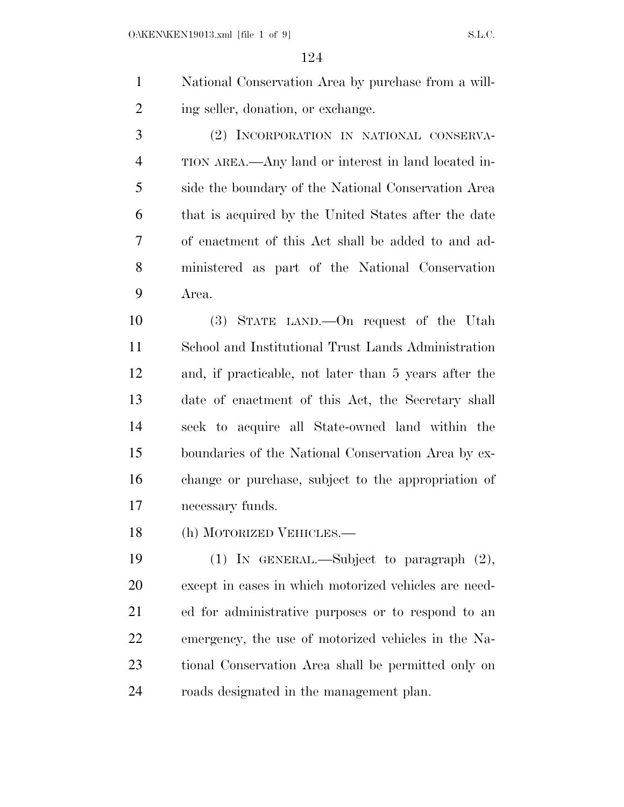National Conservation Area by purchase from a will-2 ing seller, donation, or exchange.

 (2) INCORPORATION IN NATIONAL CONSERVA- TION AREA.—Any land or interest in land located in- side the boundary of the National Conservation Area that is acquired by the United States after the date of enactment of this Act shall be added to and ad- ministered as part of the National Conservation Area.

 (3) STATE LAND.—On request of the Utah School and Institutional Trust Lands Administration and, if practicable, not later than 5 years after the date of enactment of this Act, the Secretary shall seek to acquire all State-owned land within the boundaries of the National Conservation Area by ex- change or purchase, subject to the appropriation of necessary funds.

(h) MOTORIZED VEHICLES.—

 (1) IN GENERAL.—Subject to paragraph (2), except in cases in which motorized vehicles are need- ed for administrative purposes or to respond to an emergency, the use of motorized vehicles in the Na- tional Conservation Area shall be permitted only on roads designated in the management plan.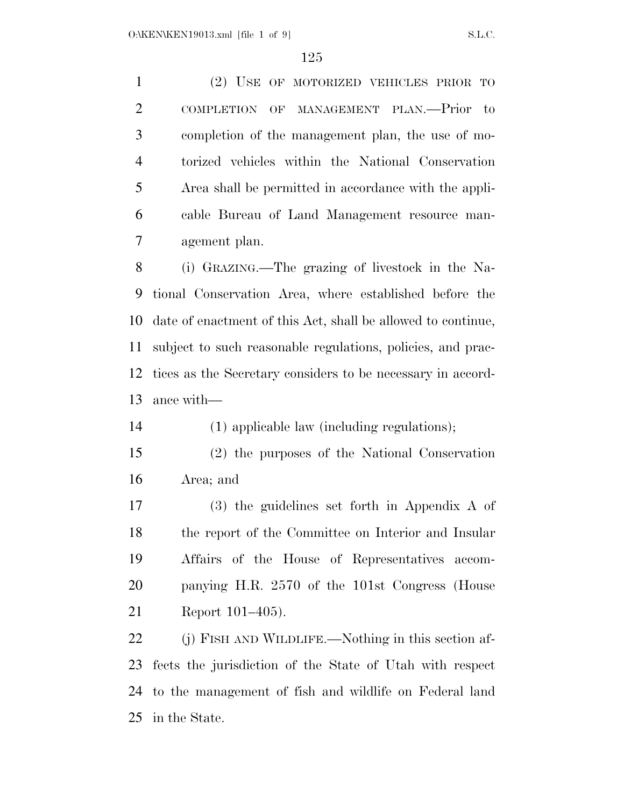(2) USE OF MOTORIZED VEHICLES PRIOR TO COMPLETION OF MANAGEMENT PLAN.—Prior to completion of the management plan, the use of mo- torized vehicles within the National Conservation Area shall be permitted in accordance with the appli- cable Bureau of Land Management resource man-agement plan.

 (i) GRAZING.—The grazing of livestock in the Na- tional Conservation Area, where established before the date of enactment of this Act, shall be allowed to continue, subject to such reasonable regulations, policies, and prac- tices as the Secretary considers to be necessary in accord-ance with—

(1) applicable law (including regulations);

 (2) the purposes of the National Conservation Area; and

 (3) the guidelines set forth in Appendix A of the report of the Committee on Interior and Insular Affairs of the House of Representatives accom- panying H.R. 2570 of the 101st Congress (House Report 101–405).

22 (j) FISH AND WILDLIFE.—Nothing in this section af- fects the jurisdiction of the State of Utah with respect to the management of fish and wildlife on Federal land in the State.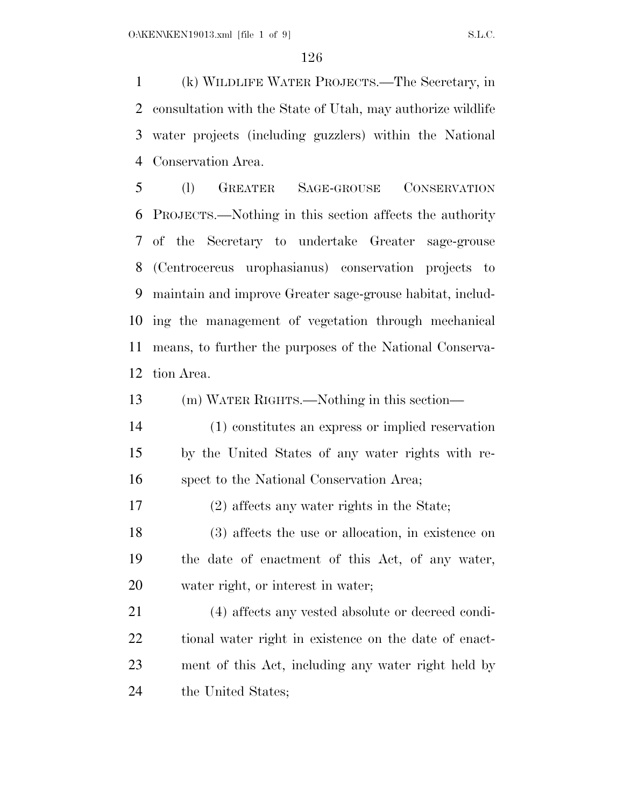(k) WILDLIFE WATER PROJECTS.—The Secretary, in consultation with the State of Utah, may authorize wildlife water projects (including guzzlers) within the National Conservation Area.

 (l) GREATER SAGE-GROUSE CONSERVATION PROJECTS.—Nothing in this section affects the authority of the Secretary to undertake Greater sage-grouse (Centrocercus urophasianus) conservation projects to maintain and improve Greater sage-grouse habitat, includ- ing the management of vegetation through mechanical means, to further the purposes of the National Conserva-tion Area.

(m) WATER RIGHTS.—Nothing in this section—

 (1) constitutes an express or implied reservation by the United States of any water rights with re-spect to the National Conservation Area;

(2) affects any water rights in the State;

 (3) affects the use or allocation, in existence on the date of enactment of this Act, of any water, water right, or interest in water;

 (4) affects any vested absolute or decreed condi- tional water right in existence on the date of enact- ment of this Act, including any water right held by the United States;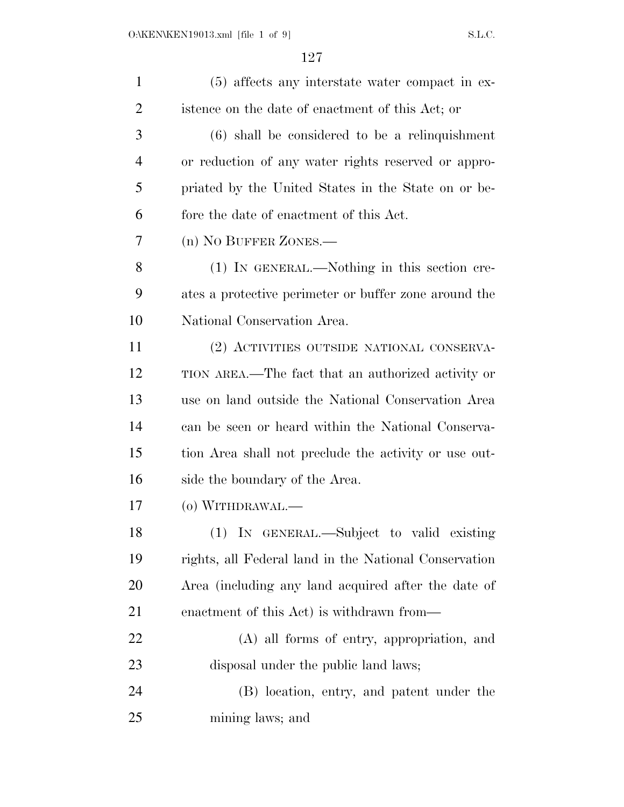| $\mathbf{1}$ | (5) affects any interstate water compact in ex-       |
|--------------|-------------------------------------------------------|
| 2            | istence on the date of enactment of this Act; or      |
| 3            | $(6)$ shall be considered to be a relinquishment      |
| 4            | or reduction of any water rights reserved or appro-   |
| 5            | priated by the United States in the State on or be-   |
| 6            | fore the date of enactment of this Act.               |
| 7            | (n) NO BUFFER ZONES.—                                 |
| 8            | (1) IN GENERAL.—Nothing in this section cre-          |
| 9            | ates a protective perimeter or buffer zone around the |
| 10           | National Conservation Area.                           |
| 11           | (2) ACTIVITIES OUTSIDE NATIONAL CONSERVA-             |
| 12           | TION AREA.—The fact that an authorized activity or    |
| 13           | use on land outside the National Conservation Area    |
| 14           | can be seen or heard within the National Conserva-    |
| 15           | tion Area shall not preclude the activity or use out- |
| 16           | side the boundary of the Area.                        |
| 17           | (o) WITHDRAWAL.—                                      |
| 18           | (1) IN GENERAL.—Subject to valid existing             |
| 19           | rights, all Federal land in the National Conservation |
| 20           | Area (including any land acquired after the date of   |
| 21           | enactment of this Act) is withdrawn from—             |
| 22           | (A) all forms of entry, appropriation, and            |
| 23           | disposal under the public land laws;                  |
| 24           | (B) location, entry, and patent under the             |
| 25           | mining laws; and                                      |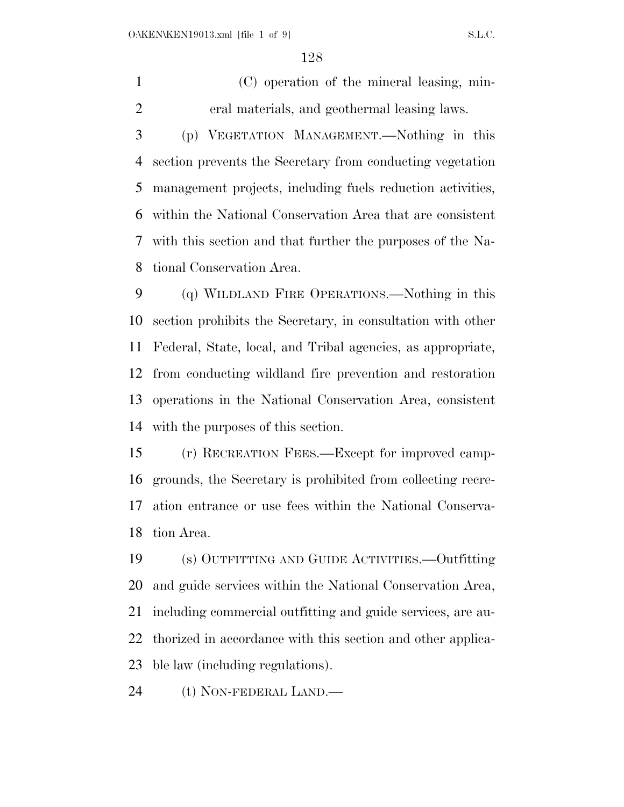(C) operation of the mineral leasing, min-eral materials, and geothermal leasing laws.

 (p) VEGETATION MANAGEMENT.—Nothing in this section prevents the Secretary from conducting vegetation management projects, including fuels reduction activities, within the National Conservation Area that are consistent with this section and that further the purposes of the Na-tional Conservation Area.

 (q) WILDLAND FIRE OPERATIONS.—Nothing in this section prohibits the Secretary, in consultation with other Federal, State, local, and Tribal agencies, as appropriate, from conducting wildland fire prevention and restoration operations in the National Conservation Area, consistent with the purposes of this section.

 (r) RECREATION FEES.—Except for improved camp- grounds, the Secretary is prohibited from collecting recre- ation entrance or use fees within the National Conserva-tion Area.

 (s) OUTFITTING AND GUIDE ACTIVITIES.—Outfitting and guide services within the National Conservation Area, including commercial outfitting and guide services, are au- thorized in accordance with this section and other applica-ble law (including regulations).

(t) NON-FEDERAL LAND.—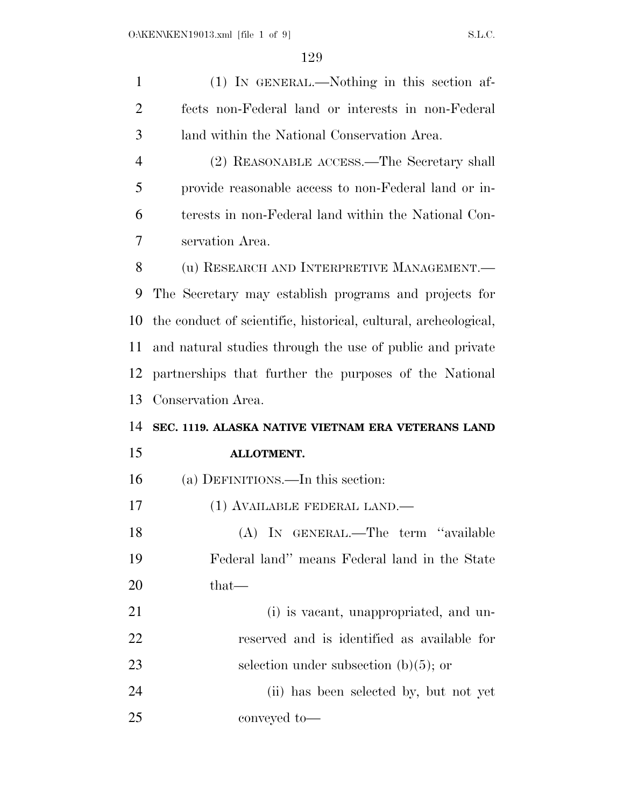| $\mathbf{1}$   | (1) IN GENERAL.—Nothing in this section af-                     |
|----------------|-----------------------------------------------------------------|
| $\overline{2}$ | fects non-Federal land or interests in non-Federal              |
| 3              | land within the National Conservation Area.                     |
| $\overline{4}$ | (2) REASONABLE ACCESS.—The Secretary shall                      |
| 5              | provide reasonable access to non-Federal land or in-            |
| 6              | terests in non-Federal land within the National Con-            |
| 7              | servation Area.                                                 |
| 8              | (u) RESEARCH AND INTERPRETIVE MANAGEMENT.-                      |
| 9              | The Secretary may establish programs and projects for           |
| 10             | the conduct of scientific, historical, cultural, archeological, |
| 11             | and natural studies through the use of public and private       |
| 12             | partnerships that further the purposes of the National          |
| 13             | Conservation Area.                                              |
| 14             | SEC. 1119. ALASKA NATIVE VIETNAM ERA VETERANS LAND              |
| 15             | ALLOTMENT.                                                      |
| 16             | (a) DEFINITIONS.—In this section:                               |
| 17             | (1) AVAILABLE FEDERAL LAND.—                                    |
| 18             | (A) IN GENERAL.—The term "available                             |
| 19             | Federal land" means Federal land in the State                   |
| 20             | that—                                                           |
| 21             | (i) is vacant, unappropriated, and un-                          |
| 22             | reserved and is identified as available for                     |
|                |                                                                 |
| 23             | selection under subsection $(b)(5)$ ; or                        |
| 24             | (ii) has been selected by, but not yet                          |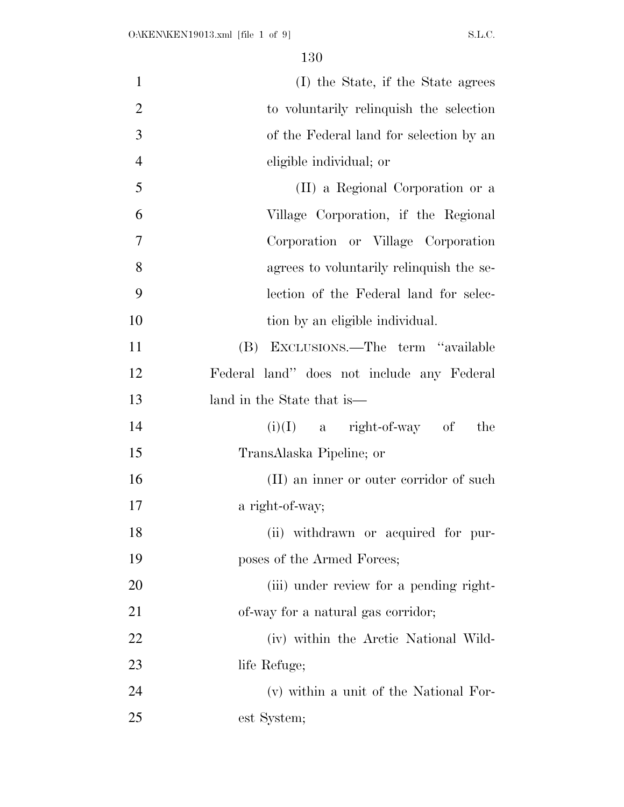| $\mathbf{1}$   | (I) the State, if the State agrees         |
|----------------|--------------------------------------------|
| $\overline{2}$ | to voluntarily relinquish the selection    |
| 3              | of the Federal land for selection by an    |
| $\overline{4}$ | eligible individual; or                    |
| 5              | (II) a Regional Corporation or a           |
| 6              | Village Corporation, if the Regional       |
| 7              | Corporation or Village Corporation         |
| 8              | agrees to voluntarily relinquish the se-   |
| 9              | lection of the Federal land for selec-     |
| 10             | tion by an eligible individual.            |
| 11             | (B) EXCLUSIONS.—The term "available        |
| 12             | Federal land" does not include any Federal |
| 13             | land in the State that is—                 |
| 14             | $(i)(I)$ a right-of-way of<br>the          |
| 15             | TransAlaska Pipeline; or                   |
| 16             | (II) an inner or outer corridor of such    |
| 17             | a right-of-way;                            |
| 18             | (ii) withdrawn or acquired for pur-        |
| 19             | poses of the Armed Forces;                 |
| 20             | (iii) under review for a pending right-    |
| 21             | of-way for a natural gas corridor;         |
| 22             | (iv) within the Arctic National Wild-      |
| 23             | life Refuge;                               |
| 24             | (v) within a unit of the National For-     |
| 25             | est System;                                |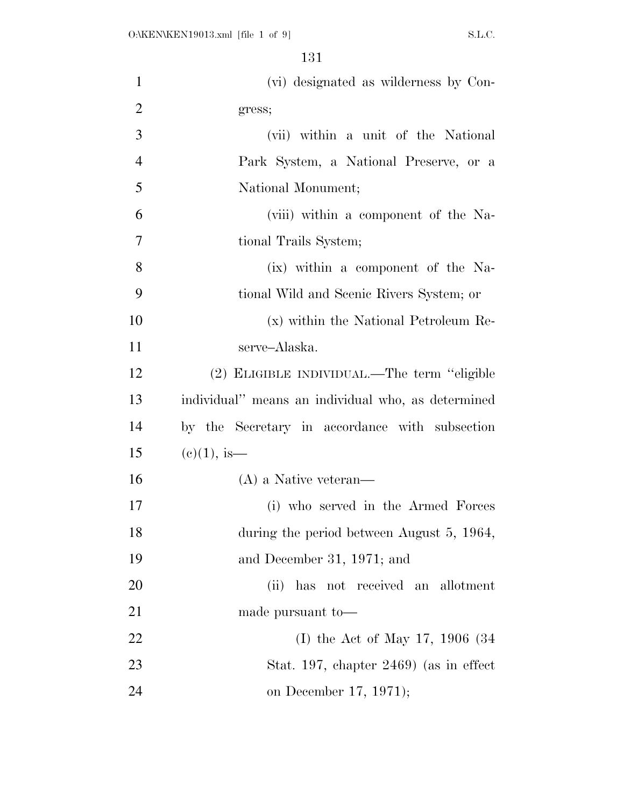| $\mathbf{1}$   | (vi) designated as wilderness by Con-              |
|----------------|----------------------------------------------------|
| $\overline{2}$ | gress;                                             |
| 3              | (vii) within a unit of the National                |
| $\overline{4}$ | Park System, a National Preserve, or a             |
| 5              | National Monument;                                 |
| 6              | (viii) within a component of the Na-               |
| $\overline{7}$ | tional Trails System;                              |
| 8              | (ix) within a component of the Na-                 |
| 9              | tional Wild and Scenic Rivers System; or           |
| 10             | (x) within the National Petroleum Re-              |
| 11             | serve-Alaska.                                      |
| 12             | (2) ELIGIBLE INDIVIDUAL.—The term "eligible        |
| 13             | individual" means an individual who, as determined |
| 14             | by the Secretary in accordance with subsection     |
| 15             | $(c)(1)$ , is—                                     |
| 16             | $(A)$ a Native veteran—                            |
| 17             | (i) who served in the Armed Forces                 |
| 18             | during the period between August 5, 1964,          |
| 19             | and December 31, 1971; and                         |
| 20             | has not received an allotment<br>(ii)              |
| 21             | made pursuant to-                                  |
| 22             | (I) the Act of May 17, 1906 $(34)$                 |
| 23             | Stat. 197, chapter $2469$ (as in effect            |
| 24             | on December 17, 1971);                             |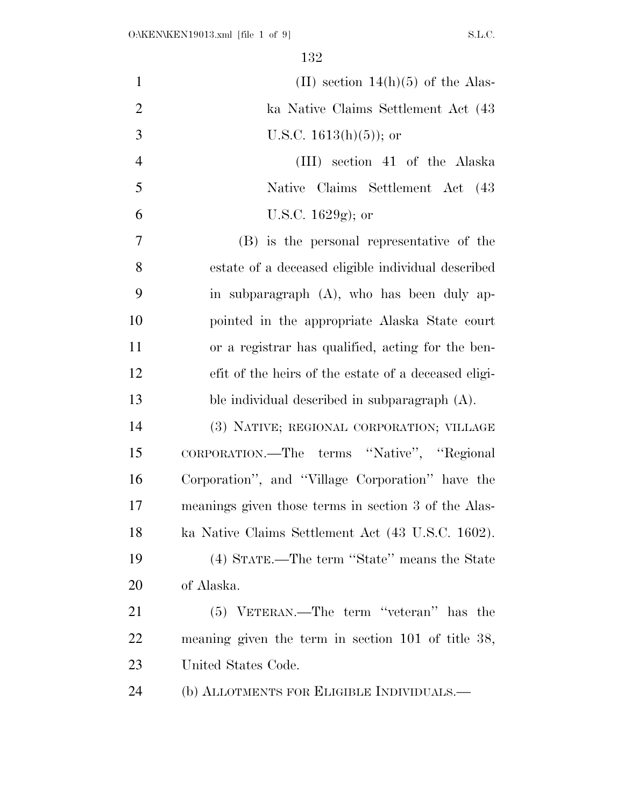| $\mathbf{1}$   | (II) section $14(h)(5)$ of the Alas-                 |
|----------------|------------------------------------------------------|
| $\overline{2}$ | ka Native Claims Settlement Act (43                  |
| 3              | U.S.C. $1613(h)(5)$ ; or                             |
| $\overline{4}$ | (III) section 41 of the Alaska                       |
| 5              | Native Claims Settlement Act (43                     |
| 6              | U.S.C. $1629g$ ; or                                  |
| 7              | (B) is the personal representative of the            |
| 8              | estate of a deceased eligible individual described   |
| 9              | in subparagraph (A), who has been duly ap-           |
| 10             | pointed in the appropriate Alaska State court        |
| 11             | or a registrar has qualified, acting for the ben-    |
| 12             | efit of the heirs of the estate of a deceased eligi- |
| 13             | ble individual described in subparagraph $(A)$ .     |
| 14             | (3) NATIVE; REGIONAL CORPORATION; VILLAGE            |
| 15             | CORPORATION.—The terms "Native", "Regional           |
| 16             | Corporation", and "Village Corporation" have the     |
| 17             | meanings given those terms in section 3 of the Alas- |
| 18             | ka Native Claims Settlement Act (43 U.S.C. 1602).    |
| 19             | (4) STATE.—The term "State" means the State          |
| 20             | of Alaska.                                           |
| 21             | (5) VETERAN.—The term "veteran" has the              |
| 22             | meaning given the term in section $101$ of title 38, |
| 23             | United States Code.                                  |
| 24             | (b) ALLOTMENTS FOR ELIGIBLE INDIVIDUALS.—            |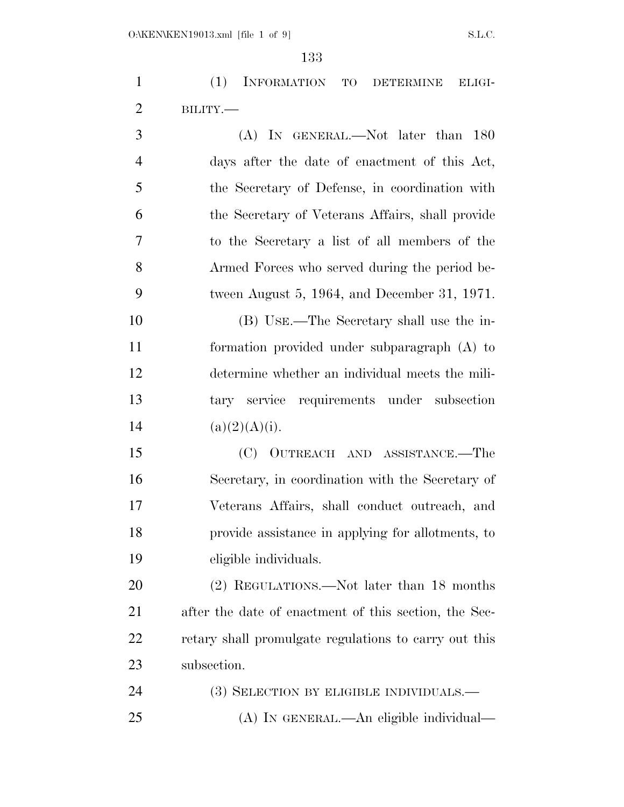(1) INFORMATION TO DETERMINE ELIGI-BILITY.—

 (A) IN GENERAL.—Not later than 180 days after the date of enactment of this Act, the Secretary of Defense, in coordination with the Secretary of Veterans Affairs, shall provide to the Secretary a list of all members of the Armed Forces who served during the period be- tween August 5, 1964, and December 31, 1971. (B) USE.—The Secretary shall use the in-

 formation provided under subparagraph (A) to determine whether an individual meets the mili- tary service requirements under subsection  $(a)(2)(A)(i)$ .

 (C) OUTREACH AND ASSISTANCE.—The Secretary, in coordination with the Secretary of Veterans Affairs, shall conduct outreach, and provide assistance in applying for allotments, to eligible individuals.

 (2) REGULATIONS.—Not later than 18 months after the date of enactment of this section, the Sec- retary shall promulgate regulations to carry out this subsection.

24 (3) SELECTION BY ELIGIBLE INDIVIDUALS.— (A) IN GENERAL.—An eligible individual—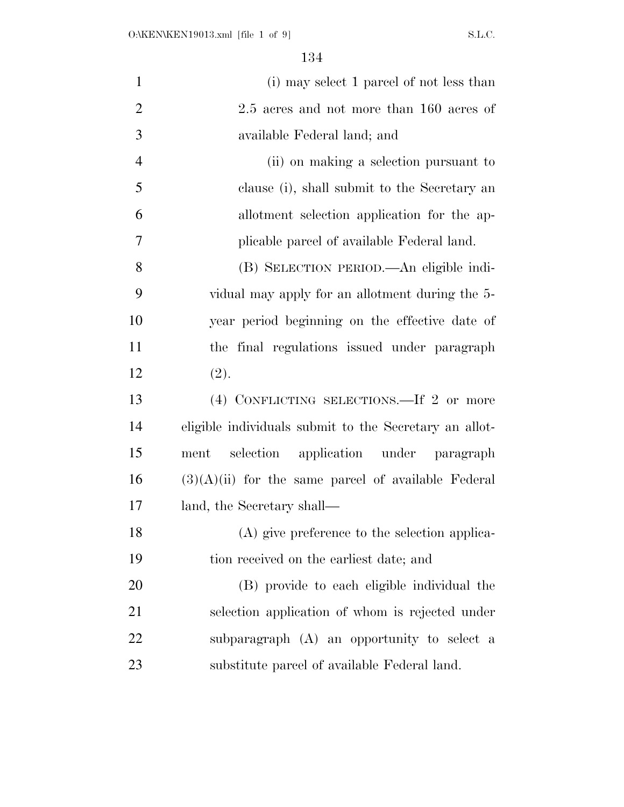| (i) may select 1 parcel of not less than               |
|--------------------------------------------------------|
| 2.5 acres and not more than 160 acres of               |
| available Federal land; and                            |
| (ii) on making a selection pursuant to                 |
| clause (i), shall submit to the Secretary an           |
| allotment selection application for the ap-            |
| plicable parcel of available Federal land.             |
| (B) SELECTION PERIOD.—An eligible indi-                |
| vidual may apply for an allotment during the 5-        |
| year period beginning on the effective date of         |
| the final regulations issued under paragraph           |
| (2).                                                   |
| (4) CONFLICTING SELECTIONS.—If 2 or more               |
| eligible individuals submit to the Secretary an allot- |
| selection application under paragraph<br>ment          |
| $(3)(A)(ii)$ for the same parcel of available Federal  |
| land, the Secretary shall—                             |
| (A) give preference to the selection applica-          |
| tion received on the earliest date; and                |
| (B) provide to each eligible individual the            |
| selection application of whom is rejected under        |
| subparagraph (A) an opportunity to select a            |
| substitute parcel of available Federal land.           |
|                                                        |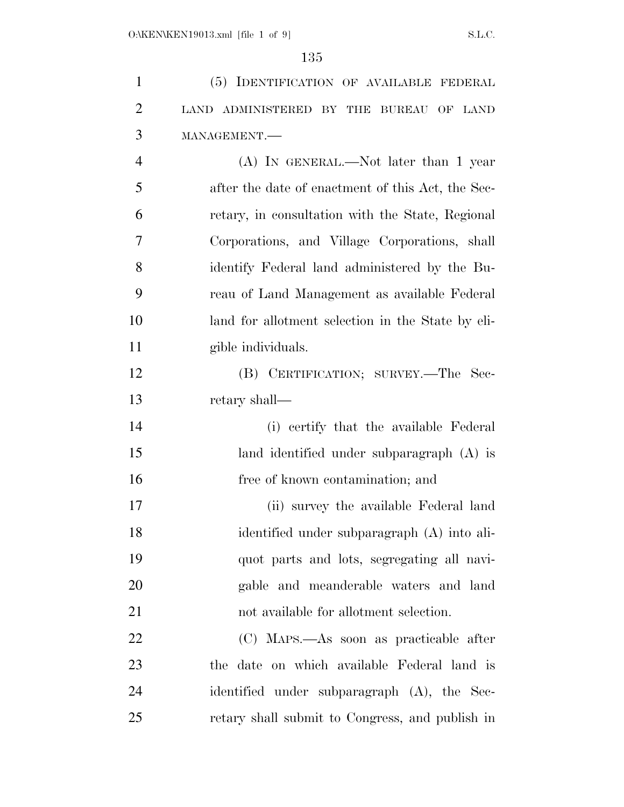| $\mathbf{1}$   | (5) IDENTIFICATION OF AVAILABLE FEDERAL           |
|----------------|---------------------------------------------------|
| $\overline{2}$ | LAND ADMINISTERED BY THE BUREAU OF LAND           |
| 3              | MANAGEMENT.                                       |
| $\overline{4}$ | (A) IN GENERAL.—Not later than 1 year             |
| 5              | after the date of enactment of this Act, the Sec- |
| 6              | retary, in consultation with the State, Regional  |
| 7              | Corporations, and Village Corporations, shall     |
| 8              | identify Federal land administered by the Bu-     |
| 9              | reau of Land Management as available Federal      |
| 10             | land for allotment selection in the State by eli- |
| 11             | gible individuals.                                |
| 12             | (B) CERTIFICATION; SURVEY.—The Sec-               |
| 13             | retary shall—                                     |
| 14             | (i) certify that the available Federal            |
| 15             | land identified under subparagraph (A) is         |
| 16             | free of known contamination; and                  |
| 17             | (ii) survey the available Federal land            |
| 18             | identified under subparagraph (A) into ali-       |
| 19             | quot parts and lots, segregating all navi-        |
| 20             | gable and meanderable waters and land             |
| 21             | not available for allotment selection.            |
| 22             | (C) MAPS.—As soon as practicable after            |
| 23             | the date on which available Federal land is       |
| 24             | identified under subparagraph (A), the Sec-       |
| 25             | retary shall submit to Congress, and publish in   |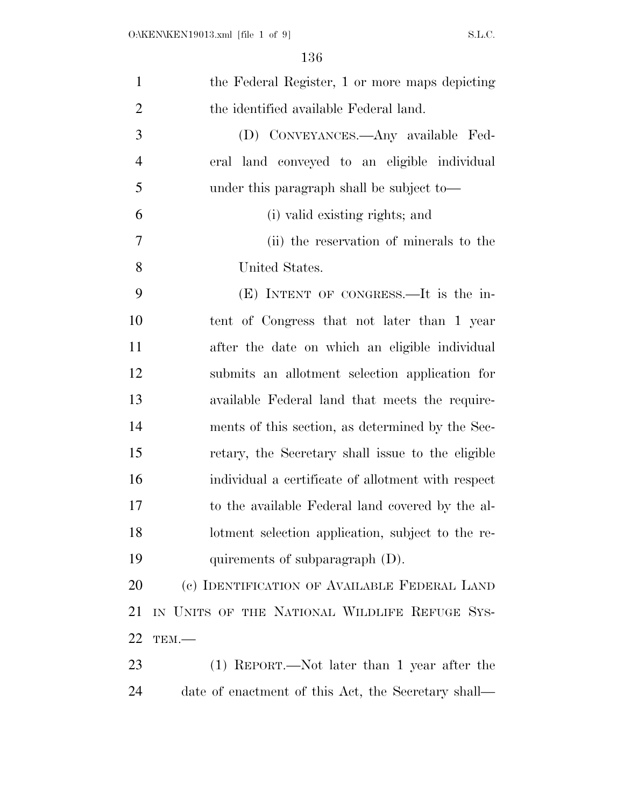| $\mathbf{1}$   | the Federal Register, 1 or more maps depicting      |
|----------------|-----------------------------------------------------|
| $\overline{2}$ | the identified available Federal land.              |
| 3              | (D) CONVEYANCES.—Any available Fed-                 |
| $\overline{4}$ | eral land conveyed to an eligible individual        |
| 5              | under this paragraph shall be subject to—           |
| 6              | (i) valid existing rights; and                      |
| 7              | (ii) the reservation of minerals to the             |
| 8              | United States.                                      |
| 9              | $(E)$ INTENT OF CONGRESS.—It is the in-             |
| 10             | tent of Congress that not later than 1 year         |
| 11             | after the date on which an eligible individual      |
| 12             | submits an allotment selection application for      |
| 13             | available Federal land that meets the require-      |
| 14             | ments of this section, as determined by the Sec-    |
| 15             | retary, the Secretary shall issue to the eligible   |
| 16             | individual a certificate of allotment with respect  |
| 17             | to the available Federal land covered by the al-    |
| 18             | lotment selection application, subject to the re-   |
| 19             | quirements of subparagraph $(D)$ .                  |
| 20             | (c) IDENTIFICATION OF AVAILABLE FEDERAL LAND        |
| 21             | IN UNITS OF THE NATIONAL WILDLIFE REFUGE SYS-       |
| 22             | TEM.                                                |
| 23             | $(1)$ REPORT.—Not later than 1 year after the       |
| 24             | date of enactment of this Act, the Secretary shall— |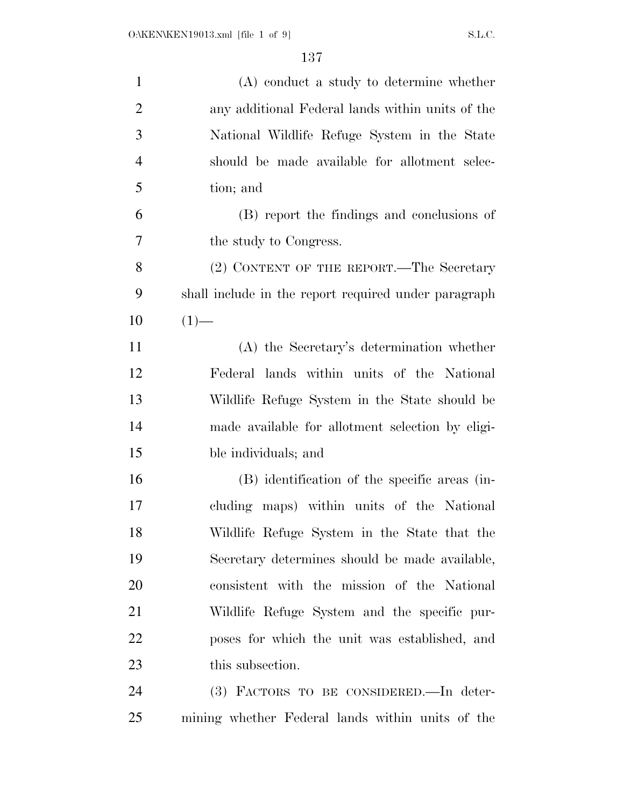| $\mathbf{1}$   | (A) conduct a study to determine whether             |
|----------------|------------------------------------------------------|
| $\overline{2}$ | any additional Federal lands within units of the     |
| 3              | National Wildlife Refuge System in the State         |
| $\overline{4}$ | should be made available for allotment selec-        |
| 5              | tion; and                                            |
| 6              | (B) report the findings and conclusions of           |
| 7              | the study to Congress.                               |
| 8              | (2) CONTENT OF THE REPORT.—The Secretary             |
| 9              | shall include in the report required under paragraph |
| 10             | $(1)$ —                                              |
| 11             | (A) the Secretary's determination whether            |
| 12             | Federal lands within units of the National           |
| 13             | Wildlife Refuge System in the State should be        |
| 14             | made available for allotment selection by eligi-     |
| 15             | ble individuals; and                                 |
| 16             | (B) identification of the specific areas (in-        |
| 17             | cluding maps) within units of the National           |
| 18             | Wildlife Refuge System in the State that the         |
| 19             | Secretary determines should be made available,       |
| 20             | consistent with the mission of the National          |
| 21             | Wildlife Refuge System and the specific pur-         |
| 22             | poses for which the unit was established, and        |
| 23             | this subsection.                                     |
| 24             | (3) FACTORS TO BE CONSIDERED.—In deter-              |
| 25             | mining whether Federal lands within units of the     |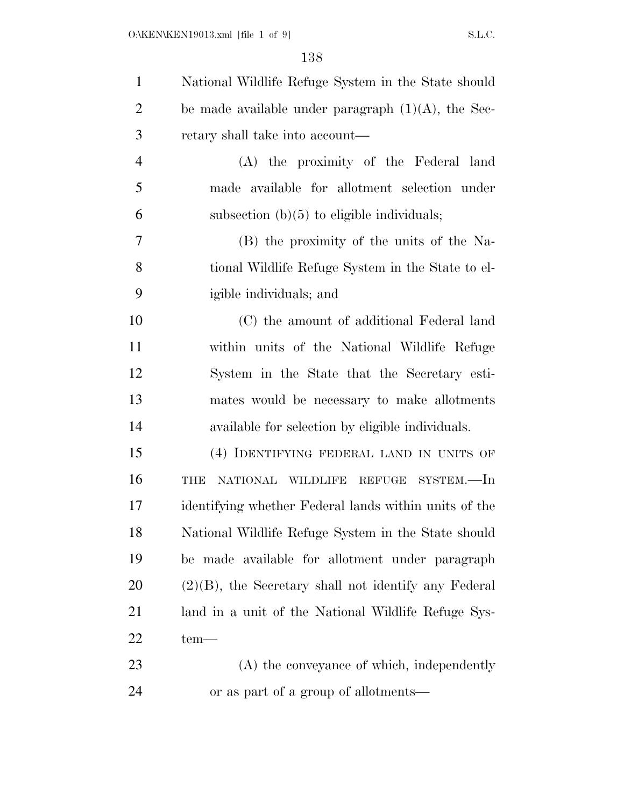| $\mathbf{1}$   | National Wildlife Refuge System in the State should     |
|----------------|---------------------------------------------------------|
| $\overline{2}$ | be made available under paragraph $(1)(A)$ , the Sec-   |
| 3              | retary shall take into account—                         |
| 4              | (A) the proximity of the Federal land                   |
| 5              | made available for allotment selection under            |
| 6              | subsection $(b)(5)$ to eligible individuals;            |
| 7              | (B) the proximity of the units of the Na-               |
| 8              | tional Wildlife Refuge System in the State to el-       |
| 9              | igible individuals; and                                 |
| 10             | (C) the amount of additional Federal land               |
| 11             | within units of the National Wildlife Refuge            |
| 12             | System in the State that the Secretary esti-            |
| 13             | mates would be necessary to make allotments             |
| 14             | available for selection by eligible individuals.        |
| 15             | (4) IDENTIFYING FEDERAL LAND IN UNITS OF                |
| 16             | NATIONAL WILDLIFE REFUGE SYSTEM.-In<br>THE              |
| 17             | identifying whether Federal lands within units of the   |
| 18             | National Wildlife Refuge System in the State should     |
| 19             | be made available for allotment under paragraph         |
| 20             | $(2)(B)$ , the Secretary shall not identify any Federal |
| 21             | land in a unit of the National Wildlife Refuge Sys-     |
| 22             | $tem-$                                                  |
| 23             | (A) the conveyance of which, independently              |
| 24             | or as part of a group of allotments—                    |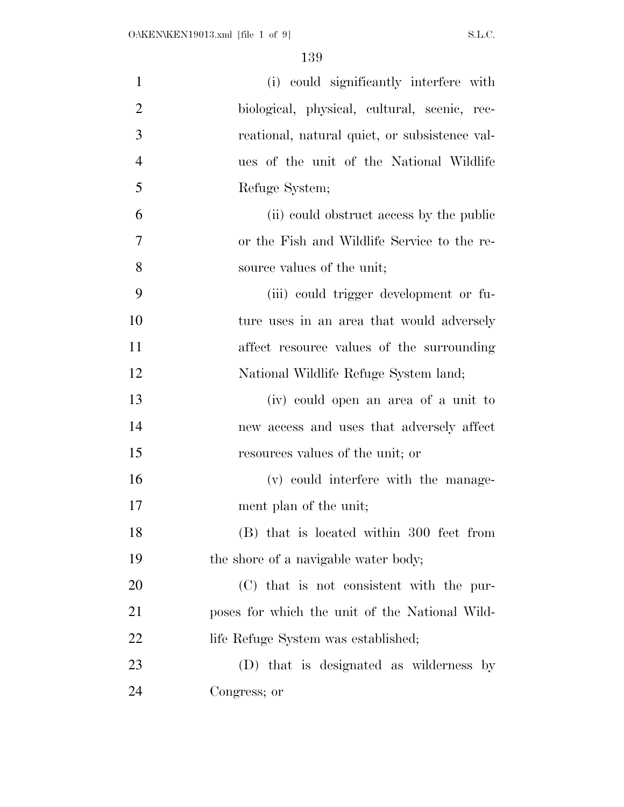| $\mathbf{1}$   | (i) could significantly interfere with         |
|----------------|------------------------------------------------|
| $\overline{2}$ | biological, physical, cultural, scenic, rec-   |
| 3              | reational, natural quiet, or subsistence val-  |
| $\overline{4}$ | ues of the unit of the National Wildlife       |
| 5              | Refuge System;                                 |
| 6              | (ii) could obstruct access by the public       |
| 7              | or the Fish and Wildlife Service to the re-    |
| 8              | source values of the unit;                     |
| 9              | (iii) could trigger development or fu-         |
| 10             | ture uses in an area that would adversely      |
| 11             | affect resource values of the surrounding      |
| 12             | National Wildlife Refuge System land;          |
| 13             | (iv) could open an area of a unit to           |
| 14             | new access and uses that adversely affect      |
| 15             | resources values of the unit; or               |
| 16             | (v) could interfere with the manage-           |
| 17             | ment plan of the unit;                         |
| 18             | (B) that is located within 300 feet from       |
| 19             | the shore of a navigable water body;           |
| 20             | (C) that is not consistent with the pur-       |
| 21             | poses for which the unit of the National Wild- |
| 22             | life Refuge System was established;            |
| 23             | (D) that is designated as wilderness by        |
| 24             | Congress; or                                   |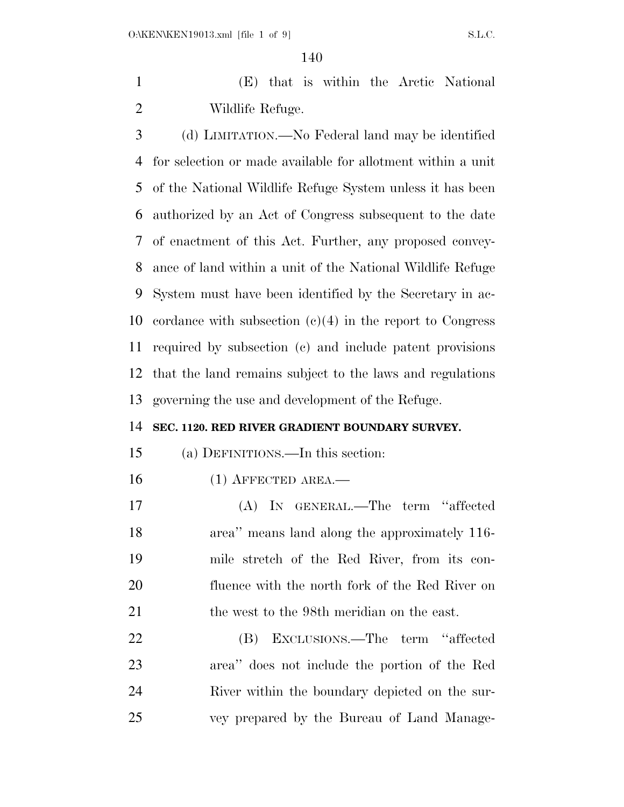(E) that is within the Arctic National Wildlife Refuge.

 (d) LIMITATION.—No Federal land may be identified for selection or made available for allotment within a unit of the National Wildlife Refuge System unless it has been authorized by an Act of Congress subsequent to the date of enactment of this Act. Further, any proposed convey- ance of land within a unit of the National Wildlife Refuge System must have been identified by the Secretary in ac- cordance with subsection (c)(4) in the report to Congress required by subsection (c) and include patent provisions that the land remains subject to the laws and regulations governing the use and development of the Refuge.

#### **SEC. 1120. RED RIVER GRADIENT BOUNDARY SURVEY.**

(a) DEFINITIONS.—In this section:

16 (1) AFFECTED AREA.—

 (A) IN GENERAL.—The term ''affected area'' means land along the approximately 116- mile stretch of the Red River, from its con- fluence with the north fork of the Red River on 21 the west to the 98th meridian on the east.

 (B) EXCLUSIONS.—The term ''affected area'' does not include the portion of the Red River within the boundary depicted on the sur-vey prepared by the Bureau of Land Manage-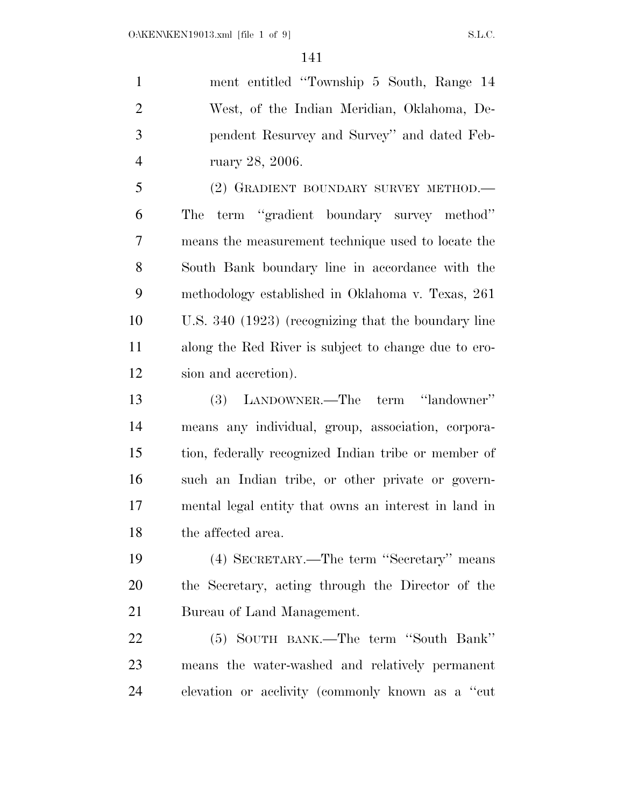ment entitled ''Township 5 South, Range 14 West, of the Indian Meridian, Oklahoma, De- pendent Resurvey and Survey'' and dated Feb-ruary 28, 2006.

 (2) GRADIENT BOUNDARY SURVEY METHOD.— The term ''gradient boundary survey method'' means the measurement technique used to locate the South Bank boundary line in accordance with the methodology established in Oklahoma v. Texas, 261 U.S. 340 (1923) (recognizing that the boundary line along the Red River is subject to change due to ero-sion and accretion).

 (3) LANDOWNER.—The term ''landowner'' means any individual, group, association, corpora- tion, federally recognized Indian tribe or member of such an Indian tribe, or other private or govern- mental legal entity that owns an interest in land in the affected area.

 (4) SECRETARY.—The term ''Secretary'' means the Secretary, acting through the Director of the Bureau of Land Management.

 (5) SOUTH BANK.—The term ''South Bank'' means the water-washed and relatively permanent elevation or acclivity (commonly known as a ''cut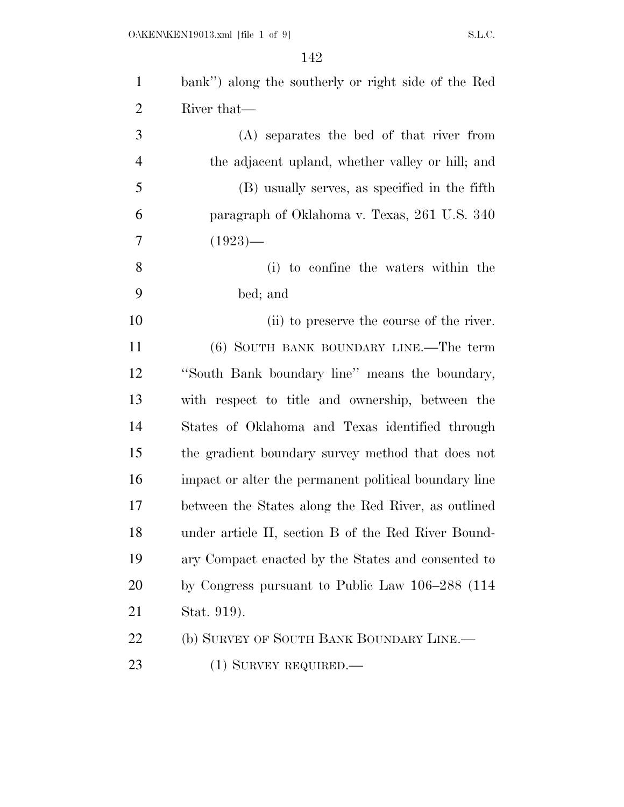| $\mathbf{1}$   | bank") along the southerly or right side of the Red   |
|----------------|-------------------------------------------------------|
| $\overline{2}$ | River that—                                           |
| 3              | (A) separates the bed of that river from              |
| $\overline{4}$ | the adjacent upland, whether valley or hill; and      |
| 5              | (B) usually serves, as specified in the fifth         |
| 6              | paragraph of Oklahoma v. Texas, 261 U.S. 340          |
| $\overline{7}$ | $(1923)$ —                                            |
| 8              | (i) to confine the waters within the                  |
| 9              | bed; and                                              |
| 10             | (ii) to preserve the course of the river.             |
| 11             | (6) SOUTH BANK BOUNDARY LINE.—The term                |
| 12             | "South Bank boundary line" means the boundary,        |
| 13             | with respect to title and ownership, between the      |
| 14             | States of Oklahoma and Texas identified through       |
| 15             | the gradient boundary survey method that does not     |
| 16             | impact or alter the permanent political boundary line |
| 17             | between the States along the Red River, as outlined   |
| 18             | under article II, section B of the Red River Bound-   |
| 19             | ary Compact enacted by the States and consented to    |
| 20             | by Congress pursuant to Public Law 106–288 (114)      |
| 21             | Stat. 919).                                           |
| 22             | (b) SURVEY OF SOUTH BANK BOUNDARY LINE.               |
| 23             | $(1)$ SURVEY REQUIRED.—                               |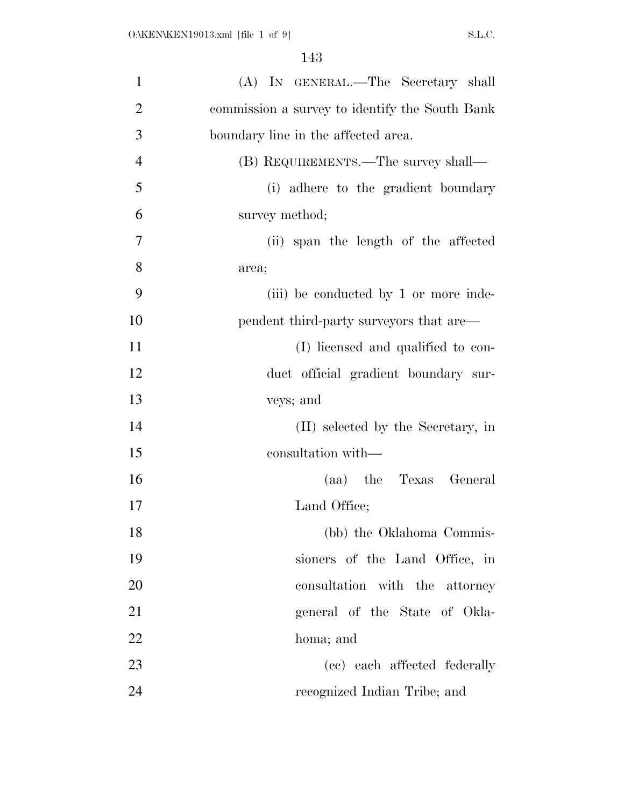| $\mathbf{1}$   | (A) IN GENERAL.—The Secretary shall            |
|----------------|------------------------------------------------|
| $\overline{2}$ | commission a survey to identify the South Bank |
| 3              | boundary line in the affected area.            |
| $\overline{4}$ | (B) REQUIREMENTS.—The survey shall—            |
| 5              | (i) adhere to the gradient boundary            |
| 6              | survey method;                                 |
| 7              | (ii) span the length of the affected           |
| 8              | area;                                          |
| 9              | (iii) be conducted by 1 or more inde-          |
| 10             | pendent third-party surveyors that are—        |
| 11             | (I) licensed and qualified to con-             |
| 12             | duct official gradient boundary sur-           |
| 13             | veys; and                                      |
| 14             | (II) selected by the Secretary, in             |
| 15             | consultation with—                             |
| 16             | (aa) the Texas General                         |
| 17             | Land Office;                                   |
| 18             | (bb) the Oklahoma Commis-                      |
| 19             | sioners of the Land Office, in                 |
| 20             | consultation with the attorney                 |
| 21             | general of the State of Okla-                  |
| 22             | homa; and                                      |
| 23             | (cc) each affected federally                   |
| 24             | recognized Indian Tribe; and                   |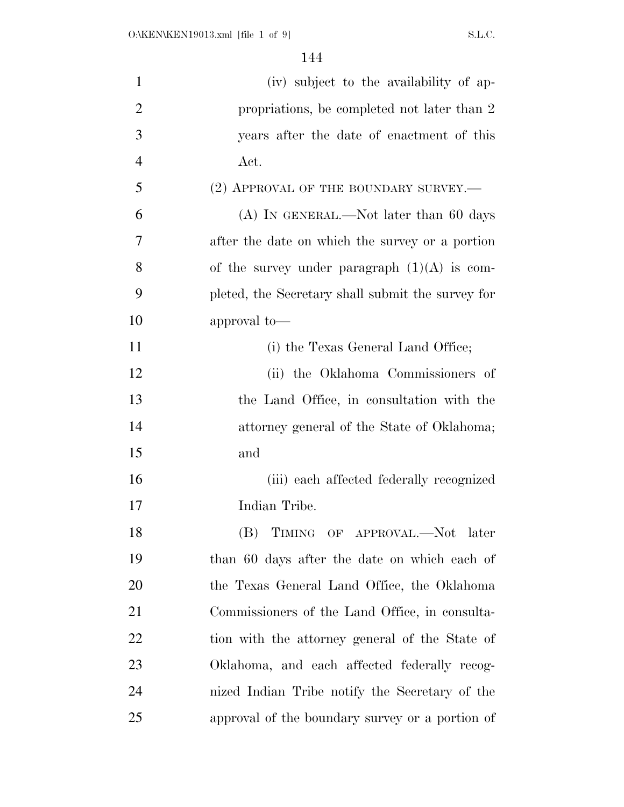| $\mathbf{1}$   | (iv) subject to the availability of ap-           |
|----------------|---------------------------------------------------|
| $\overline{2}$ | propriations, be completed not later than 2       |
| 3              | years after the date of enactment of this         |
| $\overline{4}$ | Act.                                              |
| 5              | $(2)$ APPROVAL OF THE BOUNDARY SURVEY.—           |
| 6              | $(A)$ In GENERAL.—Not later than 60 days          |
| 7              | after the date on which the survey or a portion   |
| 8              | of the survey under paragraph $(1)(A)$ is com-    |
| 9              | pleted, the Secretary shall submit the survey for |
| 10             | approval to-                                      |
| 11             | (i) the Texas General Land Office;                |
| 12             | (ii) the Oklahoma Commissioners of                |
| 13             | the Land Office, in consultation with the         |
| 14             | attorney general of the State of Oklahoma;        |
| 15             | and                                               |
| 16             | (iii) each affected federally recognized          |
| 17             | Indian Tribe.                                     |
| 18             | (B) TIMING OF APPROVAL.—Not later                 |
| 19             | than 60 days after the date on which each of      |
| 20             | the Texas General Land Office, the Oklahoma       |
| 21             | Commissioners of the Land Office, in consulta-    |
| 22             | tion with the attorney general of the State of    |
| 23             | Oklahoma, and each affected federally recog-      |
| 24             | nized Indian Tribe notify the Secretary of the    |
| 25             | approval of the boundary survey or a portion of   |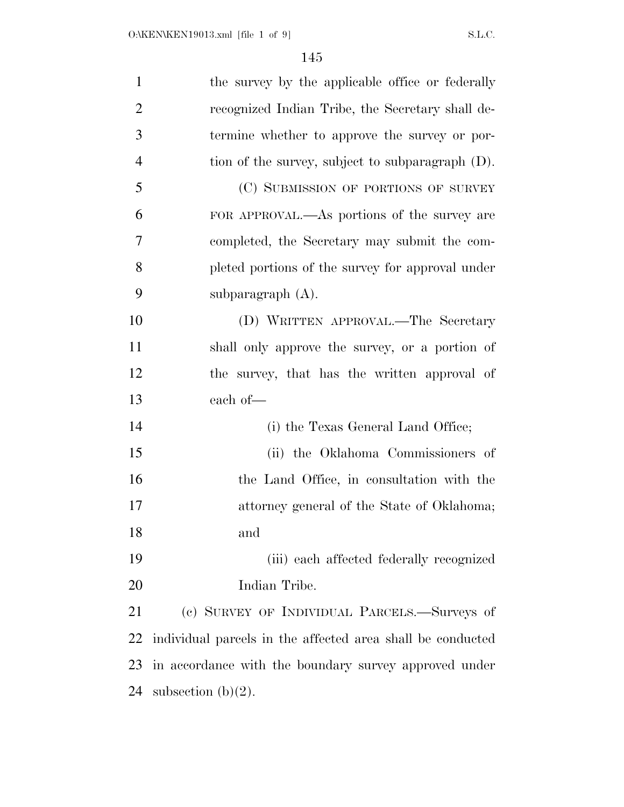| $\mathbf{1}$   | the survey by the applicable office or federally           |
|----------------|------------------------------------------------------------|
| $\overline{2}$ | recognized Indian Tribe, the Secretary shall de-           |
| 3              | termine whether to approve the survey or por-              |
| $\overline{4}$ | tion of the survey, subject to subparagraph (D).           |
| 5              | (C) SUBMISSION OF PORTIONS OF SURVEY                       |
| 6              | FOR APPROVAL.—As portions of the survey are                |
| 7              | completed, the Secretary may submit the com-               |
| 8              | pleted portions of the survey for approval under           |
| 9              | subparagraph $(A)$ .                                       |
| 10             | (D) WRITTEN APPROVAL.—The Secretary                        |
| 11             | shall only approve the survey, or a portion of             |
| 12             | the survey, that has the written approval of               |
| 13             | each of-                                                   |
| 14             | (i) the Texas General Land Office;                         |
| 15             | (ii) the Oklahoma Commissioners of                         |
| 16             | the Land Office, in consultation with the                  |
| 17             | attorney general of the State of Oklahoma;                 |
| 18             | and                                                        |
| 19             | (iii) each affected federally recognized                   |
| <b>20</b>      | Indian Tribe.                                              |
| 21             | (c) SURVEY OF INDIVIDUAL PARCELS.—Surveys of               |
| <u>22</u>      | individual parcels in the affected area shall be conducted |
| 23             | in accordance with the boundary survey approved under      |
| 24             | subsection $(b)(2)$ .                                      |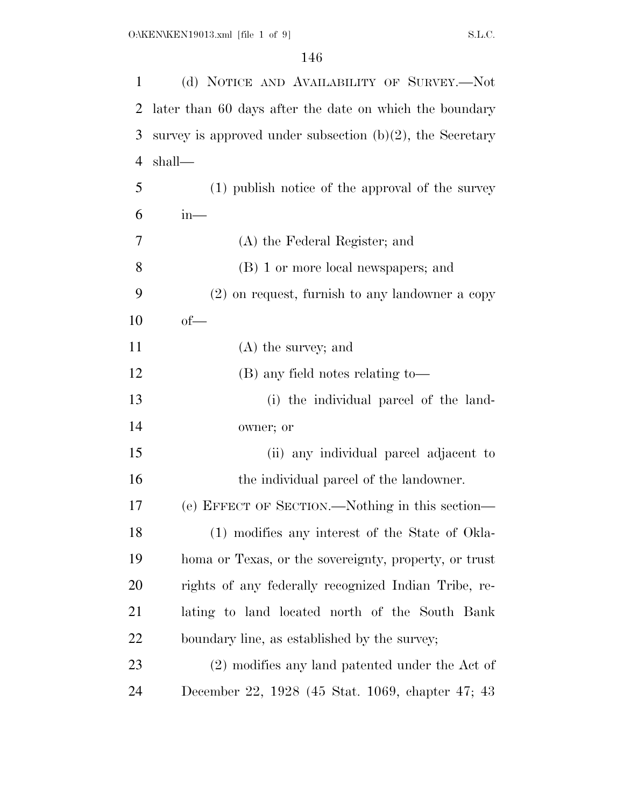| $\mathbf{1}$   | (d) NOTICE AND AVAILABILITY OF SURVEY.—Not                   |
|----------------|--------------------------------------------------------------|
| 2              | later than 60 days after the date on which the boundary      |
| 3              | survey is approved under subsection $(b)(2)$ , the Secretary |
| $\overline{4}$ | shall—                                                       |
| 5              | (1) publish notice of the approval of the survey             |
| 6              | $in-$                                                        |
| 7              | (A) the Federal Register; and                                |
| 8              | (B) 1 or more local newspapers; and                          |
| 9              | $(2)$ on request, furnish to any landowner a copy            |
| 10             | $of$ —                                                       |
| 11             | $(A)$ the survey; and                                        |
| 12             | (B) any field notes relating to-                             |
| 13             | (i) the individual parcel of the land-                       |
| 14             | owner; or                                                    |
| 15             | (ii) any individual parcel adjacent to                       |
| 16             | the individual parcel of the landowner.                      |
| 17             | (e) EFFECT OF SECTION.—Nothing in this section—              |
| 18             | (1) modifies any interest of the State of Okla-              |
| 19             | homa or Texas, or the sovereignty, property, or trust        |
| 20             | rights of any federally recognized Indian Tribe, re-         |
| 21             | lating to land located north of the South Bank               |
| 22             | boundary line, as established by the survey;                 |
| 23             | (2) modifies any land patented under the Act of              |
| 24             | December 22, 1928 (45 Stat. 1069, chapter 47; 43             |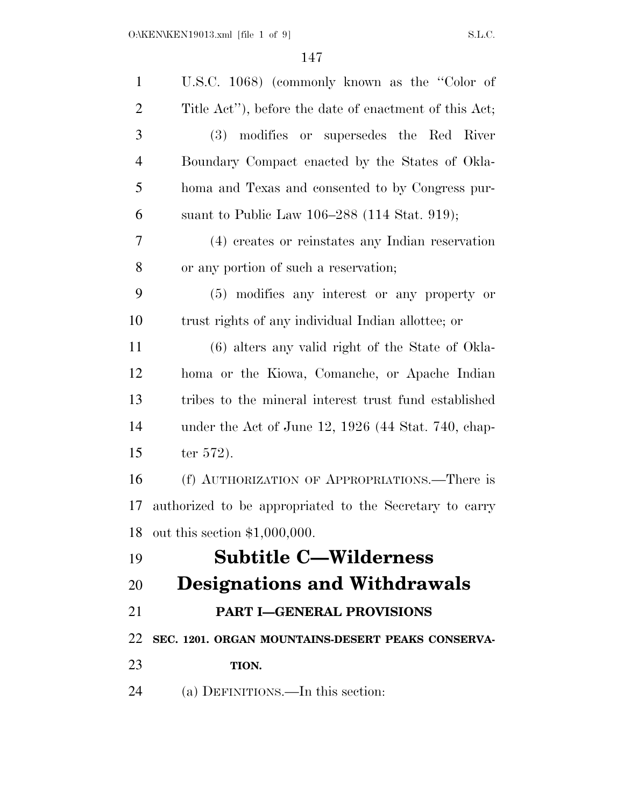| $\mathbf{1}$   | U.S.C. 1068) (commonly known as the "Color of           |
|----------------|---------------------------------------------------------|
| $\overline{2}$ | Title Act"), before the date of enactment of this Act;  |
| 3              | modifies or supersedes the Red River<br><b>(3)</b>      |
| $\overline{4}$ | Boundary Compact enacted by the States of Okla-         |
| 5              | homa and Texas and consented to by Congress pur-        |
| 6              | suant to Public Law 106–288 (114 Stat. 919);            |
| 7              | (4) creates or reinstates any Indian reservation        |
| 8              | or any portion of such a reservation;                   |
| 9              | (5) modifies any interest or any property or            |
| 10             | trust rights of any individual Indian allottee; or      |
| 11             | (6) alters any valid right of the State of Okla-        |
| 12             | homa or the Kiowa, Comanche, or Apache Indian           |
| 13             | tribes to the mineral interest trust fund established   |
| 14             | under the Act of June $12, 1926$ (44 Stat. 740, chap-   |
| 15             | ter $572$ ).                                            |
| 16             | (f) AUTHORIZATION OF APPROPRIATIONS.—There is           |
| 17             | authorized to be appropriated to the Secretary to carry |
| 18             | out this section $$1,000,000$ .                         |
| 19             | <b>Subtitle C-Wilderness</b>                            |
| 20             | <b>Designations and Withdrawals</b>                     |
| 21             | <b>PART I-GENERAL PROVISIONS</b>                        |
| 22             | SEC. 1201. ORGAN MOUNTAINS-DESERT PEAKS CONSERVA-       |
| 23             | TION.                                                   |
| 24             | (a) DEFINITIONS.—In this section:                       |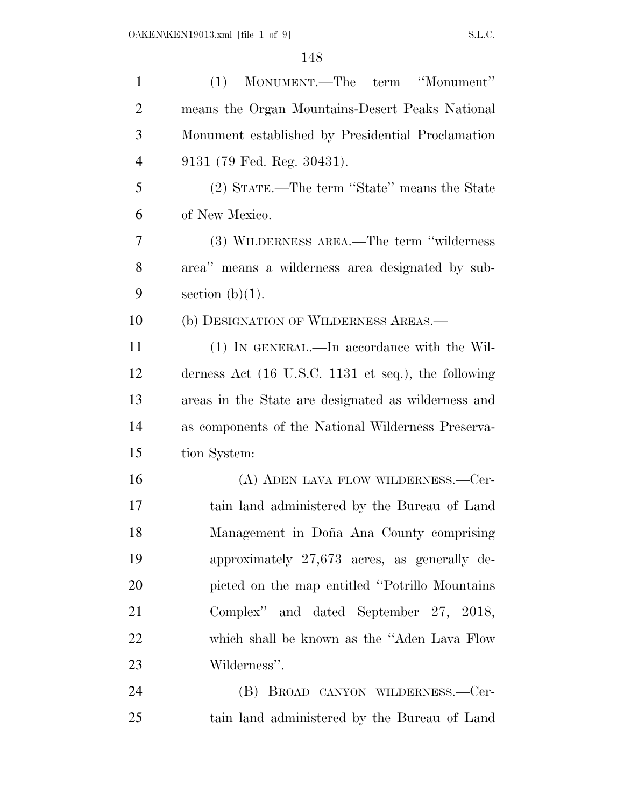| $\mathbf{1}$   | MONUMENT.—The term "Monument"<br>(1)                                   |
|----------------|------------------------------------------------------------------------|
| $\overline{2}$ | means the Organ Mountains-Desert Peaks National                        |
| 3              | Monument established by Presidential Proclamation                      |
| $\overline{4}$ | 9131 (79 Fed. Reg. 30431).                                             |
| 5              | (2) STATE.—The term "State" means the State                            |
| 6              | of New Mexico.                                                         |
| 7              | (3) WILDERNESS AREA.—The term "wilderness"                             |
| 8              | area" means a wilderness area designated by sub-                       |
| 9              | section $(b)(1)$ .                                                     |
| 10             | (b) DESIGNATION OF WILDERNESS AREAS.—                                  |
| 11             | (1) IN GENERAL.—In accordance with the Wil-                            |
| 12             | derness Act $(16 \text{ U.S.C. } 1131 \text{ et seq.}),$ the following |
| 13             | areas in the State are designated as wilderness and                    |
| 14             | as components of the National Wilderness Preserva-                     |
| 15             | tion System:                                                           |
| 16             | (A) ADEN LAVA FLOW WILDERNESS.—Cer-                                    |
| 17             | tain land administered by the Bureau of Land                           |
| 18             | Management in Doña Ana County comprising                               |
| 19             | approximately $27,673$ acres, as generally de-                         |
| 20             | picted on the map entitled "Potrillo Mountains"                        |
| 21             | Complex" and dated September 27, 2018,                                 |
| 22             | which shall be known as the "Aden Lava Flow"                           |
| 23             | Wilderness".                                                           |
| 24             | (B) BROAD CANYON WILDERNESS.-Cer-                                      |
| 25             | tain land administered by the Bureau of Land                           |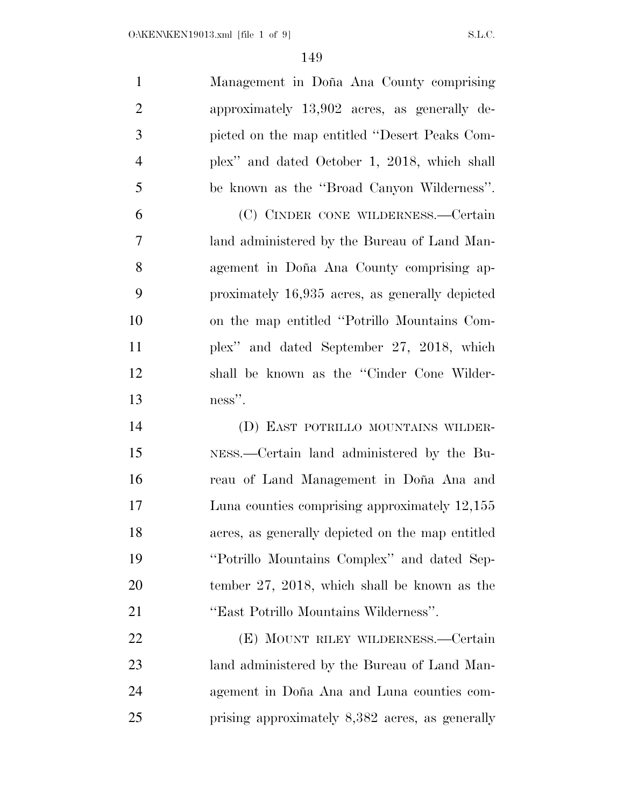| $\mathbf{1}$   | Management in Doña Ana County comprising         |
|----------------|--------------------------------------------------|
| $\overline{2}$ | approximately 13,902 acres, as generally de-     |
| 3              | picted on the map entitled "Desert Peaks Com-    |
| $\overline{4}$ | plex" and dated October 1, 2018, which shall     |
| 5              | be known as the "Broad Canyon Wilderness".       |
| 6              | (C) CINDER CONE WILDERNESS.—Certain              |
| 7              | land administered by the Bureau of Land Man-     |
| 8              | agement in Doña Ana County comprising ap-        |
| 9              | proximately 16,935 acres, as generally depicted  |
| 10             | on the map entitled "Potrillo Mountains Com-     |
| 11             | plex" and dated September 27, 2018, which        |
| 12             | shall be known as the "Cinder Cone Wilder-       |
|                |                                                  |
| 13             | ness".                                           |
| 14             | (D) EAST POTRILLO MOUNTAINS WILDER-              |
| 15             | NESS.—Certain land administered by the Bu-       |
| 16             | reau of Land Management in Doña Ana and          |
| 17             | Luna counties comprising approximately 12,155    |
| 18             | acres, as generally depicted on the map entitled |
| 19             | "Potrillo Mountains Complex" and dated Sep-      |
| 20             | tember $27, 2018$ , which shall be known as the  |
| 21             | "East Potrillo Mountains Wilderness".            |
| 22             | (E) MOUNT RILEY WILDERNESS.—Certain              |
| 23             | land administered by the Bureau of Land Man-     |

prising approximately 8,382 acres, as generally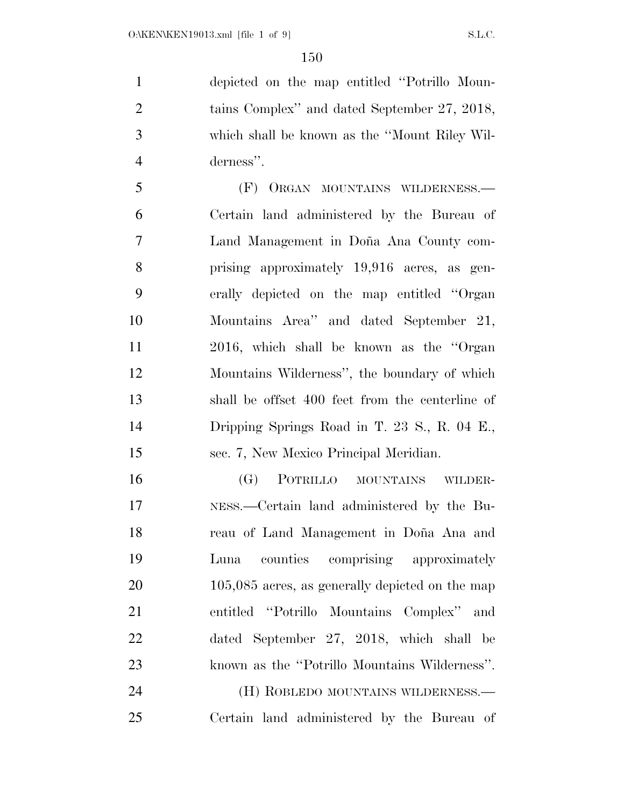depicted on the map entitled ''Potrillo Moun- tains Complex'' and dated September 27, 2018, which shall be known as the ''Mount Riley Wil-derness''.

 (F) ORGAN MOUNTAINS WILDERNESS.— Certain land administered by the Bureau of 7 Land Management in Doña Ana County com- prising approximately 19,916 acres, as gen- erally depicted on the map entitled ''Organ Mountains Area'' and dated September 21, 2016, which shall be known as the ''Organ Mountains Wilderness'', the boundary of which shall be offset 400 feet from the centerline of Dripping Springs Road in T. 23 S., R. 04 E., sec. 7, New Mexico Principal Meridian.

 (G) POTRILLO MOUNTAINS WILDER- NESS.—Certain land administered by the Bu-18 reau of Land Management in Doña Ana and Luna counties comprising approximately 20 105,085 acres, as generally depicted on the map entitled ''Potrillo Mountains Complex'' and dated September 27, 2018, which shall be known as the ''Potrillo Mountains Wilderness''. (H) ROBLEDO MOUNTAINS WILDERNESS.—

Certain land administered by the Bureau of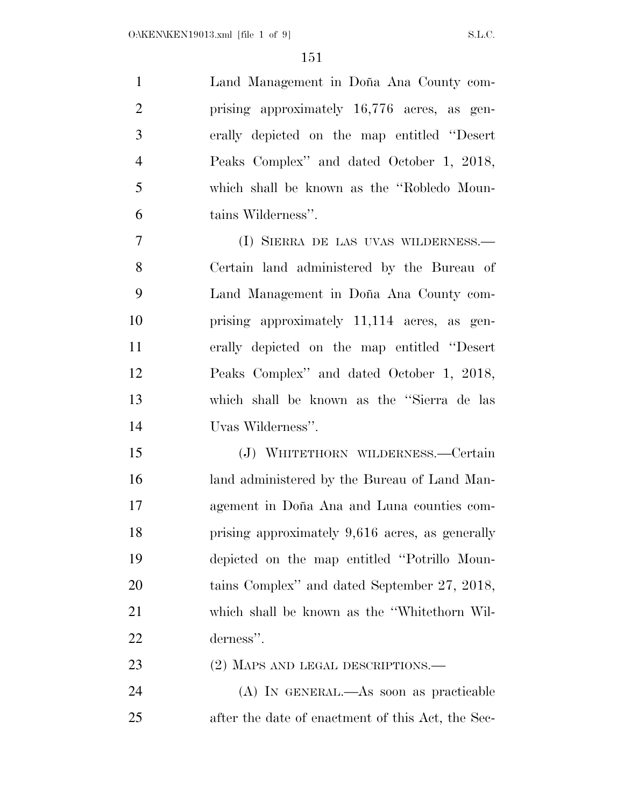| $\mathbf{1}$   | Land Management in Doña Ana County com-      |
|----------------|----------------------------------------------|
| $\overline{2}$ | prising approximately 16,776 acres, as gen-  |
| 3              | erally depicted on the map entitled "Desert" |
| $\overline{4}$ | Peaks Complex" and dated October 1, 2018,    |
| $\overline{5}$ | which shall be known as the "Robledo Moun-   |
| 6              | tains Wilderness".                           |
| $\overline{7}$ | (I) SIERRA DE LAS UVAS WILDERNESS.—          |
| 8              | Certain land administered by the Bureau of   |
| 9              | Land Management in Doña Ana County com-      |

 Land Management in Don˜a Ana County com- prising approximately 11,114 acres, as gen- erally depicted on the map entitled ''Desert Peaks Complex'' and dated October 1, 2018, which shall be known as the ''Sierra de las Uvas Wilderness''.

 (J) WHITETHORN WILDERNESS.—Certain land administered by the Bureau of Land Man-17 agement in Doña Ana and Luna counties com- prising approximately 9,616 acres, as generally depicted on the map entitled ''Potrillo Moun- tains Complex'' and dated September 27, 2018, which shall be known as the ''Whitethorn Wil-derness''.

23 (2) MAPS AND LEGAL DESCRIPTIONS.—

 (A) IN GENERAL.—As soon as practicable after the date of enactment of this Act, the Sec-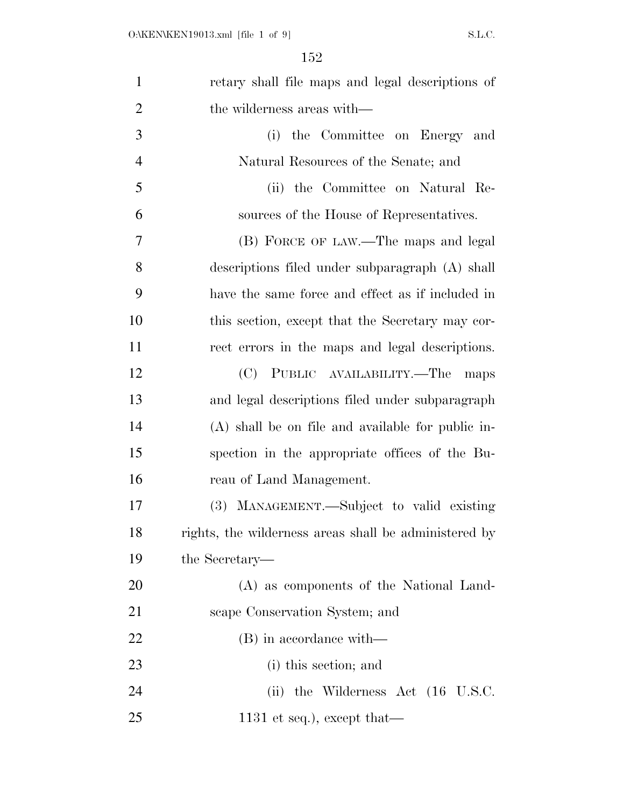| $\mathbf{1}$   | retary shall file maps and legal descriptions of      |
|----------------|-------------------------------------------------------|
| $\overline{2}$ | the wilderness areas with—                            |
| 3              | the Committee on Energy and<br>(i)                    |
| $\overline{4}$ | Natural Resources of the Senate; and                  |
| 5              | (ii) the Committee on Natural Re-                     |
| 6              | sources of the House of Representatives.              |
| 7              | (B) FORCE OF LAW.—The maps and legal                  |
| 8              | descriptions filed under subparagraph (A) shall       |
| 9              | have the same force and effect as if included in      |
| 10             | this section, except that the Secretary may cor-      |
| 11             | rect errors in the maps and legal descriptions.       |
| 12             | (C) PUBLIC AVAILABILITY.—The<br>maps                  |
| 13             | and legal descriptions filed under subparagraph       |
| 14             | (A) shall be on file and available for public in-     |
| 15             | spection in the appropriate offices of the Bu-        |
| 16             | reau of Land Management.                              |
| 17             | (3) MANAGEMENT.—Subject to valid existing             |
| 18             | rights, the wilderness areas shall be administered by |
| 19             | the Secretary—                                        |
| 20             | (A) as components of the National Land-               |
| 21             | scape Conservation System; and                        |
| 22             | (B) in accordance with—                               |
| 23             | (i) this section; and                                 |
| 24             | (ii) the Wilderness Act $(16 \text{ U.S.C.})$         |
| 25             | 1131 et seq.), except that—                           |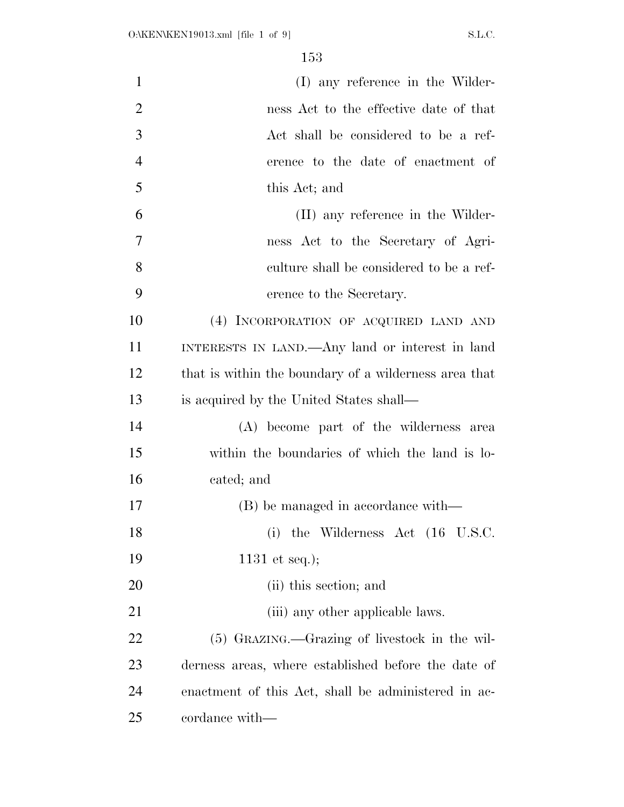| $\mathbf{1}$   | (I) any reference in the Wilder-                      |
|----------------|-------------------------------------------------------|
| $\overline{2}$ | ness Act to the effective date of that                |
| 3              | Act shall be considered to be a ref-                  |
| $\overline{4}$ | erence to the date of enactment of                    |
| 5              | this Act; and                                         |
| 6              | (II) any reference in the Wilder-                     |
| 7              | ness Act to the Secretary of Agri-                    |
| 8              | culture shall be considered to be a ref-              |
| 9              | erence to the Secretary.                              |
| 10             | (4) INCORPORATION OF ACQUIRED LAND AND                |
| 11             | INTERESTS IN LAND.—Any land or interest in land       |
| 12             | that is within the boundary of a wilderness area that |
| 13             | is acquired by the United States shall—               |
| 14             | (A) become part of the wilderness area                |
| 15             | within the boundaries of which the land is lo-        |
| 16             | cated; and                                            |
| 17             | (B) be managed in accordance with—                    |
| 18             | the Wilderness Act (16 U.S.C.<br>(i)                  |
| 19             | 1131 et seq.);                                        |
| 20             | (ii) this section; and                                |
| 21             | (iii) any other applicable laws.                      |
| 22             | (5) GRAZING.—Grazing of livestock in the wil-         |
| 23             | derness areas, where established before the date of   |
| 24             | enactment of this Act, shall be administered in ac-   |
| 25             | cordance with—                                        |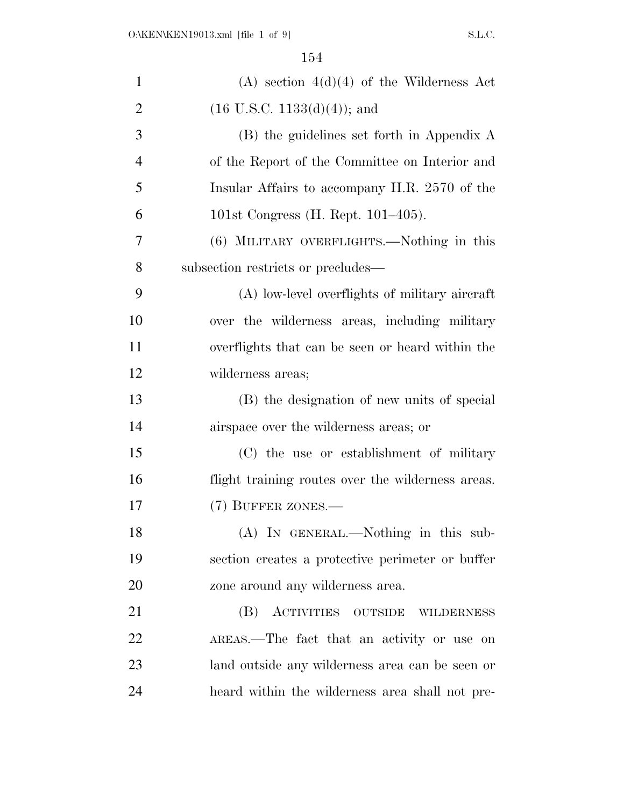| $\mathbf{1}$   | $(A)$ section $4(d)(4)$ of the Wilderness Act     |
|----------------|---------------------------------------------------|
| $\overline{2}$ | $(16 \text{ U.S.C. } 1133(d)(4));$ and            |
| 3              | (B) the guidelines set forth in Appendix A        |
| $\overline{4}$ | of the Report of the Committee on Interior and    |
| 5              | Insular Affairs to accompany H.R. 2570 of the     |
| 6              | 101st Congress (H. Rept. $101-405$ ).             |
| 7              | (6) MILITARY OVERFLIGHTS.—Nothing in this         |
| 8              | subsection restricts or precludes—                |
| 9              | (A) low-level overflights of military aircraft    |
| 10             | over the wilderness areas, including military     |
| 11             | overflights that can be seen or heard within the  |
| 12             | wilderness areas;                                 |
| 13             | (B) the designation of new units of special       |
| 14             | airspace over the wilderness areas; or            |
| 15             | (C) the use or establishment of military          |
| 16             | flight training routes over the wilderness areas. |
| 17             | (7) BUFFER ZONES.—                                |
| 18             | (A) IN GENERAL.—Nothing in this sub-              |
| 19             | section creates a protective perimeter or buffer  |
| 20             | zone around any wilderness area.                  |
| 21             | (B) ACTIVITIES OUTSIDE WILDERNESS                 |
| 22             | AREAS.—The fact that an activity or use on        |
| 23             | land outside any wilderness area can be seen or   |
| 24             | heard within the wilderness area shall not pre-   |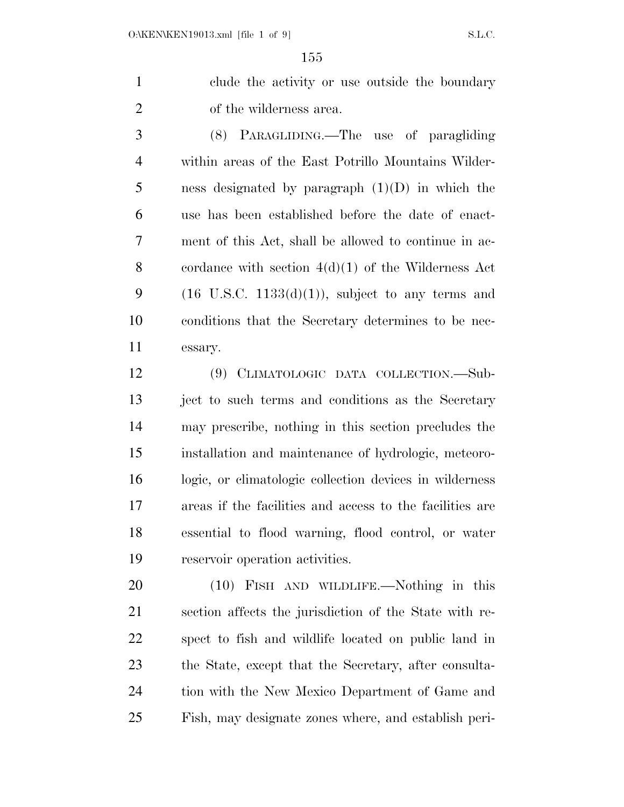clude the activity or use outside the boundary of the wilderness area.

 (8) PARAGLIDING.—The use of paragliding within areas of the East Potrillo Mountains Wilder- ness designated by paragraph (1)(D) in which the use has been established before the date of enact- ment of this Act, shall be allowed to continue in ac- cordance with section 4(d)(1) of the Wilderness Act 9 (16 U.S.C. 1133(d)(1)), subject to any terms and conditions that the Secretary determines to be nec-essary.

 (9) CLIMATOLOGIC DATA COLLECTION.—Sub- ject to such terms and conditions as the Secretary may prescribe, nothing in this section precludes the installation and maintenance of hydrologic, meteoro- logic, or climatologic collection devices in wilderness areas if the facilities and access to the facilities are essential to flood warning, flood control, or water reservoir operation activities.

 (10) FISH AND WILDLIFE.—Nothing in this section affects the jurisdiction of the State with re- spect to fish and wildlife located on public land in the State, except that the Secretary, after consulta- tion with the New Mexico Department of Game and Fish, may designate zones where, and establish peri-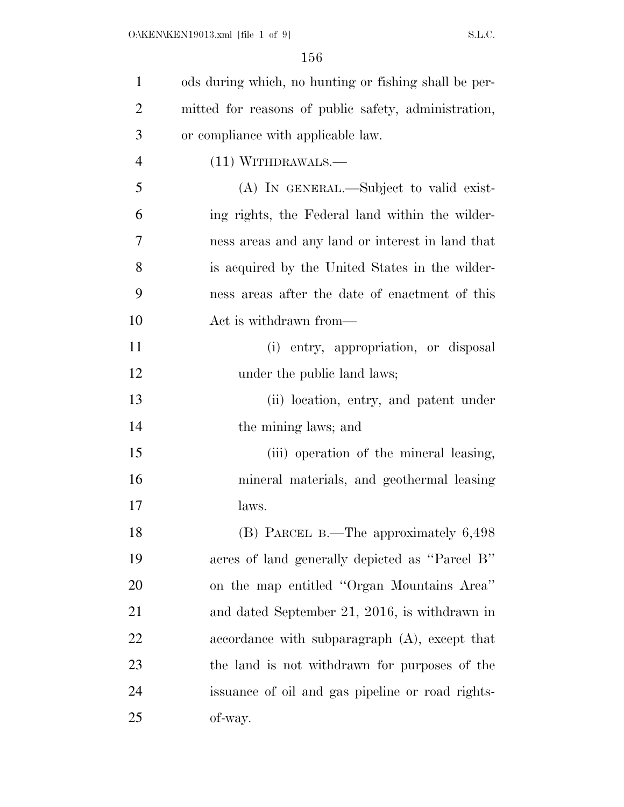| $\mathbf{1}$   | ods during which, no hunting or fishing shall be per- |
|----------------|-------------------------------------------------------|
| $\overline{2}$ | mitted for reasons of public safety, administration,  |
| 3              | or compliance with applicable law.                    |
| $\overline{4}$ | (11) WITHDRAWALS.—                                    |
| 5              | (A) IN GENERAL.—Subject to valid exist-               |
| 6              | ing rights, the Federal land within the wilder-       |
| 7              | ness areas and any land or interest in land that      |
| 8              | is acquired by the United States in the wilder-       |
| 9              | ness areas after the date of enactment of this        |
| 10             | Act is withdrawn from—                                |
| 11             | (i) entry, appropriation, or disposal                 |
| 12             | under the public land laws;                           |
| 13             | (ii) location, entry, and patent under                |
| 14             | the mining laws; and                                  |
| 15             | (iii) operation of the mineral leasing,               |
| 16             | mineral materials, and geothermal leasing             |
| 17             | laws.                                                 |
| 18             | $(B)$ PARCEL B.—The approximately $6,498$             |
| 19             | acres of land generally depicted as "Parcel B"        |
| 20             | on the map entitled "Organ Mountains Area"            |
| 21             | and dated September 21, 2016, is withdrawn in         |
| 22             | accordance with subparagraph (A), except that         |
| 23             | the land is not withdrawn for purposes of the         |
| 24             | issuance of oil and gas pipeline or road rights-      |
| 25             | of-way.                                               |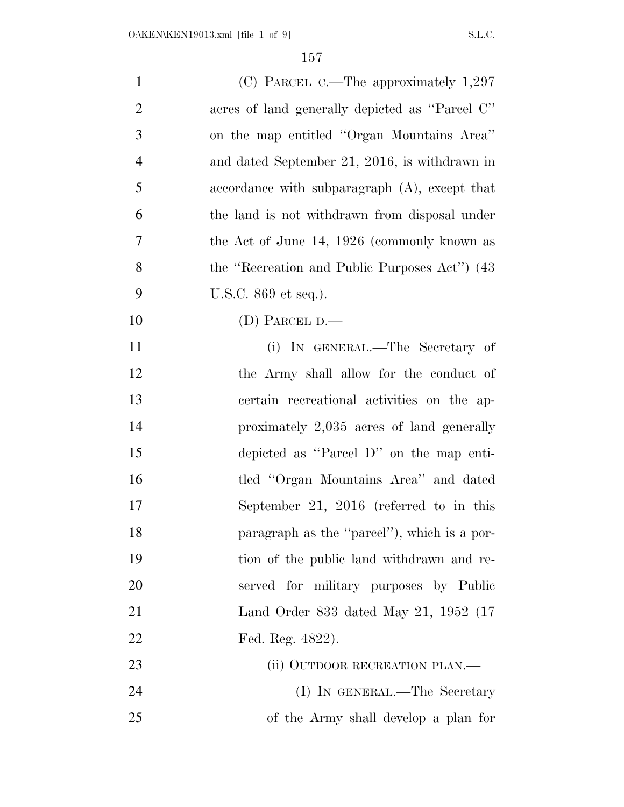| $\mathbf{1}$   | (C) PARCEL C.—The approximately $1,297$          |
|----------------|--------------------------------------------------|
| $\overline{2}$ | acres of land generally depicted as "Parcel C"   |
| 3              | on the map entitled "Organ Mountains Area"       |
| $\overline{4}$ | and dated September 21, 2016, is withdrawn in    |
| 5              | accordance with subparagraph $(A)$ , except that |
| 6              | the land is not withdrawn from disposal under    |
| 7              | the Act of June 14, 1926 (commonly known as      |
| 8              | the "Recreation and Public Purposes Act") (43    |
| 9              | U.S.C. 869 et seq.).                             |
| 10             | (D) PARCEL $D$ .                                 |
| 11             | (i) IN GENERAL.—The Secretary of                 |
| 12             | the Army shall allow for the conduct of          |
| 13             | certain recreational activities on the ap-       |
| 14             | proximately 2,035 acres of land generally        |
| 15             | depicted as "Parcel D" on the map enti-          |
| 16             | tled "Organ Mountains Area" and dated            |
| 17             | September 21, 2016 (referred to in this          |
| 18             | paragraph as the "parcel"), which is a por-      |
| 19             | tion of the public land withdrawn and re-        |
| 20             | served for military purposes by Public           |
| 21             | Land Order 833 dated May 21, 1952 (17            |
| 22             | Fed. Reg. 4822).                                 |
| 23             | (ii) OUTDOOR RECREATION PLAN.—                   |
| 24             | (I) IN GENERAL.—The Secretary                    |
| 25             | of the Army shall develop a plan for             |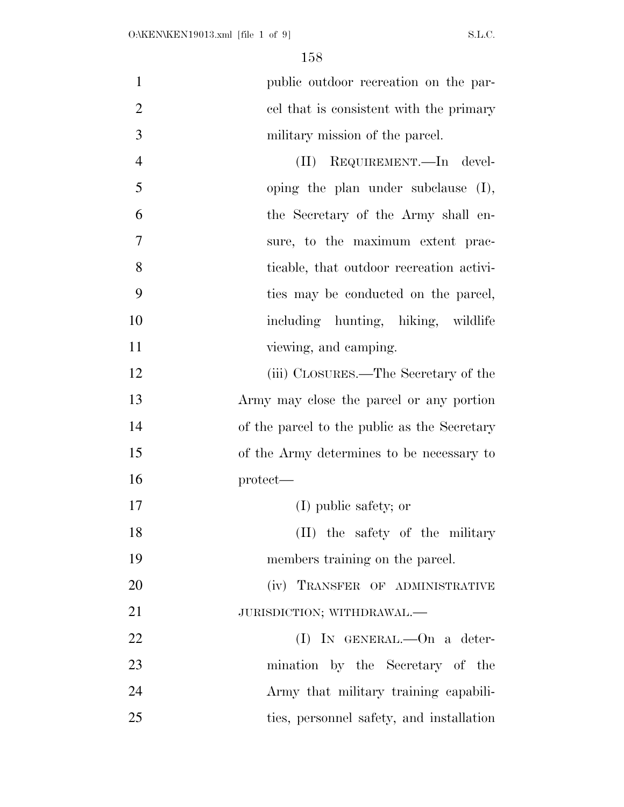| $\mathbf{1}$   | public outdoor recreation on the par-        |
|----------------|----------------------------------------------|
| $\overline{2}$ | cel that is consistent with the primary      |
| 3              | military mission of the parcel.              |
| $\overline{4}$ | REQUIREMENT. In devel-<br>$(\Pi)$            |
| 5              | oping the plan under subclause $(I)$ ,       |
| 6              | the Secretary of the Army shall en-          |
| 7              | sure, to the maximum extent prac-            |
| 8              | ticable, that outdoor recreation activi-     |
| 9              | ties may be conducted on the parcel,         |
| 10             | including hunting, hiking, wildlife          |
| 11             | viewing, and camping.                        |
| 12             | (iii) CLOSURES.—The Secretary of the         |
| 13             | Army may close the parcel or any portion     |
| 14             | of the parcel to the public as the Secretary |
| 15             | of the Army determines to be necessary to    |
| 16             | $protect$ —                                  |
| 17             | (I) public safety; or                        |
| 18             | (II) the safety of the military              |
| 19             | members training on the parcel.              |
| 20             | (iv) TRANSFER OF ADMINISTRATIVE              |
| 21             | JURISDICTION; WITHDRAWAL.-                   |
| 22             | $(I)$ IN GENERAL.—On a deter-                |
| 23             | mination by the Secretary of the             |
| 24             | Army that military training capabili-        |
| 25             | ties, personnel safety, and installation     |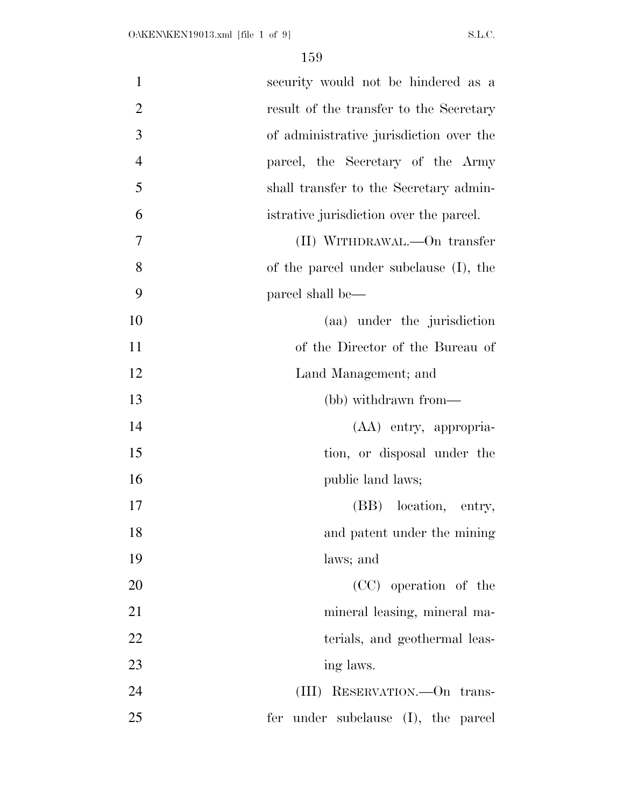| $\mathbf{1}$   | security would not be hindered as a     |
|----------------|-----------------------------------------|
| $\overline{2}$ | result of the transfer to the Secretary |
| 3              | of administrative jurisdiction over the |
| $\overline{4}$ | parcel, the Secretary of the Army       |
| 5              | shall transfer to the Secretary admin-  |
| 6              | istrative jurisdiction over the parcel. |
| 7              | (II) WITHDRAWAL.—On transfer            |
| 8              | of the parcel under subclause (I), the  |
| 9              | parcel shall be—                        |
| 10             | (aa) under the jurisdiction             |
| 11             | of the Director of the Bureau of        |
| 12             | Land Management; and                    |
| 13             | (bb) withdrawn from—                    |
| 14             | (AA) entry, appropria-                  |
| 15             | tion, or disposal under the             |
| 16             | public land laws;                       |
| 17             | location, entry,<br>(BB)                |
| 18             | and patent under the mining             |
| 19             | laws; and                               |
| 20             | (CC) operation of the                   |
| 21             | mineral leasing, mineral ma-            |
| 22             | terials, and geothermal leas-           |
| 23             | ing laws.                               |
| 24             | (III) RESERVATION.—On trans-            |
| 25             | fer under subclause (I), the parcel     |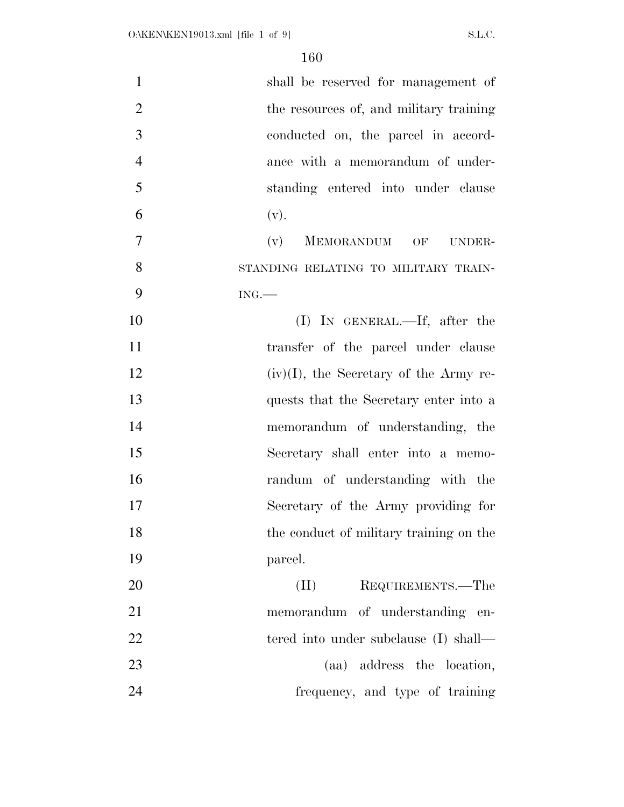| $\mathbf{1}$   | shall be reserved for management of       |
|----------------|-------------------------------------------|
| $\overline{2}$ | the resources of, and military training   |
| 3              | conducted on, the parcel in accord-       |
| $\overline{4}$ | ance with a memorandum of under-          |
| 5              | standing entered into under clause        |
| 6              | (v).                                      |
| $\overline{7}$ | MEMORANDUM OF<br>(v)<br>UNDER-            |
| 8              | STANDING RELATING TO MILITARY TRAIN-      |
| 9              | ING.                                      |
| 10             | $(I)$ IN GENERAL.—If, after the           |
| 11             | transfer of the parcel under clause       |
| 12             | $(iv)(I)$ , the Secretary of the Army re- |
| 13             | quests that the Secretary enter into a    |
| 14             | memorandum of understanding, the          |
| 15             | Secretary shall enter into a memo-        |
| 16             | randum of understanding with the          |
| 17             | Secretary of the Army providing for       |
| 18             | the conduct of military training on the   |
| 19             | parcel.                                   |
| 20             | (II)<br>REQUIREMENTS.-The                 |
| 21             | memorandum of understanding en-           |
| 22             | tered into under subclause (I) shall—     |
| 23             | (aa) address the location,                |
| 24             | frequency, and type of training           |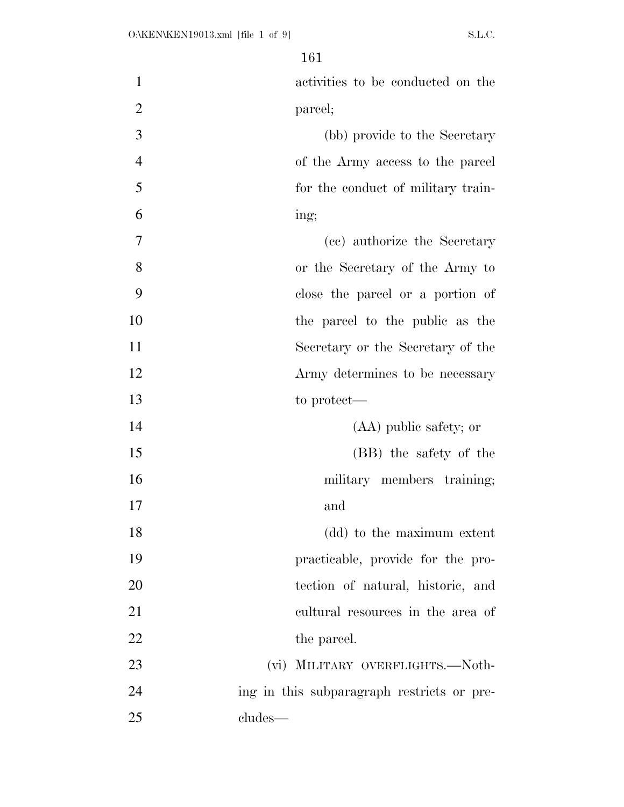| $\mathbf{1}$   | activities to be conducted on the          |
|----------------|--------------------------------------------|
| $\overline{2}$ | parcel;                                    |
| 3              | (bb) provide to the Secretary              |
| $\overline{4}$ | of the Army access to the parcel           |
| 5              | for the conduct of military train-         |
| 6              | ing;                                       |
| 7              | (cc) authorize the Secretary               |
| 8              | or the Secretary of the Army to            |
| 9              | close the parcel or a portion of           |
| 10             | the parcel to the public as the            |
| 11             | Secretary or the Secretary of the          |
| 12             | Army determines to be necessary            |
| 13             | to protect—                                |
| 14             | (AA) public safety; or                     |
| 15             | (BB) the safety of the                     |
| 16             | military members training;                 |
| 17             | and                                        |
| 18             | (dd) to the maximum extent                 |
| 19             | practicable, provide for the pro-          |
| 20             | tection of natural, historic, and          |
| 21             | cultural resources in the area of          |
| 22             | the parcel.                                |
| 23             | (vi) MILITARY OVERFLIGHTS.—Noth-           |
| 24             | ing in this subparagraph restricts or pre- |
| 25             | cludes—                                    |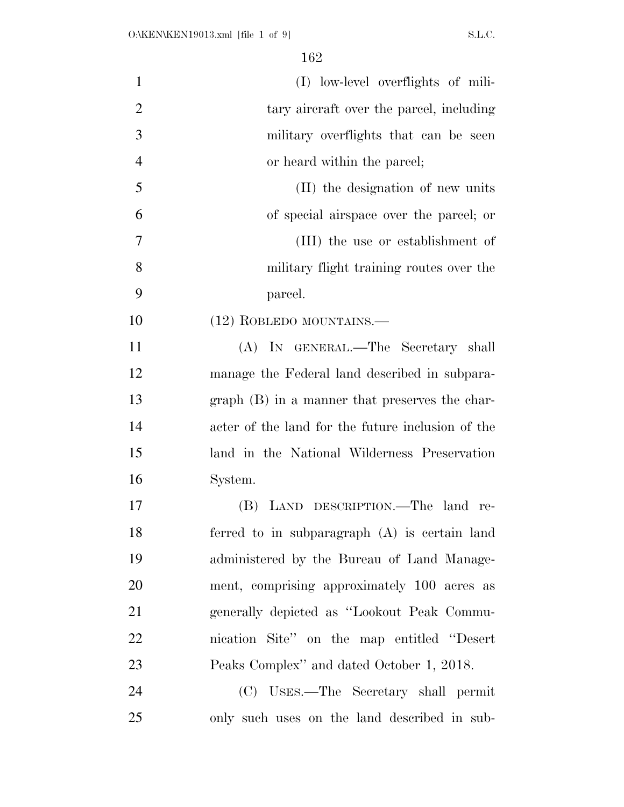| $\mathbf{1}$   | (I) low-level overflights of mili-                |
|----------------|---------------------------------------------------|
| $\overline{2}$ | tary aircraft over the parcel, including          |
| 3              | military overflights that can be seen             |
| $\overline{4}$ | or heard within the parcel;                       |
| 5              | (II) the designation of new units                 |
| 6              | of special airspace over the parcel; or           |
| $\tau$         | (III) the use or establishment of                 |
| 8              | military flight training routes over the          |
| 9              | parcel.                                           |
| 10             | $(12)$ ROBLEDO MOUNTAINS.                         |
| 11             | (A) IN GENERAL.—The Secretary shall               |
| 12             | manage the Federal land described in subpara-     |
| 13             | $graph(B)$ in a manner that preserves the char-   |
| 14             | acter of the land for the future inclusion of the |
| 15             | land in the National Wilderness Preservation      |
| 16             | System.                                           |
| 17             | (B) LAND DESCRIPTION.—The land re-                |
| 18             | ferred to in subparagraph (A) is certain land     |
| 19             | administered by the Bureau of Land Manage-        |
| 20             | ment, comprising approximately 100 acres as       |
| 21             | generally depicted as "Lookout Peak Commu-        |
| 22             | nication Site" on the map entitled "Desert"       |
| 23             | Peaks Complex" and dated October 1, 2018.         |
| 24             | (C) USES.—The Secretary shall permit              |
| 25             | only such uses on the land described in sub-      |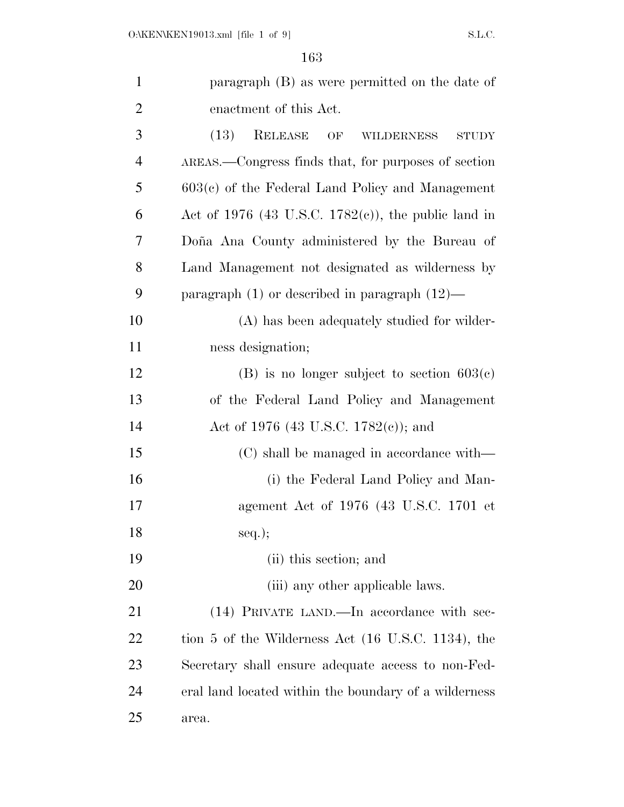| $\mathbf{1}$   | paragraph (B) as were permitted on the date of             |
|----------------|------------------------------------------------------------|
| $\overline{2}$ | enactment of this Act.                                     |
| 3              | (13)<br>RELEASE<br>OF<br><b>WILDERNESS</b><br><b>STUDY</b> |
| $\overline{4}$ | AREAS.—Congress finds that, for purposes of section        |
| 5              | $603(c)$ of the Federal Land Policy and Management         |
| 6              | Act of 1976 (43 U.S.C. 1782 $(e)$ ), the public land in    |
| 7              | Doña Ana County administered by the Bureau of              |
| 8              | Land Management not designated as wilderness by            |
| 9              | paragraph $(1)$ or described in paragraph $(12)$ —         |
| 10             | (A) has been adequately studied for wilder-                |
| 11             | ness designation;                                          |
| 12             | (B) is no longer subject to section $603(c)$               |
| 13             | of the Federal Land Policy and Management                  |
| 14             | Act of 1976 (43 U.S.C. 1782(c)); and                       |
| 15             | (C) shall be managed in accordance with—                   |
| 16             | (i) the Federal Land Policy and Man-                       |
| 17             | agement Act of 1976 (43 U.S.C. 1701 et                     |
| 18             | $seq.$ ;                                                   |
| 19             | (ii) this section; and                                     |
| 20             | (iii) any other applicable laws.                           |
| 21             | (14) PRIVATE LAND.—In accordance with sec-                 |
| <u>22</u>      | tion 5 of the Wilderness Act (16 U.S.C. 1134), the         |
| 23             | Secretary shall ensure adequate access to non-Fed-         |
| 24             | eral land located within the boundary of a wilderness      |
| 25             | area.                                                      |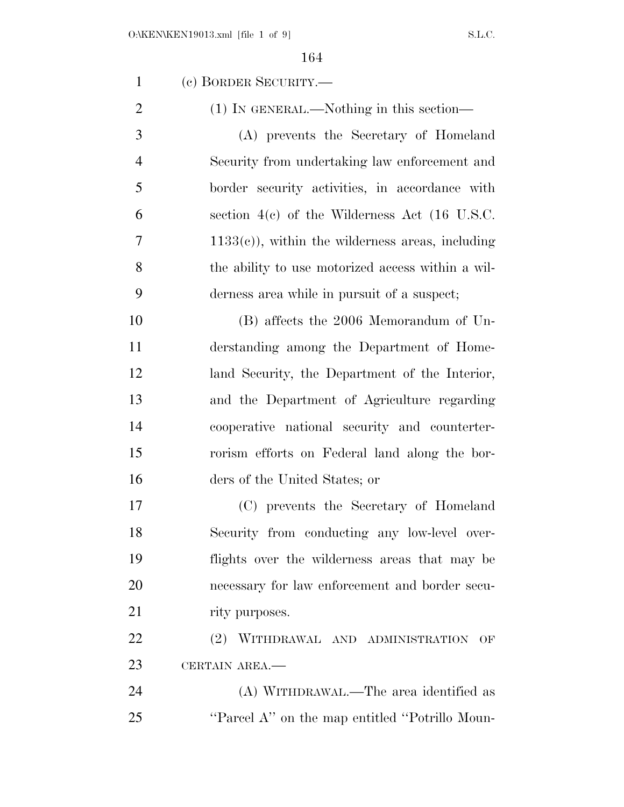O:\KEN\KEN19013.xml [file 1 of 9] S.L.C. (c) BORDER SECURITY.— 2 (1) IN GENERAL.—Nothing in this section— (A) prevents the Secretary of Homeland Security from undertaking law enforcement and border security activities, in accordance with section 4(c) of the Wilderness Act (16 U.S.C.  $7 \t1133(e)$ , within the wilderness areas, including the ability to use motorized access within a wil- derness area while in pursuit of a suspect; (B) affects the 2006 Memorandum of Un- derstanding among the Department of Home- land Security, the Department of the Interior, and the Department of Agriculture regarding cooperative national security and counterter- rorism efforts on Federal land along the bor- ders of the United States; or (C) prevents the Secretary of Homeland Security from conducting any low-level over- flights over the wilderness areas that may be necessary for law enforcement and border secu-21 rity purposes. (2) WITHDRAWAL AND ADMINISTRATION OF CERTAIN AREA.— (A) WITHDRAWAL.—The area identified as

25 "Parcel A" on the map entitled "Potrillo Moun-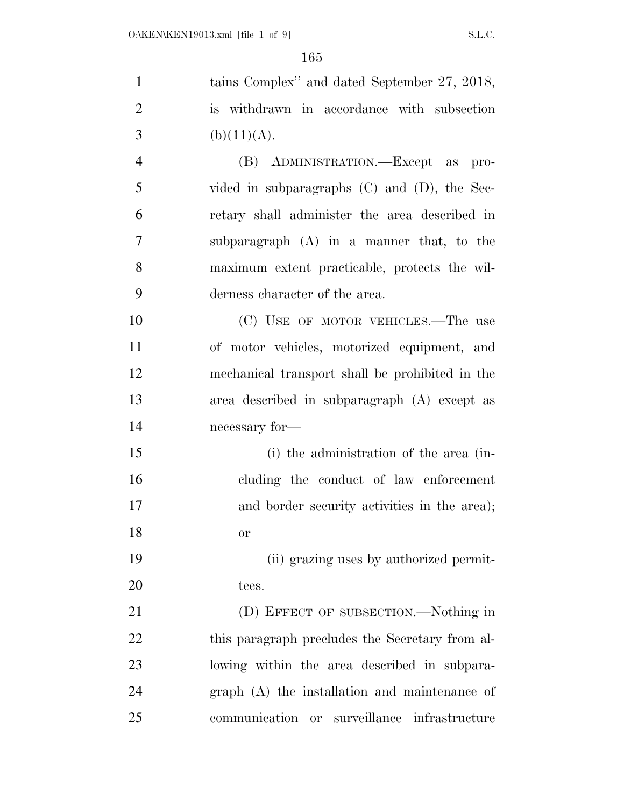| $\mathbf{1}$   | tains Complex" and dated September 27, 2018,      |
|----------------|---------------------------------------------------|
| $\overline{2}$ | is withdrawn in accordance with subsection        |
| 3              | (b)(11)(A).                                       |
| $\overline{4}$ | (B) ADMINISTRATION.—Except as pro-                |
| 5              | vided in subparagraphs $(C)$ and $(D)$ , the Sec- |
| 6              | retary shall administer the area described in     |
| $\overline{7}$ | subparagraph (A) in a manner that, to the         |
| 8              | maximum extent practicable, protects the wil-     |
| 9              | derness character of the area.                    |
| 10             | (C) USE OF MOTOR VEHICLES.—The use                |
| 11             | of motor vehicles, motorized equipment, and       |
| 12             | mechanical transport shall be prohibited in the   |
| 13             | area described in subparagraph (A) except as      |
| 14             | necessary for-                                    |
| 15             | (i) the administration of the area (in-           |
| 16             | cluding the conduct of law enforcement            |
| 17             | and border security activities in the area);      |
| 18             | <b>or</b>                                         |
| 19             | (ii) grazing uses by authorized permit-           |
| 20             | tees.                                             |
| 21             | (D) EFFECT OF SUBSECTION.—Nothing in              |
| 22             | this paragraph precludes the Secretary from al-   |
| 23             | lowing within the area described in subpara-      |
| 24             | graph (A) the installation and maintenance of     |
| 25             | communication<br>or surveillance infrastructure   |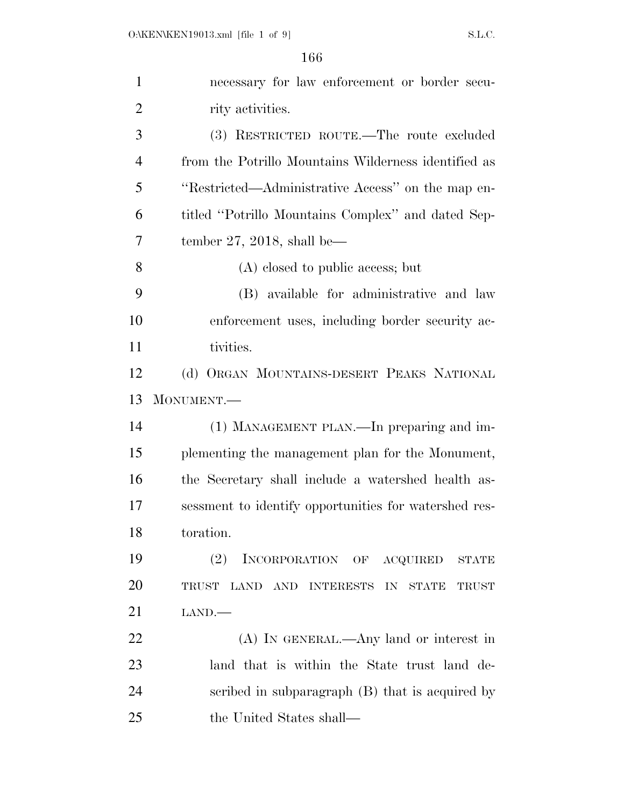| $\mathbf{1}$   | necessary for law enforcement or border secu-         |
|----------------|-------------------------------------------------------|
| $\overline{2}$ | rity activities.                                      |
| 3              | (3) RESTRICTED ROUTE.—The route excluded              |
| $\overline{4}$ | from the Potrillo Mountains Wilderness identified as  |
| 5              | "Restricted—Administrative Access" on the map en-     |
| 6              | titled "Potrillo Mountains Complex" and dated Sep-    |
| 7              | tember 27, 2018, shall be—                            |
| 8              | (A) closed to public access; but                      |
| 9              | (B) available for administrative and law              |
| 10             | enforcement uses, including border security ac-       |
| 11             | tivities.                                             |
| 12             | (d) ORGAN MOUNTAINS-DESERT PEAKS NATIONAL             |
| 13             | MONUMENT.-                                            |
| 14             | (1) MANAGEMENT PLAN.—In preparing and im-             |
| 15             | plementing the management plan for the Monument,      |
| 16             | the Secretary shall include a watershed health as-    |
| 17             | sessment to identify opportunities for watershed res- |
| 18             | toration.                                             |
| 19             | (2)<br>INCORPORATION OF ACQUIRED STATE                |
| 20             | TRUST LAND AND INTERESTS IN<br>STATE<br>TRUST         |
| 21             | LAND.                                                 |
| 22             | (A) IN GENERAL.—Any land or interest in               |
| 23             | land that is within the State trust land de-          |
| 24             | scribed in subparagraph (B) that is acquired by       |
| 25             | the United States shall—                              |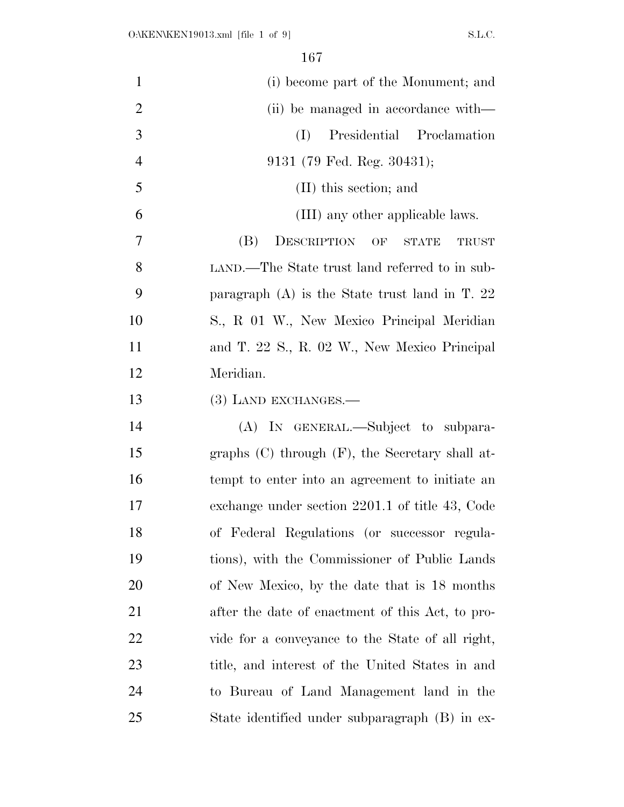| $\mathbf{1}$   | (i) become part of the Monument; and                  |
|----------------|-------------------------------------------------------|
| $\overline{2}$ | (ii) be managed in accordance with—                   |
| 3              | Presidential Proclamation<br>(I)                      |
| $\overline{4}$ | $9131$ (79 Fed. Reg. 30431);                          |
| 5              | (II) this section; and                                |
| 6              | (III) any other applicable laws.                      |
| 7              | (B)<br>DESCRIPTION OF<br><b>STATE</b><br><b>TRUST</b> |
| 8              | LAND.—The State trust land referred to in sub-        |
| 9              | paragraph $(A)$ is the State trust land in T. 22      |
| 10             | S., R 01 W., New Mexico Principal Meridian            |
| 11             | and T. 22 S., R. 02 W., New Mexico Principal          |
| 12             | Meridian.                                             |
| 13             | (3) LAND EXCHANGES.—                                  |
| 14             | (A) IN GENERAL.—Subject to subpara-                   |
| 15             | graphs $(C)$ through $(F)$ , the Secretary shall at-  |
| 16             | tempt to enter into an agreement to initiate an       |
| 17             | exchange under section 2201.1 of title 43, Code       |
| 18             | of Federal Regulations (or successor regula-          |
| 19             | tions), with the Commissioner of Public Lands         |
| 20             | of New Mexico, by the date that is 18 months          |
| 21             | after the date of enactment of this Act, to pro-      |
| 22             | vide for a conveyance to the State of all right,      |
| 23             | title, and interest of the United States in and       |
| 24             | to Bureau of Land Management land in the              |
| 25             | State identified under subparagraph (B) in ex-        |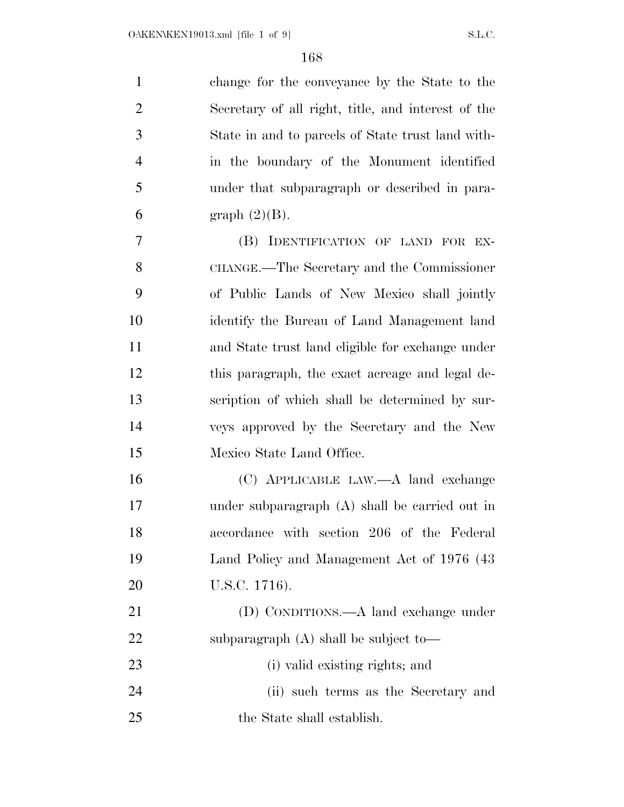| $\mathbf{1}$   | change for the conveyance by the State to the      |
|----------------|----------------------------------------------------|
| $\overline{2}$ | Secretary of all right, title, and interest of the |
| 3              | State in and to parcels of State trust land with-  |
| $\overline{4}$ | in the boundary of the Monument identified         |
| 5              | under that subparagraph or described in para-      |
| 6              | graph $(2)(B)$ .                                   |
| 7              | (B) IDENTIFICATION OF LAND FOR EX-                 |
| 8              | CHANGE.—The Secretary and the Commissioner         |
| 9              | of Public Lands of New Mexico shall jointly        |
| 10             | identify the Bureau of Land Management land        |
| 11             | and State trust land eligible for exchange under   |
| 12             | this paragraph, the exact acreage and legal de-    |
| 13             | scription of which shall be determined by sur-     |
| 14             | veys approved by the Secretary and the New         |
| 15             | Mexico State Land Office.                          |
| 16             | (C) APPLICABLE LAW.—A land exchange                |
| 17             | under subparagraph (A) shall be carried out in     |
| 18             | accordance with section 206 of the Federal         |
| 19             | Land Policy and Management Act of 1976 (43)        |
| 20             | U.S.C. 1716).                                      |
| 21             | (D) CONDITIONS.—A land exchange under              |
| 22             | subparagraph $(A)$ shall be subject to-            |
| 23             | (i) valid existing rights; and                     |
| 24             | (ii) such terms as the Secretary and               |
|                |                                                    |

the State shall establish.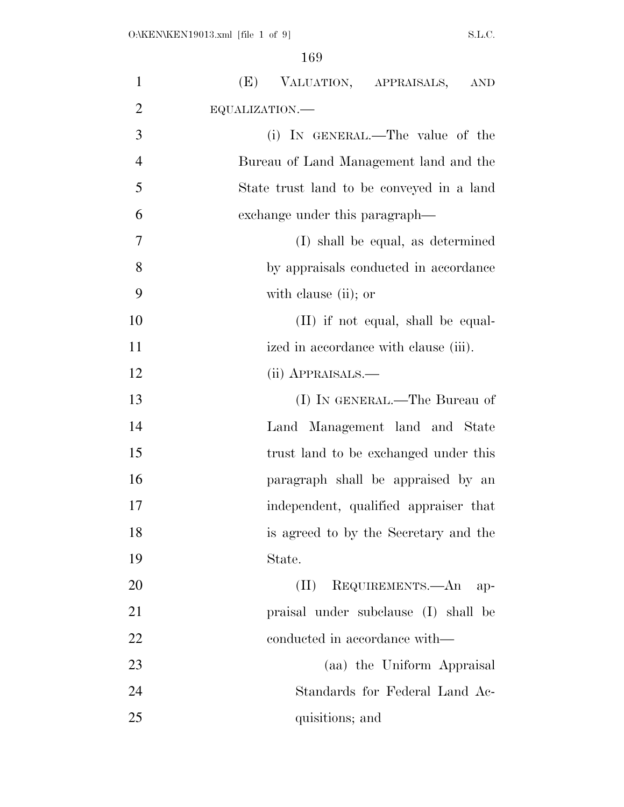| $\mathbf{1}$   | (E) VALUATION, APPRAISALS, AND            |
|----------------|-------------------------------------------|
| $\overline{2}$ | EQUALIZATION.-                            |
| 3              | (i) IN GENERAL.—The value of the          |
| $\overline{4}$ | Bureau of Land Management land and the    |
| 5              | State trust land to be conveyed in a land |
| 6              | exchange under this paragraph—            |
| 7              | (I) shall be equal, as determined         |
| 8              | by appraisals conducted in accordance     |
| 9              | with clause (ii); or                      |
| 10             | $(II)$ if not equal, shall be equal-      |
| 11             | ized in accordance with clause (iii).     |
| 12             | (ii) APPRAISALS.—                         |
| 13             | (I) IN GENERAL.—The Bureau of             |
| 14             | Land Management land and State            |
| 15             | trust land to be exchanged under this     |
| 16             | paragraph shall be appraised by an        |
| 17             | independent, qualified appraiser that     |
| 18             | is agreed to by the Secretary and the     |
| 19             | State.                                    |
| 20             | REQUIREMENTS.—An<br>(II)<br>-ap-          |
| 21             | praisal under subclause (I) shall be      |
| 22             | conducted in accordance with—             |
| 23             | (aa) the Uniform Appraisal                |
| 24             | Standards for Federal Land Ac-            |
| 25             | quisitions; and                           |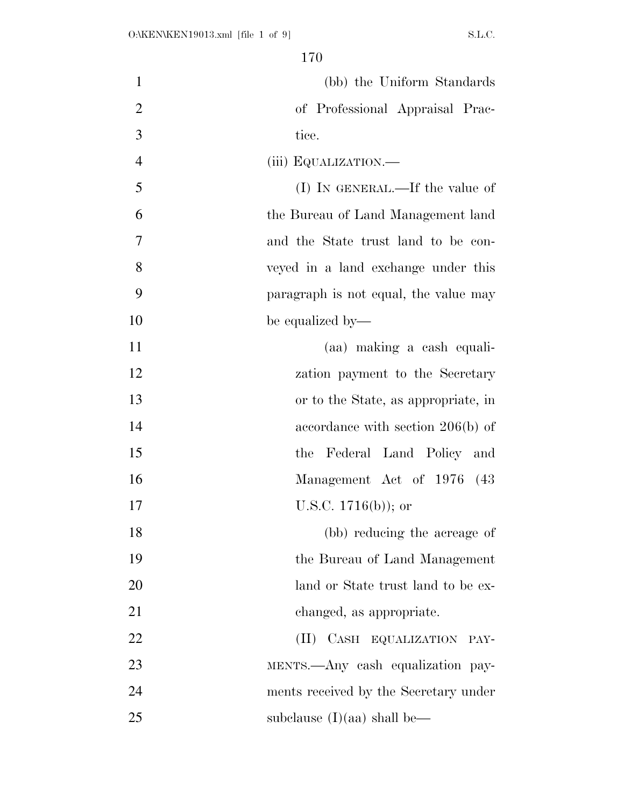| $\mathbf{1}$   | (bb) the Uniform Standards            |
|----------------|---------------------------------------|
| $\overline{2}$ | of Professional Appraisal Prac-       |
| 3              | tice.                                 |
| $\overline{4}$ | (iii) EQUALIZATION.—                  |
| 5              | (I) IN GENERAL.—If the value of       |
| 6              | the Bureau of Land Management land    |
| 7              | and the State trust land to be con-   |
| 8              | veyed in a land exchange under this   |
| 9              | paragraph is not equal, the value may |
| 10             | be equalized by—                      |
| 11             | (aa) making a cash equali-            |
| 12             | zation payment to the Secretary       |
| 13             | or to the State, as appropriate, in   |
| 14             | accordance with section $206(b)$ of   |
| 15             | Federal Land Policy and<br>the        |
| 16             | Management Act of 1976 (43            |
| 17             | U.S.C. $1716(b)$ ; or                 |
| 18             | (bb) reducing the acreage of          |
| 19             | the Bureau of Land Management         |
| 20             | land or State trust land to be ex-    |
| 21             | changed, as appropriate.              |
| 22             | (II) CASH EQUALIZATION PAY-           |
| 23             | MENTS.—Any cash equalization pay-     |
| 24             | ments received by the Secretary under |
| 25             | subclause $(I)(aa)$ shall be—         |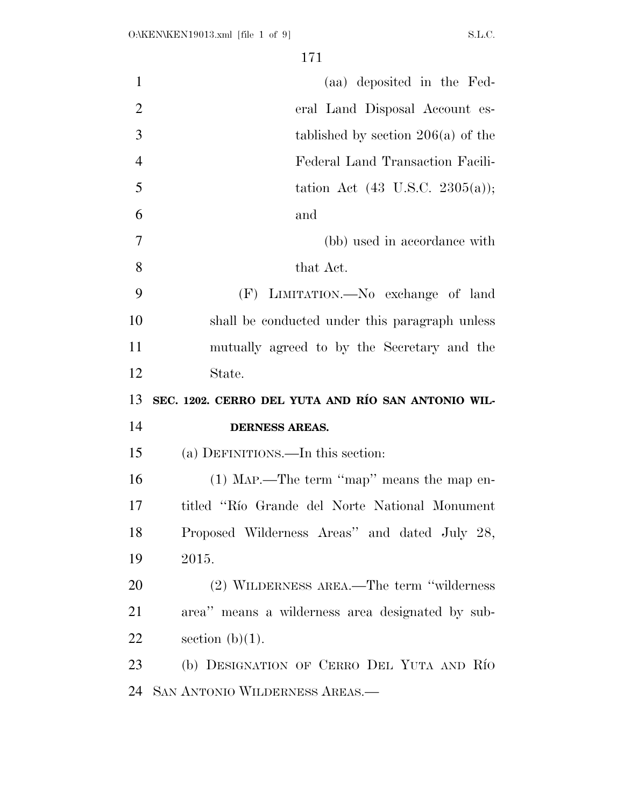| $\mathbf{1}$   | (aa) deposited in the Fed-                         |
|----------------|----------------------------------------------------|
| $\overline{2}$ | eral Land Disposal Account es-                     |
| 3              | tablished by section $206(a)$ of the               |
| $\overline{4}$ | Federal Land Transaction Facili-                   |
| 5              | tation Act $(43 \text{ U.S.C. } 2305(a));$         |
| 6              | and                                                |
| 7              | (bb) used in accordance with                       |
| 8              | that Act.                                          |
| 9              | (F) LIMITATION.—No exchange of land                |
| 10             | shall be conducted under this paragraph unless     |
| 11             | mutually agreed to by the Secretary and the        |
| 12             | State.                                             |
|                |                                                    |
| 13             | SEC. 1202. CERRO DEL YUTA AND RÍO SAN ANTONIO WIL- |
| 14             | <b>DERNESS AREAS.</b>                              |
| 15             | (a) DEFINITIONS.—In this section:                  |
| 16             | $(1)$ MAP.—The term "map" means the map en-        |
| 17             | titled "Río Grande del Norte National Monument"    |
| 18             | Proposed Wilderness Areas" and dated July 28,      |
| 19             | 2015.                                              |
| 20             | (2) WILDERNESS AREA.—The term "wilderness"         |
| 21             | area" means a wilderness area designated by sub-   |
| 22             | section $(b)(1)$ .                                 |
| 23             | (b) DESIGNATION OF CERRO DEL YUTA AND RÍO          |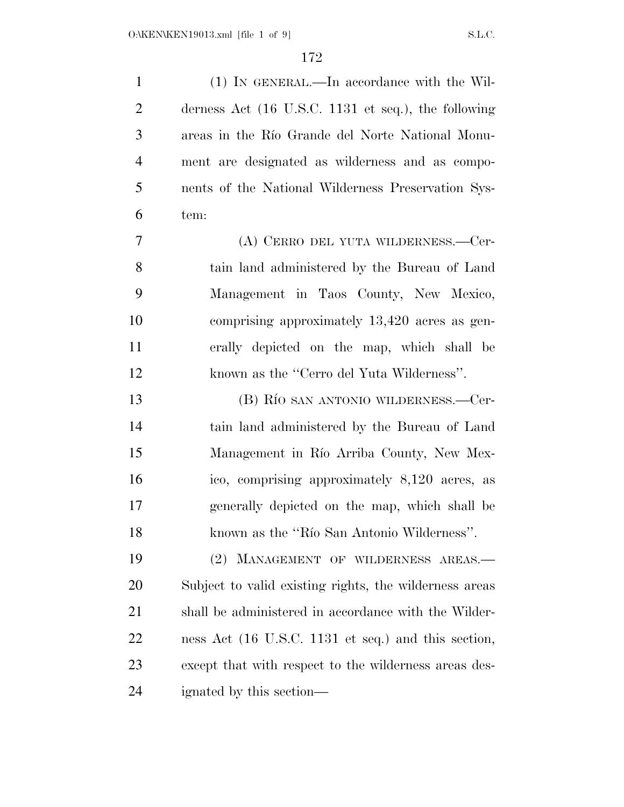(1) IN GENERAL.—In accordance with the Wil- derness Act (16 U.S.C. 1131 et seq.), the following areas in the Rı´o Grande del Norte National Monu- ment are designated as wilderness and as compo- nents of the National Wilderness Preservation Sys- tem: (A) CERRO DEL YUTA WILDERNESS.—Cer- tain land administered by the Bureau of Land Management in Taos County, New Mexico, comprising approximately 13,420 acres as gen- erally depicted on the map, which shall be known as the ''Cerro del Yuta Wilderness''. 13 (B) Río san antonio wilderness.—Cer- tain land administered by the Bureau of Land 15 Management in Río Arriba County, New Mex- ico, comprising approximately 8,120 acres, as generally depicted on the map, which shall be known as the ''Rı´o San Antonio Wilderness''. (2) MANAGEMENT OF WILDERNESS AREAS.— Subject to valid existing rights, the wilderness areas shall be administered in accordance with the Wilder- ness Act (16 U.S.C. 1131 et seq.) and this section, except that with respect to the wilderness areas des-ignated by this section—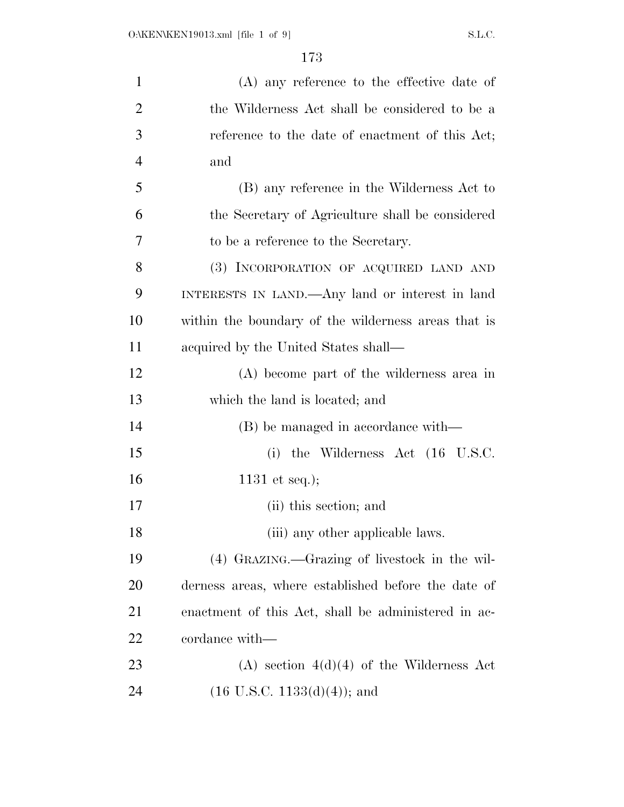| $\mathbf{1}$   | $(A)$ any reference to the effective date of        |
|----------------|-----------------------------------------------------|
| $\overline{2}$ | the Wilderness Act shall be considered to be a      |
| 3              | reference to the date of enactment of this Act;     |
| $\overline{4}$ | and                                                 |
| 5              | (B) any reference in the Wilderness Act to          |
| 6              | the Secretary of Agriculture shall be considered    |
| 7              | to be a reference to the Secretary.                 |
| 8              | (3) INCORPORATION OF ACQUIRED LAND AND              |
| 9              | INTERESTS IN LAND.—Any land or interest in land     |
| 10             | within the boundary of the wilderness areas that is |
| 11             | acquired by the United States shall—                |
| 12             | (A) become part of the wilderness area in           |
| 13             | which the land is located; and                      |
| 14             | (B) be managed in accordance with—                  |
| 15             | (i) the Wilderness Act $(16 \text{ U.S.C.})$        |
| 16             | 1131 et seq.);                                      |
| 17             | (ii) this section; and                              |
| 18             | (iii) any other applicable laws.                    |
| 19             | (4) GRAZING.—Grazing of livestock in the wil-       |
| 20             | derness areas, where established before the date of |
| 21             | enactment of this Act, shall be administered in ac- |
| 22             | cordance with—                                      |
| 23             | $(A)$ section $4(d)(4)$ of the Wilderness Act       |
| 24             | $(16 \text{ U.S.C. } 1133(d)(4));$ and              |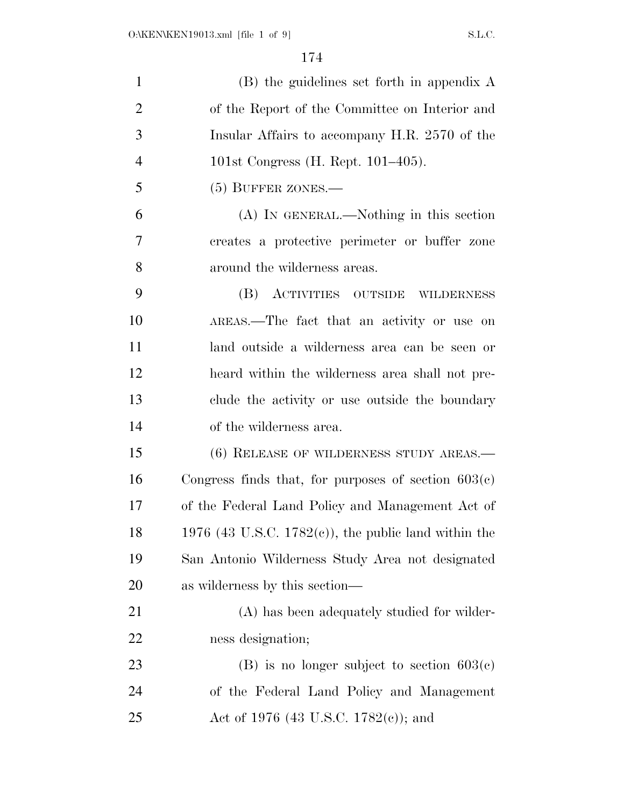| $\mathbf{1}$   | $(B)$ the guidelines set forth in appendix A             |
|----------------|----------------------------------------------------------|
| $\overline{2}$ | of the Report of the Committee on Interior and           |
| 3              | Insular Affairs to accompany H.R. 2570 of the            |
| $\overline{4}$ | 101st Congress (H. Rept. $101-405$ ).                    |
| 5              | $(5)$ BUFFER ZONES.—                                     |
| 6              | (A) IN GENERAL.—Nothing in this section                  |
| 7              | creates a protective perimeter or buffer zone            |
| 8              | around the wilderness areas.                             |
| 9              | (B) ACTIVITIES OUTSIDE WILDERNESS                        |
| 10             | AREAS.—The fact that an activity or use on               |
| 11             | land outside a wilderness area can be seen or            |
| 12             | heard within the wilderness area shall not pre-          |
| 13             | clude the activity or use outside the boundary           |
| 14             | of the wilderness area.                                  |
| 15             | $(6)$ RELEASE OF WILDERNESS STUDY AREAS.—                |
| 16             | Congress finds that, for purposes of section $603(c)$    |
| 17             | of the Federal Land Policy and Management Act of         |
| 18             | 1976 (43 U.S.C. 1782 $(e)$ ), the public land within the |
| 19             | San Antonio Wilderness Study Area not designated         |
| 20             | as wilderness by this section—                           |
| 21             | (A) has been adequately studied for wilder-              |
| 22             | ness designation;                                        |
| 23             | $(B)$ is no longer subject to section $603(c)$           |
| 24             | of the Federal Land Policy and Management                |
| 25             | Act of 1976 (43 U.S.C. 1782(c)); and                     |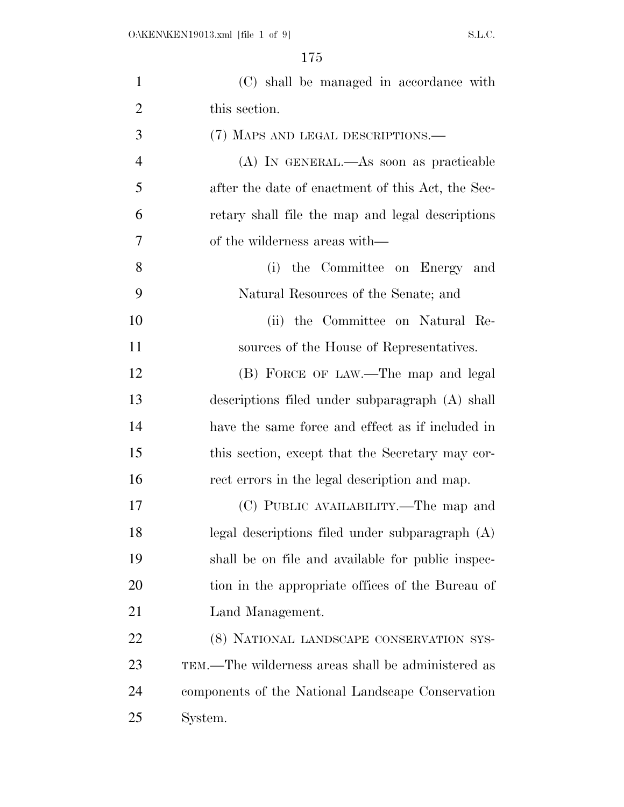| $\mathbf{1}$   | (C) shall be managed in accordance with            |
|----------------|----------------------------------------------------|
| $\overline{2}$ | this section.                                      |
| 3              | (7) MAPS AND LEGAL DESCRIPTIONS.—                  |
| $\overline{4}$ | (A) IN GENERAL.—As soon as practicable             |
| 5              | after the date of enactment of this Act, the Sec-  |
| 6              | retary shall file the map and legal descriptions   |
| 7              | of the wilderness areas with—                      |
| 8              | the Committee on Energy and<br>(i)                 |
| 9              | Natural Resources of the Senate; and               |
| 10             | (ii) the Committee on Natural Re-                  |
| 11             | sources of the House of Representatives.           |
| 12             | (B) FORCE OF LAW.—The map and legal                |
| 13             | descriptions filed under subparagraph (A) shall    |
| 14             | have the same force and effect as if included in   |
| 15             | this section, except that the Secretary may cor-   |
| 16             | rect errors in the legal description and map.      |
| 17             | (C) PUBLIC AVAILABILITY.—The map and               |
| 18             | legal descriptions filed under subparagraph (A)    |
| 19             | shall be on file and available for public inspec-  |
| 20             | tion in the appropriate offices of the Bureau of   |
| 21             | Land Management.                                   |
| 22             | (8) NATIONAL LANDSCAPE CONSERVATION SYS-           |
| 23             | TEM.—The wilderness areas shall be administered as |
| 24             | components of the National Landscape Conservation  |
| 25             | System.                                            |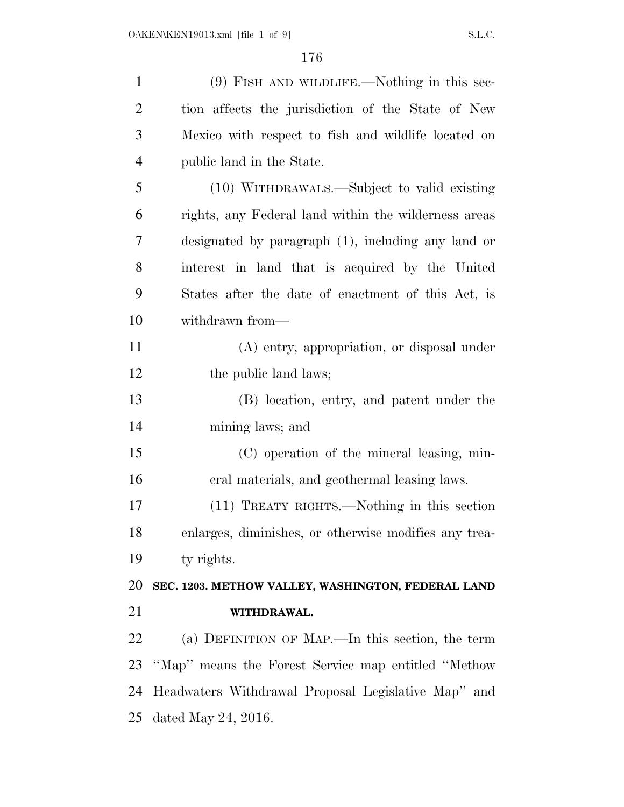| $\mathbf{1}$   | $(9)$ FISH AND WILDLIFE.—Nothing in this sec-         |
|----------------|-------------------------------------------------------|
| $\overline{2}$ | tion affects the jurisdiction of the State of New     |
| 3              | Mexico with respect to fish and wildlife located on   |
| $\overline{4}$ | public land in the State.                             |
| 5              | (10) WITHDRAWALS.—Subject to valid existing           |
| 6              | rights, any Federal land within the wilderness areas  |
| 7              | designated by paragraph (1), including any land or    |
| 8              | interest in land that is acquired by the United       |
| 9              | States after the date of enactment of this Act, is    |
| 10             | withdrawn from—                                       |
| 11             | (A) entry, appropriation, or disposal under           |
| 12             | the public land laws;                                 |
| 13             | (B) location, entry, and patent under the             |
| 14             | mining laws; and                                      |
| 15             | (C) operation of the mineral leasing, min-            |
| 16             | eral materials, and geothermal leasing laws.          |
| 17             | (11) TREATY RIGHTS.—Nothing in this section           |
| 18             | enlarges, diminishes, or otherwise modifies any trea- |
| 19             | ty rights.                                            |
| 20             | SEC. 1203. METHOW VALLEY, WASHINGTON, FEDERAL LAND    |
| 21             | WITHDRAWAL.                                           |
| 22             | (a) DEFINITION OF MAP.—In this section, the term      |
| 23             | "Map" means the Forest Service map entitled "Methow"  |
| 24             | Headwaters Withdrawal Proposal Legislative Map" and   |
| 25             | dated May 24, 2016.                                   |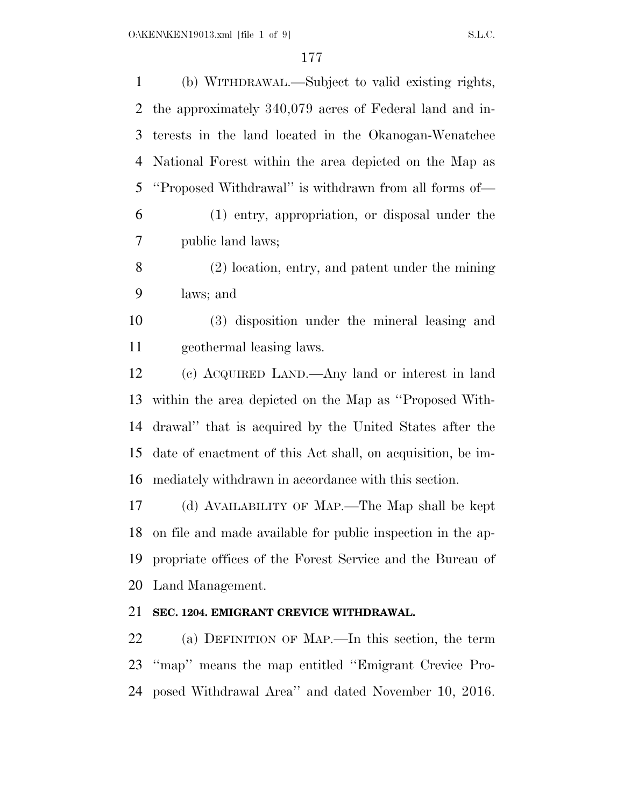(b) WITHDRAWAL.—Subject to valid existing rights, the approximately 340,079 acres of Federal land and in- terests in the land located in the Okanogan-Wenatchee National Forest within the area depicted on the Map as ''Proposed Withdrawal'' is withdrawn from all forms of— (1) entry, appropriation, or disposal under the public land laws; (2) location, entry, and patent under the mining laws; and (3) disposition under the mineral leasing and geothermal leasing laws. (c) ACQUIRED LAND.—Any land or interest in land within the area depicted on the Map as ''Proposed With- drawal'' that is acquired by the United States after the date of enactment of this Act shall, on acquisition, be im- mediately withdrawn in accordance with this section. (d) AVAILABILITY OF MAP.—The Map shall be kept on file and made available for public inspection in the ap- propriate offices of the Forest Service and the Bureau of Land Management. **SEC. 1204. EMIGRANT CREVICE WITHDRAWAL.**  (a) DEFINITION OF MAP.—In this section, the term ''map'' means the map entitled ''Emigrant Crevice Pro-

posed Withdrawal Area'' and dated November 10, 2016.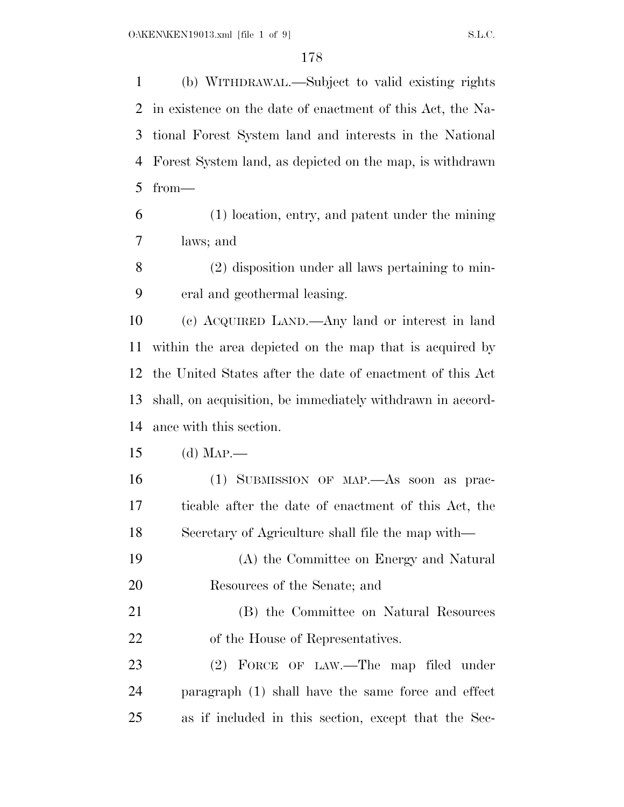(b) WITHDRAWAL.—Subject to valid existing rights in existence on the date of enactment of this Act, the Na- tional Forest System land and interests in the National Forest System land, as depicted on the map, is withdrawn from—

 (1) location, entry, and patent under the mining laws; and

 (2) disposition under all laws pertaining to min-eral and geothermal leasing.

 (c) ACQUIRED LAND.—Any land or interest in land within the area depicted on the map that is acquired by the United States after the date of enactment of this Act shall, on acquisition, be immediately withdrawn in accord-ance with this section.

(d) MAP.—

- (1) SUBMISSION OF MAP.—As soon as prac- ticable after the date of enactment of this Act, the Secretary of Agriculture shall file the map with—
- (A) the Committee on Energy and Natural Resources of the Senate; and
- (B) the Committee on Natural Resources 22 of the House of Representatives.

 (2) FORCE OF LAW.—The map filed under paragraph (1) shall have the same force and effect as if included in this section, except that the Sec-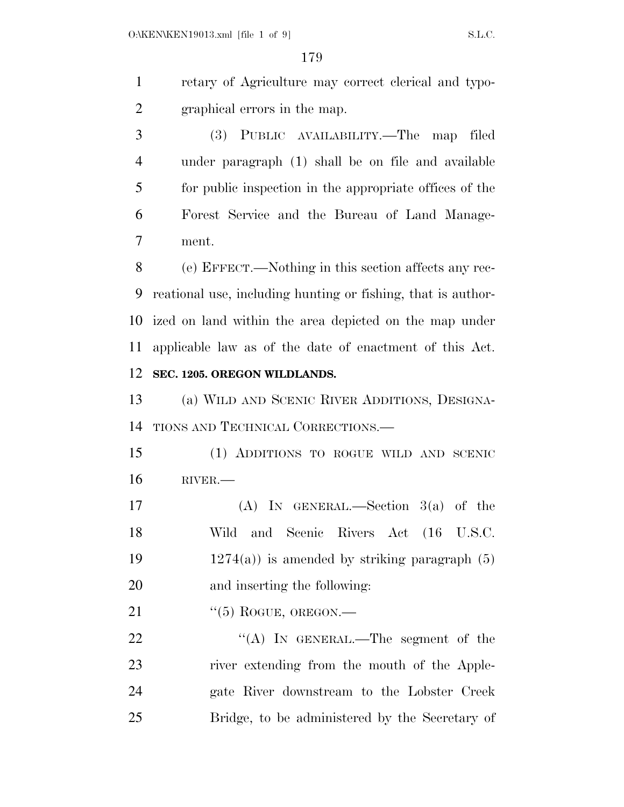retary of Agriculture may correct clerical and typo-graphical errors in the map.

 (3) PUBLIC AVAILABILITY.—The map filed under paragraph (1) shall be on file and available for public inspection in the appropriate offices of the Forest Service and the Bureau of Land Manage-ment.

 (e) EFFECT.—Nothing in this section affects any rec- reational use, including hunting or fishing, that is author- ized on land within the area depicted on the map under applicable law as of the date of enactment of this Act. **SEC. 1205. OREGON WILDLANDS.** 

 (a) WILD AND SCENIC RIVER ADDITIONS, DESIGNA-TIONS AND TECHNICAL CORRECTIONS.—

 (1) ADDITIONS TO ROGUE WILD AND SCENIC RIVER.—

 (A) IN GENERAL.—Section 3(a) of the Wild and Scenic Rivers Act (16 U.S.C.  $1274(a)$  is amended by striking paragraph (5) and inserting the following:

21  $\frac{((5) \text{ RogUE}, \text{ OREGON}}{((5) \text{ RogUE}, \text{ OREGON}}$ 

22 "(A) In GENERAL.—The segment of the river extending from the mouth of the Apple- gate River downstream to the Lobster Creek Bridge, to be administered by the Secretary of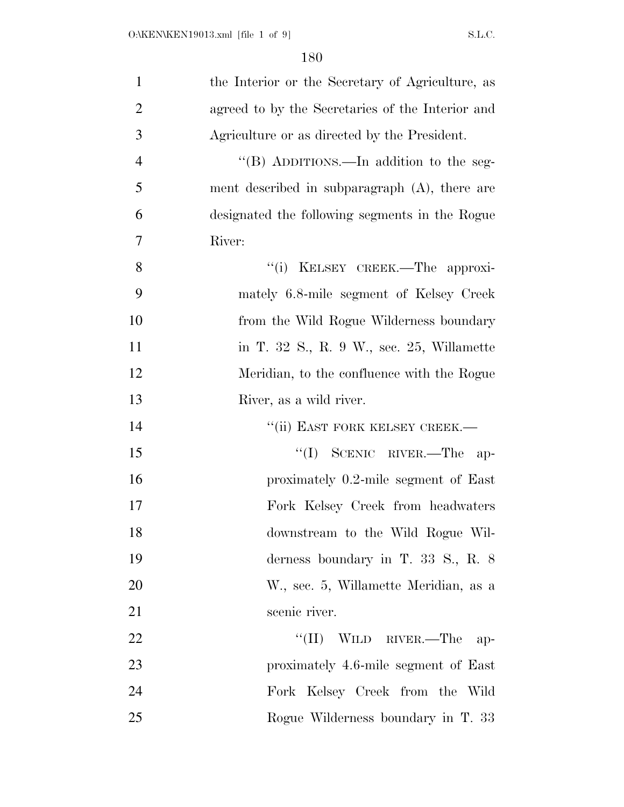| $\mathbf{1}$   | the Interior or the Secretary of Agriculture, as |
|----------------|--------------------------------------------------|
| $\overline{2}$ | agreed to by the Secretaries of the Interior and |
| 3              | Agriculture or as directed by the President.     |
| $\overline{4}$ | "(B) ADDITIONS.—In addition to the seg-          |
| 5              | ment described in subparagraph (A), there are    |
| 6              | designated the following segments in the Rogue   |
| $\overline{7}$ | River:                                           |
| 8              | "(i) KELSEY CREEK.—The approxi-                  |
| 9              | mately 6.8-mile segment of Kelsey Creek          |
| 10             | from the Wild Rogue Wilderness boundary          |
| 11             | in T. 32 S., R. 9 W., sec. 25, Willamette        |
| 12             | Meridian, to the confluence with the Rogue       |
| 13             | River, as a wild river.                          |
| 14             | "(ii) EAST FORK KELSEY CREEK.—                   |
| 15             | "(I) SCENIC RIVER.—The ap-                       |
| 16             | proximately 0.2-mile segment of East             |
| 17             | Fork Kelsey Creek from headwaters                |
| 18             | downstream to the Wild Rogue Wil-                |
| 19             | derness boundary in T. 33 S., R. $8$             |
| 20             | W., sec. 5, Willamette Meridian, as a            |
| 21             | scenic river.                                    |
| 22             | WILD RIVER.—The ap-<br>``(II)                    |
| 23             | proximately 4.6-mile segment of East             |
| 24             | Fork Kelsey Creek from the Wild                  |
| 25             | Rogue Wilderness boundary in T. 33               |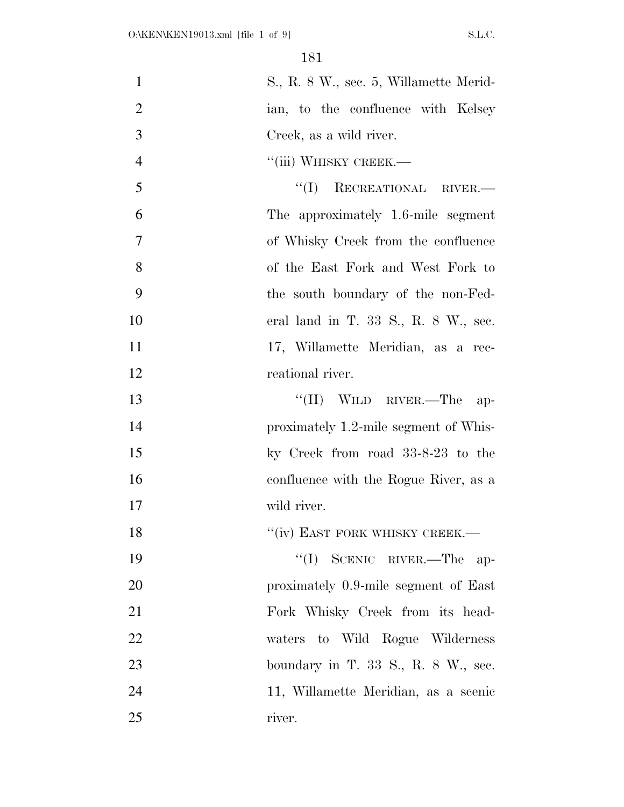| $\mathbf{1}$   | S., R. 8 W., sec. 5, Willamette Merid-  |
|----------------|-----------------------------------------|
| $\overline{2}$ | ian, to the confluence with Kelsey      |
| 3              | Creek, as a wild river.                 |
| $\overline{4}$ | "(iii) WHISKY CREEK.—                   |
| 5              | "(I) RECREATIONAL RIVER.—               |
| 6              | The approximately 1.6-mile segment      |
| 7              | of Whisky Creek from the confluence     |
| 8              | of the East Fork and West Fork to       |
| 9              | the south boundary of the non-Fed-      |
| 10             | eral land in T. 33 S., R. 8 W., sec.    |
| 11             | 17, Willamette Meridian, as a rec-      |
| 12             | reational river.                        |
| 13             | $``(II)$ WILD RIVER.—The<br>ap-         |
| 14             | proximately 1.2-mile segment of Whis-   |
| 15             | ky Creek from road 33-8-23 to the       |
| 16             | confluence with the Rogue River, as a   |
| 17             | wild river.                             |
| 18             | "(iv) EAST FORK WHISKY CREEK.-          |
| 19             | "(I) SCENIC RIVER.—The ap-              |
| 20             | proximately 0.9-mile segment of East    |
| 21             | Fork Whisky Creek from its head-        |
| 22             | waters to Wild Rogue Wilderness         |
| 23             | boundary in T. $33$ S., R. $8$ W., sec. |
| 24             | 11, Willamette Meridian, as a scenic    |
| 25             | river.                                  |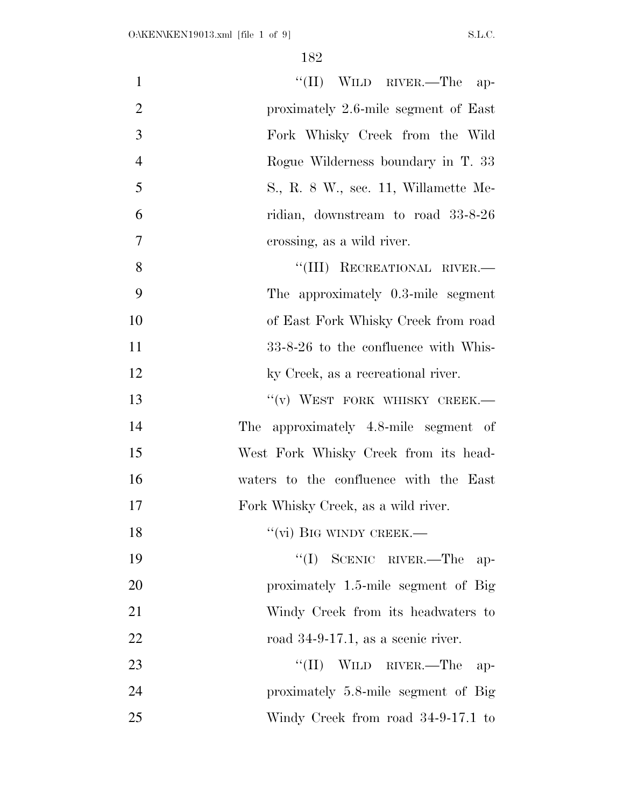| "(II) WILD RIVER.—The ap-                | $\mathbf{1}$   |
|------------------------------------------|----------------|
| proximately 2.6-mile segment of East     | $\overline{2}$ |
| Fork Whisky Creek from the Wild          | 3              |
| Rogue Wilderness boundary in T. 33       | $\overline{4}$ |
| S., R. 8 W., sec. 11, Willamette Me-     | 5              |
| ridian, downstream to road 33-8-26       | 6              |
| crossing, as a wild river.               | $\tau$         |
| "(III) RECREATIONAL RIVER.-              | 8              |
| The approximately 0.3-mile segment       | 9              |
| of East Fork Whisky Creek from road      | 10             |
| 33-8-26 to the confluence with Whis-     | 11             |
| ky Creek, as a recreational river.       | 12             |
| "(v) WEST FORK WHISKY CREEK.-            | 13             |
| approximately 4.8-mile segment of<br>The | 14             |
| West Fork Whisky Creek from its head-    | 15             |
| waters to the confluence with the East   | 16             |
| Fork Whisky Creek, as a wild river.      | 17             |
| "(vi) BIG WINDY CREEK.—                  | 18             |
| $\lq\lq$ (I) SCENIC RIVER.—The<br>$ap-$  | 19             |
| proximately 1.5-mile segment of Big      | 20             |
| Windy Creek from its headwaters to       | 21             |
| road $34-9-17.1$ , as a scenic river.    | 22             |
| "(II) WILD RIVER.—The<br>-ap             | 23             |
| proximately 5.8-mile segment of Big      | 24             |
| Windy Creek from road 34-9-17.1 to       | 25             |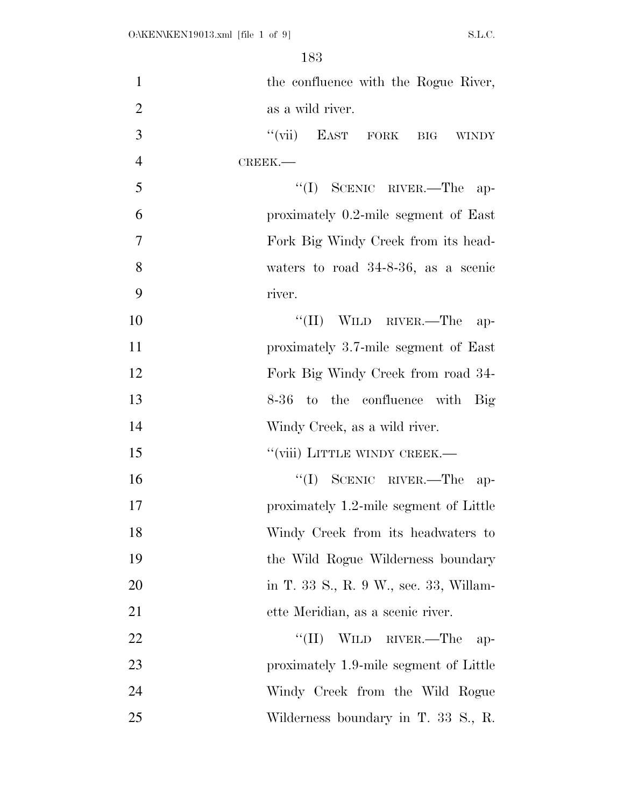| $\mathbf{1}$   | the confluence with the Rogue River,           |
|----------------|------------------------------------------------|
| $\overline{2}$ | as a wild river.                               |
| 3              | "(vii) EAST FORK<br>$\rm{BIG}$<br><b>WINDY</b> |
| $\overline{4}$ | CREEK.                                         |
| 5              | $\lq \lq (I)$ SCENIC RIVER.—The<br>$ap-$       |
| 6              | proximately 0.2-mile segment of East           |
| $\overline{7}$ | Fork Big Windy Creek from its head-            |
| 8              | waters to road $34-8-36$ , as a scenic         |
| 9              | river.                                         |
| 10             | $``(II)$ WILD RIVER.—The<br>$ap-$              |
| 11             | proximately 3.7-mile segment of East           |
| 12             | Fork Big Windy Creek from road 34-             |
| 13             | 8-36 to the confluence with Big                |
| 14             | Windy Creek, as a wild river.                  |
| 15             | "(viii) LITTLE WINDY CREEK.-                   |
| 16             | $``(I)$ SCENIC RIVER.—The ap-                  |
| 17             | proximately 1.2-mile segment of Little         |
| 18             | Windy Creek from its headwaters to             |
| 19             | the Wild Rogue Wilderness boundary             |
| 20             | in T. 33 S., R. 9 W., sec. 33, Willam-         |
| 21             | ette Meridian, as a scenic river.              |
| 22             | $``(II)$ WILD RIVER.—The<br>-ap-               |
| 23             | proximately 1.9-mile segment of Little         |
| 24             | Windy Creek from the Wild Rogue                |
| 25             | Wilderness boundary in T. 33 S., R.            |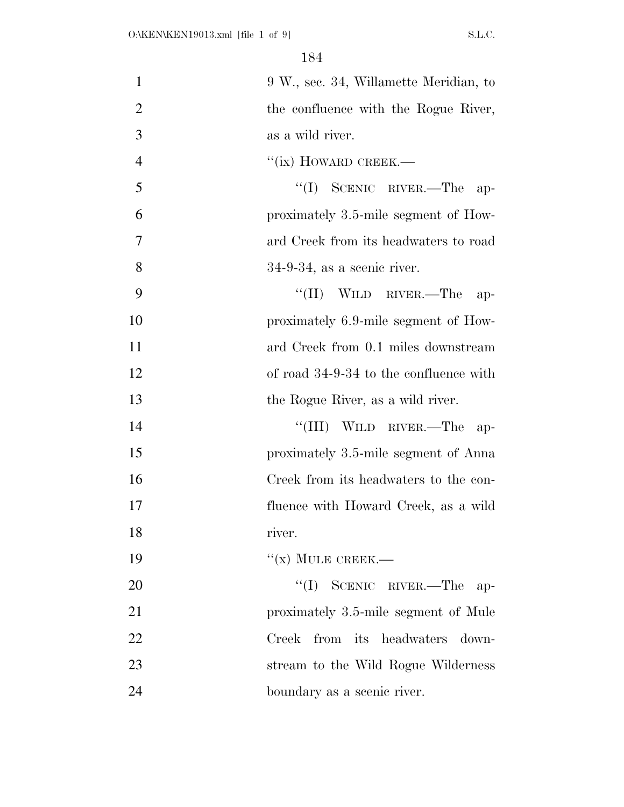| $\mathbf{1}$   | 9 W., sec. 34, Willamette Meridian, to |
|----------------|----------------------------------------|
| $\overline{2}$ | the confluence with the Rogue River,   |
| 3              | as a wild river.                       |
| $\overline{4}$ | "(ix) HOWARD CREEK.—                   |
| 5              | $``(I)$ SCENIC RIVER.—The<br>$ap-$     |
| 6              | proximately 3.5-mile segment of How-   |
| 7              | ard Creek from its headwaters to road  |
| 8              | $34-9-34$ , as a scenic river.         |
| 9              | $``(II)$ WILD RIVER.—The<br>$ap-$      |
| 10             | proximately 6.9-mile segment of How-   |
| 11             | ard Creek from 0.1 miles downstream    |
| 12             | of road 34-9-34 to the confluence with |
| 13             | the Rogue River, as a wild river.      |
| 14             | "(III) WILD RIVER.—The<br>-ap-         |
| 15             | proximately 3.5-mile segment of Anna   |
| 16             | Creek from its headwaters to the con-  |
| 17             | fluence with Howard Creek, as a wild   |
| 18             | river.                                 |
| 19             | $``(x)$ MULE CREEK.—                   |
| 20             | $``(I)$ SCENIC RIVER.—The<br>$ap-$     |
| 21             | proximately 3.5-mile segment of Mule   |
| 22             | Creek from its headwaters<br>down-     |
| 23             | stream to the Wild Rogue Wilderness    |
| 24             | boundary as a scenic river.            |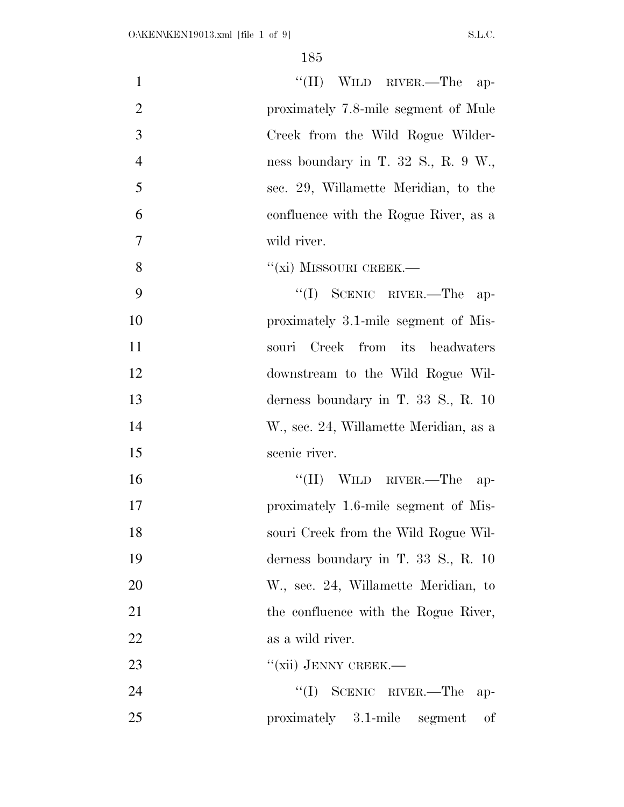| $\mathbf{1}$   | "(II) WILD RIVER.—The ap-                                  |
|----------------|------------------------------------------------------------|
| $\overline{2}$ | proximately 7.8-mile segment of Mule                       |
| 3              | Creek from the Wild Rogue Wilder-                          |
| $\overline{4}$ | ness boundary in T. 32 S., R. 9 W.,                        |
| 5              | sec. 29, Willamette Meridian, to the                       |
| 6              | confluence with the Rogue River, as a                      |
| $\overline{7}$ | wild river.                                                |
| 8              | $``(xi)$ MISSOURI CREEK.—                                  |
| 9              | $\lq\lq$ (I) SCENIC RIVER.—The<br>$ap-$                    |
| 10             | proximately 3.1-mile segment of Mis-                       |
| 11             | Creek from its headwaters<br>souri                         |
| 12             | downstream to the Wild Rogue Wil-                          |
| 13             | derness boundary in T. $33 \text{ S}$ ., R. $10 \text{ s}$ |
| 14             | W., sec. 24, Willamette Meridian, as a                     |
| 15             | scenic river.                                              |
| 16             | "(II) WILD RIVER.—The ap-                                  |
| 17             | proximately 1.6-mile segment of Mis-                       |
| 18             | souri Creek from the Wild Rogue Wil-                       |
| 19             | derness boundary in T. 33 S., R. 10                        |
| 20             | W., sec. 24, Willamette Meridian, to                       |
| 21             | the confluence with the Rogue River,                       |
| 22             | as a wild river.                                           |
| 23             | "(xii) JENNY CREEK.—                                       |
| 24             | $\lq\lq$ (I) SCENIC RIVER.—The<br>$ap-$                    |
| 25             | proximately 3.1-mile segment<br>οf                         |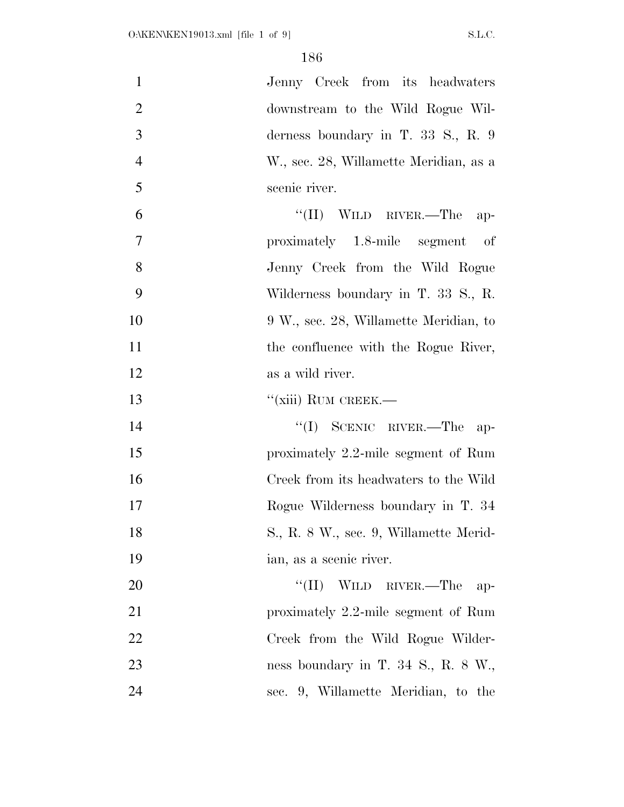| $\mathbf{1}$   | Jenny Creek from its headwaters               |
|----------------|-----------------------------------------------|
| $\overline{2}$ | downstream to the Wild Rogue Wil-             |
| 3              | derness boundary in T. 33 S., R. $9$          |
| $\overline{4}$ | W., sec. 28, Willamette Meridian, as a        |
| 5              | scenic river.                                 |
| 6              | "(II) WILD RIVER.—The<br>$ap-$                |
| $\overline{7}$ | proximately 1.8-mile segment of               |
| 8              | Jenny Creek from the Wild Rogue               |
| 9              | Wilderness boundary in T. 33 S., R.           |
| 10             | 9 W., sec. 28, Willamette Meridian, to        |
| 11             | the confluence with the Rogue River,          |
| 12             | as a wild river.                              |
| 13             | "(xiii) RUM CREEK.—                           |
| 14             | $``(I)$ SCENIC RIVER.—The ap-                 |
| 15             | proximately 2.2-mile segment of Rum           |
| 16             | Creek from its headwaters to the Wild         |
| 17             | Rogue Wilderness boundary in T. 34            |
| 18             | S., R. 8 W., sec. 9, Willamette Merid-        |
| 19             | ian, as a scenic river.                       |
| 20             | "(II) WILD RIVER.—The ap-                     |
| 21             | proximately 2.2-mile segment of Rum           |
| 22             | Creek from the Wild Rogue Wilder-             |
| 23             | ness boundary in T. 34 S., R. $8 \text{ W}$ . |
| 24             | sec. 9, Willamette Meridian, to the           |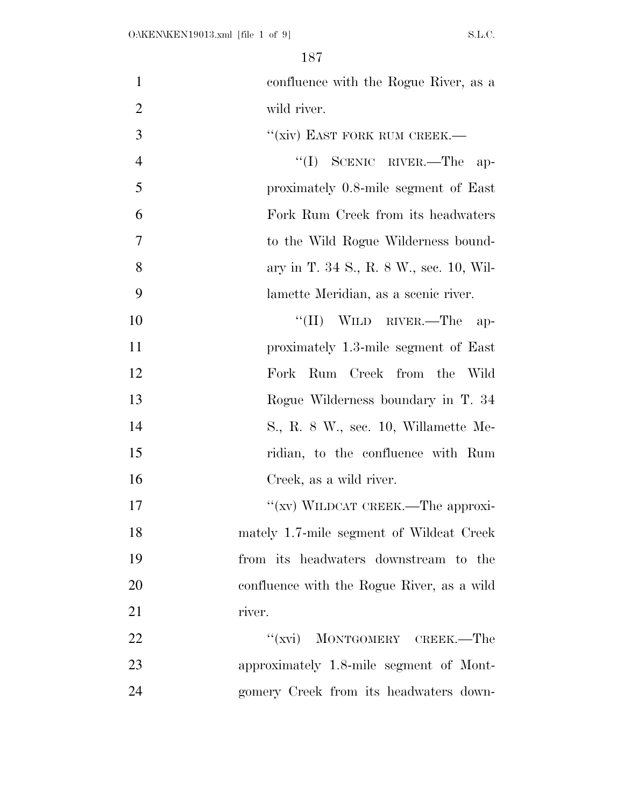| $\mathbf{1}$   | confluence with the Rogue River, as a      |
|----------------|--------------------------------------------|
| $\overline{2}$ | wild river.                                |
| 3              | "(xiv) EAST FORK RUM CREEK.—               |
| $\overline{4}$ | "(I) SCENIC RIVER.—The ap-                 |
| 5              | proximately 0.8-mile segment of East       |
| 6              | Fork Rum Creek from its headwaters         |
| 7              | to the Wild Rogue Wilderness bound-        |
| 8              | ary in T. 34 S., R. 8 W., sec. 10, Wil-    |
| 9              | lamette Meridian, as a scenic river.       |
| 10             | $``(II)$ WILD RIVER.—The<br>$ap-$          |
| 11             | proximately 1.3-mile segment of East       |
| 12             | Fork Rum Creek from the Wild               |
| 13             | Rogue Wilderness boundary in T. 34         |
| 14             | S., R. 8 W., sec. 10, Willamette Me-       |
| 15             | ridian, to the confluence with Rum         |
| 16             | Creek, as a wild river.                    |
| 17             | "(xv) WILDCAT CREEK.—The approxi-          |
| 18             | mately 1.7-mile segment of Wildcat Creek   |
| 19             | from its headwaters downstream to the      |
| 20             | confluence with the Rogue River, as a wild |
| 21             | river.                                     |
| 22             | "(xvi) MONTGOMERY CREEK.—The               |
| 23             | approximately 1.8-mile segment of Mont-    |
| 24             | gomery Creek from its headwaters down-     |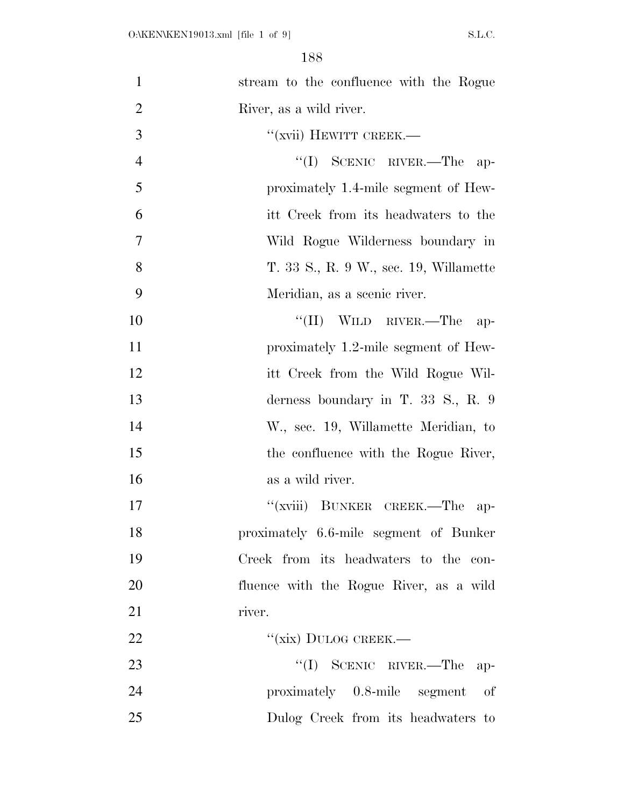| $\mathbf{1}$   | stream to the confluence with the Rogue |
|----------------|-----------------------------------------|
| $\overline{2}$ | River, as a wild river.                 |
| 3              | "(xvii) HEWITT CREEK.—                  |
| $\overline{4}$ | $``(I)$ SCENIC RIVER.—The<br>$ap-$      |
| 5              | proximately 1.4-mile segment of Hew-    |
| 6              | itt Creek from its headwaters to the    |
| $\overline{7}$ | Wild Rogue Wilderness boundary in       |
| 8              | T. 33 S., R. 9 W., sec. 19, Willamette  |
| 9              | Meridian, as a scenic river.            |
| 10             | $``(II)$ WILD RIVER.—The<br>$ap-$       |
| 11             | proximately 1.2-mile segment of Hew-    |
| 12             | itt Creek from the Wild Rogue Wil-      |
| 13             | derness boundary in T. 33 S., R. $9$    |
| 14             | W., sec. 19, Willamette Meridian, to    |
| 15             | the confluence with the Rogue River,    |
| 16             | as a wild river.                        |
| 17             | "(xviii) BUNKER CREEK.—The<br>ap-       |
| 18             | proximately 6.6-mile segment of Bunker  |
| 19             | Creek from its headwaters to the con-   |
| 20             | fluence with the Rogue River, as a wild |
| 21             | river.                                  |
| 22             | "(xix) DULOG CREEK.—                    |
| 23             | $``(I)$ SCENIC RIVER.—The<br>$ap-$      |
| 24             | proximately 0.8-mile segment<br>οf      |
| 25             | Dulog Creek from its headwaters to      |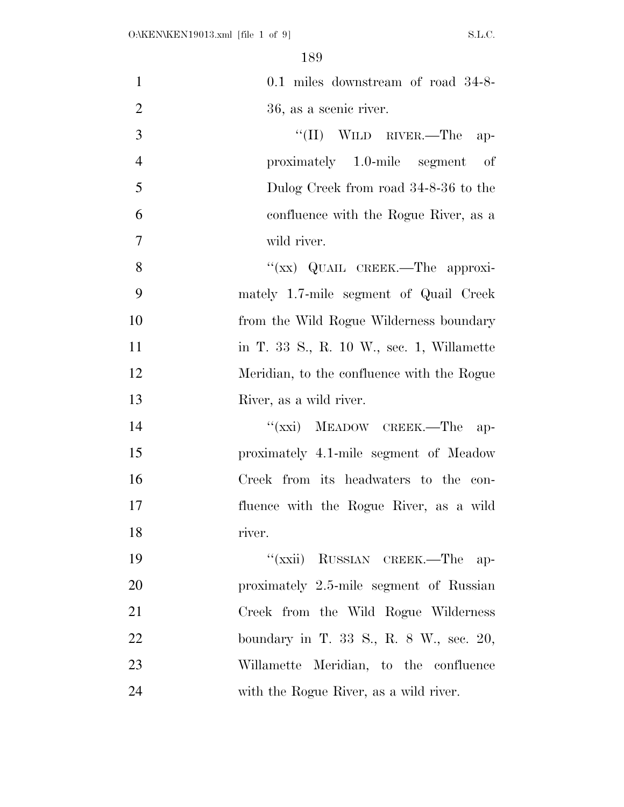| $\mathbf{1}$   | 0.1 miles downstream of road 34-8-         |
|----------------|--------------------------------------------|
| $\overline{2}$ | 36, as a scenic river.                     |
| 3              | $``(II)$ WILD RIVER.—The<br>$ap-$          |
| $\overline{4}$ | proximately 1.0-mile segment of            |
| 5              | Dulog Creek from road 34-8-36 to the       |
| 6              | confluence with the Rogue River, as a      |
| $\overline{7}$ | wild river.                                |
| 8              | "(xx) QUAIL CREEK.—The approxi-            |
| 9              | mately 1.7-mile segment of Quail Creek     |
| 10             | from the Wild Rogue Wilderness boundary    |
| 11             | in T. 33 S., R. 10 W., sec. 1, Willamette  |
| 12             | Meridian, to the confluence with the Rogue |
| 13             | River, as a wild river.                    |
| 14             | "(xxi) MEADOW CREEK.—The<br>$ap-$          |
| 15             | proximately 4.1-mile segment of Meadow     |
| 16             | Creek from its headwaters to the con-      |
| 17             | fluence with the Rogue River, as a wild    |
| 18             | river.                                     |
| 19             | "(xxii) RUSSIAN CREEK.—The ap-             |
| 20             | proximately 2.5-mile segment of Russian    |
| 21             | Creek from the Wild Rogue Wilderness       |
| 22             | boundary in T. 33 S., R. 8 W., sec. 20,    |
| 23             | Willamette Meridian, to the confluence     |
| 24             | with the Rogue River, as a wild river.     |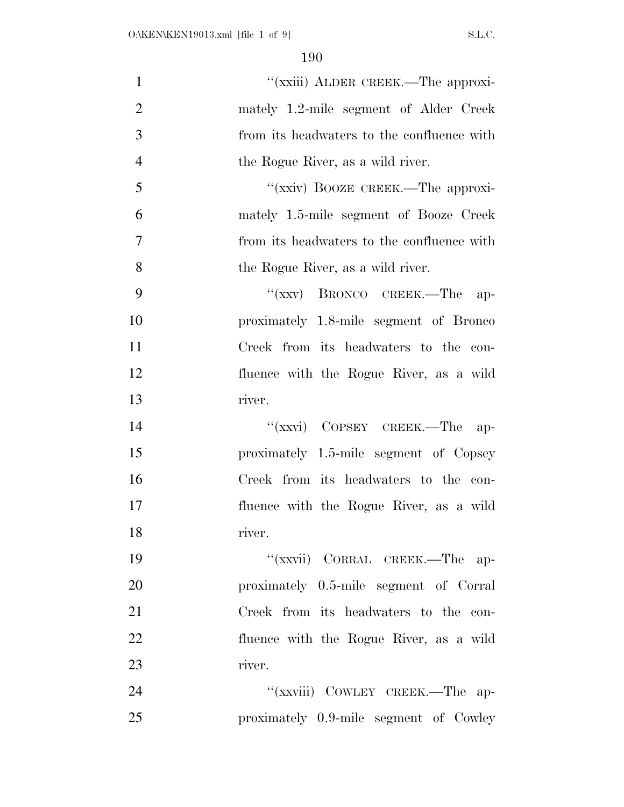| $\mathbf{1}$   | "(xxiii) ALDER CREEK.—The approxi-         |
|----------------|--------------------------------------------|
| $\overline{2}$ | mately 1.2-mile segment of Alder Creek     |
| 3              | from its headwaters to the confluence with |
| $\overline{4}$ | the Rogue River, as a wild river.          |
| 5              | "(xxiv) BOOZE CREEK.—The approxi-          |
| 6              | mately 1.5-mile segment of Booze Creek     |
| $\overline{7}$ | from its headwaters to the confluence with |
| 8              | the Rogue River, as a wild river.          |
| 9              | " $(xxy)$ BRONCO CREEK.—The<br>$ap-$       |
| 10             | proximately 1.8-mile segment of Bronco     |
| 11             | Creek from its headwaters to the con-      |
| 12             | fluence with the Rogue River, as a wild    |
| 13             | river.                                     |
| 14             | "(xxvi) COPSEY CREEK.—The ap-              |
| 15             | proximately 1.5-mile segment of Copsey     |
| 16             | Creek from its headwaters to the con-      |
| 17             | fluence with the Rogue River, as a wild    |
| 18             | river.                                     |
| 19             | "(xxvii) CORRAL CREEK.—The ap-             |
| 20             | proximately 0.5-mile segment of Corral     |
| 21             | Creek from its headwaters to the con-      |
| 22             | fluence with the Rogue River, as a wild    |
| 23             | river.                                     |
| 24             | "(xxviii) COWLEY CREEK.-The ap-            |
| 25             | proximately 0.9-mile segment of Cowley     |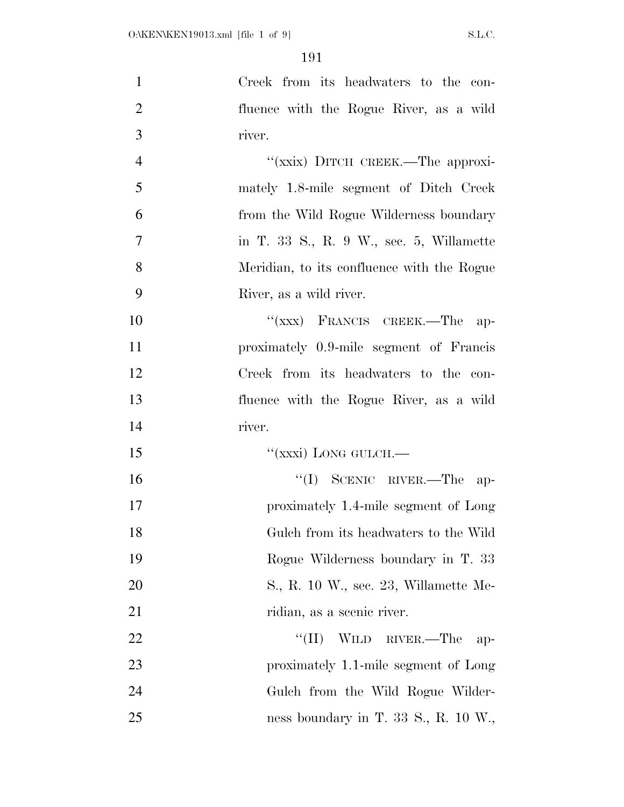| $\mathbf{1}$   | Creek from its headwaters to the con-           |
|----------------|-------------------------------------------------|
| $\overline{2}$ | fluence with the Rogue River, as a wild         |
| 3              | river.                                          |
| $\overline{4}$ | "(xxix) DITCH CREEK.—The approxi-               |
| 5              | mately 1.8-mile segment of Ditch Creek          |
| 6              | from the Wild Rogue Wilderness boundary         |
| 7              | in T. 33 S., R. 9 W., sec. 5, Willamette        |
| 8              | Meridian, to its confluence with the Rogue      |
| 9              | River, as a wild river.                         |
| 10             | $``(xxx)$ FRANCIS CREEK.—The<br>$ap-$           |
| 11             | proximately 0.9-mile segment of Francis         |
| 12             | Creek from its headwaters to the con-           |
| 13             | fluence with the Rogue River, as a wild         |
| 14             | river.                                          |
| 15             | "(xxxi) LONG GULCH.—                            |
| 16             | $``(I)$ SCENIC RIVER.—The<br>$ap-$              |
| 17             | proximately 1.4-mile segment of Long            |
| 18             | Gulch from its headwaters to the Wild           |
| 19             | Rogue Wilderness boundary in T. 33              |
| <b>20</b>      | S., R. 10 W., sec. 23, Willamette Me-           |
| 21             | ridian, as a scenic river.                      |
| <u>22</u>      | $``(II)$ WILD RIVER.—The<br>$ap-$               |
| 23             | proximately 1.1-mile segment of Long            |
| 24             | Gulch from the Wild Rogue Wilder-               |
| 25             | ness boundary in T. 33 S., R. $10 \text{ W}$ ., |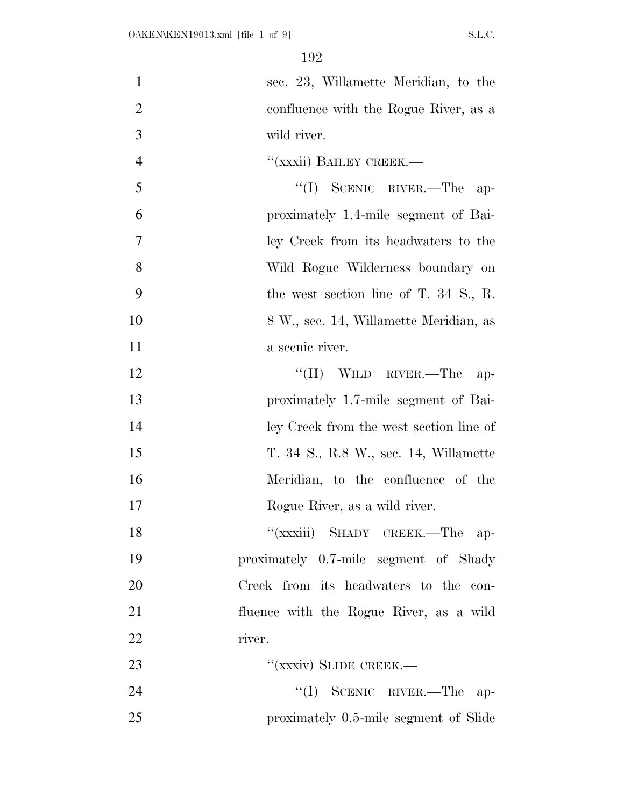| $\mathbf{1}$   | sec. 23, Willamette Meridian, to the    |
|----------------|-----------------------------------------|
| $\overline{2}$ | confluence with the Rogue River, as a   |
| 3              | wild river.                             |
| $\overline{4}$ | "(xxxii) BAILEY CREEK.—                 |
| 5              | $``(I)$ SCENIC RIVER.—The<br>$ap-$      |
| 6              | proximately 1.4-mile segment of Bai-    |
| $\overline{7}$ | ley Creek from its headwaters to the    |
| 8              | Wild Rogue Wilderness boundary on       |
| 9              | the west section line of T. 34 S., R.   |
| 10             | 8 W., sec. 14, Willamette Meridian, as  |
| 11             | a scenic river.                         |
| 12             | $``(II)$ WILD RIVER.—The<br>$ap-$       |
| 13             | proximately 1.7-mile segment of Bai-    |
| 14             | ley Creek from the west section line of |
| 15             | T. 34 S., R.8 W., sec. 14, Willamette   |
| 16             | Meridian, to the confluence of the      |
| 17             | Rogue River, as a wild river.           |
| 18             | "(xxxiii) SHADY CREEK.—The ap-          |
| 19             | proximately 0.7-mile segment of Shady   |
| 20             | Creek from its headwaters to the con-   |
| 21             | fluence with the Rogue River, as a wild |
| 22             | river.                                  |
| 23             | "(xxxiv) SLIDE CREEK.-                  |
| 24             | "(I) SCENIC RIVER.—The ap-              |
| 25             | proximately 0.5-mile segment of Slide   |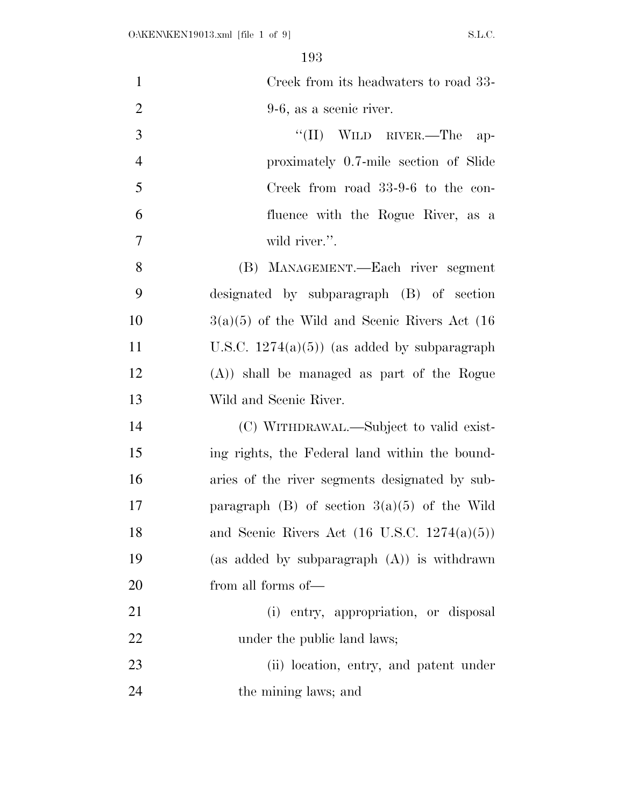| $\mathbf{1}$   | Creek from its headwaters to road 33-                   |
|----------------|---------------------------------------------------------|
| $\overline{2}$ | $9-6$ , as a scenic river.                              |
| 3              | "(II) WILD RIVER.—The<br>$ap-$                          |
| $\overline{4}$ | proximately 0.7-mile section of Slide                   |
| 5              | Creek from road 33-9-6 to the con-                      |
| 6              | fluence with the Rogue River, as a                      |
| $\overline{7}$ | wild river.".                                           |
| 8              | (B) MANAGEMENT.—Each river segment                      |
| 9              | designated by subparagraph (B) of section               |
| 10             | $3(a)(5)$ of the Wild and Scenic Rivers Act (16)        |
| 11             | U.S.C. $1274(a)(5)$ (as added by subparagraph           |
| 12             | $(A)$ ) shall be managed as part of the Rogue           |
| 13             | Wild and Scenic River.                                  |
| 14             | (C) WITHDRAWAL.—Subject to valid exist-                 |
|                |                                                         |
| 15             | ing rights, the Federal land within the bound-          |
| 16             | aries of the river segments designated by sub-          |
| 17             | paragraph (B) of section $3(a)(5)$ of the Wild          |
| 18             | and Scenic Rivers Act $(16 \text{ U.S.C. } 1274(a)(5))$ |
| 19             | (as added by subparagraph $(A)$ ) is withdrawn          |
| 20             | from all forms of—                                      |
| 21             | (i) entry, appropriation, or disposal                   |
| 22             | under the public land laws;                             |
| 23             | (ii) location, entry, and patent under                  |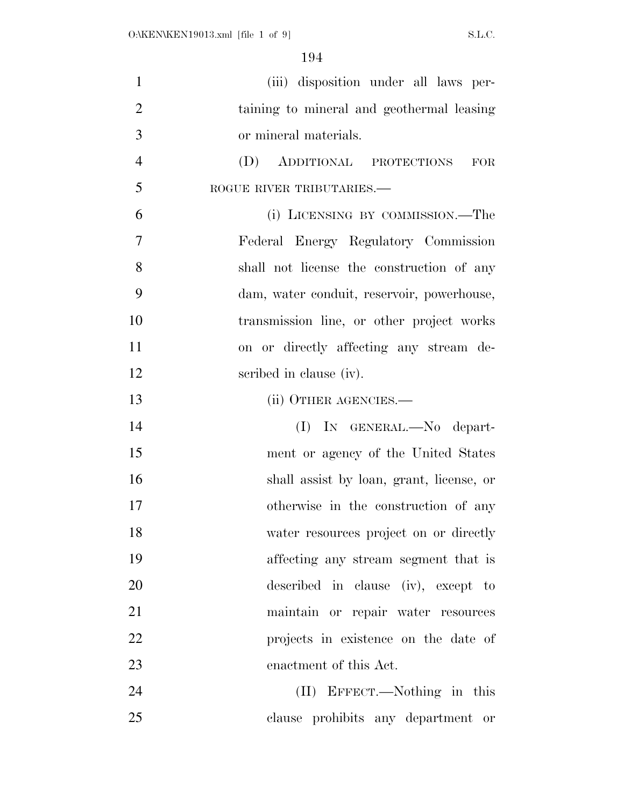| $\mathbf{1}$   | (iii) disposition under all laws per-      |
|----------------|--------------------------------------------|
| $\overline{2}$ | taining to mineral and geothermal leasing  |
| 3              | or mineral materials.                      |
| $\overline{4}$ | (D)<br>ADDITIONAL PROTECTIONS<br>FOR       |
| 5              | ROGUE RIVER TRIBUTARIES.-                  |
| 6              | (i) LICENSING BY COMMISSION.—The           |
| $\overline{7}$ | Federal Energy Regulatory Commission       |
| 8              | shall not license the construction of any  |
| 9              | dam, water conduit, reservoir, powerhouse, |
| 10             | transmission line, or other project works  |
| 11             | on or directly affecting any stream de-    |
| 12             | scribed in clause (iv).                    |
| 13             | (ii) OTHER AGENCIES.—                      |
| 14             | (I) IN GENERAL.—No depart-                 |
| 15             | ment or agency of the United States        |
| 16             | shall assist by loan, grant, license, or   |
| 17             | otherwise in the construction of any       |
| 18             | water resources project on or directly     |
| 19             | affecting any stream segment that is       |
| 20             | described in clause (iv), except to        |
| 21             | maintain or repair water resources         |
| 22             | projects in existence on the date of       |
| 23             | enactment of this Act.                     |
| 24             | (II) EFFECT.—Nothing in this               |
| 25             | clause prohibits any department or         |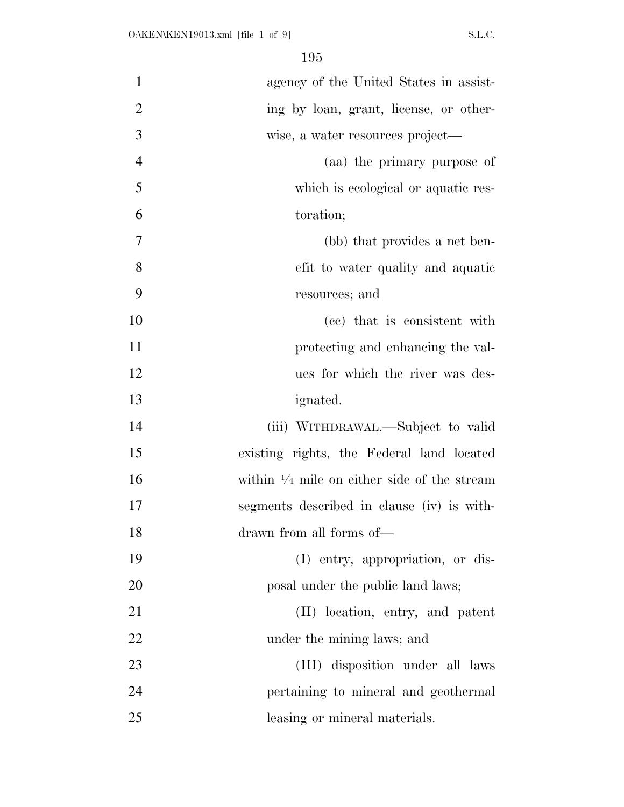| $\mathbf{1}$   | agency of the United States in assist-                 |
|----------------|--------------------------------------------------------|
| $\overline{2}$ | ing by loan, grant, license, or other-                 |
| 3              | wise, a water resources project—                       |
| $\overline{4}$ | (aa) the primary purpose of                            |
| 5              | which is ecological or aquatic res-                    |
| 6              | toration;                                              |
| 7              | (bb) that provides a net ben-                          |
| 8              | efit to water quality and aquatic                      |
| 9              | resources; and                                         |
| 10             | (cc) that is consistent with                           |
| 11             | protecting and enhancing the val-                      |
| 12             | ues for which the river was des-                       |
| 13             | ignated.                                               |
| 14             | (iii) WITHDRAWAL.—Subject to valid                     |
| 15             | existing rights, the Federal land located              |
| 16             | within $\frac{1}{4}$ mile on either side of the stream |
| 17             | segments described in clause (iv) is with-             |
| 18             | drawn from all forms of—                               |
| 19             | (I) entry, appropriation, or dis-                      |
| 20             | posal under the public land laws;                      |
| 21             | (II) location, entry, and patent                       |
| 22             | under the mining laws; and                             |
| 23             | (III) disposition under all laws                       |
| 24             | pertaining to mineral and geothermal                   |
| 25             | leasing or mineral materials.                          |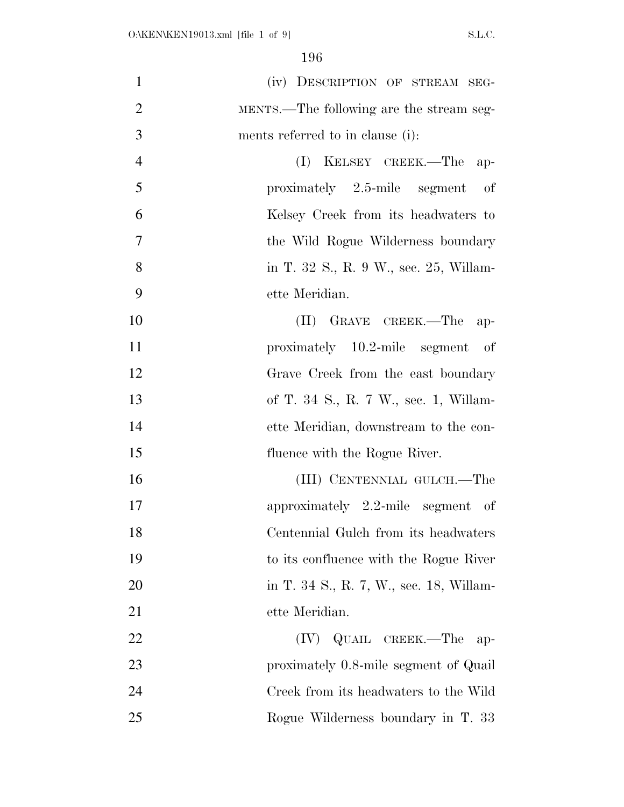| $\mathbf{1}$   | (iv) DESCRIPTION OF STREAM SEG-                                 |
|----------------|-----------------------------------------------------------------|
| $\overline{2}$ | MENTS.—The following are the stream seg-                        |
| 3              | ments referred to in clause (i):                                |
| $\overline{4}$ | (I) KELSEY CREEK.—The<br>$ap-$                                  |
| 5              | $proximately \quad 2.5\text{-mile} \quad segment$<br>$\circ$ of |
| 6              | Kelsey Creek from its headwaters to                             |
| $\overline{7}$ | the Wild Rogue Wilderness boundary                              |
| 8              | in T. 32 S., R. 9 W., sec. 25, Willam-                          |
| 9              | ette Meridian.                                                  |
| 10             | (II) GRAVE CREEK.—The<br>$ap-$                                  |
| 11             | proximately 10.2-mile segment of                                |
| 12             | Grave Creek from the east boundary                              |
| 13             | of T. 34 S., R. 7 W., sec. 1, Willam-                           |
| 14             | ette Meridian, downstream to the con-                           |
| 15             | fluence with the Rogue River.                                   |
| 16             | (III) CENTENNIAL GULCH.—The                                     |
| 17             | approximately $2.2$ -mile segment of                            |
| 18             | Centennial Gulch from its headwaters                            |
| 19             | to its confluence with the Rogue River                          |
| 20             | in T. 34 S., R. 7, W., sec. 18, Willam-                         |
| 21             | ette Meridian.                                                  |
| 22             | QUAIL CREEK.—The<br>(IV)<br>$ap-$                               |
| 23             | proximately 0.8-mile segment of Quail                           |
| 24             | Creek from its headwaters to the Wild                           |
| 25             | Rogue Wilderness boundary in T. 33                              |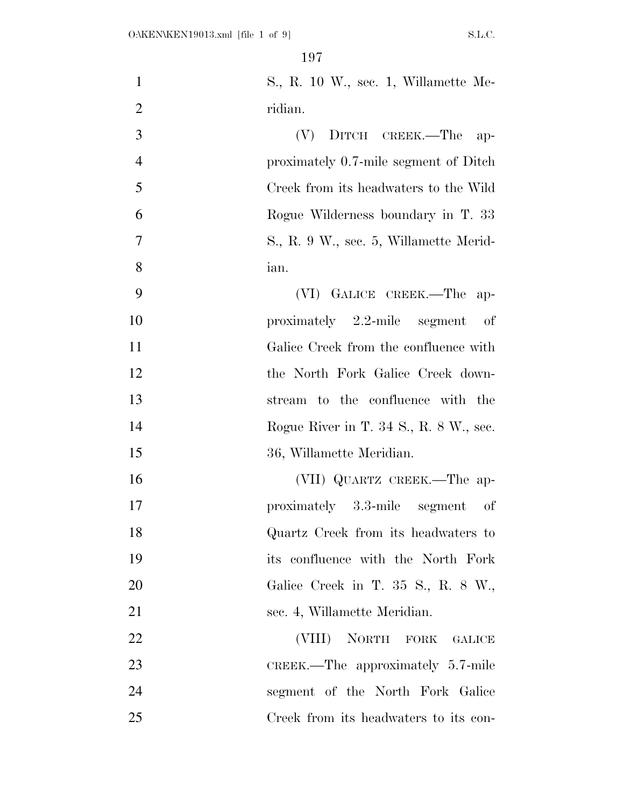| $\mathbf{1}$   | S., R. 10 W., sec. 1, Willamette Me-   |
|----------------|----------------------------------------|
| $\overline{2}$ | ridian.                                |
| 3              | DITCH CREEK.—The<br>(V)<br>$ap-$       |
| $\overline{4}$ | proximately 0.7-mile segment of Ditch  |
| 5              | Creek from its headwaters to the Wild  |
| 6              | Rogue Wilderness boundary in T. 33     |
| $\overline{7}$ | S., R. 9 W., sec. 5, Willamette Merid- |
| 8              | ian.                                   |
| 9              | (VI) GALICE CREEK.-The ap-             |
| 10             | proximately $2.2$ -mile segment of     |
| 11             | Galice Creek from the confluence with  |
| 12             | the North Fork Galice Creek down-      |
| 13             | stream to the confluence with the      |
| 14             | Rogue River in T. 34 S., R. 8 W., sec. |
| 15             | 36, Willamette Meridian.               |
| 16             | (VII) QUARTZ CREEK.—The ap-            |
| 17             | proximately 3.3-mile segment of        |
| 18             | Quartz Creek from its headwaters to    |
| 19             | its confluence with the North Fork     |
| 20             | Galice Creek in T. 35 S., R. 8 W.,     |
| 21             | sec. 4, Willamette Meridian.           |
| 22             | (VIII) NORTH FORK GALICE               |
| 23             | CREEK.—The approximately $5.7$ -mile   |
| 24             | segment of the North Fork Galice       |
| 25             | Creek from its headwaters to its con-  |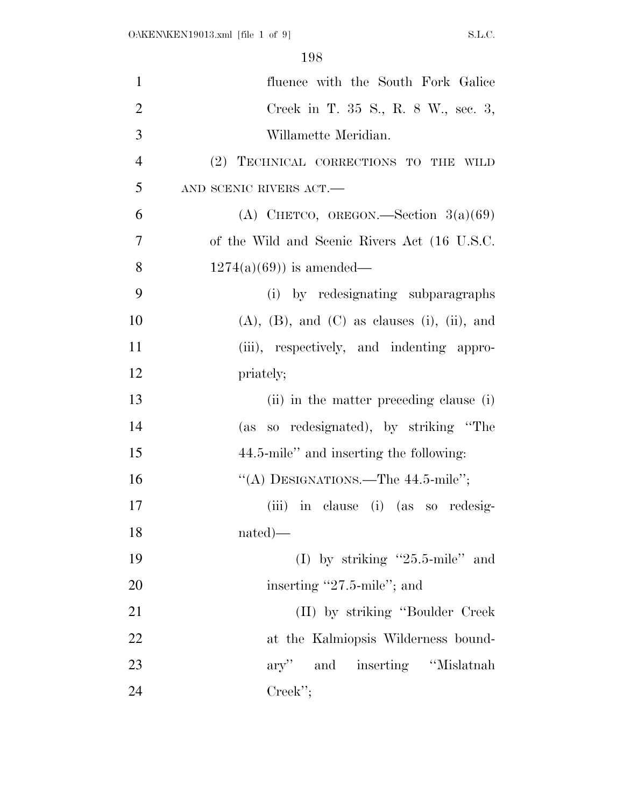| $\mathbf{1}$   | fluence with the South Fork Galice                        |
|----------------|-----------------------------------------------------------|
| $\overline{2}$ | Creek in T. 35 S., R. 8 W., sec. 3,                       |
| 3              | Willamette Meridian.                                      |
| $\overline{4}$ | (2) TECHNICAL CORRECTIONS TO THE WILD                     |
| 5              | AND SCENIC RIVERS ACT.-                                   |
| 6              | (A) CHETCO, OREGON.—Section $3(a)(69)$                    |
| $\overline{7}$ | of the Wild and Scenic Rivers Act (16 U.S.C.              |
| 8              | $1274(a)(69)$ is amended—                                 |
| 9              | (i) by redesignating subparagraphs                        |
| 10             | $(A)$ , $(B)$ , and $(C)$ as clauses $(i)$ , $(ii)$ , and |
| 11             | (iii), respectively, and indenting appro-                 |
| 12             | priately;                                                 |
| 13             | (ii) in the matter preceding clause (i)                   |
| 14             | (as so redesignated), by striking "The                    |
| 15             | 44.5-mile" and inserting the following:                   |
| 16             | "(A) DESIGNATIONS.—The $44.5$ -mile";                     |
| 17             | (iii) in clause (i) (as so redesig-                       |
| 18             | $nated)$ —                                                |
| 19             | (I) by striking "25.5-mile" and                           |
| 20             | inserting "27.5-mile"; and                                |
| 21             | (II) by striking "Boulder Creek                           |
| 22             | at the Kalmiopsis Wilderness bound-                       |
| 23             | ary" and inserting "Mislatnah"                            |
| 24             | $Creek$ ";                                                |
|                |                                                           |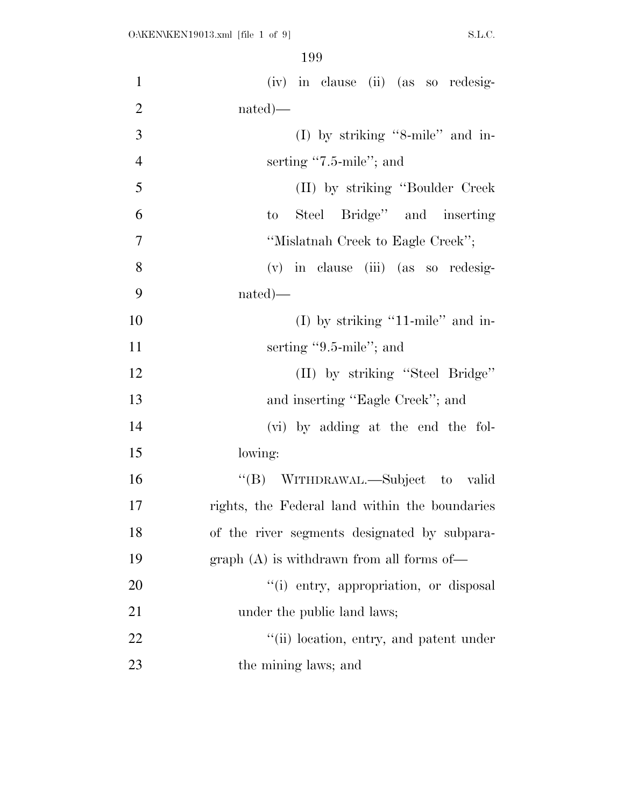| $\mathbf{1}$   | (iv) in clause (ii) (as so redesig-            |
|----------------|------------------------------------------------|
| $\overline{2}$ | $nated)$ —                                     |
| 3              | (I) by striking "8-mile" and in-               |
| $\overline{4}$ | serting "7.5-mile"; and                        |
| 5              | (II) by striking "Boulder Creek"               |
| 6              | Steel Bridge" and inserting<br>$\mathbf{t}$    |
| $\overline{7}$ | "Mislatnah Creek to Eagle Creek";              |
| 8              | (v) in clause (iii) (as so redesig-            |
| 9              | $nated)$ —                                     |
| 10             | (I) by striking "11-mile" and in-              |
| 11             | serting $"9.5$ -mile"; and                     |
| 12             | (II) by striking "Steel Bridge"                |
| 13             | and inserting "Eagle Creek"; and               |
| 14             | (vi) by adding at the end the fol-             |
| 15             | lowing:                                        |
| 16             | "(B) WITHDRAWAL.—Subject to valid              |
| 17             | rights, the Federal land within the boundaries |
| 18             | of the river segments designated by subpara-   |
| 19             | $graph(A)$ is withdrawn from all forms of—     |
| 20             | "(i) entry, appropriation, or disposal         |
| 21             | under the public land laws;                    |
| 22             | "(ii) location, entry, and patent under        |
| 23             | the mining laws; and                           |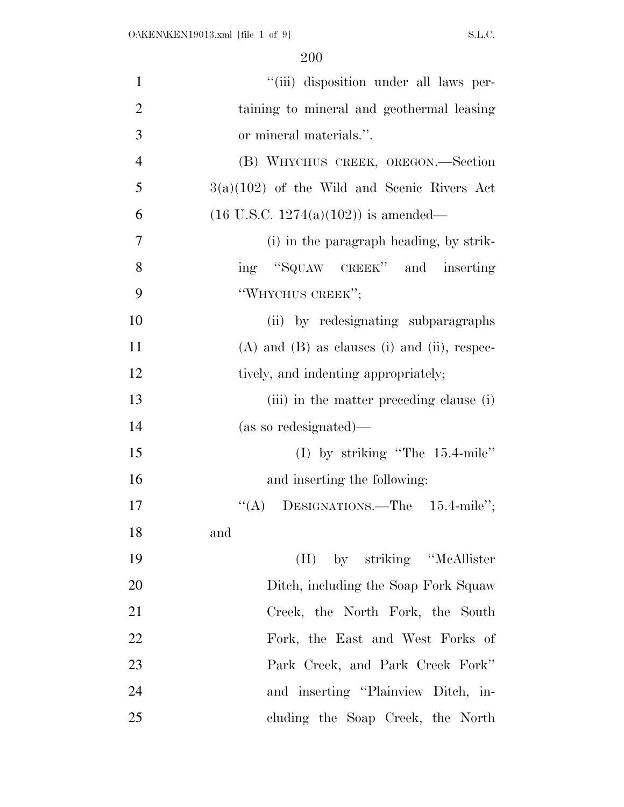| $\mathbf{1}$   | "(iii) disposition under all laws per-           |
|----------------|--------------------------------------------------|
| $\overline{2}$ | taining to mineral and geothermal leasing        |
| 3              | or mineral materials.".                          |
| $\overline{4}$ | (B) WHYCHUS CREEK, OREGON.—Section               |
| 5              | $3(a)(102)$ of the Wild and Scenic Rivers Act    |
| 6              | $(16 \text{ U.S.C. } 1274(a)(102))$ is amended—  |
| $\overline{7}$ | (i) in the paragraph heading, by strik-          |
| 8              | ing "SQUAW CREEK" and inserting                  |
| 9              | "WHYCHUS CREEK";                                 |
| 10             | (ii) by redesignating subparagraphs              |
| 11             | $(A)$ and $(B)$ as clauses (i) and (ii), respec- |
| 12             | tively, and indenting appropriately;             |
| 13             | (iii) in the matter preceding clause (i)         |
| 14             | (as so redesignated)—                            |
| 15             | (I) by striking "The $15.4$ -mile"               |
| 16             | and inserting the following:                     |
| 17             | "(A) DESIGNATIONS.—The $15.4$ -mile";            |
| 18             | and                                              |
| 19             | (II) by striking "McAllister                     |
| 20             | Ditch, including the Soap Fork Squaw             |
| 21             | Creek, the North Fork, the South                 |
| 22             | Fork, the East and West Forks of                 |
| 23             | Park Creek, and Park Creek Fork"                 |
| 24             | and inserting "Plainview Ditch, in-              |
| 25             | cluding the Soap Creek, the North                |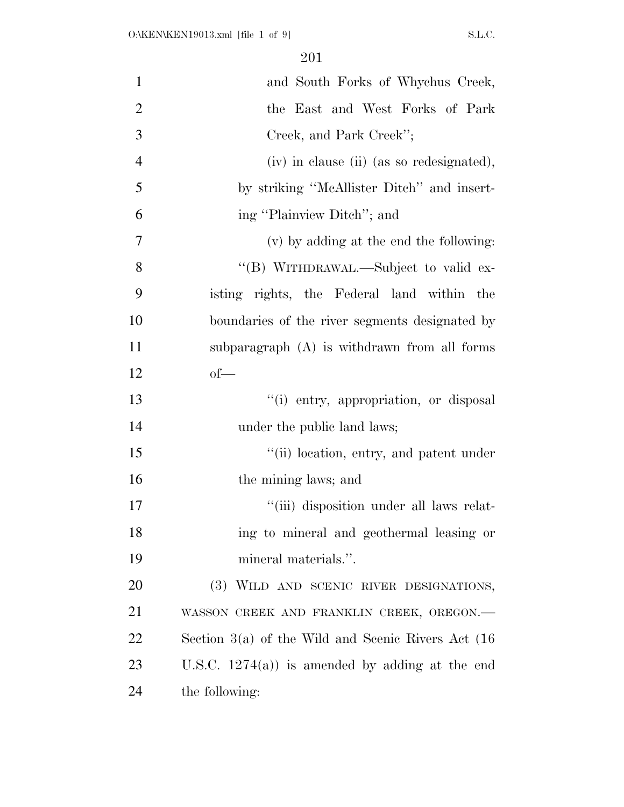| $\mathbf{1}$   | and South Forks of Whychus Creek,                       |
|----------------|---------------------------------------------------------|
| $\overline{2}$ | the East and West Forks of Park                         |
| 3              | Creek, and Park Creek";                                 |
| $\overline{4}$ | (iv) in clause (ii) (as so redesignated),               |
| 5              | by striking "McAllister Ditch" and insert-              |
| 6              | ing "Plainview Ditch"; and                              |
| $\overline{7}$ | (v) by adding at the end the following:                 |
| 8              | "(B) WITHDRAWAL.—Subject to valid ex-                   |
| 9              | isting rights, the Federal land within the              |
| 10             | boundaries of the river segments designated by          |
| 11             | subparagraph (A) is withdrawn from all forms            |
| 12             | $of$ —                                                  |
| 13             | "(i) entry, appropriation, or disposal                  |
| 14             | under the public land laws;                             |
| 15             | "(ii) location, entry, and patent under                 |
| 16             | the mining laws; and                                    |
| 17             | "(iii) disposition under all laws relat-                |
| 18             | ing to mineral and geothermal leasing or                |
| 19             | mineral materials.".                                    |
| 20             | (3) WILD AND SCENIC RIVER DESIGNATIONS,                 |
| 21             | WASSON CREEK AND FRANKLIN CREEK, OREGON.-               |
| 22             | Section $3(a)$ of the Wild and Scenic Rivers Act $(16)$ |
| 23             | U.S.C. $1274(a)$ is amended by adding at the end        |
| 24             | the following:                                          |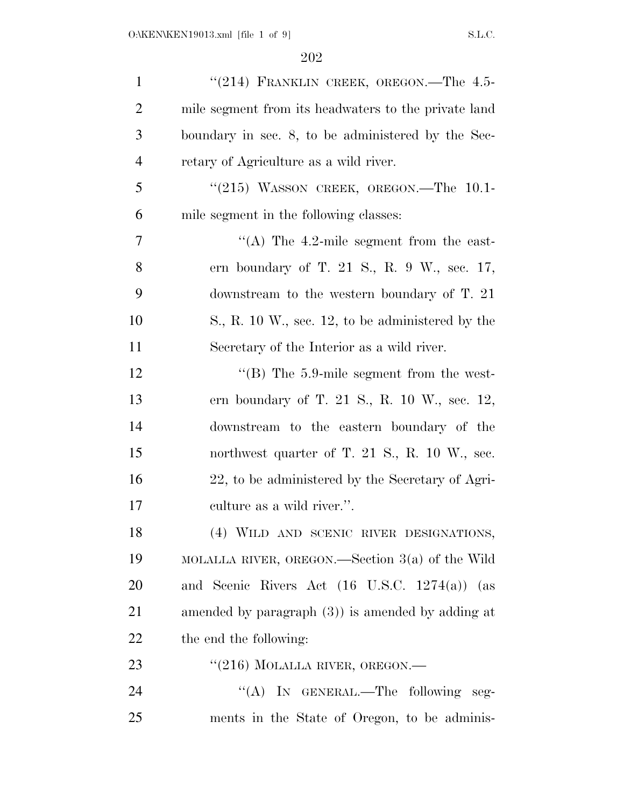| $\mathbf{1}$   | "(214) FRANKLIN CREEK, OREGON. The 4.5-                    |
|----------------|------------------------------------------------------------|
| $\overline{2}$ | mile segment from its headwaters to the private land       |
| 3              | boundary in sec. 8, to be administered by the Sec-         |
| $\overline{4}$ | retary of Agriculture as a wild river.                     |
| 5              | $``(215)$ WASSON CREEK, OREGON.—The 10.1-                  |
| 6              | mile segment in the following classes:                     |
| 7              | "(A) The $4.2$ -mile segment from the east-                |
| 8              | ern boundary of T. 21 S., R. 9 W., sec. $17$ ,             |
| 9              | downstream to the western boundary of $T. 21$              |
| 10             | $S_{\cdot}$ , R. 10 W., sec. 12, to be administered by the |
| 11             | Secretary of the Interior as a wild river.                 |
| 12             | $\cdot$ (B) The 5.9-mile segment from the west-            |
| 13             | ern boundary of T. 21 S., R. 10 W., sec. 12,               |
| 14             | downstream to the eastern boundary of the                  |
| 15             | northwest quarter of T. 21 S., R. 10 W., sec.              |
| 16             | 22, to be administered by the Secretary of Agri-           |
| 17             | culture as a wild river.".                                 |
| 18             | (4) WILD AND SCENIC RIVER DESIGNATIONS,                    |
| 19             | MOLALLA RIVER, OREGON.—Section $3(a)$ of the Wild          |
| 20             | and Scenic Rivers Act (16 U.S.C. 1274(a)) (as              |
| 21             | amended by paragraph $(3)$ ) is amended by adding at       |
| 22             | the end the following:                                     |
| 23             | "(216) MOLALLA RIVER, OREGON.—                             |
| 24             | "(A) IN GENERAL.—The following seg-                        |
| 25             | ments in the State of Oregon, to be adminis-               |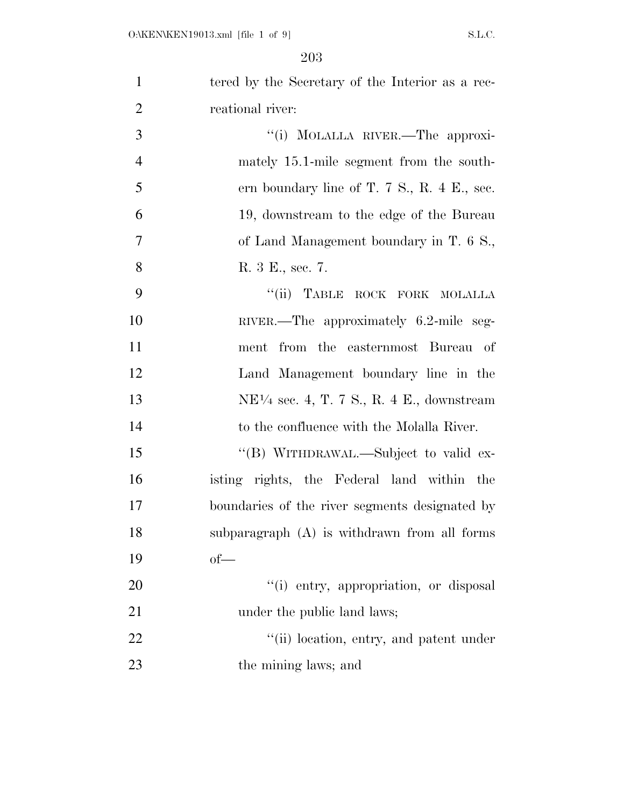| $\mathbf{1}$   | tered by the Secretary of the Interior as a rec-                  |
|----------------|-------------------------------------------------------------------|
| $\overline{2}$ | reational river:                                                  |
| 3              | "(i) MOLALLA RIVER.—The approxi-                                  |
| $\overline{4}$ | mately 15.1-mile segment from the south-                          |
| 5              | ern boundary line of T. $7 \text{ S}$ ., R. $4 \text{ E}$ ., sec. |
| 6              | 19, downstream to the edge of the Bureau                          |
| $\overline{7}$ | of Land Management boundary in T. 6 S.,                           |
| 8              | R. 3 E., sec. 7.                                                  |
| 9              | "(ii) TABLE ROCK FORK MOLALLA                                     |
| 10             | RIVER.—The approximately 6.2-mile seg-                            |
| 11             | ment from the easternmost Bureau of                               |
| 12             | Land Management boundary line in the                              |
| 13             | $NE1/4$ sec. 4, T. 7 S., R. 4 E., downstream                      |
| 14             | to the confluence with the Molalla River.                         |
| 15             | "(B) WITHDRAWAL.—Subject to valid ex-                             |
| 16             | isting rights, the Federal land within the                        |
| 17             | boundaries of the river segments designated by                    |
| 18             | subparagraph (A) is withdrawn from all forms                      |
| 19             | $of$ —                                                            |
| 20             | "(i) entry, appropriation, or disposal                            |
| 21             | under the public land laws;                                       |
| 22             | "(ii) location, entry, and patent under                           |
| 23             | the mining laws; and                                              |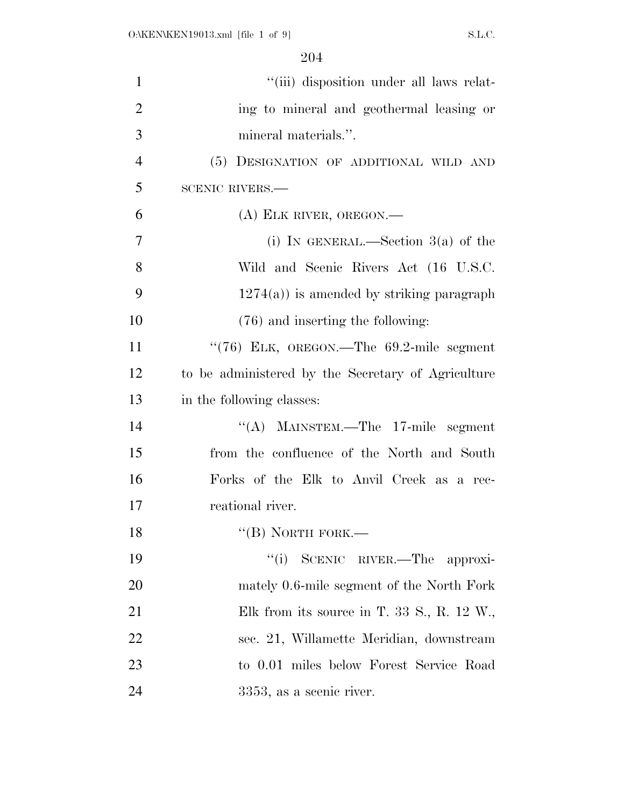| $\mathbf{1}$   | "(iii) disposition under all laws relat-           |
|----------------|----------------------------------------------------|
| $\overline{2}$ | ing to mineral and geothermal leasing or           |
| 3              | mineral materials.".                               |
| $\overline{4}$ | (5) DESIGNATION OF ADDITIONAL WILD AND             |
| 5              | <b>SCENIC RIVERS.—</b>                             |
| 6              | $(A)$ ELK RIVER, OREGON.—                          |
| 7              | (i) IN GENERAL.—Section $3(a)$ of the              |
| 8              | Wild and Scenic Rivers Act (16 U.S.C.              |
| 9              | $1274(a)$ ) is amended by striking paragraph       |
| 10             | (76) and inserting the following:                  |
| 11             | " $(76)$ ELK, OREGON.—The $69.2$ -mile segment     |
| 12             | to be administered by the Secretary of Agriculture |
| 13             | in the following classes:                          |
| 14             | "(A) MAINSTEM.—The $17$ -mile segment              |
| 15             | from the confluence of the North and South         |
| 16             | Forks of the Elk to Anvil Creek as a rec-          |
| 17             | reational river.                                   |
| 18             | $``$ (B) NORTH FORK.—                              |
| 19             | "(i) SCENIC RIVER.—The approxi-                    |
| 20             | mately 0.6-mile segment of the North Fork          |
| 21             | Elk from its source in T. 33 S., R. 12 W.,         |
| 22             | sec. 21, Willamette Meridian, downstream           |
| 23             | to 0.01 miles below Forest Service Road            |
| 24             | 3353, as a scenic river.                           |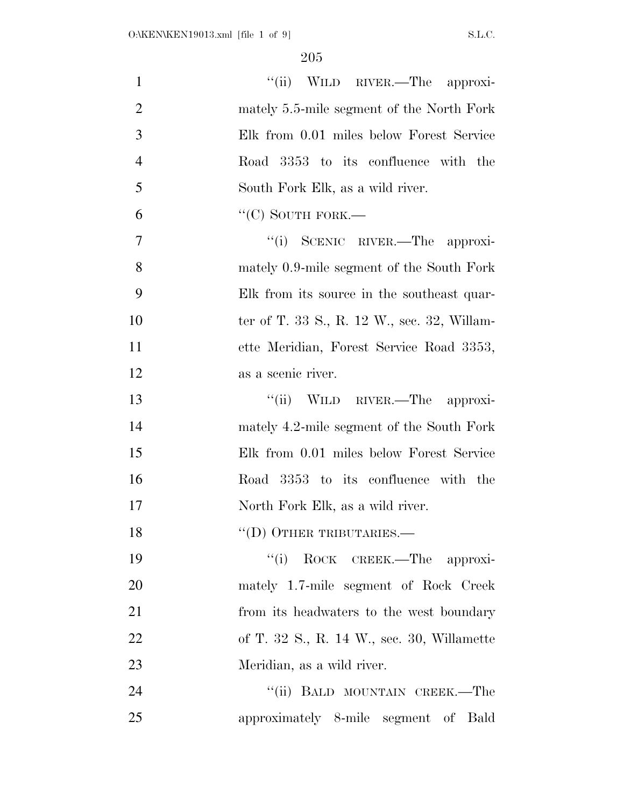| $\mathbf{1}$   | "(ii) WILD RIVER.—The approxi-              |
|----------------|---------------------------------------------|
| $\overline{2}$ | mately 5.5-mile segment of the North Fork   |
| 3              | Elk from 0.01 miles below Forest Service    |
| $\overline{4}$ | Road 3353 to its confluence with the        |
| 5              | South Fork Elk, as a wild river.            |
| 6              | $``$ (C) SOUTH FORK.—                       |
| $\overline{7}$ | "(i) SCENIC RIVER.—The approxi-             |
| 8              | mately 0.9-mile segment of the South Fork   |
| 9              | Elk from its source in the southeast quar-  |
| 10             | ter of T. 33 S., R. 12 W., sec. 32, Willam- |
| 11             | ette Meridian, Forest Service Road 3353,    |
| 12             | as a scenic river.                          |
| 13             | "(ii) WILD RIVER.—The approxi-              |
| 14             | mately 4.2-mile segment of the South Fork   |
| 15             | Elk from 0.01 miles below Forest Service    |
| 16             | Road 3353 to its confluence with the        |
| 17             | North Fork Elk, as a wild river.            |
| 18             | $\lq\lq$ (D) OTHER TRIBUTARIES.—            |
| 19             | "(i) ROCK CREEK.—The approxi-               |
| 20             | mately 1.7-mile segment of Rock Creek       |
| 21             | from its headwaters to the west boundary    |
| 22             | of T. 32 S., R. 14 W., sec. 30, Willamette  |
| 23             | Meridian, as a wild river.                  |
| 24             | "(ii) BALD MOUNTAIN CREEK.—The              |
| 25             | approximately 8-mile segment of Bald        |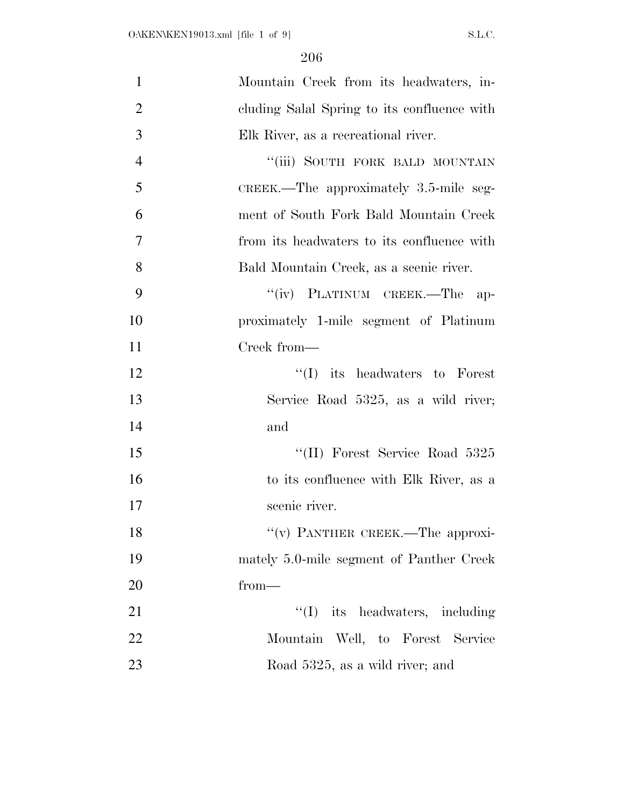| $\mathbf{1}$   | Mountain Creek from its headwaters, in-     |
|----------------|---------------------------------------------|
| $\overline{2}$ | cluding Salal Spring to its confluence with |
| 3              | Elk River, as a recreational river.         |
| $\overline{4}$ | "(iii) SOUTH FORK BALD MOUNTAIN             |
| 5              | $CREEK$ . The approximately 3.5-mile seg-   |
| 6              | ment of South Fork Bald Mountain Creek      |
| $\overline{7}$ | from its headwaters to its confluence with  |
| 8              | Bald Mountain Creek, as a scenic river.     |
| 9              | "(iv) PLATINUM CREEK.—The ap-               |
| 10             | proximately 1-mile segment of Platinum      |
| 11             | Creek from—                                 |
| 12             | $\lq\lq$ its headwaters to Forest           |
| 13             | Service Road 5325, as a wild river;         |
| 14             | and                                         |
| 15             | "(II) Forest Service Road 5325              |
| 16             | to its confluence with Elk River, as a      |
| 17             | scenic river.                               |
| 18             | "(v) PANTHER CREEK.—The approxi-            |
| 19             | mately 5.0-mile segment of Panther Creek    |
| 20             | $from-$                                     |
| 21             | $\lq\lq$ its headwaters, including          |
| 22             | Mountain Well, to Forest Service            |
| 23             | Road 5325, as a wild river; and             |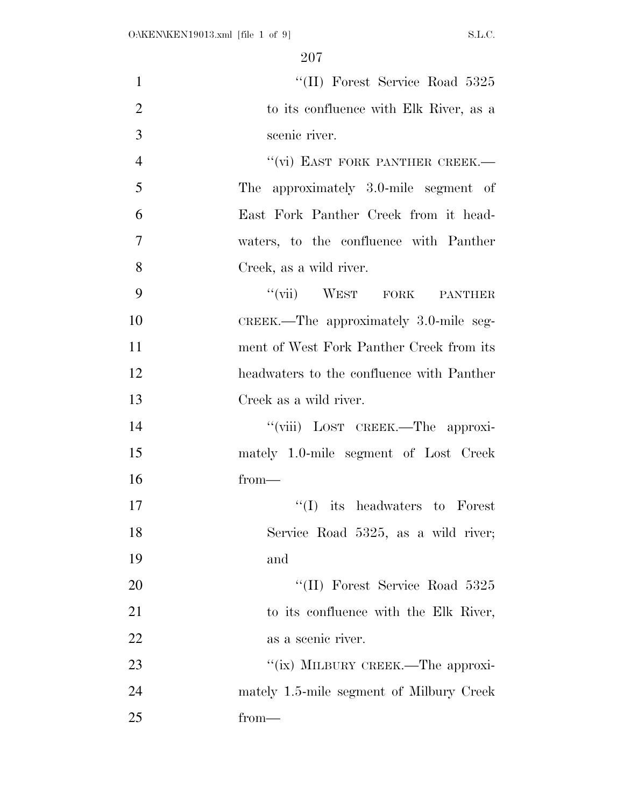| $\mathbf{1}$   | "(II) Forest Service Road 5325            |
|----------------|-------------------------------------------|
| $\overline{2}$ | to its confluence with Elk River, as a    |
| 3              | scenic river.                             |
| $\overline{4}$ | "(vi) EAST FORK PANTHER CREEK.—           |
| 5              | The approximately 3.0-mile segment of     |
| 6              | East Fork Panther Creek from it head-     |
| $\overline{7}$ | waters, to the confluence with Panther    |
| 8              | Creek, as a wild river.                   |
| 9              | "(vii) WEST FORK PANTHER                  |
| 10             | CREEK.—The approximately 3.0-mile seg-    |
| 11             | ment of West Fork Panther Creek from its  |
| 12             | headwaters to the confluence with Panther |
| 13             | Creek as a wild river.                    |
| 14             | "(viii) LOST CREEK.—The approxi-          |
| 15             | mately 1.0-mile segment of Lost Creek     |
| 16             | from-                                     |
| 17             | ``(I)<br>its headwaters to Forest         |
| 18             | Service Road 5325, as a wild river;       |
| 19             | and                                       |
| 20             | "(II) Forest Service Road 5325            |
| 21             | to its confluence with the Elk River,     |
| 22             | as a scenic river.                        |
| 23             | "(ix) MILBURY CREEK.—The approxi-         |
| 24             | mately 1.5-mile segment of Milbury Creek  |
| 25             | $from-$                                   |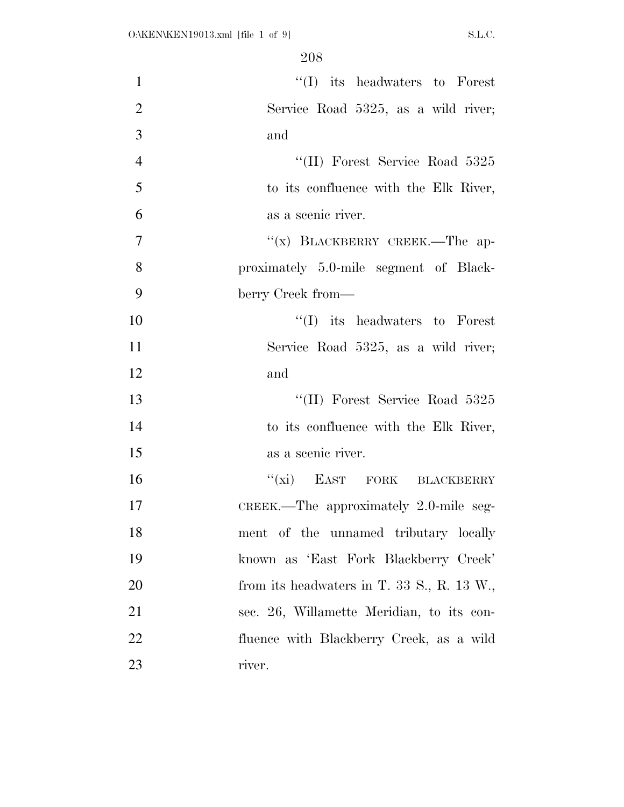| $\mathbf{1}$   | $\lq\lq$ its headwaters to Forest          |
|----------------|--------------------------------------------|
| $\overline{2}$ | Service Road 5325, as a wild river;        |
| 3              | and                                        |
| $\overline{4}$ | "(II) Forest Service Road 5325             |
| 5              | to its confluence with the Elk River,      |
| 6              | as a scenic river.                         |
| $\overline{7}$ | "(x) BLACKBERRY CREEK.—The ap-             |
| 8              | proximately 5.0-mile segment of Black-     |
| 9              | berry Creek from—                          |
| 10             | $\lq\lq$ its headwaters to Forest          |
| 11             | Service Road 5325, as a wild river;        |
| 12             | and                                        |
| 13             | "(II) Forest Service Road 5325             |
| 14             | to its confluence with the Elk River,      |
| 15             | as a scenic river.                         |
| 16             | "(xi) EAST FORK BLACKBERRY                 |
| 17             | CREEK.—The approximately $2.0$ -mile seg-  |
| 18             | ment of the unnamed tributary locally      |
| 19             | known as 'East Fork Blackberry Creek'      |
| 20             | from its headwaters in T. 33 S., R. 13 W., |
| 21             | sec. 26, Willamette Meridian, to its con-  |
| 22             | fluence with Blackberry Creek, as a wild   |
| 23             | river.                                     |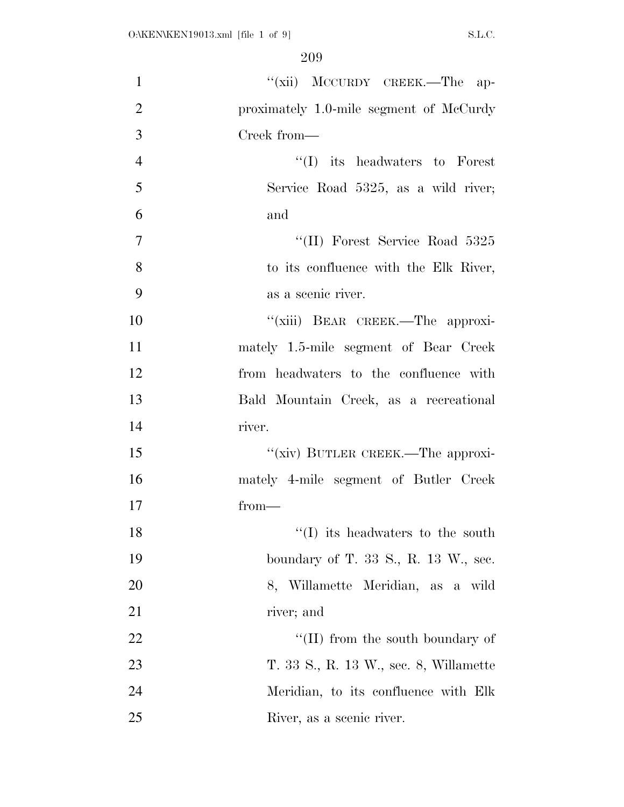| $\mathbf{1}$   | "(xii) MCCURDY CREEK.—The ap-           |
|----------------|-----------------------------------------|
| $\overline{2}$ | proximately 1.0-mile segment of McCurdy |
| 3              | Creek from—                             |
| $\overline{4}$ | $\lq\lq$ its headwaters to Forest       |
| 5              | Service Road 5325, as a wild river;     |
| 6              | and                                     |
| $\overline{7}$ | "(II) Forest Service Road 5325          |
| 8              | to its confluence with the Elk River,   |
| 9              | as a scenic river.                      |
| 10             | "(xiii) BEAR CREEK.—The approxi-        |
| 11             | mately 1.5-mile segment of Bear Creek   |
| 12             | from headwaters to the confluence with  |
| 13             | Bald Mountain Creek, as a recreational  |
| 14             | river.                                  |
| 15             | "(xiv) BUTLER CREEK.—The approxi-       |
| 16             | mately 4-mile segment of Butler Creek   |
| 17             | $from-$                                 |
| 18             | $\lq\lq$ its headwaters to the south    |
| 19             | boundary of T. 33 S., R. 13 W., sec.    |
| 20             | 8, Willamette Meridian, as a wild       |
| 21             | river; and                              |
| 22             | $\lq (II)$ from the south boundary of   |
| 23             | T. 33 S., R. 13 W., sec. 8, Willamette  |
| 24             | Meridian, to its confluence with Elk    |
| 25             | River, as a scenic river.               |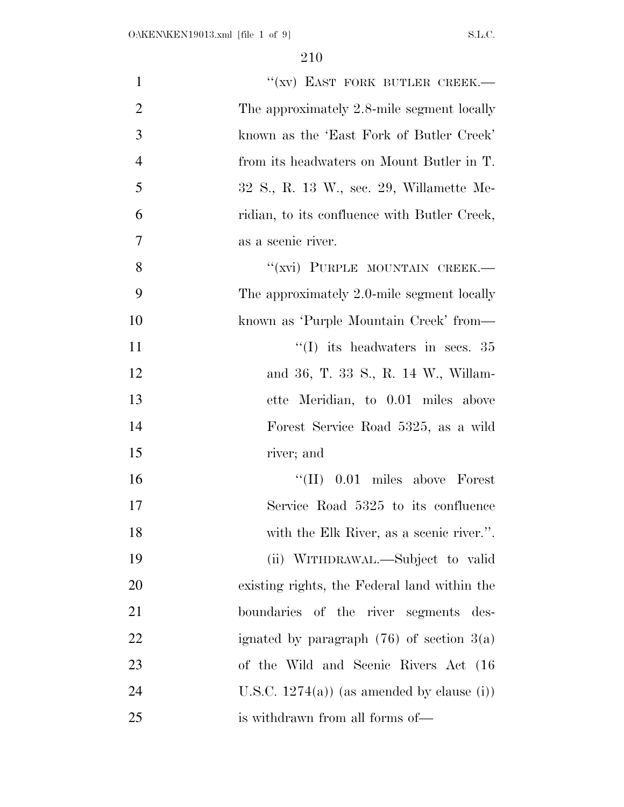| $\mathbf{1}$   | "(XV) EAST FORK BUTLER CREEK.-                |
|----------------|-----------------------------------------------|
| $\overline{2}$ | The approximately 2.8-mile segment locally    |
| 3              | known as the 'East Fork of Butler Creek'      |
| $\overline{4}$ | from its headwaters on Mount Butler in T.     |
| 5              | 32 S., R. 13 W., sec. 29, Willamette Me-      |
| 6              | ridian, to its confluence with Butler Creek,  |
| $\tau$         | as a scenic river.                            |
| 8              | "(xvi) PURPLE MOUNTAIN CREEK.-                |
| 9              | The approximately 2.0-mile segment locally    |
| 10             | known as 'Purple Mountain Creek' from—        |
| 11             | $\lq(1)$ its headwaters in secs. 35           |
| 12             | and 36, T. 33 S., R. 14 W., Willam-           |
| 13             | ette Meridian, to 0.01 miles above            |
| 14             | Forest Service Road 5325, as a wild           |
| 15             | river; and                                    |
| 16             | $\lq\lq$ (II) 0.01 miles above Forest         |
| 17             | Service Road 5325 to its confluence           |
| 18             | with the Elk River, as a scenic river.".      |
| 19             | (ii) WITHDRAWAL.—Subject to valid             |
| 20             | existing rights, the Federal land within the  |
| 21             | boundaries of the river segments des-         |
| 22             | ignated by paragraph $(76)$ of section $3(a)$ |
| 23             | of the Wild and Scenic Rivers Act (16         |
| 24             | U.S.C. $1274(a)$ ) (as amended by clause (i)) |
| 25             | is withdrawn from all forms of—               |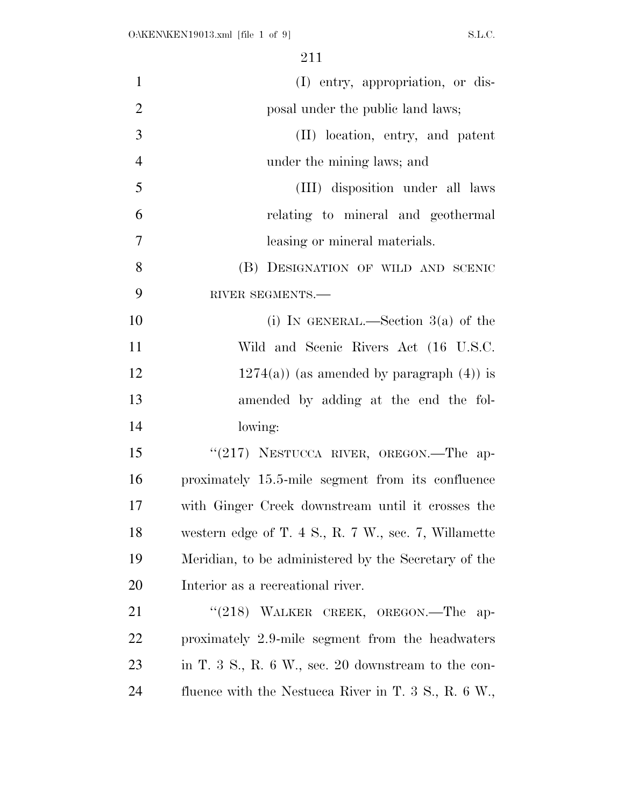| $\mathbf{1}$   | (I) entry, appropriation, or dis-                                           |
|----------------|-----------------------------------------------------------------------------|
| $\overline{2}$ | posal under the public land laws;                                           |
| 3              | (II) location, entry, and patent                                            |
| $\overline{4}$ | under the mining laws; and                                                  |
| 5              | (III) disposition under all laws                                            |
| 6              | relating to mineral and geothermal                                          |
| $\overline{7}$ | leasing or mineral materials.                                               |
| 8              | (B) DESIGNATION OF WILD AND SCENIC                                          |
| 9              | RIVER SEGMENTS.-                                                            |
| 10             | (i) IN GENERAL.—Section $3(a)$ of the                                       |
| 11             | Wild and Scenic Rivers Act (16 U.S.C.                                       |
| 12             | $1274(a)$ (as amended by paragraph $(4)$ ) is                               |
| 13             | amended by adding at the end the fol-                                       |
| 14             | lowing:                                                                     |
| 15             | "(217) NESTUCCA RIVER, OREGON.—The ap-                                      |
| 16             | proximately 15.5-mile segment from its confluence                           |
| 17             | with Ginger Creek downstream until it crosses the                           |
| 18             | western edge of T. $4 \text{ S}$ , R. $7 \text{ W}$ , sec. $7$ , Willamette |
| 19             | Meridian, to be administered by the Secretary of the                        |
| 20             | Interior as a recreational river.                                           |
| 21             | " $(218)$ WALKER CREEK, OREGON.—The ap-                                     |
| <u>22</u>      | proximately 2.9-mile segment from the headwaters                            |
| 23             | in T. 3 S., R. 6 W., sec. 20 downstream to the con-                         |
| 24             | fluence with the Nestucca River in T. $3 \text{ S}$ , R. $6 \text{ W}$ .    |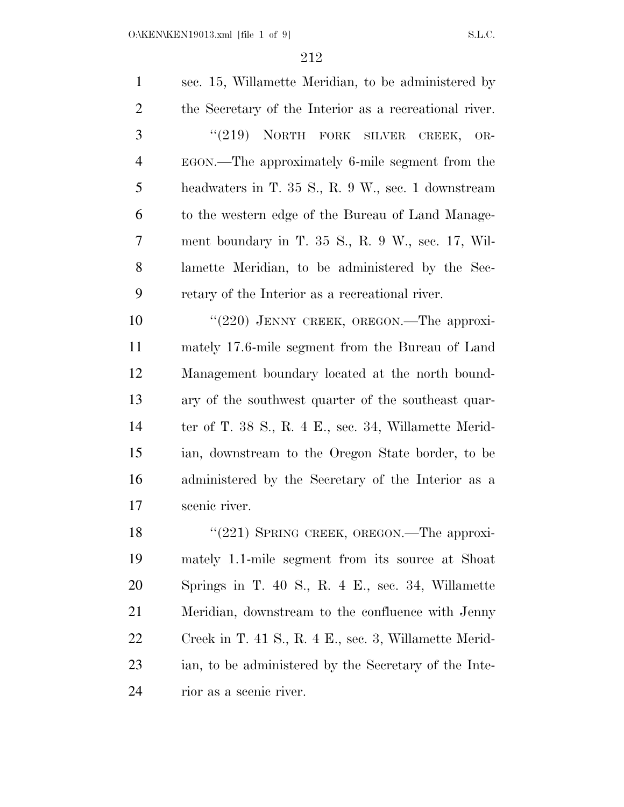| $\mathbf{1}$   | sec. 15, Willamette Meridian, to be administered by         |
|----------------|-------------------------------------------------------------|
| $\overline{2}$ | the Secretary of the Interior as a recreational river.      |
| 3              | "(219) NORTH FORK SILVER CREEK, OR-                         |
| $\overline{4}$ | EGON.—The approximately 6-mile segment from the             |
| 5              | headwaters in T. 35 S., R. 9 W., sec. 1 downstream          |
| 6              | to the western edge of the Bureau of Land Manage-           |
| 7              | ment boundary in T. $35$ S., R. 9 W., sec. 17, Wil-         |
| 8              | lamette Meridian, to be administered by the Sec-            |
| 9              | retary of the Interior as a recreational river.             |
| 10             | " $(220)$ JENNY CREEK, OREGON.—The approxi-                 |
| 11             | mately 17.6-mile segment from the Bureau of Land            |
| 12             | Management boundary located at the north bound-             |
| 13             | ary of the southwest quarter of the southeast quar-         |
| 14             | ter of T. $38$ S., R. $4$ E., sec. $34$ , Willamette Merid- |
| 15             | ian, downstream to the Oregon State border, to be           |
| 16             | administered by the Secretary of the Interior as a          |
| 17             | scenic river.                                               |
| 18             | " $(221)$ SPRING CREEK, OREGON.—The approxi-                |
| 19             | mately 1.1-mile segment from its source at Shoat            |
| 20             | Springs in $T_{40}$ S R 4 E see 34 Willamette               |

 Springs in T. 40 S., R. 4 E., sec. 34, Willamette Meridian, downstream to the confluence with Jenny Creek in T. 41 S., R. 4 E., sec. 3, Willamette Merid- ian, to be administered by the Secretary of the Inte-rior as a scenic river.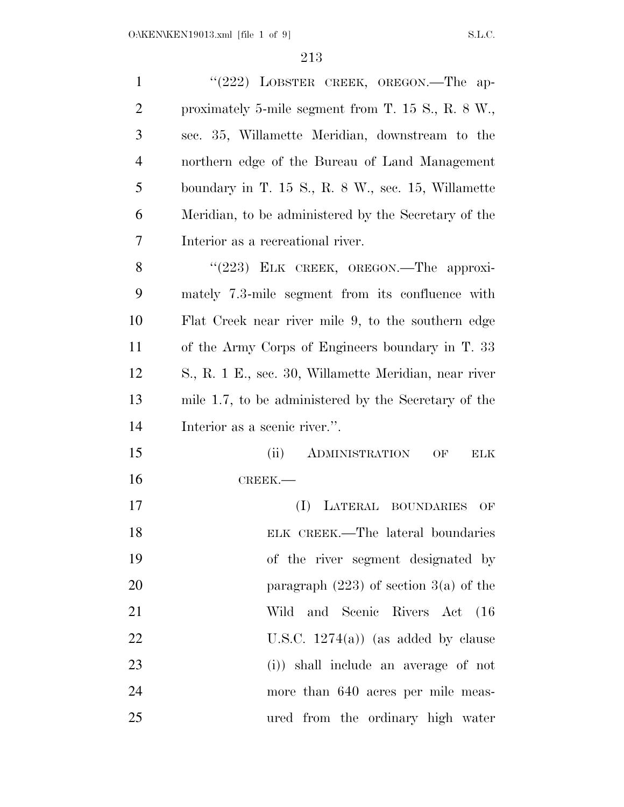| $\mathbf{1}$   | " $(222)$ LOBSTER CREEK, OREGON.—The ap-                |
|----------------|---------------------------------------------------------|
| $\overline{2}$ | proximately 5-mile segment from T. $15 S., R. 8 W.,$    |
| 3              | sec. 35, Willamette Meridian, downstream to the         |
| $\overline{4}$ | northern edge of the Bureau of Land Management          |
| 5              | boundary in T. $15 S., R. 8 W.,$ sec. $15$ , Willamette |
| 6              | Meridian, to be administered by the Secretary of the    |
| 7              | Interior as a recreational river.                       |
| 8              | " $(223)$ ELK CREEK, OREGON.—The approxi-               |
| 9              | mately 7.3-mile segment from its confluence with        |
| 10             | Flat Creek near river mile 9, to the southern edge      |
| 11             | of the Army Corps of Engineers boundary in T. 33        |
| 12             | S., R. 1 E., sec. 30, Willamette Meridian, near river   |
| 13             | mile 1.7, to be administered by the Secretary of the    |
| 14             | Interior as a scenic river.".                           |
| 15             | (ii)<br>ADMINISTRATION<br>OF<br>ELK                     |
| 16             | CREEK.-                                                 |
| 17             | LATERAL BOUNDARIES<br>(I)<br>OF                         |
| 18             | ELK CREEK.—The lateral boundaries                       |
| 19             | of the river segment designated by                      |
| 20             | paragraph $(223)$ of section 3(a) of the                |
| 21             | Wild and Scenic Rivers Act (16                          |
| 22             | U.S.C. $1274(a)$ (as added by clause                    |
| 23             | (i)) shall include an average of not                    |
| 24             | more than 640 acres per mile meas-                      |
| 25             | ured from the ordinary high water                       |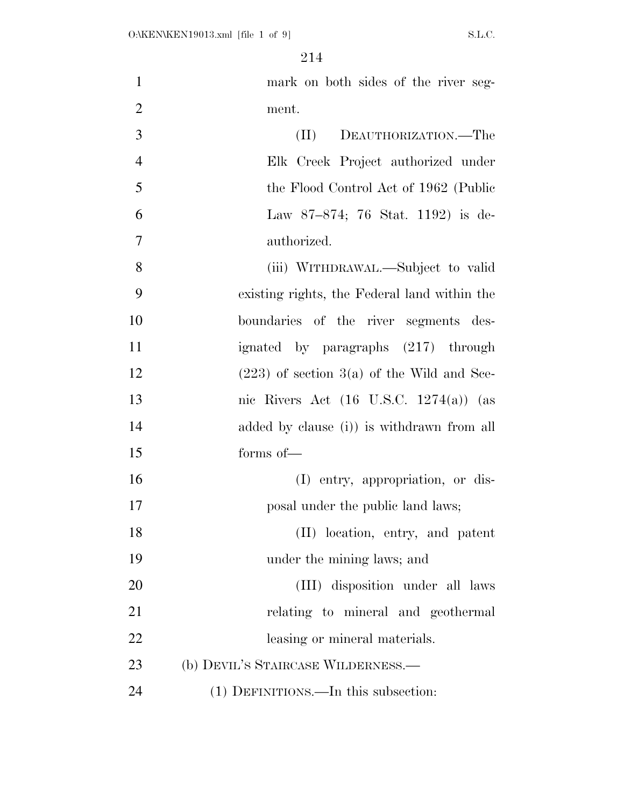mark on both sides of the river seg- ment. (II) DEAUTHORIZATION.—The Elk Creek Project authorized under the Flood Control Act of 1962 (Public Law 87–874; 76 Stat. 1192) is de- authorized. (iii) WITHDRAWAL.—Subject to valid existing rights, the Federal land within the boundaries of the river segments des- ignated by paragraphs (217) through 12 (223) of section  $3(a)$  of the Wild and Sce- nic Rivers Act (16 U.S.C. 1274(a)) (as added by clause (i)) is withdrawn from all forms of— (I) entry, appropriation, or dis-**posal under the public land laws;** 18 (II) location, entry, and patent under the mining laws; and (III) disposition under all laws 21 relating to mineral and geothermal 22 leasing or mineral materials. (b) DEVIL'S STAIRCASE WILDERNESS.— (1) DEFINITIONS.—In this subsection: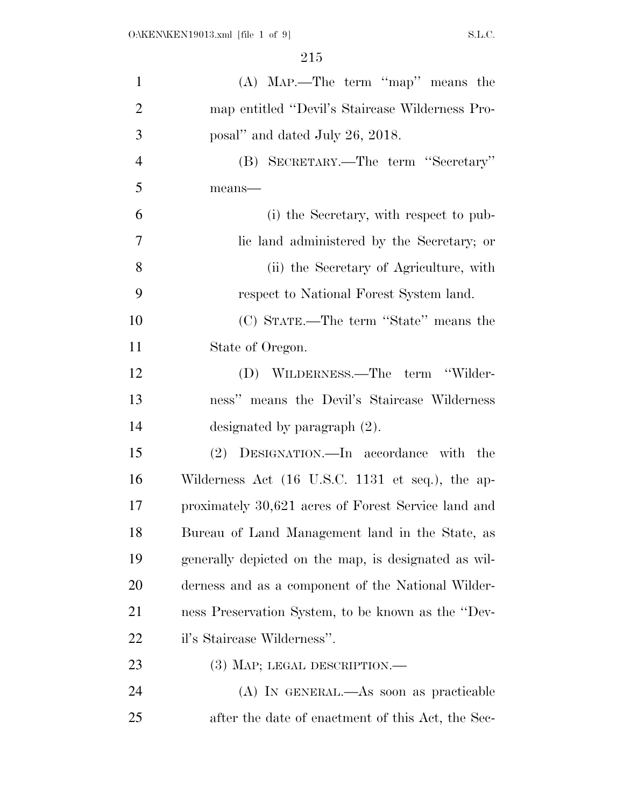| $\mathbf{1}$   | $(A)$ MAP.—The term "map" means the                  |
|----------------|------------------------------------------------------|
| $\overline{2}$ | map entitled "Devil's Staircase Wilderness Pro-      |
| 3              | posal" and dated July 26, 2018.                      |
| $\overline{4}$ | (B) SECRETARY.—The term "Secretary"                  |
| 5              | means-                                               |
| 6              | (i) the Secretary, with respect to pub-              |
| 7              | lic land administered by the Secretary; or           |
| 8              | (ii) the Secretary of Agriculture, with              |
| 9              | respect to National Forest System land.              |
| 10             | (C) STATE.—The term "State" means the                |
| 11             | State of Oregon.                                     |
| 12             | (D) WILDERNESS.—The term "Wilder-                    |
| 13             | ness" means the Devil's Staircase Wilderness         |
| 14             | designated by paragraph $(2)$ .                      |
| 15             | (2) DESIGNATION.—In accordance with the              |
| 16             | Wilderness Act (16 U.S.C. 1131 et seq.), the ap-     |
| 17             | proximately 30,621 acres of Forest Service land and  |
| 18             | Bureau of Land Management land in the State, as      |
| 19             | generally depicted on the map, is designated as wil- |
| 20             | derness and as a component of the National Wilder-   |
| 21             | ness Preservation System, to be known as the "Dev-   |
| 22             | il's Staircase Wilderness".                          |
| 23             | (3) MAP; LEGAL DESCRIPTION.—                         |
| 24             | (A) IN GENERAL.—As soon as practicable               |
| 25             | after the date of enactment of this Act, the Sec-    |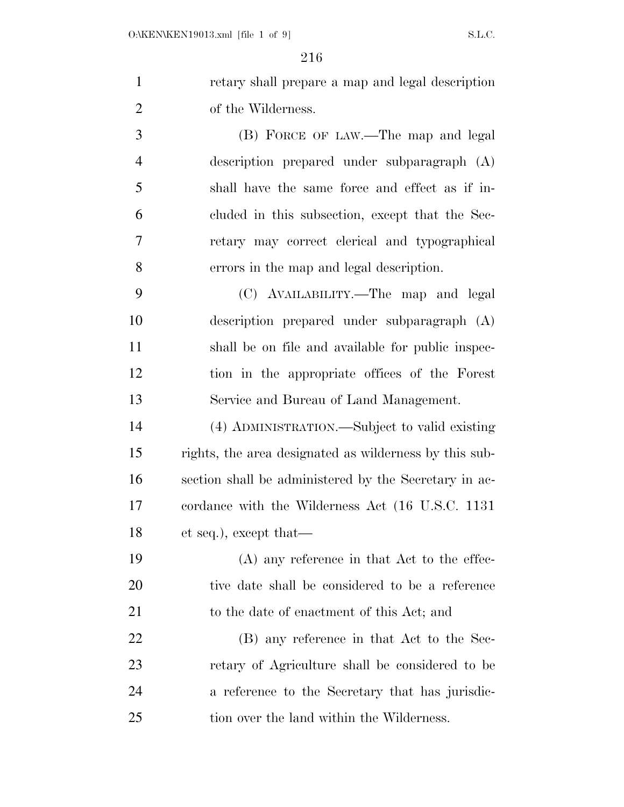retary shall prepare a map and legal description of the Wilderness.

 (B) FORCE OF LAW.—The map and legal description prepared under subparagraph (A) shall have the same force and effect as if in- cluded in this subsection, except that the Sec- retary may correct clerical and typographical errors in the map and legal description.

 (C) AVAILABILITY.—The map and legal description prepared under subparagraph (A) shall be on file and available for public inspec- tion in the appropriate offices of the Forest Service and Bureau of Land Management.

 (4) ADMINISTRATION.—Subject to valid existing rights, the area designated as wilderness by this sub- section shall be administered by the Secretary in ac- cordance with the Wilderness Act (16 U.S.C. 1131 et seq.), except that—

 (A) any reference in that Act to the effec- tive date shall be considered to be a reference 21 to the date of enactment of this Act; and

 (B) any reference in that Act to the Sec- retary of Agriculture shall be considered to be a reference to the Secretary that has jurisdic-25 tion over the land within the Wilderness.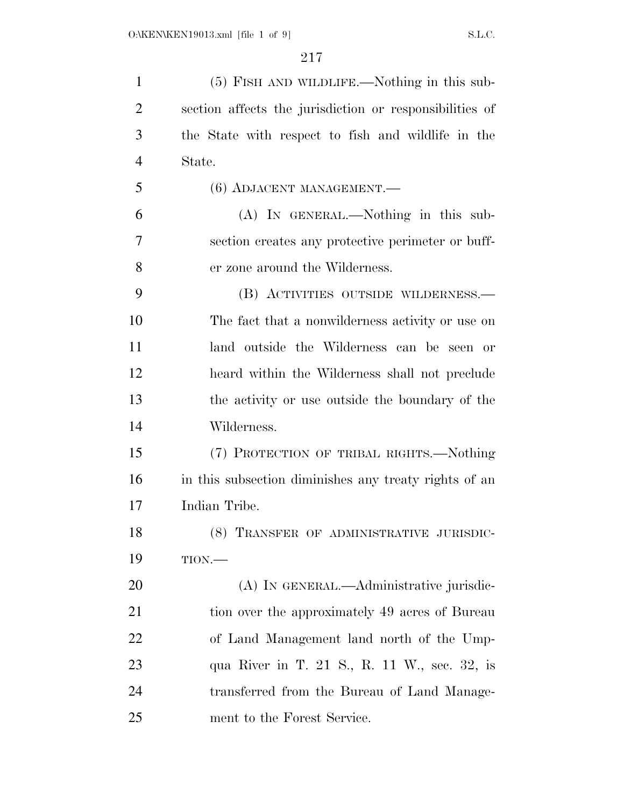| $\mathbf{1}$   | (5) FISH AND WILDLIFE.—Nothing in this sub-             |
|----------------|---------------------------------------------------------|
| $\overline{2}$ | section affects the jurisdiction or responsibilities of |
| 3              | the State with respect to fish and wildlife in the      |
| $\overline{4}$ | State.                                                  |
| 5              | (6) ADJACENT MANAGEMENT.-                               |
| 6              | (A) IN GENERAL.—Nothing in this sub-                    |
| $\overline{7}$ | section creates any protective perimeter or buff-       |
| 8              | er zone around the Wilderness.                          |
| 9              | (B) ACTIVITIES OUTSIDE WILDERNESS.—                     |
| 10             | The fact that a nonwilderness activity or use on        |
| 11             | land outside the Wilderness can be seen or              |
| 12             | heard within the Wilderness shall not preclude          |
| 13             | the activity or use outside the boundary of the         |
| 14             | Wilderness.                                             |
| 15             | (7) PROTECTION OF TRIBAL RIGHTS.—Nothing                |
| 16             | in this subsection diminishes any treaty rights of an   |
| 17             | Indian Tribe.                                           |
| 18             | (8) TRANSFER OF ADMINISTRATIVE JURISDIC-                |
| 19             | $TION$ .                                                |
| 20             | (A) IN GENERAL.—Administrative jurisdic-                |
| 21             | tion over the approximately 49 acres of Bureau          |
| 22             | of Land Management land north of the Ump-               |
| 23             | qua River in T. 21 S., R. 11 W., sec. 32, is            |
| 24             | transferred from the Bureau of Land Manage-             |
| 25             | ment to the Forest Service.                             |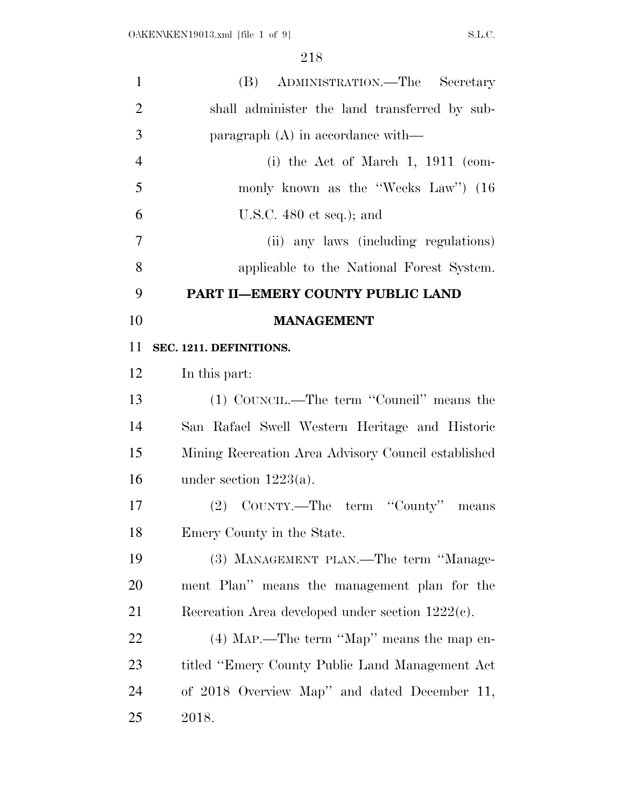| $\mathbf{1}$   | (B) ADMINISTRATION.—The Secretary                   |
|----------------|-----------------------------------------------------|
| $\overline{2}$ | shall administer the land transferred by sub-       |
| 3              | paragraph $(A)$ in accordance with—                 |
| $\overline{4}$ | (i) the Act of March 1, 1911 (com-                  |
| 5              | monly known as the "Weeks Law" (16                  |
| 6              | U.S.C. $480$ et seq.); and                          |
| $\overline{7}$ | (ii) any laws (including regulations)               |
| 8              | applicable to the National Forest System.           |
| 9              | PART II-EMERY COUNTY PUBLIC LAND                    |
| 10             | <b>MANAGEMENT</b>                                   |
| 11             | SEC. 1211. DEFINITIONS.                             |
| 12             | In this part:                                       |
| 13             | (1) COUNCIL.—The term "Council" means the           |
| 14             | San Rafael Swell Western Heritage and Historic      |
| 15             | Mining Recreation Area Advisory Council established |
| 16             | under section $1223(a)$ .                           |
| 17             | (2) COUNTY.—The term "County" means                 |
| 18             | Emery County in the State.                          |
| 19             | (3) MANAGEMENT PLAN.—The term "Manage-              |
| 20             | ment Plan" means the management plan for the        |
| 21             | Recreation Area developed under section $1222(c)$ . |
| 22             | $(4)$ MAP.—The term "Map" means the map en-         |
| 23             | titled "Emery County Public Land Management Act     |
| 24             | of 2018 Overview Map" and dated December 11,        |
| 25             | 2018.                                               |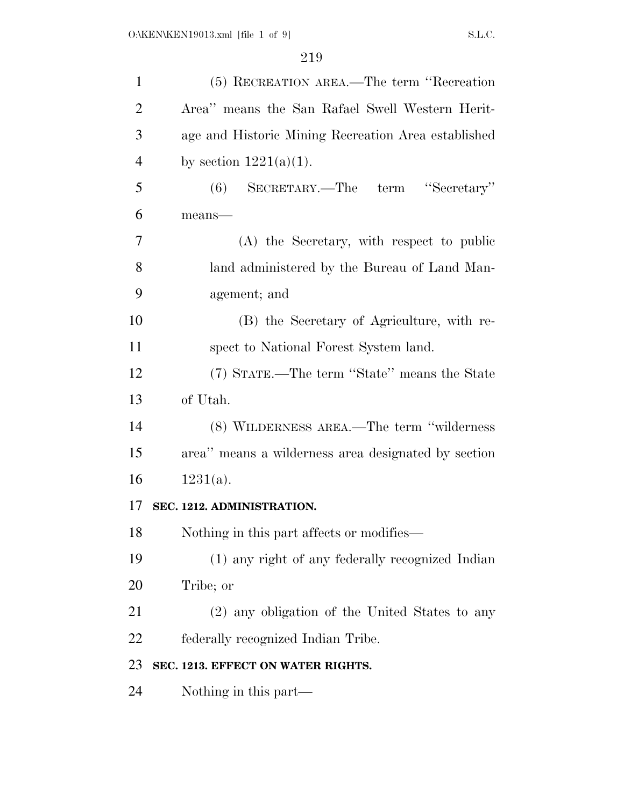| $\mathbf{1}$   | (5) RECREATION AREA.—The term "Recreation           |
|----------------|-----------------------------------------------------|
| $\overline{2}$ | Area" means the San Rafael Swell Western Herit-     |
| 3              | age and Historic Mining Recreation Area established |
| $\overline{4}$ | by section $1221(a)(1)$ .                           |
| 5              | SECRETARY.—The term "Secretary"<br>(6)              |
| 6              | $means$ —                                           |
| 7              | (A) the Secretary, with respect to public           |
| 8              | land administered by the Bureau of Land Man-        |
| 9              | agement; and                                        |
| 10             | (B) the Secretary of Agriculture, with re-          |
| 11             | spect to National Forest System land.               |
| 12             | (7) STATE.—The term "State" means the State         |
| 13             | of Utah.                                            |
| 14             | (8) WILDERNESS AREA.—The term "wilderness           |
| 15             | area" means a wilderness area designated by section |
| 16             | $1231(a)$ .                                         |
| 17             | SEC. 1212. ADMINISTRATION.                          |
| 18             | Nothing in this part affects or modifies—           |
| 19             | (1) any right of any federally recognized Indian    |
| 20             | Tribe; or                                           |
| 21             | (2) any obligation of the United States to any      |
| 22             | federally recognized Indian Tribe.                  |
| 23             | SEC. 1213. EFFECT ON WATER RIGHTS.                  |
| 24             | Nothing in this part—                               |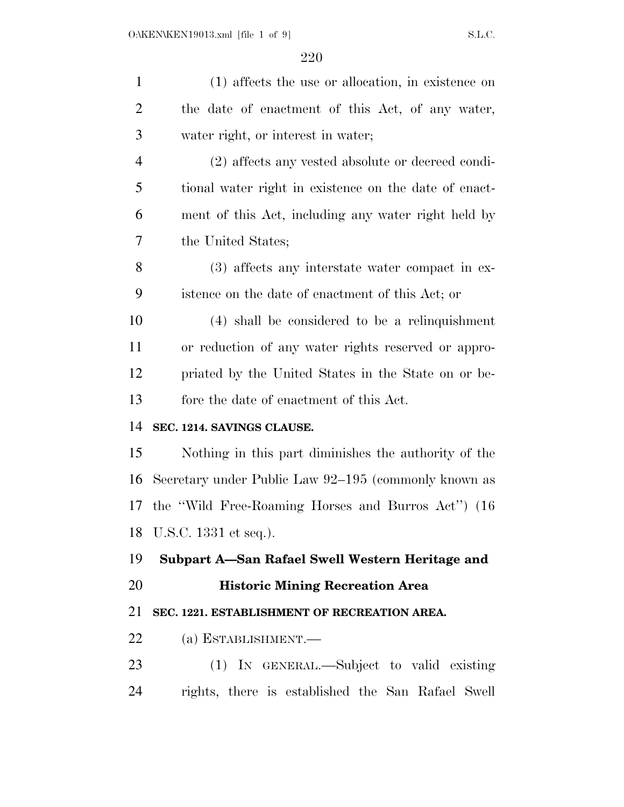| $\mathbf{1}$   | (1) affects the use or allocation, in existence on    |
|----------------|-------------------------------------------------------|
| $\overline{2}$ | the date of enactment of this Act, of any water,      |
| 3              | water right, or interest in water;                    |
| $\overline{4}$ | (2) affects any vested absolute or decreed condi-     |
| 5              | tional water right in existence on the date of enact- |
| 6              | ment of this Act, including any water right held by   |
| 7              | the United States;                                    |
| 8              | (3) affects any interstate water compact in ex-       |
| 9              | istence on the date of enactment of this Act; or      |
| 10             | (4) shall be considered to be a relinquishment        |
| 11             | or reduction of any water rights reserved or appro-   |
| 12             | priated by the United States in the State on or be-   |
| 13             | fore the date of enactment of this Act.               |
| 14             | SEC. 1214. SAVINGS CLAUSE.                            |
| 15             | Nothing in this part diminishes the authority of the  |
| 16             | Secretary under Public Law 92–195 (commonly known as  |
| 17             | the "Wild Free-Roaming Horses and Burros Act") (16    |
|                | 18 U.S.C. 1331 et seq.).                              |
| 19             | Subpart A-San Rafael Swell Western Heritage and       |
| 20             | <b>Historic Mining Recreation Area</b>                |
| 21             | SEC. 1221. ESTABLISHMENT OF RECREATION AREA.          |
| 22             | $(a)$ ESTABLISHMENT.—                                 |
| 23             | (1) IN GENERAL.—Subject to valid existing             |
| 24             | rights, there is established the San Rafael Swell     |
|                |                                                       |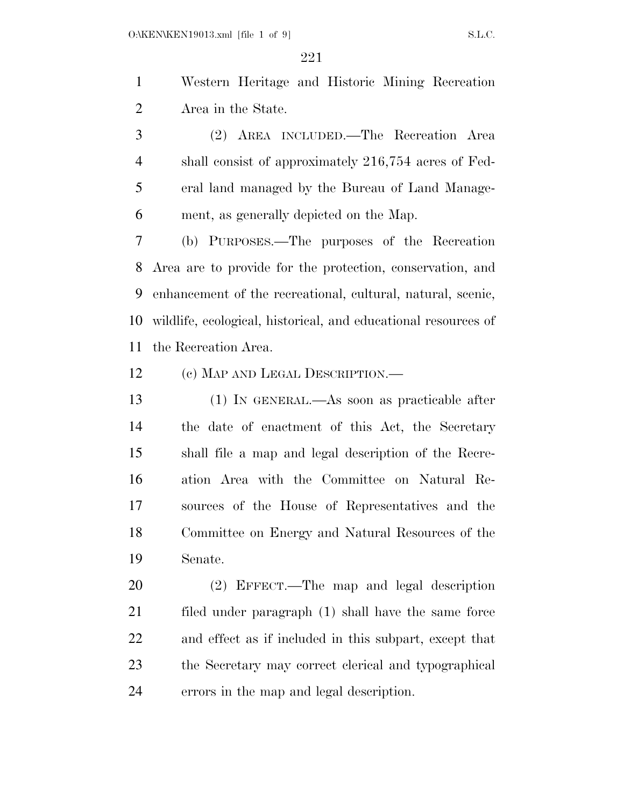Western Heritage and Historic Mining Recreation Area in the State.

 (2) AREA INCLUDED.—The Recreation Area shall consist of approximately 216,754 acres of Fed- eral land managed by the Bureau of Land Manage-ment, as generally depicted on the Map.

 (b) PURPOSES.—The purposes of the Recreation Area are to provide for the protection, conservation, and enhancement of the recreational, cultural, natural, scenic, wildlife, ecological, historical, and educational resources of the Recreation Area.

(c) MAP AND LEGAL DESCRIPTION.—

 (1) IN GENERAL.—As soon as practicable after the date of enactment of this Act, the Secretary shall file a map and legal description of the Recre- ation Area with the Committee on Natural Re- sources of the House of Representatives and the Committee on Energy and Natural Resources of the Senate.

 (2) EFFECT.—The map and legal description filed under paragraph (1) shall have the same force and effect as if included in this subpart, except that the Secretary may correct clerical and typographical errors in the map and legal description.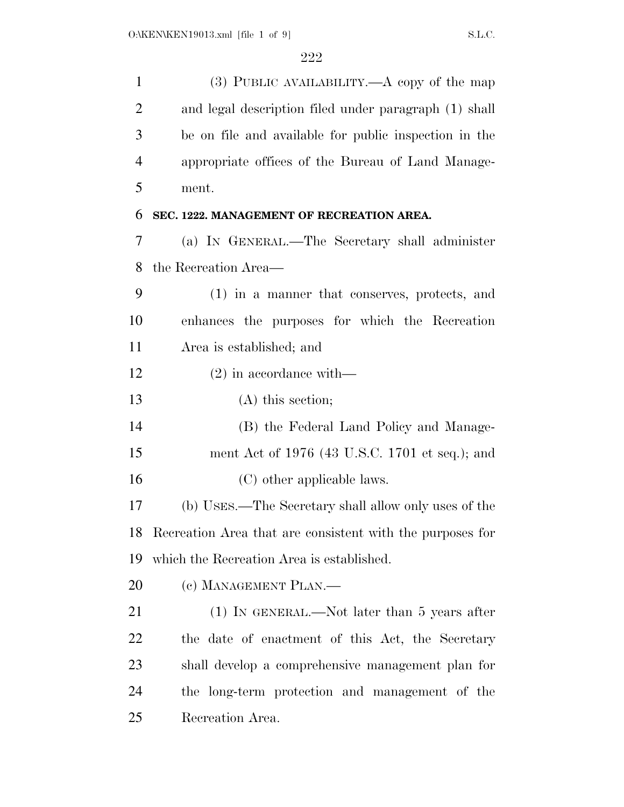| $\mathbf{1}$   | (3) PUBLIC AVAILABILITY.— $A$ copy of the map             |
|----------------|-----------------------------------------------------------|
| $\overline{2}$ | and legal description filed under paragraph (1) shall     |
| 3              | be on file and available for public inspection in the     |
| $\overline{4}$ | appropriate offices of the Bureau of Land Manage-         |
| 5              | ment.                                                     |
| 6              | SEC. 1222. MANAGEMENT OF RECREATION AREA.                 |
| 7              | (a) IN GENERAL.—The Secretary shall administer            |
| 8              | the Recreation Area—                                      |
| 9              | (1) in a manner that conserves, protects, and             |
| 10             | enhances the purposes for which the Recreation            |
| 11             | Area is established; and                                  |
| 12             | $(2)$ in accordance with—                                 |
| 13             | $(A)$ this section;                                       |
| 14             | (B) the Federal Land Policy and Manage-                   |
| 15             | ment Act of 1976 (43 U.S.C. 1701 et seq.); and            |
| 16             | (C) other applicable laws.                                |
| 17             | (b) USES.—The Secretary shall allow only uses of the      |
| 18             | Recreation Area that are consistent with the purposes for |
| 19             | which the Recreation Area is established.                 |
| 20             | (c) MANAGEMENT PLAN.—                                     |
| 21             | $(1)$ In GENERAL.—Not later than 5 years after            |
| 22             | the date of enactment of this Act, the Secretary          |
| 23             | shall develop a comprehensive management plan for         |
| 24             | the long-term protection and management of the            |
| 25             | Recreation Area.                                          |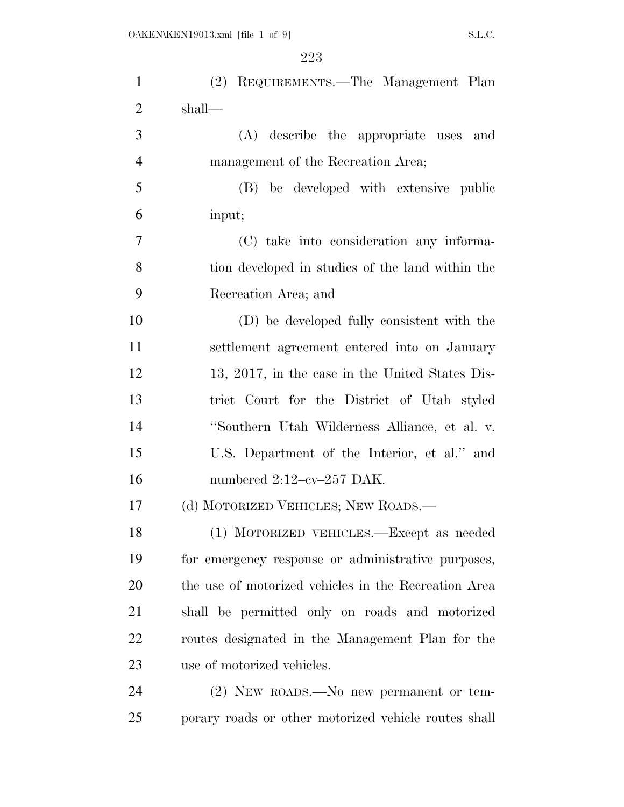| $\mathbf{1}$   | (2) REQUIREMENTS.—The Management Plan                |
|----------------|------------------------------------------------------|
| $\overline{2}$ | shall—                                               |
| 3              | (A) describe the appropriate uses and                |
| $\overline{4}$ | management of the Recreation Area;                   |
| 5              | (B) be developed with extensive public               |
| 6              | input;                                               |
| 7              | (C) take into consideration any informa-             |
| 8              | tion developed in studies of the land within the     |
| 9              | Recreation Area; and                                 |
| 10             | (D) be developed fully consistent with the           |
| 11             | settlement agreement entered into on January         |
| 12             | 13, 2017, in the case in the United States Dis-      |
| 13             | trict Court for the District of Utah styled          |
| 14             | "Southern Utah Wilderness Alliance, et al. v.        |
| 15             | U.S. Department of the Interior, et al." and         |
| 16             | numbered $2:12$ -cv- $257$ DAK.                      |
| 17             | (d) MOTORIZED VEHICLES; NEW ROADS.—                  |
| 18             | (1) MOTORIZED VEHICLES.-Except as needed             |
| 19             | for emergency response or administrative purposes,   |
| 20             | the use of motorized vehicles in the Recreation Area |
| 21             | shall be permitted only on roads and motorized       |
| 22             | routes designated in the Management Plan for the     |
| 23             | use of motorized vehicles.                           |
| 24             | $(2)$ NEW ROADS.—No new permanent or tem-            |
| 25             | porary roads or other motorized vehicle routes shall |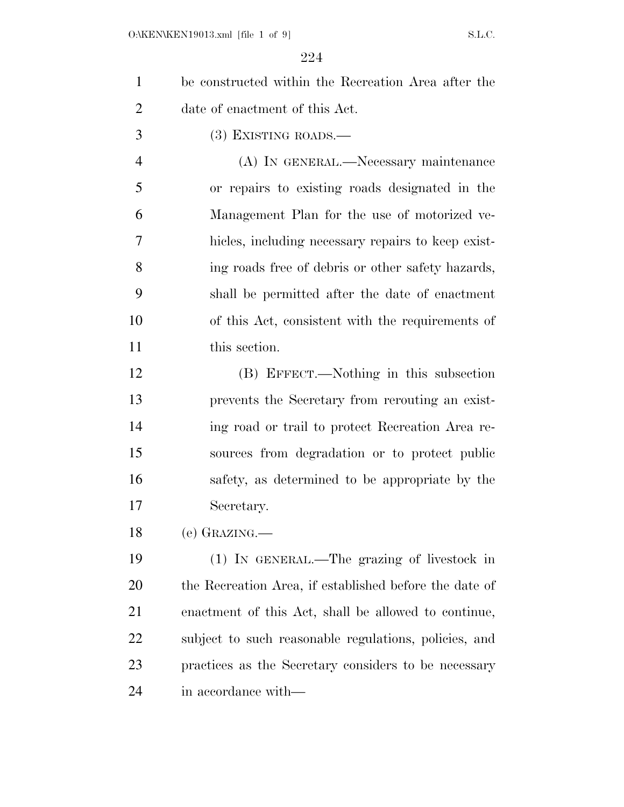| $\mathbf{1}$   | be constructed within the Recreation Area after the    |
|----------------|--------------------------------------------------------|
| $\overline{2}$ | date of enactment of this Act.                         |
| 3              | $(3)$ EXISTING ROADS.—                                 |
| $\overline{4}$ | (A) IN GENERAL.—Necessary maintenance                  |
| 5              | or repairs to existing roads designated in the         |
| 6              | Management Plan for the use of motorized ve-           |
| 7              | hicles, including necessary repairs to keep exist-     |
| 8              | ing roads free of debris or other safety hazards,      |
| 9              | shall be permitted after the date of enactment         |
| 10             | of this Act, consistent with the requirements of       |
| 11             | this section.                                          |
| 12             | (B) EFFECT.—Nothing in this subsection                 |
| 13             | prevents the Secretary from rerouting an exist-        |
| 14             | ing road or trail to protect Recreation Area re-       |
| 15             | sources from degradation or to protect public          |
| 16             | safety, as determined to be appropriate by the         |
| 17             | Secretary.                                             |
| 18             | (e) GRAZING.—                                          |
| 19             | (1) IN GENERAL.—The grazing of livestock in            |
| 20             | the Recreation Area, if established before the date of |
| <u>21</u>      | enactment of this Act, shall be allowed to continue,   |
| <u>22</u>      | subject to such reasonable regulations, policies, and  |
| 23             | practices as the Secretary considers to be necessary   |
| 24             | in accordance with—                                    |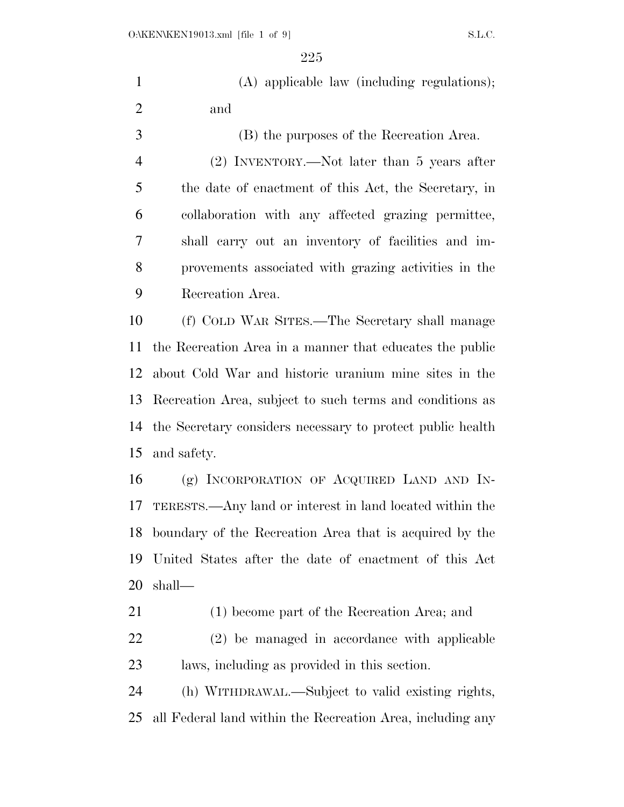(A) applicable law (including regulations); and (B) the purposes of the Recreation Area.

 (2) INVENTORY.—Not later than 5 years after the date of enactment of this Act, the Secretary, in collaboration with any affected grazing permittee, shall carry out an inventory of facilities and im- provements associated with grazing activities in the Recreation Area.

 (f) COLD WAR SITES.—The Secretary shall manage the Recreation Area in a manner that educates the public about Cold War and historic uranium mine sites in the Recreation Area, subject to such terms and conditions as the Secretary considers necessary to protect public health and safety.

 (g) INCORPORATION OF ACQUIRED LAND AND IN- TERESTS.—Any land or interest in land located within the boundary of the Recreation Area that is acquired by the United States after the date of enactment of this Act shall—

(1) become part of the Recreation Area; and

 (2) be managed in accordance with applicable laws, including as provided in this section.

 (h) WITHDRAWAL.—Subject to valid existing rights, all Federal land within the Recreation Area, including any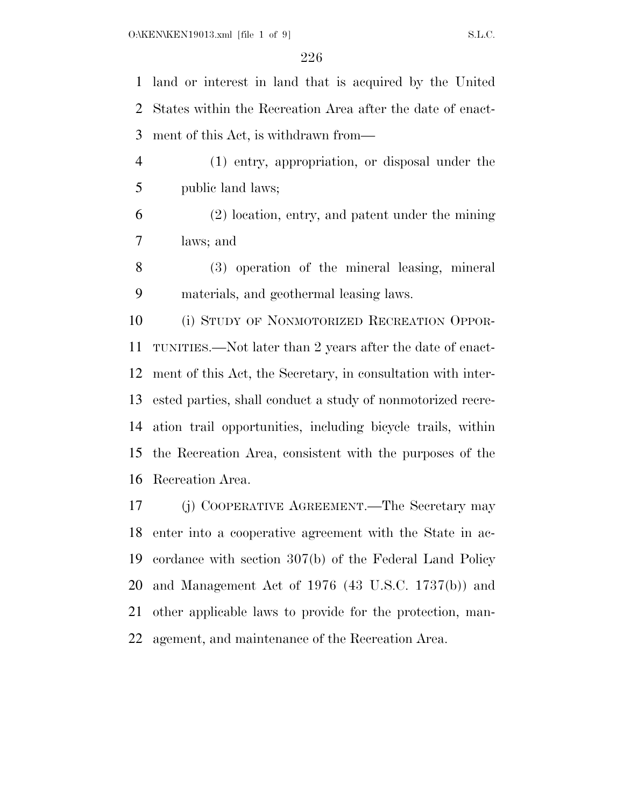land or interest in land that is acquired by the United States within the Recreation Area after the date of enact-ment of this Act, is withdrawn from—

 (1) entry, appropriation, or disposal under the public land laws;

 (2) location, entry, and patent under the mining laws; and

 (3) operation of the mineral leasing, mineral materials, and geothermal leasing laws.

 (i) STUDY OF NONMOTORIZED RECREATION OPPOR- TUNITIES.—Not later than 2 years after the date of enact- ment of this Act, the Secretary, in consultation with inter- ested parties, shall conduct a study of nonmotorized recre- ation trail opportunities, including bicycle trails, within the Recreation Area, consistent with the purposes of the Recreation Area.

 (j) COOPERATIVE AGREEMENT.—The Secretary may enter into a cooperative agreement with the State in ac- cordance with section 307(b) of the Federal Land Policy and Management Act of 1976 (43 U.S.C. 1737(b)) and other applicable laws to provide for the protection, man-agement, and maintenance of the Recreation Area.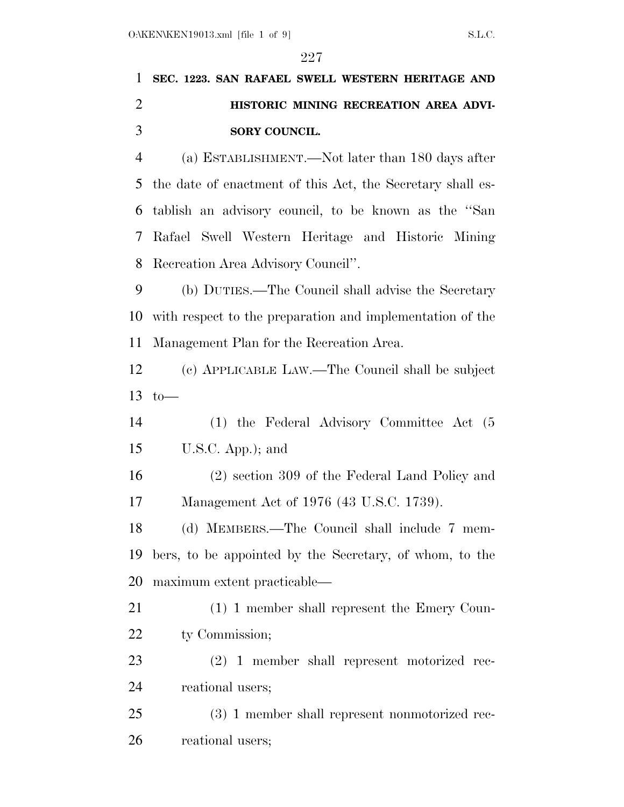# **SEC. 1223. SAN RAFAEL SWELL WESTERN HERITAGE AND HISTORIC MINING RECREATION AREA ADVI-SORY COUNCIL.**

 (a) ESTABLISHMENT.—Not later than 180 days after the date of enactment of this Act, the Secretary shall es- tablish an advisory council, to be known as the ''San Rafael Swell Western Heritage and Historic Mining Recreation Area Advisory Council''.

 (b) DUTIES.—The Council shall advise the Secretary with respect to the preparation and implementation of the Management Plan for the Recreation Area.

 (c) APPLICABLE LAW.—The Council shall be subject 13 to  $-$ 

 (1) the Federal Advisory Committee Act (5 U.S.C. App.); and

 (2) section 309 of the Federal Land Policy and Management Act of 1976 (43 U.S.C. 1739).

 (d) MEMBERS.—The Council shall include 7 mem- bers, to be appointed by the Secretary, of whom, to the maximum extent practicable—

 (1) 1 member shall represent the Emery Coun-22 ty Commission;

 (2) 1 member shall represent motorized rec-reational users;

 (3) 1 member shall represent nonmotorized rec-reational users;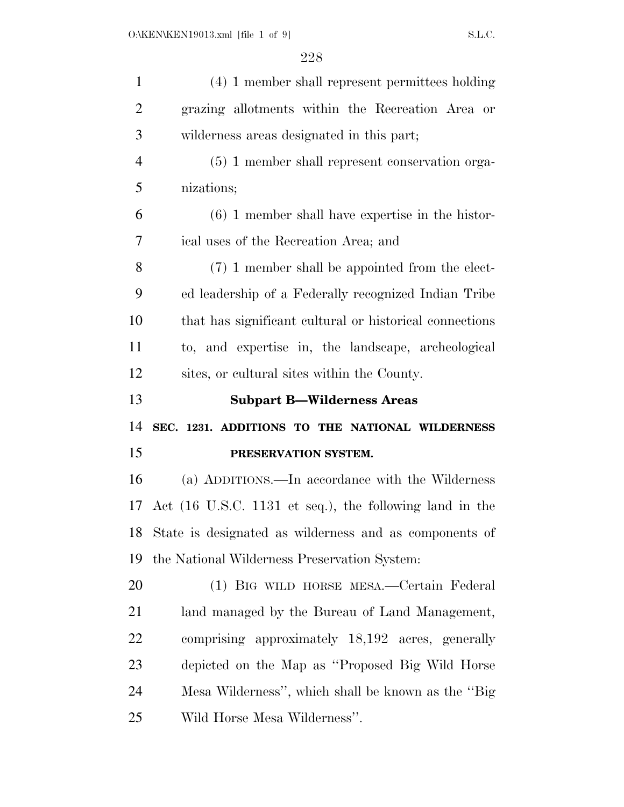| $\mathbf{1}$   | (4) 1 member shall represent permittees holding         |
|----------------|---------------------------------------------------------|
| $\overline{2}$ | grazing allotments within the Recreation Area or        |
| 3              | wilderness areas designated in this part;               |
| $\overline{4}$ | (5) 1 member shall represent conservation orga-         |
| 5              | nizations;                                              |
| 6              | $(6)$ 1 member shall have expertise in the histor-      |
| 7              | ical uses of the Recreation Area; and                   |
| 8              | (7) 1 member shall be appointed from the elect-         |
| 9              | ed leadership of a Federally recognized Indian Tribe    |
| 10             | that has significant cultural or historical connections |
| 11             | to, and expertise in, the landscape, archeological      |
| 12             | sites, or cultural sites within the County.             |
|                |                                                         |
| 13             | <b>Subpart B-Wilderness Areas</b>                       |
| 14             | SEC. 1231. ADDITIONS TO THE NATIONAL WILDERNESS         |
| 15             | PRESERVATION SYSTEM.                                    |
| 16             | (a) ADDITIONS.—In accordance with the Wilderness        |
| 17             | Act (16 U.S.C. 1131 et seq.), the following land in the |
| 18             | State is designated as wilderness and as components of  |
| 19             | the National Wilderness Preservation System:            |
| 20             | (1) BIG WILD HORSE MESA.—Certain Federal                |
| 21             | land managed by the Bureau of Land Management,          |
| 22             | comprising approximately 18,192 acres, generally        |
| 23             | depicted on the Map as "Proposed Big Wild Horse         |
| 24             | Mesa Wilderness", which shall be known as the "Big"     |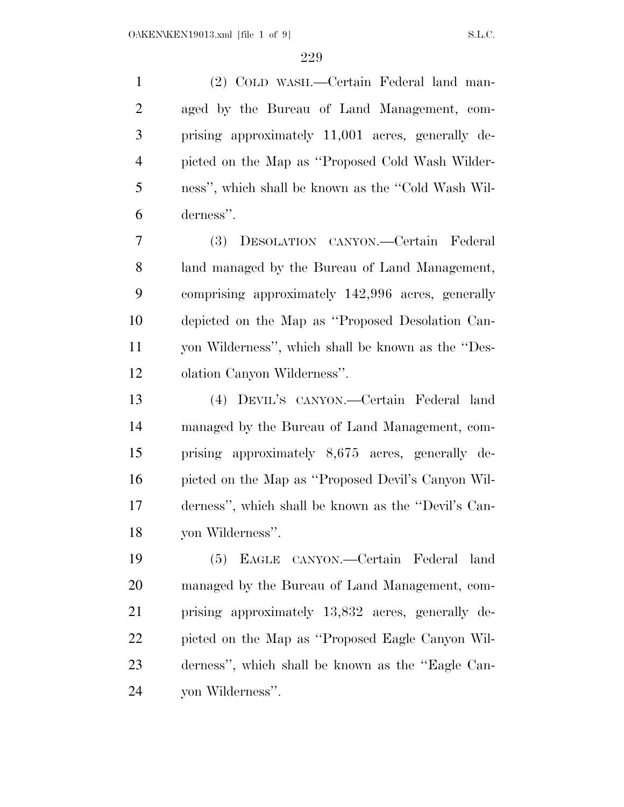(2) COLD WASH.—Certain Federal land man- aged by the Bureau of Land Management, com- prising approximately 11,001 acres, generally de- picted on the Map as ''Proposed Cold Wash Wilder- ness'', which shall be known as the ''Cold Wash Wil-derness''.

 (3) DESOLATION CANYON.—Certain Federal land managed by the Bureau of Land Management, comprising approximately 142,996 acres, generally depicted on the Map as ''Proposed Desolation Can- yon Wilderness'', which shall be known as the ''Des-olation Canyon Wilderness''.

 (4) DEVIL'S CANYON.—Certain Federal land managed by the Bureau of Land Management, com- prising approximately 8,675 acres, generally de- picted on the Map as ''Proposed Devil's Canyon Wil- derness'', which shall be known as the ''Devil's Can-yon Wilderness''.

 (5) EAGLE CANYON.—Certain Federal land managed by the Bureau of Land Management, com- prising approximately 13,832 acres, generally de- picted on the Map as ''Proposed Eagle Canyon Wil- derness'', which shall be known as the ''Eagle Can-yon Wilderness''.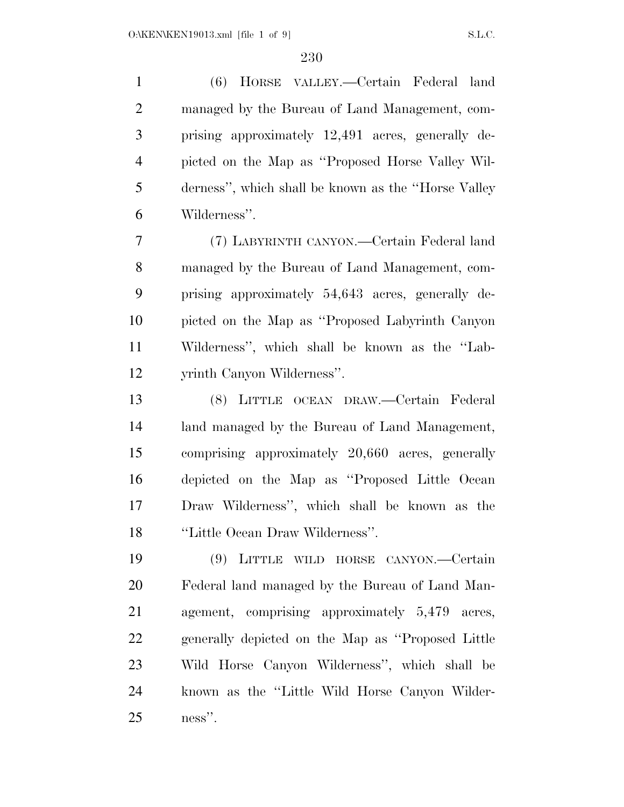(6) HORSE VALLEY.—Certain Federal land managed by the Bureau of Land Management, com- prising approximately 12,491 acres, generally de- picted on the Map as ''Proposed Horse Valley Wil- derness'', which shall be known as the ''Horse Valley Wilderness''.

 (7) LABYRINTH CANYON.—Certain Federal land managed by the Bureau of Land Management, com- prising approximately 54,643 acres, generally de- picted on the Map as ''Proposed Labyrinth Canyon Wilderness'', which shall be known as the ''Lab-yrinth Canyon Wilderness''.

 (8) LITTLE OCEAN DRAW.—Certain Federal land managed by the Bureau of Land Management, comprising approximately 20,660 acres, generally depicted on the Map as ''Proposed Little Ocean Draw Wilderness'', which shall be known as the ''Little Ocean Draw Wilderness''.

 (9) LITTLE WILD HORSE CANYON.—Certain Federal land managed by the Bureau of Land Man- agement, comprising approximately 5,479 acres, generally depicted on the Map as ''Proposed Little Wild Horse Canyon Wilderness'', which shall be known as the ''Little Wild Horse Canyon Wilder-ness''.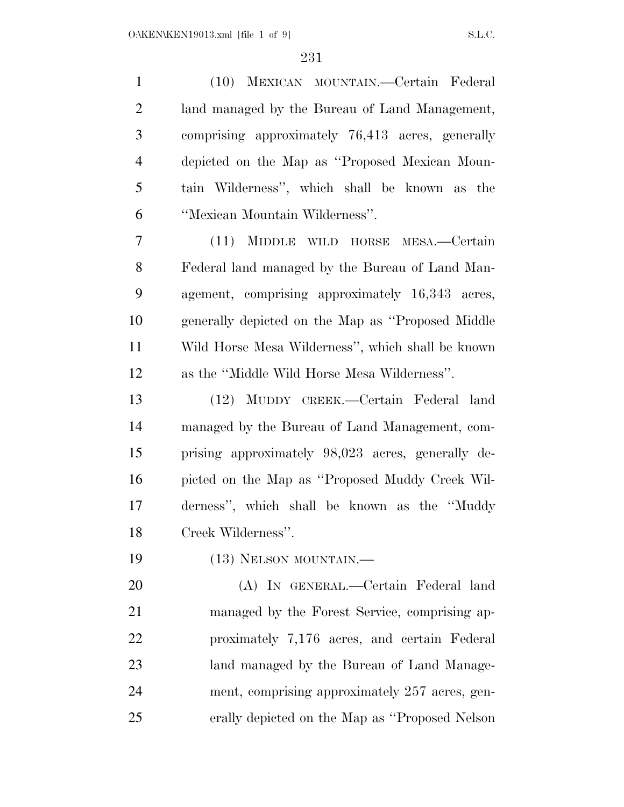(10) MEXICAN MOUNTAIN.—Certain Federal land managed by the Bureau of Land Management, comprising approximately 76,413 acres, generally depicted on the Map as ''Proposed Mexican Moun- tain Wilderness'', which shall be known as the ''Mexican Mountain Wilderness''. (11) MIDDLE WILD HORSE MESA.—Certain Federal land managed by the Bureau of Land Man- agement, comprising approximately 16,343 acres, generally depicted on the Map as ''Proposed Middle Wild Horse Mesa Wilderness'', which shall be known as the ''Middle Wild Horse Mesa Wilderness''. (12) MUDDY CREEK.—Certain Federal land managed by the Bureau of Land Management, com- prising approximately 98,023 acres, generally de- picted on the Map as ''Proposed Muddy Creek Wil- derness'', which shall be known as the ''Muddy Creek Wilderness''. 19 (13) NELSON MOUNTAIN.— (A) IN GENERAL.—Certain Federal land managed by the Forest Service, comprising ap- proximately 7,176 acres, and certain Federal land managed by the Bureau of Land Manage- ment, comprising approximately 257 acres, gen-erally depicted on the Map as ''Proposed Nelson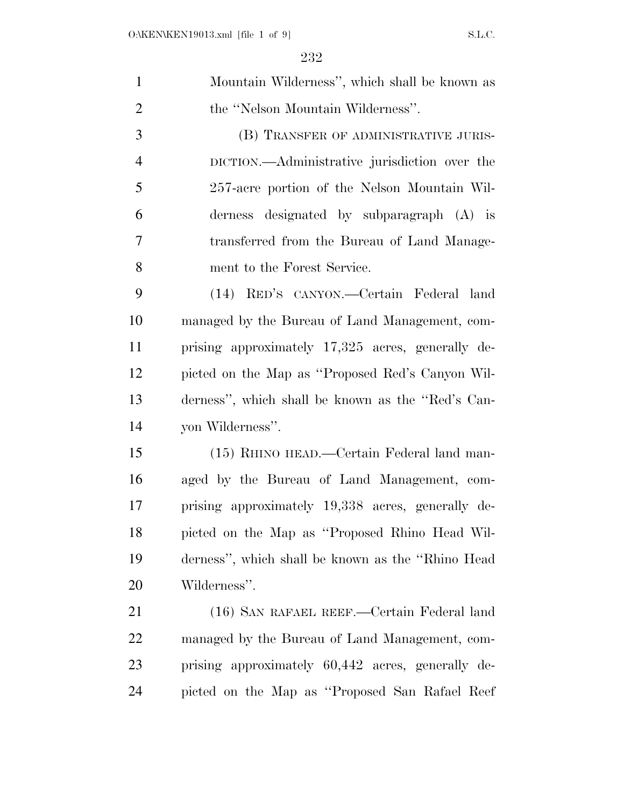| $\mathbf{1}$   | Mountain Wilderness", which shall be known as      |
|----------------|----------------------------------------------------|
| $\overline{2}$ | the "Nelson Mountain Wilderness".                  |
| 3              | (B) TRANSFER OF ADMINISTRATIVE JURIS-              |
| $\overline{4}$ | DICTION.—Administrative jurisdiction over the      |
| 5              | 257-acre portion of the Nelson Mountain Wil-       |
| 6              | derness designated by subparagraph (A) is          |
| 7              | transferred from the Bureau of Land Manage-        |
| 8              | ment to the Forest Service.                        |
| 9              | (14) RED'S CANYON.—Certain Federal land            |
| 10             | managed by the Bureau of Land Management, com-     |
| 11             | prising approximately 17,325 acres, generally de-  |
| 12             | picted on the Map as "Proposed Red's Canyon Wil-   |
| 13             | derness", which shall be known as the "Red's Can-  |
| 14             | yon Wilderness".                                   |
| 15             | (15) RHINO HEAD.—Certain Federal land man-         |
| 16             | aged by the Bureau of Land Management, com-        |
| 17             | prising approximately 19,338 acres, generally de-  |
| 18             | picted on the Map as "Proposed Rhino Head Wil-     |
| 19             | derness", which shall be known as the "Rhino Head" |
| 20             | Wilderness".                                       |
| 21             | (16) SAN RAFAEL REEF.—Certain Federal land         |
| 22             | managed by the Bureau of Land Management, com-     |
| 23             | prising approximately 60,442 acres, generally de-  |
| 24             | picted on the Map as "Proposed San Rafael Reef"    |
|                |                                                    |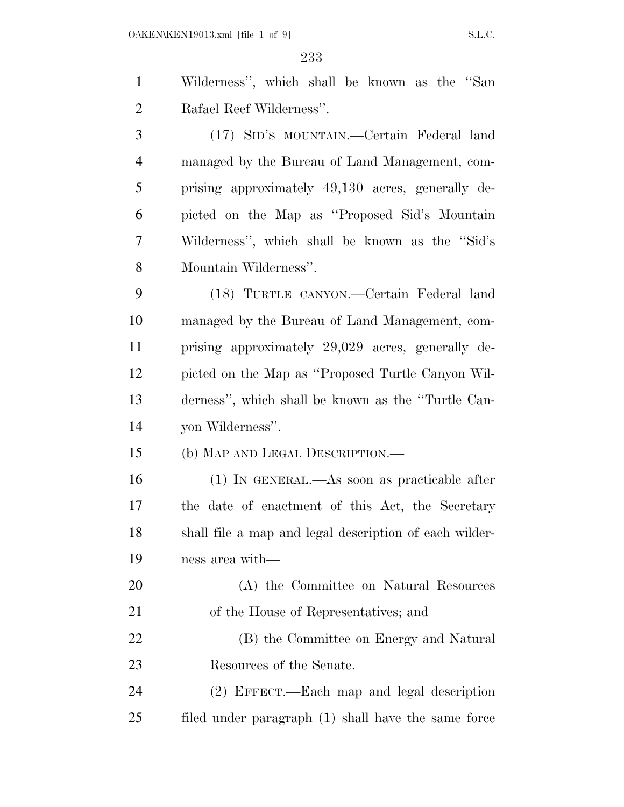$O:\Ktext{KEN}\times\text{N19013.xml}$  [file 1 of 9] S.L.C.

 Wilderness'', which shall be known as the ''San Rafael Reef Wilderness''. (17) SID'S MOUNTAIN.—Certain Federal land managed by the Bureau of Land Management, com- prising approximately 49,130 acres, generally de- picted on the Map as ''Proposed Sid's Mountain Wilderness'', which shall be known as the ''Sid's Mountain Wilderness''. (18) TURTLE CANYON.—Certain Federal land managed by the Bureau of Land Management, com- prising approximately 29,029 acres, generally de- picted on the Map as ''Proposed Turtle Canyon Wil- derness'', which shall be known as the ''Turtle Can- yon Wilderness''. (b) MAP AND LEGAL DESCRIPTION.— (1) IN GENERAL.—As soon as practicable after the date of enactment of this Act, the Secretary shall file a map and legal description of each wilder-

ness area with—

- (A) the Committee on Natural Resources of the House of Representatives; and
- (B) the Committee on Energy and Natural 23 Resources of the Senate.
- (2) EFFECT.—Each map and legal description filed under paragraph (1) shall have the same force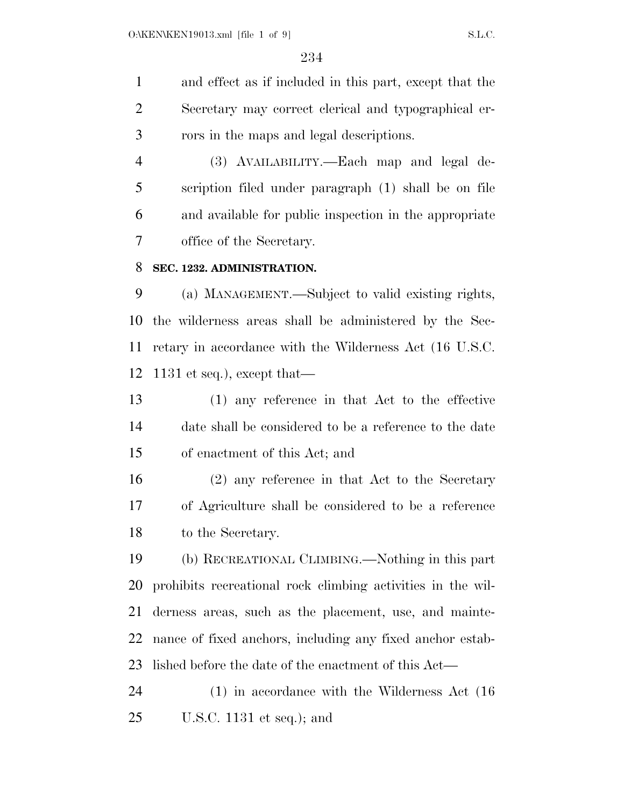and effect as if included in this part, except that the Secretary may correct clerical and typographical er-rors in the maps and legal descriptions.

 (3) AVAILABILITY.—Each map and legal de- scription filed under paragraph (1) shall be on file and available for public inspection in the appropriate office of the Secretary.

#### **SEC. 1232. ADMINISTRATION.**

 (a) MANAGEMENT.—Subject to valid existing rights, the wilderness areas shall be administered by the Sec- retary in accordance with the Wilderness Act (16 U.S.C. 1131 et seq.), except that—

 (1) any reference in that Act to the effective date shall be considered to be a reference to the date of enactment of this Act; and

 (2) any reference in that Act to the Secretary of Agriculture shall be considered to be a reference to the Secretary.

 (b) RECREATIONAL CLIMBING.—Nothing in this part prohibits recreational rock climbing activities in the wil- derness areas, such as the placement, use, and mainte- nance of fixed anchors, including any fixed anchor estab-lished before the date of the enactment of this Act—

 (1) in accordance with the Wilderness Act (16 U.S.C. 1131 et seq.); and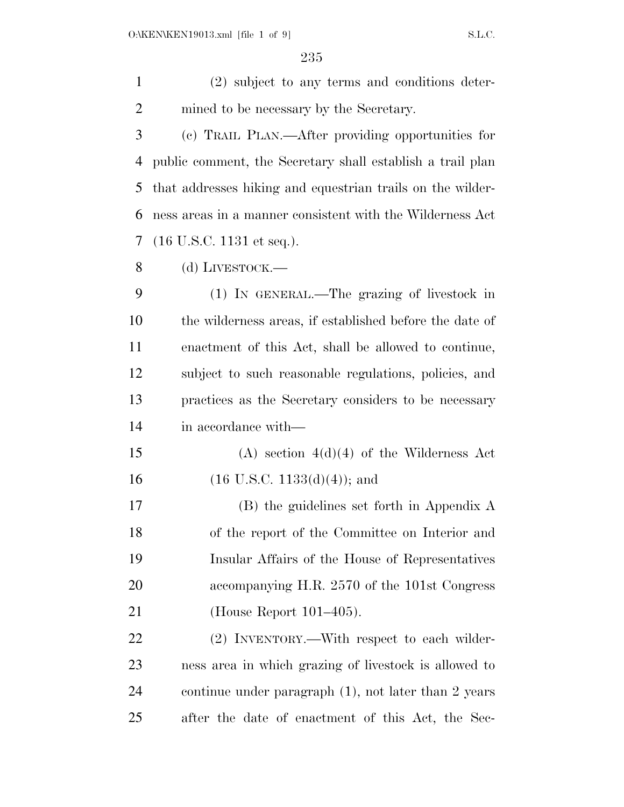(2) subject to any terms and conditions deter-mined to be necessary by the Secretary.

 (c) TRAIL PLAN.—After providing opportunities for public comment, the Secretary shall establish a trail plan that addresses hiking and equestrian trails on the wilder- ness areas in a manner consistent with the Wilderness Act (16 U.S.C. 1131 et seq.).

(d) LIVESTOCK.—

 (1) IN GENERAL.—The grazing of livestock in the wilderness areas, if established before the date of enactment of this Act, shall be allowed to continue, subject to such reasonable regulations, policies, and practices as the Secretary considers to be necessary in accordance with—

15 (A) section  $4(d)(4)$  of the Wilderness Act 16 (16 U.S.C. 1133(d)(4)); and

 (B) the guidelines set forth in Appendix A of the report of the Committee on Interior and Insular Affairs of the House of Representatives accompanying H.R. 2570 of the 101st Congress (House Report 101–405).

 (2) INVENTORY.—With respect to each wilder- ness area in which grazing of livestock is allowed to continue under paragraph (1), not later than 2 years after the date of enactment of this Act, the Sec-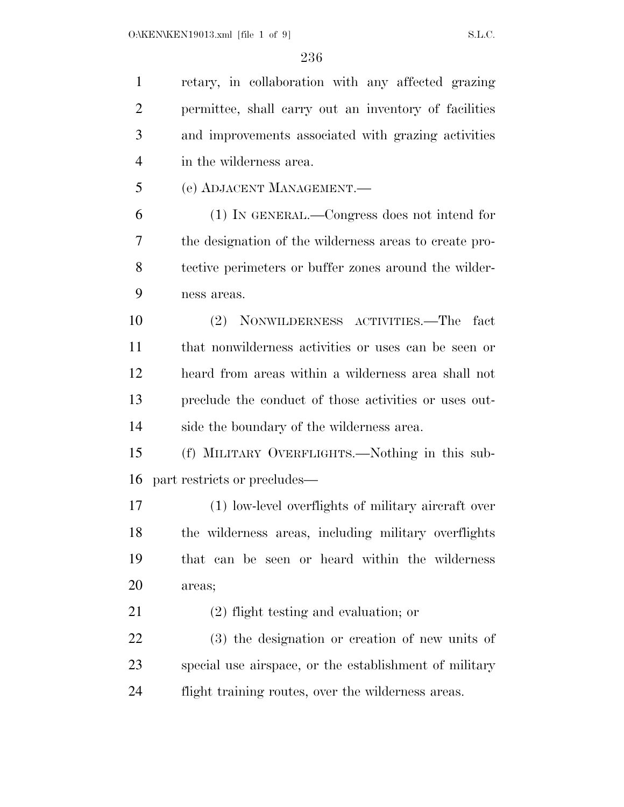retary, in collaboration with any affected grazing permittee, shall carry out an inventory of facilities and improvements associated with grazing activities in the wilderness area. (e) ADJACENT MANAGEMENT.— (1) IN GENERAL.—Congress does not intend for the designation of the wilderness areas to create pro- tective perimeters or buffer zones around the wilder- ness areas. (2) NONWILDERNESS ACTIVITIES.—The fact that nonwilderness activities or uses can be seen or heard from areas within a wilderness area shall not preclude the conduct of those activities or uses out- side the boundary of the wilderness area. (f) MILITARY OVERFLIGHTS.—Nothing in this sub- part restricts or precludes— (1) low-level overflights of military aircraft over the wilderness areas, including military overflights that can be seen or heard within the wilderness areas; (2) flight testing and evaluation; or (3) the designation or creation of new units of special use airspace, or the establishment of military flight training routes, over the wilderness areas.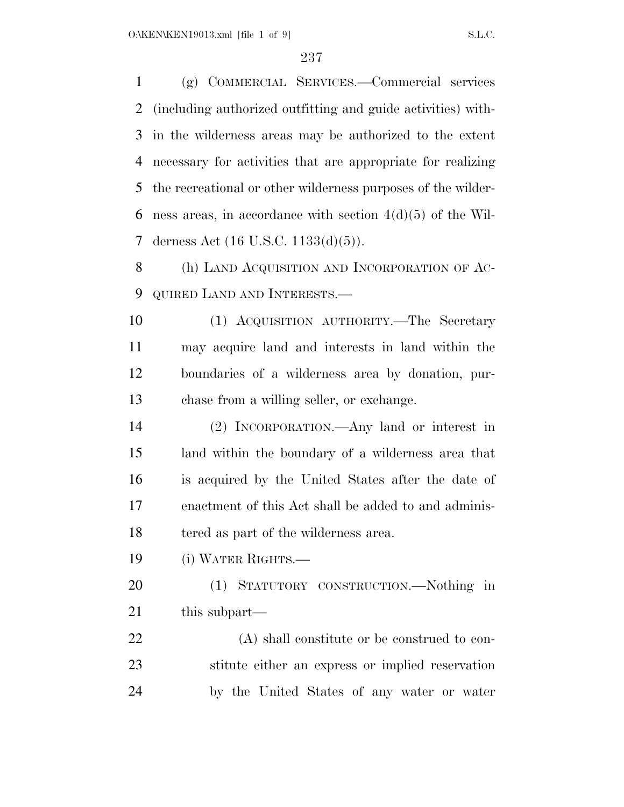(g) COMMERCIAL SERVICES.—Commercial services (including authorized outfitting and guide activities) with- in the wilderness areas may be authorized to the extent necessary for activities that are appropriate for realizing the recreational or other wilderness purposes of the wilder-6 ness areas, in accordance with section  $4(d)(5)$  of the Wil-derness Act (16 U.S.C. 1133(d)(5)).

8 (h) LAND ACQUISITION AND INCORPORATION OF AC-QUIRED LAND AND INTERESTS.—

 (1) ACQUISITION AUTHORITY.—The Secretary may acquire land and interests in land within the boundaries of a wilderness area by donation, pur-chase from a willing seller, or exchange.

 (2) INCORPORATION.—Any land or interest in land within the boundary of a wilderness area that is acquired by the United States after the date of enactment of this Act shall be added to and adminis-tered as part of the wilderness area.

(i) WATER RIGHTS.—

 (1) STATUTORY CONSTRUCTION.—Nothing in this subpart—

 (A) shall constitute or be construed to con- stitute either an express or implied reservation by the United States of any water or water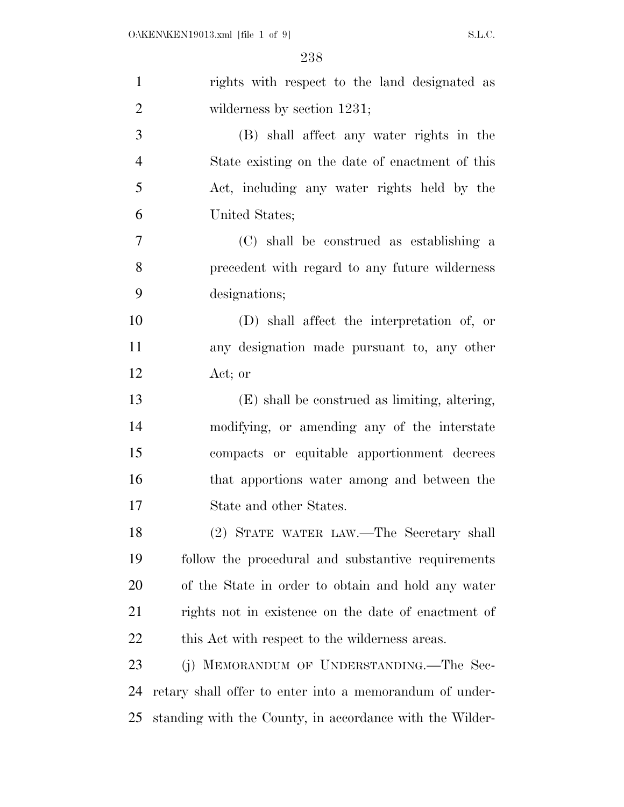| $\mathbf{1}$   | rights with respect to the land designated as            |
|----------------|----------------------------------------------------------|
| $\overline{2}$ | wilderness by section $1231$ ;                           |
| 3              | (B) shall affect any water rights in the                 |
| $\overline{4}$ | State existing on the date of enactment of this          |
| 5              | Act, including any water rights held by the              |
| 6              | United States;                                           |
| $\overline{7}$ | (C) shall be construed as establishing a                 |
| 8              | precedent with regard to any future wilderness           |
| 9              | designations;                                            |
| 10             | (D) shall affect the interpretation of, or               |
| 11             | any designation made pursuant to, any other              |
| 12             | Act; or                                                  |
| 13             | (E) shall be construed as limiting, altering,            |
| 14             | modifying, or amending any of the interstate             |
| 15             | compacts or equitable apportionment decrees              |
| 16             | that apportions water among and between the              |
| 17             | State and other States.                                  |
| 18             | (2) STATE WATER LAW.—The Secretary shall                 |
| 19             | follow the procedural and substantive requirements       |
| 20             | of the State in order to obtain and hold any water       |
| 21             | rights not in existence on the date of enactment of      |
| 22             | this Act with respect to the wilderness areas.           |
| 23             | (j) MEMORANDUM OF UNDERSTANDING.—The Sec-                |
| 24             | retary shall offer to enter into a memorandum of under-  |
| 25             | standing with the County, in accordance with the Wilder- |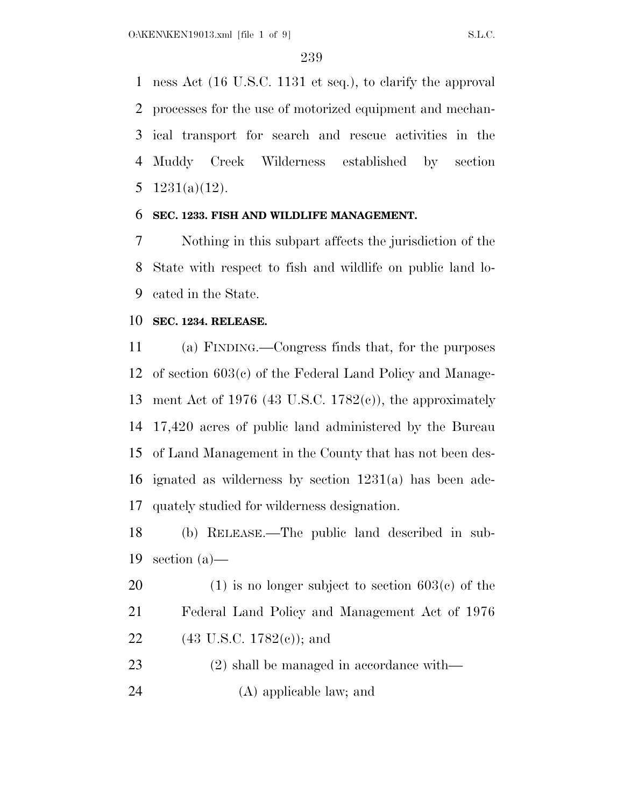ness Act (16 U.S.C. 1131 et seq.), to clarify the approval processes for the use of motorized equipment and mechan- ical transport for search and rescue activities in the Muddy Creek Wilderness established by section  $1231(a)(12)$ .

## **SEC. 1233. FISH AND WILDLIFE MANAGEMENT.**

 Nothing in this subpart affects the jurisdiction of the State with respect to fish and wildlife on public land lo-cated in the State.

#### **SEC. 1234. RELEASE.**

 (a) FINDING.—Congress finds that, for the purposes of section 603(c) of the Federal Land Policy and Manage- ment Act of 1976 (43 U.S.C. 1782(c)), the approximately 17,420 acres of public land administered by the Bureau of Land Management in the County that has not been des- ignated as wilderness by section 1231(a) has been ade-quately studied for wilderness designation.

 (b) RELEASE.—The public land described in sub-section (a)—

20 (1) is no longer subject to section  $603(c)$  of the Federal Land Policy and Management Act of 1976 22 (43 U.S.C. 1782(c)); and

(2) shall be managed in accordance with—

(A) applicable law; and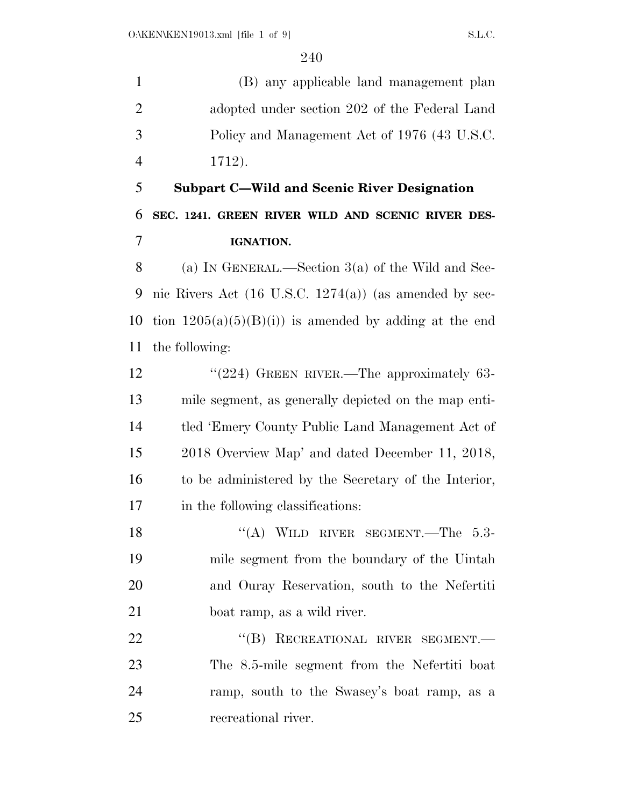(B) any applicable land management plan adopted under section 202 of the Federal Land Policy and Management Act of 1976 (43 U.S.C. 1712).

 **Subpart C—Wild and Scenic River Designation SEC. 1241. GREEN RIVER WILD AND SCENIC RIVER DES-IGNATION.** 

 (a) IN GENERAL.—Section 3(a) of the Wild and Sce- nic Rivers Act (16 U.S.C. 1274(a)) (as amended by sec-10 tion  $1205(a)(5)(B)(i)$  is amended by adding at the end the following:

12 "(224) GREEN RIVER.—The approximately 63- mile segment, as generally depicted on the map enti- tled 'Emery County Public Land Management Act of 2018 Overview Map' and dated December 11, 2018, to be administered by the Secretary of the Interior, in the following classifications:

18 "(A) WILD RIVER SEGMENT.—The 5.3- mile segment from the boundary of the Uintah and Ouray Reservation, south to the Nefertiti boat ramp, as a wild river.

22 "(B) RECREATIONAL RIVER SEGMENT. The 8.5-mile segment from the Nefertiti boat ramp, south to the Swasey's boat ramp, as a recreational river.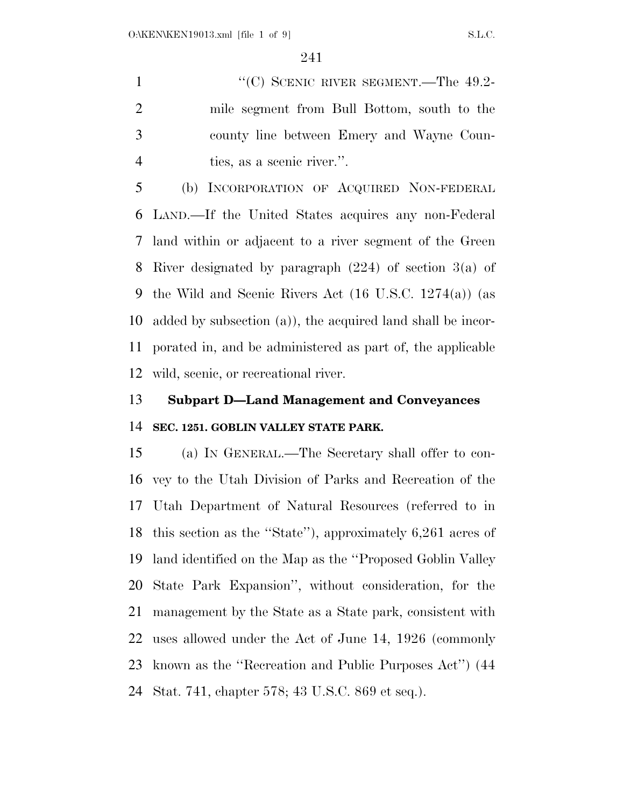1 "'(C) SCENIC RIVER SEGMENT.—The 49.2- mile segment from Bull Bottom, south to the county line between Emery and Wayne Coun-ties, as a scenic river.''.

 (b) INCORPORATION OF ACQUIRED NON-FEDERAL LAND.—If the United States acquires any non-Federal land within or adjacent to a river segment of the Green River designated by paragraph (224) of section 3(a) of the Wild and Scenic Rivers Act (16 U.S.C. 1274(a)) (as added by subsection (a)), the acquired land shall be incor- porated in, and be administered as part of, the applicable wild, scenic, or recreational river.

# **Subpart D—Land Management and Conveyances SEC. 1251. GOBLIN VALLEY STATE PARK.**

 (a) IN GENERAL.—The Secretary shall offer to con- vey to the Utah Division of Parks and Recreation of the Utah Department of Natural Resources (referred to in this section as the ''State''), approximately 6,261 acres of land identified on the Map as the ''Proposed Goblin Valley State Park Expansion'', without consideration, for the management by the State as a State park, consistent with uses allowed under the Act of June 14, 1926 (commonly known as the ''Recreation and Public Purposes Act'') (44 Stat. 741, chapter 578; 43 U.S.C. 869 et seq.).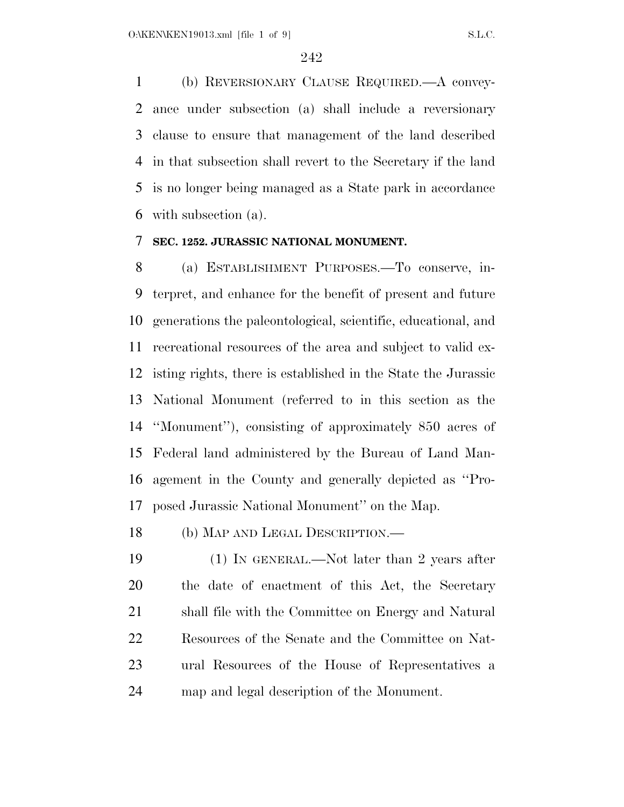(b) REVERSIONARY CLAUSE REQUIRED.—A convey- ance under subsection (a) shall include a reversionary clause to ensure that management of the land described in that subsection shall revert to the Secretary if the land is no longer being managed as a State park in accordance with subsection (a).

## **SEC. 1252. JURASSIC NATIONAL MONUMENT.**

 (a) ESTABLISHMENT PURPOSES.—To conserve, in- terpret, and enhance for the benefit of present and future generations the paleontological, scientific, educational, and recreational resources of the area and subject to valid ex- isting rights, there is established in the State the Jurassic National Monument (referred to in this section as the ''Monument''), consisting of approximately 850 acres of Federal land administered by the Bureau of Land Man- agement in the County and generally depicted as ''Pro-posed Jurassic National Monument'' on the Map.

(b) MAP AND LEGAL DESCRIPTION.—

 (1) IN GENERAL.—Not later than 2 years after the date of enactment of this Act, the Secretary shall file with the Committee on Energy and Natural Resources of the Senate and the Committee on Nat- ural Resources of the House of Representatives a map and legal description of the Monument.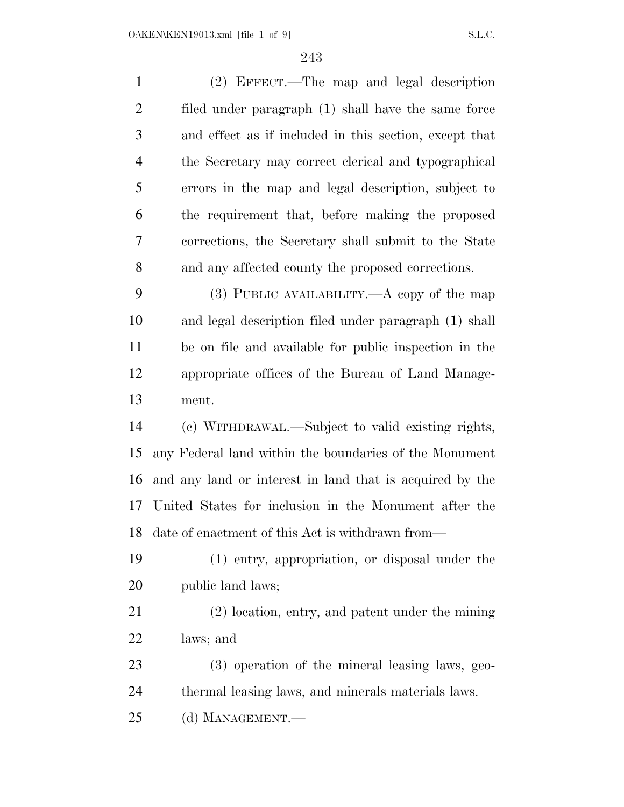| $\mathbf{1}$   | (2) EFFECT.—The map and legal description                |
|----------------|----------------------------------------------------------|
| $\overline{2}$ | filed under paragraph (1) shall have the same force      |
| 3              | and effect as if included in this section, except that   |
| $\overline{4}$ | the Secretary may correct clerical and typographical     |
| 5              | errors in the map and legal description, subject to      |
| 6              | the requirement that, before making the proposed         |
| 7              | corrections, the Secretary shall submit to the State     |
| 8              | and any affected county the proposed corrections.        |
| 9              | $(3)$ PUBLIC AVAILABILITY.— $A$ copy of the map          |
| 10             | and legal description filed under paragraph (1) shall    |
| 11             | be on file and available for public inspection in the    |
| 12             | appropriate offices of the Bureau of Land Manage-        |
| 13             | ment.                                                    |
| 14             | (c) WITHDRAWAL.—Subject to valid existing rights,        |
| 15             | any Federal land within the boundaries of the Monument   |
| 16             | and any land or interest in land that is acquired by the |
| 17             | United States for inclusion in the Monument after the    |
| 18             | date of enactment of this Act is withdrawn from-         |
| 19             | (1) entry, appropriation, or disposal under the          |
| 20             | public land laws;                                        |
| 21             | (2) location, entry, and patent under the mining         |
| 22             | laws; and                                                |
| 23             | (3) operation of the mineral leasing laws, geo-          |
| 24             | thermal leasing laws, and minerals materials laws.       |
| 25             | (d) MANAGEMENT.-                                         |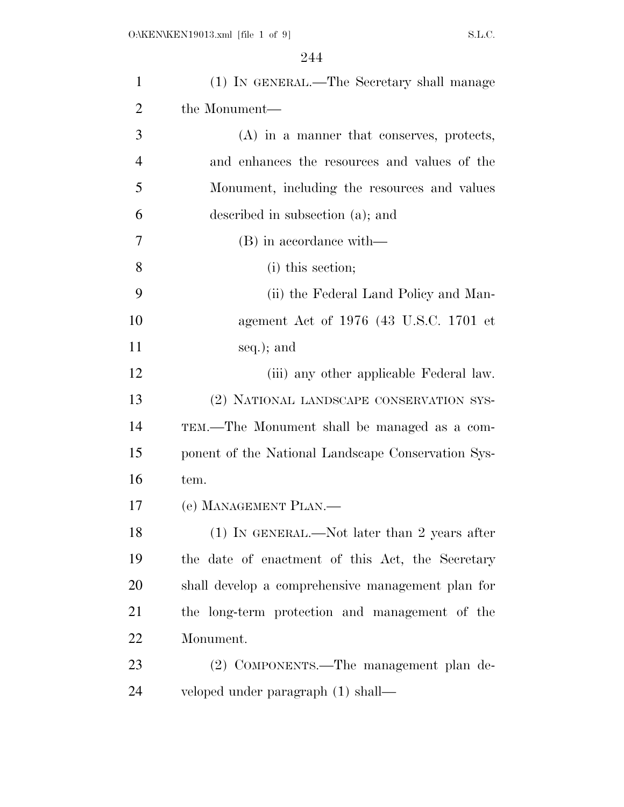| $\mathbf{1}$   | (1) IN GENERAL.—The Secretary shall manage         |
|----------------|----------------------------------------------------|
| $\overline{2}$ | the Monument—                                      |
| 3              | (A) in a manner that conserves, protects,          |
| $\overline{4}$ | and enhances the resources and values of the       |
| 5              | Monument, including the resources and values       |
| 6              | described in subsection (a); and                   |
| 7              | (B) in accordance with—                            |
| 8              | (i) this section;                                  |
| 9              | (ii) the Federal Land Policy and Man-              |
| 10             | agement Act of 1976 (43 U.S.C. 1701 et             |
| 11             | seq.); and                                         |
| 12             | (iii) any other applicable Federal law.            |
| 13             | (2) NATIONAL LANDSCAPE CONSERVATION SYS-           |
| 14             | TEM.—The Monument shall be managed as a com-       |
| 15             | ponent of the National Landscape Conservation Sys- |
| 16             | tem.                                               |
| 17             | (e) MANAGEMENT PLAN.—                              |
| 18             | $(1)$ IN GENERAL.—Not later than 2 years after     |
| 19             | the date of enactment of this Act, the Secretary   |
| 20             | shall develop a comprehensive management plan for  |
| 21             | the long-term protection and management of the     |
| 22             | Monument.                                          |
| 23             | (2) COMPONENTS.—The management plan de-            |
| 24             | veloped under paragraph (1) shall—                 |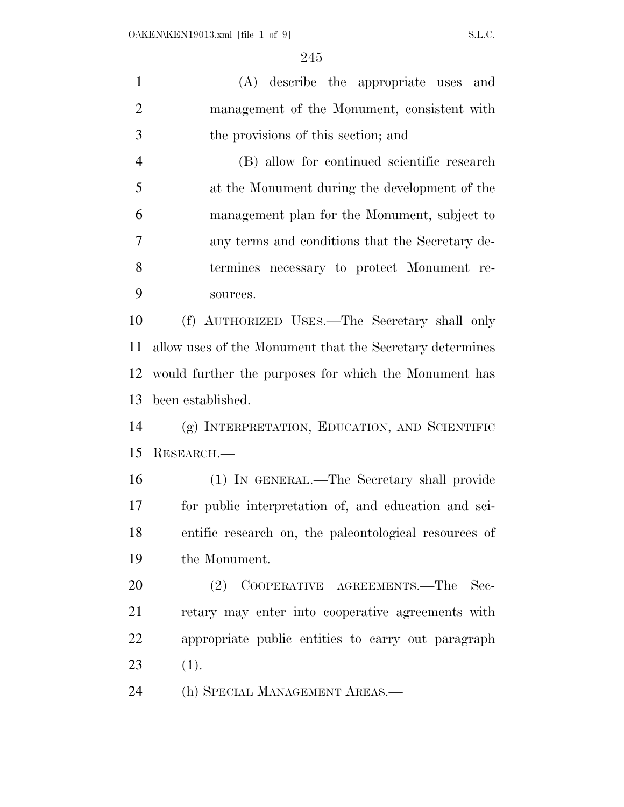(A) describe the appropriate uses and management of the Monument, consistent with the provisions of this section; and (B) allow for continued scientific research at the Monument during the development of the management plan for the Monument, subject to any terms and conditions that the Secretary de- termines necessary to protect Monument re- sources. (f) AUTHORIZED USES.—The Secretary shall only allow uses of the Monument that the Secretary determines would further the purposes for which the Monument has been established. (g) INTERPRETATION, EDUCATION, AND SCIENTIFIC RESEARCH.— (1) IN GENERAL.—The Secretary shall provide for public interpretation of, and education and sci- entific research on, the paleontological resources of the Monument. 20 (2) COOPERATIVE AGREEMENTS.—The Sec- retary may enter into cooperative agreements with appropriate public entities to carry out paragraph 23  $(1).$ (h) SPECIAL MANAGEMENT AREAS.—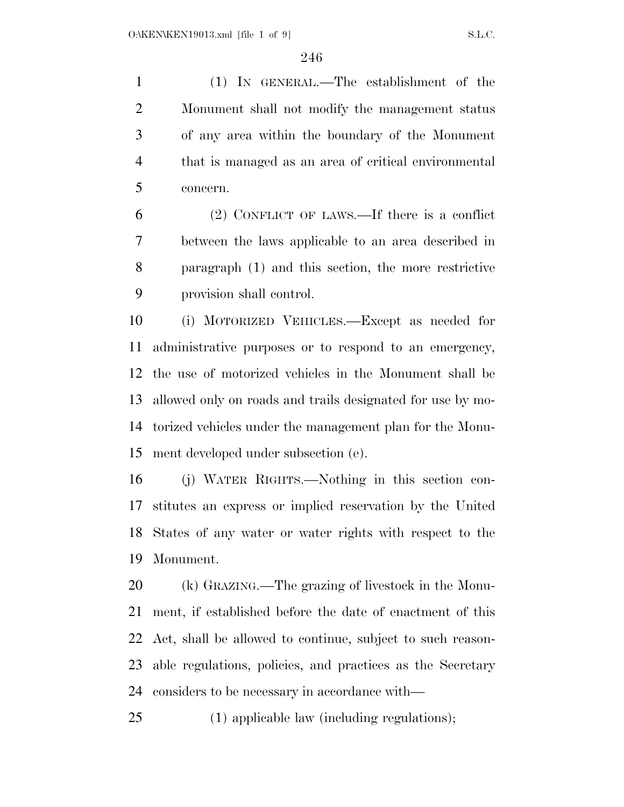(1) IN GENERAL.—The establishment of the Monument shall not modify the management status of any area within the boundary of the Monument that is managed as an area of critical environmental concern.

 (2) CONFLICT OF LAWS.—If there is a conflict between the laws applicable to an area described in paragraph (1) and this section, the more restrictive provision shall control.

 (i) MOTORIZED VEHICLES.—Except as needed for administrative purposes or to respond to an emergency, the use of motorized vehicles in the Monument shall be allowed only on roads and trails designated for use by mo- torized vehicles under the management plan for the Monu-ment developed under subsection (e).

 (j) WATER RIGHTS.—Nothing in this section con- stitutes an express or implied reservation by the United States of any water or water rights with respect to the Monument.

 (k) GRAZING.—The grazing of livestock in the Monu- ment, if established before the date of enactment of this Act, shall be allowed to continue, subject to such reason- able regulations, policies, and practices as the Secretary considers to be necessary in accordance with—

(1) applicable law (including regulations);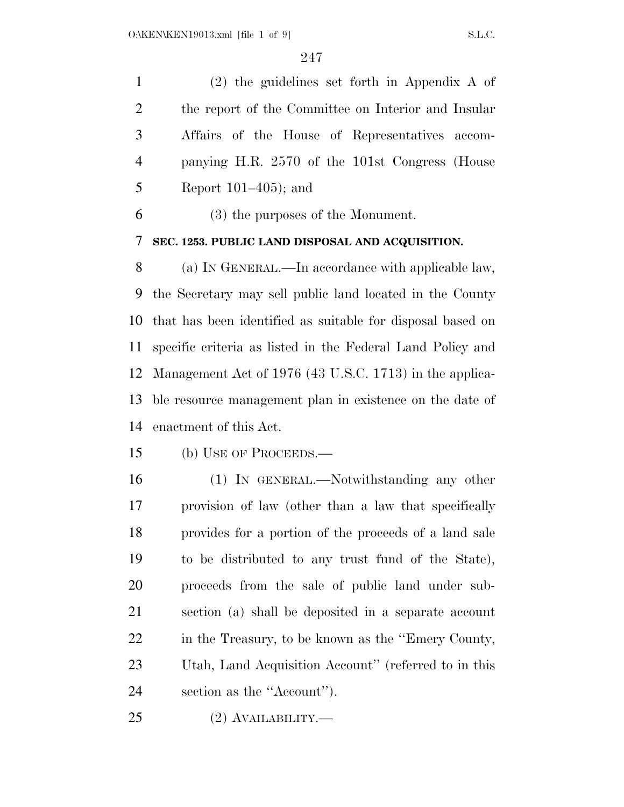(2) the guidelines set forth in Appendix A of the report of the Committee on Interior and Insular Affairs of the House of Representatives accom- panying H.R. 2570 of the 101st Congress (House Report 101–405); and

(3) the purposes of the Monument.

**SEC. 1253. PUBLIC LAND DISPOSAL AND ACQUISITION.** 

 (a) IN GENERAL.—In accordance with applicable law, the Secretary may sell public land located in the County that has been identified as suitable for disposal based on specific criteria as listed in the Federal Land Policy and Management Act of 1976 (43 U.S.C. 1713) in the applica- ble resource management plan in existence on the date of enactment of this Act.

(b) USE OF PROCEEDS.—

 (1) IN GENERAL.—Notwithstanding any other provision of law (other than a law that specifically provides for a portion of the proceeds of a land sale to be distributed to any trust fund of the State), proceeds from the sale of public land under sub- section (a) shall be deposited in a separate account in the Treasury, to be known as the ''Emery County, Utah, Land Acquisition Account'' (referred to in this section as the ''Account'').

(2) AVAILABILITY.—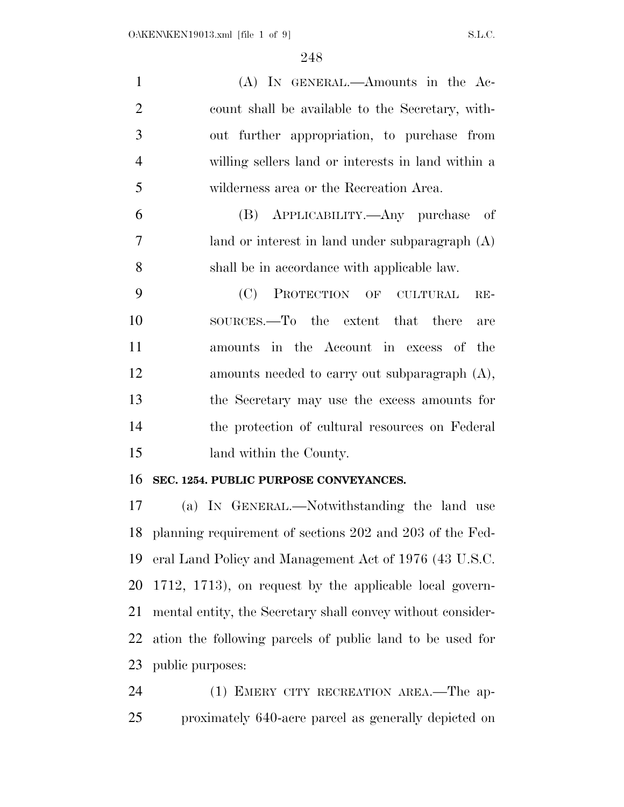| $\mathbf{1}$   | (A) IN GENERAL.—Amounts in the Ac-                       |
|----------------|----------------------------------------------------------|
| $\overline{2}$ | count shall be available to the Secretary, with-         |
| 3              | out further appropriation, to purchase from              |
| $\overline{4}$ | willing sellers land or interests in land within a       |
| 5              | wilderness area or the Recreation Area.                  |
| 6              | (B) APPLICABILITY.—Any purchase of                       |
| 7              | land or interest in land under subparagraph (A)          |
| 8              | shall be in accordance with applicable law.              |
| 9              | PROTECTION OF<br>(C)<br><b>CULTURAL</b><br>$RE-$         |
| 10             | SOURCES.—To the extent that there<br>are                 |
| 11             | amounts in the Account in excess of<br>the               |
| 12             | amounts needed to carry out subparagraph $(A)$ ,         |
| 13             | the Secretary may use the excess amounts for             |
| 14             | the protection of cultural resources on Federal          |
| 15             | land within the County.                                  |
| 16             | SEC. 1254. PUBLIC PURPOSE CONVEYANCES.                   |
| 17             | (a) IN GENERAL.—Notwithstanding the land use             |
| 18             | planning requirement of sections 202 and 203 of the Fed- |
| 19             | eral Land Policy and Management Act of 1976 (43 U.S.C.   |
|                |                                                          |

 1712, 1713), on request by the applicable local govern- mental entity, the Secretary shall convey without consider- ation the following parcels of public land to be used for public purposes:

 (1) EMERY CITY RECREATION AREA.—The ap-proximately 640-acre parcel as generally depicted on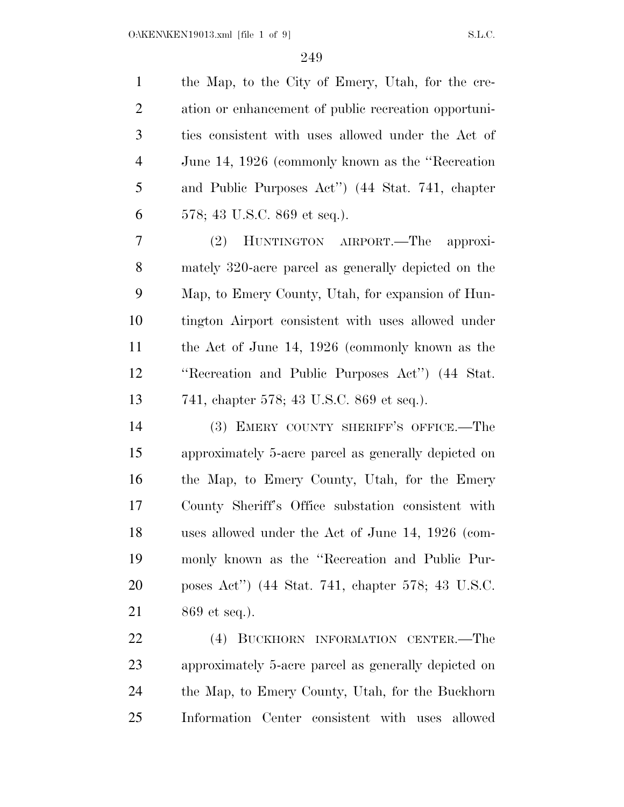the Map, to the City of Emery, Utah, for the cre- ation or enhancement of public recreation opportuni- ties consistent with uses allowed under the Act of June 14, 1926 (commonly known as the ''Recreation and Public Purposes Act'') (44 Stat. 741, chapter 578; 43 U.S.C. 869 et seq.). (2) HUNTINGTON AIRPORT.—The approxi- mately 320-acre parcel as generally depicted on the Map, to Emery County, Utah, for expansion of Hun- tington Airport consistent with uses allowed under the Act of June 14, 1926 (commonly known as the ''Recreation and Public Purposes Act'') (44 Stat. 741, chapter 578; 43 U.S.C. 869 et seq.). (3) EMERY COUNTY SHERIFF'S OFFICE.—The approximately 5-acre parcel as generally depicted on the Map, to Emery County, Utah, for the Emery County Sheriff's Office substation consistent with uses allowed under the Act of June 14, 1926 (com-monly known as the ''Recreation and Public Pur-

869 et seq.).

 (4) BUCKHORN INFORMATION CENTER.—The approximately 5-acre parcel as generally depicted on the Map, to Emery County, Utah, for the Buckhorn Information Center consistent with uses allowed

poses Act'') (44 Stat. 741, chapter 578; 43 U.S.C.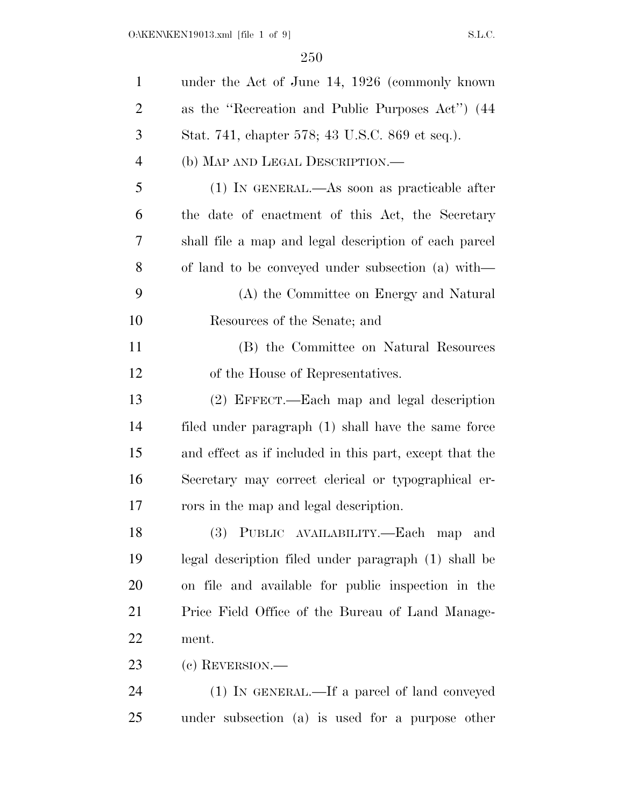| $\mathbf{1}$   | under the Act of June 14, 1926 (commonly known)         |
|----------------|---------------------------------------------------------|
| $\overline{2}$ | as the "Recreation and Public Purposes Act") (44        |
| 3              | Stat. 741, chapter 578; 43 U.S.C. 869 et seq.).         |
| $\overline{4}$ | (b) MAP AND LEGAL DESCRIPTION.—                         |
| 5              | (1) IN GENERAL.—As soon as practicable after            |
| 6              | the date of enactment of this Act, the Secretary        |
| 7              | shall file a map and legal description of each parcel   |
| 8              | of land to be conveyed under subsection (a) with—       |
| 9              | (A) the Committee on Energy and Natural                 |
| 10             | Resources of the Senate; and                            |
| 11             | (B) the Committee on Natural Resources                  |
| 12             | of the House of Representatives.                        |
| 13             | (2) EFFECT.—Each map and legal description              |
| 14             | filed under paragraph (1) shall have the same force     |
| 15             | and effect as if included in this part, except that the |
| 16             | Secretary may correct clerical or typographical er-     |
| 17             | rors in the map and legal description.                  |
| 18             | (3) PUBLIC AVAILABILITY.—Each map<br>and                |
| 19             | legal description filed under paragraph (1) shall be    |
| 20             | on file and available for public inspection in the      |
| 21             | Price Field Office of the Bureau of Land Manage-        |
| 22             | ment.                                                   |
| 23             | $(e)$ REVERSION.—                                       |
| 24             | (1) IN GENERAL.—If a parcel of land conveyed            |
| 25             | under subsection (a) is used for a purpose other        |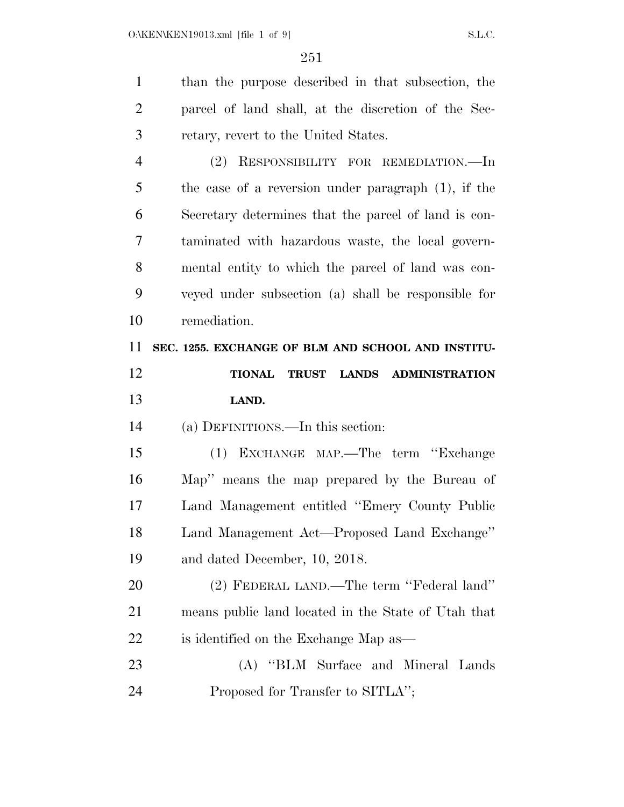| $\mathbf{1}$   | than the purpose described in that subsection, the     |
|----------------|--------------------------------------------------------|
| $\overline{2}$ | parcel of land shall, at the discretion of the Sec-    |
| 3              | retary, revert to the United States.                   |
| 4              | (2) RESPONSIBILITY FOR REMEDIATION.—In                 |
| 5              | the case of a reversion under paragraph $(1)$ , if the |
| 6              | Secretary determines that the parcel of land is con-   |
| 7              | taminated with hazardous waste, the local govern-      |
| 8              | mental entity to which the parcel of land was con-     |
| 9              | veyed under subsection (a) shall be responsible for    |
| 10             | remediation.                                           |
| 11             | SEC. 1255. EXCHANGE OF BLM AND SCHOOL AND INSTITU-     |
| 12             | TRUST LANDS ADMINISTRATION<br><b>TIONAL</b>            |
|                |                                                        |
| 13             | LAND.                                                  |
| 14             | (a) DEFINITIONS.—In this section:                      |
| 15             | EXCHANGE MAP.—The term "Exchange<br>(1)                |
| 16             | Map" means the map prepared by the Bureau of           |
| 17             | Land Management entitled "Emery County Public          |
| 18             | Land Management Act-Proposed Land Exchange"            |
| 19             | and dated December, 10, 2018.                          |
| 20             | (2) FEDERAL LAND.—The term "Federal land"              |
| 21             | means public land located in the State of Utah that    |
| 22             | is identified on the Exchange Map as—                  |
| 23             | (A) "BLM Surface and Mineral Lands"                    |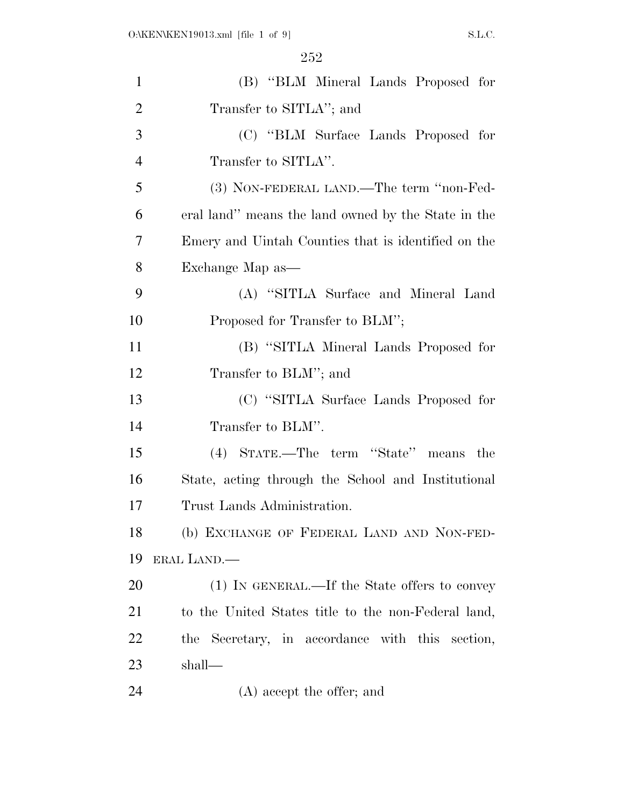| $\mathbf{1}$   | (B) "BLM Mineral Lands Proposed for                 |
|----------------|-----------------------------------------------------|
| $\overline{2}$ | Transfer to SITLA"; and                             |
| 3              | (C) "BLM Surface Lands Proposed for                 |
| $\overline{4}$ | Transfer to SITLA".                                 |
| 5              | (3) NON-FEDERAL LAND.—The term "non-Fed-            |
| 6              | eral land" means the land owned by the State in the |
| 7              | Emery and Uintah Counties that is identified on the |
| 8              | Exchange Map as—                                    |
| 9              | (A) "SITLA Surface and Mineral Land                 |
| 10             | Proposed for Transfer to BLM";                      |
| 11             | (B) "SITLA Mineral Lands Proposed for               |
| 12             | Transfer to BLM"; and                               |
| 13             | (C) "SITLA Surface Lands Proposed for               |
| 14             | Transfer to BLM".                                   |
| 15             | (4) STATE.—The term "State" means the               |
| 16             | State, acting through the School and Institutional  |
| 17             | Trust Lands Administration.                         |
| 18             | (b) EXCHANGE OF FEDERAL LAND AND NON-FED-           |
| 19             | ERAL LAND.—                                         |
| 20             | (1) IN GENERAL.—If the State offers to convey       |
| 21             | to the United States title to the non-Federal land, |
| 22             | the Secretary, in accordance with this section,     |
| 23             | shall—                                              |
| 24             | (A) accept the offer; and                           |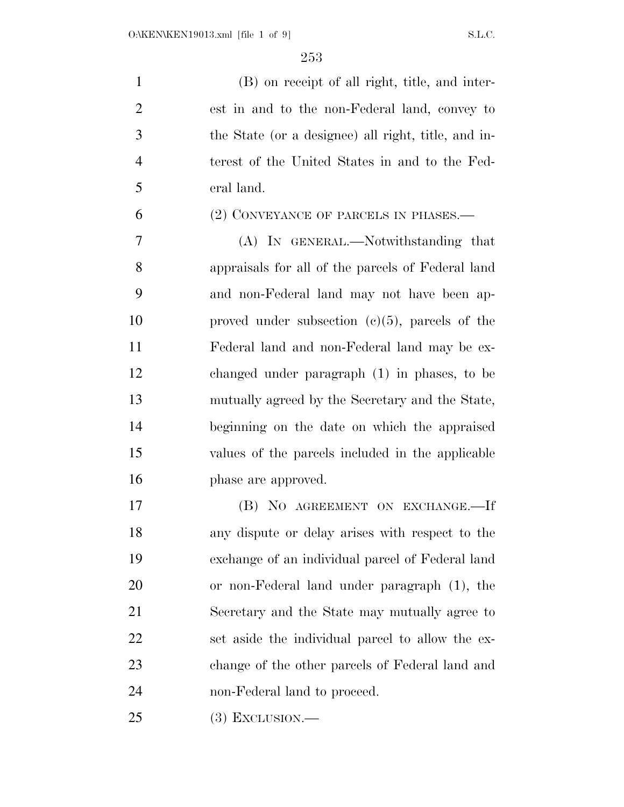(B) on receipt of all right, title, and inter- est in and to the non-Federal land, convey to the State (or a designee) all right, title, and in- terest of the United States in and to the Fed-eral land.

## (2) CONVEYANCE OF PARCELS IN PHASES.—

 (A) IN GENERAL.—Notwithstanding that appraisals for all of the parcels of Federal land and non-Federal land may not have been ap- proved under subsection (c)(5), parcels of the Federal land and non-Federal land may be ex- changed under paragraph (1) in phases, to be mutually agreed by the Secretary and the State, beginning on the date on which the appraised values of the parcels included in the applicable phase are approved.

 (B) NO AGREEMENT ON EXCHANGE.—If any dispute or delay arises with respect to the exchange of an individual parcel of Federal land or non-Federal land under paragraph (1), the Secretary and the State may mutually agree to set aside the individual parcel to allow the ex- change of the other parcels of Federal land and non-Federal land to proceed.

(3) EXCLUSION.—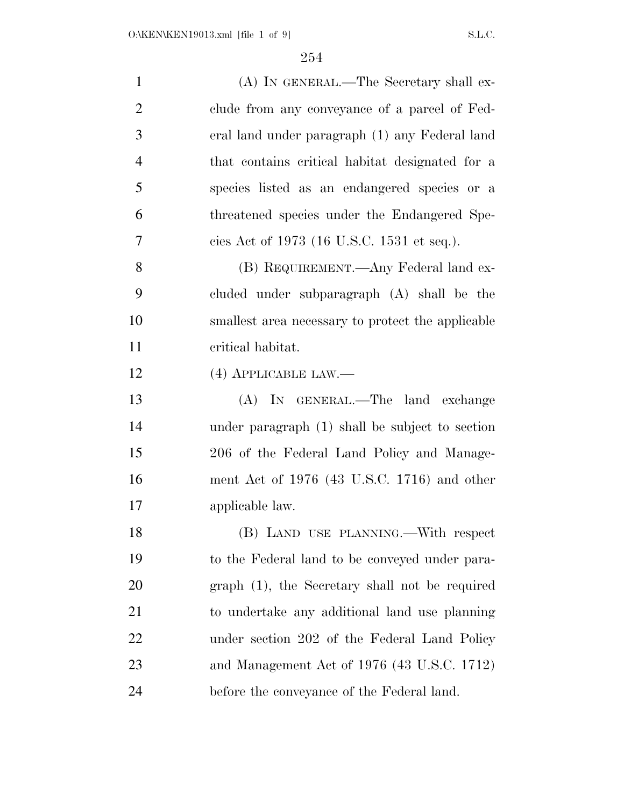| $\mathbf{1}$   | (A) IN GENERAL.—The Secretary shall ex-           |
|----------------|---------------------------------------------------|
| $\overline{2}$ | clude from any conveyance of a parcel of Fed-     |
| 3              | eral land under paragraph (1) any Federal land    |
| $\overline{4}$ | that contains critical habitat designated for a   |
| 5              | species listed as an endangered species or a      |
| 6              | threatened species under the Endangered Spe-      |
| 7              | cies Act of 1973 (16 U.S.C. 1531 et seq.).        |
| 8              | (B) REQUIREMENT.—Any Federal land ex-             |
| 9              | cluded under subparagraph (A) shall be the        |
| 10             | smallest area necessary to protect the applicable |
| 11             | critical habitat.                                 |
| 12             | $(4)$ APPLICABLE LAW.—                            |
| 13             | (A) IN GENERAL.—The land exchange                 |
| 14             | under paragraph (1) shall be subject to section   |
| 15             | 206 of the Federal Land Policy and Manage-        |
| 16             | ment Act of 1976 (43 U.S.C. 1716) and other       |
| 17             | applicable law.                                   |
| 18             | (B) LAND USE PLANNING.-- With respect             |
| 19             | to the Federal land to be conveyed under para-    |
| 20             | graph (1), the Secretary shall not be required    |
| 21             | to undertake any additional land use planning     |
| 22             | under section 202 of the Federal Land Policy      |
| 23             | and Management Act of 1976 (43 U.S.C. 1712)       |
| 24             | before the conveyance of the Federal land.        |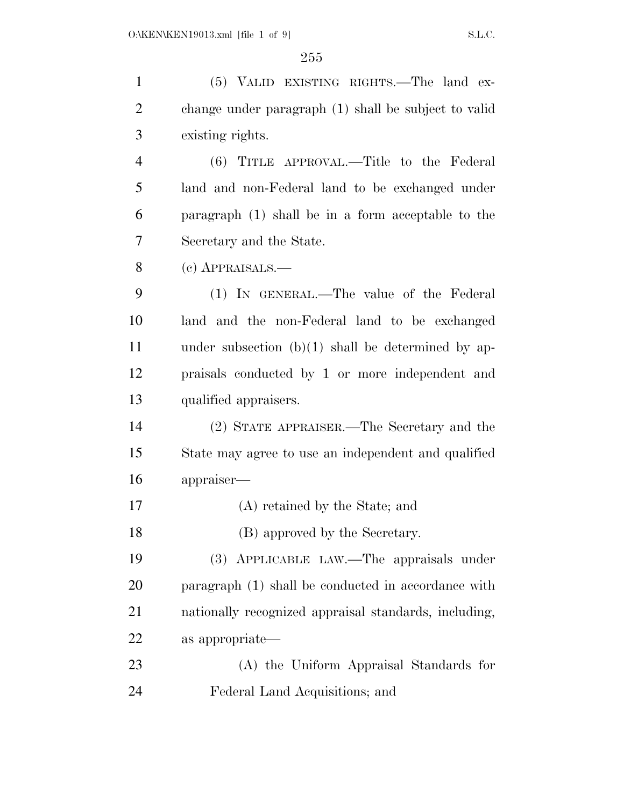$255\,$ 

| (5) VALID EXISTING RIGHTS.—The land ex-               |
|-------------------------------------------------------|
| change under paragraph (1) shall be subject to valid  |
| existing rights.                                      |
| (6) TITLE APPROVAL.—Title to the Federal              |
| land and non-Federal land to be exchanged under       |
| paragraph $(1)$ shall be in a form acceptable to the  |
| Secretary and the State.                              |
| $(e)$ APPRAISALS.—                                    |
| (1) IN GENERAL.—The value of the Federal              |
| land and the non-Federal land to be exchanged         |
| under subsection $(b)(1)$ shall be determined by ap-  |
| praisals conducted by 1 or more independent and       |
| qualified appraisers.                                 |
| (2) STATE APPRAISER.—The Secretary and the            |
| State may agree to use an independent and qualified   |
| appraiser-                                            |
| (A) retained by the State; and                        |
| (B) approved by the Secretary.                        |
| (3) APPLICABLE LAW.—The appraisals under              |
| paragraph (1) shall be conducted in accordance with   |
| nationally recognized appraisal standards, including, |
| as appropriate—                                       |
| (A) the Uniform Appraisal Standards for               |
| Federal Land Acquisitions; and                        |
|                                                       |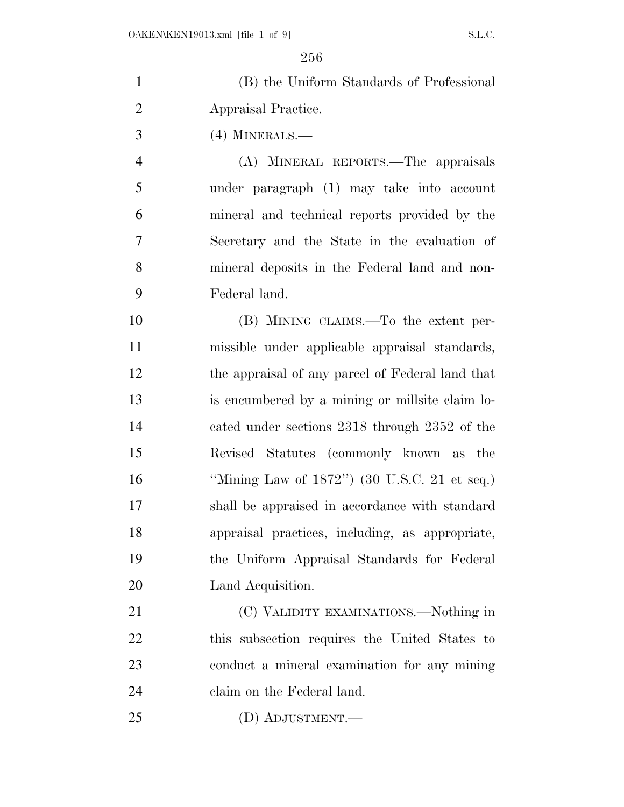| $\mathbf{1}$   | (B) the Uniform Standards of Professional        |
|----------------|--------------------------------------------------|
| $\overline{2}$ | Appraisal Practice.                              |
| 3              | $(4)$ MINERALS.—                                 |
| $\overline{4}$ | (A) MINERAL REPORTS.—The appraisals              |
| 5              | under paragraph (1) may take into account        |
| 6              | mineral and technical reports provided by the    |
| 7              | Secretary and the State in the evaluation of     |
| 8              | mineral deposits in the Federal land and non-    |
| 9              | Federal land.                                    |
| 10             | (B) MINING CLAIMS.—To the extent per-            |
| 11             | missible under applicable appraisal standards,   |
| 12             | the appraisal of any parcel of Federal land that |
| 13             | is encumbered by a mining or millsite claim lo-  |
| 14             | cated under sections 2318 through 2352 of the    |
| 15             | Revised Statutes (commonly known as the          |
| 16             | "Mining Law of $1872$ ") (30 U.S.C. 21 et seq.)  |
| 17             | shall be appraised in accordance with standard   |
| 18             | appraisal practices, including, as appropriate,  |
| 19             | the Uniform Appraisal Standards for Federal      |
| 20             | Land Acquisition.                                |
| 21             | (C) VALIDITY EXAMINATIONS.—Nothing in            |
| 22             | this subsection requires the United States to    |
| 23             | conduct a mineral examination for any mining     |
| 24             | claim on the Federal land.                       |
| 25             | (D) ADJUSTMENT.—                                 |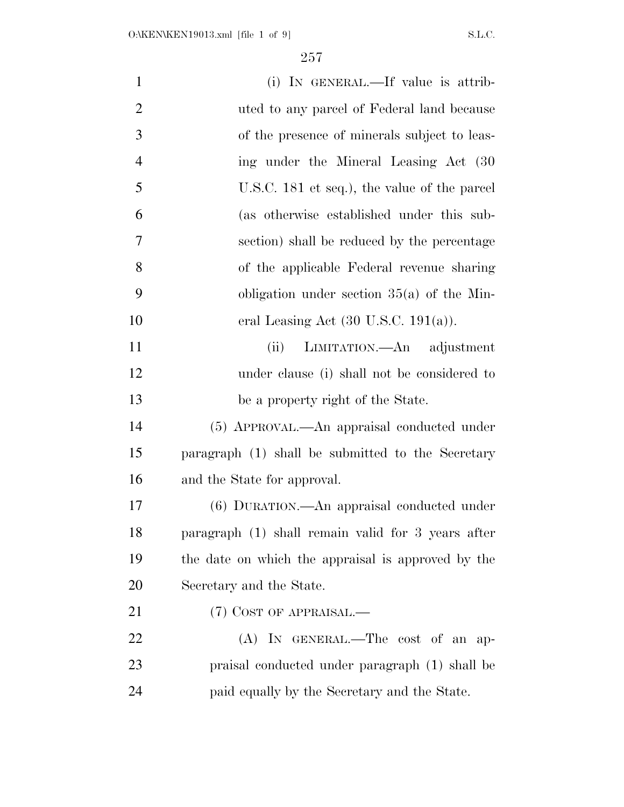| $\mathbf{1}$   | (i) IN GENERAL.—If value is attrib-                |
|----------------|----------------------------------------------------|
| $\overline{2}$ | uted to any parcel of Federal land because         |
| 3              | of the presence of minerals subject to leas-       |
| $\overline{4}$ | ing under the Mineral Leasing Act (30)             |
| 5              | U.S.C. 181 et seq.), the value of the parcel       |
| 6              | (as otherwise established under this sub-          |
| 7              | section) shall be reduced by the percentage        |
| 8              | of the applicable Federal revenue sharing          |
| 9              | obligation under section $35(a)$ of the Min-       |
| 10             | eral Leasing Act $(30 \text{ U.S.C. } 191(a))$ .   |
| 11             | (ii)<br>LIMITATION.—An adjustment                  |
| 12             | under clause (i) shall not be considered to        |
| 13             | be a property right of the State.                  |
| 14             | (5) APPROVAL.—An appraisal conducted under         |
| 15             | paragraph (1) shall be submitted to the Secretary  |
| 16             | and the State for approval.                        |
| 17             | (6) DURATION.—An appraisal conducted under         |
| 18             | paragraph (1) shall remain valid for 3 years after |
| 19             | the date on which the appraisal is approved by the |
| 20             | Secretary and the State.                           |
| 21             | (7) COST OF APPRAISAL.—                            |
| 22             | (A) IN GENERAL.—The cost of an ap-                 |
| 23             | praisal conducted under paragraph (1) shall be     |
| 24             | paid equally by the Secretary and the State.       |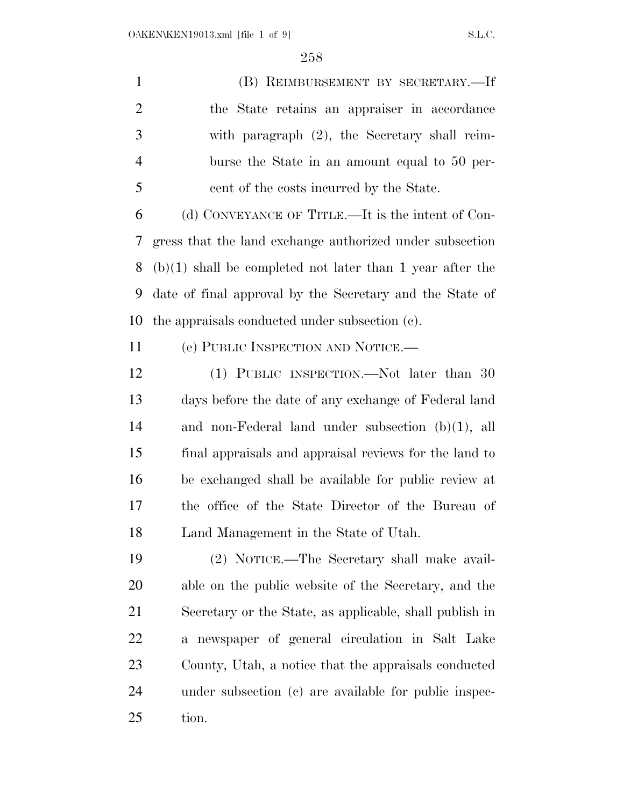(B) REIMBURSEMENT BY SECRETARY.—If the State retains an appraiser in accordance with paragraph (2), the Secretary shall reim- burse the State in an amount equal to 50 per-cent of the costs incurred by the State.

 (d) CONVEYANCE OF TITLE.—It is the intent of Con- gress that the land exchange authorized under subsection (b)(1) shall be completed not later than 1 year after the date of final approval by the Secretary and the State of the appraisals conducted under subsection (c).

(e) PUBLIC INSPECTION AND NOTICE.—

 (1) PUBLIC INSPECTION.—Not later than 30 days before the date of any exchange of Federal land and non-Federal land under subsection (b)(1), all final appraisals and appraisal reviews for the land to be exchanged shall be available for public review at the office of the State Director of the Bureau of Land Management in the State of Utah.

 (2) NOTICE.—The Secretary shall make avail- able on the public website of the Secretary, and the Secretary or the State, as applicable, shall publish in a newspaper of general circulation in Salt Lake County, Utah, a notice that the appraisals conducted under subsection (c) are available for public inspec-tion.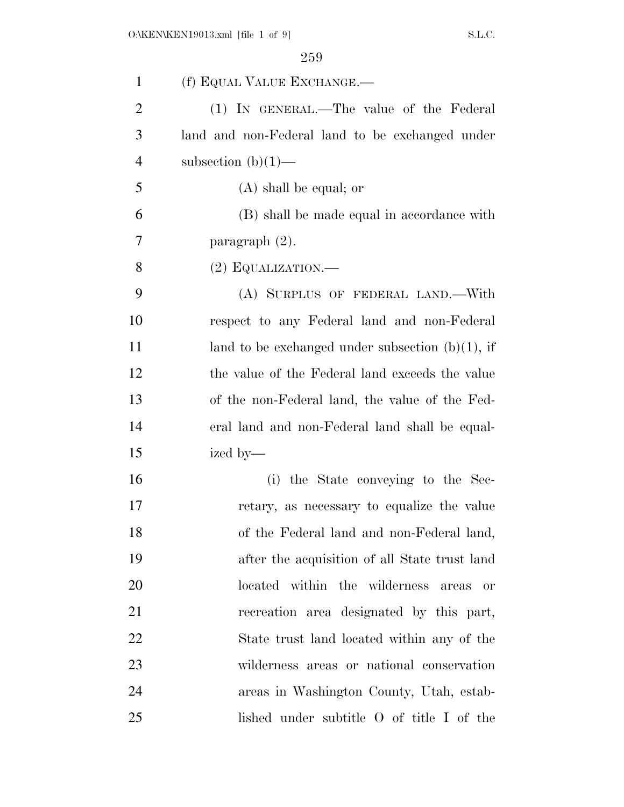| $\mathbf{1}$   | (f) EQUAL VALUE EXCHANGE.—                          |
|----------------|-----------------------------------------------------|
| $\overline{2}$ | (1) IN GENERAL.—The value of the Federal            |
| 3              | land and non-Federal land to be exchanged under     |
| $\overline{4}$ | subsection $(b)(1)$ —                               |
| 5              | $(A)$ shall be equal; or                            |
| 6              | (B) shall be made equal in accordance with          |
| 7              | paragraph $(2)$ .                                   |
| 8              | $(2)$ EQUALIZATION.—                                |
| 9              | (A) SURPLUS OF FEDERAL LAND.—With                   |
| 10             | respect to any Federal land and non-Federal         |
| 11             | land to be exchanged under subsection $(b)(1)$ , if |
| 12             | the value of the Federal land exceeds the value     |
| 13             | of the non-Federal land, the value of the Fed-      |
| 14             | eral land and non-Federal land shall be equal-      |
| 15             | ized by—                                            |
| 16             | (i) the State conveying to the Sec-                 |
| 17             | retary, as necessary to equalize the value          |
| 18             | of the Federal land and non-Federal land,           |
| 19             | after the acquisition of all State trust land       |
| 20             | located within the wilderness<br>areas<br><b>or</b> |
| 21             | recreation area designated by this part,            |
| 22             | State trust land located within any of the          |
| 23             | wilderness areas or national conservation           |
| 24             | areas in Washington County, Utah, estab-            |
| 25             | lished under subtitle O of title I of the           |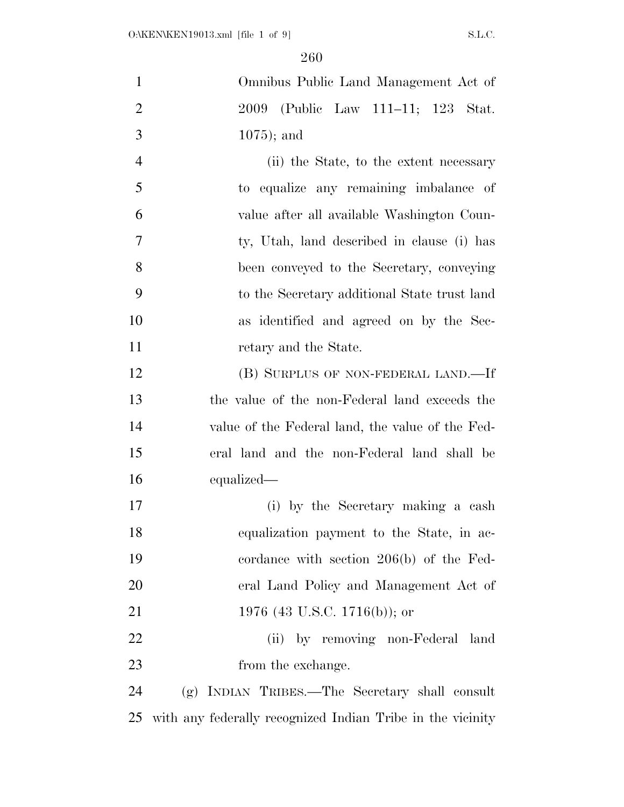| $\mathbf{1}$   | Omnibus Public Land Management Act of                      |
|----------------|------------------------------------------------------------|
| $\overline{2}$ | 2009 (Public Law 111–11; 123 Stat.                         |
| 3              | $1075$ ; and                                               |
| $\overline{4}$ | (ii) the State, to the extent necessary                    |
| 5              | to equalize any remaining imbalance of                     |
| 6              | value after all available Washington Coun-                 |
| $\tau$         | ty, Utah, land described in clause (i) has                 |
| 8              | been conveyed to the Secretary, conveying                  |
| 9              | to the Secretary additional State trust land               |
| 10             | as identified and agreed on by the Sec-                    |
| 11             | retary and the State.                                      |
| 12             | (B) SURPLUS OF NON-FEDERAL LAND.—If                        |
| 13             | the value of the non-Federal land exceeds the              |
| 14             | value of the Federal land, the value of the Fed-           |
| 15             | eral land and the non-Federal land shall be                |
| 16             | equalized—                                                 |
| 17             | (i) by the Secretary making a cash                         |
| 18             | equalization payment to the State, in ac-                  |
| 19             | cordance with section $206(b)$ of the Fed-                 |
| 20             | eral Land Policy and Management Act of                     |
| 21             | 1976 (43 U.S.C. 1716(b)); or                               |
| 22             | (ii) by removing non-Federal land                          |
| 23             | from the exchange.                                         |
| 24             | (g) INDIAN TRIBES.—The Secretary shall consult             |
| 25             | with any federally recognized Indian Tribe in the vicinity |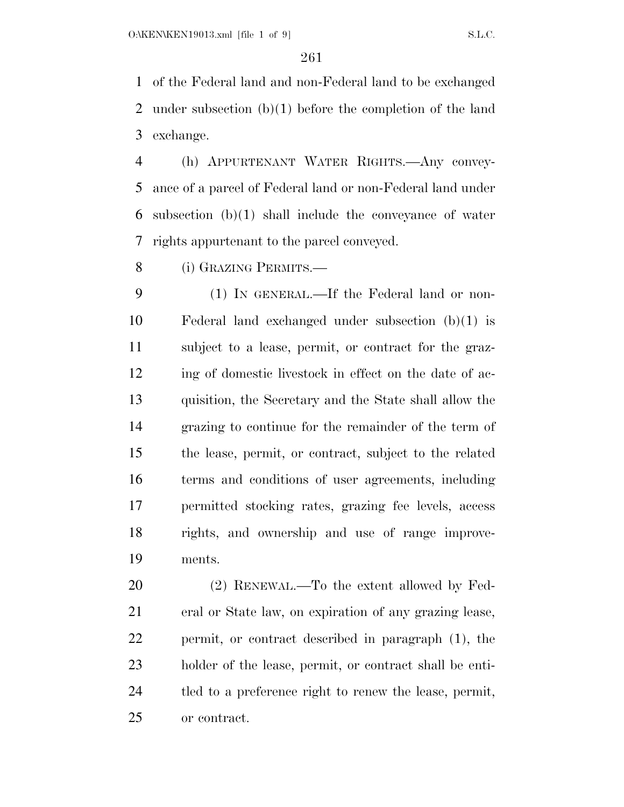of the Federal land and non-Federal land to be exchanged under subsection (b)(1) before the completion of the land exchange.

 (h) APPURTENANT WATER RIGHTS.—Any convey- ance of a parcel of Federal land or non-Federal land under subsection (b)(1) shall include the conveyance of water rights appurtenant to the parcel conveyed.

(i) GRAZING PERMITS.—

 (1) IN GENERAL.—If the Federal land or non- Federal land exchanged under subsection (b)(1) is subject to a lease, permit, or contract for the graz-12 ing of domestic livestock in effect on the date of ac- quisition, the Secretary and the State shall allow the grazing to continue for the remainder of the term of the lease, permit, or contract, subject to the related terms and conditions of user agreements, including permitted stocking rates, grazing fee levels, access rights, and ownership and use of range improve-ments.

 (2) RENEWAL.—To the extent allowed by Fed- eral or State law, on expiration of any grazing lease, permit, or contract described in paragraph (1), the holder of the lease, permit, or contract shall be enti- tled to a preference right to renew the lease, permit, or contract.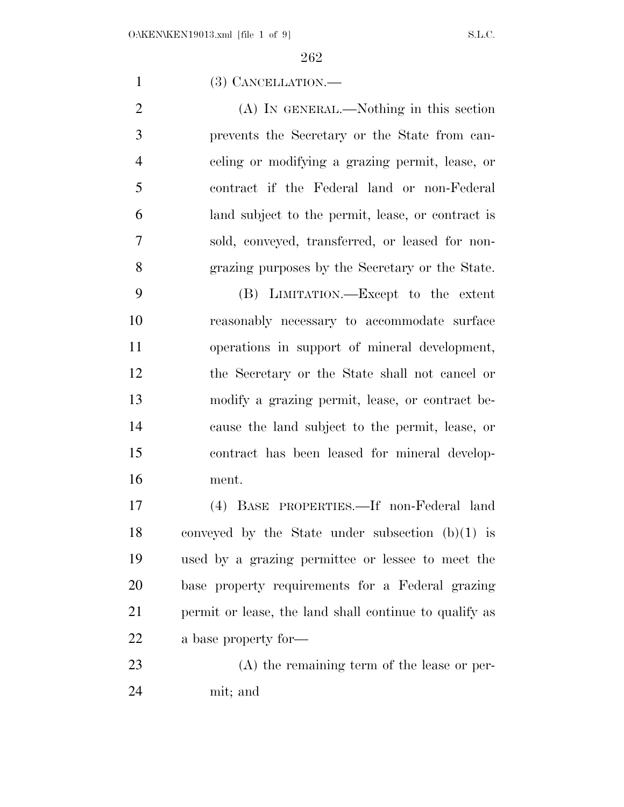(3) CANCELLATION.—

 (A) IN GENERAL.—Nothing in this section prevents the Secretary or the State from can- celing or modifying a grazing permit, lease, or contract if the Federal land or non-Federal land subject to the permit, lease, or contract is sold, conveyed, transferred, or leased for non-grazing purposes by the Secretary or the State.

 (B) LIMITATION.—Except to the extent reasonably necessary to accommodate surface operations in support of mineral development, the Secretary or the State shall not cancel or modify a grazing permit, lease, or contract be- cause the land subject to the permit, lease, or contract has been leased for mineral develop-ment.

 (4) BASE PROPERTIES.—If non-Federal land conveyed by the State under subsection (b)(1) is used by a grazing permittee or lessee to meet the base property requirements for a Federal grazing permit or lease, the land shall continue to qualify as a base property for—

 (A) the remaining term of the lease or per-mit; and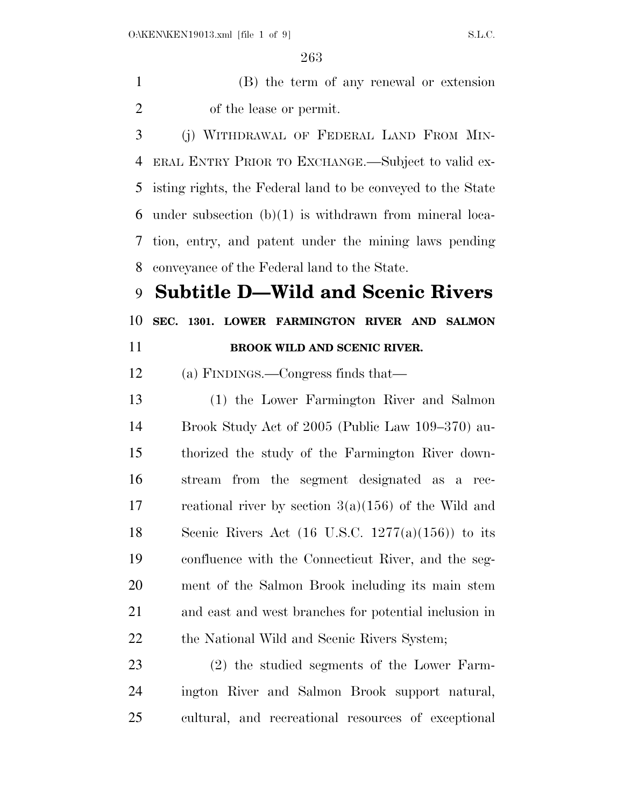(B) the term of any renewal or extension of the lease or permit.

 (j) WITHDRAWAL OF FEDERAL LAND FROM MIN- ERAL ENTRY PRIOR TO EXCHANGE.—Subject to valid ex- isting rights, the Federal land to be conveyed to the State under subsection (b)(1) is withdrawn from mineral loca- tion, entry, and patent under the mining laws pending conveyance of the Federal land to the State.

**Subtitle D—Wild and Scenic Rivers** 

**SEC. 1301. LOWER FARMINGTON RIVER AND SALMON** 

**BROOK WILD AND SCENIC RIVER.** 

## (a) FINDINGS.—Congress finds that—

 (1) the Lower Farmington River and Salmon Brook Study Act of 2005 (Public Law 109–370) au- thorized the study of the Farmington River down- stream from the segment designated as a rec-17 reational river by section  $3(a)(156)$  of the Wild and 18 Scenic Rivers Act  $(16 \text{ U.S.C. } 1277(a)(156))$  to its confluence with the Connecticut River, and the seg- ment of the Salmon Brook including its main stem and east and west branches for potential inclusion in 22 the National Wild and Scenic Rivers System;

 (2) the studied segments of the Lower Farm- ington River and Salmon Brook support natural, cultural, and recreational resources of exceptional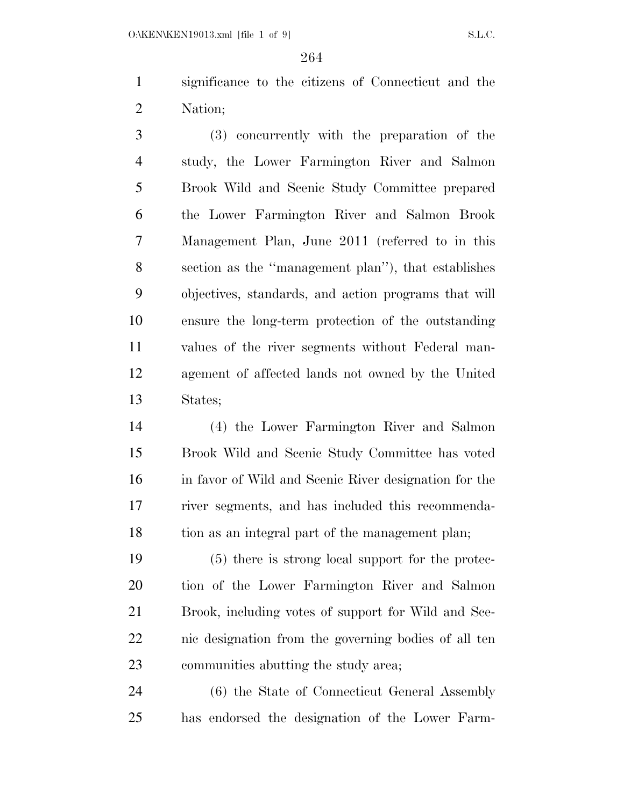O:\KEN\KEN19013.xml [file 1 of 9] S.L.C.

 significance to the citizens of Connecticut and the Nation;

 (3) concurrently with the preparation of the study, the Lower Farmington River and Salmon Brook Wild and Scenic Study Committee prepared the Lower Farmington River and Salmon Brook Management Plan, June 2011 (referred to in this section as the ''management plan''), that establishes objectives, standards, and action programs that will ensure the long-term protection of the outstanding values of the river segments without Federal man- agement of affected lands not owned by the United States;

 (4) the Lower Farmington River and Salmon Brook Wild and Scenic Study Committee has voted in favor of Wild and Scenic River designation for the river segments, and has included this recommenda-tion as an integral part of the management plan;

 (5) there is strong local support for the protec- tion of the Lower Farmington River and Salmon Brook, including votes of support for Wild and Sce- nic designation from the governing bodies of all ten communities abutting the study area;

 (6) the State of Connecticut General Assembly has endorsed the designation of the Lower Farm-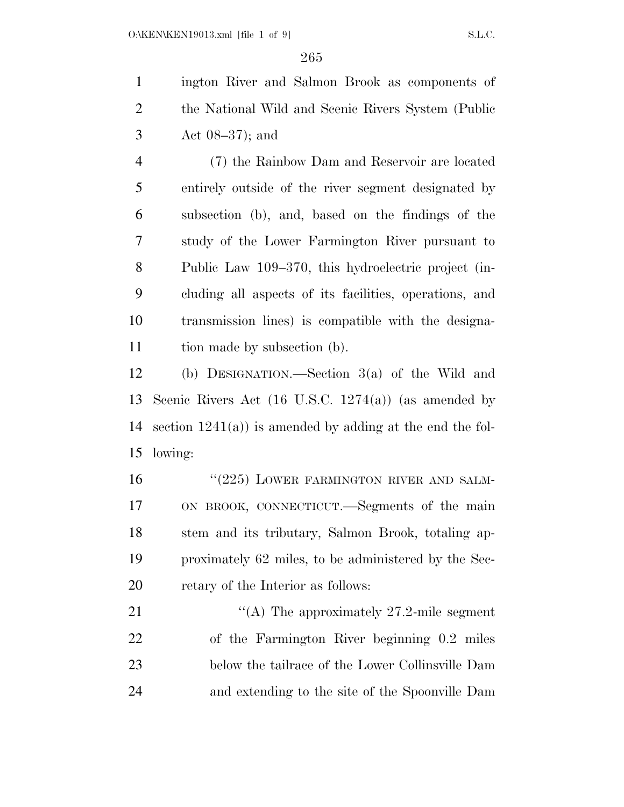ington River and Salmon Brook as components of the National Wild and Scenic Rivers System (Public Act 08–37); and

 (7) the Rainbow Dam and Reservoir are located entirely outside of the river segment designated by subsection (b), and, based on the findings of the study of the Lower Farmington River pursuant to Public Law 109–370, this hydroelectric project (in- cluding all aspects of its facilities, operations, and transmission lines) is compatible with the designa-tion made by subsection (b).

 (b) DESIGNATION.—Section 3(a) of the Wild and Scenic Rivers Act (16 U.S.C. 1274(a)) (as amended by section 1241(a)) is amended by adding at the end the fol-lowing:

16 "(225) LOWER FARMINGTON RIVER AND SALM- ON BROOK, CONNECTICUT.—Segments of the main stem and its tributary, Salmon Brook, totaling ap- proximately 62 miles, to be administered by the Sec-retary of the Interior as follows:

21 "(A) The approximately 27.2-mile segment of the Farmington River beginning 0.2 miles below the tailrace of the Lower Collinsville Dam and extending to the site of the Spoonville Dam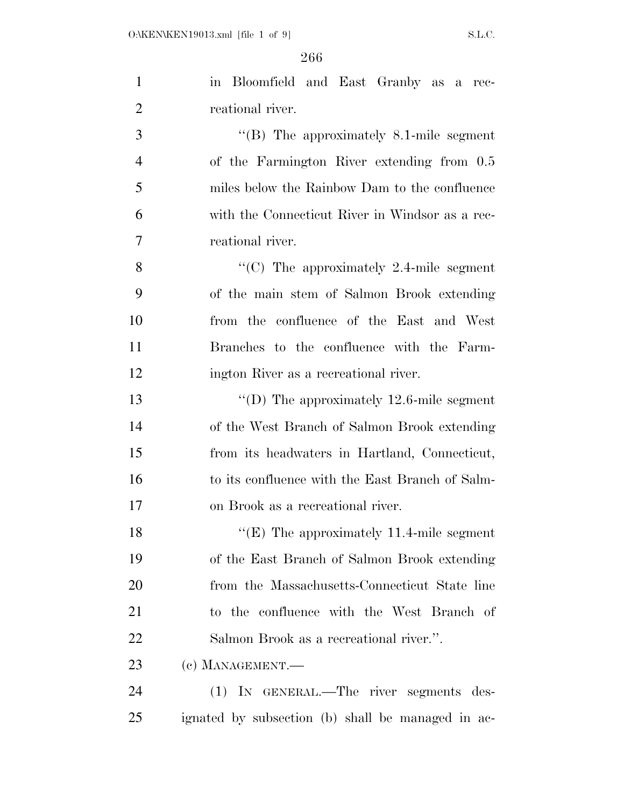| $\mathbf{1}$   | in Bloomfield and East Granby as a rec-           |
|----------------|---------------------------------------------------|
| $\overline{2}$ | reational river.                                  |
| 3              | $\cdot$ (B) The approximately 8.1-mile segment    |
| $\overline{4}$ | of the Farmington River extending from 0.5        |
| 5              | miles below the Rainbow Dam to the confluence     |
| 6              | with the Connecticut River in Windsor as a rec-   |
| $\overline{7}$ | reational river.                                  |
| 8              | "(C) The approximately 2.4-mile segment           |
| 9              | of the main stem of Salmon Brook extending        |
| 10             | from the confluence of the East and West          |
| 11             | Branches to the confluence with the Farm-         |
| 12             | ington River as a recreational river.             |
| 13             | "(D) The approximately $12.6$ -mile segment       |
| 14             | of the West Branch of Salmon Brook extending      |
| 15             | from its headwaters in Hartland, Connecticut,     |
| 16             | to its confluence with the East Branch of Salm-   |
| 17             | on Brook as a recreational river.                 |
| 18             | " $(E)$ The approximately 11.4-mile segment       |
| 19             | of the East Branch of Salmon Brook extending      |
| 20             | from the Massachusetts-Connecticut State line     |
| 21             | to the confluence with the West Branch of         |
| 22             | Salmon Brook as a recreational river.".           |
| 23             | (c) MANAGEMENT.-                                  |
| 24             | (1) IN GENERAL.—The river segments des-           |
| 25             | ignated by subsection (b) shall be managed in ac- |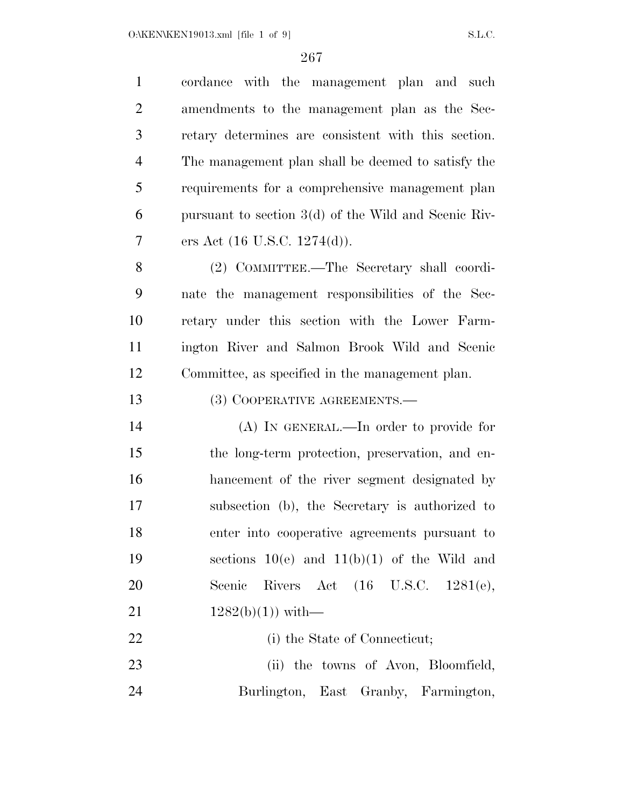| $\mathbf{1}$   | cordance with the management plan and such             |
|----------------|--------------------------------------------------------|
| $\overline{2}$ | amendments to the management plan as the Sec-          |
| 3              | retary determines are consistent with this section.    |
| $\overline{4}$ | The management plan shall be deemed to satisfy the     |
| 5              | requirements for a comprehensive management plan       |
| 6              | pursuant to section $3(d)$ of the Wild and Scenic Riv- |
| 7              | ers Act $(16 \text{ U.S.C. } 1274(d)).$                |
| 8              | (2) COMMITTEE.—The Secretary shall coordi-             |
| 9              | nate the management responsibilities of the Sec-       |
| 10             | retary under this section with the Lower Farm-         |
| 11             | ington River and Salmon Brook Wild and Scenic          |
| 12             | Committee, as specified in the management plan.        |
| 13             | (3) COOPERATIVE AGREEMENTS.—                           |
| 14             | $(A)$ In GENERAL.—In order to provide for              |
| 15             | the long-term protection, preservation, and en-        |
| 16             | hancement of the river segment designated by           |
| 17             | subsection (b), the Secretary is authorized to         |
| 18             | enter into cooperative agreements pursuant to          |
| 19             | sections $10(e)$ and $11(b)(1)$ of the Wild and        |
| 20             | Rivers Act (16 U.S.C. 1281(e),<br>Scenic               |
| 21             | $1282(b)(1)$ ) with-                                   |
| 22             | (i) the State of Connecticut;                          |
| 23             | (ii) the towns of Avon, Bloomfield,                    |
| 24             | Burlington, East Granby, Farmington,                   |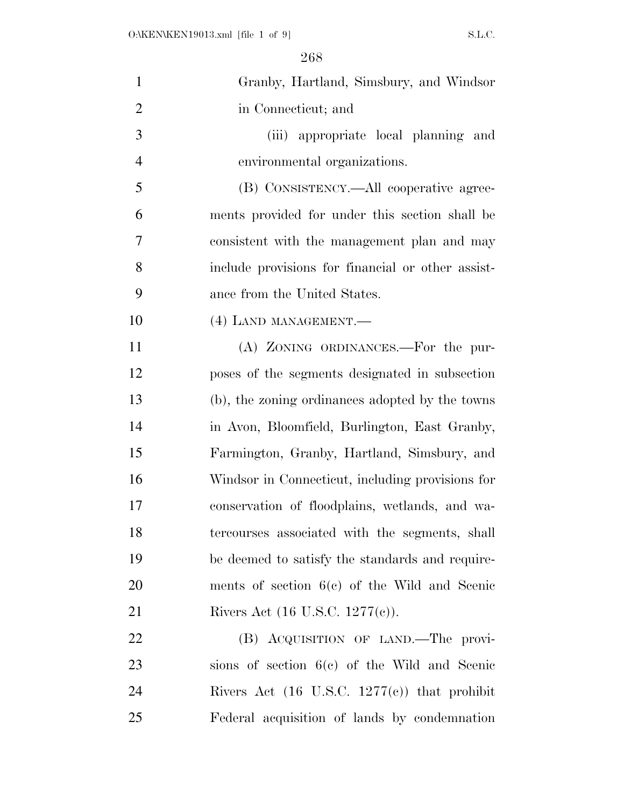| $\mathbf{1}$   | Granby, Hartland, Simsbury, and Windsor                 |
|----------------|---------------------------------------------------------|
| $\overline{2}$ | in Connecticut; and                                     |
| 3              | (iii) appropriate local planning and                    |
| $\overline{4}$ | environmental organizations.                            |
| 5              | (B) CONSISTENCY.—All cooperative agree-                 |
| 6              | ments provided for under this section shall be          |
| 7              | consistent with the management plan and may             |
| 8              | include provisions for financial or other assist-       |
| 9              | ance from the United States.                            |
| 10             | (4) LAND MANAGEMENT.                                    |
| 11             | (A) ZONING ORDINANCES.—For the pur-                     |
| 12             | poses of the segments designated in subsection          |
| 13             | (b), the zoning ordinances adopted by the towns         |
| 14             | in Avon, Bloomfield, Burlington, East Granby,           |
| 15             | Farmington, Granby, Hartland, Simsbury, and             |
| 16             | Windsor in Connecticut, including provisions for        |
| 17             | conservation of floodplains, wetlands, and wa-          |
| 18             | tercourses associated with the segments, shall          |
| 19             | be deemed to satisfy the standards and require-         |
| 20             | ments of section $6(c)$ of the Wild and Scenic          |
| 21             | Rivers Act $(16 \text{ U.S.C. } 1277(e))$ .             |
| 22             | (B) ACQUISITION OF LAND.—The provi-                     |
| 23             | sions of section $6(c)$ of the Wild and Scenic          |
| 24             | Rivers Act $(16 \text{ U.S.C. } 1277(e))$ that prohibit |
| 25             | Federal acquisition of lands by condemnation            |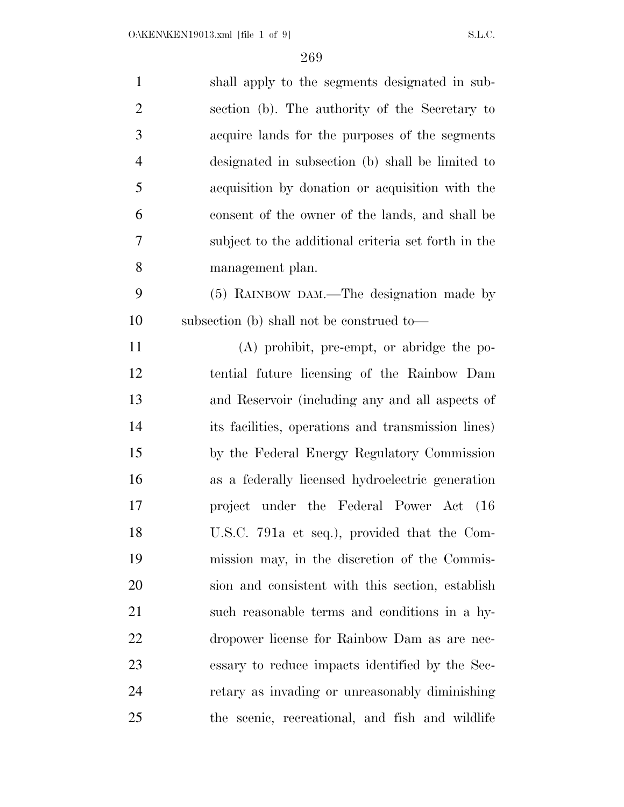| $\mathbf{1}$   | shall apply to the segments designated in sub-      |
|----------------|-----------------------------------------------------|
| $\overline{2}$ | section (b). The authority of the Secretary to      |
| 3              | acquire lands for the purposes of the segments      |
| $\overline{4}$ | designated in subsection (b) shall be limited to    |
| 5              | acquisition by donation or acquisition with the     |
| 6              | consent of the owner of the lands, and shall be     |
| 7              | subject to the additional criteria set forth in the |
| 8              | management plan.                                    |
| 9              | (5) RAINBOW DAM.—The designation made by            |
| 10             | subsection (b) shall not be construed to—           |
| 11             | (A) prohibit, pre-empt, or abridge the po-          |
| 12             | tential future licensing of the Rainbow Dam         |
| 13             | and Reservoir (including any and all aspects of     |
| 14             | its facilities, operations and transmission lines)  |
| 15             | by the Federal Energy Regulatory Commission         |
| 16             | as a federally licensed hydroelectric generation    |
| 17             | project under the Federal Power Act (16             |
| 18             | U.S.C. 791a et seq.), provided that the Com-        |
| 19             | mission may, in the discretion of the Commis-       |
| 20             | sion and consistent with this section, establish    |
| 21             | such reasonable terms and conditions in a hy-       |
| 22             | dropower license for Rainbow Dam as are nec-        |
| 23             | essary to reduce impacts identified by the Sec-     |
| 24             | retary as invading or unreasonably diminishing      |
| 25             | the scenic, recreational, and fish and wildlife     |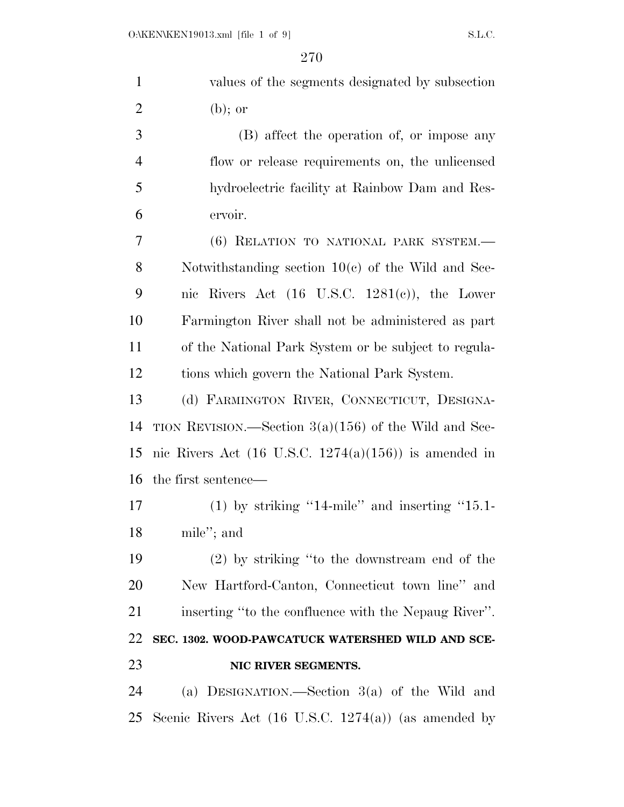| $\mathbf{1}$   | values of the segments designated by subsection                  |
|----------------|------------------------------------------------------------------|
| $\overline{2}$ | $(b)$ ; or                                                       |
| 3              | (B) affect the operation of, or impose any                       |
| $\overline{4}$ | flow or release requirements on, the unlicensed                  |
| 5              | hydroelectric facility at Rainbow Dam and Res-                   |
| 6              | ervoir.                                                          |
| 7              | (6) RELATION TO NATIONAL PARK SYSTEM.-                           |
| 8              | Notwithstanding section $10(c)$ of the Wild and Sce-             |
| 9              | nic Rivers Act $(16 \text{ U.S.C. } 1281(c))$ , the Lower        |
| 10             | Farmington River shall not be administered as part               |
| 11             | of the National Park System or be subject to regula-             |
| 12             | tions which govern the National Park System.                     |
| 13             | (d) FARMINGTON RIVER, CONNECTICUT, DESIGNA-                      |
| 14             | TION REVISION.—Section $3(a)(156)$ of the Wild and Sce-          |
| 15             | nic Rivers Act $(16 \text{ U.S.C. } 1274(a)(156))$ is amended in |
| 16             | the first sentence—                                              |
| 17             | $(1)$ by striking "14-mile" and inserting "15.1-                 |
| 18             | mile"; and                                                       |
| 19             | $(2)$ by striking "to the downstream end of the                  |
| 20             | New Hartford-Canton, Connecticut town line" and                  |
| 21             | inserting "to the confluence with the Nepaug River".             |
| 22             | SEC. 1302. WOOD-PAWCATUCK WATERSHED WILD AND SCE-                |
| 23             | NIC RIVER SEGMENTS.                                              |
| 24             | (a) DESIGNATION.—Section $3(a)$ of the Wild and                  |
| 25             | Scenic Rivers Act $(16 \text{ U.S.C. } 1274(a))$ (as amended by  |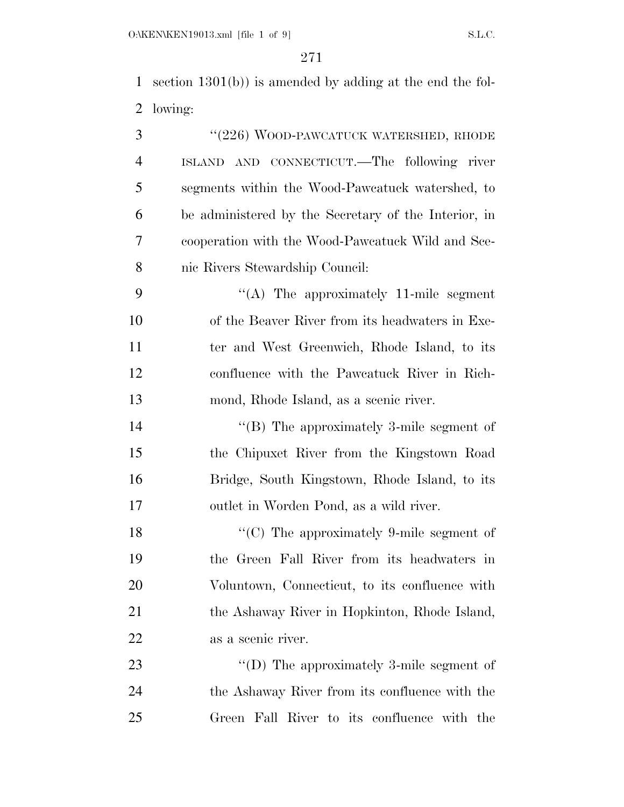section 1301(b)) is amended by adding at the end the fol-lowing:

| 3              | "(226) WOOD-PAWCATUCK WATERSHED, RHODE               |
|----------------|------------------------------------------------------|
| $\overline{4}$ | ISLAND AND CONNECTICUT. The following river          |
| 5              | segments within the Wood-Pawcatuck watershed, to     |
| 6              | be administered by the Secretary of the Interior, in |
| 7              | cooperation with the Wood-Pawcatuck Wild and Sce-    |
| 8              | nic Rivers Stewardship Council:                      |
| 9              | "(A) The approximately 11-mile segment               |
| 10             | of the Beaver River from its headwaters in Exe-      |
| 11             | ter and West Greenwich, Rhode Island, to its         |
| 12             | confluence with the Pawcatuck River in Rich-         |
| 13             | mond, Rhode Island, as a scenic river.               |
| 14             | "(B) The approximately 3-mile segment of             |
| 15             | the Chipuxet River from the Kingstown Road           |
| 16             | Bridge, South Kingstown, Rhode Island, to its        |
| 17             | outlet in Worden Pond, as a wild river.              |
| 18             | "(C) The approximately 9-mile segment of             |
| 19             | the Green Fall River from its headwaters in          |
| 20             | Voluntown, Connecticut, to its confluence with       |
| 21             | the Ashaway River in Hopkinton, Rhode Island,        |
| <u>22</u>      | as a scenic river.                                   |
| 23             | "(D) The approximately 3-mile segment of             |
| 24             | the Ashaway River from its confluence with the       |
| 25             | Green Fall River to its confluence with the          |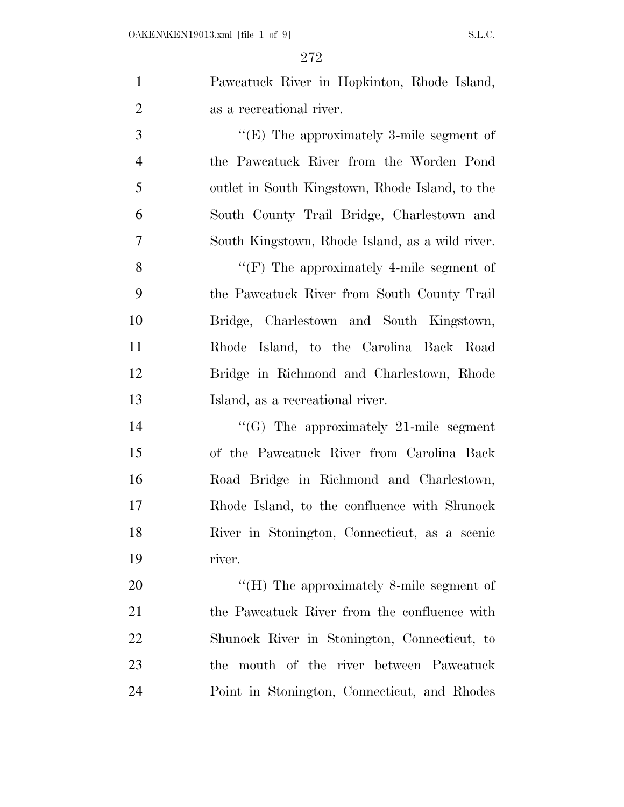|                             | Pawcatuck River in Hopkinton, Rhode Island, |
|-----------------------------|---------------------------------------------|
| $\mathcal{D}_{\mathcal{L}}$ | as a recreational river.                    |
| -3                          | "(E) The approximately 3-mile segment of    |
|                             | the Pawcatuck River from the Worden Pond    |

 outlet in South Kingstown, Rhode Island, to the South County Trail Bridge, Charlestown and South Kingstown, Rhode Island, as a wild river.

 ''(F) The approximately 4-mile segment of the Pawcatuck River from South County Trail Bridge, Charlestown and South Kingstown, Rhode Island, to the Carolina Back Road Bridge in Richmond and Charlestown, Rhode Island, as a recreational river.

 $\frac{1}{21}$  The approximately 21-mile segment of the Pawcatuck River from Carolina Back Road Bridge in Richmond and Charlestown, Rhode Island, to the confluence with Shunock River in Stonington, Connecticut, as a scenic river.

20 "'(H) The approximately 8-mile segment of 21 the Pawcatuck River from the confluence with Shunock River in Stonington, Connecticut, to the mouth of the river between Pawcatuck Point in Stonington, Connecticut, and Rhodes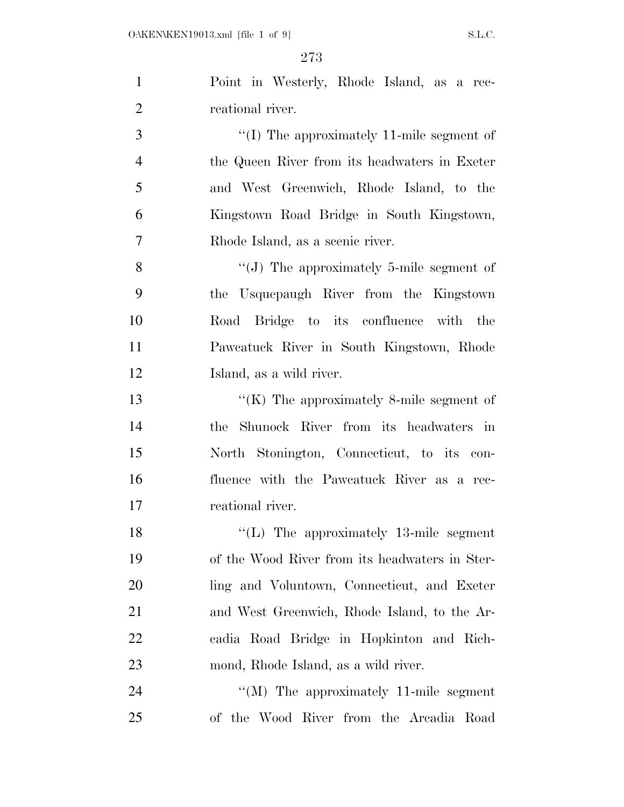| $\mathbf{1}$   | Point in Westerly, Rhode Island, as a rec-               |
|----------------|----------------------------------------------------------|
| $\overline{2}$ | reational river.                                         |
| 3              | "(I) The approximately 11-mile segment of                |
| $\overline{4}$ | the Queen River from its headwaters in Exeter            |
| 5              | and West Greenwich, Rhode Island, to the                 |
| 6              | Kingstown Road Bridge in South Kingstown,                |
| $\overline{7}$ | Rhode Island, as a scenic river.                         |
| 8              | "(J) The approximately 5-mile segment of                 |
| 9              | the Usquepaugh River from the Kingstown                  |
| 10             | Road Bridge to its confluence with the                   |
| 11             | Pawcatuck River in South Kingstown, Rhode                |
| 12             | Island, as a wild river.                                 |
| 13             | " $(K)$ The approximately 8-mile segment of              |
| 14             | the Shunock River from its headwaters in                 |
| 15             | North Stonington, Connecticut, to its con-               |
| 16             | fluence with the Pawcatuck River as a rec-               |
| 17             | reational river.                                         |
| 18             | $\lq$ <sup>"</sup> (L) The approximately 13-mile segment |
| 19             | of the Wood River from its headwaters in Ster-           |
| 20             | ling and Voluntown, Connecticut, and Exeter              |
| 21             | and West Greenwich, Rhode Island, to the Ar-             |
| 22             | cadia Road Bridge in Hopkinton and Rich-                 |
| 23             | mond, Rhode Island, as a wild river.                     |
| 24             | $\lq\lq (M)$ The approximately 11-mile segment           |
| 25             | of the Wood River from the Arcadia Road                  |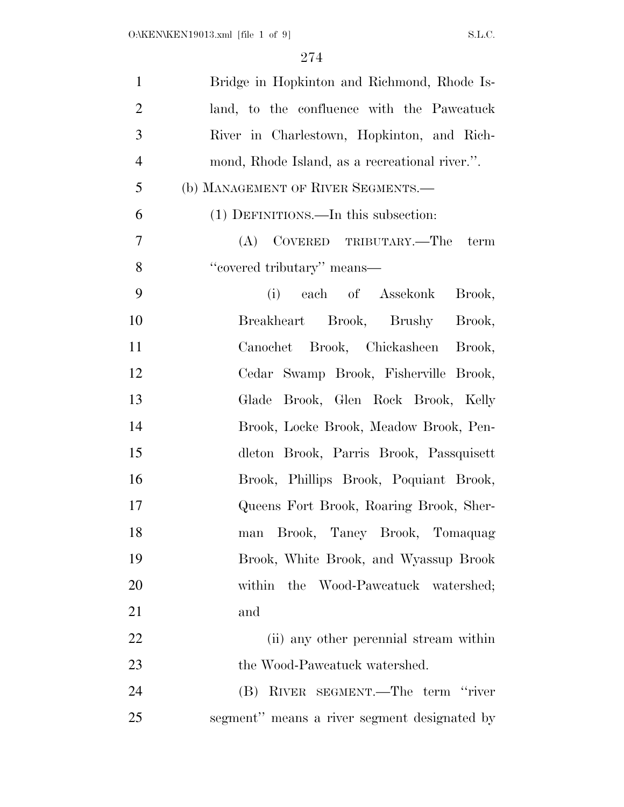| $\mathbf{1}$   | Bridge in Hopkinton and Richmond, Rhode Is-    |
|----------------|------------------------------------------------|
| $\overline{2}$ | land, to the confluence with the Pawcatuck     |
| 3              | River in Charlestown, Hopkinton, and Rich-     |
| $\overline{4}$ | mond, Rhode Island, as a recreational river.". |
| 5              | (b) MANAGEMENT OF RIVER SEGMENTS.—             |
| 6              | (1) DEFINITIONS.—In this subsection:           |
| 7              | (A) COVERED TRIBUTARY.—The term                |
| 8              | "covered tributary" means—                     |
| 9              | (i)<br>each of Assekonk<br>Brook,              |
| 10             | Breakheart Brook, Brushy Brook,                |
| 11             | Canochet Brook, Chickasheen Brook,             |
| 12             | Cedar Swamp Brook, Fisherville Brook,          |
| 13             | Glade Brook, Glen Rock Brook, Kelly            |
| 14             | Brook, Locke Brook, Meadow Brook, Pen-         |
| 15             | dleton Brook, Parris Brook, Passquisett        |
| 16             | Brook, Phillips Brook, Poquiant Brook,         |
| 17             | Queens Fort Brook, Roaring Brook, Sher-        |
| 18             | man Brook, Taney Brook, Tomaquag               |
| 19             | Brook, White Brook, and Wyassup Brook          |
| 20             | within the Wood-Paweatuck watershed;           |
| 21             | and                                            |
| 22             | (ii) any other perennial stream within         |
| 23             | the Wood-Pawcatuck watershed.                  |
| 24             | (B) RIVER SEGMENT.—The term "river             |
| 25             | segment" means a river segment designated by   |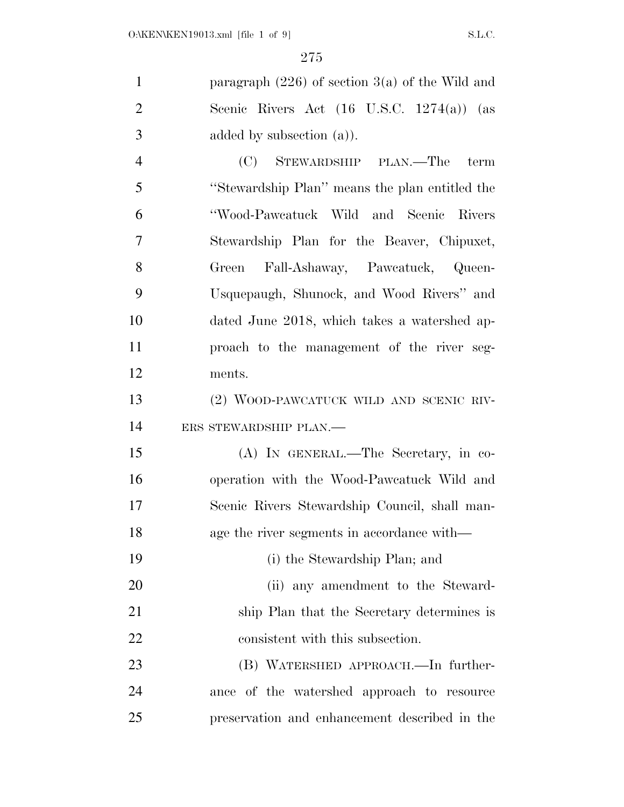| paragraph $(226)$ of section 3(a) of the Wild and    |
|------------------------------------------------------|
| Scenic Rivers Act $(16 \text{ U.S.C. } 1274(a))$ (as |
| added by subsection $(a)$ ).                         |
| STEWARDSHIP PLAN.—The<br>(C)<br>term                 |
| "Stewardship Plan" means the plan entitled the       |
| "Wood-Pawcatuck Wild and Scenic Rivers               |
| Stewardship Plan for the Beaver, Chipuxet,           |
| Green Fall-Ashaway, Pawcatuck, Queen-                |
| Usquepaugh, Shunock, and Wood Rivers" and            |
| dated June 2018, which takes a watershed ap-         |
| proach to the management of the river seg-           |
| ments.                                               |
| (2) WOOD-PAWCATUCK WILD AND SCENIC RIV-              |
| ERS STEWARDSHIP PLAN.-                               |
| (A) IN GENERAL.—The Secretary, in co-                |
| operation with the Wood-Pawcatuck Wild and           |
| Scenic Rivers Stewardship Council, shall man-        |
| age the river segments in accordance with—           |
| (i) the Stewardship Plan; and                        |
| (ii) any amendment to the Steward-                   |
| ship Plan that the Secretary determines is           |
|                                                      |

 (B) WATERSHED APPROACH.—In further- ance of the watershed approach to resource preservation and enhancement described in the

22 consistent with this subsection.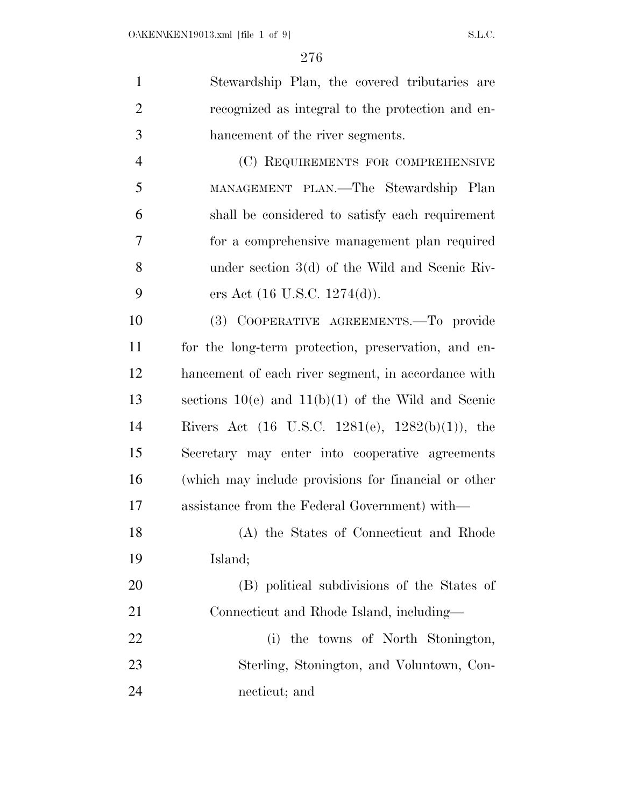| $\mathbf{1}$   | Stewardship Plan, the covered tributaries are          |
|----------------|--------------------------------------------------------|
| $\overline{2}$ | recognized as integral to the protection and en-       |
| 3              | hancement of the river segments.                       |
| $\overline{4}$ | (C) REQUIREMENTS FOR COMPREHENSIVE                     |
| 5              | MANAGEMENT PLAN.—The Stewardship Plan                  |
| 6              | shall be considered to satisfy each requirement        |
| 7              | for a comprehensive management plan required           |
| 8              | under section $3(d)$ of the Wild and Scenic Riv-       |
| 9              | ers Act $(16 \text{ U.S.C. } 1274(d)).$                |
| 10             | (3) COOPERATIVE AGREEMENTS. To provide                 |
| 11             | for the long-term protection, preservation, and en-    |
| 12             | hancement of each river segment, in accordance with    |
| 13             | sections $10(e)$ and $11(b)(1)$ of the Wild and Scenic |
| 14             | Rivers Act (16 U.S.C. 1281(e), $1282(b)(1)$ ), the     |
| 15             | Secretary may enter into cooperative agreements        |
| 16             | (which may include provisions for financial or other   |
| 17             | assistance from the Federal Government) with—          |
| 18             | (A) the States of Connecticut and Rhode                |
| 19             | Island;                                                |
| 20             | (B) political subdivisions of the States of            |
| 21             | Connecticut and Rhode Island, including—               |
| 22             | (i) the towns of North Stonington,                     |

 Sterling, Stonington, and Voluntown, Con-necticut; and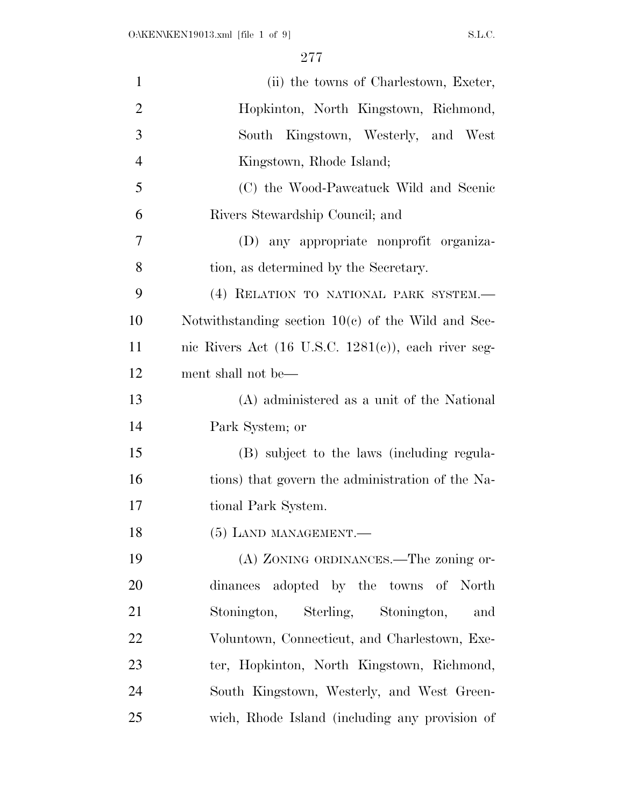| $\mathbf{1}$   | (ii) the towns of Charlestown, Exeter,                          |
|----------------|-----------------------------------------------------------------|
| $\overline{2}$ | Hopkinton, North Kingstown, Richmond,                           |
| 3              | South Kingstown, Westerly, and West                             |
| $\overline{4}$ | Kingstown, Rhode Island;                                        |
| 5              | (C) the Wood-Pawcatuck Wild and Scenic                          |
| 6              | Rivers Stewardship Council; and                                 |
| 7              | (D) any appropriate nonprofit organiza-                         |
| 8              | tion, as determined by the Secretary.                           |
| 9              | (4) RELATION TO NATIONAL PARK SYSTEM.-                          |
| 10             | Notwithstanding section $10(c)$ of the Wild and Sce-            |
| 11             | nic Rivers Act $(16 \text{ U.S.C. } 1281(e))$ , each river seg- |
| 12             | ment shall not be—                                              |
| 13             | (A) administered as a unit of the National                      |
| 14             | Park System; or                                                 |
| 15             | (B) subject to the laws (including regula-                      |
| 16             | tions) that govern the administration of the Na-                |
| 17             | tional Park System.                                             |
| 18             | $(5)$ LAND MANAGEMENT.—                                         |
| 19             | (A) ZONING ORDINANCES.—The zoning or-                           |
| 20             | dinances adopted by the towns of North                          |
| 21             | Stonington, Sterling, Stonington,<br>and                        |
| 22             | Voluntown, Connecticut, and Charlestown, Exe-                   |
| 23             | ter, Hopkinton, North Kingstown, Richmond,                      |
| 24             | South Kingstown, Westerly, and West Green-                      |
| 25             | wich, Rhode Island (including any provision of                  |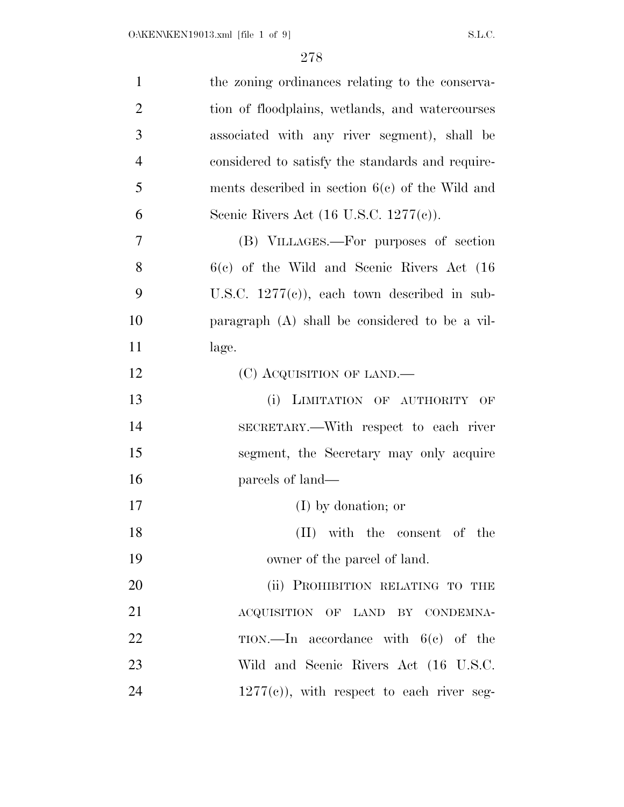| $\mathbf{1}$   | the zoning ordinances relating to the conserva-    |
|----------------|----------------------------------------------------|
| $\overline{2}$ | tion of floodplains, wetlands, and watercourses    |
| 3              | associated with any river segment), shall be       |
| $\overline{4}$ | considered to satisfy the standards and require-   |
| 5              | ments described in section $6(c)$ of the Wild and  |
| 6              | Scenic Rivers Act $(16 \text{ U.S.C. } 1277(c))$ . |
| 7              | (B) VILLAGES.—For purposes of section              |
| 8              | $6(c)$ of the Wild and Scenic Rivers Act $(16)$    |
| 9              | U.S.C. $1277(e)$ , each town described in sub-     |
| 10             | paragraph $(A)$ shall be considered to be a vil-   |
| 11             | lage.                                              |
| 12             | (C) ACQUISITION OF LAND.—                          |
| 13             | (i) LIMITATION OF AUTHORITY<br>OF                  |
| 14             | SECRETARY.—With respect to each river              |
| 15             | segment, the Secretary may only acquire            |
| 16             | parcels of land—                                   |
| 17             | $(I)$ by donation; or                              |
| 18             | (II) with the consent of the                       |
| 19             | owner of the parcel of land.                       |
| 20             | (ii) PROHIBITION RELATING TO THE                   |
| 21             | ACQUISITION OF LAND BY CONDEMNA-                   |
| 22             | $TION$ . In accordance with $6(e)$ of the          |
| 23             | Wild and Scenic Rivers Act (16 U.S.C.              |
| 24             | $1277(e)$ , with respect to each river seg-        |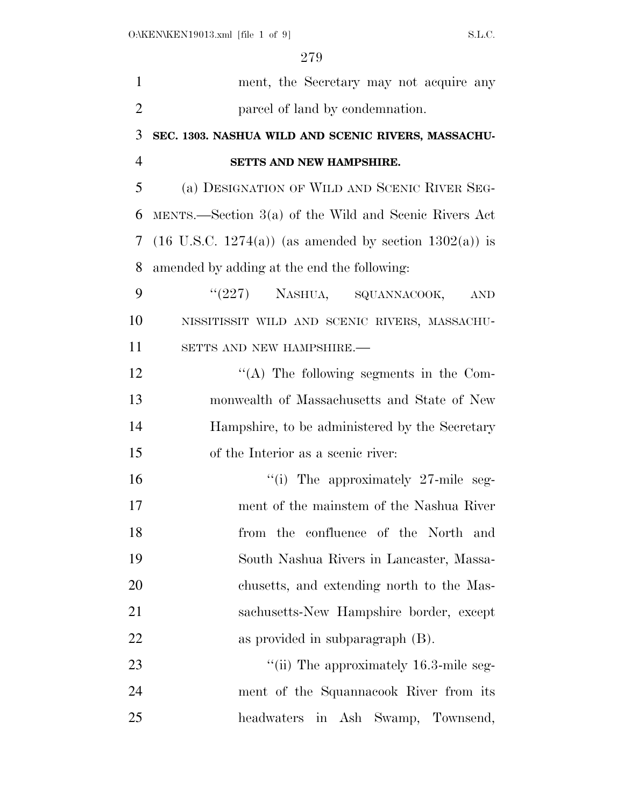| $\mathbf{1}$   | ment, the Secretary may not acquire any                              |
|----------------|----------------------------------------------------------------------|
| $\overline{2}$ | parcel of land by condemnation.                                      |
| 3              | SEC. 1303. NASHUA WILD AND SCENIC RIVERS, MASSACHU-                  |
| $\overline{4}$ | SETTS AND NEW HAMPSHIRE.                                             |
| 5              | (a) DESIGNATION OF WILD AND SCENIC RIVER SEG-                        |
| 6              | MENTS.—Section $3(a)$ of the Wild and Scenic Rivers Act              |
| 7              | $(16 \text{ U.S.C. } 1274(a))$ (as amended by section $1302(a)$ ) is |
| 8              | amended by adding at the end the following:                          |
| 9              | "(227) NASHUA, SQUANNACOOK,<br><b>AND</b>                            |
| 10             | NISSITISSIT WILD AND SCENIC RIVERS, MASSACHU-                        |
| 11             | SETTS AND NEW HAMPSHIRE.-                                            |
| 12             | "(A) The following segments in the Com-                              |
| 13             | monwealth of Massachusetts and State of New                          |
| 14             | Hampshire, to be administered by the Secretary                       |
| 15             | of the Interior as a scenic river:                                   |
| 16             | "(i) The approximately 27-mile seg-                                  |
| 17             | ment of the mainstem of the Nashua River                             |
| 18             | from the confluence of the North and                                 |
| 19             | South Nashua Rivers in Lancaster, Massa-                             |
| 20             | chusetts, and extending north to the Mas-                            |
| 21             | sachusetts-New Hampshire border, except                              |
| 22             | as provided in subparagraph (B).                                     |
| 23             | "(ii) The approximately 16.3-mile seg-                               |
| 24             | ment of the Squannacook River from its                               |
| 25             | headwaters in Ash Swamp, Townsend,                                   |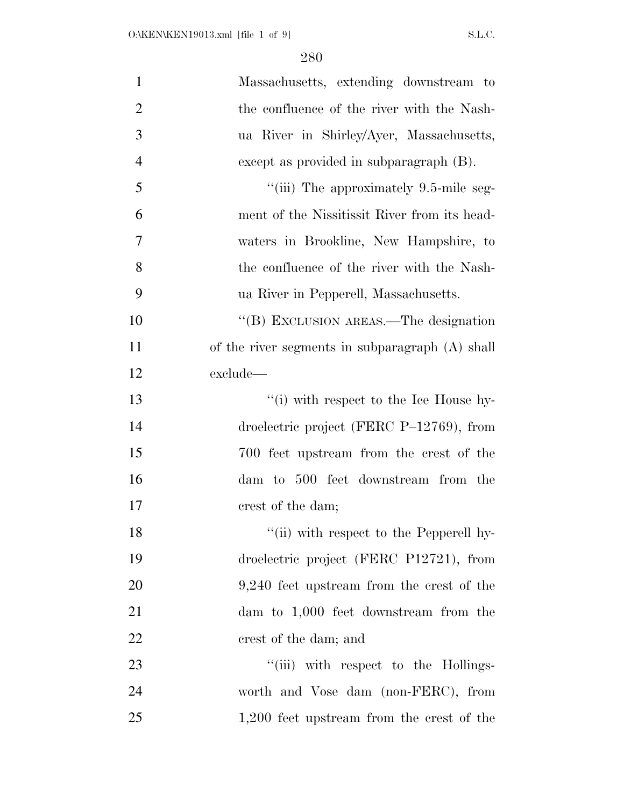| $\mathbf{1}$   | Massachusetts, extending downstream to          |
|----------------|-------------------------------------------------|
| $\overline{2}$ | the confluence of the river with the Nash-      |
| 3              | ua River in Shirley/Ayer, Massachusetts,        |
| $\overline{4}$ | except as provided in subparagraph (B).         |
| 5              | "(iii) The approximately 9.5-mile seg-          |
| 6              | ment of the Nissitissit River from its head-    |
| 7              | waters in Brookline, New Hampshire, to          |
| 8              | the confluence of the river with the Nash-      |
| 9              | ua River in Pepperell, Massachusetts.           |
| 10             | "(B) EXCLUSION AREAS.—The designation           |
| 11             | of the river segments in subparagraph (A) shall |
| 12             | exclude—                                        |
| 13             | "(i) with respect to the Ice House hy-          |
| 14             | droelectric project (FERC P-12769), from        |
| 15             | 700 feet upstream from the crest of the         |
| 16             | dam to 500 feet downstream from the             |
| 17             | crest of the dam;                               |
| 18             | "(ii) with respect to the Pepperell hy-         |
| 19             | droelectric project (FERC P12721), from         |
| 20             | $9,240$ feet upstream from the crest of the     |
| 21             | dam to $1,000$ feet downstream from the         |
| 22             | crest of the dam; and                           |
| 23             | "(iii) with respect to the Hollings-            |
| 24             | worth and Vose dam (non-FERC), from             |
| 25             | $1,200$ feet upstream from the crest of the     |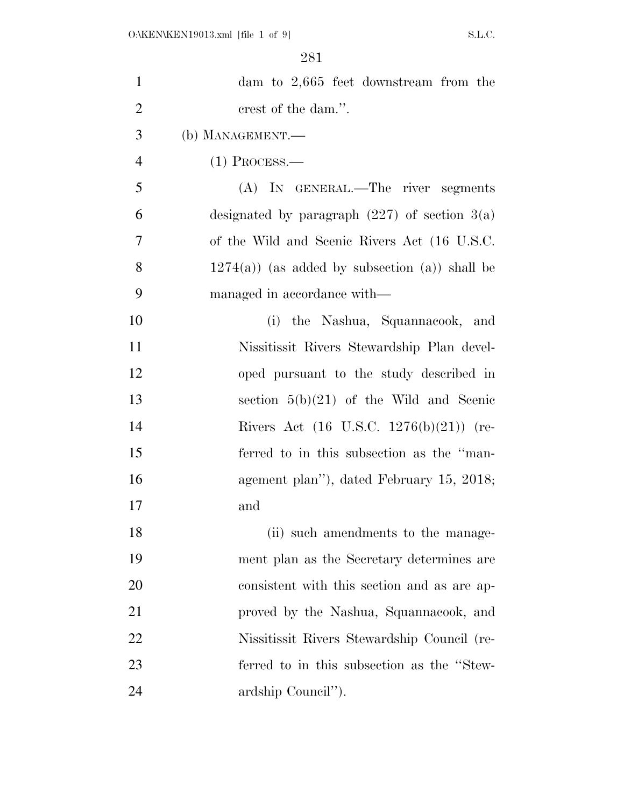| $\mathbf{1}$   | dam to $2,665$ feet downstream from the            |
|----------------|----------------------------------------------------|
| $\overline{2}$ | crest of the dam.".                                |
| 3              | (b) MANAGEMENT.—                                   |
| $\overline{4}$ | $(1)$ Process.—                                    |
| 5              | (A) IN GENERAL.—The river segments                 |
| 6              | designated by paragraph $(227)$ of section $3(a)$  |
| 7              | of the Wild and Scenic Rivers Act (16 U.S.C.       |
| 8              | $1274(a)$ (as added by subsection (a)) shall be    |
| 9              | managed in accordance with—                        |
| 10             | (i) the Nashua, Squannacook, and                   |
| 11             | Nissitissit Rivers Stewardship Plan devel-         |
| 12             | oped pursuant to the study described in            |
| 13             | section $5(b)(21)$ of the Wild and Scenic          |
| 14             | Rivers Act $(16 \text{ U.S.C. } 1276(b)(21))$ (re- |
| 15             | ferred to in this subsection as the "man-          |
| 16             | agement plan"), dated February 15, 2018;           |
| 17             | and                                                |
| 18             | (ii) such amendments to the manage-                |
| 19             | ment plan as the Secretary determines are          |
| 20             | consistent with this section and as are ap-        |
| 21             | proved by the Nashua, Squannacook, and             |
| 22             | Nissitissit Rivers Stewardship Council (re-        |
| 23             | ferred to in this subsection as the "Stew-         |
| 24             | ardship Council").                                 |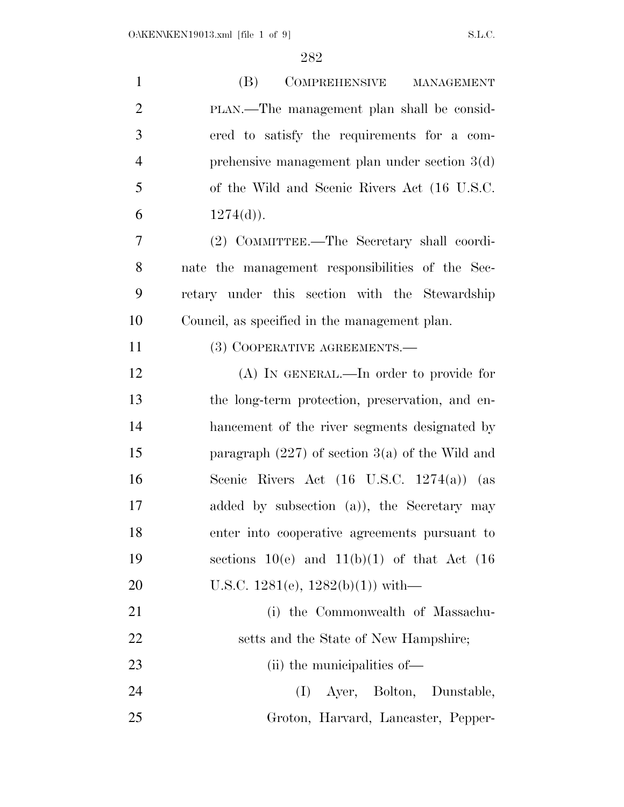| $\mathbf{1}$   | (B)<br>COMPREHENSIVE MANAGEMENT                      |
|----------------|------------------------------------------------------|
| $\overline{2}$ | PLAN.—The management plan shall be consid-           |
| 3              | ered to satisfy the requirements for a com-          |
| $\overline{4}$ | prehensive management plan under section $3(d)$      |
| 5              | of the Wild and Scenic Rivers Act (16 U.S.C.         |
| 6              | $1274(d)$ .                                          |
| 7              | (2) COMMITTEE.—The Secretary shall coordi-           |
| 8              | nate the management responsibilities of the Sec-     |
| 9              | retary under this section with the Stewardship       |
| 10             | Council, as specified in the management plan.        |
| 11             | (3) COOPERATIVE AGREEMENTS.—                         |
| 12             | $(A)$ In GENERAL.—In order to provide for            |
| 13             | the long-term protection, preservation, and en-      |
| 14             | hancement of the river segments designated by        |
| 15             | paragraph $(227)$ of section 3(a) of the Wild and    |
| 16             | Scenic Rivers Act $(16 \text{ U.S.C. } 1274(a))$ (as |
| 17             | added by subsection (a)), the Secretary may          |
| 18             | enter into cooperative agreements pursuant to        |
| 19             | sections $10(e)$ and $11(b)(1)$ of that Act (16)     |
| 20             | U.S.C. $1281(e)$ , $1282(b)(1)$ ) with—              |
| 21             | (i) the Commonwealth of Massachu-                    |
| 22             | setts and the State of New Hampshire;                |
| 23             | (ii) the municipalities of—                          |
| 24             | Ayer, Bolton, Dunstable,<br>(I)                      |
| 25             | Groton, Harvard, Lancaster, Pepper-                  |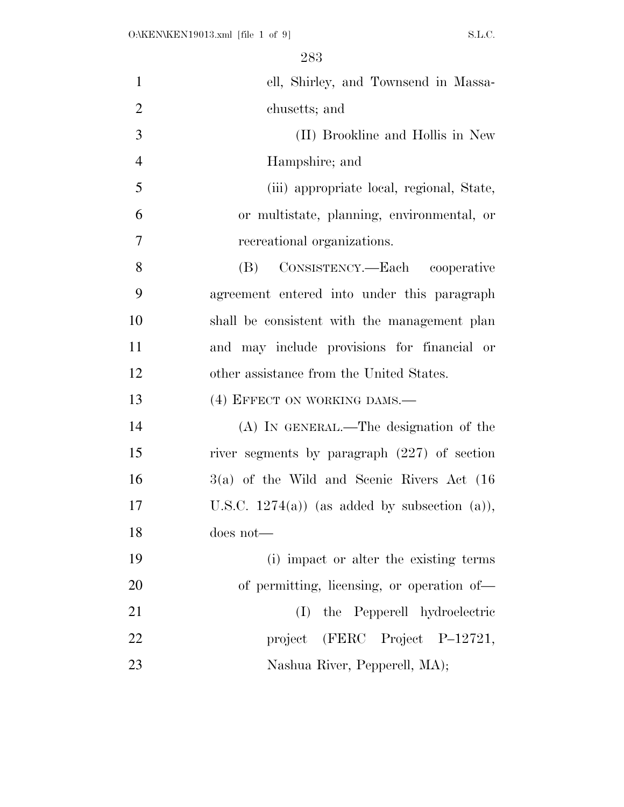| $\mathbf{1}$   | ell, Shirley, and Townsend in Massa-            |
|----------------|-------------------------------------------------|
| $\overline{2}$ | chusetts; and                                   |
| 3              | (II) Brookline and Hollis in New                |
| $\overline{4}$ | Hampshire; and                                  |
| 5              | (iii) appropriate local, regional, State,       |
| 6              | or multistate, planning, environmental, or      |
| $\overline{7}$ | recreational organizations.                     |
| 8              | CONSISTENCY.—Each cooperative<br>(B)            |
| 9              | agreement entered into under this paragraph     |
| 10             | shall be consistent with the management plan    |
| 11             | and may include provisions for financial or     |
| 12             | other assistance from the United States.        |
| 13             | (4) EFFECT ON WORKING DAMS.-                    |
| 14             | $(A)$ In GENERAL.—The designation of the        |
| 15             | river segments by paragraph $(227)$ of section  |
| 16             | $3(a)$ of the Wild and Scenic Rivers Act $(16)$ |
| 17             | U.S.C. $1274(a)$ (as added by subsection (a)),  |
| 18             | does not-                                       |
| 19             | (i) impact or alter the existing terms          |
| 20             | of permitting, licensing, or operation of-      |
| 21             | the Pepperell hydroelectric<br>(I)              |
| 22             | project (FERC Project P-12721,                  |
| 23             | Nashua River, Pepperell, MA);                   |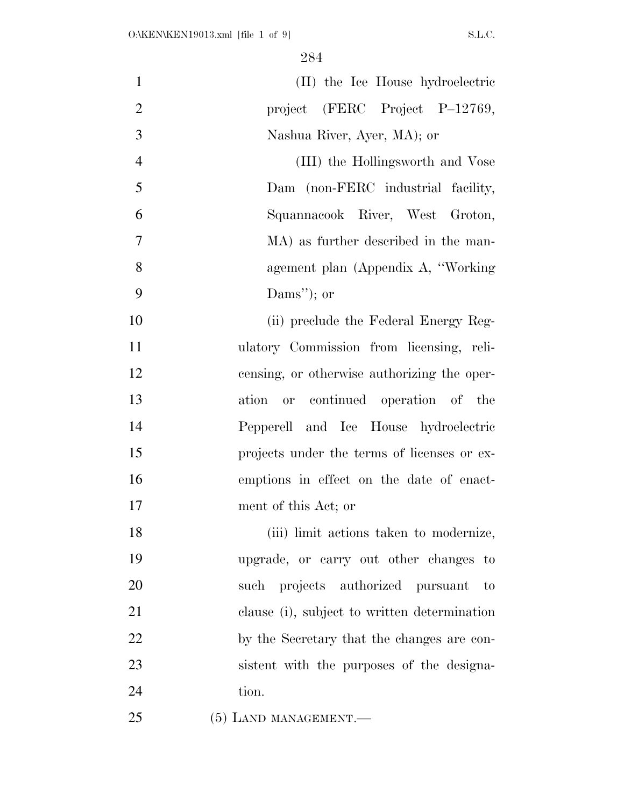| $\mathbf{1}$   | (II) the Ice House hydroelectric             |
|----------------|----------------------------------------------|
| $\overline{2}$ | project (FERC Project P-12769,               |
| 3              | Nashua River, Ayer, MA); or                  |
| $\overline{4}$ | (III) the Hollingsworth and Vose             |
| 5              | Dam (non-FERC industrial facility,           |
| 6              | Squannacook River, West Groton,              |
| 7              | MA) as further described in the man-         |
| 8              | agement plan (Appendix A, "Working"          |
| 9              | Dams"); or                                   |
| 10             | (ii) preclude the Federal Energy Reg-        |
| 11             | ulatory Commission from licensing, reli-     |
| 12             | censing, or otherwise authorizing the oper-  |
| 13             | or continued operation of the<br>ation       |
| 14             | Pepperell and Ice House hydroelectric        |
| 15             | projects under the terms of licenses or ex-  |
| 16             | emptions in effect on the date of enact-     |
| 17             | ment of this Act; or                         |
| 18             | (iii) limit actions taken to modernize,      |
| 19             | upgrade, or carry out other changes to       |
| 20             | such projects authorized pursuant to         |
| 21             | clause (i), subject to written determination |
| 22             | by the Secretary that the changes are con-   |
| 23             | sistent with the purposes of the designa-    |
| 24             | tion.                                        |
| 25             | $(5)$ LAND MANAGEMENT.—                      |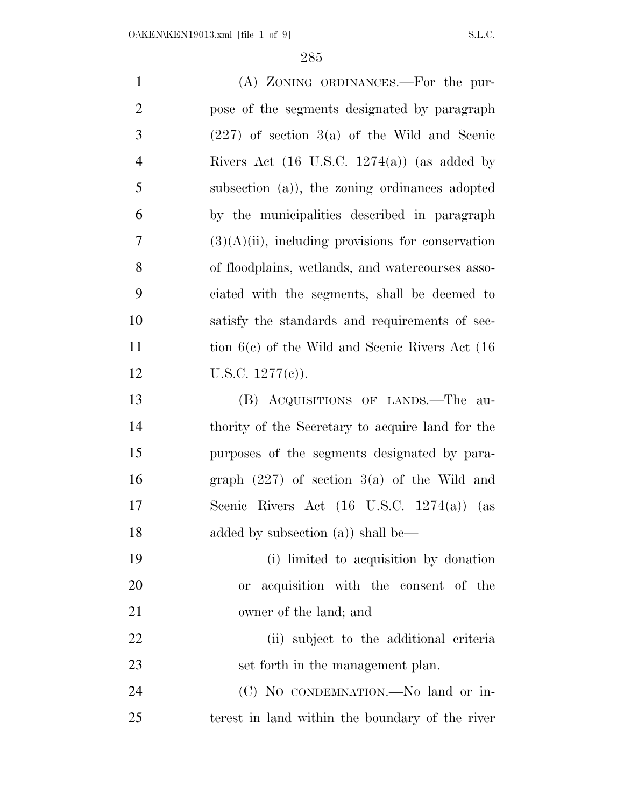(A) ZONING ORDINANCES.—For the pur- pose of the segments designated by paragraph  $3 \qquad (227)$  of section  $3(a)$  of the Wild and Scenic Rivers Act (16 U.S.C. 1274(a)) (as added by subsection (a)), the zoning ordinances adopted by the municipalities described in paragraph  $7 \qquad (3)(A)(ii)$ , including provisions for conservation of floodplains, wetlands, and watercourses asso- ciated with the segments, shall be deemed to satisfy the standards and requirements of sec-11 tion 6(c) of the Wild and Scenic Rivers Act (16 12 U.S.C.  $1277(e)$ ). (B) ACQUISITIONS OF LANDS.—The au- thority of the Secretary to acquire land for the purposes of the segments designated by para- graph (227) of section 3(a) of the Wild and Scenic Rivers Act (16 U.S.C. 1274(a)) (as 18 added by subsection (a)) shall be— (i) limited to acquisition by donation or acquisition with the consent of the owner of the land; and (ii) subject to the additional criteria 23 set forth in the management plan. 24 (C) No CONDEMNATION.—No land or in-terest in land within the boundary of the river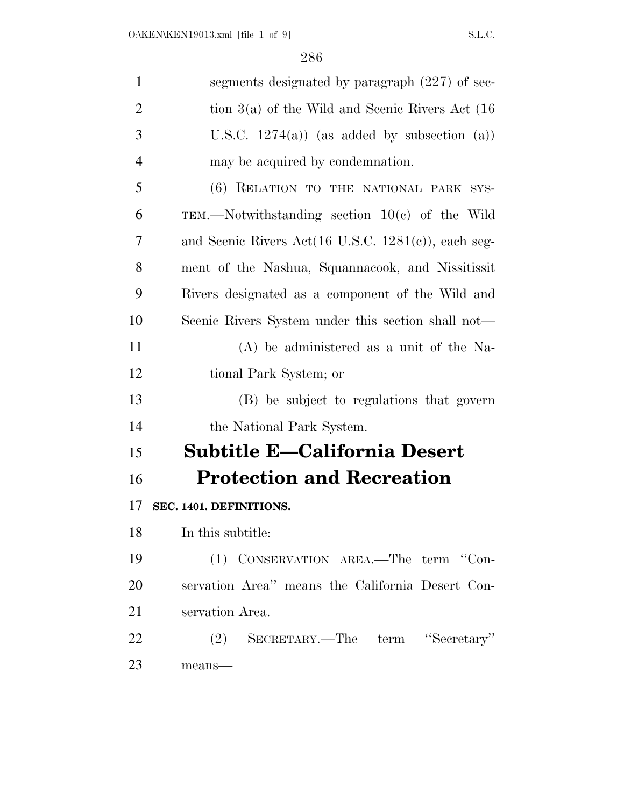| $\mathbf{1}$ | segments designated by paragraph (227) of sec-                            |
|--------------|---------------------------------------------------------------------------|
| 2            | tion $3(a)$ of the Wild and Scenic Rivers Act (16)                        |
| 3            | U.S.C. $1274(a)$ (as added by subsection (a))                             |
| 4            | may be acquired by condemnation.                                          |
| 5            | (6) RELATION TO THE NATIONAL PARK SYS-                                    |
| 6            | TEM.—Notwithstanding section $10(c)$ of the Wild                          |
| 7            | and Scenic Rivers Act $(16 \text{ U.S.C. } 1281 \text{ (c)})$ , each seg- |
| 8            | ment of the Nashua, Squannacook, and Nissitissit                          |
| 9            | Rivers designated as a component of the Wild and                          |
| 10           | Scenic Rivers System under this section shall not—                        |
| 11           | $(A)$ be administered as a unit of the Na-                                |
| 12           | tional Park System; or                                                    |
| 13           | (B) be subject to regulations that govern                                 |
| 14           | the National Park System.                                                 |
| 15           | <b>Subtitle E-California Desert</b>                                       |
| 16           | <b>Protection and Recreation</b>                                          |
| 17           | SEC. 1401. DEFINITIONS.                                                   |
| 18           | In this subtitle:                                                         |
| 19           | (1) CONSERVATION AREA.—The term "Con-                                     |
| 20           | servation Area" means the California Desert Con-                          |
| 21           | servation Area.                                                           |
| 22           | (2) SECRETARY.—The term "Secretary"                                       |
| 23           | means-                                                                    |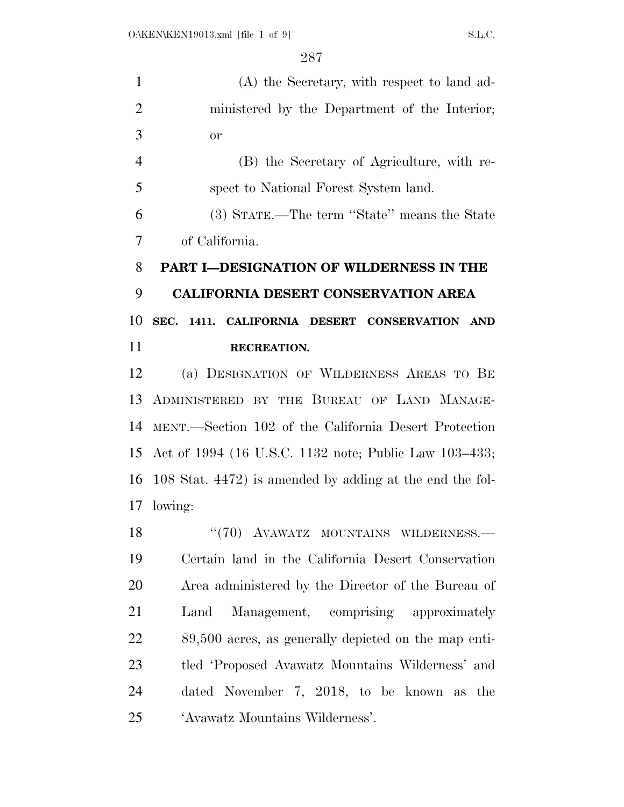(A) the Secretary, with respect to land ad- ministered by the Department of the Interior; or

 (B) the Secretary of Agriculture, with re-spect to National Forest System land.

 (3) STATE.—The term ''State'' means the State of California.

## **PART I—DESIGNATION OF WILDERNESS IN THE CALIFORNIA DESERT CONSERVATION AREA SEC. 1411. CALIFORNIA DESERT CONSERVATION AND RECREATION.**

 (a) DESIGNATION OF WILDERNESS AREAS TO BE ADMINISTERED BY THE BUREAU OF LAND MANAGE- MENT.—Section 102 of the California Desert Protection Act of 1994 (16 U.S.C. 1132 note; Public Law 103–433; 108 Stat. 4472) is amended by adding at the end the fol-lowing:

18 "(70) AVAWATZ MOUNTAINS WILDERNESS. Certain land in the California Desert Conservation Area administered by the Director of the Bureau of Land Management, comprising approximately 89,500 acres, as generally depicted on the map enti- tled 'Proposed Avawatz Mountains Wilderness' and dated November 7, 2018, to be known as the 'Avawatz Mountains Wilderness'.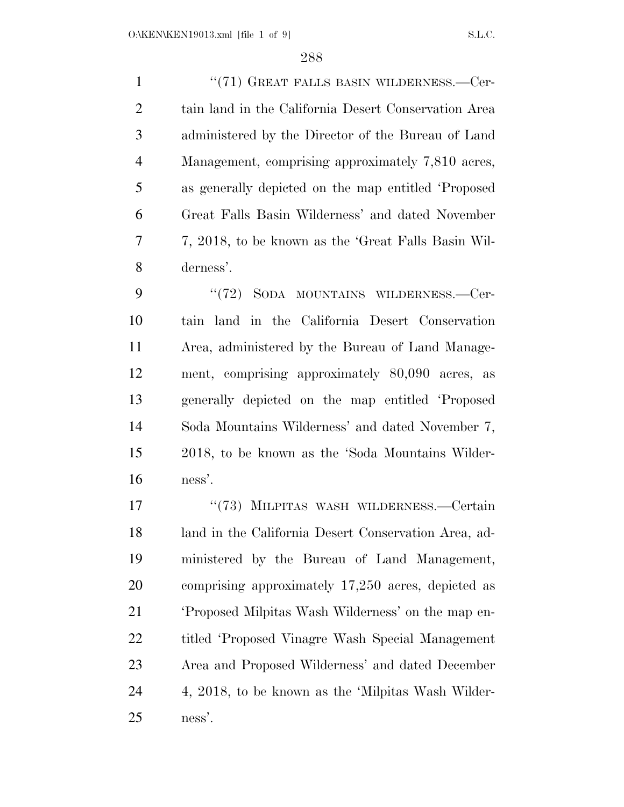1 "(71) GREAT FALLS BASIN WILDERNESS.—Cer- tain land in the California Desert Conservation Area administered by the Director of the Bureau of Land Management, comprising approximately 7,810 acres, as generally depicted on the map entitled 'Proposed Great Falls Basin Wilderness' and dated November 7, 2018, to be known as the 'Great Falls Basin Wil-derness'.

9 "(72) SODA MOUNTAINS WILDERNESS.—Cer- tain land in the California Desert Conservation Area, administered by the Bureau of Land Manage- ment, comprising approximately 80,090 acres, as generally depicted on the map entitled 'Proposed Soda Mountains Wilderness' and dated November 7, 2018, to be known as the 'Soda Mountains Wilder-ness'.

17 "(73) MILPITAS WASH WILDERNESS.—Certain land in the California Desert Conservation Area, ad- ministered by the Bureau of Land Management, comprising approximately 17,250 acres, depicted as 'Proposed Milpitas Wash Wilderness' on the map en- titled 'Proposed Vinagre Wash Special Management Area and Proposed Wilderness' and dated December 4, 2018, to be known as the 'Milpitas Wash Wilder-ness'.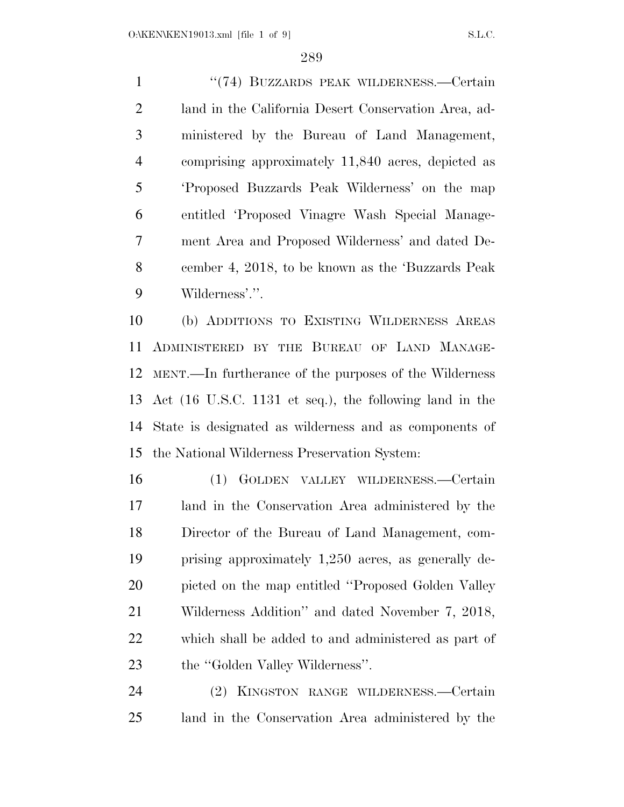1 "(74) BUZZARDS PEAK WILDERNESS.—Certain land in the California Desert Conservation Area, ad- ministered by the Bureau of Land Management, comprising approximately 11,840 acres, depicted as 'Proposed Buzzards Peak Wilderness' on the map entitled 'Proposed Vinagre Wash Special Manage- ment Area and Proposed Wilderness' and dated De- cember 4, 2018, to be known as the 'Buzzards Peak Wilderness'.''.

 (b) ADDITIONS TO EXISTING WILDERNESS AREAS ADMINISTERED BY THE BUREAU OF LAND MANAGE- MENT.—In furtherance of the purposes of the Wilderness Act (16 U.S.C. 1131 et seq.), the following land in the State is designated as wilderness and as components of the National Wilderness Preservation System:

 (1) GOLDEN VALLEY WILDERNESS.—Certain land in the Conservation Area administered by the Director of the Bureau of Land Management, com- prising approximately 1,250 acres, as generally de-20 picted on the map entitled "Proposed Golden Valley" Wilderness Addition'' and dated November 7, 2018, which shall be added to and administered as part of 23 the "Golden Valley Wilderness".

 (2) KINGSTON RANGE WILDERNESS.—Certain land in the Conservation Area administered by the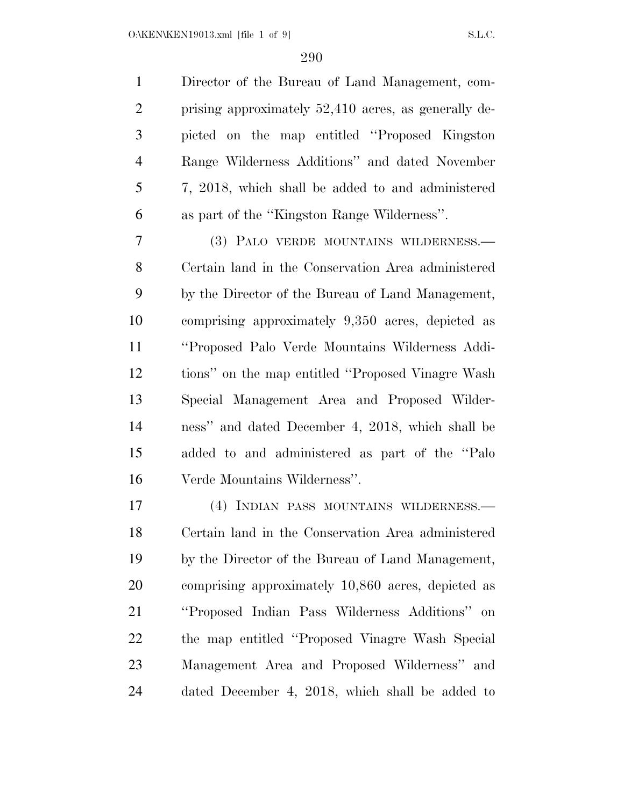O:\KEN\KEN19013.xml [file 1 of 9] S.L.C.

 Director of the Bureau of Land Management, com- prising approximately 52,410 acres, as generally de- picted on the map entitled ''Proposed Kingston Range Wilderness Additions'' and dated November 7, 2018, which shall be added to and administered as part of the ''Kingston Range Wilderness''.

 (3) PALO VERDE MOUNTAINS WILDERNESS.— Certain land in the Conservation Area administered by the Director of the Bureau of Land Management, comprising approximately 9,350 acres, depicted as ''Proposed Palo Verde Mountains Wilderness Addi- tions'' on the map entitled ''Proposed Vinagre Wash Special Management Area and Proposed Wilder- ness'' and dated December 4, 2018, which shall be added to and administered as part of the ''Palo Verde Mountains Wilderness''.

 (4) INDIAN PASS MOUNTAINS WILDERNESS.— Certain land in the Conservation Area administered by the Director of the Bureau of Land Management, comprising approximately 10,860 acres, depicted as ''Proposed Indian Pass Wilderness Additions'' on the map entitled ''Proposed Vinagre Wash Special Management Area and Proposed Wilderness'' and dated December 4, 2018, which shall be added to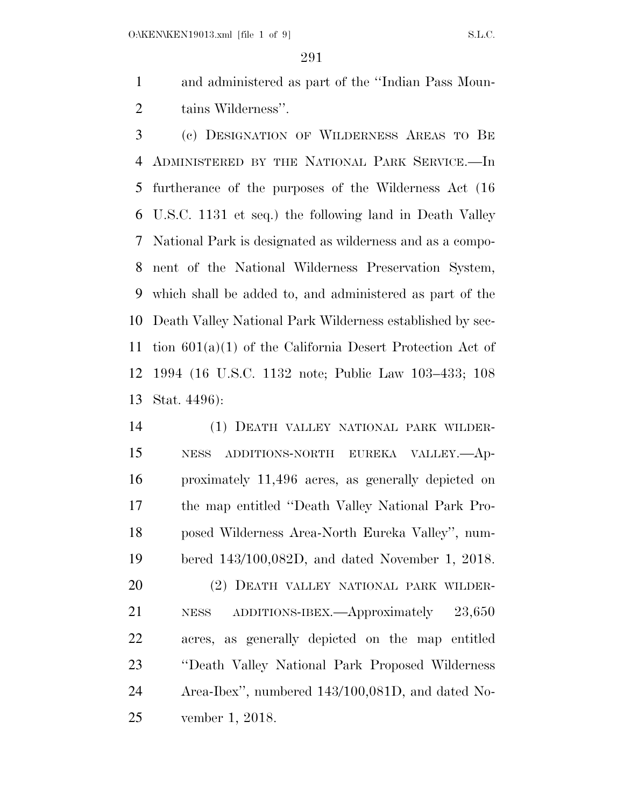and administered as part of the ''Indian Pass Moun-tains Wilderness''.

 (c) DESIGNATION OF WILDERNESS AREAS TO BE ADMINISTERED BY THE NATIONAL PARK SERVICE.—In furtherance of the purposes of the Wilderness Act (16 U.S.C. 1131 et seq.) the following land in Death Valley National Park is designated as wilderness and as a compo- nent of the National Wilderness Preservation System, which shall be added to, and administered as part of the Death Valley National Park Wilderness established by sec- tion 601(a)(1) of the California Desert Protection Act of 1994 (16 U.S.C. 1132 note; Public Law 103–433; 108 Stat. 4496):

 (1) DEATH VALLEY NATIONAL PARK WILDER- NESS ADDITIONS-NORTH EUREKA VALLEY.—Ap- proximately 11,496 acres, as generally depicted on the map entitled ''Death Valley National Park Pro- posed Wilderness Area-North Eureka Valley'', num- bered 143/100,082D, and dated November 1, 2018. (2) DEATH VALLEY NATIONAL PARK WILDER- NESS ADDITIONS-IBEX.—Approximately 23,650 acres, as generally depicted on the map entitled ''Death Valley National Park Proposed Wilderness Area-Ibex'', numbered 143/100,081D, and dated No-

vember 1, 2018.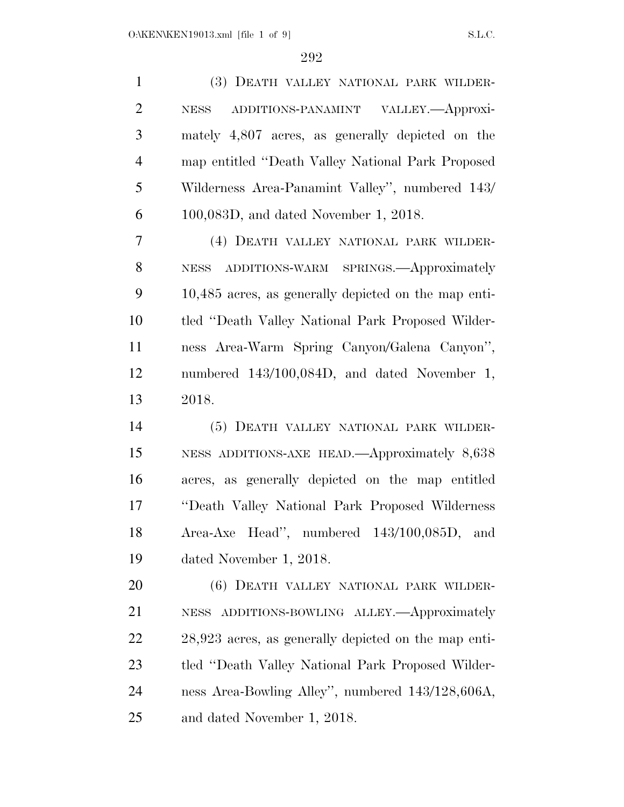| $\mathbf{1}$   | (3) DEATH VALLEY NATIONAL PARK WILDER-                 |
|----------------|--------------------------------------------------------|
| $\overline{2}$ | ADDITIONS-PANAMINT VALLEY.- Approxi-<br><b>NESS</b>    |
| 3              | mately 4,807 acres, as generally depicted on the       |
| $\overline{4}$ | map entitled "Death Valley National Park Proposed      |
| 5              | Wilderness Area-Panamint Valley", numbered 143/        |
| 6              | $100,083D$ , and dated November 1, 2018.               |
| 7              | (4) DEATH VALLEY NATIONAL PARK WILDER-                 |
| 8              | NESS ADDITIONS-WARM SPRINGS. Approximately             |
| 9              | 10,485 acres, as generally depicted on the map enti-   |
| 10             | tled "Death Valley National Park Proposed Wilder-      |
| 11             | ness Area-Warm Spring Canyon/Galena Canyon",           |
| 12             | numbered 143/100,084D, and dated November 1,           |
| 13             | 2018.                                                  |
| 14             | (5) DEATH VALLEY NATIONAL PARK WILDER-                 |
| 15             | NESS ADDITIONS-AXE HEAD.—Approximately 8,638           |
| 16             | acres, as generally depicted on the map entitled       |
| 17             | "Death Valley National Park Proposed Wilderness        |
| 18             | Area-Axe Head", numbered 143/100,085D, and             |
| 19             | dated November 1, 2018.                                |
| 20             | (6) DEATH VALLEY NATIONAL PARK WILDER-                 |
| 21             | ADDITIONS-BOWLING ALLEY.—Approximately<br><b>NESS</b>  |
| 22             | $28,923$ acres, as generally depicted on the map enti- |
| 23             | tled "Death Valley National Park Proposed Wilder-      |
| 24             | ness Area-Bowling Alley", numbered 143/128,606A,       |
| 25             | and dated November 1, 2018.                            |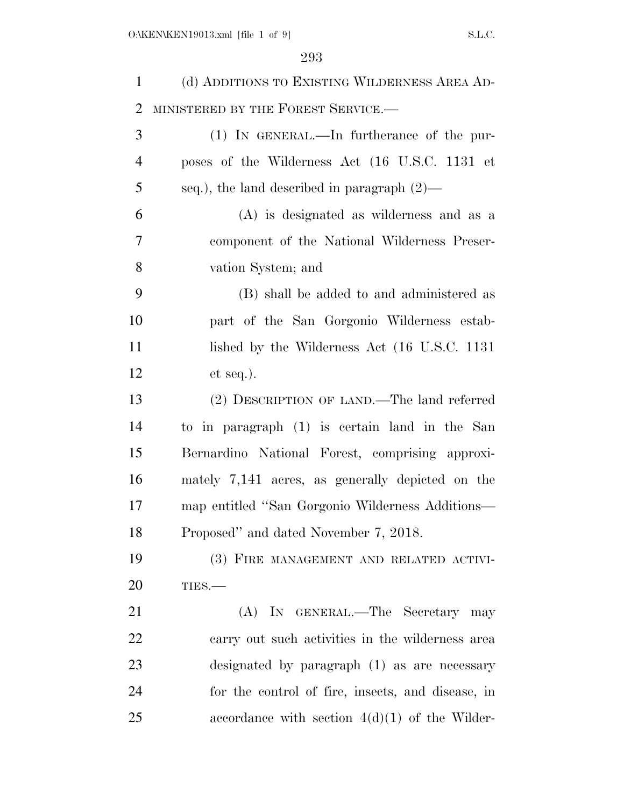| $\mathbf{1}$   | (d) ADDITIONS TO EXISTING WILDERNESS AREA AD-     |
|----------------|---------------------------------------------------|
| $\overline{2}$ | MINISTERED BY THE FOREST SERVICE.-                |
| 3              | $(1)$ IN GENERAL.—In furtherance of the pur-      |
| $\overline{4}$ | poses of the Wilderness Act (16 U.S.C. 1131 et    |
| 5              | seq.), the land described in paragraph $(2)$ —    |
| 6              | $(A)$ is designated as wilderness and as a        |
| $\overline{7}$ | component of the National Wilderness Preser-      |
| 8              | vation System; and                                |
| 9              | (B) shall be added to and administered as         |
| 10             | part of the San Gorgonio Wilderness estab-        |
| 11             | lished by the Wilderness Act (16 U.S.C. 1131)     |
| 12             | $et seq.$ ).                                      |
| 13             | (2) DESCRIPTION OF LAND.—The land referred        |
| 14             | to in paragraph (1) is certain land in the San    |
| 15             | Bernardino National Forest, comprising approxi-   |
| 16             | mately 7,141 acres, as generally depicted on the  |
| 17             | map entitled "San Gorgonio Wilderness Additions—  |
| 18             | Proposed" and dated November 7, 2018.             |
| 19             | (3) FIRE MANAGEMENT AND RELATED ACTIVI-           |
| 20             | TIES.                                             |
| 21             | (A) IN GENERAL.—The Secretary may                 |
| 22             | carry out such activities in the wilderness area  |
| 23             | designated by paragraph (1) as are necessary      |
| 24             | for the control of fire, insects, and disease, in |
| 25             | accordance with section $4(d)(1)$ of the Wilder-  |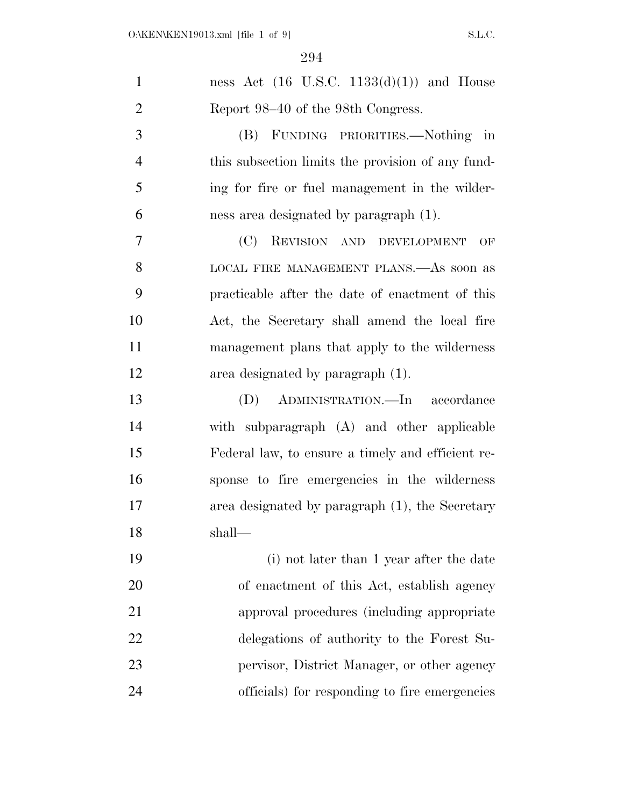| $\mathbf{1}$   | ness Act $(16 \text{ U.S.C. } 1133(d)(1))$ and House |
|----------------|------------------------------------------------------|
| $\overline{2}$ | Report 98–40 of the 98th Congress.                   |
| 3              | (B) FUNDING PRIORITIES.—Nothing in                   |
| $\overline{4}$ | this subsection limits the provision of any fund-    |
| 5              | ing for fire or fuel management in the wilder-       |
| 6              | ness area designated by paragraph (1).               |
| $\overline{7}$ | (C)<br>REVISION AND DEVELOPMENT<br>OF                |
| 8              | LOCAL FIRE MANAGEMENT PLANS.—As soon as              |
| 9              | practicable after the date of enactment of this      |
| 10             | Act, the Secretary shall amend the local fire        |
| 11             | management plans that apply to the wilderness        |
| 12             | area designated by paragraph (1).                    |
| 13             | ADMINISTRATION.—In accordance<br>(D)                 |
| 14             | with subparagraph (A) and other applicable           |
| 15             | Federal law, to ensure a timely and efficient re-    |
| 16             | sponse to fire emergencies in the wilderness         |
| 17             | area designated by paragraph (1), the Secretary      |
| 18             | shall—                                               |
| 19             | (i) not later than 1 year after the date             |
| 20             | of enactment of this Act, establish agency           |
| 21             | approval procedures (including appropriate)          |
| 22             | delegations of authority to the Forest Su-           |
| 23             | pervisor, District Manager, or other agency          |
| 24             | officials) for responding to fire emergencies        |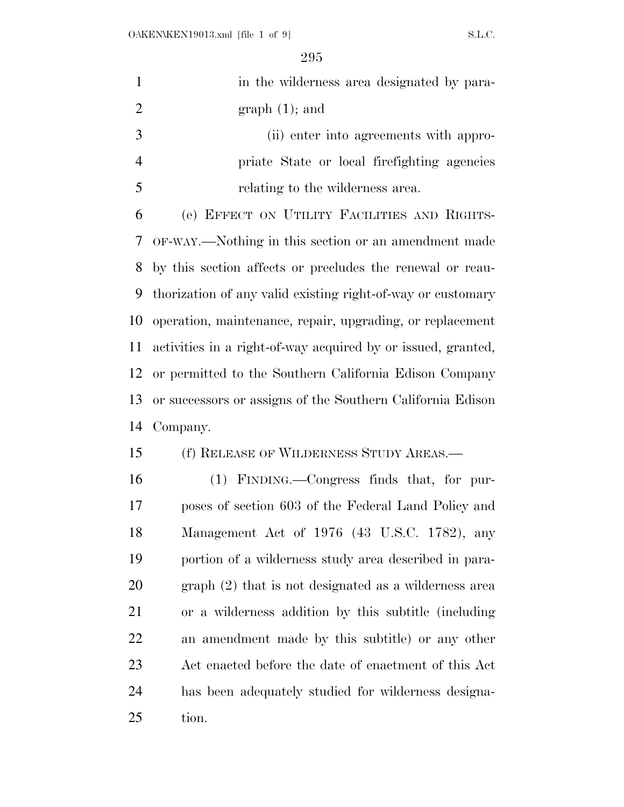| $\mathbf{1}$   | in the wilderness area designated by para-                   |
|----------------|--------------------------------------------------------------|
| $\overline{2}$ | $graph(1);$ and                                              |
| 3              | (ii) enter into agreements with appro-                       |
| $\overline{4}$ | priate State or local firefighting agencies                  |
| 5              | relating to the wilderness area.                             |
| 6              | (e) EFFECT ON UTILITY FACILITIES AND RIGHTS-                 |
| 7              | OF-WAY.—Nothing in this section or an amendment made         |
| 8              | by this section affects or precludes the renewal or reau-    |
| 9              | thorization of any valid existing right-of-way or customary  |
| 10             | operation, maintenance, repair, upgrading, or replacement    |
| 11             | activities in a right-of-way acquired by or issued, granted, |
| 12             | or permitted to the Southern California Edison Company       |
| 13             | or successors or assigns of the Southern California Edison   |
| 14             | Company.                                                     |
| 15             | (f) RELEASE OF WILDERNESS STUDY AREAS.—                      |
| 16             | (1) FINDING.—Congress finds that, for pur-                   |
| 17             | poses of section 603 of the Federal Land Policy and          |
| 18             | Management Act of 1976 (43 U.S.C. 1782), any                 |
| 19             | portion of a wilderness study area described in para-        |
| 20             | graph (2) that is not designated as a wilderness area        |
| 21             | or a wilderness addition by this subtitle (including         |
| 22             | an amendment made by this subtitle) or any other             |
| 23             | Act enacted before the date of enactment of this Act         |
| 24             | has been adequately studied for wilderness designa-          |
| 25             | tion.                                                        |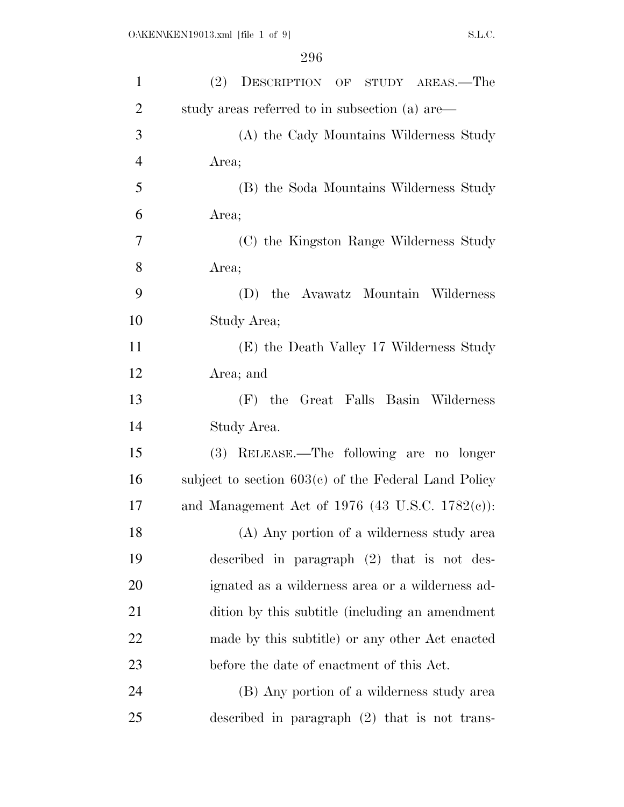| $\mathbf{1}$   | (2)<br>DESCRIPTION OF STUDY AREAS.—The                 |
|----------------|--------------------------------------------------------|
| $\overline{2}$ | study areas referred to in subsection (a) are—         |
| 3              | (A) the Cady Mountains Wilderness Study                |
| $\overline{4}$ | Area;                                                  |
| 5              | (B) the Soda Mountains Wilderness Study                |
| 6              | Area;                                                  |
| 7              | (C) the Kingston Range Wilderness Study                |
| 8              | Area;                                                  |
| 9              | (D) the Avawatz Mountain Wilderness                    |
| 10             | Study Area;                                            |
| 11             | (E) the Death Valley 17 Wilderness Study               |
| 12             | Area; and                                              |
| 13             | (F) the Great Falls Basin Wilderness                   |
| 14             | Study Area.                                            |
| 15             | (3) RELEASE.—The following are no longer               |
| 16             | subject to section $603(c)$ of the Federal Land Policy |
| 17             | and Management Act of 1976 (43 U.S.C. $1782(c)$ ):     |
| 18             | (A) Any portion of a wilderness study area             |
| 19             | described in paragraph $(2)$ that is not des-          |
| 20             | ignated as a wilderness area or a wilderness ad-       |
| 21             | dition by this subtitle (including an amendment        |
| 22             | made by this subtitle) or any other Act enacted        |
| 23             | before the date of enactment of this Act.              |
| 24             | (B) Any portion of a wilderness study area             |
| 25             | described in paragraph $(2)$ that is not trans-        |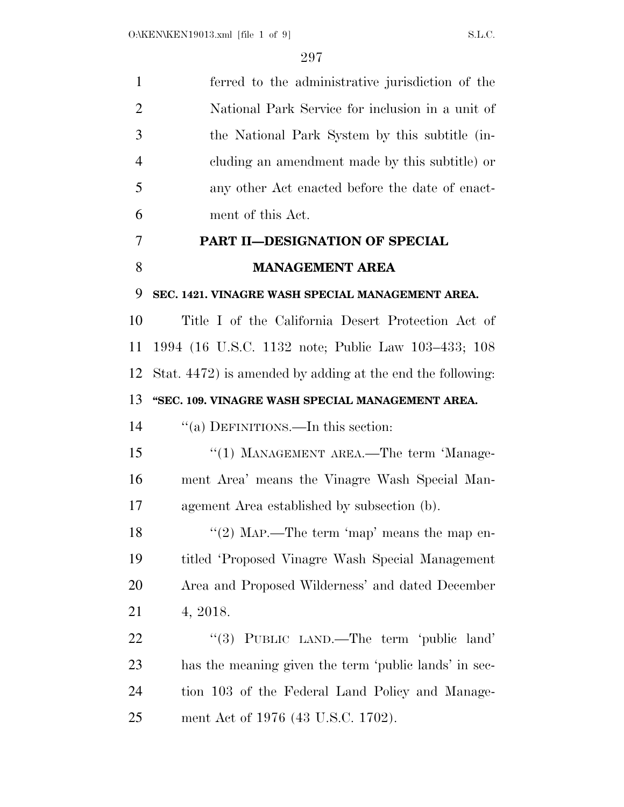| $\mathbf{1}$   | ferred to the administrative jurisdiction of the           |
|----------------|------------------------------------------------------------|
| $\overline{2}$ | National Park Service for inclusion in a unit of           |
| 3              | the National Park System by this subtitle (in-             |
| $\overline{4}$ | cluding an amendment made by this subtitle) or             |
| 5              | any other Act enacted before the date of enact-            |
| 6              | ment of this Act.                                          |
| 7              | PART II-DESIGNATION OF SPECIAL                             |
| 8              | <b>MANAGEMENT AREA</b>                                     |
| 9              | SEC. 1421. VINAGRE WASH SPECIAL MANAGEMENT AREA.           |
| 10             | Title I of the California Desert Protection Act of         |
| 11             | 1994 (16 U.S.C. 1132 note; Public Law 103–433; 108         |
| 12             | Stat. 4472) is amended by adding at the end the following: |
| 13             | "SEC. 109. VINAGRE WASH SPECIAL MANAGEMENT AREA.           |
| 14             | "(a) DEFINITIONS.—In this section:                         |
| 15             | "(1) MANAGEMENT AREA.—The term 'Manage-                    |
| 16             | ment Area' means the Vinagre Wash Special Man-             |
| 17             | agement Area established by subsection (b).                |
| 18             | "(2) MAP.—The term 'map' means the map en-                 |
| 19             | titled 'Proposed Vinagre Wash Special Management           |
| 20             | Area and Proposed Wilderness' and dated December           |
| 21             | 4, 2018.                                                   |
| 22             | "(3) PUBLIC LAND.—The term 'public land'                   |
| 23             | has the meaning given the term 'public lands' in sec-      |
| 24             | tion 103 of the Federal Land Policy and Manage-            |
| 25             | ment Act of 1976 (43 U.S.C. 1702).                         |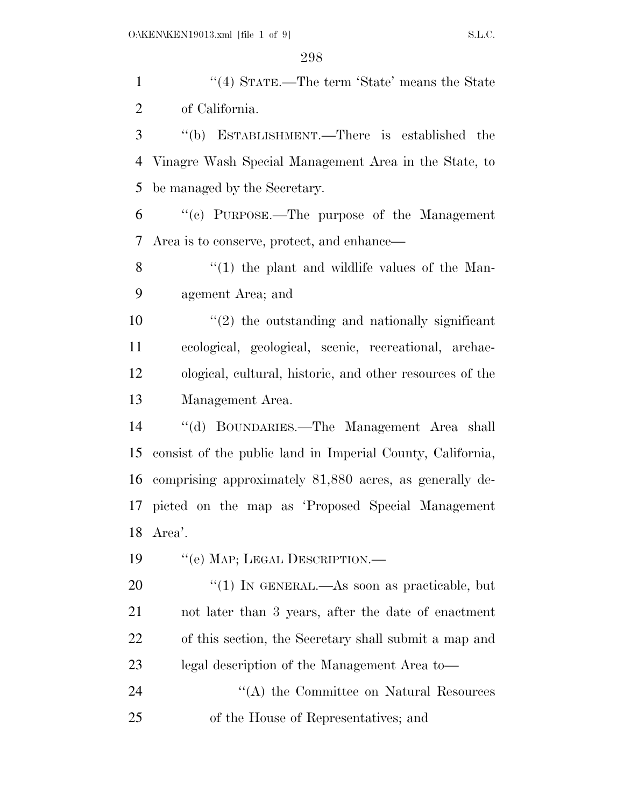| $\mathbf{1}$ | "(4) STATE.—The term 'State' means the State               |
|--------------|------------------------------------------------------------|
| 2            | of California.                                             |
| 3            | "(b) ESTABLISHMENT.—There is established the               |
| 4            | Vinagre Wash Special Management Area in the State, to      |
| 5            | be managed by the Secretary.                               |
| 6            | "(c) PURPOSE.—The purpose of the Management                |
| 7            | Area is to conserve, protect, and enhance—                 |
| 8            | $\lq(1)$ the plant and wildlife values of the Man-         |
| 9            | agement Area; and                                          |
| 10           | $\lq(2)$ the outstanding and nationally significant        |
| 11           | ecological, geological, scenic, recreational, archae-      |
| 12           | ological, cultural, historic, and other resources of the   |
| 13           | Management Area.                                           |
| 14           | "(d) BOUNDARIES.—The Management Area shall                 |
| 15           | consist of the public land in Imperial County, California, |
| 16           | comprising approximately 81,880 acres, as generally de-    |
| 17           | picted on the map as 'Proposed Special Management          |
| 18           | Area'.                                                     |
| 19           | "(e) MAP; LEGAL DESCRIPTION.—                              |
| 20           | "(1) IN GENERAL.—As soon as practicable, but               |
| 21           | not later than 3 years, after the date of enactment        |
| 22           | of this section, the Secretary shall submit a map and      |
| 23           | legal description of the Management Area to-               |
| 24           | "(A) the Committee on Natural Resources                    |
| 25           | of the House of Representatives; and                       |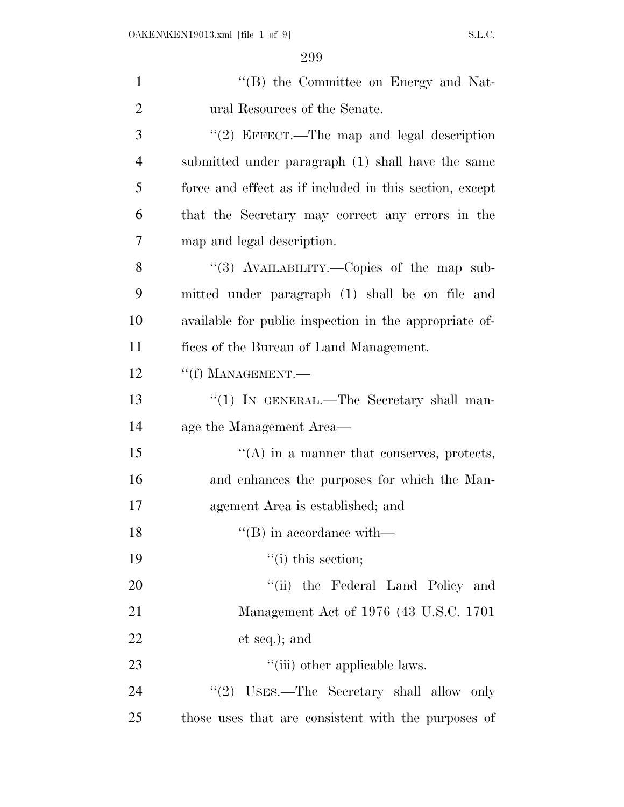| $\mathbf{1}$   | "(B) the Committee on Energy and Nat-                   |
|----------------|---------------------------------------------------------|
| $\overline{2}$ | ural Resources of the Senate.                           |
| 3              | "(2) EFFECT.—The map and legal description              |
| $\overline{4}$ | submitted under paragraph (1) shall have the same       |
| 5              | force and effect as if included in this section, except |
| 6              | that the Secretary may correct any errors in the        |
| 7              | map and legal description.                              |
| 8              | "(3) AVAILABILITY.—Copies of the map sub-               |
| 9              | mitted under paragraph (1) shall be on file and         |
| 10             | available for public inspection in the appropriate of-  |
| 11             | fices of the Bureau of Land Management.                 |
| 12             | $``(f)$ MANAGEMENT.—                                    |
| 13             | " $(1)$ IN GENERAL.—The Secretary shall man-            |
| 14             | age the Management Area—                                |
| 15             | $\lq\lq$ in a manner that conserves, protects,          |
| 16             | and enhances the purposes for which the Man-            |
| 17             | agement Area is established; and                        |
| 18             | $\lq\lq$ (B) in accordance with—                        |
| 19             | $``(i)$ this section;                                   |
| 20             | "(ii) the Federal Land Policy and                       |
| 21             | Management Act of 1976 (43 U.S.C. 1701)                 |
| 22             | et seq.); and                                           |
| 23             | "(iii) other applicable laws.                           |
| 24             | "(2) USES.—The Secretary shall allow only               |
| 25             | those uses that are consistent with the purposes of     |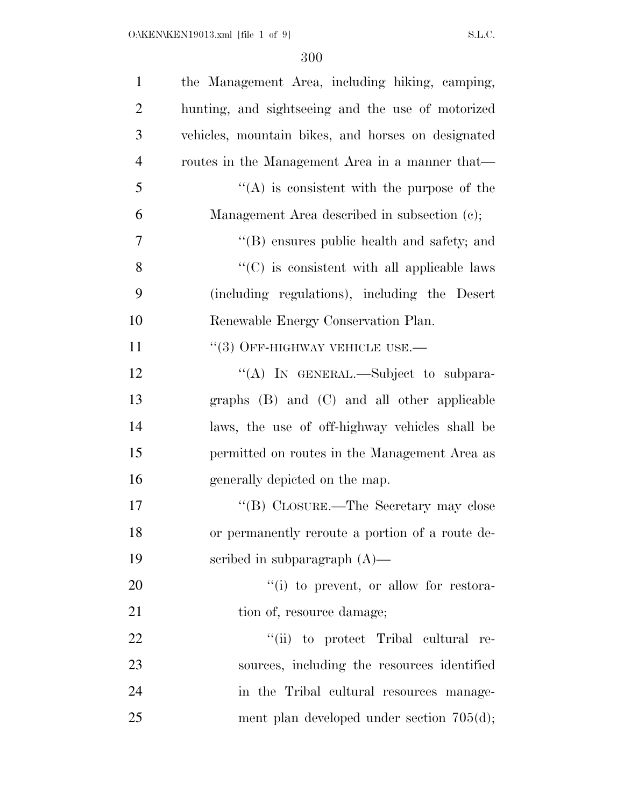| $\mathbf{1}$   | the Management Area, including hiking, camping,    |
|----------------|----------------------------------------------------|
| $\overline{2}$ | hunting, and sightseeing and the use of motorized  |
| 3              | vehicles, mountain bikes, and horses on designated |
| $\overline{4}$ | routes in the Management Area in a manner that—    |
| 5              | $\lq\lq$ is consistent with the purpose of the     |
| 6              | Management Area described in subsection (c);       |
| $\overline{7}$ | "(B) ensures public health and safety; and         |
| 8              | "(C) is consistent with all applicable laws        |
| 9              | (including regulations), including the Desert      |
| 10             | Renewable Energy Conservation Plan.                |
| 11             | $\lq(3)$ OFF-HIGHWAY VEHICLE USE.—                 |
| 12             | "(A) IN GENERAL.—Subject to subpara-               |
| 13             | graphs (B) and (C) and all other applicable        |
| 14             | laws, the use of off-highway vehicles shall be     |
| 15             | permitted on routes in the Management Area as      |
| 16             | generally depicted on the map.                     |
| 17             | "(B) CLOSURE.—The Secretary may close              |
| 18             | or permanently reroute a portion of a route de-    |
| 19             | scribed in subparagraph $(A)$ —                    |
| 20             | "(i) to prevent, or allow for restora-             |
| 21             | tion of, resource damage;                          |
| 22             | "(ii) to protect Tribal cultural re-               |
| 23             | sources, including the resources identified        |
| 24             | in the Tribal cultural resources manage-           |
| 25             | ment plan developed under section $705(d)$ ;       |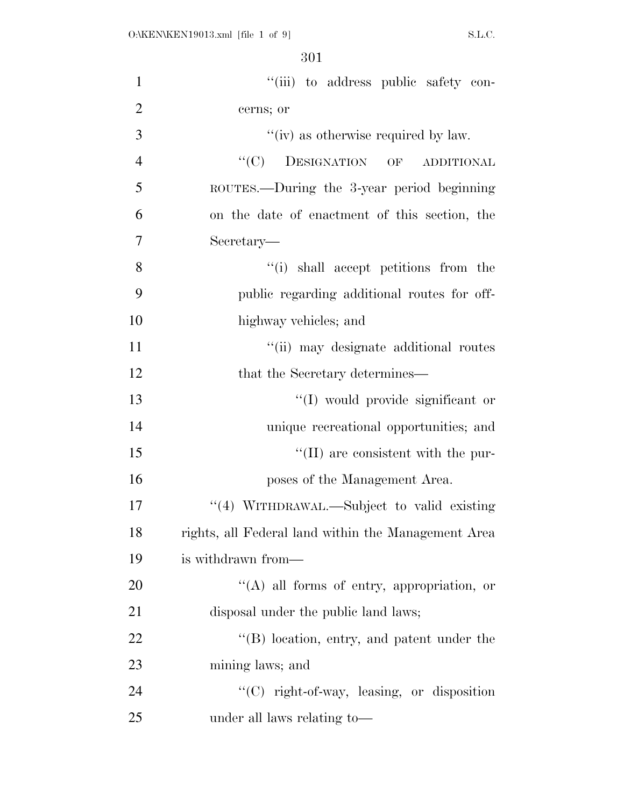| $\mathbf{1}$   | "(iii) to address public safety con-                |
|----------------|-----------------------------------------------------|
| $\overline{2}$ | cerns; or                                           |
| 3              | "(iv) as otherwise required by law.                 |
| $\overline{4}$ | "(C) DESIGNATION OF ADDITIONAL                      |
| 5              | ROUTES.—During the 3-year period beginning          |
| 6              | on the date of enactment of this section, the       |
| $\overline{7}$ | Secretary—                                          |
| 8              | "(i) shall accept petitions from the                |
| 9              | public regarding additional routes for off-         |
| 10             | highway vehicles; and                               |
| 11             | "(ii) may designate additional routes               |
| 12             | that the Secretary determines—                      |
| 13             | "(I) would provide significant or                   |
| 14             | unique recreational opportunities; and              |
| 15             | $\lq\lq$ (II) are consistent with the pur-          |
| 16             | poses of the Management Area.                       |
| 17             | "(4) WITHDRAWAL.—Subject to valid existing          |
| 18             | rights, all Federal land within the Management Area |
| 19             | is withdrawn from—                                  |
| 20             | $\lq\lq(A)$ all forms of entry, appropriation, or   |
| 21             | disposal under the public land laws;                |
| 22             | "(B) location, entry, and patent under the          |
| 23             | mining laws; and                                    |
| 24             | "(C) right-of-way, leasing, or disposition          |
| 25             | under all laws relating to—                         |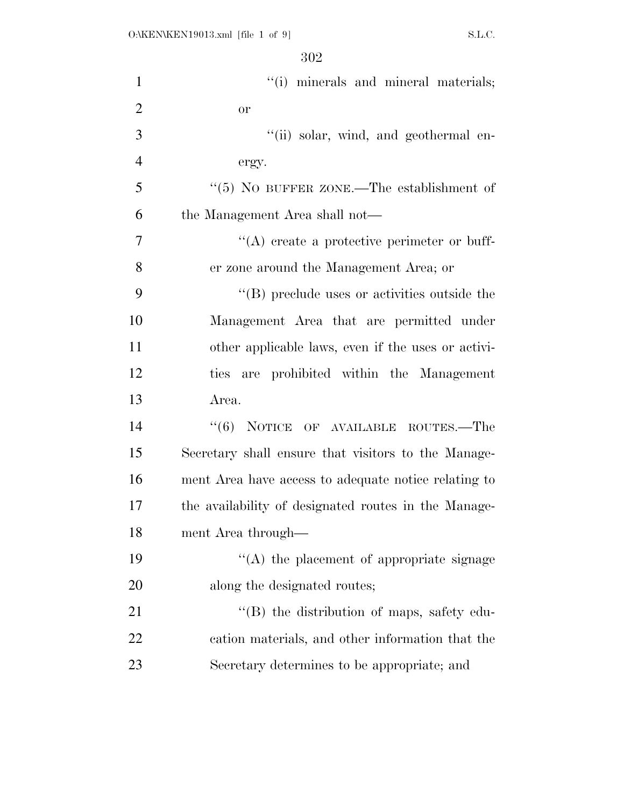| $\mathbf{1}$   | "(i) minerals and mineral materials;                 |
|----------------|------------------------------------------------------|
| $\overline{2}$ | <b>or</b>                                            |
| 3              | "(ii) solar, wind, and geothermal en-                |
| $\overline{4}$ | ergy.                                                |
| 5              | " $(5)$ NO BUFFER ZONE.—The establishment of         |
| 6              | the Management Area shall not—                       |
| 7              | $\lq\lq$ create a protective perimeter or buff-      |
| 8              | er zone around the Management Area; or               |
| 9              | "(B) preclude uses or activities outside the         |
| 10             | Management Area that are permitted under             |
| 11             | other applicable laws, even if the uses or activi-   |
| 12             | ties are prohibited within the Management            |
| 13             | Area.                                                |
| 14             | "(6) NOTICE OF AVAILABLE ROUTES.—The                 |
| 15             | Secretary shall ensure that visitors to the Manage-  |
| 16             | ment Area have access to adequate notice relating to |
| 17             | the availability of designated routes in the Manage- |
| 18             | ment Area through—                                   |
| 19             | "(A) the placement of appropriate signage            |
| 20             | along the designated routes;                         |
| 21             | $\lq\lq$ the distribution of maps, safety edu-       |
| 22             | cation materials, and other information that the     |
| 23             | Secretary determines to be appropriate; and          |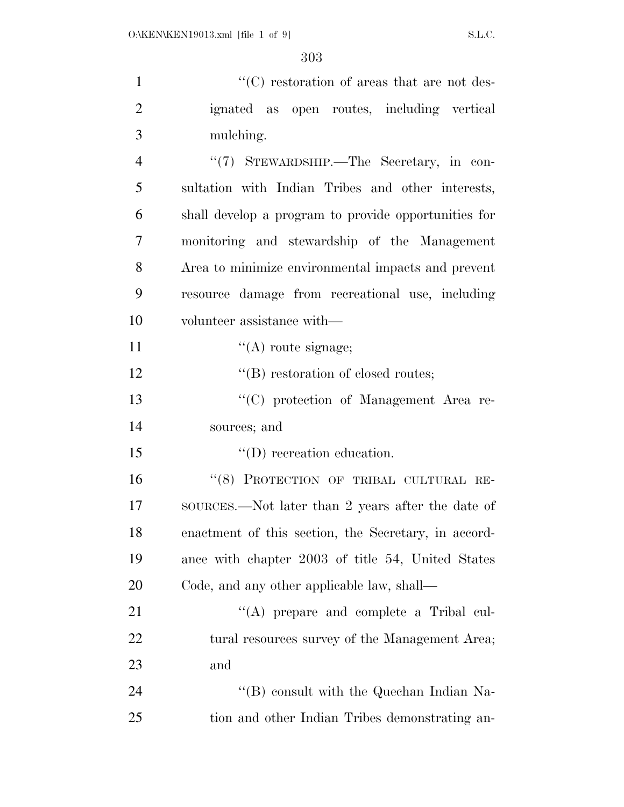| $\mathbf{1}$   | $\lq\lq$ (C) restoration of areas that are not des-  |
|----------------|------------------------------------------------------|
| $\overline{2}$ | ignated as open routes, including vertical           |
| 3              | mulching.                                            |
| $\overline{4}$ | "(7) STEWARDSHIP.—The Secretary, in con-             |
| 5              | sultation with Indian Tribes and other interests,    |
| 6              | shall develop a program to provide opportunities for |
| 7              | monitoring and stewardship of the Management         |
| 8              | Area to minimize environmental impacts and prevent   |
| 9              | resource damage from recreational use, including     |
| 10             | volunteer assistance with—                           |
| 11             | $\lq\lq$ route signage;                              |
| 12             | $\lq\lq$ restoration of closed routes;               |
| 13             | "(C) protection of Management Area re-               |
| 14             | sources; and                                         |
| 15             | $\lq\lq$ (D) recreation education.                   |
| 16             | "(8) PROTECTION OF TRIBAL CULTURAL RE-               |
| 17             | SOURCES.—Not later than 2 years after the date of    |
| 18             | enactment of this section, the Secretary, in accord- |
| 19             | ance with chapter 2003 of title 54, United States    |
| 20             | Code, and any other applicable law, shall—           |
| 21             | $\lq\lq$ prepare and complete a Tribal cul-          |
| <u>22</u>      | tural resources survey of the Management Area;       |
| 23             | and                                                  |
| 24             | $\lq\lq (B)$ consult with the Quechan Indian Na-     |
| 25             | tion and other Indian Tribes demonstrating an-       |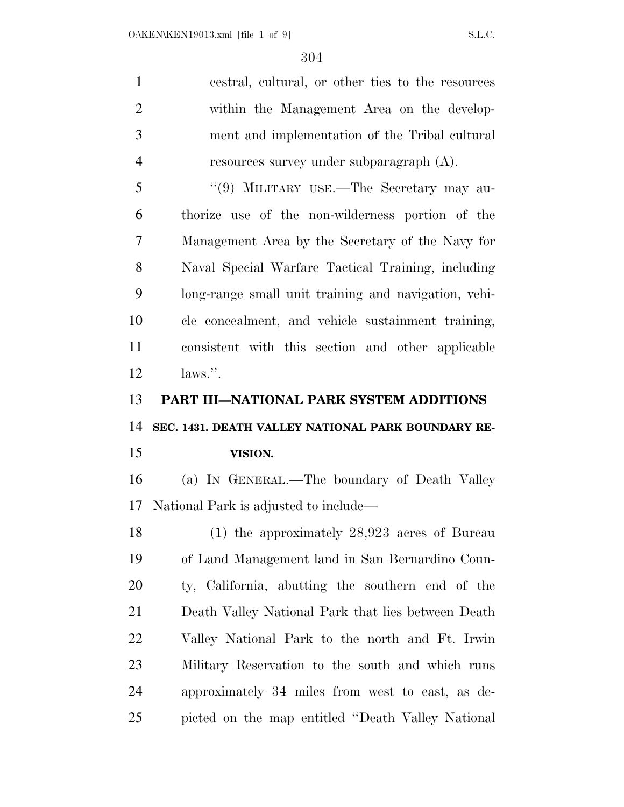cestral, cultural, or other ties to the resources within the Management Area on the develop- ment and implementation of the Tribal cultural resources survey under subparagraph (A). ''(9) MILITARY USE.—The Secretary may au-

 thorize use of the non-wilderness portion of the Management Area by the Secretary of the Navy for Naval Special Warfare Tactical Training, including long-range small unit training and navigation, vehi- cle concealment, and vehicle sustainment training, consistent with this section and other applicable laws.''.

**PART III—NATIONAL PARK SYSTEM ADDITIONS** 

**SEC. 1431. DEATH VALLEY NATIONAL PARK BOUNDARY RE-**

## **VISION.**

 (a) IN GENERAL.—The boundary of Death Valley National Park is adjusted to include—

 (1) the approximately 28,923 acres of Bureau of Land Management land in San Bernardino Coun- ty, California, abutting the southern end of the Death Valley National Park that lies between Death Valley National Park to the north and Ft. Irwin Military Reservation to the south and which runs approximately 34 miles from west to east, as de-picted on the map entitled ''Death Valley National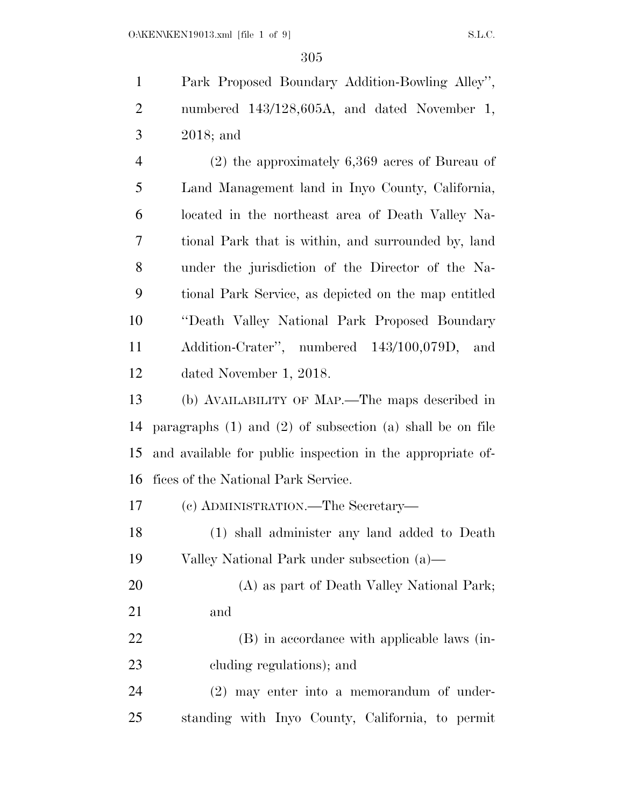Park Proposed Boundary Addition-Bowling Alley'', numbered 143/128,605A, and dated November 1, 2018; and

 (2) the approximately 6,369 acres of Bureau of Land Management land in Inyo County, California, located in the northeast area of Death Valley Na- tional Park that is within, and surrounded by, land under the jurisdiction of the Director of the Na- tional Park Service, as depicted on the map entitled ''Death Valley National Park Proposed Boundary Addition-Crater'', numbered 143/100,079D, and dated November 1, 2018.

 (b) AVAILABILITY OF MAP.—The maps described in paragraphs (1) and (2) of subsection (a) shall be on file and available for public inspection in the appropriate of-fices of the National Park Service.

(c) ADMINISTRATION.—The Secretary—

 (1) shall administer any land added to Death Valley National Park under subsection (a)—

 (A) as part of Death Valley National Park; and

 (B) in accordance with applicable laws (in-cluding regulations); and

 (2) may enter into a memorandum of under-standing with Inyo County, California, to permit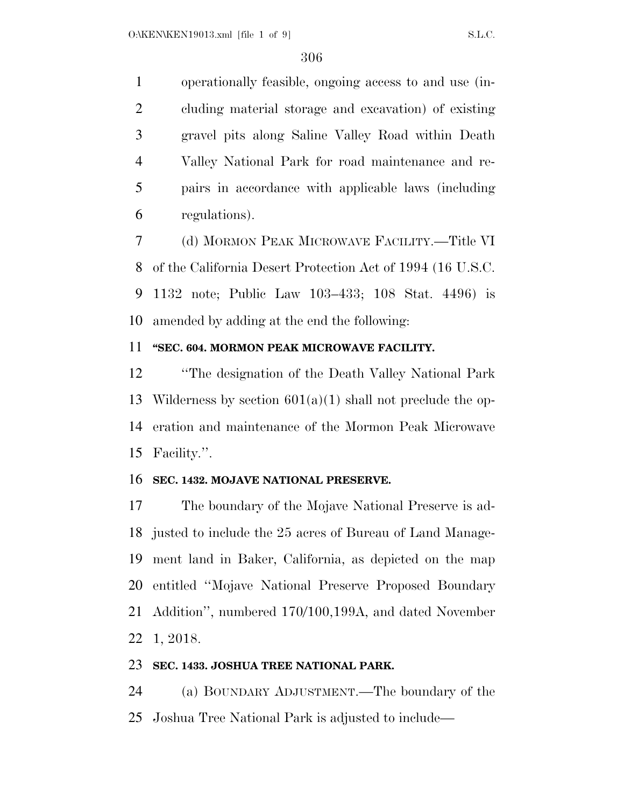operationally feasible, ongoing access to and use (in- cluding material storage and excavation) of existing gravel pits along Saline Valley Road within Death Valley National Park for road maintenance and re- pairs in accordance with applicable laws (including regulations).

 (d) MORMON PEAK MICROWAVE FACILITY.—Title VI of the California Desert Protection Act of 1994 (16 U.S.C. 1132 note; Public Law 103–433; 108 Stat. 4496) is amended by adding at the end the following:

### **''SEC. 604. MORMON PEAK MICROWAVE FACILITY.**

 ''The designation of the Death Valley National Park 13 Wilderness by section  $601(a)(1)$  shall not preclude the op- eration and maintenance of the Mormon Peak Microwave Facility.''.

#### **SEC. 1432. MOJAVE NATIONAL PRESERVE.**

 The boundary of the Mojave National Preserve is ad- justed to include the 25 acres of Bureau of Land Manage- ment land in Baker, California, as depicted on the map entitled ''Mojave National Preserve Proposed Boundary Addition'', numbered 170/100,199A, and dated November 1, 2018.

#### **SEC. 1433. JOSHUA TREE NATIONAL PARK.**

 (a) BOUNDARY ADJUSTMENT.—The boundary of the Joshua Tree National Park is adjusted to include—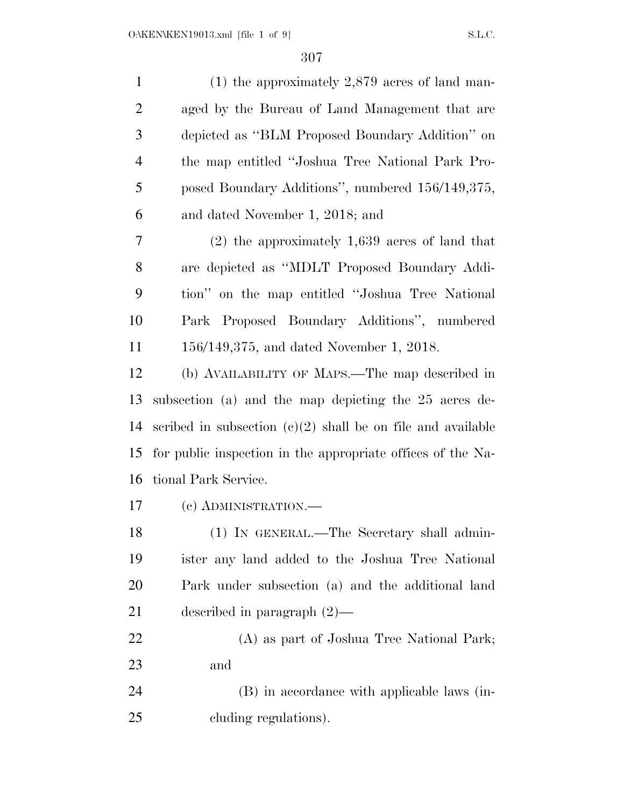| $\mathbf{1}$   | $(1)$ the approximately 2,879 acres of land man-              |
|----------------|---------------------------------------------------------------|
| $\overline{2}$ | aged by the Bureau of Land Management that are                |
| 3              | depicted as "BLM Proposed Boundary Addition" on               |
| $\overline{4}$ | the map entitled "Joshua Tree National Park Pro-              |
| 5              | posed Boundary Additions", numbered 156/149,375,              |
| 6              | and dated November 1, 2018; and                               |
| 7              | $(2)$ the approximately 1,639 acres of land that              |
| 8              | are depicted as "MDLT Proposed Boundary Addi-                 |
| 9              | tion" on the map entitled "Joshua Tree National               |
| 10             | Park Proposed Boundary Additions", numbered                   |
| 11             | 156/149,375, and dated November 1, 2018.                      |
| 12             | (b) AVAILABILITY OF MAPS.—The map described in                |
| 13             | subsection (a) and the map depicting the 25 acres de-         |
| 14             | scribed in subsection $(c)(2)$ shall be on file and available |
| 15             | for public inspection in the appropriate offices of the Na-   |
| 16             | tional Park Service.                                          |
| 17             | (c) ADMINISTRATION.-                                          |
| 18             | (1) IN GENERAL.—The Secretary shall admin-                    |
| 19             | ister any land added to the Joshua Tree National              |
| 20             | Park under subsection (a) and the additional land             |
| 21             | described in paragraph $(2)$ —                                |
| $22\,$         | (A) as part of Joshua Tree National Park;                     |
| 23             | and                                                           |
| 24             | (B) in accordance with applicable laws (in-                   |
| 25             | cluding regulations).                                         |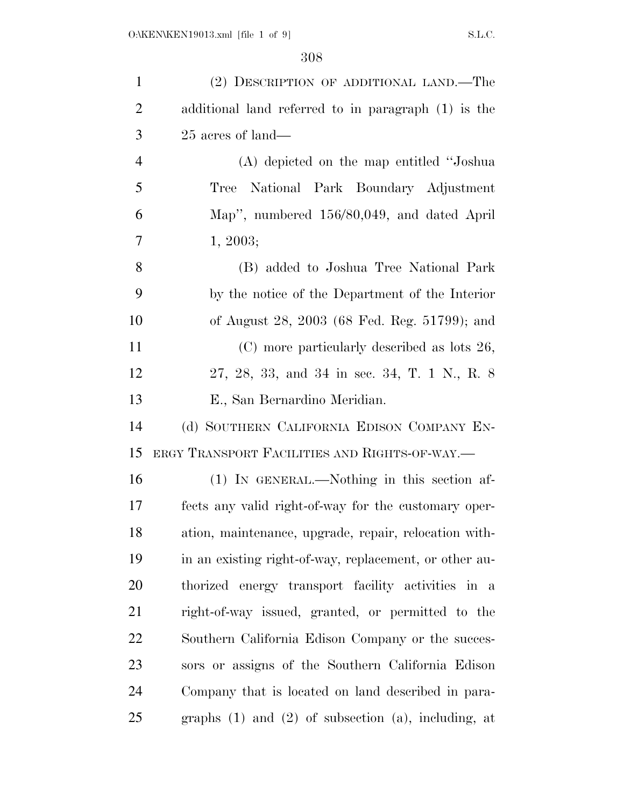| $\mathbf{1}$   | (2) DESCRIPTION OF ADDITIONAL LAND.—The                    |
|----------------|------------------------------------------------------------|
| $\overline{2}$ | additional land referred to in paragraph (1) is the        |
| 3              | 25 acres of land—                                          |
| $\overline{4}$ | (A) depicted on the map entitled "Joshua"                  |
| 5              | National Park Boundary Adjustment<br>Tree                  |
| 6              | Map", numbered 156/80,049, and dated April                 |
| 7              | 1, 2003;                                                   |
| 8              | (B) added to Joshua Tree National Park                     |
| 9              | by the notice of the Department of the Interior            |
| 10             | of August 28, 2003 (68 Fed. Reg. 51799); and               |
| 11             | (C) more particularly described as lots 26,                |
| 12             | 27, 28, 33, and 34 in sec. 34, T. 1 N., R. 8               |
| 13             | E., San Bernardino Meridian.                               |
| 14             | (d) SOUTHERN CALIFORNIA EDISON COMPANY EN-                 |
| 15             | ERGY TRANSPORT FACILITIES AND RIGHTS-OF-WAY.—              |
| 16             | (1) IN GENERAL.—Nothing in this section af-                |
| 17             | fects any valid right-of-way for the customary oper-       |
| 18             | ation, maintenance, upgrade, repair, relocation with-      |
| 19             | in an existing right-of-way, replacement, or other au-     |
| 20             | thorized energy transport facility activities in a         |
| 21             | right-of-way issued, granted, or permitted to the          |
| 22             | Southern California Edison Company or the succes-          |
| 23             | sors or assigns of the Southern California Edison          |
| 24             | Company that is located on land described in para-         |
| 25             | graphs $(1)$ and $(2)$ of subsection $(a)$ , including, at |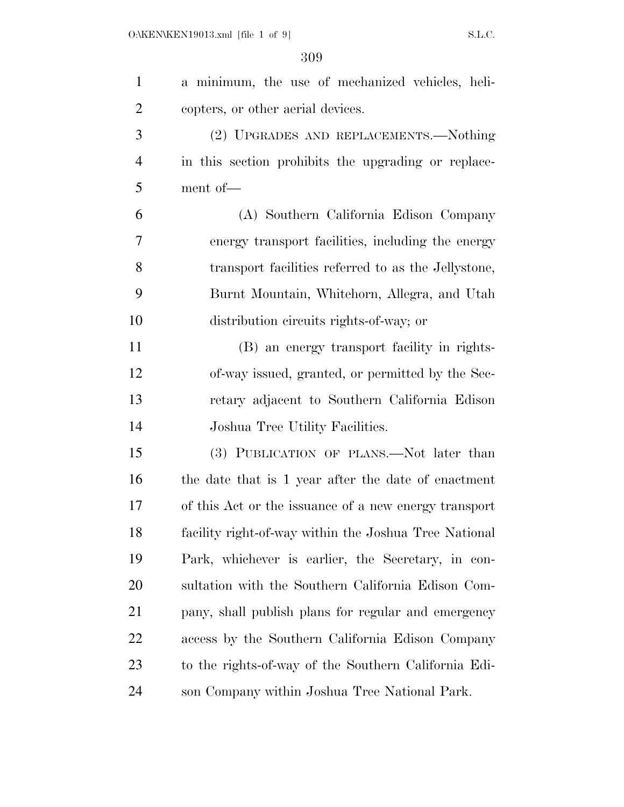| $\mathbf{1}$   | a minimum, the use of mechanized vehicles, heli-      |
|----------------|-------------------------------------------------------|
| $\overline{2}$ | copters, or other aerial devices.                     |
| 3              | (2) UPGRADES AND REPLACEMENTS.—Nothing                |
| $\overline{4}$ | in this section prohibits the upgrading or replace-   |
| 5              | ment of-                                              |
| 6              | (A) Southern California Edison Company                |
| 7              | energy transport facilities, including the energy     |
| 8              | transport facilities referred to as the Jellystone,   |
| 9              | Burnt Mountain, Whitehorn, Allegra, and Utah          |
| 10             | distribution circuits rights-of-way; or               |
| 11             | (B) an energy transport facility in rights-           |
| 12             | of-way issued, granted, or permitted by the Sec-      |
| 13             | retary adjacent to Southern California Edison         |
| 14             | Joshua Tree Utility Facilities.                       |
| 15             | (3) PUBLICATION OF PLANS.—Not later than              |
| 16             | the date that is 1 year after the date of enactment   |
| 17             | of this Act or the issuance of a new energy transport |
| 18             | facility right-of-way within the Joshua Tree National |
| 19             | Park, whichever is earlier, the Secretary, in con-    |
| 20             | sultation with the Southern California Edison Com-    |
| 21             | pany, shall publish plans for regular and emergency   |
| 22             | access by the Southern California Edison Company      |
| 23             | to the rights-of-way of the Southern California Edi-  |
| 24             | son Company within Joshua Tree National Park.         |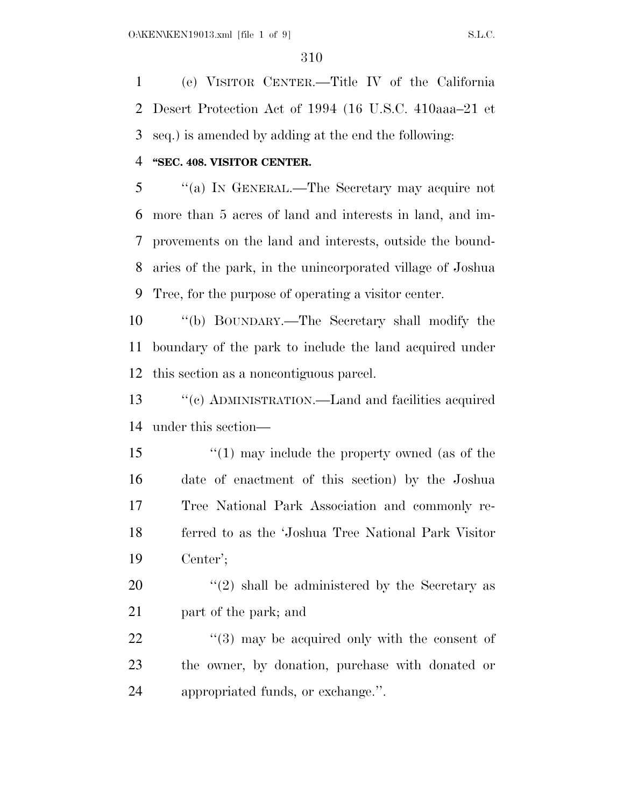(e) VISITOR CENTER.—Title IV of the California Desert Protection Act of 1994 (16 U.S.C. 410aaa–21 et seq.) is amended by adding at the end the following:

#### **''SEC. 408. VISITOR CENTER.**

 ''(a) IN GENERAL.—The Secretary may acquire not more than 5 acres of land and interests in land, and im- provements on the land and interests, outside the bound- aries of the park, in the unincorporated village of Joshua Tree, for the purpose of operating a visitor center.

 ''(b) BOUNDARY.—The Secretary shall modify the boundary of the park to include the land acquired under this section as a noncontiguous parcel.

 ''(c) ADMINISTRATION.—Land and facilities acquired under this section—

 ''(1) may include the property owned (as of the date of enactment of this section) by the Joshua Tree National Park Association and commonly re- ferred to as the 'Joshua Tree National Park Visitor Center';

 ''(2) shall be administered by the Secretary as 21 part of the park; and

22  $\frac{1}{2}$  (3) may be acquired only with the consent of the owner, by donation, purchase with donated or appropriated funds, or exchange.''.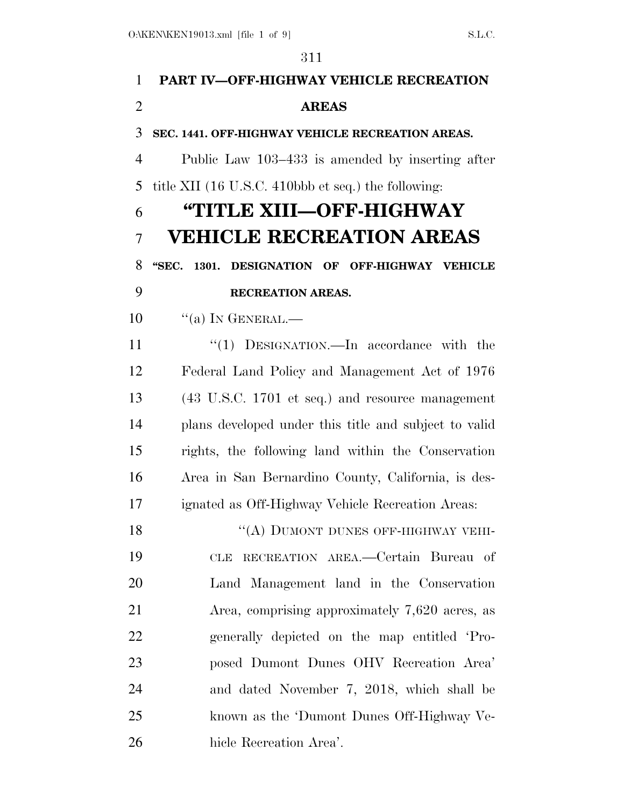# **PART IV—OFF-HIGHWAY VEHICLE RECREATION AREAS SEC. 1441. OFF-HIGHWAY VEHICLE RECREATION AREAS.**  Public Law 103–433 is amended by inserting after title XII (16 U.S.C. 410bbb et seq.) the following: **''TITLE XIII—OFF-HIGHWAY VEHICLE RECREATION AREAS ''SEC. 1301. DESIGNATION OF OFF-HIGHWAY VEHICLE RECREATION AREAS.**  10  $\cdot$  "(a) In GENERAL.— 11 "(1) DESIGNATION.—In accordance with the Federal Land Policy and Management Act of 1976 (43 U.S.C. 1701 et seq.) and resource management plans developed under this title and subject to valid rights, the following land within the Conservation Area in San Bernardino County, California, is des- ignated as Off-Highway Vehicle Recreation Areas: 18 "(A) DUMONT DUNES OFF-HIGHWAY VEHI- CLE RECREATION AREA.—Certain Bureau of Land Management land in the Conservation Area, comprising approximately 7,620 acres, as generally depicted on the map entitled 'Pro- posed Dumont Dunes OHV Recreation Area' and dated November 7, 2018, which shall be known as the 'Dumont Dunes Off-Highway Ve-hicle Recreation Area'.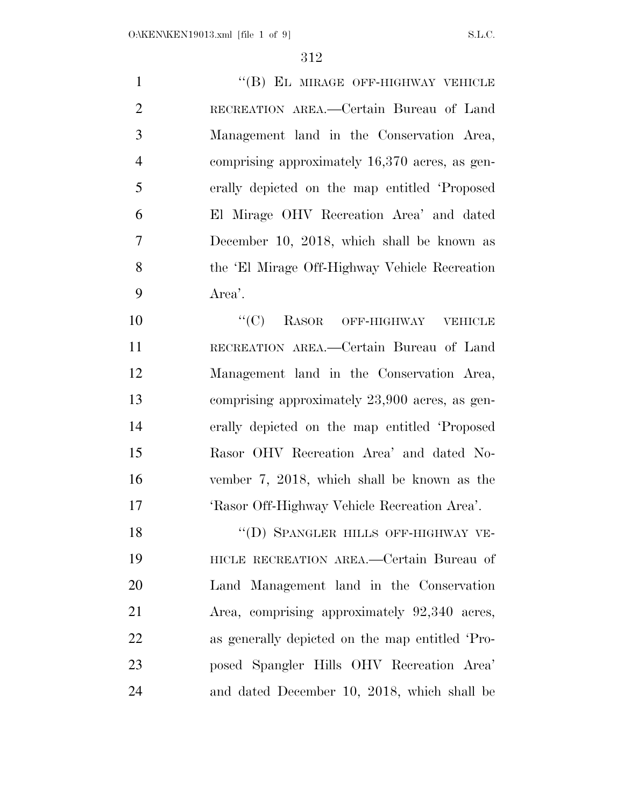1 "(B) EL MIRAGE OFF-HIGHWAY VEHICLE RECREATION AREA.—Certain Bureau of Land Management land in the Conservation Area, comprising approximately 16,370 acres, as gen- erally depicted on the map entitled 'Proposed El Mirage OHV Recreation Area' and dated December 10, 2018, which shall be known as the 'El Mirage Off-Highway Vehicle Recreation Area'.

10 "(C) RASOR OFF-HIGHWAY VEHICLE RECREATION AREA.—Certain Bureau of Land Management land in the Conservation Area, comprising approximately 23,900 acres, as gen- erally depicted on the map entitled 'Proposed Rasor OHV Recreation Area' and dated No- vember 7, 2018, which shall be known as the 'Rasor Off-Highway Vehicle Recreation Area'.

18 "(D) SPANGLER HILLS OFF-HIGHWAY VE- HICLE RECREATION AREA.—Certain Bureau of Land Management land in the Conservation Area, comprising approximately 92,340 acres, as generally depicted on the map entitled 'Pro- posed Spangler Hills OHV Recreation Area' and dated December 10, 2018, which shall be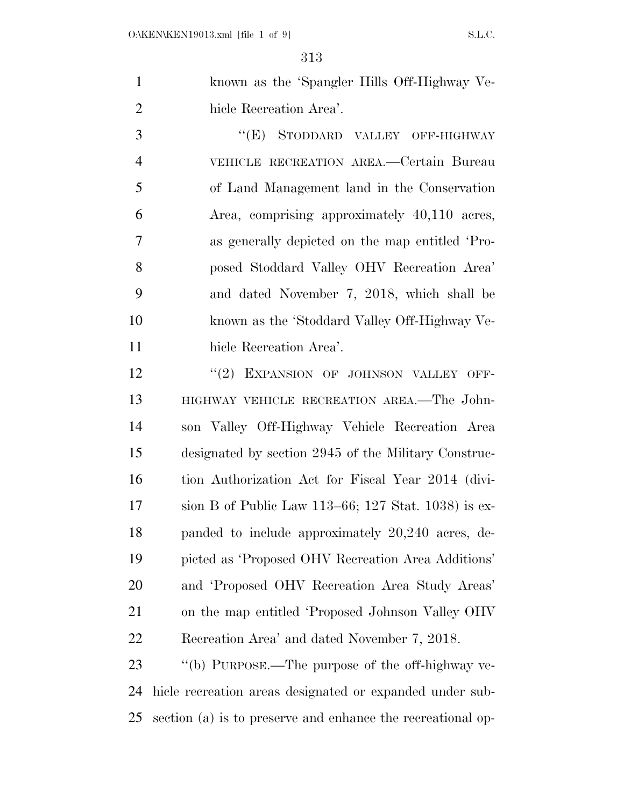known as the 'Spangler Hills Off-Highway Ve-hicle Recreation Area'.

3 "(E) STODDARD VALLEY OFF-HIGHWAY VEHICLE RECREATION AREA.—Certain Bureau of Land Management land in the Conservation Area, comprising approximately 40,110 acres, as generally depicted on the map entitled 'Pro- posed Stoddard Valley OHV Recreation Area' and dated November 7, 2018, which shall be known as the 'Stoddard Valley Off-Highway Ve-hicle Recreation Area'.

12 "(2) EXPANSION OF JOHNSON VALLEY OFF- HIGHWAY VEHICLE RECREATION AREA.—The John- son Valley Off-Highway Vehicle Recreation Area designated by section 2945 of the Military Construc- tion Authorization Act for Fiscal Year 2014 (divi- sion B of Public Law 113–66; 127 Stat. 1038) is ex- panded to include approximately 20,240 acres, de- picted as 'Proposed OHV Recreation Area Additions' and 'Proposed OHV Recreation Area Study Areas' on the map entitled 'Proposed Johnson Valley OHV Recreation Area' and dated November 7, 2018.

 ''(b) PURPOSE.—The purpose of the off-highway ve- hicle recreation areas designated or expanded under sub-section (a) is to preserve and enhance the recreational op-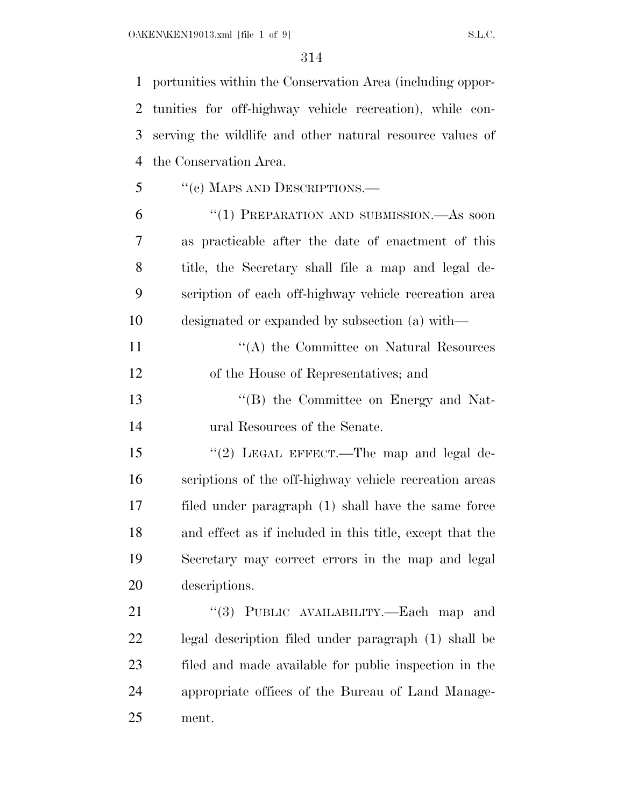portunities within the Conservation Area (including oppor- tunities for off-highway vehicle recreation), while con- serving the wildlife and other natural resource values of the Conservation Area.

''(c) MAPS AND DESCRIPTIONS.—

 ''(1) PREPARATION AND SUBMISSION.—As soon as practicable after the date of enactment of this title, the Secretary shall file a map and legal de- scription of each off-highway vehicle recreation area designated or expanded by subsection (a) with—

11 ''(A) the Committee on Natural Resources of the House of Representatives; and

 ''(B) the Committee on Energy and Nat-ural Resources of the Senate.

15 "(2) LEGAL EFFECT.—The map and legal de- scriptions of the off-highway vehicle recreation areas filed under paragraph (1) shall have the same force and effect as if included in this title, except that the Secretary may correct errors in the map and legal descriptions.

21 "(3) PUBLIC AVAILABILITY.—Each map and legal description filed under paragraph (1) shall be filed and made available for public inspection in the appropriate offices of the Bureau of Land Manage-ment.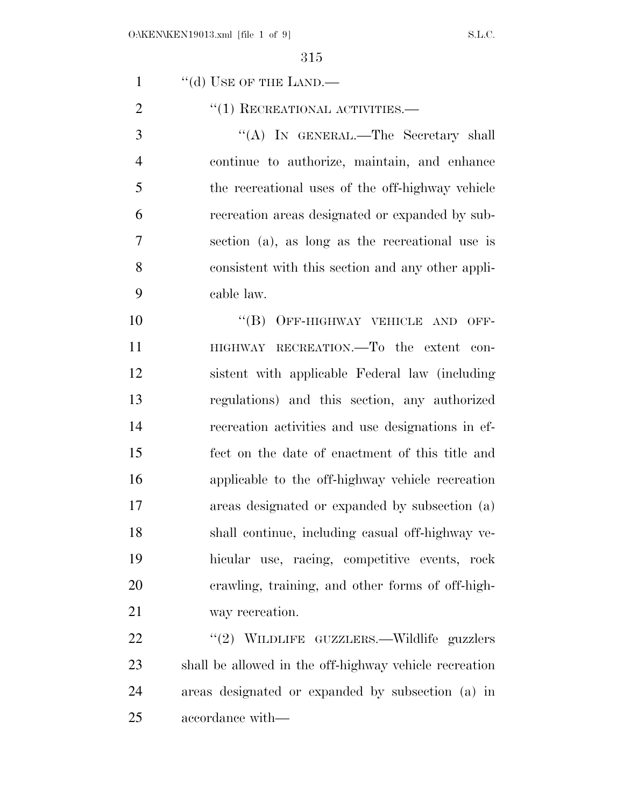1 "(d) USE OF THE LAND.—

''(1) RECREATIONAL ACTIVITIES.—

 ''(A) IN GENERAL.—The Secretary shall continue to authorize, maintain, and enhance the recreational uses of the off-highway vehicle recreation areas designated or expanded by sub- section (a), as long as the recreational use is consistent with this section and any other appli-cable law.

10 "(B) OFF-HIGHWAY VEHICLE AND OFF-11 HIGHWAY RECREATION.—To the extent con- sistent with applicable Federal law (including regulations) and this section, any authorized recreation activities and use designations in ef- fect on the date of enactment of this title and applicable to the off-highway vehicle recreation areas designated or expanded by subsection (a) shall continue, including casual off-highway ve- hicular use, racing, competitive events, rock crawling, training, and other forms of off-high-way recreation.

22 "(2) WILDLIFE GUZZLERS.—Wildlife guzzlers shall be allowed in the off-highway vehicle recreation areas designated or expanded by subsection (a) in accordance with—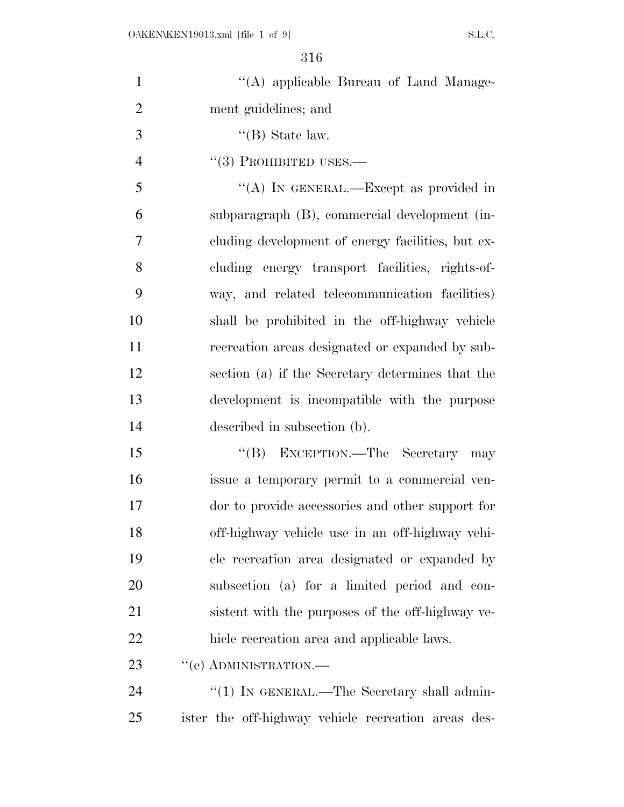| $\mathbf{1}$   | "(A) applicable Bureau of Land Manage-              |
|----------------|-----------------------------------------------------|
| $\overline{2}$ | ment guidelines; and                                |
| 3              | $\lq\lq$ (B) State law.                             |
| $\overline{4}$ | $\lq(3)$ PROHIBITED USES.—                          |
| 5              | "(A) IN GENERAL.—Except as provided in              |
| 6              | subparagraph (B), commercial development (in-       |
| 7              | cluding development of energy facilities, but ex-   |
| 8              | cluding energy transport facilities, rights-of-     |
| 9              | way, and related telecommunication facilities)      |
| 10             | shall be prohibited in the off-highway vehicle      |
| 11             | recreation areas designated or expanded by sub-     |
| 12             | section (a) if the Secretary determines that the    |
| 13             | development is incompatible with the purpose        |
| 14             | described in subsection (b).                        |
| 15             | "(B) EXCEPTION.—The Secretary may                   |
| 16             | issue a temporary permit to a commercial ven-       |
| 17             | dor to provide accessories and other support for    |
| 18             | off-highway vehicle use in an off-highway vehi-     |
| 19             | cle recreation area designated or expanded by       |
| 20             | subsection (a) for a limited period and con-        |
| 21             | sistent with the purposes of the off-highway ve-    |
| 22             | hicle recreation area and applicable laws.          |
| 23             | "(e) ADMINISTRATION.—                               |
| 24             | "(1) IN GENERAL.—The Secretary shall admin-         |
| 25             | ister the off-highway vehicle recreation areas des- |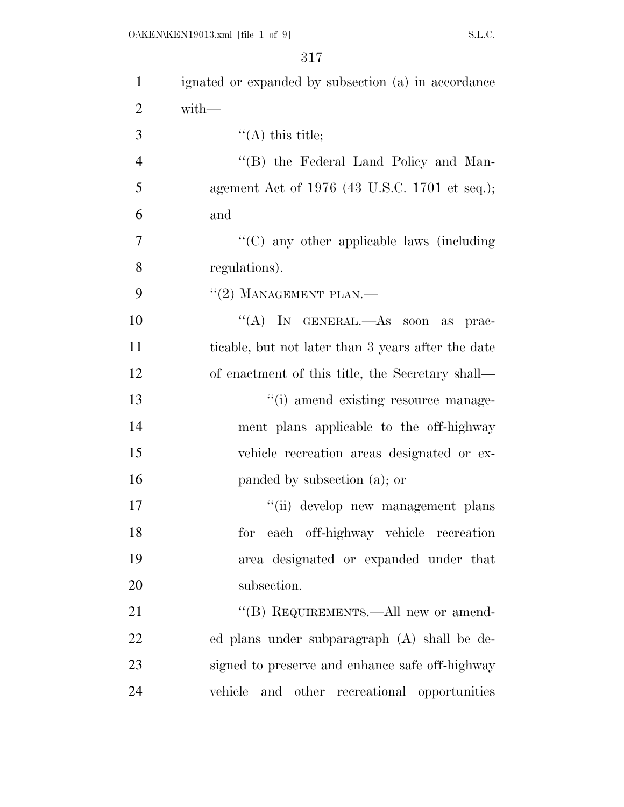| $\mathbf{1}$   | ignated or expanded by subsection (a) in accordance |
|----------------|-----------------------------------------------------|
| $\overline{2}$ | $with-$                                             |
| 3              | $\lq($ A) this title;                               |
| $\overline{4}$ | "(B) the Federal Land Policy and Man-               |
| 5              | agement Act of $1976$ (43 U.S.C. 1701 et seq.);     |
| 6              | and                                                 |
| $\tau$         | "(C) any other applicable laws (including           |
| 8              | regulations).                                       |
| 9              | $``(2)$ MANAGEMENT PLAN.—                           |
| 10             | "(A) IN GENERAL.—As soon as prac-                   |
| 11             | ticable, but not later than 3 years after the date  |
| 12             | of enactment of this title, the Secretary shall—    |
| 13             | "(i) amend existing resource manage-                |
| 14             | ment plans applicable to the off-highway            |
| 15             | vehicle recreation areas designated or ex-          |
| 16             | panded by subsection (a); or                        |
| 17             | "(ii) develop new management plans                  |
| 18             | for each off-highway vehicle recreation             |
| 19             | area designated or expanded under that              |
| 20             | subsection.                                         |
| 21             | "(B) REQUIREMENTS.—All new or amend-                |
| 22             | ed plans under subparagraph (A) shall be de-        |
| 23             | signed to preserve and enhance safe off-highway     |
| 24             | vehicle<br>and other recreational opportunities     |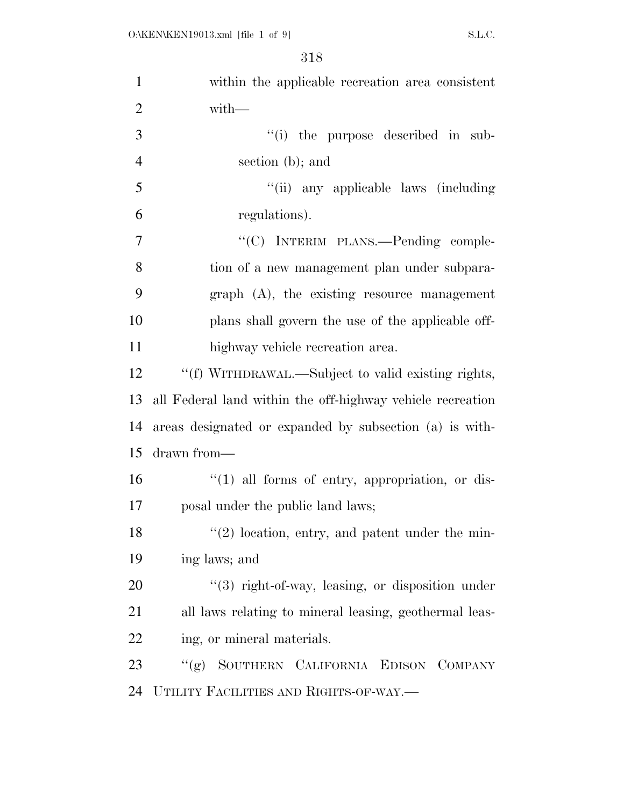| $\mathbf{1}$   | within the applicable recreation area consistent           |
|----------------|------------------------------------------------------------|
| $\overline{2}$ | with-                                                      |
| 3              | "(i) the purpose described in sub-                         |
| $\overline{4}$ | section (b); and                                           |
| 5              | "(ii) any applicable laws (including                       |
| 6              | regulations).                                              |
| 7              | "(C) INTERIM PLANS.—Pending comple-                        |
| 8              | tion of a new management plan under subpara-               |
| 9              | $graph$ $(A)$ , the existing resource management           |
| 10             | plans shall govern the use of the applicable off-          |
| 11             | highway vehicle recreation area.                           |
| 12             | "(f) WITHDRAWAL.—Subject to valid existing rights,         |
| 13             | all Federal land within the off-highway vehicle recreation |
| 14             | areas designated or expanded by subsection (a) is with-    |
| 15             | drawn from-                                                |
| 16             | $\lq(1)$ all forms of entry, appropriation, or dis-        |
| 17             | posal under the public land laws;                          |
| 18             | $f'(2)$ location, entry, and patent under the min-         |
| 19             | ing laws; and                                              |
| 20             | "(3) right-of-way, leasing, or disposition under           |
| 21             | all laws relating to mineral leasing, geothermal leas-     |
| 22             | ing, or mineral materials.                                 |
| 23             | "(g) SOUTHERN CALIFORNIA EDISON COMPANY                    |
| 24             | UTILITY FACILITIES AND RIGHTS-OF-WAY.-                     |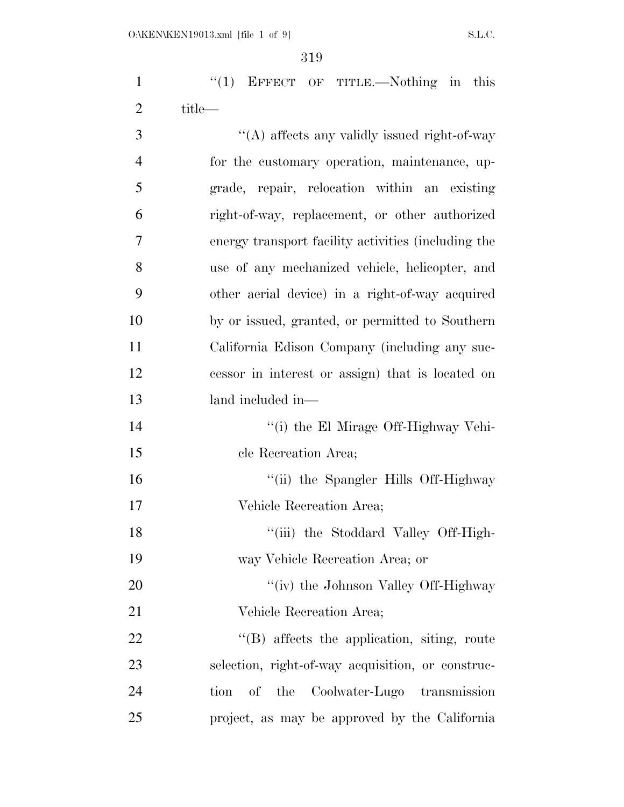| $\mathbf{1}$   | " $(1)$ EFFECT OF TITLE.—Nothing in this            |
|----------------|-----------------------------------------------------|
| $\overline{2}$ | title—                                              |
| 3              | "(A) affects any validly issued right-of-way        |
| $\overline{4}$ | for the customary operation, maintenance, up-       |
| 5              | grade, repair, relocation within an existing        |
| 6              | right-of-way, replacement, or other authorized      |
| 7              | energy transport facility activities (including the |
| 8              | use of any mechanized vehicle, helicopter, and      |
| 9              | other aerial device) in a right-of-way acquired     |
| 10             | by or issued, granted, or permitted to Southern     |
| 11             | California Edison Company (including any suc-       |
| 12             | cessor in interest or assign) that is located on    |
| 13             | land included in—                                   |
| 14             | "(i) the El Mirage Off-Highway Vehi-                |
| 15             | cle Recreation Area;                                |
| 16             | "(ii) the Spangler Hills Off-Highway                |
| 17             | Vehicle Recreation Area;                            |
| 18             | "(iii) the Stoddard Valley Off-High-                |
| 19             | way Vehicle Recreation Area; or                     |
| 20             | "(iv) the Johnson Valley Off-Highway                |
| 21             | Vehicle Recreation Area;                            |
| 22             | "(B) affects the application, siting, route         |
| 23             | selection, right-of-way acquisition, or construc-   |
| 24             | of the Coolwater-Lugo transmission<br>tion          |
| 25             | project, as may be approved by the California       |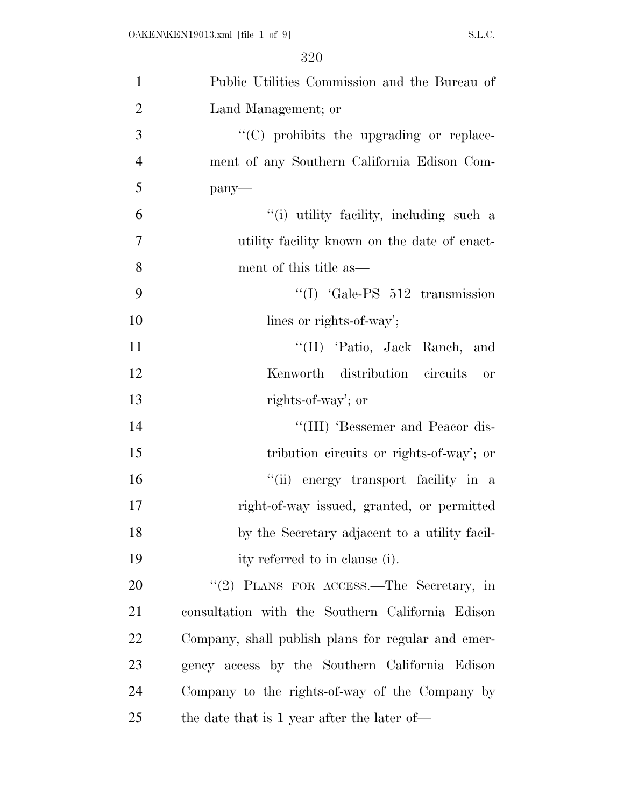| $\mathbf{1}$   | Public Utilities Commission and the Bureau of      |
|----------------|----------------------------------------------------|
| $\overline{2}$ | Land Management; or                                |
| 3              | "(C) prohibits the upgrading or replace-           |
| $\overline{4}$ | ment of any Southern California Edison Com-        |
| 5              | pany-                                              |
| 6              | "(i) utility facility, including such a            |
| $\overline{7}$ | utility facility known on the date of enact-       |
| 8              | ment of this title as—                             |
| 9              | $\text{``(I)}$ $\text{``Gale-PS}$ 512 transmission |
| 10             | lines or rights-of-way';                           |
| 11             | "(II) 'Patio, Jack Ranch, and                      |
| 12             | Kenworth distribution circuits or                  |
| 13             | rights-of-way'; or                                 |
| 14             | "(III) 'Bessemer and Peacor dis-                   |
| 15             | tribution circuits or rights-of-way'; or           |
| 16             | "(ii) energy transport facility in a               |
| 17             | right-of-way issued, granted, or permitted         |
| 18             | by the Secretary adjacent to a utility facil-      |
| 19             | ity referred to in clause (i).                     |
| 20             | "(2) PLANS FOR ACCESS.—The Secretary, in           |
| 21             | consultation with the Southern California Edison   |
| 22             | Company, shall publish plans for regular and emer- |
| 23             | gency access by the Southern California Edison     |
| 24             | Company to the rights-of-way of the Company by     |
| 25             | the date that is 1 year after the later of—        |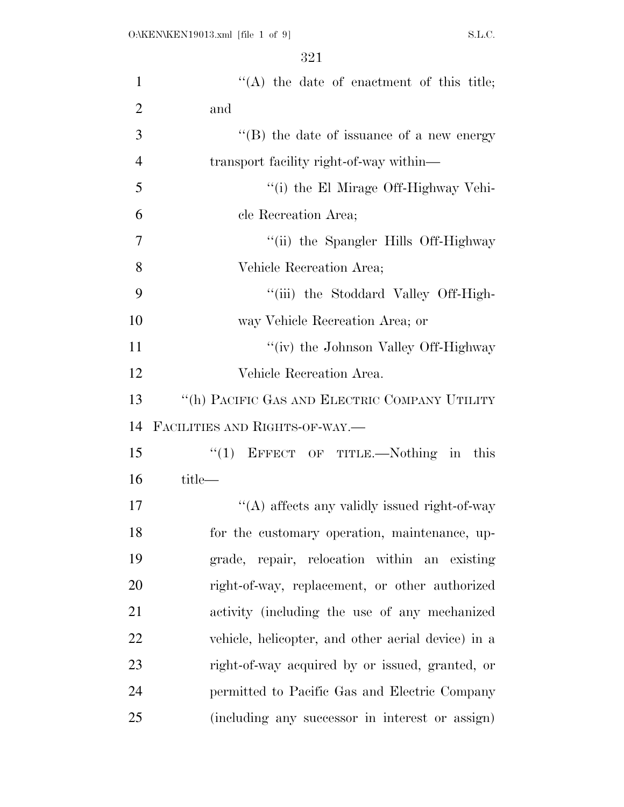| $\mathbf{1}$   | $\lq\lq$ the date of enactment of this title;      |
|----------------|----------------------------------------------------|
| $\overline{2}$ | and                                                |
| 3              | "(B) the date of issuance of a new energy          |
| $\overline{4}$ | transport facility right-of-way within-            |
| 5              | "(i) the El Mirage Off-Highway Vehi-               |
| 6              | cle Recreation Area;                               |
| 7              | "(ii) the Spangler Hills Off-Highway               |
| 8              | Vehicle Recreation Area;                           |
| 9              | "(iii) the Stoddard Valley Off-High-               |
| 10             | way Vehicle Recreation Area; or                    |
| 11             | "(iv) the Johnson Valley Off-Highway               |
| 12             | Vehicle Recreation Area.                           |
| 13             | "(h) PACIFIC GAS AND ELECTRIC COMPANY UTILITY      |
| 14             | FACILITIES AND RIGHTS-OF-WAY.-                     |
| 15             | "(1) EFFECT OF TITLE.—Nothing in this              |
| 16             | title—                                             |
| 17             | "(A) affects any validly issued right-of-way       |
| 18             | for the customary operation, maintenance, up-      |
| 19             | grade, repair, relocation within an existing       |
| 20             | right-of-way, replacement, or other authorized     |
| 21             | activity (including the use of any mechanized      |
| 22             | vehicle, helicopter, and other aerial device) in a |
| 23             | right-of-way acquired by or issued, granted, or    |
| 24             | permitted to Pacific Gas and Electric Company      |
| 25             | (including any successor in interest or assign)    |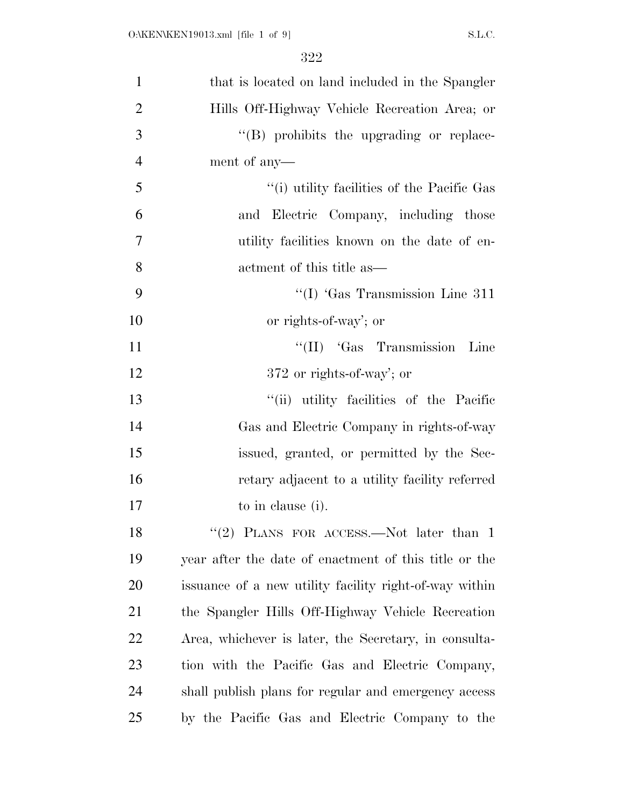| $\mathbf{1}$   | that is located on land included in the Spangler       |
|----------------|--------------------------------------------------------|
| $\overline{2}$ | Hills Off-Highway Vehicle Recreation Area; or          |
| 3              | "(B) prohibits the upgrading or replace-               |
| $\overline{4}$ | ment of any—                                           |
| 5              | "(i) utility facilities of the Pacific Gas             |
| 6              | and Electric Company, including those                  |
| 7              | utility facilities known on the date of en-            |
| 8              | actment of this title as—                              |
| 9              | $\lq$ (I) 'Gas Transmission Line 311                   |
| 10             | or rights-of-way'; or                                  |
| 11             | "(II) 'Gas Transmission Line                           |
| 12             | 372 or rights-of-way'; or                              |
| 13             | "(ii) utility facilities of the Pacific                |
| 14             | Gas and Electric Company in rights-of-way              |
| 15             | issued, granted, or permitted by the Sec-              |
| 16             | retary adjacent to a utility facility referred         |
| 17             | to in clause (i).                                      |
| 18             | "(2) PLANS FOR ACCESS.—Not later than $1$              |
| 19             | year after the date of enactment of this title or the  |
| 20             | issuance of a new utility facility right-of-way within |
| 21             | the Spangler Hills Off-Highway Vehicle Recreation      |
| 22             | Area, whichever is later, the Secretary, in consulta-  |
| 23             | tion with the Pacific Gas and Electric Company,        |
| 24             | shall publish plans for regular and emergency access   |
| 25             | by the Pacific Gas and Electric Company to the         |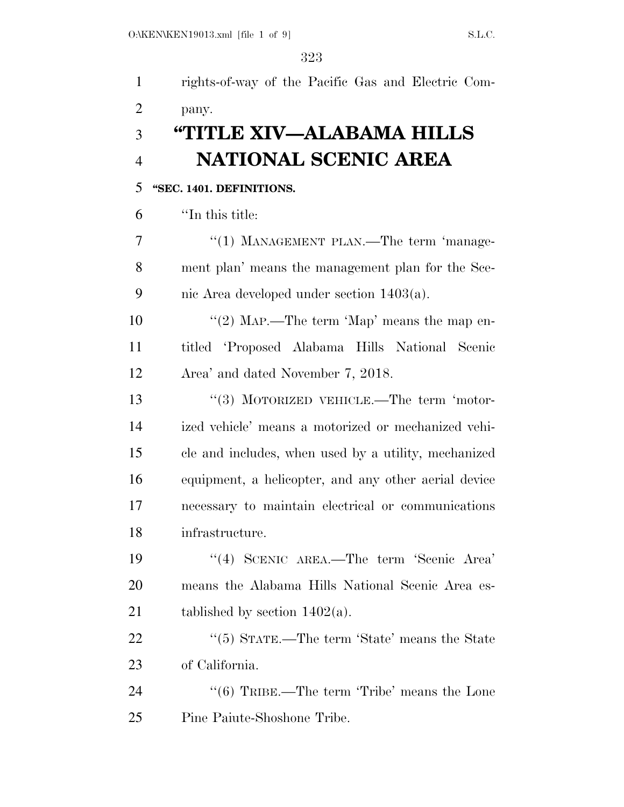| $\mathbf{1}$   | rights-of-way of the Pacific Gas and Electric Com-      |
|----------------|---------------------------------------------------------|
| $\overline{2}$ | pany.                                                   |
| 3              | "TITLE XIV—ALABAMA HILLS                                |
| $\overline{4}$ | NATIONAL SCENIC AREA                                    |
| 5              | "SEC. 1401. DEFINITIONS.                                |
| 6              | "In this title:                                         |
| 7              | "(1) MANAGEMENT PLAN.—The term 'manage-                 |
| 8              | ment plan' means the management plan for the Sce-       |
| 9              | nic Area developed under section $1403(a)$ .            |
| 10             | "(2) MAP.—The term 'Map' means the map en-              |
| 11             | titled 'Proposed Alabama Hills National Scenic          |
| 12             | Area' and dated November 7, 2018.                       |
| 13             | $\lq(3)$ MOTORIZED VEHICLE.—The term 'motor-            |
| 14             | ized vehicle' means a motorized or mechanized vehi-     |
| 15             | cle and includes, when used by a utility, mechanized    |
| 16             | equipment, a helicopter, and any other aerial device    |
| 17             | necessary to maintain electrical or communications      |
| 18             | infrastructure.                                         |
| 19             | "(4) SCENIC AREA.—The term 'Scenic Area'                |
| 20             | means the Alabama Hills National Scenic Area es-        |
| 21             | tablished by section $1402(a)$ .                        |
| 22             | " $(5)$ STATE.—The term 'State' means the State         |
| 23             | of California.                                          |
| 24             | $\cdot\cdot$ (6) TRIBE.—The term 'Tribe' means the Lone |
| 25             | Pine Paiute-Shoshone Tribe.                             |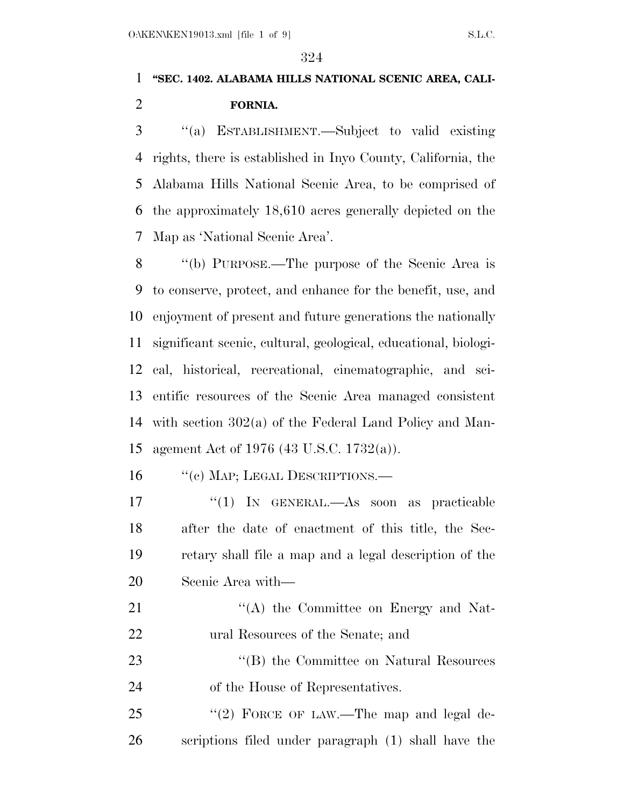# **''SEC. 1402. ALABAMA HILLS NATIONAL SCENIC AREA, CALI-FORNIA.**

 ''(a) ESTABLISHMENT.—Subject to valid existing rights, there is established in Inyo County, California, the Alabama Hills National Scenic Area, to be comprised of the approximately 18,610 acres generally depicted on the Map as 'National Scenic Area'.

 ''(b) PURPOSE.—The purpose of the Scenic Area is to conserve, protect, and enhance for the benefit, use, and enjoyment of present and future generations the nationally significant scenic, cultural, geological, educational, biologi- cal, historical, recreational, cinematographic, and sci- entific resources of the Scenic Area managed consistent with section 302(a) of the Federal Land Policy and Man-agement Act of 1976 (43 U.S.C. 1732(a)).

16 "(c) MAP; LEGAL DESCRIPTIONS.—

 ''(1) IN GENERAL.—As soon as practicable after the date of enactment of this title, the Sec- retary shall file a map and a legal description of the Scenic Area with—

21 ''(A) the Committee on Energy and Nat-ural Resources of the Senate; and

23 "'(B) the Committee on Natural Resources of the House of Representatives.

25 "(2) FORCE OF LAW.—The map and legal de-scriptions filed under paragraph (1) shall have the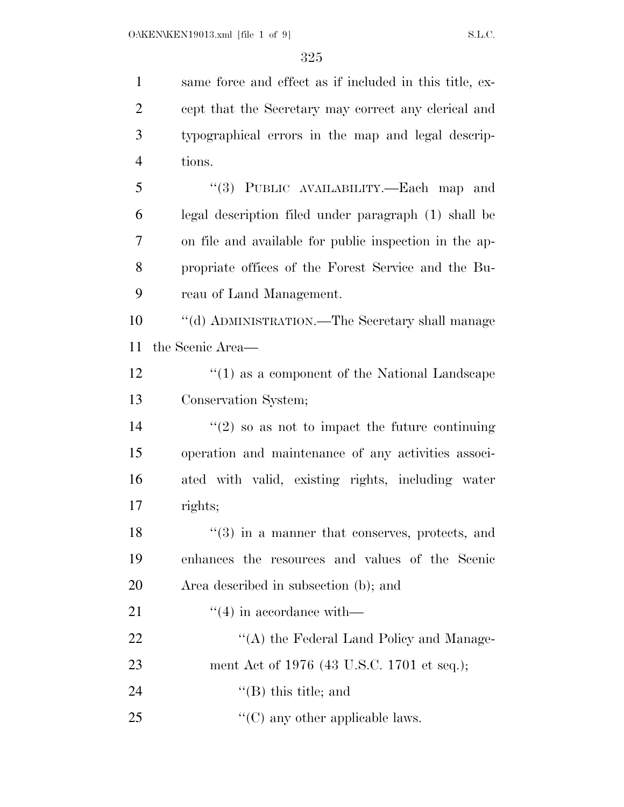same force and effect as if included in this title, ex-

 cept that the Secretary may correct any clerical and typographical errors in the map and legal descrip- tions. ''(3) PUBLIC AVAILABILITY.—Each map and legal description filed under paragraph (1) shall be on file and available for public inspection in the ap- propriate offices of the Forest Service and the Bu- reau of Land Management. ''(d) ADMINISTRATION.—The Secretary shall manage the Scenic Area— 12 ''(1) as a component of the National Landscape Conservation System;  $(2)$  so as not to impact the future continuing operation and maintenance of any activities associ- ated with valid, existing rights, including water rights; 18 ''(3) in a manner that conserves, protects, and enhances the resources and values of the Scenic Area described in subsection (b); and  $\frac{((4) \text{ in accordance with}}{}$ 22 "'(A) the Federal Land Policy and Manage- ment Act of 1976 (43 U.S.C. 1701 et seq.);  $"$ (B) this title; and  $\frac{1}{2}$  (C) any other applicable laws.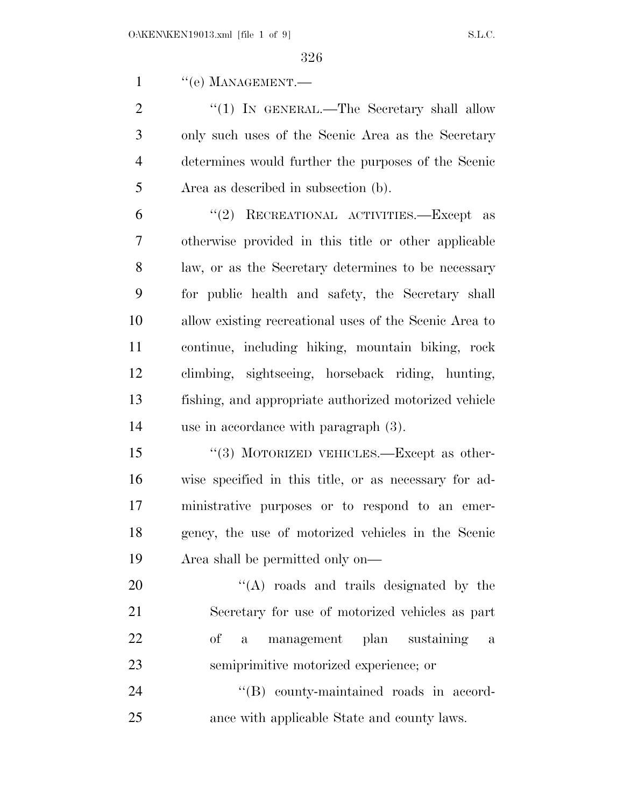1 " (e) MANAGEMENT.

2 "(1) IN GENERAL.—The Secretary shall allow only such uses of the Scenic Area as the Secretary determines would further the purposes of the Scenic Area as described in subsection (b).

 ''(2) RECREATIONAL ACTIVITIES.—Except as otherwise provided in this title or other applicable law, or as the Secretary determines to be necessary for public health and safety, the Secretary shall allow existing recreational uses of the Scenic Area to continue, including hiking, mountain biking, rock climbing, sightseeing, horseback riding, hunting, fishing, and appropriate authorized motorized vehicle use in accordance with paragraph (3).

15 "(3) MOTORIZED VEHICLES.—Except as other- wise specified in this title, or as necessary for ad- ministrative purposes or to respond to an emer- gency, the use of motorized vehicles in the Scenic Area shall be permitted only on—

20 "'(A) roads and trails designated by the Secretary for use of motorized vehicles as part of a management plan sustaining a semiprimitive motorized experience; or

24  $\text{``(B)}$  county-maintained roads in accord-ance with applicable State and county laws.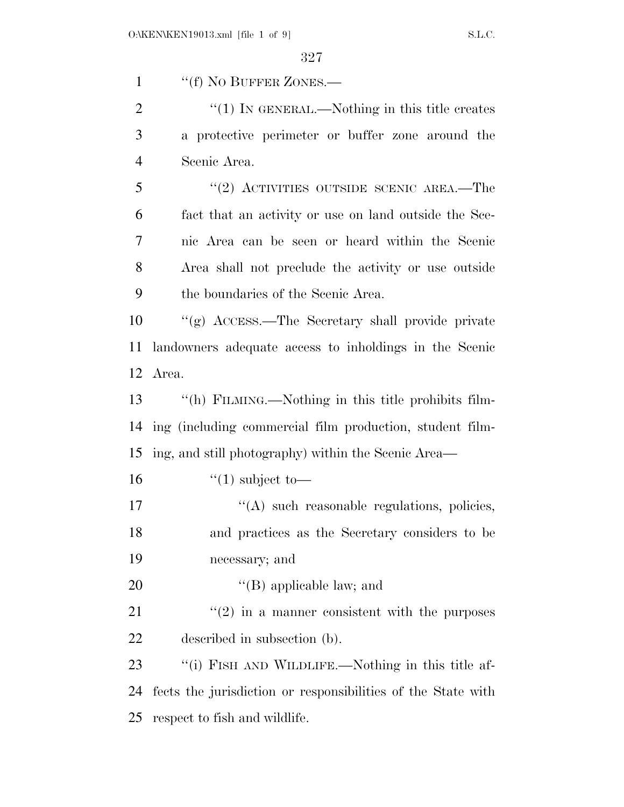1 "(f) No BUFFER ZONES.—

2  $\frac{1}{2}$   $\frac{1}{2}$  IN GENERAL.—Nothing in this title creates a protective perimeter or buffer zone around the Scenic Area.

5 "(2) ACTIVITIES OUTSIDE SCENIC AREA.—The fact that an activity or use on land outside the Sce- nic Area can be seen or heard within the Scenic Area shall not preclude the activity or use outside the boundaries of the Scenic Area.

 ''(g) ACCESS.—The Secretary shall provide private landowners adequate access to inholdings in the Scenic Area.

 ''(h) FILMING.—Nothing in this title prohibits film- ing (including commercial film production, student film-ing, and still photography) within the Scenic Area—

16  $\frac{16}{10}$  subject to —

17  $\langle (A) \rangle$  such reasonable regulations, policies, and practices as the Secretary considers to be necessary; and

20  $'(B)$  applicable law; and

21  $(2)$  in a manner consistent with the purposes described in subsection (b).

23 "(i) FISH AND WILDLIFE.—Nothing in this title af- fects the jurisdiction or responsibilities of the State with respect to fish and wildlife.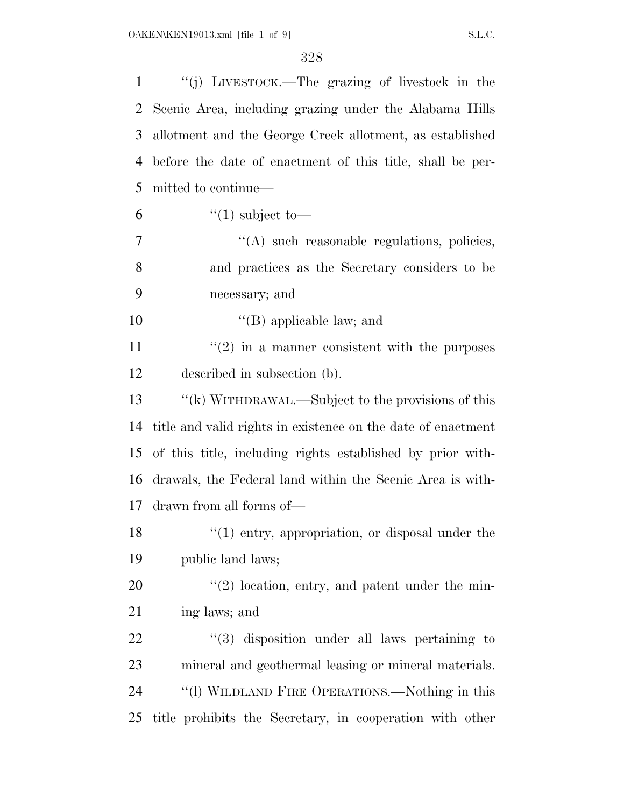| $\mathbf{1}$ | "(j) LIVESTOCK.—The grazing of livestock in the              |
|--------------|--------------------------------------------------------------|
| 2            | Scenic Area, including grazing under the Alabama Hills       |
| 3            | allotment and the George Creek allotment, as established     |
| 4            | before the date of enactment of this title, shall be per-    |
| 5            | mitted to continue—                                          |
| 6            | $\lq(1)$ subject to —                                        |
| 7            | "(A) such reasonable regulations, policies,                  |
| 8            | and practices as the Secretary considers to be               |
| 9            | necessary; and                                               |
| 10           | $\lq\lq$ (B) applicable law; and                             |
| 11           | $\cdot\cdot(2)$ in a manner consistent with the purposes     |
| 12           | described in subsection (b).                                 |
| 13           | "(k) WITHDRAWAL.—Subject to the provisions of this           |
| 14           | title and valid rights in existence on the date of enactment |
| 15           | of this title, including rights established by prior with-   |
| 16           | drawals, the Federal land within the Scenic Area is with-    |
| 17           | drawn from all forms of—                                     |
| 18           | $\lq(1)$ entry, appropriation, or disposal under the         |
| 19           | public land laws;                                            |
| 20           | $\lq(2)$ location, entry, and patent under the min-          |
| 21           | ing laws; and                                                |
| 22           | $(3)$ disposition under all laws pertaining to               |
| 23           | mineral and geothermal leasing or mineral materials.         |
| 24           | "(1) WILDLAND FIRE OPERATIONS.—Nothing in this               |
| 25           | title prohibits the Secretary, in cooperation with other     |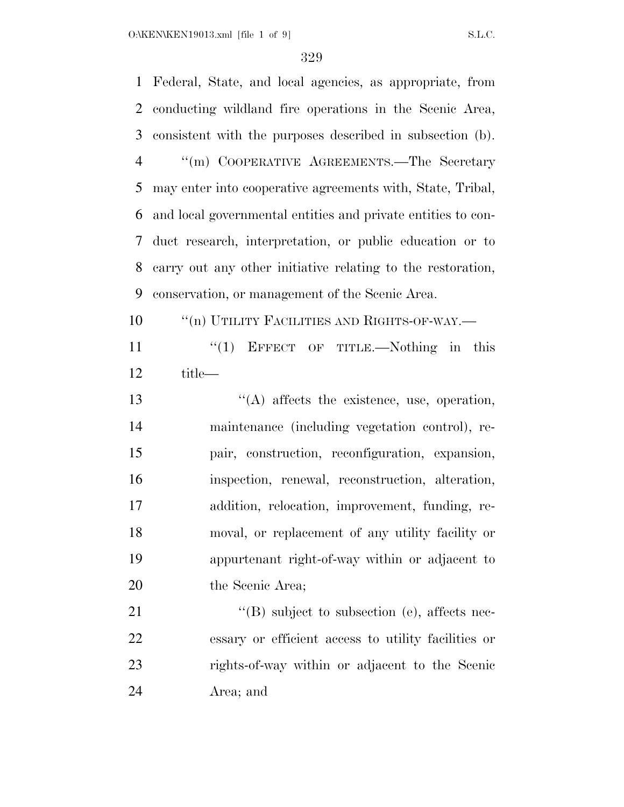Federal, State, and local agencies, as appropriate, from conducting wildland fire operations in the Scenic Area, consistent with the purposes described in subsection (b). ''(m) COOPERATIVE AGREEMENTS.—The Secretary may enter into cooperative agreements with, State, Tribal, and local governmental entities and private entities to con- duct research, interpretation, or public education or to carry out any other initiative relating to the restoration, conservation, or management of the Scenic Area.  $\qquad$  "(n) UTILITY FACILITIES AND RIGHTS-OF-WAY.—

 ''(1) EFFECT OF TITLE.—Nothing in this title—

 ''(A) affects the existence, use, operation, maintenance (including vegetation control), re- pair, construction, reconfiguration, expansion, inspection, renewal, reconstruction, alteration, addition, relocation, improvement, funding, re- moval, or replacement of any utility facility or appurtenant right-of-way within or adjacent to 20 the Scenic Area;

 $\text{``(B) subject to subsection (e), affects nec-}$  essary or efficient access to utility facilities or rights-of-way within or adjacent to the Scenic Area; and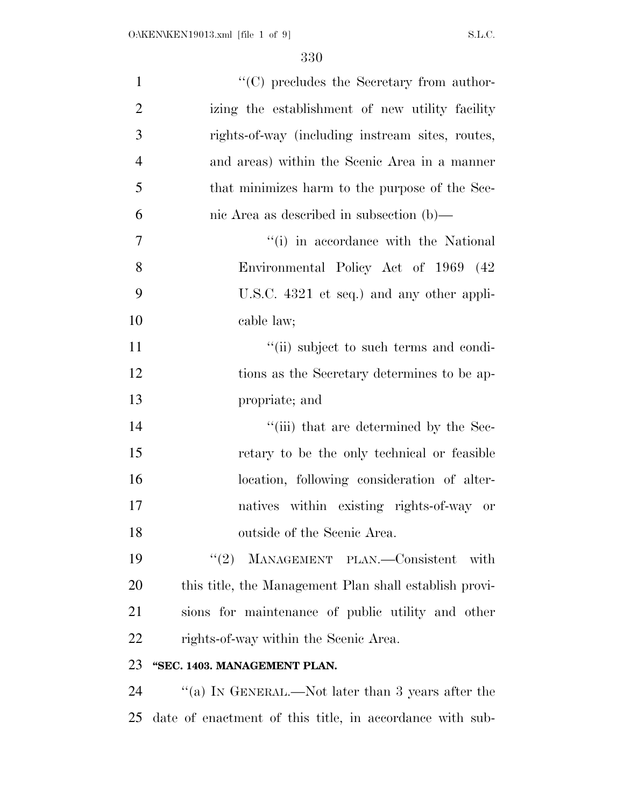| $\mathbf{1}$   | "(C) precludes the Secretary from author-              |
|----------------|--------------------------------------------------------|
| $\overline{2}$ | izing the establishment of new utility facility        |
| 3              | rights-of-way (including instream sites, routes,       |
| $\overline{4}$ | and areas) within the Scenic Area in a manner          |
| 5              | that minimizes harm to the purpose of the Sce-         |
| 6              | nic Area as described in subsection $(b)$ —            |
| $\overline{7}$ | "(i) in accordance with the National                   |
| 8              | Environmental Policy Act of 1969 (42)                  |
| 9              | U.S.C. 4321 et seq.) and any other appli-              |
| 10             | cable law;                                             |
| 11             | "(ii) subject to such terms and condi-                 |
| 12             | tions as the Secretary determines to be ap-            |
| 13             | propriate; and                                         |
| 14             | "(iii) that are determined by the Sec-                 |
| 15             | retary to be the only technical or feasible            |
| 16             | location, following consideration of alter-            |
| 17             | natives within existing rights-of-way or               |
| 18             | outside of the Scenic Area.                            |
| 19             | "(2) MANAGEMENT PLAN.—Consistent<br>with               |
| 20             | this title, the Management Plan shall establish provi- |
| 21             | sions for maintenance of public utility and other      |
| 22             | rights-of-way within the Scenic Area.                  |
| 23             | "SEC. 1403. MANAGEMENT PLAN.                           |
|                |                                                        |

24 ''(a) IN GENERAL.—Not later than 3 years after the date of enactment of this title, in accordance with sub-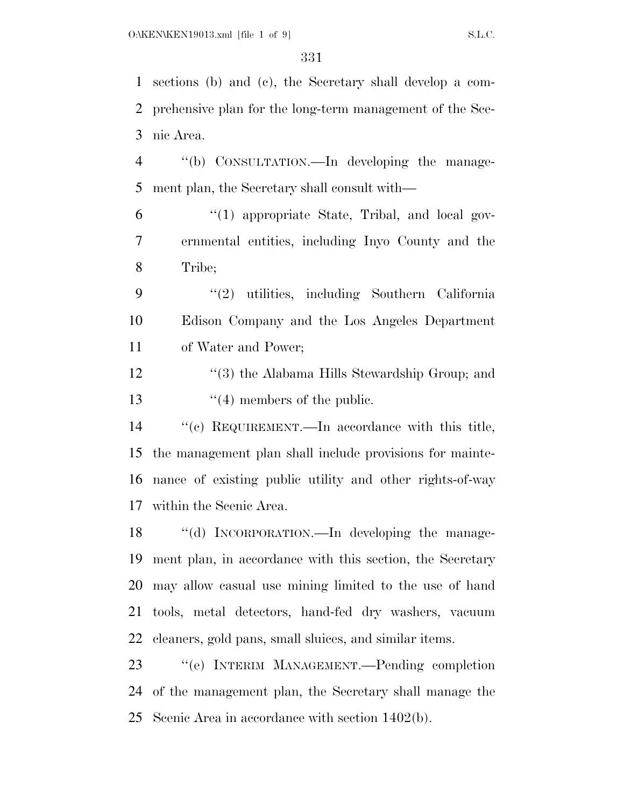sections (b) and (c), the Secretary shall develop a com- prehensive plan for the long-term management of the Sce-nic Area.

 ''(b) CONSULTATION.—In developing the manage-ment plan, the Secretary shall consult with—

 ''(1) appropriate State, Tribal, and local gov- ernmental entities, including Inyo County and the Tribe;

 ''(2) utilities, including Southern California Edison Company and the Los Angeles Department of Water and Power;

12 ''(3) the Alabama Hills Stewardship Group; and 13 ''(4) members of the public.

 ''(c) REQUIREMENT.—In accordance with this title, the management plan shall include provisions for mainte- nance of existing public utility and other rights-of-way within the Scenic Area.

 ''(d) INCORPORATION.—In developing the manage- ment plan, in accordance with this section, the Secretary may allow casual use mining limited to the use of hand tools, metal detectors, hand-fed dry washers, vacuum cleaners, gold pans, small sluices, and similar items.

 ''(e) INTERIM MANAGEMENT.—Pending completion of the management plan, the Secretary shall manage the Scenic Area in accordance with section 1402(b).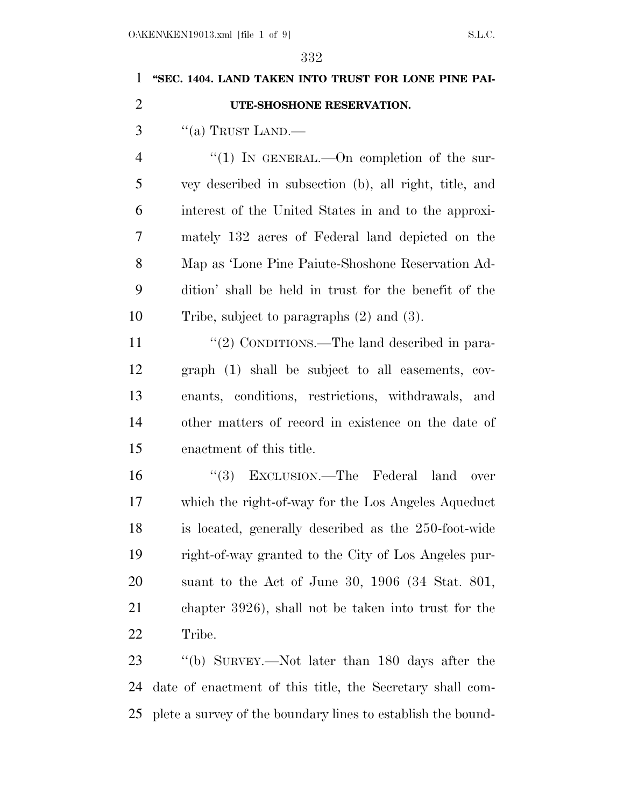# **''SEC. 1404. LAND TAKEN INTO TRUST FOR LONE PINE PAI- UTE-SHOSHONE RESERVATION.**  "(a) TRUST LAND.— 4 "(1) IN GENERAL.—On completion of the sur- vey described in subsection (b), all right, title, and interest of the United States in and to the approxi- mately 132 acres of Federal land depicted on the Map as 'Lone Pine Paiute-Shoshone Reservation Ad- dition' shall be held in trust for the benefit of the Tribe, subject to paragraphs (2) and (3). 11  $\frac{1}{2}$  CONDITIONS.—The land described in para- graph (1) shall be subject to all easements, cov- enants, conditions, restrictions, withdrawals, and other matters of record in existence on the date of enactment of this title. ''(3) EXCLUSION.—The Federal land over which the right-of-way for the Los Angeles Aqueduct is located, generally described as the 250-foot-wide right-of-way granted to the City of Los Angeles pur- suant to the Act of June 30, 1906 (34 Stat. 801, chapter 3926), shall not be taken into trust for the Tribe. ''(b) SURVEY.—Not later than 180 days after the

 date of enactment of this title, the Secretary shall com-plete a survey of the boundary lines to establish the bound-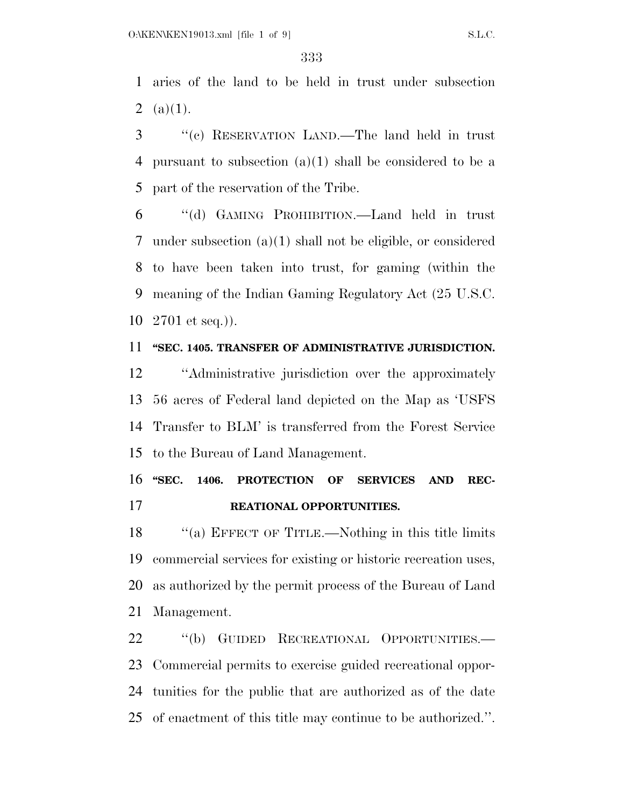aries of the land to be held in trust under subsection 2  $(a)(1)$ .

 ''(c) RESERVATION LAND.—The land held in trust pursuant to subsection (a)(1) shall be considered to be a part of the reservation of the Tribe.

 ''(d) GAMING PROHIBITION.—Land held in trust under subsection (a)(1) shall not be eligible, or considered to have been taken into trust, for gaming (within the meaning of the Indian Gaming Regulatory Act (25 U.S.C. 2701 et seq.)).

#### **''SEC. 1405. TRANSFER OF ADMINISTRATIVE JURISDICTION.**

 ''Administrative jurisdiction over the approximately 56 acres of Federal land depicted on the Map as 'USFS Transfer to BLM' is transferred from the Forest Service to the Bureau of Land Management.

### 16 "SEC. 1406. PROTECTION OF SERVICES AND REC-**REATIONAL OPPORTUNITIES.**

18 "(a) EFFECT OF TITLE.—Nothing in this title limits commercial services for existing or historic recreation uses, as authorized by the permit process of the Bureau of Land Management.

22 "(b) GUIDED RECREATIONAL OPPORTUNITIES.— Commercial permits to exercise guided recreational oppor- tunities for the public that are authorized as of the date of enactment of this title may continue to be authorized.''.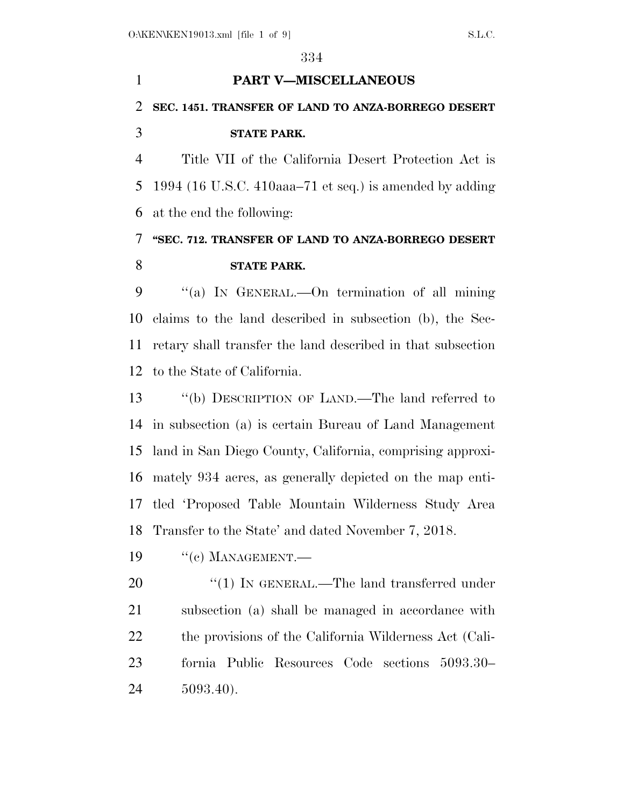# **PART V—MISCELLANEOUS SEC. 1451. TRANSFER OF LAND TO ANZA-BORREGO DESERT STATE PARK.**

 Title VII of the California Desert Protection Act is 1994 (16 U.S.C. 410aaa–71 et seq.) is amended by adding at the end the following:

### **''SEC. 712. TRANSFER OF LAND TO ANZA-BORREGO DESERT STATE PARK.**

 ''(a) IN GENERAL.—On termination of all mining claims to the land described in subsection (b), the Sec- retary shall transfer the land described in that subsection to the State of California.

 ''(b) DESCRIPTION OF LAND.—The land referred to in subsection (a) is certain Bureau of Land Management land in San Diego County, California, comprising approxi- mately 934 acres, as generally depicted on the map enti- tled 'Proposed Table Mountain Wilderness Study Area Transfer to the State' and dated November 7, 2018.

19 "(c) MANAGEMENT.—

20 "(1) IN GENERAL.—The land transferred under subsection (a) shall be managed in accordance with 22 the provisions of the California Wilderness Act (Cali- fornia Public Resources Code sections 5093.30– 5093.40).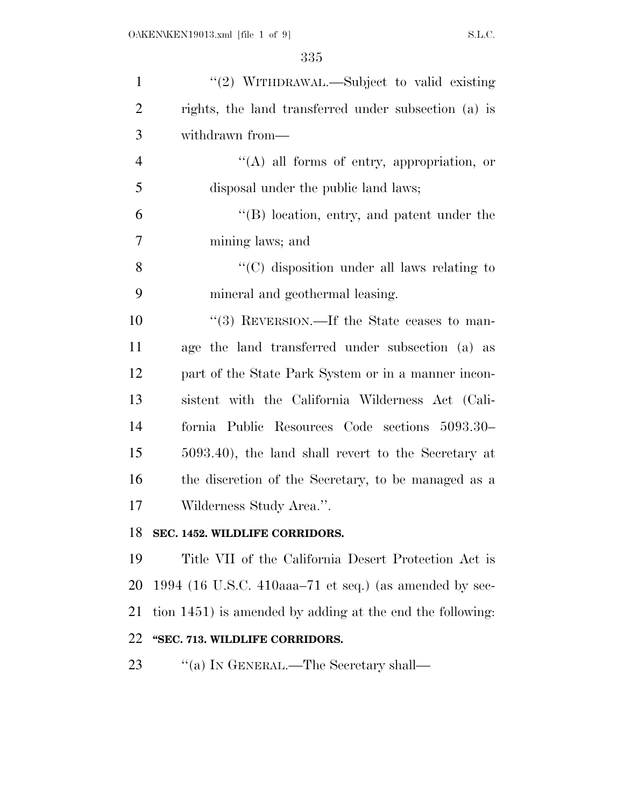| $\mathbf{1}$   | "(2) WITHDRAWAL.—Subject to valid existing                |
|----------------|-----------------------------------------------------------|
| $\overline{2}$ | rights, the land transferred under subsection (a) is      |
| 3              | withdrawn from—                                           |
| $\overline{4}$ | $\lq\lq(A)$ all forms of entry, appropriation, or         |
| 5              | disposal under the public land laws;                      |
| 6              | $\lq\lq$ (B) location, entry, and patent under the        |
| 7              | mining laws; and                                          |
| 8              | "(C) disposition under all laws relating to               |
| 9              | mineral and geothermal leasing.                           |
| 10             | "(3) REVERSION.—If the State ceases to man-               |
| 11             | age the land transferred under subsection (a) as          |
| 12             | part of the State Park System or in a manner incon-       |
| 13             | sistent with the California Wilderness Act (Cali-         |
| 14             | fornia Public Resources Code sections 5093.30–            |
| 15             | 5093.40), the land shall revert to the Secretary at       |
| 16             | the discretion of the Secretary, to be managed as a       |
| 17             | Wilderness Study Area.".                                  |
| 18             | SEC. 1452. WILDLIFE CORRIDORS.                            |
| 19             | Title VII of the California Desert Protection Act is      |
| 20             | 1994 (16 U.S.C. 410aaa–71 et seq.) (as amended by sec-    |
| 21             | tion 1451) is amended by adding at the end the following: |
| 22             | "SEC. 713. WILDLIFE CORRIDORS.                            |
| 23             | "(a) IN GENERAL.—The Secretary shall—                     |
|                |                                                           |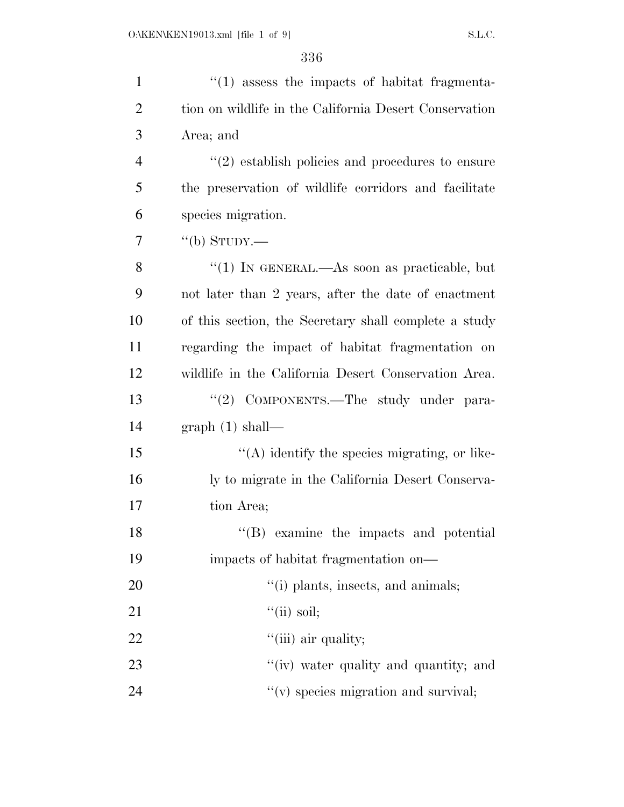| $\mathbf{1}$   | $\cdot$ (1) assess the impacts of habitat fragmenta-        |
|----------------|-------------------------------------------------------------|
| $\overline{2}$ | tion on wildlife in the California Desert Conservation      |
| 3              | Area; and                                                   |
| $\overline{4}$ | $\cdot\cdot(2)$ establish policies and procedures to ensure |
| 5              | the preservation of wildlife corridors and facilitate       |
| 6              | species migration.                                          |
| 7              | "(b) STUDY.—                                                |
| 8              | "(1) IN GENERAL.—As soon as practicable, but                |
| 9              | not later than 2 years, after the date of enactment         |
| 10             | of this section, the Secretary shall complete a study       |
| 11             | regarding the impact of habitat fragmentation on            |
| 12             | wildlife in the California Desert Conservation Area.        |
| 13             | "(2) COMPONENTS.—The study under para-                      |
| 14             | graph(1) shall—                                             |
| 15             | "(A) identify the species migrating, or like-               |
| 16             | ly to migrate in the California Desert Conserva-            |
| 17             | tion Area;                                                  |
| 18             | "(B) examine the impacts and potential                      |
| 19             | impacts of habitat fragmentation on—                        |
| 20             | "(i) plants, insects, and animals;                          |
| 21             | $``(ii)$ soil;                                              |
| 22             | "(iii) air quality;                                         |
| 23             | "(iv) water quality and quantity; and                       |
| 24             | "(v) species migration and survival;                        |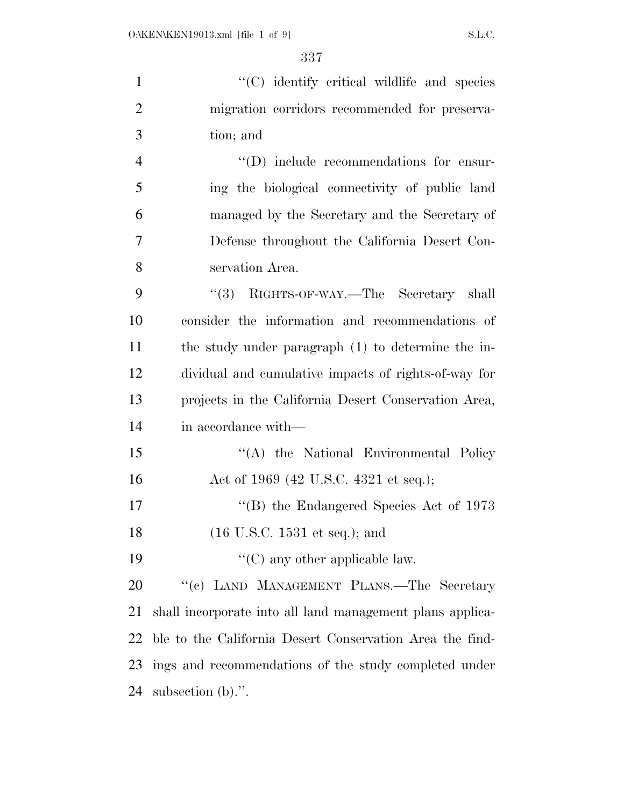| $\mathbf{1}$   | "(C) identify critical wildlife and species                 |
|----------------|-------------------------------------------------------------|
| $\overline{2}$ | migration corridors recommended for preserva-               |
| 3              | tion; and                                                   |
| $\overline{4}$ | "(D) include recommendations for ensur-                     |
| 5              | ing the biological connectivity of public land              |
| 6              | managed by the Secretary and the Secretary of               |
| 7              | Defense throughout the California Desert Con-               |
| 8              | servation Area.                                             |
| 9              | "(3) RIGHTS-OF-WAY.—The Secretary shall                     |
| 10             | consider the information and recommendations of             |
| 11             | the study under paragraph (1) to determine the in-          |
| 12             | dividual and cumulative impacts of rights-of-way for        |
| 13             | projects in the California Desert Conservation Area,        |
| 14             | in accordance with—                                         |
| 15             | "(A) the National Environmental Policy                      |
| 16             | Act of 1969 (42 U.S.C. 4321 et seq.);                       |
| 17             | $\rm ^{\prime\prime}(B)$ the Endangered Species Act of 1973 |
| 18             | $(16 \text{ U.S.C. } 1531 \text{ et seq.});$ and            |
| 19             | $\lq\lq$ (C) any other applicable law.                      |
| 20             | "(c) LAND MANAGEMENT PLANS.—The Secretary                   |
| 21             | shall incorporate into all land management plans applica-   |
| 22             | ble to the California Desert Conservation Area the find-    |
| 23             | ings and recommendations of the study completed under       |
| 24             | subsection $(b)$ .".                                        |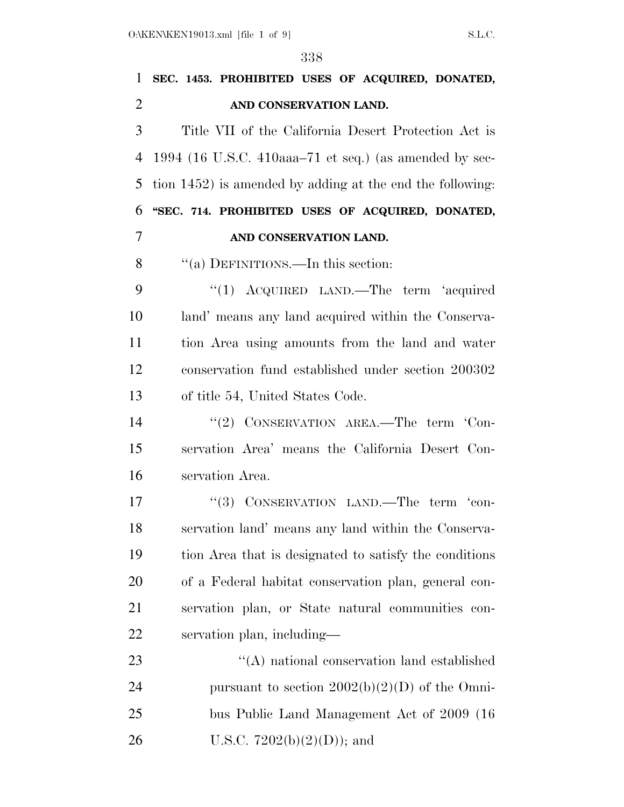| $\mathbf{1}$   | SEC. 1453. PROHIBITED USES OF ACQUIRED, DONATED,          |
|----------------|-----------------------------------------------------------|
| $\overline{2}$ | AND CONSERVATION LAND.                                    |
| 3              | Title VII of the California Desert Protection Act is      |
| $\overline{4}$ | 1994 (16 U.S.C. 410aaa–71 et seq.) (as amended by sec-    |
| 5              | tion 1452) is amended by adding at the end the following: |
| 6              | "SEC. 714. PROHIBITED USES OF ACQUIRED, DONATED,          |
| 7              | AND CONSERVATION LAND.                                    |
| 8              | "(a) DEFINITIONS.—In this section:                        |
| 9              | "(1) ACQUIRED LAND.—The term 'acquired                    |
| 10             | land' means any land acquired within the Conserva-        |
| 11             | tion Area using amounts from the land and water           |
| 12             | conservation fund established under section 200302        |
| 13             | of title 54, United States Code.                          |
| 14             | "(2) CONSERVATION AREA.—The term 'Con-                    |
| 15             | servation Area' means the California Desert Con-          |
| 16             | servation Area.                                           |
| 17             | "(3) CONSERVATION LAND.—The term 'con-                    |
| 18             | servation land' means any land within the Conserva-       |
| 19             | tion Area that is designated to satisfy the conditions    |
| 20             | of a Federal habitat conservation plan, general con-      |
| 21             | servation plan, or State natural communities con-         |
| 22             | servation plan, including—                                |
| 23             | "(A) national conservation land established               |
| 24             | pursuant to section $2002(b)(2)(D)$ of the Omni-          |
| 25             | bus Public Land Management Act of 2009 (16                |
| 26             | U.S.C. $7202(b)(2)(D)$ ; and                              |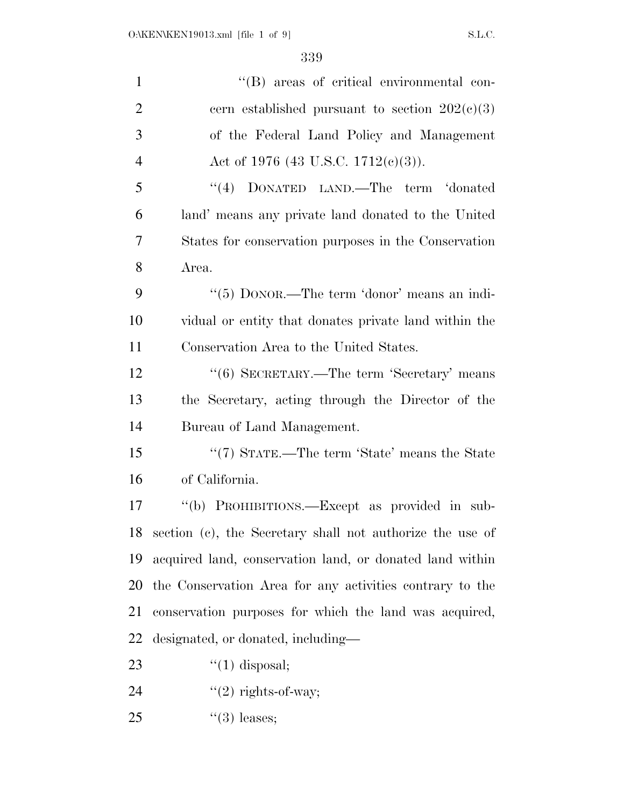| $\mathbf{1}$   | "(B) areas of critical environmental con-                 |
|----------------|-----------------------------------------------------------|
| $\overline{2}$ | cern established pursuant to section $202(c)(3)$          |
| 3              | of the Federal Land Policy and Management                 |
| $\overline{4}$ | Act of 1976 (43 U.S.C. 1712(c)(3)).                       |
| 5              | "(4) DONATED LAND.—The term 'donated                      |
| 6              | land' means any private land donated to the United        |
| 7              | States for conservation purposes in the Conservation      |
| 8              | Area.                                                     |
| 9              | " $(5)$ DONOR.—The term 'donor' means an indi-            |
| 10             | vidual or entity that donates private land within the     |
| 11             | Conservation Area to the United States.                   |
| 12             | "(6) SECRETARY.—The term 'Secretary' means                |
| 13             | the Secretary, acting through the Director of the         |
| 14             | Bureau of Land Management.                                |
| 15             | "(7) STATE.—The term 'State' means the State              |
| 16             | of California.                                            |
| 17             | "(b) PROHIBITIONS.—Except as provided in sub-             |
| 18             | section (c), the Secretary shall not authorize the use of |
| 19             | acquired land, conservation land, or donated land within  |
| 20             | the Conservation Area for any activities contrary to the  |
| 21             | conservation purposes for which the land was acquired,    |
| 22             | designated, or donated, including—                        |
| 23             | $\lq(1)$ disposal;                                        |
| 24             | $"(2)$ rights-of-way;                                     |
| 25             | $\lq(3)$ leases;                                          |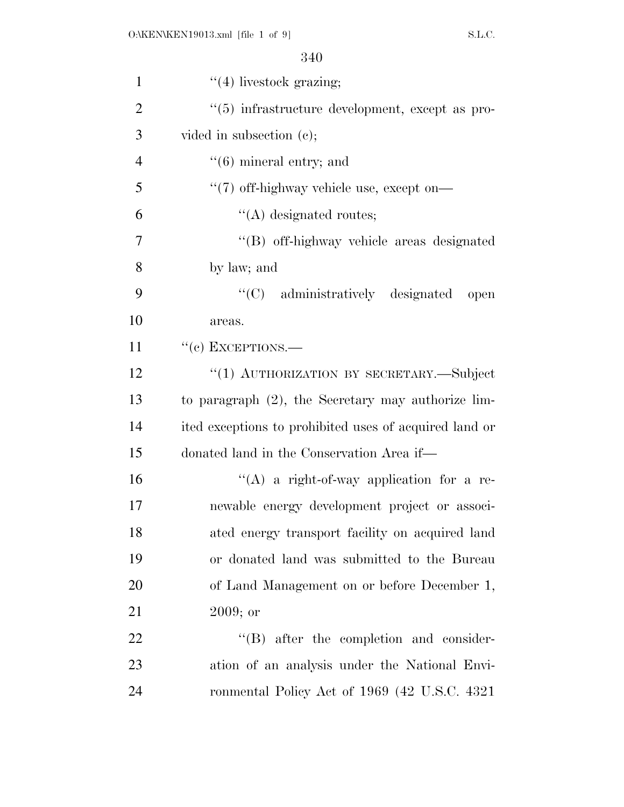| $\mathbf{1}$   | $\lq(4)$ livestock grazing;                            |
|----------------|--------------------------------------------------------|
| $\overline{2}$ | "(5) infrastructure development, except as pro-        |
| 3              | vided in subsection $(e)$ ;                            |
| $\overline{4}$ | $\cdot\cdot$ (6) mineral entry; and                    |
| 5              | $\lq(7)$ off-highway vehicle use, except on—           |
| 6              | $\lq\lq$ designated routes;                            |
| 7              | "(B) off-highway vehicle areas designated              |
| 8              | by law; and                                            |
| 9              | "(C) administratively designated<br>open               |
| 10             | areas.                                                 |
| 11             | $``$ (c) EXCEPTIONS.—                                  |
| 12             | "(1) AUTHORIZATION BY SECRETARY.-Subject               |
| 13             | to paragraph (2), the Secretary may authorize lim-     |
| 14             | ited exceptions to prohibited uses of acquired land or |
| 15             | donated land in the Conservation Area if—              |
| 16             | "(A) a right-of-way application for a re-              |
| 17             | newable energy development project or associ-          |
| 18             | ated energy transport facility on acquired land        |
| 19             | or donated land was submitted to the Bureau            |
| 20             | of Land Management on or before December 1,            |
| 21             | 2009; or                                               |
| 22             | "(B) after the completion and consider-                |
| 23             | ation of an analysis under the National Envi-          |
| 24             | ronmental Policy Act of 1969 (42 U.S.C. 4321)          |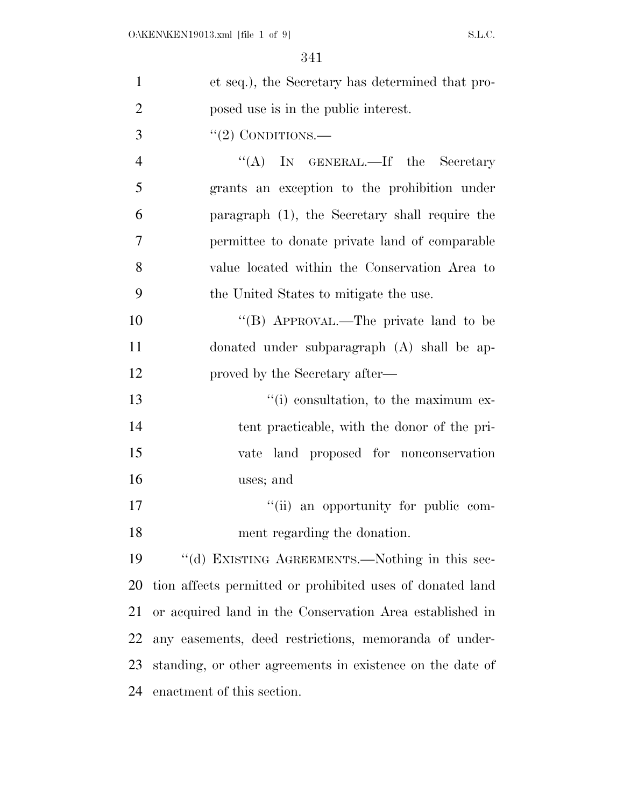| $\mathbf{1}$   | et seq.), the Secretary has determined that pro-          |
|----------------|-----------------------------------------------------------|
| $\overline{2}$ | posed use is in the public interest.                      |
| 3              | $\lq(2)$ CONDITIONS.—                                     |
| 4              | "(A) IN GENERAL.—If the Secretary                         |
| 5              | grants an exception to the prohibition under              |
| 6              | paragraph (1), the Secretary shall require the            |
| $\overline{7}$ | permittee to donate private land of comparable            |
| 8              | value located within the Conservation Area to             |
| 9              | the United States to mitigate the use.                    |
| 10             | "(B) APPROVAL.—The private land to be                     |
| 11             | donated under subparagraph (A) shall be ap-               |
| 12             | proved by the Secretary after—                            |
| 13             | "(i) consultation, to the maximum ex-                     |
| 14             | tent practicable, with the donor of the pri-              |
| 15             | vate land proposed for nonconservation                    |
| 16             | uses; and                                                 |
| 17             | "(ii) an opportunity for public com-                      |
| 18             | ment regarding the donation.                              |
| 19             | "(d) EXISTING AGREEMENTS.—Nothing in this sec-            |
| <b>20</b>      | tion affects permitted or prohibited uses of donated land |
| 21             | or acquired land in the Conservation Area established in  |
| 22             | any easements, deed restrictions, memoranda of under-     |
| 23             | standing, or other agreements in existence on the date of |
| 24             | enactment of this section.                                |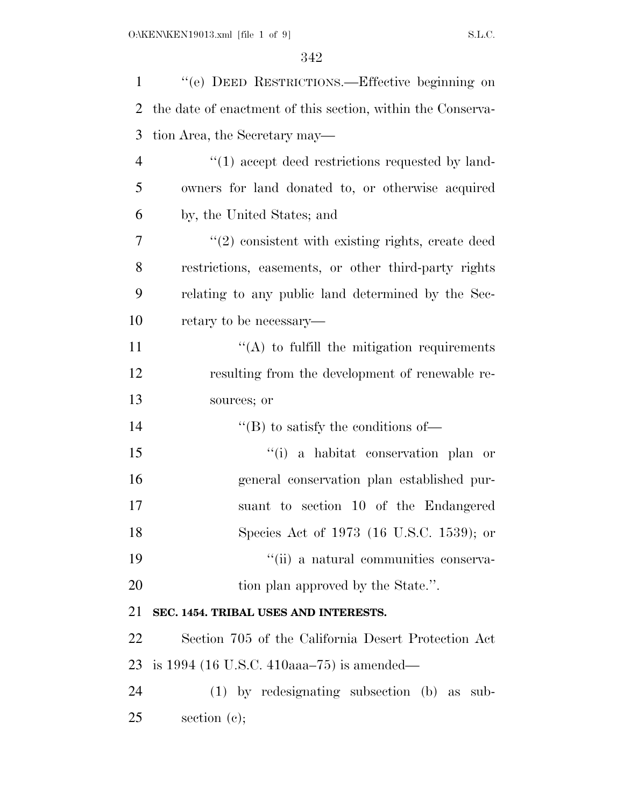| $\mathbf{1}$   | "(e) DEED RESTRICTIONS.—Effective beginning on              |
|----------------|-------------------------------------------------------------|
| $\overline{2}$ | the date of enactment of this section, within the Conserva- |
| 3              | tion Area, the Secretary may—                               |
| $\overline{4}$ | $\lq(1)$ accept deed restrictions requested by land-        |
| 5              | owners for land donated to, or otherwise acquired           |
| 6              | by, the United States; and                                  |
| 7              | $\lq(2)$ consistent with existing rights, create deed       |
| 8              | restrictions, easements, or other third-party rights        |
| 9              | relating to any public land determined by the Sec-          |
| 10             | retary to be necessary—                                     |
| 11             | $\lq\lq$ to fulfill the mitigation requirements             |
| 12             | resulting from the development of renewable re-             |
| 13             | sources; or                                                 |
| 14             | $\lq\lq$ to satisfy the conditions of —                     |
| 15             | "(i) a habitat conservation plan or                         |
| 16             | general conservation plan established pur-                  |
| 17             | suant to section 10 of the Endangered                       |
| 18             | Species Act of 1973 (16 U.S.C. 1539); or                    |
| 19             | "(ii) a natural communities conserva-                       |
| 20             | tion plan approved by the State.".                          |
| 21             | SEC. 1454. TRIBAL USES AND INTERESTS.                       |
| 22             | Section 705 of the California Desert Protection Act         |
| 23             | is $1994$ (16 U.S.C. 410aaa–75) is amended—                 |
| 24             | (1) by redesignating subsection (b) as sub-                 |
| 25             | section $(c)$ ;                                             |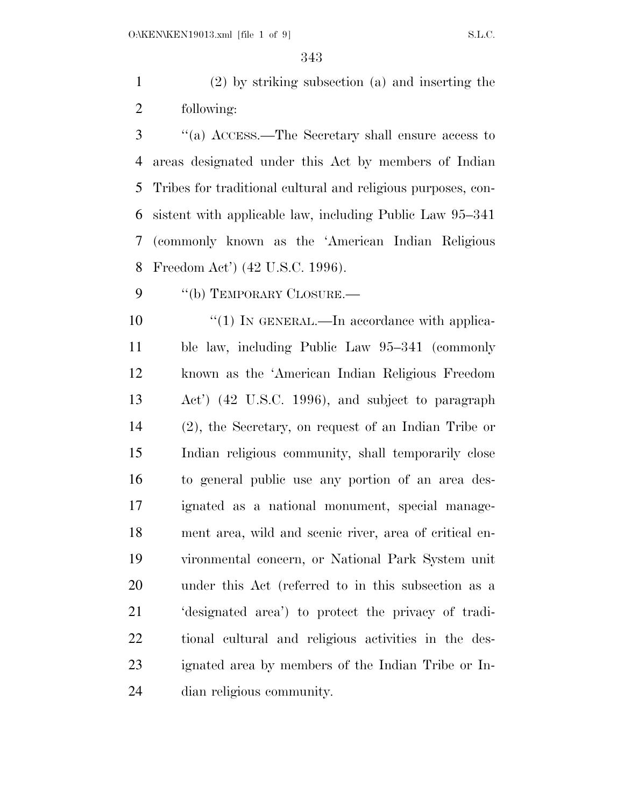(2) by striking subsection (a) and inserting the following:

 ''(a) ACCESS.—The Secretary shall ensure access to areas designated under this Act by members of Indian Tribes for traditional cultural and religious purposes, con- sistent with applicable law, including Public Law 95–341 (commonly known as the 'American Indian Religious Freedom Act') (42 U.S.C. 1996).

9 "(b) TEMPORARY CLOSURE.—

 $\frac{10}{10}$  <sup>''</sup>(1) In GENERAL.—In accordance with applica- ble law, including Public Law 95–341 (commonly known as the 'American Indian Religious Freedom Act') (42 U.S.C. 1996), and subject to paragraph (2), the Secretary, on request of an Indian Tribe or Indian religious community, shall temporarily close to general public use any portion of an area des- ignated as a national monument, special manage- ment area, wild and scenic river, area of critical en- vironmental concern, or National Park System unit under this Act (referred to in this subsection as a 'designated area') to protect the privacy of tradi- tional cultural and religious activities in the des- ignated area by members of the Indian Tribe or In-dian religious community.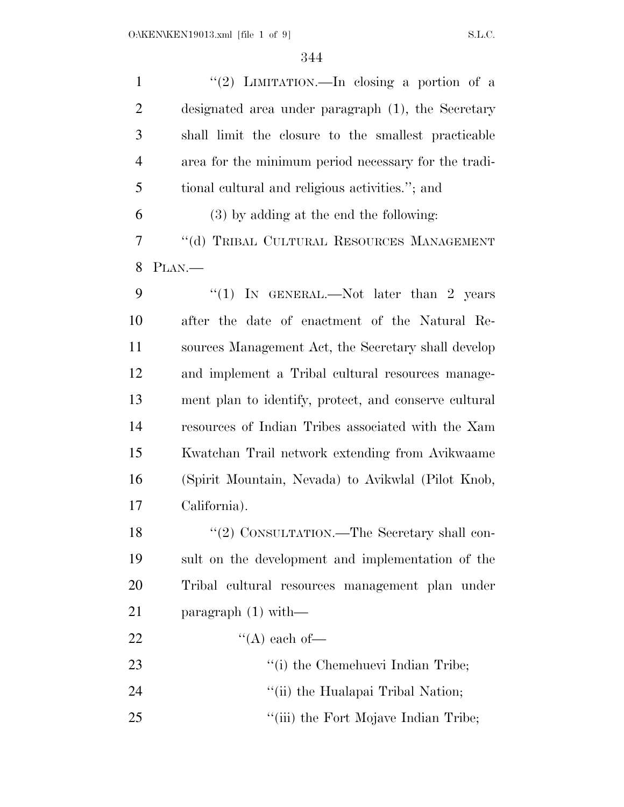| $\mathbf{1}$   | "(2) LIMITATION.—In closing a portion of a            |
|----------------|-------------------------------------------------------|
| $\overline{2}$ | designated area under paragraph (1), the Secretary    |
| 3              | shall limit the closure to the smallest practicable   |
| $\overline{4}$ | area for the minimum period necessary for the tradi-  |
| 5              | tional cultural and religious activities."; and       |
| 6              | (3) by adding at the end the following:               |
| $\overline{7}$ | "(d) TRIBAL CULTURAL RESOURCES MANAGEMENT             |
| 8              | PLAN.                                                 |
| 9              | "(1) IN GENERAL.—Not later than 2 years               |
| 10             | after the date of enactment of the Natural Re-        |
| 11             | sources Management Act, the Secretary shall develop   |
| 12             | and implement a Tribal cultural resources manage-     |
| 13             | ment plan to identify, protect, and conserve cultural |
| 14             | resources of Indian Tribes associated with the Xam    |
| 15             | Kwatchan Trail network extending from Avikwaame       |
| 16             | (Spirit Mountain, Nevada) to Avikwlal (Pilot Knob,    |
| 17             | California).                                          |
| 18             | "(2) CONSULTATION.—The Secretary shall con-           |
| 19             | sult on the development and implementation of the     |
| 20             | Tribal cultural resources management plan under       |
| 21             | paragraph $(1)$ with—                                 |
| 22             | "(A) each of-                                         |
| 23             | "(i) the Chemehuevi Indian Tribe;                     |
| 24             | "(ii) the Hualapai Tribal Nation;                     |
| 25             | "(iii) the Fort Mojave Indian Tribe;                  |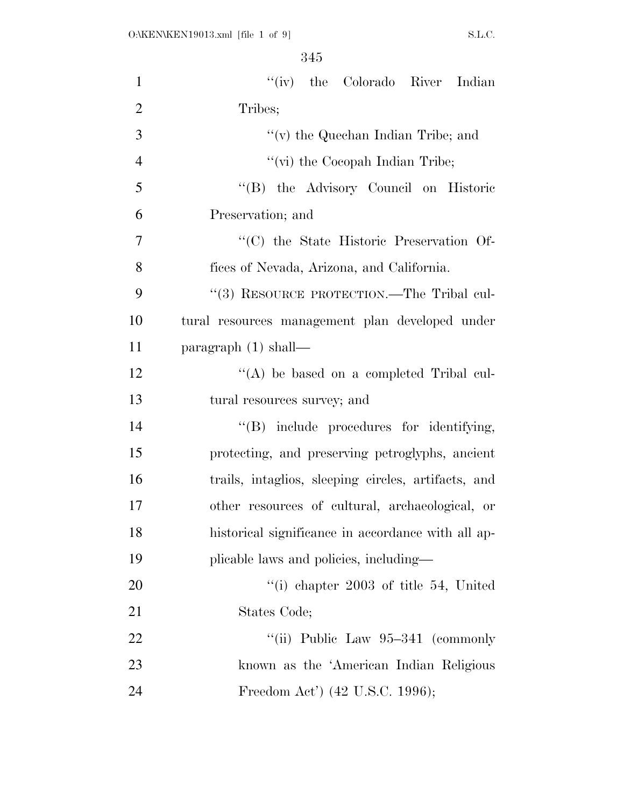| $\mathbf{1}$   | "(iv) the Colorado River Indian                     |
|----------------|-----------------------------------------------------|
| $\overline{2}$ | Tribes;                                             |
| 3              | " $(v)$ the Quechan Indian Tribe; and               |
| $\overline{4}$ | "(vi) the Cocopah Indian Tribe;                     |
| 5              | "(B) the Advisory Council on Historic               |
| 6              | Preservation; and                                   |
| $\overline{7}$ | "(C) the State Historic Preservation Of-            |
| 8              | fices of Nevada, Arizona, and California.           |
| 9              | "(3) RESOURCE PROTECTION.—The Tribal cul-           |
| 10             | tural resources management plan developed under     |
| 11             | paragraph $(1)$ shall—                              |
| 12             | $\lq\lq$ be based on a completed Tribal cul-        |
| 13             | tural resources survey; and                         |
| 14             | "(B) include procedures for identifying,            |
| 15             | protecting, and preserving petroglyphs, ancient     |
| 16             | trails, intaglios, sleeping circles, artifacts, and |
| 17             | other resources of cultural, archaeological, or     |
| 18             | historical significance in accordance with all ap-  |
| 19             | plicable laws and policies, including—              |
| 20             | "(i) chapter $2003$ of title 54, United             |
| 21             | States Code;                                        |
| 22             | "(ii) Public Law $95-341$ (commonly                 |
| 23             | known as the 'American Indian Religious             |
| 24             | Freedom Act') (42 U.S.C. 1996);                     |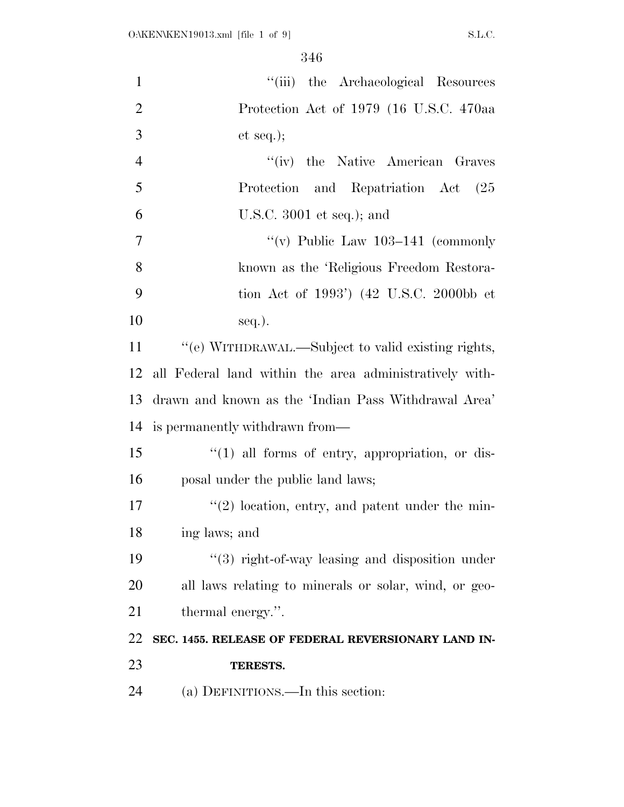| "(iii) the Archaeological Resources                         |
|-------------------------------------------------------------|
| Protection Act of 1979 (16 U.S.C. 470aa                     |
| et seq.);                                                   |
| "(iv) the Native American Graves                            |
| Protection and Repatriation Act (25                         |
| U.S.C. $3001$ et seq.); and                                 |
| "(v) Public Law $103-141$ (commonly                         |
| known as the 'Religious Freedom Restora-                    |
| tion Act of 1993') (42 U.S.C. 2000bb et                     |
| $seq.$ ).                                                   |
| "(e) WITHDRAWAL.—Subject to valid existing rights,          |
| all Federal land within the area administratively with-     |
| drawn and known as the 'Indian Pass Withdrawal Area'        |
| is permanently withdrawn from—                              |
| $\lq(1)$ all forms of entry, appropriation, or dis-         |
| posal under the public land laws;                           |
| $\lq(2)$ location, entry, and patent under the min-         |
| ing laws; and                                               |
| $\cdot\cdot$ (3) right-of-way leasing and disposition under |
| all laws relating to minerals or solar, wind, or geo-       |
| thermal energy.".                                           |
| SEC. 1455. RELEASE OF FEDERAL REVERSIONARY LAND IN-         |
| TERESTS.                                                    |
| (a) DEFINITIONS.—In this section:                           |
|                                                             |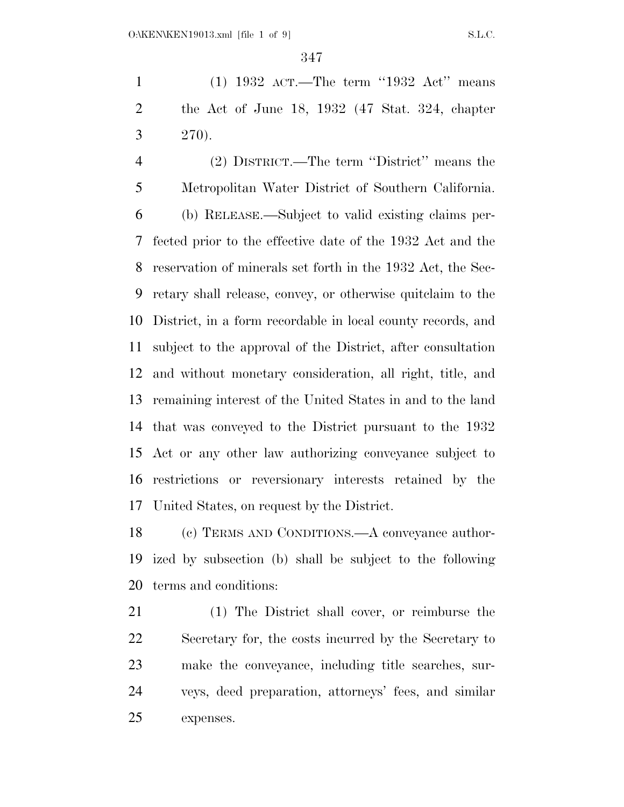(1) 1932 ACT.—The term ''1932 Act'' means the Act of June 18, 1932 (47 Stat. 324, chapter  $3 \t 270$ .

 (2) DISTRICT.—The term ''District'' means the Metropolitan Water District of Southern California. (b) RELEASE.—Subject to valid existing claims per- fected prior to the effective date of the 1932 Act and the reservation of minerals set forth in the 1932 Act, the Sec- retary shall release, convey, or otherwise quitclaim to the District, in a form recordable in local county records, and subject to the approval of the District, after consultation and without monetary consideration, all right, title, and remaining interest of the United States in and to the land that was conveyed to the District pursuant to the 1932 Act or any other law authorizing conveyance subject to restrictions or reversionary interests retained by the United States, on request by the District.

 (c) TERMS AND CONDITIONS.—A conveyance author- ized by subsection (b) shall be subject to the following terms and conditions:

 (1) The District shall cover, or reimburse the Secretary for, the costs incurred by the Secretary to make the conveyance, including title searches, sur- veys, deed preparation, attorneys' fees, and similar expenses.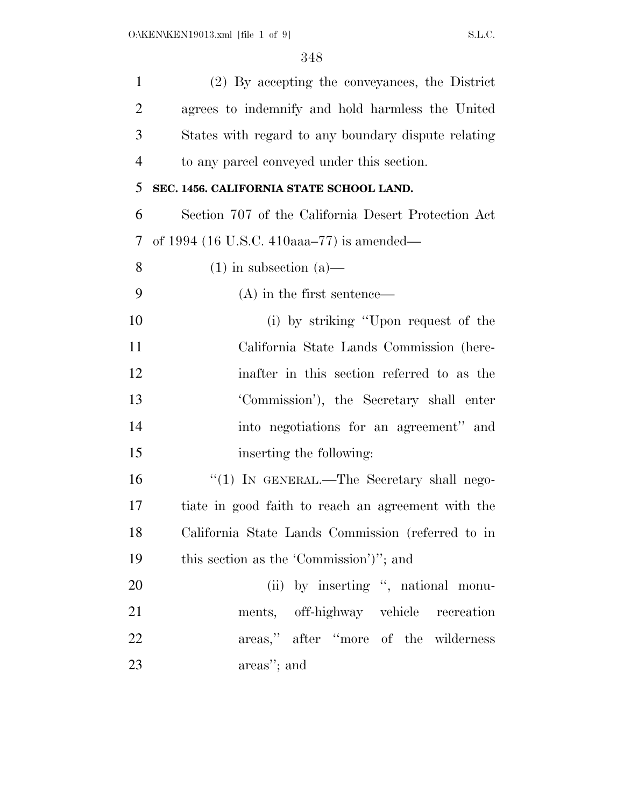| $\mathbf{1}$   | (2) By accepting the conveyances, the District      |
|----------------|-----------------------------------------------------|
| $\overline{2}$ | agrees to indemnify and hold harmless the United    |
| 3              | States with regard to any boundary dispute relating |
| $\overline{4}$ | to any parcel conveyed under this section.          |
| 5              | SEC. 1456. CALIFORNIA STATE SCHOOL LAND.            |
| 6              | Section 707 of the California Desert Protection Act |
| 7              | of 1994 (16 U.S.C. 410aaa–77) is amended—           |
| 8              | $(1)$ in subsection $(a)$ —                         |
| 9              | $(A)$ in the first sentence—                        |
| 10             | (i) by striking "Upon request of the                |
| 11             | California State Lands Commission (here-            |
| 12             | inafter in this section referred to as the          |
| 13             | 'Commission'), the Secretary shall enter            |
| 14             | into negotiations for an agreement" and             |
| 15             | inserting the following:                            |
| 16             | "(1) IN GENERAL.—The Secretary shall nego-          |
| 17             | tiate in good faith to reach an agreement with the  |
| 18             | California State Lands Commission (referred to in   |
| 19             | this section as the 'Commission')"; and             |
| <b>20</b>      | (ii) by inserting ", national monu-                 |
| 21             | ments, off-highway vehicle recreation               |
| 22             | areas," after "more of the wilderness               |
| 23             | areas"; and                                         |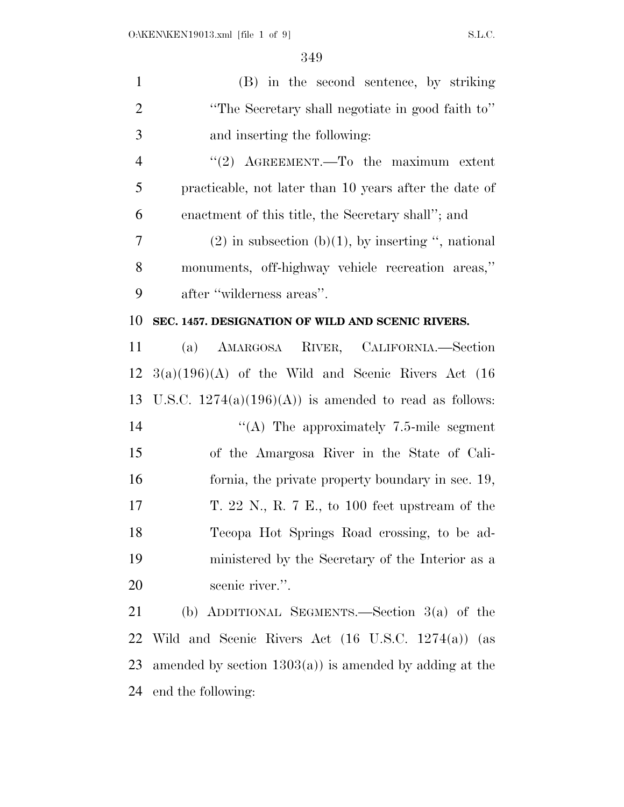| $\mathbf{1}$   | (B) in the second sentence, by striking                  |
|----------------|----------------------------------------------------------|
| $\overline{2}$ | "The Secretary shall negotiate in good faith to"         |
| 3              | and inserting the following:                             |
| $\overline{4}$ | "(2) $A$ GREEMENT.—To the maximum extent                 |
| 5              | practicable, not later than 10 years after the date of   |
| 6              | enactment of this title, the Secretary shall"; and       |
| $\overline{7}$ | $(2)$ in subsection $(b)(1)$ , by inserting ", national  |
| 8              | monuments, off-highway vehicle recreation areas,"        |
| 9              | after "wilderness areas".                                |
| 10             | SEC. 1457. DESIGNATION OF WILD AND SCENIC RIVERS.        |
| 11             | (a) AMARGOSA RIVER, CALIFORNIA.—Section                  |
| 12             | $3(a)(196)(A)$ of the Wild and Scenic Rivers Act (16)    |
| 13             | U.S.C. $1274(a)(196)(A)$ is amended to read as follows:  |
| 14             | "(A) The approximately $7.5$ -mile segment               |
| 15             | of the Amargosa River in the State of Cali-              |
| 16             | formia, the private property boundary in sec. 19,        |
| 17             | T. 22 N., R. 7 E., to 100 feet upstream of the           |
| 18             | Tecopa Hot Springs Road crossing, to be ad-              |
| 19             | ministered by the Secretary of the Interior as a         |
| 20             | scenic river.".                                          |
| 21             | (b) ADDITIONAL SEGMENTS.—Section $3(a)$ of the           |
| 22             | Wild and Scenic Rivers Act (16 U.S.C. 1274(a)) (as       |
| 23             | amended by section $1303(a)$ is amended by adding at the |
| 24             | end the following:                                       |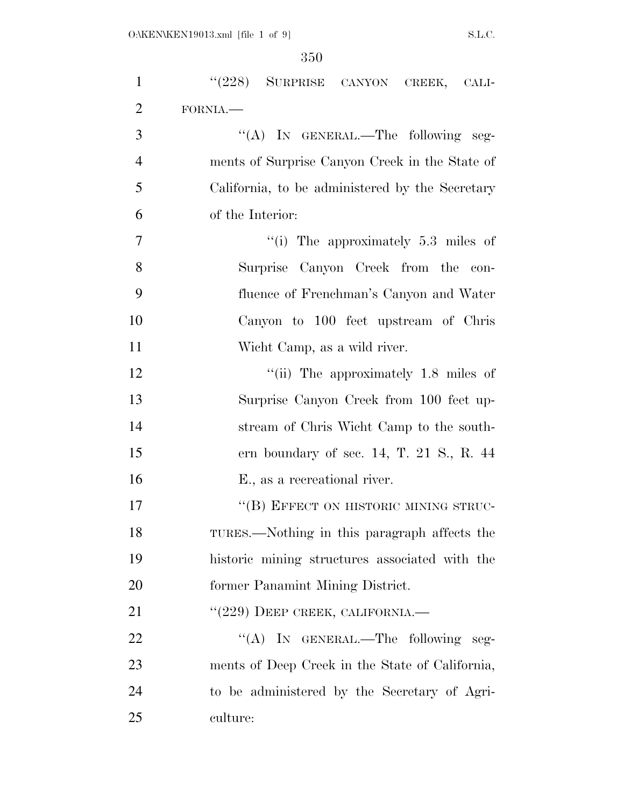| $\mathbf{1}$   | "(228) SURPRISE CANYON CREEK, CALI-             |
|----------------|-------------------------------------------------|
| $\overline{2}$ | FORNIA.                                         |
| 3              | "(A) IN GENERAL.—The following seg-             |
| $\overline{4}$ | ments of Surprise Canyon Creek in the State of  |
| 5              | California, to be administered by the Secretary |
| 6              | of the Interior:                                |
| $\overline{7}$ | "(i) The approximately $5.3$ miles of           |
| 8              | Surprise Canyon Creek from the con-             |
| 9              | fluence of Frenchman's Canyon and Water         |
| 10             | Canyon to 100 feet upstream of Chris            |
| 11             | Wicht Camp, as a wild river.                    |
| 12             | "(ii) The approximately $1.8$ miles of          |
| 13             | Surprise Canyon Creek from 100 feet up-         |
| 14             | stream of Chris Wicht Camp to the south-        |
| 15             | ern boundary of sec. 14, T. 21 S., R. $44$      |
| 16             | E., as a recreational river.                    |
| 17             | "(B) EFFECT ON HISTORIC MINING STRUC-           |
| 18             | TURES.—Nothing in this paragraph affects the    |
| 19             | historic mining structures associated with the  |
| 20             | former Panamint Mining District.                |
| 21             | $``(229)$ DEEP CREEK, CALIFORNIA.—              |
| 22             | "(A) IN GENERAL.—The following seg-             |
| 23             | ments of Deep Creek in the State of California, |
| 24             | to be administered by the Secretary of Agri-    |
| 25             | culture:                                        |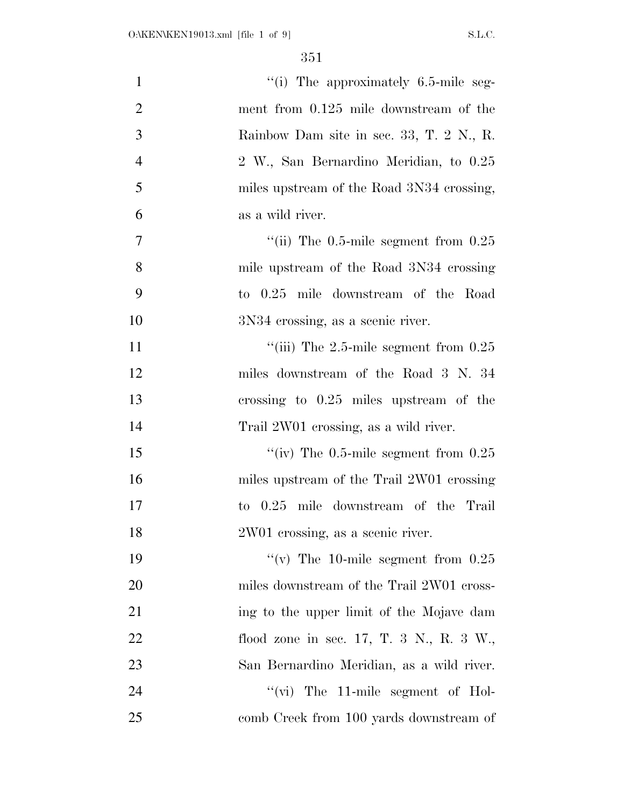| $\mathbf{1}$   | "(i) The approximately $6.5$ -mile seg-        |
|----------------|------------------------------------------------|
| $\overline{2}$ | ment from 0.125 mile downstream of the         |
| 3              | Rainbow Dam site in sec. 33, T. 2 N., R.       |
| $\overline{4}$ | 2 W., San Bernardino Meridian, to 0.25         |
| 5              | miles upstream of the Road 3N34 crossing,      |
| 6              | as a wild river.                               |
| $\tau$         | "(ii) The $0.5$ -mile segment from $0.25$      |
| 8              | mile upstream of the Road 3N34 crossing        |
| 9              | to 0.25 mile downstream of the Road            |
| 10             | 3N34 crossing, as a scenic river.              |
| 11             | "(iii) The $2.5$ -mile segment from $0.25$     |
| 12             | miles downstream of the Road 3 N. 34           |
| 13             | crossing to $0.25$ miles upstream of the       |
| 14             | Trail 2W01 crossing, as a wild river.          |
| 15             | "(iv) The $0.5$ -mile segment from $0.25$      |
| 16             | miles upstream of the Trail 2W01 crossing      |
| 17             | 0.25 mile downstream of the Trail<br>$\rm{to}$ |
| 18             | 2W01 crossing, as a scenic river.              |
| 19             | "(v) The 10-mile segment from $0.25$           |
| 20             | miles downstream of the Trail 2W01 cross-      |
| 21             | ing to the upper limit of the Mojave dam       |
| 22             | flood zone in sec. 17, T. 3 N., R. 3 W.,       |
| 23             | San Bernardino Meridian, as a wild river.      |
| 24             | " $(vi)$ The 11-mile segment of Hol-           |
| 25             | comb Creek from 100 yards downstream of        |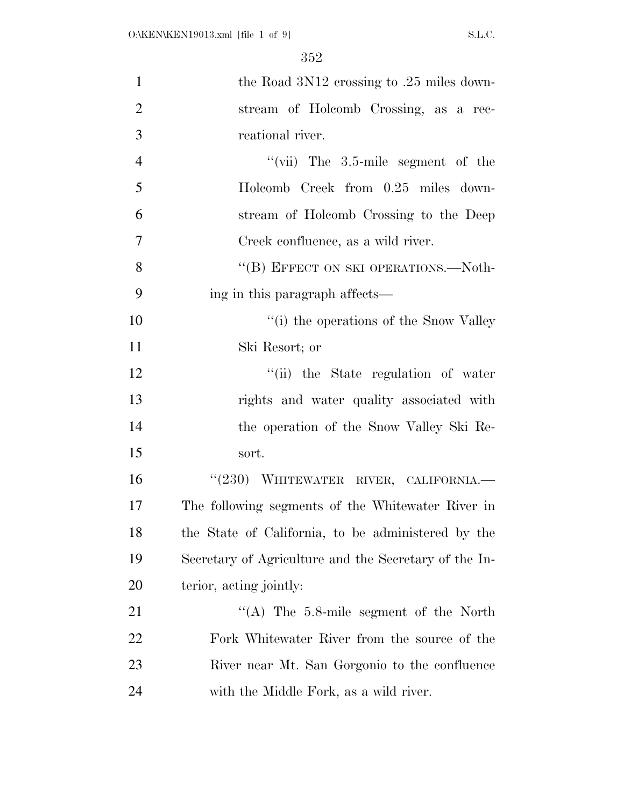| $\mathbf{1}$   | the Road 3N12 crossing to .25 miles down-             |
|----------------|-------------------------------------------------------|
| $\overline{2}$ | stream of Holcomb Crossing, as a rec-                 |
| 3              | reational river.                                      |
| $\overline{4}$ | "(vii) The $3.5$ -mile segment of the                 |
| 5              | Holcomb Creek from 0.25 miles down-                   |
| 6              | stream of Holcomb Crossing to the Deep                |
| $\overline{7}$ | Creek confluence, as a wild river.                    |
| 8              | "(B) EFFECT ON SKI OPERATIONS.—Noth-                  |
| 9              | ing in this paragraph affects—                        |
| 10             | "(i) the operations of the Snow Valley                |
| 11             | Ski Resort; or                                        |
| 12             | "(ii) the State regulation of water                   |
| 13             | rights and water quality associated with              |
| 14             | the operation of the Snow Valley Ski Re-              |
| 15             | sort.                                                 |
| 16             | "(230) WHITEWATER RIVER, CALIFORNIA.-                 |
| 17             | The following segments of the Whitewater River in     |
| 18             | the State of California, to be administered by the    |
| 19             | Secretary of Agriculture and the Secretary of the In- |
| 20             | terior, acting jointly:                               |
| 21             | "(A) The $5.8$ -mile segment of the North             |
| 22             | Fork Whitewater River from the source of the          |
| 23             | River near Mt. San Gorgonio to the confluence         |
| 24             | with the Middle Fork, as a wild river.                |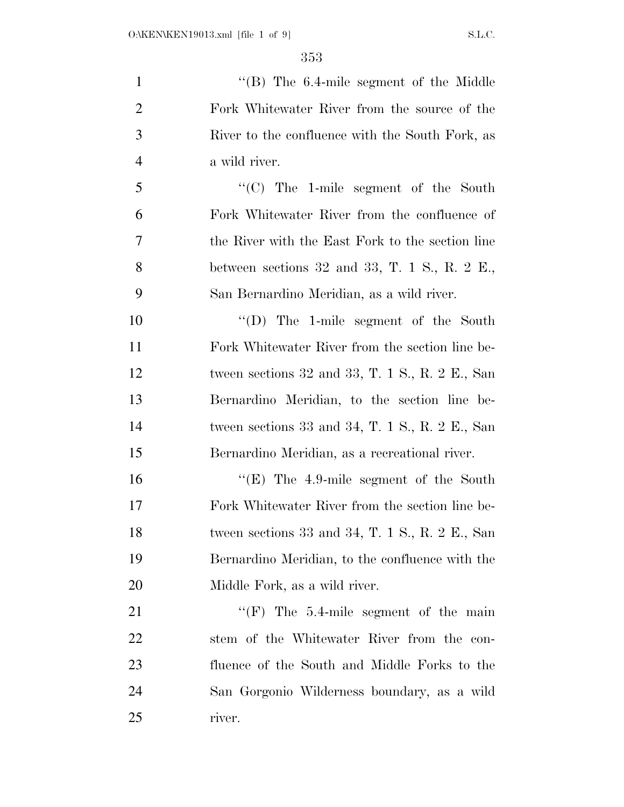1 ''(B) The 6.4-mile segment of the Middle Fork Whitewater River from the source of the River to the confluence with the South Fork, as a wild river. ''(C) The 1-mile segment of the South Fork Whitewater River from the confluence of the River with the East Fork to the section line between sections 32 and 33, T. 1 S., R. 2 E., San Bernardino Meridian, as a wild river. ''(D) The 1-mile segment of the South Fork Whitewater River from the section line be- tween sections 32 and 33, T. 1 S., R. 2 E., San Bernardino Meridian, to the section line be- tween sections 33 and 34, T. 1 S., R. 2 E., San Bernardino Meridian, as a recreational river. 16 "'(E) The 4.9-mile segment of the South Fork Whitewater River from the section line be- tween sections 33 and 34, T. 1 S., R. 2 E., San Bernardino Meridian, to the confluence with the Middle Fork, as a wild river. 21 "'(F) The 5.4-mile segment of the main stem of the Whitewater River from the con- fluence of the South and Middle Forks to the San Gorgonio Wilderness boundary, as a wild river.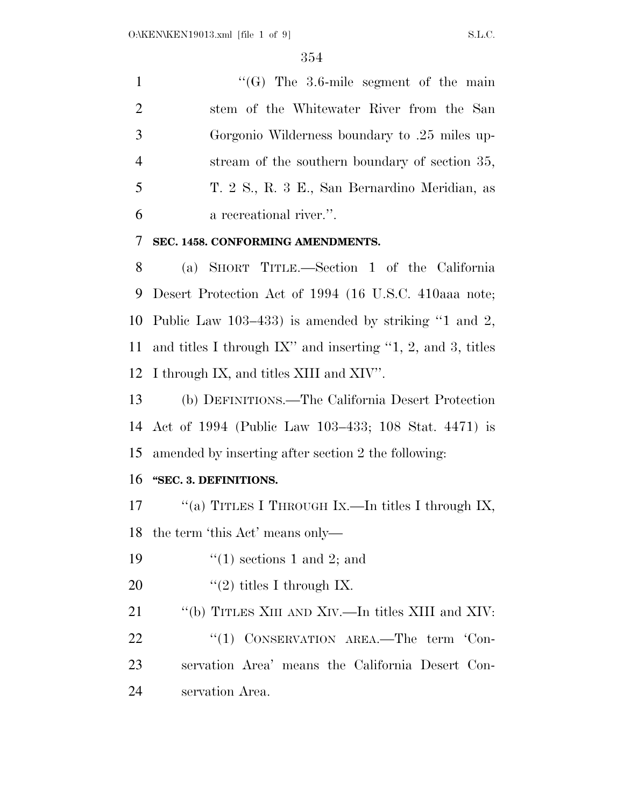$"$ (G) The 3.6-mile segment of the main stem of the Whitewater River from the San Gorgonio Wilderness boundary to .25 miles up- stream of the southern boundary of section 35, T. 2 S., R. 3 E., San Bernardino Meridian, as a recreational river.''.

**SEC. 1458. CONFORMING AMENDMENTS.** 

 (a) SHORT TITLE.—Section 1 of the California Desert Protection Act of 1994 (16 U.S.C. 410aaa note; Public Law 103–433) is amended by striking ''1 and 2, and titles I through IX'' and inserting ''1, 2, and 3, titles I through IX, and titles XIII and XIV''.

 (b) DEFINITIONS.—The California Desert Protection Act of 1994 (Public Law 103–433; 108 Stat. 4471) is amended by inserting after section 2 the following:

#### **''SEC. 3. DEFINITIONS.**

17 ""(a) TITLES I THROUGH IX.—In titles I through IX, the term 'this Act' means only—

- 19  $\frac{1}{2}$  (1) sections 1 and 2; and
- 20  $\frac{1}{2}$  titles I through IX.

''(b) TITLES XIII AND XIV.—In titles XIII and XIV:

22 "(1) CONSERVATION AREA.—The term 'Con- servation Area' means the California Desert Con-servation Area.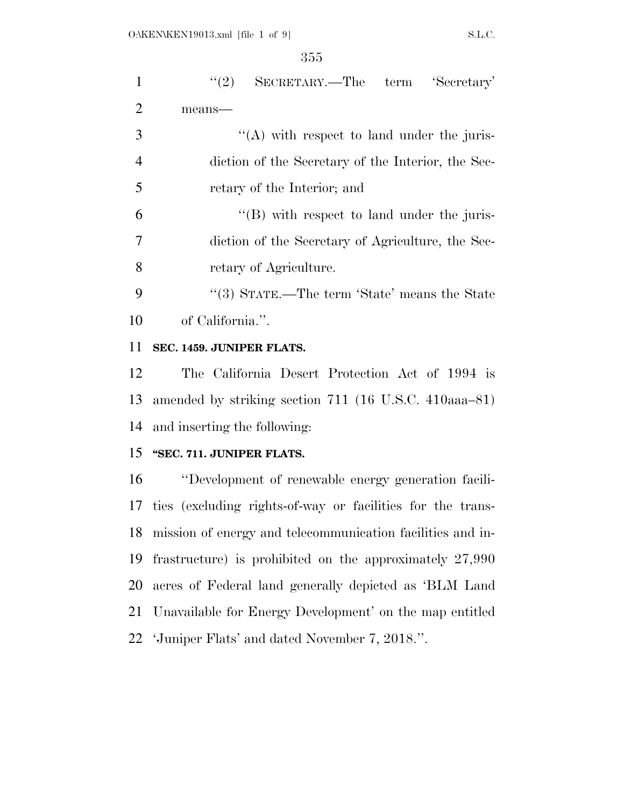| $\mathbf{1}$   | "(2) SECRETARY.—The term 'Secretary'                          |
|----------------|---------------------------------------------------------------|
| $\overline{2}$ | means-                                                        |
| 3              | $\lq\lq$ with respect to land under the juris-                |
| $\overline{4}$ | diction of the Secretary of the Interior, the Sec-            |
| 5              | retary of the Interior; and                                   |
| 6              | $\lq\lq$ with respect to land under the juris-                |
| $\overline{7}$ | diction of the Secretary of Agriculture, the Sec-             |
| 8              | retary of Agriculture.                                        |
| 9              | "(3) STATE.—The term 'State' means the State                  |
| 10             | of California.".                                              |
| 11             | SEC. 1459. JUNIPER FLATS.                                     |
| 12             | The California Desert Protection Act of 1994 is               |
| 13             | amended by striking section 711 (16 U.S.C. 410aaa-81)         |
| 14             | and inserting the following:                                  |
| 15             | "SEC. 711. JUNIPER FLATS.                                     |
| 16             | "Development of renewable energy generation facili-           |
|                | 17 ties (excluding rights-of-way or facilities for the trans- |
| 18             | mission of energy and telecommunication facilities and in-    |
| 19             | frastructure) is prohibited on the approximately $27,990$     |
| 20             | acres of Federal land generally depicted as 'BLM Land         |
| 21             | Unavailable for Energy Development' on the map entitled       |
| 22             | 'Juniper Flats' and dated November 7, 2018.".                 |
|                |                                                               |
|                |                                                               |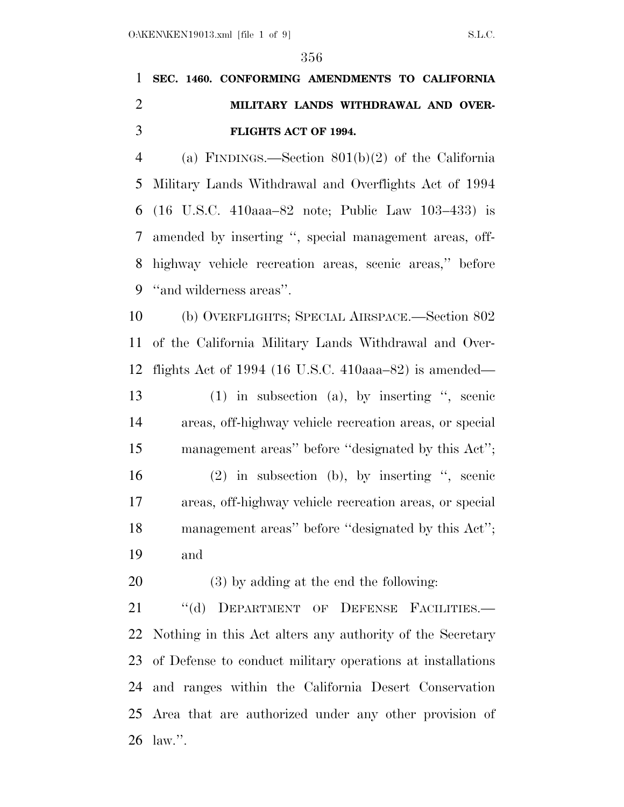## **SEC. 1460. CONFORMING AMENDMENTS TO CALIFORNIA MILITARY LANDS WITHDRAWAL AND OVER-FLIGHTS ACT OF 1994.**

 (a) FINDINGS.—Section 801(b)(2) of the California Military Lands Withdrawal and Overflights Act of 1994 (16 U.S.C. 410aaa–82 note; Public Law 103–433) is amended by inserting '', special management areas, off- highway vehicle recreation areas, scenic areas,'' before ''and wilderness areas''.

 (b) OVERFLIGHTS; SPECIAL AIRSPACE.—Section 802 of the California Military Lands Withdrawal and Over-flights Act of 1994 (16 U.S.C. 410aaa–82) is amended—

 (1) in subsection (a), by inserting '', scenic areas, off-highway vehicle recreation areas, or special management areas'' before ''designated by this Act'';

 (2) in subsection (b), by inserting '', scenic areas, off-highway vehicle recreation areas, or special management areas'' before ''designated by this Act''; and

(3) by adding at the end the following:

21 "(d) DEPARTMENT OF DEFENSE FACILITIES. Nothing in this Act alters any authority of the Secretary of Defense to conduct military operations at installations and ranges within the California Desert Conservation Area that are authorized under any other provision of law.''.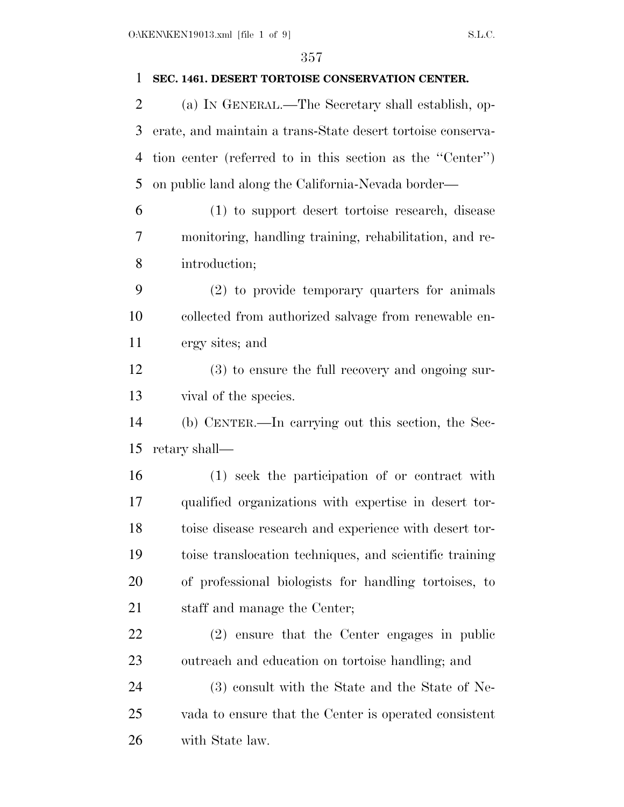| 1              | SEC. 1461. DESERT TORTOISE CONSERVATION CENTER.             |
|----------------|-------------------------------------------------------------|
| $\overline{2}$ | (a) IN GENERAL.—The Secretary shall establish, op-          |
| 3              | erate, and maintain a trans-State desert tortoise conserva- |
| $\overline{4}$ | tion center (referred to in this section as the "Center")   |
| 5              | on public land along the California-Nevada border—          |
| 6              | (1) to support desert tortoise research, disease            |
| 7              | monitoring, handling training, rehabilitation, and re-      |
| 8              | introduction;                                               |
| 9              | (2) to provide temporary quarters for animals               |
| 10             | collected from authorized salvage from renewable en-        |
| 11             | ergy sites; and                                             |
| 12             | (3) to ensure the full recovery and ongoing sur-            |
| 13             | vival of the species.                                       |
| 14             | (b) CENTER.—In carrying out this section, the Sec-          |
| 15             | retary shall-                                               |
| 16             | (1) seek the participation of or contract with              |
| 17             | qualified organizations with expertise in desert tor-       |
| 18             | toise disease research and experience with desert tor-      |
| 19             | toise translocation techniques, and scientific training     |
| 20             | of professional biologists for handling tortoises, to       |
| 21             | staff and manage the Center;                                |
| 22             | (2) ensure that the Center engages in public                |
| 23             | outreach and education on tortoise handling; and            |
|                |                                                             |
| 24             | (3) consult with the State and the State of Ne-             |
| 25             | vada to ensure that the Center is operated consistent       |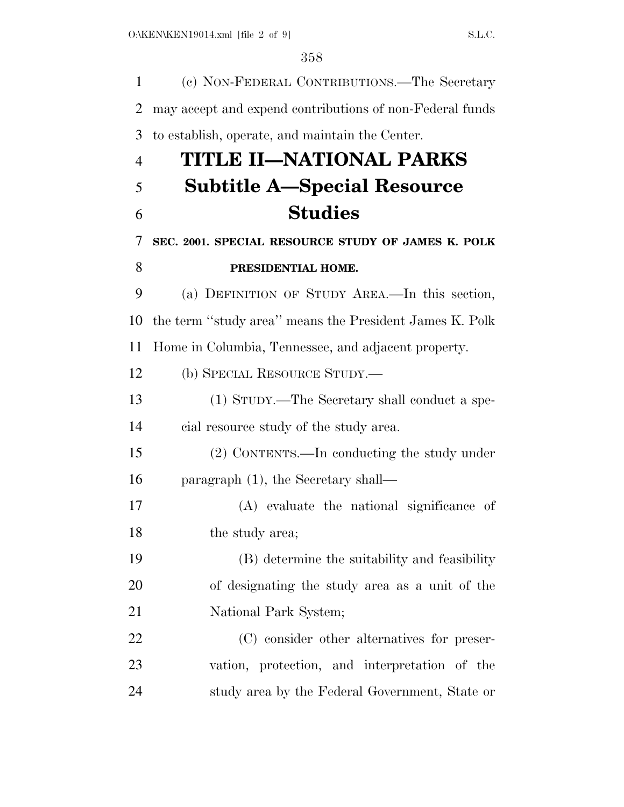| 1              | (c) NON-FEDERAL CONTRIBUTIONS.—The Secretary             |
|----------------|----------------------------------------------------------|
| $\overline{2}$ | may accept and expend contributions of non-Federal funds |
| 3              | to establish, operate, and maintain the Center.          |
| $\overline{4}$ | TITLE II—NATIONAL PARKS                                  |
| 5              | <b>Subtitle A—Special Resource</b>                       |
| 6              | <b>Studies</b>                                           |
| 7              | SEC. 2001. SPECIAL RESOURCE STUDY OF JAMES K. POLK       |
| 8              | PRESIDENTIAL HOME.                                       |
| 9              | (a) DEFINITION OF STUDY AREA.—In this section,           |
| 10             | the term "study area" means the President James K. Polk  |
| 11             | Home in Columbia, Tennessee, and adjacent property.      |
| 12             | (b) SPECIAL RESOURCE STUDY.—                             |
| 13             | (1) STUDY.—The Secretary shall conduct a spe-            |
| 14             | cial resource study of the study area.                   |
| 15             | (2) CONTENTS.—In conducting the study under              |
| 16             | paragraph $(1)$ , the Secretary shall—                   |
| 17             | (A) evaluate the national significance of                |
| 18             | the study area;                                          |
| 19             | (B) determine the suitability and feasibility            |
| 20             | of designating the study area as a unit of the           |
| 21             | National Park System;                                    |
| 22             | (C) consider other alternatives for preser-              |
| 23             | vation, protection, and interpretation of the            |
| 24             | study area by the Federal Government, State or           |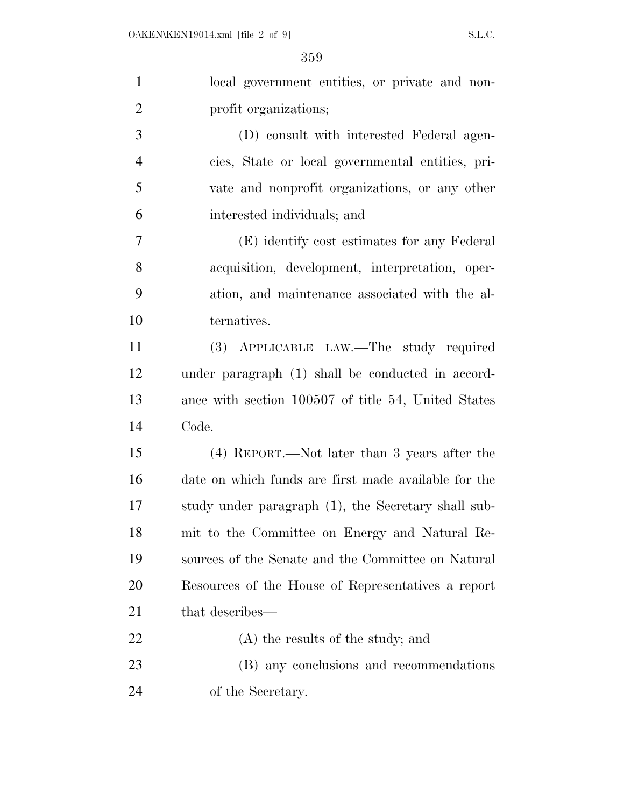| $\mathbf{1}$   | local government entities, or private and non-       |
|----------------|------------------------------------------------------|
| $\overline{2}$ | profit organizations;                                |
| 3              | (D) consult with interested Federal agen-            |
| $\overline{4}$ | cies, State or local governmental entities, pri-     |
| 5              | vate and nonprofit organizations, or any other       |
| 6              | interested individuals; and                          |
| $\overline{7}$ | (E) identify cost estimates for any Federal          |
| 8              | acquisition, development, interpretation, oper-      |
| 9              | ation, and maintenance associated with the al-       |
| 10             | ternatives.                                          |
| 11             | (3) APPLICABLE LAW.—The study required               |
| 12             | under paragraph (1) shall be conducted in accord-    |
| 13             | ance with section 100507 of title 54, United States  |
| 14             | Code.                                                |
| 15             | (4) REPORT.—Not later than 3 years after the         |
| 16             | date on which funds are first made available for the |
| 17             | study under paragraph (1), the Secretary shall sub-  |
| 18             | mit to the Committee on Energy and Natural Re-       |
| 19             | sources of the Senate and the Committee on Natural   |
| 20             | Resources of the House of Representatives a report   |
| 21             | that describes—                                      |
| 22             | (A) the results of the study; and                    |
| 23             | (B) any conclusions and recommendations              |
| 24             | of the Secretary.                                    |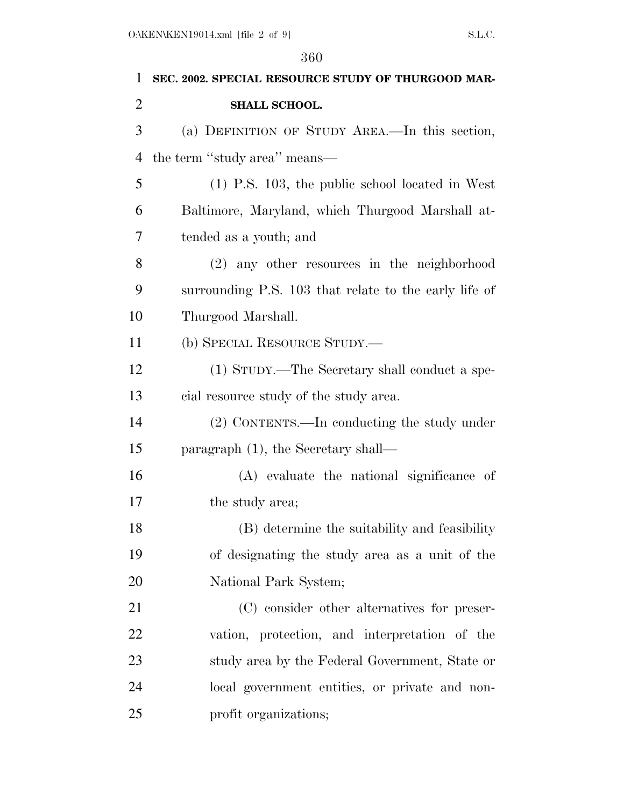| 1         | SEC. 2002. SPECIAL RESOURCE STUDY OF THURGOOD MAR-    |
|-----------|-------------------------------------------------------|
| 2         | SHALL SCHOOL.                                         |
| 3         | (a) DEFINITION OF STUDY AREA.—In this section,        |
| 4         | the term "study area" means—                          |
| 5         | $(1)$ P.S. 103, the public school located in West     |
| 6         | Baltimore, Maryland, which Thurgood Marshall at-      |
| 7         | tended as a youth; and                                |
| 8         | (2) any other resources in the neighborhood           |
| 9         | surrounding P.S. 103 that relate to the early life of |
| 10        | Thurgood Marshall.                                    |
| 11        | (b) SPECIAL RESOURCE STUDY.—                          |
| 12        | (1) STUDY.—The Secretary shall conduct a spe-         |
| 13        | cial resource study of the study area.                |
| 14        | (2) CONTENTS.—In conducting the study under           |
| 15        | paragraph $(1)$ , the Secretary shall—                |
| 16        | (A) evaluate the national significance of             |
| 17        | the study area;                                       |
| 18        | (B) determine the suitability and feasibility         |
| 19        | of designating the study area as a unit of the        |
| <b>20</b> | National Park System;                                 |
| 21        | (C) consider other alternatives for preser-           |
| 22        | vation, protection, and interpretation of the         |
| 23        | study area by the Federal Government, State or        |
| 24        | local government entities, or private and non-        |
| 25        | profit organizations;                                 |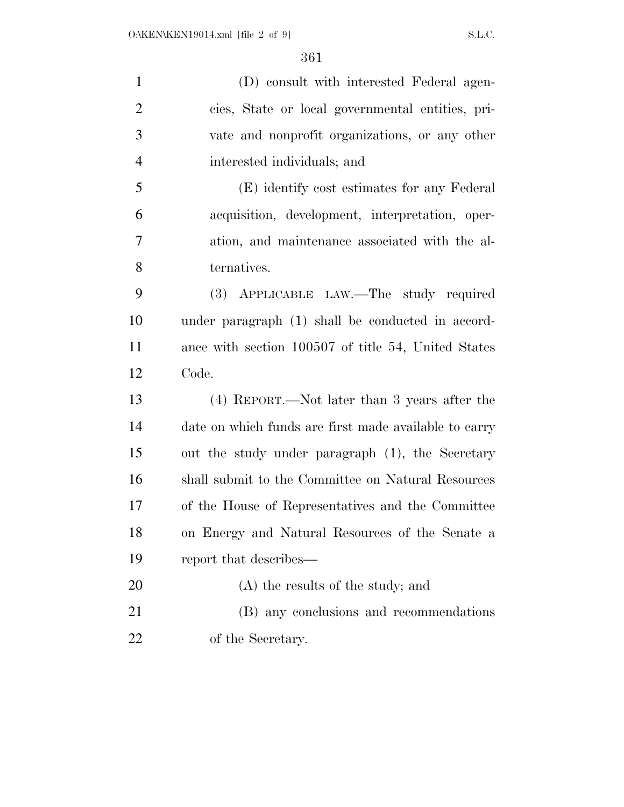(D) consult with interested Federal agen- cies, State or local governmental entities, pri- vate and nonprofit organizations, or any other interested individuals; and (E) identify cost estimates for any Federal acquisition, development, interpretation, oper- ation, and maintenance associated with the al- ternatives. (3) APPLICABLE LAW.—The study required under paragraph (1) shall be conducted in accord- ance with section 100507 of title 54, United States Code. (4) REPORT.—Not later than 3 years after the date on which funds are first made available to carry out the study under paragraph (1), the Secretary shall submit to the Committee on Natural Resources of the House of Representatives and the Committee on Energy and Natural Resources of the Senate a report that describes— 20 (A) the results of the study; and (B) any conclusions and recommendations of the Secretary.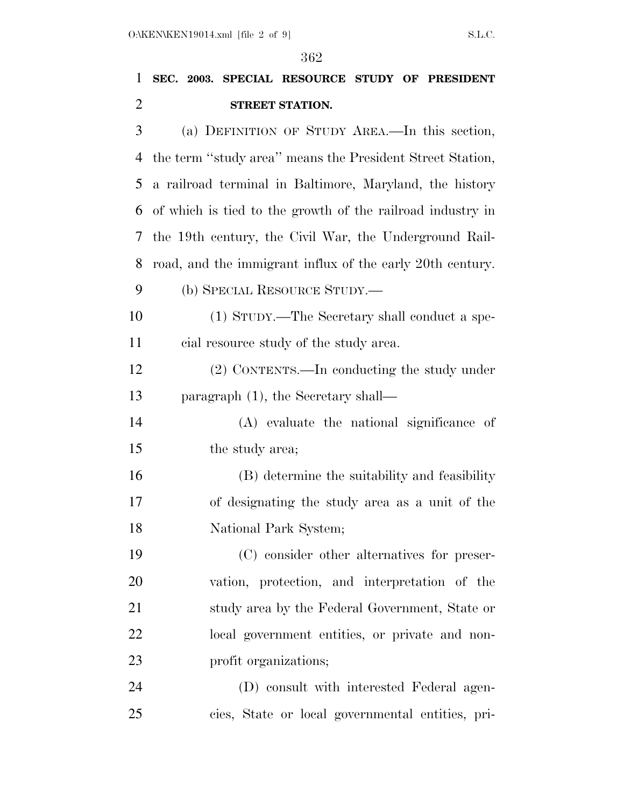|                | 362                                                        |
|----------------|------------------------------------------------------------|
| 1              | SEC. 2003. SPECIAL RESOURCE STUDY OF PRESIDENT             |
| $\overline{2}$ | STREET STATION.                                            |
| 3              | (a) DEFINITION OF STUDY AREA.—In this section,             |
| 4              | the term "study area" means the President Street Station,  |
| 5              | a railroad terminal in Baltimore, Maryland, the history    |
| 6              | of which is tied to the growth of the railroad industry in |
| 7              | the 19th century, the Civil War, the Underground Rail-     |
| 8              | road, and the immigrant influx of the early 20th century.  |
| 9              | (b) SPECIAL RESOURCE STUDY.—                               |
| 10             | (1) STUDY.—The Secretary shall conduct a spe-              |
| 11             | cial resource study of the study area.                     |
| 12             | (2) CONTENTS.—In conducting the study under                |
| 13             | paragraph $(1)$ , the Secretary shall—                     |
| 14             | (A) evaluate the national significance of                  |
| 15             | the study area;                                            |
| 16             | (B) determine the suitability and feasibility              |
| 17             | of designating the study area as a unit of the             |
| 18             | National Park System;                                      |
| 19             | (C) consider other alternatives for preser-                |
| 20             | vation, protection, and interpretation of the              |
| 21             | study area by the Federal Government, State or             |
| 22             | local government entities, or private and non-             |

- profit organizations;
- (D) consult with interested Federal agen-cies, State or local governmental entities, pri-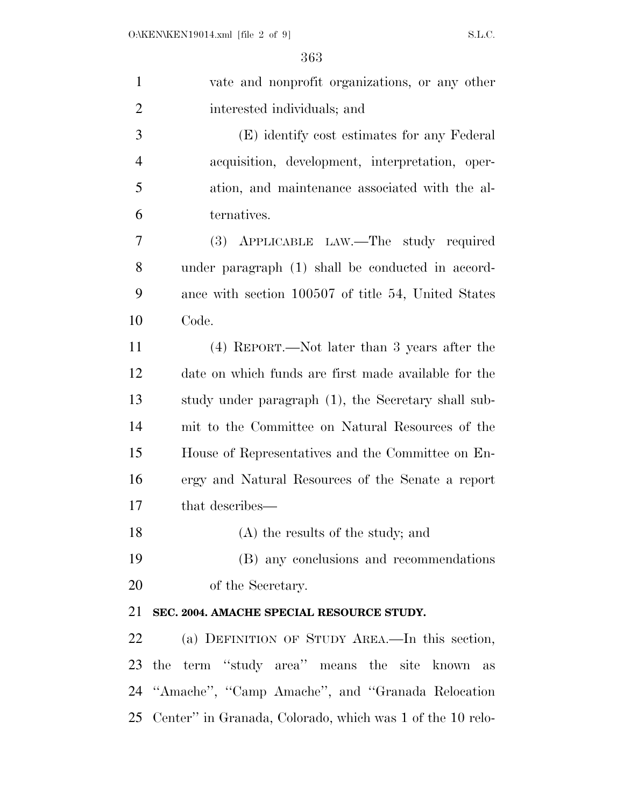| $\mathbf{1}$   | vate and nonprofit organizations, or any other            |
|----------------|-----------------------------------------------------------|
| $\overline{2}$ | interested individuals; and                               |
| 3              | (E) identify cost estimates for any Federal               |
| $\overline{4}$ | acquisition, development, interpretation, oper-           |
| 5              | ation, and maintenance associated with the al-            |
| 6              | ternatives.                                               |
| 7              | (3) APPLICABLE LAW.—The study required                    |
| 8              | under paragraph (1) shall be conducted in accord-         |
| 9              | ance with section 100507 of title 54, United States       |
| 10             | Code.                                                     |
| 11             | (4) REPORT.—Not later than 3 years after the              |
| 12             | date on which funds are first made available for the      |
| 13             | study under paragraph (1), the Secretary shall sub-       |
| 14             | mit to the Committee on Natural Resources of the          |
| 15             | House of Representatives and the Committee on En-         |
| 16             | ergy and Natural Resources of the Senate a report         |
| 17             | that describes—                                           |
| 18             | (A) the results of the study; and                         |
| 19             | (B) any conclusions and recommendations                   |
| 20             | of the Secretary.                                         |
| 21             | SEC. 2004. AMACHE SPECIAL RESOURCE STUDY.                 |
| 22             | (a) DEFINITION OF STUDY AREA.—In this section,            |
| 23             | the term "study area" means the site known<br>as          |
| 24             | "Amache", "Camp Amache", and "Granada Relocation"         |
| 25             | Center" in Granada, Colorado, which was 1 of the 10 relo- |
|                |                                                           |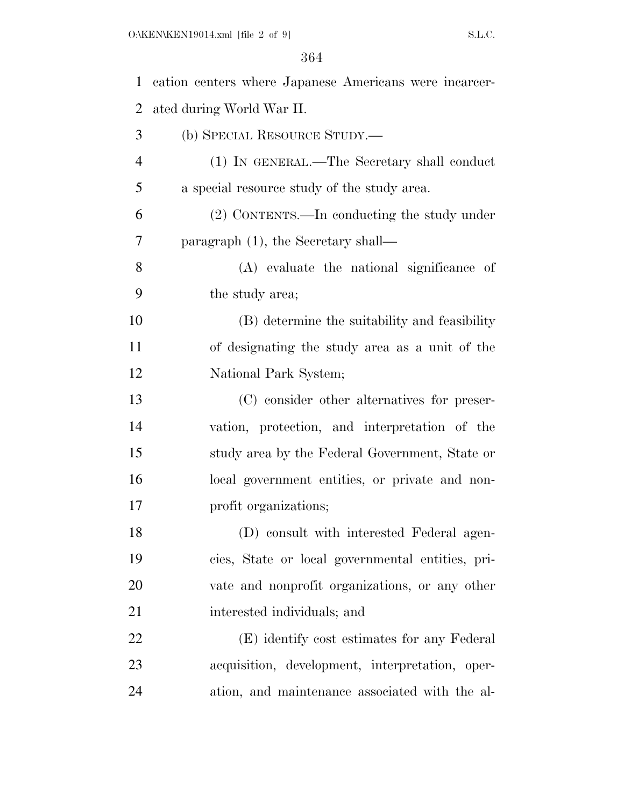| $\mathbf{1}$   | cation centers where Japanese Americans were incarcer- |
|----------------|--------------------------------------------------------|
| $\overline{2}$ | ated during World War II.                              |
| 3              | (b) SPECIAL RESOURCE STUDY.—                           |
| $\overline{4}$ | (1) IN GENERAL.—The Secretary shall conduct            |
| 5              | a special resource study of the study area.            |
| 6              | (2) CONTENTS.—In conducting the study under            |
| 7              | paragraph $(1)$ , the Secretary shall—                 |
| 8              | (A) evaluate the national significance of              |
| 9              | the study area;                                        |
| 10             | (B) determine the suitability and feasibility          |
| 11             | of designating the study area as a unit of the         |
| 12             | National Park System;                                  |
| 13             | (C) consider other alternatives for preser-            |
| 14             | vation, protection, and interpretation of the          |
| 15             | study area by the Federal Government, State or         |
| 16             | local government entities, or private and non-         |
| 17             | profit organizations;                                  |
| 18             | (D) consult with interested Federal agen-              |
| 19             | cies, State or local governmental entities, pri-       |
| 20             | vate and nonprofit organizations, or any other         |
| 21             | interested individuals; and                            |
| 22             | (E) identify cost estimates for any Federal            |
| 23             | acquisition, development, interpretation, oper-        |
| 24             | ation, and maintenance associated with the al-         |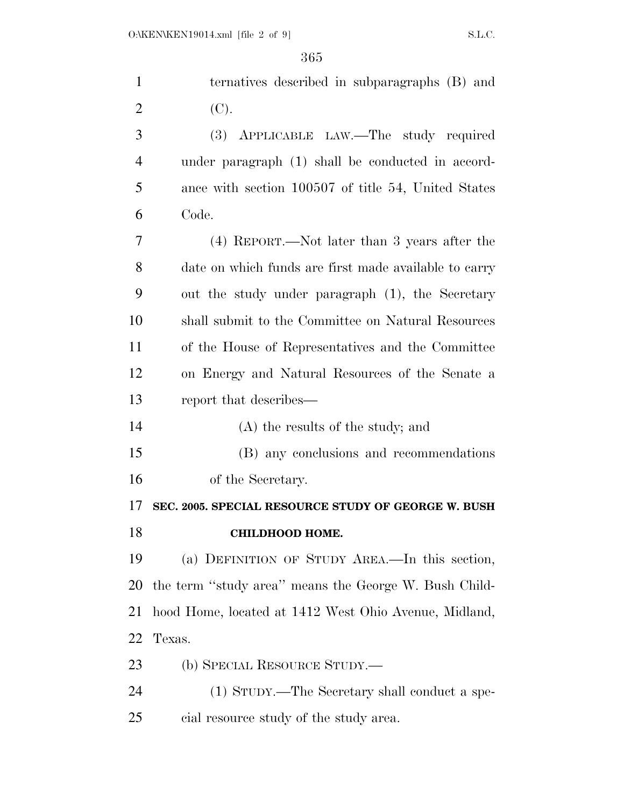| $\mathbf{1}$   | ternatives described in subparagraphs (B) and         |
|----------------|-------------------------------------------------------|
| $\overline{2}$ | (C).                                                  |
| 3              | (3) APPLICABLE LAW.—The study required                |
| $\overline{4}$ | under paragraph (1) shall be conducted in accord-     |
| 5              | ance with section 100507 of title 54, United States   |
| 6              | Code.                                                 |
| 7              | (4) REPORT.—Not later than 3 years after the          |
| 8              | date on which funds are first made available to carry |
| 9              | out the study under paragraph (1), the Secretary      |
| 10             | shall submit to the Committee on Natural Resources    |
| 11             | of the House of Representatives and the Committee     |
| 12             | on Energy and Natural Resources of the Senate a       |
| 13             | report that describes—                                |
| 14             | (A) the results of the study; and                     |
| 15             | (B) any conclusions and recommendations               |
| 16             | of the Secretary.                                     |
| 17             | SEC. 2005. SPECIAL RESOURCE STUDY OF GEORGE W. BUSH   |
| 18             | <b>CHILDHOOD HOME.</b>                                |
| 19             | (a) DEFINITION OF STUDY AREA.—In this section,        |
| 20             | the term "study area" means the George W. Bush Child- |
| 21             | hood Home, located at 1412 West Ohio Avenue, Midland, |
| 22             | Texas.                                                |
| 23             | (b) SPECIAL RESOURCE STUDY.—                          |
| 24             | (1) STUDY.—The Secretary shall conduct a spe-         |
| 25             | cial resource study of the study area.                |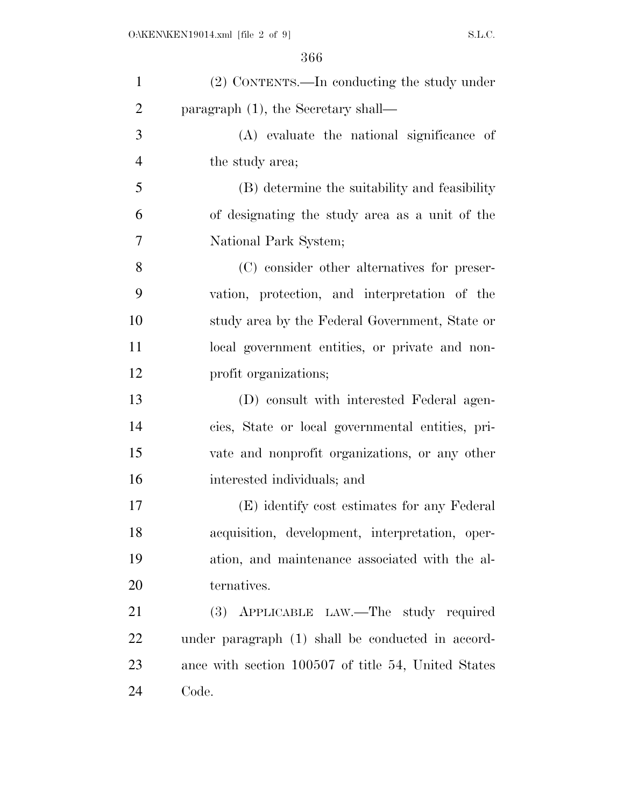| $\mathbf{1}$   | (2) CONTENTS.—In conducting the study under         |
|----------------|-----------------------------------------------------|
| $\overline{2}$ | paragraph $(1)$ , the Secretary shall—              |
| 3              | (A) evaluate the national significance of           |
| $\overline{4}$ | the study area;                                     |
| 5              | (B) determine the suitability and feasibility       |
| 6              | of designating the study area as a unit of the      |
| 7              | National Park System;                               |
| 8              | (C) consider other alternatives for preser-         |
| 9              | vation, protection, and interpretation of the       |
| 10             | study area by the Federal Government, State or      |
| 11             | local government entities, or private and non-      |
| 12             | profit organizations;                               |
| 13             | (D) consult with interested Federal agen-           |
| 14             | cies, State or local governmental entities, pri-    |
| 15             | vate and nonprofit organizations, or any other      |
| 16             | interested individuals; and                         |
| 17             | (E) identify cost estimates for any Federal         |
| 18             | acquisition, development, interpretation, oper-     |
| 19             | ation, and maintenance associated with the al-      |
| 20             | ternatives.                                         |
| 21             | (3) APPLICABLE LAW.—The study required              |
| 22             | under paragraph (1) shall be conducted in accord-   |
| 23             | ance with section 100507 of title 54, United States |
| 24             | Code.                                               |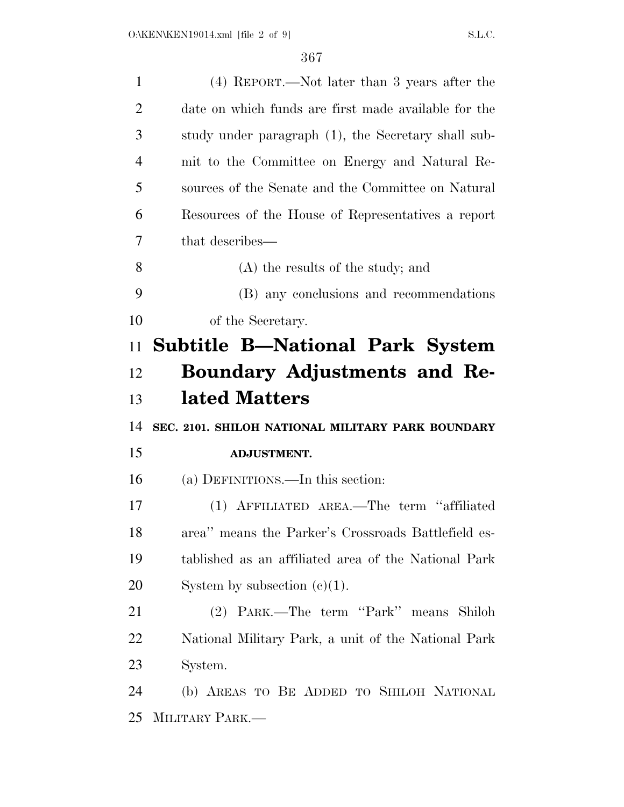| $\mathbf{1}$   | (4) REPORT.—Not later than 3 years after the         |
|----------------|------------------------------------------------------|
| $\overline{2}$ | date on which funds are first made available for the |
| 3              | study under paragraph (1), the Secretary shall sub-  |
| $\overline{4}$ | mit to the Committee on Energy and Natural Re-       |
| 5              | sources of the Senate and the Committee on Natural   |
| 6              | Resources of the House of Representatives a report   |
| 7              | that describes—                                      |
| 8              | (A) the results of the study; and                    |
| 9              | (B) any conclusions and recommendations              |
| 10             | of the Secretary.                                    |
| 11             | <b>Subtitle B—National Park System</b>               |
| 12             | <b>Boundary Adjustments and Re-</b>                  |
| 13             | lated Matters                                        |
| 14             | SEC. 2101. SHILOH NATIONAL MILITARY PARK BOUNDARY    |
| 15             | <b>ADJUSTMENT.</b>                                   |
| 16             | (a) DEFINITIONS.—In this section:                    |
| 17             | (1) AFFILIATED AREA.—The term "affiliated            |
| 18             | area" means the Parker's Crossroads Battlefield es-  |
| 19             | tablished as an affiliated area of the National Park |
| 20             | System by subsection $(c)(1)$ .                      |
| 21             | (2) PARK.—The term "Park" means Shiloh               |
| 22             | National Military Park, a unit of the National Park  |
| 23             | System.                                              |
| 24             | (b) AREAS TO BE ADDED TO SHILOH NATIONAL             |
| 25             | MILITARY PARK.—                                      |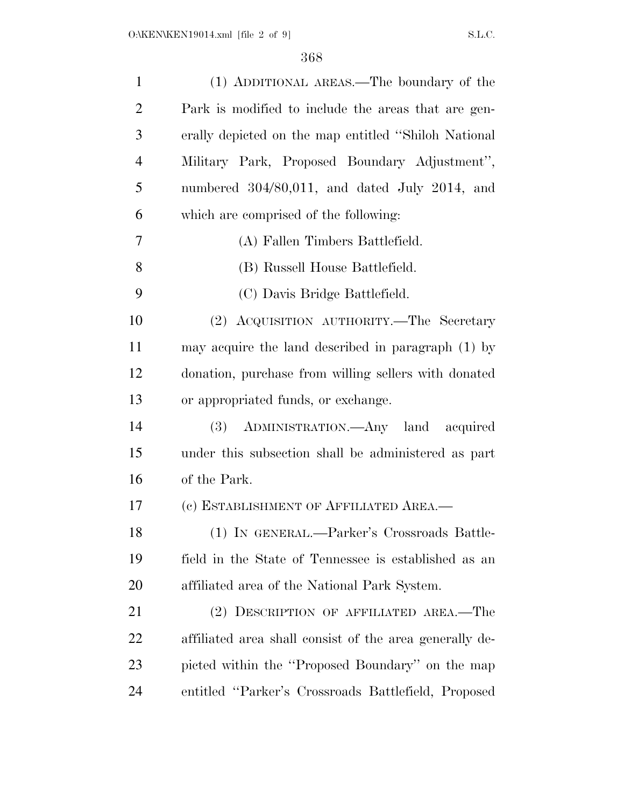| $\mathbf{1}$   | (1) ADDITIONAL AREAS.—The boundary of the               |
|----------------|---------------------------------------------------------|
| $\overline{2}$ | Park is modified to include the areas that are gen-     |
| 3              | erally depicted on the map entitled "Shiloh National"   |
| 4              | Military Park, Proposed Boundary Adjustment",           |
| 5              | numbered 304/80,011, and dated July 2014, and           |
| 6              | which are comprised of the following:                   |
| 7              | (A) Fallen Timbers Battlefield.                         |
| 8              | (B) Russell House Battlefield.                          |
| 9              | (C) Davis Bridge Battlefield.                           |
| 10             | (2) ACQUISITION AUTHORITY.—The Secretary                |
| 11             | may acquire the land described in paragraph (1) by      |
| 12             | donation, purchase from willing sellers with donated    |
| 13             | or appropriated funds, or exchange.                     |
| 14             | (3) ADMINISTRATION.—Any land acquired                   |
| 15             | under this subsection shall be administered as part     |
| 16             | of the Park.                                            |
| 17             | (c) ESTABLISHMENT OF AFFILIATED AREA.-                  |
| 18             | (1) IN GENERAL.—Parker's Crossroads Battle-             |
| 19             | field in the State of Tennessee is established as an    |
| 20             | affiliated area of the National Park System.            |
| 21             | (2) DESCRIPTION OF AFFILIATED AREA.—The                 |
| 22             | affiliated area shall consist of the area generally de- |
| 23             | picted within the "Proposed Boundary" on the map        |
| 24             | entitled "Parker's Crossroads Battlefield, Proposed     |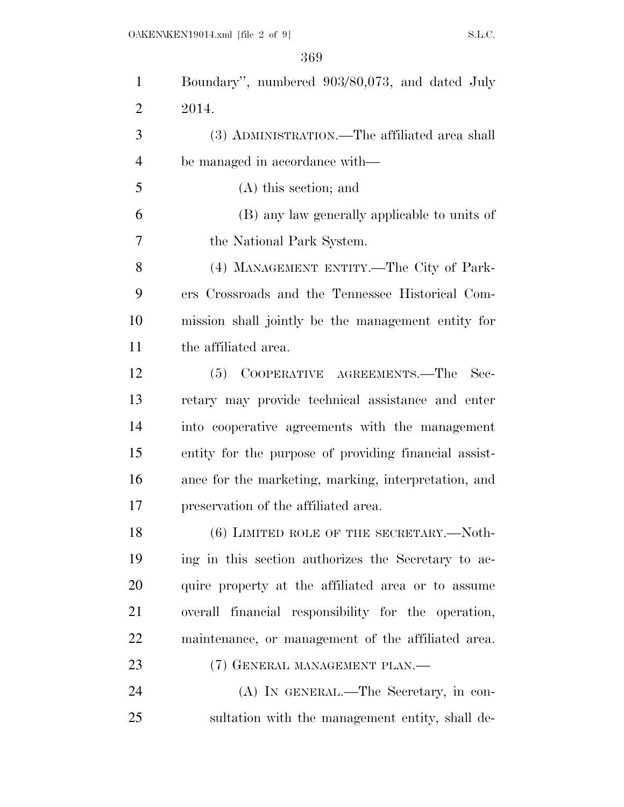| $\mathbf{1}$   | Boundary", numbered 903/80,073, and dated July        |
|----------------|-------------------------------------------------------|
| $\overline{2}$ | 2014.                                                 |
| 3              | (3) ADMINISTRATION.—The affiliated area shall         |
| $\overline{4}$ | be managed in accordance with—                        |
| 5              | $(A)$ this section; and                               |
| 6              | (B) any law generally applicable to units of          |
| 7              | the National Park System.                             |
| 8              | (4) MANAGEMENT ENTITY.—The City of Park-              |
| 9              | ers Crossroads and the Tennessee Historical Com-      |
| 10             | mission shall jointly be the management entity for    |
| 11             | the affiliated area.                                  |
| 12             | (5) COOPERATIVE AGREEMENTS.—The<br>Sec-               |
| 13             | retary may provide technical assistance and enter     |
| 14             | into cooperative agreements with the management       |
| 15             | entity for the purpose of providing financial assist- |
| 16             | ance for the marketing, marking, interpretation, and  |
| 17             | preservation of the affiliated area.                  |
| 18             | $(6)$ LIMITED ROLE OF THE SECRETARY.— $\text{Noth}$ - |
| 19             | ing in this section authorizes the Secretary to ac-   |
| 20             | quire property at the affiliated area or to assume    |
| 21             | overall financial responsibility for the operation,   |
| 22             | maintenance, or management of the affiliated area.    |
| 23             | (7) GENERAL MANAGEMENT PLAN.—                         |
| 24             | (A) IN GENERAL.—The Secretary, in con-                |
| 25             | sultation with the management entity, shall de-       |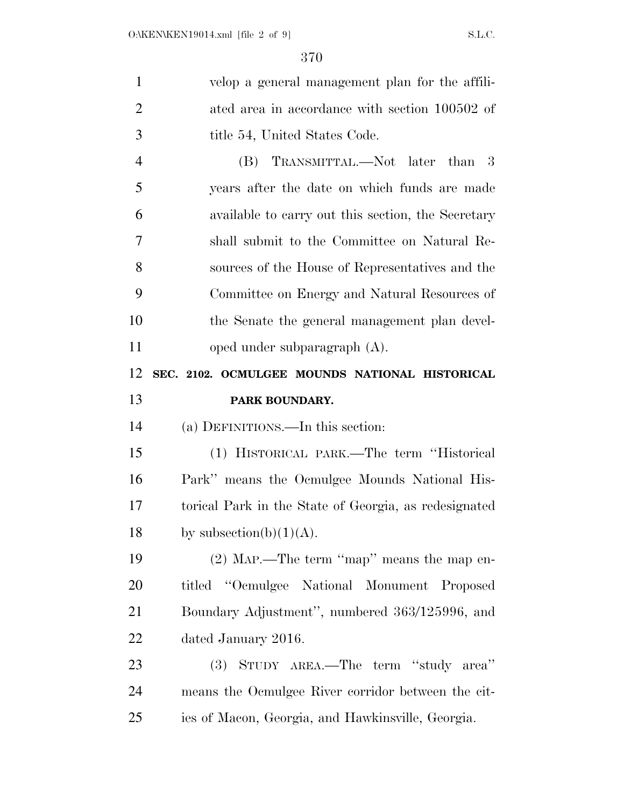| $\mathbf{1}$   | velop a general management plan for the affili-       |
|----------------|-------------------------------------------------------|
| $\overline{2}$ | ated area in accordance with section 100502 of        |
| 3              | title 54, United States Code.                         |
| $\overline{4}$ | TRANSMITTAL.—Not later than 3<br>(B)                  |
| 5              | years after the date on which funds are made          |
| 6              | available to carry out this section, the Secretary    |
| 7              | shall submit to the Committee on Natural Re-          |
| 8              | sources of the House of Representatives and the       |
| 9              | Committee on Energy and Natural Resources of          |
| 10             | the Senate the general management plan devel-         |
| 11             | oped under subparagraph $(A)$ .                       |
| 12             | SEC. 2102. OCMULGEE MOUNDS NATIONAL HISTORICAL        |
| 13             | PARK BOUNDARY.                                        |
| 14             | (a) DEFINITIONS.—In this section:                     |
| 15             | (1) HISTORICAL PARK.—The term "Historical             |
| 16             | Park" means the Ocmulgee Mounds National His-         |
|                |                                                       |
| 17             | torical Park in the State of Georgia, as redesignated |
| 18             | by subsection(b) $(1)(A)$ .                           |
| 19             | $(2)$ MAP.—The term "map" means the map en-           |
| 20             | titled "Ocmulgee National Monument Proposed           |
| 21             | Boundary Adjustment", numbered 363/125996, and        |
| 22             | dated January 2016.                                   |
| 23             | (3) STUDY AREA.—The term "study area"                 |
| 24             | means the Ocmulgee River corridor between the cit-    |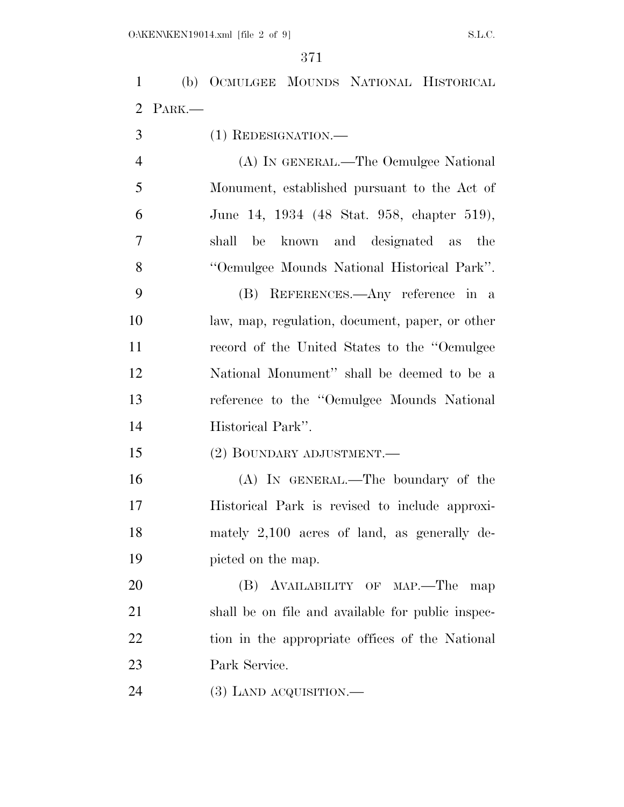(b) OCMULGEE MOUNDS NATIONAL HISTORICAL PARK.— (1) REDESIGNATION.— (A) IN GENERAL.—The Ocmulgee National Monument, established pursuant to the Act of June 14, 1934 (48 Stat. 958, chapter 519),

 shall be known and designated as the ''Ocmulgee Mounds National Historical Park''. (B) REFERENCES.—Any reference in a

 law, map, regulation, document, paper, or other record of the United States to the ''Ocmulgee National Monument'' shall be deemed to be a reference to the ''Ocmulgee Mounds National Historical Park''.

(2) BOUNDARY ADJUSTMENT.—

 (A) IN GENERAL.—The boundary of the Historical Park is revised to include approxi- mately 2,100 acres of land, as generally de-picted on the map.

 (B) AVAILABILITY OF MAP.—The map shall be on file and available for public inspec- tion in the appropriate offices of the National Park Service.

(3) LAND ACQUISITION.—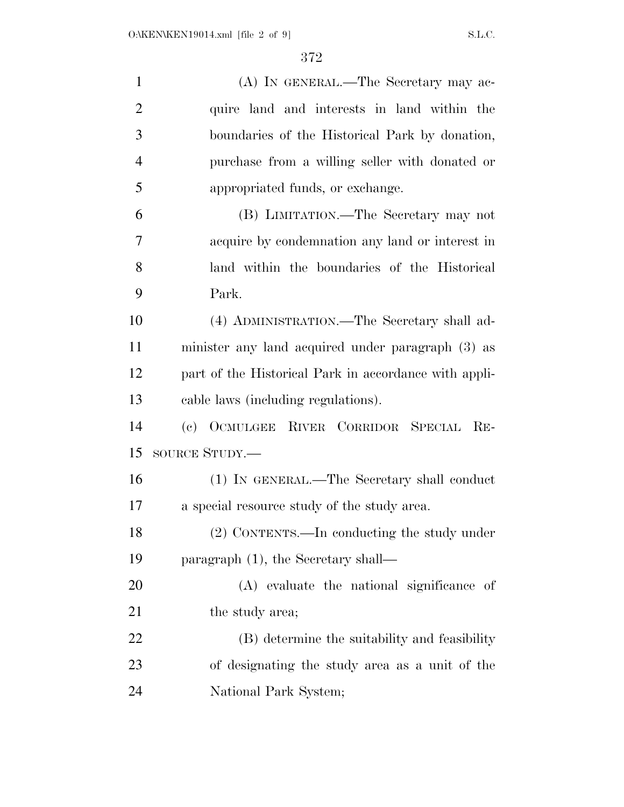| $\mathbf{1}$   | (A) IN GENERAL.—The Secretary may ac-                 |
|----------------|-------------------------------------------------------|
| $\overline{2}$ | quire land and interests in land within the           |
| 3              | boundaries of the Historical Park by donation,        |
| $\overline{4}$ | purchase from a willing seller with donated or        |
| 5              | appropriated funds, or exchange.                      |
| 6              | (B) LIMITATION.—The Secretary may not                 |
| 7              | acquire by condemnation any land or interest in       |
| 8              | land within the boundaries of the Historical          |
| 9              | Park.                                                 |
| 10             | (4) ADMINISTRATION.—The Secretary shall ad-           |
| 11             | minister any land acquired under paragraph (3) as     |
| 12             | part of the Historical Park in accordance with appli- |
| 13             | cable laws (including regulations).                   |
| 14             | (c) OCMULGEE RIVER CORRIDOR SPECIAL RE-               |
| 15             | SOURCE STUDY.—                                        |
| 16             | (1) IN GENERAL.—The Secretary shall conduct           |
| 17             | a special resource study of the study area.           |
| 18             | (2) CONTENTS.—In conducting the study under           |
| 19             | paragraph $(1)$ , the Secretary shall—                |
| 20             | (A) evaluate the national significance of             |
| 21             | the study area;                                       |
| 22             | (B) determine the suitability and feasibility         |
| 23             | of designating the study area as a unit of the        |
| 24             | National Park System;                                 |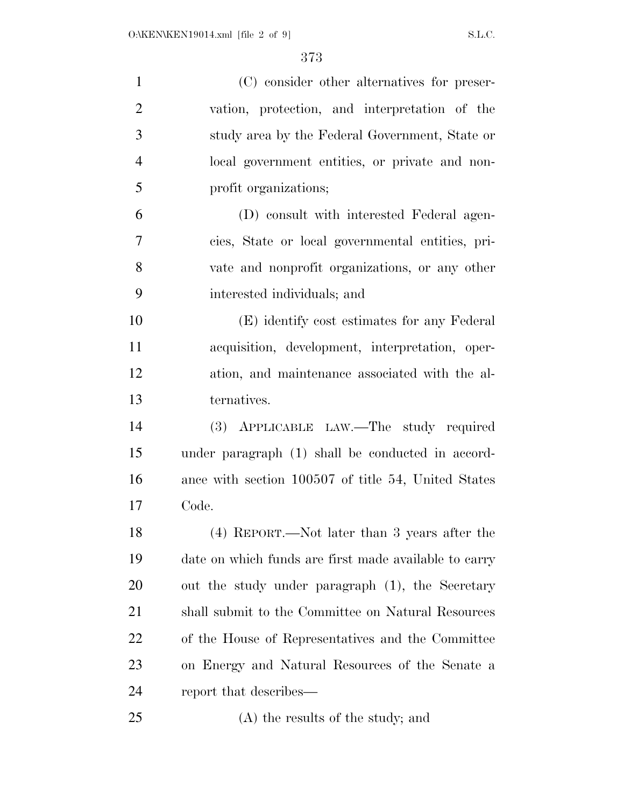| $\mathbf{1}$   | (C) consider other alternatives for preser-           |
|----------------|-------------------------------------------------------|
| $\overline{2}$ | vation, protection, and interpretation of the         |
| 3              | study area by the Federal Government, State or        |
| $\overline{4}$ | local government entities, or private and non-        |
| 5              | profit organizations;                                 |
| 6              | (D) consult with interested Federal agen-             |
| 7              | cies, State or local governmental entities, pri-      |
| 8              | vate and nonprofit organizations, or any other        |
| 9              | interested individuals; and                           |
| 10             | (E) identify cost estimates for any Federal           |
| 11             | acquisition, development, interpretation, oper-       |
| 12             | ation, and maintenance associated with the al-        |
| 13             | ternatives.                                           |
| 14             | (3) APPLICABLE LAW.—The study required                |
| 15             | under paragraph (1) shall be conducted in accord-     |
| 16             | ance with section 100507 of title 54, United States   |
| 17             | Code.                                                 |
| 18             | (4) REPORT.—Not later than 3 years after the          |
| 19             | date on which funds are first made available to carry |
| 20             | out the study under paragraph (1), the Secretary      |
| 21             | shall submit to the Committee on Natural Resources    |
| 22             | of the House of Representatives and the Committee     |
| 23             | on Energy and Natural Resources of the Senate a       |
| 24             | report that describes—                                |
| 25             | (A) the results of the study; and                     |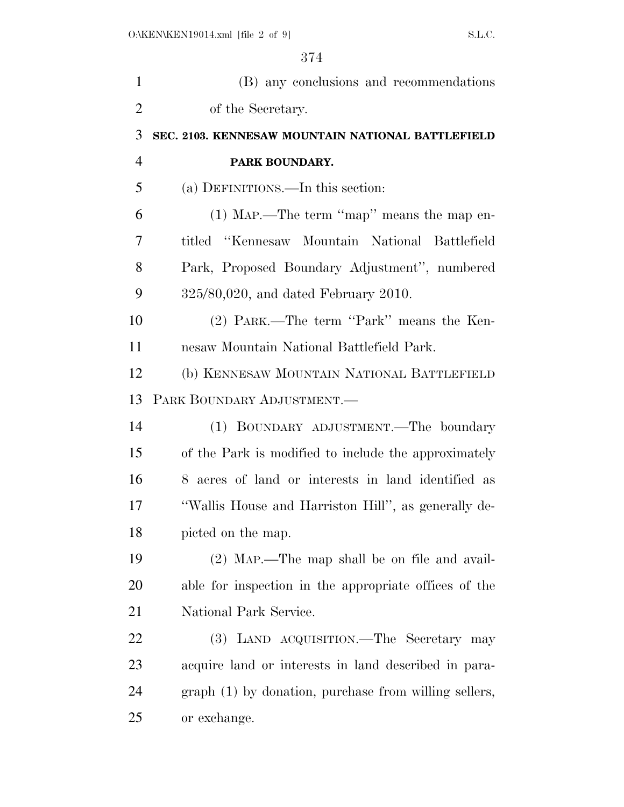| (B) any conclusions and recommendations               |
|-------------------------------------------------------|
| of the Secretary.                                     |
| SEC. 2103. KENNESAW MOUNTAIN NATIONAL BATTLEFIELD     |
| PARK BOUNDARY.                                        |
| (a) DEFINITIONS.—In this section:                     |
| $(1)$ MAP.—The term "map" means the map en-           |
| titled "Kennesaw Mountain National Battlefield        |
| Park, Proposed Boundary Adjustment", numbered         |
| $325/80,020$ , and dated February 2010.               |
| (2) PARK.—The term "Park" means the Ken-              |
| nesaw Mountain National Battlefield Park.             |
| (b) KENNESAW MOUNTAIN NATIONAL BATTLEFIELD            |
| PARK BOUNDARY ADJUSTMENT.                             |
| (1) BOUNDARY ADJUSTMENT.—The boundary                 |
| of the Park is modified to include the approximately  |
| 8 acres of land or interests in land identified as    |
| "Wallis House and Harriston Hill", as generally de-   |
| picted on the map.                                    |
| (2) MAP.—The map shall be on file and avail-          |
| able for inspection in the appropriate offices of the |
| National Park Service.                                |
| (3) LAND ACQUISITION.—The Secretary may               |
| acquire land or interests in land described in para-  |
| graph (1) by donation, purchase from willing sellers, |
| or exchange.                                          |
|                                                       |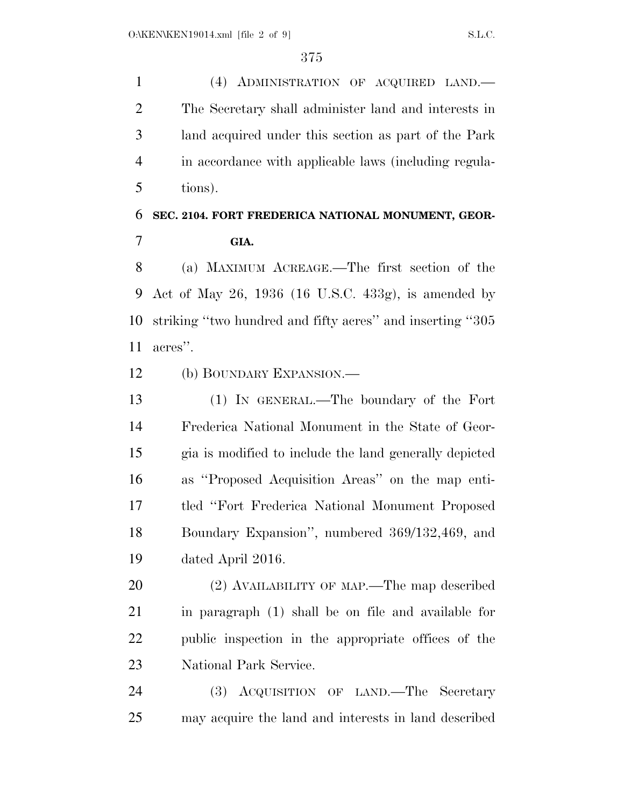(4) ADMINISTRATION OF ACQUIRED LAND.— The Secretary shall administer land and interests in land acquired under this section as part of the Park in accordance with applicable laws (including regula-tions).

## **SEC. 2104. FORT FREDERICA NATIONAL MONUMENT, GEOR-GIA.**

 (a) MAXIMUM ACREAGE.—The first section of the Act of May 26, 1936 (16 U.S.C. 433g), is amended by striking ''two hundred and fifty acres'' and inserting ''305 acres''.

(b) BOUNDARY EXPANSION.—

 (1) IN GENERAL.—The boundary of the Fort Frederica National Monument in the State of Geor- gia is modified to include the land generally depicted as ''Proposed Acquisition Areas'' on the map enti- tled ''Fort Frederica National Monument Proposed Boundary Expansion'', numbered 369/132,469, and dated April 2016.

 (2) AVAILABILITY OF MAP.—The map described in paragraph (1) shall be on file and available for public inspection in the appropriate offices of the National Park Service.

 (3) ACQUISITION OF LAND.—The Secretary may acquire the land and interests in land described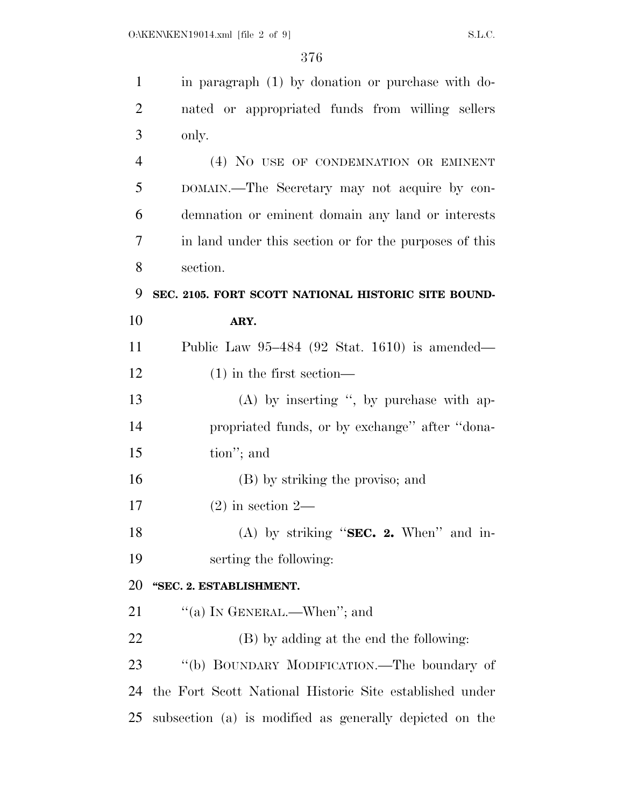| $\mathbf{1}$   | in paragraph (1) by donation or purchase with do-       |
|----------------|---------------------------------------------------------|
| $\overline{2}$ | nated or appropriated funds from willing sellers        |
| 3              | only.                                                   |
| $\overline{4}$ | (4) NO USE OF CONDEMNATION OR EMINENT                   |
| 5              | DOMAIN.—The Secretary may not acquire by con-           |
| 6              | demnation or eminent domain any land or interests       |
| 7              | in land under this section or for the purposes of this  |
| 8              | section.                                                |
| 9              | SEC. 2105. FORT SCOTT NATIONAL HISTORIC SITE BOUND-     |
| 10             | ARY.                                                    |
| 11             | Public Law $95-484$ (92 Stat. 1610) is amended—         |
| 12             | $(1)$ in the first section—                             |
| 13             | $(A)$ by inserting ", by purchase with ap-              |
| 14             | propriated funds, or by exchange" after "dona-          |
| 15             | tion"; and                                              |
| 16             | (B) by striking the proviso; and                        |
| 17             | $(2)$ in section 2—                                     |
| 18             | (A) by striking "SEC. 2. When" and in-                  |
| 19             | serting the following:                                  |
| 20             | "SEC. 2. ESTABLISHMENT.                                 |
| 21             | "(a) IN GENERAL.—When"; and                             |
| 22             | (B) by adding at the end the following:                 |
| 23             | "(b) BOUNDARY MODIFICATION.—The boundary of             |
| 24             | the Fort Scott National Historic Site established under |
| 25             | subsection (a) is modified as generally depicted on the |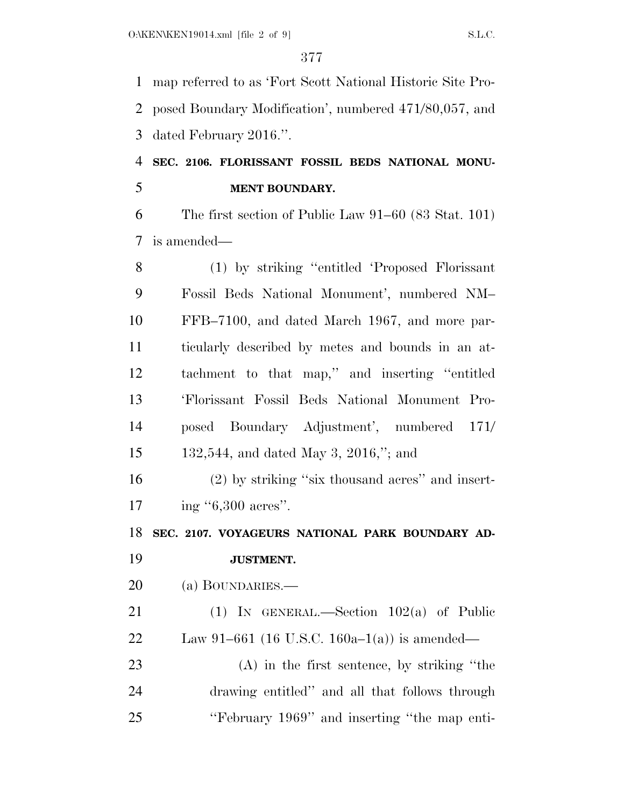map referred to as 'Fort Scott National Historic Site Pro- posed Boundary Modification', numbered 471/80,057, and dated February 2016.''.

## **SEC. 2106. FLORISSANT FOSSIL BEDS NATIONAL MONU-MENT BOUNDARY.**

 The first section of Public Law 91–60 (83 Stat. 101) is amended—

 (1) by striking ''entitled 'Proposed Florissant Fossil Beds National Monument', numbered NM– FFB–7100, and dated March 1967, and more par- ticularly described by metes and bounds in an at- tachment to that map,'' and inserting ''entitled 'Florissant Fossil Beds National Monument Pro- posed Boundary Adjustment', numbered 171/ 132,544, and dated May 3, 2016,''; and

 (2) by striking ''six thousand acres'' and insert-17 ing "6,300 acres".

**SEC. 2107. VOYAGEURS NATIONAL PARK BOUNDARY AD-**

**JUSTMENT.** 

(a) BOUNDARIES.—

 (1) IN GENERAL.—Section 102(a) of Public Law 91–661 (16 U.S.C. 160a–1(a)) is amended—

 (A) in the first sentence, by striking ''the drawing entitled'' and all that follows through ''February 1969'' and inserting ''the map enti-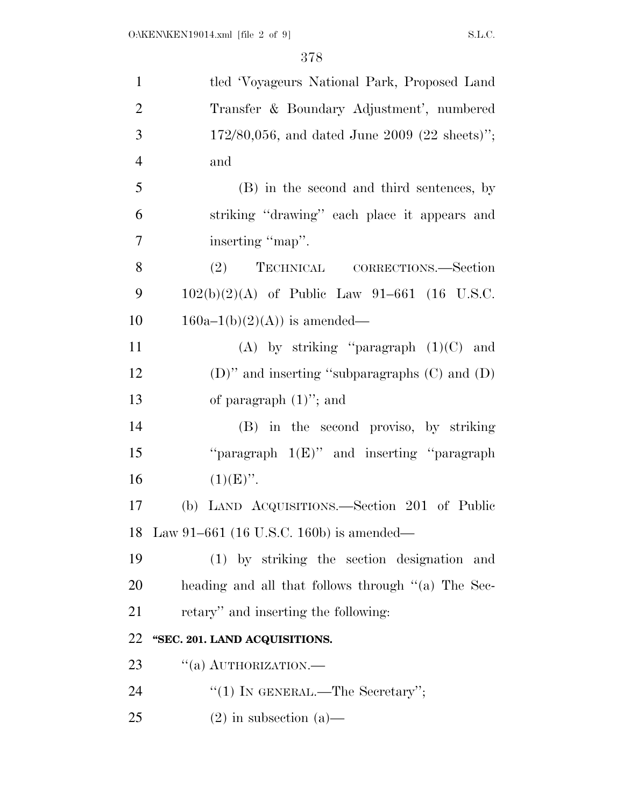| $\mathbf{1}$   | tled 'Voyageurs National Park, Proposed Land       |
|----------------|----------------------------------------------------|
| $\overline{2}$ | Transfer & Boundary Adjustment', numbered          |
| 3              | $172/80,056$ , and dated June 2009 (22 sheets)";   |
| $\overline{4}$ | and                                                |
| 5              | (B) in the second and third sentences, by          |
| 6              | striking "drawing" each place it appears and       |
| $\overline{7}$ | inserting "map".                                   |
| 8              | TECHNICAL CORRECTIONS.—Section<br>(2)              |
| 9              | $102(b)(2)(A)$ of Public Law 91–661 (16 U.S.C.     |
| 10             | $160a-1(b)(2)(A)$ is amended—                      |
| 11             | (A) by striking "paragraph $(1)(C)$ and            |
| 12             | (D)" and inserting "subparagraphs $(C)$ and $(D)$  |
| 13             | of paragraph $(1)$ "; and                          |
| 14             | (B) in the second proviso, by striking             |
| 15             | "paragraph $1(E)$ " and inserting "paragraph"      |
| 16             | $(1)(E)$ ".                                        |
| 17             | (b) LAND ACQUISITIONS.—Section 201 of Public       |
| 18             | Law 91–661 (16 U.S.C. 160b) is amended—            |
| 19             | (1) by striking the section designation<br>and     |
| 20             | heading and all that follows through "(a) The Sec- |
| 21             | retary" and inserting the following:               |
| 22             | "SEC. 201. LAND ACQUISITIONS.                      |
| 23             | $``(a)$ AUTHORIZATION.—                            |
| 24             | "(1) IN GENERAL.—The Secretary";                   |
| 25             | $(2)$ in subsection $(a)$ —                        |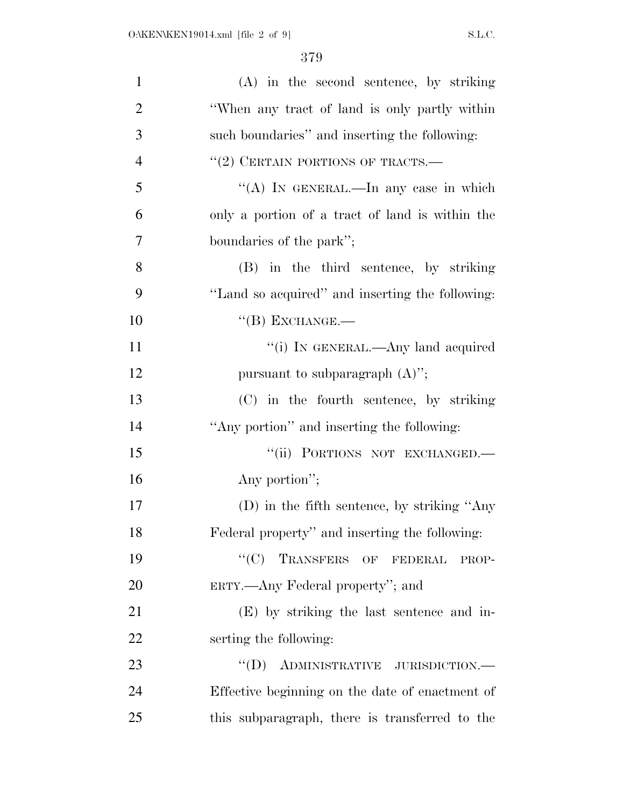| $\mathbf{1}$   | (A) in the second sentence, by striking         |
|----------------|-------------------------------------------------|
| $\overline{2}$ | "When any tract of land is only partly within   |
| 3              | such boundaries" and inserting the following:   |
| $\overline{4}$ | $``(2)$ CERTAIN PORTIONS OF TRACTS.—            |
| 5              | "(A) IN GENERAL.—In any case in which           |
| 6              | only a portion of a tract of land is within the |
| 7              | boundaries of the park";                        |
| 8              | (B) in the third sentence, by striking          |
| 9              | "Land so acquired" and inserting the following: |
| 10             | $``$ (B) EXCHANGE.—                             |
| 11             | "(i) IN GENERAL.—Any land acquired              |
| 12             | pursuant to subparagraph $(A)$ ";               |
| 13             | (C) in the fourth sentence, by striking         |
| 14             | "Any portion" and inserting the following:      |
| 15             | "(ii) PORTIONS NOT EXCHANGED.-                  |
| 16             | Any portion";                                   |
| 17             | $(D)$ in the fifth sentence, by striking "Any   |
| 18             | Federal property" and inserting the following:  |
| 19             | "(C) TRANSFERS OF FEDERAL<br>PROP-              |
| 20             | ERTY.—Any Federal property"; and                |
| 21             | (E) by striking the last sentence and in-       |
| 22             | serting the following:                          |
| 23             | $``(D)$ ADMINISTRATIVE JURISDICTION.—           |
| 24             | Effective beginning on the date of enactment of |
| 25             | this subparagraph, there is transferred to the  |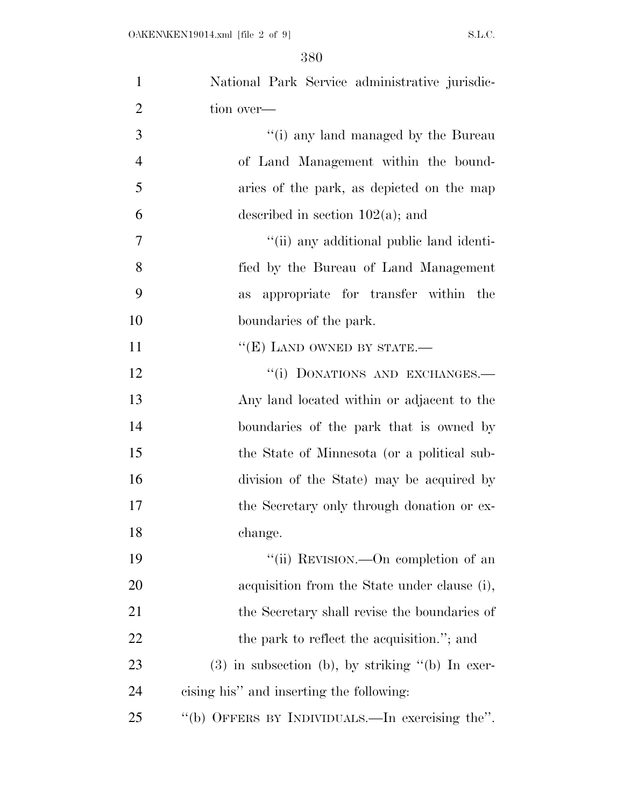| $\mathbf{1}$   | National Park Service administrative jurisdic-     |
|----------------|----------------------------------------------------|
| $\overline{2}$ | tion over—                                         |
| 3              | "(i) any land managed by the Bureau                |
| $\overline{4}$ | of Land Management within the bound-               |
| 5              | aries of the park, as depicted on the map          |
| 6              | described in section $102(a)$ ; and                |
| 7              | "(ii) any additional public land identi-           |
| 8              | fied by the Bureau of Land Management              |
| 9              | appropriate for transfer within the<br>as          |
| 10             | boundaries of the park.                            |
| 11             | " $(E)$ LAND OWNED BY STATE.—                      |
| 12             | "(i) DONATIONS AND EXCHANGES.-                     |
| 13             | Any land located within or adjacent to the         |
| 14             | boundaries of the park that is owned by            |
| 15             | the State of Minnesota (or a political sub-        |
| 16             | division of the State) may be acquired by          |
| 17             | the Secretary only through donation or ex-         |
| 18             | change.                                            |
| 19             | "(ii) REVISION.—On completion of an                |
| 20             | acquisition from the State under clause (i),       |
| 21             | the Secretary shall revise the boundaries of       |
| 22             | the park to reflect the acquisition."; and         |
| 23             | $(3)$ in subsection (b), by striking "(b) In exer- |
| 24             | cising his" and inserting the following:           |
| 25             | "(b) OFFERS BY INDIVIDUALS.—In exercising the".    |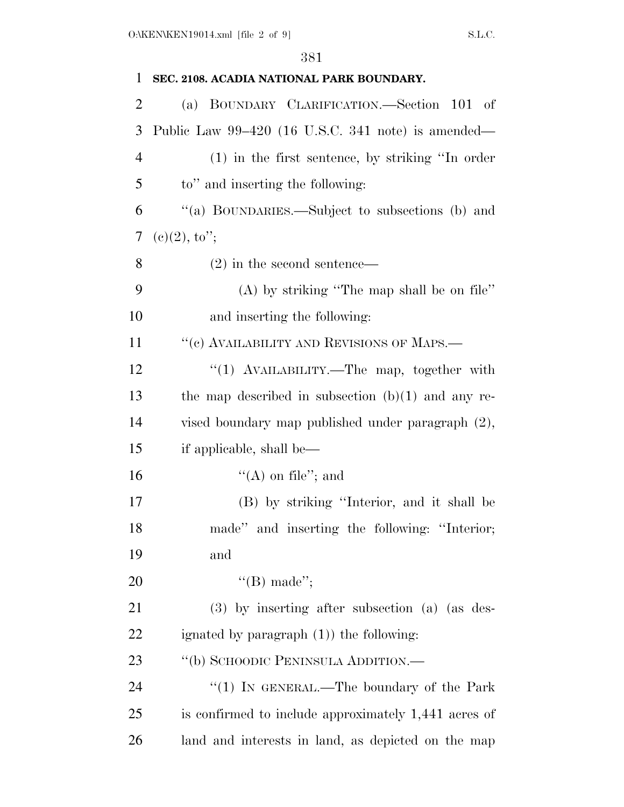| 1              | SEC. 2108. ACADIA NATIONAL PARK BOUNDARY.            |
|----------------|------------------------------------------------------|
| $\overline{2}$ | (a) BOUNDARY CLARIFICATION.—Section 101 of           |
| 3              | Public Law $99-420$ (16 U.S.C. 341 note) is amended— |
| $\overline{4}$ | $(1)$ in the first sentence, by striking "In order   |
| 5              | to" and inserting the following:                     |
| 6              | "(a) BOUNDARIES.—Subject to subsections (b) and      |
| 7              | $(c)(2), \mathrm{to''};$                             |
| 8              | $(2)$ in the second sentence—                        |
| 9              | $(A)$ by striking "The map shall be on file"         |
| 10             | and inserting the following:                         |
| 11             | "(c) AVAILABILITY AND REVISIONS OF MAPS.—            |
| 12             | "(1) AVAILABILITY.—The map, together with            |
| 13             | the map described in subsection $(b)(1)$ and any re- |
| 14             | vised boundary map published under paragraph (2),    |
| 15             | if applicable, shall be—                             |
| 16             | $\lq\lq$ (A) on file"; and                           |
| 17             | (B) by striking "Interior, and it shall be           |
| 18             | made" and inserting the following: "Interior;        |
| 19             | and                                                  |
| 20             | "(B) made";                                          |
| 21             | $(3)$ by inserting after subsection (a) (as des-     |
| 22             | ignated by paragraph $(1)$ the following:            |
| 23             | "(b) SCHOODIC PENINSULA ADDITION.—                   |
| 24             | "(1) IN GENERAL.—The boundary of the Park            |
| 25             | is confirmed to include approximately 1,441 acres of |
| 26             | land and interests in land, as depicted on the map   |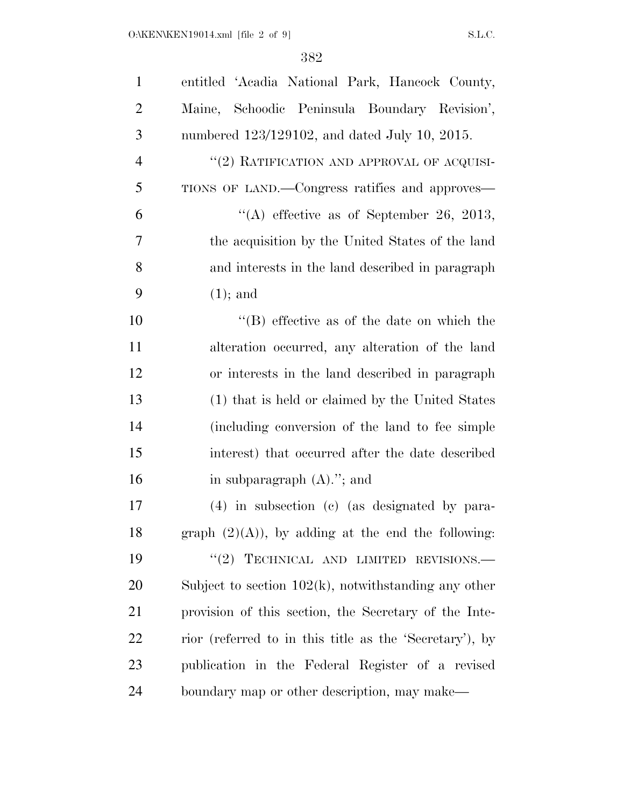| $\mathbf{1}$   | entitled 'Acadia National Park, Hancock County,         |
|----------------|---------------------------------------------------------|
| $\overline{2}$ | Maine, Schoodic Peninsula Boundary Revision',           |
| 3              | numbered 123/129102, and dated July 10, 2015.           |
| $\overline{4}$ | "(2) RATIFICATION AND APPROVAL OF ACQUISI-              |
| 5              | TIONS OF LAND.—Congress ratifies and approves—          |
| 6              | "(A) effective as of September 26, 2013,                |
| 7              | the acquisition by the United States of the land        |
| 8              | and interests in the land described in paragraph        |
| 9              | $(1);$ and                                              |
| 10             | $\lq\lq$ effective as of the date on which the          |
| 11             | alteration occurred, any alteration of the land         |
| 12             | or interests in the land described in paragraph         |
| 13             | (1) that is held or claimed by the United States        |
| 14             | (including conversion of the land to fee simple         |
| 15             | interest) that occurred after the date described        |
| 16             | in subparagraph $(A)$ ."; and                           |
| 17             | (4) in subsection (c) (as designated by para-           |
| 18             | graph $(2)(A)$ , by adding at the end the following:    |
| 19             | "(2) TECHNICAL AND LIMITED REVISIONS.                   |
| 20             | Subject to section $102(k)$ , notwithstanding any other |
| 21             | provision of this section, the Secretary of the Inte-   |
| 22             | rior (referred to in this title as the 'Secretary'), by |
| 23             | publication in the Federal Register of a revised        |
| 24             | boundary map or other description, may make—            |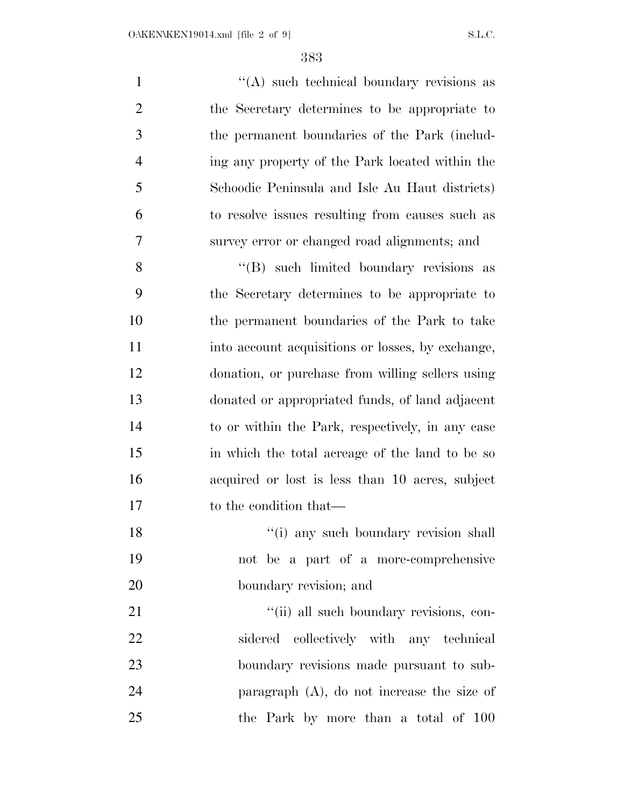1 ''(A) such technical boundary revisions as the Secretary determines to be appropriate to the permanent boundaries of the Park (includ- ing any property of the Park located within the Schoodic Peninsula and Isle Au Haut districts) to resolve issues resulting from causes such as survey error or changed road alignments; and 8 ''(B) such limited boundary revisions as

 the Secretary determines to be appropriate to the permanent boundaries of the Park to take into account acquisitions or losses, by exchange, donation, or purchase from willing sellers using donated or appropriated funds, of land adjacent to or within the Park, respectively, in any case in which the total acreage of the land to be so acquired or lost is less than 10 acres, subject 17 to the condition that—

18 ''(i) any such boundary revision shall not be a part of a more-comprehensive boundary revision; and

 $\frac{1}{2}$  (ii) all such boundary revisions, con- sidered collectively with any technical boundary revisions made pursuant to sub- paragraph (A), do not increase the size of the Park by more than a total of 100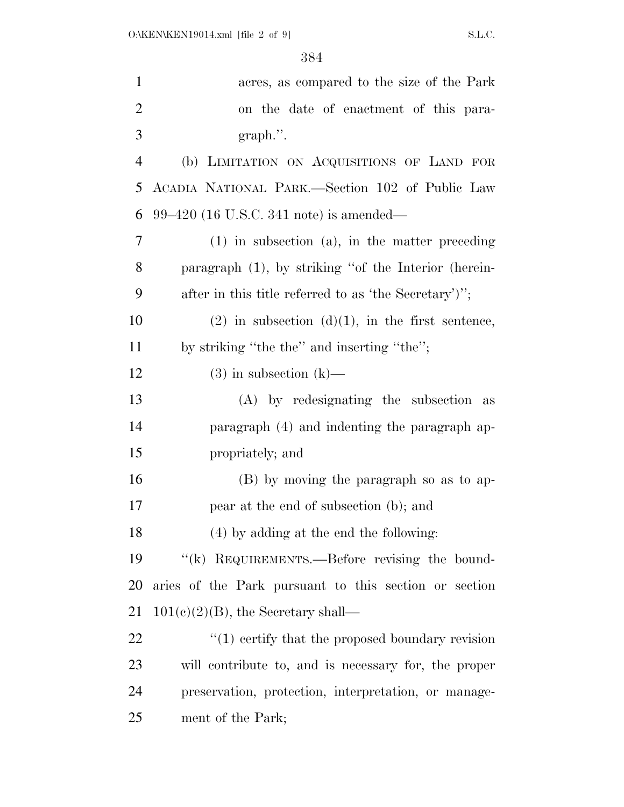| $\mathbf{1}$   | acres, as compared to the size of the Park              |
|----------------|---------------------------------------------------------|
| $\overline{2}$ | on the date of enactment of this para-                  |
| 3              | $graph.$ ".                                             |
| $\overline{4}$ | (b) LIMITATION ON ACQUISITIONS OF LAND FOR              |
| 5              | ACADIA NATIONAL PARK.—Section 102 of Public Law         |
| 6              | $99-420$ (16 U.S.C. 341 note) is amended—               |
| 7              | $(1)$ in subsection $(a)$ , in the matter preceding     |
| 8              | paragraph (1), by striking "of the Interior (herein-    |
| 9              | after in this title referred to as 'the Secretary')";   |
| 10             | $(2)$ in subsection $(d)(1)$ , in the first sentence,   |
| 11             | by striking "the the" and inserting "the";              |
| 12             | $(3)$ in subsection $(k)$ —                             |
| 13             | (A) by redesignating the subsection as                  |
| 14             | paragraph (4) and indenting the paragraph ap-           |
| 15             | propriately; and                                        |
| 16             | (B) by moving the paragraph so as to ap-                |
| 17             | pear at the end of subsection (b); and                  |
| 18             | (4) by adding at the end the following:                 |
| 19             | "(k) REQUIREMENTS.—Before revising the bound-           |
| 20             | aries of the Park pursuant to this section or section   |
| 21             | $101(c)(2)(B)$ , the Secretary shall—                   |
| 22             | $\cdot$ (1) certify that the proposed boundary revision |
| 23             | will contribute to, and is necessary for, the proper    |
| 24             | preservation, protection, interpretation, or manage-    |
| 25             | ment of the Park;                                       |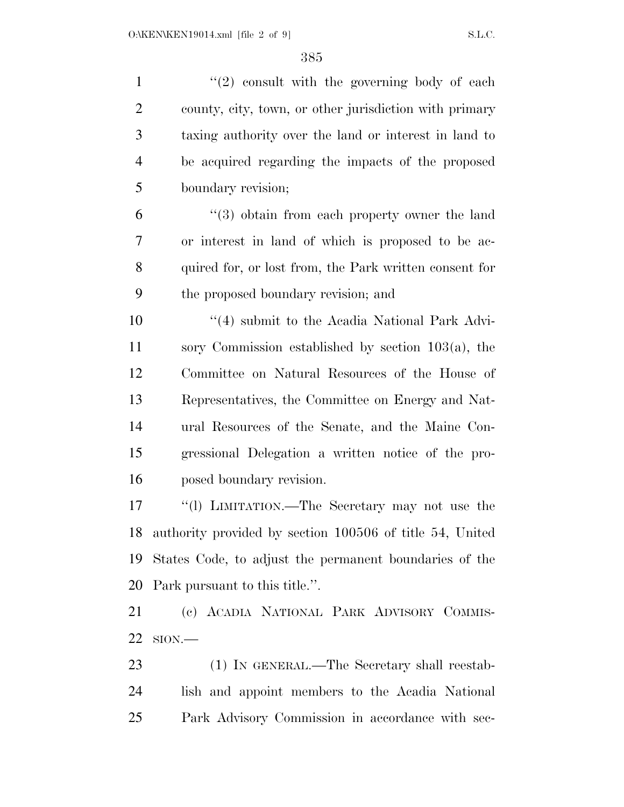$\frac{1}{2}$  ''(2) consult with the governing body of each county, city, town, or other jurisdiction with primary taxing authority over the land or interest in land to be acquired regarding the impacts of the proposed boundary revision; ''(3) obtain from each property owner the land or interest in land of which is proposed to be ac- quired for, or lost from, the Park written consent for the proposed boundary revision; and 10 ''(4) submit to the Acadia National Park Advi- sory Commission established by section 103(a), the Committee on Natural Resources of the House of Representatives, the Committee on Energy and Nat- ural Resources of the Senate, and the Maine Con- gressional Delegation a written notice of the pro- posed boundary revision. ''(l) LIMITATION.—The Secretary may not use the authority provided by section 100506 of title 54, United States Code, to adjust the permanent boundaries of the Park pursuant to this title.''. (c) ACADIA NATIONAL PARK ADVISORY COMMIS- SION.— 23 (1) IN GENERAL.—The Secretary shall reestab-lish and appoint members to the Acadia National

Park Advisory Commission in accordance with sec-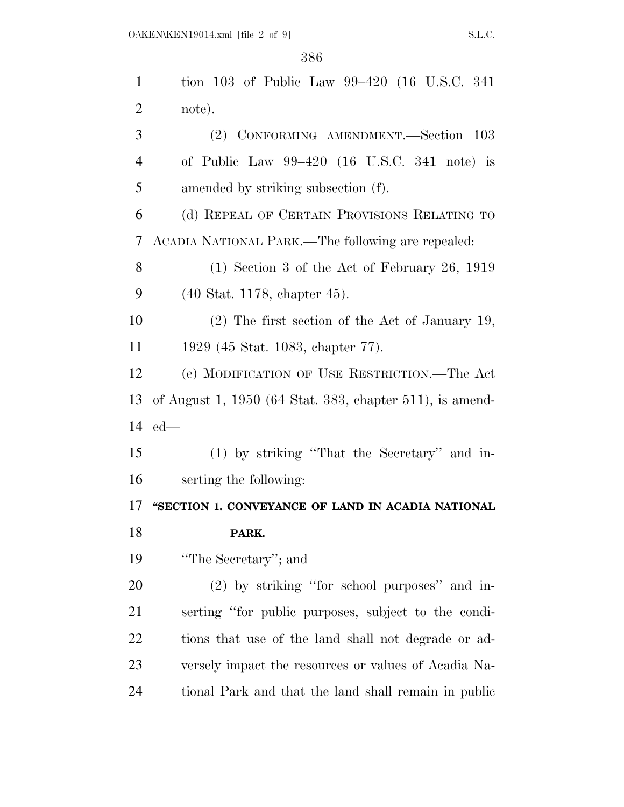| $\mathbf{1}$   | tion 103 of Public Law 99–420 (16 U.S.C. 341)            |
|----------------|----------------------------------------------------------|
| $\overline{2}$ | note).                                                   |
| 3              | (2) CONFORMING AMENDMENT.—Section 103                    |
| $\overline{4}$ | of Public Law $99-420$ (16 U.S.C. 341 note) is           |
| 5              | amended by striking subsection (f).                      |
| 6              | (d) REPEAL OF CERTAIN PROVISIONS RELATING TO             |
| 7              | ACADIA NATIONAL PARK.—The following are repealed:        |
| 8              | $(1)$ Section 3 of the Act of February 26, 1919          |
| 9              | $(40 \text{ Stat. } 1178, \text{ chapter } 45).$         |
| 10             | $(2)$ The first section of the Act of January 19,        |
| 11             | 1929 (45 Stat. 1083, chapter 77).                        |
| 12             | (e) MODIFICATION OF USE RESTRICTION.—The Act             |
|                |                                                          |
| 13             | of August 1, 1950 (64 Stat. 383, chapter 511), is amend- |
|                | $14$ ed—                                                 |
| 15             | (1) by striking "That the Secretary" and in-             |
| 16             | serting the following:                                   |
| 17             | "SECTION 1. CONVEYANCE OF LAND IN ACADIA NATIONAL        |
| 18             | PARK.                                                    |
| 19             | "The Secretary"; and                                     |
| <b>20</b>      | (2) by striking "for school purposes" and in-            |
| 21             | serting "for public purposes, subject to the condi-      |
| 22             | tions that use of the land shall not degrade or ad-      |
| 23             | versely impact the resources or values of Acadia Na-     |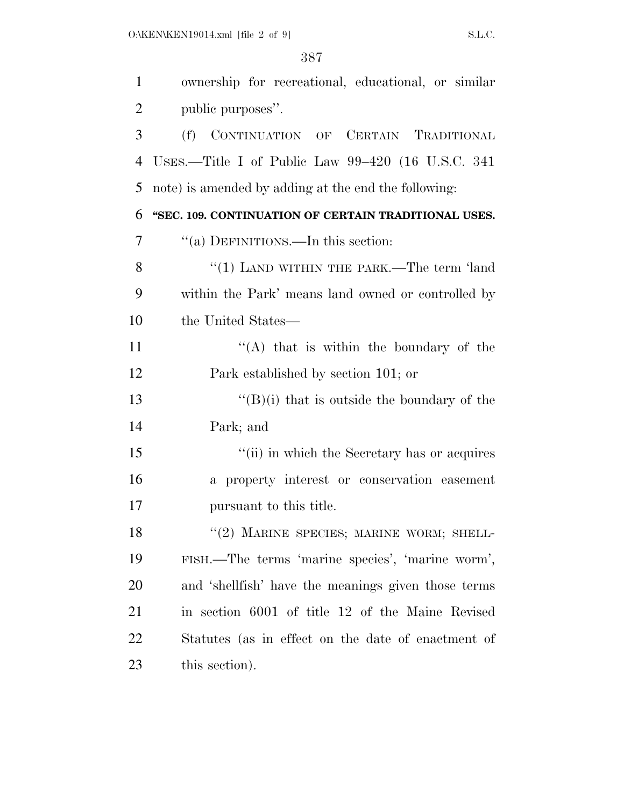| $\mathbf{1}$   | ownership for recreational, educational, or similar  |
|----------------|------------------------------------------------------|
| $\overline{2}$ | public purposes".                                    |
| 3              | (f)<br>CONTINUATION OF CERTAIN TRADITIONAL           |
| $\overline{4}$ | USES.—Title I of Public Law $99-420$ (16 U.S.C. 341) |
| 5              | note) is amended by adding at the end the following: |
| 6              | "SEC. 109. CONTINUATION OF CERTAIN TRADITIONAL USES. |
| 7              | "(a) DEFINITIONS.—In this section:                   |
| 8              | " $(1)$ LAND WITHIN THE PARK.—The term 'land         |
| 9              | within the Park' means land owned or controlled by   |
| 10             | the United States—                                   |
| 11             | "(A) that is within the boundary of the              |
| 12             | Park established by section 101; or                  |
| 13             | $\lq\lq (B)(i)$ that is outside the boundary of the  |
| 14             | Park; and                                            |
| 15             | "(ii) in which the Secretary has or acquires         |
| 16             | a property interest or conservation easement         |
| 17             | pursuant to this title.                              |
| 18             | "(2) MARINE SPECIES; MARINE WORM; SHELL-             |
| 19             | FISH.—The terms 'marine species', 'marine worm',     |
| <b>20</b>      | and 'shellfish' have the meanings given those terms  |
| 21             | in section 6001 of title 12 of the Maine Revised     |
| 22             | Statutes (as in effect on the date of enactment of   |
| 23             | this section).                                       |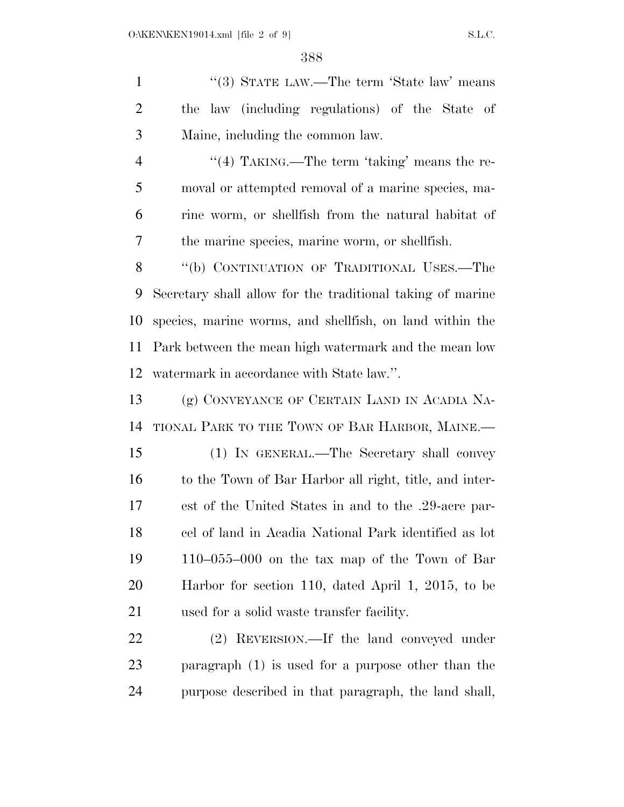1 ''(3) STATE LAW.—The term 'State law' means the law (including regulations) of the State of Maine, including the common law. 4 "(4) TAKING.—The term 'taking' means the re- moval or attempted removal of a marine species, ma- rine worm, or shellfish from the natural habitat of the marine species, marine worm, or shellfish. 8 "(b) CONTINUATION OF TRADITIONAL USES.—The Secretary shall allow for the traditional taking of marine species, marine worms, and shellfish, on land within the Park between the mean high watermark and the mean low watermark in accordance with State law.''. (g) CONVEYANCE OF CERTAIN LAND IN ACADIA NA- TIONAL PARK TO THE TOWN OF BAR HARBOR, MAINE.— (1) IN GENERAL.—The Secretary shall convey to the Town of Bar Harbor all right, title, and inter-

 est of the United States in and to the .29-acre par- cel of land in Acadia National Park identified as lot 110–055–000 on the tax map of the Town of Bar Harbor for section 110, dated April 1, 2015, to be used for a solid waste transfer facility.

 (2) REVERSION.—If the land conveyed under paragraph (1) is used for a purpose other than the purpose described in that paragraph, the land shall,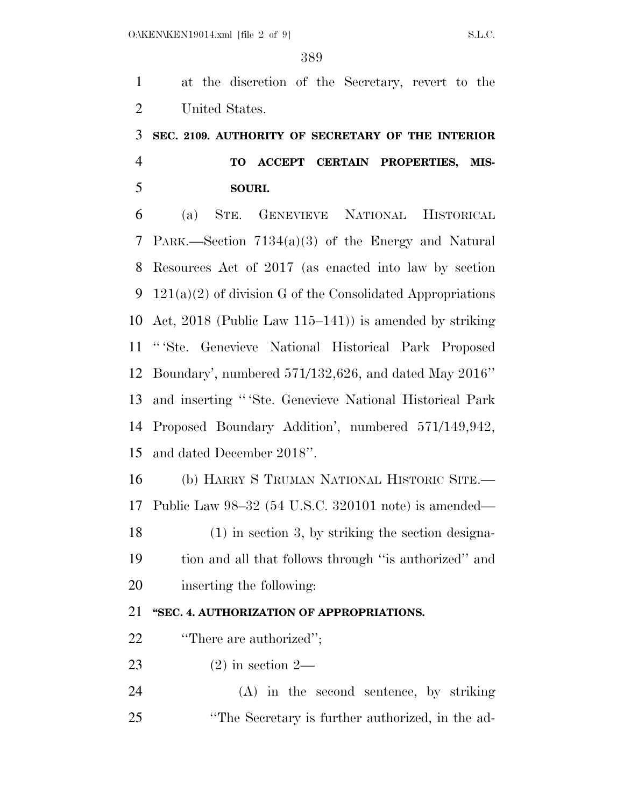at the discretion of the Secretary, revert to the United States.

## **SEC. 2109. AUTHORITY OF SECRETARY OF THE INTERIOR TO ACCEPT CERTAIN PROPERTIES, MIS-SOURI.**

 (a) STE. GENEVIEVE NATIONAL HISTORICAL PARK.—Section 7134(a)(3) of the Energy and Natural Resources Act of 2017 (as enacted into law by section 121(a)(2) of division G of the Consolidated Appropriations Act, 2018 (Public Law 115–141)) is amended by striking '' 'Ste. Genevieve National Historical Park Proposed Boundary', numbered 571/132,626, and dated May 2016'' and inserting '' 'Ste. Genevieve National Historical Park Proposed Boundary Addition', numbered 571/149,942, and dated December 2018''.

 (b) HARRY S TRUMAN NATIONAL HISTORIC SITE.— Public Law 98–32 (54 U.S.C. 320101 note) is amended— (1) in section 3, by striking the section designa- tion and all that follows through ''is authorized'' and inserting the following:

### **''SEC. 4. AUTHORIZATION OF APPROPRIATIONS.**

- **''There are authorized''**;
- (2) in section 2—
- (A) in the second sentence, by striking ''The Secretary is further authorized, in the ad-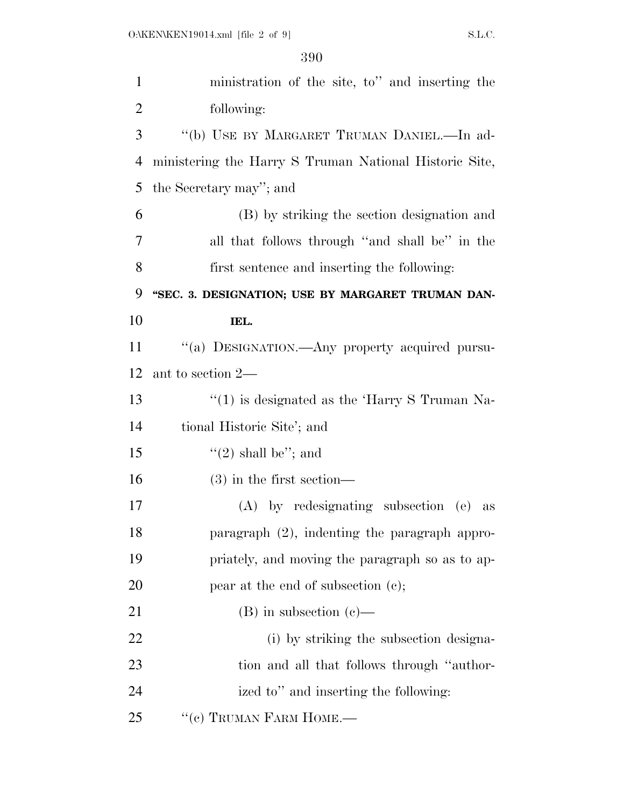| $\mathbf{1}$   | ministration of the site, to" and inserting the          |
|----------------|----------------------------------------------------------|
| $\overline{2}$ | following:                                               |
| 3              | "(b) USE BY MARGARET TRUMAN DANIEL.-In ad-               |
| $\overline{4}$ | ministering the Harry S Truman National Historic Site,   |
| 5              | the Secretary may"; and                                  |
| 6              | (B) by striking the section designation and              |
| 7              | all that follows through "and shall be" in the           |
| 8              | first sentence and inserting the following:              |
| 9              | "SEC. 3. DESIGNATION; USE BY MARGARET TRUMAN DAN-        |
| 10             | IEL.                                                     |
| 11             | "(a) DESIGNATION.—Any property acquired pursu-           |
| 12             | ant to section 2—                                        |
| 13             | $\cdot\cdot(1)$ is designated as the 'Harry S Truman Na- |
| 14             | tional Historic Site'; and                               |
| 15             | "(2) shall be"; and                                      |
| 16             | $(3)$ in the first section—                              |
| 17             | $(A)$ by redesignating subsection $(e)$<br>as            |
| 18             | paragraph (2), indenting the paragraph appro-            |
| 19             | priately, and moving the paragraph so as to ap-          |
| 20             | pear at the end of subsection (c);                       |
| 21             | $(B)$ in subsection $(c)$ —                              |
| 22             | (i) by striking the subsection designa-                  |
| 23             | tion and all that follows through "author-               |
| 24             | ized to" and inserting the following:                    |
| 25             | "(c) TRUMAN FARM HOME.-                                  |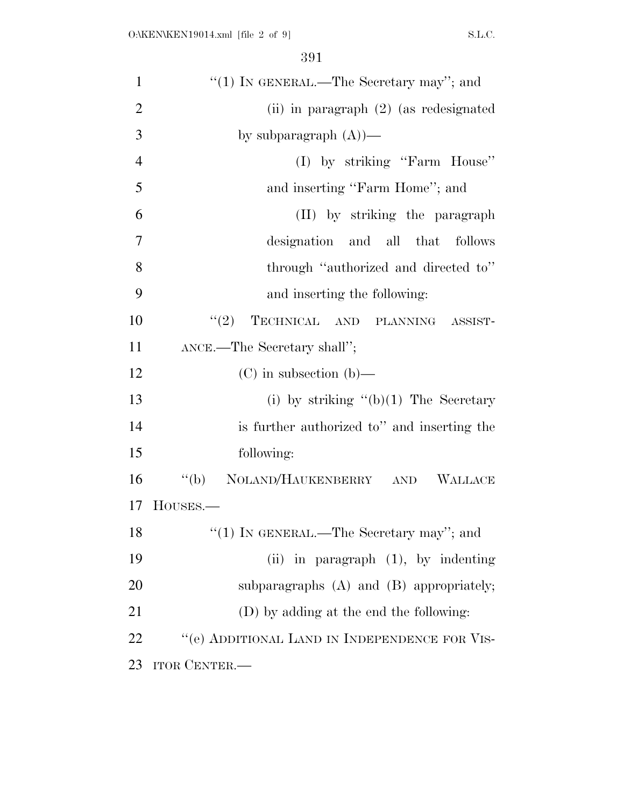| $\mathbf{1}$   | "(1) IN GENERAL.—The Secretary may"; and       |
|----------------|------------------------------------------------|
| $\overline{2}$ | (ii) in paragraph $(2)$ (as redesignated       |
| 3              | by subparagraph $(A)$ )—                       |
| $\overline{4}$ | (I) by striking "Farm House"                   |
| 5              | and inserting "Farm Home"; and                 |
| 6              | (II) by striking the paragraph                 |
| $\overline{7}$ | designation and all that follows               |
| 8              | through "authorized and directed to"           |
| 9              | and inserting the following:                   |
| 10             | TECHNICAL AND PLANNING ASSIST-<br>(2)          |
| 11             | ANCE.—The Secretary shall";                    |
| 12             | $(C)$ in subsection $(b)$ —                    |
| 13             | (i) by striking $(6)(1)$ The Secretary         |
| 14             | is further authorized to" and inserting the    |
| 15             | following:                                     |
| 16             | NOLAND/HAUKENBERRY AND<br>$\lq (b)$<br>WALLACE |
| 17             | HOUSES.—                                       |
| 18             | "(1) IN GENERAL.—The Secretary may"; and       |
| 19             | (ii) in paragraph $(1)$ , by indenting         |
| 20             | subparagraphs $(A)$ and $(B)$ appropriately;   |
| 21             | (D) by adding at the end the following:        |
| 22             | "(e) ADDITIONAL LAND IN INDEPENDENCE FOR VIS-  |
| 23             | <b>ITOR CENTER.—</b>                           |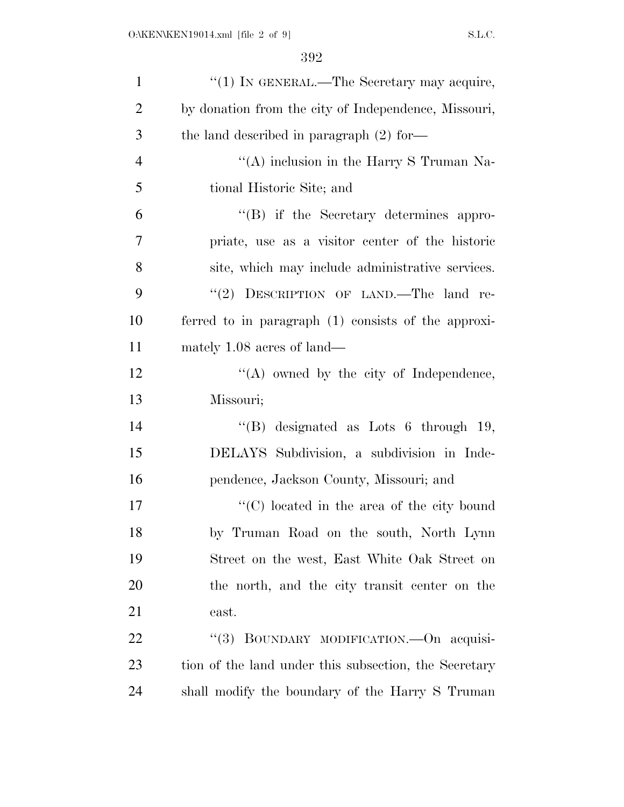| $\mathbf{1}$   | "(1) IN GENERAL.—The Secretary may acquire,           |
|----------------|-------------------------------------------------------|
| $\overline{2}$ | by donation from the city of Independence, Missouri,  |
| 3              | the land described in paragraph $(2)$ for-            |
| $\overline{4}$ | "(A) inclusion in the Harry S Truman Na-              |
| 5              | tional Historic Site; and                             |
| 6              | $\lq\lq (B)$ if the Secretary determines appro-       |
| 7              | priate, use as a visitor center of the historic       |
| 8              | site, which may include administrative services.      |
| 9              | "(2) DESCRIPTION OF LAND.—The land re-                |
| 10             | ferred to in paragraph (1) consists of the approxi-   |
| 11             | mately 1.08 acres of land—                            |
| 12             | $\lq\lq$ owned by the city of Independence,           |
| 13             | Missouri;                                             |
| 14             | "(B) designated as Lots $6$ through 19,               |
| 15             | DELAYS Subdivision, a subdivision in Inde-            |
| 16             | pendence, Jackson County, Missouri; and               |
| 17             | $\lq\lq$ (C) located in the area of the city bound    |
| 18             | by Truman Road on the south, North Lynn               |
| 19             | Street on the west, East White Oak Street on          |
| 20             | the north, and the city transit center on the         |
| 21             | east.                                                 |
| 22             | BOUNDARY MODIFICATION.-On acquisi-<br>``(3)           |
| 23             | tion of the land under this subsection, the Secretary |
| 24             | shall modify the boundary of the Harry S Truman       |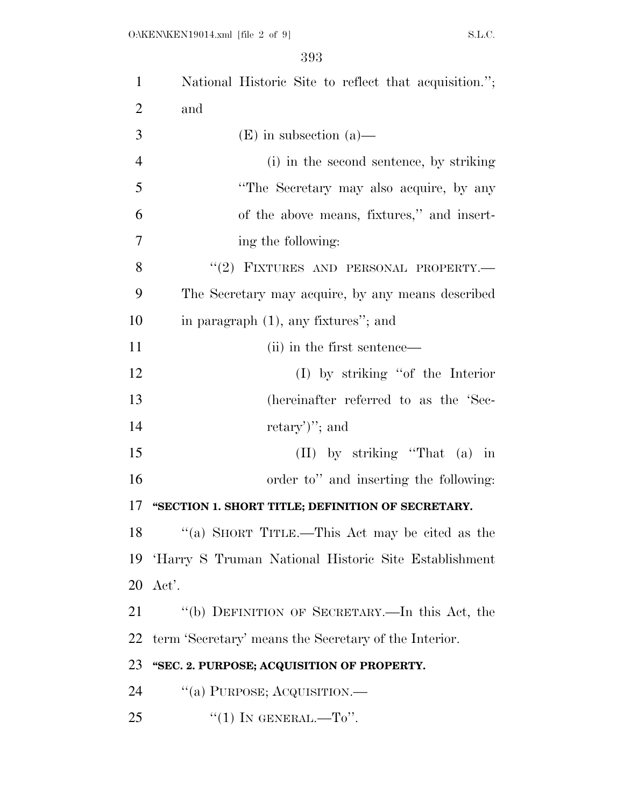| $\mathbf{1}$   | National Historic Site to reflect that acquisition."; |
|----------------|-------------------------------------------------------|
| 2              | and                                                   |
| 3              | $(E)$ in subsection (a)—                              |
| $\overline{4}$ | (i) in the second sentence, by striking               |
| 5              | "The Secretary may also acquire, by any               |
| 6              | of the above means, fixtures," and insert-            |
| 7              | ing the following:                                    |
| 8              | "(2) FIXTURES AND PERSONAL PROPERTY.                  |
| 9              | The Secretary may acquire, by any means described     |
| 10             | in paragraph $(1)$ , any fixtures"; and               |
| 11             | (ii) in the first sentence—                           |
| 12             | $(I)$ by striking "of the Interior"                   |
| 13             | (hereinafter referred to as the 'Sec-                 |
| 14             | $retary$ "; and                                       |
| 15             | $(II)$ by striking "That $(a)$ in                     |
| 16             | order to" and inserting the following:                |
| 17             | "SECTION 1. SHORT TITLE; DEFINITION OF SECRETARY.     |
| 18             | "(a) SHORT TITLE.—This Act may be cited as the        |
| 19             | 'Harry S Truman National Historic Site Establishment  |
| 20             | Act'.                                                 |
| 21             | "(b) DEFINITION OF SECRETARY.—In this Act, the        |
| 22             | term 'Secretary' means the Secretary of the Interior. |
| 23             | "SEC. 2. PURPOSE; ACQUISITION OF PROPERTY.            |
| 24             | "(a) PURPOSE; ACQUISITION.—                           |
| 25             | "(1) IN GENERAL.—To".                                 |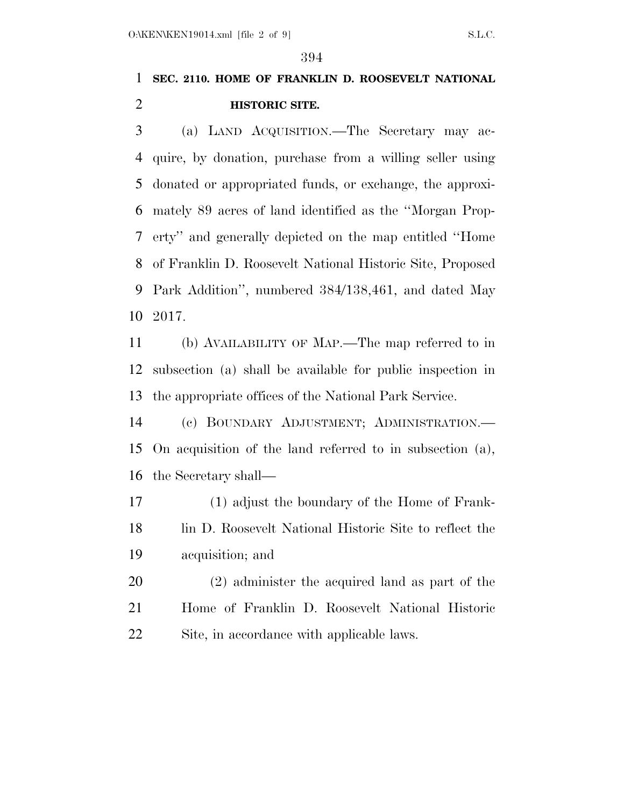## **SEC. 2110. HOME OF FRANKLIN D. ROOSEVELT NATIONAL HISTORIC SITE.**

 (a) LAND ACQUISITION.—The Secretary may ac- quire, by donation, purchase from a willing seller using donated or appropriated funds, or exchange, the approxi- mately 89 acres of land identified as the ''Morgan Prop- erty'' and generally depicted on the map entitled ''Home of Franklin D. Roosevelt National Historic Site, Proposed Park Addition'', numbered 384/138,461, and dated May 2017.

 (b) AVAILABILITY OF MAP.—The map referred to in subsection (a) shall be available for public inspection in the appropriate offices of the National Park Service.

 (c) BOUNDARY ADJUSTMENT; ADMINISTRATION.— On acquisition of the land referred to in subsection (a), the Secretary shall—

 (1) adjust the boundary of the Home of Frank- lin D. Roosevelt National Historic Site to reflect the acquisition; and

 (2) administer the acquired land as part of the Home of Franklin D. Roosevelt National Historic Site, in accordance with applicable laws.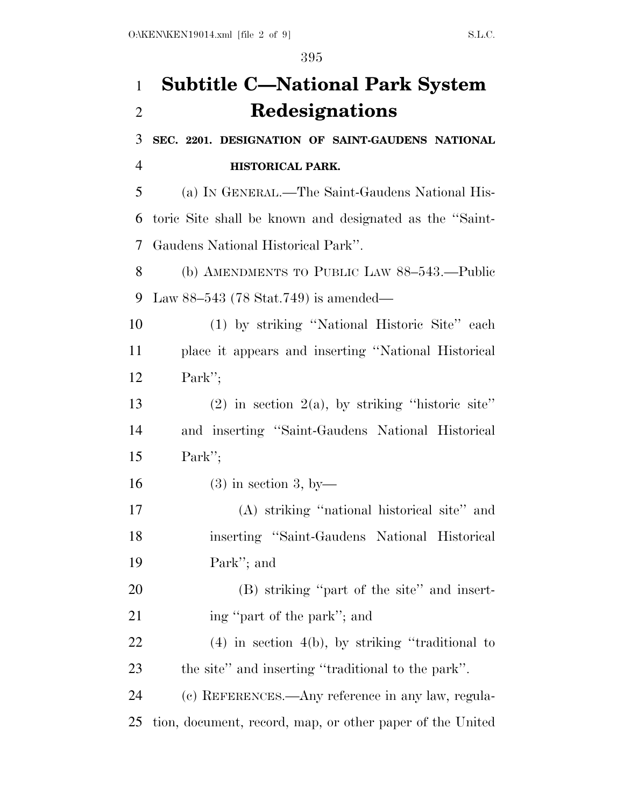# **Subtitle C—National Park System Redesignations**

 **SEC. 2201. DESIGNATION OF SAINT-GAUDENS NATIONAL HISTORICAL PARK.** 

 (a) IN GENERAL.—The Saint-Gaudens National His- toric Site shall be known and designated as the ''Saint-Gaudens National Historical Park''.

 (b) AMENDMENTS TO PUBLIC LAW 88–543.—Public Law 88–543 (78 Stat.749) is amended—

 (1) by striking ''National Historic Site'' each place it appears and inserting ''National Historical Park'';

13 (2) in section  $2(a)$ , by striking "historic site" and inserting ''Saint-Gaudens National Historical Park'';

16 (3) in section 3, by

 (A) striking ''national historical site'' and inserting ''Saint-Gaudens National Historical Park''; and

 (B) striking ''part of the site'' and insert-21 ing "part of the park"; and

 (4) in section 4(b), by striking ''traditional to the site'' and inserting ''traditional to the park''.

 (c) REFERENCES.—Any reference in any law, regula-tion, document, record, map, or other paper of the United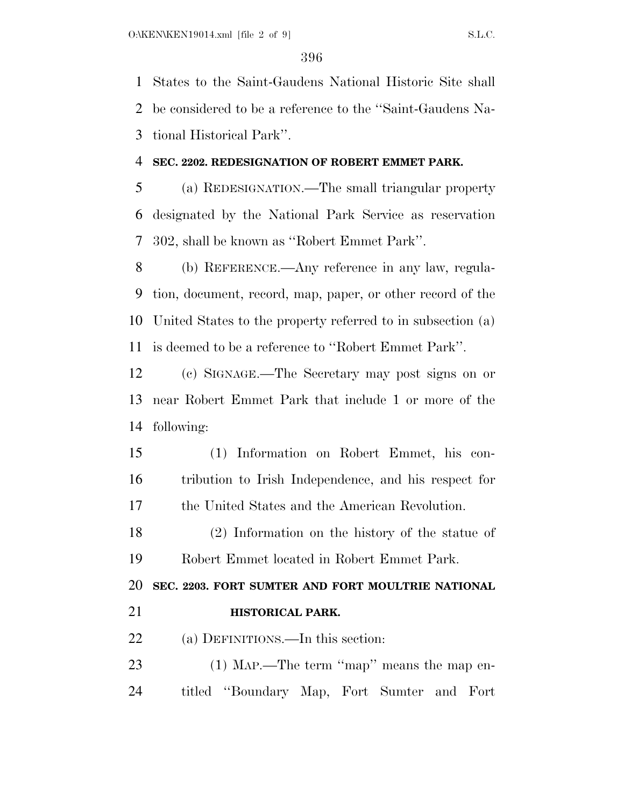States to the Saint-Gaudens National Historic Site shall be considered to be a reference to the ''Saint-Gaudens Na-tional Historical Park''.

#### **SEC. 2202. REDESIGNATION OF ROBERT EMMET PARK.**

 (a) REDESIGNATION.—The small triangular property designated by the National Park Service as reservation 302, shall be known as ''Robert Emmet Park''.

 (b) REFERENCE.—Any reference in any law, regula- tion, document, record, map, paper, or other record of the United States to the property referred to in subsection (a) is deemed to be a reference to ''Robert Emmet Park''.

 (c) SIGNAGE.—The Secretary may post signs on or near Robert Emmet Park that include 1 or more of the following:

 (1) Information on Robert Emmet, his con- tribution to Irish Independence, and his respect for the United States and the American Revolution.

 (2) Information on the history of the statue of Robert Emmet located in Robert Emmet Park.

**SEC. 2203. FORT SUMTER AND FORT MOULTRIE NATIONAL** 

**HISTORICAL PARK.** 

22 (a) DEFINITIONS.—In this section:

23 (1) Map.—The term "map" means the map en-titled ''Boundary Map, Fort Sumter and Fort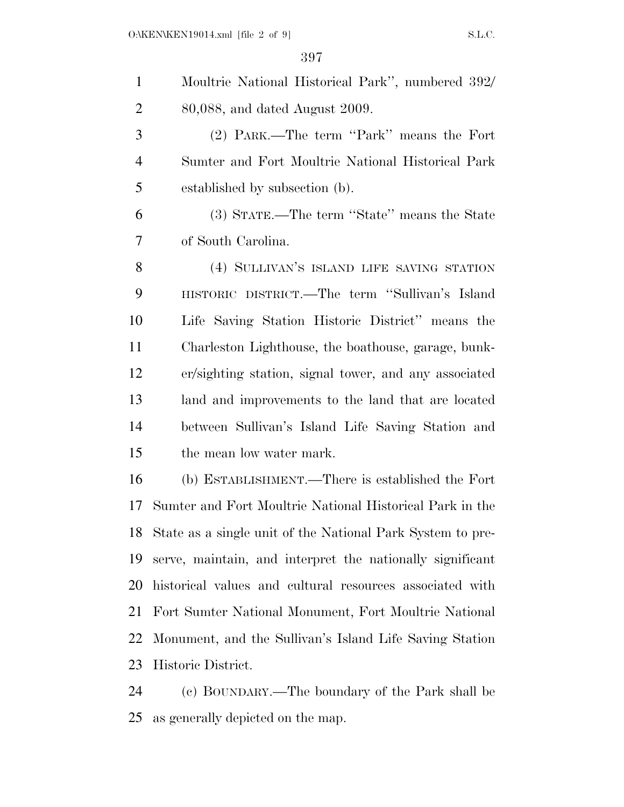| $\mathbf{1}$   | Moultrie National Historical Park", numbered 392/             |
|----------------|---------------------------------------------------------------|
| $\overline{2}$ | 80,088, and dated August 2009.                                |
| 3              | (2) PARK.—The term "Park" means the Fort                      |
| $\overline{4}$ | Sumter and Fort Moultrie National Historical Park             |
| 5              | established by subsection (b).                                |
| 6              | (3) STATE.—The term "State" means the State                   |
| 7              | of South Carolina.                                            |
| 8              | (4) SULLIVAN'S ISLAND LIFE SAVING STATION                     |
| 9              | HISTORIC DISTRICT.—The term "Sullivan's Island                |
| 10             | Life Saving Station Historic District" means the              |
| 11             | Charleston Lighthouse, the boathouse, garage, bunk-           |
| 12             | er/sighting station, signal tower, and any associated         |
| 13             | land and improvements to the land that are located            |
| 14             | between Sullivan's Island Life Saving Station and             |
| 15             | the mean low water mark.                                      |
| 16             | (b) ESTABLISHMENT.—There is established the Fort              |
| 17             | Sumter and Fort Moultrie National Historical Park in the      |
|                | 18 State as a single unit of the National Park System to pre- |
| 19             | serve, maintain, and interpret the nationally significant     |
| 20             | historical values and cultural resources associated with      |
| 21             | Fort Sumter National Monument, Fort Moultrie National         |
| 22             | Monument, and the Sullivan's Island Life Saving Station       |
| 23             | Historic District.                                            |
|                |                                                               |

 (c) BOUNDARY.—The boundary of the Park shall be as generally depicted on the map.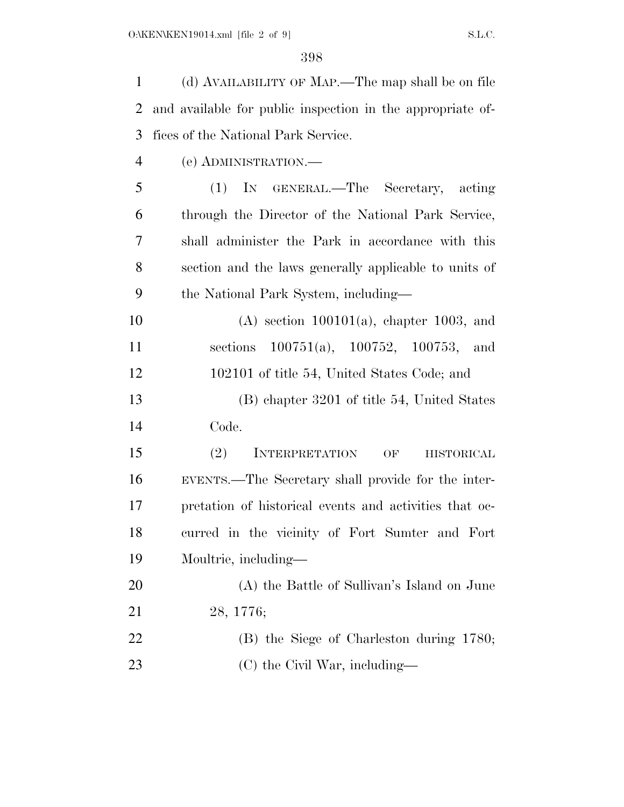(d) AVAILABILITY OF MAP.—The map shall be on file and available for public inspection in the appropriate of- fices of the National Park Service. (e) ADMINISTRATION.— (1) IN GENERAL.—The Secretary, acting through the Director of the National Park Service, shall administer the Park in accordance with this section and the laws generally applicable to units of the National Park System, including— (A) section 100101(a), chapter 1003, and sections 100751(a), 100752, 100753, and 102101 of title 54, United States Code; and (B) chapter 3201 of title 54, United States Code. 15 (2) INTERPRETATION OF HISTORICAL EVENTS.—The Secretary shall provide for the inter- pretation of historical events and activities that oc- curred in the vicinity of Fort Sumter and Fort Moultrie, including— (A) the Battle of Sullivan's Island on June 28, 1776; (B) the Siege of Charleston during 1780; 23 (C) the Civil War, including—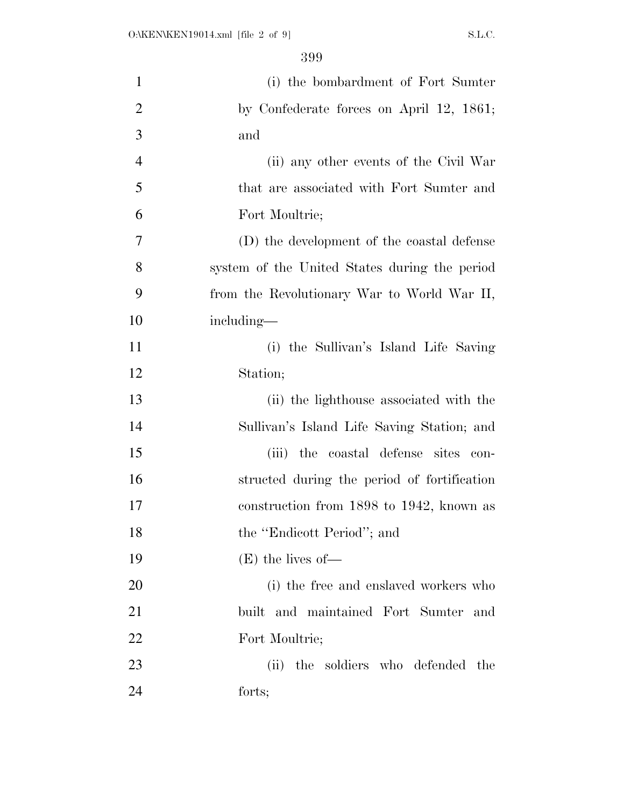| $\mathbf{1}$   | (i) the bombardment of Fort Sumter            |
|----------------|-----------------------------------------------|
| $\overline{2}$ | by Confederate forces on April 12, 1861;      |
| 3              | and                                           |
| $\overline{4}$ | (ii) any other events of the Civil War        |
| 5              | that are associated with Fort Sumter and      |
| 6              | Fort Moultrie;                                |
| 7              | (D) the development of the coastal defense    |
| 8              | system of the United States during the period |
| 9              | from the Revolutionary War to World War II,   |
| 10             | including—                                    |
| 11             | (i) the Sullivan's Island Life Saving         |
| 12             | Station;                                      |
| 13             | (ii) the lighthouse associated with the       |
| 14             | Sullivan's Island Life Saving Station; and    |
| 15             | (iii) the coastal defense sites con-          |
| 16             | structed during the period of fortification   |
| 17             | construction from 1898 to 1942, known as      |
| 18             | the "Endicott Period"; and                    |
| 19             | $(E)$ the lives of —                          |
| 20             | (i) the free and enslaved workers who         |
| 21             | built and maintained Fort Sumter and          |
| 22             | Fort Moultrie;                                |
| 23             | the soldiers who defended the<br>(ii)         |
| 24             | forts;                                        |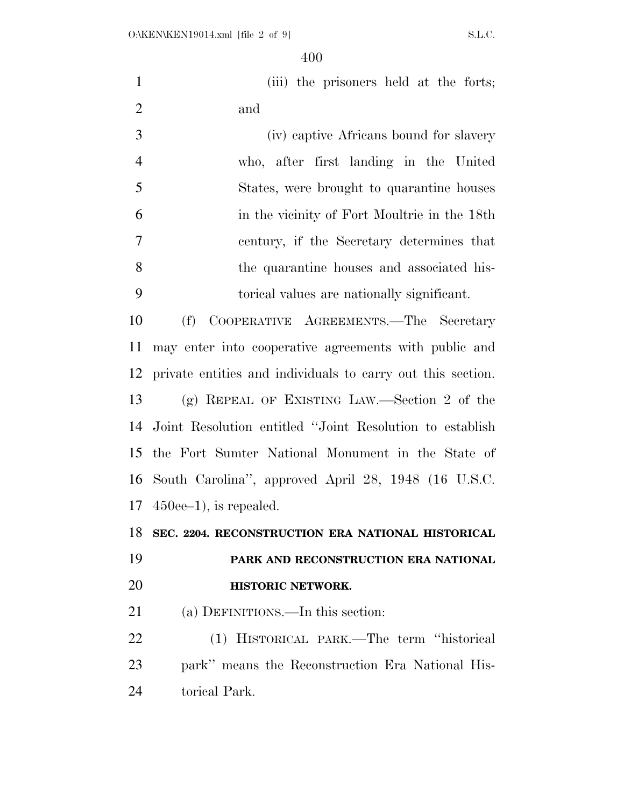1 (iii) the prisoners held at the forts; and

 (iv) captive Africans bound for slavery who, after first landing in the United States, were brought to quarantine houses in the vicinity of Fort Moultrie in the 18th century, if the Secretary determines that the quarantine houses and associated his-torical values are nationally significant.

 (f) COOPERATIVE AGREEMENTS.—The Secretary may enter into cooperative agreements with public and private entities and individuals to carry out this section. (g) REPEAL OF EXISTING LAW.—Section 2 of the Joint Resolution entitled ''Joint Resolution to establish the Fort Sumter National Monument in the State of South Carolina'', approved April 28, 1948 (16 U.S.C. 450ee–1), is repealed.

**SEC. 2204. RECONSTRUCTION ERA NATIONAL HISTORICAL** 

## **PARK AND RECONSTRUCTION ERA NATIONAL HISTORIC NETWORK.**

(a) DEFINITIONS.—In this section:

 (1) HISTORICAL PARK.—The term ''historical park'' means the Reconstruction Era National His-torical Park.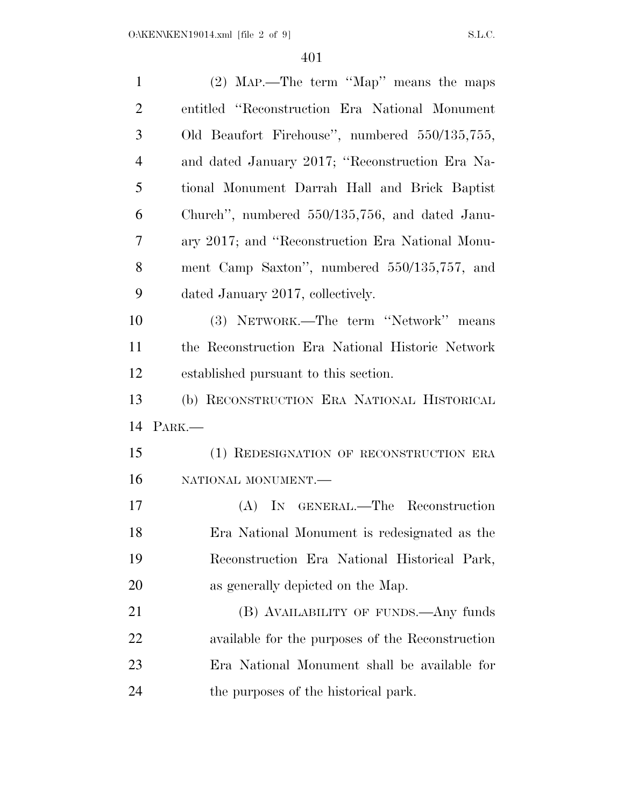| (2) MAP.—The term "Map" means the maps           |
|--------------------------------------------------|
| entitled "Reconstruction Era National Monument"  |
| Old Beaufort Firehouse", numbered 550/135,755,   |
| and dated January 2017; "Reconstruction Era Na-  |
| tional Monument Darrah Hall and Brick Baptist    |
| Church", numbered 550/135,756, and dated Janu-   |
| ary 2017; and "Reconstruction Era National Monu- |
| ment Camp Saxton", numbered 550/135,757, and     |
| dated January 2017, collectively.                |
| (3) NETWORK.—The term "Network" means            |
| the Reconstruction Era National Historic Network |
| established pursuant to this section.            |
|                                                  |
| (b) RECONSTRUCTION ERA NATIONAL HISTORICAL       |
| PARK.                                            |
| (1) REDESIGNATION OF RECONSTRUCTION ERA          |
| NATIONAL MONUMENT.                               |
| (A) IN GENERAL.—The Reconstruction               |
| Era National Monument is redesignated as the     |
| Reconstruction Era National Historical Park,     |
| as generally depicted on the Map.                |
| (B) AVAILABILITY OF FUNDS.—Any funds             |
| available for the purposes of the Reconstruction |
| Era National Monument shall be available for     |
|                                                  |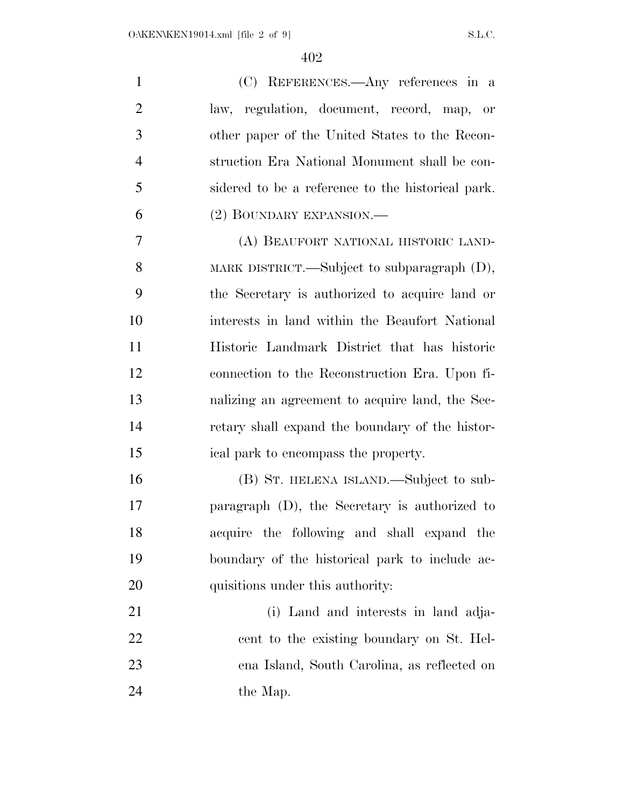| $\mathbf{1}$   | (C) REFERENCES.—Any references in a               |
|----------------|---------------------------------------------------|
| $\overline{2}$ | law, regulation, document, record, map, or        |
| 3              | other paper of the United States to the Recon-    |
| $\overline{4}$ | struction Era National Monument shall be con-     |
| 5              | sidered to be a reference to the historical park. |
| 6              | (2) BOUNDARY EXPANSION.—                          |
| 7              | (A) BEAUFORT NATIONAL HISTORIC LAND-              |
| 8              | MARK DISTRICT.—Subject to subparagraph $(D)$ ,    |
| 9              | the Secretary is authorized to acquire land or    |
| 10             | interests in land within the Beaufort National    |
| 11             | Historic Landmark District that has historic      |
| 12             | connection to the Reconstruction Era. Upon fi-    |
| 13             | nalizing an agreement to acquire land, the Sec-   |
| 14             | retary shall expand the boundary of the histor-   |
| 15             | ical park to encompass the property.              |
| 16             | (B) ST. HELENA ISLAND.—Subject to sub-            |
| 17             | paragraph $(D)$ , the Secretary is authorized to  |
| 18             | acquire the following and shall expand the        |
| 19             | boundary of the historical park to include ac-    |
| 20             | quisitions under this authority:                  |
| 21             | (i) Land and interests in land adja-              |
| 22             | cent to the existing boundary on St. Hel-         |
| 23             | ena Island, South Carolina, as reflected on       |
| 24             | the Map.                                          |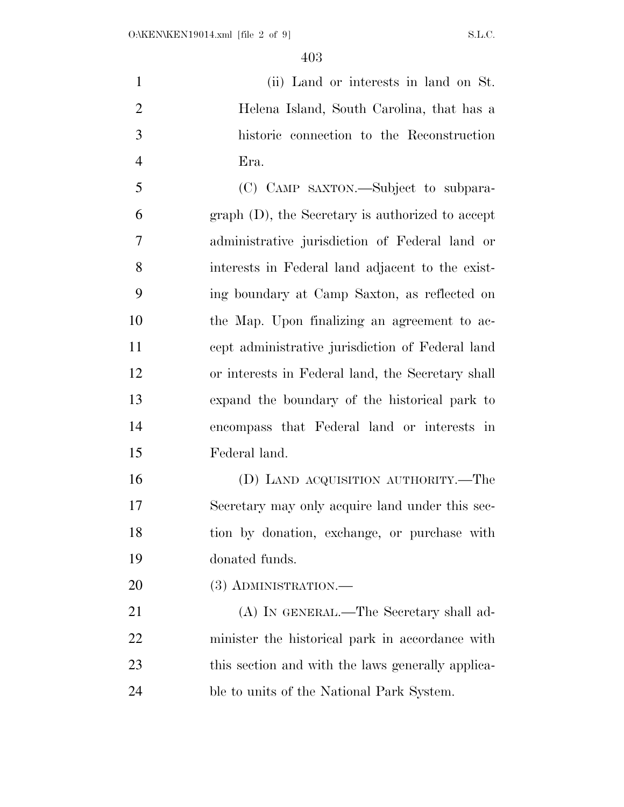(ii) Land or interests in land on St. Helena Island, South Carolina, that has a historic connection to the Reconstruction Era. (C) CAMP SAXTON.—Subject to subpara-

 graph (D), the Secretary is authorized to accept administrative jurisdiction of Federal land or interests in Federal land adjacent to the exist- ing boundary at Camp Saxton, as reflected on the Map. Upon finalizing an agreement to ac- cept administrative jurisdiction of Federal land or interests in Federal land, the Secretary shall expand the boundary of the historical park to encompass that Federal land or interests in Federal land.

 (D) LAND ACQUISITION AUTHORITY.—The Secretary may only acquire land under this sec- tion by donation, exchange, or purchase with donated funds.

20 (3) ADMINISTRATION.—

21 (A) IN GENERAL.—The Secretary shall ad- minister the historical park in accordance with 23 this section and with the laws generally applica-ble to units of the National Park System.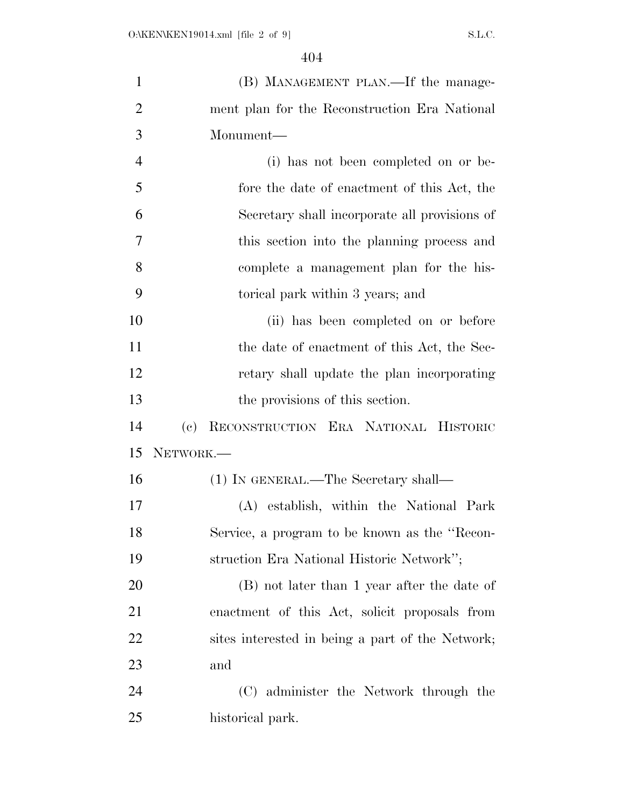| $\mathbf{1}$   | (B) MANAGEMENT PLAN.—If the manage-              |
|----------------|--------------------------------------------------|
| $\overline{2}$ | ment plan for the Reconstruction Era National    |
| 3              | Monument-                                        |
| $\overline{4}$ | (i) has not been completed on or be-             |
| 5              | fore the date of enactment of this Act, the      |
| 6              | Secretary shall incorporate all provisions of    |
| 7              | this section into the planning process and       |
| 8              | complete a management plan for the his-          |
| 9              | torical park within 3 years; and                 |
| 10             | (ii) has been completed on or before             |
| 11             | the date of enactment of this Act, the Sec-      |
| 12             | retary shall update the plan incorporating       |
| 13             | the provisions of this section.                  |
| 14             | RECONSTRUCTION ERA NATIONAL HISTORIC<br>(e)      |
| 15             | NETWORK.-                                        |
| 16             | (1) IN GENERAL.—The Secretary shall—             |
| 17             | (A) establish, within the National Park          |
| 18             | Service, a program to be known as the "Recon-    |
| 19             | struction Era National Historic Network";        |
| 20             | (B) not later than 1 year after the date of      |
| 21             | enactment of this Act, solicit proposals from    |
| <u>22</u>      | sites interested in being a part of the Network; |
| 23             | and                                              |
| 24             | (C) administer the Network through the           |
| 25             | historical park.                                 |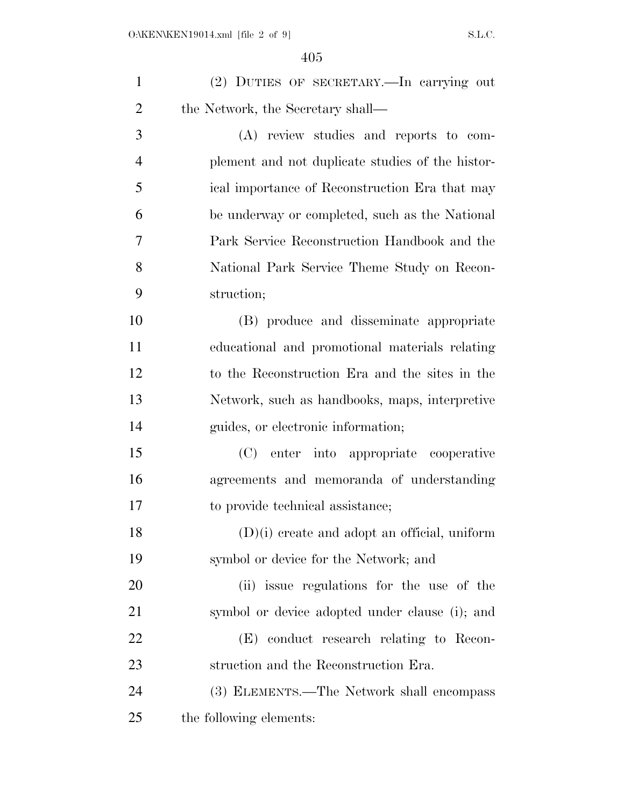| $\mathbf{1}$   | (2) DUTIES OF SECRETARY.—In carrying out         |
|----------------|--------------------------------------------------|
| $\overline{2}$ | the Network, the Secretary shall—                |
| 3              | (A) review studies and reports to com-           |
| $\overline{4}$ | plement and not duplicate studies of the histor- |
| 5              | ical importance of Reconstruction Era that may   |
| 6              | be underway or completed, such as the National   |
| 7              | Park Service Reconstruction Handbook and the     |
| 8              | National Park Service Theme Study on Recon-      |
| 9              | struction;                                       |
| 10             | (B) produce and disseminate appropriate          |
| 11             | educational and promotional materials relating   |
| 12             | to the Reconstruction Era and the sites in the   |
| 13             | Network, such as handbooks, maps, interpretive   |
| 14             | guides, or electronic information;               |
| 15             | (C) enter into appropriate cooperative           |
| 16             | agreements and memoranda of understanding        |
| 17             | to provide technical assistance;                 |
| 18             | $(D)(i)$ create and adopt an official, uniform   |
| 19             | symbol or device for the Network; and            |
| 20             | (ii) issue regulations for the use of the        |
| 21             | symbol or device adopted under clause (i); and   |
| 22             | (E) conduct research relating to Recon-          |
| 23             | struction and the Reconstruction Era.            |
| 24             | (3) ELEMENTS.—The Network shall encompass        |
| 25             | the following elements:                          |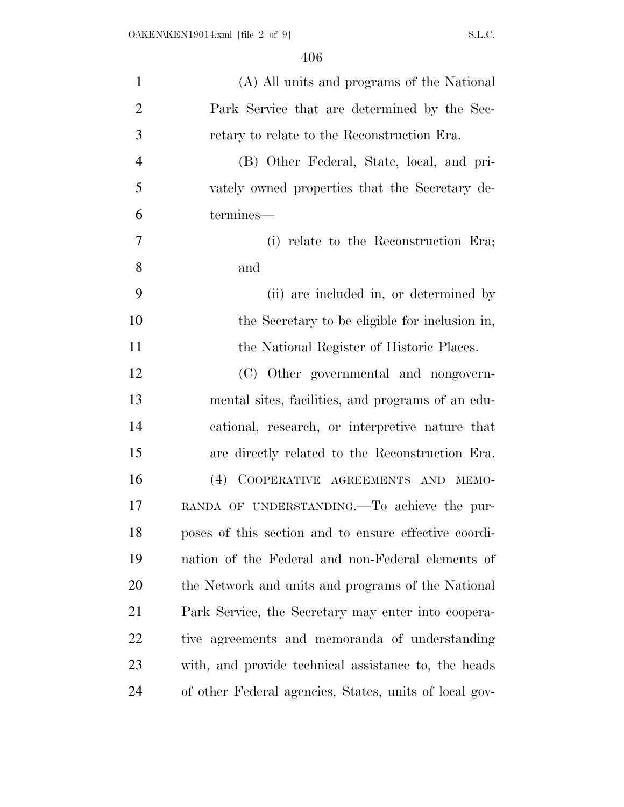| $\mathbf{1}$   | (A) All units and programs of the National             |
|----------------|--------------------------------------------------------|
| $\overline{2}$ | Park Service that are determined by the Sec-           |
| $\mathfrak{Z}$ | retary to relate to the Reconstruction Era.            |
| $\overline{4}$ | (B) Other Federal, State, local, and pri-              |
| 5              | vately owned properties that the Secretary de-         |
| 6              | termines—                                              |
| 7              | (i) relate to the Reconstruction Era;                  |
| 8              | and                                                    |
| 9              | (ii) are included in, or determined by                 |
| 10             | the Secretary to be eligible for inclusion in,         |
| 11             | the National Register of Historic Places.              |
| 12             | (C) Other governmental and nongovern-                  |
| 13             | mental sites, facilities, and programs of an edu-      |
| 14             | cational, research, or interpretive nature that        |
| 15             | are directly related to the Reconstruction Era.        |
| 16             | (4) COOPERATIVE AGREEMENTS AND MEMO-                   |
| 17             | RANDA OF UNDERSTANDING.—To achieve the pur-            |
| 18             | poses of this section and to ensure effective coordi-  |
| 19             | nation of the Federal and non-Federal elements of      |
| 20             | the Network and units and programs of the National     |
| 21             | Park Service, the Secretary may enter into coopera-    |
| 22             | tive agreements and memoranda of understanding         |
| 23             | with, and provide technical assistance to, the heads   |
| 24             | of other Federal agencies, States, units of local gov- |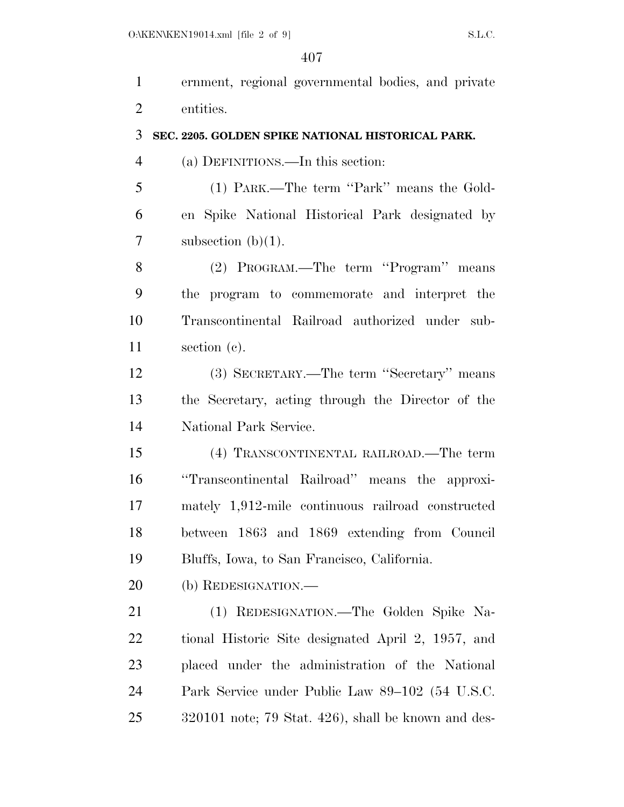ernment, regional governmental bodies, and private entities. **SEC. 2205. GOLDEN SPIKE NATIONAL HISTORICAL PARK.**  (a) DEFINITIONS.—In this section: (1) PARK.—The term ''Park'' means the Gold- en Spike National Historical Park designated by  $7 \qquad \text{subsection (b)(1)}.$ (2) PROGRAM.—The term ''Program'' means

 the program to commemorate and interpret the Transcontinental Railroad authorized under sub-section (c).

 (3) SECRETARY.—The term ''Secretary'' means the Secretary, acting through the Director of the National Park Service.

 (4) TRANSCONTINENTAL RAILROAD.—The term ''Transcontinental Railroad'' means the approxi- mately 1,912-mile continuous railroad constructed between 1863 and 1869 extending from Council Bluffs, Iowa, to San Francisco, California.

20 (b) REDESIGNATION.—

 (1) REDESIGNATION.—The Golden Spike Na- tional Historic Site designated April 2, 1957, and placed under the administration of the National Park Service under Public Law 89–102 (54 U.S.C. 320101 note; 79 Stat. 426), shall be known and des-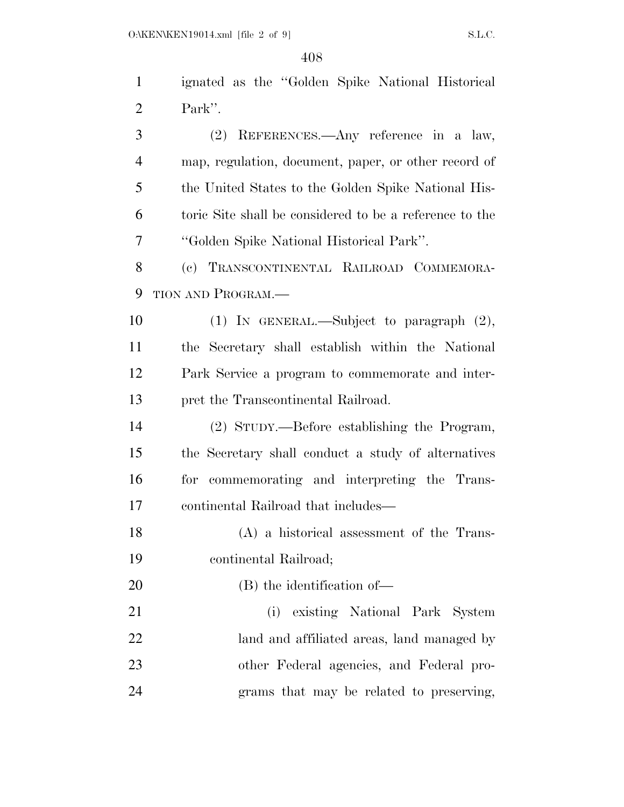| $\mathbf{1}$   | ignated as the "Golden Spike National Historical        |
|----------------|---------------------------------------------------------|
| $\overline{2}$ | Park".                                                  |
| 3              | (2) REFERENCES.—Any reference in a law,                 |
| $\overline{4}$ | map, regulation, document, paper, or other record of    |
| 5              | the United States to the Golden Spike National His-     |
| 6              | toric Site shall be considered to be a reference to the |
| 7              | "Golden Spike National Historical Park".                |
| 8              | (c) TRANSCONTINENTAL RAILROAD COMMEMORA-                |
| 9              | TION AND PROGRAM.-                                      |
| 10             | (1) IN GENERAL.—Subject to paragraph $(2)$ ,            |
| 11             | the Secretary shall establish within the National       |
| 12             | Park Service a program to commemorate and inter-        |
| 13             | pret the Transcontinental Railroad.                     |
| 14             | (2) STUDY.—Before establishing the Program,             |
| 15             | the Secretary shall conduct a study of alternatives     |
| 16             | for commemorating and interpreting the Trans-           |
| 17             | continental Railroad that includes—                     |
| 18             | (A) a historical assessment of the Trans-               |
| 19             | continental Railroad;                                   |
| 20             | (B) the identification of—                              |
| 21             | existing National Park System<br>(i)                    |
| 22             | land and affiliated areas, land managed by              |
| 23             | other Federal agencies, and Federal pro-                |
| 24             | grams that may be related to preserving,                |
|                |                                                         |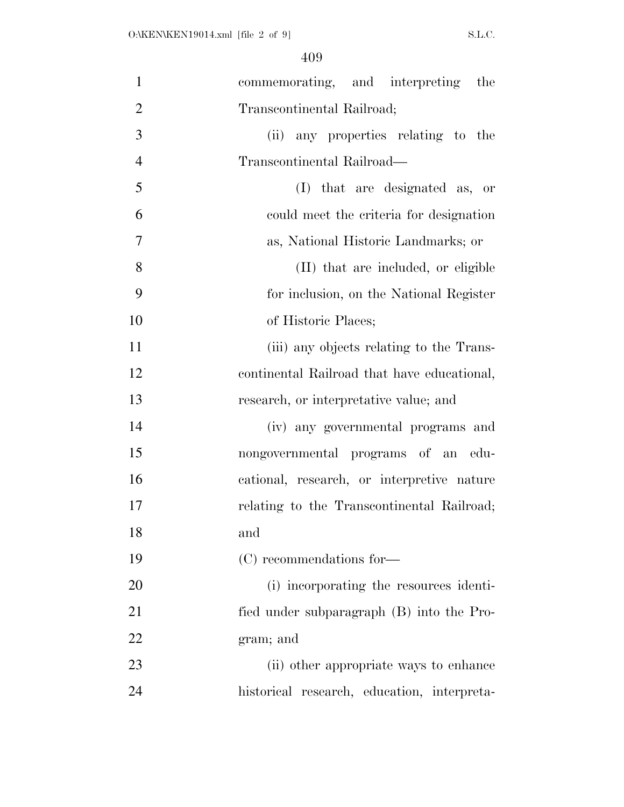| $\mathbf{1}$   | commemorating, and interpreting the         |
|----------------|---------------------------------------------|
| $\overline{2}$ | Transcontinental Railroad;                  |
| 3              | (ii) any properties relating to the         |
| $\overline{4}$ | Transcontinental Railroad—                  |
| 5              | (I) that are designated as, or              |
| 6              | could meet the criteria for designation     |
| $\tau$         | as, National Historic Landmarks; or         |
| 8              | (II) that are included, or eligible         |
| 9              | for inclusion, on the National Register     |
| 10             | of Historic Places;                         |
| 11             | (iii) any objects relating to the Trans-    |
| 12             | continental Railroad that have educational, |
| 13             | research, or interpretative value; and      |
| 14             | (iv) any governmental programs and          |
| 15             | nongovernmental programs of an edu-         |
| 16             | cational, research, or interpretive nature  |
| 17             | relating to the Transcontinental Railroad;  |
| 18             | and                                         |
| 19             | (C) recommendations for-                    |
| 20             | (i) incorporating the resources identi-     |
| 21             | fied under subparagraph (B) into the Pro-   |
| 22             | gram; and                                   |
| 23             | (ii) other appropriate ways to enhance      |
| 24             | historical research, education, interpreta- |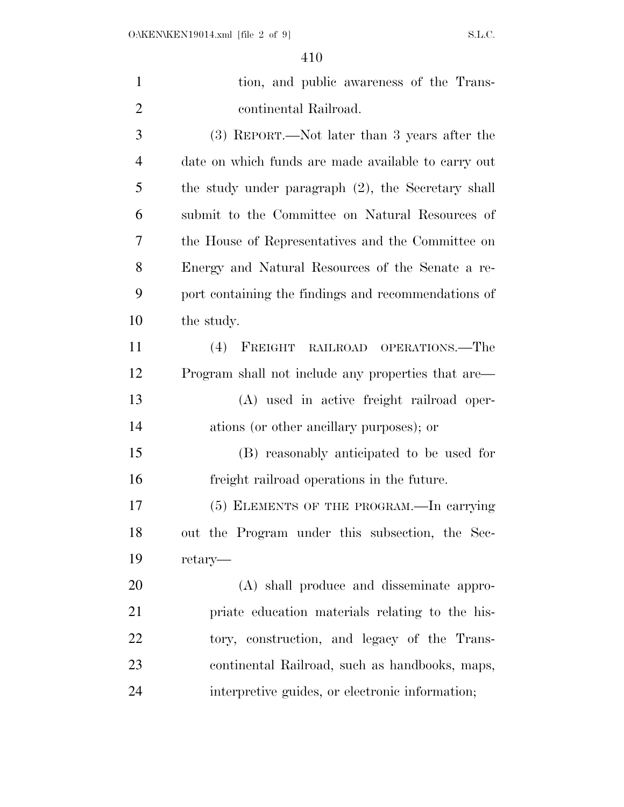| $\mathbf{1}$   | tion, and public awareness of the Trans-            |
|----------------|-----------------------------------------------------|
| $\overline{2}$ | continental Railroad.                               |
| 3              | (3) REPORT.—Not later than 3 years after the        |
| $\overline{4}$ | date on which funds are made available to carry out |
| 5              | the study under paragraph (2), the Secretary shall  |
| 6              | submit to the Committee on Natural Resources of     |
| 7              | the House of Representatives and the Committee on   |
| 8              | Energy and Natural Resources of the Senate a re-    |
| 9              | port containing the findings and recommendations of |
| 10             | the study.                                          |
| 11             | $(4)$ FREIGHT<br>RAILROAD OPERATIONS.—The           |
| 12             | Program shall not include any properties that are—  |
| 13             | (A) used in active freight railroad oper-           |
| 14             | ations (or other ancillary purposes); or            |
| 15             | (B) reasonably anticipated to be used for           |
| 16             | freight railroad operations in the future.          |
| 17             | (5) ELEMENTS OF THE PROGRAM.—In carrying            |
| 18             | out the Program under this subsection, the Sec-     |
| 19             | retary—                                             |
| 20             | (A) shall produce and disseminate appro-            |
| 21             | priate education materials relating to the his-     |
| 22             | tory, construction, and legacy of the Trans-        |
| 23             | continental Railroad, such as handbooks, maps,      |
| 24             | interpretive guides, or electronic information;     |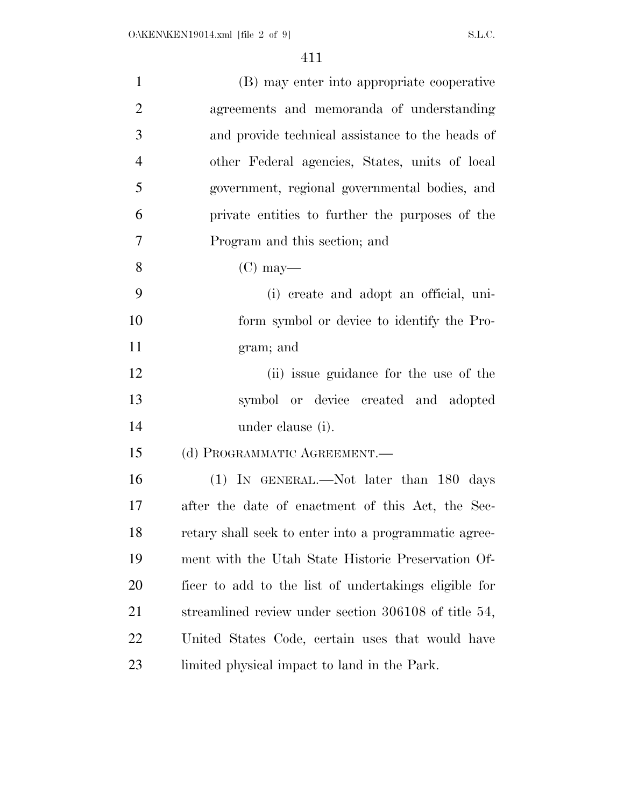| $\mathbf{1}$   | (B) may enter into appropriate cooperative            |
|----------------|-------------------------------------------------------|
| $\overline{2}$ | agreements and memoranda of understanding             |
| 3              | and provide technical assistance to the heads of      |
| $\overline{4}$ | other Federal agencies, States, units of local        |
| 5              | government, regional governmental bodies, and         |
| 6              | private entities to further the purposes of the       |
| $\overline{7}$ | Program and this section; and                         |
| 8              | $(C)$ may—                                            |
| 9              | (i) create and adopt an official, uni-                |
| 10             | form symbol or device to identify the Pro-            |
| 11             | gram; and                                             |
| 12             | (ii) issue guidance for the use of the                |
| 13             | symbol or device created and adopted                  |
| 14             | under clause (i).                                     |
| 15             | (d) PROGRAMMATIC AGREEMENT.—                          |
| 16             | (1) IN GENERAL.—Not later than 180 days               |
| 17             | after the date of enactment of this Act, the Sec-     |
| 18             | retary shall seek to enter into a programmatic agree- |
| 19             | ment with the Utah State Historic Preservation Of-    |
| 20             | ficer to add to the list of undertakings eligible for |
| 21             | streamlined review under section 306108 of title 54,  |
| 22             | United States Code, certain uses that would have      |
| 23             | limited physical impact to land in the Park.          |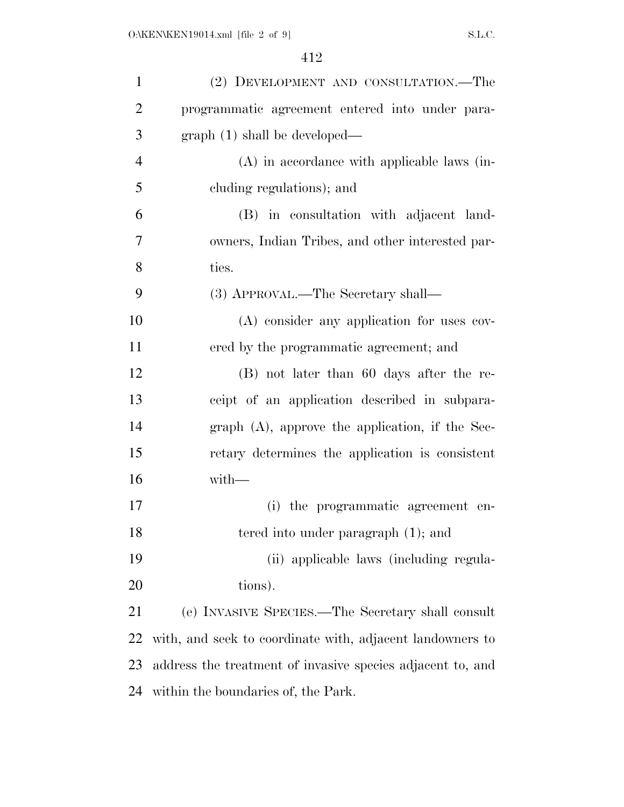| $\mathbf{1}$   | (2) DEVELOPMENT AND CONSULTATION.—The                      |
|----------------|------------------------------------------------------------|
| $\overline{2}$ | programmatic agreement entered into under para-            |
| 3              | graph(1) shall be developed—                               |
| $\overline{4}$ | $(A)$ in accordance with applicable laws (in-              |
| 5              | cluding regulations); and                                  |
| 6              | (B) in consultation with adjacent land-                    |
| 7              | owners, Indian Tribes, and other interested par-           |
| 8              | ties.                                                      |
| 9              | (3) APPROVAL.—The Secretary shall—                         |
| 10             | (A) consider any application for uses cov-                 |
| 11             | ered by the programmatic agreement; and                    |
| 12             | (B) not later than 60 days after the re-                   |
| 13             | ceipt of an application described in subpara-              |
| 14             | graph $(A)$ , approve the application, if the Sec-         |
| 15             | retary determines the application is consistent            |
| 16             | $with-$                                                    |
| 17             | (i) the programmatic agreement en-                         |
| 18             | tered into under paragraph (1); and                        |
| 19             | (ii) applicable laws (including regula-                    |
| 20             | tions).                                                    |
| 21             | (e) INVASIVE SPECIES.—The Secretary shall consult          |
| 22             | with, and seek to coordinate with, adjacent landowners to  |
| 23             | address the treatment of invasive species adjacent to, and |
| 24             | within the boundaries of, the Park.                        |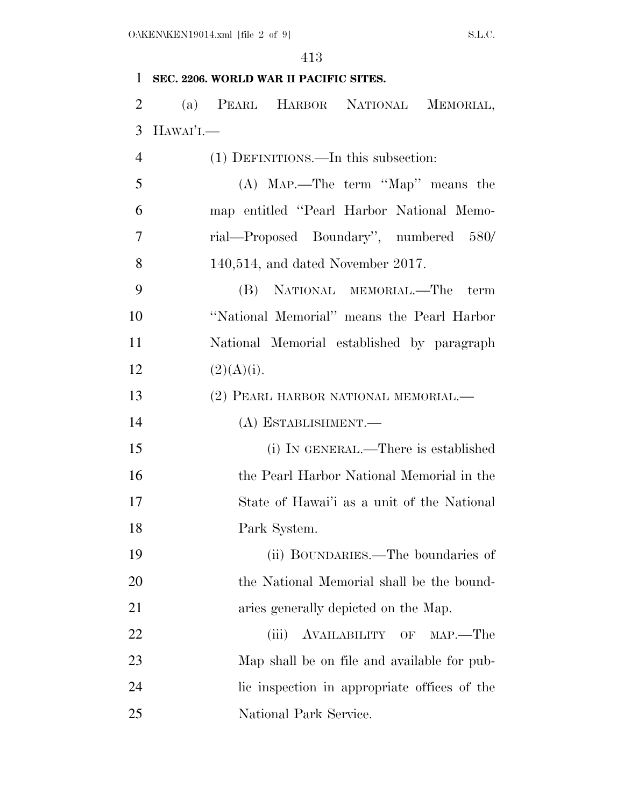## **SEC. 2206. WORLD WAR II PACIFIC SITES.**

 (a) PEARL HARBOR NATIONAL MEMORIAL, HAWAI'I.—

| $\overline{4}$ | (1) DEFINITIONS.—In this subsection:         |
|----------------|----------------------------------------------|
| 5              | $(A)$ MAP.—The term "Map" means the          |
| 6              | map entitled "Pearl Harbor National Memo-    |
| 7              | rial—Proposed Boundary", numbered 580/       |
| 8              | $140,514$ , and dated November 2017.         |
| 9              | (B) NATIONAL MEMORIAL.—The<br>term           |
| 10             | "National Memorial" means the Pearl Harbor   |
| 11             | National Memorial established by paragraph   |
| 12             | (2)(A)(i).                                   |
| 13             | (2) PEARL HARBOR NATIONAL MEMORIAL.—         |
| 14             | (A) ESTABLISHMENT.—                          |
| 15             | (i) IN GENERAL.—There is established         |
| 16             | the Pearl Harbor National Memorial in the    |
| 17             | State of Hawai'i as a unit of the National   |
| 18             | Park System.                                 |
| 19             | (ii) BOUNDARIES.—The boundaries of           |
| 20             | the National Memorial shall be the bound-    |
| 21             | aries generally depicted on the Map.         |
| 22             | AVAILABILITY OF<br>$MAP. - The$<br>(iii)     |
| 23             | Map shall be on file and available for pub-  |
| 24             | lic inspection in appropriate offices of the |
| 25             | National Park Service.                       |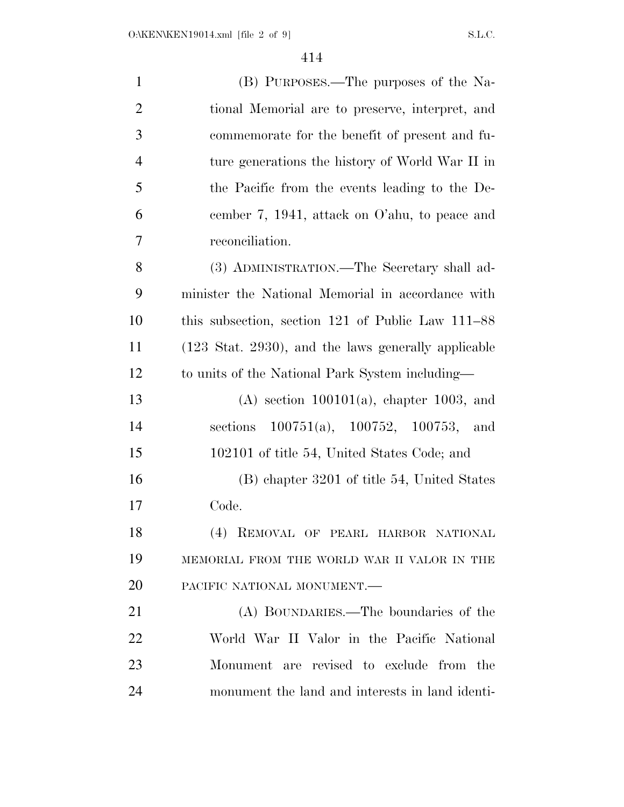| $\mathbf{1}$   | (B) PURPOSES.—The purposes of the Na-                           |
|----------------|-----------------------------------------------------------------|
| $\overline{2}$ | tional Memorial are to preserve, interpret, and                 |
| 3              | commemorate for the benefit of present and fu-                  |
| $\overline{4}$ | ture generations the history of World War II in                 |
| 5              | the Pacific from the events leading to the De-                  |
| 6              | cember 7, 1941, attack on O'ahu, to peace and                   |
| 7              | reconciliation.                                                 |
| 8              | (3) ADMINISTRATION.—The Secretary shall ad-                     |
| 9              | minister the National Memorial in accordance with               |
| 10             | this subsection, section 121 of Public Law 111–88               |
| 11             | $(123 \text{ Stat. } 2930)$ , and the laws generally applicable |
| 12             | to units of the National Park System including—                 |
| 13             | $(A)$ section 100101(a), chapter 1003, and                      |
| 14             | sections $100751(a)$ , $100752$ , $100753$ , and                |
| 15             | 102101 of title 54, United States Code; and                     |
| 16             | (B) chapter 3201 of title 54, United States                     |
| 17             | Code.                                                           |
| 18             | (4) REMOVAL OF PEARL HARBOR NATIONAL                            |
| 19             | MEMORIAL FROM THE WORLD WAR II VALOR IN THE                     |
| 20             | PACIFIC NATIONAL MONUMENT.-                                     |
| 21             | (A) BOUNDARIES.—The boundaries of the                           |
| 22             | World War II Valor in the Pacific National                      |
| 23             | Monument are revised to exclude from the                        |
| 24             | monument the land and interests in land identi-                 |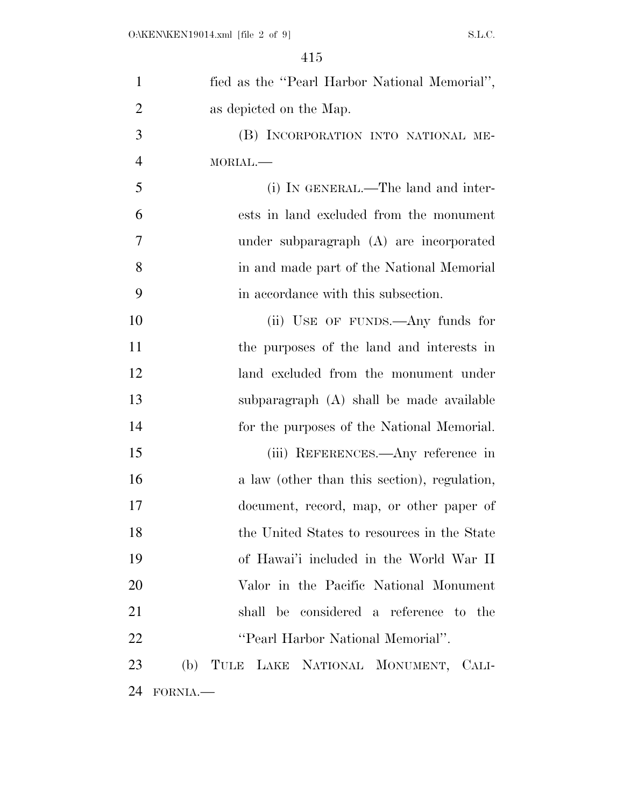| $\mathbf{1}$   | fied as the "Pearl Harbor National Memorial", |
|----------------|-----------------------------------------------|
| $\overline{2}$ | as depicted on the Map.                       |
| 3              | (B) INCORPORATION INTO NATIONAL ME-           |
| $\overline{4}$ | MORIAL.                                       |
| 5              | (i) IN GENERAL.—The land and inter-           |
| 6              | ests in land excluded from the monument       |
| 7              | under subparagraph (A) are incorporated       |
| 8              | in and made part of the National Memorial     |
| 9              | in accordance with this subsection.           |
| 10             | (ii) USE OF FUNDS.—Any funds for              |
| 11             | the purposes of the land and interests in     |
| 12             | land excluded from the monument under         |
| 13             | subparagraph (A) shall be made available      |
| 14             | for the purposes of the National Memorial.    |
| 15             | (iii) REFERENCES.—Any reference in            |
| 16             | a law (other than this section), regulation,  |
| 17             | document, record, map, or other paper of      |
| 18             | the United States to resources in the State   |
| 19             | of Hawai'i included in the World War II       |
| 20             | Valor in the Pacific National Monument        |
| 21             | shall be considered a reference to the        |
| 22             | "Pearl Harbor National Memorial".             |
| 23             | (b) TULE LAKE NATIONAL MONUMENT, CALI-        |
| 24             | FORNIA.                                       |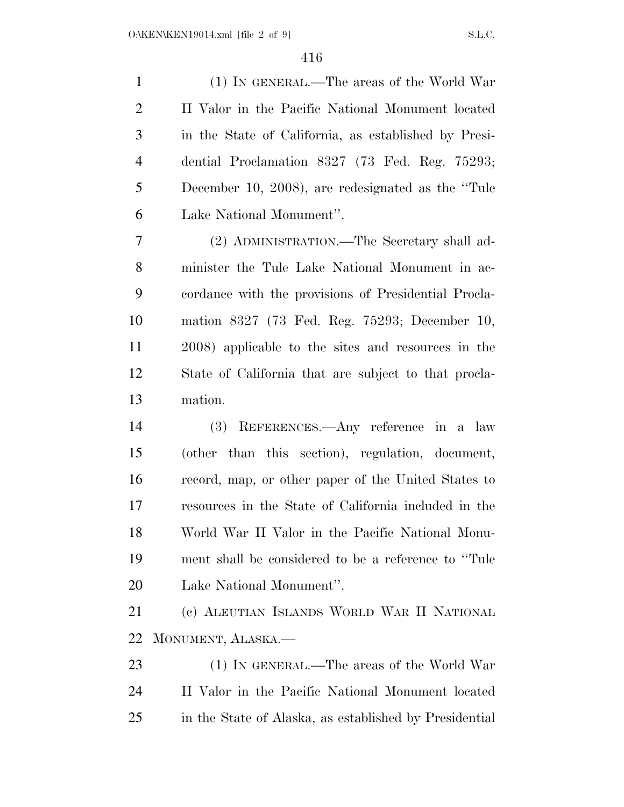(1) IN GENERAL.—The areas of the World War II Valor in the Pacific National Monument located in the State of California, as established by Presi- dential Proclamation 8327 (73 Fed. Reg. 75293; December 10, 2008), are redesignated as the ''Tule Lake National Monument''.

 (2) ADMINISTRATION.—The Secretary shall ad- minister the Tule Lake National Monument in ac- cordance with the provisions of Presidential Procla- mation 8327 (73 Fed. Reg. 75293; December 10, 2008) applicable to the sites and resources in the State of California that are subject to that procla-mation.

 (3) REFERENCES.—Any reference in a law (other than this section), regulation, document, record, map, or other paper of the United States to resources in the State of California included in the World War II Valor in the Pacific National Monu- ment shall be considered to be a reference to ''Tule Lake National Monument''.

 (c) ALEUTIAN ISLANDS WORLD WAR II NATIONAL MONUMENT, ALASKA.—

23 (1) IN GENERAL.—The areas of the World War II Valor in the Pacific National Monument located in the State of Alaska, as established by Presidential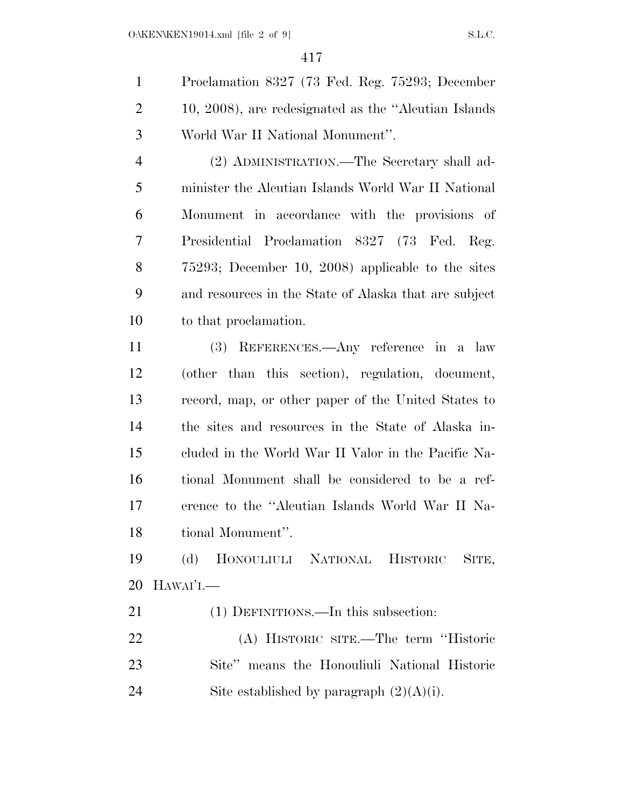| $\mathbf{1}$  | Proclamation 8327 (73 Fed. Reg. 75293; December       |
|---------------|-------------------------------------------------------|
| 2             | 10, 2008), are redesignated as the "Aleutian Islands" |
| $\mathcal{R}$ | World War II National Monument".                      |

 (2) ADMINISTRATION.—The Secretary shall ad- minister the Aleutian Islands World War II National Monument in accordance with the provisions of Presidential Proclamation 8327 (73 Fed. Reg. 75293; December 10, 2008) applicable to the sites and resources in the State of Alaska that are subject to that proclamation.

 (3) REFERENCES.—Any reference in a law (other than this section), regulation, document, record, map, or other paper of the United States to the sites and resources in the State of Alaska in- cluded in the World War II Valor in the Pacific Na- tional Monument shall be considered to be a ref- erence to the ''Aleutian Islands World War II Na-tional Monument''.

 (d) HONOULIULI NATIONAL HISTORIC SITE, HAWAI'I.—

(1) DEFINITIONS.—In this subsection:

 (A) HISTORIC SITE.—The term ''Historic Site'' means the Honouliuli National Historic 24 Site established by paragraph  $(2)(A)(i)$ .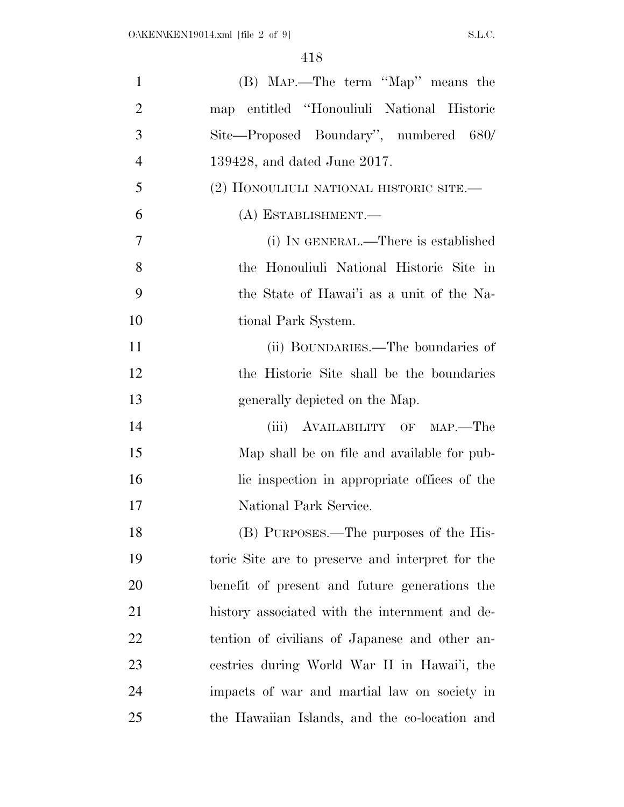| $\mathbf{1}$   | (B) Map.—The term "Map" means the                |
|----------------|--------------------------------------------------|
| $\overline{2}$ | map entitled "Honouliuli National Historic       |
| 3              | Site—Proposed Boundary", numbered 680/           |
| $\overline{4}$ | $139428$ , and dated June 2017.                  |
| 5              | (2) HONOULIULI NATIONAL HISTORIC SITE.—          |
| 6              | (A) ESTABLISHMENT.                               |
| 7              | (i) IN GENERAL.—There is established             |
| 8              | the Honouliuli National Historic Site in         |
| 9              | the State of Hawai'i as a unit of the Na-        |
| 10             | tional Park System.                              |
| 11             | (ii) BOUNDARIES.—The boundaries of               |
| 12             | the Historic Site shall be the boundaries        |
| 13             | generally depicted on the Map.                   |
| 14             | (iii) AVAILABILITY OF MAP.—The                   |
| 15             | Map shall be on file and available for pub-      |
| 16             | lic inspection in appropriate offices of the     |
| 17             | National Park Service.                           |
| 18             | (B) PURPOSES.—The purposes of the His-           |
| 19             | toric Site are to preserve and interpret for the |
| 20             | benefit of present and future generations the    |
| 21             | history associated with the internment and de-   |
| 22             | tention of civilians of Japanese and other an-   |
| 23             | cestries during World War II in Hawai'i, the     |
| 24             | impacts of war and martial law on society in     |
| 25             | the Hawaiian Islands, and the co-location and    |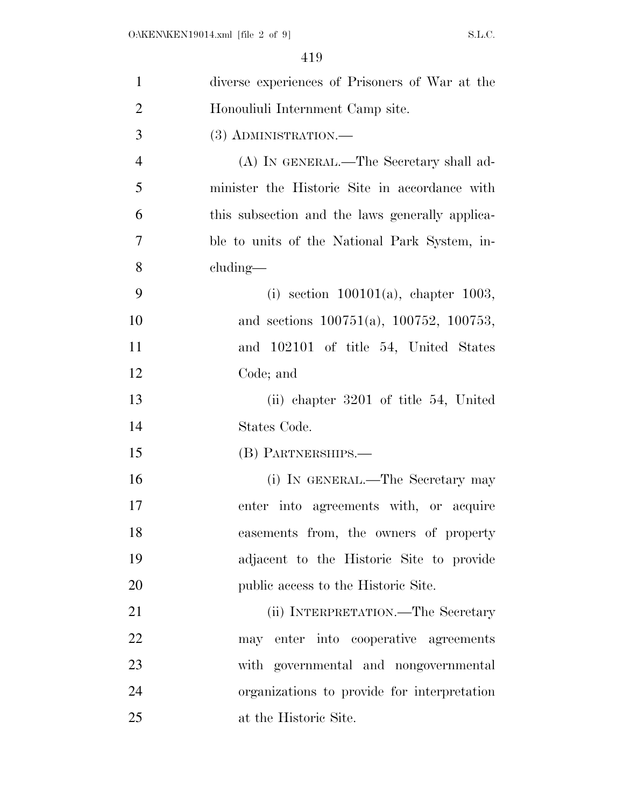| $\mathbf{1}$   | diverse experiences of Prisoners of War at the   |
|----------------|--------------------------------------------------|
| $\overline{2}$ | Honouliuli Internment Camp site.                 |
| 3              | (3) ADMINISTRATION.—                             |
| $\overline{4}$ | (A) IN GENERAL.—The Secretary shall ad-          |
| 5              | minister the Historic Site in accordance with    |
| 6              | this subsection and the laws generally applica-  |
| 7              | ble to units of the National Park System, in-    |
| 8              | cluding—                                         |
| 9              | (i) section $100101(a)$ , chapter 1003,          |
| 10             | and sections $100751(a)$ , $100752$ , $100753$ , |
| 11             | and 102101 of title 54, United States            |
| 12             | Code; and                                        |
| 13             | (ii) chapter $3201$ of title 54, United          |
| 14             | States Code.                                     |
| 15             | (B) PARTNERSHIPS.—                               |
| 16             | (i) IN GENERAL.—The Secretary may                |
| 17             | enter into agreements with, or acquire           |
| 18             | easements from, the owners of property           |
| 19             | adjacent to the Historic Site to provide         |
| 20             | public access to the Historic Site.              |
| 21             | (ii) INTERPRETATION.—The Secretary               |
| 22             | may enter into cooperative agreements            |
| 23             | with governmental and nongovernmental            |
| 24             | organizations to provide for interpretation      |
| 25             | at the Historic Site.                            |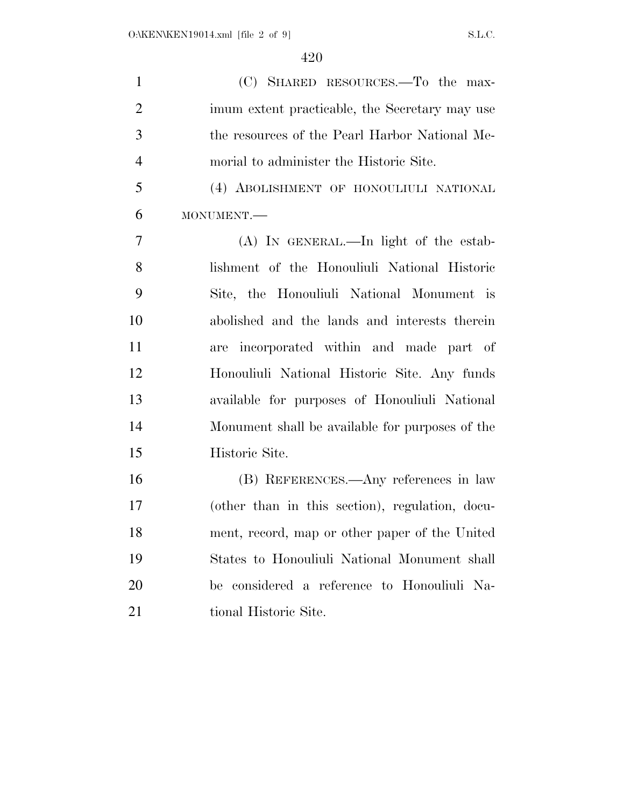| $\mathbf{1}$   | (C) SHARED RESOURCES.—To the max-               |
|----------------|-------------------------------------------------|
| $\overline{2}$ | imum extent practicable, the Secretary may use  |
| 3              | the resources of the Pearl Harbor National Me-  |
| $\overline{4}$ | morial to administer the Historic Site.         |
| 5              | (4) ABOLISHMENT OF HONOULIULI NATIONAL          |
| 6              | MONUMENT.-                                      |
| 7              | (A) IN GENERAL.—In light of the estab-          |
| 8              | lishment of the Honouliuli National Historic    |
| 9              | Site, the Honouliuli National Monument is       |
| 10             | abolished and the lands and interests therein   |
| 11             | are incorporated within and made part of        |
| 12             | Honouliuli National Historic Site. Any funds    |
| 13             | available for purposes of Honouliuli National   |
| 14             | Monument shall be available for purposes of the |
| 15             | Historic Site.                                  |
| 16             | (B) REFERENCES.—Any references in law           |
| 17             | (other than in this section), regulation, docu- |
| 18             | ment, record, map or other paper of the United  |
| 19             | States to Honouliuli National Monument shall    |
| 20             | be considered a reference to Honouliuli Na-     |
| 21             | tional Historic Site.                           |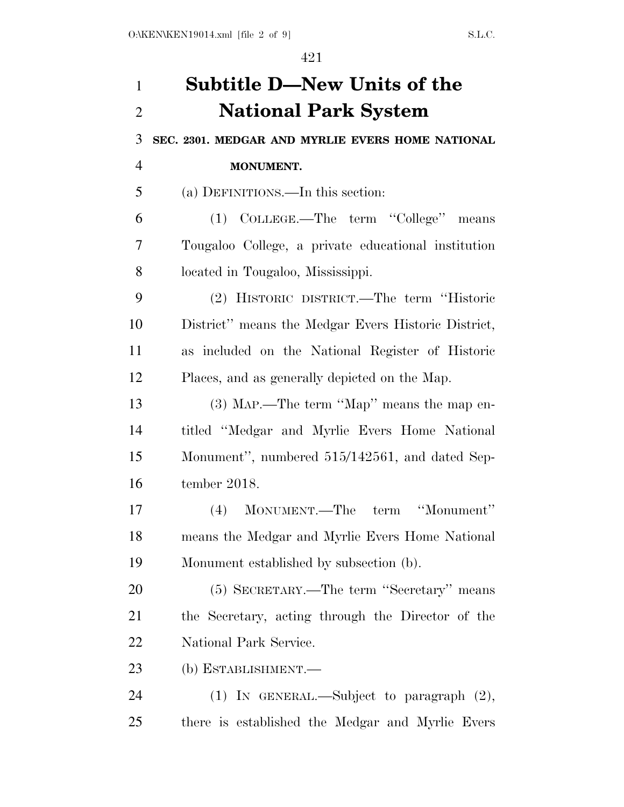## **Subtitle D—New Units of the National Park System SEC. 2301. MEDGAR AND MYRLIE EVERS HOME NATIONAL MONUMENT.**  (a) DEFINITIONS.—In this section: (1) COLLEGE.—The term ''College'' means Tougaloo College, a private educational institution located in Tougaloo, Mississippi. (2) HISTORIC DISTRICT.—The term ''Historic District'' means the Medgar Evers Historic District, as included on the National Register of Historic Places, and as generally depicted on the Map.

 (3) MAP.—The term ''Map'' means the map en- titled ''Medgar and Myrlie Evers Home National Monument'', numbered 515/142561, and dated Sep-tember 2018.

 (4) MONUMENT.—The term ''Monument'' means the Medgar and Myrlie Evers Home National Monument established by subsection (b).

 (5) SECRETARY.—The term ''Secretary'' means the Secretary, acting through the Director of the National Park Service.

(b) ESTABLISHMENT.—

 (1) IN GENERAL.—Subject to paragraph (2), there is established the Medgar and Myrlie Evers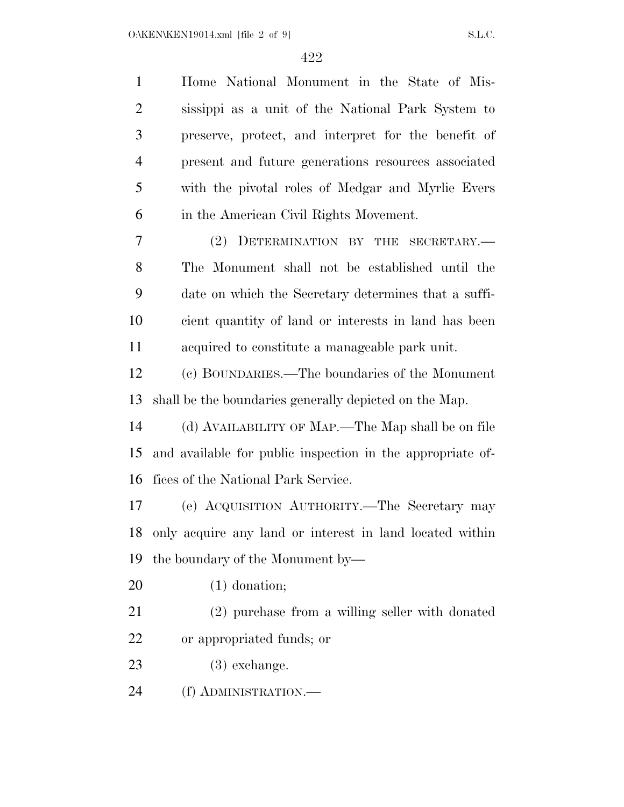| Home National Monument in the State of Mis-                |
|------------------------------------------------------------|
| sissippi as a unit of the National Park System to          |
| preserve, protect, and interpret for the benefit of        |
| present and future generations resources associated        |
| with the pivotal roles of Medgar and Myrlie Evers          |
| in the American Civil Rights Movement.                     |
| DETERMINATION BY THE SECRETARY.<br>(2)                     |
| The Monument shall not be established until the            |
| date on which the Secretary determines that a suffi-       |
| cient quantity of land or interests in land has been       |
| acquired to constitute a manageable park unit.             |
| (c) BOUNDARIES.—The boundaries of the Monument             |
| shall be the boundaries generally depicted on the Map.     |
|                                                            |
| (d) AVAILABILITY OF MAP.—The Map shall be on file          |
| and available for public inspection in the appropriate of- |
| fices of the National Park Service.                        |
| (e) ACQUISITION AUTHORITY.—The Secretary may               |
| only acquire any land or interest in land located within   |
| the boundary of the Monument by—                           |
| $(1)$ donation;                                            |
| (2) purchase from a willing seller with donated            |
| or appropriated funds; or                                  |
| $(3)$ exchange.                                            |
|                                                            |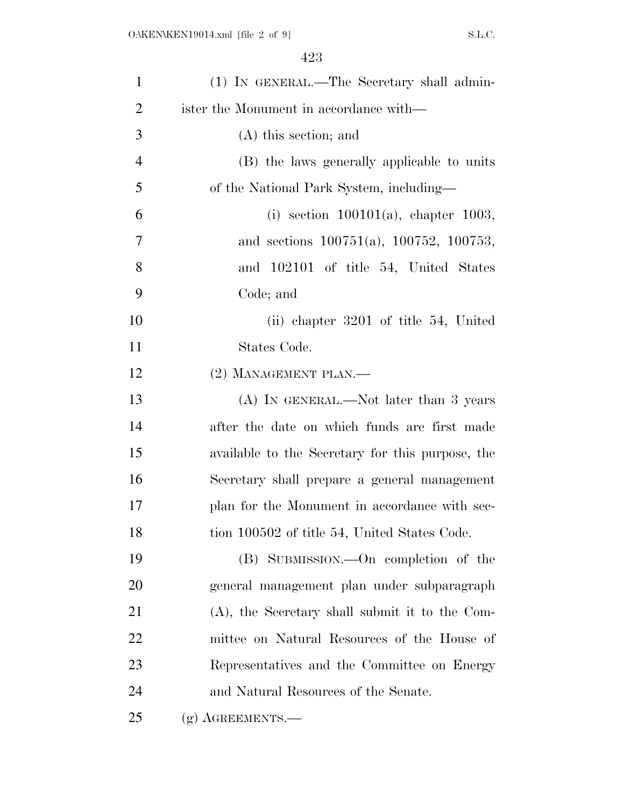| $\mathbf{1}$   | (1) IN GENERAL.—The Secretary shall admin-        |
|----------------|---------------------------------------------------|
| 2              | ister the Monument in accordance with—            |
| 3              | $(A)$ this section; and                           |
| $\overline{4}$ | (B) the laws generally applicable to units        |
| 5              | of the National Park System, including—           |
| 6              | (i) section $100101(a)$ , chapter 1003,           |
| 7              | and sections $100751(a)$ , $100752$ , $100753$ ,  |
| 8              | and 102101 of title 54, United States             |
| 9              | Code; and                                         |
| 10             | (ii) chapter 3201 of title 54, United             |
| 11             | States Code.                                      |
| 12             | $(2)$ MANAGEMENT PLAN.—                           |
| 13             | $(A)$ In GENERAL.—Not later than 3 years          |
| 14             | after the date on which funds are first made      |
| 15             | available to the Secretary for this purpose, the  |
| 16             | Secretary shall prepare a general management      |
| 17             | plan for the Monument in accordance with sec-     |
| 18             | tion 100502 of title 54, United States Code.      |
| 19             | (B) SUBMISSION.—On completion of the              |
| 20             | general management plan under subparagraph        |
| 21             | $(A)$ , the Secretary shall submit it to the Com- |
| 22             | mittee on Natural Resources of the House of       |
| 23             | Representatives and the Committee on Energy       |
| 24             | and Natural Resources of the Senate.              |
| 25             | $(g)$ AGREEMENTS.—                                |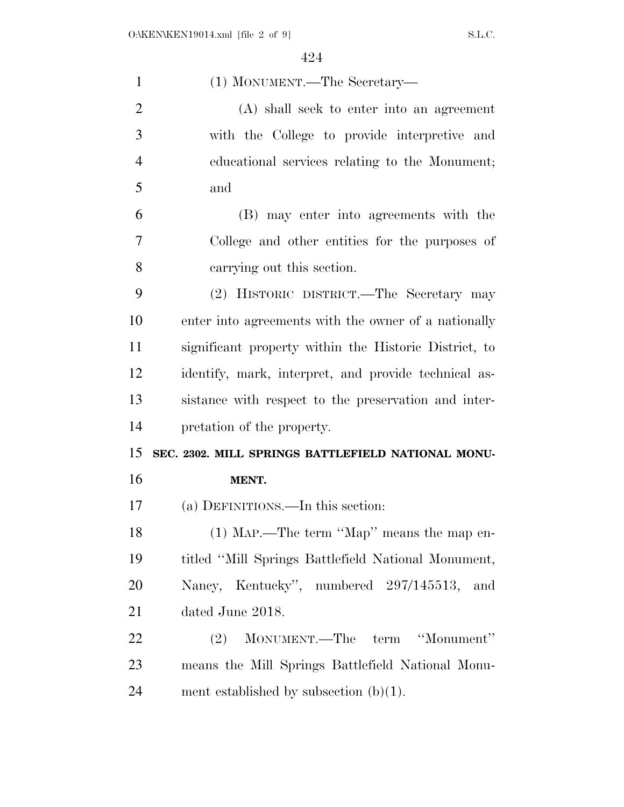| $\mathbf{1}$   | (1) MONUMENT.—The Secretary—                          |
|----------------|-------------------------------------------------------|
| $\overline{2}$ | (A) shall seek to enter into an agreement             |
| 3              | with the College to provide interpretive and          |
| $\overline{4}$ | educational services relating to the Monument;        |
| 5              | and                                                   |
| 6              | (B) may enter into agreements with the                |
| 7              | College and other entities for the purposes of        |
| 8              | carrying out this section.                            |
| 9              | (2) HISTORIC DISTRICT.—The Secretary may              |
| 10             | enter into agreements with the owner of a nationally  |
| 11             | significant property within the Historic District, to |
| 12             | identify, mark, interpret, and provide technical as-  |
| 13             | sistance with respect to the preservation and inter-  |
| 14             | pretation of the property.                            |
| 15             | SEC. 2302. MILL SPRINGS BATTLEFIELD NATIONAL MONU-    |
| 16             |                                                       |
|                | MENT.                                                 |
| 17             | (a) DEFINITIONS.—In this section:                     |
| 18             | (1) Map.—The term "Map" means the map en-             |
| 19             | titled "Mill Springs Battlefield National Monument,   |
| 20             | Nancy, Kentucky", numbered 297/145513, and            |
| 21             | dated June 2018.                                      |
| 22             | "Monument"<br>MONUMENT.—The term<br>(2)               |
| 23             | means the Mill Springs Battlefield National Monu-     |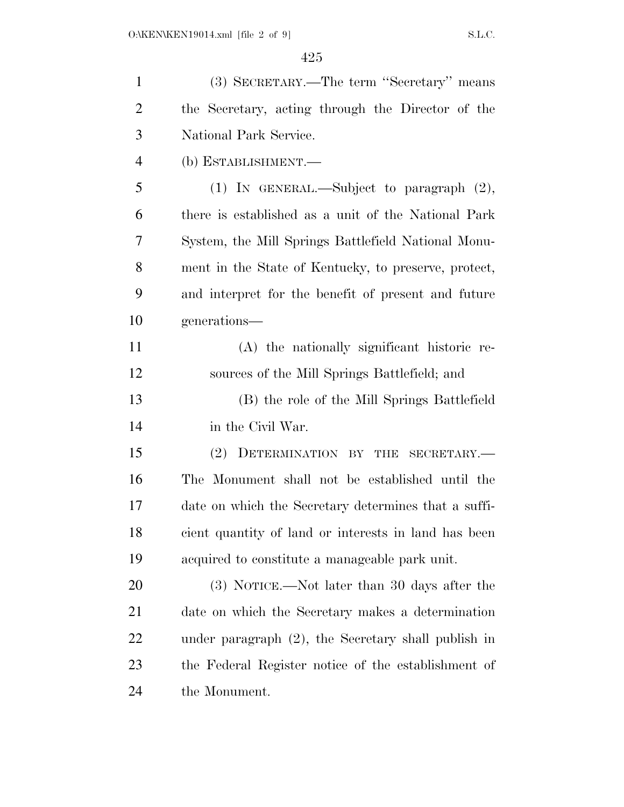| $\mathbf{1}$   | (3) SECRETARY.—The term "Secretary" means              |
|----------------|--------------------------------------------------------|
| $\overline{2}$ | the Secretary, acting through the Director of the      |
| 3              | National Park Service.                                 |
| $\overline{4}$ | (b) ESTABLISHMENT.—                                    |
| 5              | (1) IN GENERAL.—Subject to paragraph $(2)$ ,           |
| 6              | there is established as a unit of the National Park    |
| 7              | System, the Mill Springs Battlefield National Monu-    |
| 8              | ment in the State of Kentucky, to preserve, protect,   |
| 9              | and interpret for the benefit of present and future    |
| 10             | generations—                                           |
| 11             | (A) the nationally significant historic re-            |
| 12             | sources of the Mill Springs Battlefield; and           |
| 13             | (B) the role of the Mill Springs Battlefield           |
| 14             | in the Civil War.                                      |
| 15             | (2) DETERMINATION BY THE SECRETARY.—                   |
| 16             | The Monument shall not be established until the        |
| 17             | date on which the Secretary determines that a suffi-   |
| 18             | cient quantity of land or interests in land has been   |
| 19             | acquired to constitute a manageable park unit.         |
| 20             | (3) NOTICE.—Not later than 30 days after the           |
| 21             | date on which the Secretary makes a determination      |
| <u>22</u>      | under paragraph $(2)$ , the Secretary shall publish in |
| 23             | the Federal Register notice of the establishment of    |
| 24             | the Monument.                                          |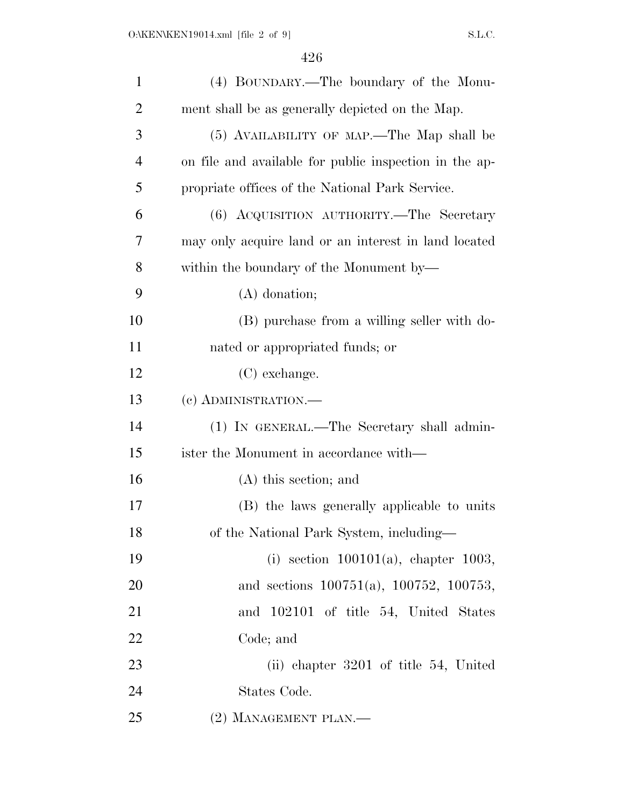| $\mathbf{1}$   | (4) BOUNDARY.—The boundary of the Monu-                |
|----------------|--------------------------------------------------------|
| $\overline{2}$ | ment shall be as generally depicted on the Map.        |
| 3              | (5) AVAILABILITY OF MAP.—The Map shall be              |
| $\overline{4}$ | on file and available for public inspection in the ap- |
| 5              | propriate offices of the National Park Service.        |
| 6              | (6) ACQUISITION AUTHORITY.—The Secretary               |
| 7              | may only acquire land or an interest in land located   |
| 8              | within the boundary of the Monument by—                |
| 9              | $(A)$ donation;                                        |
| 10             | (B) purchase from a willing seller with do-            |
| 11             | nated or appropriated funds; or                        |
| 12             | (C) exchange.                                          |
| 13             | (c) ADMINISTRATION.-                                   |
| 14             | (1) IN GENERAL.—The Secretary shall admin-             |
| 15             | ister the Monument in accordance with—                 |
| 16             | $(A)$ this section; and                                |
| 17             | (B) the laws generally applicable to units             |
| 18             | of the National Park System, including-                |
| 19             | (i) section $100101(a)$ , chapter 1003,                |
| 20             | and sections $100751(a)$ , $100752$ , $100753$ ,       |
| 21             | and 102101 of title 54, United States                  |
| 22             | Code; and                                              |
| 23             | (ii) chapter 3201 of title 54, United                  |
| 24             | States Code.                                           |
| 25             | (2) MANAGEMENT PLAN.—                                  |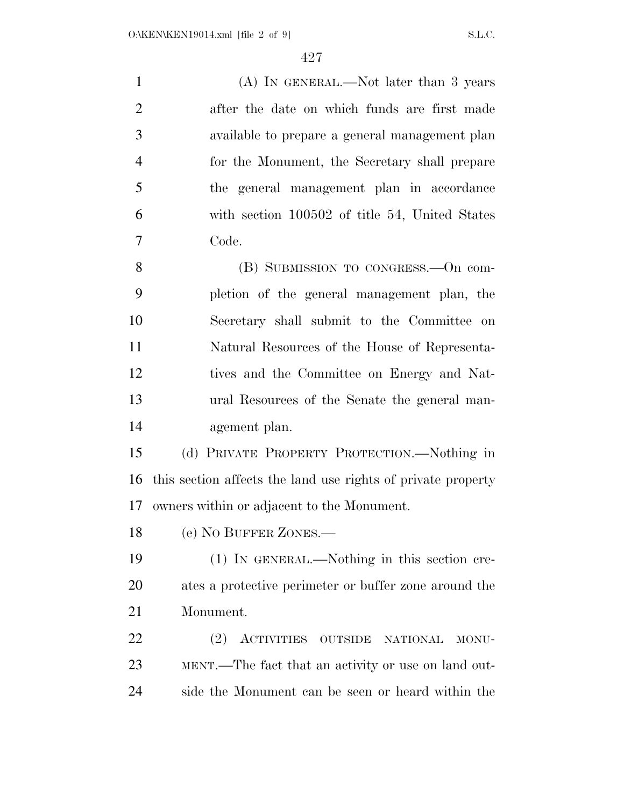1 (A) IN GENERAL.—Not later than 3 years after the date on which funds are first made available to prepare a general management plan for the Monument, the Secretary shall prepare the general management plan in accordance with section 100502 of title 54, United States Code. (B) SUBMISSION TO CONGRESS.—On com- pletion of the general management plan, the Secretary shall submit to the Committee on

 Natural Resources of the House of Representa- tives and the Committee on Energy and Nat- ural Resources of the Senate the general man-agement plan.

 (d) PRIVATE PROPERTY PROTECTION.—Nothing in this section affects the land use rights of private property owners within or adjacent to the Monument.

(e) NO BUFFER ZONES.—

 (1) IN GENERAL.—Nothing in this section cre- ates a protective perimeter or buffer zone around the Monument.

 (2) ACTIVITIES OUTSIDE NATIONAL MONU- MENT.—The fact that an activity or use on land out-side the Monument can be seen or heard within the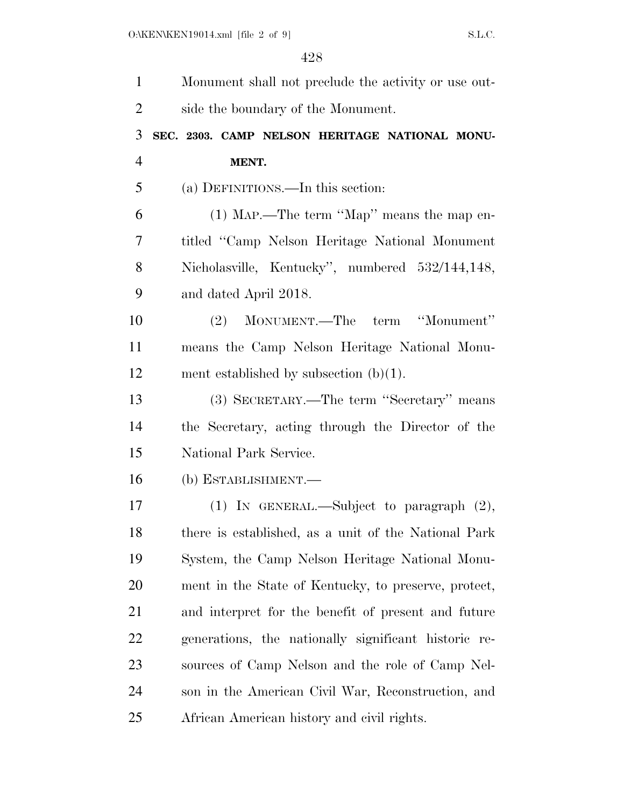| $\mathbf{1}$   | Monument shall not preclude the activity or use out- |
|----------------|------------------------------------------------------|
| $\overline{2}$ | side the boundary of the Monument.                   |
| 3              | SEC. 2303. CAMP NELSON HERITAGE NATIONAL MONU-       |
| $\overline{4}$ | MENT.                                                |
| 5              | (a) DEFINITIONS.—In this section:                    |
| 6              | (1) MAP.—The term "Map" means the map en-            |
| 7              | titled "Camp Nelson Heritage National Monument       |
| 8              | Nicholasville, Kentucky", numbered 532/144,148,      |
| 9              | and dated April 2018.                                |
| 10             | (2) MONUMENT.—The term "Monument"                    |
| 11             | means the Camp Nelson Heritage National Monu-        |
| 12             | ment established by subsection $(b)(1)$ .            |
| 13             | (3) SECRETARY.—The term "Secretary" means            |
| 14             | the Secretary, acting through the Director of the    |
| 15             | National Park Service.                               |
| 16             | (b) ESTABLISHMENT.—                                  |
| 17             | (1) IN GENERAL.—Subject to paragraph $(2)$ ,         |
| 18             | there is established, as a unit of the National Park |
| 19             | System, the Camp Nelson Heritage National Monu-      |
| 20             | ment in the State of Kentucky, to preserve, protect, |
| 21             | and interpret for the benefit of present and future  |
| 22             | generations, the nationally significant historic re- |
| 23             | sources of Camp Nelson and the role of Camp Nel-     |
| 24             | son in the American Civil War, Reconstruction, and   |
| 25             | African American history and civil rights.           |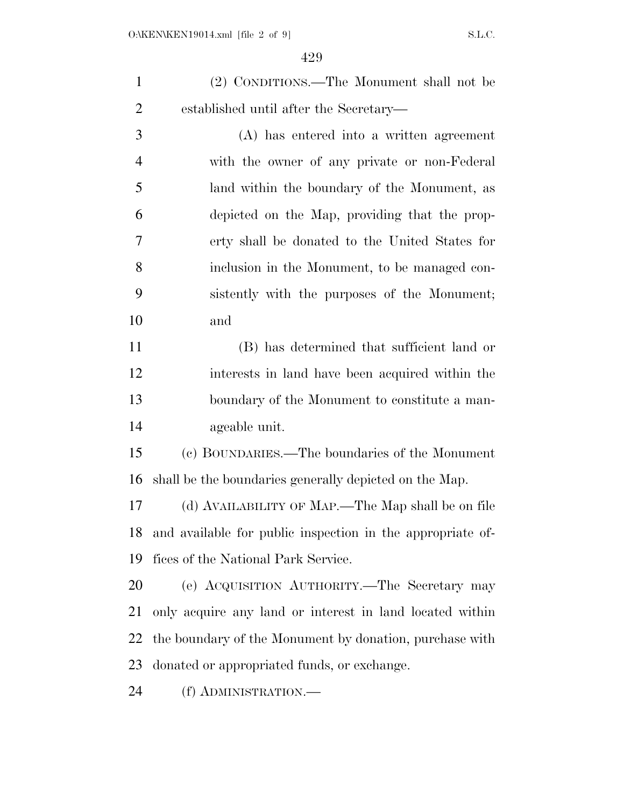(2) CONDITIONS.—The Monument shall not be established until after the Secretary—

 (A) has entered into a written agreement with the owner of any private or non-Federal land within the boundary of the Monument, as depicted on the Map, providing that the prop- erty shall be donated to the United States for inclusion in the Monument, to be managed con- sistently with the purposes of the Monument; and

 (B) has determined that sufficient land or interests in land have been acquired within the boundary of the Monument to constitute a man-ageable unit.

 (c) BOUNDARIES.—The boundaries of the Monument shall be the boundaries generally depicted on the Map.

 (d) AVAILABILITY OF MAP.—The Map shall be on file and available for public inspection in the appropriate of-fices of the National Park Service.

 (e) ACQUISITION AUTHORITY.—The Secretary may only acquire any land or interest in land located within the boundary of the Monument by donation, purchase with donated or appropriated funds, or exchange.

(f) ADMINISTRATION.—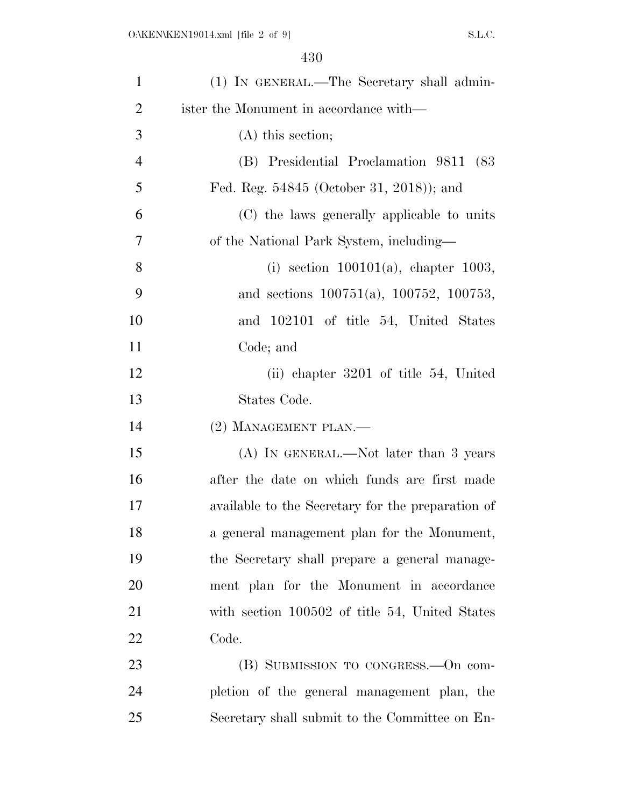| $\mathbf{1}$   | (1) IN GENERAL.—The Secretary shall admin-        |
|----------------|---------------------------------------------------|
| $\overline{2}$ | ister the Monument in accordance with—            |
| 3              | $(A)$ this section;                               |
| $\overline{4}$ | (B) Presidential Proclamation 9811 (83)           |
| 5              | Fed. Reg. 54845 (October 31, 2018)); and          |
| 6              | (C) the laws generally applicable to units        |
| $\overline{7}$ | of the National Park System, including—           |
| 8              | (i) section $100101(a)$ , chapter 1003,           |
| 9              | and sections $100751(a)$ , $100752$ , $100753$ ,  |
| 10             | and 102101 of title 54, United States             |
| 11             | Code; and                                         |
| 12             | (ii) chapter 3201 of title 54, United             |
| 13             | States Code.                                      |
| 14             | (2) MANAGEMENT PLAN.-                             |
| 15             | (A) IN GENERAL.—Not later than 3 years            |
| 16             | after the date on which funds are first made      |
| 17             | available to the Secretary for the preparation of |
| 18             | a general management plan for the Monument,       |
| 19             | the Secretary shall prepare a general manage-     |
| 20             | ment plan for the Monument in accordance          |
| 21             | with section 100502 of title 54, United States    |
| 22             | Code.                                             |
| 23             | (B) SUBMISSION TO CONGRESS.—On com-               |
| 24             | pletion of the general management plan, the       |
| 25             | Secretary shall submit to the Committee on En-    |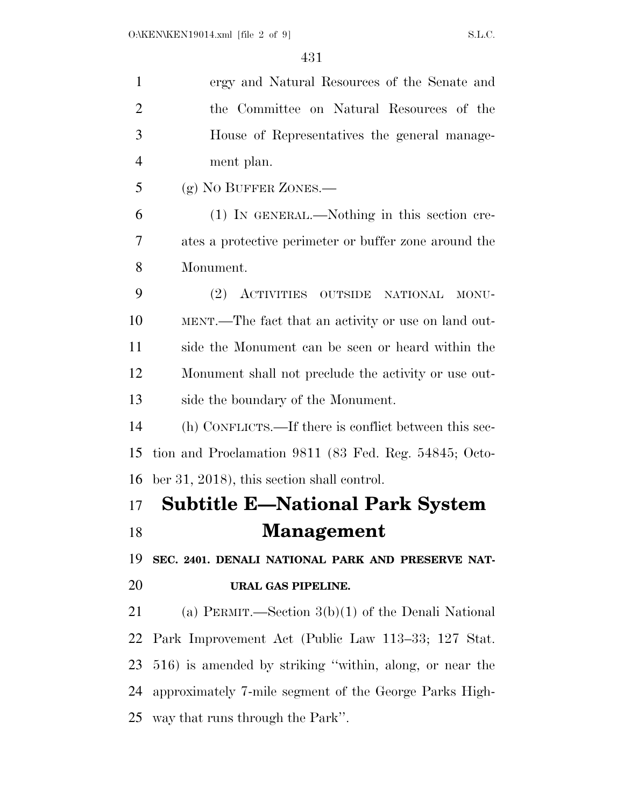| $\mathbf{1}$   | ergy and Natural Resources of the Senate and            |
|----------------|---------------------------------------------------------|
| $\overline{2}$ | the Committee on Natural Resources of the               |
| 3              | House of Representatives the general manage-            |
| $\overline{4}$ | ment plan.                                              |
| 5              | (g) NO BUFFER ZONES.—                                   |
| 6              | (1) IN GENERAL.—Nothing in this section cre-            |
| 7              | ates a protective perimeter or buffer zone around the   |
| 8              | Monument.                                               |
| 9              | (2) ACTIVITIES OUTSIDE<br><b>NATIONAL</b><br>MONU-      |
| 10             | MENT.—The fact that an activity or use on land out-     |
| 11             | side the Monument can be seen or heard within the       |
| 12             | Monument shall not preclude the activity or use out-    |
| 13             | side the boundary of the Monument.                      |
| 14             | (h) CONFLICTS.—If there is conflict between this sec-   |
| 15             | tion and Proclamation 9811 (83 Fed. Reg. 54845; Octo-   |
| 16             | ber 31, 2018), this section shall control.              |
| 17             | <b>Subtitle E—National Park System</b>                  |
| 18             | Management                                              |
| 19             | SEC. 2401. DENALI NATIONAL PARK AND PRESERVE NAT-       |
| 20             | URAL GAS PIPELINE.                                      |
| 21             | (a) PERMIT.—Section $3(b)(1)$ of the Denali National    |
| 22             | Park Improvement Act (Public Law 113–33; 127 Stat.      |
| 23             | 516) is amended by striking "within, along, or near the |
| 24             | approximately 7-mile segment of the George Parks High-  |
| 25             | way that runs through the Park".                        |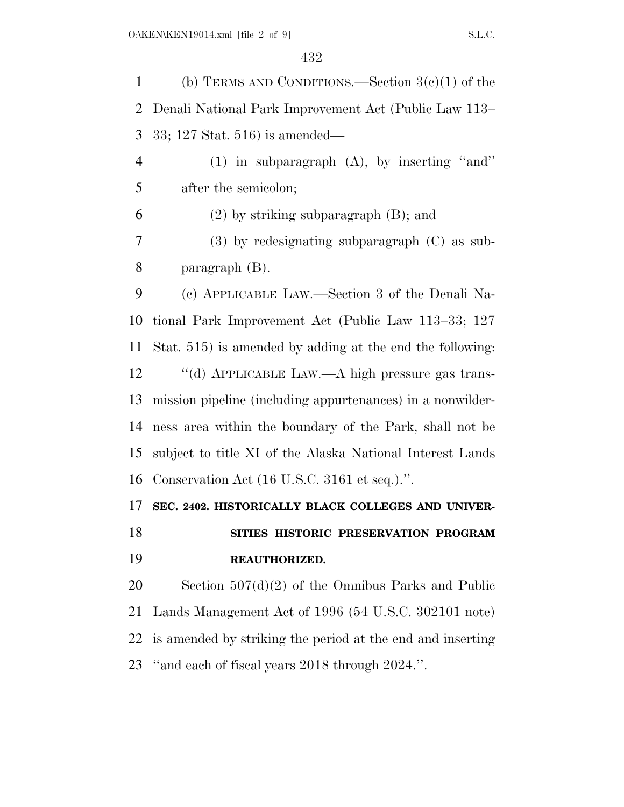1 (b) TERMS AND CONDITIONS.—Section  $3(e)(1)$  of the Denali National Park Improvement Act (Public Law 113– 33; 127 Stat. 516) is amended— (1) in subparagraph (A), by inserting ''and'' after the semicolon; (2) by striking subparagraph (B); and (3) by redesignating subparagraph (C) as sub- paragraph (B). (c) APPLICABLE LAW.—Section 3 of the Denali Na- tional Park Improvement Act (Public Law 113–33; 127 Stat. 515) is amended by adding at the end the following: ''(d) APPLICABLE LAW.—A high pressure gas trans- mission pipeline (including appurtenances) in a nonwilder- ness area within the boundary of the Park, shall not be subject to title XI of the Alaska National Interest Lands Conservation Act (16 U.S.C. 3161 et seq.).''. **SEC. 2402. HISTORICALLY BLACK COLLEGES AND UNIVER- SITIES HISTORIC PRESERVATION PROGRAM REAUTHORIZED.**  Section 507(d)(2) of the Omnibus Parks and Public Lands Management Act of 1996 (54 U.S.C. 302101 note) is amended by striking the period at the end and inserting ''and each of fiscal years 2018 through 2024.''.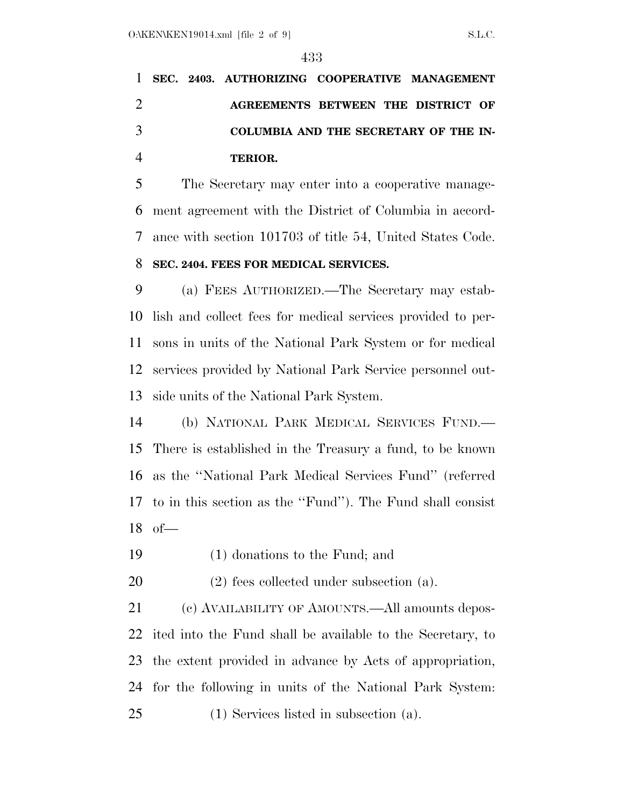## **SEC. 2403. AUTHORIZING COOPERATIVE MANAGEMENT AGREEMENTS BETWEEN THE DISTRICT OF COLUMBIA AND THE SECRETARY OF THE IN-TERIOR.**

 The Secretary may enter into a cooperative manage- ment agreement with the District of Columbia in accord- ance with section 101703 of title 54, United States Code. **SEC. 2404. FEES FOR MEDICAL SERVICES.** 

 (a) FEES AUTHORIZED.—The Secretary may estab- lish and collect fees for medical services provided to per- sons in units of the National Park System or for medical services provided by National Park Service personnel out-side units of the National Park System.

 (b) NATIONAL PARK MEDICAL SERVICES FUND.— There is established in the Treasury a fund, to be known as the ''National Park Medical Services Fund'' (referred to in this section as the ''Fund''). The Fund shall consist of—

(1) donations to the Fund; and

(2) fees collected under subsection (a).

21 (c) AVAILABILITY OF AMOUNTS.—All amounts depos- ited into the Fund shall be available to the Secretary, to the extent provided in advance by Acts of appropriation, for the following in units of the National Park System: (1) Services listed in subsection (a).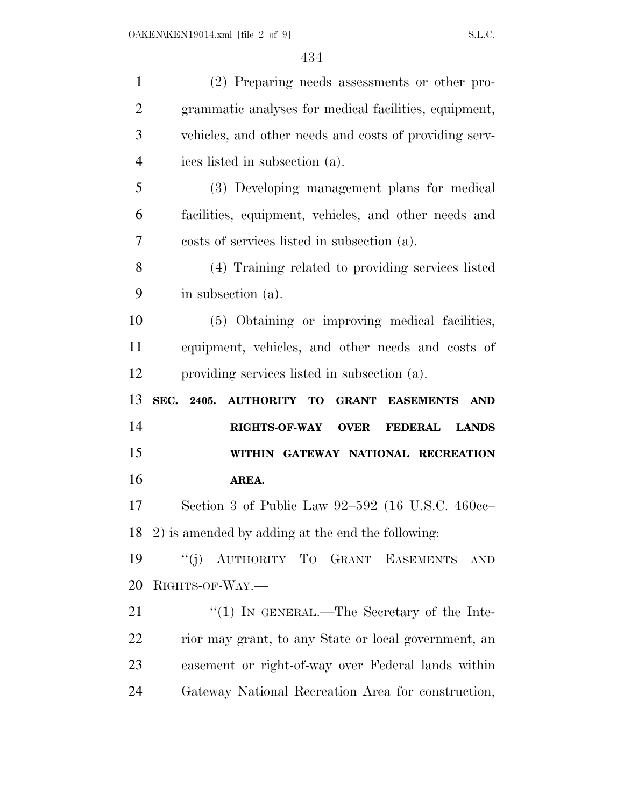| $\mathbf{1}$   | (2) Preparing needs assessments or other pro-                                       |
|----------------|-------------------------------------------------------------------------------------|
| $\overline{2}$ | grammatic analyses for medical facilities, equipment,                               |
| 3              | vehicles, and other needs and costs of providing serv-                              |
| $\overline{4}$ | ices listed in subsection (a).                                                      |
| 5              | (3) Developing management plans for medical                                         |
| 6              | facilities, equipment, vehicles, and other needs and                                |
| 7              | costs of services listed in subsection (a).                                         |
| 8              | (4) Training related to providing services listed                                   |
| 9              | in subsection (a).                                                                  |
| 10             | (5) Obtaining or improving medical facilities,                                      |
| 11             | equipment, vehicles, and other needs and costs of                                   |
| 12             | providing services listed in subsection (a).                                        |
|                |                                                                                     |
| 13             | SEC. 2405.<br><b>GRANT</b><br><b>AUTHORITY TO</b><br><b>EASEMENTS</b><br><b>AND</b> |
| 14             | <b>RIGHTS-OF-WAY OVER</b><br><b>FEDERAL</b><br><b>LANDS</b>                         |
| 15             | WITHIN GATEWAY NATIONAL RECREATION                                                  |
| 16             | AREA.                                                                               |
| 17             | Section 3 of Public Law $92-592$ (16 U.S.C. 460cc-                                  |
|                | 18 2) is amended by adding at the end the following:                                |
| 19             | "(j) AUTHORITY TO GRANT EASEMENTS<br>$\operatorname{AND}$                           |
| 20             | RIGHTS-OF-WAY.-                                                                     |
| 21             | "(1) IN GENERAL.—The Secretary of the Inte-                                         |
| 22             | rior may grant, to any State or local government, an                                |
| 23             | easement or right-of-way over Federal lands within                                  |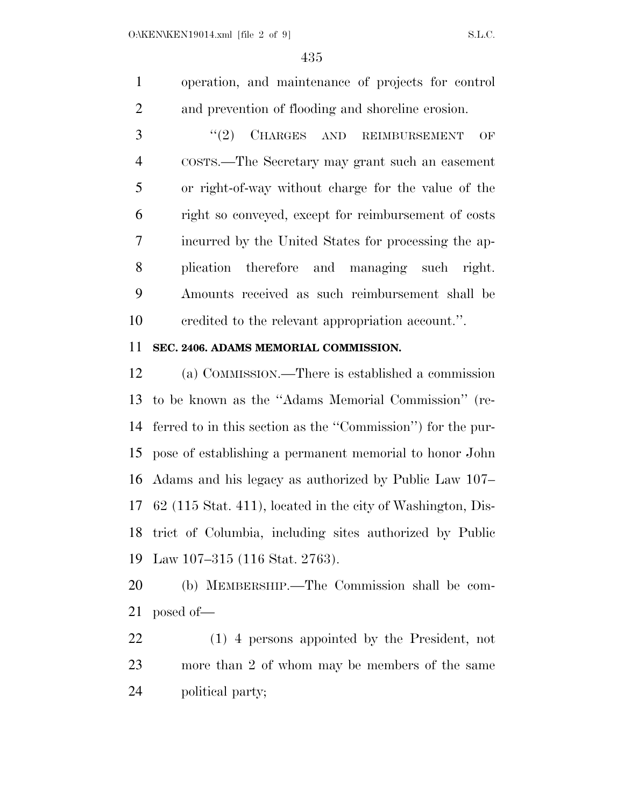operation, and maintenance of projects for control and prevention of flooding and shoreline erosion.

3 "(2) CHARGES AND REIMBURSEMENT OF COSTS.—The Secretary may grant such an easement or right-of-way without charge for the value of the right so conveyed, except for reimbursement of costs incurred by the United States for processing the ap- plication therefore and managing such right. Amounts received as such reimbursement shall be credited to the relevant appropriation account.''.

### **SEC. 2406. ADAMS MEMORIAL COMMISSION.**

 (a) COMMISSION.—There is established a commission to be known as the ''Adams Memorial Commission'' (re- ferred to in this section as the ''Commission'') for the pur- pose of establishing a permanent memorial to honor John Adams and his legacy as authorized by Public Law 107– 62 (115 Stat. 411), located in the city of Washington, Dis- trict of Columbia, including sites authorized by Public Law 107–315 (116 Stat. 2763).

 (b) MEMBERSHIP.—The Commission shall be com-posed of—

 (1) 4 persons appointed by the President, not more than 2 of whom may be members of the same political party;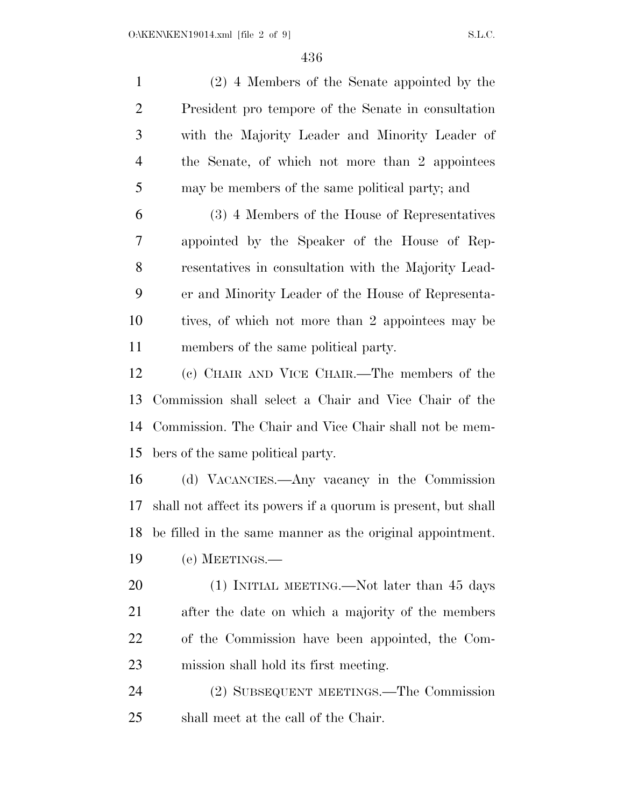(2) 4 Members of the Senate appointed by the President pro tempore of the Senate in consultation with the Majority Leader and Minority Leader of the Senate, of which not more than 2 appointees may be members of the same political party; and (3) 4 Members of the House of Representatives appointed by the Speaker of the House of Rep- resentatives in consultation with the Majority Lead- er and Minority Leader of the House of Representa- tives, of which not more than 2 appointees may be members of the same political party. (c) CHAIR AND VICE CHAIR.—The members of the Commission shall select a Chair and Vice Chair of the Commission. The Chair and Vice Chair shall not be mem- bers of the same political party. (d) VACANCIES.—Any vacancy in the Commission shall not affect its powers if a quorum is present, but shall be filled in the same manner as the original appointment. (e) MEETINGS.— 20 (1) INITIAL MEETING.—Not later than 45 days after the date on which a majority of the members of the Commission have been appointed, the Com- mission shall hold its first meeting. (2) SUBSEQUENT MEETINGS.—The Commission shall meet at the call of the Chair.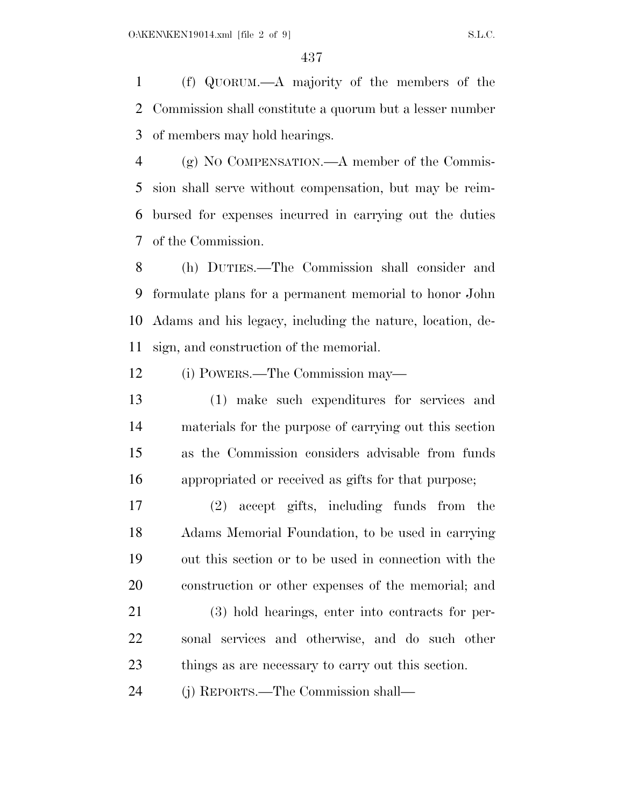(f) QUORUM.—A majority of the members of the Commission shall constitute a quorum but a lesser number of members may hold hearings.

 (g) NO COMPENSATION.—A member of the Commis- sion shall serve without compensation, but may be reim- bursed for expenses incurred in carrying out the duties of the Commission.

 (h) DUTIES.—The Commission shall consider and formulate plans for a permanent memorial to honor John Adams and his legacy, including the nature, location, de-sign, and construction of the memorial.

(i) POWERS.—The Commission may—

 (1) make such expenditures for services and materials for the purpose of carrying out this section as the Commission considers advisable from funds appropriated or received as gifts for that purpose;

 (2) accept gifts, including funds from the Adams Memorial Foundation, to be used in carrying out this section or to be used in connection with the construction or other expenses of the memorial; and

 (3) hold hearings, enter into contracts for per- sonal services and otherwise, and do such other things as are necessary to carry out this section.

(j) REPORTS.—The Commission shall—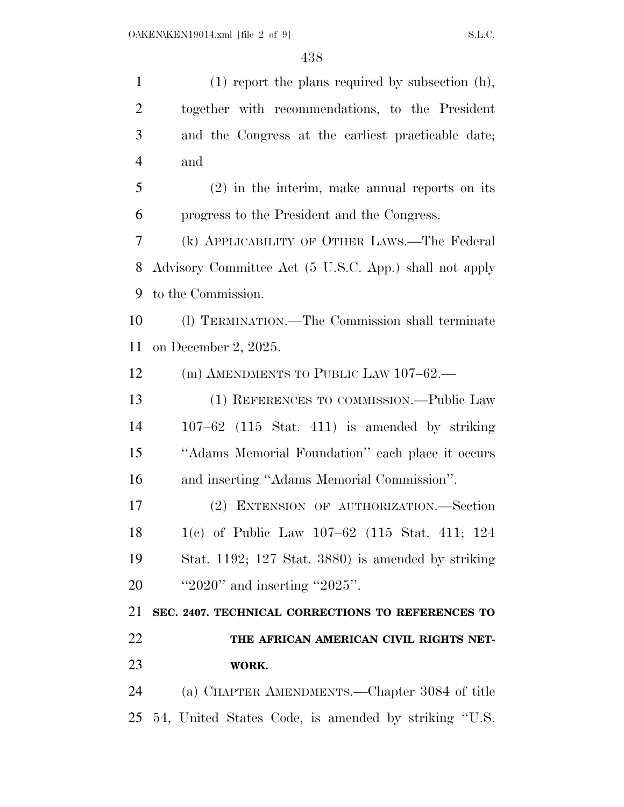(1) report the plans required by subsection (h), together with recommendations, to the President and the Congress at the earliest practicable date; and (2) in the interim, make annual reports on its progress to the President and the Congress. (k) APPLICABILITY OF OTHER LAWS.—The Federal Advisory Committee Act (5 U.S.C. App.) shall not apply to the Commission. (l) TERMINATION.—The Commission shall terminate on December 2, 2025. 12 (m) AMENDMENTS TO PUBLIC LAW 107-62.— (1) REFERENCES TO COMMISSION.—Public Law 107–62 (115 Stat. 411) is amended by striking ''Adams Memorial Foundation'' each place it occurs and inserting ''Adams Memorial Commission''. (2) EXTENSION OF AUTHORIZATION.—Section 1(c) of Public Law 107–62 (115 Stat. 411; 124 Stat. 1192; 127 Stat. 3880) is amended by striking ''2020'' and inserting ''2025''. **SEC. 2407. TECHNICAL CORRECTIONS TO REFERENCES TO THE AFRICAN AMERICAN CIVIL RIGHTS NET- WORK.**  (a) CHAPTER AMENDMENTS.—Chapter 3084 of title 54, United States Code, is amended by striking ''U.S.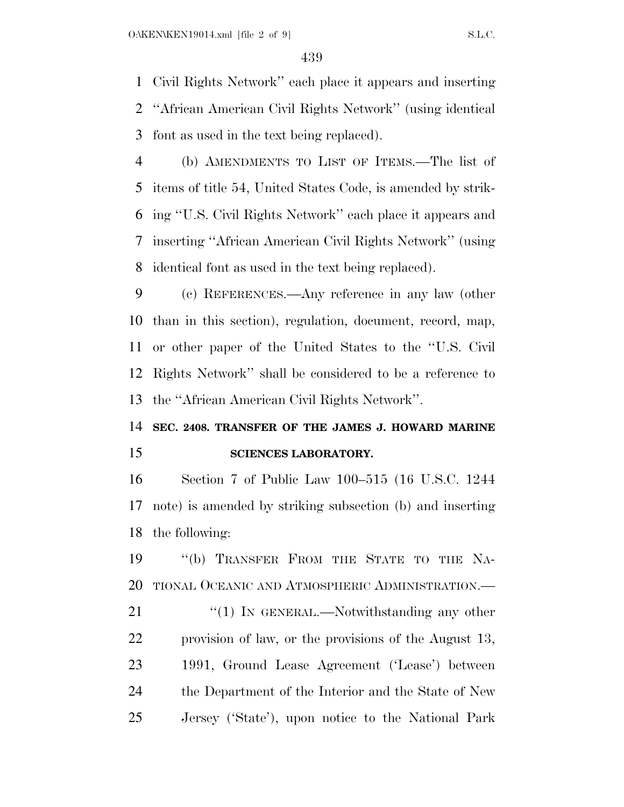Civil Rights Network'' each place it appears and inserting ''African American Civil Rights Network'' (using identical font as used in the text being replaced).

 (b) AMENDMENTS TO LIST OF ITEMS.—The list of items of title 54, United States Code, is amended by strik- ing ''U.S. Civil Rights Network'' each place it appears and inserting ''African American Civil Rights Network'' (using identical font as used in the text being replaced).

 (c) REFERENCES.—Any reference in any law (other than in this section), regulation, document, record, map, or other paper of the United States to the ''U.S. Civil Rights Network'' shall be considered to be a reference to the ''African American Civil Rights Network''.

### **SEC. 2408. TRANSFER OF THE JAMES J. HOWARD MARINE SCIENCES LABORATORY.**

 Section 7 of Public Law 100–515 (16 U.S.C. 1244 note) is amended by striking subsection (b) and inserting the following:

 ''(b) TRANSFER FROM THE STATE TO THE NA- TIONAL OCEANIC AND ATMOSPHERIC ADMINISTRATION.— 21 "(1) IN GENERAL.—Notwithstanding any other provision of law, or the provisions of the August 13, 1991, Ground Lease Agreement ('Lease') between the Department of the Interior and the State of New Jersey ('State'), upon notice to the National Park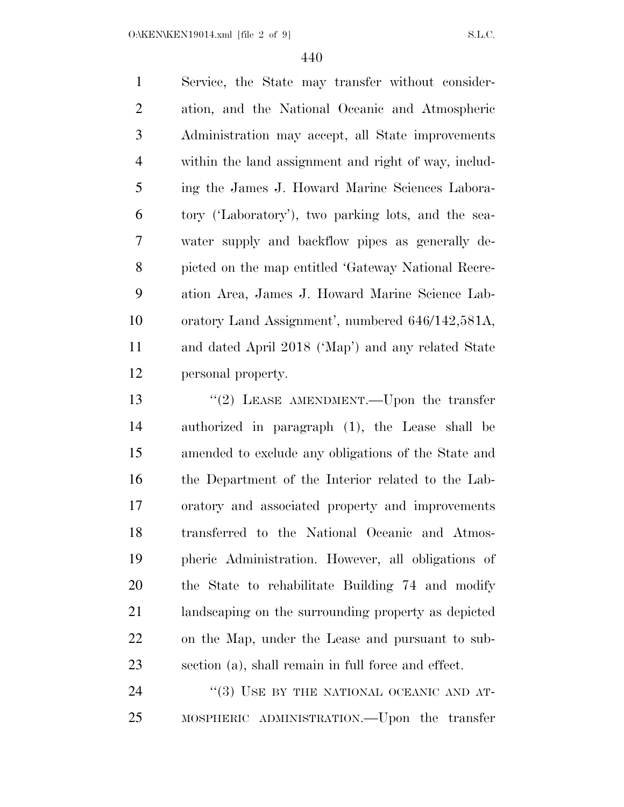O:\KEN\KEN19014.xml [file 2 of 9] S.L.C.

 Service, the State may transfer without consider- ation, and the National Oceanic and Atmospheric Administration may accept, all State improvements within the land assignment and right of way, includ- ing the James J. Howard Marine Sciences Labora- tory ('Laboratory'), two parking lots, and the sea- water supply and backflow pipes as generally de- picted on the map entitled 'Gateway National Recre- ation Area, James J. Howard Marine Science Lab- oratory Land Assignment', numbered 646/142,581A, and dated April 2018 ('Map') and any related State personal property.

13 "(2) LEASE AMENDMENT.—Upon the transfer authorized in paragraph (1), the Lease shall be amended to exclude any obligations of the State and the Department of the Interior related to the Lab- oratory and associated property and improvements transferred to the National Oceanic and Atmos- pheric Administration. However, all obligations of the State to rehabilitate Building 74 and modify landscaping on the surrounding property as depicted on the Map, under the Lease and pursuant to sub-section (a), shall remain in full force and effect.

24 "(3) USE BY THE NATIONAL OCEANIC AND AT-MOSPHERIC ADMINISTRATION.—Upon the transfer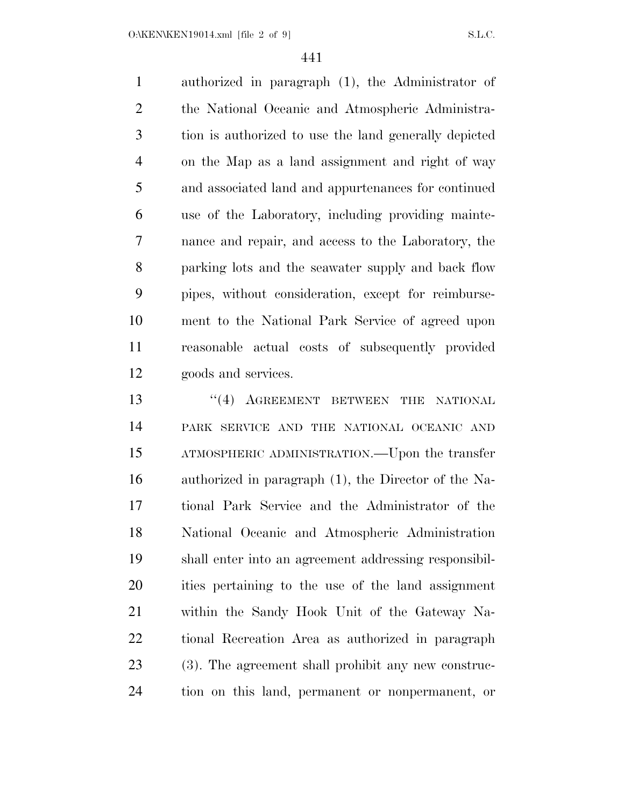O:\KEN\KEN19014.xml [file 2 of 9] S.L.C.

 authorized in paragraph (1), the Administrator of the National Oceanic and Atmospheric Administra- tion is authorized to use the land generally depicted on the Map as a land assignment and right of way and associated land and appurtenances for continued use of the Laboratory, including providing mainte- nance and repair, and access to the Laboratory, the parking lots and the seawater supply and back flow pipes, without consideration, except for reimburse- ment to the National Park Service of agreed upon reasonable actual costs of subsequently provided goods and services.

13 "(4) AGREEMENT BETWEEN THE NATIONAL PARK SERVICE AND THE NATIONAL OCEANIC AND ATMOSPHERIC ADMINISTRATION.—Upon the transfer authorized in paragraph (1), the Director of the Na- tional Park Service and the Administrator of the National Oceanic and Atmospheric Administration shall enter into an agreement addressing responsibil- ities pertaining to the use of the land assignment within the Sandy Hook Unit of the Gateway Na- tional Recreation Area as authorized in paragraph (3). The agreement shall prohibit any new construc-tion on this land, permanent or nonpermanent, or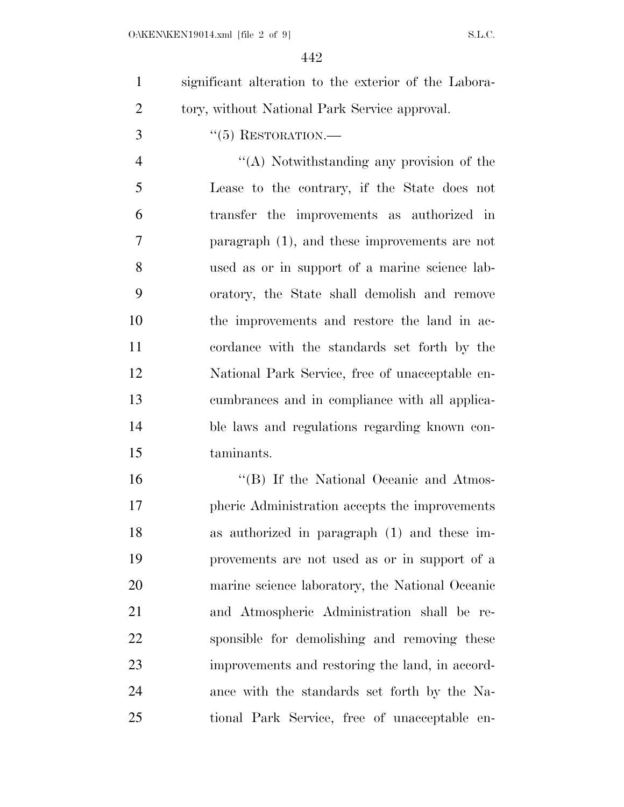significant alteration to the exterior of the Labora-tory, without National Park Service approval.

''(5) RESTORATION.—

 ''(A) Notwithstanding any provision of the Lease to the contrary, if the State does not transfer the improvements as authorized in paragraph (1), and these improvements are not used as or in support of a marine science lab- oratory, the State shall demolish and remove the improvements and restore the land in ac- cordance with the standards set forth by the National Park Service, free of unacceptable en- cumbrances and in compliance with all applica- ble laws and regulations regarding known con-taminants.

16 "'(B) If the National Oceanic and Atmos- pheric Administration accepts the improvements as authorized in paragraph (1) and these im- provements are not used as or in support of a marine science laboratory, the National Oceanic and Atmospheric Administration shall be re- sponsible for demolishing and removing these improvements and restoring the land, in accord- ance with the standards set forth by the Na-tional Park Service, free of unacceptable en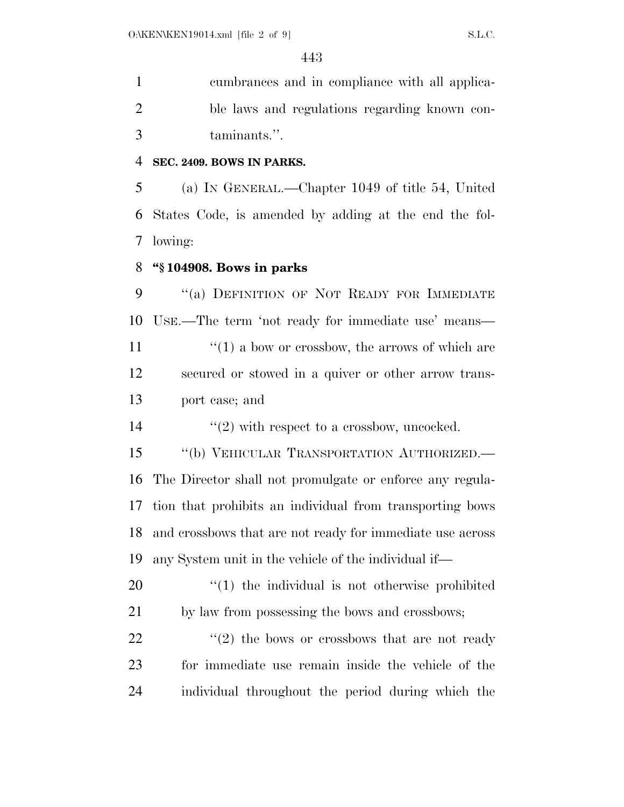cumbrances and in compliance with all applica- ble laws and regulations regarding known con-taminants.''.

#### **SEC. 2409. BOWS IN PARKS.**

 (a) IN GENERAL.—Chapter 1049 of title 54, United States Code, is amended by adding at the end the fol-lowing:

#### **''§ 104908. Bows in parks**

9 "(a) DEFINITION OF NOT READY FOR IMMEDIATE USE.—The term 'not ready for immediate use' means—  $\mathcal{L}(1)$  a bow or crossbow, the arrows of which are secured or stowed in a quiver or other arrow trans-port case; and

14  $(2)$  with respect to a crossbow, uncocked.

15 "(b) VEHICULAR TRANSPORTATION AUTHORIZED.— The Director shall not promulgate or enforce any regula- tion that prohibits an individual from transporting bows and crossbows that are not ready for immediate use across any System unit in the vehicle of the individual if—

20  $\frac{1}{20}$  (1) the individual is not otherwise prohibited by law from possessing the bows and crossbows;

22  $(2)$  the bows or crossbows that are not ready for immediate use remain inside the vehicle of the individual throughout the period during which the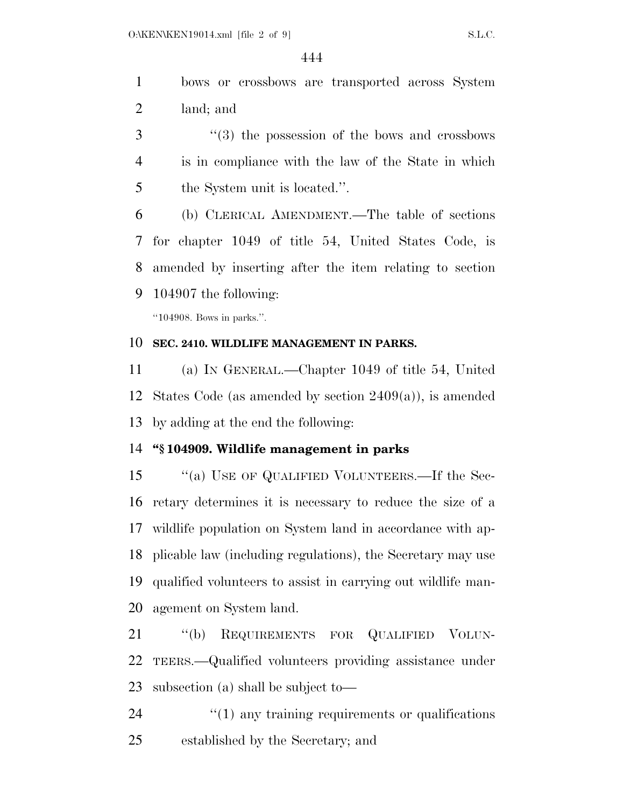bows or crossbows are transported across System land; and

 ''(3) the possession of the bows and crossbows is in compliance with the law of the State in which 5 the System unit is located.".

 (b) CLERICAL AMENDMENT.—The table of sections for chapter 1049 of title 54, United States Code, is amended by inserting after the item relating to section 104907 the following:

''104908. Bows in parks.''.

#### **SEC. 2410. WILDLIFE MANAGEMENT IN PARKS.**

 (a) IN GENERAL.—Chapter 1049 of title 54, United States Code (as amended by section 2409(a)), is amended by adding at the end the following:

#### **''§ 104909. Wildlife management in parks**

 ''(a) USE OF QUALIFIED VOLUNTEERS.—If the Sec- retary determines it is necessary to reduce the size of a wildlife population on System land in accordance with ap- plicable law (including regulations), the Secretary may use qualified volunteers to assist in carrying out wildlife man-agement on System land.

 ''(b) REQUIREMENTS FOR QUALIFIED VOLUN- TEERS.—Qualified volunteers providing assistance under subsection (a) shall be subject to—

24  $\frac{1}{2}$  (1) any training requirements or qualifications established by the Secretary; and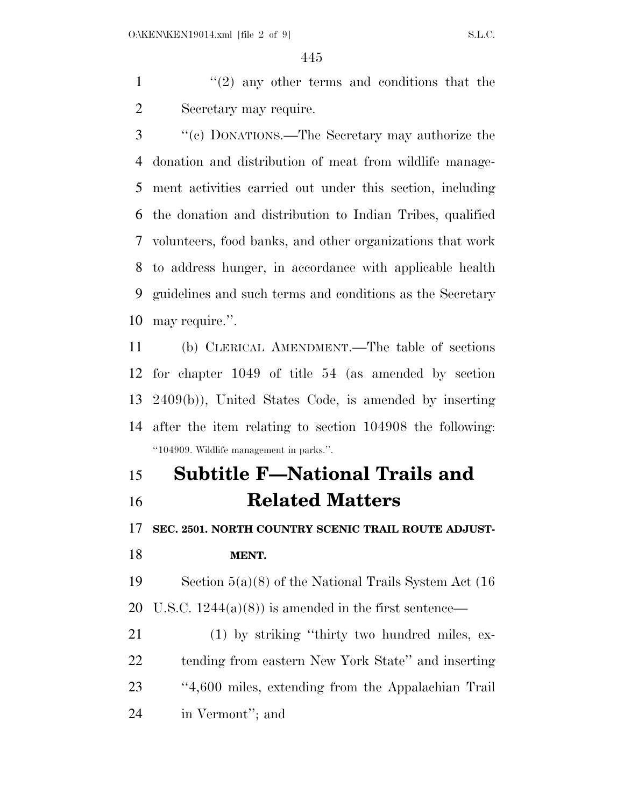1  $\frac{1}{2}$  any other terms and conditions that the Secretary may require.

 ''(c) DONATIONS.—The Secretary may authorize the donation and distribution of meat from wildlife manage- ment activities carried out under this section, including the donation and distribution to Indian Tribes, qualified volunteers, food banks, and other organizations that work to address hunger, in accordance with applicable health guidelines and such terms and conditions as the Secretary may require.''.

 (b) CLERICAL AMENDMENT.—The table of sections for chapter 1049 of title 54 (as amended by section 2409(b)), United States Code, is amended by inserting after the item relating to section 104908 the following: ''104909. Wildlife management in parks.''.

### **Subtitle F—National Trails and Related Matters**

**SEC. 2501. NORTH COUNTRY SCENIC TRAIL ROUTE ADJUST-**

### **MENT.**

 Section 5(a)(8) of the National Trails System Act (16 20 U.S.C.  $1244(a)(8)$  is amended in the first sentence—

 (1) by striking ''thirty two hundred miles, ex- tending from eastern New York State'' and inserting ''4,600 miles, extending from the Appalachian Trail in Vermont''; and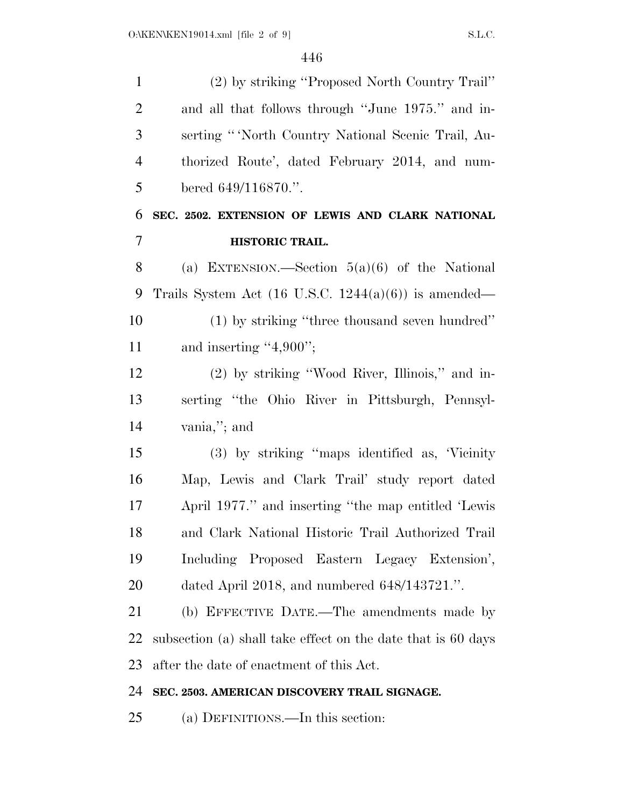| $\mathbf{1}$   | (2) by striking "Proposed North Country Trail"                  |
|----------------|-----------------------------------------------------------------|
| $\overline{2}$ | and all that follows through "June 1975." and in-               |
| 3              | serting "North Country National Scenic Trail, Au-               |
| $\overline{4}$ | thorized Route', dated February 2014, and num-                  |
| 5              | bered 649/116870.".                                             |
| 6              | SEC. 2502. EXTENSION OF LEWIS AND CLARK NATIONAL                |
| 7              | HISTORIC TRAIL.                                                 |
| 8              | (a) EXTENSION.—Section $5(a)(6)$ of the National                |
| 9              | Trails System Act $(16 \text{ U.S.C. } 1244(a)(6))$ is amended— |
| 10             | (1) by striking "three thousand seven hundred"                  |
| 11             | and inserting $"4,900"$ ;                                       |
| 12             | (2) by striking "Wood River, Illinois," and in-                 |
| 13             | serting "the Ohio River in Pittsburgh, Pennsyl-                 |
| 14             | vania,"; and                                                    |
| 15             | (3) by striking "maps identified as, 'Vicinity                  |
| 16             | Map, Lewis and Clark Trail' study report dated                  |
| 17             | April 1977." and inserting "the map entitled 'Lewis             |
| 18             | and Clark National Historic Trail Authorized Trail              |
| 19             | Including Proposed Eastern Legacy Extension',                   |
| 20             | dated April 2018, and numbered $648/143721$ .".                 |
| 21             | (b) EFFECTIVE DATE.—The amendments made by                      |
| 22             | subsection (a) shall take effect on the date that is 60 days    |
| 23             | after the date of enactment of this Act.                        |
| 24             | SEC. 2503. AMERICAN DISCOVERY TRAIL SIGNAGE.                    |
| 25             | (a) DEFINITIONS.—In this section:                               |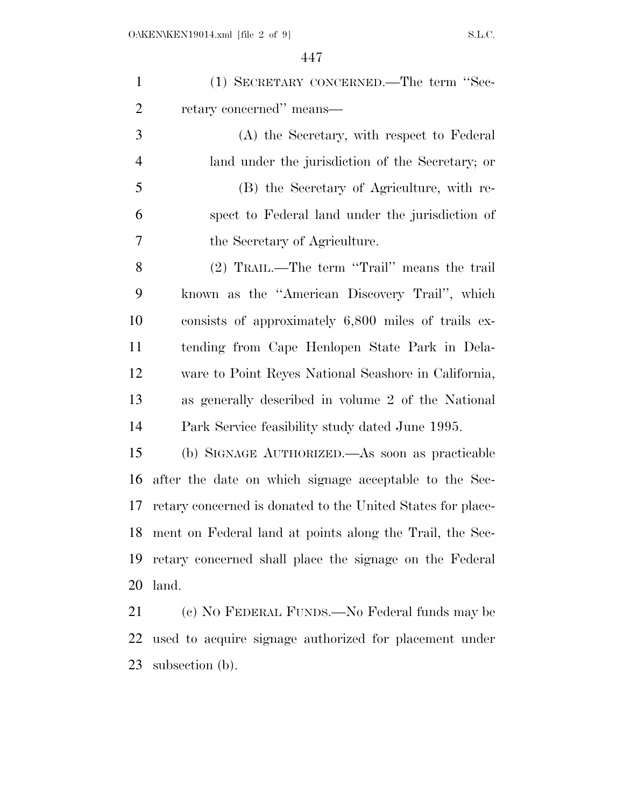| $\mathbf{1}$   | (1) SECRETARY CONCERNED.—The term "Sec-                     |
|----------------|-------------------------------------------------------------|
| $\overline{2}$ | retary concerned" means—                                    |
| 3              | (A) the Secretary, with respect to Federal                  |
| $\overline{4}$ | land under the jurisdiction of the Secretary; or            |
| 5              | (B) the Secretary of Agriculture, with re-                  |
| 6              | spect to Federal land under the jurisdiction of             |
| 7              | the Secretary of Agriculture.                               |
| 8              | (2) TRAIL.—The term "Trail" means the trail                 |
| 9              | known as the "American Discovery Trail", which              |
| 10             | consists of approximately 6,800 miles of trails ex-         |
| 11             | tending from Cape Henlopen State Park in Dela-              |
| 12             | ware to Point Reyes National Seashore in California,        |
| 13             | as generally described in volume 2 of the National          |
| 14             | Park Service feasibility study dated June 1995.             |
| 15             | (b) SIGNAGE AUTHORIZED.—As soon as practicable              |
| 16             | after the date on which signage acceptable to the Sec-      |
| 17             | retary concerned is donated to the United States for place- |
| 18             | ment on Federal land at points along the Trail, the Sec-    |
| 19             | retary concerned shall place the signage on the Federal     |
| 20             | land.                                                       |
| 21             | (c) NO FEDERAL FUNDS.—No Federal funds may be               |
|                |                                                             |

 used to acquire signage authorized for placement under subsection (b).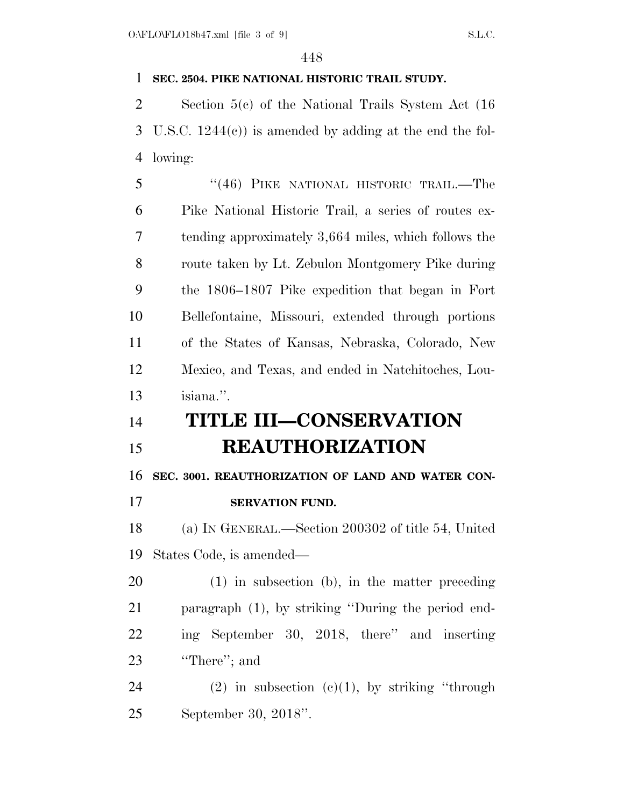### **SEC. 2504. PIKE NATIONAL HISTORIC TRAIL STUDY.**

 Section 5(c) of the National Trails System Act (16 U.S.C. 1244(c)) is amended by adding at the end the fol-lowing:

 ''(46) PIKE NATIONAL HISTORIC TRAIL.—The Pike National Historic Trail, a series of routes ex- tending approximately 3,664 miles, which follows the route taken by Lt. Zebulon Montgomery Pike during the 1806–1807 Pike expedition that began in Fort Bellefontaine, Missouri, extended through portions of the States of Kansas, Nebraska, Colorado, New Mexico, and Texas, and ended in Natchitoches, Lou-isiana.''.

## **TITLE III—CONSERVATION REAUTHORIZATION**

**SEC. 3001. REAUTHORIZATION OF LAND AND WATER CON-**

**SERVATION FUND.** 

 (a) IN GENERAL.—Section 200302 of title 54, United States Code, is amended—

 (1) in subsection (b), in the matter preceding paragraph (1), by striking ''During the period end- ing September 30, 2018, there'' and inserting ''There''; and

24 (2) in subsection  $(c)(1)$ , by striking "through September 30, 2018''.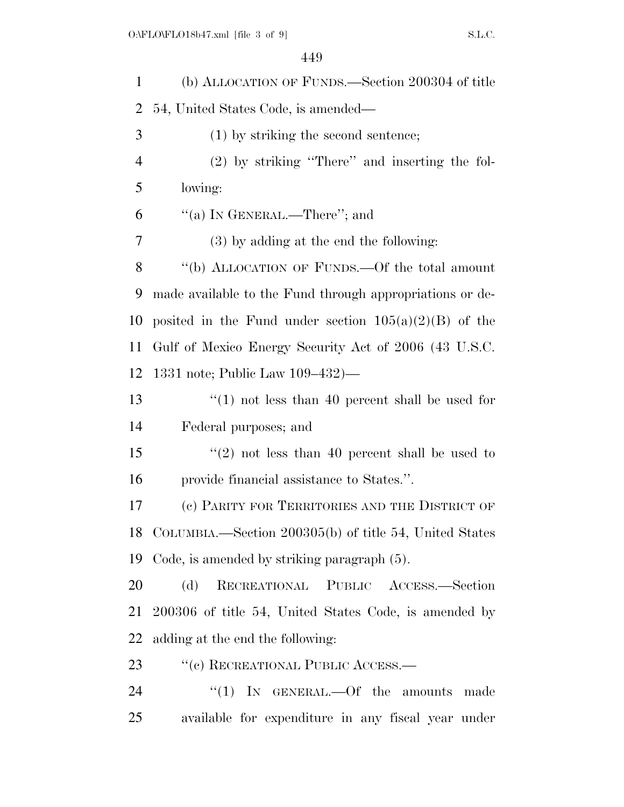| $\mathbf{1}$   | (b) ALLOCATION OF FUNDS.—Section 200304 of title          |
|----------------|-----------------------------------------------------------|
| $\overline{2}$ | 54, United States Code, is amended—                       |
| 3              | $(1)$ by striking the second sentence;                    |
| $\overline{4}$ | $(2)$ by striking "There" and inserting the fol-          |
| 5              | lowing:                                                   |
| 6              | "(a) IN GENERAL.—There"; and                              |
| 7              | $(3)$ by adding at the end the following:                 |
| 8              | "(b) ALLOCATION OF FUNDS.—Of the total amount             |
| 9              | made available to the Fund through appropriations or de-  |
| 10             | posited in the Fund under section $105(a)(2)(B)$ of the   |
| 11             | Gulf of Mexico Energy Security Act of 2006 (43 U.S.C.     |
| 12             | 1331 note; Public Law 109–432)—                           |
| 13             | $\cdot$ (1) not less than 40 percent shall be used for    |
| 14             | Federal purposes; and                                     |
| 15             | "(2) not less than 40 percent shall be used to            |
| 16             | provide financial assistance to States.".                 |
| 17             | (c) PARITY FOR TERRITORIES AND THE DISTRICT OF            |
|                | 18 COLUMBIA.—Section 200305(b) of title 54, United States |
| 19             | Code, is amended by striking paragraph (5).               |
| 20             | RECREATIONAL PUBLIC ACCESS.-Section<br>(d)                |
| 21             | 200306 of title 54, United States Code, is amended by     |
| 22             | adding at the end the following:                          |
| 23             | "(c) RECREATIONAL PUBLIC ACCESS.—                         |
| 24             | "(1) IN GENERAL.—Of the amounts made                      |
| 25             | available for expenditure in any fiscal year under        |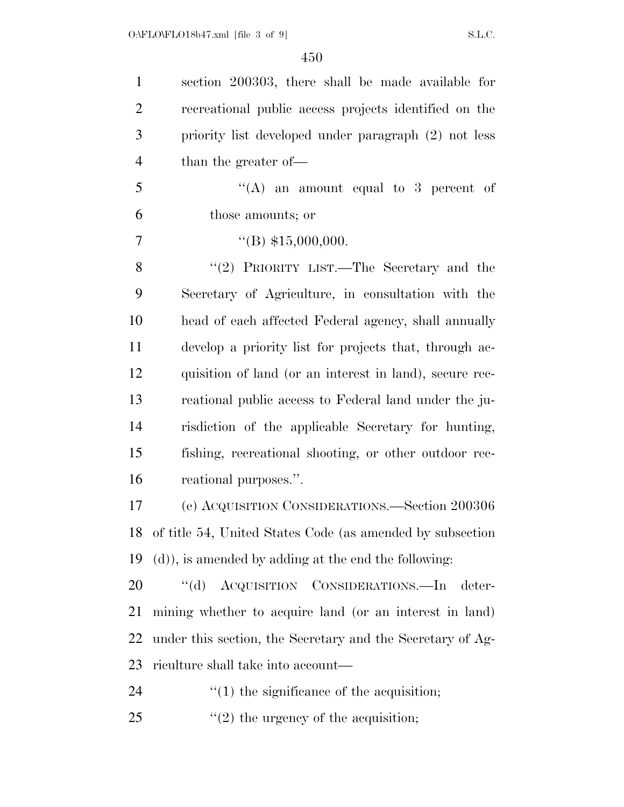| $\mathbf{1}$   | section 200303, there shall be made available for          |
|----------------|------------------------------------------------------------|
| $\overline{2}$ | recreational public access projects identified on the      |
| 3              | priority list developed under paragraph (2) not less       |
| $\overline{4}$ | than the greater of—                                       |
| 5              | "(A) an amount equal to 3 percent of                       |
| 6              | those amounts; or                                          |
| 7              | $\text{``(B)} \$15,000,000.$                               |
| 8              | "(2) PRIORITY LIST.—The Secretary and the                  |
| 9              | Secretary of Agriculture, in consultation with the         |
| 10             | head of each affected Federal agency, shall annually       |
| 11             | develop a priority list for projects that, through ac-     |
| 12             | quisition of land (or an interest in land), secure rec-    |
| 13             | reational public access to Federal land under the ju-      |
| 14             | risdiction of the applicable Secretary for hunting,        |
| 15             | fishing, recreational shooting, or other outdoor rec-      |
| 16             | reational purposes.".                                      |
| 17             | (e) ACQUISITION CONSIDERATIONS.—Section 200306             |
| 18             | of title 54, United States Code (as amended by subsection  |
| 19             | (d), is amended by adding at the end the following:        |
| 20             | "(d) ACQUISITION CONSIDERATIONS.—In<br>deter-              |
| 21             | mining whether to acquire land (or an interest in land)    |
| 22             | under this section, the Secretary and the Secretary of Ag- |
| 23             | riculture shall take into account—                         |
| 24             | $\cdot$ (1) the significance of the acquisition;           |
| 25             | $f'(2)$ the urgency of the acquisition;                    |
|                |                                                            |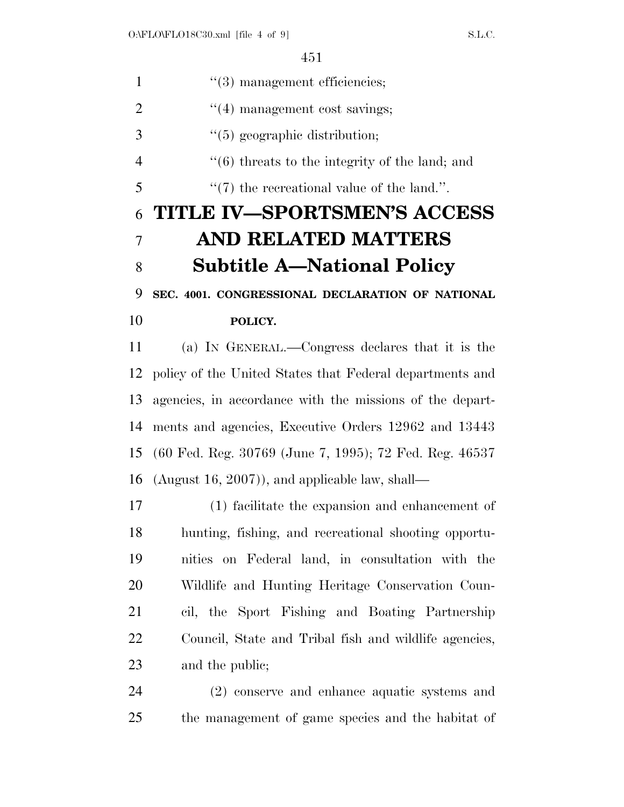| $\mathbf{1}$   | $\lq(3)$ management efficiencies;                        |
|----------------|----------------------------------------------------------|
| $\overline{2}$ | $\cdot$ (4) management cost savings;                     |
| 3              | $\lq(5)$ geographic distribution;                        |
| $\overline{4}$ | $\cdot$ (6) threats to the integrity of the land; and    |
| 5              | $\lq(7)$ the recreational value of the land.".           |
| 6              | <b>TITLE IV-SPORTSMEN'S ACCESS</b>                       |
| 7              | <b>AND RELATED MATTERS</b>                               |
| 8              | <b>Subtitle A—National Policy</b>                        |
| 9              | SEC. 4001. CONGRESSIONAL DECLARATION OF NATIONAL         |
| 10             | POLICY.                                                  |
| 11             | (a) IN GENERAL.—Congress declares that it is the         |
| 12             | policy of the United States that Federal departments and |
| 13             | agencies, in accordance with the missions of the depart- |
| 14             | ments and agencies, Executive Orders 12962 and 13443     |
| 15             | (60 Fed. Reg. 30769 (June 7, 1995); 72 Fed. Reg. 46537   |
| 16             | (August 16, 2007)), and applicable law, shall—           |
| 17             | (1) facilitate the expansion and enhancement of          |
| 18             | hunting, fishing, and recreational shooting opportu-     |
| 19             | nities on Federal land, in consultation with the         |
| 20             | Wildlife and Hunting Heritage Conservation Coun-         |
| 21             | cil, the Sport Fishing and Boating Partnership           |
| 22             | Council, State and Tribal fish and wildlife agencies,    |
| 23             | and the public;                                          |
| $\mathcal{L}$  | congourse and opponent                                   |

 (2) conserve and enhance aquatic systems and the management of game species and the habitat of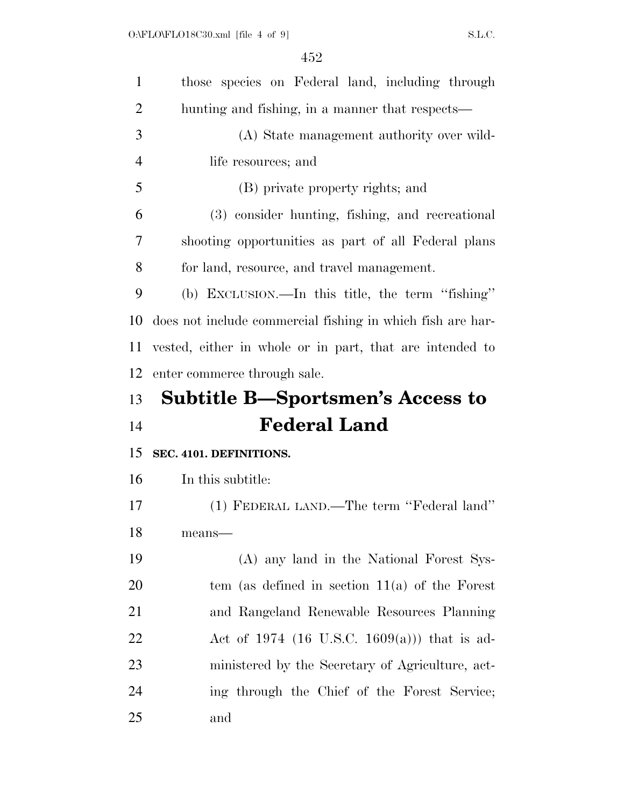| $\mathbf{1}$   | those species on Federal land, including through           |
|----------------|------------------------------------------------------------|
| 2              | hunting and fishing, in a manner that respects—            |
| 3              | (A) State management authority over wild-                  |
| $\overline{4}$ | life resources; and                                        |
| 5              | (B) private property rights; and                           |
| 6              | (3) consider hunting, fishing, and recreational            |
| 7              | shooting opportunities as part of all Federal plans        |
| 8              | for land, resource, and travel management.                 |
| 9              | (b) EXCLUSION.—In this title, the term "fishing"           |
| 10             | does not include commercial fishing in which fish are har- |
| 11             | vested, either in whole or in part, that are intended to   |
| 12             | enter commerce through sale.                               |
|                |                                                            |
| 13             | <b>Subtitle B—Sportsmen's Access to</b>                    |
| 14             | <b>Federal Land</b>                                        |
| 15             | SEC. 4101. DEFINITIONS.                                    |
| 16             | In this subtitle:                                          |
| 17             | (1) FEDERAL LAND.—The term "Federal land"                  |
| 18             | means—                                                     |
| 19             | (A) any land in the National Forest Sys-                   |
| 20             | tem (as defined in section $11(a)$ of the Forest           |
| 21             | and Rangeland Renewable Resources Planning                 |
| 22             | Act of 1974 (16 U.S.C. 1609(a))) that is ad-               |
| 23             | ministered by the Secretary of Agriculture, act-           |
| 24             | ing through the Chief of the Forest Service;               |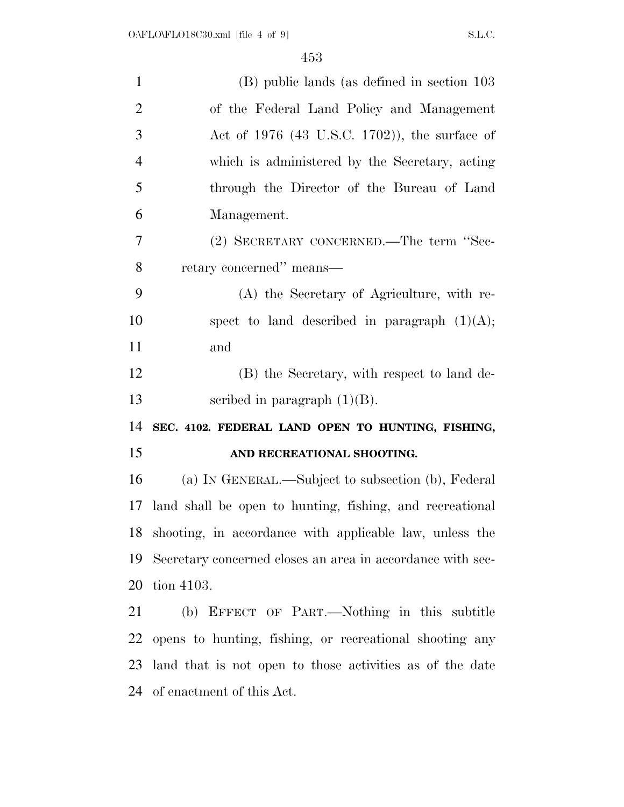| $\mathbf{1}$   | (B) public lands (as defined in section 103                |
|----------------|------------------------------------------------------------|
| $\overline{2}$ | of the Federal Land Policy and Management                  |
| 3              | Act of $1976$ (43 U.S.C. 1702)), the surface of            |
| $\overline{4}$ | which is administered by the Secretary, acting             |
| 5              | through the Director of the Bureau of Land                 |
| 6              | Management.                                                |
| 7              | (2) SECRETARY CONCERNED.—The term "Sec-                    |
| 8              | retary concerned" means—                                   |
| 9              | (A) the Secretary of Agriculture, with re-                 |
| 10             | spect to land described in paragraph $(1)(A);$             |
| 11             | and                                                        |
| 12             | (B) the Secretary, with respect to land de-                |
| 13             | scribed in paragraph $(1)(B)$ .                            |
| 14             | SEC. 4102. FEDERAL LAND OPEN TO HUNTING, FISHING,          |
| 15             | AND RECREATIONAL SHOOTING.                                 |
| 16             | (a) IN GENERAL.—Subject to subsection (b), Federal         |
| 17             | land shall be open to hunting, fishing, and recreational   |
|                | 18 shooting, in accordance with applicable law, unless the |
| 19             | Secretary concerned closes an area in accordance with sec- |
| 20             | tion 4103.                                                 |
| 21             | (b) EFFECT OF PART.—Nothing in this subtitle               |
| 22             | opens to hunting, fishing, or recreational shooting any    |
| 23             | land that is not open to those activities as of the date   |
| 24             | of enactment of this Act.                                  |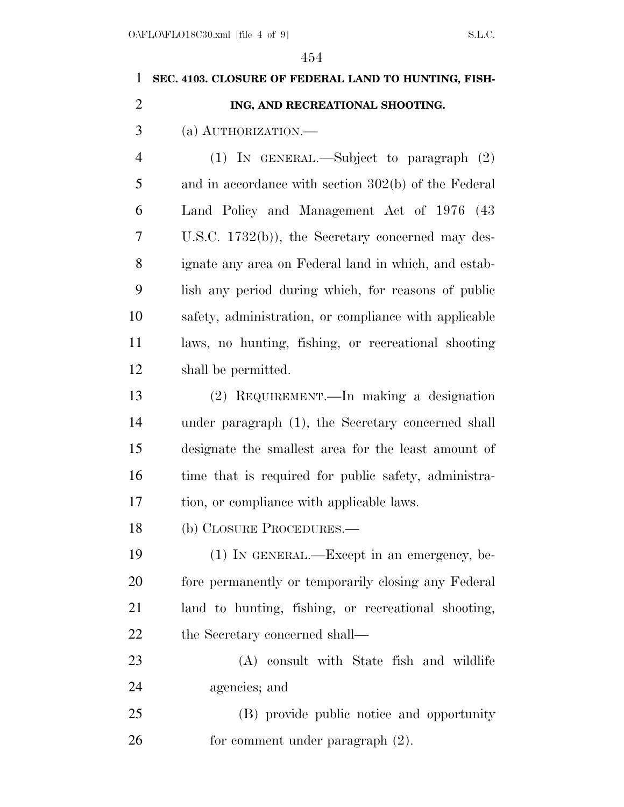# **SEC. 4103. CLOSURE OF FEDERAL LAND TO HUNTING, FISH- ING, AND RECREATIONAL SHOOTING.**  (a) AUTHORIZATION.— (1) IN GENERAL.—Subject to paragraph (2) and in accordance with section 302(b) of the Federal Land Policy and Management Act of 1976 (43 U.S.C. 1732(b)), the Secretary concerned may des- ignate any area on Federal land in which, and estab- lish any period during which, for reasons of public safety, administration, or compliance with applicable laws, no hunting, fishing, or recreational shooting shall be permitted. (2) REQUIREMENT.—In making a designation under paragraph (1), the Secretary concerned shall designate the smallest area for the least amount of 16 time that is required for public safety, administra- tion, or compliance with applicable laws. (b) CLOSURE PROCEDURES.— (1) IN GENERAL.—Except in an emergency, be- fore permanently or temporarily closing any Federal land to hunting, fishing, or recreational shooting, 22 the Secretary concerned shall— (A) consult with State fish and wildlife agencies; and (B) provide public notice and opportunity 26 for comment under paragraph  $(2)$ .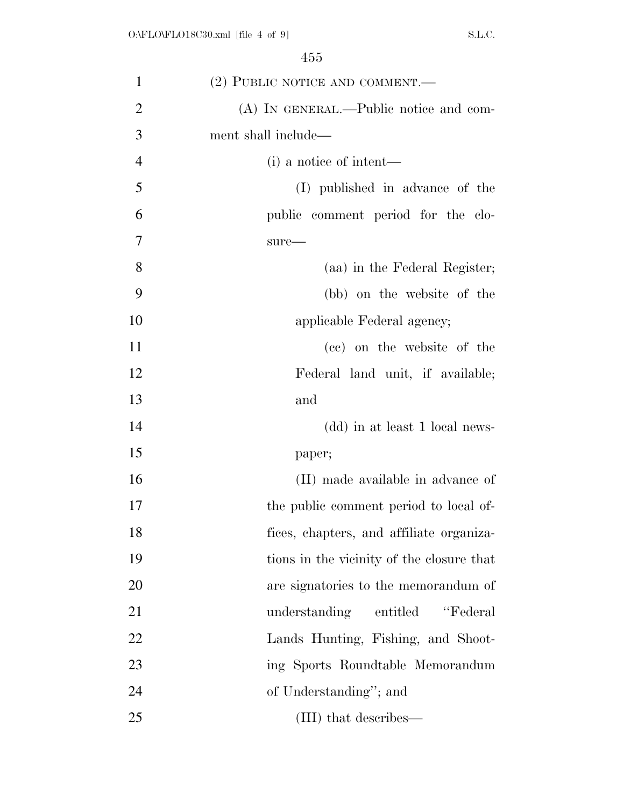| $\mathbf{1}$   | (2) PUBLIC NOTICE AND COMMENT.—           |
|----------------|-------------------------------------------|
| $\overline{2}$ | (A) IN GENERAL.—Public notice and com-    |
| 3              | ment shall include—                       |
| $\overline{4}$ | (i) a notice of intent—                   |
| 5              | (I) published in advance of the           |
| 6              | public comment period for the clo-        |
| 7              | $sure-$                                   |
| 8              | (aa) in the Federal Register;             |
| 9              | (bb) on the website of the                |
| 10             | applicable Federal agency;                |
| 11             | (cc) on the website of the                |
| 12             | Federal land unit, if available;          |
| 13             | and                                       |
| 14             | (dd) in at least 1 local news-            |
| 15             | paper;                                    |
| 16             | (II) made available in advance of         |
| 17             | the public comment period to local of-    |
| 18             | fices, chapters, and affiliate organiza-  |
| 19             | tions in the vicinity of the closure that |
| 20             | are signatories to the memorandum of      |
| 21             | "Federal"<br>understanding entitled       |
| 22             | Lands Hunting, Fishing, and Shoot-        |
| 23             | ing Sports Roundtable Memorandum          |
| 24             | of Understanding"; and                    |
| 25             | (III) that describes—                     |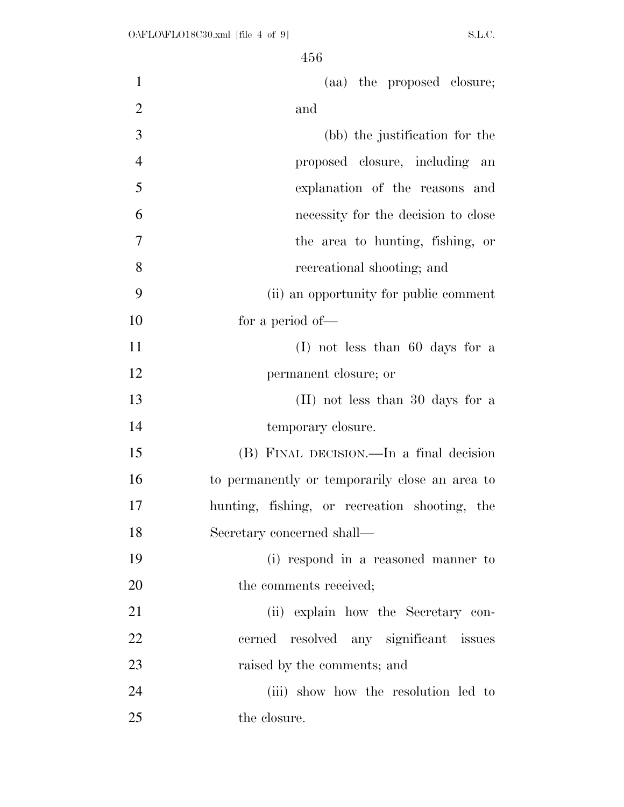| $\mathbf{1}$   | (aa) the proposed closure;                     |
|----------------|------------------------------------------------|
| $\overline{2}$ | and                                            |
| 3              | (bb) the justification for the                 |
| $\overline{4}$ | proposed closure, including an                 |
| 5              | explanation of the reasons and                 |
| 6              | necessity for the decision to close            |
| $\overline{7}$ | the area to hunting, fishing, or               |
| 8              | recreational shooting; and                     |
| 9              | (ii) an opportunity for public comment         |
| 10             | for a period of-                               |
| 11             | $(I)$ not less than 60 days for a              |
| 12             | permanent closure; or                          |
| 13             | (II) not less than 30 days for a               |
| 14             | temporary closure.                             |
| 15             | (B) FINAL DECISION.—In a final decision        |
| 16             | to permanently or temporarily close an area to |
| 17             | hunting, fishing, or recreation shooting, the  |
| 18             | Secretary concerned shall-                     |
| 19             | (i) respond in a reasoned manner to            |
| 20             | the comments received;                         |
| 21             | (ii) explain how the Secretary con-            |
| 22             | cerned resolved any significant issues         |
| 23             | raised by the comments; and                    |
| 24             | (iii) show how the resolution led to           |
| 25             | the closure.                                   |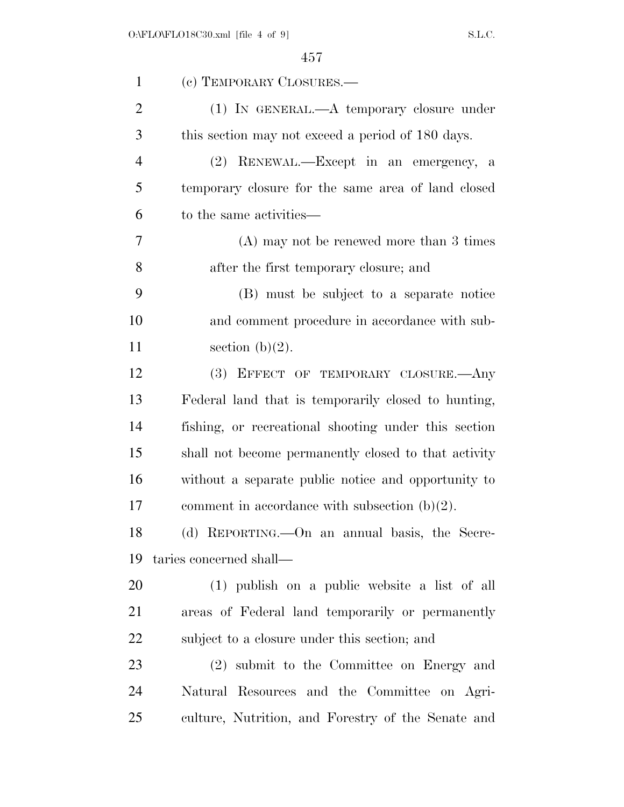| $\mathbf{1}$   | (c) TEMPORARY CLOSURES.—                             |
|----------------|------------------------------------------------------|
| $\overline{2}$ | $(1)$ IN GENERAL.— $A$ temporary closure under       |
| 3              | this section may not exceed a period of 180 days.    |
| $\overline{4}$ | (2) RENEWAL.—Except in an emergency, a               |
| 5              | temporary closure for the same area of land closed   |
| 6              | to the same activities—                              |
| 7              | $(A)$ may not be renewed more than 3 times           |
| 8              | after the first temporary closure; and               |
| 9              | (B) must be subject to a separate notice             |
| 10             | and comment procedure in accordance with sub-        |
| 11             | section $(b)(2)$ .                                   |
| 12             | (3) EFFECT OF TEMPORARY CLOSURE.—Any                 |
| 13             | Federal land that is temporarily closed to hunting,  |
| 14             | fishing, or recreational shooting under this section |
| 15             | shall not become permanently closed to that activity |
| 16             | without a separate public notice and opportunity to  |
| 17             | comment in accordance with subsection $(b)(2)$ .     |
| 18             | (d) REPORTING.—On an annual basis, the Secre-        |
| 19             | taries concerned shall—                              |
| 20             | (1) publish on a public website a list of all        |
| 21             | areas of Federal land temporarily or permanently     |
| 22             | subject to a closure under this section; and         |
| 23             | (2) submit to the Committee on Energy and            |
| 24             | Natural Resources and the Committee on Agri-         |
| 25             | culture, Nutrition, and Forestry of the Senate and   |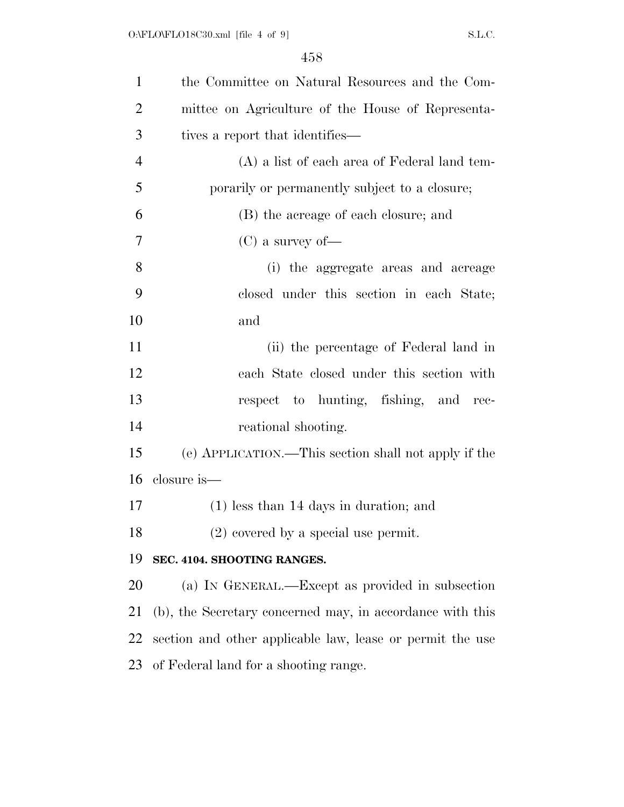| $\mathbf{1}$   | the Committee on Natural Resources and the Com-           |
|----------------|-----------------------------------------------------------|
| $\overline{2}$ | mittee on Agriculture of the House of Representa-         |
| 3              | tives a report that identifies—                           |
| $\overline{4}$ | (A) a list of each area of Federal land tem-              |
| 5              | porarily or permanently subject to a closure;             |
| 6              | (B) the acreage of each closure; and                      |
| 7              | $(C)$ a survey of —                                       |
| 8              | (i) the aggregate areas and acreage                       |
| 9              | closed under this section in each State;                  |
| 10             | and                                                       |
| 11             | (ii) the percentage of Federal land in                    |
| 12             | each State closed under this section with                 |
| 13             | respect to hunting, fishing, and rec-                     |
| 14             | reational shooting.                                       |
| 15             | (e) APPLICATION.—This section shall not apply if the      |
| 16             | closure is—                                               |
| 17             | $(1)$ less than 14 days in duration; and                  |
| 18             | $(2)$ covered by a special use permit.                    |
| 19             | SEC. 4104. SHOOTING RANGES.                               |
| 20             | (a) IN GENERAL.—Except as provided in subsection          |
| 21             | (b), the Secretary concerned may, in accordance with this |
| 22             | section and other applicable law, lease or permit the use |
| 23             | of Federal land for a shooting range.                     |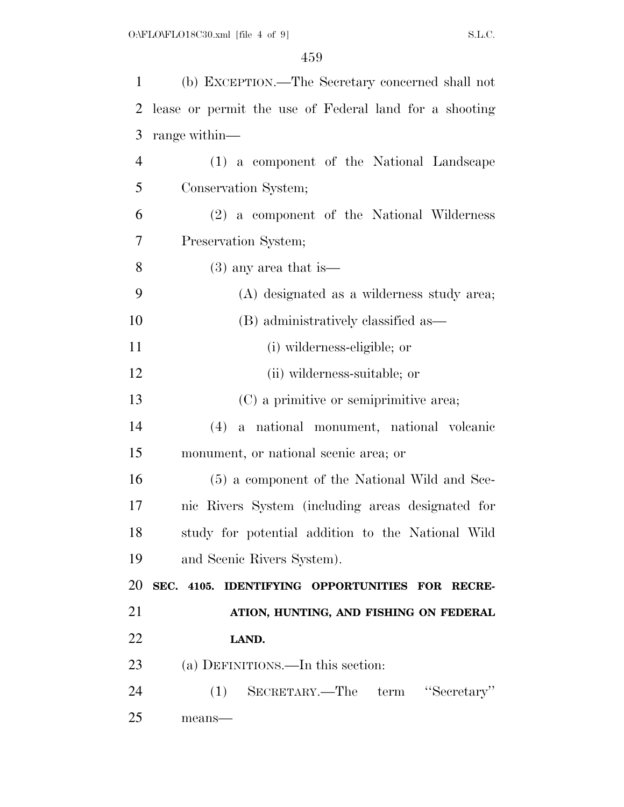| 1              | (b) EXCEPTION.—The Secretary concerned shall not       |
|----------------|--------------------------------------------------------|
| $\overline{2}$ | lease or permit the use of Federal land for a shooting |
| 3              | range within—                                          |
| $\overline{4}$ | (1) a component of the National Landscape              |
| 5              | Conservation System;                                   |
| 6              | (2) a component of the National Wilderness             |
| 7              | Preservation System;                                   |
| 8              | $(3)$ any area that is —                               |
| 9              | (A) designated as a wilderness study area;             |
| 10             | (B) administratively classified as—                    |
| 11             | (i) wilderness-eligible; or                            |
| 12             | (ii) wilderness-suitable; or                           |
| 13             | (C) a primitive or semiprimitive area;                 |
| 14             | a national monument, national volcanic<br>(4)          |
| 15             | monument, or national scenic area; or                  |
| 16             | (5) a component of the National Wild and Sce-          |
| 17             | nic Rivers System (including areas designated for      |
| 18             | study for potential addition to the National Wild      |
| 19             | and Scenic Rivers System).                             |
| 20             | SEC. 4105. IDENTIFYING OPPORTUNITIES FOR RECRE-        |
| 21             | ATION, HUNTING, AND FISHING ON FEDERAL                 |
| 22             | LAND.                                                  |
| 23             | (a) DEFINITIONS.—In this section:                      |
| 24             | SECRETARY.—The term "Secretary"<br>(1)                 |
| 25             | means-                                                 |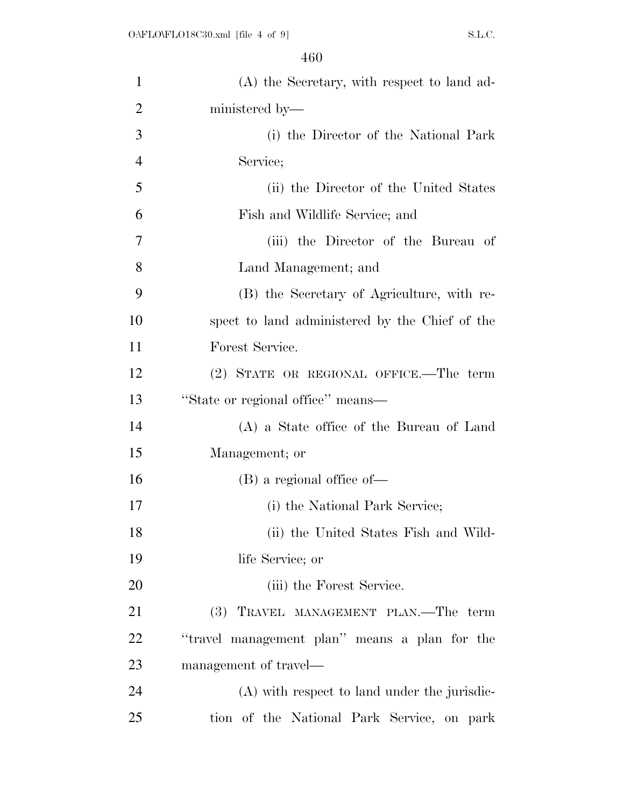| $\mathbf{1}$   | (A) the Secretary, with respect to land ad-    |
|----------------|------------------------------------------------|
| $\overline{2}$ | ministered by—                                 |
| 3              | (i) the Director of the National Park          |
| $\overline{4}$ | Service;                                       |
| 5              | (ii) the Director of the United States         |
| 6              | Fish and Wildlife Service; and                 |
| $\overline{7}$ | (iii) the Director of the Bureau of            |
| 8              | Land Management; and                           |
| 9              | (B) the Secretary of Agriculture, with re-     |
| 10             | spect to land administered by the Chief of the |
| 11             | Forest Service.                                |
| 12             | (2) STATE OR REGIONAL OFFICE.—The term         |
| 13             | "State or regional office" means—              |
| 14             | (A) a State office of the Bureau of Land       |
| 15             | Management; or                                 |
| 16             | $(B)$ a regional office of —                   |
| 17             | (i) the National Park Service;                 |
| 18             | (ii) the United States Fish and Wild-          |
| 19             | life Service; or                               |
| 20             | (iii) the Forest Service.                      |
| 21             | (3) TRAVEL MANAGEMENT PLAN.—The term           |
| 22             | "travel management plan" means a plan for the  |
| 23             | management of travel—                          |
| 24             | (A) with respect to land under the jurisdic-   |
| 25             | tion of the National Park Service, on park     |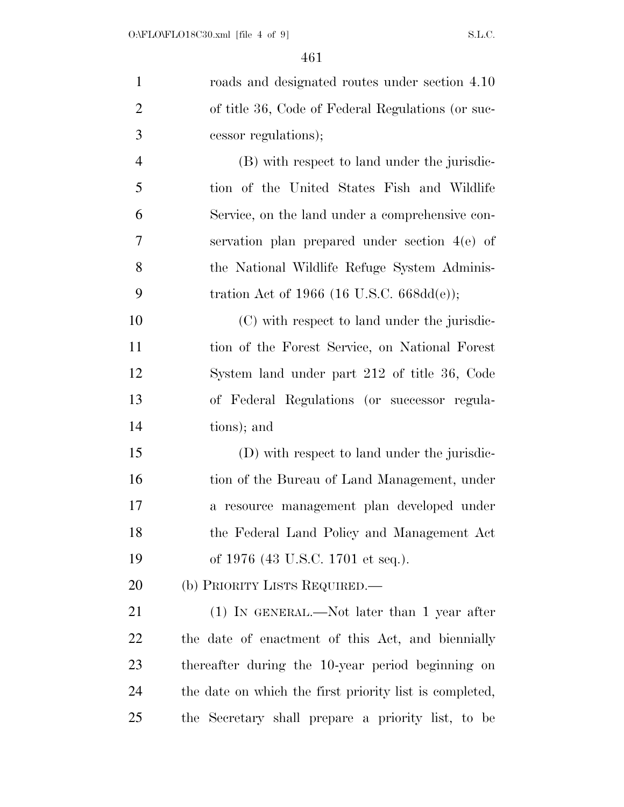| $\mathbf{1}$   | roads and designated routes under section 4.10          |
|----------------|---------------------------------------------------------|
| $\overline{2}$ | of title 36, Code of Federal Regulations (or suc-       |
| 3              | cessor regulations);                                    |
| $\overline{4}$ | (B) with respect to land under the jurisdic-            |
| 5              | tion of the United States Fish and Wildlife             |
| 6              | Service, on the land under a comprehensive con-         |
| $\overline{7}$ | servation plan prepared under section 4(e) of           |
| 8              | the National Wildlife Refuge System Adminis-            |
| 9              | tration Act of 1966 (16 U.S.C. 668dd(e));               |
| 10             | (C) with respect to land under the jurisdic-            |
| 11             | tion of the Forest Service, on National Forest          |
| 12             | System land under part 212 of title 36, Code            |
| 13             | of Federal Regulations (or successor regula-            |
| 14             | tions); and                                             |
| 15             | (D) with respect to land under the jurisdic-            |
| 16             | tion of the Bureau of Land Management, under            |
| 17             | a resource management plan developed under              |
| 18             | the Federal Land Policy and Management Act              |
| 19             | of 1976 (43 U.S.C. 1701 et seq.).                       |
| 20             | (b) PRIORITY LISTS REQUIRED.                            |
| 21             | $(1)$ IN GENERAL.—Not later than 1 year after           |
| 22             | the date of enactment of this Act, and biennially       |
| 23             | thereafter during the 10-year period beginning on       |
| 24             | the date on which the first priority list is completed, |
| 25             | the Secretary shall prepare a priority list, to be      |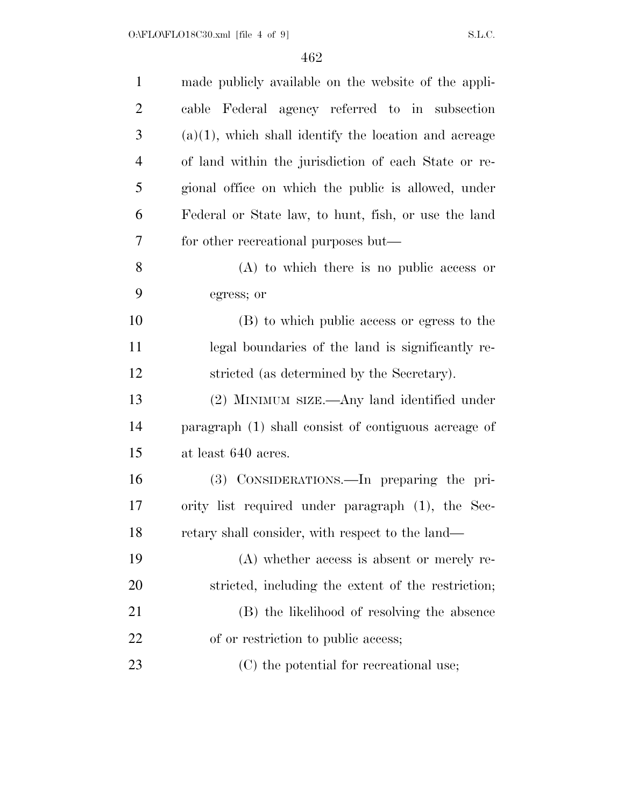| $\mathbf{1}$   | made publicly available on the website of the appli-     |
|----------------|----------------------------------------------------------|
| $\overline{2}$ | cable Federal agency referred to in subsection           |
| 3              | $(a)(1)$ , which shall identify the location and acreage |
| $\overline{4}$ | of land within the jurisdiction of each State or re-     |
| 5              | gional office on which the public is allowed, under      |
| 6              | Federal or State law, to hunt, fish, or use the land     |
| 7              | for other recreational purposes but—                     |
| 8              | $(A)$ to which there is no public access or              |
| 9              | egress; or                                               |
| 10             | (B) to which public access or egress to the              |
| 11             | legal boundaries of the land is significantly re-        |
| 12             | stricted (as determined by the Secretary).               |
| 13             | (2) MINIMUM SIZE.—Any land identified under              |
| 14             | paragraph (1) shall consist of contiguous acreage of     |
| 15             | at least 640 acres.                                      |
| 16             | (3) CONSIDERATIONS.—In preparing the pri-                |
| 17             | ority list required under paragraph (1), the Sec-        |
| 18             | retary shall consider, with respect to the land—         |
| 19             | $(A)$ whether access is absent or merely re-             |
| 20             | stricted, including the extent of the restriction;       |
| 21             | (B) the likelihood of resolving the absence              |
| 22             | of or restriction to public access;                      |
| 23             | (C) the potential for recreational use;                  |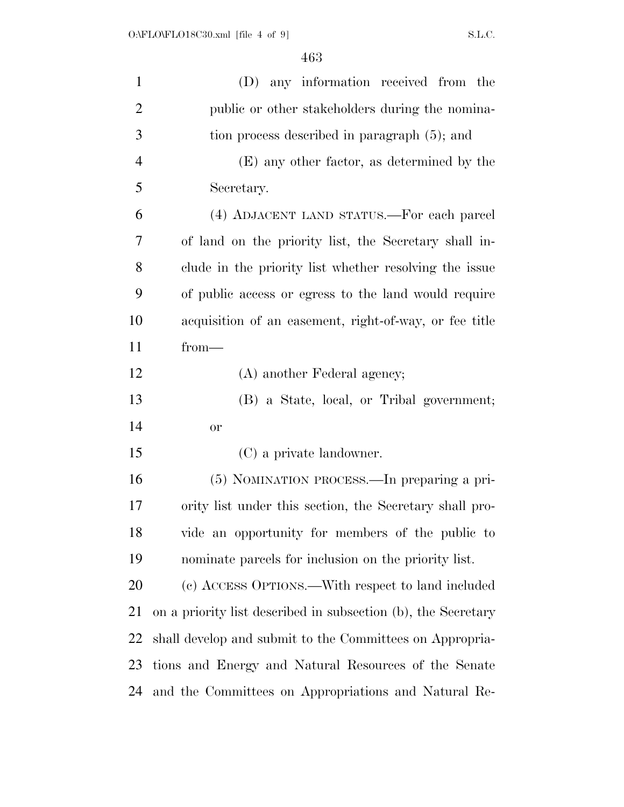| $\mathbf{1}$   | (D) any information received from the                         |
|----------------|---------------------------------------------------------------|
| $\overline{2}$ | public or other stakeholders during the nomina-               |
| 3              | tion process described in paragraph (5); and                  |
| $\overline{4}$ | (E) any other factor, as determined by the                    |
| 5              | Secretary.                                                    |
| 6              | (4) ADJACENT LAND STATUS.—For each parcel                     |
| 7              | of land on the priority list, the Secretary shall in-         |
| 8              | clude in the priority list whether resolving the issue        |
| 9              | of public access or egress to the land would require          |
| 10             | acquisition of an easement, right-of-way, or fee title        |
| 11             | $from-$                                                       |
| 12             | (A) another Federal agency;                                   |
| 13             | (B) a State, local, or Tribal government;                     |
| 14             | <b>or</b>                                                     |
| 15             | (C) a private landowner.                                      |
| 16             | (5) NOMINATION PROCESS.—In preparing a pri-                   |
| 17             | ority list under this section, the Secretary shall pro-       |
| 18             | vide an opportunity for members of the public to              |
| 19             | nominate parcels for inclusion on the priority list.          |
| 20             | (c) ACCESS OPTIONS.—With respect to land included             |
| 21             | on a priority list described in subsection (b), the Secretary |
| 22             | shall develop and submit to the Committees on Appropria-      |
| 23             | tions and Energy and Natural Resources of the Senate          |
| 24             | and the Committees on Appropriations and Natural Re-          |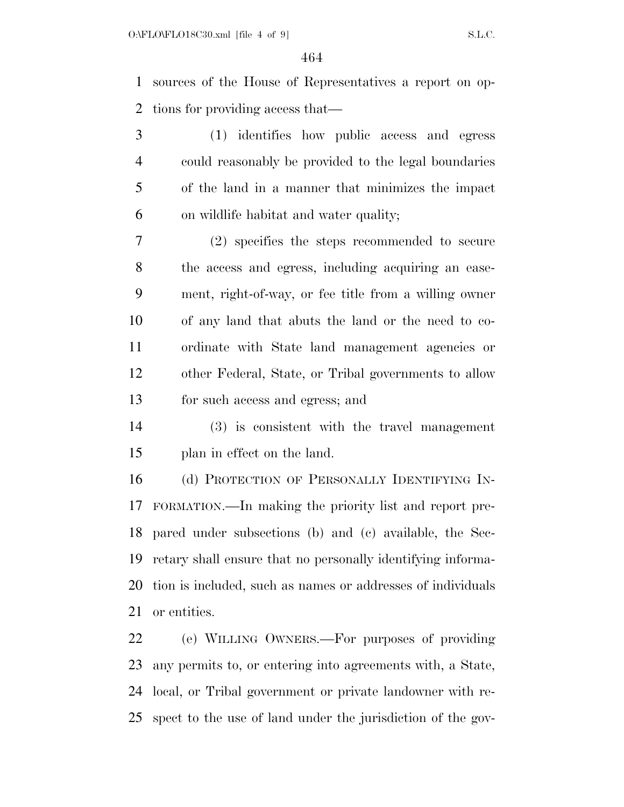sources of the House of Representatives a report on op-tions for providing access that—

 (1) identifies how public access and egress could reasonably be provided to the legal boundaries of the land in a manner that minimizes the impact on wildlife habitat and water quality;

 (2) specifies the steps recommended to secure the access and egress, including acquiring an ease- ment, right-of-way, or fee title from a willing owner of any land that abuts the land or the need to co- ordinate with State land management agencies or other Federal, State, or Tribal governments to allow for such access and egress; and

 (3) is consistent with the travel management plan in effect on the land.

16 (d) PROTECTION OF PERSONALLY IDENTIFYING IN- FORMATION.—In making the priority list and report pre- pared under subsections (b) and (c) available, the Sec- retary shall ensure that no personally identifying informa- tion is included, such as names or addresses of individuals or entities.

 (e) WILLING OWNERS.—For purposes of providing any permits to, or entering into agreements with, a State, local, or Tribal government or private landowner with re-spect to the use of land under the jurisdiction of the gov-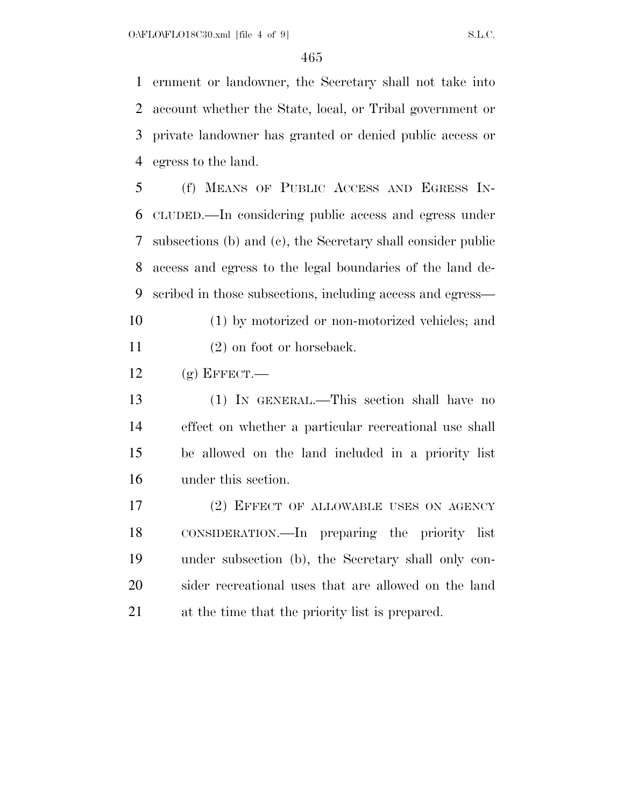ernment or landowner, the Secretary shall not take into account whether the State, local, or Tribal government or private landowner has granted or denied public access or egress to the land.

 (f) MEANS OF PUBLIC ACCESS AND EGRESS IN- CLUDED.—In considering public access and egress under subsections (b) and (c), the Secretary shall consider public access and egress to the legal boundaries of the land de-scribed in those subsections, including access and egress—

- (1) by motorized or non-motorized vehicles; and 11 (2) on foot or horseback.
- 12  $(g)$  EFFECT.

 (1) IN GENERAL.—This section shall have no effect on whether a particular recreational use shall be allowed on the land included in a priority list under this section.

 (2) EFFECT OF ALLOWABLE USES ON AGENCY CONSIDERATION.—In preparing the priority list under subsection (b), the Secretary shall only con- sider recreational uses that are allowed on the land at the time that the priority list is prepared.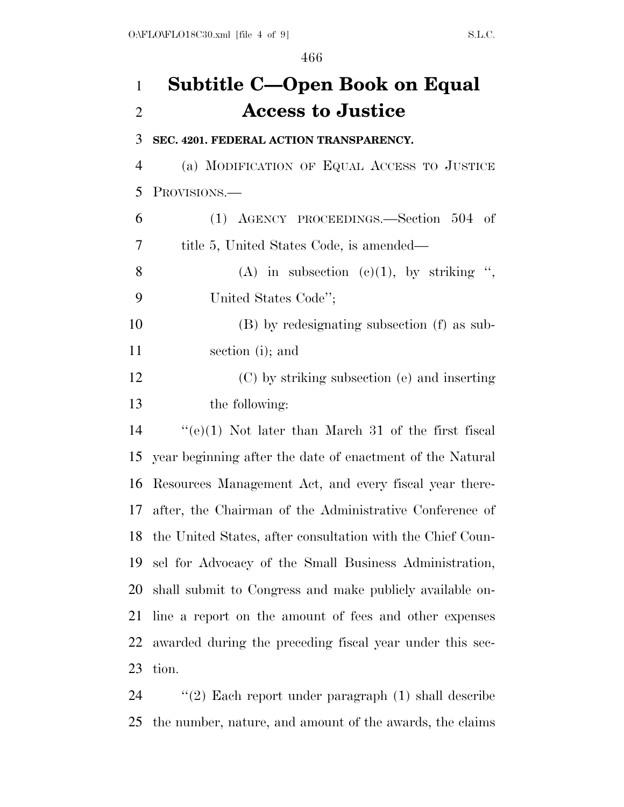### **Subtitle C—Open Book on Equal Access to Justice**

**SEC. 4201. FEDERAL ACTION TRANSPARENCY.** 

 (a) MODIFICATION OF EQUAL ACCESS TO JUSTICE PROVISIONS.—

| 6              | (1) AGENCY PROCEEDINGS.—Section 504 of                     |
|----------------|------------------------------------------------------------|
| $\overline{7}$ | title 5, United States Code, is amended—                   |
| 8              | (A) in subsection (c)(1), by striking ",                   |
| 9              | United States Code";                                       |
| 10             | (B) by redesignating subsection (f) as sub-                |
| 11             | section (i); and                                           |
| 12             | (C) by striking subsection (e) and inserting               |
| 13             | the following:                                             |
| 14             | "(e)(1) Not later than March 31 of the first fiscal        |
| 15             | year beginning after the date of enactment of the Natural  |
| 16             | Resources Management Act, and every fiscal year there-     |
| 17             | after, the Chairman of the Administrative Conference of    |
| 18             | the United States, after consultation with the Chief Coun- |
| 19             | sel for Advocacy of the Small Business Administration,     |
| 20             | shall submit to Congress and make publicly available on-   |
| 21             | line a report on the amount of fees and other expenses     |

tion.

 ''(2) Each report under paragraph (1) shall describe the number, nature, and amount of the awards, the claims

awarded during the preceding fiscal year under this sec-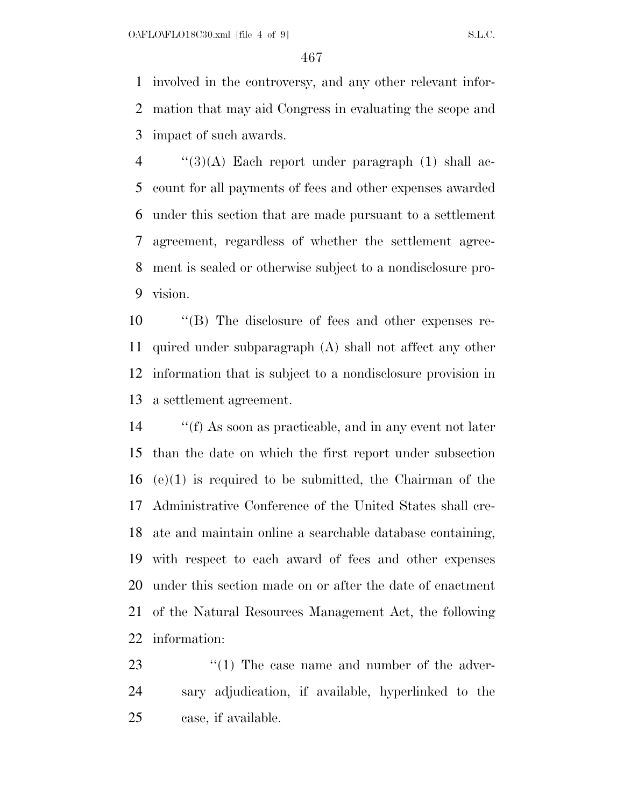involved in the controversy, and any other relevant infor- mation that may aid Congress in evaluating the scope and impact of such awards.

 ''(3)(A) Each report under paragraph (1) shall ac- count for all payments of fees and other expenses awarded under this section that are made pursuant to a settlement agreement, regardless of whether the settlement agree- ment is sealed or otherwise subject to a nondisclosure pro-vision.

 ''(B) The disclosure of fees and other expenses re- quired under subparagraph (A) shall not affect any other information that is subject to a nondisclosure provision in a settlement agreement.

 ''(f) As soon as practicable, and in any event not later than the date on which the first report under subsection (e)(1) is required to be submitted, the Chairman of the Administrative Conference of the United States shall cre- ate and maintain online a searchable database containing, with respect to each award of fees and other expenses under this section made on or after the date of enactment of the Natural Resources Management Act, the following information:

23  $\frac{1}{2}$  (1) The case name and number of the adver- sary adjudication, if available, hyperlinked to the case, if available.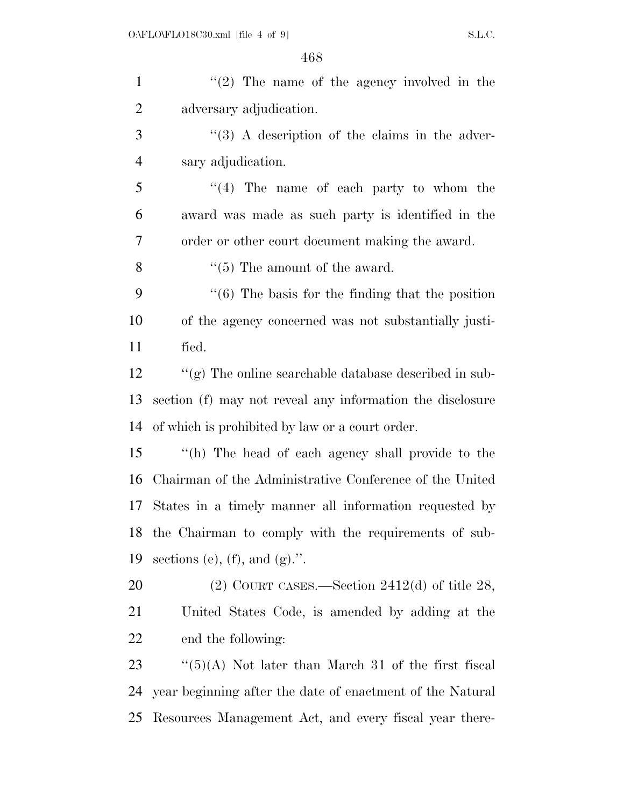| $\mathbf{1}$   | $f'(2)$ The name of the agency involved in the               |
|----------------|--------------------------------------------------------------|
| $\overline{2}$ | adversary adjudication.                                      |
| 3              | $\lq(3)$ A description of the claims in the adver-           |
| $\overline{4}$ | sary adjudication.                                           |
| 5              | $(4)$ The name of each party to whom the                     |
| 6              | award was made as such party is identified in the            |
| 7              | order or other court document making the award.              |
| 8              | $\cdot$ (5) The amount of the award.                         |
| 9              | $\cdot\cdot$ (6) The basis for the finding that the position |
| 10             | of the agency concerned was not substantially justi-         |
| 11             | fied.                                                        |
| 12             | " $(g)$ The online searchable database described in sub-     |
| 13             | section (f) may not reveal any information the disclosure    |
| 14             | of which is prohibited by law or a court order.              |
| 15             | "(h) The head of each agency shall provide to the            |
| 16             | Chairman of the Administrative Conference of the United      |
|                | 17 States in a timely manner all information requested by    |
| 18             | the Chairman to comply with the requirements of sub-         |
| 19             | sections (e), (f), and $(g)$ .".                             |
| 20             | $(2)$ COURT CASES.—Section 2412(d) of title 28,              |
| 21             | United States Code, is amended by adding at the              |
| 22             | end the following:                                           |
| 23             | $\lq(5)(A)$ Not later than March 31 of the first fiscal      |
| 24             | year beginning after the date of enactment of the Natural    |
| 25             | Resources Management Act, and every fiscal year there-       |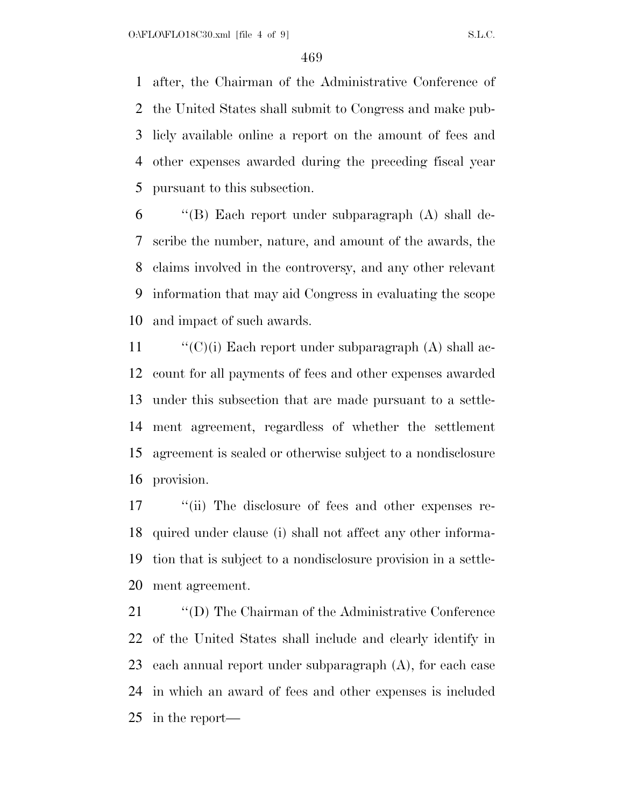after, the Chairman of the Administrative Conference of the United States shall submit to Congress and make pub- licly available online a report on the amount of fees and other expenses awarded during the preceding fiscal year pursuant to this subsection.

 ''(B) Each report under subparagraph (A) shall de- scribe the number, nature, and amount of the awards, the claims involved in the controversy, and any other relevant information that may aid Congress in evaluating the scope and impact of such awards.

 $\langle (C)(i)$  Each report under subparagraph (A) shall ac- count for all payments of fees and other expenses awarded under this subsection that are made pursuant to a settle- ment agreement, regardless of whether the settlement agreement is sealed or otherwise subject to a nondisclosure provision.

 $\frac{1}{10}$  The disclosure of fees and other expenses re- quired under clause (i) shall not affect any other informa- tion that is subject to a nondisclosure provision in a settle-ment agreement.

 ''(D) The Chairman of the Administrative Conference of the United States shall include and clearly identify in each annual report under subparagraph (A), for each case in which an award of fees and other expenses is included in the report—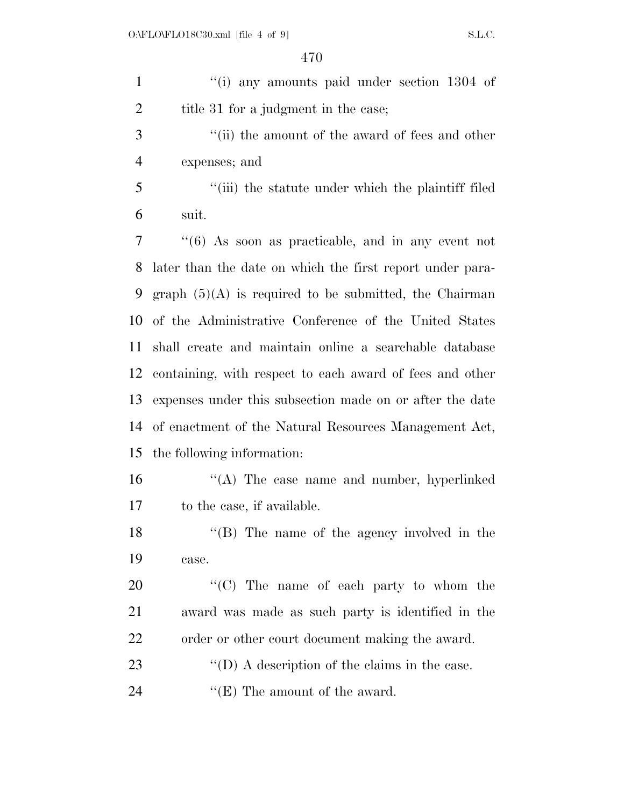1 ''(i) any amounts paid under section 1304 of 2 title 31 for a judgment in the case; 3 ''(ii) the amount of the award of fees and other expenses; and ''(iii) the statute under which the plaintiff filed suit. ''(6) As soon as practicable, and in any event not later than the date on which the first report under para-9 graph  $(5)(A)$  is required to be submitted, the Chairman of the Administrative Conference of the United States shall create and maintain online a searchable database containing, with respect to each award of fees and other expenses under this subsection made on or after the date of enactment of the Natural Resources Management Act, the following information: ''(A) The case name and number, hyperlinked to the case, if available. 18 ''(B) The name of the agency involved in the case.  $\hspace{1.6cm}$  "(C) The name of each party to whom the award was made as such party is identified in the order or other court document making the award.  $\langle\text{`(D) A description of the claims in the case.}$ 24 ''(E) The amount of the award.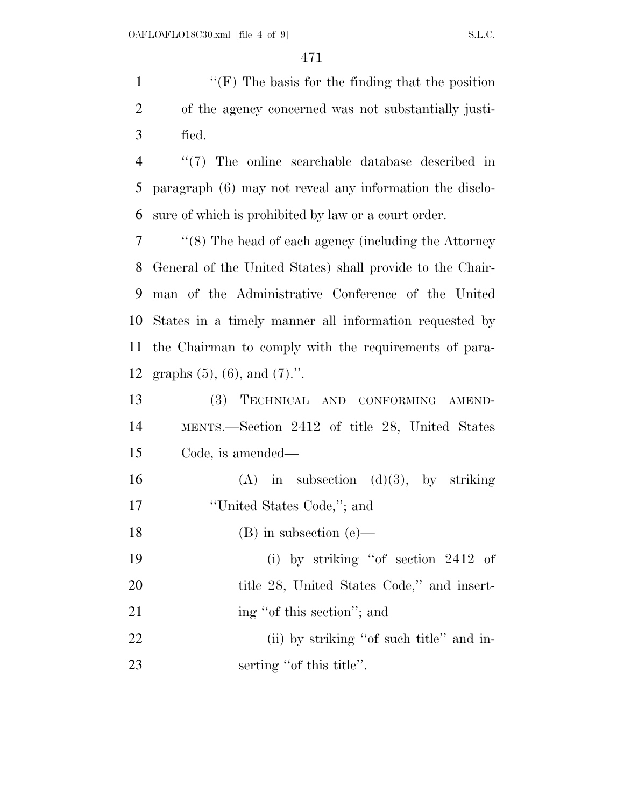1 ''(F) The basis for the finding that the position of the agency concerned was not substantially justi-fied.

 ''(7) The online searchable database described in paragraph (6) may not reveal any information the disclo-sure of which is prohibited by law or a court order.

 ''(8) The head of each agency (including the Attorney General of the United States) shall provide to the Chair- man of the Administrative Conference of the United States in a timely manner all information requested by the Chairman to comply with the requirements of para-graphs (5), (6), and (7).''.

 (3) TECHNICAL AND CONFORMING AMEND- MENTS.—Section 2412 of title 28, United States Code, is amended—

16 (A) in subsection  $(d)(3)$ , by striking ''United States Code,''; and

(B) in subsection (e)—

 (i) by striking ''of section 2412 of 20 title 28, United States Code," and insert-21 ing "of this section"; and

22 (ii) by striking "of such title" and in-23 serting "of this title".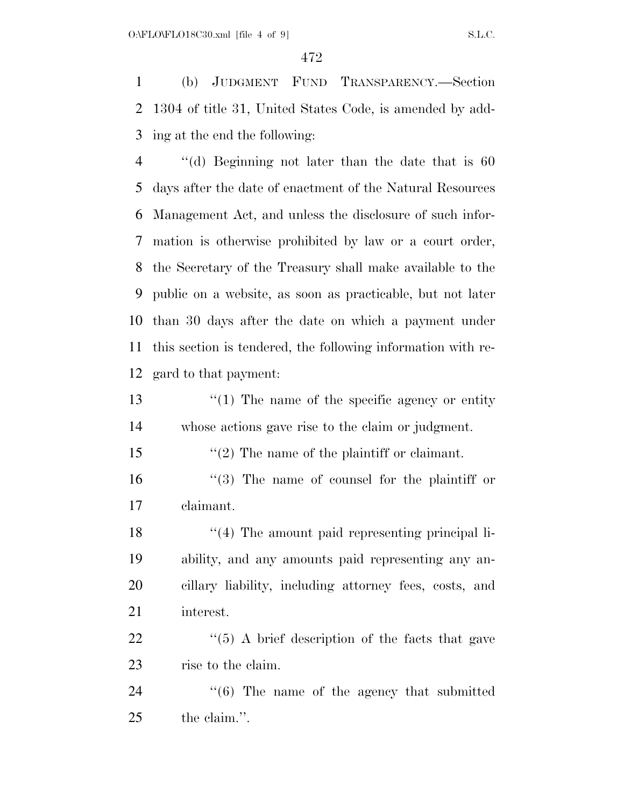(b) JUDGMENT FUND TRANSPARENCY.—Section 1304 of title 31, United States Code, is amended by add-ing at the end the following:

 ''(d) Beginning not later than the date that is 60 days after the date of enactment of the Natural Resources Management Act, and unless the disclosure of such infor- mation is otherwise prohibited by law or a court order, the Secretary of the Treasury shall make available to the public on a website, as soon as practicable, but not later than 30 days after the date on which a payment under this section is tendered, the following information with re-gard to that payment:

13 ''(1) The name of the specific agency or entity whose actions gave rise to the claim or judgment.

- ''(2) The name of the plaintiff or claimant.
- ''(3) The name of counsel for the plaintiff or claimant.

18 ''(4) The amount paid representing principal li- ability, and any amounts paid representing any an- cillary liability, including attorney fees, costs, and interest.

  $\qquad$   $\qquad$   $\qquad$   $\qquad$   $\qquad$   $\qquad$   $\qquad$   $\qquad$   $\qquad$   $\qquad$   $\qquad$   $\qquad$   $\qquad$   $\qquad$   $\qquad$   $\qquad$   $\qquad$   $\qquad$   $\qquad$   $\qquad$   $\qquad$   $\qquad$   $\qquad$   $\qquad$   $\qquad$   $\qquad$   $\qquad$   $\qquad$   $\qquad$   $\qquad$   $\qquad$   $\qquad$   $\qquad$   $\qquad$   $\qquad$   $\qquad$  rise to the claim.

24  $\cdot$  (6) The name of the agency that submitted the claim.''.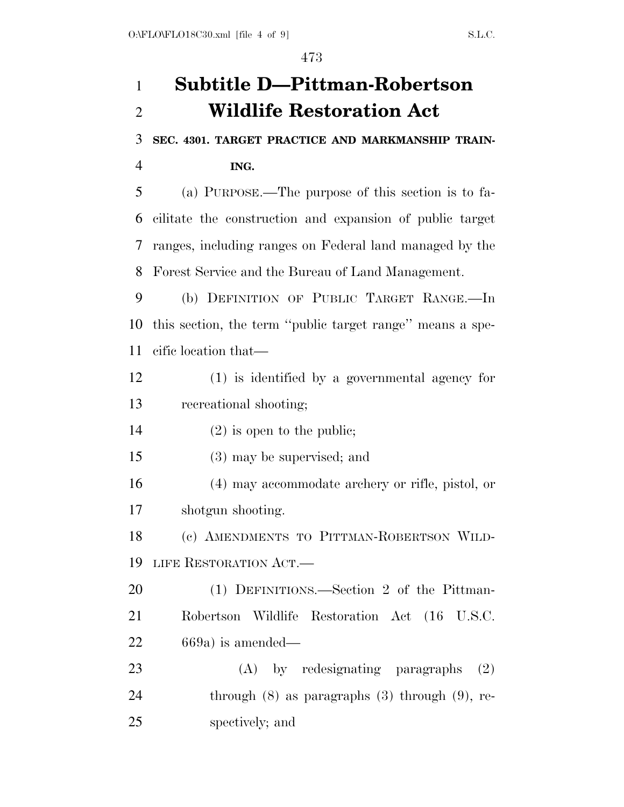# **Subtitle D—Pittman-Robertson Wildlife Restoration Act**

**SEC. 4301. TARGET PRACTICE AND MARKMANSHIP TRAIN-**

**ING.** 

 (a) PURPOSE.—The purpose of this section is to fa- cilitate the construction and expansion of public target ranges, including ranges on Federal land managed by the Forest Service and the Bureau of Land Management.

 (b) DEFINITION OF PUBLIC TARGET RANGE.—In this section, the term ''public target range'' means a spe-cific location that—

 (1) is identified by a governmental agency for recreational shooting;

(2) is open to the public;

(3) may be supervised; and

 (4) may accommodate archery or rifle, pistol, or shotgun shooting.

 (c) AMENDMENTS TO PITTMAN-ROBERTSON WILD-LIFE RESTORATION ACT.—

 (1) DEFINITIONS.—Section 2 of the Pittman- Robertson Wildlife Restoration Act (16 U.S.C. 669a) is amended—

23 (A) by redesignating paragraphs (2) 24 through (8) as paragraphs (3) through (9), re-spectively; and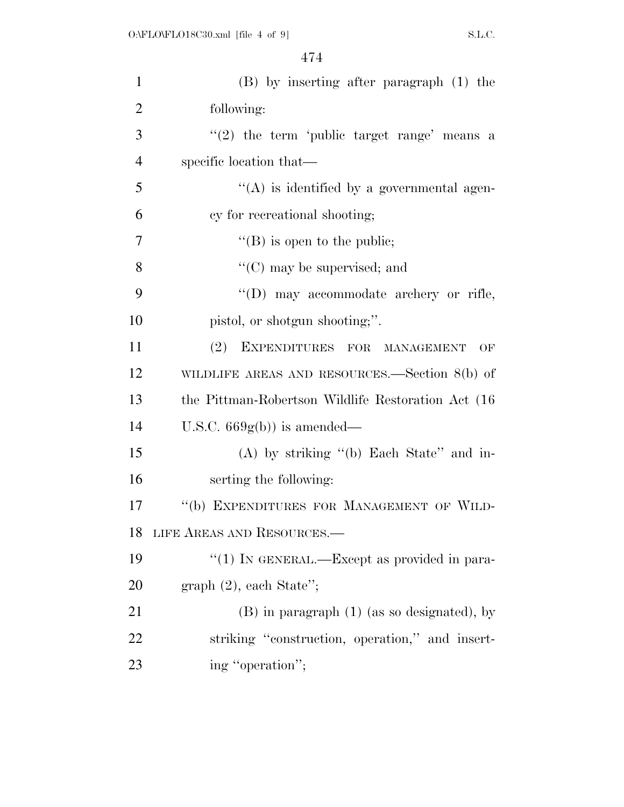| $\mathbf{1}$   | $(B)$ by inserting after paragraph $(1)$ the        |
|----------------|-----------------------------------------------------|
| $\overline{2}$ | following:                                          |
| 3              | $(2)$ the term 'public target range' means a        |
| $\overline{4}$ | specific location that—                             |
| 5              | $\lq\lq$ is identified by a governmental agen-      |
| 6              | cy for recreational shooting;                       |
| 7              | $\lq\lq$ (B) is open to the public;                 |
| 8              | $\lq\lq$ (C) may be supervised; and                 |
| 9              | "(D) may accommodate archery or rifle,              |
| 10             | pistol, or shotgun shooting;".                      |
| 11             | (2) EXPENDITURES FOR MANAGEMENT<br>OF               |
| 12             | WILDLIFE AREAS AND RESOURCES.—Section $8(b)$ of     |
| 13             | the Pittman-Robertson Wildlife Restoration Act (16) |
| 14             | U.S.C. $669g(b)$ is amended—                        |
| 15             | $(A)$ by striking " $(b)$ Each State" and in-       |
| 16             | serting the following:                              |
| 17             | "(b) EXPENDITURES FOR MANAGEMENT OF WILD-           |
| 18             | LIFE AREAS AND RESOURCES.—                          |
| 19             | "(1) IN GENERAL.—Except as provided in para-        |
| <b>20</b>      | $graph (2)$ , each State";                          |
| 21             | $(B)$ in paragraph $(1)$ (as so designated), by     |
| 22             | striking "construction, operation," and insert-     |
| 23             | ing "operation";                                    |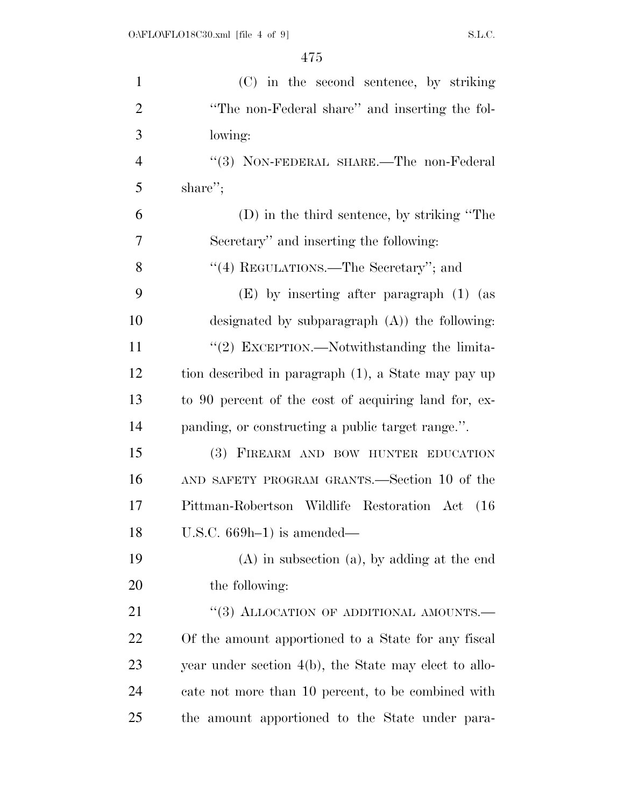| $\mathbf{1}$   | (C) in the second sentence, by striking               |
|----------------|-------------------------------------------------------|
| $\overline{2}$ | "The non-Federal share" and inserting the fol-        |
| 3              | lowing:                                               |
| $\overline{4}$ | "(3) NON-FEDERAL SHARE.—The non-Federal               |
| 5              | share";                                               |
| 6              | (D) in the third sentence, by striking "The           |
| 7              | Secretary" and inserting the following:               |
| 8              | "(4) REGULATIONS.—The Secretary"; and                 |
| 9              | (E) by inserting after paragraph (1) (as              |
| 10             | designated by subparagraph $(A)$ ) the following:     |
| 11             | "(2) EXCEPTION.—Notwithstanding the limita-           |
| 12             | tion described in paragraph (1), a State may pay up   |
| 13             | to 90 percent of the cost of acquiring land for, ex-  |
| 14             | panding, or constructing a public target range.".     |
| 15             | (3) FIREARM AND BOW HUNTER EDUCATION                  |
| 16             | AND SAFETY PROGRAM GRANTS.—Section 10 of the          |
| 17             | Pittman-Robertson Wildlife Restoration Act (16)       |
| 18             | U.S.C. $669h-1$ ) is amended—                         |
| 19             | $(A)$ in subsection $(a)$ , by adding at the end      |
| 20             | the following:                                        |
| 21             | "(3) ALLOCATION OF ADDITIONAL AMOUNTS.-               |
| <u>22</u>      | Of the amount apportioned to a State for any fiscal   |
| 23             | year under section 4(b), the State may elect to allo- |
| 24             | cate not more than 10 percent, to be combined with    |
| 25             | the amount apportioned to the State under para-       |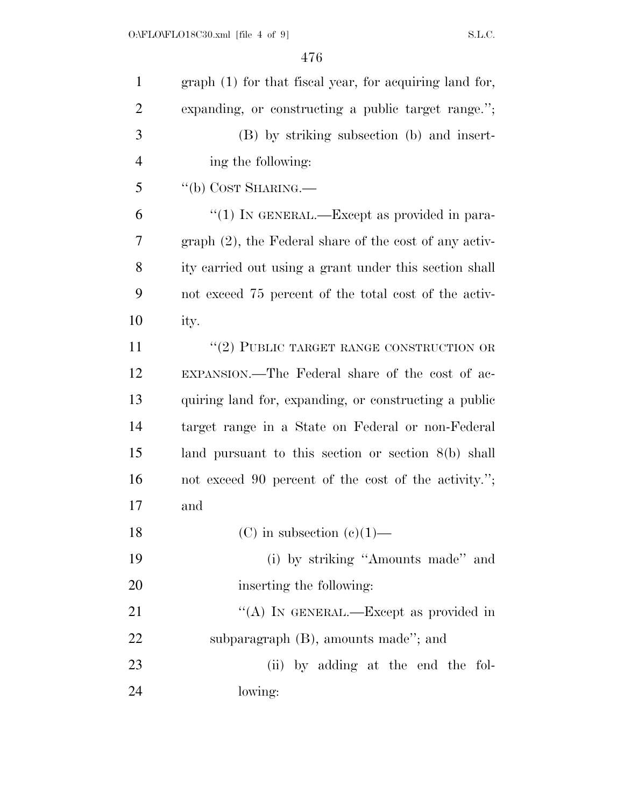| $\mathbf{1}$   | graph (1) for that fiscal year, for acquiring land for,   |
|----------------|-----------------------------------------------------------|
| $\overline{2}$ | expanding, or constructing a public target range.";       |
| 3              | (B) by striking subsection (b) and insert-                |
| $\overline{4}$ | ing the following:                                        |
| 5              | "(b) COST SHARING.—                                       |
| 6              | "(1) IN GENERAL.—Except as provided in para-              |
| 7              | $graph (2)$ , the Federal share of the cost of any activ- |
| 8              | ity carried out using a grant under this section shall    |
| 9              | not exceed 75 percent of the total cost of the activ-     |
| 10             | ity.                                                      |
| 11             | $``(2)$ PUBLIC TARGET RANGE CONSTRUCTION OR               |
| 12             | EXPANSION.—The Federal share of the cost of ac-           |
| 13             | quiring land for, expanding, or constructing a public     |
| 14             | target range in a State on Federal or non-Federal         |
| 15             | land pursuant to this section or section $8(b)$ shall     |
| 16             | not exceed 90 percent of the cost of the activity.";      |
| 17             | and                                                       |
| 18             | (C) in subsection (e)(1)—                                 |
| 19             | (i) by striking "Amounts made" and                        |
| 20             | inserting the following:                                  |
| 21             | "(A) IN GENERAL.—Except as provided in                    |
| 22             | subparagraph (B), amounts made"; and                      |
| 23             | (ii) by adding at the end the fol-                        |
| 24             | lowing:                                                   |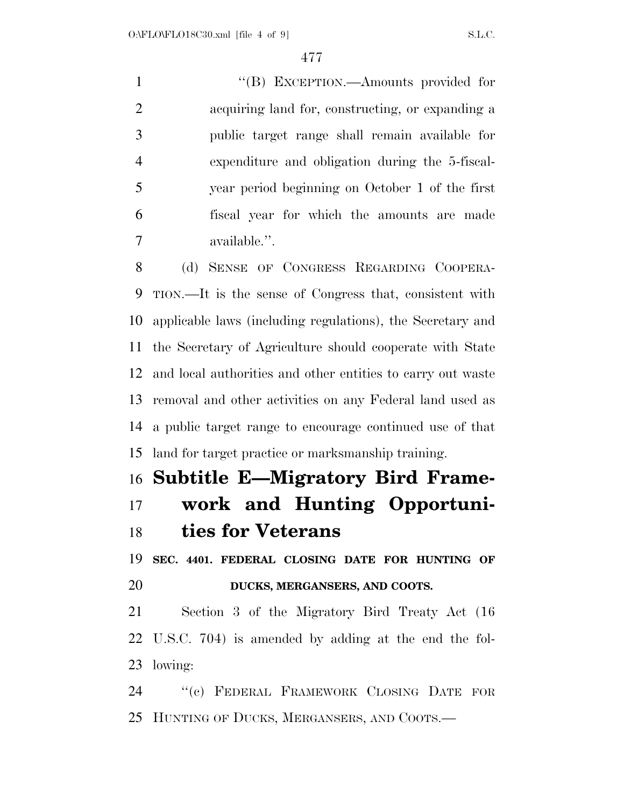1 ''(B) EXCEPTION.—Amounts provided for acquiring land for, constructing, or expanding a public target range shall remain available for expenditure and obligation during the 5-fiscal- year period beginning on October 1 of the first fiscal year for which the amounts are made available.''.

 (d) SENSE OF CONGRESS REGARDING COOPERA- TION.—It is the sense of Congress that, consistent with applicable laws (including regulations), the Secretary and the Secretary of Agriculture should cooperate with State and local authorities and other entities to carry out waste removal and other activities on any Federal land used as a public target range to encourage continued use of that land for target practice or marksmanship training.

### **Subtitle E—Migratory Bird Frame- work and Hunting Opportuni-ties for Veterans**

 **SEC. 4401. FEDERAL CLOSING DATE FOR HUNTING OF DUCKS, MERGANSERS, AND COOTS.** 

 Section 3 of the Migratory Bird Treaty Act (16 U.S.C. 704) is amended by adding at the end the fol-lowing:

 ''(c) FEDERAL FRAMEWORK CLOSING DATE FOR HUNTING OF DUCKS, MERGANSERS, AND COOTS.—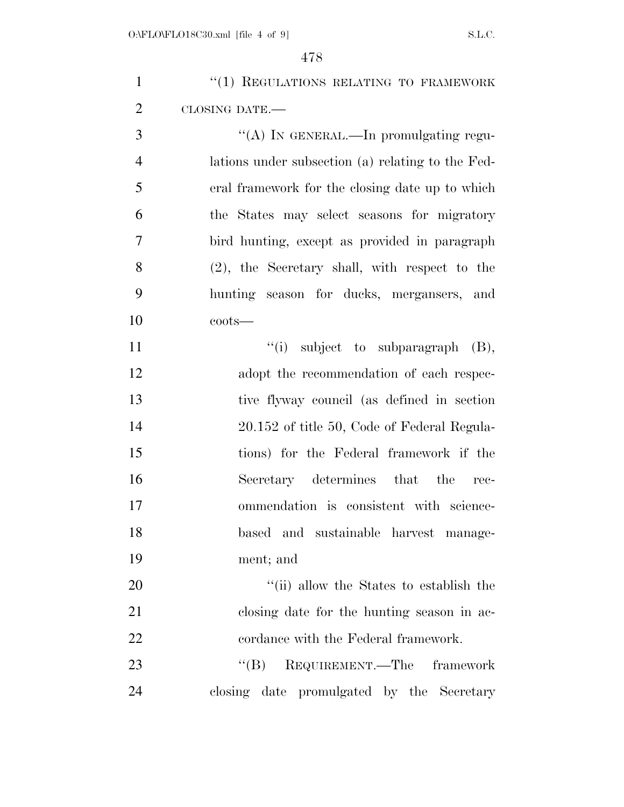| $\mathbf{1}$   | "(1) REGULATIONS RELATING TO FRAMEWORK            |
|----------------|---------------------------------------------------|
| $\overline{2}$ | CLOSING DATE.-                                    |
| 3              | "(A) IN GENERAL.—In promulgating regu-            |
| $\overline{4}$ | lations under subsection (a) relating to the Fed- |
| 5              | eral framework for the closing date up to which   |
| 6              | the States may select seasons for migratory       |
| 7              | bird hunting, except as provided in paragraph     |
| 8              | $(2)$ , the Secretary shall, with respect to the  |
| 9              | hunting season for ducks, mergansers, and         |
| 10             | $costs$ —                                         |
| 11             | $\lq\lq$ subject to subparagraph $(B)$ ,          |
| 12             | adopt the recommendation of each respec-          |
| 13             | tive flyway council (as defined in section        |
| 14             | 20.152 of title 50, Code of Federal Regula-       |
| 15             | tions) for the Federal framework if the           |
| 16             | Secretary determines that the<br>rec-             |
| 17             | ommendation is consistent with science-           |
| 18             | based and sustainable harvest manage-             |
| 19             | ment; and                                         |
| 20             | "(ii) allow the States to establish the           |
| 21             | closing date for the hunting season in ac-        |
| 22             | cordance with the Federal framework.              |
| 23             | "(B) REQUIREMENT.—The framework                   |
| 24             | closing date promulgated by the Secretary         |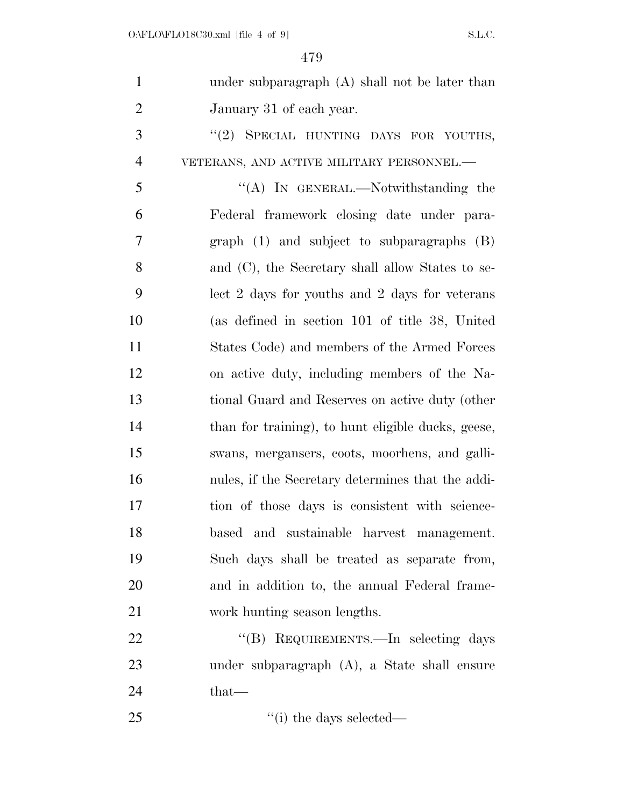| $\mathbf{1}$   | under subparagraph $(A)$ shall not be later than   |
|----------------|----------------------------------------------------|
| $\overline{2}$ | January 31 of each year.                           |
| 3              | "(2) SPECIAL HUNTING DAYS FOR YOUTHS,              |
| $\overline{4}$ | VETERANS, AND ACTIVE MILITARY PERSONNEL.-          |
| 5              | "(A) IN GENERAL.—Notwithstanding the               |
| 6              | Federal framework closing date under para-         |
| $\overline{7}$ | graph $(1)$ and subject to subparagraphs $(B)$     |
| 8              | and (C), the Secretary shall allow States to se-   |
| 9              | lect 2 days for youths and 2 days for veterans     |
| 10             | (as defined in section 101 of title 38, United     |
| 11             | States Code) and members of the Armed Forces       |
| 12             | on active duty, including members of the Na-       |
| 13             | tional Guard and Reserves on active duty (other    |
| 14             | than for training), to hunt eligible ducks, geese, |
| 15             | swans, mergansers, coots, moorhens, and galli-     |
| 16             | nules, if the Secretary determines that the addi-  |
| 17             | tion of those days is consistent with science-     |
| 18             | based and sustainable harvest management.          |
| 19             | Such days shall be treated as separate from,       |
| 20             | and in addition to, the annual Federal frame-      |
| 21             | work hunting season lengths.                       |
| 22             | "(B) REQUIREMENTS.—In selecting days               |
| 23             | under subparagraph $(A)$ , a State shall ensure    |
| 24             | that—                                              |
| 25             | $\lq$ <sup>"</sup> (i) the days selected—          |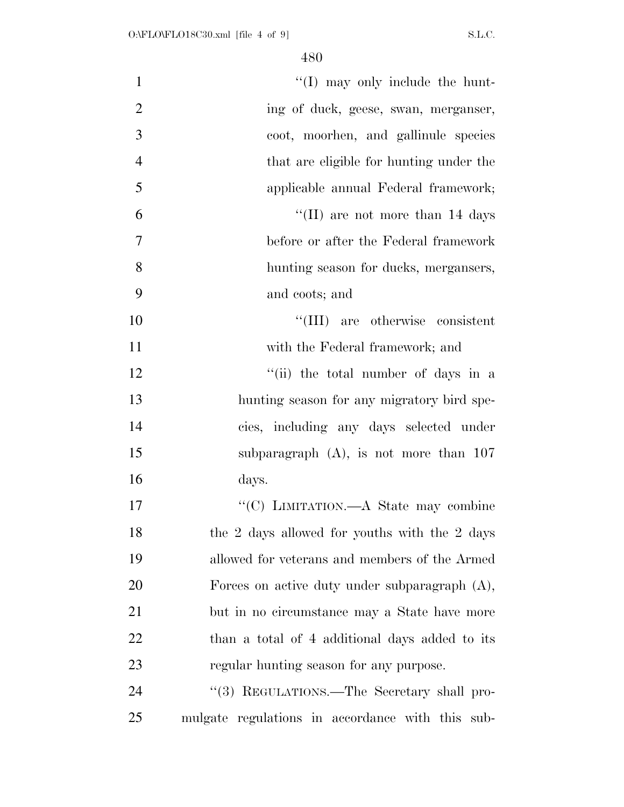| $\mathbf{1}$   | "(I) may only include the hunt-                  |
|----------------|--------------------------------------------------|
| $\overline{2}$ | ing of duck, geese, swan, merganser,             |
| 3              | coot, moorhen, and gallinule species             |
| $\overline{4}$ | that are eligible for hunting under the          |
| 5              | applicable annual Federal framework;             |
| 6              | "(II) are not more than $14 \text{ days}$        |
| 7              | before or after the Federal framework            |
| 8              | hunting season for ducks, mergangers,            |
| 9              | and coots; and                                   |
| 10             | "(III) are otherwise consistent                  |
| 11             | with the Federal framework; and                  |
| 12             | "(ii) the total number of days in a              |
| 13             | hunting season for any migratory bird spe-       |
| 14             | cies, including any days selected under          |
| 15             | subparagraph $(A)$ , is not more than 107        |
| 16             | days.                                            |
| 17             | "(C) LIMITATION.—A State may combine             |
| 18             | the 2 days allowed for youths with the 2 days    |
| 19             | allowed for veterans and members of the Armed    |
| 20             | Forces on active duty under subparagraph $(A)$ , |
| 21             | but in no circumstance may a State have more     |
| 22             | than a total of 4 additional days added to its   |
| 23             | regular hunting season for any purpose.          |
| 24             | "(3) REGULATIONS.—The Secretary shall pro-       |
| 25             | mulgate regulations in accordance with this sub- |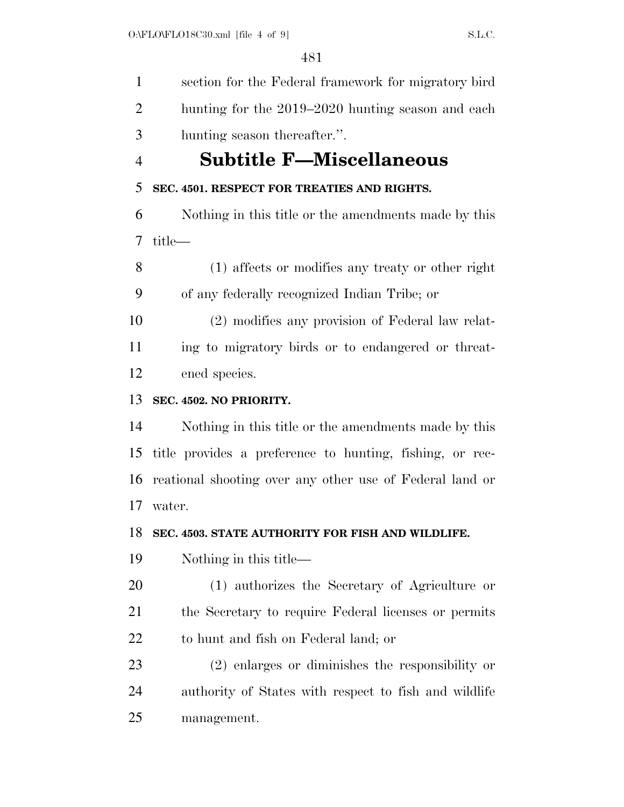section for the Federal framework for migratory bird hunting for the 2019–2020 hunting season and each hunting season thereafter.''. **Subtitle F—Miscellaneous SEC. 4501. RESPECT FOR TREATIES AND RIGHTS.**  Nothing in this title or the amendments made by this title— (1) affects or modifies any treaty or other right of any federally recognized Indian Tribe; or (2) modifies any provision of Federal law relat- ing to migratory birds or to endangered or threat- ened species. **SEC. 4502. NO PRIORITY.**  Nothing in this title or the amendments made by this title provides a preference to hunting, fishing, or rec- reational shooting over any other use of Federal land or water. **SEC. 4503. STATE AUTHORITY FOR FISH AND WILDLIFE.**  Nothing in this title— (1) authorizes the Secretary of Agriculture or the Secretary to require Federal licenses or permits to hunt and fish on Federal land; or (2) enlarges or diminishes the responsibility or authority of States with respect to fish and wildlife management.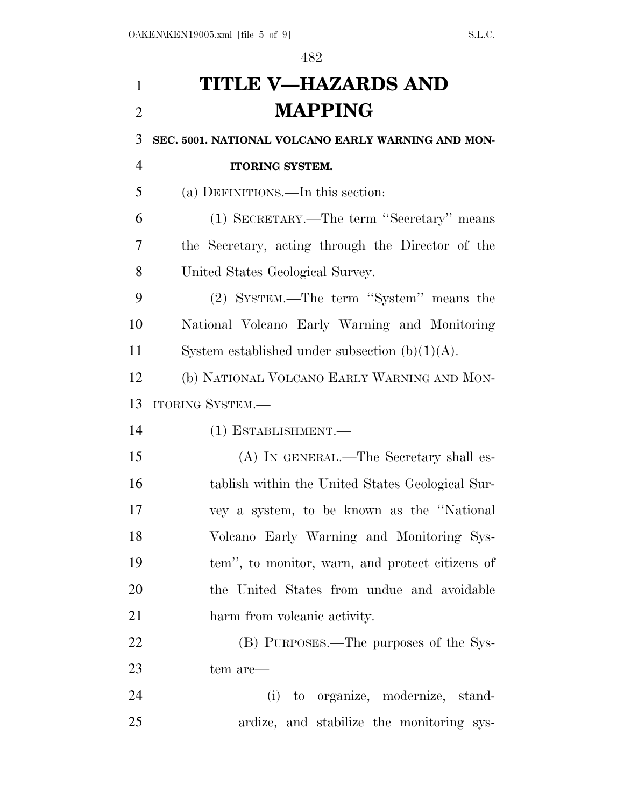# **TITLE V—HAZARDS AND MAPPING**

### **SEC. 5001. NATIONAL VOLCANO EARLY WARNING AND MON-**

## (a) DEFINITIONS.—In this section:

**ITORING SYSTEM.** 

 (1) SECRETARY.—The term ''Secretary'' means the Secretary, acting through the Director of the United States Geological Survey.

 (2) SYSTEM.—The term ''System'' means the National Volcano Early Warning and Monitoring 11 System established under subsection  $(b)(1)(A)$ .

 (b) NATIONAL VOLCANO EARLY WARNING AND MON-ITORING SYSTEM.—

(1) ESTABLISHMENT.—

 (A) IN GENERAL.—The Secretary shall es- tablish within the United States Geological Sur- vey a system, to be known as the ''National Volcano Early Warning and Monitoring Sys- tem'', to monitor, warn, and protect citizens of the United States from undue and avoidable harm from volcanic activity.

 (B) PURPOSES.—The purposes of the Sys-tem are—

 (i) to organize, modernize, stand-ardize, and stabilize the monitoring sys-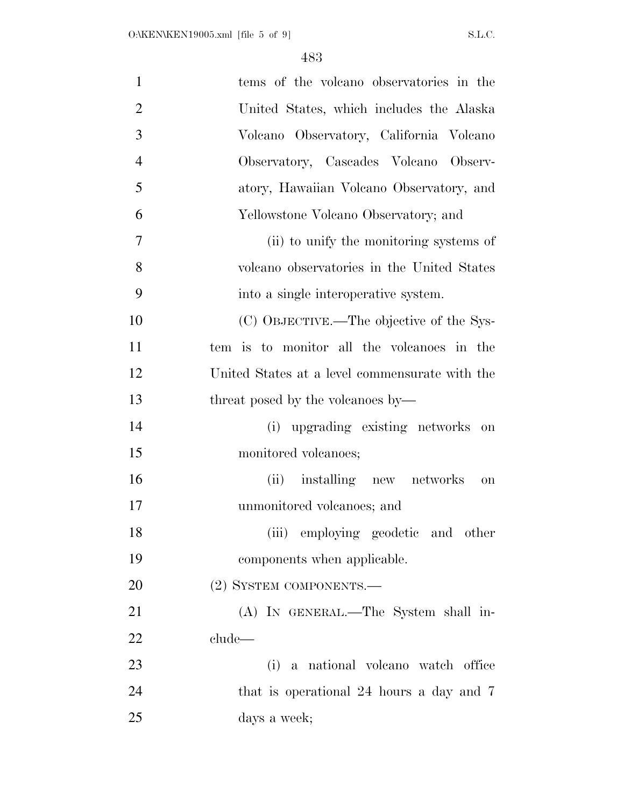| $\mathbf{1}$   | tems of the volcano observatories in the       |
|----------------|------------------------------------------------|
| $\overline{2}$ | United States, which includes the Alaska       |
| 3              | Volcano Observatory, California Volcano        |
| $\overline{4}$ | Observatory, Cascades Volcano Observ-          |
| 5              | atory, Hawaiian Volcano Observatory, and       |
| 6              | Yellowstone Volcano Observatory; and           |
| $\overline{7}$ | (ii) to unify the monitoring systems of        |
| 8              | volcano observatories in the United States     |
| 9              | into a single interoperative system.           |
| 10             | (C) OBJECTIVE.—The objective of the Sys-       |
| 11             | tem is to monitor all the volcanoes in the     |
| 12             | United States at a level commensurate with the |
| 13             | threat posed by the volcanoes by—              |
| 14             | (i) upgrading existing networks on             |
| 15             | monitored volcanoes;                           |
| 16             | (ii) installing new networks<br>on             |
| 17             | unmonitored volcanoes; and                     |
| 18             | (iii) employing geodetic and other             |
| 19             | components when applicable.                    |
| 20             | (2) SYSTEM COMPONENTS.-                        |
| 21             | (A) IN GENERAL.—The System shall in-           |
| 22             | clude—                                         |
| 23             | (i) a national volcano watch office            |
| 24             | that is operational 24 hours a day and 7       |
| 25             | days a week;                                   |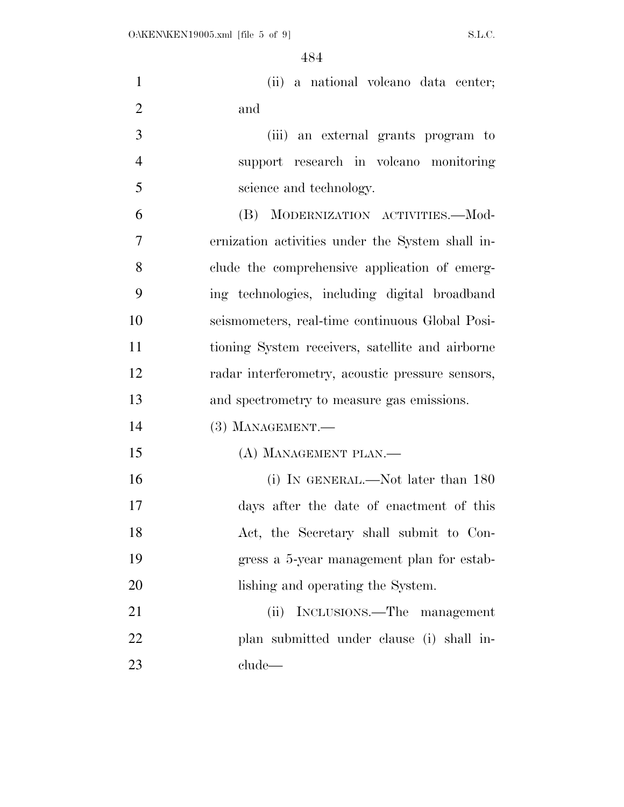| $\mathbf{1}$   | (ii) a national volcano data center;             |
|----------------|--------------------------------------------------|
| $\overline{2}$ | and                                              |
| 3              | (iii) an external grants program to              |
| $\overline{4}$ | support research in volcano monitoring           |
| 5              | science and technology.                          |
| 6              | (B) MODERNIZATION ACTIVITIES.-Mod-               |
| $\overline{7}$ | ernization activities under the System shall in- |
| 8              | clude the comprehensive application of emerg-    |
| 9              | ing technologies, including digital broadband    |
| 10             | seismometers, real-time continuous Global Posi-  |
| 11             | tioning System receivers, satellite and airborne |
| 12             | radar interferometry, acoustic pressure sensors, |
| 13             | and spectrometry to measure gas emissions.       |
| 14             | $(3)$ MANAGEMENT.—                               |
| 15             | (A) MANAGEMENT PLAN.—                            |
| 16             | (i) IN GENERAL.—Not later than 180               |
| 17             | days after the date of enactment of this         |
| 18             | Act, the Secretary shall submit to Con-          |
| 19             | gress a 5-year management plan for estab-        |
| 20             | lishing and operating the System.                |
| 21             | INCLUSIONS.—The management<br>(ii)               |
| 22             | plan submitted under clause (i) shall in-        |
| 23             | clude                                            |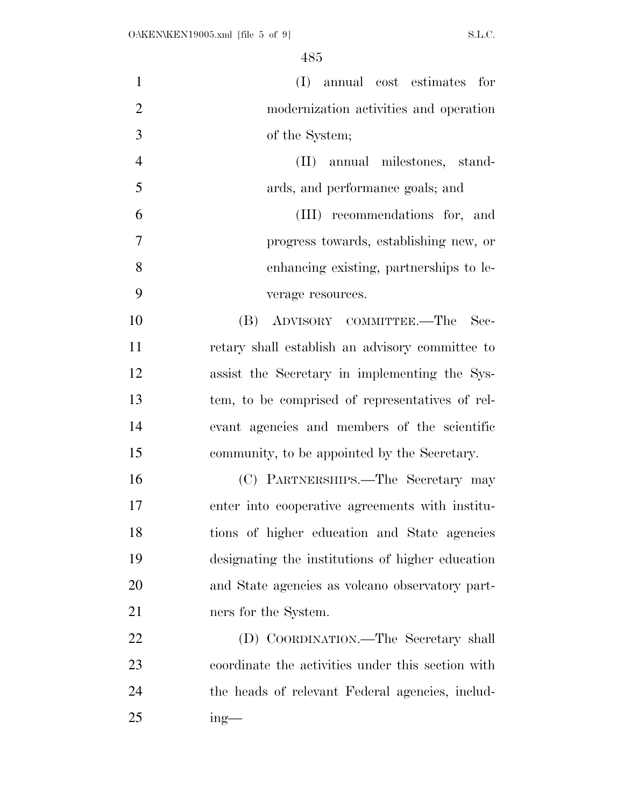| $\mathbf{1}$   | (I) annual cost estimates for                     |
|----------------|---------------------------------------------------|
| $\overline{2}$ | modernization activities and operation            |
| 3              | of the System;                                    |
| $\overline{4}$ | (II) annual milestones, stand-                    |
| 5              | ards, and performance goals; and                  |
| 6              | (III) recommendations for, and                    |
| $\overline{7}$ | progress towards, establishing new, or            |
| 8              | enhancing existing, partnerships to le-           |
| 9              | verage resources.                                 |
| 10             | (B) ADVISORY COMMITTEE.—The<br>Sec-               |
| 11             | retary shall establish an advisory committee to   |
| 12             | assist the Secretary in implementing the Sys-     |
| 13             | tem, to be comprised of representatives of rel-   |
| 14             | evant agencies and members of the scientific      |
| 15             | community, to be appointed by the Secretary.      |
| 16             | (C) PARTNERSHIPS.—The Secretary may               |
| 17             | enter into cooperative agreements with institu-   |
| 18             | tions of higher education and State agencies      |
| 19             | designating the institutions of higher education  |
| 20             | and State agencies as volcano observatory part-   |
| 21             | ners for the System.                              |
| 22             | (D) COORDINATION.—The Secretary shall             |
| 23             | coordinate the activities under this section with |
| 24             | the heads of relevant Federal agencies, includ-   |
| 25             | $ing$ —                                           |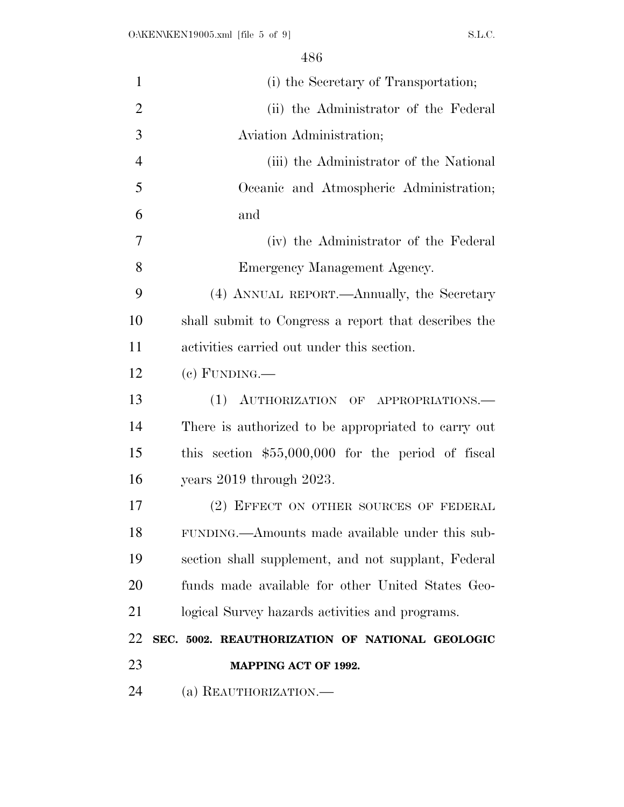| $\mathbf{1}$   | (i) the Secretary of Transportation;                 |
|----------------|------------------------------------------------------|
| $\overline{2}$ | (ii) the Administrator of the Federal                |
| 3              | Aviation Administration;                             |
| $\overline{4}$ | (iii) the Administrator of the National              |
| 5              | Oceanic and Atmospheric Administration;              |
| 6              | and                                                  |
| 7              | (iv) the Administrator of the Federal                |
| 8              | Emergency Management Agency.                         |
| 9              | (4) ANNUAL REPORT.—Annually, the Secretary           |
| 10             | shall submit to Congress a report that describes the |
| 11             | activities carried out under this section.           |
| 12             | $(e)$ FUNDING.—                                      |
| 13             | AUTHORIZATION OF APPROPRIATIONS.<br>(1)              |
| 14             | There is authorized to be appropriated to carry out  |
| 15             | this section $$55,000,000$ for the period of fiscal  |
| 16             | years $2019$ through $2023$ .                        |
| 17             | (2) EFFECT ON OTHER SOURCES OF FEDERAL               |
| 18             | FUNDING.—Amounts made available under this sub-      |
| 19             | section shall supplement, and not supplant, Federal  |
| 20             | funds made available for other United States Geo-    |
| 21             | logical Survey hazards activities and programs.      |
| 22             | SEC. 5002. REAUTHORIZATION OF NATIONAL GEOLOGIC      |
| 23             | <b>MAPPING ACT OF 1992.</b>                          |
| 24             | (a) REAUTHORIZATION.—                                |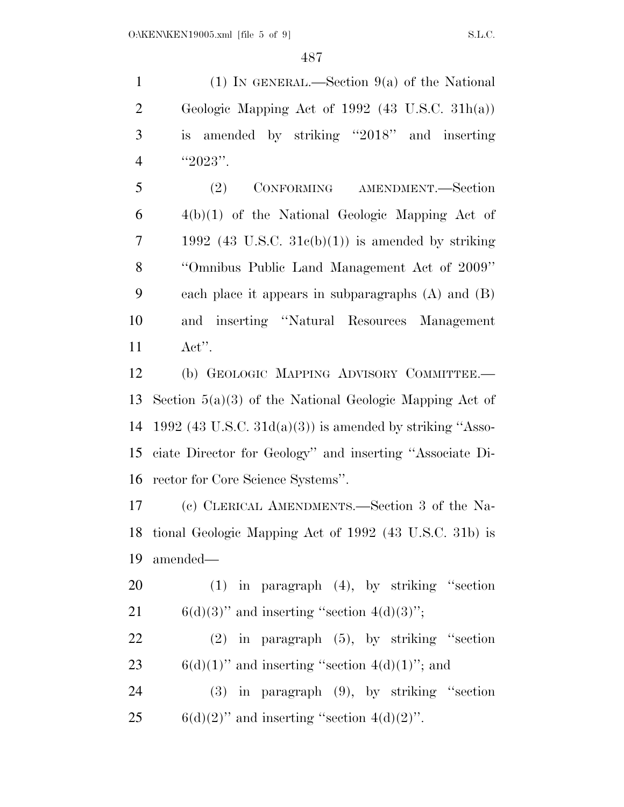1 (1) IN GENERAL.—Section  $9(a)$  of the National Geologic Mapping Act of 1992 (43 U.S.C. 31h(a)) is amended by striking ''2018'' and inserting 4  $"2023"$ .

 (2) CONFORMING AMENDMENT.—Section 4(b)(1) of the National Geologic Mapping Act of 7 1992 (43 U.S.C.  $31c(b)(1)$ ) is amended by striking ''Omnibus Public Land Management Act of 2009'' each place it appears in subparagraphs (A) and (B) and inserting ''Natural Resources Management Act''.

 (b) GEOLOGIC MAPPING ADVISORY COMMITTEE.— Section 5(a)(3) of the National Geologic Mapping Act of 14 1992 (43 U.S.C.  $31d(a)(3)$ ) is amended by striking "Asso- ciate Director for Geology'' and inserting ''Associate Di-rector for Core Science Systems''.

 (c) CLERICAL AMENDMENTS.—Section 3 of the Na- tional Geologic Mapping Act of 1992 (43 U.S.C. 31b) is amended—

 (1) in paragraph (4), by striking ''section 21 6(d)(3)" and inserting "section  $4(d)(3)$ ";

 (2) in paragraph (5), by striking ''section 23 6(d)(1)" and inserting "section  $4(d)(1)$ "; and

 (3) in paragraph (9), by striking ''section 25 6(d)(2)" and inserting "section  $4(d)(2)$ ".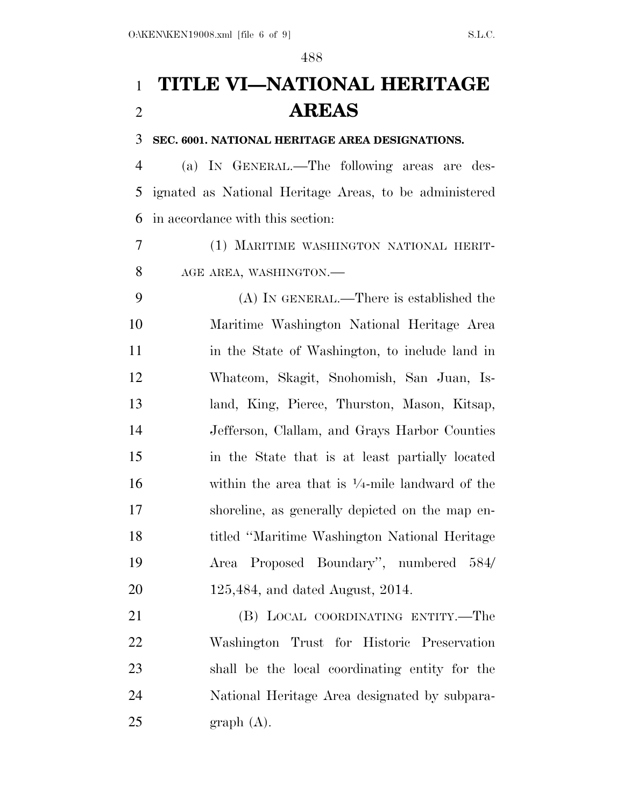## **TITLE VI—NATIONAL HERITAGE AREAS**

#### **SEC. 6001. NATIONAL HERITAGE AREA DESIGNATIONS.**

 (a) IN GENERAL.—The following areas are des- ignated as National Heritage Areas, to be administered in accordance with this section:

 (1) MARITIME WASHINGTON NATIONAL HERIT-8 AGE AREA, WASHINGTON.

 (A) IN GENERAL.—There is established the Maritime Washington National Heritage Area 11 in the State of Washington, to include land in Whatcom, Skagit, Snohomish, San Juan, Is- land, King, Pierce, Thurston, Mason, Kitsap, Jefferson, Clallam, and Grays Harbor Counties in the State that is at least partially located 16 within the area that is  $\frac{1}{4}$ -mile landward of the shoreline, as generally depicted on the map en- titled ''Maritime Washington National Heritage Area Proposed Boundary'', numbered 584/ 125,484, and dated August, 2014.

 (B) LOCAL COORDINATING ENTITY.—The Washington Trust for Historic Preservation shall be the local coordinating entity for the National Heritage Area designated by subpara-graph  $(A)$ .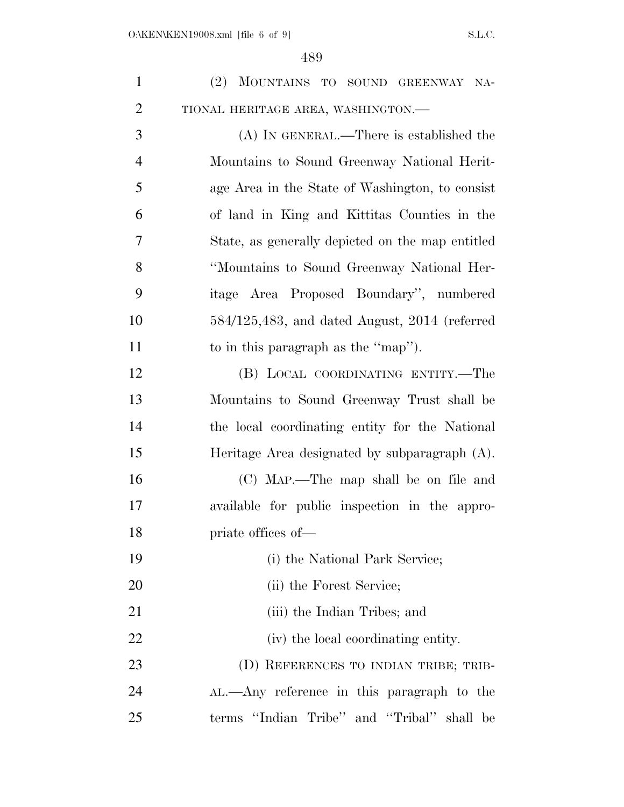| $\mathbf{1}$   | (2) MOUNTAINS TO SOUND GREENWAY NA-                |
|----------------|----------------------------------------------------|
| $\overline{2}$ | TIONAL HERITAGE AREA, WASHINGTON.-                 |
| 3              | $(A)$ In GENERAL.—There is established the         |
| $\overline{4}$ | Mountains to Sound Greenway National Herit-        |
| 5              | age Area in the State of Washington, to consist    |
| 6              | of land in King and Kittitas Counties in the       |
| 7              | State, as generally depicted on the map entitled   |
| 8              | "Mountains to Sound Greenway National Her-         |
| 9              | itage Area Proposed Boundary", numbered            |
| 10             | $584/125,483$ , and dated August, $2014$ (referred |
| 11             | to in this paragraph as the "map").                |
| 12             | (B) LOCAL COORDINATING ENTITY.—The                 |
| 13             | Mountains to Sound Greenway Trust shall be         |
| 14             | the local coordinating entity for the National     |
| 15             | Heritage Area designated by subparagraph (A).      |
| 16             | (C) MAP.—The map shall be on file and              |
| 17             | available for public inspection in the appro-      |
| 18             | priate offices of—                                 |
| 19             | (i) the National Park Service;                     |
| 20             | (ii) the Forest Service;                           |
| 21             | (iii) the Indian Tribes; and                       |
| 22             | (iv) the local coordinating entity.                |
| 23             | (D) REFERENCES TO INDIAN TRIBE; TRIB-              |
| 24             | AL.—Any reference in this paragraph to the         |
| 25             | terms "Indian Tribe" and "Tribal" shall be         |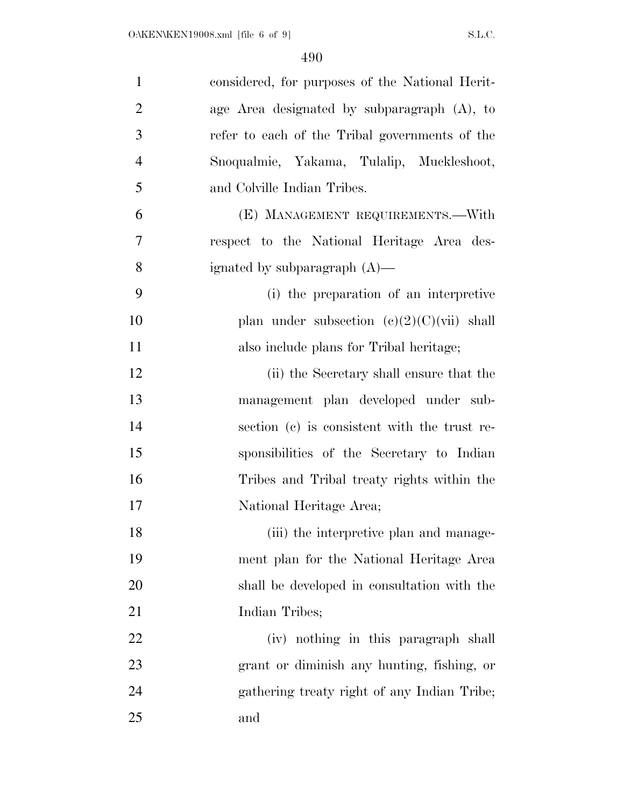| $\mathbf{1}$   | considered, for purposes of the National Herit- |
|----------------|-------------------------------------------------|
| $\overline{2}$ | age Area designated by subparagraph (A), to     |
| 3              | refer to each of the Tribal governments of the  |
| $\overline{4}$ | Snoqualmie, Yakama, Tulalip, Muckleshoot,       |
| 5              | and Colville Indian Tribes.                     |
| 6              | (E) MANAGEMENT REQUIREMENTS.—With               |
| 7              | respect to the National Heritage Area des-      |
| 8              | ignated by subparagraph $(A)$ —                 |
| 9              | (i) the preparation of an interpretive          |
| 10             | plan under subsection $(e)(2)(C)(vi)$ shall     |
| 11             | also include plans for Tribal heritage;         |
| 12             | (ii) the Secretary shall ensure that the        |
| 13             | management plan developed under sub-            |
| 14             | section (c) is consistent with the trust re-    |
| 15             | sponsibilities of the Secretary to Indian       |
| 16             | Tribes and Tribal treaty rights within the      |
| 17             | National Heritage Area;                         |
| 18             | (iii) the interpretive plan and manage-         |
| 19             | ment plan for the National Heritage Area        |
| 20             | shall be developed in consultation with the     |
| 21             | Indian Tribes;                                  |
| 22             | (iv) nothing in this paragraph shall            |
| 23             | grant or diminish any hunting, fishing, or      |
| 24             | gathering treaty right of any Indian Tribe;     |
| 25             | and                                             |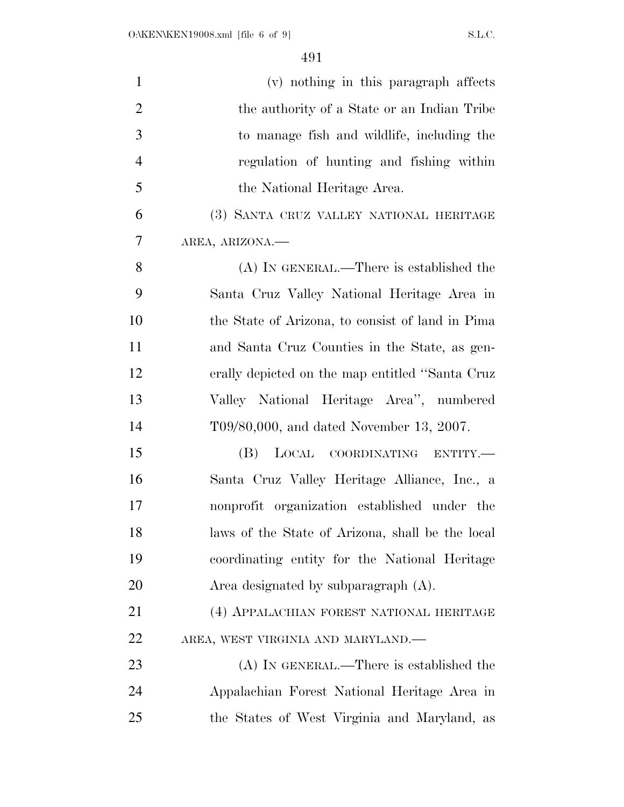| $\mathbf{1}$   | (v) nothing in this paragraph affects            |
|----------------|--------------------------------------------------|
| $\overline{2}$ | the authority of a State or an Indian Tribe      |
| 3              | to manage fish and wildlife, including the       |
| $\overline{4}$ | regulation of hunting and fishing within         |
| 5              | the National Heritage Area.                      |
| 6              | (3) SANTA CRUZ VALLEY NATIONAL HERITAGE          |
| 7              | AREA, ARIZONA.                                   |
| 8              | (A) IN GENERAL.—There is established the         |
| 9              | Santa Cruz Valley National Heritage Area in      |
| 10             | the State of Arizona, to consist of land in Pima |
| 11             | and Santa Cruz Counties in the State, as gen-    |
| 12             | erally depicted on the map entitled "Santa Cruz  |
| 13             | Valley National Heritage Area", numbered         |
| 14             | T09/80,000, and dated November 13, 2007.         |
| 15             | (B) LOCAL COORDINATING ENTITY.—                  |
| 16             | Santa Cruz Valley Heritage Alliance, Inc., a     |
| 17             | nonprofit organization established under the     |
| 18             | laws of the State of Arizona, shall be the local |
| 19             | coordinating entity for the National Heritage    |
| 20             | Area designated by subparagraph $(A)$ .          |
| 21             | (4) APPALACHIAN FOREST NATIONAL HERITAGE         |
| 22             | AREA, WEST VIRGINIA AND MARYLAND.-               |
| 23             | (A) IN GENERAL.—There is established the         |
| 24             | Appalachian Forest National Heritage Area in     |
| 25             | the States of West Virginia and Maryland, as     |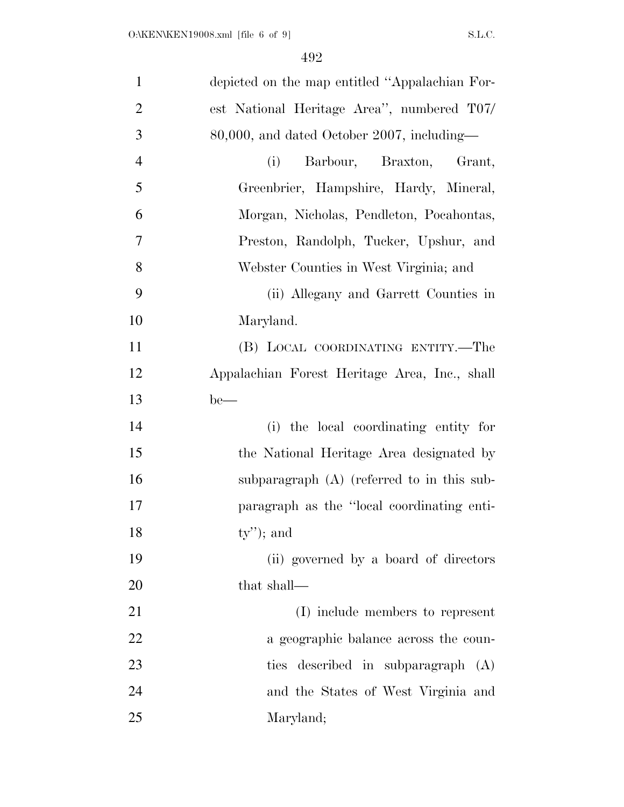| $\mathbf{1}$   | depicted on the map entitled "Appalachian For- |
|----------------|------------------------------------------------|
| $\overline{2}$ | est National Heritage Area", numbered T07/     |
| 3              | 80,000, and dated October 2007, including-     |
| $\overline{4}$ | Barbour, Braxton,<br>(i)<br>Grant,             |
| 5              | Greenbrier, Hampshire, Hardy, Mineral,         |
| 6              | Morgan, Nicholas, Pendleton, Pocahontas,       |
| 7              | Preston, Randolph, Tucker, Upshur, and         |
| 8              | Webster Counties in West Virginia; and         |
| 9              | (ii) Allegany and Garrett Counties in          |
| 10             | Maryland.                                      |
| 11             | (B) LOCAL COORDINATING ENTITY.—The             |
| 12             | Appalachian Forest Heritage Area, Inc., shall  |
| 13             | $be$ —                                         |
| 14             | (i) the local coordinating entity for          |
| 15             | the National Heritage Area designated by       |
| 16             | subparagraph $(A)$ (referred to in this sub-   |
| 17             | paragraph as the "local coordinating enti-     |
| 18             | $(y'')$ ; and                                  |
| 19             | (ii) governed by a board of directors          |
| 20             | that shall—                                    |
| 21             | (I) include members to represent               |
| 22             | a geographic balance across the coun-          |
| 23             | ties described in subparagraph (A)             |
| 24             | and the States of West Virginia and            |
| 25             | Maryland;                                      |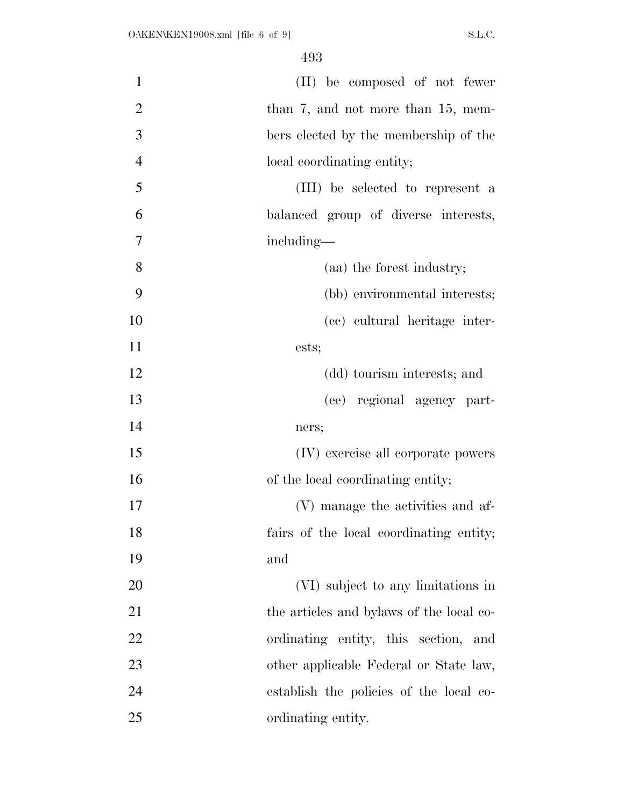| $\mathbf{1}$   | (II) be composed of not fewer            |
|----------------|------------------------------------------|
| $\overline{2}$ | than $7$ , and not more than 15, mem-    |
| 3              | bers elected by the membership of the    |
| $\overline{4}$ | local coordinating entity;               |
| 5              | (III) be selected to represent a         |
| 6              | balanced group of diverse interests,     |
| 7              | including—                               |
| 8              | (aa) the forest industry;                |
| 9              | (bb) environmental interests;            |
| 10             | (cc) cultural heritage inter-            |
| 11             | ests;                                    |
| 12             | (dd) tourism interests; and              |
| 13             | (ee) regional agency part-               |
| 14             | ners;                                    |
| 15             | (IV) exercise all corporate powers       |
| 16             | of the local coordinating entity;        |
| 17             | (V) manage the activities and af-        |
| 18             | fairs of the local coordinating entity;  |
| 19             | and                                      |
| 20             | (VI) subject to any limitations in       |
| 21             | the articles and bylaws of the local co- |
| 22             | ordinating entity, this section, and     |
| 23             | other applicable Federal or State law,   |
| 24             | establish the policies of the local co-  |
| 25             | ordinating entity.                       |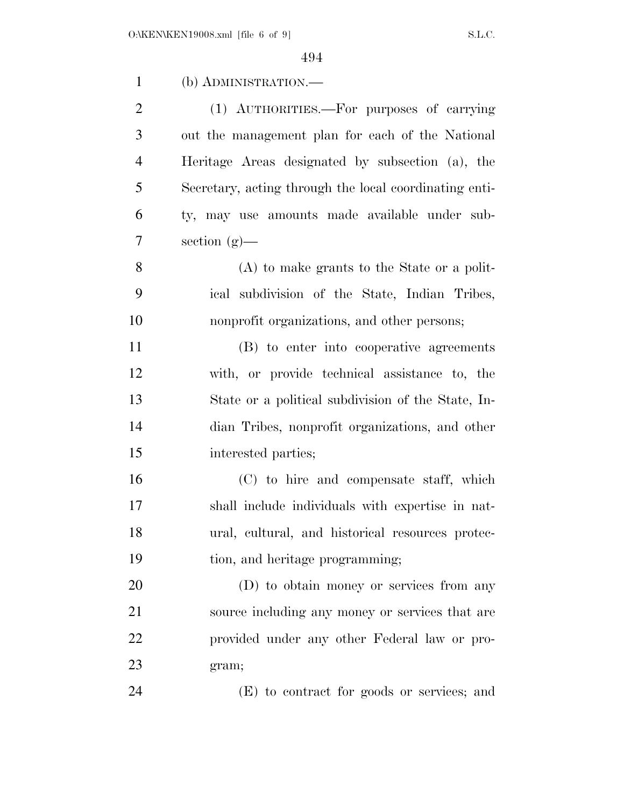| $\mathbf{1}$   | (b) ADMINISTRATION.—                                   |
|----------------|--------------------------------------------------------|
| $\overline{2}$ | (1) AUTHORITIES.—For purposes of carrying              |
| 3              | out the management plan for each of the National       |
| $\overline{4}$ | Heritage Areas designated by subsection (a), the       |
| 5              | Secretary, acting through the local coordinating enti- |
| 6              | ty, may use amounts made available under sub-          |
| 7              | section $(g)$ —                                        |
| 8              | $(A)$ to make grants to the State or a polit-          |
| 9              | ical subdivision of the State, Indian Tribes,          |
| 10             | nonprofit organizations, and other persons;            |
| 11             | (B) to enter into cooperative agreements               |
| 12             | with, or provide technical assistance to, the          |
| 13             | State or a political subdivision of the State, In-     |
| 14             | dian Tribes, nonprofit organizations, and other        |
| 15             | interested parties;                                    |
| 16             | (C) to hire and compensate staff, which                |
| 17             | shall include individuals with expertise in nat-       |
| 18             | ural, cultural, and historical resources protec-       |
| 19             | tion, and heritage programming;                        |
| 20             | (D) to obtain money or services from any               |
| 21             | source including any money or services that are        |
| 22             | provided under any other Federal law or pro-           |
| 23             | gram;                                                  |
| 24             | (E) to contract for goods or services; and             |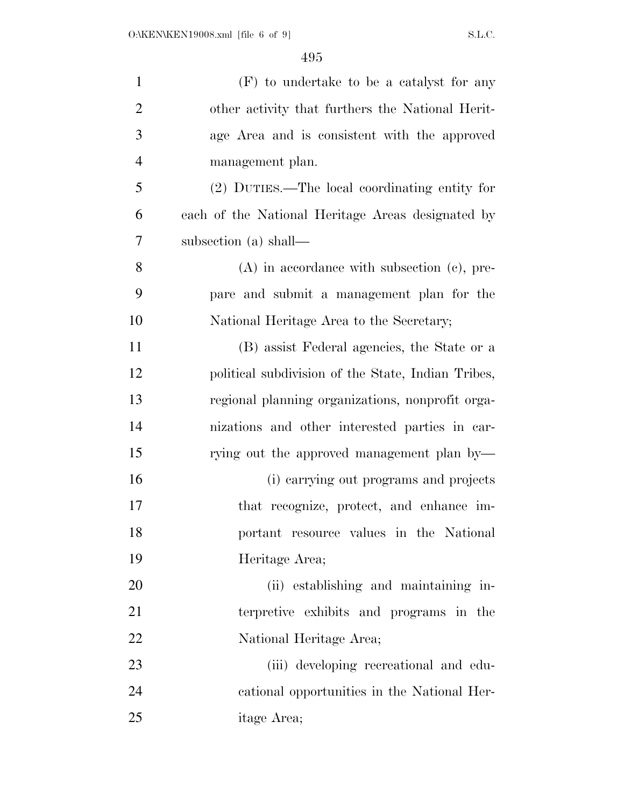| $\mathbf{1}$   | (F) to undertake to be a catalyst for any          |
|----------------|----------------------------------------------------|
| $\overline{2}$ | other activity that furthers the National Herit-   |
| 3              | age Area and is consistent with the approved       |
| $\overline{4}$ | management plan.                                   |
| 5              | (2) DUTIES.—The local coordinating entity for      |
| 6              | each of the National Heritage Areas designated by  |
| 7              | subsection (a) shall—                              |
| 8              | $(A)$ in accordance with subsection $(c)$ , pre-   |
| 9              | pare and submit a management plan for the          |
| 10             | National Heritage Area to the Secretary;           |
| 11             | (B) assist Federal agencies, the State or a        |
| 12             | political subdivision of the State, Indian Tribes, |
| 13             | regional planning organizations, nonprofit orga-   |
| 14             | nizations and other interested parties in car-     |
| 15             | rying out the approved management plan by—         |
| 16             | (i) carrying out programs and projects             |
| 17             | that recognize, protect, and enhance im-           |
| 18             | portant resource values in the National            |
| 19             | Heritage Area;                                     |
| 20             | (ii) establishing and maintaining in-              |
| 21             | terpretive exhibits and programs in the            |
| 22             | National Heritage Area;                            |
| 23             | (iii) developing recreational and edu-             |
| 24             | cational opportunities in the National Her-        |
| 25             | itage Area;                                        |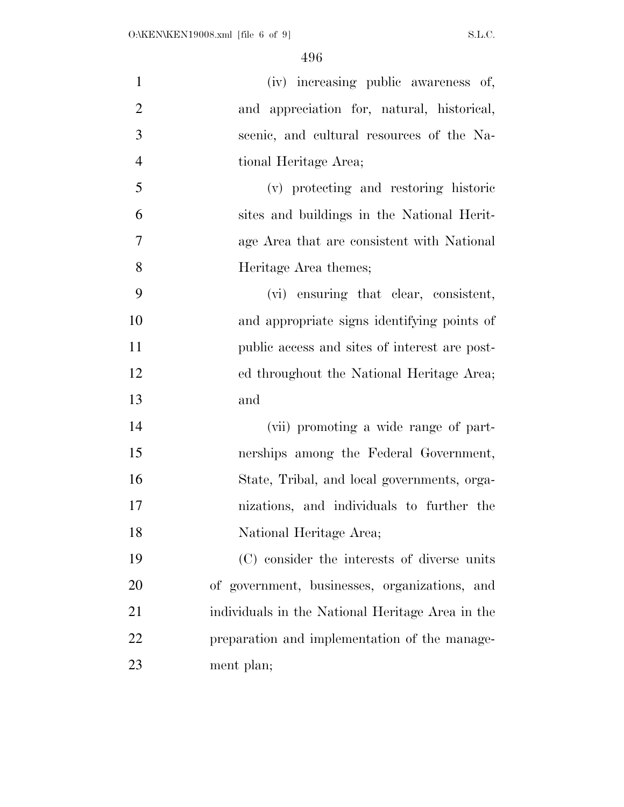| $\mathbf{1}$   | (iv) increasing public awareness of,             |
|----------------|--------------------------------------------------|
| $\overline{2}$ | and appreciation for, natural, historical,       |
| 3              | scenic, and cultural resources of the Na-        |
| $\overline{4}$ | tional Heritage Area;                            |
| 5              | (v) protecting and restoring historic            |
| 6              | sites and buildings in the National Herit-       |
| $\overline{7}$ | age Area that are consistent with National       |
| 8              | Heritage Area themes;                            |
| 9              | (vi) ensuring that clear, consistent,            |
| 10             | and appropriate signs identifying points of      |
| 11             | public access and sites of interest are post-    |
| 12             | ed throughout the National Heritage Area;        |
| 13             | and                                              |
| 14             | (vii) promoting a wide range of part-            |
| 15             | nerships among the Federal Government,           |
| 16             | State, Tribal, and local governments, orga-      |
| 17             | nizations, and individuals to further the        |
| 18             | National Heritage Area;                          |
| 19             | (C) consider the interests of diverse units      |
| 20             | of government, businesses, organizations, and    |
| 21             | individuals in the National Heritage Area in the |
| 22             | preparation and implementation of the manage-    |
| 23             | ment plan;                                       |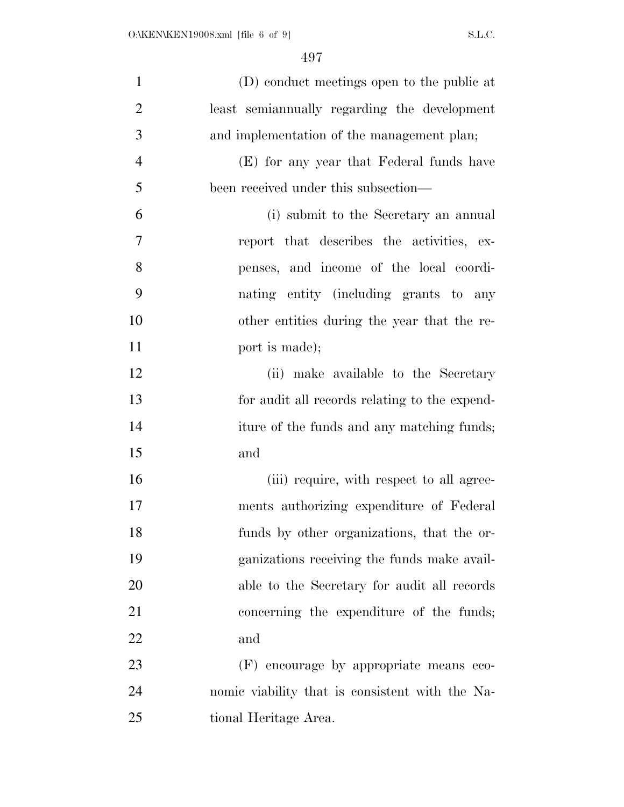| $\mathbf{1}$   | (D) conduct meetings open to the public at      |
|----------------|-------------------------------------------------|
| $\overline{2}$ | least semiannually regarding the development    |
| 3              | and implementation of the management plan;      |
| $\overline{4}$ | (E) for any year that Federal funds have        |
| 5              | been received under this subsection—            |
| 6              | (i) submit to the Secretary an annual           |
| 7              | report that describes the activities, ex-       |
| 8              | penses, and income of the local coordi-         |
| 9              | nating entity (including grants to any          |
| 10             | other entities during the year that the re-     |
| 11             | port is made);                                  |
| 12             | (ii) make available to the Secretary            |
| 13             | for audit all records relating to the expend-   |
| 14             | iture of the funds and any matching funds;      |
| 15             | and                                             |
| 16             | (iii) require, with respect to all agree-       |
| 17             | ments authorizing expenditure of Federal        |
| 18             | funds by other organizations, that the or-      |
| 19             | ganizations receiving the funds make avail-     |
| 20             | able to the Secretary for audit all records     |
| 21             | concerning the expenditure of the funds;        |
| 22             | and                                             |
| 23             | (F) encourage by appropriate means eco-         |
| 24             | nomic viability that is consistent with the Na- |
| 25             | tional Heritage Area.                           |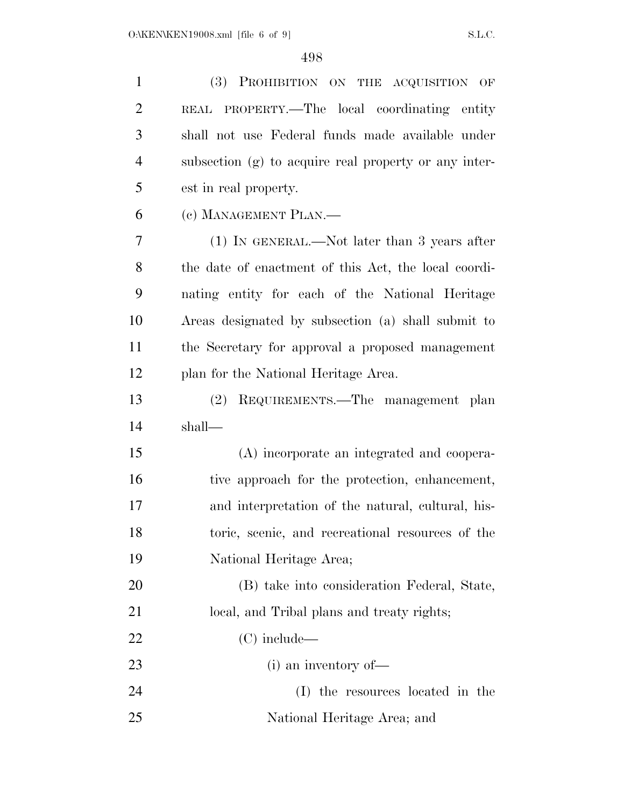| $\mathbf{1}$   | (3) PROHIBITION ON THE ACQUISITION OF                 |
|----------------|-------------------------------------------------------|
| $\overline{2}$ | REAL PROPERTY.—The local coordinating entity          |
| 3              | shall not use Federal funds made available under      |
| $\overline{4}$ | subsection (g) to acquire real property or any inter- |
| 5              | est in real property.                                 |
| 6              | (c) MANAGEMENT PLAN.—                                 |
| 7              | $(1)$ IN GENERAL.—Not later than 3 years after        |
| 8              | the date of enactment of this Act, the local coordi-  |
| 9              | nating entity for each of the National Heritage       |
| 10             | Areas designated by subsection (a) shall submit to    |
| 11             | the Secretary for approval a proposed management      |
| 12             | plan for the National Heritage Area.                  |
| 13             | REQUIREMENTS.—The management plan<br>(2)              |
| 14             | shall—                                                |
| 15             | (A) incorporate an integrated and coopera-            |
| 16             | tive approach for the protection, enhancement,        |
| 17             | and interpretation of the natural, cultural, his-     |
| 18             | toric, scenic, and recreational resources of the      |
| 19             | National Heritage Area;                               |
| 20             | (B) take into consideration Federal, State,           |
| 21             | local, and Tribal plans and treaty rights;            |
| 22             | $(C)$ include—                                        |
| 23             | $(i)$ an inventory of —                               |
| 24             | (I) the resources located in the                      |
|                |                                                       |

National Heritage Area; and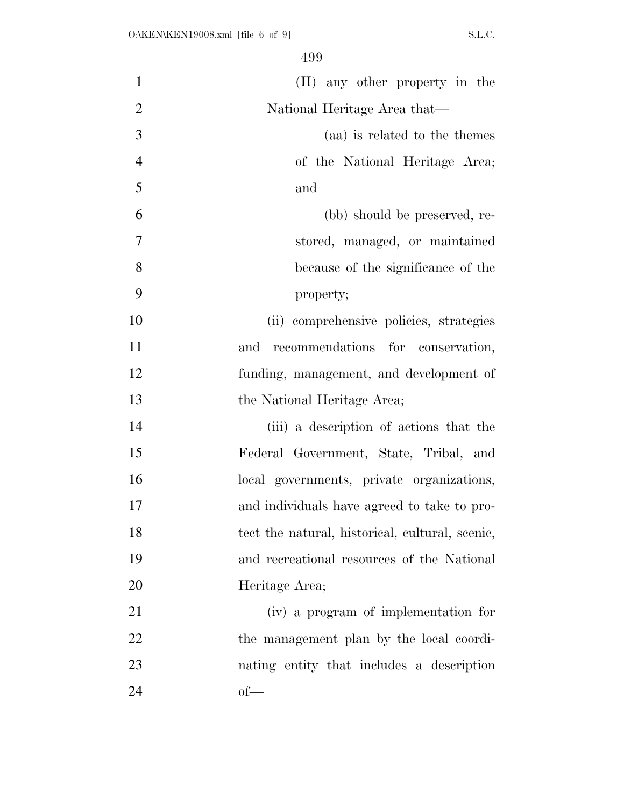| $\mathbf{1}$   | (II) any other property in the                  |
|----------------|-------------------------------------------------|
| $\overline{2}$ | National Heritage Area that—                    |
| 3              | (aa) is related to the themes                   |
| $\overline{4}$ | of the National Heritage Area;                  |
| 5              | and                                             |
| 6              | (bb) should be preserved, re-                   |
| 7              | stored, managed, or maintained                  |
| 8              | because of the significance of the              |
| 9              | property;                                       |
| 10             | (ii) comprehensive policies, strategies         |
| 11             | recommendations for conservation,<br>and        |
| 12             | funding, management, and development of         |
| 13             | the National Heritage Area;                     |
| 14             | (iii) a description of actions that the         |
| 15             | Federal Government, State, Tribal, and          |
| 16             | local governments, private organizations,       |
| 17             | and individuals have agreed to take to pro-     |
| 18             | tect the natural, historical, cultural, scenic, |
| 19             | and recreational resources of the National      |
| 20             | Heritage Area;                                  |
| 21             | (iv) a program of implementation for            |
| 22             | the management plan by the local coordi-        |
| 23             | nating entity that includes a description       |
| 24             | $of$ —                                          |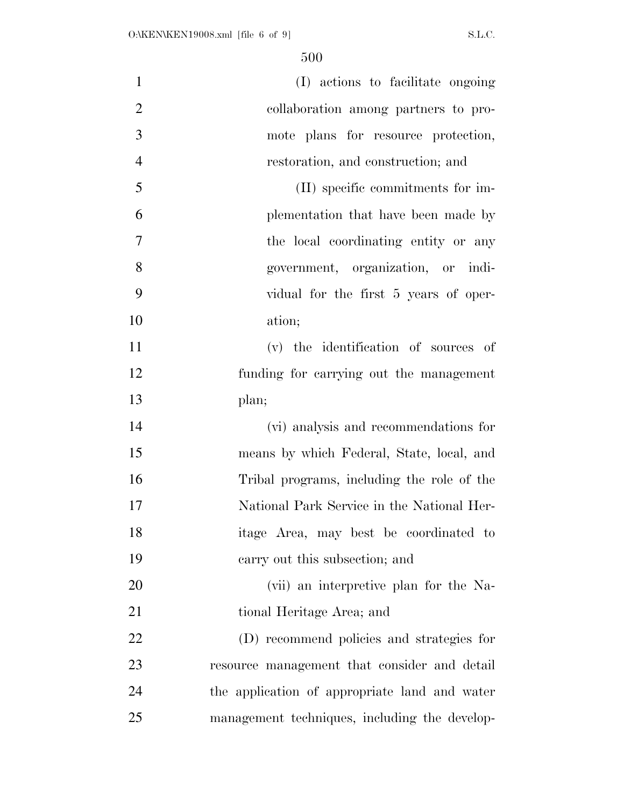| $\mathbf{1}$   | (I) actions to facilitate ongoing             |
|----------------|-----------------------------------------------|
| $\overline{2}$ | collaboration among partners to pro-          |
| 3              | mote plans for resource protection,           |
| $\overline{4}$ | restoration, and construction; and            |
| 5              | (II) specific commitments for im-             |
| 6              | plementation that have been made by           |
| $\tau$         | the local coordinating entity or any          |
| 8              | government, organization, or indi-            |
| 9              | vidual for the first 5 years of oper-         |
| 10             | ation;                                        |
| 11             | (v) the identification of sources of          |
| 12             | funding for carrying out the management       |
| 13             | plan;                                         |
| 14             | (vi) analysis and recommendations for         |
| 15             | means by which Federal, State, local, and     |
| 16             | Tribal programs, including the role of the    |
| 17             | National Park Service in the National Her-    |
| 18             | itage Area, may best be coordinated to        |
| 19             | carry out this subsection; and                |
| 20             | (vii) an interpretive plan for the Na-        |
| 21             | tional Heritage Area; and                     |
| 22             | (D) recommend policies and strategies for     |
| 23             | resource management that consider and detail  |
| 24             | the application of appropriate land and water |
| 25             | management techniques, including the develop- |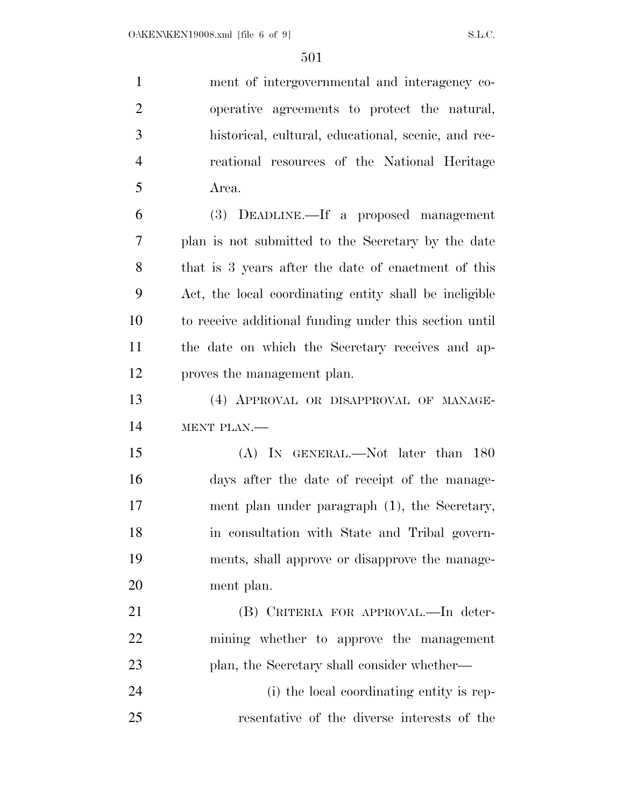| $\mathbf{1}$   | ment of intergovernmental and interagency co-           |
|----------------|---------------------------------------------------------|
| $\overline{2}$ | operative agreements to protect the natural,            |
| 3              | historical, cultural, educational, scenic, and rec-     |
| $\overline{4}$ | reational resources of the National Heritage            |
| 5              | Area.                                                   |
| 6              | (3) DEADLINE.—If a proposed management                  |
| 7              | plan is not submitted to the Secretary by the date      |
| 8              | that is 3 years after the date of enactment of this     |
| 9              | Act, the local coordinating entity shall be ineligible. |
| 10             | to receive additional funding under this section until  |
| 11             | the date on which the Secretary receives and ap-        |
| 12             | proves the management plan.                             |
| 13             | (4) APPROVAL OR DISAPPROVAL OF MANAGE-                  |
| 14             | MENT PLAN.-                                             |
| 15             | (A) IN GENERAL.—Not later than 180                      |
| 16             | days after the date of receipt of the manage-           |
| 17             | ment plan under paragraph (1), the Secretary,           |
| 18             | in consultation with State and Tribal govern-           |
| 19             | ments, shall approve or disapprove the manage-          |
| 20             | ment plan.                                              |
| 21             | (B) CRITERIA FOR APPROVAL.—In deter-                    |
| 22             | mining whether to approve the management                |
| 23             | plan, the Secretary shall consider whether—             |
| 24             | (i) the local coordinating entity is rep-               |

resentative of the diverse interests of the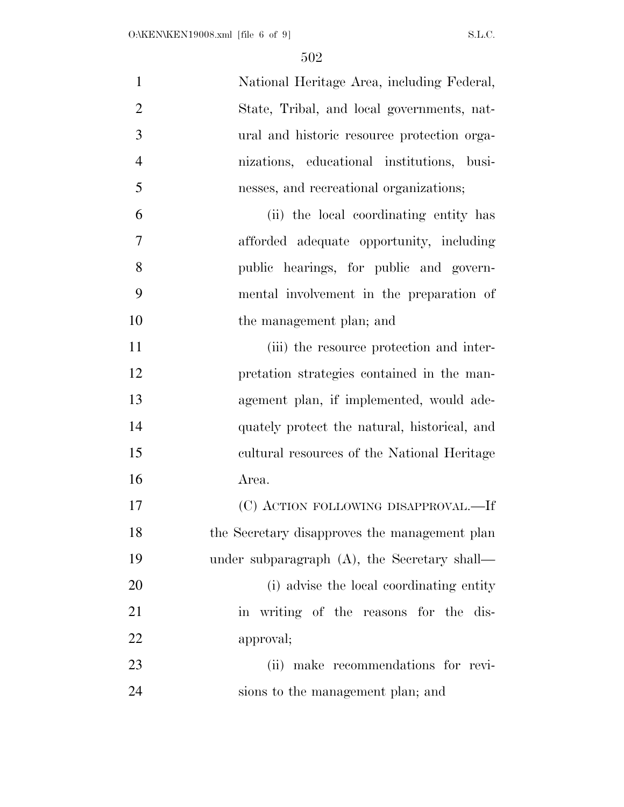| $\mathbf{1}$   | National Heritage Area, including Federal,      |
|----------------|-------------------------------------------------|
| $\overline{2}$ | State, Tribal, and local governments, nat-      |
| 3              | ural and historic resource protection orga-     |
| $\overline{4}$ | nizations, educational institutions, busi-      |
| 5              | nesses, and recreational organizations;         |
| 6              | (ii) the local coordinating entity has          |
| $\overline{7}$ | afforded adequate opportunity, including        |
| 8              | public hearings, for public and govern-         |
| 9              | mental involvement in the preparation of        |
| 10             | the management plan; and                        |
| 11             | (iii) the resource protection and inter-        |
| 12             | pretation strategies contained in the man-      |
| 13             | agement plan, if implemented, would ade-        |
| 14             | quately protect the natural, historical, and    |
| 15             | cultural resources of the National Heritage     |
| 16             | Area.                                           |
| 17             | (C) ACTION FOLLOWING DISAPPROVAL.-If            |
| 18             | the Secretary disapproves the management plan   |
| 19             | under subparagraph $(A)$ , the Secretary shall— |
| 20             | (i) advise the local coordinating entity        |
| 21             | in writing of the reasons for the dis-          |
| 22             | approval;                                       |
| 23             | (ii) make recommendations for revi-             |
| 24             | sions to the management plan; and               |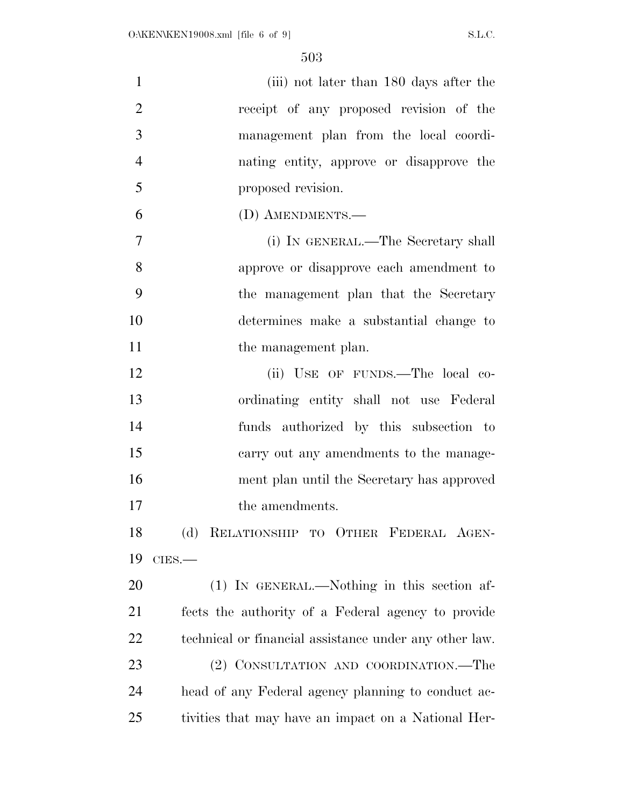| 1              | (iii) not later than 180 days after the                |
|----------------|--------------------------------------------------------|
| $\overline{2}$ | receipt of any proposed revision of the                |
| 3              | management plan from the local coordi-                 |
| $\overline{4}$ | nating entity, approve or disapprove the               |
| 5              | proposed revision.                                     |
| 6              | (D) AMENDMENTS.-                                       |
| $\overline{7}$ | (i) IN GENERAL.—The Secretary shall                    |
| 8              | approve or disapprove each amendment to                |
| 9              | the management plan that the Secretary                 |
| 10             | determines make a substantial change to                |
| 11             | the management plan.                                   |
| 12             | (ii) USE OF FUNDS.—The local co-                       |
| 13             | ordinating entity shall not use Federal                |
| 14             | funds authorized by this subsection to                 |
| 15             | carry out any amendments to the manage-                |
| 16             | ment plan until the Secretary has approved             |
| 17             | the amendments.                                        |
| 18             | (d) RELATIONSHIP TO OTHER FEDERAL AGEN-                |
| 19             | $CIES$ .                                               |
| 20             | (1) IN GENERAL.—Nothing in this section af-            |
| 21             | fects the authority of a Federal agency to provide     |
| 22             | technical or financial assistance under any other law. |
| 23             | (2) CONSULTATION AND COORDINATION.—The                 |
| 24             | head of any Federal agency planning to conduct ac-     |
| 25             | tivities that may have an impact on a National Her-    |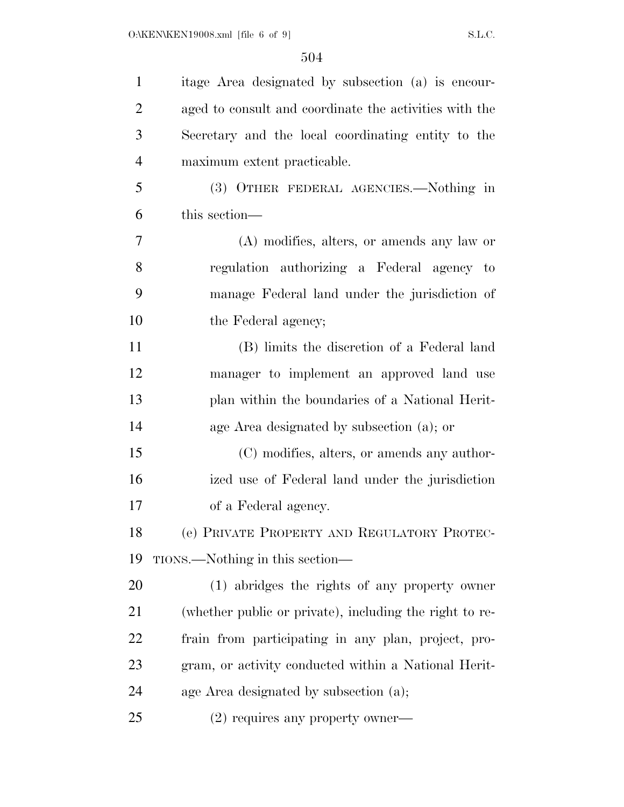| $\mathbf{1}$   | itage Area designated by subsection (a) is encour-      |
|----------------|---------------------------------------------------------|
| $\overline{2}$ | aged to consult and coordinate the activities with the  |
| 3              | Secretary and the local coordinating entity to the      |
| $\overline{4}$ | maximum extent practicable.                             |
| 5              | (3) OTHER FEDERAL AGENCIES.—Nothing in                  |
| 6              | this section—                                           |
| 7              | $(A)$ modifies, alters, or amends any law or            |
| 8              | regulation authorizing a Federal agency to              |
| 9              | manage Federal land under the jurisdiction of           |
| 10             | the Federal agency;                                     |
| 11             | (B) limits the discretion of a Federal land             |
| 12             | manager to implement an approved land use               |
| 13             | plan within the boundaries of a National Herit-         |
| 14             | age Area designated by subsection (a); or               |
| 15             | (C) modifies, alters, or amends any author-             |
| 16             | ized use of Federal land under the jurisdiction         |
| 17             | of a Federal agency.                                    |
| 18             | (e) PRIVATE PROPERTY AND REGULATORY PROTEC-             |
| 19             | TIONS.—Nothing in this section—                         |
| 20             | (1) abridges the rights of any property owner           |
| 21             | (whether public or private), including the right to re- |
| 22             | frain from participating in any plan, project, pro-     |
| 23             | gram, or activity conducted within a National Herit-    |
| 24             | age Area designated by subsection (a);                  |
| 25             | $(2)$ requires any property owner—                      |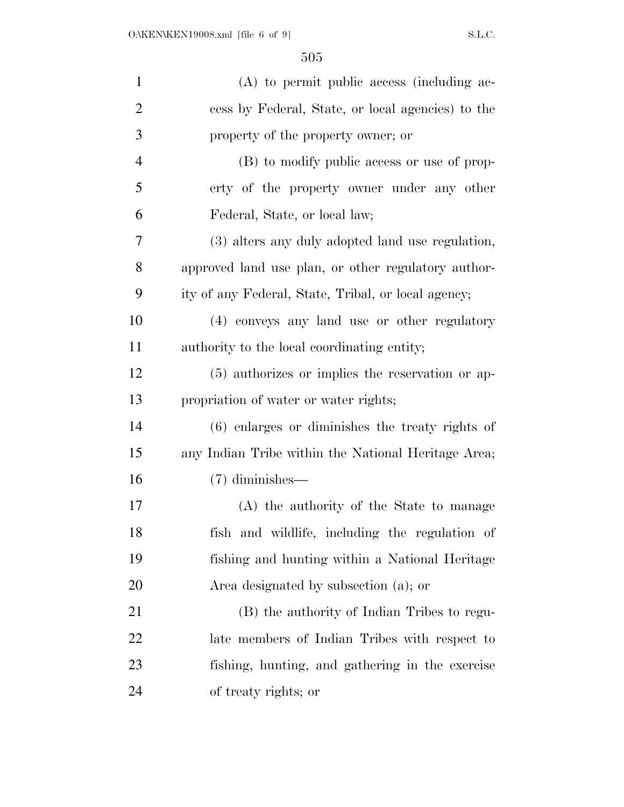| $\mathbf{1}$   | $(A)$ to permit public access (including ac-        |
|----------------|-----------------------------------------------------|
| $\overline{2}$ | cess by Federal, State, or local agencies) to the   |
| 3              | property of the property owner; or                  |
| 4              | (B) to modify public access or use of prop-         |
| 5              | erty of the property owner under any other          |
| 6              | Federal, State, or local law;                       |
| 7              | (3) alters any duly adopted land use regulation,    |
| 8              | approved land use plan, or other regulatory author- |
| 9              | ity of any Federal, State, Tribal, or local agency; |
| 10             | (4) conveys any land use or other regulatory        |
| 11             | authority to the local coordinating entity;         |
| 12             | (5) authorizes or implies the reservation or ap-    |
| 13             | propriation of water or water rights;               |
| 14             | $(6)$ enlarges or diminishes the treaty rights of   |
| 15             | any Indian Tribe within the National Heritage Area; |
| 16             | $(7)$ diminishes—                                   |
| 17             | (A) the authority of the State to manage            |
| 18             | fish and wildlife, including the regulation of      |
| 19             | fishing and hunting within a National Heritage      |
| 20             | Area designated by subsection (a); or               |
| 21             | (B) the authority of Indian Tribes to regu-         |
| 22             | late members of Indian Tribes with respect to       |
| 23             | fishing, hunting, and gathering in the exercise     |
| 24             | of treaty rights; or                                |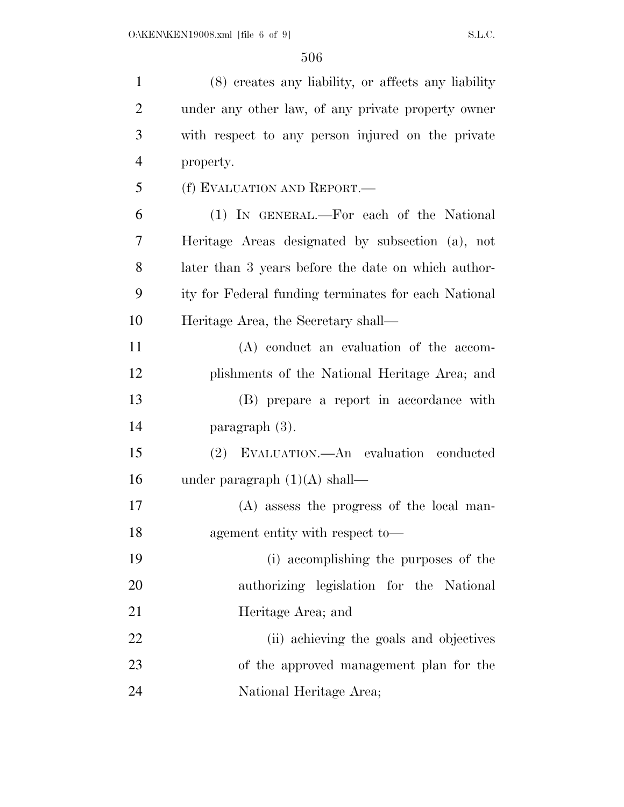| $\mathbf{1}$   | (8) creates any liability, or affects any liability  |
|----------------|------------------------------------------------------|
| $\overline{2}$ | under any other law, of any private property owner   |
| 3              | with respect to any person injured on the private    |
| $\overline{4}$ | property.                                            |
| 5              | (f) EVALUATION AND REPORT.—                          |
| 6              | (1) IN GENERAL.—For each of the National             |
| 7              | Heritage Areas designated by subsection (a), not     |
| 8              | later than 3 years before the date on which author-  |
| 9              | ity for Federal funding terminates for each National |
| 10             | Heritage Area, the Secretary shall—                  |
| 11             | (A) conduct an evaluation of the accom-              |
| 12             | plishments of the National Heritage Area; and        |
| 13             | (B) prepare a report in accordance with              |
| 14             | paragraph (3).                                       |
| 15             | (2) EVALUATION.—An evaluation conducted              |
| 16             | under paragraph $(1)(A)$ shall—                      |
| 17             | $(A)$ assess the progress of the local man-          |
| 18             | agement entity with respect to-                      |
| 19             | (i) accomplishing the purposes of the                |
| 20             | authorizing legislation for the National             |
| 21             | Heritage Area; and                                   |
| 22             | (ii) achieving the goals and objectives              |
| 23             | of the approved management plan for the              |
| 24             | National Heritage Area;                              |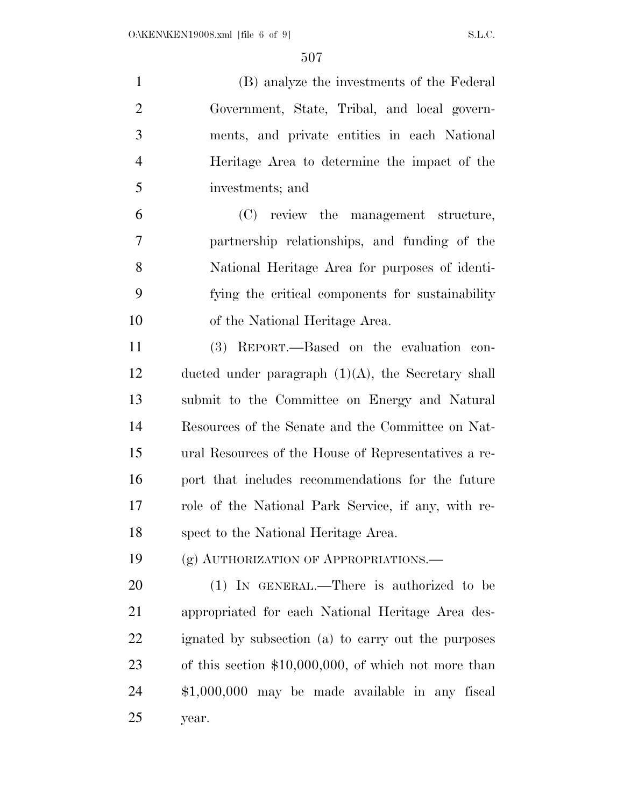(B) analyze the investments of the Federal Government, State, Tribal, and local govern- ments, and private entities in each National Heritage Area to determine the impact of the investments; and

 (C) review the management structure, partnership relationships, and funding of the National Heritage Area for purposes of identi- fying the critical components for sustainability of the National Heritage Area.

 (3) REPORT.—Based on the evaluation con- ducted under paragraph (1)(A), the Secretary shall submit to the Committee on Energy and Natural Resources of the Senate and the Committee on Nat- ural Resources of the House of Representatives a re- port that includes recommendations for the future role of the National Park Service, if any, with re-spect to the National Heritage Area.

(g) AUTHORIZATION OF APPROPRIATIONS.—

 (1) IN GENERAL.—There is authorized to be appropriated for each National Heritage Area des- ignated by subsection (a) to carry out the purposes of this section \$10,000,000, of which not more than \$1,000,000 may be made available in any fiscal year.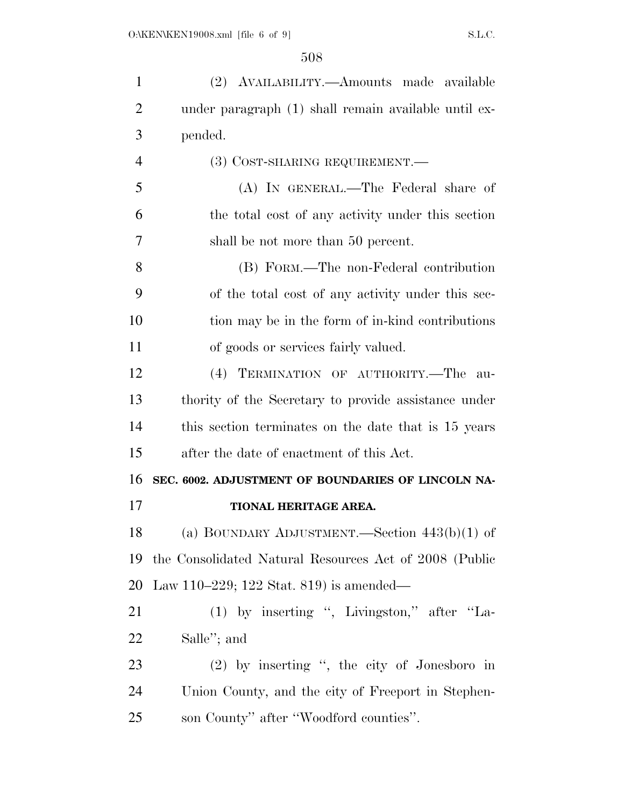| $\mathbf{1}$   | (2) AVAILABILITY.—Amounts made available               |
|----------------|--------------------------------------------------------|
| $\overline{2}$ | under paragraph (1) shall remain available until ex-   |
| 3              | pended.                                                |
| $\overline{4}$ | (3) COST-SHARING REQUIREMENT.—                         |
| 5              | (A) IN GENERAL.—The Federal share of                   |
| 6              | the total cost of any activity under this section      |
| 7              | shall be not more than 50 percent.                     |
| 8              | (B) FORM.—The non-Federal contribution                 |
| 9              | of the total cost of any activity under this sec-      |
| 10             | tion may be in the form of in-kind contributions       |
| 11             | of goods or services fairly valued.                    |
| 12             | (4) TERMINATION OF AUTHORITY.—The<br>au-               |
| 13             | thority of the Secretary to provide assistance under   |
| 14             | this section terminates on the date that is 15 years   |
| 15             | after the date of enactment of this Act.               |
| 16             | SEC. 6002. ADJUSTMENT OF BOUNDARIES OF LINCOLN NA-     |
| 17             | TIONAL HERITAGE AREA.                                  |
| 18             | (a) BOUNDARY ADJUSTMENT.—Section $443(b)(1)$ of        |
| 19             | the Consolidated Natural Resources Act of 2008 (Public |
| 20             | Law 110–229; 122 Stat. 819) is amended—                |
| 21             | (1) by inserting ", Livingston," after "La-            |
| 22             | Salle"; and                                            |
| 23             | (2) by inserting ", the city of Jonesboro in           |
| 24             | Union County, and the city of Freeport in Stephen-     |
| 25             | son County" after "Woodford counties".                 |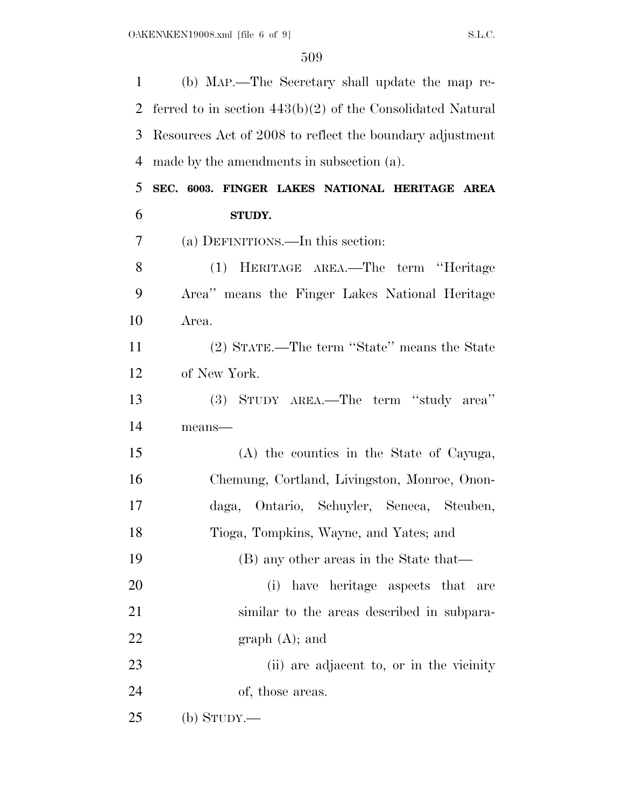| $\mathbf{1}$ | (b) MAP.—The Secretary shall update the map re-              |
|--------------|--------------------------------------------------------------|
| 2            | ferred to in section $443(b)(2)$ of the Consolidated Natural |
| 3            | Resources Act of 2008 to reflect the boundary adjustment     |
| 4            | made by the amendments in subsection (a).                    |
| 5            | SEC. 6003. FINGER LAKES NATIONAL HERITAGE AREA               |
| 6            | STUDY.                                                       |
| 7            | (a) DEFINITIONS.—In this section:                            |
| 8            | (1) HERITAGE AREA.—The term "Heritage                        |
| 9            | Area" means the Finger Lakes National Heritage               |
| 10           | Area.                                                        |
| 11           | (2) STATE.—The term "State" means the State                  |
| 12           | of New York.                                                 |
| 13           | (3) STUDY AREA.—The term "study area"                        |
| 14           | means-                                                       |
| 15           | (A) the counties in the State of Cayuga,                     |
| 16           | Chemung, Cortland, Livingston, Monroe, Onon-                 |
| 17           | daga, Ontario, Schuyler, Seneca,<br>Steuben,                 |
| 18           | Tioga, Tompkins, Wayne, and Yates; and                       |
| 19           | (B) any other areas in the State that—                       |
| 20           | (i) have heritage aspects that<br>are                        |
| 21           | similar to the areas described in subpara-                   |
| <u>22</u>    | $graph(A);$ and                                              |
| 23           | (ii) are adjacent to, or in the vicinity                     |
| 24           | of, those areas.                                             |
| 25           | (b) $S_{TUDY}$ .                                             |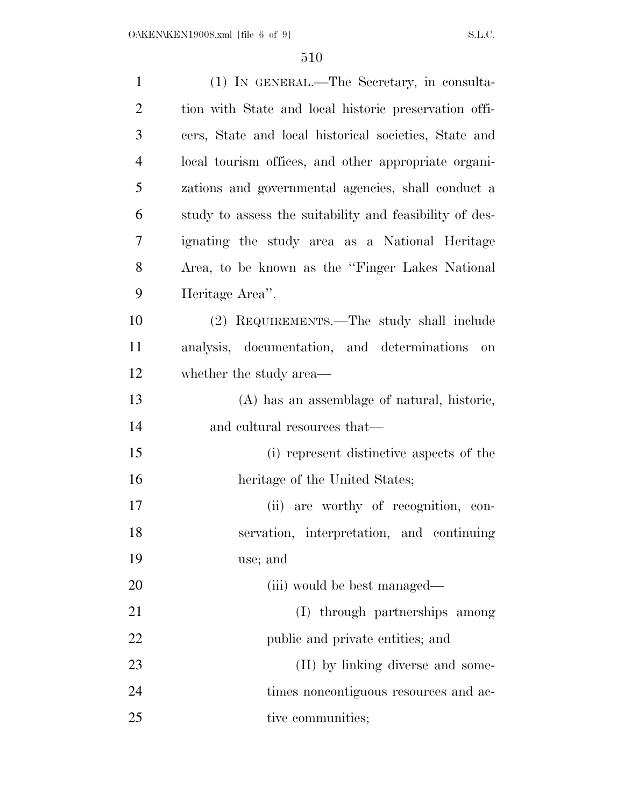| $\mathbf{1}$   | (1) IN GENERAL.—The Secretary, in consulta-             |
|----------------|---------------------------------------------------------|
| $\overline{2}$ | tion with State and local historic preservation offi-   |
| 3              | cers, State and local historical societies, State and   |
| $\overline{4}$ | local tourism offices, and other appropriate organi-    |
| 5              | zations and governmental agencies, shall conduct a      |
| 6              | study to assess the suitability and feasibility of des- |
| 7              | ignating the study area as a National Heritage          |
| 8              | Area, to be known as the "Finger Lakes National"        |
| 9              | Heritage Area".                                         |
| 10             | (2) REQUIREMENTS.—The study shall include               |
| 11             | analysis, documentation, and determinations<br>on       |
| 12             | whether the study area—                                 |
| 13             | (A) has an assemblage of natural, historic,             |
| 14             | and cultural resources that—                            |
| 15             | (i) represent distinctive aspects of the                |
| 16             | heritage of the United States;                          |
| 17             | (ii) are worthy of recognition, con-                    |
| 18             | servation, interpretation, and continuing               |
| 19             | use; and                                                |
| 20             | (iii) would be best managed—                            |
| 21             | (I) through partnerships among                          |
| 22             | public and private entities; and                        |
| 23             | (II) by linking diverse and some-                       |
| 24             | times noncontiguous resources and ac-                   |
| 25             | tive communities;                                       |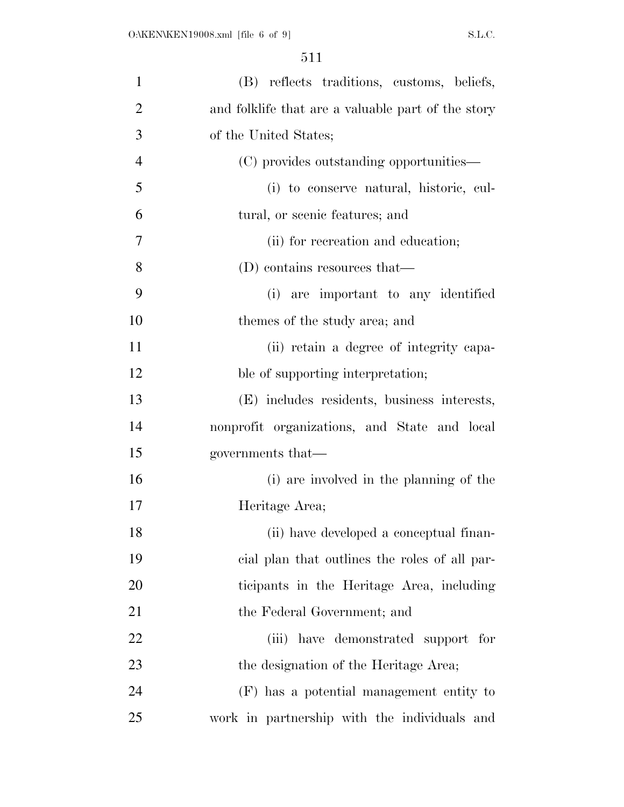| $\mathbf{1}$   | (B) reflects traditions, customs, beliefs,         |
|----------------|----------------------------------------------------|
| $\overline{2}$ | and folklife that are a valuable part of the story |
| 3              | of the United States;                              |
| $\overline{4}$ | (C) provides outstanding opportunities—            |
| 5              | (i) to conserve natural, historic, cul-            |
| 6              | tural, or scenic features; and                     |
| 7              | (ii) for recreation and education;                 |
| 8              | (D) contains resources that—                       |
| 9              | (i) are important to any identified                |
| 10             | themes of the study area; and                      |
| 11             | (ii) retain a degree of integrity capa-            |
| 12             | ble of supporting interpretation;                  |
| 13             | (E) includes residents, business interests,        |
| 14             | nonprofit organizations, and State and local       |
| 15             | governments that—                                  |
| 16             | (i) are involved in the planning of the            |
| 17             | Heritage Area;                                     |
| 18             | (ii) have developed a conceptual finan-            |
| 19             | eial plan that outlines the roles of all par-      |
| 20             | ticipants in the Heritage Area, including          |
| 21             | the Federal Government; and                        |
| <u>22</u>      | (iii) have demonstrated support for                |
| 23             | the designation of the Heritage Area;              |
| 24             | (F) has a potential management entity to           |
| 25             | work in partnership with the individuals and       |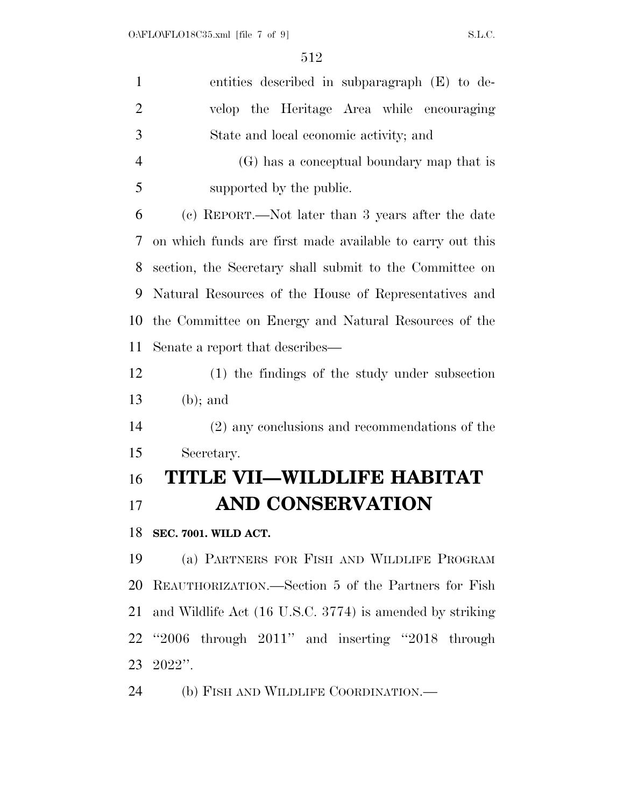| $\mathbf{1}$   | entities described in subparagraph (E) to de-             |
|----------------|-----------------------------------------------------------|
| $\overline{2}$ | velop the Heritage Area while encouraging                 |
| 3              | State and local economic activity; and                    |
| $\overline{4}$ | (G) has a conceptual boundary map that is                 |
| 5              | supported by the public.                                  |
| 6              | (c) REPORT.—Not later than 3 years after the date         |
| 7              | on which funds are first made available to carry out this |
| 8              | section, the Secretary shall submit to the Committee on   |
| 9              | Natural Resources of the House of Representatives and     |
| 10             | the Committee on Energy and Natural Resources of the      |
| 11             | Senate a report that describes—                           |
| 12             | (1) the findings of the study under subsection            |
| 13             | $(b)$ ; and                                               |
| 14             | (2) any conclusions and recommendations of the            |
| 15             | Secretary.                                                |
| 16             | TITLE VII—WILDLIFE HABITAT                                |
| 17             | <b>AND CONSERVATION</b>                                   |
| 18             | SEC. 7001. WILD ACT.                                      |
| 19             | (a) PARTNERS FOR FISH AND WILDLIFE PROGRAM                |
| 20             | REAUTHORIZATION.—Section 5 of the Partners for Fish       |
| 21             | and Wildlife Act (16 U.S.C. 3774) is amended by striking  |
| 22             | $"2006$ through $2011"$ and inserting $"2018$ through     |
| 23             | $2022"$ .                                                 |
| 24             | (b) FISH AND WILDLIFE COORDINATION.—                      |
|                |                                                           |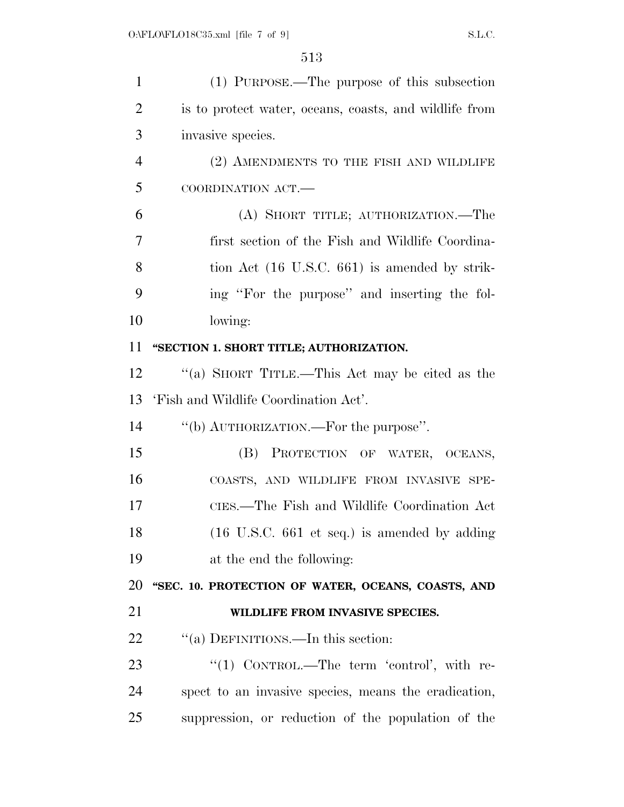| $\mathbf{1}$   | (1) PURPOSE.—The purpose of this subsection                     |
|----------------|-----------------------------------------------------------------|
| $\overline{2}$ | is to protect water, oceans, coasts, and wildlife from          |
| 3              | invasive species.                                               |
| $\overline{4}$ | (2) AMENDMENTS TO THE FISH AND WILDLIFE                         |
| 5              | COORDINATION ACT.-                                              |
| 6              | (A) SHORT TITLE; AUTHORIZATION.—The                             |
| 7              | first section of the Fish and Wildlife Coordina-                |
| 8              | tion Act (16 U.S.C. 661) is amended by strik-                   |
| 9              | ing "For the purpose" and inserting the fol-                    |
| 10             | lowing:                                                         |
| 11             | "SECTION 1. SHORT TITLE; AUTHORIZATION.                         |
| 12             | "(a) SHORT TITLE.—This Act may be cited as the                  |
| 13             | 'Fish and Wildlife Coordination Act'.                           |
| 14             | "(b) AUTHORIZATION.—For the purpose".                           |
| 15             | (B) PROTECTION OF WATER, OCEANS,                                |
| 16             | COASTS, AND WILDLIFE FROM INVASIVE SPE-                         |
| 17             | CIES.—The Fish and Wildlife Coordination Act                    |
| 18             | $(16 \text{ U.S.C. } 661 \text{ et seq.})$ is amended by adding |
| 19             | at the end the following:                                       |
| 20             | "SEC. 10. PROTECTION OF WATER, OCEANS, COASTS, AND              |
| 21             | WILDLIFE FROM INVASIVE SPECIES.                                 |
| 22             | "(a) DEFINITIONS.—In this section:                              |
| 23             | "(1) CONTROL.—The term 'control', with re-                      |
| 24             | spect to an invasive species, means the eradication,            |
| 25             | suppression, or reduction of the population of the              |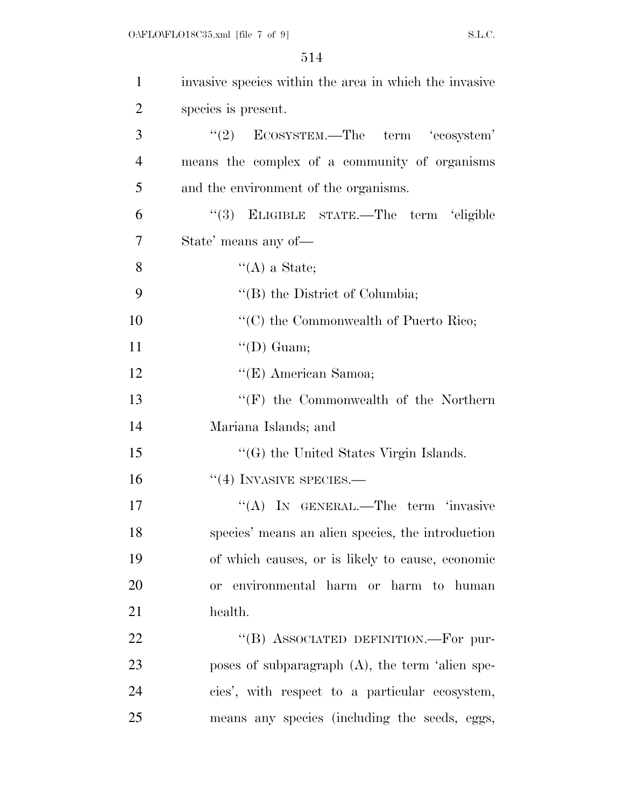| $\mathbf{1}$   | invasive species within the area in which the invasive |
|----------------|--------------------------------------------------------|
| $\overline{2}$ | species is present.                                    |
| 3              | $\lq(2)$ ECOSYSTEM.—The term 'ecosystem'               |
| $\overline{4}$ | means the complex of a community of organisms          |
| 5              | and the environment of the organisms.                  |
| 6              | "(3) ELIGIBLE STATE.—The term 'eligible                |
| 7              | State' means any of—                                   |
| 8              | $\lq\lq$ (A) a State;                                  |
| 9              | "(B) the District of Columbia;                         |
| 10             | " $(C)$ the Commonwealth of Puerto Rico;               |
| 11             | $\lq\lq$ (D) Guam;                                     |
| 12             | "(E) American Samoa;                                   |
| 13             | $\lq\lq(F)$ the Commonwealth of the Northern           |
| 14             | Mariana Islands; and                                   |
| 15             | $\lq\lq(G)$ the United States Virgin Islands.          |
| 16             | $``(4)$ INVASIVE SPECIES.—                             |
| 17             | "(A) IN GENERAL.—The term 'invasive                    |
| 18             | species' means an alien species, the introduction      |
| 19             | of which causes, or is likely to cause, economic       |
| 20             | or environmental harm or harm to human                 |
| 21             | health.                                                |
| 22             | "(B) ASSOCIATED DEFINITION.—For pur-                   |
| 23             | poses of subparagraph $(A)$ , the term 'alien spe-     |
| 24             | cies', with respect to a particular ecosystem,         |
| 25             | means any species (including the seeds, eggs,          |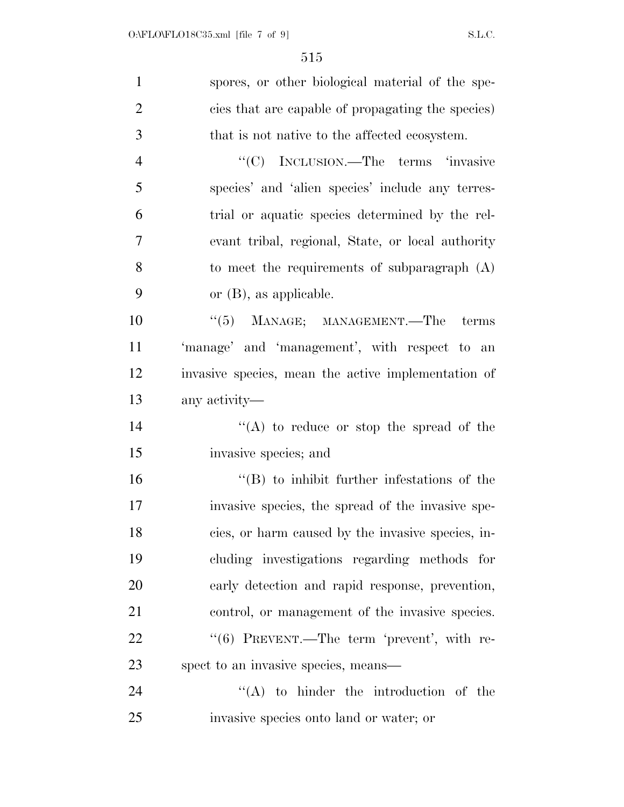| $\mathbf{1}$   | spores, or other biological material of the spe-    |
|----------------|-----------------------------------------------------|
| $\overline{2}$ | cies that are capable of propagating the species)   |
| 3              | that is not native to the affected ecosystem.       |
| $\overline{4}$ | "(C) INCLUSION.—The terms 'invasive                 |
| 5              | species' and 'alien species' include any terres-    |
| 6              | trial or aquatic species determined by the rel-     |
| 7              | evant tribal, regional, State, or local authority   |
| 8              | to meet the requirements of subparagraph (A)        |
| 9              | or $(B)$ , as applicable.                           |
| 10             | $\cdot\cdot$ (5) MANAGE; MANAGEMENT.—The terms      |
| 11             | 'manage' and 'management', with respect to an       |
| 12             | invasive species, mean the active implementation of |
| 13             | any activity—                                       |
| 14             | "(A) to reduce or stop the spread of the            |
| 15             | invasive species; and                               |
| 16             | $\cdot$ (B) to inhibit further infestations of the  |
| 17             | invasive species, the spread of the invasive spe-   |
| 18             | cies, or harm caused by the invasive species, in-   |
| 19             | cluding investigations regarding methods for        |
| 20             | early detection and rapid response, prevention,     |
| 21             | control, or management of the invasive species.     |
| 22             | "(6) PREVENT.—The term 'prevent', with re-          |
| 23             | spect to an invasive species, means—                |
| 24             | $\lq\lq$ to hinder the introduction of the          |
| 25             | invasive species onto land or water; or             |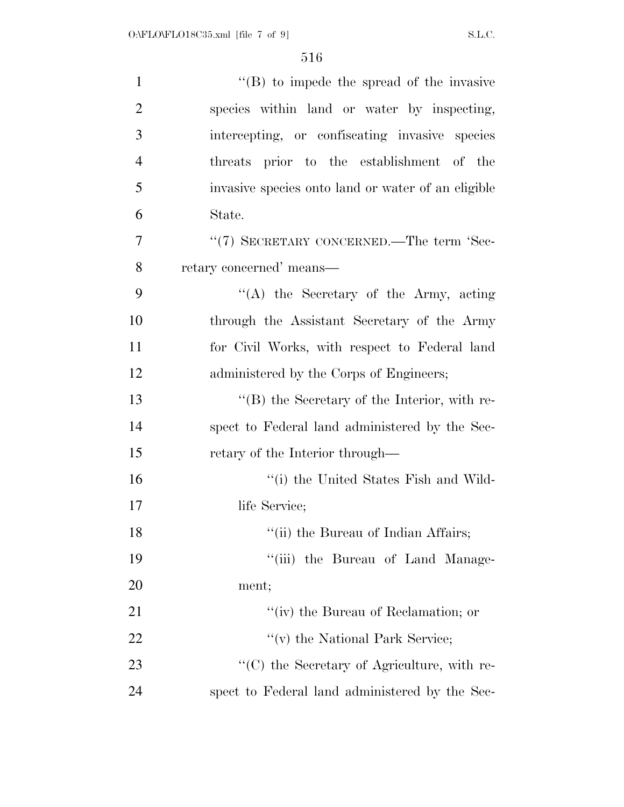| $\mathbf{1}$   | $\lq\lq$ to impede the spread of the invasive      |
|----------------|----------------------------------------------------|
| $\overline{2}$ | species within land or water by inspecting,        |
| 3              | intercepting, or confiscating invasive species     |
| $\overline{4}$ | threats prior to the establishment of the          |
| 5              | invasive species onto land or water of an eligible |
| 6              | State.                                             |
| 7              | "(7) SECRETARY CONCERNED.—The term 'Sec-           |
| 8              | retary concerned' means—                           |
| 9              | "(A) the Secretary of the Army, acting             |
| 10             | through the Assistant Secretary of the Army        |
| 11             | for Civil Works, with respect to Federal land      |
| 12             | administered by the Corps of Engineers;            |
| 13             | "(B) the Secretary of the Interior, with re-       |
| 14             | spect to Federal land administered by the Sec-     |
| 15             | retary of the Interior through—                    |
| 16             | "(i) the United States Fish and Wild-              |
| 17             | life Service;                                      |
| 18             | "(ii) the Bureau of Indian Affairs;                |
| 19             | "(iii) the Bureau of Land Manage-                  |
| 20             | ment;                                              |
| 21             | "(iv) the Bureau of Reclamation; or                |
| 22             | "(v) the National Park Service;                    |
| 23             | "(C) the Secretary of Agriculture, with re-        |
| 24             | spect to Federal land administered by the Sec-     |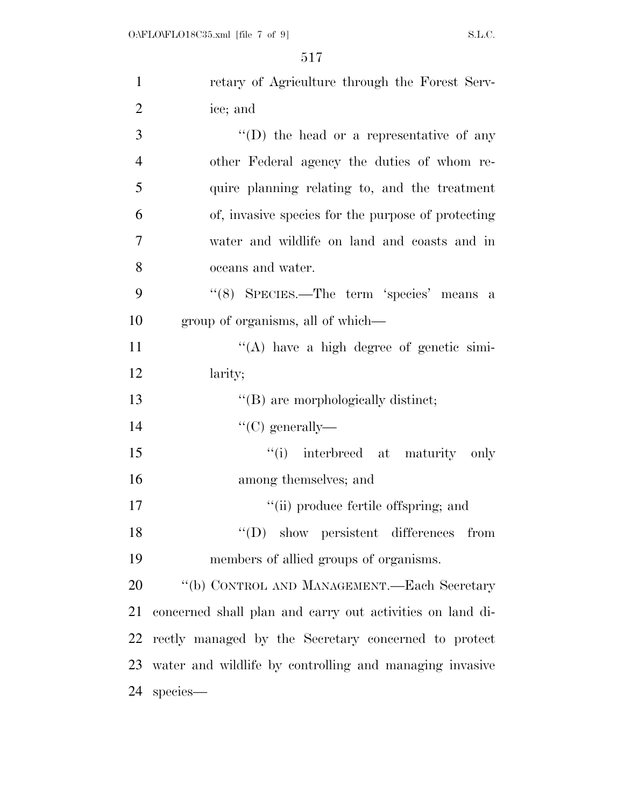| $\mathbf{1}$   | retary of Agriculture through the Forest Serv-            |
|----------------|-----------------------------------------------------------|
| $\overline{2}$ | ice; and                                                  |
| 3              | "(D) the head or a representative of any                  |
| $\overline{4}$ | other Federal agency the duties of whom re-               |
| 5              | quire planning relating to, and the treatment             |
| 6              | of, invasive species for the purpose of protecting        |
| 7              | water and wildlife on land and coasts and in              |
| 8              | oceans and water.                                         |
| 9              | "(8) SPECIES.—The term 'species' means a                  |
| 10             | group of organisms, all of which—                         |
| 11             | $\lq\lq$ have a high degree of genetic simi-              |
| 12             | larity;                                                   |
| 13             | "(B) are morphologically distinct;                        |
| 14             | "(C) generally—                                           |
| 15             | "(i) interbreed at maturity only                          |
| 16             | among themselves; and                                     |
| 17             | "(ii) produce fertile offspring; and                      |
| 18             | $\lq\lq$ Show persistent differences from                 |
| 19             | members of allied groups of organisms.                    |
| 20             | "(b) CONTROL AND MANAGEMENT.—Each Secretary               |
| 21             | concerned shall plan and carry out activities on land di- |
| 22             | rectly managed by the Secretary concerned to protect      |
| 23             | water and wildlife by controlling and managing invasive   |
| 24             | species-                                                  |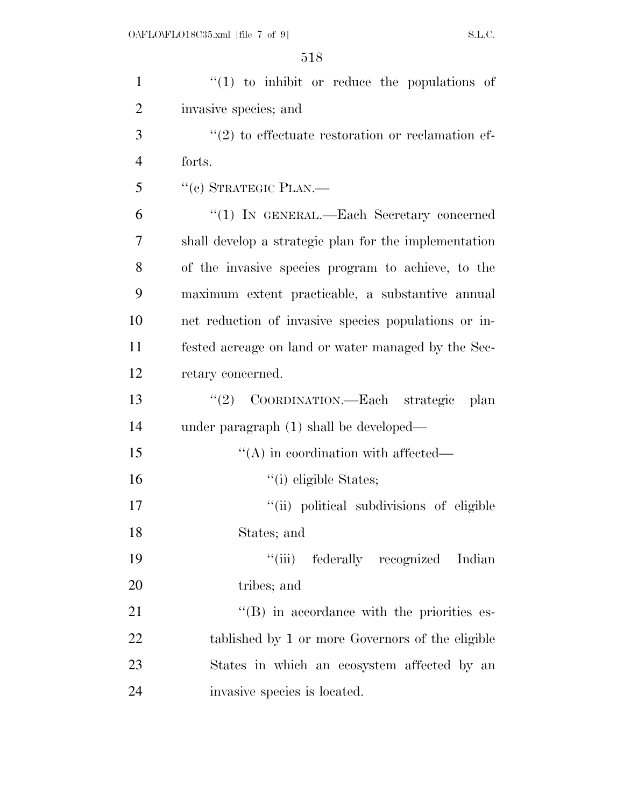| $\mathbf{1}$   | $f(1)$ to inhibit or reduce the populations of        |
|----------------|-------------------------------------------------------|
| $\overline{2}$ | invasive species; and                                 |
| 3              | $\lq(2)$ to effectuate restoration or reclamation ef- |
| $\overline{4}$ | forts.                                                |
| 5              | "(c) STRATEGIC PLAN.—                                 |
| 6              | "(1) IN GENERAL.—Each Secretary concerned             |
| 7              | shall develop a strategic plan for the implementation |
| 8              | of the invasive species program to achieve, to the    |
| 9              | maximum extent practicable, a substantive annual      |
| 10             | net reduction of invasive species populations or in-  |
| 11             | fested acreage on land or water managed by the Sec-   |
| 12             | retary concerned.                                     |
| 13             | COORDINATION.—Each strategic<br>(2)<br>plan           |
| 14             | under paragraph (1) shall be developed—               |
| 15             | $\lq\lq$ in coordination with affected—               |
| 16             | "(i) eligible States;                                 |
| 17             | "(ii) political subdivisions of eligible              |
| 18             | States; and                                           |
| 19             | ``(iii)<br>federally recognized<br>Indian             |
| 20             | tribes; and                                           |
| 21             | $\lq\lq (B)$ in accordance with the priorities es-    |
| 22             | tablished by 1 or more Governors of the eligible      |
| 23             | States in which an ecosystem affected by an           |
| 24             | invasive species is located.                          |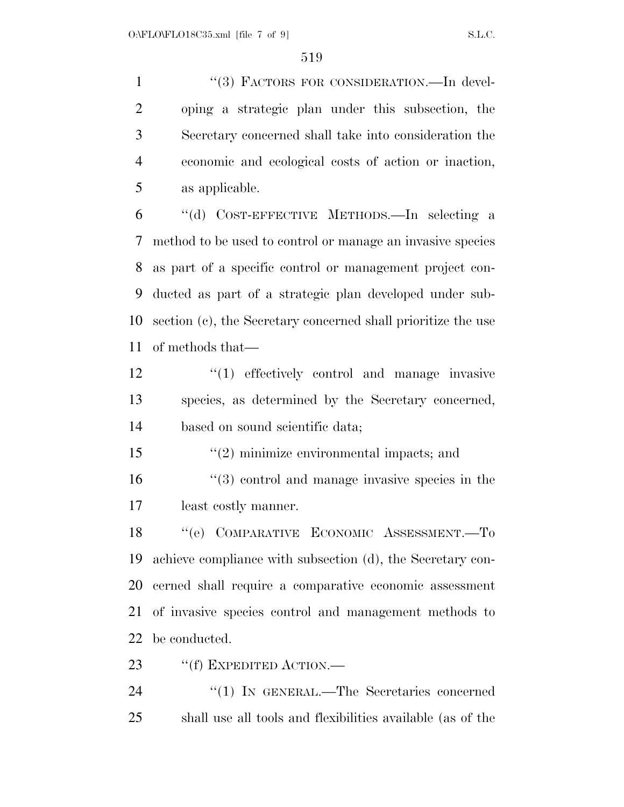1 "(3) FACTORS FOR CONSIDERATION.—In devel- oping a strategic plan under this subsection, the Secretary concerned shall take into consideration the economic and ecological costs of action or inaction, as applicable.

 ''(d) COST-EFFECTIVE METHODS.—In selecting a method to be used to control or manage an invasive species as part of a specific control or management project con- ducted as part of a strategic plan developed under sub- section (c), the Secretary concerned shall prioritize the use of methods that—

12  $\frac{1}{2}$  (1) effectively control and manage invasive species, as determined by the Secretary concerned, based on sound scientific data;

''(2) minimize environmental impacts; and

 ''(3) control and manage invasive species in the least costly manner.

 ''(e) COMPARATIVE ECONOMIC ASSESSMENT.—To achieve compliance with subsection (d), the Secretary con- cerned shall require a comparative economic assessment of invasive species control and management methods to be conducted.

23 "(f) EXPEDITED ACTION.—

24  $\text{``(1)}$  IN GENERAL.—The Secretaries concerned shall use all tools and flexibilities available (as of the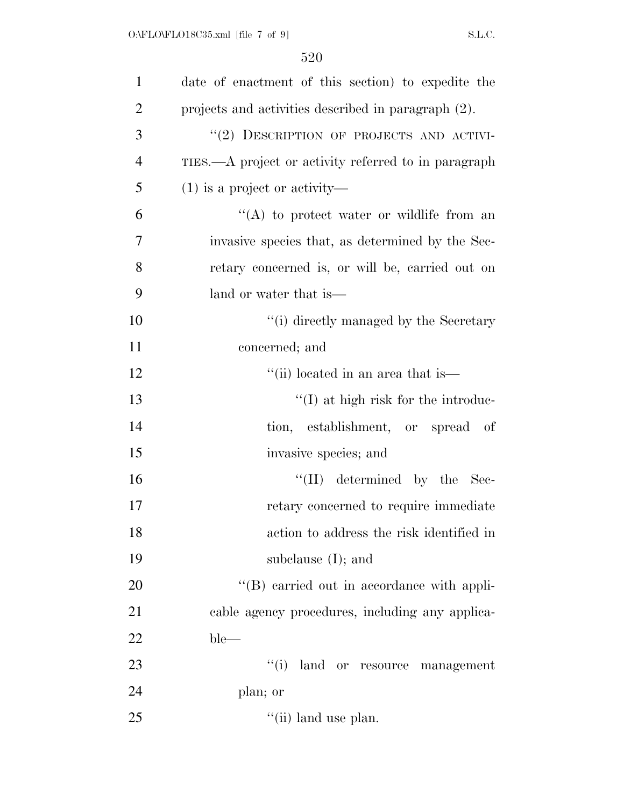| $\mathbf{1}$   | date of enactment of this section) to expedite the   |
|----------------|------------------------------------------------------|
| $\overline{2}$ | projects and activities described in paragraph (2).  |
| 3              | "(2) DESCRIPTION OF PROJECTS AND ACTIVI-             |
| 4              | TIES.—A project or activity referred to in paragraph |
| 5              | $(1)$ is a project or activity—                      |
| 6              | "(A) to protect water or wildlife from an            |
| 7              | invasive species that, as determined by the Sec-     |
| 8              | retary concerned is, or will be, carried out on      |
| 9              | land or water that is—                               |
| 10             | "(i) directly managed by the Secretary               |
| 11             | concerned; and                                       |
| 12             | "(ii) located in an area that is                     |
| 13             | $\lq\lq$ (I) at high risk for the introduc-          |
| 14             | tion, establishment, or spread of                    |
| 15             | invasive species; and                                |
| 16             | $``(II)$ determined by the Sec-                      |
| 17             | retary concerned to require immediate                |
| 18             | action to address the risk identified in             |
| 19             | subclause $(I)$ ; and                                |
| 20             | "(B) carried out in accordance with appli-           |
| 21             | cable agency procedures, including any applica-      |
| 22             | $ble-$                                               |
| 23             | ``(i)<br>land or resource management                 |
| 24             | plan; or                                             |
| 25             | $\lq\lq$ (ii) land use plan.                         |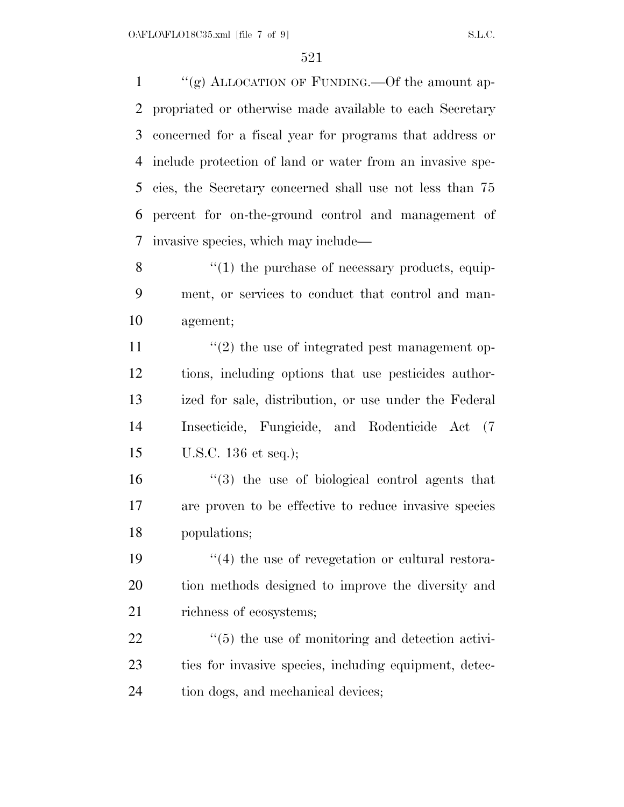$\frac{u'(g)}{g}$  ALLOCATION OF FUNDING. - Of the amount ap- propriated or otherwise made available to each Secretary concerned for a fiscal year for programs that address or include protection of land or water from an invasive spe- cies, the Secretary concerned shall use not less than 75 percent for on-the-ground control and management of invasive species, which may include—

8  $\frac{1}{2}$  (1) the purchase of necessary products, equip- ment, or services to conduct that control and man-agement;

 $\frac{1}{2}$  the use of integrated pest management op- tions, including options that use pesticides author- ized for sale, distribution, or use under the Federal Insecticide, Fungicide, and Rodenticide Act (7 U.S.C. 136 et seq.);

 ''(3) the use of biological control agents that are proven to be effective to reduce invasive species populations;

19  $\frac{1}{2}$  (4) the use of revegetation or cultural restora- tion methods designed to improve the diversity and 21 richness of ecosystems;

22  $\frac{1}{2}$  (5) the use of monitoring and detection activi- ties for invasive species, including equipment, detec-24 tion dogs, and mechanical devices;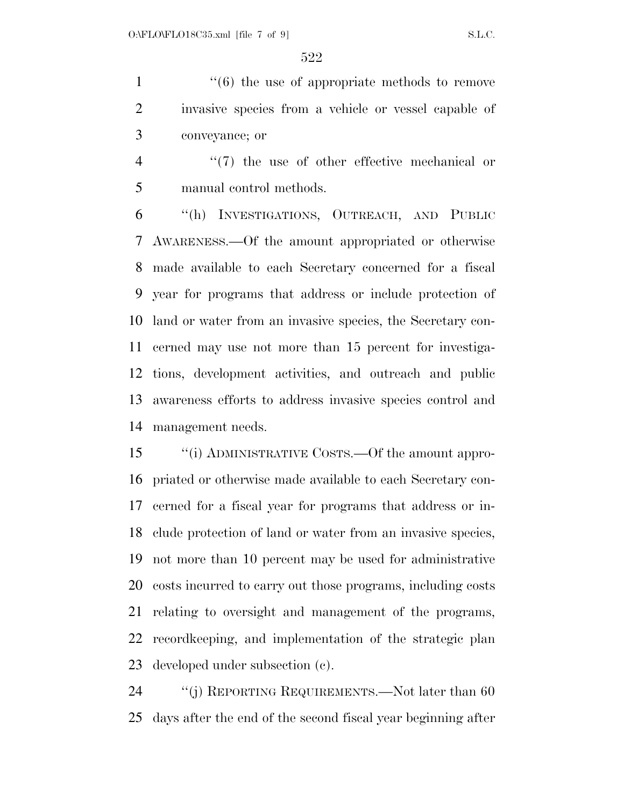1  $\cdot$  (6) the use of appropriate methods to remove invasive species from a vehicle or vessel capable of conveyance; or

4  $\frac{4}{7}$  the use of other effective mechanical or manual control methods.

 ''(h) INVESTIGATIONS, OUTREACH, AND PUBLIC AWARENESS.—Of the amount appropriated or otherwise made available to each Secretary concerned for a fiscal year for programs that address or include protection of land or water from an invasive species, the Secretary con- cerned may use not more than 15 percent for investiga- tions, development activities, and outreach and public awareness efforts to address invasive species control and management needs.

 ''(i) ADMINISTRATIVE COSTS.—Of the amount appro- priated or otherwise made available to each Secretary con- cerned for a fiscal year for programs that address or in- clude protection of land or water from an invasive species, not more than 10 percent may be used for administrative costs incurred to carry out those programs, including costs relating to oversight and management of the programs, recordkeeping, and implementation of the strategic plan developed under subsection (c).

24 "(j) REPORTING REQUIREMENTS.—Not later than 60 days after the end of the second fiscal year beginning after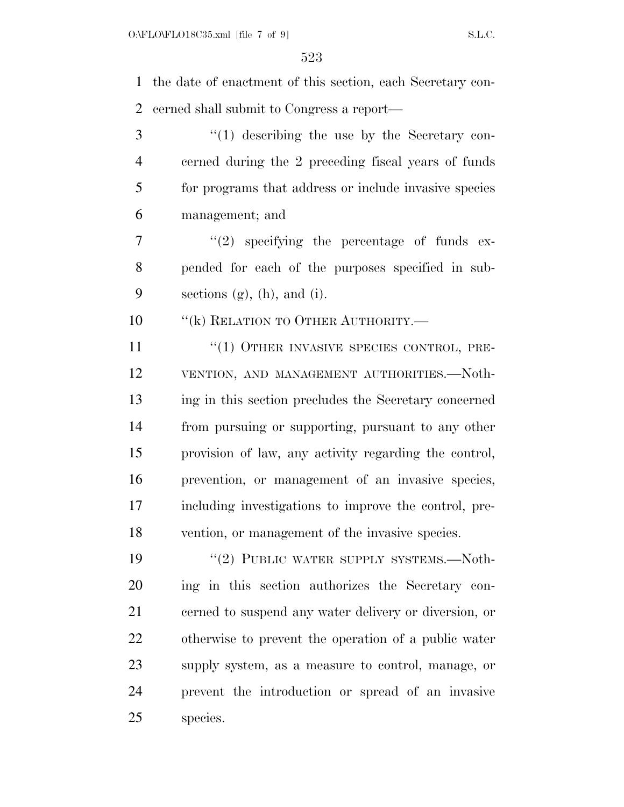the date of enactment of this section, each Secretary con-cerned shall submit to Congress a report—

 ''(1) describing the use by the Secretary con- cerned during the 2 preceding fiscal years of funds for programs that address or include invasive species management; and

 $7 \t$  ''(2) specifying the percentage of funds ex- pended for each of the purposes specified in sub-9 sections  $(g)$ ,  $(h)$ , and  $(i)$ .

10 "(k) RELATION TO OTHER AUTHORITY.—

11 "(1) OTHER INVASIVE SPECIES CONTROL, PRE- VENTION, AND MANAGEMENT AUTHORITIES.—Noth- ing in this section precludes the Secretary concerned from pursuing or supporting, pursuant to any other provision of law, any activity regarding the control, prevention, or management of an invasive species, including investigations to improve the control, pre-vention, or management of the invasive species.

19 "(2) PUBLIC WATER SUPPLY SYSTEMS.—Noth- ing in this section authorizes the Secretary con- cerned to suspend any water delivery or diversion, or otherwise to prevent the operation of a public water supply system, as a measure to control, manage, or prevent the introduction or spread of an invasive species.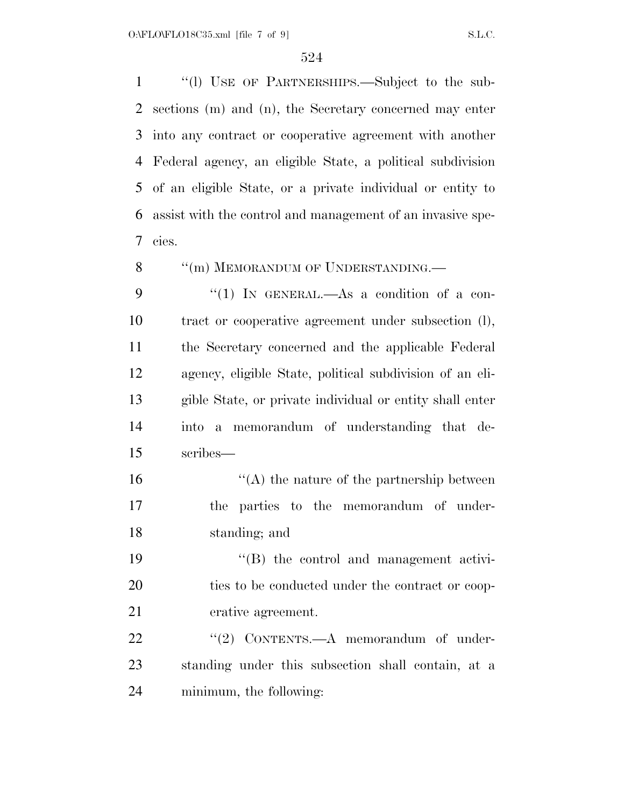''(l) USE OF PARTNERSHIPS.—Subject to the sub- sections (m) and (n), the Secretary concerned may enter into any contract or cooperative agreement with another Federal agency, an eligible State, a political subdivision of an eligible State, or a private individual or entity to assist with the control and management of an invasive spe-cies.

8 "(m) MEMORANDUM OF UNDERSTANDING.

9 "(1) IN GENERAL.—As a condition of a con- tract or cooperative agreement under subsection (l), the Secretary concerned and the applicable Federal agency, eligible State, political subdivision of an eli- gible State, or private individual or entity shall enter into a memorandum of understanding that de-scribes—

 ''(A) the nature of the partnership between the parties to the memorandum of under-standing; and

 ''(B) the control and management activi-20 ties to be conducted under the contract or coop-erative agreement.

22 "(2) CONTENTS.—A memorandum of under- standing under this subsection shall contain, at a minimum, the following: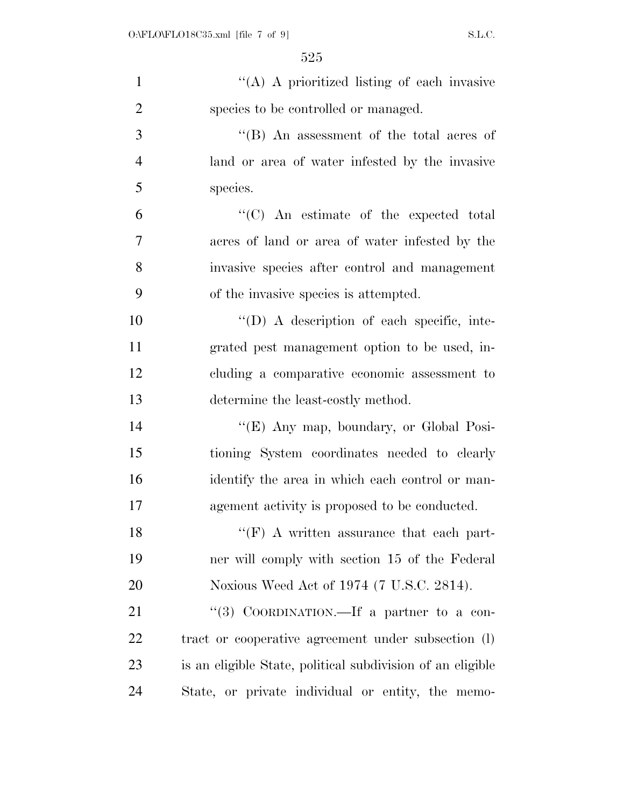| $\mathbf{1}$   | "(A) A prioritized listing of each invasive                |
|----------------|------------------------------------------------------------|
| $\overline{2}$ | species to be controlled or managed.                       |
| 3              | "(B) An assessment of the total acres of                   |
| $\overline{4}$ | land or area of water infested by the invasive             |
| 5              | species.                                                   |
| 6              | "(C) An estimate of the expected total                     |
| 7              | acres of land or area of water infested by the             |
| 8              | invasive species after control and management              |
| 9              | of the invasive species is attempted.                      |
| 10             | $\lq\lq$ . A description of each specific, inte-           |
| 11             | grated pest management option to be used, in-              |
| 12             | cluding a comparative economic assessment to               |
| 13             | determine the least-costly method.                         |
| 14             | "(E) Any map, boundary, or Global Posi-                    |
| 15             | tioning System coordinates needed to clearly               |
| 16             | identify the area in which each control or man-            |
| 17             | agement activity is proposed to be conducted.              |
| 18             | $\lq\lq(F)$ A written assurance that each part-            |
| 19             | ner will comply with section 15 of the Federal             |
| <b>20</b>      | Noxious Weed Act of 1974 (7 U.S.C. 2814).                  |
| 21             | "(3) COORDINATION.—If a partner to a con-                  |
| 22             | tract or cooperative agreement under subsection (l)        |
| 23             | is an eligible State, political subdivision of an eligible |
| 24             | State, or private individual or entity, the memo-          |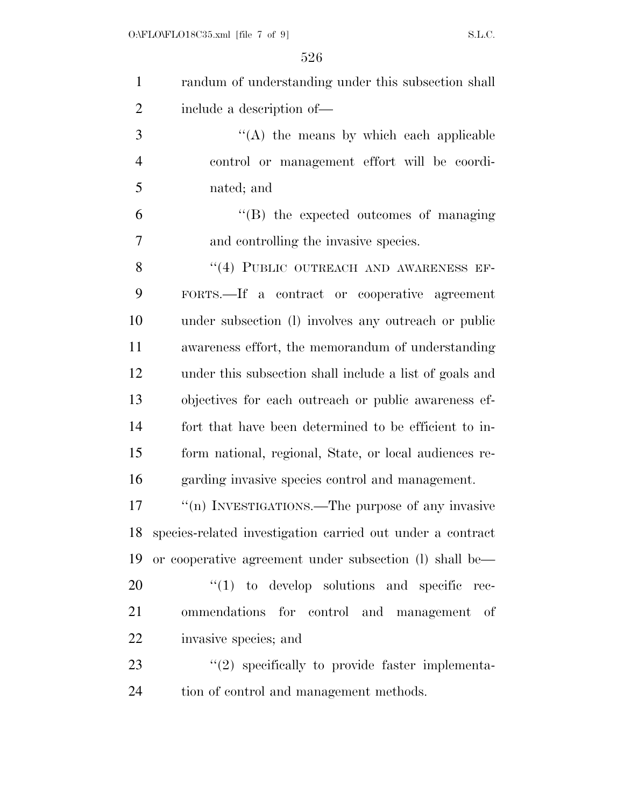| $\mathbf{1}$   | randum of understanding under this subsection shall        |
|----------------|------------------------------------------------------------|
| $\overline{2}$ | include a description of-                                  |
| 3              | $\lq\lq$ the means by which each applicable                |
| $\overline{4}$ | control or management effort will be coordi-               |
| 5              | nated; and                                                 |
| 6              | "(B) the expected outcomes of managing                     |
| $\overline{7}$ | and controlling the invasive species.                      |
| 8              | "(4) PUBLIC OUTREACH AND AWARENESS EF-                     |
| 9              | FORTS.—If a contract or cooperative agreement              |
| 10             | under subsection (1) involves any outreach or public       |
| 11             | awareness effort, the memorandum of understanding          |
| 12             | under this subsection shall include a list of goals and    |
| 13             | objectives for each outreach or public awareness ef-       |
| 14             | fort that have been determined to be efficient to in-      |
| 15             | form national, regional, State, or local audiences re-     |
| 16             | garding invasive species control and management.           |
| 17             | "(n) INVESTIGATIONS.—The purpose of any invasive           |
| 18             | species-related investigation carried out under a contract |
| 19             | or cooperative agreement under subsection (l) shall be—    |
| 20             | $\lq(1)$ to develop solutions and specific rec-            |
| 21             | ommendations for control and management of                 |
| 22             | invasive species; and                                      |
| 23             | $\lq(2)$ specifically to provide faster implementa-        |
| 24             | tion of control and management methods.                    |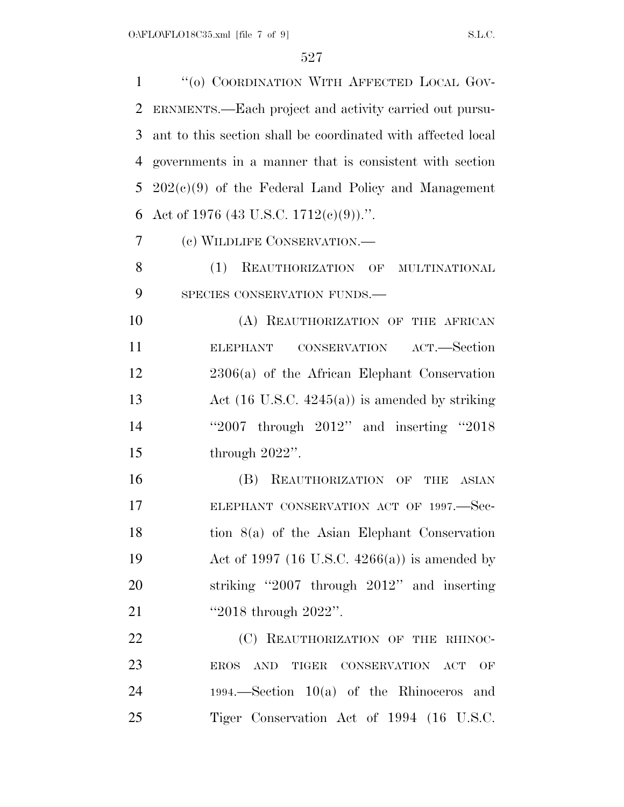1 "(0) COORDINATION WITH AFFECTED LOCAL GOV- ERNMENTS.—Each project and activity carried out pursu- ant to this section shall be coordinated with affected local governments in a manner that is consistent with section 202(c)(9) of the Federal Land Policy and Management 6 Act of 1976 (43 U.S.C. 1712(c)(9)).". (c) WILDLIFE CONSERVATION.—

 (1) REAUTHORIZATION OF MULTINATIONAL 9 SPECIES CONSERVATION FUNDS.

10 (A) REAUTHORIZATION OF THE AFRICAN ELEPHANT CONSERVATION ACT.—Section 2306(a) of the African Elephant Conservation 13 Act (16 U.S.C. 4245(a)) is amended by striking ''2007 through 2012'' and inserting ''2018 through 2022''.

16 (B) REAUTHORIZATION OF THE ASIAN 17 ELEPHANT CONSERVATION ACT OF 1997. Sec- tion 8(a) of the Asian Elephant Conservation Act of 1997 (16 U.S.C. 4266(a)) is amended by striking ''2007 through 2012'' and inserting ''2018 through 2022''.

22 (C) REAUTHORIZATION OF THE RHINOC- EROS AND TIGER CONSERVATION ACT OF 1994.—Section 10(a) of the Rhinoceros and Tiger Conservation Act of 1994 (16 U.S.C.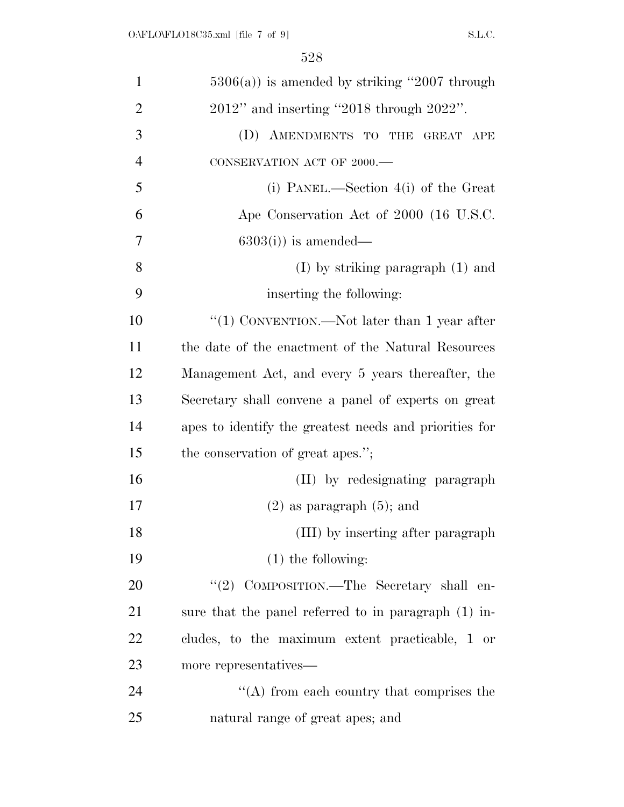| $\mathbf{1}$   | $5306(a)$ ) is amended by striking "2007 through       |
|----------------|--------------------------------------------------------|
| $\overline{2}$ | $2012"$ and inserting "2018 through $2022"$ .          |
| 3              | (D) AMENDMENTS TO THE GREAT APE                        |
| $\overline{4}$ | CONSERVATION ACT OF 2000.-                             |
| 5              | (i) PANEL.—Section $4(i)$ of the Great                 |
| 6              | Ape Conservation Act of 2000 (16 U.S.C.                |
| $\overline{7}$ | $6303(i)$ is amended—                                  |
| 8              | $(I)$ by striking paragraph $(I)$ and                  |
| 9              | inserting the following:                               |
| 10             | "(1) CONVENTION.—Not later than 1 year after           |
| 11             | the date of the enactment of the Natural Resources     |
| 12             | Management Act, and every 5 years thereafter, the      |
| 13             | Secretary shall convene a panel of experts on great    |
| 14             | apes to identify the greatest needs and priorities for |
| 15             | the conservation of great apes.";                      |
| 16             | (II) by redesignating paragraph                        |
| 17             | $(2)$ as paragraph $(5)$ ; and                         |
| 18             | (III) by inserting after paragraph                     |
| 19             | $(1)$ the following:                                   |
| 20             | "(2) COMPOSITION.—The Secretary shall en-              |
| 21             | sure that the panel referred to in paragraph (1) in-   |
| 22             | cludes, to the maximum extent practicable, 1 or        |
| 23             | more representatives—                                  |
| 24             | $\lq\lq$ from each country that comprises the          |
| 25             | natural range of great apes; and                       |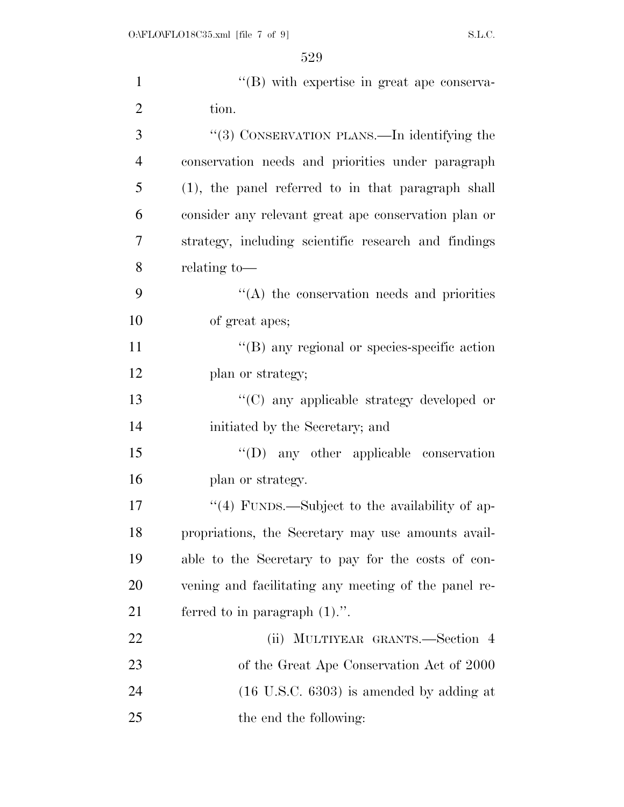| $\mathbf{1}$   | $\lq\lq$ with expertise in great ape conserva-       |
|----------------|------------------------------------------------------|
| $\overline{2}$ | tion.                                                |
| 3              | "(3) CONSERVATION PLANS.—In identifying the          |
| $\overline{4}$ | conservation needs and priorities under paragraph    |
| 5              | (1), the panel referred to in that paragraph shall   |
| 6              | consider any relevant great ape conservation plan or |
| 7              | strategy, including scientific research and findings |
| 8              | relating to-                                         |
| 9              | $\lq\lq$ the conservation needs and priorities       |
| 10             | of great apes;                                       |
| 11             | $\lq\lq$ (B) any regional or species-specific action |
| 12             | plan or strategy;                                    |
| 13             | "(C) any applicable strategy developed or            |
| 14             | initiated by the Secretary; and                      |
| 15             | $\lq\lq$ (D) any other applicable conservation       |
| 16             | plan or strategy.                                    |
| 17             | "(4) FUNDS.—Subject to the availability of ap-       |
| 18             | propriations, the Secretary may use amounts avail-   |
| 19             | able to the Secretary to pay for the costs of con-   |
| 20             | vening and facilitating any meeting of the panel re- |
| 21             | ferred to in paragraph $(1)$ .".                     |
| 22             | (ii) MULTIYEAR GRANTS.—Section 4                     |
| 23             | of the Great Ape Conservation Act of 2000            |
| 24             | $(16 \text{ U.S.C. } 6303)$ is amended by adding at  |
| 25             | the end the following:                               |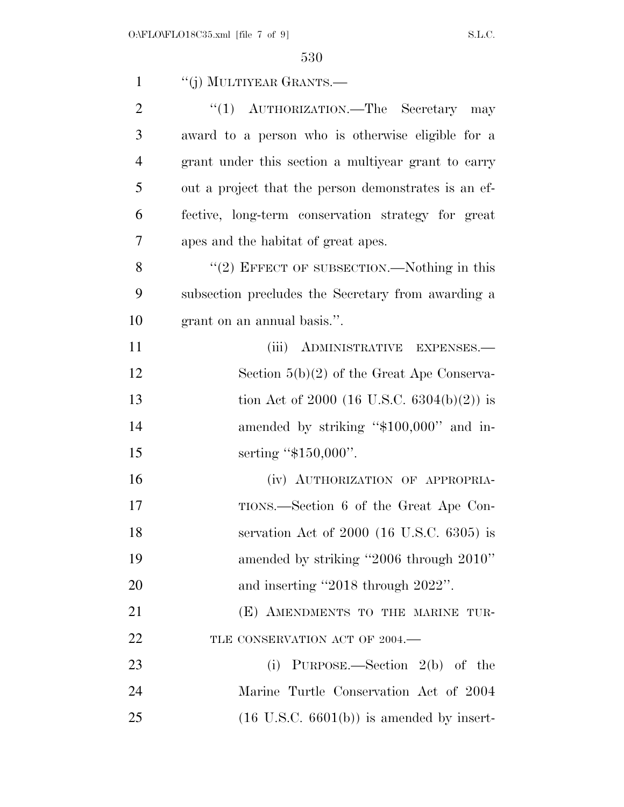| $\mathbf{1}$   | "(j) MULTIYEAR GRANTS.—                              |
|----------------|------------------------------------------------------|
| $\overline{2}$ | "(1) AUTHORIZATION.—The Secretary may                |
| 3              | award to a person who is otherwise eligible for a    |
| $\overline{4}$ | grant under this section a multiyear grant to carry  |
| 5              | out a project that the person demonstrates is an ef- |
| 6              | fective, long-term conservation strategy for great   |
| 7              | apes and the habitat of great apes.                  |
| 8              | $"(2)$ EFFECT OF SUBSECTION.—Nothing in this         |
| 9              | subsection precludes the Secretary from awarding a   |
| 10             | grant on an annual basis.".                          |
| 11             | (iii) ADMINISTRATIVE EXPENSES.-                      |
| 12             | Section $5(b)(2)$ of the Great Ape Conserva-         |
| 13             | tion Act of 2000 (16 U.S.C. 6304(b)(2)) is           |
| 14             | amended by striking "\$100,000" and in-              |
| 15             | serting " $$150,000$ ".                              |
| 16             | (iv) AUTHORIZATION OF APPROPRIA-                     |
| 17             | TIONS.—Section 6 of the Great Ape Con-               |
| 18             | servation Act of 2000 (16 U.S.C. 6305) is            |
| 19             | amended by striking "2006 through 2010"              |
| 20             | and inserting "2018 through 2022".                   |
| 21             | (E) AMENDMENTS TO THE MARINE TUR-                    |
| 22             | TLE CONSERVATION ACT OF 2004.-                       |
| 23             | PURPOSE.—Section $2(b)$ of the<br>(i)                |
| 24             | Marine Turtle Conservation Act of 2004               |
| 25             | $(16 \text{ U.S.C. } 6601(b))$ is amended by insert- |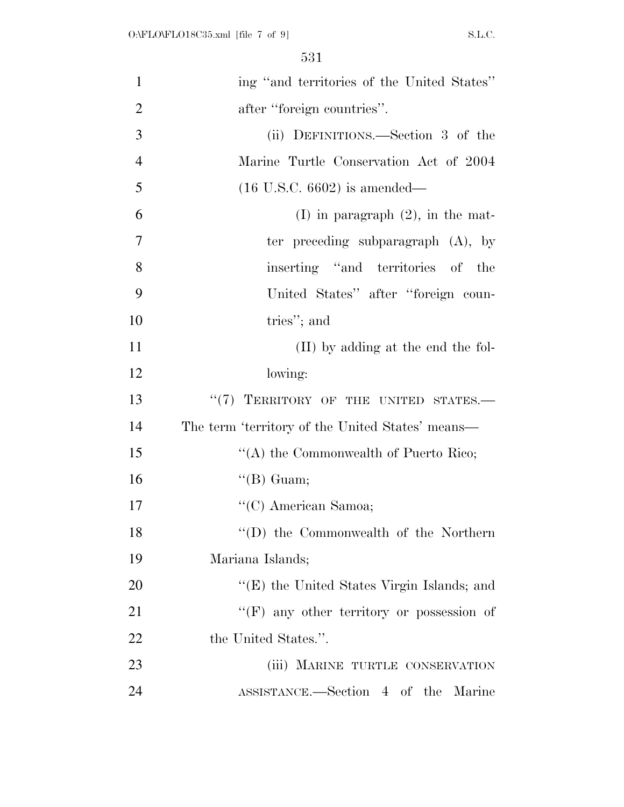| $\mathbf{1}$   | ing "and territories of the United States"       |
|----------------|--------------------------------------------------|
| $\overline{2}$ | after "foreign countries".                       |
| 3              | (ii) DEFINITIONS.—Section 3 of the               |
| $\overline{4}$ | Marine Turtle Conservation Act of 2004           |
| 5              | $(16 \text{ U.S.C. } 6602)$ is amended—          |
| 6              | $(I)$ in paragraph $(2)$ , in the mat-           |
| 7              | ter preceding subparagraph $(A)$ , by            |
| 8              | inserting "and territories of the                |
| 9              | United States" after "foreign coun-              |
| 10             | tries"; and                                      |
| 11             | (II) by adding at the end the fol-               |
| 12             | lowing:                                          |
| 13             | "(7) TERRITORY OF THE UNITED STATES.-            |
| 14             | The term 'territory of the United States' means— |
| 15             | "(A) the Commonwealth of Puerto Rico;            |
| 16             | $\lq\lq(B)$ Guam;                                |
| 17             | "(C) American Samoa;                             |
| 18             | $\lq\lq$ the Commonwealth of the Northern        |
| 19             | Mariana Islands;                                 |
| 20             | "(E) the United States Virgin Islands; and       |
| 21             | "(F) any other territory or possession of        |
| 22             | the United States.".                             |
| 23             | (iii) MARINE TURTLE CONSERVATION                 |
| 24             | ASSISTANCE.—Section 4 of the Marine              |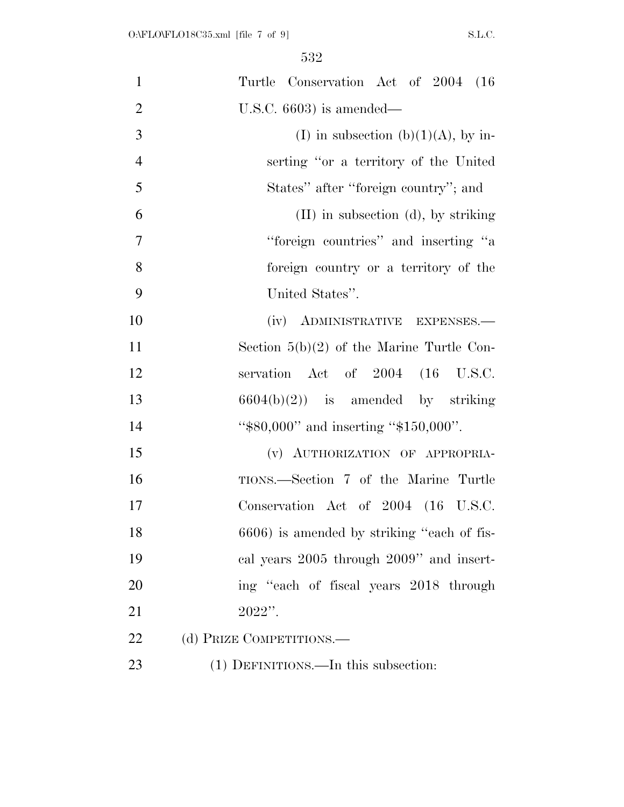| $\mathbf{1}$   | Turtle Conservation Act of 2004 (16)        |
|----------------|---------------------------------------------|
|                |                                             |
| $\overline{2}$ | U.S.C. $6603$ ) is amended—                 |
| 3              | (I) in subsection (b)(1)(A), by in-         |
| $\overline{4}$ | serting "or a territory of the United       |
| 5              | States" after "foreign country"; and        |
| 6              | $(II)$ in subsection $(d)$ , by striking    |
| 7              | "foreign countries" and inserting "a        |
| 8              | foreign country or a territory of the       |
| 9              | United States".                             |
| 10             | (iv) ADMINISTRATIVE EXPENSES.—              |
| 11             | Section $5(b)(2)$ of the Marine Turtle Con- |
| 12             | servation Act of 2004 (16 U.S.C.            |
| 13             | $6604(b)(2)$ is amended by striking         |
| 14             | " $$80,000"$ and inserting " $$150,000"$ .  |
| 15             | (v) AUTHORIZATION OF APPROPRIA-             |
| 16             | TIONS.—Section 7 of the Marine Turtle       |
| 17             | Conservation Act of 2004 (16 U.S.C.         |
| 18             | 6606) is amended by striking "each of fis-  |
| 19             | cal years 2005 through 2009" and insert-    |
| 20             | ing "each of fiscal years 2018 through      |
| 21             | $2022"$ .                                   |
| 22             | (d) PRIZE COMPETITIONS.—                    |
| 23             | (1) DEFINITIONS.—In this subsection:        |
|                |                                             |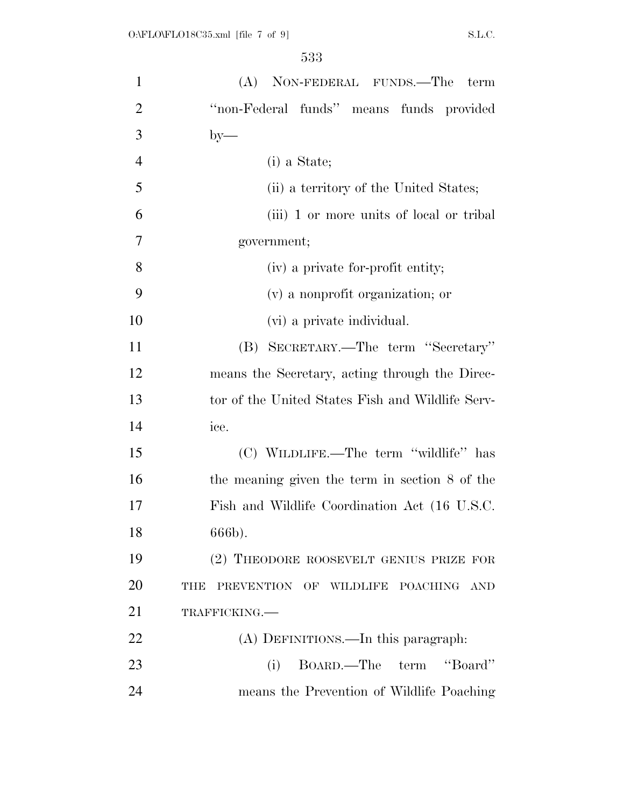| $\mathbf{1}$   | (A) NON-FEDERAL FUNDS.—The<br>term               |
|----------------|--------------------------------------------------|
| $\overline{2}$ | "non-Federal funds" means funds provided         |
| 3              | $by-$                                            |
| $\overline{4}$ | $(i)$ a State;                                   |
| 5              | (ii) a territory of the United States;           |
| 6              | (iii) 1 or more units of local or tribal         |
| 7              | government;                                      |
| 8              | (iv) a private for-profit entity;                |
| 9              | (v) a nonprofit organization; or                 |
| 10             | (vi) a private individual.                       |
| 11             | (B) SECRETARY.—The term "Secretary"              |
| 12             | means the Secretary, acting through the Direc-   |
| 13             | tor of the United States Fish and Wildlife Serv- |
| 14             | ice.                                             |
| 15             | (C) WILDLIFE.—The term "wildlife" has            |
| 16             | the meaning given the term in section 8 of the   |
| 17             | Fish and Wildlife Coordination Act (16 U.S.C.    |
| 18             | 666b).                                           |
| 19             | (2) THEODORE ROOSEVELT GENIUS PRIZE FOR          |
| 20             | PREVENTION OF WILDLIFE POACHING AND<br>THE       |
| 21             | TRAFFICKING.                                     |
| 22             | (A) DEFINITIONS.—In this paragraph:              |
| 23             | "Board"<br>BOARD.—The term<br>(i)                |
| 24             | means the Prevention of Wildlife Poaching        |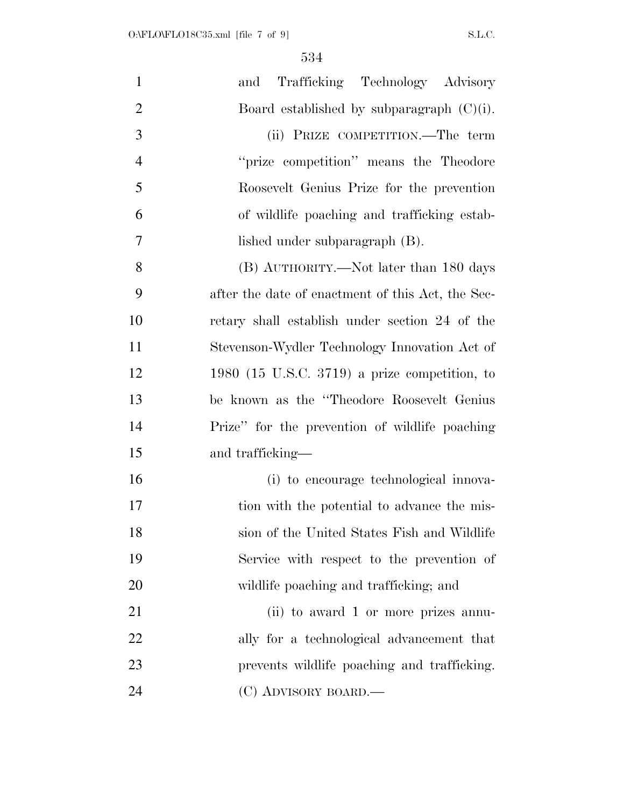| $\mathbf{1}$   | Trafficking Technology Advisory<br>and            |
|----------------|---------------------------------------------------|
| $\overline{2}$ | Board established by subparagraph $(C)(i)$ .      |
| 3              | (ii) PRIZE COMPETITION.—The term                  |
| $\overline{4}$ | "prize competition" means the Theodore            |
| 5              | Roosevelt Genius Prize for the prevention         |
| 6              | of wildlife poaching and trafficking estab-       |
| 7              | lished under subparagraph (B).                    |
| 8              | (B) AUTHORITY.—Not later than 180 days            |
| 9              | after the date of enactment of this Act, the Sec- |
| 10             | retary shall establish under section 24 of the    |
| 11             | Stevenson-Wydler Technology Innovation Act of     |
| 12             | 1980 (15 U.S.C. 3719) a prize competition, to     |
| 13             | be known as the "Theodore Roosevelt Genius"       |
| 14             | Prize" for the prevention of wildlife poaching    |
| 15             | and trafficking—                                  |
| 16             | (i) to encourage technological innova-            |
| 17             | tion with the potential to advance the mis-       |
| 18             | sion of the United States Fish and Wildlife       |
| 19             | Service with respect to the prevention of         |
| 20             | wildlife poaching and trafficking; and            |
| 21             | (ii) to award 1 or more prizes annu-              |
| 22             | ally for a technological advancement that         |
| 23             | prevents wildlife poaching and trafficking.       |
| 24             | (C) ADVISORY BOARD.—                              |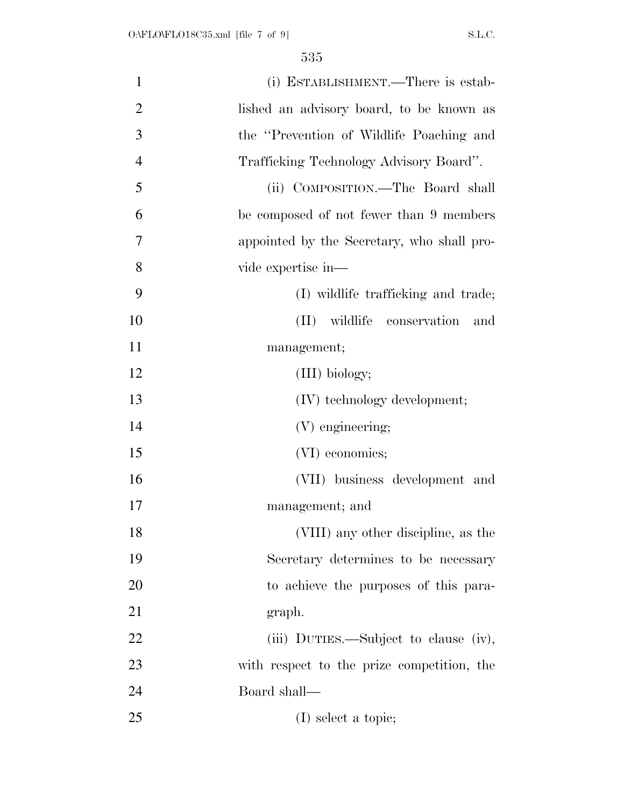| $\mathbf{1}$   | (i) ESTABLISHMENT.—There is estab-         |
|----------------|--------------------------------------------|
| $\overline{2}$ | lished an advisory board, to be known as   |
| 3              | the "Prevention of Wildlife Poaching and   |
| $\overline{4}$ | Trafficking Technology Advisory Board".    |
| 5              | (ii) COMPOSITION.—The Board shall          |
| 6              | be composed of not fewer than 9 members    |
| 7              | appointed by the Secretary, who shall pro- |
| 8              | vide expertise in—                         |
| 9              | (I) wildlife trafficking and trade;        |
| 10             | (II) wildlife conservation<br>and          |
| 11             | management;                                |
| 12             | (III) biology;                             |
| 13             | (IV) technology development;               |
| 14             | (V) engineering;                           |
| 15             | (VI) economics;                            |
| 16             | (VII) business development and             |
| 17             | management; and                            |
| 18             | (VIII) any other discipline, as the        |
| 19             | Secretary determines to be necessary       |
| 20             | to achieve the purposes of this para-      |
| 21             | graph.                                     |
| 22             | (iii) DUTIES.—Subject to clause (iv),      |
| 23             | with respect to the prize competition, the |
| 24             | Board shall—                               |
| 25             | (I) select a topic;                        |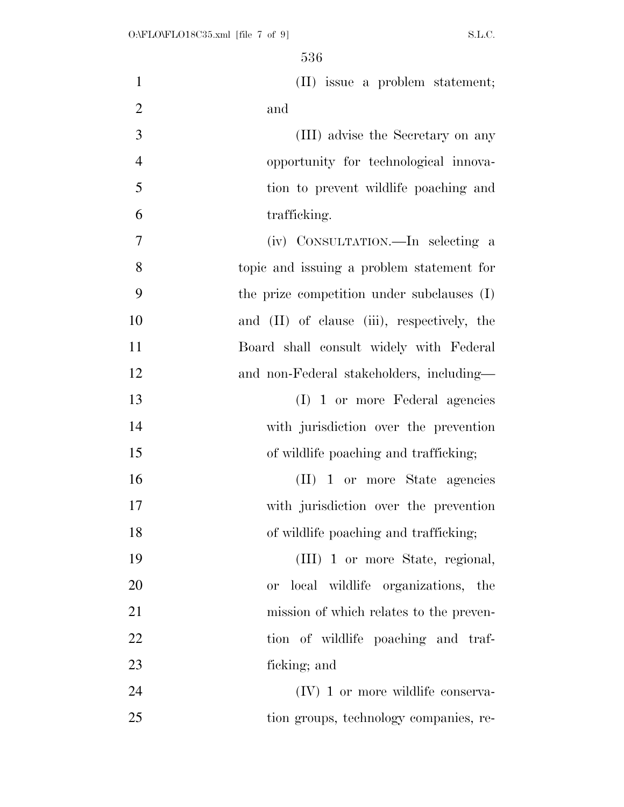| $\mathbf{1}$   | (II) issue a problem statement;                |
|----------------|------------------------------------------------|
| $\overline{2}$ | and                                            |
| 3              | (III) advise the Secretary on any              |
| $\overline{4}$ | opportunity for technological innova-          |
| 5              | tion to prevent wildlife poaching and          |
| 6              | trafficking.                                   |
| 7              | (iv) CONSULTATION.—In selecting a              |
| 8              | topic and issuing a problem statement for      |
| 9              | the prize competition under subclauses (I)     |
| 10             | and (II) of clause (iii), respectively, the    |
| 11             | Board shall consult widely with Federal        |
| 12             | and non-Federal stakeholders, including-       |
| 13             | (I) 1 or more Federal agencies                 |
| 14             | with jurisdiction over the prevention          |
| 15             | of wildlife poaching and trafficking;          |
| 16             | (II) 1 or more State agencies                  |
| 17             | with jurisdiction over the prevention          |
| 18             | of wildlife poaching and trafficking;          |
| 19             | (III) 1 or more State, regional,               |
| 20             | local wildlife organizations, the<br><b>or</b> |
| 21             | mission of which relates to the preven-        |
| 22             | tion of wildlife poaching and traf-            |
| 23             | ficking; and                                   |
| 24             | $(IV)$ 1 or more wildlife conserva-            |
| 25             | tion groups, technology companies, re-         |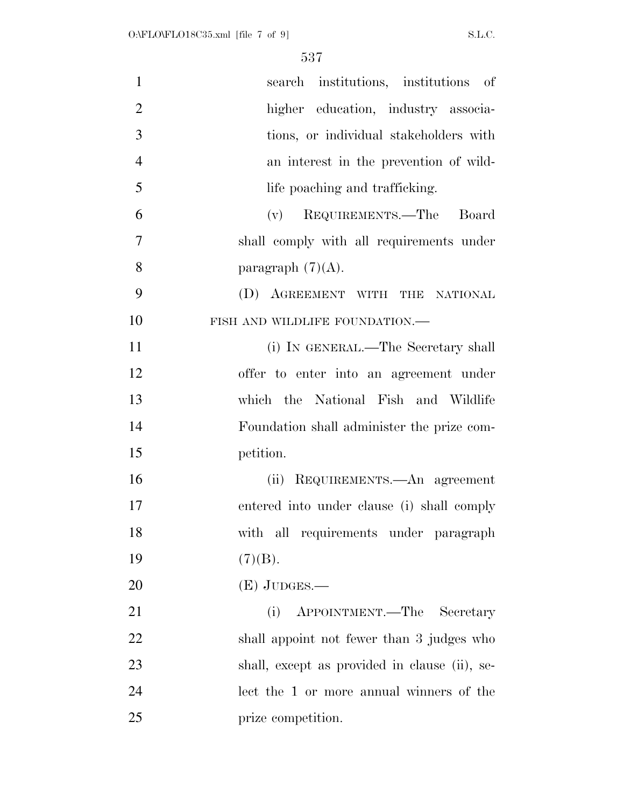| $\mathbf{1}$   | search institutions, institutions of          |
|----------------|-----------------------------------------------|
| $\overline{2}$ | higher education, industry associa-           |
| 3              | tions, or individual stakeholders with        |
| $\overline{4}$ | an interest in the prevention of wild-        |
| 5              | life poaching and trafficking.                |
| 6              | REQUIREMENTS.—The<br>Board<br>(v)             |
| $\overline{7}$ | shall comply with all requirements under      |
| 8              | paragraph $(7)(A)$ .                          |
| 9              | (D) AGREEMENT WITH THE NATIONAL               |
| 10             | FISH AND WILDLIFE FOUNDATION.-                |
| 11             | (i) IN GENERAL.—The Secretary shall           |
| 12             | offer to enter into an agreement under        |
| 13             | which the National Fish and Wildlife          |
| 14             | Foundation shall administer the prize com-    |
| 15             | petition.                                     |
| 16             | (ii) REQUIREMENTS.—An agreement               |
| 17             | entered into under clause (i) shall comply    |
| 18             | with all requirements under paragraph         |
| 19             | (7)(B).                                       |
| 20             | $(E)$ JUDGES.—                                |
| 21             | APPOINTMENT.—The Secretary<br>(i)             |
| 22             | shall appoint not fewer than 3 judges who     |
| 23             | shall, except as provided in clause (ii), se- |
| 24             | lect the 1 or more annual winners of the      |
| 25             | prize competition.                            |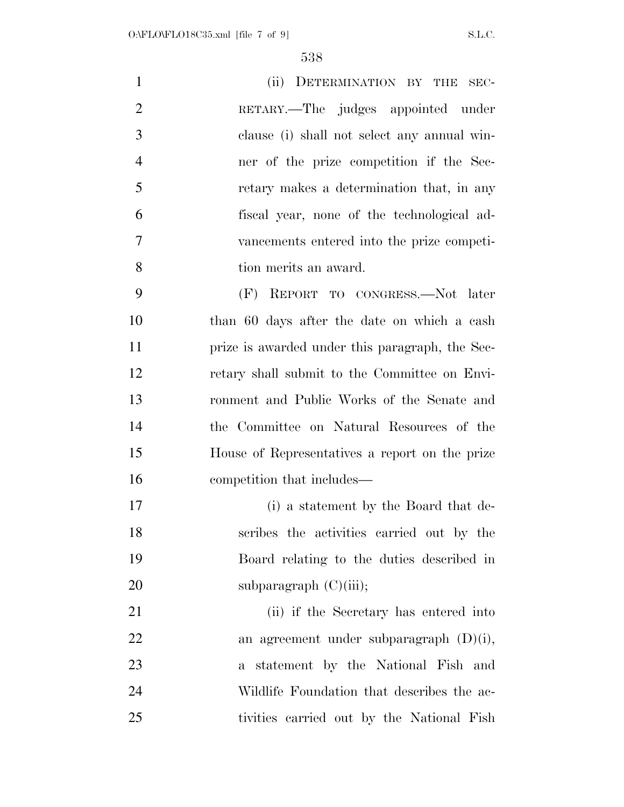| $\mathbf{1}$   | (ii) DETERMINATION BY THE SEC-              |
|----------------|---------------------------------------------|
| 2              | RETARY.—The judges appointed under          |
| 3              | clause (i) shall not select any annual win- |
| $\overline{4}$ | ner of the prize competition if the Sec-    |
| $\overline{5}$ | retary makes a determination that, in any   |
| 6              | fiscal year, none of the technological ad-  |
| $\overline{7}$ | vancements entered into the prize competi-  |
| 8              | tion merits an award.                       |
| 9              | (F) REPORT TO CONGRESS.—Not later           |
| 10             | than 60 days after the date on which a cash |

 than 60 days after the date on which a cash prize is awarded under this paragraph, the Sec- retary shall submit to the Committee on Envi- ronment and Public Works of the Senate and the Committee on Natural Resources of the House of Representatives a report on the prize competition that includes—

 (i) a statement by the Board that de- scribes the activities carried out by the Board relating to the duties described in 20 subparagraph  $(C)(iii)$ ;

 (ii) if the Secretary has entered into an agreement under subparagraph (D)(i), a statement by the National Fish and Wildlife Foundation that describes the ac-tivities carried out by the National Fish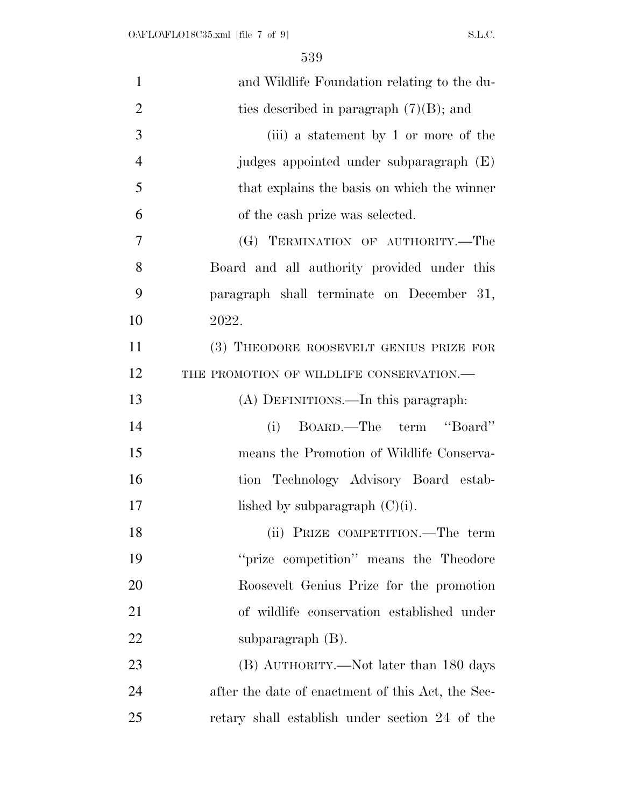| $\mathbf{1}$   | and Wildlife Foundation relating to the du-       |
|----------------|---------------------------------------------------|
| $\overline{2}$ | ties described in paragraph $(7)(B)$ ; and        |
| 3              | (iii) a statement by 1 or more of the             |
| $\overline{4}$ | judges appointed under subparagraph (E)           |
| 5              | that explains the basis on which the winner       |
| 6              | of the cash prize was selected.                   |
| 7              | (G) TERMINATION OF AUTHORITY.-The                 |
| 8              | Board and all authority provided under this       |
| 9              | paragraph shall terminate on December 31,         |
| 10             | 2022.                                             |
| 11             | (3) THEODORE ROOSEVELT GENIUS PRIZE FOR           |
| 12             | THE PROMOTION OF WILDLIFE CONSERVATION.-          |
| 13             | (A) DEFINITIONS.—In this paragraph:               |
| 14             | BOARD.—The term "Board"<br>(i)                    |
| 15             | means the Promotion of Wildlife Conserva-         |
| 16             | tion Technology Advisory Board estab-             |
| 17             | lished by subparagraph $(C)(i)$ .                 |
| 18             | (ii) PRIZE COMPETITION.—The term                  |
| 19             | "prize competition" means the Theodore            |
| 20             | Roosevelt Genius Prize for the promotion          |
| 21             | of wildlife conservation established under        |
| 22             | subparagraph $(B)$ .                              |
| 23             | (B) AUTHORITY.—Not later than 180 days            |
| 24             | after the date of enactment of this Act, the Sec- |
| 25             | retary shall establish under section 24 of the    |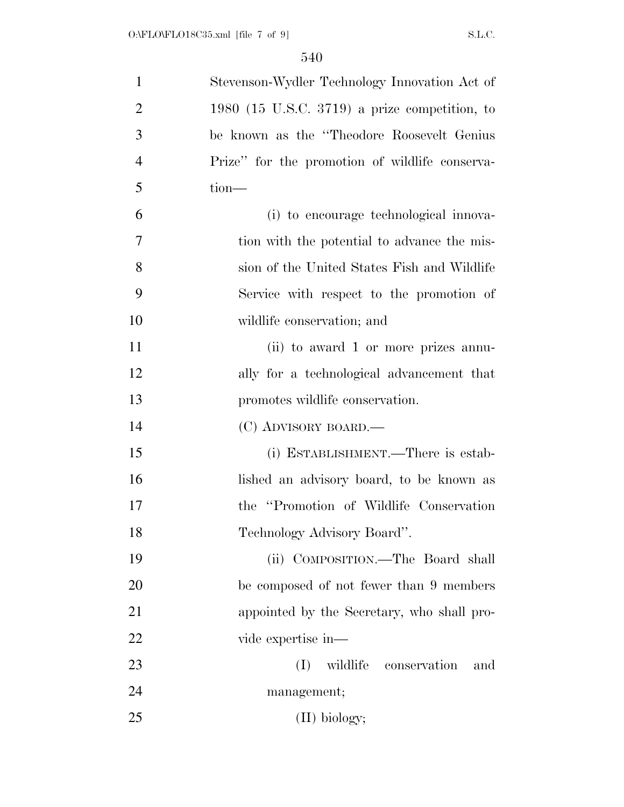| $\mathbf{1}$   | Stevenson-Wydler Technology Innovation Act of  |
|----------------|------------------------------------------------|
| $\overline{2}$ | 1980 (15 U.S.C. 3719) a prize competition, to  |
| 3              | be known as the "Theodore Roosevelt Genius"    |
| $\overline{4}$ | Prize" for the promotion of wildlife conserva- |
| 5              | $tion-$                                        |
| 6              | (i) to encourage technological innova-         |
| 7              | tion with the potential to advance the mis-    |
| 8              | sion of the United States Fish and Wildlife    |
| 9              | Service with respect to the promotion of       |
| 10             | wildlife conservation; and                     |
| 11             | (ii) to award 1 or more prizes annu-           |
| 12             | ally for a technological advancement that      |
| 13             | promotes wildlife conservation.                |
| 14             | (C) ADVISORY BOARD.—                           |
| 15             | (i) ESTABLISHMENT.—There is estab-             |
| 16             | lished an advisory board, to be known as       |
| 17             | the "Promotion of Wildlife Conservation"       |
| 18             | Technology Advisory Board".                    |
| 19             | (ii) COMPOSITION.—The Board shall              |
| 20             | be composed of not fewer than 9 members        |
| 21             | appointed by the Secretary, who shall pro-     |
| 22             | vide expertise in—                             |
| 23             | (I)<br>wildlife conservation<br>and            |
| 24             | management;                                    |
| 25             | $(II)$ biology;                                |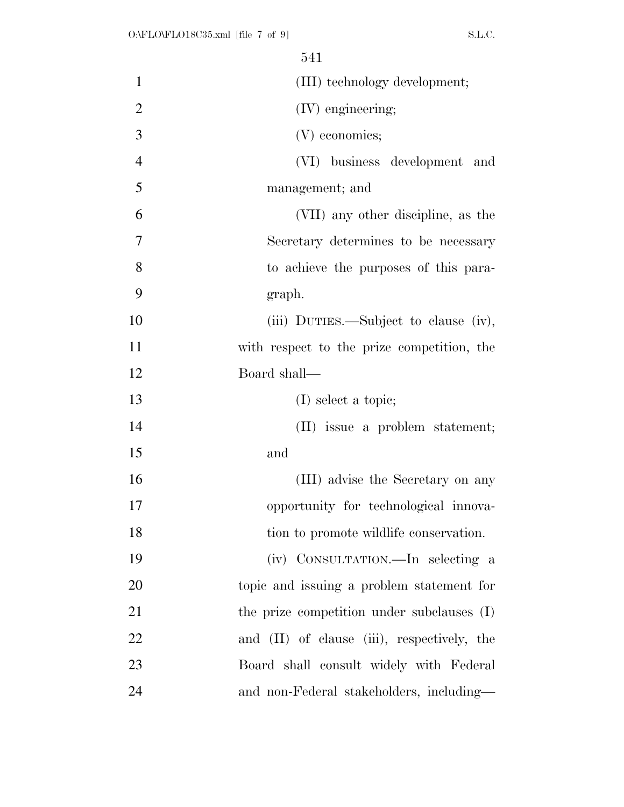|                | 541                                         |
|----------------|---------------------------------------------|
| 1              | (III) technology development;               |
| $\mathbf{2}$   | (IV) engineering;                           |
| $\overline{3}$ | (V) economics;                              |
| $\overline{4}$ | (VI) business development and               |
| 5              | management; and                             |
| 6              | (VII) any other discipline, as the          |
| $\overline{7}$ | Secretary determines to be necessary        |
| 8              | to achieve the purposes of this para-       |
| 9              | graph.                                      |
| 10             | (iii) DUTIES.—Subject to clause (iv),       |
| 11             | with respect to the prize competition, the  |
| 12             | Board shall-                                |
| 13             | $(I)$ select a topic;                       |
| 14             | (II) issue a problem statement;             |
| 15             | and                                         |
| 16             | (III) advise the Secretary on any           |
| 17             | opportunity for technological innova-       |
| 18             | tion to promote wildlife conservation.      |
| 19             | (iv) CONSULTATION.—In selecting a           |
| 20             | topic and issuing a problem statement for   |
| 21             | the prize competition under subclauses (I)  |
| 22             | and (II) of clause (iii), respectively, the |
| 23             | Board shall consult widely with Federal     |
| 24             | and non-Federal stakeholders, including—    |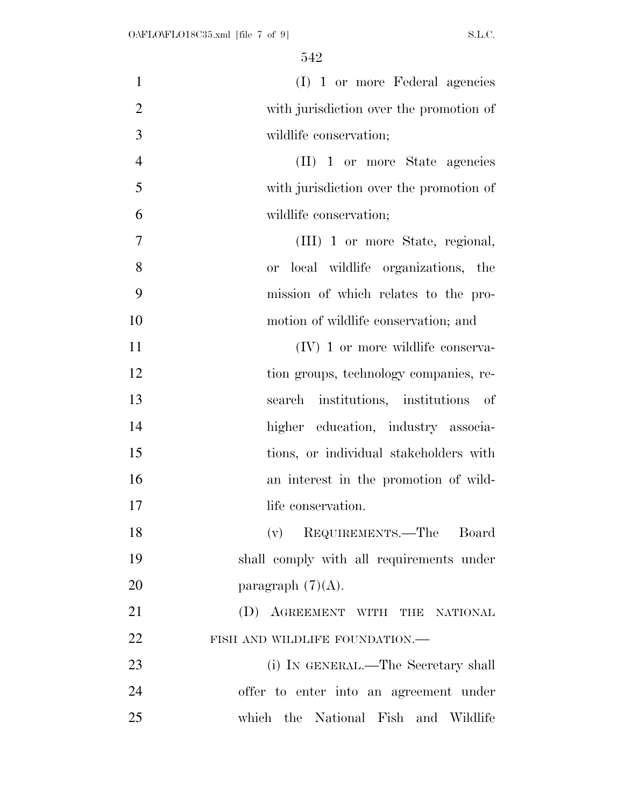| $\mathbf{1}$   | (I) 1 or more Federal agencies                     |
|----------------|----------------------------------------------------|
| $\overline{2}$ | with jurisdiction over the promotion of            |
| 3              | wildlife conservation;                             |
| $\overline{4}$ | $(II)$ 1 or more State agencies                    |
| 5              | with jurisdiction over the promotion of            |
| 6              | wildlife conservation;                             |
| 7              | (III) 1 or more State, regional,                   |
| 8              | local wildlife organizations, the<br><sub>or</sub> |
| 9              | mission of which relates to the pro-               |
| 10             | motion of wildlife conservation; and               |
| 11             | $(IV)$ 1 or more wildlife conserva-                |
| 12             | tion groups, technology companies, re-             |
| 13             | search institutions, institutions of               |
| 14             | higher education, industry associa-                |
| 15             | tions, or individual stakeholders with             |
| 16             | an interest in the promotion of wild-              |
| 17             | life conservation.                                 |
| 18             | (v) REQUIREMENTS.—The Board                        |
| 19             | shall comply with all requirements under           |
| 20             | paragraph $(7)(A)$ .                               |
| 21             | (D) AGREEMENT WITH THE NATIONAL                    |
| 22             | FISH AND WILDLIFE FOUNDATION.-                     |
| 23             | (i) IN GENERAL.—The Secretary shall                |
| 24             | offer to enter into an agreement under             |
| 25             | which the National Fish and Wildlife               |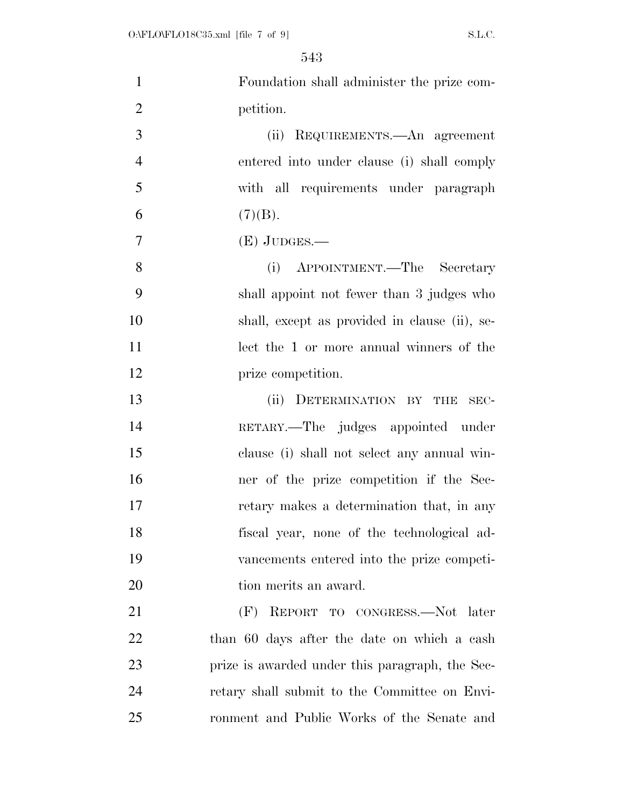| $\mathbf{1}$   | Foundation shall administer the prize com-      |
|----------------|-------------------------------------------------|
| $\overline{2}$ | petition.                                       |
| 3              | (ii) REQUIREMENTS.—An agreement                 |
| $\overline{4}$ | entered into under clause (i) shall comply      |
| 5              | with all requirements under paragraph           |
| 6              | (7)(B).                                         |
| 7              | $(E)$ JUDGES.—                                  |
| 8              | APPOINTMENT.—The Secretary<br>(i)               |
| 9              | shall appoint not fewer than 3 judges who       |
| 10             | shall, except as provided in clause (ii), se-   |
| 11             | lect the 1 or more annual winners of the        |
| 12             | prize competition.                              |
| 13             | (ii) DETERMINATION BY THE<br>SEC-               |
| 14             | RETARY.—The judges appointed under              |
| 15             | clause (i) shall not select any annual win-     |
| 16             | ner of the prize competition if the Sec-        |
| 17             | retary makes a determination that, in any       |
| 18             | fiscal year, none of the technological ad-      |
| 19             | vancements entered into the prize competi-      |
| 20             | tion merits an award.                           |
| 21             | (F) REPORT TO CONGRESS.—Not later               |
| 22             | than 60 days after the date on which a cash     |
| 23             | prize is awarded under this paragraph, the Sec- |
| 24             | retary shall submit to the Committee on Envi-   |
| 25             | ronment and Public Works of the Senate and      |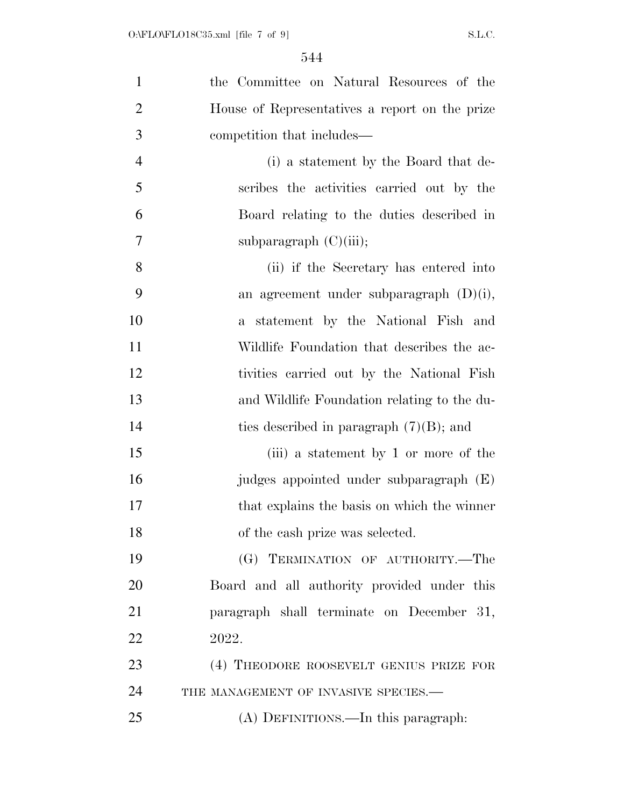| $\mathbf{1}$   | the Committee on Natural Resources of the      |
|----------------|------------------------------------------------|
| $\overline{2}$ | House of Representatives a report on the prize |
| 3              | competition that includes—                     |
| $\overline{4}$ | (i) a statement by the Board that de-          |
| 5              | scribes the activities carried out by the      |
| 6              | Board relating to the duties described in      |
| 7              | subparagraph $(C)(iii)$ ;                      |
| 8              | (ii) if the Secretary has entered into         |
| 9              | an agreement under subparagraph $(D)(i)$ ,     |
| 10             | statement by the National Fish and<br>$a_{-}$  |
| 11             | Wildlife Foundation that describes the ac-     |
| 12             | tivities carried out by the National Fish      |
| 13             | and Wildlife Foundation relating to the du-    |
| 14             | ties described in paragraph $(7)(B)$ ; and     |
| 15             | (iii) a statement by 1 or more of the          |
| 16             | judges appointed under subparagraph (E)        |
| 17             | that explains the basis on which the winner    |
| 18             | of the cash prize was selected.                |
| 19             | (G) TERMINATION OF AUTHORITY.—The              |
| 20             | Board and all authority provided under this    |
| 21             | paragraph shall terminate on December 31,      |
| 22             | 2022.                                          |
| 23             | (4) THEODORE ROOSEVELT GENIUS PRIZE FOR        |
| 24             | THE MANAGEMENT OF INVASIVE SPECIES.-           |
| 25             | (A) DEFINITIONS.—In this paragraph:            |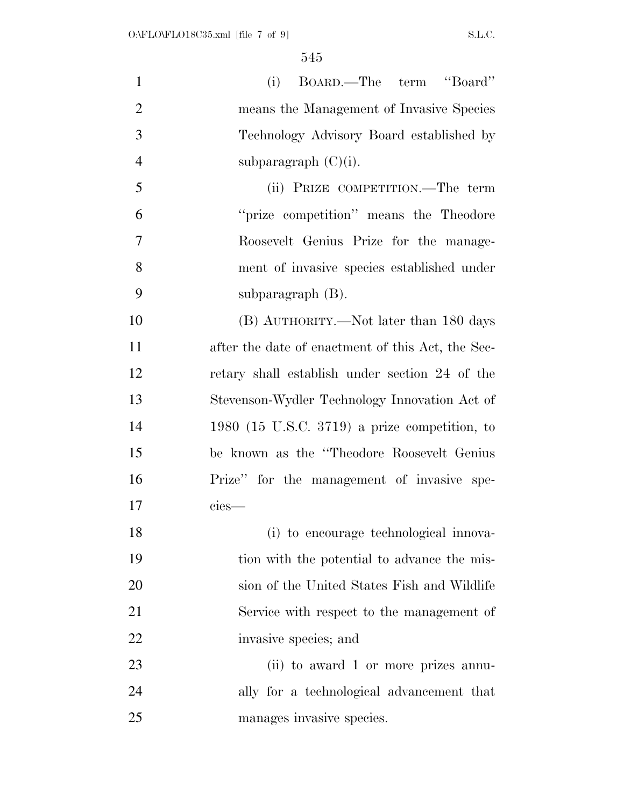| $\mathbf{1}$   | BOARD.—The term "Board"<br>(i)                    |
|----------------|---------------------------------------------------|
| $\overline{2}$ | means the Management of Invasive Species          |
| 3              | Technology Advisory Board established by          |
| $\overline{4}$ | subparagraph $(C)(i)$ .                           |
| 5              | (ii) PRIZE COMPETITION.—The term                  |
| 6              | "prize competition" means the Theodore            |
| 7              | Roosevelt Genius Prize for the manage-            |
| 8              | ment of invasive species established under        |
| 9              | subparagraph $(B)$ .                              |
| 10             | (B) AUTHORITY.—Not later than 180 days            |
| 11             | after the date of enactment of this Act, the Sec- |
| 12             | retary shall establish under section 24 of the    |
| 13             | Stevenson-Wydler Technology Innovation Act of     |
| 14             | 1980 (15 U.S.C. 3719) a prize competition, to     |
| 15             | be known as the "Theodore Roosevelt Genius"       |
| 16             | Prize" for the management of invasive spe-        |
| 17             | cies-                                             |
| 18             | (i) to encourage technological innova-            |
| 19             | tion with the potential to advance the mis-       |
| 20             | sion of the United States Fish and Wildlife       |
| 21             | Service with respect to the management of         |
| 22             | invasive species; and                             |
| 23             | (ii) to award 1 or more prizes annu-              |
| 24             | ally for a technological advancement that         |
| 25             | manages invasive species.                         |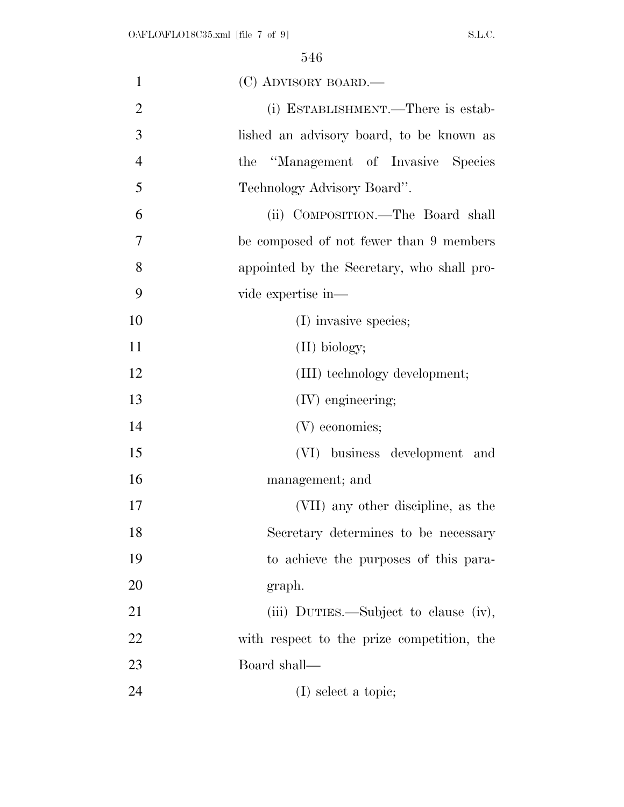| $\mathbf{1}$   | (C) ADVISORY BOARD.—                       |
|----------------|--------------------------------------------|
| $\overline{2}$ | (i) ESTABLISHMENT.—There is estab-         |
| 3              | lished an advisory board, to be known as   |
| $\overline{4}$ | the "Management of Invasive Species"       |
| 5              | Technology Advisory Board".                |
| 6              | (ii) COMPOSITION.—The Board shall          |
| 7              | be composed of not fewer than 9 members    |
| 8              | appointed by the Secretary, who shall pro- |
| 9              | vide expertise in-                         |
| 10             | (I) invasive species;                      |
| 11             | $(II)$ biology;                            |
| 12             | (III) technology development;              |
| 13             | (IV) engineering;                          |
| 14             | (V) economics;                             |
| 15             | (VI) business development and              |
| 16             | management; and                            |
| 17             | (VII) any other discipline, as the         |
| 18             | Secretary determines to be necessary       |
| 19             | to achieve the purposes of this para-      |
| 20             | graph.                                     |
| 21             | (iii) DUTIES.—Subject to clause (iv),      |
| 22             | with respect to the prize competition, the |
| 23             | Board shall—                               |
| 24             | (I) select a topic;                        |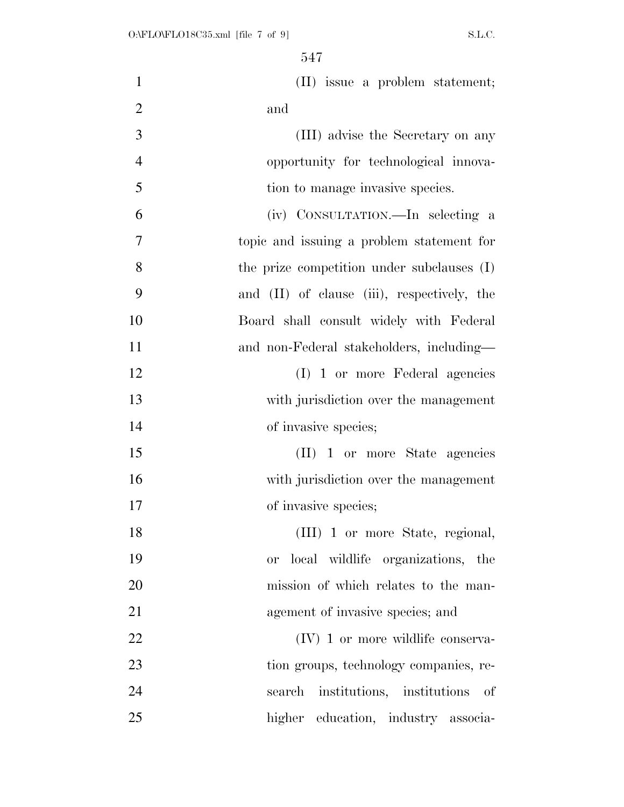| $\mathbf{1}$   | (II) issue a problem statement;                |
|----------------|------------------------------------------------|
| $\overline{2}$ | and                                            |
| 3              | (III) advise the Secretary on any              |
| $\overline{4}$ | opportunity for technological innova-          |
| 5              | tion to manage invasive species.               |
| 6              | (iv) CONSULTATION.—In selecting a              |
| $\overline{7}$ | topic and issuing a problem statement for      |
| 8              | the prize competition under subclauses (I)     |
| 9              | and (II) of clause (iii), respectively, the    |
| 10             | Board shall consult widely with Federal        |
| 11             | and non-Federal stakeholders, including—       |
| 12             | (I) 1 or more Federal agencies                 |
| 13             | with jurisdiction over the management          |
| 14             | of invasive species;                           |
| 15             | (II) 1 or more State agencies                  |
| 16             | with jurisdiction over the management          |
| 17             | of invasive species;                           |
| 18             | (III) 1 or more State, regional,               |
| 19             | local wildlife organizations, the<br><b>or</b> |
| 20             | mission of which relates to the man-           |
| 21             | agement of invasive species; and               |
| 22             | $(IV)$ 1 or more wildlife conserva-            |
| 23             | tion groups, technology companies, re-         |
| 24             | search institutions, institutions of           |
| 25             | higher education, industry associa-            |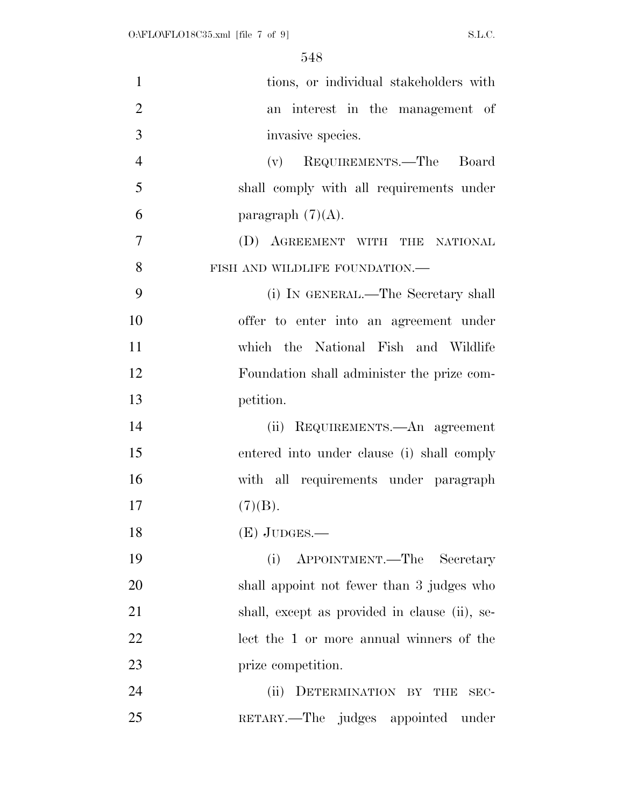| $\mathbf{1}$   | tions, or individual stakeholders with        |
|----------------|-----------------------------------------------|
| $\overline{2}$ | an interest in the management of              |
| 3              | invasive species.                             |
| $\overline{4}$ | (v) REQUIREMENTS.—The Board                   |
| 5              | shall comply with all requirements under      |
| 6              | paragraph $(7)(A)$ .                          |
| $\overline{7}$ | (D) AGREEMENT WITH THE NATIONAL               |
| 8              | FISH AND WILDLIFE FOUNDATION.-                |
| 9              | (i) IN GENERAL.—The Secretary shall           |
| 10             | offer to enter into an agreement under        |
| 11             | which the National Fish and Wildlife          |
| 12             | Foundation shall administer the prize com-    |
| 13             | petition.                                     |
| 14             | (ii) REQUIREMENTS.—An agreement               |
| 15             | entered into under clause (i) shall comply    |
| 16             | with all requirements under paragraph         |
| 17             | (7)(B).                                       |
| 18             | $(E)$ JUDGES.—                                |
| 19             | (i)<br>APPOINTMENT.—The Secretary             |
| 20             | shall appoint not fewer than 3 judges who     |
| 21             | shall, except as provided in clause (ii), se- |
| 22             | lect the 1 or more annual winners of the      |
| 23             | prize competition.                            |
| 24             | DETERMINATION BY THE<br>(ii)<br>SEC-          |
| 25             | RETARY.—The judges appointed under            |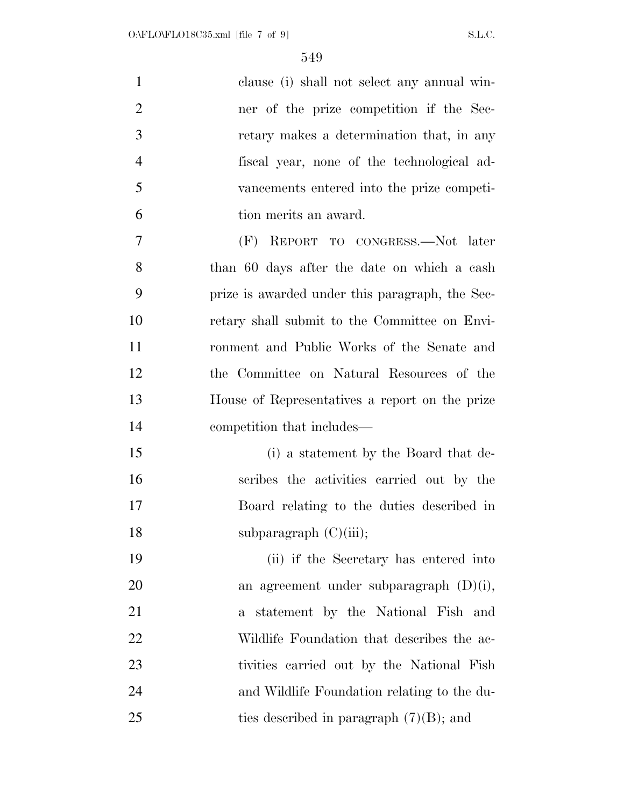| $\mathbf{1}$   | clause (i) shall not select any annual win-     |
|----------------|-------------------------------------------------|
| $\overline{2}$ | ner of the prize competition if the Sec-        |
| 3              | retary makes a determination that, in any       |
| $\overline{4}$ | fiscal year, none of the technological ad-      |
| 5              | vancements entered into the prize competi-      |
| 6              | tion merits an award.                           |
| 7              | (F) REPORT TO CONGRESS.—Not later               |
| 8              | than 60 days after the date on which a cash     |
| 9              | prize is awarded under this paragraph, the Sec- |
| 10             | retary shall submit to the Committee on Envi-   |
| 11             | ronment and Public Works of the Senate and      |
| 12             | the Committee on Natural Resources of the       |
| 13             | House of Representatives a report on the prize  |
| 14             | competition that includes—                      |
| 15             | (i) a statement by the Board that de-           |
| 16             | scribes the activities carried out by the       |
| 17             | Board relating to the duties described in       |
| 18             | subparagraph $(C)(iii)$ ;                       |
| 19             | (ii) if the Secretary has entered into          |
| 20             | an agreement under subparagraph $(D)(i)$ ,      |
| 21             | a statement by the National Fish and            |
| 22             | Wildlife Foundation that describes the ac-      |
| 23             | tivities carried out by the National Fish       |
| 24             | and Wildlife Foundation relating to the du-     |
| 25             | ties described in paragraph $(7)(B)$ ; and      |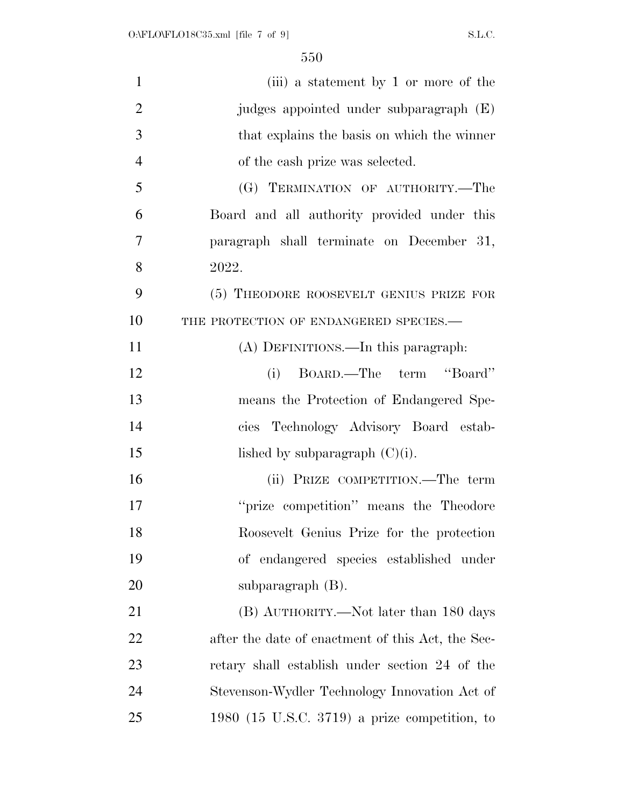| $\mathbf{1}$   | (iii) a statement by 1 or more of the             |
|----------------|---------------------------------------------------|
| $\overline{2}$ | judges appointed under subparagraph (E)           |
| 3              | that explains the basis on which the winner       |
| $\overline{4}$ | of the cash prize was selected.                   |
| 5              | (G) TERMINATION OF AUTHORITY.-The                 |
| 6              | Board and all authority provided under this       |
| 7              | paragraph shall terminate on December 31,         |
| 8              | 2022.                                             |
| 9              | (5) THEODORE ROOSEVELT GENIUS PRIZE FOR           |
| 10             | THE PROTECTION OF ENDANGERED SPECIES.-            |
| 11             | (A) DEFINITIONS.—In this paragraph:               |
| 12             | BOARD.—The term "Board"<br>(i)                    |
| 13             | means the Protection of Endangered Spe-           |
| 14             | cies Technology Advisory Board estab-             |
| 15             | lished by subparagraph $(C)(i)$ .                 |
| 16             | (ii) PRIZE COMPETITION.—The term                  |
| 17             | "prize competition" means the Theodore            |
| 18             | Roosevelt Genius Prize for the protection         |
| 19             | of endangered species established under           |
| 20             | subparagraph $(B)$ .                              |
| 21             | (B) AUTHORITY.—Not later than 180 days            |
| 22             | after the date of enactment of this Act, the Sec- |
| 23             | retary shall establish under section 24 of the    |
| 24             | Stevenson-Wydler Technology Innovation Act of     |
| 25             | 1980 (15 U.S.C. 3719) a prize competition, to     |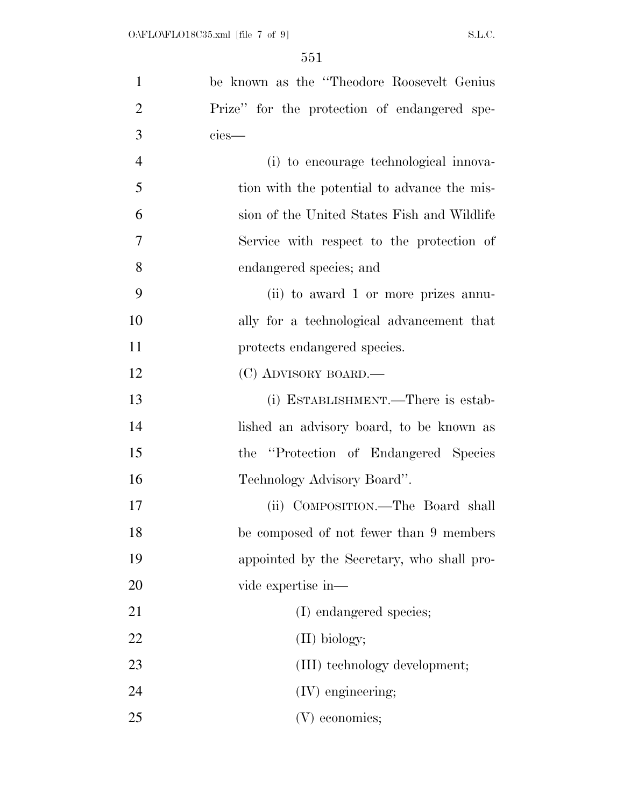| $\mathbf{1}$   | be known as the "Theodore Roosevelt Genius"  |
|----------------|----------------------------------------------|
| $\overline{2}$ | Prize" for the protection of endangered spe- |
| 3              | cies-                                        |
| $\overline{4}$ | (i) to encourage technological innova-       |
| 5              | tion with the potential to advance the mis-  |
| 6              | sion of the United States Fish and Wildlife  |
| $\overline{7}$ | Service with respect to the protection of    |
| 8              | endangered species; and                      |
| 9              | (ii) to award 1 or more prizes annu-         |
| 10             | ally for a technological advancement that    |
| 11             | protects endangered species.                 |
| 12             | (C) ADVISORY BOARD.—                         |
| 13             | (i) ESTABLISHMENT.—There is estab-           |
| 14             | lished an advisory board, to be known as     |
| 15             | the "Protection of Endangered Species"       |
| 16             | Technology Advisory Board".                  |
| 17             | (ii) COMPOSITION.—The Board shall            |
| 18             | be composed of not fewer than 9 members      |
| 19             | appointed by the Secretary, who shall pro-   |
| 20             | vide expertise in—                           |
| 21             | (I) endangered species;                      |
| 22             | $(II)$ biology;                              |
| 23             | (III) technology development;                |
| 24             | (IV) engineering;                            |
| 25             | (V) economics;                               |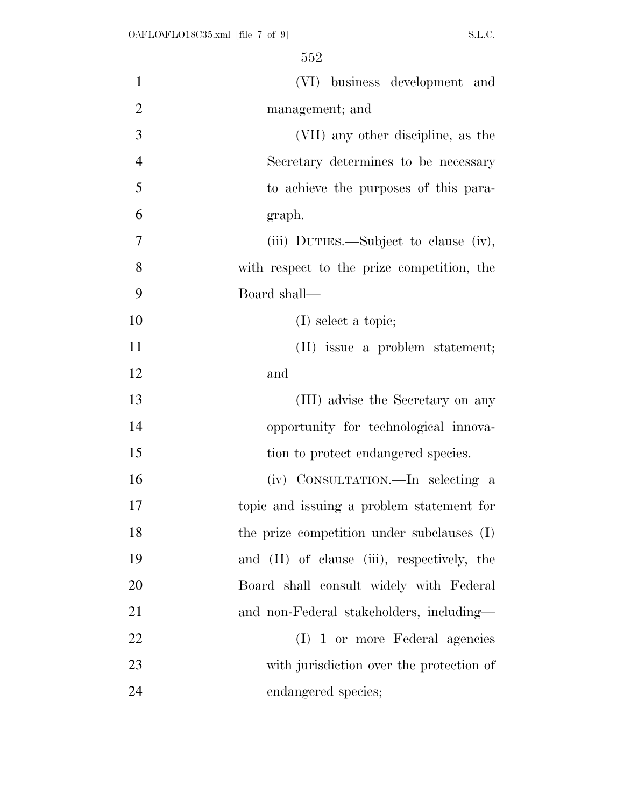| $\mathbf{1}$   | (VI) business development and                    |
|----------------|--------------------------------------------------|
| $\overline{2}$ | management; and                                  |
| 3              | (VII) any other discipline, as the               |
| $\overline{4}$ | Secretary determines to be necessary             |
| 5              | to achieve the purposes of this para-            |
| 6              | graph.                                           |
| 7              | (iii) DUTIES.—Subject to clause (iv),            |
| 8              | with respect to the prize competition, the       |
| 9              | Board shall-                                     |
| 10             | $(I)$ select a topic;                            |
| 11             | (II) issue a problem statement;                  |
| 12             | and                                              |
| 13             | (III) advise the Secretary on any                |
| 14             | opportunity for technological innova-            |
| 15             | tion to protect endangered species.              |
| 16             | (iv) CONSULTATION.—In selecting a                |
| 17             | topic and issuing a problem statement for        |
| 18             | the prize competition under subclauses (I)       |
| 19             | and $(II)$ of clause $(iii)$ , respectively, the |
| 20             | Board shall consult widely with Federal          |
| 21             | and non-Federal stakeholders, including—         |
| 22             | (I) 1 or more Federal agencies                   |
| 23             | with jurisdiction over the protection of         |
| 24             | endangered species;                              |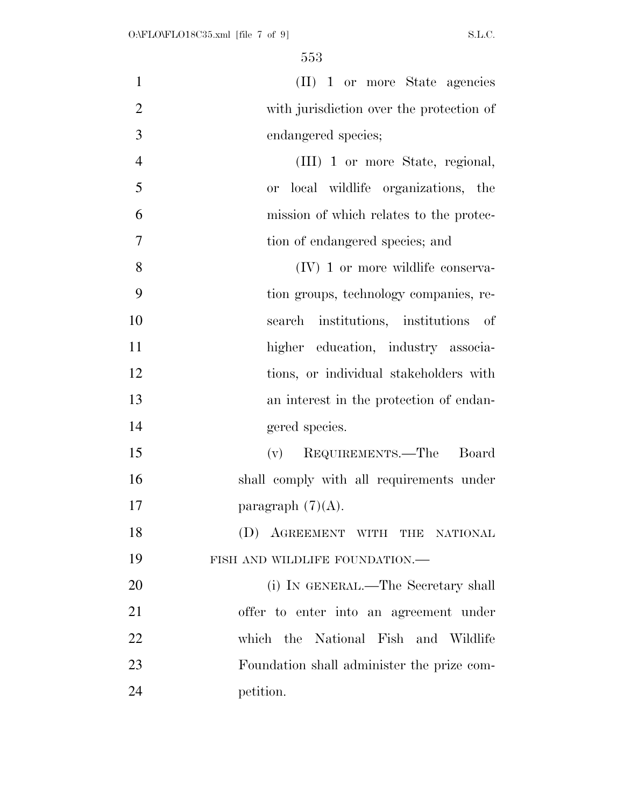| $\mathbf{1}$   | (II) 1 or more State agencies              |
|----------------|--------------------------------------------|
| $\overline{2}$ | with jurisdiction over the protection of   |
| 3              | endangered species;                        |
| $\overline{4}$ | (III) 1 or more State, regional,           |
| 5              | local wildlife organizations, the<br>or -  |
| 6              | mission of which relates to the protec-    |
| 7              | tion of endangered species; and            |
| 8              | $(IV)$ 1 or more wildlife conserva-        |
| 9              | tion groups, technology companies, re-     |
| 10             | search institutions, institutions of       |
| 11             | higher education, industry associa-        |
| 12             | tions, or individual stakeholders with     |
| 13             | an interest in the protection of endan-    |
| 14             | gered species.                             |
| 15             | (v) REQUIREMENTS.—The Board                |
| 16             | shall comply with all requirements under   |
| 17             | paragraph $(7)(A)$ .                       |
| 18             | (D) AGREEMENT WITH THE NATIONAL            |
| 19             | FISH AND WILDLIFE FOUNDATION.-             |
| 20             | (i) IN GENERAL.—The Secretary shall        |
| 21             | offer to enter into an agreement under     |
| <u>22</u>      | which the National Fish and Wildlife       |
| 23             | Foundation shall administer the prize com- |
| 24             | petition.                                  |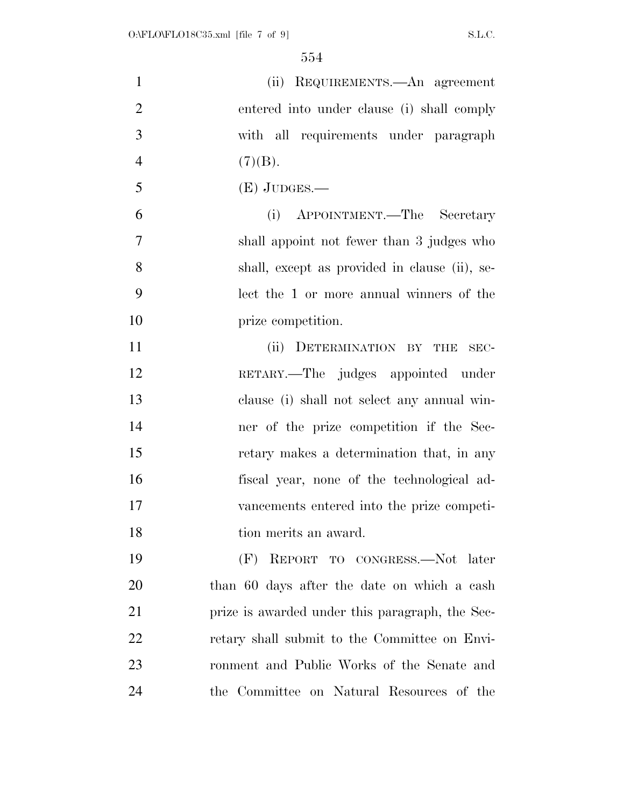| $\mathbf{1}$   | (ii) REQUIREMENTS.—An agreement                 |
|----------------|-------------------------------------------------|
| $\overline{2}$ | entered into under clause (i) shall comply      |
| 3              | with all requirements under paragraph           |
| $\overline{4}$ | (7)(B).                                         |
| 5              | $(E)$ JUDGES.—                                  |
| 6              | APPOINTMENT.—The Secretary<br>(i)               |
| $\overline{7}$ | shall appoint not fewer than 3 judges who       |
| 8              | shall, except as provided in clause (ii), se-   |
| 9              | lect the 1 or more annual winners of the        |
| 10             | prize competition.                              |
| 11             | (ii) DETERMINATION BY THE<br>$SEC-$             |
| 12             | RETARY.—The judges appointed under              |
| 13             | clause (i) shall not select any annual win-     |
| 14             | ner of the prize competition if the Sec-        |
| 15             | retary makes a determination that, in any       |
| 16             | fiscal year, none of the technological ad-      |
| 17             | vancements entered into the prize competi-      |
| 18             | tion merits an award.                           |
| 19             | (F) REPORT TO CONGRESS.-Not later               |
| 20             | than 60 days after the date on which a cash     |
| 21             | prize is awarded under this paragraph, the Sec- |
| 22             | retary shall submit to the Committee on Envi-   |
| 23             | ronment and Public Works of the Senate and      |
| 24             | the Committee on Natural Resources of the       |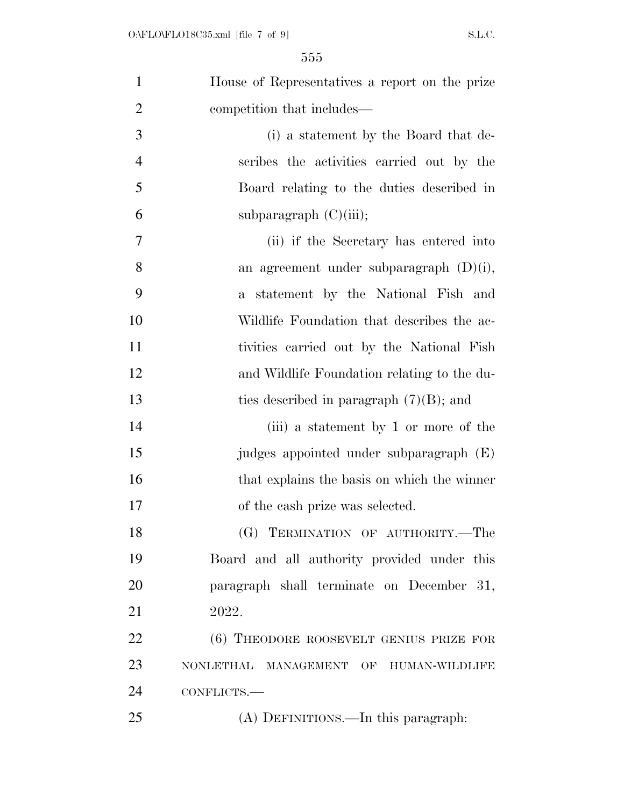| $\mathbf{1}$   | House of Representatives a report on the prize |
|----------------|------------------------------------------------|
| $\overline{2}$ | competition that includes—                     |
| 3              | (i) a statement by the Board that de-          |
| $\overline{4}$ | scribes the activities carried out by the      |
| 5              | Board relating to the duties described in      |
| 6              | subparagraph $(C)(iii)$ ;                      |
| 7              | (ii) if the Secretary has entered into         |
| 8              | an agreement under subparagraph $(D)(i)$ ,     |
| 9              | statement by the National Fish and<br>$a -$    |
| 10             | Wildlife Foundation that describes the ac-     |
| 11             | tivities carried out by the National Fish      |
| 12             | and Wildlife Foundation relating to the du-    |
| 13             | ties described in paragraph $(7)(B)$ ; and     |
| 14             | (iii) a statement by 1 or more of the          |
| 15             | judges appointed under subparagraph (E)        |
| 16             | that explains the basis on which the winner    |
| 17             | of the cash prize was selected.                |
| 18             | (G) TERMINATION OF AUTHORITY.-The              |
| 19             | Board and all authority provided under this    |
| 20             | paragraph shall terminate on December 31,      |
| 21             | 2022.                                          |
| 22             | (6) THEODORE ROOSEVELT GENIUS PRIZE FOR        |
| 23             | NONLETHAL MANAGEMENT OF HUMAN-WILDLIFE         |
| 24             | CONFLICTS.-                                    |
| 25             | (A) DEFINITIONS.—In this paragraph:            |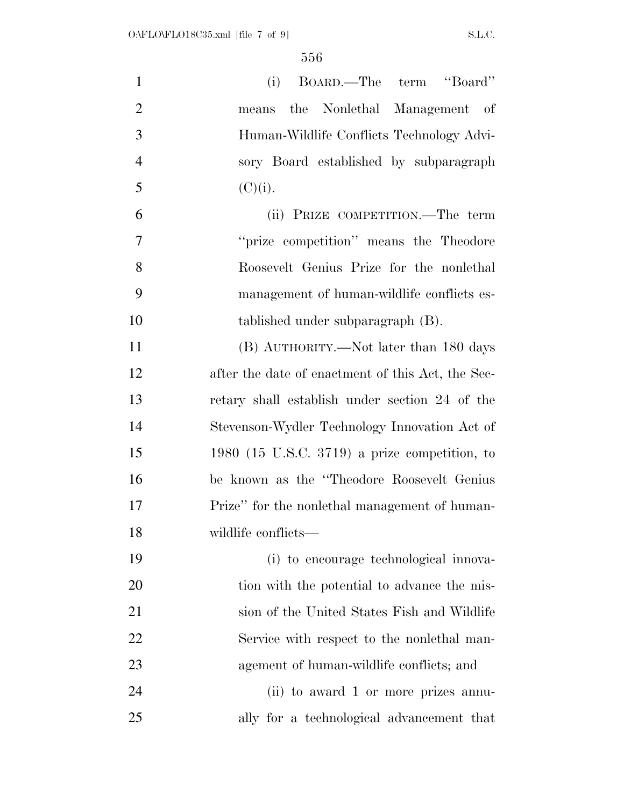| $\mathbf{1}$   | BOARD.—The term "Board"<br>(i)                    |
|----------------|---------------------------------------------------|
| $\overline{2}$ | the Nonlethal Management of<br>means              |
| 3              | Human-Wildlife Conflicts Technology Advi-         |
| $\overline{4}$ | sory Board established by subparagraph            |
| 5              | $(C)(i)$ .                                        |
| 6              | (ii) PRIZE COMPETITION.—The term                  |
| 7              | "prize competition" means the Theodore            |
| 8              | Roosevelt Genius Prize for the nonlethal          |
| 9              | management of human-wildlife conflicts es-        |
| 10             | tablished under subparagraph (B).                 |
| 11             | (B) AUTHORITY.—Not later than 180 days            |
| 12             | after the date of enactment of this Act, the Sec- |
| 13             | retary shall establish under section 24 of the    |
| 14             | Stevenson-Wydler Technology Innovation Act of     |
| 15             | $1980$ (15 U.S.C. 3719) a prize competition, to   |
| 16             | be known as the "Theodore Roosevelt Genius"       |
| 17             | Prize" for the nonlethal management of human-     |
| 18             | wildlife conflicts-                               |
| 19             | (i) to encourage technological innova-            |
| 20             | tion with the potential to advance the mis-       |
| 21             | sion of the United States Fish and Wildlife       |
| 22             | Service with respect to the nonlethal man-        |
| 23             | agement of human-wildlife conflicts; and          |
| 24             | (ii) to award 1 or more prizes annu-              |
| 25             | ally for a technological advancement that         |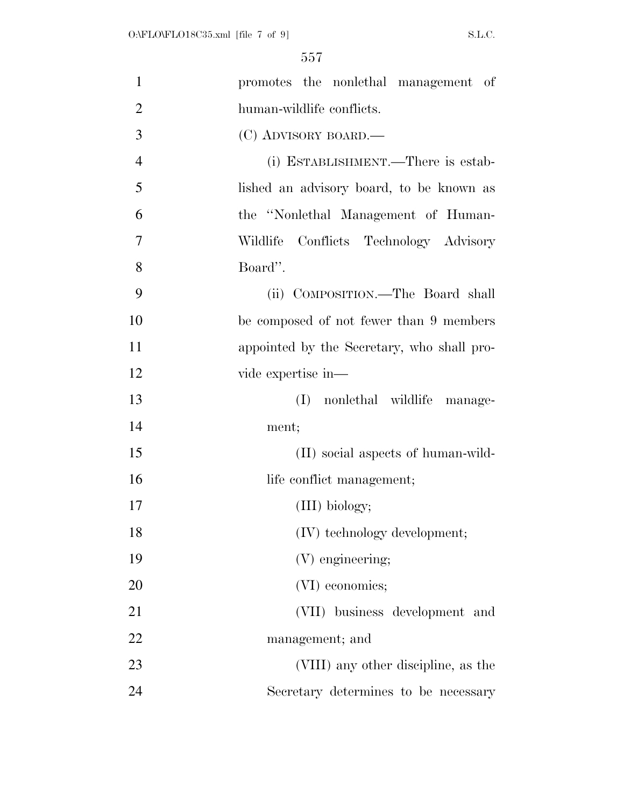| $\mathbf{1}$   | promotes the nonlethal management of       |
|----------------|--------------------------------------------|
| $\overline{2}$ | human-wildlife conflicts.                  |
| 3              | (C) ADVISORY BOARD.—                       |
| $\overline{4}$ | (i) ESTABLISHMENT.—There is estab-         |
| 5              | lished an advisory board, to be known as   |
| 6              | the "Nonlethal Management of Human-        |
| 7              | Conflicts Technology Advisory<br>Wildlife  |
| 8              | Board".                                    |
| 9              | (ii) COMPOSITION.—The Board shall          |
| 10             | be composed of not fewer than 9 members    |
| 11             | appointed by the Secretary, who shall pro- |
| 12             | vide expertise in—                         |
| 13             | nonlethal wildlife manage-<br>(I)          |
| 14             | ment;                                      |
| 15             | (II) social aspects of human-wild-         |
| 16             | life conflict management;                  |
| 17             | (III) biology;                             |
| 18             | (IV) technology development;               |
| 19             | (V) engineering;                           |
| 20             | (VI) economics;                            |
| 21             | (VII) business development and             |
| 22             | management; and                            |
| 23             | (VIII) any other discipline, as the        |
| 24             | Secretary determines to be necessary       |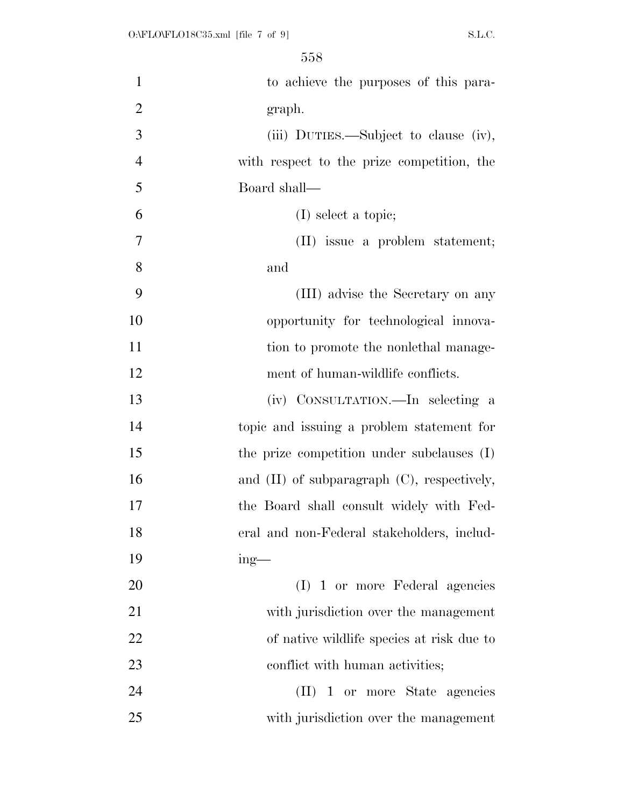| $\mathbf{1}$   | to achieve the purposes of this para-            |
|----------------|--------------------------------------------------|
| $\overline{2}$ | graph.                                           |
| 3              | (iii) DUTIES.—Subject to clause (iv),            |
| $\overline{4}$ | with respect to the prize competition, the       |
| 5              | Board shall—                                     |
| 6              | $(I)$ select a topic;                            |
| 7              | (II) issue a problem statement;                  |
| 8              | and                                              |
| 9              | (III) advise the Secretary on any                |
| 10             | opportunity for technological innova-            |
| 11             | tion to promote the nonlethal manage-            |
| 12             | ment of human-wildlife conflicts.                |
| 13             | (iv) CONSULTATION.—In selecting a                |
| 14             | topic and issuing a problem statement for        |
| 15             | the prize competition under subclauses (I)       |
| 16             | and $(II)$ of subparagraph $(C)$ , respectively, |
| 17             | the Board shall consult widely with Fed-         |
| 18             | eral and non-Federal stakeholders, includ-       |
| 19             | $ing$ —                                          |
| 20             | (I) 1 or more Federal agencies                   |
| 21             | with jurisdiction over the management            |
| 22             | of native wildlife species at risk due to        |
| 23             | conflict with human activities;                  |
| 24             | (II) 1 or more State agencies                    |
| 25             | with jurisdiction over the management            |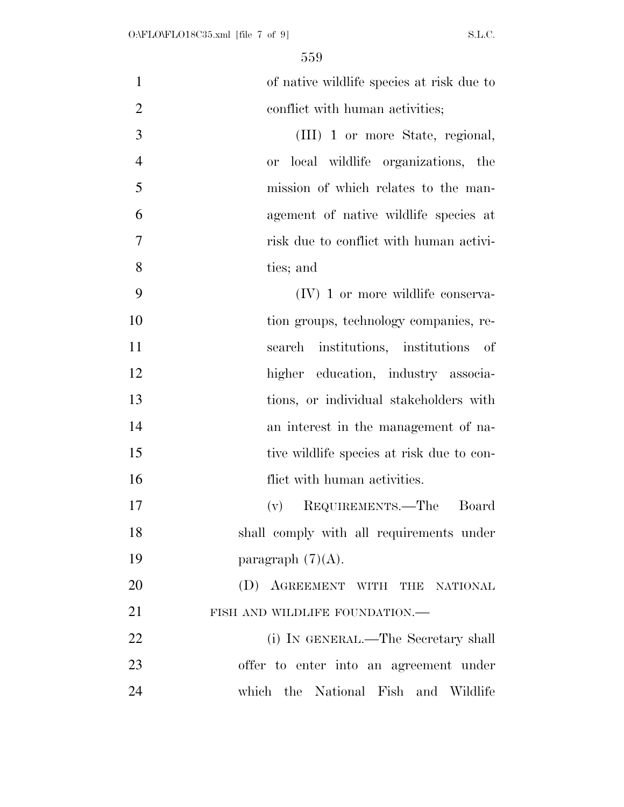| $\mathbf{1}$   | of native wildlife species at risk due to |
|----------------|-------------------------------------------|
| $\overline{2}$ | conflict with human activities;           |
| 3              | (III) 1 or more State, regional,          |
| $\overline{4}$ | or local wildlife organizations, the      |
| 5              | mission of which relates to the man-      |
| 6              | agement of native wildlife species at     |
| $\overline{7}$ | risk due to conflict with human activi-   |
| 8              | ties; and                                 |
| 9              | $(IV)$ 1 or more wildlife conserva-       |
| 10             | tion groups, technology companies, re-    |
| 11             | search institutions, institutions of      |
| 12             | higher education, industry associa-       |
| 13             | tions, or individual stakeholders with    |
| 14             | an interest in the management of na-      |
| 15             | tive wildlife species at risk due to con- |
| 16             | flict with human activities.              |
| 17             | REQUIREMENTS.—The<br>Board<br>(v)         |
| 18             | shall comply with all requirements under  |
| 19             | paragraph $(7)(A)$ .                      |
| 20             | (D) AGREEMENT WITH THE NATIONAL           |
| 21             | FISH AND WILDLIFE FOUNDATION.-            |
| 22             | (i) IN GENERAL.—The Secretary shall       |
| 23             | offer to enter into an agreement under    |
| 24             | which the National Fish and Wildlife      |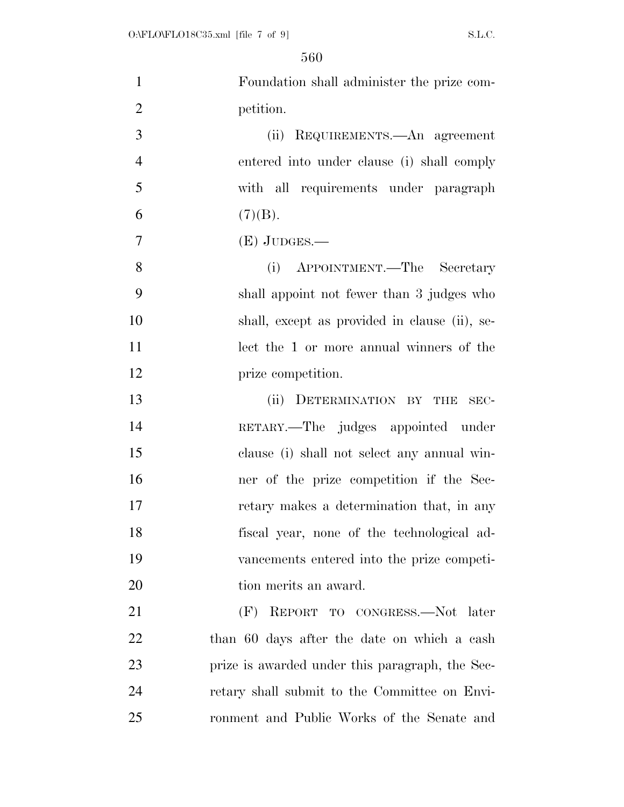| $\mathbf{1}$   | Foundation shall administer the prize com-      |
|----------------|-------------------------------------------------|
| $\overline{2}$ | petition.                                       |
| 3              | (ii) REQUIREMENTS.—An agreement                 |
| $\overline{4}$ | entered into under clause (i) shall comply      |
| 5              | with all requirements under paragraph           |
| 6              | (7)(B).                                         |
| $\overline{7}$ | $(E)$ JUDGES.—                                  |
| 8              | APPOINTMENT.—The Secretary<br>(i)               |
| 9              | shall appoint not fewer than 3 judges who       |
| 10             | shall, except as provided in clause (ii), se-   |
| 11             | lect the 1 or more annual winners of the        |
| 12             | prize competition.                              |
| 13             | (ii) DETERMINATION BY THE<br>SEC-               |
| 14             | RETARY.—The judges appointed under              |
| 15             | clause (i) shall not select any annual win-     |
| 16             | ner of the prize competition if the Sec-        |
| 17             | retary makes a determination that, in any       |
| 18             | fiscal year, none of the technological ad-      |
| 19             | vancements entered into the prize competi-      |
| 20             | tion merits an award.                           |
| 21             | REPORT TO CONGRESS.-Not later<br>(F)            |
| 22             | than 60 days after the date on which a cash     |
| 23             | prize is awarded under this paragraph, the Sec- |
| 24             | retary shall submit to the Committee on Envi-   |
| 25             | ronment and Public Works of the Senate and      |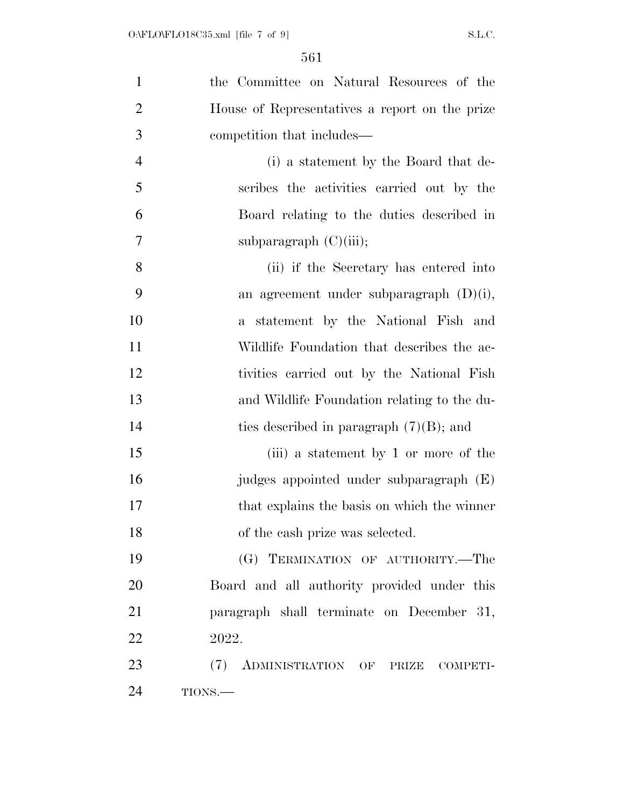| $\mathbf{1}$   | the Committee on Natural Resources of the      |
|----------------|------------------------------------------------|
| $\overline{2}$ | House of Representatives a report on the prize |
| 3              | competition that includes—                     |
| $\overline{4}$ | (i) a statement by the Board that de-          |
| 5              | scribes the activities carried out by the      |
| 6              | Board relating to the duties described in      |
| 7              | subparagraph $(C)(iii)$ ;                      |
| 8              | (ii) if the Secretary has entered into         |
| 9              | an agreement under subparagraph $(D)(i)$ ,     |
| 10             | statement by the National Fish and<br>$a -$    |
| 11             | Wildlife Foundation that describes the ac-     |
| 12             | tivities carried out by the National Fish      |
| 13             | and Wildlife Foundation relating to the du-    |
| 14             | ties described in paragraph $(7)(B)$ ; and     |
| 15             | (iii) a statement by 1 or more of the          |
| 16             | judges appointed under subparagraph (E)        |
| 17             | that explains the basis on which the winner    |
| 18             | of the cash prize was selected.                |
| 19             | (G) TERMINATION OF AUTHORITY.-The              |
| 20             | Board and all authority provided under this    |
| 21             | paragraph shall terminate on December 31,      |
| 22             | 2022.                                          |
| 23             | (7)<br>ADMINISTRATION OF PRIZE COMPETI-        |
| 24             | TIONS.—                                        |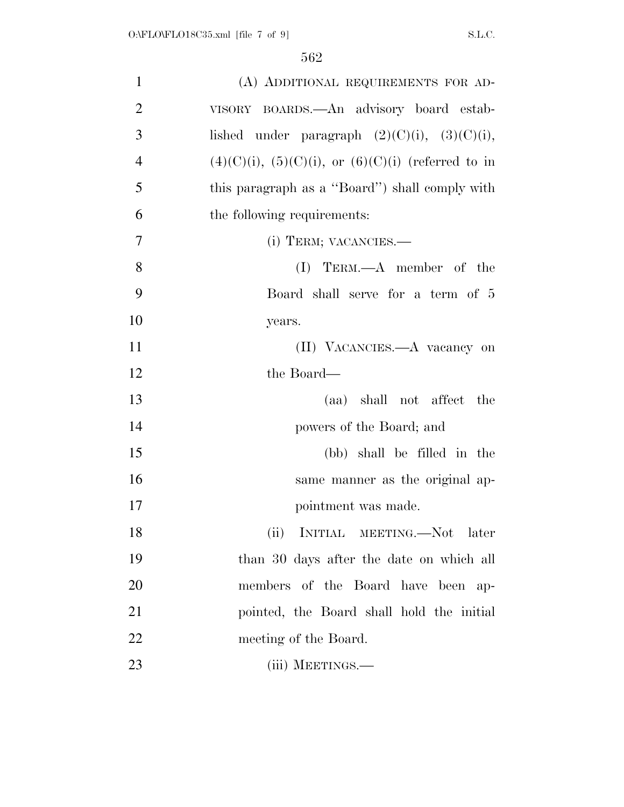| 1              | (A) ADDITIONAL REQUIREMENTS FOR AD-                    |
|----------------|--------------------------------------------------------|
| $\overline{2}$ | VISORY BOARDS.—An advisory board estab-                |
| 3              | lished under paragraph $(2)(C)(i)$ , $(3)(C)(i)$ ,     |
| $\overline{4}$ | $(4)(C)(i), (5)(C)(i),$ or $(6)(C)(i)$ (referred to in |
| 5              | this paragraph as a "Board" shall comply with          |
| 6              | the following requirements:                            |
| $\overline{7}$ | (i) TERM; VACANCIES.—                                  |
| 8              | $(I)$ TERM.— $A$ member of the                         |
| 9              | Board shall serve for a term of 5                      |
| 10             | years.                                                 |
| 11             | (II) VACANCIES.—A vacancy on                           |
| 12             | the Board—                                             |
| 13             | (aa) shall not affect the                              |
| 14             | powers of the Board; and                               |
| 15             | (bb) shall be filled in the                            |
| 16             | same manner as the original ap-                        |
| 17             | pointment was made.                                    |
| 18             | (ii)<br>INITIAL MEETING.—Not later                     |
| 19             | than 30 days after the date on which all               |
| 20             | members of the Board have been ap-                     |
| 21             | pointed, the Board shall hold the initial              |
| 22             | meeting of the Board.                                  |
| 23             | (iii) MEETINGS.—                                       |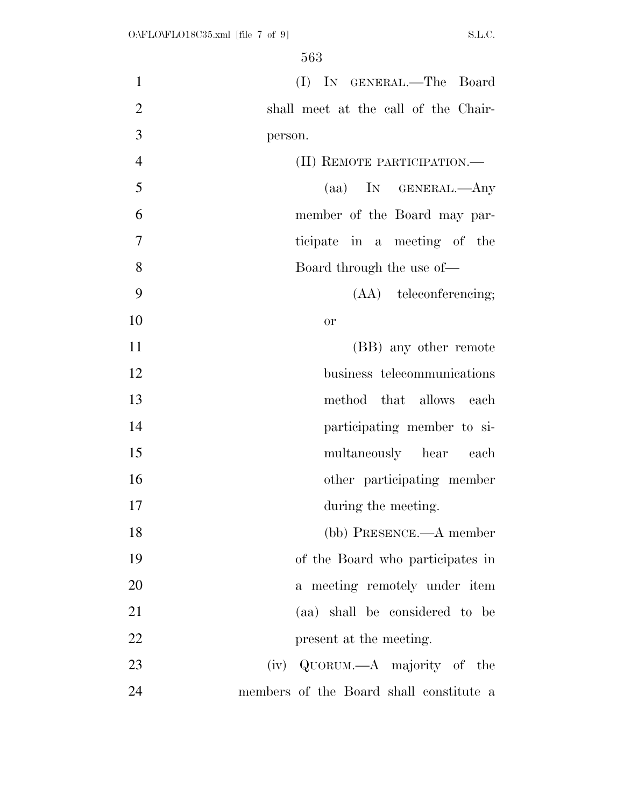| $\mathbf{1}$   | (I) IN GENERAL.—The Board               |
|----------------|-----------------------------------------|
| $\overline{2}$ | shall meet at the call of the Chair-    |
| 3              | person.                                 |
| $\overline{4}$ | (II) REMOTE PARTICIPATION.—             |
| 5              | (aa) IN GENERAL.—Any                    |
| 6              | member of the Board may par-            |
| $\overline{7}$ | ticipate in a meeting of the            |
| 8              | Board through the use of—               |
| 9              | (AA) teleconferencing;                  |
| 10             | <b>or</b>                               |
| 11             | (BB) any other remote                   |
| 12             | business telecommunications             |
| 13             | method that allows each                 |
| 14             | participating member to si-             |
| 15             | multaneously hear each                  |
| 16             | other participating member              |
| 17             | during the meeting.                     |
| 18             | (bb) PRESENCE.—A member                 |
| 19             | of the Board who participates in        |
| 20             | a meeting remotely under item           |
| 21             | (aa) shall be considered to be          |
| 22             | present at the meeting.                 |
| 23             | (iv) QUORUM.—A majority of the          |
| 24             | members of the Board shall constitute a |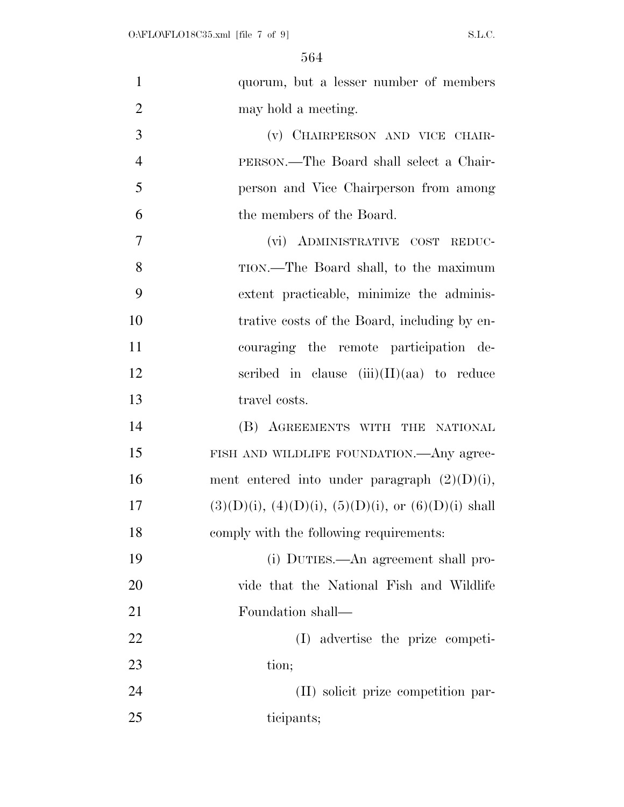| $\mathbf{1}$   | quorum, but a lesser number of members                         |
|----------------|----------------------------------------------------------------|
| $\overline{2}$ | may hold a meeting.                                            |
| 3              | (v) CHAIRPERSON AND VICE CHAIR-                                |
| $\overline{4}$ | PERSON.—The Board shall select a Chair-                        |
| 5              | person and Vice Chairperson from among                         |
| 6              | the members of the Board.                                      |
| $\overline{7}$ | (vi) ADMINISTRATIVE COST REDUC-                                |
| 8              | TION.—The Board shall, to the maximum                          |
| 9              | extent practicable, minimize the adminis-                      |
| 10             | trative costs of the Board, including by en-                   |
| 11             | couraging the remote participation de-                         |
| 12             | scribed in clause $(iii)(II)(aa)$ to reduce                    |
| 13             | travel costs.                                                  |
| 14             | (B) AGREEMENTS WITH THE NATIONAL                               |
| 15             | FISH AND WILDLIFE FOUNDATION.—Any agree-                       |
| 16             | ment entered into under paragraph $(2)(D)(i)$ ,                |
| 17             | $(3)(D)(i)$ , $(4)(D)(i)$ , $(5)(D)(i)$ , or $(6)(D)(i)$ shall |
| 18             | comply with the following requirements:                        |
| 19             | (i) DUTIES.—An agreement shall pro-                            |
| 20             | vide that the National Fish and Wildlife                       |
| 21             | Foundation shall—                                              |
| 22             | (I) advertise the prize competi-                               |
| 23             | tion;                                                          |
| 24             | (II) solicit prize competition par-                            |
| 25             | ticipants;                                                     |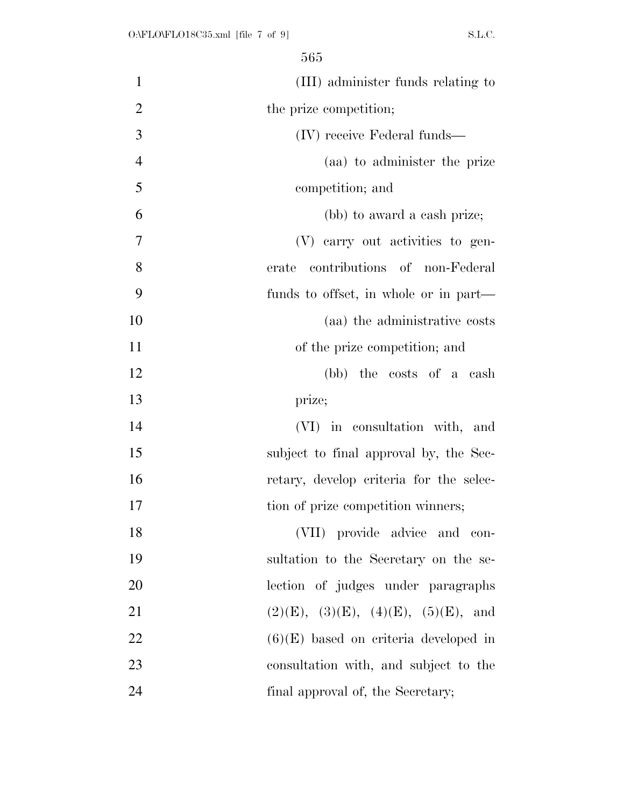| $\mathbf{1}$   | (III) administer funds relating to      |
|----------------|-----------------------------------------|
| $\overline{2}$ | the prize competition;                  |
| 3              | (IV) receive Federal funds—             |
| $\overline{4}$ | (aa) to administer the prize            |
| 5              | competition; and                        |
| 6              | (bb) to award a cash prize;             |
| 7              | (V) carry out activities to gen-        |
| 8              | contributions of non-Federal<br>erate   |
| 9              | funds to offset, in whole or in part—   |
| 10             | (aa) the administrative costs           |
| 11             | of the prize competition; and           |
| 12             | (bb) the costs of a cash                |
| 13             | prize;                                  |
| 14             | (VI) in consultation with, and          |
| 15             | subject to final approval by, the Sec-  |
| 16             | retary, develop criteria for the selec- |
| 17             | tion of prize competition winners;      |
| 18             | (VII) provide advice and con-           |
| 19             | sultation to the Secretary on the se-   |
| 20             | lection of judges under paragraphs      |
| 21             | (2)(E), (3)(E), (4)(E), (5)(E), and     |
| 22             | $(6)(E)$ based on criteria developed in |
| 23             | consultation with, and subject to the   |
| 24             | final approval of, the Secretary;       |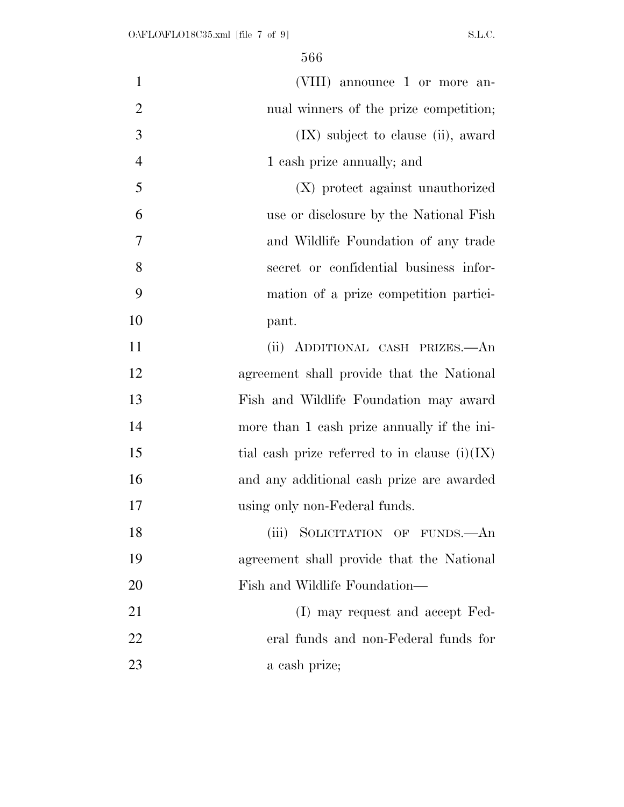| $\mathbf{1}$   | (VIII) announce 1 or more an-                   |
|----------------|-------------------------------------------------|
| $\overline{2}$ | nual winners of the prize competition;          |
| 3              | $(IX)$ subject to clause (ii), award            |
| $\overline{4}$ | 1 cash prize annually; and                      |
| 5              | (X) protect against unauthorized                |
| 6              | use or disclosure by the National Fish          |
| 7              | and Wildlife Foundation of any trade            |
| 8              | secret or confidential business infor-          |
| 9              | mation of a prize competition partici-          |
| 10             | pant.                                           |
| 11             | (ii) ADDITIONAL CASH PRIZES.- An                |
| 12             | agreement shall provide that the National       |
| 13             | Fish and Wildlife Foundation may award          |
| 14             | more than 1 cash prize annually if the ini-     |
| 15             | tial cash prize referred to in clause $(i)(IX)$ |
| 16             | and any additional cash prize are awarded       |
| 17             | using only non-Federal funds.                   |
| 18             | (iii) SOLICITATION OF FUNDS.—An                 |
| 19             | agreement shall provide that the National       |
| 20             | Fish and Wildlife Foundation-                   |
| 21             | (I) may request and accept Fed-                 |
| 22             | eral funds and non-Federal funds for            |
| 23             | a cash prize;                                   |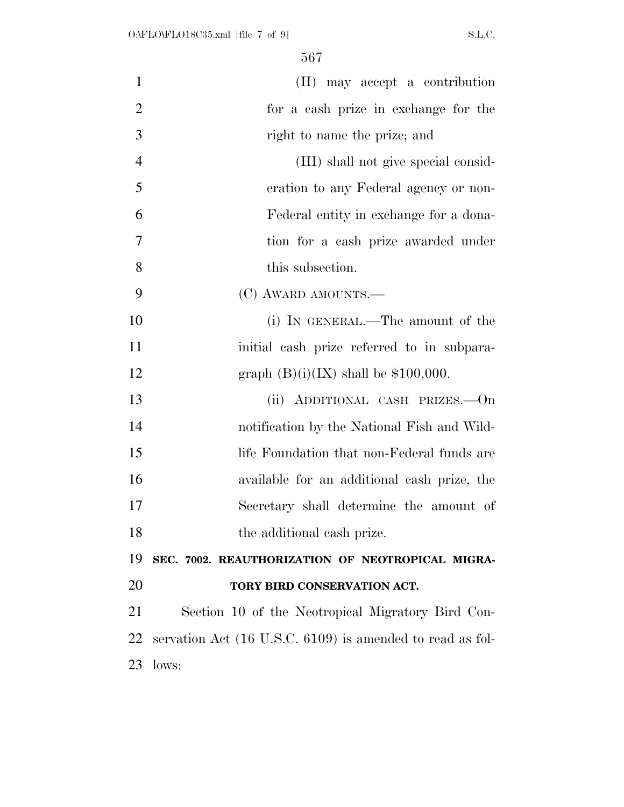| $\mathbf{1}$   | (II) may accept a contribution                            |
|----------------|-----------------------------------------------------------|
| $\overline{2}$ | for a cash prize in exchange for the                      |
| 3              | right to name the prize; and                              |
| $\overline{4}$ | (III) shall not give special consid-                      |
| 5              | eration to any Federal agency or non-                     |
| 6              | Federal entity in exchange for a dona-                    |
| $\overline{7}$ | tion for a cash prize awarded under                       |
| 8              | this subsection.                                          |
| 9              | (C) AWARD AMOUNTS.—                                       |
| 10             | (i) IN GENERAL.—The amount of the                         |
| 11             | initial cash prize referred to in subpara-                |
| 12             | graph $(B)(i)(IX)$ shall be \$100,000.                    |
| 13             | (ii) ADDITIONAL CASH PRIZES.—On                           |
| 14             | notification by the National Fish and Wild-               |
| 15             | life Foundation that non-Federal funds are                |
| 16             | available for an additional cash prize, the               |
| 17             | Secretary shall determine the amount of                   |
| 18             | the additional cash prize.                                |
| 19             | SEC. 7002. REAUTHORIZATION OF NEOTROPICAL MIGRA-          |
| 20             | TORY BIRD CONSERVATION ACT.                               |
| 21             | Section 10 of the Neotropical Migratory Bird Con-         |
| 22             | servation Act (16 U.S.C. 6109) is amended to read as fol- |
| 23             | lows:                                                     |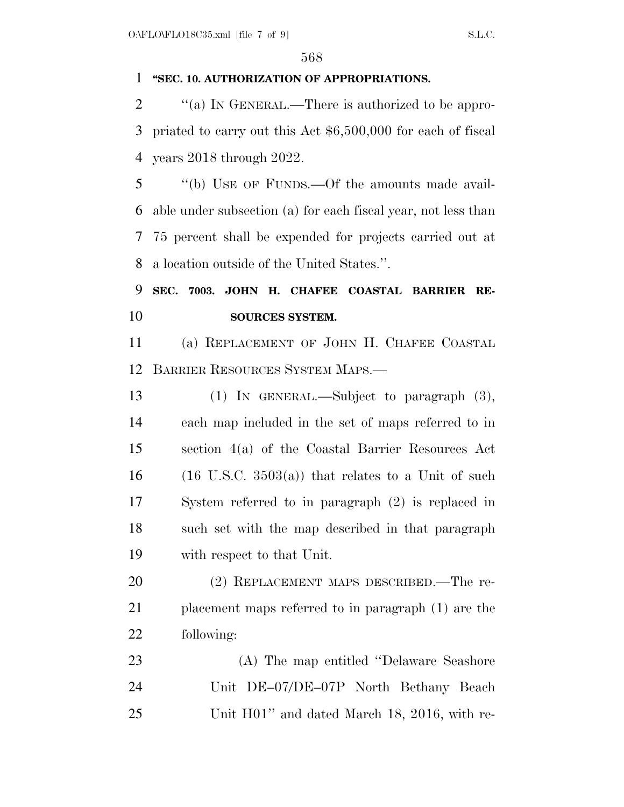## **''SEC. 10. AUTHORIZATION OF APPROPRIATIONS.**

2  $\langle$  (a) IN GENERAL.—There is authorized to be appro- priated to carry out this Act \$6,500,000 for each of fiscal years 2018 through 2022.

 ''(b) USE OF FUNDS.—Of the amounts made avail- able under subsection (a) for each fiscal year, not less than 75 percent shall be expended for projects carried out at a location outside of the United States.''.

## **SEC. 7003. JOHN H. CHAFEE COASTAL BARRIER RE-SOURCES SYSTEM.**

 (a) REPLACEMENT OF JOHN H. CHAFEE COASTAL BARRIER RESOURCES SYSTEM MAPS.—

 (1) IN GENERAL.—Subject to paragraph (3), each map included in the set of maps referred to in section 4(a) of the Coastal Barrier Resources Act 16 (16 U.S.C.  $3503(a)$ ) that relates to a Unit of such System referred to in paragraph (2) is replaced in such set with the map described in that paragraph with respect to that Unit.

20 (2) REPLACEMENT MAPS DESCRIBED.—The re- placement maps referred to in paragraph (1) are the following:

 (A) The map entitled ''Delaware Seashore Unit DE–07/DE–07P North Bethany Beach Unit H01'' and dated March 18, 2016, with re-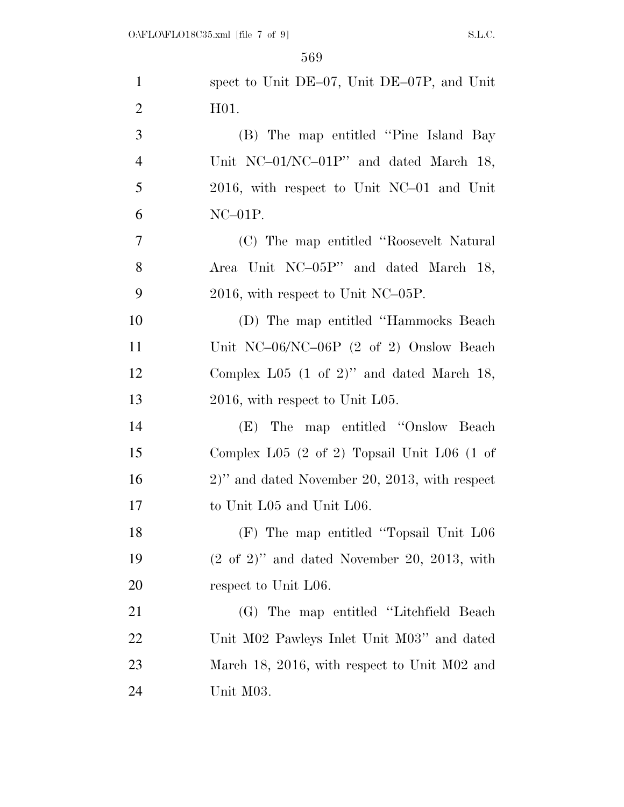| $\mathbf{1}$   | spect to Unit DE-07, Unit DE-07P, and Unit                           |
|----------------|----------------------------------------------------------------------|
| $\overline{2}$ | H <sub>01</sub>                                                      |
| 3              | (B) The map entitled "Pine Island Bay                                |
| $\overline{4}$ | Unit NC-01/NC-01P" and dated March 18,                               |
| 5              | 2016, with respect to Unit NC-01 and Unit                            |
| 6              | $NC-01P$ .                                                           |
| $\overline{7}$ | (C) The map entitled "Roosevelt Natural"                             |
| 8              | Area Unit NC-05P" and dated March 18,                                |
| 9              | $2016$ , with respect to Unit NC-05P.                                |
| 10             | (D) The map entitled "Hammocks Beach"                                |
| 11             | Unit NC-06/NC-06P $(2 \text{ of } 2)$ Onslow Beach                   |
| 12             | Complex L05 $(1 \text{ of } 2)$ " and dated March 18,                |
| 13             | $2016$ , with respect to Unit L05.                                   |
| 14             | (E) The map entitled "Onslow Beach"                                  |
| 15             | Complex L05 $(2 \text{ of } 2)$ Topsail Unit L06 $(1 \text{ of } 2)$ |
| 16             | $2)$ " and dated November 20, 2013, with respect                     |
| 17             | to Unit L05 and Unit L06.                                            |
| 18             | (F) The map entitled "Topsail Unit L06                               |
| 19             | $(2 \text{ of } 2)$ " and dated November 20, 2013, with              |
| 20             | respect to Unit L06.                                                 |
| 21             | (G) The map entitled "Litchfield Beach"                              |
| 22             | Unit M02 Pawleys Inlet Unit M03" and dated                           |
| 23             | March 18, 2016, with respect to Unit M02 and                         |
| 24             | Unit M03.                                                            |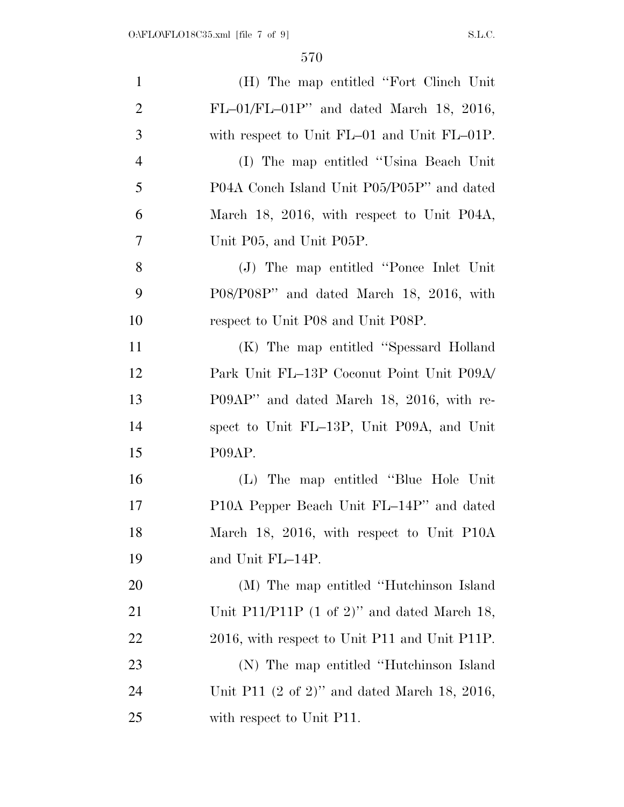| $\mathbf{1}$   | (H) The map entitled "Fort Clinch Unit"                  |
|----------------|----------------------------------------------------------|
| $\overline{2}$ | $FL-01/FL-01P''$ and dated March 18, 2016,               |
| 3              | with respect to Unit FL-01 and Unit FL-01P.              |
| $\overline{4}$ | (I) The map entitled "Usina Beach Unit                   |
| 5              | P04A Conch Island Unit P05/P05P" and dated               |
| 6              | March 18, 2016, with respect to Unit P04A,               |
| $\overline{7}$ | Unit P05, and Unit P05P.                                 |
| 8              | (J) The map entitled "Ponce Inlet Unit"                  |
| 9              | P08/P08P" and dated March 18, 2016, with                 |
| 10             | respect to Unit P08 and Unit P08P.                       |
| 11             | (K) The map entitled "Spessard Holland"                  |
| 12             | Park Unit FL-13P Coconut Point Unit P09A/                |
| 13             | P09AP" and dated March 18, 2016, with re-                |
| 14             | spect to Unit FL-13P, Unit P09A, and Unit                |
| 15             | P09AP.                                                   |
| 16             | (L) The map entitled "Blue Hole Unit"                    |
| 17             | P10A Pepper Beach Unit FL-14P" and dated                 |
| 18             | March 18, 2016, with respect to Unit P10A                |
| 19             | and Unit FL-14P.                                         |
| 20             | (M) The map entitled "Hutchinson Island"                 |
| 21             | Unit P11/P11P $(1 \text{ of } 2)$ " and dated March 18,  |
| 22             | 2016, with respect to Unit P11 and Unit P11P.            |
| 23             | (N) The map entitled "Hutchinson Island"                 |
| 24             | Unit P11 $(2 \text{ of } 2)$ " and dated March 18, 2016, |
| 25             | with respect to Unit P11.                                |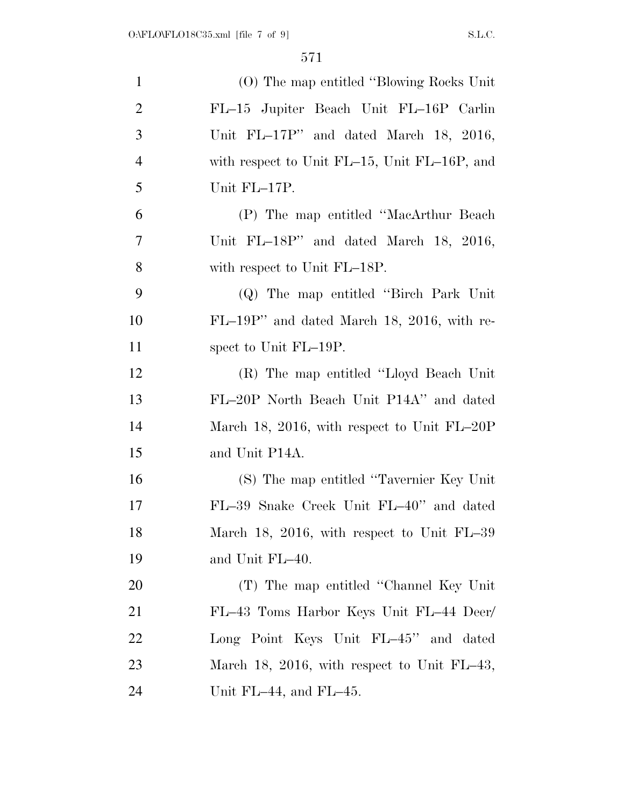| $\mathbf{1}$   | (O) The map entitled "Blowing Rocks Unit"    |
|----------------|----------------------------------------------|
| $\overline{2}$ | FL-15 Jupiter Beach Unit FL-16P Carlin       |
| 3              | Unit FL-17P" and dated March 18, 2016,       |
| $\overline{4}$ | with respect to Unit FL-15, Unit FL-16P, and |
| 5              | Unit FL-17P.                                 |
| 6              | (P) The map entitled "MacArthur Beach        |
| 7              | Unit FL-18P" and dated March 18, 2016,       |
| 8              | with respect to Unit FL-18P.                 |
| 9              | (Q) The map entitled "Birch Park Unit"       |
| 10             | FL-19P" and dated March 18, 2016, with re-   |
| 11             | spect to Unit FL-19P.                        |
| 12             | (R) The map entitled "Lloyd Beach Unit"      |
| 13             | FL-20P North Beach Unit P14A" and dated      |
| 14             | March 18, 2016, with respect to Unit FL-20P  |
| 15             | and Unit P14A.                               |
| 16             | (S) The map entitled "Tavernier Key Unit"    |
| 17             | FL-39 Snake Creek Unit FL-40" and dated      |
| 18             | March 18, 2016, with respect to Unit FL-39   |
| 19             | and Unit FL-40.                              |
| 20             | (T) The map entitled "Channel Key Unit"      |
| 21             | FL-43 Toms Harbor Keys Unit FL-44 Deer/      |
| 22             | Long Point Keys Unit FL-45" and dated        |
| 23             | March 18, 2016, with respect to Unit FL-43,  |
| 24             | Unit FL $-44$ , and FL $-45$ .               |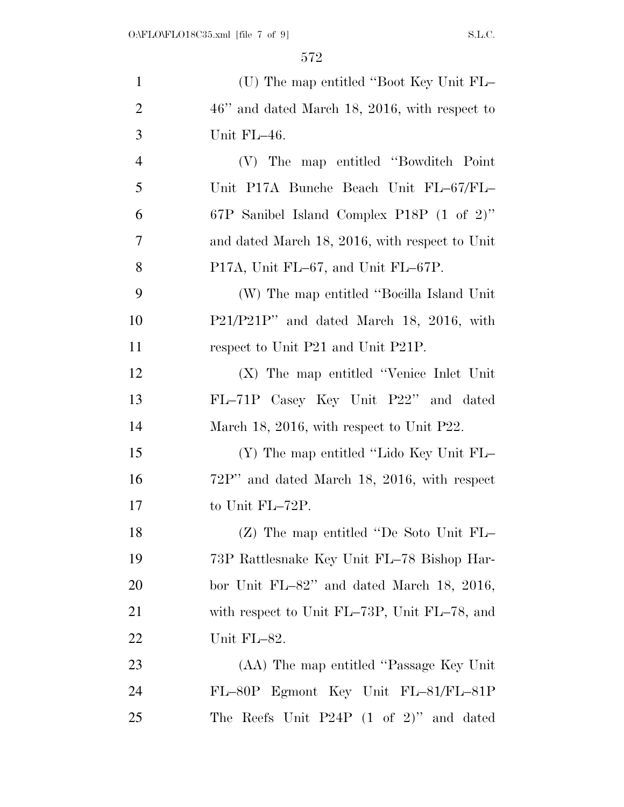| $\mathbf{1}$   | (U) The map entitled "Boot Key Unit FL-          |
|----------------|--------------------------------------------------|
| $\overline{2}$ | $46$ " and dated March 18, 2016, with respect to |
| 3              | Unit FL-46.                                      |
| $\overline{4}$ | (V) The map entitled "Bowditch Point"            |
| 5              | Unit P17A Bunche Beach Unit FL-67/FL-            |
| 6              | 67P Sanibel Island Complex P18P (1 of 2)"        |
| $\overline{7}$ | and dated March 18, 2016, with respect to Unit   |
| 8              | P17A, Unit FL-67, and Unit FL-67P.               |
| 9              | (W) The map entitled "Bocilla Island Unit"       |
| 10             | P21/P21P" and dated March 18, 2016, with         |
| 11             | respect to Unit P21 and Unit P21P.               |
| 12             | $(X)$ The map entitled "Venice Inlet Unit"       |
| 13             | FL-71P Casey Key Unit P22" and dated             |
| 14             | March 18, 2016, with respect to Unit P22.        |
| 15             | (Y) The map entitled "Lido Key Unit FL-          |
| 16             | $72P''$ and dated March 18, 2016, with respect   |
| 17             | to Unit FL-72P.                                  |
| 18             | $(Z)$ The map entitled "De Soto Unit FL-         |
| 19             | 73P Rattlesnake Key Unit FL-78 Bishop Har-       |
| <b>20</b>      | bor Unit $FL-82$ " and dated March 18, 2016,     |
| 21             | with respect to Unit FL-73P, Unit FL-78, and     |
| 22             | Unit FL-82.                                      |
| 23             | (AA) The map entitled "Passage Key Unit"         |
| 24             | FL-80P Egmont Key Unit FL-81/FL-81P              |
| 25             | The Reefs Unit $P24P (1 of 2)$ " and dated       |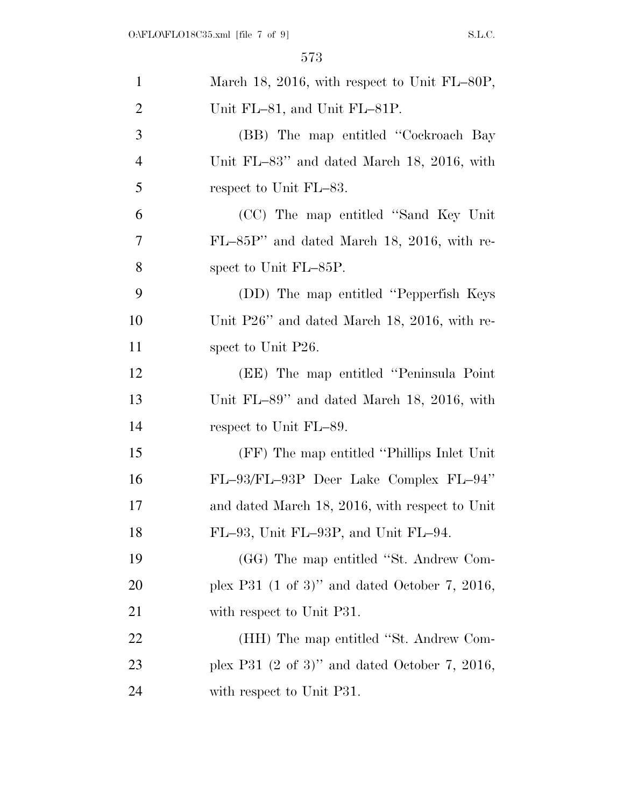| $\mathbf{1}$   | March 18, 2016, with respect to Unit FL-80P,              |
|----------------|-----------------------------------------------------------|
| $\overline{2}$ | Unit FL-81, and Unit FL-81P.                              |
| 3              | (BB) The map entitled "Cockroach Bay                      |
| $\overline{4}$ | Unit FL $-83$ " and dated March 18, 2016, with            |
| 5              | respect to Unit FL-83.                                    |
| 6              | (CC) The map entitled "Sand Key Unit"                     |
| 7              | FL-85P" and dated March 18, 2016, with re-                |
| 8              | spect to Unit FL-85P.                                     |
| 9              | (DD) The map entitled "Pepperfish Keys"                   |
| 10             | Unit P26" and dated March 18, 2016, with re-              |
| 11             | spect to Unit P26.                                        |
| 12             | (EE) The map entitled "Peninsula Point"                   |
| 13             | Unit FL $-89$ " and dated March 18, 2016, with            |
| 14             | respect to Unit FL-89.                                    |
| 15             | (FF) The map entitled "Phillips Inlet Unit"               |
| 16             | FL-93/FL-93P Deer Lake Complex FL-94"                     |
| 17             | and dated March 18, 2016, with respect to Unit            |
| 18             | FL-93, Unit FL-93P, and Unit FL-94.                       |
| 19             | (GG) The map entitled "St. Andrew Com-                    |
| 20             | plex P31 $(1 \text{ of } 3)$ " and dated October 7, 2016, |
| 21             | with respect to Unit P31.                                 |
| 22             | (HH) The map entitled "St. Andrew Com-                    |
| 23             | plex P31 $(2 \text{ of } 3)$ " and dated October 7, 2016, |
| 24             | with respect to Unit P31.                                 |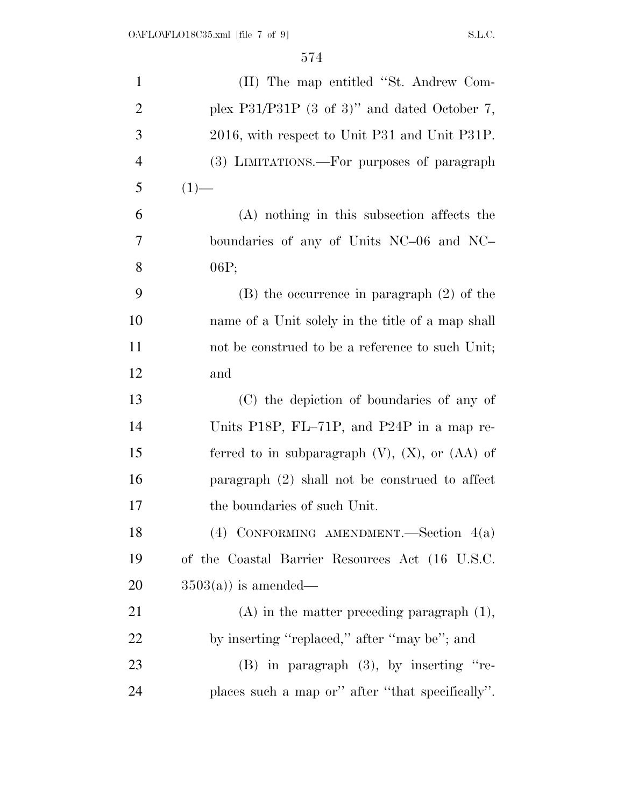| $\mathbf{1}$   | (II) The map entitled "St. Andrew Com-                   |
|----------------|----------------------------------------------------------|
| $\overline{2}$ | plex P31/P31P $(3 \text{ of } 3)$ " and dated October 7, |
| 3              | 2016, with respect to Unit P31 and Unit P31P.            |
| $\overline{4}$ | (3) LIMITATIONS.—For purposes of paragraph               |
| 5              | $(1)$ —                                                  |
| 6              | (A) nothing in this subsection affects the               |
| 7              | boundaries of any of Units NC-06 and NC-                 |
| 8              | 06P;                                                     |
| 9              | $(B)$ the occurrence in paragraph $(2)$ of the           |
| 10             | name of a Unit solely in the title of a map shall        |
| 11             | not be construed to be a reference to such Unit;         |
| 12             | and                                                      |
| 13             | (C) the depiction of boundaries of any of                |
| 14             | Units P18P, FL-71P, and P24P in a map re-                |
| 15             | ferred to in subparagraph $(V)$ , $(X)$ , or $(AA)$ of   |
| 16             | paragraph (2) shall not be construed to affect           |
| 17             | the boundaries of such Unit.                             |
| 18             | $(4)$ CONFORMING AMENDMENT. Section $4(a)$               |
| 19             | of the Coastal Barrier Resources Act (16 U.S.C.          |
| 20             | $3503(a)$ is amended—                                    |
| 21             | $(A)$ in the matter preceding paragraph $(1)$ ,          |
| 22             | by inserting "replaced," after "may be"; and             |
| 23             | $(B)$ in paragraph $(3)$ , by inserting "re-             |
| 24             | places such a map or" after "that specifically".         |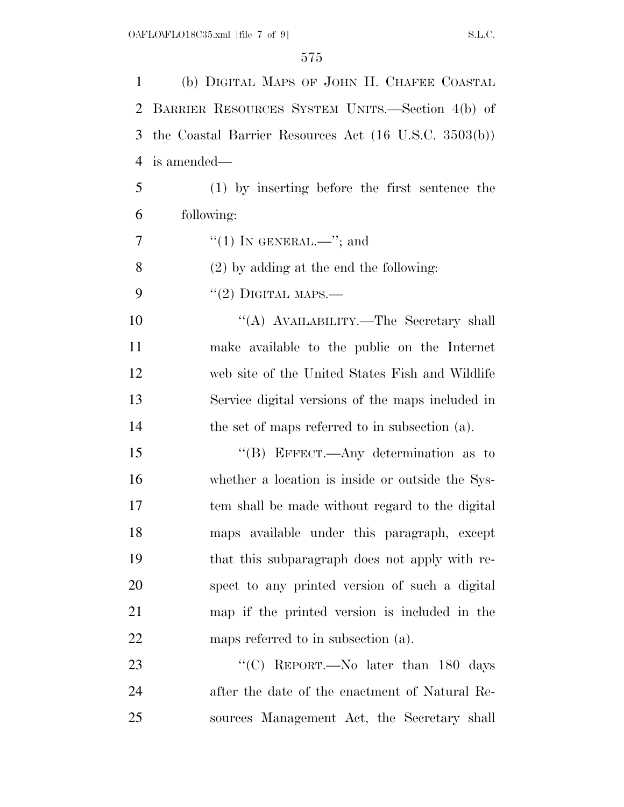(b) DIGITAL MAPS OF JOHN H. CHAFEE COASTAL BARRIER RESOURCES SYSTEM UNITS.—Section 4(b) of the Coastal Barrier Resources Act (16 U.S.C. 3503(b)) is amended— (1) by inserting before the first sentence the following:  $7 \qquad \qquad$  "(1) In GENERAL.—"; and (2) by adding at the end the following:  $"(2)$  DIGITAL MAPS.— 10 "(A) AVAILABILITY.—The Secretary shall make available to the public on the Internet web site of the United States Fish and Wildlife Service digital versions of the maps included in the set of maps referred to in subsection (a). 15 "(B) EFFECT.—Any determination as to whether a location is inside or outside the Sys- tem shall be made without regard to the digital maps available under this paragraph, except that this subparagraph does not apply with re- spect to any printed version of such a digital map if the printed version is included in the 22 maps referred to in subsection (a). 23 "'(C) REPORT.—No later than 180 days after the date of the enactment of Natural Re-

sources Management Act, the Secretary shall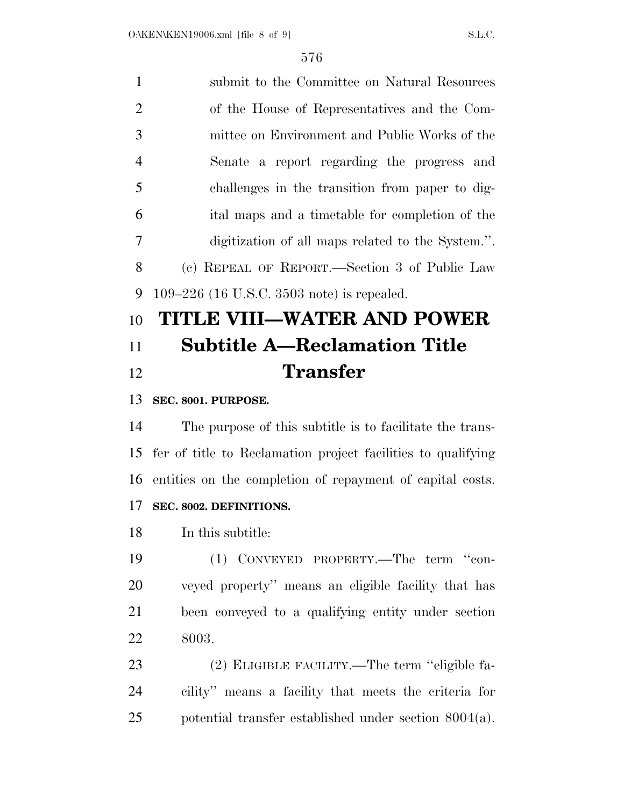| $\mathbf{1}$   | submit to the Committee on Natural Resources      |
|----------------|---------------------------------------------------|
| 2              | of the House of Representatives and the Com-      |
| 3              | mittee on Environment and Public Works of the     |
| $\overline{4}$ | Senate a report regarding the progress and        |
| 5              | challenges in the transition from paper to dig-   |
| 6              | ital maps and a timetable for completion of the   |
| 7              | digitization of all maps related to the System.". |
| 8              | (c) REPEAL OF REPORT.—Section 3 of Public Law     |
| 9              | 109–226 (16 U.S.C. 3503 note) is repealed.        |
|                |                                                   |

## **TITLE VIII—WATER AND POWER Subtitle A—Reclamation Title Transfer**

## **SEC. 8001. PURPOSE.**

 The purpose of this subtitle is to facilitate the trans- fer of title to Reclamation project facilities to qualifying entities on the completion of repayment of capital costs. **SEC. 8002. DEFINITIONS.** 

In this subtitle:

 (1) CONVEYED PROPERTY.—The term ''con- veyed property'' means an eligible facility that has been conveyed to a qualifying entity under section 8003.

 (2) ELIGIBLE FACILITY.—The term ''eligible fa- cility'' means a facility that meets the criteria for potential transfer established under section 8004(a).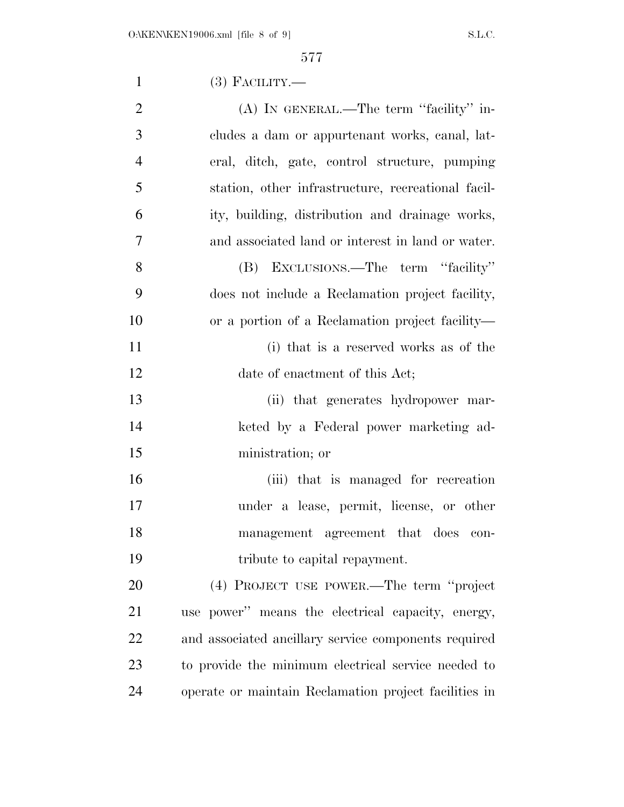| $\mathbf{1}$   | $(3)$ FACILITY.—                                      |
|----------------|-------------------------------------------------------|
| $\overline{2}$ | (A) IN GENERAL.—The term "facility" in-               |
| 3              | cludes a dam or appurtenant works, canal, lat-        |
| $\overline{4}$ | eral, ditch, gate, control structure, pumping         |
| 5              | station, other infrastructure, recreational facil-    |
| 6              | ity, building, distribution and drainage works,       |
| 7              | and associated land or interest in land or water.     |
| 8              | (B) EXCLUSIONS.—The term "facility"                   |
| 9              | does not include a Reclamation project facility,      |
| 10             | or a portion of a Reclamation project facility—       |
| 11             | (i) that is a reserved works as of the                |
| 12             | date of enactment of this Act;                        |
| 13             | (ii) that generates hydropower mar-                   |
| 14             | keted by a Federal power marketing ad-                |
| 15             | ministration; or                                      |
| 16             | (iii) that is managed for recreation                  |
| 17             | under a lease, permit, license, or other              |
| 18             | management agreement that does<br>con-                |
| 19             | tribute to capital repayment.                         |
| 20             | (4) PROJECT USE POWER.—The term "project"             |
| 21             | use power" means the electrical capacity, energy,     |
| 22             | and associated ancillary service components required  |
| 23             | to provide the minimum electrical service needed to   |
| 24             | operate or maintain Reclamation project facilities in |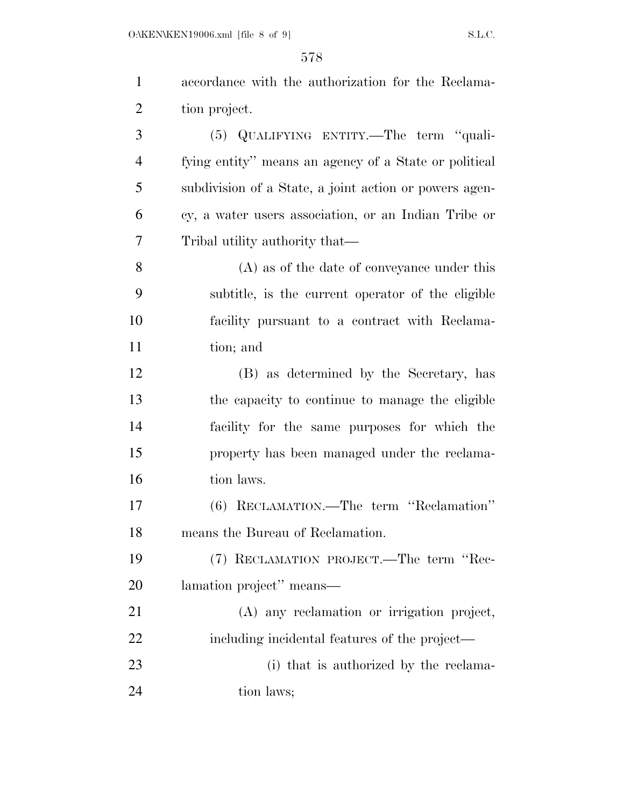$O:\kappa$ EN\KEN19006.xml [file 8 of 9] S.L.C.

| $\mathbf{1}$   | accordance with the authorization for the Reclama-     |
|----------------|--------------------------------------------------------|
| $\overline{2}$ | tion project.                                          |
| 3              | (5) QUALIFYING ENTITY.—The term "quali-                |
| $\overline{4}$ | fying entity" means an agency of a State or political  |
| 5              | subdivision of a State, a joint action or powers agen- |
| 6              | cy, a water users association, or an Indian Tribe or   |
| 7              | Tribal utility authority that—                         |
| 8              | $(A)$ as of the date of conveyance under this          |
| 9              | subtitle, is the current operator of the eligible      |
| 10             | facility pursuant to a contract with Reclama-          |
| 11             | tion; and                                              |
| 12             | (B) as determined by the Secretary, has                |
| 13             | the capacity to continue to manage the eligible        |
| 14             | facility for the same purposes for which the           |
| 15             | property has been managed under the reclama-           |
| 16             | tion laws.                                             |
| 17             | (6) RECLAMATION.—The term "Reclamation"                |
| 18             | means the Bureau of Reclamation.                       |
| 19             | (7) RECLAMATION PROJECT.—The term "Rec-                |
| 20             | lamation project" means—                               |
| 21             | (A) any reclamation or irrigation project,             |
| 22             | including incidental features of the project—          |
| 23             | (i) that is authorized by the reclama-                 |
| 24             | tion laws;                                             |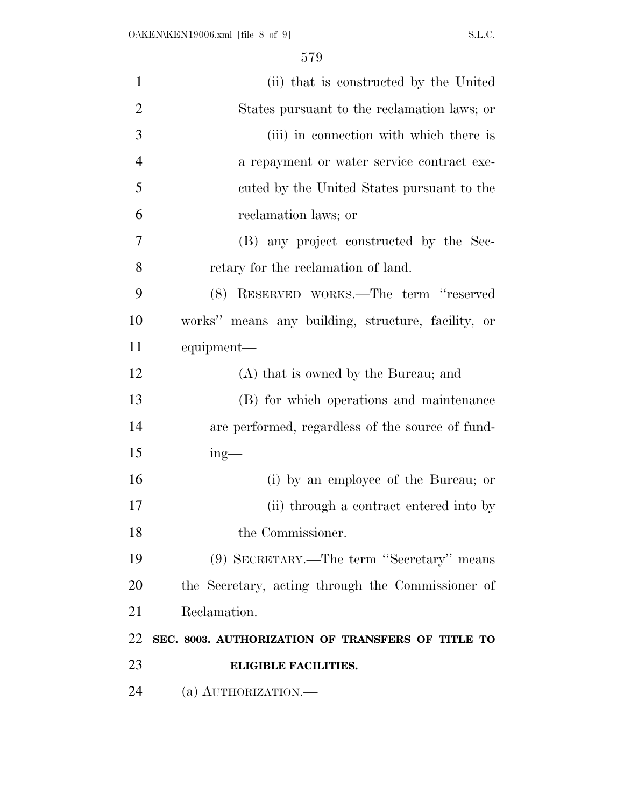| $\mathbf{1}$   | (ii) that is constructed by the United             |
|----------------|----------------------------------------------------|
| $\overline{2}$ | States pursuant to the reclamation laws; or        |
| 3              | (iii) in connection with which there is            |
| $\overline{4}$ | a repayment or water service contract exe-         |
| 5              | cuted by the United States pursuant to the         |
| 6              | reclamation laws; or                               |
| 7              | (B) any project constructed by the Sec-            |
| 8              | retary for the reclamation of land.                |
| 9              | (8) RESERVED WORKS.—The term "reserved             |
| 10             | works" means any building, structure, facility, or |
| 11             | equipment—                                         |
| 12             | (A) that is owned by the Bureau; and               |
| 13             | (B) for which operations and maintenance           |
| 14             | are performed, regardless of the source of fund-   |
| 15             | $ing$ —                                            |
| 16             | (i) by an employee of the Bureau; or               |
| 17             | (ii) through a contract entered into by            |
| 18             | the Commissioner.                                  |
| 19             | (9) SECRETARY.—The term "Secretary" means          |
| 20             | the Secretary, acting through the Commissioner of  |
| 21             | Reclamation.                                       |
| 22             | SEC. 8003. AUTHORIZATION OF TRANSFERS OF TITLE TO  |
| 23             | <b>ELIGIBLE FACILITIES.</b>                        |
| 24             | (a) AUTHORIZATION.                                 |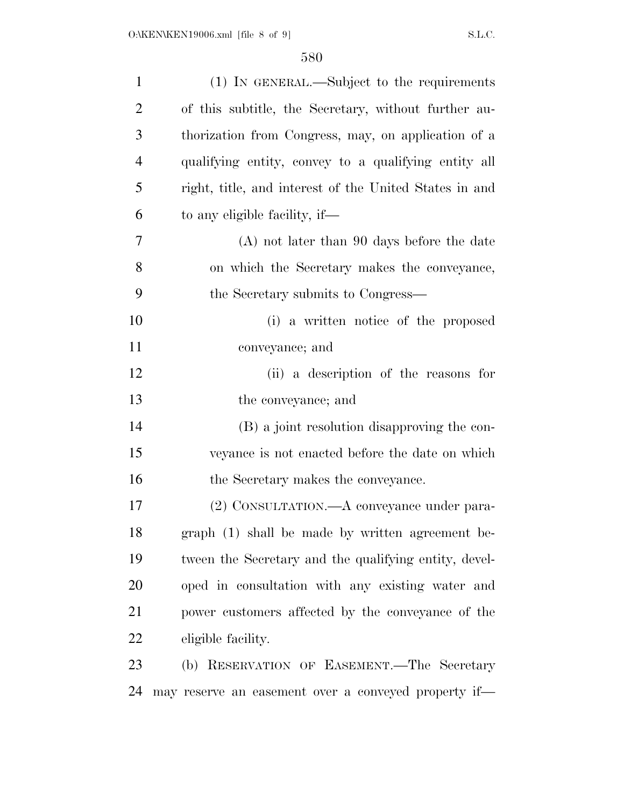| $\mathbf{1}$   | (1) IN GENERAL.—Subject to the requirements            |
|----------------|--------------------------------------------------------|
| $\overline{2}$ | of this subtitle, the Secretary, without further au-   |
| 3              | thorization from Congress, may, on application of a    |
| $\overline{4}$ | qualifying entity, convey to a qualifying entity all   |
| 5              | right, title, and interest of the United States in and |
| 6              | to any eligible facility, if—                          |
| 7              | $(A)$ not later than 90 days before the date           |
| 8              | on which the Secretary makes the conveyance,           |
| 9              | the Secretary submits to Congress—                     |
| 10             | (i) a written notice of the proposed                   |
| 11             | conveyance; and                                        |
| 12             | (ii) a description of the reasons for                  |
| 13             | the conveyance; and                                    |
| 14             | (B) a joint resolution disapproving the con-           |
| 15             | veyance is not enacted before the date on which        |
| 16             | the Secretary makes the conveyance.                    |
| 17             | (2) CONSULTATION.—A conveyance under para-             |
| 18             | graph (1) shall be made by written agreement be-       |
| 19             | tween the Secretary and the qualifying entity, devel-  |
| 20             | oped in consultation with any existing water and       |
| 21             | power customers affected by the conveyance of the      |
| 22             | eligible facility.                                     |
| 23             | (b) RESERVATION OF EASEMENT.—The Secretary             |
| 24             | may reserve an easement over a conveyed property if—   |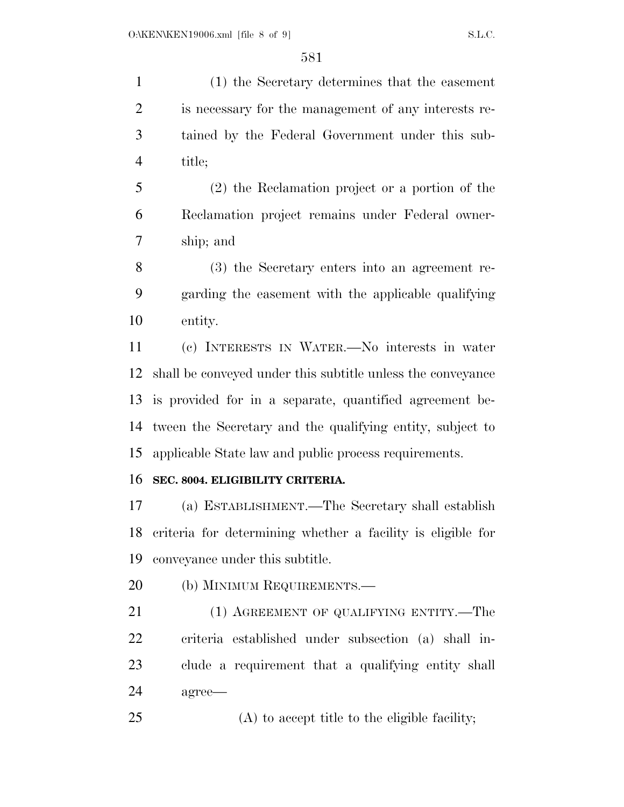(1) the Secretary determines that the easement is necessary for the management of any interests re- tained by the Federal Government under this sub-title;

 (2) the Reclamation project or a portion of the Reclamation project remains under Federal owner-ship; and

 (3) the Secretary enters into an agreement re- garding the easement with the applicable qualifying entity.

 (c) INTERESTS IN WATER.—No interests in water shall be conveyed under this subtitle unless the conveyance is provided for in a separate, quantified agreement be- tween the Secretary and the qualifying entity, subject to applicable State law and public process requirements.

## **SEC. 8004. ELIGIBILITY CRITERIA.**

 (a) ESTABLISHMENT.—The Secretary shall establish criteria for determining whether a facility is eligible for conveyance under this subtitle.

20 (b) MINIMUM REQUIREMENTS.—

21 (1) AGREEMENT OF QUALIFYING ENTITY.—The criteria established under subsection (a) shall in- clude a requirement that a qualifying entity shall agree—

(A) to accept title to the eligible facility;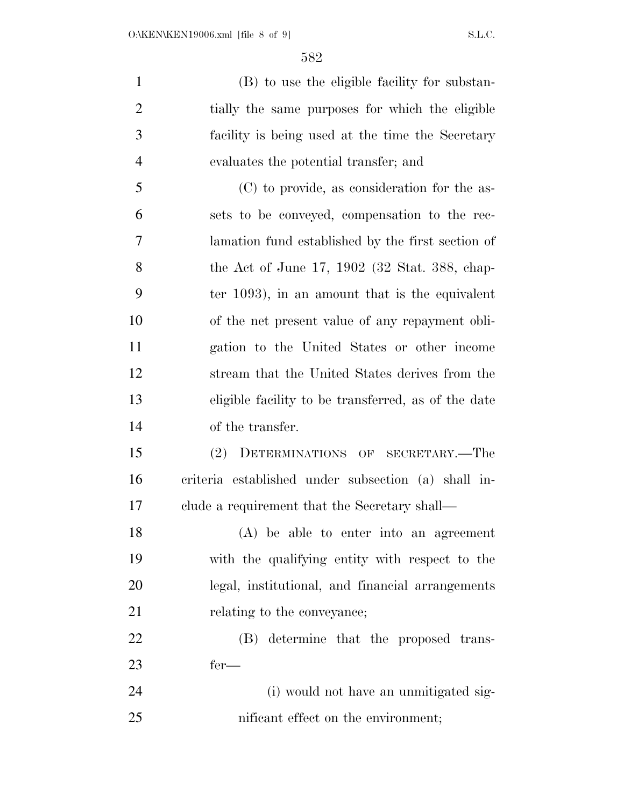(B) to use the eligible facility for substan- tially the same purposes for which the eligible facility is being used at the time the Secretary evaluates the potential transfer; and (C) to provide, as consideration for the as-

 sets to be conveyed, compensation to the rec- lamation fund established by the first section of the Act of June 17, 1902 (32 Stat. 388, chap- ter 1093), in an amount that is the equivalent of the net present value of any repayment obli- gation to the United States or other income stream that the United States derives from the eligible facility to be transferred, as of the date of the transfer.

 (2) DETERMINATIONS OF SECRETARY.—The criteria established under subsection (a) shall in-clude a requirement that the Secretary shall—

 (A) be able to enter into an agreement with the qualifying entity with respect to the legal, institutional, and financial arrangements 21 relating to the conveyance;

 (B) determine that the proposed trans-fer—

 (i) would not have an unmitigated sig-25 nificant effect on the environment;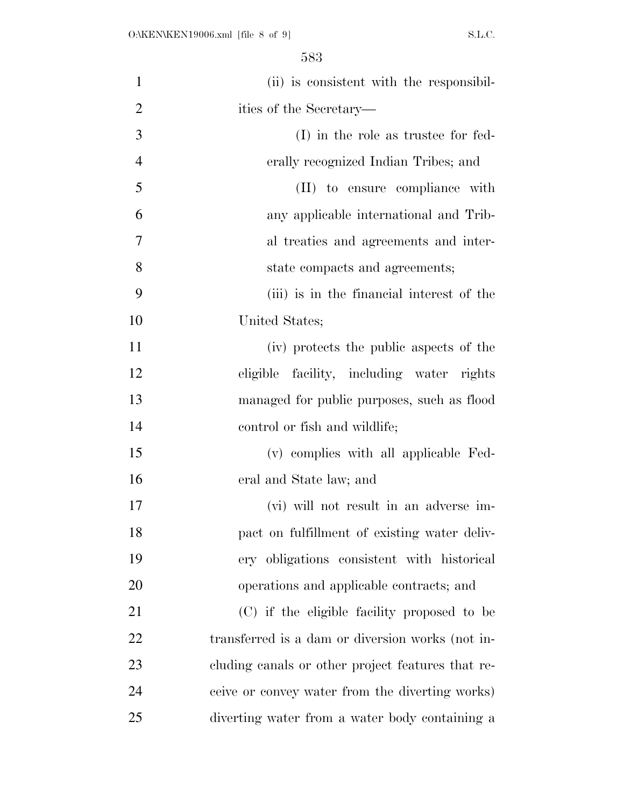| $\mathbf{1}$   | (ii) is consistent with the responsibil-          |
|----------------|---------------------------------------------------|
| $\overline{2}$ | ities of the Secretary—                           |
| 3              | (I) in the role as trustee for fed-               |
| $\overline{4}$ | erally recognized Indian Tribes; and              |
| 5              | (II) to ensure compliance with                    |
| 6              | any applicable international and Trib-            |
| 7              | al treaties and agreements and inter-             |
| 8              | state compacts and agreements;                    |
| 9              | (iii) is in the financial interest of the         |
| 10             | United States;                                    |
| 11             | (iv) protects the public aspects of the           |
| 12             | eligible facility, including water rights         |
| 13             | managed for public purposes, such as flood        |
| 14             | control or fish and wildlife;                     |
| 15             | (v) complies with all applicable Fed-             |
| 16             | eral and State law; and                           |
| 17             | (vi) will not result in an adverse im-            |
| 18             | pact on fulfillment of existing water deliv-      |
| 19             | ery obligations consistent with historical        |
| 20             | operations and applicable contracts; and          |
| 21             | (C) if the eligible facility proposed to be       |
| 22             | transferred is a dam or diversion works (not in-  |
| 23             | cluding canals or other project features that re- |
| 24             | ceive or convey water from the diverting works)   |
| 25             | diverting water from a water body containing a    |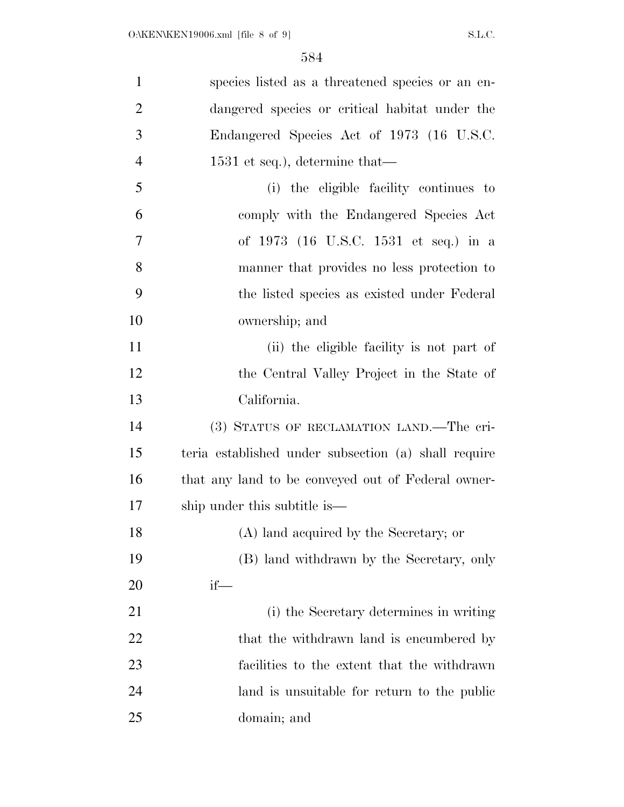| $\mathbf{1}$   | species listed as a threatened species or an en-     |
|----------------|------------------------------------------------------|
| $\overline{2}$ | dangered species or critical habitat under the       |
| 3              | Endangered Species Act of 1973 (16 U.S.C.            |
| $\overline{4}$ | $1531$ et seq.), determine that—                     |
| 5              | (i) the eligible facility continues to               |
| 6              | comply with the Endangered Species Act               |
| 7              | of 1973 (16 U.S.C. 1531 et seq.) in a                |
| 8              | manner that provides no less protection to           |
| 9              | the listed species as existed under Federal          |
| 10             | ownership; and                                       |
| 11             | (ii) the eligible facility is not part of            |
| 12             | the Central Valley Project in the State of           |
| 13             | California.                                          |
| 14             | (3) STATUS OF RECLAMATION LAND.—The cri-             |
| 15             | teria established under subsection (a) shall require |
| 16             | that any land to be conveyed out of Federal owner-   |
| 17             | ship under this subtitle is—                         |
| 18             | (A) land acquired by the Secretary; or               |
| 19             | (B) land withdrawn by the Secretary, only            |
| 20             | $if$ —                                               |
| 21             | (i) the Secretary determines in writing              |
| 22             | that the withdrawn land is encumbered by             |
| 23             | facilities to the extent that the withdrawn          |
| 24             | land is unsuitable for return to the public          |
| 25             | domain; and                                          |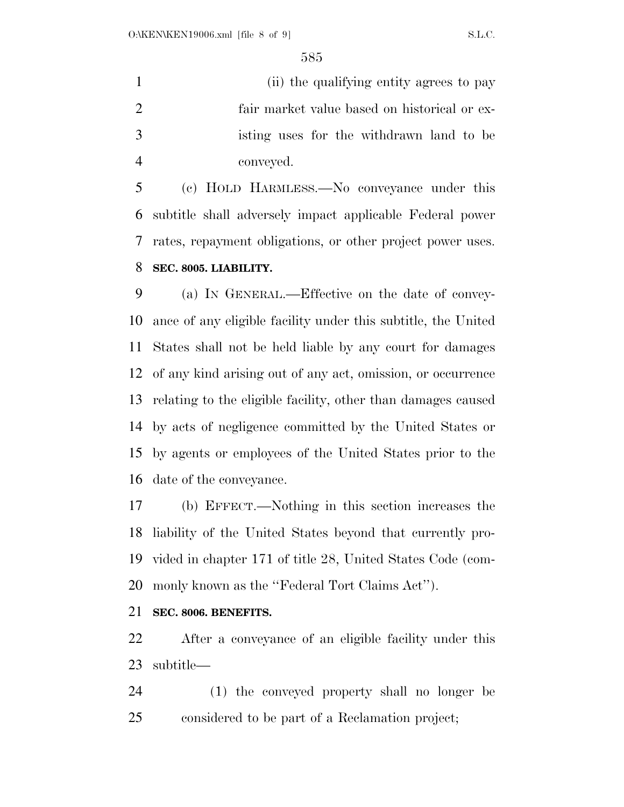(ii) the qualifying entity agrees to pay fair market value based on historical or ex- isting uses for the withdrawn land to be conveyed.

 (c) HOLD HARMLESS.—No conveyance under this subtitle shall adversely impact applicable Federal power rates, repayment obligations, or other project power uses.

## **SEC. 8005. LIABILITY.**

 (a) IN GENERAL.—Effective on the date of convey- ance of any eligible facility under this subtitle, the United States shall not be held liable by any court for damages of any kind arising out of any act, omission, or occurrence relating to the eligible facility, other than damages caused by acts of negligence committed by the United States or by agents or employees of the United States prior to the date of the conveyance.

 (b) EFFECT.—Nothing in this section increases the liability of the United States beyond that currently pro- vided in chapter 171 of title 28, United States Code (com-monly known as the ''Federal Tort Claims Act'').

## **SEC. 8006. BENEFITS.**

 After a conveyance of an eligible facility under this subtitle—

 (1) the conveyed property shall no longer be considered to be part of a Reclamation project;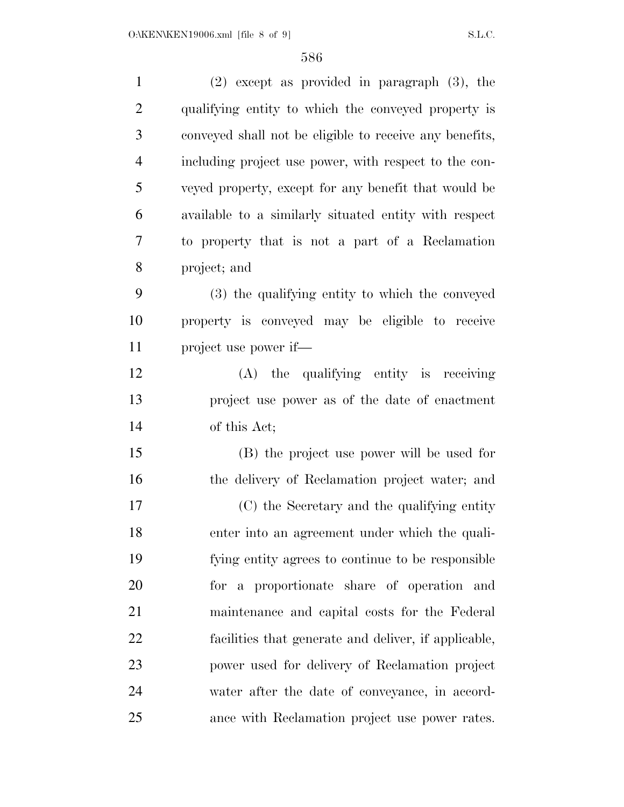| $\mathbf{1}$   | $(2)$ except as provided in paragraph $(3)$ , the       |
|----------------|---------------------------------------------------------|
| $\overline{2}$ | qualifying entity to which the conveyed property is     |
| 3              | conveyed shall not be eligible to receive any benefits, |
| $\overline{4}$ | including project use power, with respect to the con-   |
| 5              | veyed property, except for any benefit that would be    |
| 6              | available to a similarly situated entity with respect   |
| 7              | to property that is not a part of a Reclamation         |
| 8              | project; and                                            |
| 9              | (3) the qualifying entity to which the conveyed         |
| 10             | property is conveyed may be eligible to receive         |
| 11             | project use power if—                                   |
| 12             | (A) the qualifying entity is receiving                  |
| 13             | project use power as of the date of enactment           |
| 14             | of this Act;                                            |
| 15             | (B) the project use power will be used for              |
| 16             | the delivery of Reclamation project water; and          |
| 17             | (C) the Secretary and the qualifying entity             |
| 18             | enter into an agreement under which the quali-          |
| 19             | fying entity agrees to continue to be responsible       |
| 20             | for a proportionate share of operation and              |
| 21             | maintenance and capital costs for the Federal           |
| 22             | facilities that generate and deliver, if applicable,    |
| 23             | power used for delivery of Reclamation project          |
| 24             | water after the date of conveyance, in accord-          |
| 25             | ance with Reclamation project use power rates.          |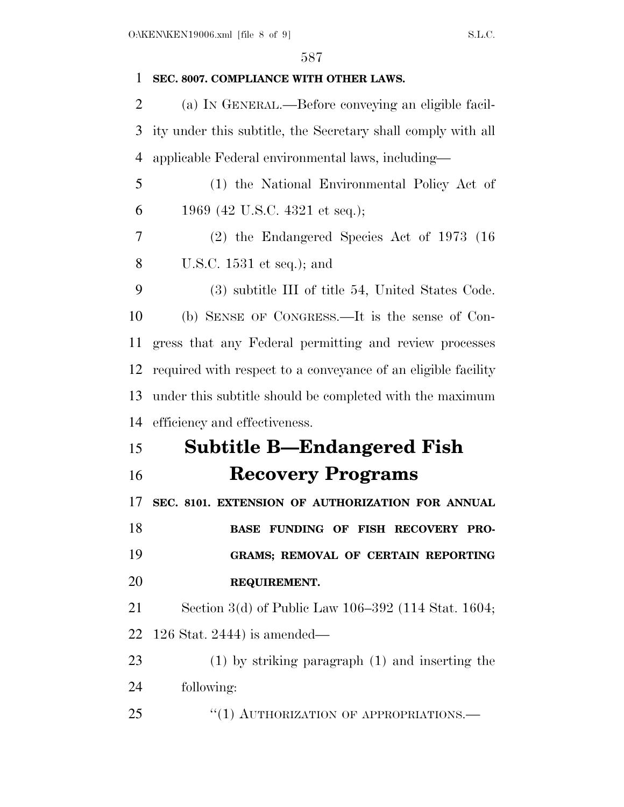| 1              | SEC. 8007. COMPLIANCE WITH OTHER LAWS.                        |
|----------------|---------------------------------------------------------------|
| $\overline{2}$ | (a) IN GENERAL.—Before conveying an eligible facil-           |
| 3              | ity under this subtitle, the Secretary shall comply with all  |
| $\overline{4}$ | applicable Federal environmental laws, including—             |
| 5              | (1) the National Environmental Policy Act of                  |
| 6              | 1969 (42 U.S.C. 4321 et seq.);                                |
| 7              | $(2)$ the Endangered Species Act of 1973 (16)                 |
| 8              | U.S.C. $1531$ et seq.); and                                   |
| 9              | (3) subtitle III of title 54, United States Code.             |
| 10             | (b) SENSE OF CONGRESS.—It is the sense of Con-                |
| 11             | gress that any Federal permitting and review processes        |
| 12             | required with respect to a conveyance of an eligible facility |
| 13             | under this subtitle should be completed with the maximum      |
| 14             | efficiency and effectiveness.                                 |
| 15             | <b>Subtitle B-Endangered Fish</b>                             |
| 16             | <b>Recovery Programs</b>                                      |
| 17             | SEC. 8101. EXTENSION OF AUTHORIZATION FOR ANNUAL              |
| 18             | BASE FUNDING OF FISH RECOVERY PRO-                            |
| 19             | GRAMS; REMOVAL OF CERTAIN REPORTING                           |
| 20             | REQUIREMENT.                                                  |
| 21             | Section 3(d) of Public Law 106–392 (114 Stat. 1604;           |
| 22             | $126$ Stat. 2444) is amended—                                 |
| 23             | $(1)$ by striking paragraph $(1)$ and inserting the           |
| 24             | following:                                                    |
| 25             | "(1) AUTHORIZATION OF APPROPRIATIONS.                         |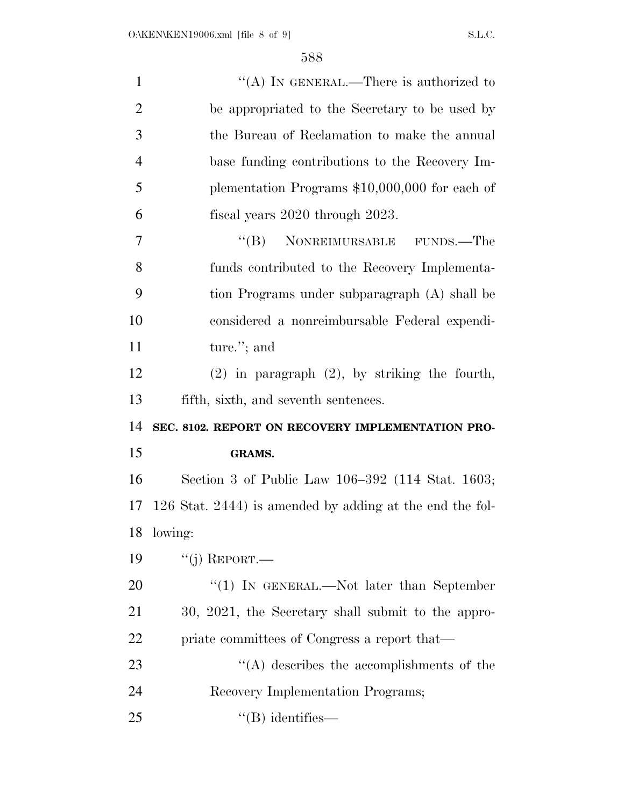| $\mathbf{1}$   | "(A) IN GENERAL.—There is authorized to                  |
|----------------|----------------------------------------------------------|
| $\overline{2}$ | be appropriated to the Secretary to be used by           |
| 3              | the Bureau of Reclamation to make the annual             |
| $\overline{4}$ | base funding contributions to the Recovery Im-           |
| 5              | plementation Programs $$10,000,000$ for each of          |
| 6              | fiscal years 2020 through 2023.                          |
| $\overline{7}$ | $\cdot$ (B) NONREIMURSABLE FUNDS.—The                    |
| 8              | funds contributed to the Recovery Implementa-            |
| 9              | tion Programs under subparagraph (A) shall be            |
| 10             | considered a nonreimbursable Federal expendi-            |
| 11             | ture."; and                                              |
| 12             | $(2)$ in paragraph $(2)$ , by striking the fourth,       |
| 13             | fifth, sixth, and seventh sentences.                     |
| 14             | SEC. 8102. REPORT ON RECOVERY IMPLEMENTATION PRO-        |
| 15             | <b>GRAMS.</b>                                            |
| 16             | Section 3 of Public Law 106–392 (114 Stat. 1603;         |
| 17             | 126 Stat. 2444) is amended by adding at the end the fol- |
| 18             | lowing:                                                  |
| 19             | $``(j)$ REPORT.—                                         |
| 20             | "(1) IN GENERAL.—Not later than September                |
| 21             | 30, 2021, the Secretary shall submit to the appro-       |
| 22             | priate committees of Congress a report that—             |
| 23             | $\lq\lq$ describes the accomplishments of the            |
| 24             | Recovery Implementation Programs;                        |
| 25             | $\lq\lq$ identifies —                                    |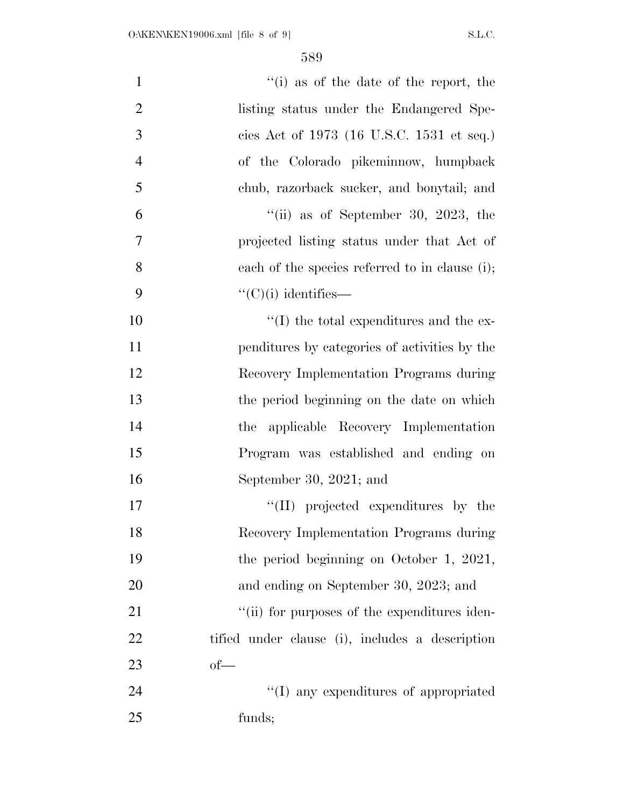| $\mathbf{1}$   | "(i) as of the date of the report, the          |
|----------------|-------------------------------------------------|
| $\overline{2}$ | listing status under the Endangered Spe-        |
| 3              | cies Act of 1973 (16 U.S.C. 1531 et seq.)       |
| $\overline{4}$ | of the Colorado pikeminnow, humpback            |
| 5              | chub, razorback sucker, and bonytail; and       |
| 6              | "(ii) as of September 30, 2023, the             |
| 7              | projected listing status under that Act of      |
| 8              | each of the species referred to in clause (i);  |
| 9              | $\lq\lq$ <sup>"</sup> (C)(i) identifies—        |
| 10             | $\lq\lq$ the total expenditures and the ex-     |
| 11             | penditures by categories of activities by the   |
| 12             | Recovery Implementation Programs during         |
| 13             | the period beginning on the date on which       |
| 14             | the applicable Recovery Implementation          |
| 15             | Program was established and ending on           |
| 16             | September 30, 2021; and                         |
| 17             | "(II) projected expenditures by the             |
| 18             | Recovery Implementation Programs during         |
| 19             | the period beginning on October 1, 2021,        |
| 20             | and ending on September 30, 2023; and           |
| 21             | "(ii) for purposes of the expenditures iden-    |
| 22             | tified under clause (i), includes a description |
| 23             | $of$ —                                          |
| 24             | "(I) any expenditures of appropriated           |
| 25             | funds;                                          |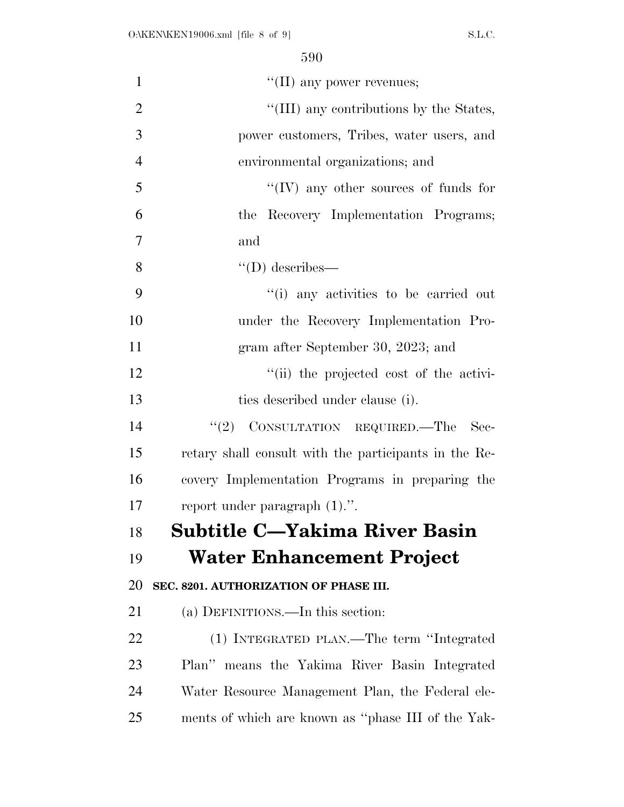| $\mathbf{1}$   | "(II) any power revenues;                             |
|----------------|-------------------------------------------------------|
| $\overline{2}$ | "(III) any contributions by the States,               |
| 3              | power customers, Tribes, water users, and             |
| $\overline{4}$ | environmental organizations; and                      |
| 5              | "(IV) any other sources of funds for                  |
| 6              | the Recovery Implementation Programs;                 |
| 7              | and                                                   |
| 8              | $\lq\lq$ (D) describes—                               |
| 9              | "(i) any activities to be carried out                 |
| 10             | under the Recovery Implementation Pro-                |
| 11             | gram after September 30, 2023; and                    |
| 12             | "(ii) the projected cost of the activi-               |
| 13             | ties described under clause (i).                      |
| 14             | $\lq(2)$ CONSULTATION REQUIRED.—The<br>- Sec-         |
| 15             | retary shall consult with the participants in the Re- |
| 16             | covery Implementation Programs in preparing the       |
| 17             | report under paragraph $(1)$ .".                      |
| 18             | <b>Subtitle C-Yakima River Basin</b>                  |
| 19             | Water Enhancement Project                             |
| 20             | SEC. 8201. AUTHORIZATION OF PHASE III.                |
| 21             | (a) DEFINITIONS.—In this section:                     |
| 22             | (1) INTEGRATED PLAN.—The term "Integrated             |
| 23             | Plan" means the Yakima River Basin Integrated         |
| 24             | Water Resource Management Plan, the Federal ele-      |
| 25             | ments of which are known as "phase III of the Yak-    |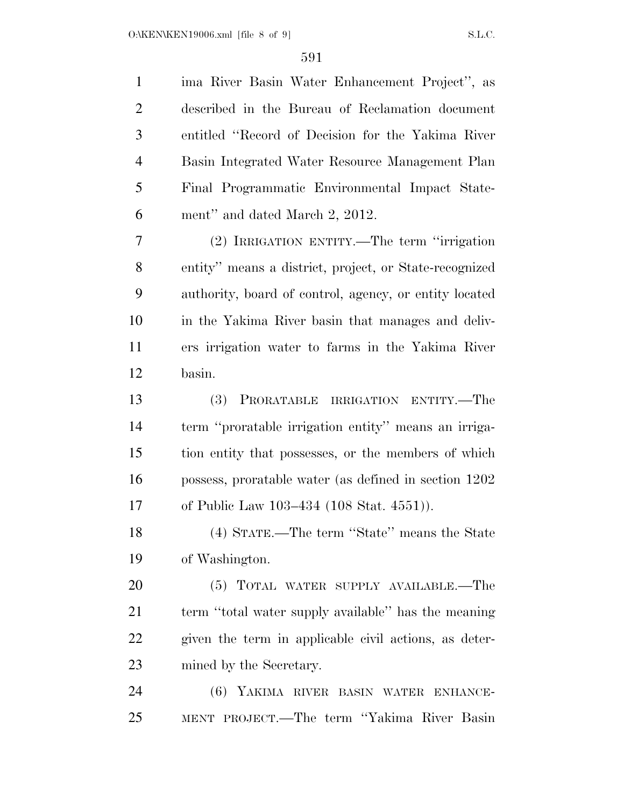| $\mathbf{1}$   | ima River Basin Water Enhancement Project", as         |
|----------------|--------------------------------------------------------|
| $\overline{2}$ | described in the Bureau of Reclamation document        |
| 3              | entitled "Record of Decision for the Yakima River      |
| $\overline{4}$ | Basin Integrated Water Resource Management Plan        |
| 5              | Final Programmatic Environmental Impact State-         |
| 6              | ment" and dated March 2, 2012.                         |
| 7              | (2) IRRIGATION ENTITY.—The term "irrigation"           |
| 8              | entity" means a district, project, or State-recognized |
| 9              | authority, board of control, agency, or entity located |
| 10             | in the Yakima River basin that manages and deliv-      |
| 11             | ers irrigation water to farms in the Yakima River      |
| 12             | basin.                                                 |
| 13             | PRORATABLE IRRIGATION ENTITY.—The<br>(3)               |
| 14             | term "proratable irrigation entity" means an irriga-   |
| 15             | tion entity that possesses, or the members of which    |
| 16             | possess, proratable water (as defined in section 1202) |
| 17             | of Public Law 103–434 (108 Stat. 4551)).               |
| 18             | (4) STATE.—The term "State" means the State            |
| 19             | of Washington.                                         |
| 20             | (5) TOTAL WATER SUPPLY AVAILABLE.—The                  |
| 21             | term "total water supply available" has the meaning    |
| 22             | given the term in applicable civil actions, as deter-  |
| 23             | mined by the Secretary.                                |
| 24             | (6) YAKIMA RIVER BASIN WATER ENHANCE-                  |
| 25             | MENT PROJECT.—The term "Yakima River Basin             |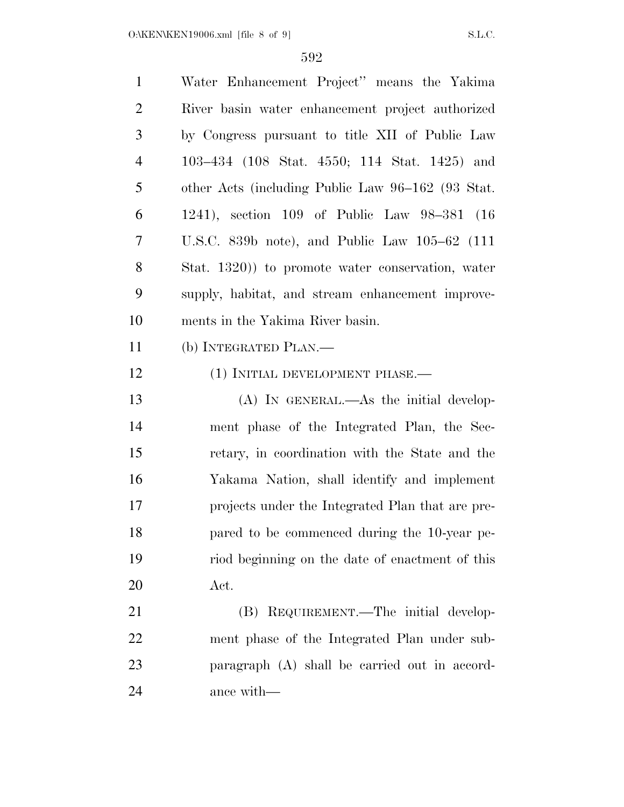| $\mathbf{1}$   | Water Enhancement Project" means the Yakima       |
|----------------|---------------------------------------------------|
| $\overline{2}$ | River basin water enhancement project authorized  |
| 3              | by Congress pursuant to title XII of Public Law   |
| $\overline{4}$ | 103–434 (108 Stat. 4550; 114 Stat. 1425) and      |
| 5              | other Acts (including Public Law 96–162 (93 Stat. |
| 6              | 1241), section 109 of Public Law 98-381 (16       |
| 7              | U.S.C. 839b note), and Public Law $105-62$ (111   |
| 8              | Stat. 1320) to promote water conservation, water  |
| 9              | supply, habitat, and stream enhancement improve-  |
| 10             | ments in the Yakima River basin.                  |
| 11             | (b) INTEGRATED PLAN.—                             |
| 12             | (1) INITIAL DEVELOPMENT PHASE.—                   |
|                |                                                   |
| 13             | $(A)$ In GENERAL.—As the initial develop-         |
| 14             | ment phase of the Integrated Plan, the Sec-       |
| 15             | retary, in coordination with the State and the    |
| 16             | Yakama Nation, shall identify and implement       |
| 17             | projects under the Integrated Plan that are pre-  |
| 18             | pared to be commenced during the 10-year pe-      |
| 19             | riod beginning on the date of enactment of this   |
| 20             | Act.                                              |
| 21             | (B) REQUIREMENT.—The initial develop-             |
| 22             | ment phase of the Integrated Plan under sub-      |
| 23             | paragraph (A) shall be carried out in accord-     |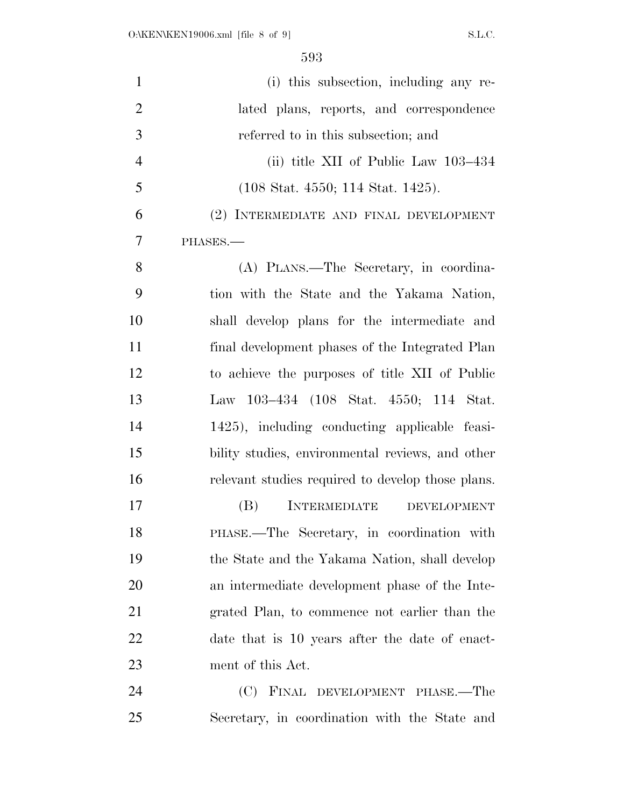| $\mathbf{1}$   | (i) this subsection, including any re-                |
|----------------|-------------------------------------------------------|
| $\overline{2}$ | lated plans, reports, and correspondence              |
| 3              | referred to in this subsection; and                   |
| $\overline{4}$ | (ii) title XII of Public Law 103–434                  |
| 5              | $(108 \text{ Stat. } 4550; 114 \text{ Stat. } 1425).$ |
| 6              | (2) INTERMEDIATE AND FINAL DEVELOPMENT                |
| 7              | PHASES.                                               |
| 8              | (A) PLANS.—The Secretary, in coordina-                |
| 9              | tion with the State and the Yakama Nation,            |
| 10             | shall develop plans for the intermediate and          |
| 11             | final development phases of the Integrated Plan       |
| 12             | to achieve the purposes of title XII of Public        |
| 13             | Law 103–434 (108 Stat. 4550; 114 Stat.                |
| 14             | 1425), including conducting applicable feasi-         |
| 15             | bility studies, environmental reviews, and other      |
| 16             | relevant studies required to develop those plans.     |
| 17             | (B)<br><b>INTERMEDIATE</b><br><b>DEVELOPMENT</b>      |
| 18             | PHASE.—The Secretary, in coordination with            |
| 19             | the State and the Yakama Nation, shall develop        |
| 20             | an intermediate development phase of the Inte-        |
| 21             | grated Plan, to commence not earlier than the         |
| 22             | date that is 10 years after the date of enact-        |
| 23             | ment of this Act.                                     |
| 24             | (C) FINAL DEVELOPMENT PHASE.—The                      |
| 25             | Secretary, in coordination with the State and         |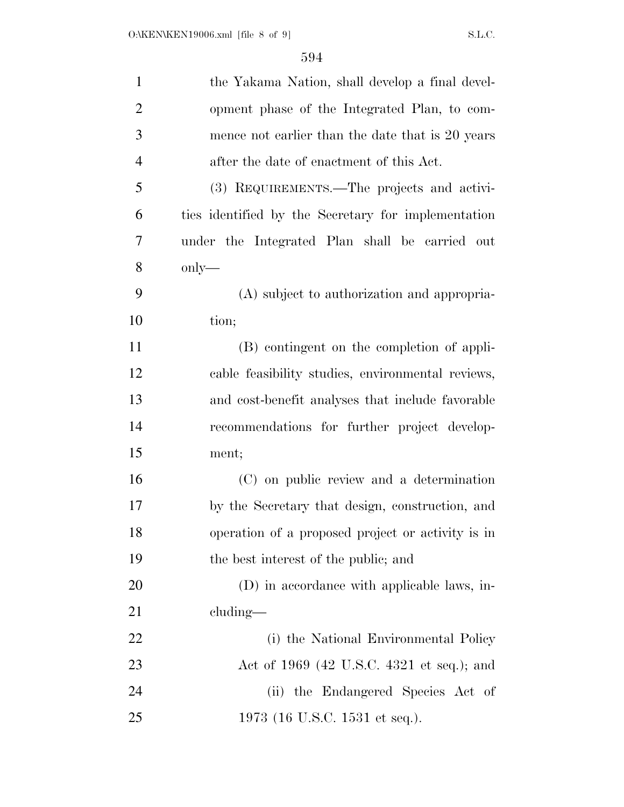| $\mathbf{1}$   | the Yakama Nation, shall develop a final devel-     |
|----------------|-----------------------------------------------------|
| $\overline{2}$ | opment phase of the Integrated Plan, to com-        |
| 3              | mence not earlier than the date that is 20 years    |
| $\overline{4}$ | after the date of enactment of this Act.            |
| 5              | (3) REQUIREMENTS.—The projects and activi-          |
| 6              | ties identified by the Secretary for implementation |
| 7              | under the Integrated Plan shall be carried out      |
| 8              | $\text{only}$ —                                     |
| 9              | (A) subject to authorization and appropria-         |
| 10             | tion;                                               |
| 11             | (B) contingent on the completion of appli-          |
| 12             | cable feasibility studies, environmental reviews,   |
| 13             | and cost-benefit analyses that include favorable    |
| 14             | recommendations for further project develop-        |
| 15             | ment;                                               |
| 16             | (C) on public review and a determination            |
| 17             | by the Secretary that design, construction, and     |
| 18             | operation of a proposed project or activity is in   |
| 19             | the best interest of the public; and                |
| 20             | (D) in accordance with applicable laws, in-         |
| 21             | $cluding$ —                                         |
| 22             | (i) the National Environmental Policy               |
| 23             | Act of 1969 (42 U.S.C. 4321 et seq.); and           |
| 24             | (ii) the Endangered Species Act of                  |
| 25             | 1973 (16 U.S.C. 1531 et seq.).                      |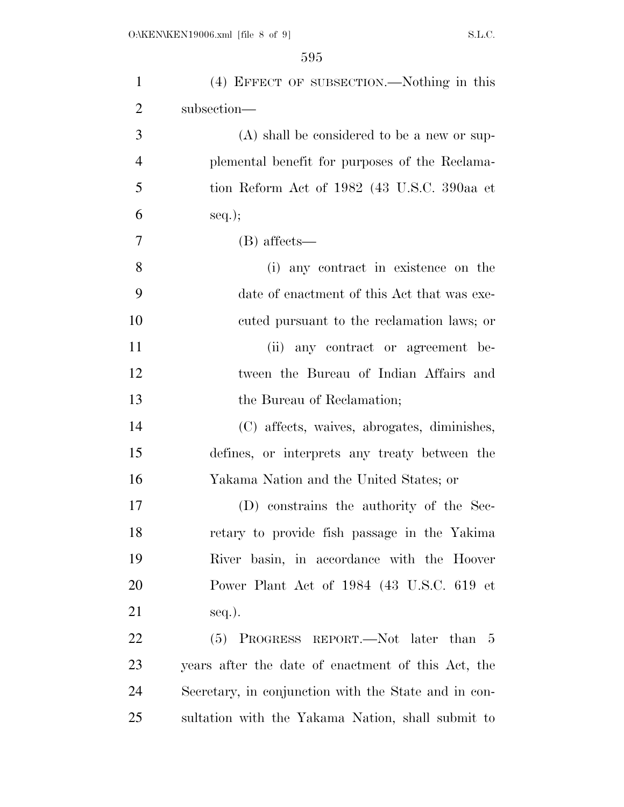| $\mathbf{1}$   | (4) EFFECT OF SUBSECTION.—Nothing in this            |
|----------------|------------------------------------------------------|
| $\overline{2}$ | subsection-                                          |
| 3              | $(A)$ shall be considered to be a new or sup-        |
| $\overline{4}$ | plemental benefit for purposes of the Reclama-       |
| 5              | tion Reform Act of 1982 (43 U.S.C. 390aa et          |
| 6              | $seq.$ ;                                             |
| $\overline{7}$ | (B) affects—                                         |
| 8              | (i) any contract in existence on the                 |
| 9              | date of enactment of this Act that was exe-          |
| 10             | cuted pursuant to the reclamation laws; or           |
| 11             | any contract or agreement be-<br>(ii)                |
| 12             | tween the Bureau of Indian Affairs and               |
| 13             | the Bureau of Reclamation;                           |
| 14             | (C) affects, waives, abrogates, diminishes,          |
| 15             | defines, or interprets any treaty between the        |
| 16             | Yakama Nation and the United States; or              |
| 17             | (D) constrains the authority of the Sec-             |
| 18             | retary to provide fish passage in the Yakima         |
| 19             | River basin, in accordance with the Hoover           |
| 20             | Power Plant Act of 1984 (43 U.S.C. 619 et            |
| 21             | seq.).                                               |
| 22             | (5) PROGRESS REPORT.—Not later than 5                |
| 23             | years after the date of enactment of this Act, the   |
| 24             | Secretary, in conjunction with the State and in con- |
| 25             | sultation with the Yakama Nation, shall submit to    |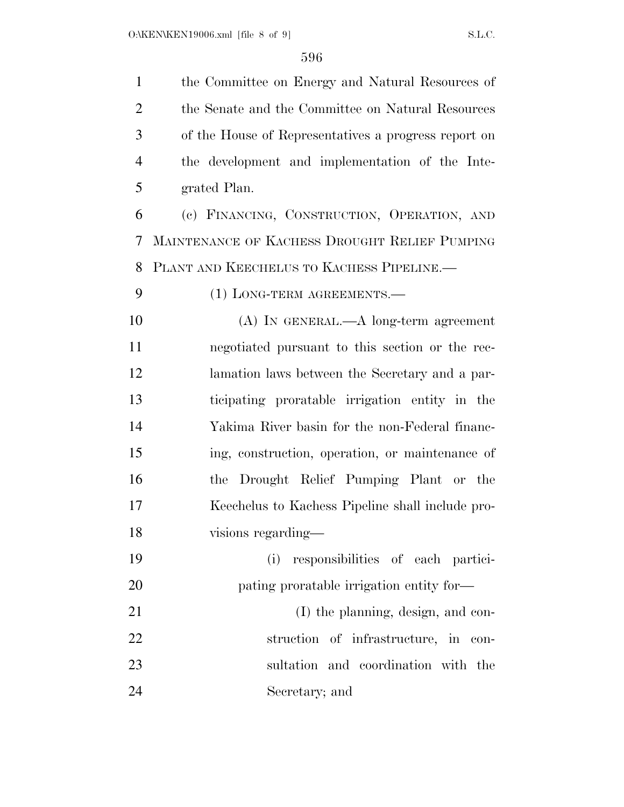| $\mathbf{1}$   | the Committee on Energy and Natural Resources of     |
|----------------|------------------------------------------------------|
| $\overline{2}$ | the Senate and the Committee on Natural Resources    |
| 3              | of the House of Representatives a progress report on |
| 4              | the development and implementation of the Inte-      |
| 5              | grated Plan.                                         |
| 6              | (c) FINANCING, CONSTRUCTION, OPERATION, AND          |
| 7              | MAINTENANCE OF KACHESS DROUGHT RELIEF PUMPING        |
| 8              | PLANT AND KEECHELUS TO KACHESS PIPELINE.             |
| 9              | $(1)$ LONG-TERM AGREEMENTS.—                         |
| 10             | $(A)$ In GENERAL.— $A$ long-term agreement           |
| 11             | negotiated pursuant to this section or the rec-      |
| 12             | lamation laws between the Secretary and a par-       |
| 13             | ticipating proratable irrigation entity in the       |
| 14             | Yakima River basin for the non-Federal financ-       |
| 15             | ing, construction, operation, or maintenance of      |
| 16             | the Drought Relief Pumping Plant or the              |
| 17             | Keechelus to Kachess Pipeline shall include pro-     |
| 18             | visions regarding—                                   |
| 19             | responsibilities of each partici-<br>(i)             |
| 20             | pating proratable irrigation entity for—             |
| 21             | (I) the planning, design, and con-                   |
| 22             | struction of infrastructure, in con-                 |
| 23             | sultation and coordination with the                  |
| 24             | Secretary; and                                       |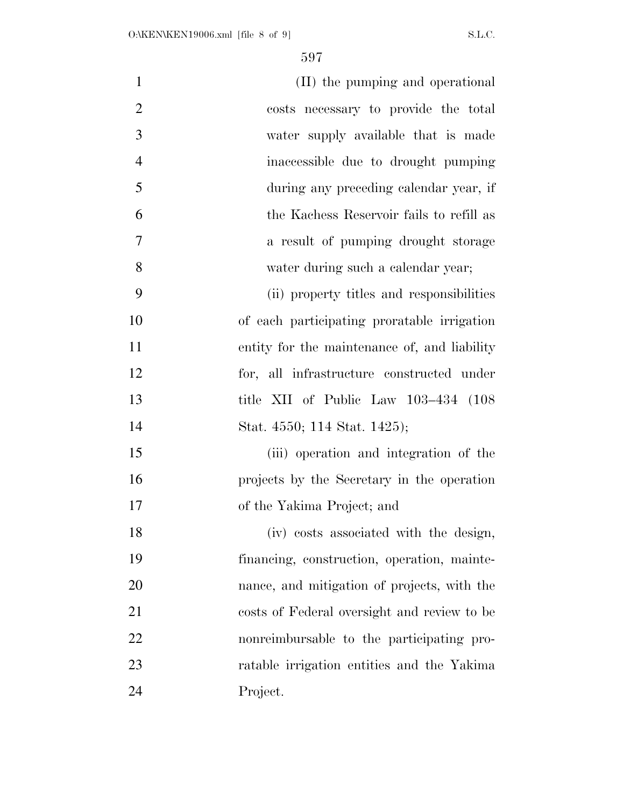| $\mathbf{1}$   | (II) the pumping and operational             |
|----------------|----------------------------------------------|
| $\overline{2}$ | costs necessary to provide the total         |
| 3              | water supply available that is made          |
| $\overline{4}$ | inaccessible due to drought pumping          |
| 5              | during any preceding calendar year, if       |
| 6              | the Kachess Reservoir fails to refill as     |
| 7              | a result of pumping drought storage          |
| 8              | water during such a calendar year;           |
| 9              | (ii) property titles and responsibilities    |
| 10             | of each participating proratable irrigation  |
| 11             | entity for the maintenance of, and liability |
| 12             | for, all infrastructure constructed under    |
| 13             | title XII of Public Law 103-434 (108)        |
| 14             | Stat. 4550; 114 Stat. 1425);                 |
| 15             | (iii) operation and integration of the       |
| 16             | projects by the Secretary in the operation   |
| 17             | of the Yakima Project; and                   |
| 18             | (iv) costs associated with the design,       |
| 19             | financing, construction, operation, mainte-  |
| 20             | nance, and mitigation of projects, with the  |
| 21             | costs of Federal oversight and review to be  |
| 22             | nonreimbursable to the participating pro-    |
| 23             | ratable irrigation entities and the Yakima   |
| 24             | Project.                                     |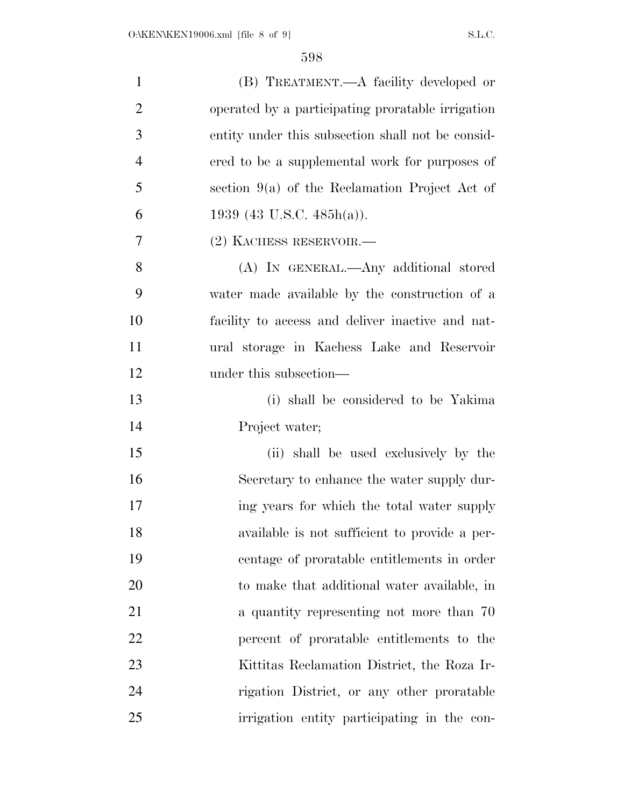| $\mathbf{1}$   | (B) TREATMENT.—A facility developed or            |
|----------------|---------------------------------------------------|
| $\overline{2}$ | operated by a participating proratable irrigation |
| 3              | entity under this subsection shall not be consid- |
| $\overline{4}$ | ered to be a supplemental work for purposes of    |
| 5              | section $9(a)$ of the Reclamation Project Act of  |
| 6              | 1939 (43 U.S.C. 485h(a)).                         |
| 7              | (2) KACHESS RESERVOIR.—                           |
| 8              | (A) IN GENERAL.—Any additional stored             |
| 9              | water made available by the construction of a     |
| 10             | facility to access and deliver inactive and nat-  |
| 11             | ural storage in Kachess Lake and Reservoir        |
| 12             | under this subsection—                            |
| 13             | (i) shall be considered to be Yakima              |
| 14             | Project water;                                    |
| 15             | (ii) shall be used exclusively by the             |
| 16             | Secretary to enhance the water supply dur-        |
| 17             | ing years for which the total water supply        |
| 18             | available is not sufficient to provide a per-     |
| 19             | centage of proratable entitlements in order       |
| 20             | to make that additional water available, in       |
| 21             | a quantity representing not more than 70          |
| 22             | percent of proratable entitlements to the         |
| 23             | Kittitas Reclamation District, the Roza Ir-       |
| 24             | rigation District, or any other proratable        |
| 25             | irrigation entity participating in the con-       |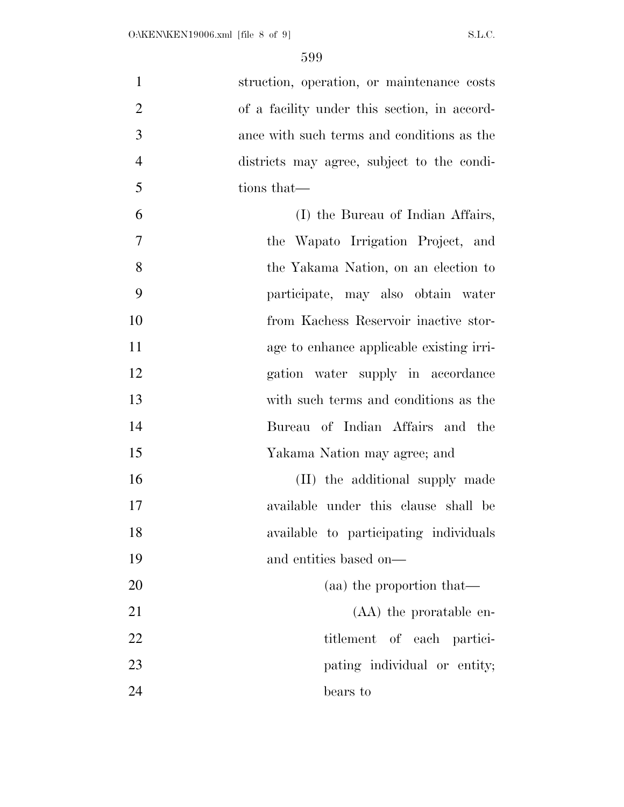| $\mathbf{1}$   | struction, operation, or maintenance costs   |
|----------------|----------------------------------------------|
| $\overline{2}$ | of a facility under this section, in accord- |
| 3              | ance with such terms and conditions as the   |
| $\overline{4}$ | districts may agree, subject to the condi-   |
| 5              | tions that—                                  |
| 6              | (I) the Bureau of Indian Affairs,            |
| $\overline{7}$ | the Wapato Irrigation Project, and           |
| 8              | the Yakama Nation, on an election to         |
| 9              | participate, may also obtain water           |
| 10             | from Kachess Reservoir inactive stor-        |
| 11             | age to enhance applicable existing irri-     |
| 12             | gation water supply in accordance            |
| 13             | with such terms and conditions as the        |
| 14             | Bureau of Indian Affairs and the             |
| 15             | Yakama Nation may agree; and                 |
| 16             | (II) the additional supply made              |
| 17             | available under this clause shall be         |
| 18             | available to participating individuals       |
| 19             | and entities based on—                       |
| 20             | (aa) the proportion that—                    |
| 21             | (AA) the proratable en-                      |
| 22             | titlement of each partici-                   |
| 23             | pating individual or entity;                 |
| 24             | bears to                                     |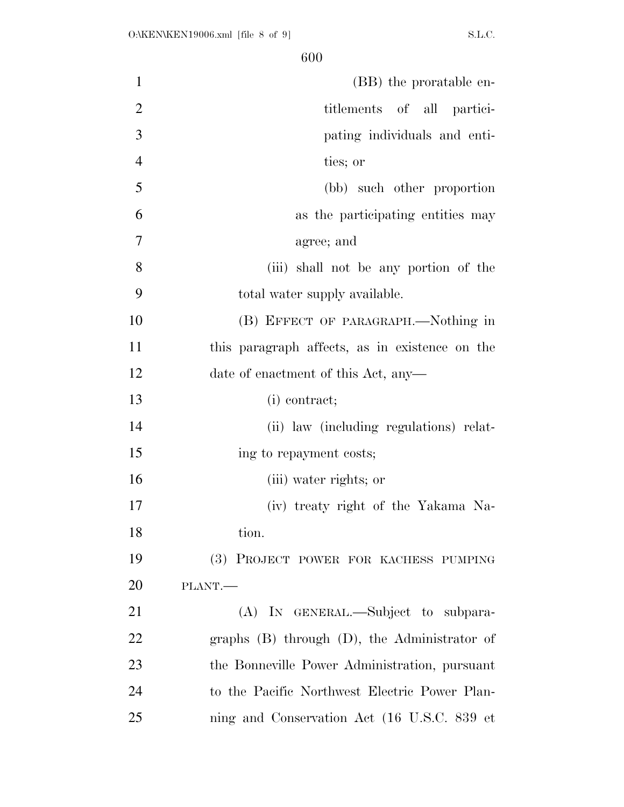| $\mathbf{1}$   | (BB) the proratable en-                        |
|----------------|------------------------------------------------|
| $\overline{2}$ | titlements of all partici-                     |
| 3              | pating individuals and enti-                   |
| $\overline{4}$ | ties; or                                       |
| 5              | (bb) such other proportion                     |
| 6              | as the participating entities may              |
| 7              | agree; and                                     |
| 8              | (iii) shall not be any portion of the          |
| 9              | total water supply available.                  |
| 10             | (B) EFFECT OF PARAGRAPH.—Nothing in            |
| 11             | this paragraph affects, as in existence on the |
| 12             | date of enactment of this Act, any-            |
| 13             | (i) contract;                                  |
| 14             | (ii) law (including regulations) relat-        |
| 15             | ing to repayment costs;                        |
| 16             | (iii) water rights; or                         |
| 17             | (iv) treaty right of the Yakama Na-            |
| 18             | tion.                                          |
| 19             | (3) PROJECT POWER FOR KACHESS PUMPING          |
| <b>20</b>      | PLANT.                                         |
| 21             | (A) IN GENERAL.—Subject to subpara-            |
| 22             | graphs (B) through (D), the Administrator of   |
| 23             | the Bonneville Power Administration, pursuant  |
| 24             | to the Pacific Northwest Electric Power Plan-  |
| 25             | ning and Conservation Act (16 U.S.C. 839 et    |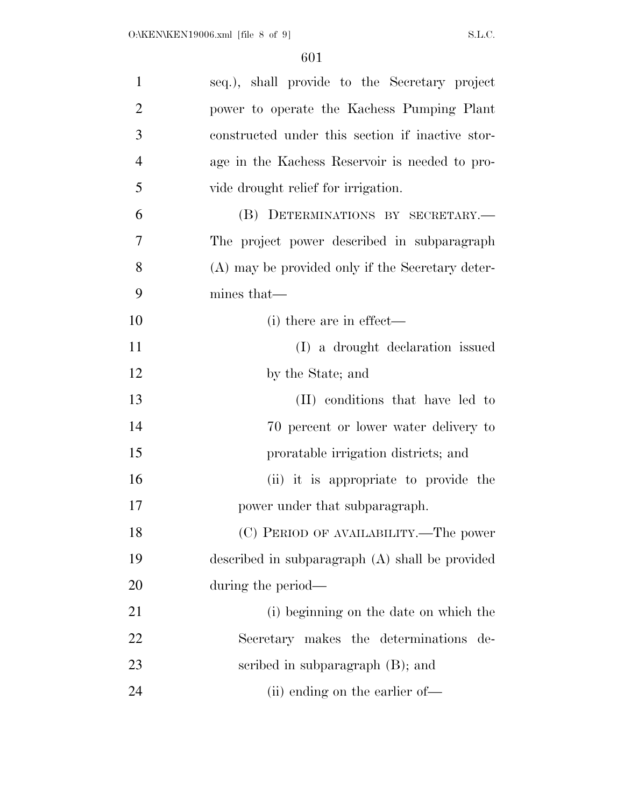| $\mathbf{1}$   | seq.), shall provide to the Secretary project    |
|----------------|--------------------------------------------------|
| $\overline{2}$ | power to operate the Kachess Pumping Plant       |
| 3              | constructed under this section if inactive stor- |
| $\overline{4}$ | age in the Kachess Reservoir is needed to pro-   |
| 5              | vide drought relief for irrigation.              |
| 6              | (B) DETERMINATIONS BY SECRETARY.-                |
| 7              | The project power described in subparagraph      |
| 8              | (A) may be provided only if the Secretary deter- |
| 9              | mines that—                                      |
| 10             | (i) there are in effect—                         |
| 11             | (I) a drought declaration issued                 |
| 12             | by the State; and                                |
| 13             | (II) conditions that have led to                 |
| 14             | 70 percent or lower water delivery to            |
| 15             | proratable irrigation districts; and             |
| 16             | (ii) it is appropriate to provide the            |
| 17             | power under that subparagraph.                   |
| 18             | (C) PERIOD OF AVAILABILITY.—The power            |
| 19             | described in subparagraph (A) shall be provided  |
| 20             | during the period—                               |
| 21             | (i) beginning on the date on which the           |
| 22             | Secretary makes the determinations<br>de-        |
| 23             | scribed in subparagraph $(B)$ ; and              |
| 24             | (ii) ending on the earlier of—                   |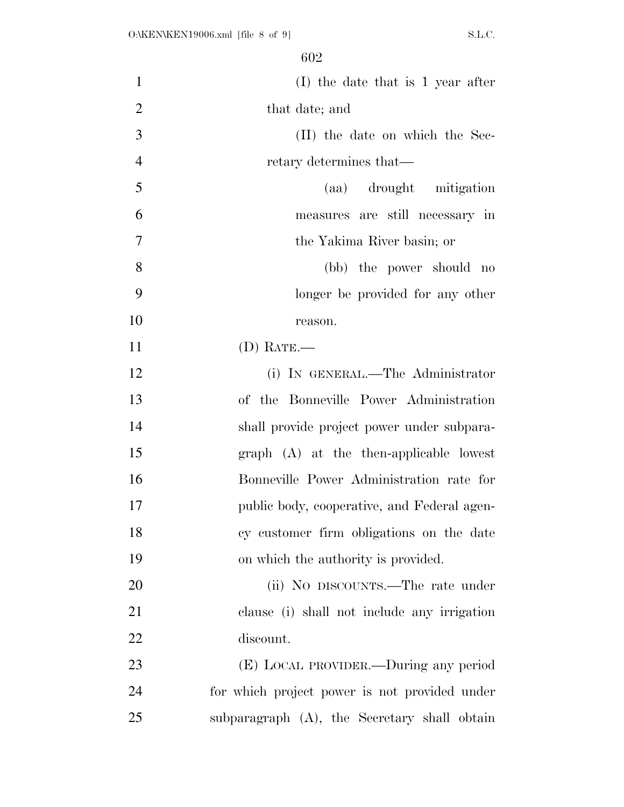| $\mathbf{1}$   | $(I)$ the date that is 1 year after           |
|----------------|-----------------------------------------------|
| $\overline{2}$ | that date; and                                |
| 3              | (II) the date on which the Sec-               |
| $\overline{4}$ | retary determines that—                       |
| 5              | (aa) drought mitigation                       |
| 6              | measures are still necessary in               |
| $\overline{7}$ | the Yakima River basin; or                    |
| 8              | (bb) the power should no                      |
| 9              | longer be provided for any other              |
| 10             | reason.                                       |
| 11             | $(D)$ RATE.—                                  |
| 12             | (i) IN GENERAL.—The Administrator             |
| 13             | of the Bonneville Power Administration        |
| 14             | shall provide project power under subpara-    |
| 15             | $graph$ $(A)$ at the then-applicable lowest   |
| 16             | Bonneville Power Administration rate for      |
| 17             | public body, cooperative, and Federal agen-   |
| 18             | cy customer firm obligations on the date      |
| 19             | on which the authority is provided.           |
| 20             | (ii) No DISCOUNTS.—The rate under             |
| 21             | clause (i) shall not include any irrigation   |
| 22             | discount.                                     |
| 23             | (E) LOCAL PROVIDER.—During any period         |
| 24             | for which project power is not provided under |
| 25             | subparagraph (A), the Secretary shall obtain  |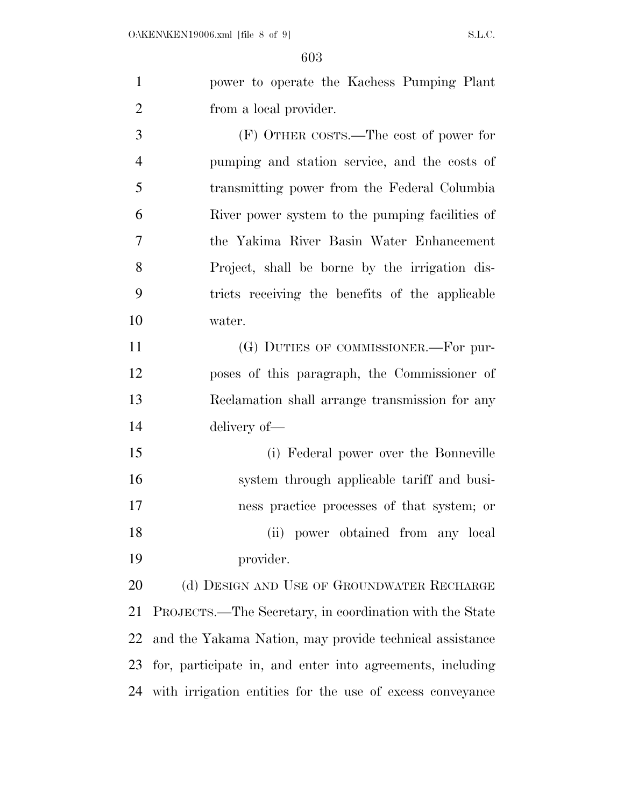| power to operate the Kachess Pumping Plant                                         |
|------------------------------------------------------------------------------------|
| from a local provider.                                                             |
| $(D)$ Amiran coome<br>$\mu_{\rm{loc}}$ $\sim$ $\mu_{\rm{c}}$ $\sim$ $\mu_{\rm{c}}$ |

 (F) OTHER COSTS.—The cost of power for pumping and station service, and the costs of transmitting power from the Federal Columbia River power system to the pumping facilities of the Yakima River Basin Water Enhancement Project, shall be borne by the irrigation dis- tricts receiving the benefits of the applicable water.

11 (G) DUTIES OF COMMISSIONER.—For pur- poses of this paragraph, the Commissioner of Reclamation shall arrange transmission for any delivery of—

 (i) Federal power over the Bonneville system through applicable tariff and busi- ness practice processes of that system; or (ii) power obtained from any local provider.

20 (d) DESIGN AND USE OF GROUNDWATER RECHARGE PROJECTS.—The Secretary, in coordination with the State and the Yakama Nation, may provide technical assistance for, participate in, and enter into agreements, including with irrigation entities for the use of excess conveyance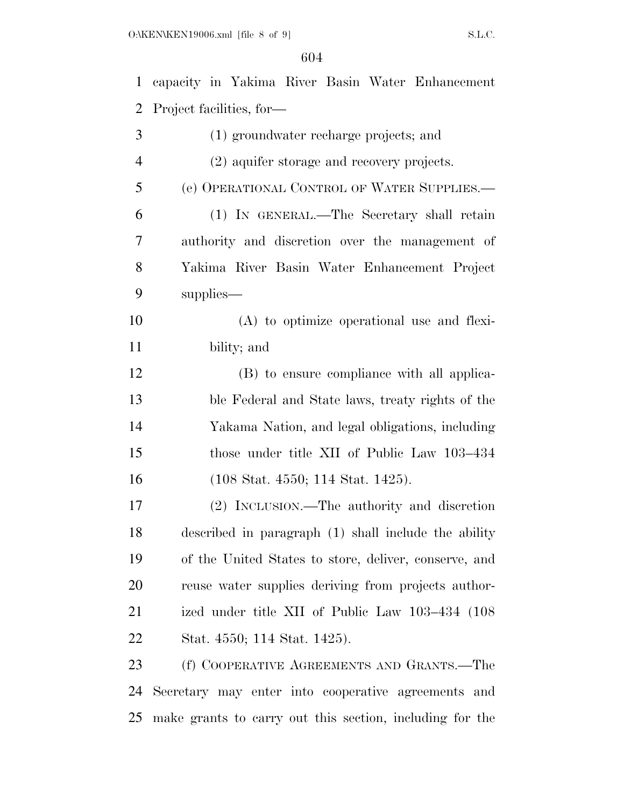| $\mathbf{1}$   | capacity in Yakima River Basin Water Enhancement         |
|----------------|----------------------------------------------------------|
| 2              | Project facilities, for-                                 |
| 3              | (1) groundwater recharge projects; and                   |
| $\overline{4}$ | (2) aquifer storage and recovery projects.               |
| 5              | (e) OPERATIONAL CONTROL OF WATER SUPPLIES.               |
| 6              | (1) IN GENERAL.—The Secretary shall retain               |
| 7              | authority and discretion over the management of          |
| 8              | Yakima River Basin Water Enhancement Project             |
| 9              | supplies—                                                |
| 10             | $(A)$ to optimize operational use and flexi-             |
| 11             | bility; and                                              |
| 12             | (B) to ensure compliance with all applica-               |
| 13             | ble Federal and State laws, treaty rights of the         |
| 14             | Yakama Nation, and legal obligations, including          |
| 15             | those under title XII of Public Law 103–434              |
| 16             | $(108 \text{ Stat. } 4550; 114 \text{ Stat. } 1425).$    |
| $17\,$         | (2) INCLUSION.—The authority and discretion              |
| 18             | described in paragraph (1) shall include the ability     |
| 19             | of the United States to store, deliver, conserve, and    |
| 20             | reuse water supplies deriving from projects author-      |
| 21             | ized under title XII of Public Law 103-434 (108)         |
| 22             | Stat. 4550; 114 Stat. 1425).                             |
| 23             | (f) COOPERATIVE AGREEMENTS AND GRANTS.—The               |
| 24             | Secretary may enter into cooperative agreements and      |
| 25             | make grants to carry out this section, including for the |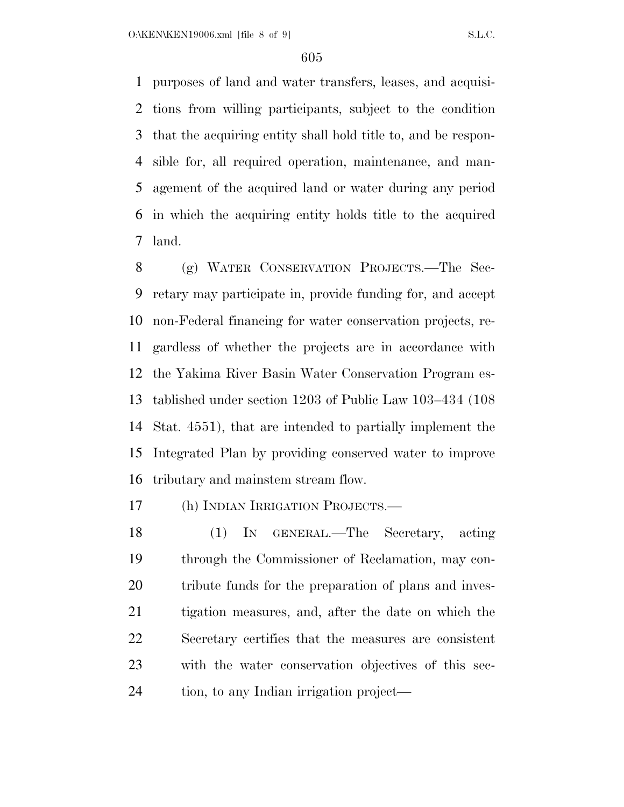purposes of land and water transfers, leases, and acquisi- tions from willing participants, subject to the condition that the acquiring entity shall hold title to, and be respon- sible for, all required operation, maintenance, and man- agement of the acquired land or water during any period in which the acquiring entity holds title to the acquired land.

 (g) WATER CONSERVATION PROJECTS.—The Sec- retary may participate in, provide funding for, and accept non-Federal financing for water conservation projects, re- gardless of whether the projects are in accordance with the Yakima River Basin Water Conservation Program es- tablished under section 1203 of Public Law 103–434 (108 Stat. 4551), that are intended to partially implement the Integrated Plan by providing conserved water to improve tributary and mainstem stream flow.

(h) INDIAN IRRIGATION PROJECTS.—

 (1) IN GENERAL.—The Secretary, acting through the Commissioner of Reclamation, may con- tribute funds for the preparation of plans and inves- tigation measures, and, after the date on which the Secretary certifies that the measures are consistent with the water conservation objectives of this sec-tion, to any Indian irrigation project—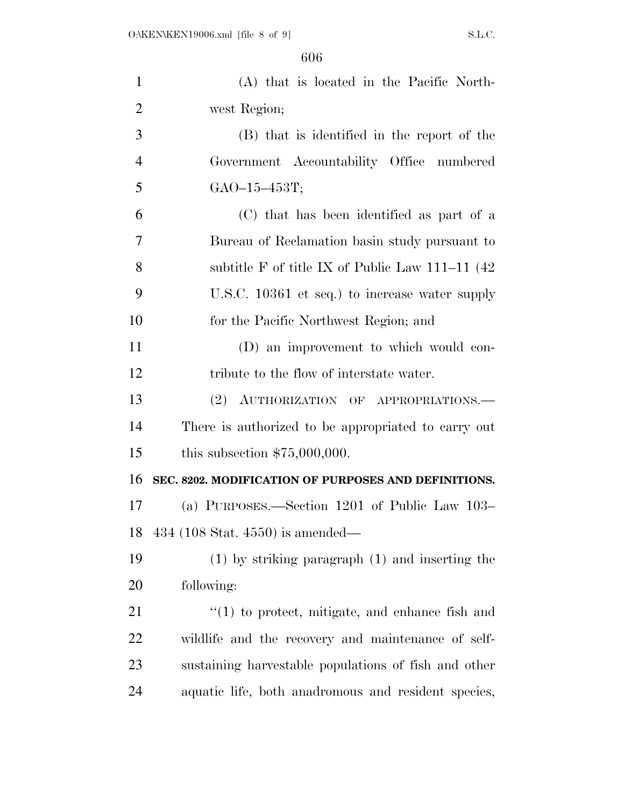| $\mathbf{1}$   | (A) that is located in the Pacific North-            |
|----------------|------------------------------------------------------|
| $\overline{2}$ | west Region;                                         |
| 3              | (B) that is identified in the report of the          |
| $\overline{4}$ | Government Accountability Office numbered            |
| 5              | $GAO-15-453T;$                                       |
| 6              | (C) that has been identified as part of a            |
| 7              | Bureau of Reclamation basin study pursuant to        |
| 8              | subtitle F of title IX of Public Law 111–11 $(42)$   |
| 9              | U.S.C. 10361 et seq.) to increase water supply       |
| 10             | for the Pacific Northwest Region; and                |
| 11             | (D) an improvement to which would con-               |
| 12             | tribute to the flow of interstate water.             |
| 13             | (2) AUTHORIZATION OF APPROPRIATIONS.                 |
| 14             | There is authorized to be appropriated to carry out  |
| 15             | this subsection $$75,000,000$ .                      |
| 16             | SEC. 8202. MODIFICATION OF PURPOSES AND DEFINITIONS. |
| 17             | (a) PURPOSES.—Section $1201$ of Public Law $103-$    |
| 18             | 434 (108 Stat. 4550) is amended—                     |
| 19             | $(1)$ by striking paragraph $(1)$ and inserting the  |
| 20             | following:                                           |
| 21             | $f'(1)$ to protect, mitigate, and enhance fish and   |
| 22             | wildlife and the recovery and maintenance of self-   |
| 23             | sustaining harvestable populations of fish and other |
| 24             | aquatic life, both anadromous and resident species,  |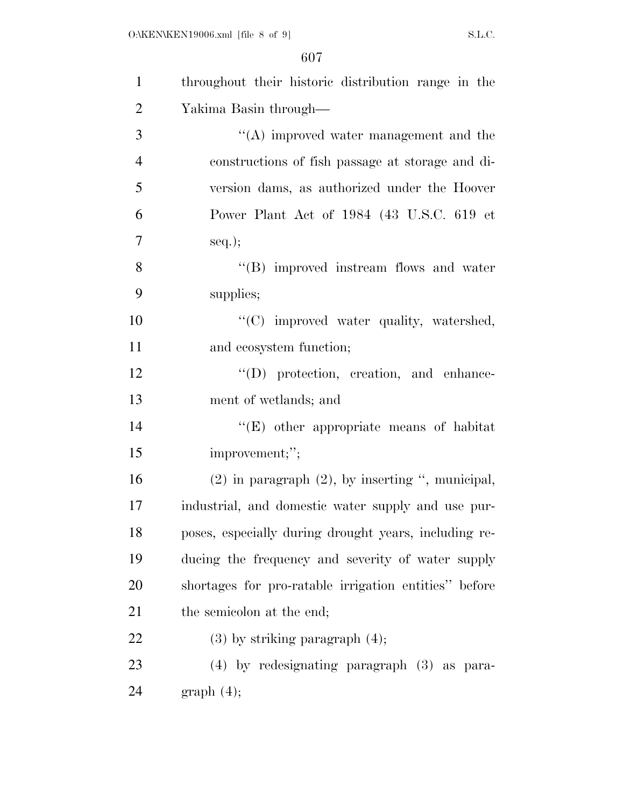| $\mathbf{1}$   | throughout their historic distribution range in the   |
|----------------|-------------------------------------------------------|
| $\overline{2}$ | Yakima Basin through—                                 |
| 3              | $\lq\lq$ improved water management and the            |
| $\overline{4}$ | constructions of fish passage at storage and di-      |
| 5              | version dams, as authorized under the Hoover          |
| 6              | Power Plant Act of 1984 (43 U.S.C. 619 et             |
| $\overline{7}$ | $seq.$ ;                                              |
| 8              | "(B) improved instream flows and water                |
| 9              | supplies;                                             |
| 10             | "(C) improved water quality, watershed,               |
| 11             | and ecosystem function;                               |
| 12             | $\lq\lq$ protection, creation, and enhance-           |
| 13             | ment of wetlands; and                                 |
| 14             | $\lq\lq(E)$ other appropriate means of habitat        |
| 15             | improvement;";                                        |
| 16             | $(2)$ in paragraph $(2)$ , by inserting ", municipal, |
| 17             | industrial, and domestic water supply and use pur-    |
| 18             | poses, especially during drought years, including re- |
| 19             | ducing the frequency and severity of water supply     |
| 20             | shortages for pro-ratable irrigation entities" before |
| 21             | the semicolon at the end;                             |
| 22             | $(3)$ by striking paragraph $(4)$ ;                   |
| 23             | $(4)$ by redesignating paragraph $(3)$ as para-       |
| 24             | graph(4);                                             |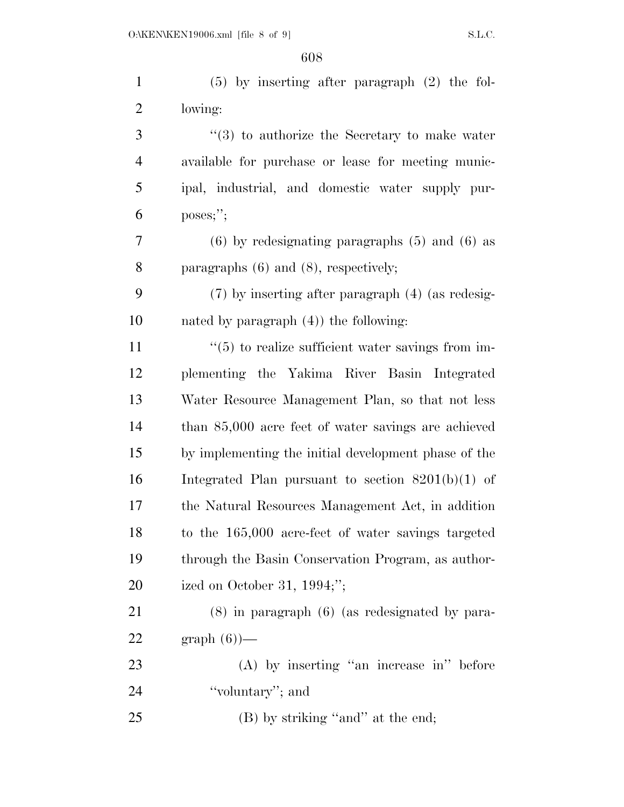| $\mathbf{1}$   | $(5)$ by inserting after paragraph $(2)$ the fol-             |
|----------------|---------------------------------------------------------------|
| $\overline{2}$ | lowing:                                                       |
| 3              | $(3)$ to authorize the Secretary to make water                |
| 4              | available for purchase or lease for meeting munic-            |
| 5              | ipal, industrial, and domestic water supply pur-              |
| 6              | $poss$ ;";                                                    |
| 7              | $(6)$ by redesignating paragraphs $(5)$ and $(6)$ as          |
| 8              | paragraphs $(6)$ and $(8)$ , respectively;                    |
| 9              | $(7)$ by inserting after paragraph $(4)$ (as redesig-         |
| 10             | nated by paragraph $(4)$ ) the following:                     |
| 11             | $\cdot\cdot$ (5) to realize sufficient water savings from im- |
| 12             | plementing the Yakima River Basin Integrated                  |
| 13             | Water Resource Management Plan, so that not less              |
| 14             | than 85,000 acre feet of water savings are achieved           |
| 15             | by implementing the initial development phase of the          |
| 16             | Integrated Plan pursuant to section $8201(b)(1)$ of           |
| 17             | the Natural Resources Management Act, in addition             |
| 18             | to the 165,000 acre-feet of water savings targeted            |
| 19             | through the Basin Conservation Program, as author-            |
| 20             | ized on October 31, $1994;$ ";                                |
| 21             | $(8)$ in paragraph $(6)$ (as redesignated by para-            |
| 22             | $graph(6)$ —                                                  |
| 23             | $(A)$ by inserting "an increase in" before                    |
| 24             | "voluntary"; and                                              |
| 25             | (B) by striking "and" at the end;                             |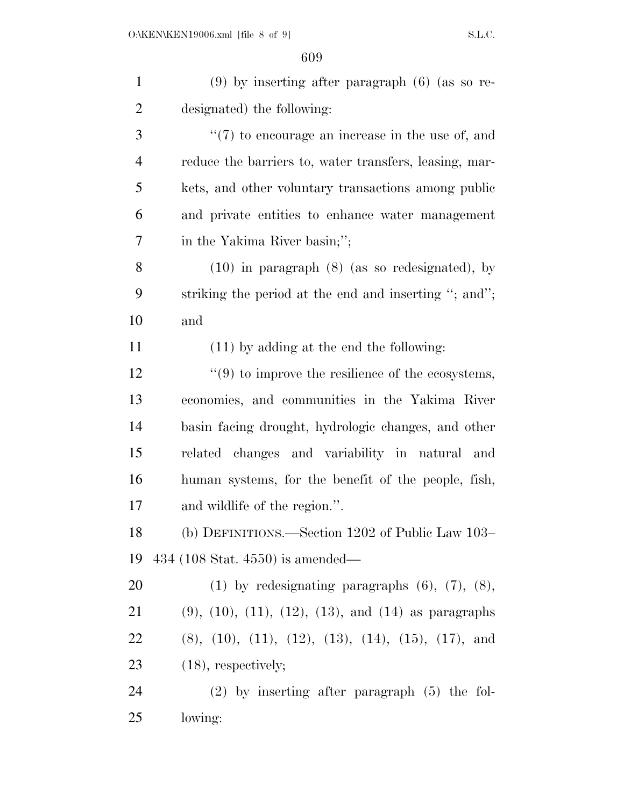| $\mathbf{1}$   | $(9)$ by inserting after paragraph $(6)$ (as so re-                  |
|----------------|----------------------------------------------------------------------|
| $\overline{2}$ | designated) the following:                                           |
| 3              | $\lq(7)$ to encourage an increase in the use of, and                 |
| $\overline{4}$ | reduce the barriers to, water transfers, leasing, mar-               |
| 5              | kets, and other voluntary transactions among public                  |
| 6              | and private entities to enhance water management                     |
| 7              | in the Yakima River basin;";                                         |
| 8              | $(10)$ in paragraph $(8)$ (as so redesignated), by                   |
| 9              | striking the period at the end and inserting "; and";                |
| 10             | and                                                                  |
| 11             | $(11)$ by adding at the end the following:                           |
| 12             | $\cdot\cdot\cdot(9)$ to improve the resilience of the ecosystems,    |
| 13             | economies, and communities in the Yakima River                       |
| 14             | basin facing drought, hydrologic changes, and other                  |
| 15             | related changes and variability in natural and                       |
| 16             | human systems, for the benefit of the people, fish,                  |
| 17             | and wildlife of the region.".                                        |
| 18             | (b) DEFINITIONS.—Section 1202 of Public Law 103–                     |
| 19             | 434 (108 Stat. 4550) is amended—                                     |
| 20             | $(1)$ by redesignating paragraphs $(6)$ , $(7)$ , $(8)$ ,            |
| 21             | $(9)$ , $(10)$ , $(11)$ , $(12)$ , $(13)$ , and $(14)$ as paragraphs |
| 22             | $(8), (10), (11), (12), (13), (14), (15), (17), and$                 |
| 23             | $(18)$ , respectively;                                               |
| 24             | $(2)$ by inserting after paragraph $(5)$ the fol-                    |
| 25             | lowing:                                                              |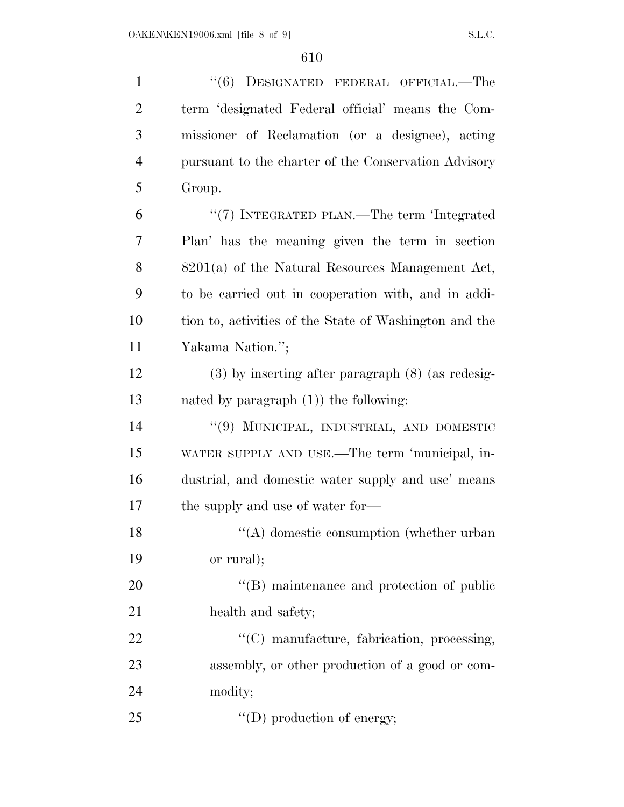| $\mathbf{1}$   | "(6) DESIGNATED FEDERAL OFFICIAL.—The                  |
|----------------|--------------------------------------------------------|
| $\overline{2}$ | term 'designated Federal official' means the Com-      |
| 3              | missioner of Reclamation (or a designee), acting       |
| $\overline{4}$ | pursuant to the charter of the Conservation Advisory   |
| 5              | Group.                                                 |
| 6              | "(7) INTEGRATED PLAN.—The term 'Integrated             |
| 7              | Plan' has the meaning given the term in section        |
| 8              | $8201(a)$ of the Natural Resources Management Act,     |
| 9              | to be carried out in cooperation with, and in addi-    |
| 10             | tion to, activities of the State of Washington and the |
| 11             | Yakama Nation.";                                       |
| 12             | $(3)$ by inserting after paragraph $(8)$ (as redesig-  |
| 13             | nated by paragraph $(1)$ ) the following:              |
| 14             | "(9) MUNICIPAL, INDUSTRIAL, AND DOMESTIC               |
| 15             | WATER SUPPLY AND USE.—The term 'municipal, in-         |
| 16             | dustrial, and domestic water supply and use' means     |
| 17             | the supply and use of water for—                       |
| 18             | $\lq\lq$ domestic consumption (whether urban           |
| 19             | or rural);                                             |
| 20             | $\lq\lq$ (B) maintenance and protection of public      |
| 21             | health and safety;                                     |
| 22             | "(C) manufacture, fabrication, processing,             |
| 23             | assembly, or other production of a good or com-        |
| 24             | modity;                                                |
| 25             | $\lq\lq$ (D) production of energy;                     |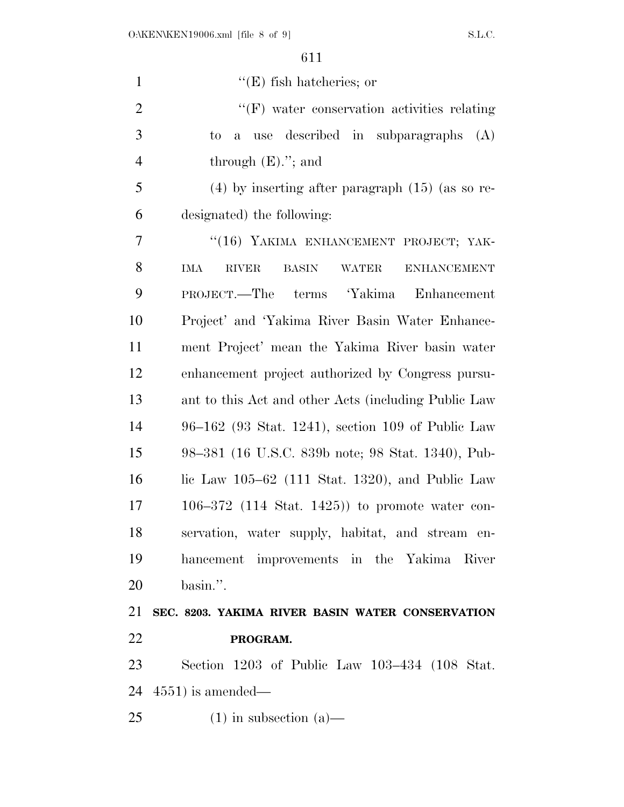| ۰.<br>× |  |  |
|---------|--|--|
|         |  |  |

| $\mathbf{1}$   | $\lq\lq(E)$ fish hatcheries; or                                                  |
|----------------|----------------------------------------------------------------------------------|
| $\overline{2}$ | $\lq\lq(F)$ water conservation activities relating                               |
| 3              | use described in subparagraphs<br>(A)<br>to.<br>$\mathbf{a}$                     |
| $\overline{4}$ | through $(E)$ ."; and                                                            |
| 5              | $(4)$ by inserting after paragraph $(15)$ (as so re-                             |
| 6              | designated) the following:                                                       |
| 7              | "(16) YAKIMA ENHANCEMENT PROJECT; YAK-                                           |
| 8              | <b>ENHANCEMENT</b><br><b>IMA</b><br><b>RIVER</b><br><b>BASIN</b><br><b>WATER</b> |
| 9              | PROJECT.—The terms 'Yakima<br>Enhancement                                        |
| 10             | Project' and 'Yakima River Basin Water Enhance-                                  |
| 11             | ment Project' mean the Yakima River basin water                                  |
| 12             | enhancement project authorized by Congress pursu-                                |
| 13             | ant to this Act and other Acts (including Public Law                             |
| 14             | 96–162 (93 Stat. 1241), section 109 of Public Law                                |
| 15             | 98–381 (16 U.S.C. 839b note; 98 Stat. 1340), Pub-                                |
| 16             | lic Law $105-62$ (111 Stat. 1320), and Public Law                                |
| 17             | $106-372$ (114 Stat. 1425)) to promote water con-                                |
| 18             | servation, water supply, habitat, and stream en-                                 |
| 19             | hancement improvements in the Yakima River                                       |
| 20             | basin.".                                                                         |
| 21             | SEC. 8203. YAKIMA RIVER BASIN WATER CONSERVATION                                 |
| 22             | PROGRAM.                                                                         |
| 23             | Section 1203 of Public Law 103–434 (108 Stat.                                    |
| 24             | $(4551)$ is amended—                                                             |
| 25             | $(1)$ in subsection $(a)$ —                                                      |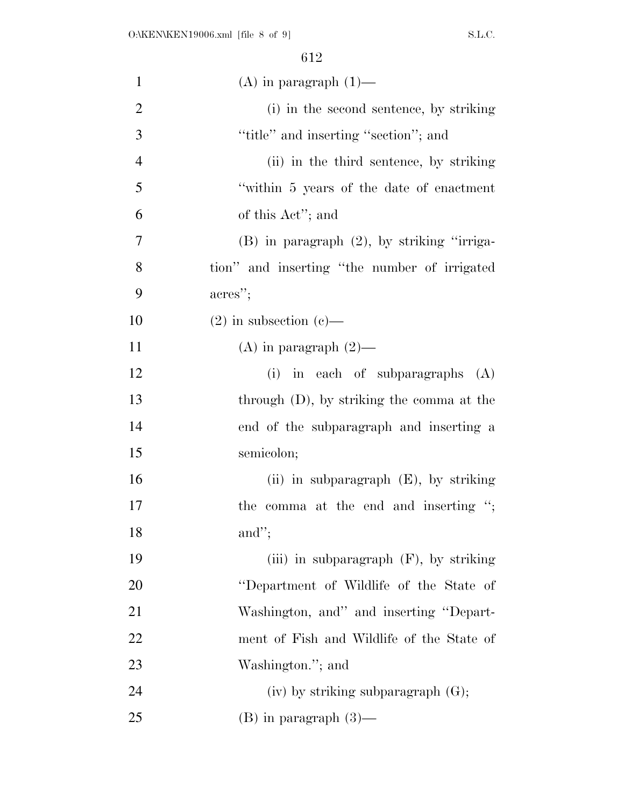| $\mathbf{1}$   | $(A)$ in paragraph $(1)$ —                      |
|----------------|-------------------------------------------------|
| $\overline{2}$ | (i) in the second sentence, by striking         |
| 3              | "title" and inserting "section"; and            |
| $\overline{4}$ | (ii) in the third sentence, by striking         |
| 5              | "within 5 years of the date of enactment"       |
| 6              | of this Act"; and                               |
| 7              | $(B)$ in paragraph $(2)$ , by striking "irriga- |
| 8              | tion" and inserting "the number of irrigated    |
| 9              | acres";                                         |
| 10             | $(2)$ in subsection $(e)$ —                     |
| 11             | (A) in paragraph $(2)$ —                        |
| 12             | (i) in each of subparagraphs $(A)$              |
| 13             | through $(D)$ , by striking the comma at the    |
| 14             | end of the subparagraph and inserting a         |
| 15             | semicolon;                                      |
| 16             | (ii) in subparagraph $(E)$ , by striking        |
| 17             | the comma at the end and inserting ";           |
| 18             | and";                                           |
| 19             | (iii) in subparagraph $(F)$ , by striking       |
| 20             | "Department of Wildlife of the State of         |
| 21             | Washington, and" and inserting "Depart-         |
| 22             | ment of Fish and Wildlife of the State of       |
| 23             | Washington."; and                               |
| 24             | $(iv)$ by striking subparagraph $(G)$ ;         |
| 25             | $(B)$ in paragraph $(3)$ —                      |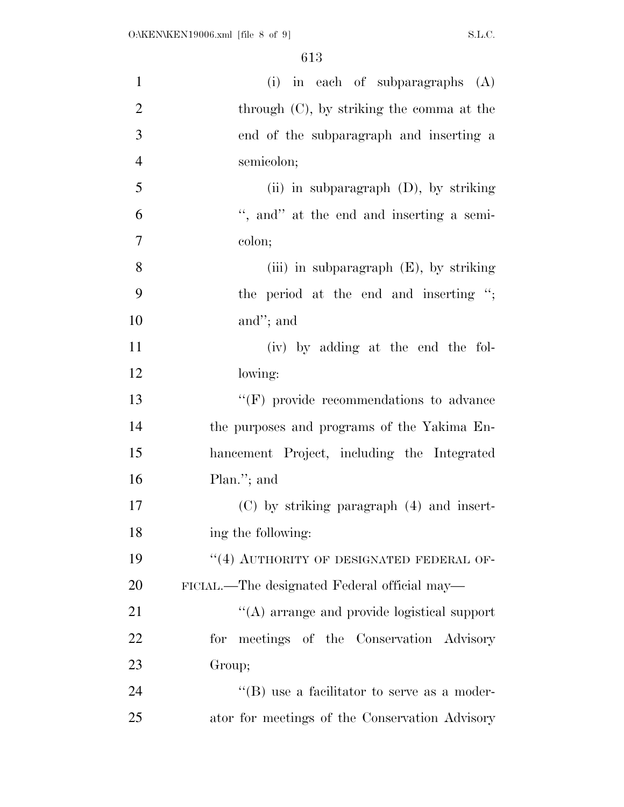| $\mathbf{1}$   | (i) in each of subparagraphs $(A)$                  |
|----------------|-----------------------------------------------------|
| $\overline{2}$ | through $(C)$ , by striking the comma at the        |
| 3              | end of the subparagraph and inserting a             |
| $\overline{4}$ | semicolon;                                          |
| 5              | (ii) in subparagraph $(D)$ , by striking            |
| 6              | ", and" at the end and inserting a semi-            |
| 7              | colon;                                              |
| 8              | (iii) in subparagraph $(E)$ , by striking           |
| 9              | the period at the end and inserting ";              |
| 10             | and"; and                                           |
| 11             | (iv) by adding at the end the fol-                  |
| 12             | lowing:                                             |
| 13             | $``(F)$ provide recommendations to advance          |
| 14             | the purposes and programs of the Yakima En-         |
| 15             | hancement Project, including the Integrated         |
| 16             | Plan."; and                                         |
| 17             | $(C)$ by striking paragraph $(4)$ and insert-       |
| 18             | ing the following:                                  |
| 19             | "(4) AUTHORITY OF DESIGNATED FEDERAL OF-            |
| 20             | FICIAL.—The designated Federal official may—        |
| 21             | $\lq\lq$ arrange and provide logistical support     |
| 22             | for meetings of the Conservation Advisory           |
| 23             | Group;                                              |
| 24             | $\lq\lq (B)$ use a facilitator to serve as a moder- |
| 25             | ator for meetings of the Conservation Advisory      |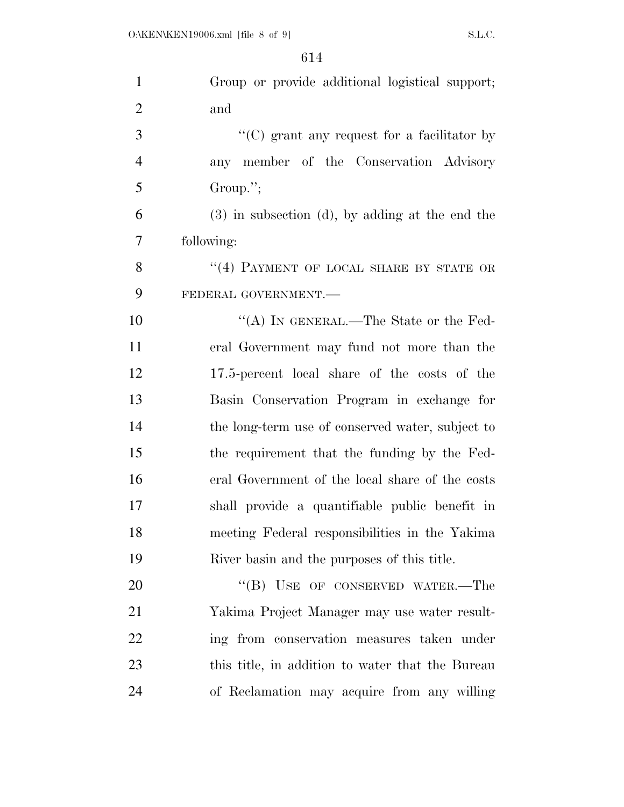| $\mathbf{1}$   | Group or provide additional logistical support;      |
|----------------|------------------------------------------------------|
| $\overline{2}$ | and                                                  |
| 3              | $\lq\lq$ (C) grant any request for a facilitator by  |
| $\overline{4}$ | any member of the Conservation Advisory              |
| 5              | Group.";                                             |
| 6              | $(3)$ in subsection $(d)$ , by adding at the end the |
| 7              | following:                                           |
| 8              | "(4) PAYMENT OF LOCAL SHARE BY STATE OR              |
| 9              | FEDERAL GOVERNMENT.                                  |
| 10             | "(A) IN GENERAL.—The State or the Fed-               |
| 11             | eral Government may fund not more than the           |
| 12             | 17.5-percent local share of the costs of the         |
| 13             | Basin Conservation Program in exchange for           |
| 14             | the long-term use of conserved water, subject to     |
| 15             | the requirement that the funding by the Fed-         |
| 16             | eral Government of the local share of the costs      |
| 17             | shall provide a quantifiable public benefit in       |
| 18             | meeting Federal responsibilities in the Yakima       |
| 19             | River basin and the purposes of this title.          |
| 20             | "(B) USE OF CONSERVED WATER.—The                     |
| 21             | Yakima Project Manager may use water result-         |
| 22             | ing from conservation measures taken under           |
| 23             | this title, in addition to water that the Bureau     |
| 24             | of Reclamation may acquire from any willing          |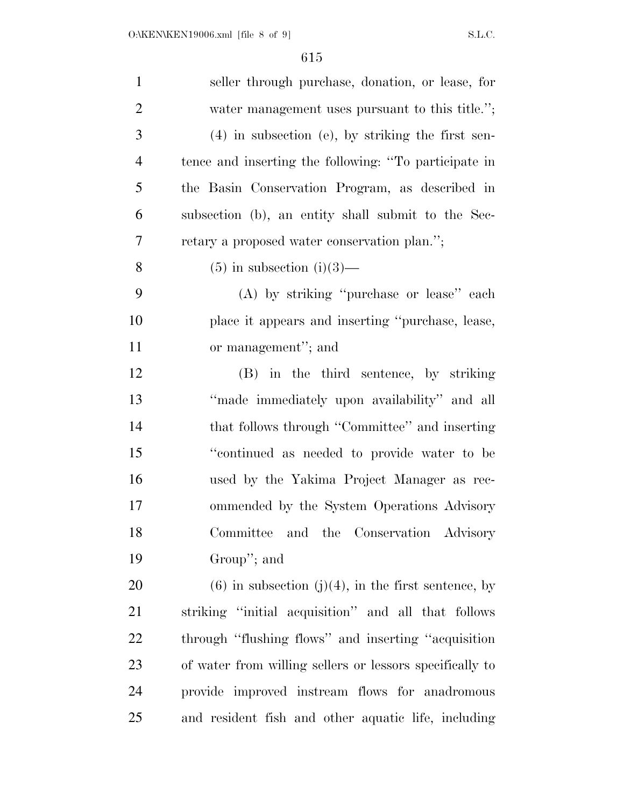| $\mathbf{1}$   | seller through purchase, donation, or lease, for         |
|----------------|----------------------------------------------------------|
| $\mathbf{2}$   | water management uses pursuant to this title.";          |
| 3              | $(4)$ in subsection (e), by striking the first sen-      |
| $\overline{4}$ | tence and inserting the following: "To participate in    |
| $\mathfrak{S}$ | the Basin Conservation Program, as described in          |
| 6              | subsection (b), an entity shall submit to the Sec-       |
| 7              | retary a proposed water conservation plan.";             |
| 8              | $(5)$ in subsection $(i)(3)$ —                           |
| 9              | (A) by striking "purchase or lease" each                 |
| 10             | place it appears and inserting "purchase, lease,         |
| 11             | or management"; and                                      |
| 12             | (B) in the third sentence, by striking                   |
| 13             | "made immediately upon availability" and all             |
| 14             | that follows through "Committee" and inserting           |
| 15             | "continued as needed to provide water to be              |
| 16             | used by the Yakima Project Manager as rec-               |
| 17             | ommended by the System Operations Advisory               |
| 18             | Committee and the Conservation Advisory                  |
| 19             | Group"; and                                              |
| 20             | $(6)$ in subsection $(j)(4)$ , in the first sentence, by |
| 21             | striking "initial acquisition" and all that follows      |
| 22             | through "flushing flows" and inserting "acquisition"     |
| 23             | of water from willing sellers or lessors specifically to |
| 24             | provide improved instream flows for anadromous           |
| 25             | and resident fish and other aquatic life, including      |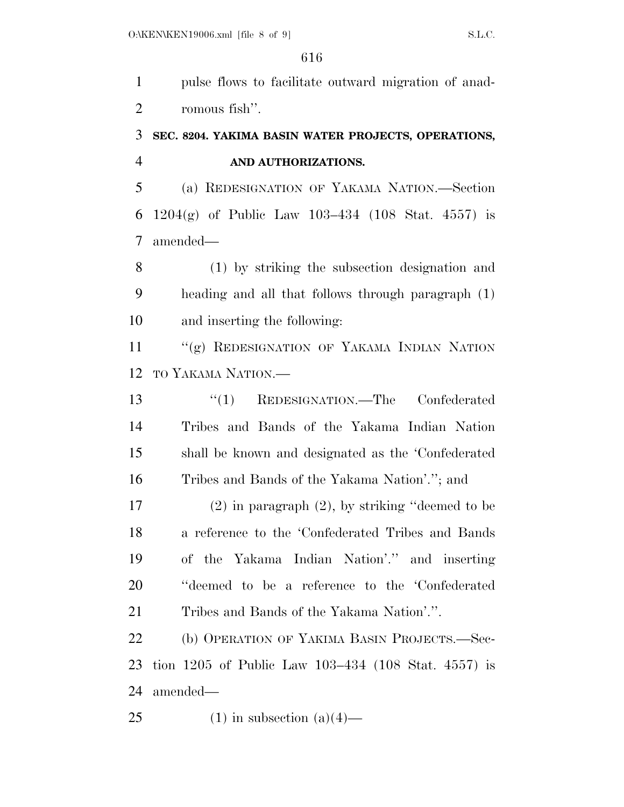pulse flows to facilitate outward migration of anad-romous fish''.

## **SEC. 8204. YAKIMA BASIN WATER PROJECTS, OPERATIONS, AND AUTHORIZATIONS.**

 (a) REDESIGNATION OF YAKAMA NATION.—Section 1204(g) of Public Law 103–434 (108 Stat. 4557) is amended—

 (1) by striking the subsection designation and heading and all that follows through paragraph (1) and inserting the following:

11 "(g) REDESIGNATION OF YAKAMA INDIAN NATION TO YAKAMA NATION.—

 ''(1) REDESIGNATION.—The Confederated Tribes and Bands of the Yakama Indian Nation shall be known and designated as the 'Confederated Tribes and Bands of the Yakama Nation'.''; and

 (2) in paragraph (2), by striking ''deemed to be a reference to the 'Confederated Tribes and Bands of the Yakama Indian Nation'.'' and inserting ''deemed to be a reference to the 'Confederated Tribes and Bands of the Yakama Nation'.''.

 (b) OPERATION OF YAKIMA BASIN PROJECTS.—Sec- tion 1205 of Public Law 103–434 (108 Stat. 4557) is amended—

25 (1) in subsection  $(a)(4)$ —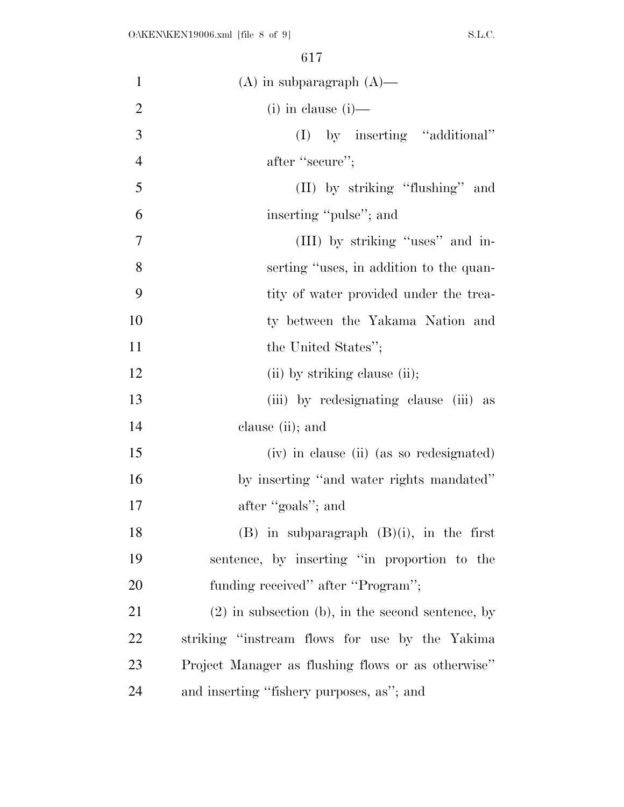| $\mathbf{1}$   | $(A)$ in subparagraph $(A)$ —                       |
|----------------|-----------------------------------------------------|
| $\overline{2}$ | $(i)$ in clause $(i)$ —                             |
| 3              | by inserting "additional"<br>(I)                    |
| $\overline{4}$ | after "secure";                                     |
| 5              | (II) by striking "flushing" and                     |
| 6              | inserting "pulse"; and                              |
| 7              | (III) by striking "uses" and in-                    |
| 8              | serting "uses, in addition to the quan-             |
| 9              | tity of water provided under the trea-              |
| 10             | ty between the Yakama Nation and                    |
| 11             | the United States";                                 |
| 12             | (ii) by striking clause (ii);                       |
| 13             | (iii) by redesignating clause (iii) as              |
| 14             | clause (ii); and                                    |
| 15             | (iv) in clause (ii) (as so redesignated)            |
| 16             | by inserting "and water rights mandated"            |
| 17             | after "goals"; and                                  |
| 18             | $(B)$ in subparagraph $(B)(i)$ , in the first       |
| 19             | sentence, by inserting "in proportion to the        |
| 20             | funding received" after "Program";                  |
| 21             | $(2)$ in subsection (b), in the second sentence, by |
| 22             | striking "instream flows for use by the Yakima"     |
| 23             | Project Manager as flushing flows or as otherwise"  |
| 24             | and inserting "fishery purposes, as"; and           |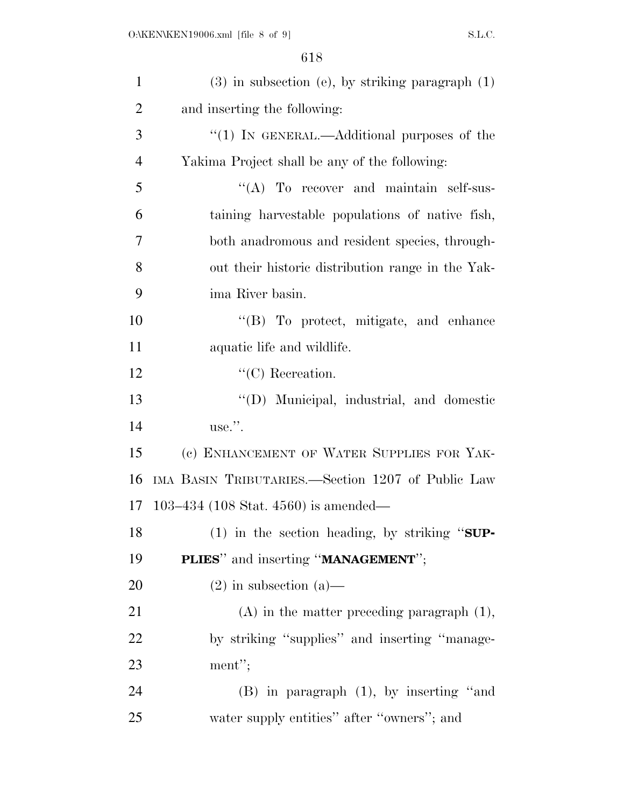| $\mathbf{1}$   | $(3)$ in subsection (e), by striking paragraph $(1)$ |
|----------------|------------------------------------------------------|
| $\overline{2}$ | and inserting the following:                         |
| 3              | " $(1)$ IN GENERAL.—Additional purposes of the       |
| $\overline{4}$ | Yakima Project shall be any of the following:        |
| 5              | $\lq\lq$ To recover and maintain self-sus-           |
| 6              | taining harvestable populations of native fish,      |
| 7              | both anadromous and resident species, through-       |
| 8              | out their historic distribution range in the Yak-    |
| 9              | ima River basin.                                     |
| 10             | "(B) To protect, mitigate, and enhance               |
| 11             | aquatic life and wildlife.                           |
| 12             | $\lq\lq$ <sup>"</sup> (C) Recreation.                |
| 13             | "(D) Municipal, industrial, and domestic             |
| 14             | use.".                                               |
| 15             | (c) ENHANCEMENT OF WATER SUPPLIES FOR YAK-           |
| 16             | IMA BASIN TRIBUTARIES.—Section 1207 of Public Law    |
| 17             | 103–434 (108 Stat. 4560) is amended—                 |
| 18             | $(1)$ in the section heading, by striking "SUP-      |
| 19             | PLIES" and inserting "MANAGEMENT";                   |
| 20             | $(2)$ in subsection $(a)$ —                          |
| 21             | $(A)$ in the matter preceding paragraph $(1)$ ,      |
| 22             | by striking "supplies" and inserting "manage-        |
| 23             | ment";                                               |
| 24             | $(B)$ in paragraph $(1)$ , by inserting "and         |
| 25             | water supply entities" after "owners"; and           |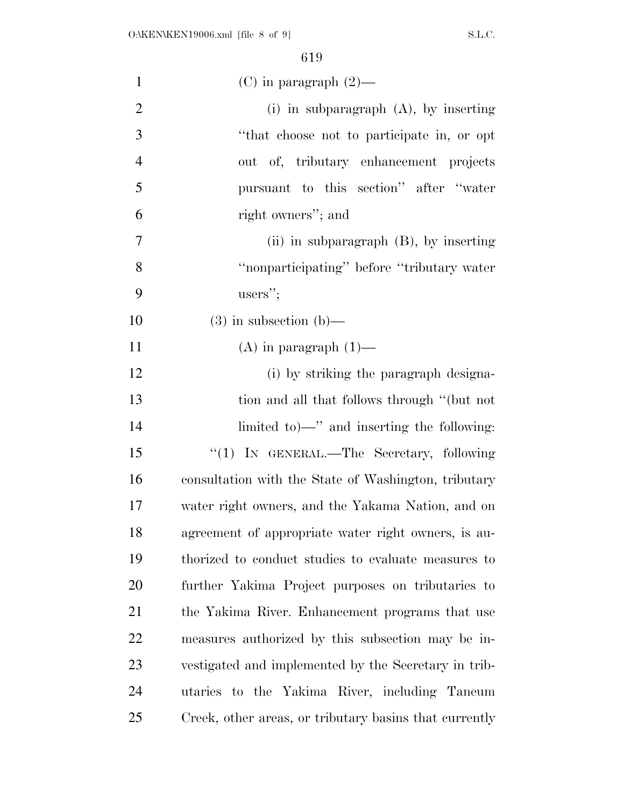| $\mathbf{1}$   | $(C)$ in paragraph $(2)$ —                             |
|----------------|--------------------------------------------------------|
| $\overline{2}$ | (i) in subparagraph $(A)$ , by inserting               |
| 3              | "that choose not to participate in, or opt             |
| $\overline{4}$ | out of, tributary enhancement projects                 |
| 5              | pursuant to this section" after "water                 |
| 6              | right owners"; and                                     |
| 7              | (ii) in subparagraph (B), by inserting                 |
| 8              | "nonparticipating" before "tributary water"            |
| 9              | users";                                                |
| 10             | $(3)$ in subsection $(b)$ —                            |
| 11             | $(A)$ in paragraph $(1)$ —                             |
| 12             | (i) by striking the paragraph designa-                 |
| 13             | tion and all that follows through "(but not            |
| 14             | limited to — " and inserting the following:            |
| 15             | "(1) IN GENERAL.—The Secretary, following              |
| 16             | consultation with the State of Washington, tributary   |
| 17             | water right owners, and the Yakama Nation, and on      |
| 18             | agreement of appropriate water right owners, is au-    |
| 19             | thorized to conduct studies to evaluate measures to    |
| 20             | further Yakima Project purposes on tributaries to      |
| 21             | the Yakima River. Enhancement programs that use        |
| 22             | measures authorized by this subsection may be in-      |
| 23             | vestigated and implemented by the Secretary in trib-   |
| 24             | utaries to the Yakima River, including Taneum          |
| 25             | Creek, other areas, or tributary basins that currently |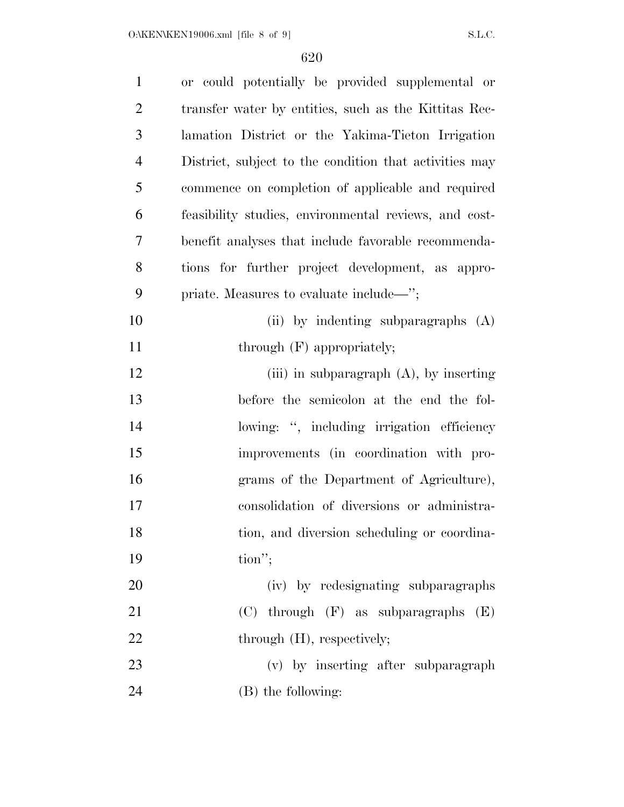| $\mathbf{1}$   | or could potentially be provided supplemental or       |
|----------------|--------------------------------------------------------|
| $\overline{2}$ | transfer water by entities, such as the Kittitas Rec-  |
| 3              | lamation District or the Yakima-Tieton Irrigation      |
| $\overline{4}$ | District, subject to the condition that activities may |
| 5              | commence on completion of applicable and required      |
| 6              | feasibility studies, environmental reviews, and cost-  |
| 7              | benefit analyses that include favorable recommenda-    |
| 8              | tions for further project development, as appro-       |
| 9              | priate. Measures to evaluate include—";                |
| 10             | (ii) by indenting subparagraphs (A)                    |
| 11             | through $(F)$ appropriately;                           |
| 12             | (iii) in subparagraph $(A)$ , by inserting             |
| 13             | before the semicolon at the end the fol-               |
| 14             | lowing: ", including irrigation efficiency             |
| 15             | improvements (in coordination with pro-                |
| 16             | grams of the Department of Agriculture),               |
| 17             | consolidation of diversions or administra-             |
| 18             | tion, and diversion scheduling or coordina-            |
| 19             | $\text{tion}''$ ;                                      |
| 20             | (iv) by redesignating subparagraphs                    |
| 21             | $(C)$ through $(F)$ as subparagraphs<br>(E)            |
| 22             | through (H), respectively;                             |
| 23             | (v) by inserting after subparagraph                    |
| 24             | (B) the following:                                     |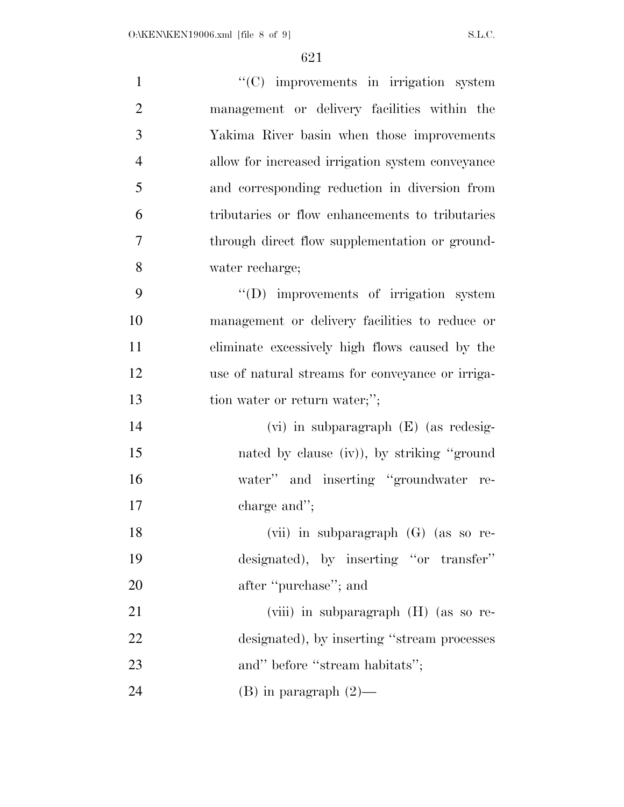| $\mathbf{1}$   | "(C) improvements in irrigation system           |
|----------------|--------------------------------------------------|
| $\overline{2}$ | management or delivery facilities within the     |
| 3              | Yakima River basin when those improvements       |
| $\overline{4}$ | allow for increased irrigation system conveyance |
| 5              | and corresponding reduction in diversion from    |
| 6              | tributaries or flow enhancements to tributaries  |
| 7              | through direct flow supplementation or ground-   |
| 8              | water recharge;                                  |
| 9              | $\lq\lq$ improvements of irrigation system       |
| 10             | management or delivery facilities to reduce or   |
| 11             | eliminate excessively high flows caused by the   |
| 12             | use of natural streams for conveyance or irriga- |
| 13             | tion water or return water;";                    |
| 14             | $(vi)$ in subparagraph $(E)$ (as redesig-        |
| 15             | nated by clause (iv)), by striking "ground"      |
| 16             | water" and inserting "groundwater re-            |
| 17             | charge and";                                     |
| 18             | (vii) in subparagraph (G) (as so re-             |
| 19             | designated), by inserting "or transfer"          |
| 20             | after "purchase"; and                            |
| 21             | (viii) in subparagraph (H) (as so re-            |
| 22             | designated), by inserting "stream processes      |
| 23             | and" before "stream habitats";                   |
| 24             | $(B)$ in paragraph $(2)$ —                       |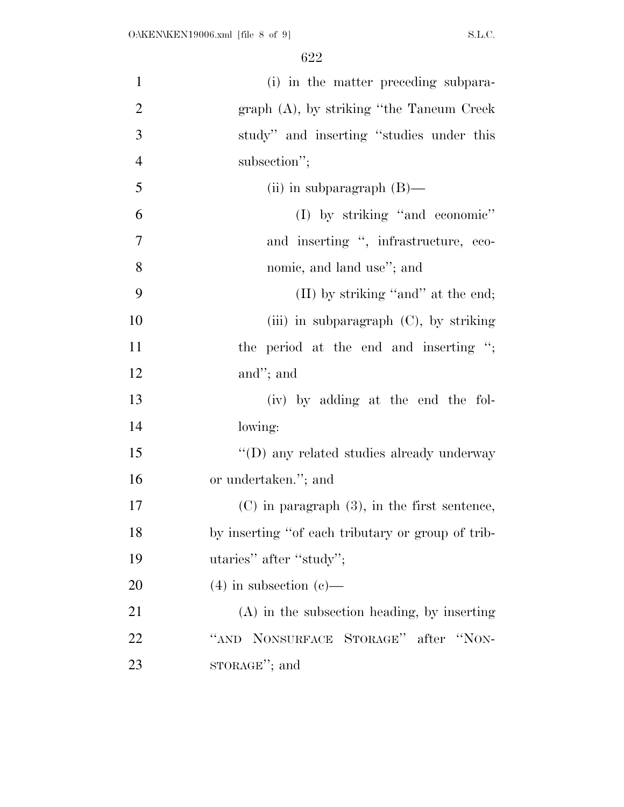| $\mathbf{1}$   | (i) in the matter preceding subpara-              |
|----------------|---------------------------------------------------|
| $\overline{2}$ | graph (A), by striking "the Taneum Creek          |
| 3              | study" and inserting "studies under this          |
| $\overline{4}$ | subsection";                                      |
| 5              | (ii) in subparagraph $(B)$ —                      |
| 6              | (I) by striking "and economic"                    |
| $\overline{7}$ | and inserting ", infrastructure, eco-             |
| 8              | nomic, and land use"; and                         |
| 9              | (II) by striking "and" at the end;                |
| 10             | (iii) in subparagraph $(C)$ , by striking         |
| 11             | the period at the end and inserting ";            |
| 12             | and"; and                                         |
| 13             | (iv) by adding at the end the fol-                |
| 14             | lowing:                                           |
| 15             | "(D) any related studies already underway         |
| 16             | or undertaken."; and                              |
| 17             | $(C)$ in paragraph $(3)$ , in the first sentence, |
| 18             | by inserting "of each tributary or group of trib- |
| 19             | utaries" after "study";                           |
| 20             | $(4)$ in subsection $(e)$ —                       |
| 21             | $(A)$ in the subsection heading, by inserting     |
| 22             | NONSURFACE STORAGE" after "NON-<br>``AND"         |
| 23             | sTORAGE"; and                                     |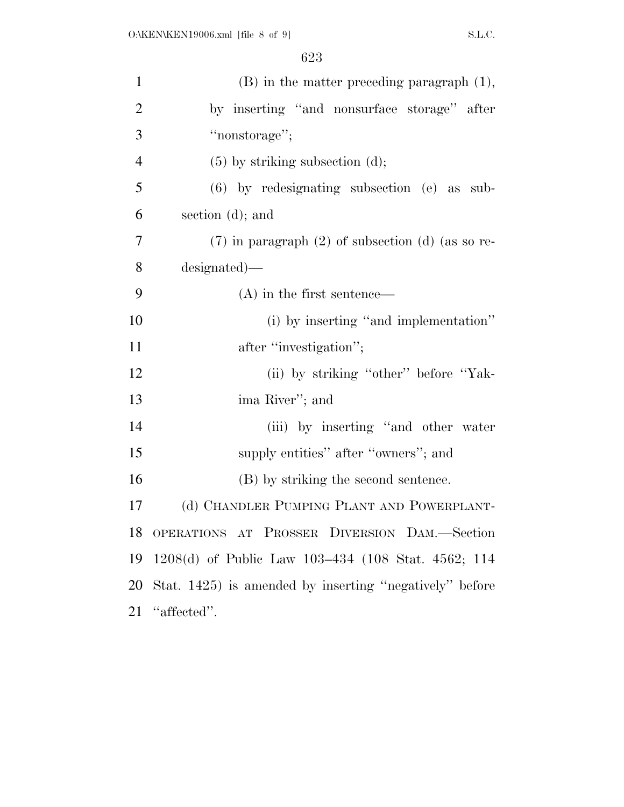| $\mathbf{1}$   | $(B)$ in the matter preceding paragraph $(1)$ ,         |
|----------------|---------------------------------------------------------|
| $\overline{2}$ | by inserting "and nonsurface storage" after             |
| 3              | "nonstorage";                                           |
| $\overline{4}$ | $(5)$ by striking subsection $(d)$ ;                    |
| 5              | $(6)$ by redesignating subsection $(e)$ as sub-         |
| 6              | section $(d)$ ; and                                     |
| 7              | $(7)$ in paragraph $(2)$ of subsection $(d)$ (as so re- |
| 8              | designated)—                                            |
| 9              | $(A)$ in the first sentence—                            |
| 10             | (i) by inserting "and implementation"                   |
| 11             | after "investigation";                                  |
| 12             | (ii) by striking "other" before "Yak-                   |
| 13             | ima River"; and                                         |
| 14             | (iii) by inserting "and other water                     |
| 15             | supply entities" after "owners"; and                    |
| 16             | (B) by striking the second sentence.                    |
| 17             | (d) CHANDLER PUMPING PLANT AND POWERPLANT-              |
| 18             | OPERATIONS AT PROSSER DIVERSION DAM.-Section            |
| 19             | 1208(d) of Public Law 103–434 (108 Stat. 4562; 114      |
| 20             | Stat. 1425) is amended by inserting "negatively" before |
| 21             | "affected".                                             |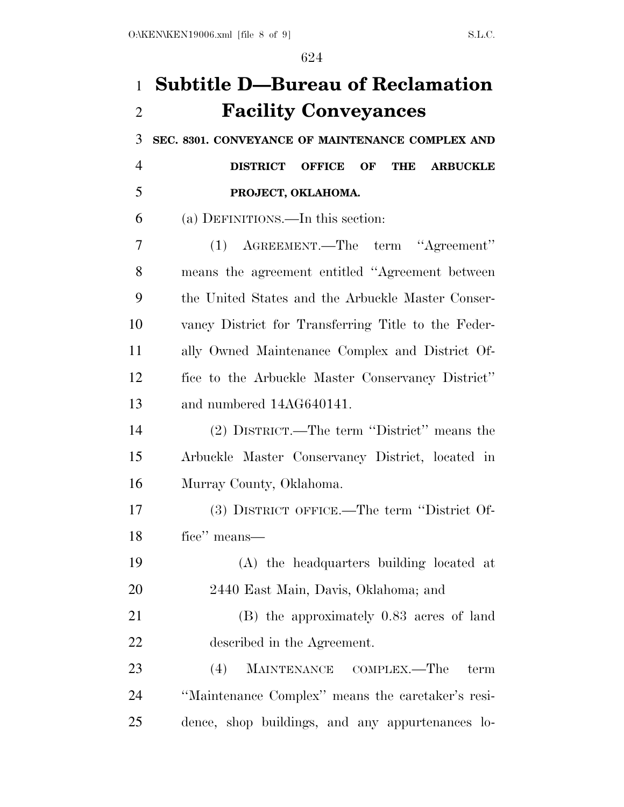## **Subtitle D—Bureau of Reclamation Facility Conveyances**

**SEC. 8301. CONVEYANCE OF MAINTENANCE COMPLEX AND** 

 **DISTRICT OFFICE OF THE ARBUCKLE PROJECT, OKLAHOMA.** 

(a) DEFINITIONS.—In this section:

 (1) AGREEMENT.—The term ''Agreement'' means the agreement entitled ''Agreement between the United States and the Arbuckle Master Conser- vancy District for Transferring Title to the Feder- ally Owned Maintenance Complex and District Of- fice to the Arbuckle Master Conservancy District'' and numbered 14AG640141.

 (2) DISTRICT.—The term ''District'' means the Arbuckle Master Conservancy District, located in Murray County, Oklahoma.

 (3) DISTRICT OFFICE.—The term ''District Of-fice'' means—

 (A) the headquarters building located at 2440 East Main, Davis, Oklahoma; and

 (B) the approximately 0.83 acres of land described in the Agreement.

 (4) MAINTENANCE COMPLEX.—The term ''Maintenance Complex'' means the caretaker's resi-dence, shop buildings, and any appurtenances lo-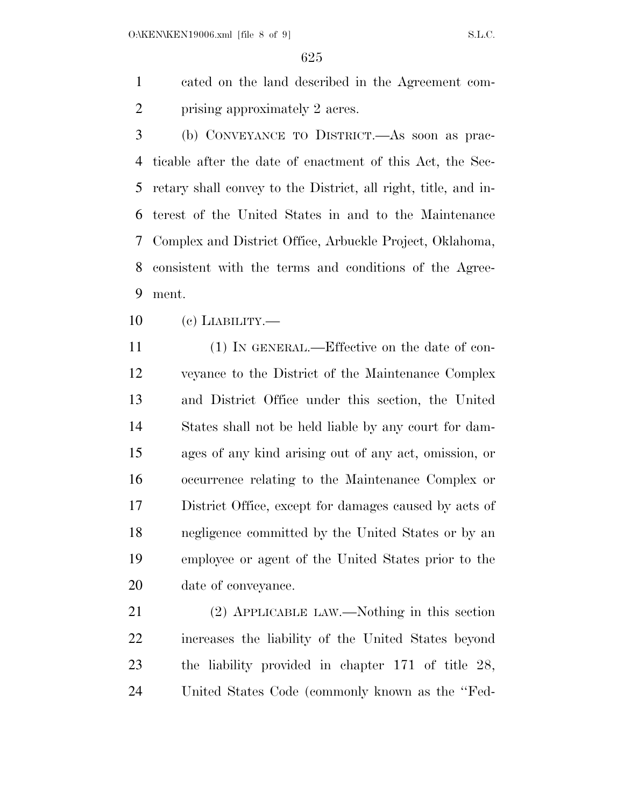cated on the land described in the Agreement com-2 prising approximately 2 acres.

 (b) CONVEYANCE TO DISTRICT.—As soon as prac- ticable after the date of enactment of this Act, the Sec- retary shall convey to the District, all right, title, and in- terest of the United States in and to the Maintenance Complex and District Office, Arbuckle Project, Oklahoma, consistent with the terms and conditions of the Agree-ment.

(c) LIABILITY.—

 (1) IN GENERAL.—Effective on the date of con- veyance to the District of the Maintenance Complex and District Office under this section, the United States shall not be held liable by any court for dam- ages of any kind arising out of any act, omission, or occurrence relating to the Maintenance Complex or District Office, except for damages caused by acts of negligence committed by the United States or by an employee or agent of the United States prior to the date of conveyance.

 (2) APPLICABLE LAW.—Nothing in this section increases the liability of the United States beyond the liability provided in chapter 171 of title 28, United States Code (commonly known as the ''Fed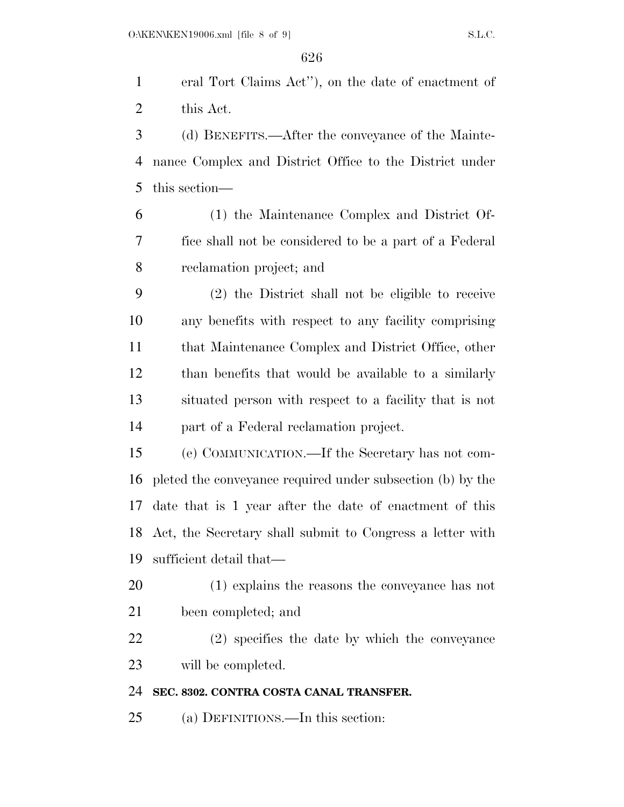eral Tort Claims Act''), on the date of enactment of this Act.

 (d) BENEFITS.—After the conveyance of the Mainte- nance Complex and District Office to the District under this section—

 (1) the Maintenance Complex and District Of- fice shall not be considered to be a part of a Federal reclamation project; and

 (2) the District shall not be eligible to receive any benefits with respect to any facility comprising that Maintenance Complex and District Office, other than benefits that would be available to a similarly situated person with respect to a facility that is not part of a Federal reclamation project.

 (e) COMMUNICATION.—If the Secretary has not com- pleted the conveyance required under subsection (b) by the date that is 1 year after the date of enactment of this Act, the Secretary shall submit to Congress a letter with sufficient detail that—

 (1) explains the reasons the conveyance has not been completed; and

 (2) specifies the date by which the conveyance will be completed.

## **SEC. 8302. CONTRA COSTA CANAL TRANSFER.**

(a) DEFINITIONS.—In this section: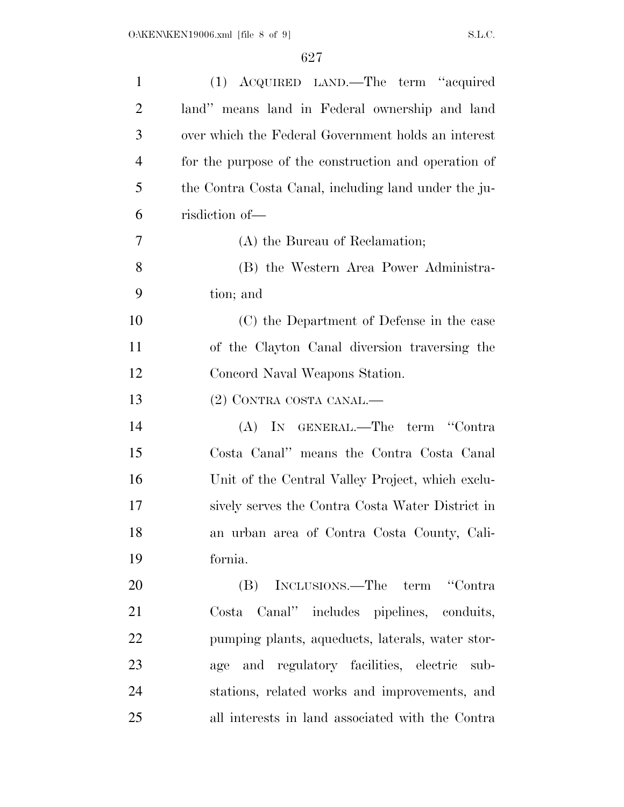| $\mathbf{1}$   | (1) ACQUIRED LAND.—The term "acquired                |
|----------------|------------------------------------------------------|
| $\overline{2}$ | land" means land in Federal ownership and land       |
| 3              | over which the Federal Government holds an interest  |
| $\overline{4}$ | for the purpose of the construction and operation of |
| 5              | the Contra Costa Canal, including land under the ju- |
| 6              | risdiction of-                                       |
| 7              | (A) the Bureau of Reclamation;                       |
| 8              | (B) the Western Area Power Administra-               |
| 9              | tion; and                                            |
| 10             | (C) the Department of Defense in the case            |
| 11             | of the Clayton Canal diversion traversing the        |
| 12             | Concord Naval Weapons Station.                       |
| 13             | (2) CONTRA COSTA CANAL.—                             |
| 14             | (A) IN GENERAL.—The term "Contra                     |
| 15             | Costa Canal" means the Contra Costa Canal            |
| 16             | Unit of the Central Valley Project, which exclu-     |
| 17             | sively serves the Contra Costa Water District in     |
| 18             | an urban area of Contra Costa County, Cali-          |
| 19             | fornia.                                              |
| 20             | (B) INCLUSIONS.—The term "Contra                     |
| 21             | Costa Canal" includes pipelines, conduits,           |
| 22             | pumping plants, aqueducts, laterals, water stor-     |
| 23             | and regulatory facilities, electric<br>age<br>sub-   |
| 24             | stations, related works and improvements, and        |
| 25             | all interests in land associated with the Contra     |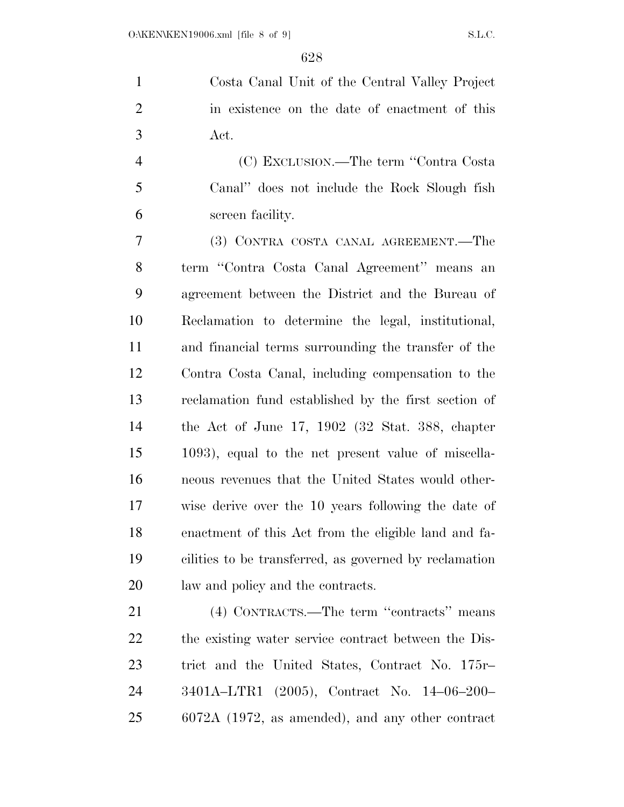Costa Canal Unit of the Central Valley Project in existence on the date of enactment of this Act.

 (C) EXCLUSION.—The term ''Contra Costa Canal'' does not include the Rock Slough fish screen facility.

 (3) CONTRA COSTA CANAL AGREEMENT.—The term ''Contra Costa Canal Agreement'' means an agreement between the District and the Bureau of Reclamation to determine the legal, institutional, and financial terms surrounding the transfer of the Contra Costa Canal, including compensation to the reclamation fund established by the first section of the Act of June 17, 1902 (32 Stat. 388, chapter 1093), equal to the net present value of miscella- neous revenues that the United States would other- wise derive over the 10 years following the date of enactment of this Act from the eligible land and fa- cilities to be transferred, as governed by reclamation law and policy and the contracts.

 (4) CONTRACTS.—The term ''contracts'' means the existing water service contract between the Dis- trict and the United States, Contract No. 175r– 3401A–LTR1 (2005), Contract No. 14–06–200– 6072A (1972, as amended), and any other contract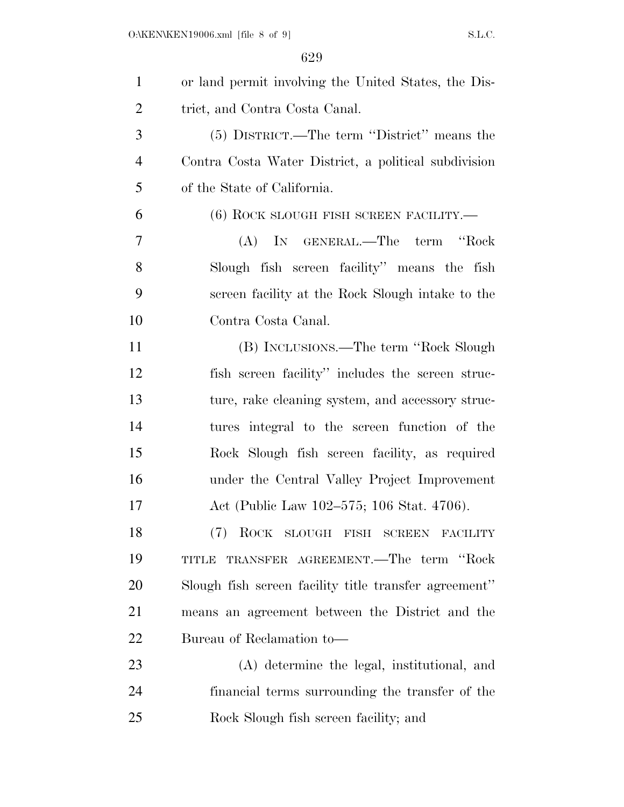| $\mathbf{1}$   | or land permit involving the United States, the Dis-  |
|----------------|-------------------------------------------------------|
| $\overline{2}$ | trict, and Contra Costa Canal.                        |
| 3              | (5) DISTRICT.—The term "District" means the           |
| $\overline{4}$ | Contra Costa Water District, a political subdivision  |
| 5              | of the State of California.                           |
| 6              | $(6)$ ROCK SLOUGH FISH SCREEN FACILITY.—              |
| 7              | (A) IN GENERAL.—The term<br>"Rock                     |
| 8              | Slough fish screen facility" means the fish           |
| 9              | screen facility at the Rock Slough intake to the      |
| 10             | Contra Costa Canal.                                   |
| 11             | (B) INCLUSIONS.—The term "Rock Slough"                |
| 12             | fish screen facility" includes the screen struc-      |
| 13             | ture, rake cleaning system, and accessory struc-      |
| 14             | tures integral to the screen function of the          |
| 15             | Rock Slough fish screen facility, as required         |
| 16             | under the Central Valley Project Improvement          |
| 17             | Act (Public Law 102–575; 106 Stat. 4706).             |
| 18             | (7) ROCK SLOUGH FISH SCREEN FACILITY                  |
| 19             | TRANSFER AGREEMENT.—The term "Rock<br>TITLE           |
| 20             | Slough fish screen facility title transfer agreement" |
| 21             | means an agreement between the District and the       |
| 22             | Bureau of Reclamation to-                             |
| 23             | (A) determine the legal, institutional, and           |
| 24             | financial terms surrounding the transfer of the       |
| 25             | Rock Slough fish screen facility; and                 |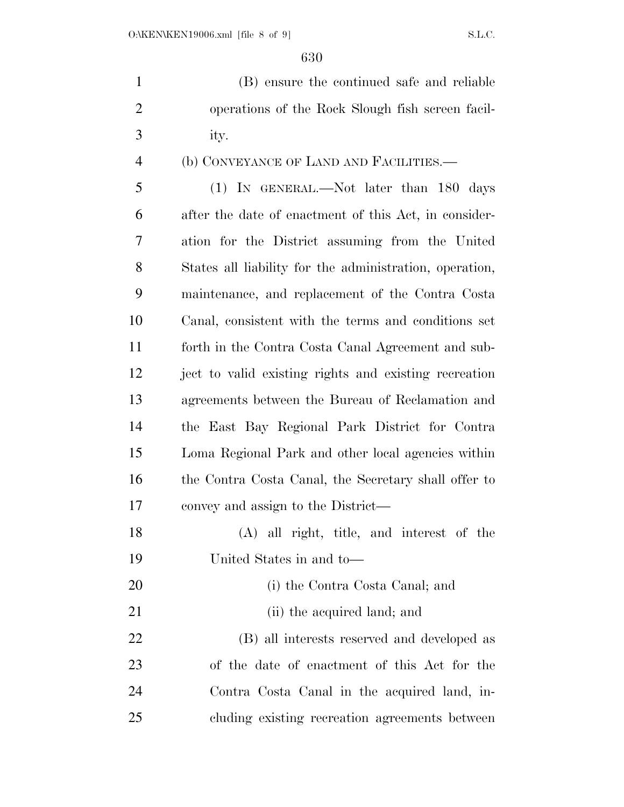(B) ensure the continued safe and reliable operations of the Rock Slough fish screen facil-ity.

## (b) CONVEYANCE OF LAND AND FACILITIES.—

 (1) IN GENERAL.—Not later than 180 days after the date of enactment of this Act, in consider- ation for the District assuming from the United States all liability for the administration, operation, maintenance, and replacement of the Contra Costa Canal, consistent with the terms and conditions set forth in the Contra Costa Canal Agreement and sub- ject to valid existing rights and existing recreation agreements between the Bureau of Reclamation and the East Bay Regional Park District for Contra Loma Regional Park and other local agencies within 16 the Contra Costa Canal, the Secretary shall offer to convey and assign to the District—

 (A) all right, title, and interest of the United States in and to—

- (i) the Contra Costa Canal; and
- 21 (ii) the acquired land; and

 (B) all interests reserved and developed as of the date of enactment of this Act for the Contra Costa Canal in the acquired land, in-cluding existing recreation agreements between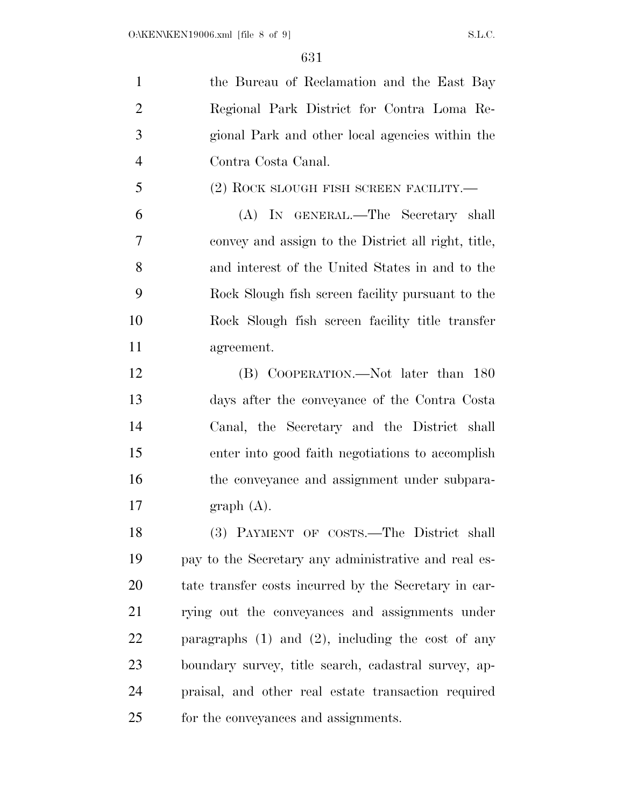the Bureau of Reclamation and the East Bay Regional Park District for Contra Loma Re- gional Park and other local agencies within the Contra Costa Canal.

(2) ROCK SLOUGH FISH SCREEN FACILITY.—

 (A) IN GENERAL.—The Secretary shall convey and assign to the District all right, title, and interest of the United States in and to the Rock Slough fish screen facility pursuant to the Rock Slough fish screen facility title transfer agreement.

 (B) COOPERATION.—Not later than 180 days after the conveyance of the Contra Costa Canal, the Secretary and the District shall enter into good faith negotiations to accomplish 16 the conveyance and assignment under subpara-17 graph  $(A)$ .

 (3) PAYMENT OF COSTS.—The District shall pay to the Secretary any administrative and real es- tate transfer costs incurred by the Secretary in car- rying out the conveyances and assignments under paragraphs (1) and (2), including the cost of any boundary survey, title search, cadastral survey, ap- praisal, and other real estate transaction required for the conveyances and assignments.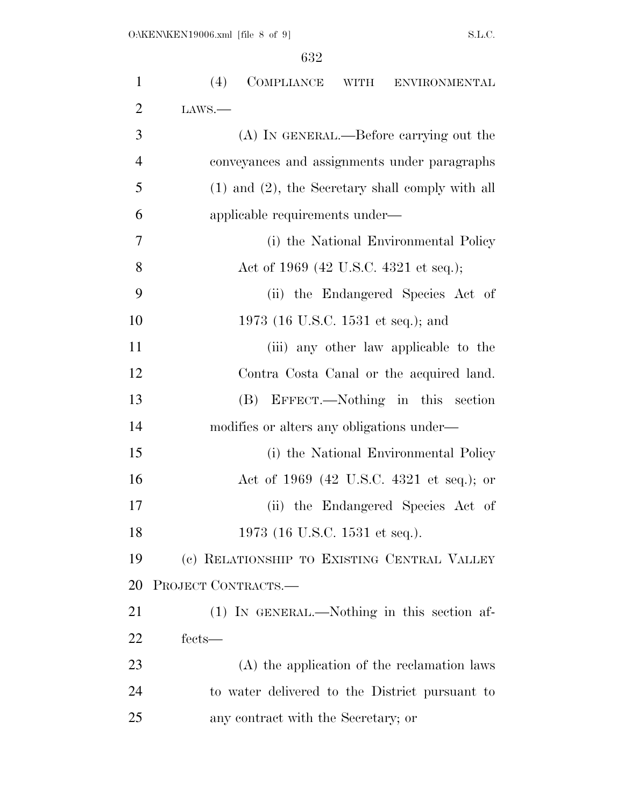| $\mathbf{1}$   | (4)<br>COMPLIANCE WITH ENVIRONMENTAL                  |
|----------------|-------------------------------------------------------|
| $\overline{2}$ | LANS.                                                 |
| 3              | (A) IN GENERAL.—Before carrying out the               |
| $\overline{4}$ | conveyances and assignments under paragraphs          |
| 5              | $(1)$ and $(2)$ , the Secretary shall comply with all |
| 6              | applicable requirements under—                        |
| $\overline{7}$ | (i) the National Environmental Policy                 |
| 8              | Act of 1969 (42 U.S.C. 4321 et seq.);                 |
| 9              | (ii) the Endangered Species Act of                    |
| 10             | 1973 (16 U.S.C. 1531 et seq.); and                    |
| 11             | (iii) any other law applicable to the                 |
| 12             | Contra Costa Canal or the acquired land.              |
| 13             | (B) EFFECT.—Nothing in this section                   |
| 14             | modifies or alters any obligations under—             |
| 15             | (i) the National Environmental Policy                 |
| 16             | Act of 1969 (42 U.S.C. 4321 et seq.); or              |
| 17             | (ii) the Endangered Species Act of                    |
| 18             | 1973 (16 U.S.C. 1531 et seq.).                        |
| 19             | (c) RELATIONSHIP TO EXISTING CENTRAL VALLEY           |
| 20             | PROJECT CONTRACTS.-                                   |
| 21             | $(1)$ In GENERAL.—Nothing in this section af-         |
| 22             | fects—                                                |
| 23             | (A) the application of the reclamation laws           |
| 24             | to water delivered to the District pursuant to        |
| 25             | any contract with the Secretary; or                   |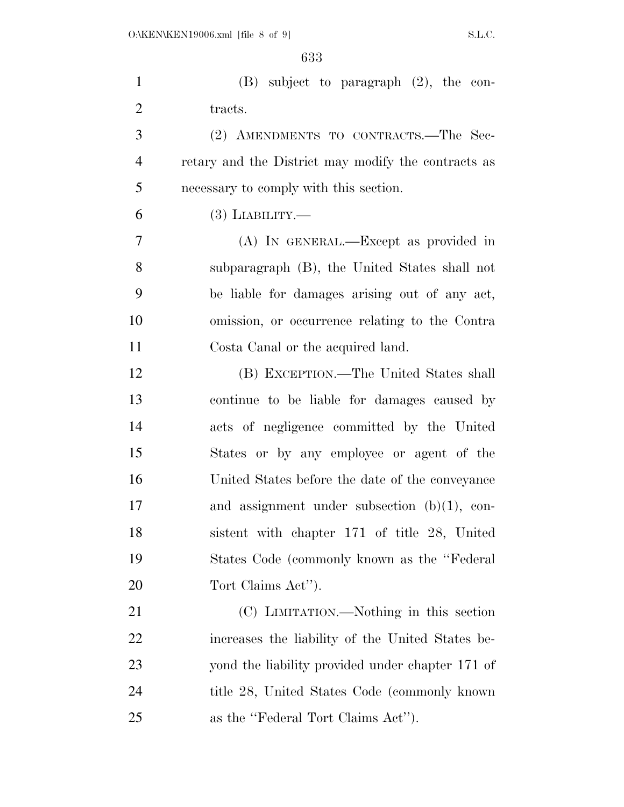| $\mathbf{1}$   | $(B)$ subject to paragraph $(2)$ , the con-         |
|----------------|-----------------------------------------------------|
| $\overline{2}$ | tracts.                                             |
| 3              | (2) AMENDMENTS TO CONTRACTS.—The Sec-               |
| $\overline{4}$ | retary and the District may modify the contracts as |
| 5              | necessary to comply with this section.              |
| 6              | $(3)$ LIABILITY.—                                   |
| $\overline{7}$ | (A) In GENERAL.—Except as provided in               |
| 8              | subparagraph (B), the United States shall not       |
| 9              | be liable for damages arising out of any act,       |
| 10             | omission, or occurrence relating to the Contra      |
| 11             | Costa Canal or the acquired land.                   |
| 12             | (B) EXCEPTION.—The United States shall              |
| 13             | continue to be liable for damages caused by         |
| 14             | acts of negligence committed by the United          |
| 15             | States or by any employee or agent of the           |
| 16             | United States before the date of the conveyance     |
| 17             | and assignment under subsection $(b)(1)$ , con-     |
| 18             | sistent with chapter 171 of title 28, United        |
| 19             | States Code (commonly known as the "Federal"        |
| 20             | Tort Claims Act").                                  |
| 21             | (C) LIMITATION.—Nothing in this section             |
| 22             | increases the liability of the United States be-    |
| 23             | yond the liability provided under chapter 171 of    |
| 24             | title 28, United States Code (commonly known)       |
| 25             | as the "Federal Tort Claims Act").                  |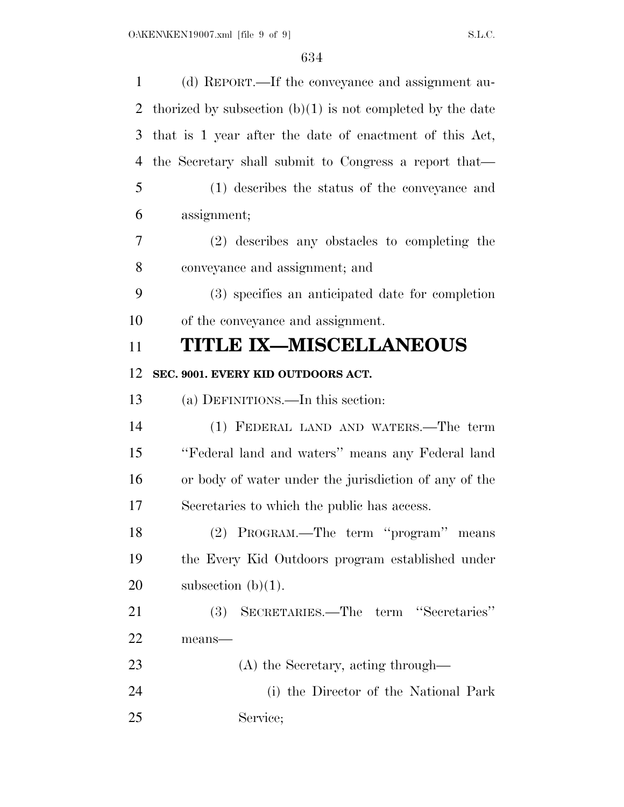| $\mathbf{1}$ | (d) REPORT.—If the conveyance and assignment au-             |
|--------------|--------------------------------------------------------------|
| 2            | thorized by subsection $(b)(1)$ is not completed by the date |
| 3            | that is 1 year after the date of enactment of this Act,      |
| 4            | the Secretary shall submit to Congress a report that—        |
| 5            | (1) describes the status of the conveyance and               |
| 6            | assignment;                                                  |
| 7            | (2) describes any obstacles to completing the                |
| 8            | conveyance and assignment; and                               |
| 9            | (3) specifies an anticipated date for completion             |
| 10           | of the conveyance and assignment.                            |
| 11           | <b>TITLE IX-MISCELLANEOUS</b>                                |
| 12           | SEC. 9001. EVERY KID OUTDOORS ACT.                           |
| 13           | (a) DEFINITIONS.—In this section:                            |
| 14           | (1) FEDERAL LAND AND WATERS.—The term                        |
| 15           | "Federal land and waters" means any Federal land             |
| 16           | or body of water under the jurisdiction of any of the        |
| 17           | Secretaries to which the public has access.                  |
| 18           | (2) PROGRAM.—The term "program" means                        |
| 19           | the Every Kid Outdoors program established under             |
| 20           | subsection $(b)(1)$ .                                        |
| 21           | (3) SECRETARIES.—The term "Secretaries"                      |
| 22           | means-                                                       |
| 23           | (A) the Secretary, acting through—                           |
| 24           | (i) the Director of the National Park                        |
| 25           | Service;                                                     |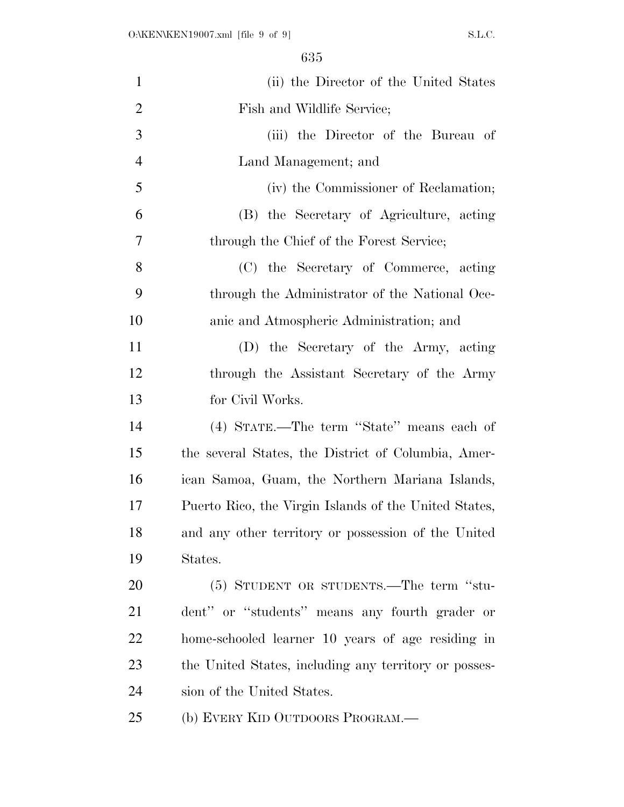| $\mathbf{1}$   | (ii) the Director of the United States                |
|----------------|-------------------------------------------------------|
| $\overline{2}$ | Fish and Wildlife Service;                            |
| 3              | (iii) the Director of the Bureau of                   |
| $\overline{4}$ | Land Management; and                                  |
| 5              | (iv) the Commissioner of Reclamation;                 |
| 6              | (B) the Secretary of Agriculture, acting              |
| 7              | through the Chief of the Forest Service;              |
| 8              | (C) the Secretary of Commerce, acting                 |
| 9              | through the Administrator of the National Oce-        |
| 10             | anic and Atmospheric Administration; and              |
| 11             | (D) the Secretary of the Army, acting                 |
| 12             | through the Assistant Secretary of the Army           |
| 13             | for Civil Works.                                      |
| 14             | (4) STATE.—The term "State" means each of             |
| 15             | the several States, the District of Columbia, Amer-   |
| 16             | ican Samoa, Guam, the Northern Mariana Islands,       |
| 17             | Puerto Rico, the Virgin Islands of the United States, |
| 18             | and any other territory or possession of the United   |
| 19             | States.                                               |
| 20             | (5) STUDENT OR STUDENTS.—The term "stu-               |
| 21             | dent" or "students" means any fourth grader or        |
| 22             | home-schooled learner 10 years of age residing in     |
| 23             | the United States, including any territory or posses- |
| 24             | sion of the United States.                            |
| 25             | (b) EVERY KID OUTDOORS PROGRAM.—                      |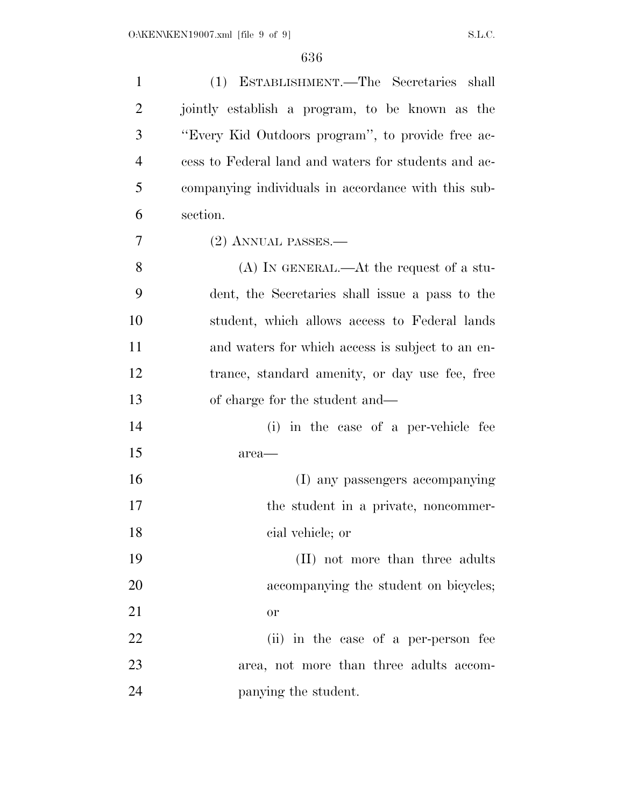| $\mathbf{1}$   | (1) ESTABLISHMENT.—The Secretaries shall             |
|----------------|------------------------------------------------------|
| $\overline{2}$ | jointly establish a program, to be known as the      |
| 3              | "Every Kid Outdoors program", to provide free ac-    |
| $\overline{4}$ | cess to Federal land and waters for students and ac- |
| 5              | companying individuals in accordance with this sub-  |
| 6              | section.                                             |
| 7              | (2) ANNUAL PASSES.-                                  |
| 8              | $(A)$ In GENERAL.—At the request of a stu-           |
| 9              | dent, the Secretaries shall issue a pass to the      |
| 10             | student, which allows access to Federal lands        |
| 11             | and waters for which access is subject to an en-     |
| 12             | trance, standard amenity, or day use fee, free       |
| 13             | of charge for the student and—                       |
| 14             | (i) in the case of a per-vehicle fee                 |
| 15             | area-                                                |
| 16             | (I) any passengers accompanying                      |
| 17             | the student in a private, noncommer-                 |
| 18             | cial vehicle; or                                     |
| 19             | (II) not more than three adults                      |
| 20             | accompanying the student on bicycles;                |
| 21             | <b>or</b>                                            |
| 22             | (ii) in the case of a per-person fee                 |
| 23             | area, not more than three adults accom-              |
| 24             | panying the student.                                 |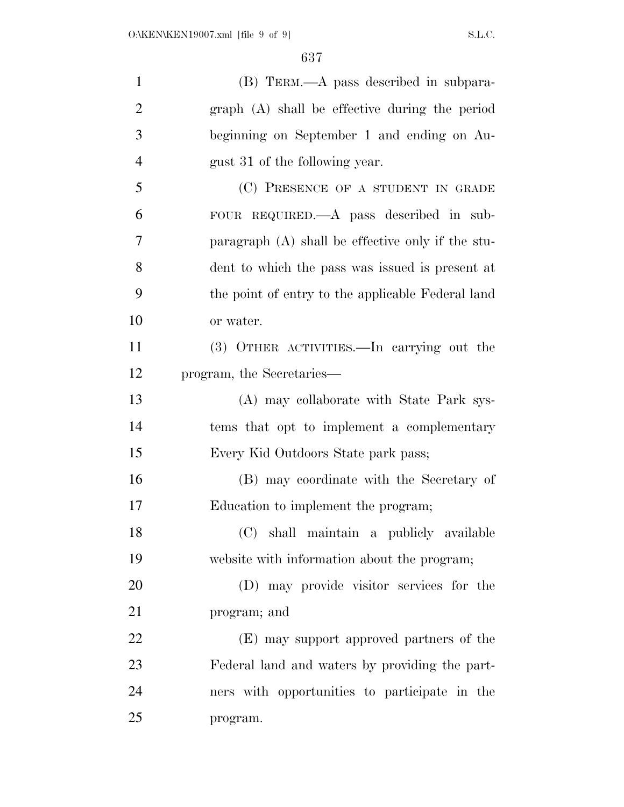| $\mathbf{1}$   | (B) TERM.—A pass described in subpara-              |
|----------------|-----------------------------------------------------|
| $\overline{2}$ | graph (A) shall be effective during the period      |
| 3              | beginning on September 1 and ending on Au-          |
| $\overline{4}$ | gust 31 of the following year.                      |
| 5              | (C) PRESENCE OF A STUDENT IN GRADE                  |
| 6              | FOUR REQUIRED.—A pass described in sub-             |
| 7              | paragraph $(A)$ shall be effective only if the stu- |
| 8              | dent to which the pass was issued is present at     |
| 9              | the point of entry to the applicable Federal land   |
| 10             | or water.                                           |
| 11             | (3) OTHER ACTIVITIES.—In carrying out the           |
| 12             | program, the Secretaries—                           |
| 13             | (A) may collaborate with State Park sys-            |
| 14             | tems that opt to implement a complementary          |
| 15             | Every Kid Outdoors State park pass;                 |
| 16             | (B) may coordinate with the Secretary of            |
| 17             | Education to implement the program;                 |
| 18             | (C) shall maintain a publicly available             |
| 19             | website with information about the program;         |
| 20             | (D) may provide visitor services for the            |
| 21             | program; and                                        |
| 22             | (E) may support approved partners of the            |
| 23             | Federal land and waters by providing the part-      |
| 24             | ners with opportunities to participate in the       |
| 25             | program.                                            |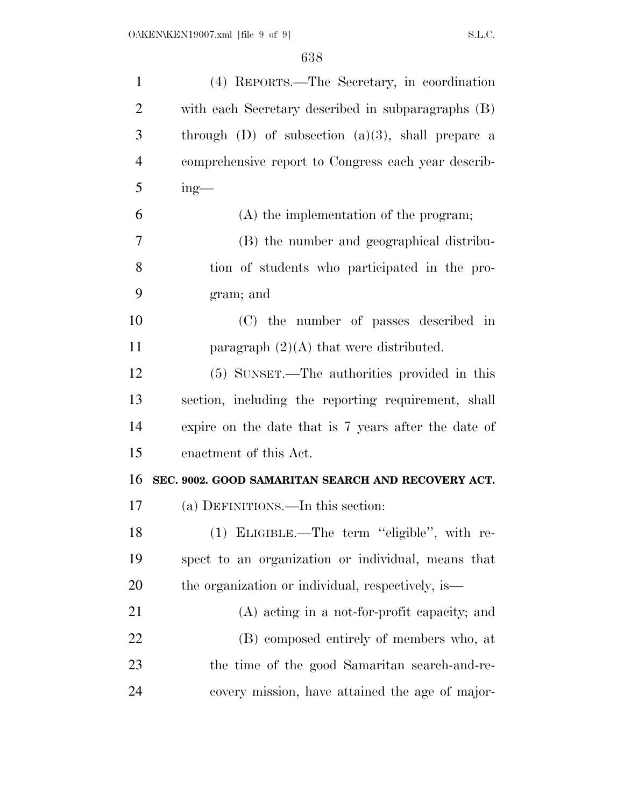| (4) REPORTS.—The Secretary, in coordination            |
|--------------------------------------------------------|
| with each Secretary described in subparagraphs (B)     |
| through $(D)$ of subsection $(a)(3)$ , shall prepare a |
| comprehensive report to Congress each year describ-    |
| $ing$ —                                                |
| $(A)$ the implementation of the program;               |
| (B) the number and geographical distribu-              |
| tion of students who participated in the pro-          |
| gram; and                                              |
| (C) the number of passes described in                  |
| paragraph $(2)(A)$ that were distributed.              |
| (5) SUNSET.—The authorities provided in this           |
| section, including the reporting requirement, shall    |
| expire on the date that is 7 years after the date of   |
| enactment of this Act.                                 |
|                                                        |
| SEC. 9002. GOOD SAMARITAN SEARCH AND RECOVERY ACT.     |
| (a) DEFINITIONS.—In this section:                      |
| (1) ELIGIBLE.—The term "eligible", with re-            |
| spect to an organization or individual, means that     |
| the organization or individual, respectively, is—      |
| (A) acting in a not-for-profit capacity; and           |
| (B) composed entirely of members who, at               |
| the time of the good Samaritan search-and-re-          |
|                                                        |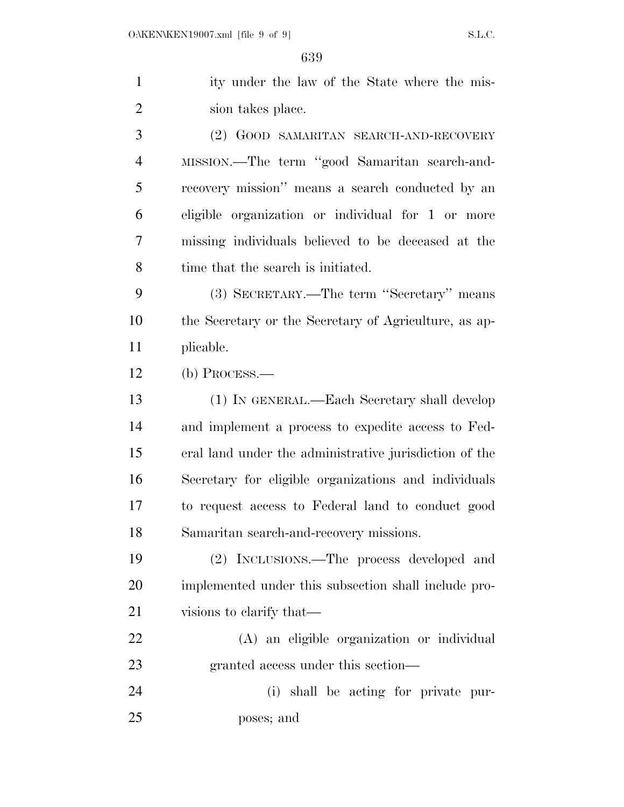| $\mathbf{1}$   | ity under the law of the State where the mis-          |
|----------------|--------------------------------------------------------|
| $\overline{2}$ | sion takes place.                                      |
| 3              | (2) GOOD SAMARITAN SEARCH-AND-RECOVERY                 |
| 4              | MISSION.-The term "good Samaritan search-and-          |
| 5              | recovery mission" means a search conducted by an       |
| 6              | eligible organization or individual for 1 or more      |
| 7              | missing individuals believed to be deceased at the     |
| 8              | time that the search is initiated.                     |
| 9              | (3) SECRETARY.—The term "Secretary" means              |
| 10             | the Secretary or the Secretary of Agriculture, as ap-  |
| 11             | plicable.                                              |
| 12             | $(b)$ Process.—                                        |
| 13             | (1) IN GENERAL.—Each Secretary shall develop           |
| 14             | and implement a process to expedite access to Fed-     |
| 15             | eral land under the administrative jurisdiction of the |
| 16             | Secretary for eligible organizations and individuals   |
| 17             | to request access to Federal land to conduct good      |
| 18             | Samaritan search-and-recovery missions.                |
| 19             | (2) INCLUSIONS.—The process developed and              |
| 20             | implemented under this subsection shall include pro-   |
| 21             | visions to elarify that—                               |
| 22             | (A) an eligible organization or individual             |
| 23             | granted access under this section—                     |
| 24             | (i) shall be acting for private pur-                   |

poses; and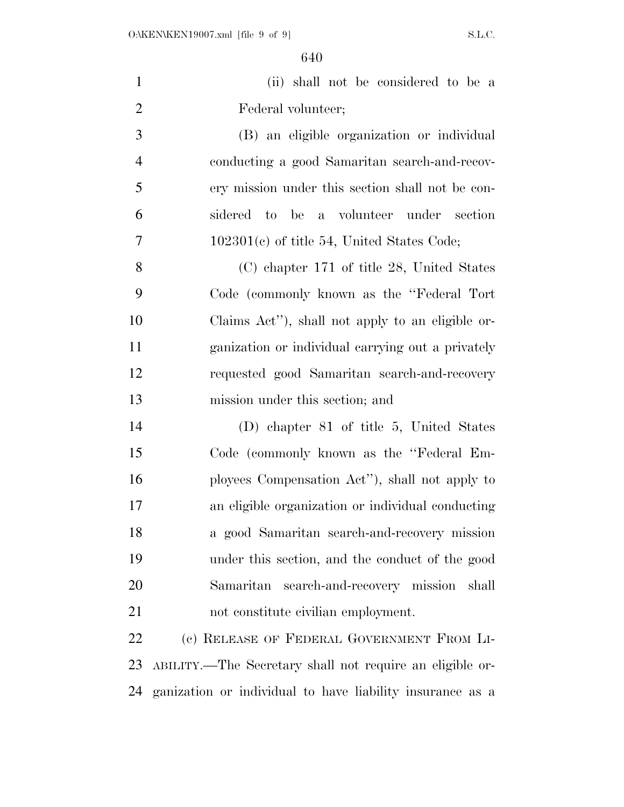|                    |  | (ii) shall not be considered to be a |  |  |
|--------------------|--|--------------------------------------|--|--|
| Federal volunteer; |  |                                      |  |  |

 (B) an eligible organization or individual conducting a good Samaritan search-and-recov- ery mission under this section shall not be con- sidered to be a volunteer under section 102301(c) of title 54, United States Code;

 (C) chapter 171 of title 28, United States Code (commonly known as the ''Federal Tort Claims Act''), shall not apply to an eligible or- ganization or individual carrying out a privately requested good Samaritan search-and-recovery mission under this section; and

 (D) chapter 81 of title 5, United States Code (commonly known as the ''Federal Em- ployees Compensation Act''), shall not apply to an eligible organization or individual conducting a good Samaritan search-and-recovery mission under this section, and the conduct of the good Samaritan search-and-recovery mission shall not constitute civilian employment.

22 (c) RELEASE OF FEDERAL GOVERNMENT FROM LI- ABILITY.—The Secretary shall not require an eligible or-ganization or individual to have liability insurance as a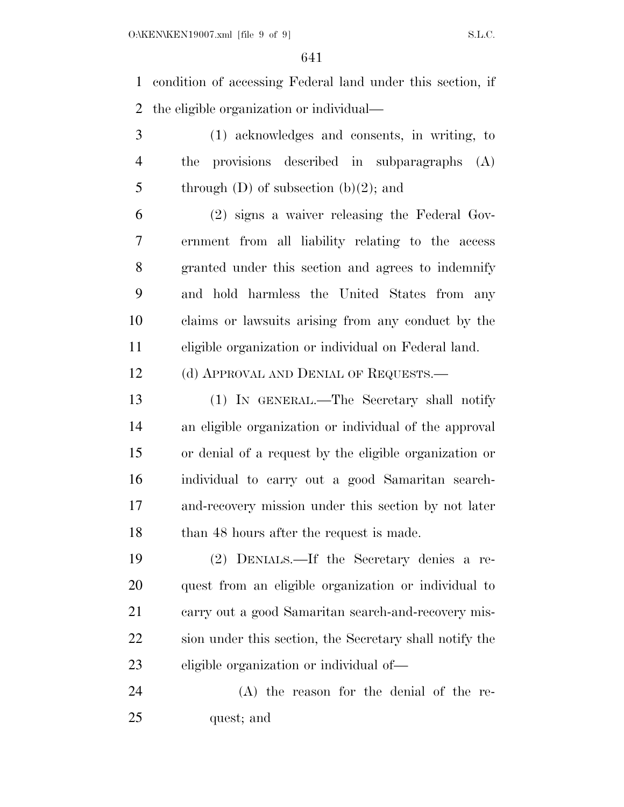condition of accessing Federal land under this section, if the eligible organization or individual—

 (1) acknowledges and consents, in writing, to the provisions described in subparagraphs (A) 5 through  $(D)$  of subsection  $(b)(2)$ ; and

 (2) signs a waiver releasing the Federal Gov- ernment from all liability relating to the access granted under this section and agrees to indemnify and hold harmless the United States from any claims or lawsuits arising from any conduct by the eligible organization or individual on Federal land.

12 (d) APPROVAL AND DENIAL OF REQUESTS.—

 (1) IN GENERAL.—The Secretary shall notify an eligible organization or individual of the approval or denial of a request by the eligible organization or individual to carry out a good Samaritan search- and-recovery mission under this section by not later 18 than 48 hours after the request is made.

 (2) DENIALS.—If the Secretary denies a re- quest from an eligible organization or individual to carry out a good Samaritan search-and-recovery mis- sion under this section, the Secretary shall notify the eligible organization or individual of—

 (A) the reason for the denial of the re-quest; and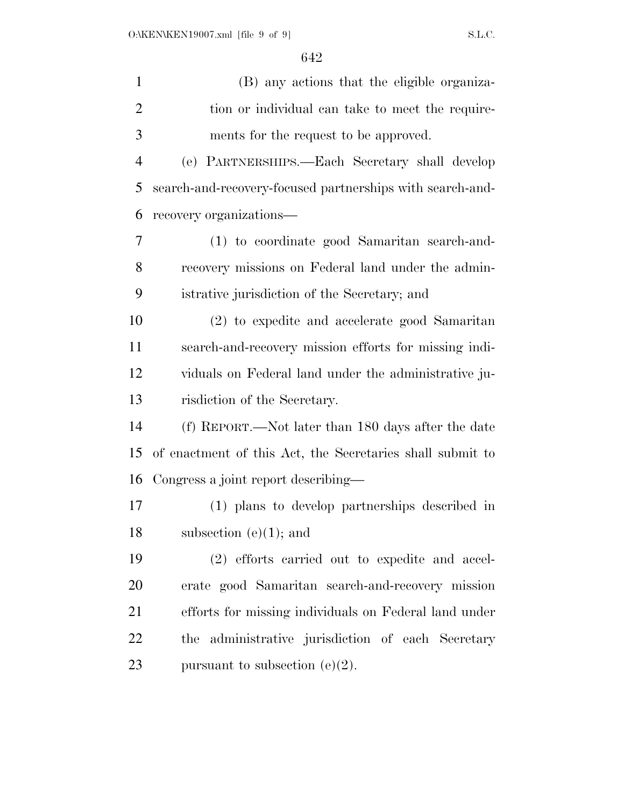| $\mathbf{1}$   | (B) any actions that the eligible organiza-               |
|----------------|-----------------------------------------------------------|
| $\overline{2}$ | tion or individual can take to meet the require-          |
| 3              | ments for the request to be approved.                     |
| $\overline{4}$ | (e) PARTNERSHIPS.—Each Secretary shall develop            |
| 5              | search-and-recovery-focused partnerships with search-and- |
| 6              | recovery organizations—                                   |
| 7              | (1) to coordinate good Samaritan search-and-              |
| 8              | recovery missions on Federal land under the admin-        |
| 9              | istrative jurisdiction of the Secretary; and              |
| 10             | (2) to expedite and accelerate good Samaritan             |
| 11             | search-and-recovery mission efforts for missing indi-     |
| 12             | viduals on Federal land under the administrative ju-      |
| 13             | risdiction of the Secretary.                              |
| 14             | (f) REPORT.—Not later than 180 days after the date        |
| 15             | of enactment of this Act, the Secretaries shall submit to |
| 16             | Congress a joint report describing—                       |
| 17             | (1) plans to develop partnerships described in            |
| 18             | subsection $(e)(1)$ ; and                                 |
| 19             | (2) efforts carried out to expedite and accel-            |
| <b>20</b>      | erate good Samaritan search-and-recovery mission          |
| 21             | efforts for missing individuals on Federal land under     |
| 22             | the administrative jurisdiction of each Secretary         |
| 23             | pursuant to subsection (e) $(2)$ .                        |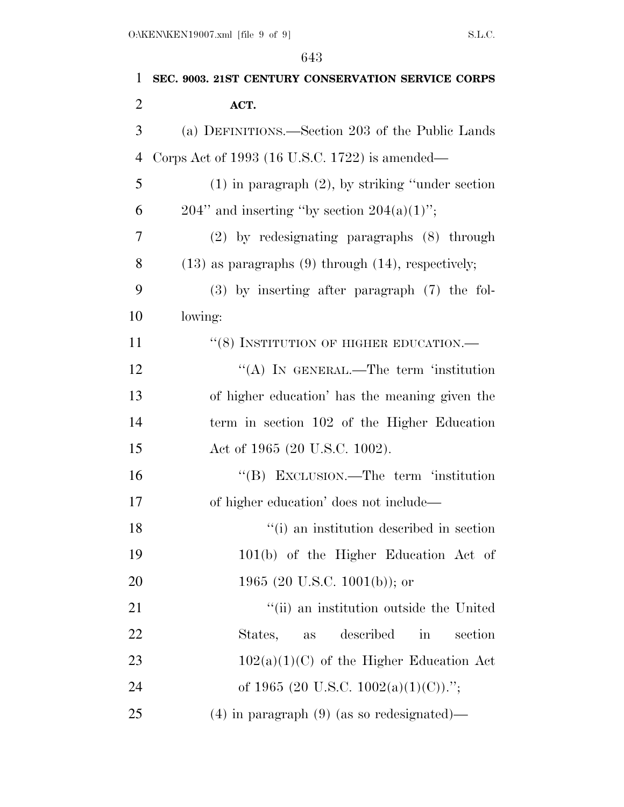| $\mathbf{1}$   | SEC. 9003. 21ST CENTURY CONSERVATION SERVICE CORPS           |
|----------------|--------------------------------------------------------------|
| $\overline{2}$ | ACT.                                                         |
| 3              | (a) DEFINITIONS.—Section 203 of the Public Lands             |
| $\overline{4}$ | Corps Act of 1993 (16 U.S.C. 1722) is amended—               |
| 5              | $(1)$ in paragraph $(2)$ , by striking "under section"       |
| 6              | $204$ " and inserting "by section $204(a)(1)$ ";             |
| 7              | $(2)$ by redesignating paragraphs $(8)$ through              |
| 8              | $(13)$ as paragraphs $(9)$ through $(14)$ , respectively;    |
| 9              | $(3)$ by inserting after paragraph $(7)$ the fol-            |
| 10             | lowing:                                                      |
| 11             | "(8) INSTITUTION OF HIGHER EDUCATION.—                       |
| 12             | "(A) IN GENERAL.—The term 'institution                       |
| 13             | of higher education' has the meaning given the               |
| 14             | term in section 102 of the Higher Education                  |
| 15             | Act of 1965 (20 U.S.C. 1002).                                |
| 16             | "(B) EXCLUSION.—The term 'institution                        |
| 17             | of higher education' does not include—                       |
| 18             | "(i) an institution described in section                     |
| 19             | 101(b) of the Higher Education Act of                        |
| 20             | 1965 (20 U.S.C. 1001(b)); or                                 |
| 21             | "(ii) an institution outside the United                      |
| 22             | described<br>States,<br>section<br>$\operatorname{in}$<br>as |
| 23             | $102(a)(1)(C)$ of the Higher Education Act                   |
| 24             | of 1965 (20 U.S.C. 1002(a)(1)(C)).";                         |
| 25             | $(4)$ in paragraph $(9)$ (as so redesignated)—               |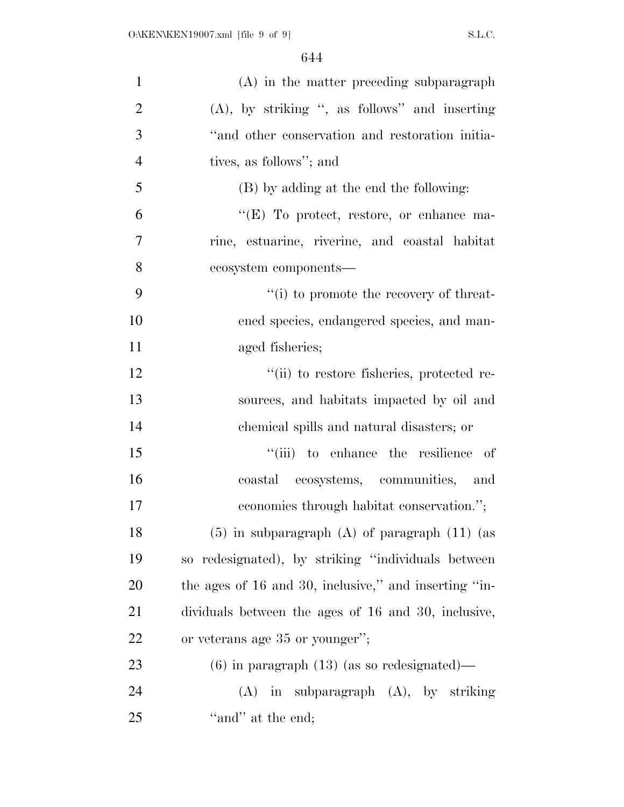| $\mathbf{1}$   | $(A)$ in the matter preceding subparagraph            |
|----------------|-------------------------------------------------------|
| $\overline{2}$ | $(A)$ , by striking ", as follows" and inserting      |
| 3              | "and other conservation and restoration initia-       |
| $\overline{4}$ | tives, as follows"; and                               |
| 5              | (B) by adding at the end the following:               |
| 6              | " $(E)$ To protect, restore, or enhance ma-           |
| $\overline{7}$ | rine, estuarine, riverine, and coastal habitat        |
| 8              | ecosystem components-                                 |
| 9              | "(i) to promote the recovery of threat-               |
| 10             | ened species, endangered species, and man-            |
| 11             | aged fisheries;                                       |
| 12             | "(ii) to restore fisheries, protected re-             |
| 13             | sources, and habitats impacted by oil and             |
| 14             | chemical spills and natural disasters; or             |
| 15             | "(iii) to enhance the resilience of                   |
| 16             | coastal ecosystems, communities, and                  |
| 17             | economies through habitat conservation.";             |
| 18             | $(5)$ in subparagraph $(A)$ of paragraph $(11)$ (as   |
| 19             | so redesignated), by striking "individuals between    |
| 20             | the ages of 16 and 30, inclusive," and inserting "in- |
| 21             | dividuals between the ages of 16 and 30, inclusive,   |
| 22             | or veterans age 35 or younger";                       |
| 23             | $(6)$ in paragraph $(13)$ (as so redesignated)—       |
| 24             | $(A)$ in subparagraph $(A)$ , by striking             |
| 25             | "and" at the end;                                     |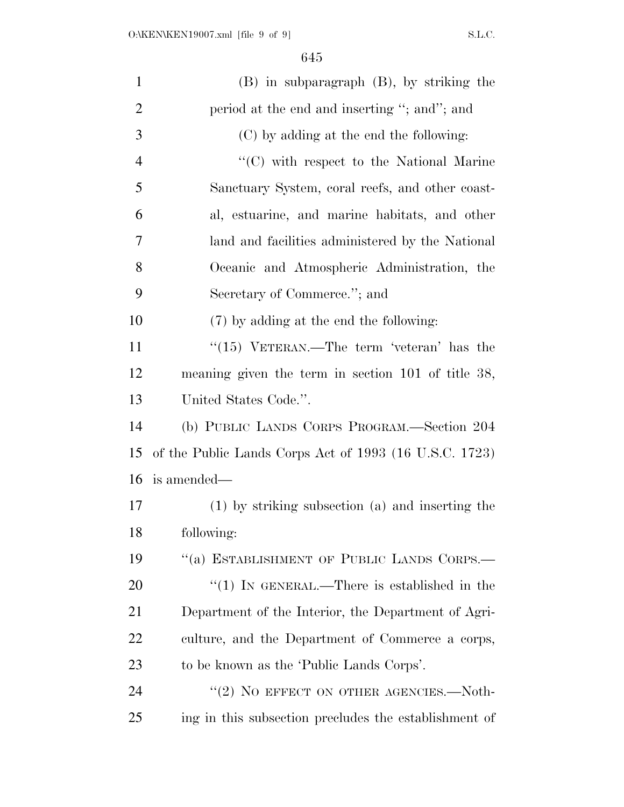| $\mathbf{1}$   | $(B)$ in subparagraph $(B)$ , by striking the          |
|----------------|--------------------------------------------------------|
| $\overline{2}$ | period at the end and inserting "; and"; and           |
| 3              | (C) by adding at the end the following:                |
| $\overline{4}$ | $\lq\lq$ with respect to the National Marine           |
| 5              | Sanctuary System, coral reefs, and other coast-        |
| 6              | al, estuarine, and marine habitats, and other          |
| 7              | land and facilities administered by the National       |
| 8              | Oceanic and Atmospheric Administration, the            |
| 9              | Secretary of Commerce."; and                           |
| 10             | (7) by adding at the end the following:                |
| 11             | " $(15)$ VETERAN.—The term 'veteran' has the           |
| 12             | meaning given the term in section 101 of title 38,     |
| 13             | United States Code.".                                  |
| 14             | (b) PUBLIC LANDS CORPS PROGRAM.—Section 204            |
| 15             | of the Public Lands Corps Act of 1993 (16 U.S.C. 1723) |
| 16             | is amended—                                            |
| 17             | (1) by striking subsection (a) and inserting the       |
| 18             | following:                                             |
| 19             | "(a) ESTABLISHMENT OF PUBLIC LANDS CORPS.—             |
| 20             | "(1) IN GENERAL.—There is established in the           |
| 21             | Department of the Interior, the Department of Agri-    |
| 22             | culture, and the Department of Commerce a corps,       |
| 23             | to be known as the 'Public Lands Corps'.               |
| 24             | "(2) NO EFFECT ON OTHER AGENCIES.-Noth-                |
| 25             | ing in this subsection precludes the establishment of  |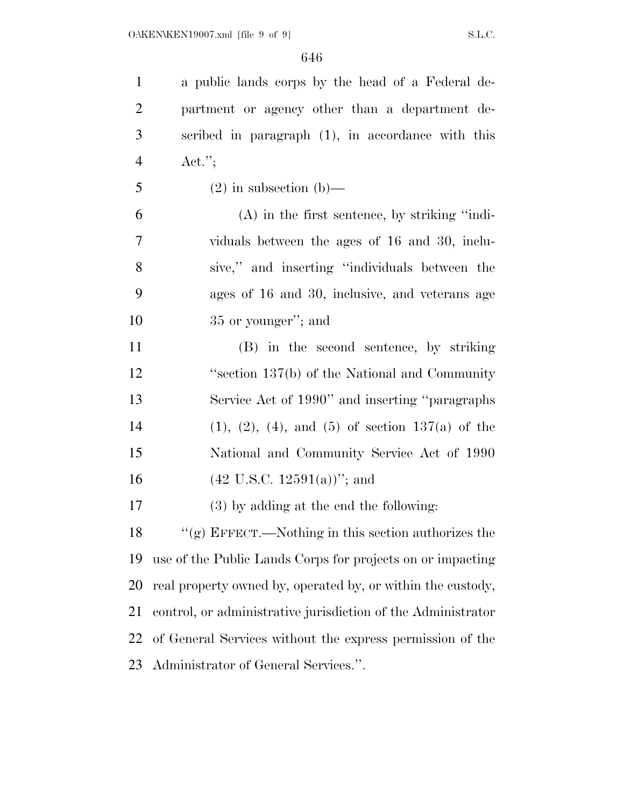a public lands corps by the head of a Federal de- partment or agency other than a department de- scribed in paragraph (1), in accordance with this Act.''; 5 (2) in subsection (b)— (A) in the first sentence, by striking ''indi- viduals between the ages of 16 and 30, inclu- sive,'' and inserting ''individuals between the ages of 16 and 30, inclusive, and veterans age 10 35 or younger"; and (B) in the second sentence, by striking ''section 137(b) of the National and Community Service Act of 1990'' and inserting ''paragraphs 14 (1), (2), (4), and (5) of section  $137(a)$  of the National and Community Service Act of 1990 16 (42 U.S.C. 12591(a))"; and (3) by adding at the end the following: ''(g) EFFECT.—Nothing in this section authorizes the use of the Public Lands Corps for projects on or impacting real property owned by, operated by, or within the custody, control, or administrative jurisdiction of the Administrator of General Services without the express permission of the Administrator of General Services.''.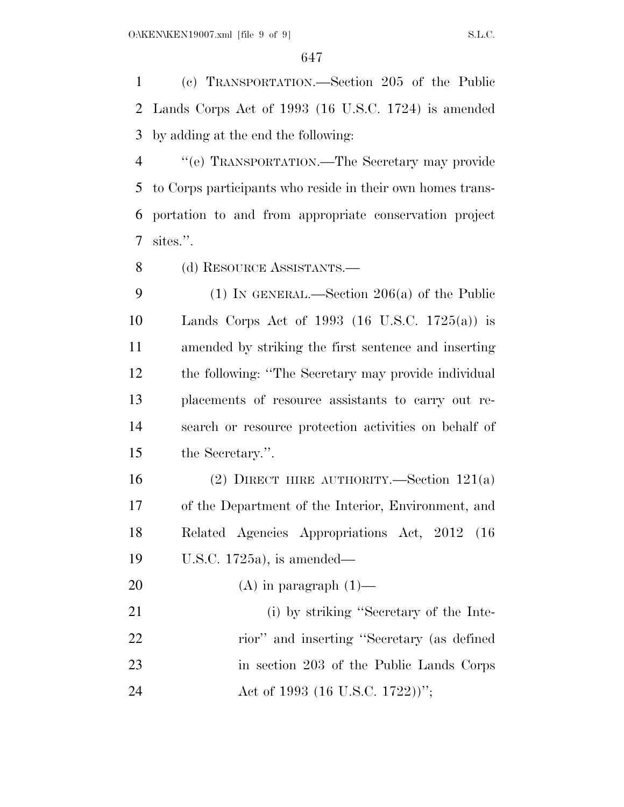(c) TRANSPORTATION.—Section 205 of the Public Lands Corps Act of 1993 (16 U.S.C. 1724) is amended by adding at the end the following:

 ''(e) TRANSPORTATION.—The Secretary may provide to Corps participants who reside in their own homes trans- portation to and from appropriate conservation project sites.''.

(d) RESOURCE ASSISTANTS.—

 (1) IN GENERAL.—Section 206(a) of the Public Lands Corps Act of 1993 (16 U.S.C. 1725(a)) is amended by striking the first sentence and inserting the following: ''The Secretary may provide individual placements of resource assistants to carry out re- search or resource protection activities on behalf of the Secretary.''.

 (2) DIRECT HIRE AUTHORITY.—Section 121(a) of the Department of the Interior, Environment, and Related Agencies Appropriations Act, 2012 (16 U.S.C. 1725a), is amended—

20  $(A)$  in paragraph  $(1)$ —

21 (i) by striking "Secretary of the Inte- rior'' and inserting ''Secretary (as defined in section 203 of the Public Lands Corps 24 Act of 1993 (16 U.S.C. 1722))'';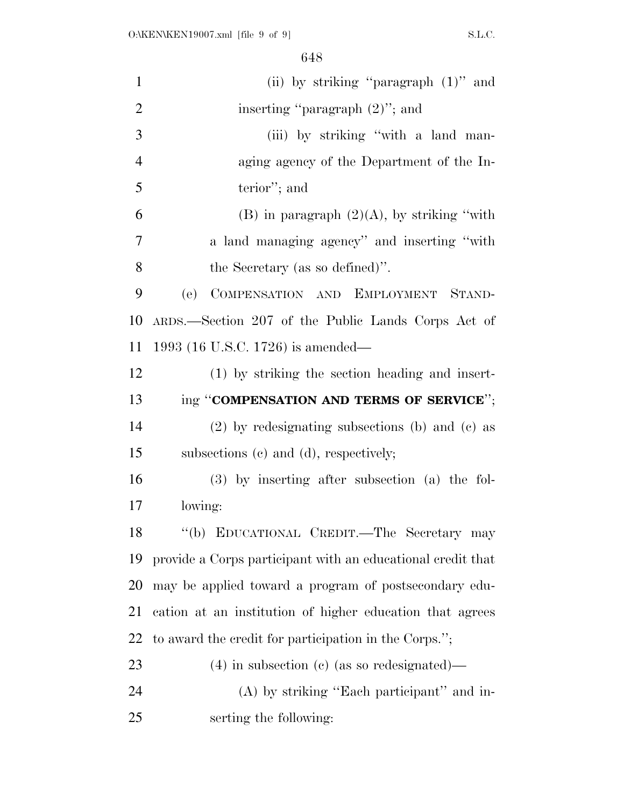| $\mathbf{1}$   | (ii) by striking "paragraph $(1)$ " and                     |
|----------------|-------------------------------------------------------------|
| $\overline{2}$ | inserting "paragraph $(2)$ "; and                           |
| 3              | (iii) by striking "with a land man-                         |
| $\overline{4}$ | aging agency of the Department of the In-                   |
| 5              | terior"; and                                                |
| 6              | (B) in paragraph $(2)(A)$ , by striking "with"              |
| 7              | a land managing agency" and inserting "with                 |
| 8              | the Secretary (as so defined)".                             |
| 9              | (e)<br>COMPENSATION AND EMPLOYMENT STAND-                   |
| 10             | ARDS.—Section 207 of the Public Lands Corps Act of          |
| 11             | 1993 (16 U.S.C. 1726) is amended—                           |
| 12             | (1) by striking the section heading and insert-             |
| 13             | ing "COMPENSATION AND TERMS OF SERVICE";                    |
| 14             | $(2)$ by redesignating subsections (b) and (c) as           |
| 15             | subsections (c) and (d), respectively;                      |
| 16             | $(3)$ by inserting after subsection $(a)$ the fol-          |
| 17             | lowing:                                                     |
| 18             | "(b) EDUCATIONAL CREDIT.—The Secretary may                  |
| 19             | provide a Corps participant with an educational credit that |
| 20             | may be applied toward a program of postsecondary edu-       |
| 21             | cation at an institution of higher education that agrees    |
| 22             | to award the credit for participation in the Corps.";       |
| 23             | $(4)$ in subsection (c) (as so redesignated)—               |
| 24             | (A) by striking "Each participant" and in-                  |
| 25             | serting the following:                                      |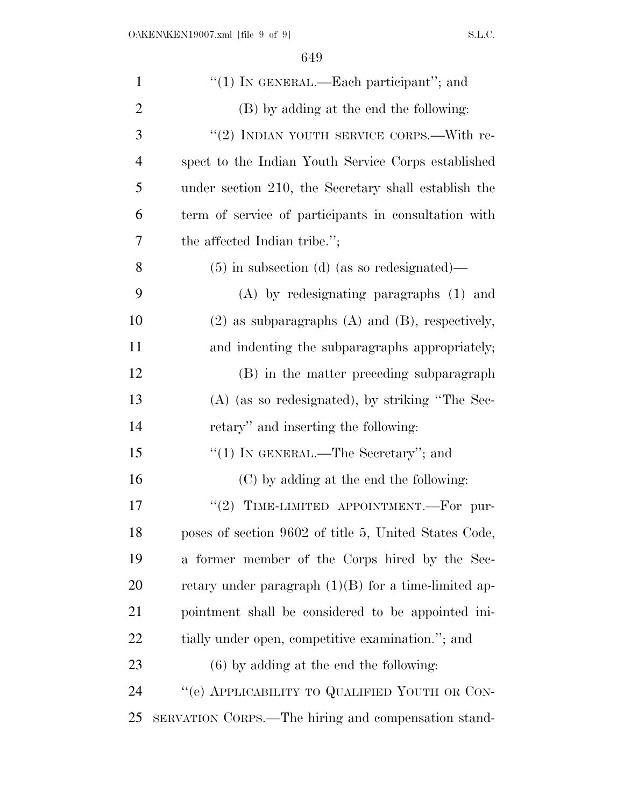| $\mathbf{1}$   | " $(1)$ In GENERAL.—Each participant"; and             |
|----------------|--------------------------------------------------------|
| $\overline{2}$ | (B) by adding at the end the following:                |
| 3              | "(2) INDIAN YOUTH SERVICE CORPS.—With re-              |
| 4              | spect to the Indian Youth Service Corps established    |
| 5              | under section 210, the Secretary shall establish the   |
| 6              | term of service of participants in consultation with   |
| 7              | the affected Indian tribe.";                           |
| 8              | $(5)$ in subsection (d) (as so redesignated)—          |
| 9              | $(A)$ by redesignating paragraphs $(1)$ and            |
| 10             | $(2)$ as subparagraphs $(A)$ and $(B)$ , respectively, |
| 11             | and indenting the subparagraphs appropriately;         |
| 12             | (B) in the matter preceding subparagraph               |
| 13             | $(A)$ (as so redesignated), by striking "The Sec-      |
| 14             | retary" and inserting the following:                   |
| 15             | "(1) IN GENERAL.—The Secretary"; and                   |
| 16             | (C) by adding at the end the following:                |
| 17             | "(2) TIME-LIMITED APPOINTMENT.—For pur-                |
| 18             | poses of section 9602 of title 5, United States Code,  |
| 19             | a former member of the Corps hired by the Sec-         |
| 20             | retary under paragraph $(1)(B)$ for a time-limited ap- |
| 21             | pointment shall be considered to be appointed ini-     |
| 22             | tially under open, competitive examination."; and      |
| 23             | $(6)$ by adding at the end the following:              |
| 24             | "(e) APPLICABILITY TO QUALIFIED YOUTH OR CON-          |
| 25             | SERVATION CORPS.—The hiring and compensation stand-    |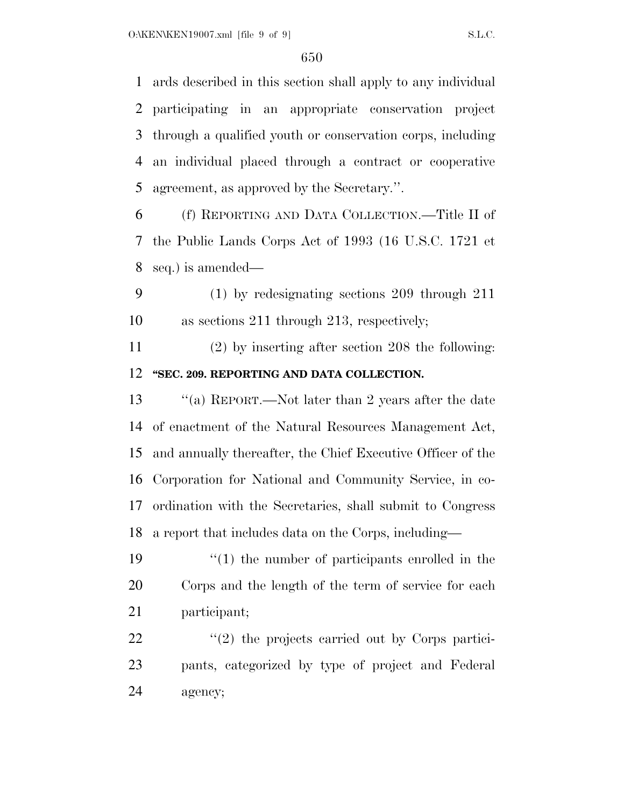ards described in this section shall apply to any individual participating in an appropriate conservation project through a qualified youth or conservation corps, including an individual placed through a contract or cooperative agreement, as approved by the Secretary.''.

 (f) REPORTING AND DATA COLLECTION.—Title II of the Public Lands Corps Act of 1993 (16 U.S.C. 1721 et seq.) is amended—

 (1) by redesignating sections 209 through 211 as sections 211 through 213, respectively;

 (2) by inserting after section 208 the following: **''SEC. 209. REPORTING AND DATA COLLECTION.** 

 ''(a) REPORT.—Not later than 2 years after the date of enactment of the Natural Resources Management Act, and annually thereafter, the Chief Executive Officer of the Corporation for National and Community Service, in co- ordination with the Secretaries, shall submit to Congress a report that includes data on the Corps, including—

 ''(1) the number of participants enrolled in the Corps and the length of the term of service for each participant;

22 ''(2) the projects carried out by Corps partici- pants, categorized by type of project and Federal agency;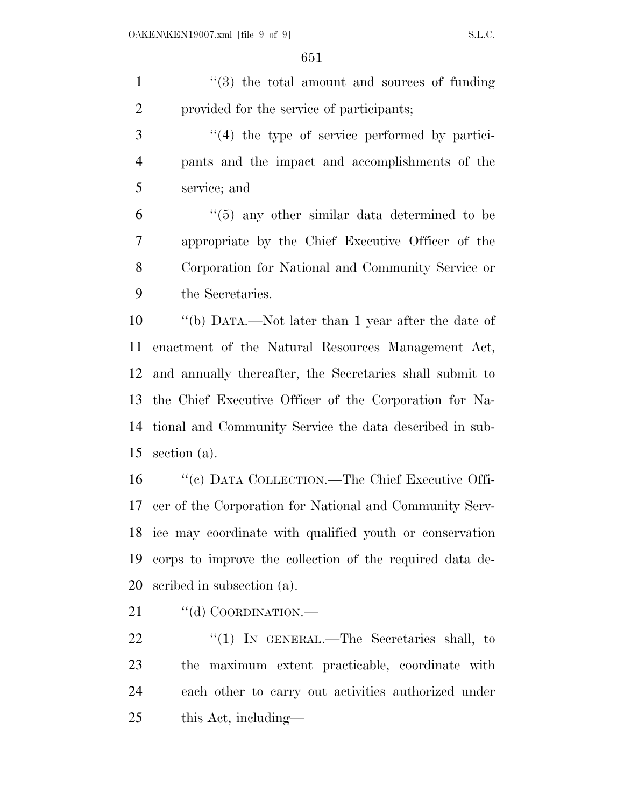1 ''(3) the total amount and sources of funding provided for the service of participants; ''(4) the type of service performed by partici- pants and the impact and accomplishments of the service; and  $(6)$  <sup>"</sup>(5) any other similar data determined to be appropriate by the Chief Executive Officer of the Corporation for National and Community Service or the Secretaries.

 ''(b) DATA.—Not later than 1 year after the date of enactment of the Natural Resources Management Act, and annually thereafter, the Secretaries shall submit to the Chief Executive Officer of the Corporation for Na- tional and Community Service the data described in sub-section (a).

 ''(c) DATA COLLECTION.—The Chief Executive Offi- cer of the Corporation for National and Community Serv- ice may coordinate with qualified youth or conservation corps to improve the collection of the required data de-scribed in subsection (a).

21 "(d) COORDINATION.—

22 "(1) IN GENERAL.—The Secretaries shall, to the maximum extent practicable, coordinate with each other to carry out activities authorized under this Act, including—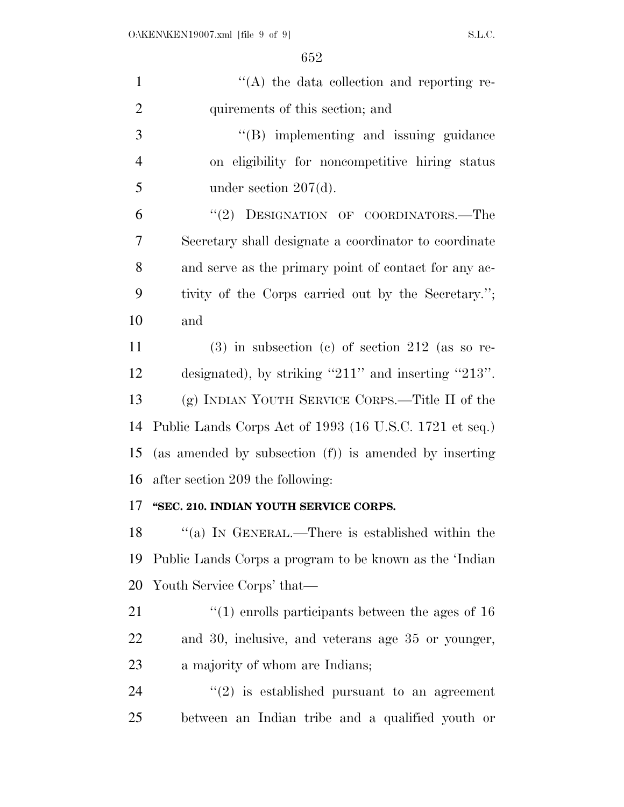| $\mathbf{1}$   | $\lq\lq$ the data collection and reporting re-                   |
|----------------|------------------------------------------------------------------|
| $\overline{2}$ | quirements of this section; and                                  |
| 3              | $\lq\lq(B)$ implementing and issuing guidance                    |
| $\overline{4}$ | on eligibility for noncompetitive hiring status                  |
| 5              | under section $207(d)$ .                                         |
| 6              | "(2) DESIGNATION OF COORDINATORS.—The                            |
| 7              | Secretary shall designate a coordinator to coordinate            |
| 8              | and serve as the primary point of contact for any ac-            |
| 9              | tivity of the Corps carried out by the Secretary.";              |
| 10             | and                                                              |
| 11             | $(3)$ in subsection (c) of section 212 (as so re-                |
| 12             | designated), by striking "211" and inserting "213".              |
| 13             | (g) INDIAN YOUTH SERVICE CORPS.—Title II of the                  |
| 14             | Public Lands Corps Act of 1993 (16 U.S.C. 1721 et seq.)          |
| 15             | (as amended by subsection (f)) is amended by inserting           |
| 16             | after section 209 the following:                                 |
| 17             | "SEC. 210. INDIAN YOUTH SERVICE CORPS.                           |
|                | 18 "(a) IN GENERAL.—There is established within the              |
| 19             | Public Lands Corps a program to be known as the 'Indian          |
| 20             | Youth Service Corps' that—                                       |
| 21             | $\cdot\cdot\cdot(1)$ enrolls participants between the ages of 16 |
| 22             | and 30, inclusive, and veterans age 35 or younger,               |
| 23             | a majority of whom are Indians;                                  |
| 24             | $\cdot\cdot\cdot(2)$ is established pursuant to an agreement     |
| 25             | between an Indian tribe and a qualified youth or                 |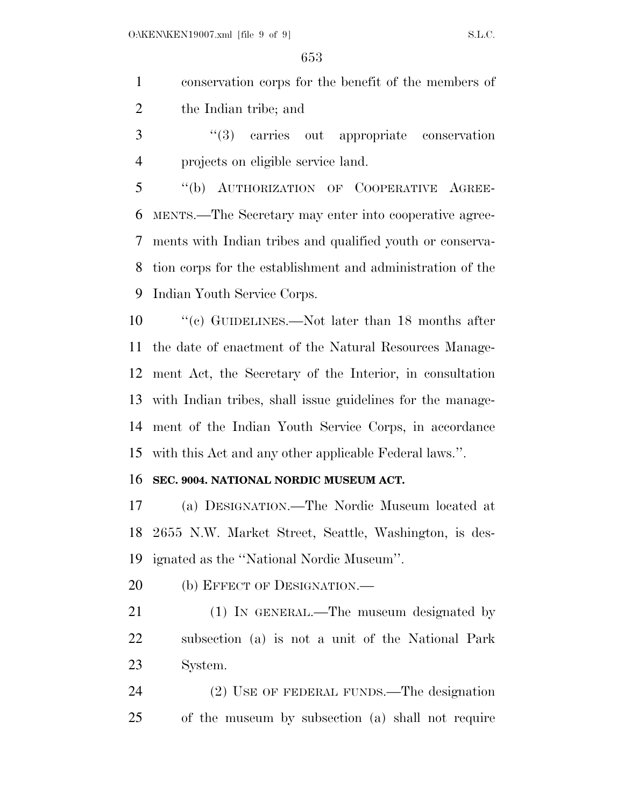conservation corps for the benefit of the members of the Indian tribe; and

 ''(3) carries out appropriate conservation projects on eligible service land.

 ''(b) AUTHORIZATION OF COOPERATIVE AGREE- MENTS.—The Secretary may enter into cooperative agree- ments with Indian tribes and qualified youth or conserva- tion corps for the establishment and administration of the Indian Youth Service Corps.

 ''(c) GUIDELINES.—Not later than 18 months after the date of enactment of the Natural Resources Manage- ment Act, the Secretary of the Interior, in consultation with Indian tribes, shall issue guidelines for the manage- ment of the Indian Youth Service Corps, in accordance with this Act and any other applicable Federal laws.''.

## **SEC. 9004. NATIONAL NORDIC MUSEUM ACT.**

 (a) DESIGNATION.—The Nordic Museum located at 2655 N.W. Market Street, Seattle, Washington, is des-ignated as the ''National Nordic Museum''.

20 (b) EFFECT OF DESIGNATION.—

 (1) IN GENERAL.—The museum designated by subsection (a) is not a unit of the National Park System.

 (2) USE OF FEDERAL FUNDS.—The designation of the museum by subsection (a) shall not require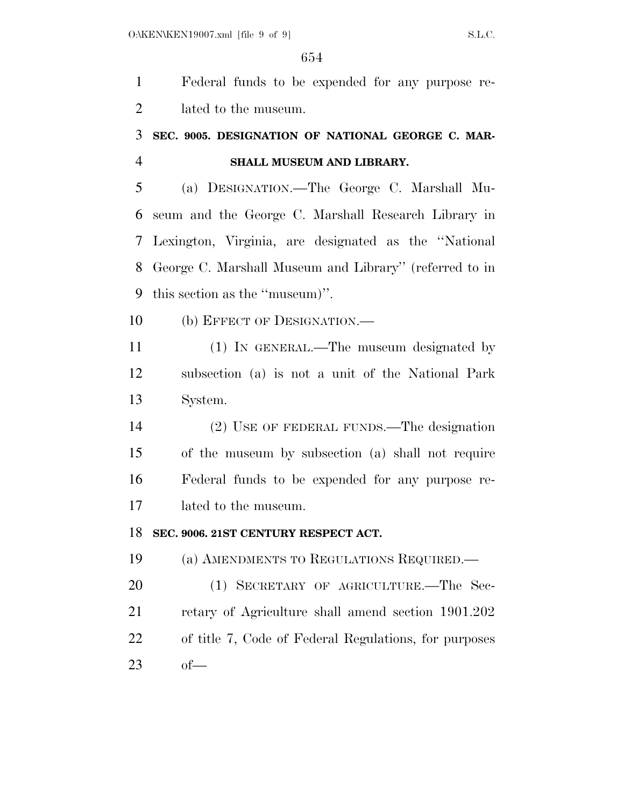Federal funds to be expended for any purpose re- lated to the museum. **SEC. 9005. DESIGNATION OF NATIONAL GEORGE C. MAR- SHALL MUSEUM AND LIBRARY.**  (a) DESIGNATION.—The George C. Marshall Mu- seum and the George C. Marshall Research Library in Lexington, Virginia, are designated as the ''National George C. Marshall Museum and Library'' (referred to in this section as the ''museum)''. 10 (b) EFFECT OF DESIGNATION.— (1) IN GENERAL.—The museum designated by subsection (a) is not a unit of the National Park System. (2) USE OF FEDERAL FUNDS.—The designation of the museum by subsection (a) shall not require Federal funds to be expended for any purpose re- lated to the museum. **SEC. 9006. 21ST CENTURY RESPECT ACT.**  (a) AMENDMENTS TO REGULATIONS REQUIRED.— (1) SECRETARY OF AGRICULTURE.—The Sec- retary of Agriculture shall amend section 1901.202 of title 7, Code of Federal Regulations, for purposes of—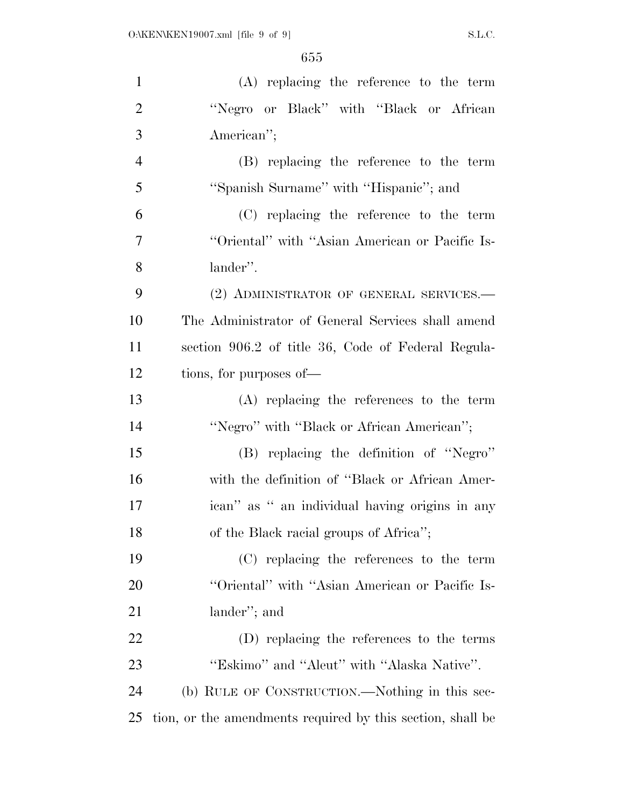| $\mathbf{1}$   | (A) replacing the reference to the term                    |
|----------------|------------------------------------------------------------|
| $\overline{2}$ | "Negro or Black" with "Black or African                    |
| 3              | American";                                                 |
| $\overline{4}$ | (B) replacing the reference to the term                    |
| 5              | "Spanish Surname" with "Hispanic"; and                     |
| 6              | (C) replacing the reference to the term                    |
| 7              | "Oriental" with "Asian American or Pacific Is-             |
| 8              | lander".                                                   |
| 9              | (2) ADMINISTRATOR OF GENERAL SERVICES.-                    |
| 10             | The Administrator of General Services shall amend          |
| 11             | section 906.2 of title 36, Code of Federal Regula-         |
| 12             | tions, for purposes of—                                    |
| 13             | $(A)$ replacing the references to the term                 |
| 14             | "Negro" with "Black or African American";                  |
| 15             | (B) replacing the definition of "Negro"                    |
| 16             | with the definition of "Black or African Amer-             |
| 17             | ican" as " an individual having origins in any             |
| 18             | of the Black racial groups of Africa";                     |
| 19             | (C) replacing the references to the term                   |
| 20             | "Oriental" with "Asian American or Pacific Is-             |
| 21             | lander"; and                                               |
| 22             | (D) replacing the references to the terms                  |
| 23             | "Eskimo" and "Aleut" with "Alaska Native".                 |
| 24             | (b) RULE OF CONSTRUCTION.—Nothing in this sec-             |
| 25             | tion, or the amendments required by this section, shall be |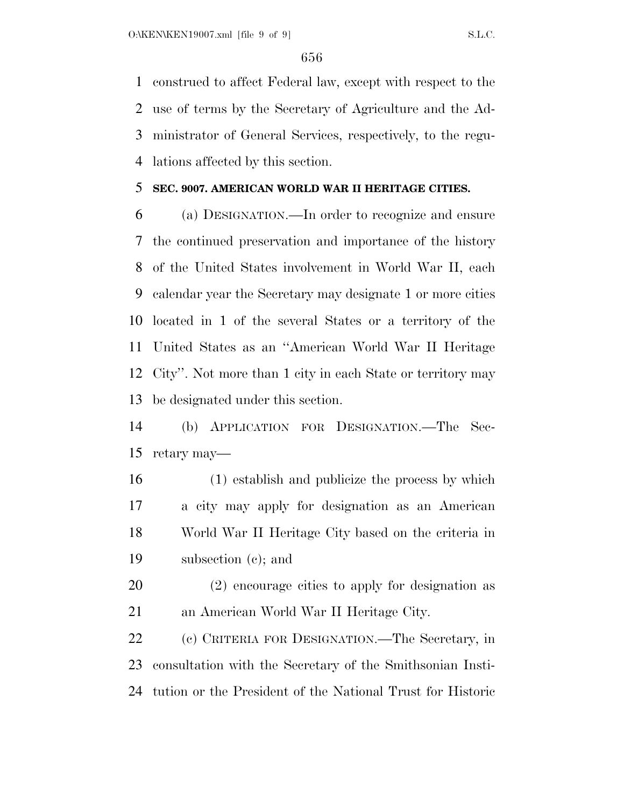construed to affect Federal law, except with respect to the use of terms by the Secretary of Agriculture and the Ad- ministrator of General Services, respectively, to the regu-lations affected by this section.

## **SEC. 9007. AMERICAN WORLD WAR II HERITAGE CITIES.**

 (a) DESIGNATION.—In order to recognize and ensure the continued preservation and importance of the history of the United States involvement in World War II, each calendar year the Secretary may designate 1 or more cities located in 1 of the several States or a territory of the United States as an ''American World War II Heritage City''. Not more than 1 city in each State or territory may be designated under this section.

 (b) APPLICATION FOR DESIGNATION.—The Sec-retary may—

 (1) establish and publicize the process by which a city may apply for designation as an American World War II Heritage City based on the criteria in subsection (c); and

 (2) encourage cities to apply for designation as an American World War II Heritage City.

 (c) CRITERIA FOR DESIGNATION.—The Secretary, in consultation with the Secretary of the Smithsonian Insti-tution or the President of the National Trust for Historic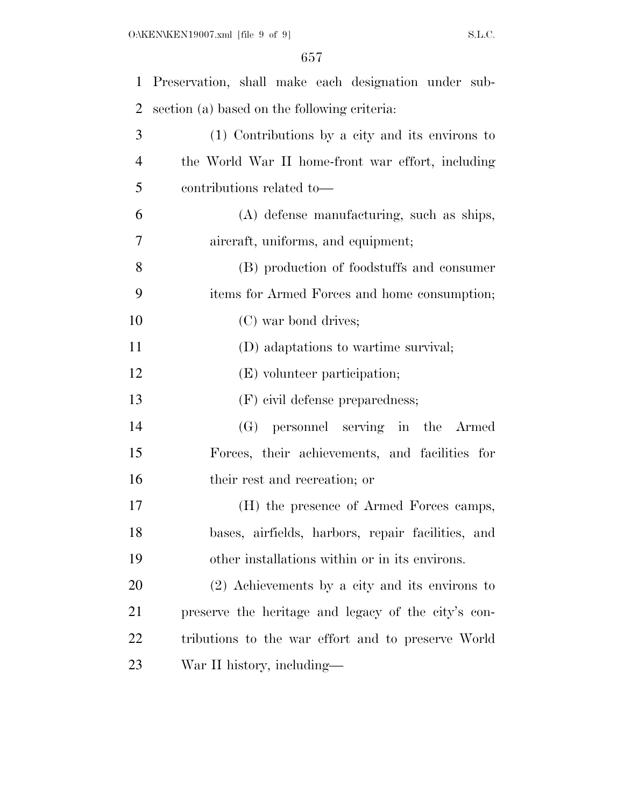| $\mathbf{1}$ | Preservation, shall make each designation under sub- |
|--------------|------------------------------------------------------|
| 2            | section (a) based on the following criteria:         |
| 3            | (1) Contributions by a city and its environs to      |
| 4            | the World War II home-front war effort, including    |
| 5            | contributions related to-                            |
| 6            | (A) defense manufacturing, such as ships,            |
| 7            | aircraft, uniforms, and equipment;                   |
| 8            | (B) production of foodstuffs and consumer            |
| 9            | items for Armed Forces and home consumption;         |
| 10           | (C) war bond drives;                                 |
| 11           | (D) adaptations to wartime survival;                 |
| 12           | (E) volunteer participation;                         |
| 13           | (F) civil defense preparedness;                      |
| 14           | (G) personnel serving in the Armed                   |
| 15           | Forces, their achievements, and facilities for       |
| 16           | their rest and recreation; or                        |
| 17           | (H) the presence of Armed Forces camps,              |
| 18           | bases, airfields, harbors, repair facilities, and    |
| 19           | other installations within or in its environs.       |
| 20           | $(2)$ Achievements by a city and its environs to     |
| 21           | preserve the heritage and legacy of the city's con-  |
| 22           | tributions to the war effort and to preserve World   |
| 23           | War II history, including—                           |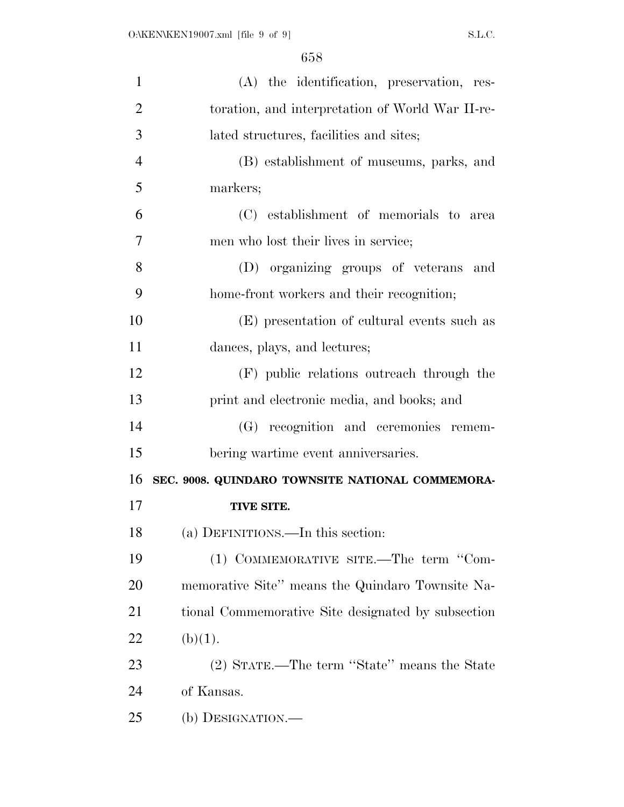| $\mathbf{1}$   | (A) the identification, preservation, res-         |
|----------------|----------------------------------------------------|
| $\overline{2}$ | toration, and interpretation of World War II-re-   |
| 3              | lated structures, facilities and sites;            |
| $\overline{4}$ | (B) establishment of museums, parks, and           |
| 5              | markers;                                           |
| 6              | (C) establishment of memorials to area             |
| 7              | men who lost their lives in service;               |
| 8              | (D) organizing groups of veterans and              |
| 9              | home-front workers and their recognition;          |
| 10             | (E) presentation of cultural events such as        |
| 11             | dances, plays, and lectures;                       |
| 12             | (F) public relations outreach through the          |
| 13             | print and electronic media, and books; and         |
| 14             | (G) recognition and ceremonies remem-              |
| 15             | bering wartime event anniversaries.                |
| 16             | SEC. 9008. QUINDARO TOWNSITE NATIONAL COMMEMORA-   |
| 17             | TIVE SITE.                                         |
| 18             | (a) DEFINITIONS.—In this section:                  |
| 19             | (1) COMMEMORATIVE SITE.—The term "Com-             |
| 20             | memorative Site" means the Quindaro Townsite Na-   |
| 21             | tional Commemorative Site designated by subsection |
| 22             | (b)(1).                                            |
| 23             | (2) STATE.—The term "State" means the State        |
| 24             | of Kansas.                                         |
| 25             | (b) DESIGNATION.-                                  |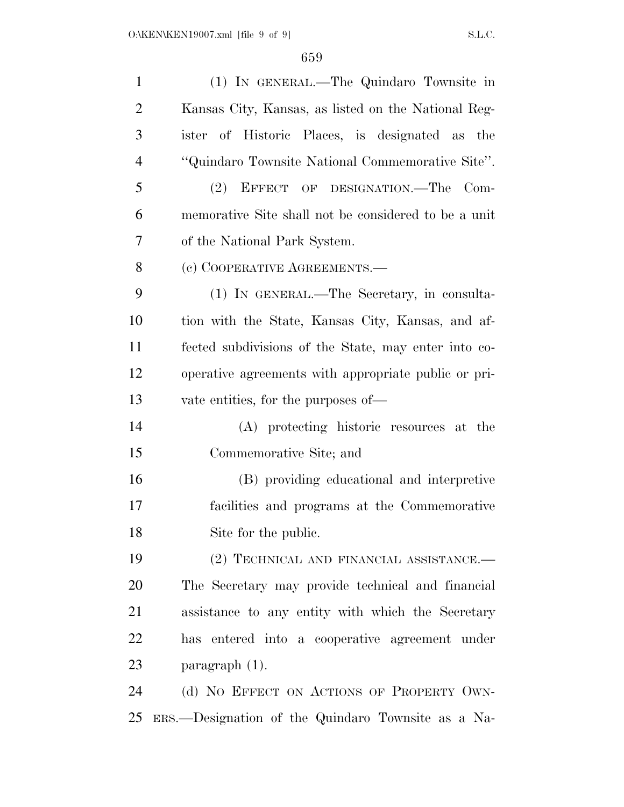| $\mathbf{1}$   | (1) IN GENERAL.—The Quindaro Townsite in             |
|----------------|------------------------------------------------------|
| $\overline{2}$ | Kansas City, Kansas, as listed on the National Reg-  |
| 3              | ister of Historic Places, is designated as the       |
| $\overline{4}$ | "Quindaro Townsite National Commemorative Site".     |
| 5              | (2) EFFECT OF DESIGNATION.—The Com-                  |
| 6              | memorative Site shall not be considered to be a unit |
| 7              | of the National Park System.                         |
| 8              | (c) COOPERATIVE AGREEMENTS.—                         |
| 9              | (1) IN GENERAL.—The Secretary, in consulta-          |
| 10             | tion with the State, Kansas City, Kansas, and af-    |
| 11             | fected subdivisions of the State, may enter into co- |
| 12             | operative agreements with appropriate public or pri- |
| 13             | vate entities, for the purposes of—                  |
| 14             | (A) protecting historic resources at the             |
| 15             | Commemorative Site; and                              |
| 16             | (B) providing educational and interpretive           |
| 17             | facilities and programs at the Commemorative         |
| 18             | Site for the public.                                 |
| 19             | (2) TECHNICAL AND FINANCIAL ASSISTANCE.-             |
| 20             | The Secretary may provide technical and financial    |
| 21             | assistance to any entity with which the Secretary    |
| 22             | has entered into a cooperative agreement under       |
| 23             | paragraph $(1)$ .                                    |
| 24             | (d) NO EFFECT ON ACTIONS OF PROPERTY OWN-            |
| 25             | ERS.—Designation of the Quindaro Townsite as a Na-   |